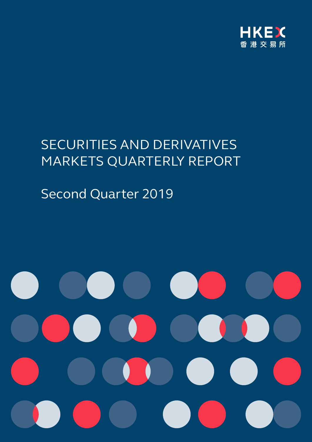

# SECURITIES AND DERIVATIVES MARKETS QUARTERLY REPORT

# Second Quarter 2019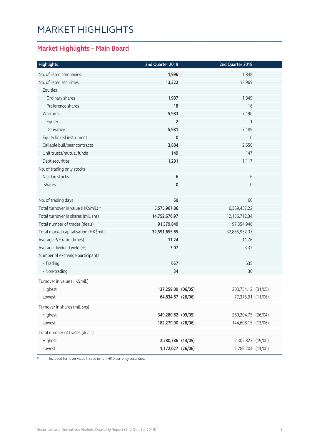### MARKET HIGHLIGHTS

#### **Market Highlights – Main Board**

| <b>Highlights</b>                      | 2nd Quarter 2019   | 2nd Quarter 2018    |  |
|----------------------------------------|--------------------|---------------------|--|
| No. of listed companies                | 1,996              | 1,848               |  |
| No. of listed securities               | 13,322             | 12,969              |  |
| Equities                               |                    |                     |  |
| Ordinary shares                        | 1,997              | 1,849               |  |
| Preference shares                      | 18                 | 16                  |  |
| Warrants                               | 5,983              | 7,190               |  |
| Equity                                 | $\overline{2}$     | 1                   |  |
| Derivative                             | 5,981              | 7,189               |  |
| Equity linked instrument               | 0                  | 0                   |  |
| Callable bull/bear contracts           | 3,884              | 2,650               |  |
| Unit trusts/mutual funds               | 149                | 147                 |  |
| Debt securities                        | 1,291              | 1,117               |  |
| No. of trading only stocks             |                    |                     |  |
| Nasdaq stocks                          | $\bf 6$            | 6                   |  |
| iShares                                | 0                  | $\mathsf{O}\xspace$ |  |
|                                        |                    |                     |  |
| No. of trading days                    | 59                 | 60                  |  |
| Total turnover in value (HK\$mil.) *   | 5,575,967.86       | 6,369,437.22        |  |
| Total turnover in shares (mil. shs)    | 14,752,676.97      | 12,136,712.34       |  |
| Total number of trades (deals)         | 91,379,849         | 97,354,946          |  |
| Total market capitalisation (HK\$mil.) | 32,591,655.65      | 32,855,932.37       |  |
| Average P/E ratio (times)              | 11.24              | 11.76               |  |
| Average dividend yield (%)             | 3.07               | 3.32                |  |
| Number of exchange participants        |                    |                     |  |
| - Trading                              | 657                | 635                 |  |
| - Non-trading                          | 34                 | 30                  |  |
| Turnover in value (HK\$mil.)           |                    |                     |  |
| Highest                                | 137,259.09 (06/05) | 203,754.12 (31/05)  |  |
| Lowest                                 | 64,834.67 (26/06)  | 77,375.91 (11/06)   |  |
| Turnover in shares (mil. shs)          |                    |                     |  |
| Highest                                | 349,280.62 (09/05) | 269,204.75 (26/04)  |  |
| Lowest                                 | 182,279.90 (28/06) | 144,608.15 (13/06)  |  |
| Total number of trades (deals)         |                    |                     |  |
| Highest                                | 2,280,786 (14/05)  | 2,302,822 (19/06)   |  |
| Lowest                                 | 1,172,027 (26/06)  | 1,289,204 (11/06)   |  |

\* Included turnover value traded in non-HKD currency securities.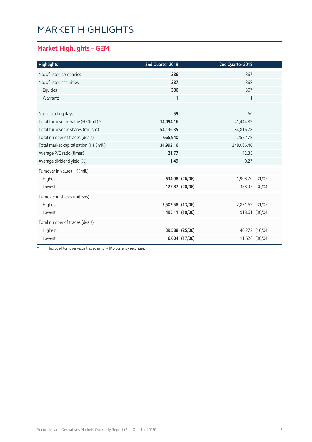### MARKET HIGHLIGHTS

#### **Market Highlights – GEM**

| <b>Highlights</b>                      | 2nd Quarter 2019 |                | 2nd Quarter 2018 |                |
|----------------------------------------|------------------|----------------|------------------|----------------|
| No. of listed companies                | 386              |                | 367              |                |
| No. of listed securities               | 387              |                | 368              |                |
| Equities                               | 386              |                | 367              |                |
| Warrants                               | $\mathbf{1}$     |                | 1                |                |
|                                        |                  |                |                  |                |
| No. of trading days                    | 59               |                | 60               |                |
| Total turnover in value (HK\$mil.) *   | 14,094.16        |                | 41,444.89        |                |
| Total turnover in shares (mil. shs)    | 54,136.35        |                | 84,816.78        |                |
| Total number of trades (deals)         | 665,940          |                | 1,252,478        |                |
| Total market capitalisation (HK\$mil.) | 134,992.16       |                | 248,066.40       |                |
| Average P/E ratio (times)              | 21.77            |                | 42.35            |                |
| Average dividend yield (%)             | 1.49             |                | 0.27             |                |
| Turnover in value (HK\$mil.)           |                  |                |                  |                |
| Highest                                |                  | 634.98 (26/06) | 1,908.70 (31/05) |                |
| Lowest                                 |                  | 125.87 (20/06) |                  | 388.95 (30/04) |
| Turnover in shares (mil. shs)          |                  |                |                  |                |
| Highest                                | 3,502.58 (13/06) |                | 2,871.69 (31/05) |                |
| Lowest                                 |                  | 495.11 (10/06) |                  | 918.61 (30/04) |
| Total number of trades (deals)         |                  |                |                  |                |
| Highest                                |                  | 39,588 (25/06) |                  | 40,272 (16/04) |
| Lowest                                 |                  | 6,604 (17/06)  |                  | 11,626 (30/04) |

\* Included turnover value traded in non-HKD currency securities.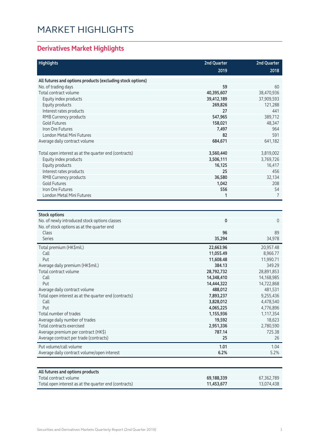## MARKET HIGHLIGHTS

### **Derivatives Market Highlights**

| <b>Highlights</b>                                                                                                   | 2nd Quarter  | 2nd Quarter    |
|---------------------------------------------------------------------------------------------------------------------|--------------|----------------|
|                                                                                                                     | 2019         | 2018           |
| All futures and options products (excluding stock options)                                                          |              |                |
| No. of trading days                                                                                                 | 59           | 60             |
| Total contract volume                                                                                               | 40,395,607   | 38,470,936     |
| Equity index products                                                                                               | 39,412,189   | 37,909,593     |
| Equity products                                                                                                     | 269,826      | 121,288        |
| Interest rates products                                                                                             | 27           | 441            |
| RMB Currency products                                                                                               | 547,965      | 389,712        |
| <b>Gold Futures</b>                                                                                                 | 158,021      | 48,347         |
| Iron Ore Futures                                                                                                    | 7,497        | 964            |
| <b>London Metal Mini Futures</b>                                                                                    | 82           | 591            |
| Average daily contract volume                                                                                       | 684,671      | 641,182        |
| Total open interest as at the quarter end (contracts)                                                               | 3,560,440    | 3,819,002      |
| Equity index products                                                                                               | 3,506,111    | 3,769,726      |
| Equity products                                                                                                     | 16,125       | 16,417         |
| Interest rates products                                                                                             | 25           | 456            |
| RMB Currency products                                                                                               | 36,580       | 32,134         |
| <b>Gold Futures</b>                                                                                                 | 1,042        | 208            |
| Iron Ore Futures                                                                                                    | 556          | 54             |
| London Metal Mini Futures                                                                                           | 1            | $\overline{7}$ |
| <b>Stock options</b><br>No. of newly introduced stock options classes<br>No. of stock options as at the quarter end | 0            | $\mathbf 0$    |
| Class<br><b>Series</b>                                                                                              | 96<br>35,294 | 89<br>34,978   |
| Total premium (HK\$mil.)                                                                                            | 22,663.96    | 20,957.48      |
| Call                                                                                                                | 11,055.49    | 8,966.77       |
| Put                                                                                                                 | 11,608.48    | 11,990.71      |
| Average daily premium (HK\$mil.)                                                                                    | 384.13       | 349.29         |
| Total contract volume                                                                                               | 28,792,732   | 28,891,853     |
| Call                                                                                                                | 14,348,410   | 14,168,985     |
| Put                                                                                                                 | 14,444,322   | 14,722,868     |
| Average daily contract volume                                                                                       | 488,012      | 481,531        |
| Total open interest as at the quarter end (contracts)                                                               | 7,893,237    | 9,255,436      |
| Call                                                                                                                | 3,828,012    | 4,478,540      |
| Put                                                                                                                 | 4,065,225    | 4,776,896      |
| Total number of trades                                                                                              | 1,155,936    | 1,117,354      |
| Average daily number of trades                                                                                      | 19,592       | 18,623         |
| Total contracts exercised                                                                                           | 2,951,336    | 2,780,590      |
| Average premium per contract (HK\$)                                                                                 | 787.14       | 725.38         |
| Average contract per trade (contracts)                                                                              | 25           | 26             |
| Put volume/call volume                                                                                              | 1.01         | 1.04           |
| Average daily contract volume/open interest                                                                         | 6.2%         | 5.2%           |
| All futures and options products                                                                                    |              |                |

| All futures and options products                      |            |            |
|-------------------------------------------------------|------------|------------|
| Total contract volume                                 | 69.188.339 | 67,362,789 |
| Total open interest as at the quarter end (contracts) | 11,453,677 | 13.074.438 |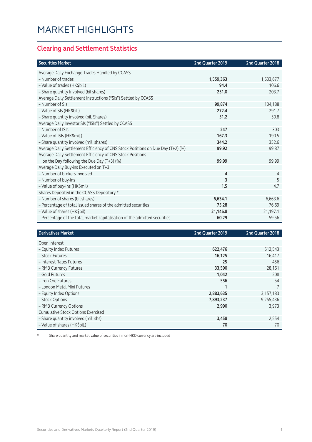#### **Clearing and Settlement Statistics**

| <b>Securities Market</b>                                                        | 2nd Quarter 2019 | 2nd Quarter 2018 |
|---------------------------------------------------------------------------------|------------------|------------------|
| Average Daily Exchange Trades Handled by CCASS                                  |                  |                  |
| - Number of trades                                                              | 1,559,363        | 1,633,677        |
| - Value of trades (HK\$bil.)                                                    | 94.4             | 106.6            |
| - Share quantity Involved (bil shares)                                          | 251.0            | 203.7            |
| Average Daily Settlement Instructions ("SIs") Settled by CCASS                  |                  |                  |
| - Number of SIs                                                                 | 99,874           | 104,188          |
| - Value of SIs (HK\$bil.)                                                       | 272.4            | 291.7            |
| - Share quantity involved (bil. Shares)                                         | 51.2             | 50.8             |
| Average Daily Investor SIs ("ISIs") Settled by CCASS                            |                  |                  |
| - Number of ISIs                                                                | 247              | 303              |
| - Value of ISIs (HK\$mil.)                                                      | 167.3            | 190.5            |
| - Share quantity involved (mil. shares)                                         | 344.2            | 352.6            |
| Average Daily Settlement Efficiency of CNS Stock Positions on Due Day (T+2) (%) | 99.92            | 99.87            |
| Average Daily Settlement Efficiency of CNS Stock Positions                      |                  |                  |
| on the Day following the Due Day (T+3) (%)                                      | 99.99            | 99.99            |
| Average Daily Buy-ins Executed on T+3                                           |                  |                  |
| - Number of brokers involved                                                    | 4                | 4                |
| - Number of buy-ins                                                             | 3                | 5                |
| - Value of buy-ins (HK\$mil)                                                    | 1.5              | 4.7              |
| Shares Deposited in the CCASS Depository *                                      |                  |                  |
| - Number of shares (bil shares)                                                 | 6,634.1          | 6,663.6          |
| - Percentage of total issued shares of the admitted securities                  | 75.28            | 76.69            |
| - Value of shares (HK\$bil)                                                     | 21,146.8         | 21,197.1         |
| - Percentage of the total market capitalisation of the admitted securities      | 60.29            | 59.56            |

| <b>Derivatives Market</b>                 | 2nd Quarter 2019 | 2nd Quarter 2018 |
|-------------------------------------------|------------------|------------------|
| Open Interest                             |                  |                  |
|                                           |                  |                  |
| - Equity Index Futures                    | 622,476          | 612,543          |
| - Stock Futures                           | 16,125           | 16,417           |
| - Interest Rates Futures                  | 25               | 456              |
| - RMB Currency Futures                    | 33,590           | 28,161           |
| - Gold Futures                            | 1,042            | 208              |
| - Iron Ore Futures                        | 556              | 54               |
| - London Metal Mini Futures               | 1                |                  |
| - Equity Index Options                    | 2,883,635        | 3, 157, 183      |
| - Stock Options                           | 7,893,237        | 9,255,436        |
| - RMB Currency Options                    | 2,990            | 3.973            |
| <b>Cumulative Stock Options Exercised</b> |                  |                  |
| - Share quantity involved (mil. shs)      | 3,458            | 2,554            |
| - Value of shares (HK\$bil.)              | 70               | 70               |

\* Share quantity and market value of securities in non-HKD currency are included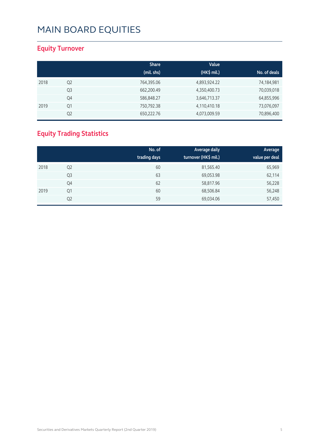#### **Equity Turnover**

|      |                | <b>Share</b> | Value        |              |
|------|----------------|--------------|--------------|--------------|
|      |                | (mil. shs)   | (HK\$ mil.)  | No. of deals |
| 2018 | Q <sub>2</sub> | 764,395.06   | 4,893,924.22 | 74,184,981   |
|      | Q3             | 662,200.49   | 4,350,400.73 | 70,039,018   |
|      | Q4             | 586,848.27   | 3,646,713.37 | 64,855,996   |
| 2019 | Q1             | 750,792.38   | 4,110,410.18 | 73,076,097   |
|      | Q <sub>2</sub> | 650,222.76   | 4,073,009.59 | 70,896,400   |

### **Equity Trading Statistics**

|      |                | No. of<br>trading days | Average daily<br>turnover (HK\$ mil.) | Average<br>value per deal |
|------|----------------|------------------------|---------------------------------------|---------------------------|
| 2018 | Q <sub>2</sub> | 60                     | 81,565.40                             | 65,969                    |
|      | Q3             | 63                     | 69,053.98                             | 62,114                    |
|      | Q4             | 62                     | 58,817.96                             | 56,228                    |
| 2019 | Q1             | 60                     | 68,506.84                             | 56,248                    |
|      | Q <sub>2</sub> | 59                     | 69,034.06                             | 57,450                    |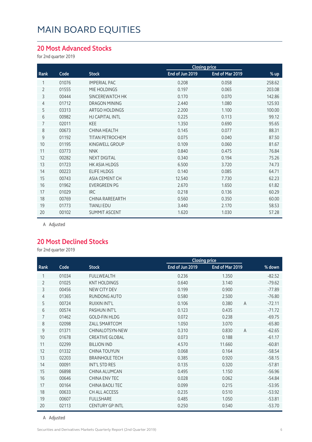#### **20 Most Advanced Stocks**

for 2nd quarter 2019

|                |       |                        | <b>Closing price</b> |                 |        |
|----------------|-------|------------------------|----------------------|-----------------|--------|
| Rank           | Code  | <b>Stock</b>           | End of Jun 2019      | End of Mar 2019 | % up   |
|                | 01076 | <b>IMPERIAL PAC</b>    | 0.208                | 0.058           | 258.62 |
| $\overline{2}$ | 01555 | MIE HOLDINGS           | 0.197                | 0.065           | 203.08 |
| 3              | 00444 | SINCEREWATCH HK        | 0.170                | 0.070           | 142.86 |
| $\overline{4}$ | 01712 | <b>DRAGON MINING</b>   | 2.440                | 1.080           | 125.93 |
| 5              | 03313 | ARTGO HOLDINGS         | 2.200                | 1.100           | 100.00 |
| 6              | 00982 | <b>HJ CAPITAL INTL</b> | 0.225                | 0.113           | 99.12  |
| 7              | 02011 | <b>KEE</b>             | 1.350                | 0.690           | 95.65  |
| 8              | 00673 | <b>CHINA HEALTH</b>    | 0.145                | 0.077           | 88.31  |
| 9              | 01192 | <b>TITAN PETROCHEM</b> | 0.075                | 0.040           | 87.50  |
| 10             | 01195 | KINGWELL GROUP         | 0.109                | 0.060           | 81.67  |
| 11             | 03773 | <b>NNK</b>             | 0.840                | 0.475           | 76.84  |
| 12             | 00282 | <b>NEXT DIGITAL</b>    | 0.340                | 0.194           | 75.26  |
| 13             | 01723 | HK ASIA HLDGS          | 6.500                | 3.720           | 74.73  |
| 14             | 00223 | <b>ELIFE HLDGS</b>     | 0.140                | 0.085           | 64.71  |
| 15             | 00743 | ASIA CEMENT CH         | 12.540               | 7.730           | 62.23  |
| 16             | 01962 | <b>EVERGREEN PG</b>    | 2.670                | 1.650           | 61.82  |
| 17             | 01029 | <b>IRC</b>             | 0.218                | 0.136           | 60.29  |
| 18             | 00769 | <b>CHINA RAREEARTH</b> | 0.560                | 0.350           | 60.00  |
| 19             | 01773 | <b>TIANLI EDU</b>      | 3.440                | 2.170           | 58.53  |
| 20             | 00102 | <b>SUMMIT ASCENT</b>   | 1.620                | 1.030           | 57.28  |
|                |       |                        |                      |                 |        |

A Adjusted

#### **20 Most Declined Stocks**

for 2nd quarter 2019

|                |       |                        | <b>Closing price</b> |                         |          |
|----------------|-------|------------------------|----------------------|-------------------------|----------|
| Rank           | Code  | <b>Stock</b>           | End of Jun 2019      | End of Mar 2019         | % down   |
| 1              | 01034 | <b>FULLWEALTH</b>      | 0.236                | 1.350                   | $-82.52$ |
| $\overline{2}$ | 01025 | <b>KNT HOLDINGS</b>    | 0.640                | 3.140                   | $-79.62$ |
| 3              | 00456 | NEW CITY DEV           | 0.199                | 0.900                   | $-77.89$ |
| 4              | 01365 | RUNDONG AUTO           | 0.580                | 2.500                   | $-76.80$ |
| 5              | 00724 | <b>RUIXIN INT'L</b>    | 0.106                | 0.380<br>$\overline{A}$ | $-72.11$ |
| 6              | 00574 | PASHUN INT'L           | 0.123                | 0.435                   | $-71.72$ |
| 7              | 01462 | <b>GOLD-FIN HLDG</b>   | 0.072                | 0.238                   | $-69.75$ |
| 8              | 02098 | <b>ZALL SMARTCOM</b>   | 1.050                | 3.070                   | $-65.80$ |
| 9              | 01371 | CHINAI OTSYN-NEW       | 0.310                | 0.830<br>$\overline{A}$ | $-62.65$ |
| 10             | 01678 | <b>CREATIVE GLOBAL</b> | 0.073                | 0.188                   | $-61.17$ |
| 11             | 02299 | <b>BILLION IND</b>     | 4.570                | 11.660                  | $-60.81$ |
| 12             | 01332 | <b>CHINA TOUYUN</b>    | 0.068                | 0.164                   | $-58.54$ |
| 13             | 02203 | <b>BRAINHOLE TECH</b>  | 0.385                | 0.920                   | $-58.15$ |
| 14             | 00091 | INT'L STD RES          | 0.135                | 0.320                   | $-57.81$ |
| 15             | 06898 | CHINA ALUMCAN          | 0.495                | 1.150                   | $-56.96$ |
| 16             | 00646 | CHINA ENV TEC          | 0.028                | 0.062                   | $-54.84$ |
| 17             | 00164 | CHINA BAOLI TEC        | 0.099                | 0.215                   | $-53.95$ |
| 18             | 00633 | CH ALL ACCESS          | 0.235                | 0.510                   | $-53.92$ |
| 19             | 00607 | <b>FULLSHARE</b>       | 0.485                | 1.050                   | $-53.81$ |
| 20             | 02113 | <b>CENTURY GP INTL</b> | 0.250                | 0.540                   | $-53.70$ |

A Adjusted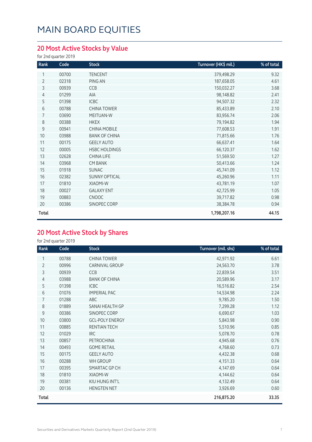### **20 Most Active Stocks by Value**

for 2nd quarter 2019

| Rank           | Code  | <b>Stock</b>         | Turnover (HK\$ mil.) | % of total |
|----------------|-------|----------------------|----------------------|------------|
| 1              | 00700 | <b>TENCENT</b>       | 379,498.29           | 9.32       |
| $\overline{2}$ | 02318 | PING AN              | 187,658.05           | 4.61       |
| 3              | 00939 | CCB                  | 150,032.27           | 3.68       |
| 4              | 01299 | AIA                  | 98,148.82            | 2.41       |
| 5              | 01398 | <b>ICBC</b>          | 94,507.32            | 2.32       |
| 6              | 00788 | <b>CHINA TOWER</b>   | 85,433.89            | 2.10       |
| $\overline{7}$ | 03690 | MEITUAN-W            | 83,956.74            | 2.06       |
| 8              | 00388 | <b>HKEX</b>          | 79,194.82            | 1.94       |
| 9              | 00941 | <b>CHINA MOBILE</b>  | 77,608.53            | 1.91       |
| 10             | 03988 | <b>BANK OF CHINA</b> | 71,815.66            | 1.76       |
| 11             | 00175 | <b>GEELY AUTO</b>    | 66,637.41            | 1.64       |
| 12             | 00005 | <b>HSBC HOLDINGS</b> | 66,120.37            | 1.62       |
| 13             | 02628 | CHINA LIFE           | 51,569.50            | 1.27       |
| 14             | 03968 | <b>CM BANK</b>       | 50,413.66            | 1.24       |
| 15             | 01918 | <b>SUNAC</b>         | 45,741.09            | 1.12       |
| 16             | 02382 | <b>SUNNY OPTICAL</b> | 45,260.96            | 1.11       |
| 17             | 01810 | XIAOMI-W             | 43,781.19            | 1.07       |
| 18             | 00027 | <b>GALAXY ENT</b>    | 42,725.99            | 1.05       |
| 19             | 00883 | <b>CNOOC</b>         | 39,717.82            | 0.98       |
| 20             | 00386 | SINOPEC CORP         | 38,384.78            | 0.94       |
| Total          |       |                      | 1,798,207.16         | 44.15      |

#### **20 Most Active Stock by Shares**

for 2nd quarter 2019

| Rank           | Code  | <b>Stock</b>           | Turnover (mil. shs) | % of total |
|----------------|-------|------------------------|---------------------|------------|
|                | 00788 | <b>CHINA TOWER</b>     | 42,971.92           | 6.61       |
| $\overline{2}$ | 00996 | CARNIVAL GROUP         | 24,563.70           | 3.78       |
| 3              | 00939 | CCB                    | 22,839.54           | 3.51       |
| 4              | 03988 | <b>BANK OF CHINA</b>   | 20,589.96           | 3.17       |
| 5              | 01398 | <b>ICBC</b>            | 16,516.82           | 2.54       |
| 6              | 01076 | <b>IMPERIAL PAC</b>    | 14,534.98           | 2.24       |
| 7              | 01288 | ABC                    | 9,785.20            | 1.50       |
| 8              | 01889 | SANAI HEALTH GP        | 7,299.28            | 1.12       |
| 9              | 00386 | SINOPEC CORP           | 6,690.67            | 1.03       |
| 10             | 03800 | <b>GCL-POLY ENERGY</b> | 5,843.98            | 0.90       |
| 11             | 00885 | RENTIAN TECH           | 5,510.96            | 0.85       |
| 12             | 01029 | <b>IRC</b>             | 5,078.70            | 0.78       |
| 13             | 00857 | PETROCHINA             | 4,945.68            | 0.76       |
| 14             | 00493 | <b>GOME RETAIL</b>     | 4,768.60            | 0.73       |
| 15             | 00175 | <b>GEELY AUTO</b>      | 4,432.38            | 0.68       |
| 16             | 00288 | <b>WH GROUP</b>        | 4,151.33            | 0.64       |
| 17             | 00395 | SMARTAC GP CH          | 4,147.69            | 0.64       |
| 18             | 01810 | <b>XIAOMI-W</b>        | 4,144.62            | 0.64       |
| 19             | 00381 | KIU HUNG INT'L         | 4,132.49            | 0.64       |
| 20             | 00136 | <b>HENGTEN NET</b>     | 3,926.69            | 0.60       |
| Total          |       |                        | 216,875.20          | 33.35      |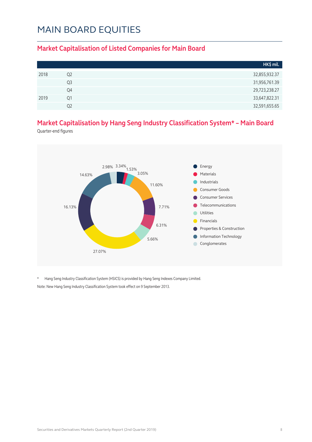#### **Market Capitalisation of Listed Companies for Main Board**

|      |    | HK\$ mil.     |
|------|----|---------------|
| 2018 | Q2 | 32,855,932.37 |
|      | Q3 | 31,956,761.39 |
|      | Q4 | 29,723,238.27 |
| 2019 | Ο1 | 33,647,822.31 |
|      | Ο2 | 32,591,655.65 |

#### **Market Capitalisation by Hang Seng Industry Classification System\* – Main Board**

Quarter-end figures



\* Hang Seng Industry Classification System (HSICS) is provided by Hang Seng Indexes Company Limited. Note: New Hang Seng Industry Classification System took effect on 9 September 2013.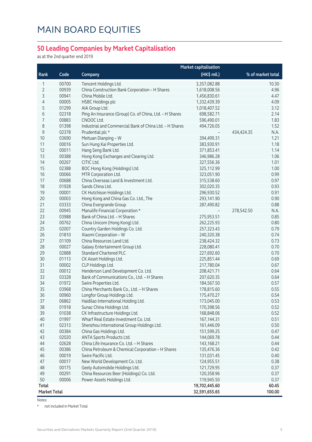#### **50 Leading Companies by Market Capitalisation**

as at the 2nd quarter end 2019

|                     |       | <b>Market capitalisation</b>                            |               |                    |  |
|---------------------|-------|---------------------------------------------------------|---------------|--------------------|--|
| Rank                | Code  | Company                                                 | (HK\$ mil.)   | % of market total  |  |
| 1                   | 00700 | Tencent Holdings Ltd.                                   | 3,357,082.88  | 10.30              |  |
| $\overline{2}$      | 00939 | China Construction Bank Corporation - H Shares          | 1,618,008.56  | 4.96               |  |
| 3                   | 00941 | China Mobile Ltd.                                       | 1,456,830.61  | 4.47               |  |
| $\overline{4}$      | 00005 | <b>HSBC Holdings plc</b>                                | 1,332,439.39  | 4.09               |  |
| 5                   | 01299 | AIA Group Ltd.                                          | 1,018,407.52  | 3.12               |  |
| 6                   | 02318 | Ping An Insurance (Group) Co. of China, Ltd. - H Shares | 698,582.71    | 2.14               |  |
| 7                   | 00883 | CNOOC Ltd.                                              | 596,490.01    | 1.83               |  |
| 8                   | 01398 | Industrial and Commercial Bank of China Ltd. - H Shares | 494,726.05    | 1.52               |  |
| $\mathsf 9$         | 02378 | Prudential plc *                                        |               | 434,424.35<br>N.A. |  |
| 10                  | 03690 | Meituan Dianping - W                                    | 394,499.31    | 1.21               |  |
| 11                  | 00016 | Sun Hung Kai Properties Ltd.                            | 383,930.91    | 1.18               |  |
| 12                  | 00011 | Hang Seng Bank Ltd.                                     | 371,853.41    | 1.14               |  |
| 13                  | 00388 | Hong Kong Exchanges and Clearing Ltd.                   | 346,986.28    | 1.06               |  |
| 14                  | 00267 | CITIC Ltd.                                              | 327,556.36    | 1.01               |  |
| 15                  | 02388 | BOC Hong Kong (Holdings) Ltd.                           | 325,112.99    | 1.00               |  |
| 16                  | 00066 | MTR Corporation Ltd.                                    | 323,051.90    | 0.99               |  |
| 17                  | 00688 | China Overseas Land & Investment Ltd.                   | 315,538.60    | 0.97               |  |
| 18                  | 01928 | Sands China Ltd.                                        | 302,020.35    | 0.93               |  |
| 19                  | 00001 | CK Hutchison Holdings Ltd.                              | 296,930.52    | 0.91               |  |
| 20                  | 00003 | Hong Kong and China Gas Co. Ltd., The                   | 293,141.90    | 0.90               |  |
| 21                  | 03333 | China Evergrande Group                                  | 287,490.82    | 0.88               |  |
| 22                  | 00945 | Manulife Financial Corporation *                        |               | 278,542.50<br>N.A. |  |
| 23                  | 03988 | Bank of China Ltd. - H Shares                           | 275,953.51    | 0.85               |  |
| 24                  | 00762 | China Unicom (Hong Kong) Ltd.                           | 262,225.93    | 0.80               |  |
| 25                  | 02007 | Country Garden Holdings Co. Ltd.                        | 257,323.43    | 0.79               |  |
| 26                  | 01810 | Xiaomi Corporation - W                                  | 240,320.38    | 0.74               |  |
| 27                  | 01109 | China Resources Land Ltd.                               | 238,424.32    | 0.73               |  |
| 28                  | 00027 | Galaxy Entertainment Group Ltd.                         | 228,080.41    | 0.70               |  |
| 29                  | 02888 | <b>Standard Chartered PLC</b>                           | 227,692.60    | 0.70               |  |
| 30                  | 01113 | CK Asset Holdings Ltd.                                  | 225,851.44    | 0.69               |  |
| 31                  | 00002 | CLP Holdings Ltd.                                       | 217,780.04    | 0.67               |  |
| 32                  | 00012 | Henderson Land Development Co. Ltd.                     | 208,421.71    | 0.64               |  |
| 33                  | 03328 | Bank of Communications Co., Ltd. - H Shares             | 207,620.35    | 0.64               |  |
| 34                  | 01972 | Swire Properties Ltd.                                   | 184,567.50    | 0.57               |  |
| 35                  | 03968 | China Merchants Bank Co., Ltd. - H Shares               | 178,815.60    | 0.55               |  |
| 36                  | 00960 | Longfor Group Holdings Ltd.                             | 175,470.27    | 0.54               |  |
| 37                  | 06862 | Haidilao International Holding Ltd.                     | 173,045.00    | 0.53               |  |
| 38                  | 01918 | Sunac China Holdings Ltd.                               | 170,398.56    | 0.52               |  |
| 39                  | 01038 | CK Infrastructure Holdings Ltd.                         | 168,848.06    | 0.52               |  |
| 40                  | 01997 | Wharf Real Estate Investment Co. Ltd.                   | 167,144.31    | 0.51               |  |
| 41                  | 02313 | Shenzhou International Group Holdings Ltd.              | 161,446.09    | 0.50               |  |
| 42                  | 00384 | China Gas Holdings Ltd.                                 | 151,599.25    | 0.47               |  |
| 43                  | 02020 | ANTA Sports Products Ltd.                               | 144,069.78    | 0.44               |  |
| 44                  | 02628 | China Life Insurance Co. Ltd. - H Shares                | 143,168.21    | 0.44               |  |
| 45                  | 00386 | China Petroleum & Chemical Corporation - H Shares       | 135,476.36    | 0.42               |  |
| 46                  | 00019 | Swire Pacific Ltd.                                      | 131,031.45    | 0.40               |  |
| 47                  | 00017 | New World Development Co. Ltd.                          | 124,955.51    | 0.38               |  |
| 48                  | 00175 | Geely Automobile Holdings Ltd.                          | 121,729.95    | 0.37               |  |
| 49                  | 00291 | China Resources Beer (Holdings) Co. Ltd.                | 120,358.96    | 0.37               |  |
| 50                  | 00006 | Power Assets Holdings Ltd.                              | 119,945.50    | 0.37               |  |
| Total               |       |                                                         | 19,702,445.60 | 60.45              |  |
| <b>Market Total</b> |       |                                                         | 32,591,655.65 | 100.00             |  |

Notes:

\* not included in Market Total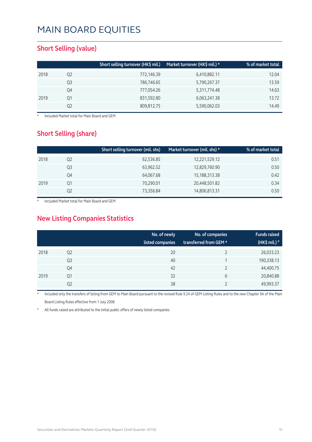#### **Short Selling (value)**

|      |    | Short selling turnover (HK\$ mil.) | Market turnover (HK\$ mil.) * | % of market total |
|------|----|------------------------------------|-------------------------------|-------------------|
| 2018 | Q2 | 772,146.39                         | 6,410,882.11                  | 12.04             |
|      | Q3 | 786,746.65                         | 5,790,267.37                  | 13.59             |
|      | Q4 | 777,054.26                         | 5,311,774.48                  | 14.63             |
| 2019 | Q1 | 831,592.80                         | 6,063,241.38                  | 13.72             |
|      | Q2 | 809,812.75                         | 5,590,062.03                  | 14.49             |

**Included Market total for Main Board and GEM** 

#### **Short Selling (share)**

|      |    | Short selling turnover (mil. shs) | Market turnover (mil. shs) * | % of market total |
|------|----|-----------------------------------|------------------------------|-------------------|
| 2018 | Q2 | 62,536.85                         | 12,221,529.12                | 0.51              |
|      | Q3 | 63,962.52                         | 12,829,760.90                | 0.50              |
|      | Q4 | 64,067.68                         | 15,188,313.38                | 0.42              |
| 2019 | Q1 | 70,290.01                         | 20,448,501.82                | 0.34              |
|      | Q2 | 73,356.84                         | 14,806,813.31                | 0.50              |

Included Market total for Main Board and GEM

#### **New Listing Companies Statistics**

|      |                | No. of newly<br>listed companies | No. of companies<br>transferred from GEM * | <b>Funds raised</b><br>(HK\$ mil.) $*$ |
|------|----------------|----------------------------------|--------------------------------------------|----------------------------------------|
| 2018 | Q <sub>2</sub> | 20                               |                                            | 26,033.23                              |
|      | Q <sub>3</sub> | 40                               |                                            | 190,338.13                             |
|      | Q4             | 42                               | ำ                                          | 44,400.75                              |
| 2019 | Q1             | 32                               | 6                                          | 20,840.88                              |
|      | Q2             | 38                               |                                            | 49,993.37                              |

Included only the transfers of listing from GEM to Main Board pursuant to the revised Rule 9.24 of GEM Listing Rules and to the new Chapter 9A of the Main Board Listing Rules effective from 1 July 2008

All funds raised are attributed to the initial public offers of newly listed companies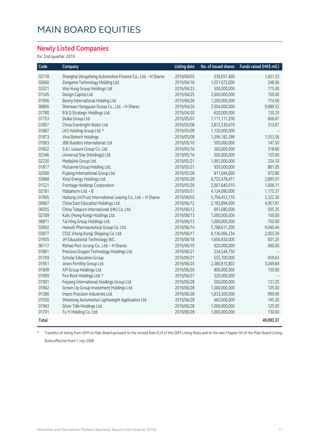#### **Newly Listed Companies**

for 2nd quarter 2019

| Code  | Company                                                     | <b>Listing date</b> | No. of issued shares | Funds raised (HK\$ mil.) |
|-------|-------------------------------------------------------------|---------------------|----------------------|--------------------------|
| 02718 | Shanghai Dongzheng Automotive Finance Co., Ltd. - H Shares  | 2019/04/03          | 539,651,400          | 1,651.33                 |
| 02660 | Zengame Technology Holding Ltd.                             | 2019/04/16          | 1,021,672,000        | 248.06                   |
| 03321 | Wai Hung Group Holdings Ltd.                                | 2019/04/23          | 500,000,000          | 175.00                   |
| 01545 | Design Capital Ltd.                                         | 2019/04/25          | 2,000,000,000        | 150.00                   |
| 01906 | Bonny International Holding Ltd.                            | 2019/04/26          | 1,200,000,000        | 174.00                   |
| 06806 | Shenwan Hongyuan Group Co., Ltd. - H Shares                 | 2019/04/26          | 2,504,000,000        | 9,089.52                 |
| 01780 | B & D Strategic Holdings Ltd.                               | 2019/04/30          | 620,000,000          | 130.20                   |
| 01753 | Duiba Group Ltd.                                            | 2019/05/07          | 1,111,111,200        | 666.67                   |
| 01857 | China Everbright Water Ltd.                                 | 2019/05/08          | 2,812,530,678        | 310.87                   |
| 01867 | LKS Holding Group Ltd. *                                    | 2019/05/09          | 1,120,000,000        |                          |
| 01873 | Viva Biotech Holdings                                       | 2019/05/09          | 1,596,182,398        | 1,553.56                 |
| 01903 | JBB Builders International Ltd.                             | 2019/05/10          | 500,000,000          | 147.50                   |
| 01832 | S.A.I. Leisure Group Co. Ltd.                               | 2019/05/16          | 360,000,000          | 318.60                   |
| 02346 | Universal Star (Holdings) Ltd.                              | 2019/05/16          | 500,000,000          | 125.00                   |
| 02230 | Medialink Group Ltd.                                        | 2019/05/21          | 1,992,000,000        | 224.10                   |
| 01817 | Mulsanne Group Holding Ltd.                                 | 2019/05/27          | 950,000,000          | 881.05                   |
| 02060 | Pujiang International Group Ltd.                            | 2019/05/28          | 811,044,000          | 672.80                   |
| 03868 | Xinyi Energy Holdings Ltd.                                  | 2019/05/28          | 6,752,478,471        | 3,895.01                 |
| 01521 | Frontage Holdings Corporation                               | 2019/05/30          | 2,007,640,910        | 1,606.11                 |
| 02181 | Mabpharm Ltd. - B                                           | 2019/05/31          | 4,124,080,000        | 1,175.37                 |
| 01905 | Haitong UniTrust International Leasing Co., Ltd. - H Shares | 2019/06/03          | 5,794,453,176        | 2,322.36                 |
| 00667 | China East Education Holdings Ltd.                          | 2019/06/12          | 2,183,894,000        | 4,957.81                 |
| 06055 | China Tobacco International (HK) Co. Ltd.                   | 2019/06/12          | 691,680,000          | 935.35                   |
| 02189 | Kato (Hong Kong) Holdings Ltd.                              | 2019/06/13          | 1,000,000,000        | 150.00                   |
| 06811 | Tai Hing Group Holdings Ltd.                                | 2019/06/13          | 1,000,000,000        | 750.00                   |
| 03692 | Hansoh Pharmaceutical Group Co. Ltd.                        | 2019/06/14          | 5,788,611,200        | 9,040.44                 |
| 03877 | CSSC (Hong Kong) Shipping Co. Ltd.                          | 2019/06/17          | 6,136,066,234        | 2,055.59                 |
| 01935 | JH Educational Technology INC.                              | 2019/06/18          | 1,600,830,000        | 601.25                   |
| 06117 | Rizhao Port Jurong Co., Ltd. - H Shares                     | 2019/06/19          | 820,000,000          | 690.00                   |
| 01861 | Precious Dragon Technology Holdings Ltd.                    | 2019/06/21          | 234,544,750          |                          |
| 01769 | <b>Scholar Education Group</b>                              | 2019/06/21          | 555,700,000          | 459.63                   |
| 01951 | Jinxin Fertility Group Ltd.                                 | 2019/06/25          | 2,380,815,802        | 3,049.84                 |
| 01849 | AM Group Holdings Ltd.                                      | 2019/06/26          | 800,000,000          | 130.00                   |
| 01909 | Fire Rock Holdings Ltd. *                                   | 2019/06/27          | 320,000,000          |                          |
| 01901 | Feiyang International Holdings Group Ltd.                   | 2019/06/28          | 500,000,000          | 131.25                   |
| 01842 | Grown Up Group Investment Holdings Ltd.                     | 2019/06/28          | 1,000,000,000        | 125.00                   |
| 01286 | Impro Precision Industries Ltd.                             | 2019/06/28          | 1,833,300,000        | 999.90                   |
| 01930 | Shinelong Automotive Lightweight Application Ltd.           | 2019/06/28          | 660,000,000          | 145.20                   |
| 01943 | Silver Tide Holdings Ltd.                                   | 2019/06/28          | 1,000,000,000        | 125.00                   |
| 01701 | Tu Yi Holding Co. Ltd.                                      | 2019/06/28          | 1,000,000,000        | 130.00                   |
| Total |                                                             |                     |                      | 49,993.37                |

\* Transfers of listing from GEM to Main Board pursuant to the revised Rule 9.24 of the GEM Listing Rules and to the new Chapter 9A of the Main Board Listing Rules effective from 1 July 2008.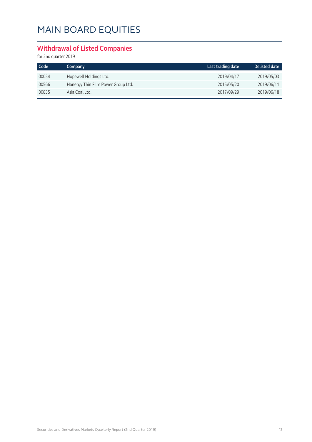#### **Withdrawal of Listed Companies**

for 2nd quarter 2019

| Code  | Company                            | Last trading date | Delisted date |
|-------|------------------------------------|-------------------|---------------|
| 00054 | Hopewell Holdings Ltd.             | 2019/04/17        | 2019/05/03    |
| 00566 | Hanergy Thin Film Power Group Ltd. | 2015/05/20        | 2019/06/11    |
| 00835 | Asia Coal Ltd.                     | 2017/09/29        | 2019/06/18    |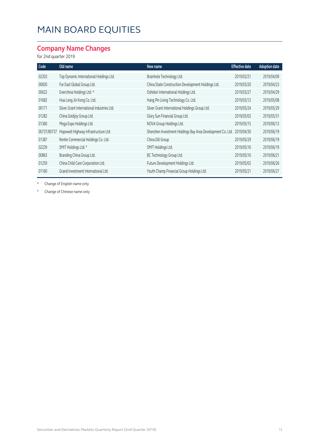#### **Company Name Changes**

#### for 2nd quarter 2019

| Code        | Old name                                   | New name                                                   | <b>Effective date</b> | <b>Adoption date</b> |
|-------------|--------------------------------------------|------------------------------------------------------------|-----------------------|----------------------|
| 02203       | Top Dynamic International Holdings Ltd.    | Brainhole Technology Ltd.                                  | 2019/02/21            | 2019/04/09           |
| 00830       | Far East Global Group Ltd.                 | China State Construction Development Holdings Ltd.         | 2019/03/20            | 2019/04/23           |
| 00622       | Enerchina Holdings Ltd. *                  | Oshidori International Holdings Ltd.                       | 2019/03/27            | 2019/04/29           |
| 01682       | Hua Long Jin Kong Co. Ltd.                 | Hang Pin Living Technology Co. Ltd.                        | 2019/03/12            | 2019/05/08           |
| 00171       | Silver Grant International Industries Ltd. | Silver Grant International Holdings Group Ltd.             | 2019/05/24            | 2019/05/29           |
| 01282       | China Goldjoy Group Ltd.                   | Glory Sun Financial Group Ltd.                             | 2019/05/02            | 2019/05/31           |
| 01360       | Mega Expo Holdings Ltd.                    | NOVA Group Holdings Ltd.                                   | 2019/05/15            | 2019/06/13           |
| 00737/80737 | Hopewell Highway Infrastructure Ltd.       | Shenzhen Investment Holdings Bay Area Development Co. Ltd. | 2019/04/30            | 2019/06/19           |
| 01387       | Renhe Commercial Holdings Co. Ltd.         | China Dili Group                                           | 2019/05/29            | 2019/06/19           |
| 02239       | SMIT Holdings Ltd. #                       | SMIT Holdings Ltd.                                         | 2019/05/16            | 2019/06/19           |
| 00863       | Branding China Group Ltd.                  | BC Technology Group Ltd.                                   | 2019/05/16            | 2019/06/21           |
| 01259       | China Child Care Corporation Ltd.          | Future Development Holdings Ltd.                           | 2019/05/02            | 2019/06/26           |
| 01160       | Grand Investment International Ltd.        | Youth Champ Financial Group Holdings Ltd.                  | 2019/05/21            | 2019/06/27           |

\* Change of English name only

Change of Chinese name only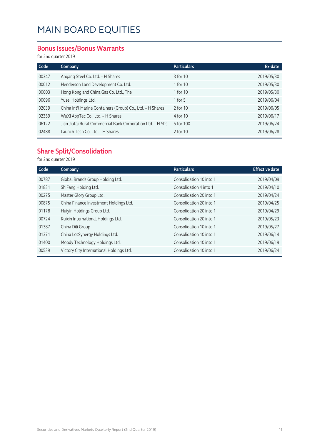#### **Bonus Issues/Bonus Warrants**

for 2nd quarter 2019

| Company                                                     | <b>Particulars</b> | Ex-date    |
|-------------------------------------------------------------|--------------------|------------|
| Angang Steel Co. Ltd. - H Shares                            | 3 for 10           | 2019/05/30 |
| Henderson Land Development Co. Ltd.                         | 1 for 10           | 2019/05/30 |
| Hong Kong and China Gas Co. Ltd., The                       | 1 for 10           | 2019/05/30 |
| Yusei Holdings Ltd.                                         | 1 for $5$          | 2019/06/04 |
| China Int'l Marine Containers (Group) Co., Ltd. - H Shares  | 2 for 10           | 2019/06/05 |
| WuXi AppTec Co., Ltd. - H Shares                            | 4 for 10           | 2019/06/17 |
| Jilin Jiutai Rural Commercial Bank Corporation Ltd. - H Shs | 5 for 100          | 2019/06/24 |
| Launch Tech Co. Ltd. - H Shares                             | 2 for 10           | 2019/06/28 |
|                                                             |                    |            |

### **Share Split/Consolidation**

for 2nd quarter 2019

| Code  | Company                                  | <b>Particulars</b>      | <b>Effective date</b> |
|-------|------------------------------------------|-------------------------|-----------------------|
| 00787 | Global Brands Group Holding Ltd.         | Consolidation 10 into 1 | 2019/04/09            |
| 01831 | ShiFang Holding Ltd.                     | Consolidation 4 into 1  | 2019/04/10            |
| 00275 | Master Glory Group Ltd.                  | Consolidation 20 into 1 | 2019/04/24            |
| 00875 | China Finance Investment Holdings Ltd.   | Consolidation 20 into 1 | 2019/04/25            |
| 01178 | Huiyin Holdings Group Ltd.               | Consolidation 20 into 1 | 2019/04/29            |
| 00724 | Ruixin International Holdings Ltd.       | Consolidation 20 into 1 | 2019/05/23            |
| 01387 | China Dili Group                         | Consolidation 10 into 1 | 2019/05/27            |
| 01371 | China LotSynergy Holdings Ltd.           | Consolidation 10 into 1 | 2019/06/14            |
| 01400 | Moody Technology Holdings Ltd.           | Consolidation 10 into 1 | 2019/06/19            |
| 00539 | Victory City International Holdings Ltd. | Consolidation 10 into 1 | 2019/06/24            |
|       |                                          |                         |                       |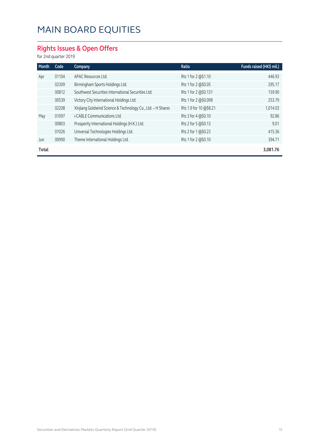#### **Rights Issues & Open Offers**

for 2nd quarter 2019

| Month | Code  | Company                                                     | Ratio                  | Funds raised (HK\$ mil.) |
|-------|-------|-------------------------------------------------------------|------------------------|--------------------------|
| Apr   | 01104 | APAC Resources Ltd.                                         | Rts 1 for 2 @\$1.10    | 446.93                   |
|       | 02309 | Birmingham Sports Holdings Ltd.                             | Rts 1 for 2 @\$0.05    | 295.17                   |
|       | 00812 | Southwest Securities International Securities Ltd.          | Rts 1 for 2 @\$0.131   | 159.90                   |
|       | 00539 | Victory City International Holdings Ltd.                    | Rts 1 for 2 @\$0.098   | 253.79                   |
|       | 02208 | Xinjiang Goldwind Science & Technology Co., Ltd. - H Shares | Rts 1.9 for 10 @\$8.21 | 1,014.03                 |
| May   | 01097 | i-CABLE Communications Ltd.                                 | Rts 3 for 4 @\$0.10    | 92.86                    |
|       | 00803 | Prosperity International Holdings (H.K.) Ltd.               | Rts 2 for 5 @\$0.13    | 9.01                     |
|       | 01026 | Universal Technologies Holdings Ltd.                        | Rts 2 for 1 @\$0.23    | 415.36                   |
| Jun   | 00990 | Theme International Holdings Ltd.                           | Rts 1 for 2 @\$0.10    | 394.71                   |
| Total |       |                                                             |                        | 3,081.76                 |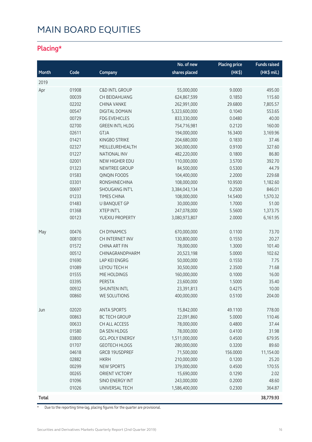#### **Placing\***

|              |       |                           | No. of new    | <b>Placing price</b> | <b>Funds raised</b> |
|--------------|-------|---------------------------|---------------|----------------------|---------------------|
| Month        | Code  | Company                   | shares placed | (HK <sup>2</sup> )   | (HK\$ mil.)         |
| 2019         |       |                           |               |                      |                     |
| Apr          | 01908 | <b>C&amp;D INTL GROUP</b> | 55,000,000    | 9.0000               | 495.00              |
|              | 00039 | CH BEIDAHUANG             | 624,867,599   | 0.1850               | 115.60              |
|              | 02202 | <b>CHINA VANKE</b>        | 262,991,000   | 29.6800              | 7,805.57            |
|              | 00547 | <b>DIGITAL DOMAIN</b>     | 5,323,600,000 | 0.1040               | 553.65              |
|              | 00729 | <b>FDG EVEHICLES</b>      | 833,330,000   | 0.0480               | 40.00               |
|              | 02700 | <b>GREEN INTL HLDG</b>    | 754,716,981   | 0.2120               | 160.00              |
|              | 02611 | <b>GTJA</b>               | 194,000,000   | 16.3400              | 3,169.96            |
|              | 01421 | <b>KINGBO STRIKE</b>      | 204,680,000   | 0.1830               | 37.46               |
|              | 02327 | MEILLEUREHEALTH           | 360,000,000   | 0.9100               | 327.60              |
|              | 01227 | <b>NATIONAL INV</b>       | 482,220,000   | 0.1800               | 86.80               |
|              | 02001 | NEW HIGHER EDU            | 110,000,000   | 3.5700               | 392.70              |
|              | 01323 | NEWTREE GROUP             | 84,500,000    | 0.5300               | 44.79               |
|              | 01583 | <b>QINQIN FOODS</b>       | 104,400,000   | 2.2000               | 229.68              |
|              | 03301 | <b>RONSHINECHINA</b>      | 108,000,000   | 10.9500              | 1,182.60            |
|              | 00697 | SHOUGANG INT'L            | 3,384,043,134 | 0.2500               | 846.01              |
|              | 01233 | TIMES CHINA               | 108,000,000   | 14.5400              | 1,570.32            |
|              | 01483 | U BANQUET GP              | 30,000,000    | 1.7000               | 51.00               |
|              | 01368 | XTEP INT'L                | 247,078,000   | 5.5600               | 1,373.75            |
|              | 00123 | YUEXIU PROPERTY           | 3,080,973,807 | 2.0000               | 6,161.95            |
| May          | 00476 | <b>CH DYNAMICS</b>        | 670,000,000   | 0.1100               | 73.70               |
|              | 00810 | CH INTERNET INV           | 130,800,000   | 0.1550               | 20.27               |
|              | 01572 | <b>CHINA ART FIN</b>      | 78,000,000    | 1.3000               | 101.40              |
|              | 00512 | CHINAGRANDPHARM           | 20,523,198    | 5.0000               | 102.62              |
|              | 01690 | LAP KEI ENGRG             | 50,000,000    | 0.1550               | 7.75                |
|              | 01089 | LEYOU TECH H              | 30,500,000    | 2.3500               | 71.68               |
|              | 01555 | MIE HOLDINGS              | 160,000,000   | 0.1000               | 16.00               |
|              | 03395 | <b>PERSTA</b>             | 23,600,000    | 1.5000               | 35.40               |
|              | 00932 | <b>SHUNTEN INTL</b>       | 23,391,813    | 0.4275               | 10.00               |
|              | 00860 | WE SOLUTIONS              | 400,000,000   | 0.5100               | 204.00              |
| Jun          | 02020 | <b>ANTA SPORTS</b>        | 15,842,000    | 49.1100              | 778.00              |
|              | 00863 | <b>BC TECH GROUP</b>      | 22,091,860    | 5.0000               | 110.46              |
|              | 00633 | CH ALL ACCESS             | 78,000,000    | 0.4800               | 37.44               |
|              | 01580 | DA SEN HLDGS              | 78,000,000    | 0.4100               | 31.98               |
|              | 03800 | <b>GCL-POLY ENERGY</b>    | 1,511,000,000 | 0.4500               | 679.95              |
|              | 01707 | <b>GEOTECH HLDGS</b>      | 280,000,000   | 0.3200               | 89.60               |
|              | 04618 | <b>GRCB 19USDPREF</b>     | 71,500,000    | 156.0000             | 11,154.00           |
|              | 02882 | <b>HKRH</b>               | 210,000,000   | 0.1200               | 25.20               |
|              | 00299 | NEW SPORTS                | 379,000,000   | 0.4500               | 170.55              |
|              | 00265 | ORIENT VICTORY            | 15,690,000    | 0.1290               | 2.02                |
|              | 01096 | SINO ENERGY INT           | 243,000,000   | 0.2000               | 48.60               |
|              | 01026 | UNIVERSAL TECH            | 1,586,400,000 | 0.2300               | 364.87              |
| <b>Total</b> |       |                           |               |                      | 38,779.93           |

\* Due to the reporting time-lag, placing figures for the quarter are provisional.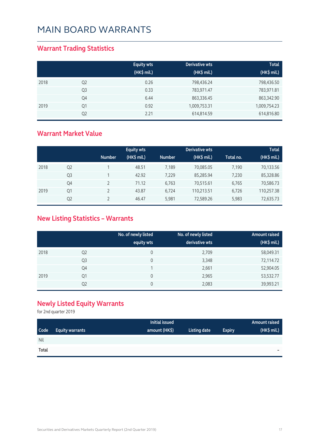#### **Warrant Trading Statistics**

|      |                | <b>Equity wts</b><br>(HK\$ mil.) | Derivative wts<br>(HK\$ mil.) | <b>Total</b><br>(HK\$ mil.) |
|------|----------------|----------------------------------|-------------------------------|-----------------------------|
| 2018 | Q <sub>2</sub> | 0.26                             | 798,436.24                    | 798,436.50                  |
|      | Q <sub>3</sub> | 0.33                             | 783,971.47                    | 783,971.81                  |
|      | Q4             | 6.44                             | 863,336.45                    | 863,342.90                  |
| 2019 | Q1             | 0.92                             | 1,009,753.31                  | 1,009,754.23                |
|      | Q <sub>2</sub> | 2.21                             | 614,814.59                    | 614,816.80                  |

#### **Warrant Market Value**

|      |                |               | <b>Equity wts</b> |               | <b>Derivative wts</b> |           | <b>Total</b> |
|------|----------------|---------------|-------------------|---------------|-----------------------|-----------|--------------|
|      |                | <b>Number</b> | (HK\$ mil.)       | <b>Number</b> | (HK\$ mil.)           | Total no. | (HK\$ mil.)  |
| 2018 | Q <sub>2</sub> |               | 48.51             | 7.189         | 70.085.05             | 7.190     | 70,133.56    |
|      | Q <sub>3</sub> |               | 42.92             | 7,229         | 85,285.94             | 7,230     | 85,328.86    |
|      | Q4             |               | 71.12             | 6,763         | 70,515.61             | 6,765     | 70,586.73    |
| 2019 | Q1             |               | 43.87             | 6,724         | 110,213.51            | 6,726     | 110,257.38   |
|      | Q <sub>2</sub> |               | 46.47             | 5.981         | 72,589.26             | 5,983     | 72,635.73    |

#### **New Listing Statistics – Warrants**

|      |                | No. of newly listed<br>equity wts | No. of newly listed<br>derivative wts | <b>Amount raised</b><br>(HK\$ mil.) |
|------|----------------|-----------------------------------|---------------------------------------|-------------------------------------|
| 2018 | Q <sub>2</sub> | 0                                 | 2,709                                 | 58,049.31                           |
|      | Q <sub>3</sub> | 0                                 | 3,348                                 | 72,114.72                           |
|      | Q4             |                                   | 2,661                                 | 52,904.05                           |
| 2019 | Q <sub>1</sub> | 0                                 | 2,965                                 | 53,532.77                           |
|      | Q <sub>2</sub> | 0                                 | 2,083                                 | 39,993.21                           |

#### **Newly Listed Equity Warrants**

for 2nd quarter 2019

|             |                        | <b>Initial issued</b> |              |               | Amount raised            |
|-------------|------------------------|-----------------------|--------------|---------------|--------------------------|
| <b>Code</b> | <b>Equity warrants</b> | amount (HK\$)         | Listing date | <b>Expiry</b> | (HK\$ mil.)              |
| Nil         |                        |                       |              |               |                          |
| Total       |                        |                       |              |               | $\overline{\phantom{a}}$ |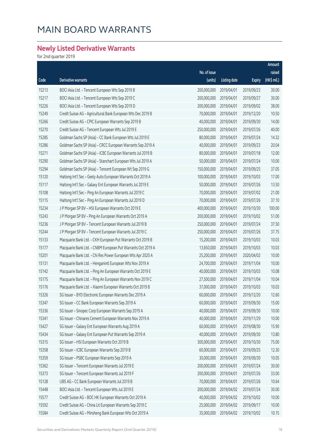#### **Newly Listed Derivative Warrants**

for 2nd quarter 2019

|       |                                                              |              |                     |               | Amount      |
|-------|--------------------------------------------------------------|--------------|---------------------|---------------|-------------|
|       |                                                              | No. of issue |                     |               | raised      |
| Code  | Derivative warrants                                          | (units)      | <b>Listing date</b> | <b>Expiry</b> | (HK\$ mil.) |
| 15213 | BOCI Asia Ltd. - Tencent European Wts Sep 2019 B             | 200,000,000  | 2019/04/01          | 2019/09/23    | 30.00       |
| 15217 | BOCI Asia Ltd. - Tencent European Wts Sep 2019 C             | 200,000,000  | 2019/04/01          | 2019/09/27    | 30.00       |
| 15226 | BOCI Asia Ltd. - Tencent European Wts Sep 2019 D             | 200,000,000  | 2019/04/01          | 2019/09/02    | 38.00       |
| 15249 | Credit Suisse AG - Agricultural Bank European Wts Dec 2019 B | 70,000,000   | 2019/04/01          | 2019/12/20    | 10.50       |
| 15266 | Credit Suisse AG - CPIC European Warrants Sep 2019 B         | 40,000,000   | 2019/04/01          | 2019/09/30    | 14.00       |
| 15270 | Credit Suisse AG - Tencent European Wts Jul 2019 E           | 250,000,000  | 2019/04/01          | 2019/07/26    | 40.00       |
| 15285 | Goldman Sachs SP (Asia) - CC Bank European Wts Jul 2019 E    | 80,000,000   | 2019/04/01          | 2019/07/24    | 14.32       |
| 15286 | Goldman Sachs SP (Asia) - CRCC European Warrants Sep 2019 A  | 40,000,000   | 2019/04/01          | 2019/09/23    | 20.04       |
| 15271 | Goldman Sachs SP (Asia) - ICBC European Warrants Jul 2019 B  | 80,000,000   | 2019/04/01          | 2019/07/18    | 12.00       |
| 15290 | Goldman Sachs SP (Asia) - Stanchart European Wts Jul 2019 A  | 50,000,000   | 2019/04/01          | 2019/07/24    | 10.00       |
| 15294 | Goldman Sachs SP (Asia) - Tencent European Wt Sep 2019 G     | 150,000,000  | 2019/04/01          | 2019/09/25    | 37.05       |
| 15120 | Haitong Int'l Sec - Geely Auto European Warrants Oct 2019 A  | 100,000,000  | 2019/04/01          | 2019/10/03    | 17.00       |
| 15117 | Haitong Int'l Sec - Galaxy Ent European Warrants Jul 2019 E  | 50,000,000   | 2019/04/01          | 2019/07/26    | 13.50       |
| 15108 | Haitong Int'l Sec - Ping An European Warrants Jul 2019 C     | 70,000,000   | 2019/04/01          | 2019/07/02    | 21.00       |
| 15115 | Haitong Int'l Sec - Ping An European Warrants Jul 2019 D     | 70,000,000   | 2019/04/01          | 2019/07/26    | 37.10       |
| 15234 | J P Morgan SP BV - HSI European Warrants Oct 2019 E          | 400,000,000  | 2019/04/01          | 2019/10/30    | 100.00      |
| 15243 | J P Morgan SP BV - Ping An European Warrants Oct 2019 A      | 200,000,000  | 2019/04/01          | 2019/10/02    | 51.00       |
| 15236 | J P Morgan SP BV - Tencent European Warrants Jul 2019 B      | 250,000,000  | 2019/04/01          | 2019/07/24    | 37.50       |
| 15244 | J P Morgan SP BV - Tencent European Warrants Jul 2019 C      | 250,000,000  | 2019/04/01          | 2019/07/26    | 37.75       |
| 15133 | Macquarie Bank Ltd. - CKH European Put Warrants Oct 2019 B   | 15,200,000   | 2019/04/01          | 2019/10/03    | 10.03       |
| 15177 | Macquarie Bank Ltd. - CNBM European Put Warrants Oct 2019 A  | 13,650,000   | 2019/04/01          | 2019/10/03    | 10.03       |
| 15201 | Macquarie Bank Ltd. - Chi Res Power European Wts Apr 2020 A  | 25,200,000   | 2019/04/01          | 2020/04/02    | 10.00       |
| 15131 | Macquarie Bank Ltd. - Henganintl European Wts Nov 2019 A     | 24,700,000   | 2019/04/01          | 2019/11/04    | 10.00       |
| 15142 | Macquarie Bank Ltd. - Ping An European Warrants Oct 2019 E   | 40,000,000   | 2019/04/01          | 2019/10/03    | 10.08       |
| 15175 | Macquarie Bank Ltd. - Ping An European Warrants Nov 2019 C   | 27,500,000   | 2019/04/01          | 2019/11/04    | 10.04       |
| 15176 | Macquarie Bank Ltd. - Xiaomi European Warrants Oct 2019 B    | 37,000,000   | 2019/04/01          | 2019/10/03    | 10.03       |
| 15326 | SG Issuer - BYD Electronic European Warrants Dec 2019 A      | 60,000,000   | 2019/04/01          | 2019/12/20    | 12.60       |
| 15347 | SG Issuer - CC Bank European Warrants Sep 2019 A             | 60,000,000   | 2019/04/01          | 2019/09/30    | 15.00       |
| 15336 | SG Issuer - Sinopec Corp European Warrants Sep 2019 A        | 40,000,000   | 2019/04/01          | 2019/09/30    | 10.00       |
| 15341 | SG Issuer - Chinares Cement European Warrants Nov 2019 A     | 40,000,000   | 2019/04/01          | 2019/11/29    | 10.00       |
| 15427 | SG Issuer - Galaxy Ent European Warrants Aug 2019 A          | 60,000,000   | 2019/04/01          | 2019/08/30    | 15.90       |
| 15434 | SG Issuer - Galaxy Ent European Put Warrants Sep 2019 A      | 40,000,000   | 2019/04/01          | 2019/09/30    | 13.80       |
| 15315 | SG Issuer - HSI European Warrants Oct 2019 B                 | 300,000,000  | 2019/04/01          | 2019/10/30    | 75.00       |
| 15358 | SG Issuer - ICBC European Warrants Sep 2019 B                | 60,000,000   | 2019/04/01          | 2019/09/25    | 12.30       |
| 15359 | SG Issuer - PSBC European Warrants Sep 2019 A                | 30,000,000   | 2019/04/01          | 2019/09/30    | 10.05       |
| 15362 | SG Issuer - Tencent European Warrants Jul 2019 E             | 200,000,000  | 2019/04/01          | 2019/07/24    | 30.00       |
| 15373 | SG Issuer - Tencent European Warrants Jul 2019 F             | 200,000,000  | 2019/04/01          | 2019/07/26    | 33.00       |
| 15128 | UBS AG - CC Bank European Warrants Jul 2019 B                | 70,000,000   | 2019/04/01          | 2019/07/26    | 10.64       |
| 15448 | BOCI Asia Ltd. - Tencent European Wts Jul 2019 E             | 200,000,000  | 2019/04/02          | 2019/07/24    | 30.00       |
| 15577 | Credit Suisse AG - BOC HK European Warrants Oct 2019 A       | 40,000,000   | 2019/04/02          | 2019/10/02    | 10.00       |
| 15592 | Credit Suisse AG - China Lit European Warrants Sep 2019 C    | 25,000,000   | 2019/04/02          | 2019/09/17    | 10.00       |
| 15584 | Credit Suisse AG - Minsheng Bank European Wts Oct 2019 A     | 35,000,000   | 2019/04/02          | 2019/10/02    | 10.15       |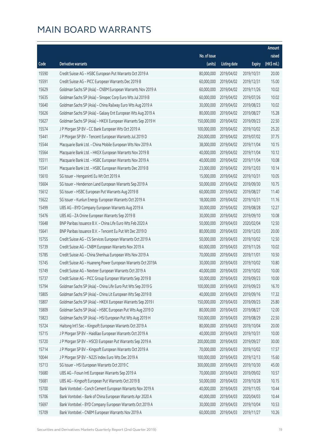|       |                                                              |              |                       |               | Amount      |
|-------|--------------------------------------------------------------|--------------|-----------------------|---------------|-------------|
|       |                                                              | No. of issue |                       |               | raised      |
| Code  | Derivative warrants                                          | (units)      | <b>Listing date</b>   | <b>Expiry</b> | (HK\$ mil.) |
| 15590 | Credit Suisse AG - HSBC European Put Warrants Oct 2019 A     | 80,000,000   | 2019/04/02            | 2019/10/31    | 20.00       |
| 15591 | Credit Suisse AG - PICC European Warrants Dec 2019 B         | 60,000,000   | 2019/04/02            | 2019/12/31    | 15.00       |
| 15629 | Goldman Sachs SP (Asia) - CNBM European Warrants Nov 2019 A  | 60,000,000   | 2019/04/02            | 2019/11/26    | 10.02       |
| 15635 | Goldman Sachs SP (Asia) - Sinopec Corp Euro Wts Jul 2019 B   | 60,000,000   | 2019/04/02            | 2019/07/26    | 10.02       |
| 15640 | Goldman Sachs SP (Asia) - China Railway Euro Wts Aug 2019 A  | 30,000,000   | 2019/04/02            | 2019/08/23    | 10.02       |
| 15626 | Goldman Sachs SP (Asia) - Galaxy Ent European Wts Aug 2019 A | 80,000,000   | 2019/04/02            | 2019/08/27    | 15.28       |
| 15627 | Goldman Sachs SP (Asia) - HKEX European Warrants Sep 2019 H  | 150,000,000  | 2019/04/02            | 2019/09/23    | 22.50       |
| 15574 | J P Morgan SP BV - CC Bank European Wts Oct 2019 A           | 100,000,000  | 2019/04/02            | 2019/10/02    | 25.20       |
| 15441 | J P Morgan SP BV - Tencent European Warrants Jul 2019 D      | 250,000,000  | 2019/04/02            | 2019/07/02    | 37.75       |
| 15544 | Macquarie Bank Ltd. - China Mobile European Wts Nov 2019 A   | 38,000,000   | 2019/04/02            | 2019/11/04    | 10.15       |
| 15564 | Macquarie Bank Ltd. - HKEX European Warrants Nov 2019 B      | 40,000,000   | 2019/04/02            | 2019/11/04    | 10.12       |
| 15511 | Macquarie Bank Ltd. - HSBC European Warrants Nov 2019 A      | 40,000,000   | 2019/04/02            | 2019/11/04    | 10.08       |
| 15541 | Macquarie Bank Ltd. - HSBC European Warrants Dec 2019 B      | 23,000,000   | 2019/04/02            | 2019/12/03    | 10.14       |
| 15610 | SG Issuer - Henganintl Eu Wt Oct 2019 A                      | 15,000,000   | 2019/04/02            | 2019/10/31    | 10.05       |
| 15604 | SG Issuer - Henderson Land European Warrants Sep 2019 A      | 50,000,000   | 2019/04/02            | 2019/09/30    | 10.75       |
| 15612 | SG Issuer - HSBC European Put Warrants Aug 2019 B            | 60,000,000   | 2019/04/02            | 2019/08/27    | 11.40       |
| 15622 | SG Issuer - Kunlun Energy European Warrants Oct 2019 A       | 18,000,000   | 2019/04/02            | 2019/10/31    | 11.16       |
| 15499 | UBS AG - BYD Company European Warrants Aug 2019 A            | 30,000,000   | 2019/04/02            | 2019/08/28    | 12.27       |
| 15476 | UBS AG - ZA Onine European Warrants Sep 2019 B               | 30,000,000   | 2019/04/02            | 2019/09/10    | 10.08       |
| 15648 | BNP Paribas Issuance B.V. - China Life Euro Wts Feb 2020 A   | 50,000,000   | 2019/04/03            | 2020/02/04    | 12.50       |
| 15641 | BNP Paribas Issuance B.V. - Tencent Eu Put Wt Dec 2019 D     | 80,000,000   | 2019/04/03            | 2019/12/03    | 20.00       |
| 15755 | Credit Suisse AG - CS Services European Warrants Oct 2019 A  | 50,000,000   | 2019/04/03            | 2019/10/02    | 12.50       |
| 15739 | Credit Suisse AG - CNBM European Warrants Nov 2019 A         | 60,000,000   | 2019/04/03            | 2019/11/26    | 10.02       |
| 15785 | Credit Suisse AG - China Shenhua European Wts Nov 2019 A     | 70,000,000   | 2019/04/03            | 2019/11/01    | 10.50       |
| 15745 | Credit Suisse AG - Huaneng Power European Warrants Oct 2019A | 30,000,000   | 2019/04/03            | 2019/10/02    | 10.80       |
| 15749 | Credit Suisse AG - Nexteer European Warrants Oct 2019 A      | 40,000,000   | 2019/04/03            | 2019/10/02    | 10.00       |
| 15737 | Credit Suisse AG - PICC Group European Warrants Sep 2019 B   |              | 50,000,000 2019/04/03 | 2019/09/23    | 10.00       |
| 15794 | Goldman Sachs SP (Asia) - China Life Euro Put Wts Sep 2019 G | 100,000,000  | 2019/04/03            | 2019/09/23    | 16.70       |
| 15805 | Goldman Sachs SP (Asia) - China Lit European Wts Sep 2019 B  | 40,000,000   | 2019/04/03            | 2019/09/16    | 17.32       |
| 15807 | Goldman Sachs SP (Asia) - HKEX European Warrants Sep 2019 I  | 150,000,000  | 2019/04/03            | 2019/09/23    | 25.80       |
| 15809 | Goldman Sachs SP (Asia) - HSBC European Put Wts Aug 2019 D   | 80,000,000   | 2019/04/03            | 2019/08/27    | 12.00       |
| 15823 | Goldman Sachs SP (Asia) - HSI European Put Wts Aug 2019 H    | 150,000,000  | 2019/04/03            | 2019/08/29    | 22.50       |
| 15724 | Haitong Int'l Sec - Kingsoft European Warrants Oct 2019 A    | 80,000,000   | 2019/04/03            | 2019/10/04    | 20.00       |
| 15715 | J P Morgan SP BV - Haidilao European Warrants Oct 2019 A     | 40,000,000   | 2019/04/03            | 2019/10/31    | 10.00       |
| 15720 | J P Morgan SP BV - HSCEI European Put Warrants Sep 2019 A    | 200,000,000  | 2019/04/03            | 2019/09/27    | 30.00       |
| 15714 | J P Morgan SP BV - Kingsoft European Warrants Oct 2019 A     | 70,000,000   | 2019/04/03            | 2019/10/02    | 17.57       |
| 10044 | J P Morgan SP BV - N225 Index Euro Wts Dec 2019 A            | 100,000,000  | 2019/04/03            | 2019/12/13    | 15.60       |
| 15713 | SG Issuer - HSI European Warrants Oct 2019 C                 | 300,000,000  | 2019/04/03            | 2019/10/30    | 45.00       |
| 15680 | UBS AG - Fosun Intl European Warrants Sep 2019 A             | 70,000,000   | 2019/04/03            | 2019/09/02    | 10.57       |
| 15681 | UBS AG - Kingsoft European Put Warrants Oct 2019 B           | 50,000,000   | 2019/04/03            | 2019/10/28    | 10.15       |
| 15700 | Bank Vontobel - Conch Cement European Warrants Nov 2019 A    | 40,000,000   | 2019/04/03            | 2019/11/05    | 10.44       |
| 15706 | Bank Vontobel - Bank of China European Warrants Apr 2020 A   | 40,000,000   | 2019/04/03            | 2020/04/03    | 10.44       |
| 15697 | Bank Vontobel - BYD Company European Warrants Oct 2019 A     | 30,000,000   | 2019/04/03            | 2019/10/04    | 10.53       |
| 15709 | Bank Vontobel - CNBM European Warrants Nov 2019 A            | 60,000,000   | 2019/04/03            | 2019/11/27    | 10.26       |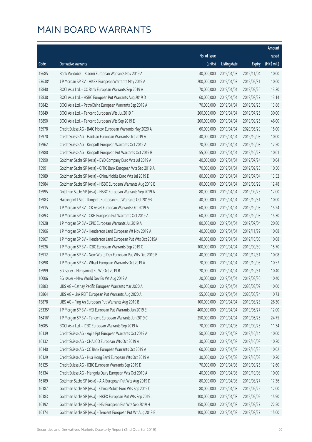|        |                                                              |              |                       |               | Amount      |
|--------|--------------------------------------------------------------|--------------|-----------------------|---------------|-------------|
|        |                                                              | No. of issue |                       |               | raised      |
| Code   | Derivative warrants                                          | (units)      | <b>Listing date</b>   | <b>Expiry</b> | (HK\$ mil.) |
| 15685  | Bank Vontobel - Xiaomi European Warrants Nov 2019 A          | 40,000,000   | 2019/04/03            | 2019/11/04    | 10.00       |
| 23638# | J P Morgan SP BV - HKEX European Warrants May 2019 A         | 200,000,000  | 2019/04/03            | 2019/05/31    | 10.60       |
| 15840  | BOCI Asia Ltd. - CC Bank European Warrants Sep 2019 A        | 70,000,000   | 2019/04/04            | 2019/09/26    | 13.30       |
| 15838  | BOCI Asia Ltd. - HSBC European Put Warrants Aug 2019 D       | 60,000,000   | 2019/04/04            | 2019/08/27    | 13.14       |
| 15842  | BOCI Asia Ltd. - PetroChina European Warrants Sep 2019 A     | 70,000,000   | 2019/04/04            | 2019/09/25    | 13.86       |
| 15849  | BOCI Asia Ltd. - Tencent European Wts Jul 2019 F             | 200,000,000  | 2019/04/04            | 2019/07/26    | 30.00       |
| 15850  | BOCI Asia Ltd. - Tencent European Wts Sep 2019 E             | 200,000,000  | 2019/04/04            | 2019/09/25    | 46.00       |
| 15978  | Credit Suisse AG - BAIC Motor European Warrants May 2020 A   | 60,000,000   | 2019/04/04            | 2020/05/29    | 15.00       |
| 15970  | Credit Suisse AG - Haidilao European Warrants Oct 2019 A     | 40,000,000   | 2019/04/04            | 2019/10/03    | 10.00       |
| 15962  | Credit Suisse AG - Kingsoft European Warrants Oct 2019 A     | 70,000,000   | 2019/04/04            | 2019/10/03    | 17.50       |
| 15980  | Credit Suisse AG - Kingsoft European Put Warrants Oct 2019 B | 55,000,000   | 2019/04/04            | 2019/10/28    | 10.01       |
| 15990  | Goldman Sachs SP (Asia) - BYD Company Euro Wts Jul 2019 A    | 40,000,000   | 2019/04/04            | 2019/07/24    | 10.04       |
| 15991  | Goldman Sachs SP (Asia) - CITIC Bank European Wts Sep 2019 A | 70,000,000   | 2019/04/04            | 2019/09/23    | 10.50       |
| 15989  | Goldman Sachs SP (Asia) - China Mobile Euro Wts Jul 2019 D   | 80,000,000   | 2019/04/04            | 2019/07/04    | 13.52       |
| 15984  | Goldman Sachs SP (Asia) - HSBC European Warrants Aug 2019 E  | 80,000,000   | 2019/04/04            | 2019/08/29    | 12.48       |
| 15995  | Goldman Sachs SP (Asia) - HSBC European Warrants Sep 2019 A  | 80,000,000   | 2019/04/04            | 2019/09/25    | 12.00       |
| 15983  | Haitong Int'l Sec - Kingsoft European Put Warrants Oct 2019B | 40,000,000   | 2019/04/04            | 2019/10/31    | 10.00       |
| 15915  | J P Morgan SP BV - CK Asset European Warrants Oct 2019 A     | 60,000,000   | 2019/04/04            | 2019/10/03    | 15.24       |
| 15893  | J P Morgan SP BV - CKH European Put Warrants Oct 2019 A      | 60,000,000   | 2019/04/04            | 2019/10/03    | 15.30       |
| 15928  | J P Morgan SP BV - CPIC European Warrants Jul 2019 A         | 80,000,000   | 2019/04/04            | 2019/07/04    | 20.80       |
| 15906  | J P Morgan SP BV - Henderson Land European Wt Nov 2019 A     | 40,000,000   | 2019/04/04            | 2019/11/29    | 10.08       |
| 15907  | J P Morgan SP BV - Henderson Land European Put Wts Oct 2019A | 40,000,000   | 2019/04/04            | 2019/10/03    | 10.08       |
| 15926  | J P Morgan SP BV - ICBC European Warrants Sep 2019 C         | 100,000,000  | 2019/04/04            | 2019/09/30    | 15.70       |
| 15912  | J P Morgan SP BV - New World Dev European Put Wts Dec 2019 B | 40,000,000   | 2019/04/04            | 2019/12/31    | 10.08       |
| 15898  | J P Morgan SP BV - Wharf European Warrants Oct 2019 A        | 70,000,000   | 2019/04/04            | 2019/10/03    | 10.57       |
| 15999  | SG Issuer - Henganintl Eu Wt Oct 2019 B                      | 20,000,000   | 2019/04/04            | 2019/10/31    | 10.40       |
| 16006  | SG Issuer - New World Dev Eu Wt Aug 2019 A                   |              | 20,000,000 2019/04/04 | 2019/08/30    | 10.40       |
| 15883  | UBS AG - Cathay Pacific European Warrants Mar 2020 A         | 40,000,000   | 2019/04/04            | 2020/03/09    | 10.00       |
| 15864  | UBS AG - Link REIT European Put Warrants Aug 2020 A          | 55,000,000   | 2019/04/04            | 2020/08/24    | 10.73       |
| 15878  | UBS AG - Ping An European Put Warrants Aug 2019 B            | 100,000,000  | 2019/04/04            | 2019/08/23    | 26.30       |
| 25335# | J P Morgan SP BV - HSI European Put Warrants Jun 2019 E      | 400,000,000  | 2019/04/04            | 2019/06/27    | 12.00       |
| 16416# | J P Morgan SP BV - Tencent European Warrants Jun 2019 C      | 250,000,000  | 2019/04/04            | 2019/06/25    | 24.75       |
| 16085  | BOCI Asia Ltd. - ICBC European Warrants Sep 2019 A           | 70,000,000   | 2019/04/08            | 2019/09/25    | 11.34       |
| 16139  | Credit Suisse AG - Agile Ppt European Warrants Oct 2019 A    | 50,000,000   | 2019/04/08            | 2019/10/14    | 10.00       |
| 16132  | Credit Suisse AG - CHALCO European Wts Oct 2019 A            | 30,000,000   | 2019/04/08            | 2019/10/08    | 10.20       |
| 16140  | Credit Suisse AG - CC Bank European Warrants Oct 2019 A      | 60,000,000   | 2019/04/08            | 2019/10/25    | 10.02       |
| 16129  | Credit Suisse AG - Hua Hong Semi European Wts Oct 2019 A     | 30,000,000   | 2019/04/08            | 2019/10/08    | 10.20       |
| 16125  | Credit Suisse AG - ICBC European Warrants Sep 2019 D         | 70,000,000   | 2019/04/08            | 2019/09/25    | 12.60       |
| 16134  | Credit Suisse AG - Mengniu Dairy European Wts Oct 2019 A     | 40,000,000   | 2019/04/08            | 2019/10/08    | 10.00       |
| 16189  | Goldman Sachs SP (Asia) - AIA European Put Wts Aug 2019 D    | 80,000,000   | 2019/04/08            | 2019/08/27    | 17.36       |
| 16187  | Goldman Sachs SP (Asia) - China Mobile Euro Wts Sep 2019 C   | 80,000,000   | 2019/04/08            | 2019/09/25    | 12.00       |
| 16183  | Goldman Sachs SP (Asia) - HKEX European Put Wts Sep 2019 J   | 100,000,000  | 2019/04/08            | 2019/09/09    | 15.90       |
| 16192  | Goldman Sachs SP (Asia) - HSI European Put Wts Sep 2019 H    | 150,000,000  | 2019/04/08            | 2019/09/27    | 22.50       |
| 16174  | Goldman Sachs SP (Asia) - Tencent European Put Wt Aug 2019 E | 100,000,000  | 2019/04/08            | 2019/08/27    | 15.00       |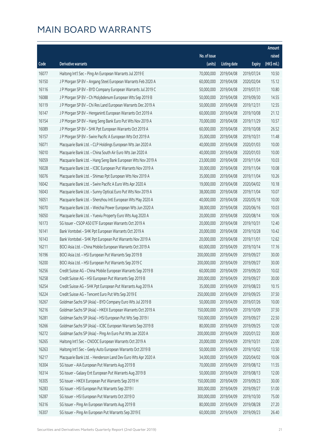|       |                                                              |                        |                     |               | Amount       |
|-------|--------------------------------------------------------------|------------------------|---------------------|---------------|--------------|
|       |                                                              | No. of issue           |                     |               | raised       |
| Code  | Derivative warrants                                          | (units)                | <b>Listing date</b> | <b>Expiry</b> | $(HK\$ mil.) |
| 16077 | Haitong Int'l Sec - Ping An European Warrants Jul 2019 E     | 70,000,000             | 2019/04/08          | 2019/07/24    | 10.50        |
| 16150 | J P Morgan SP BV - Angang Steel European Warrants Feb 2020 A | 60,000,000             | 2019/04/08          | 2020/02/04    | 15.12        |
| 16116 | J P Morgan SP BV - BYD Company European Warrants Jul 2019 C  | 50,000,000             | 2019/04/08          | 2019/07/31    | 10.80        |
| 16088 | J P Morgan SP BV - Ch Molybdenum European Wts Sep 2019 B     | 50,000,000             | 2019/04/08          | 2019/09/30    | 14.55        |
| 16119 | J P Morgan SP BV - Chi Res Land European Warrants Dec 2019 A | 50,000,000             | 2019/04/08          | 2019/12/31    | 12.55        |
| 16147 | J P Morgan SP BV - Henganintl European Warrants Oct 2019 A   | 60,000,000             | 2019/04/08          | 2019/10/08    | 21.12        |
| 16154 | J P Morgan SP BV - Hang Seng Bank Euro Put Wts Nov 2019 A    | 70,000,000             | 2019/04/08          | 2019/11/29    | 10.57        |
| 16089 | J P Morgan SP BV - SHK Ppt European Warrants Oct 2019 A      | 60,000,000             | 2019/04/08          | 2019/10/08    | 26.52        |
| 16157 | J P Morgan SP BV - Swire Pacific A European Wts Oct 2019 A   | 35,000,000             | 2019/04/08          | 2019/10/31    | 11.48        |
| 16071 | Macquarie Bank Ltd. - CLP Holdings European Wts Jan 2020 A   | 40,000,000             | 2019/04/08          | 2020/01/03    | 10.00        |
| 16010 | Macquarie Bank Ltd. - China South Air Euro Wts Jan 2020 A    | 40,000,000             | 2019/04/08          | 2020/01/03    | 10.00        |
| 16059 | Macquarie Bank Ltd. - Hang Seng Bank European Wts Nov 2019 A | 23,000,000             | 2019/04/08          | 2019/11/04    | 10.03        |
| 16028 | Macquarie Bank Ltd. - ICBC European Put Warrants Nov 2019 A  | 30,000,000             | 2019/04/08          | 2019/11/04    | 10.08        |
| 16076 | Macquarie Bank Ltd. - Shimao Ppt European Wts Nov 2019 A     | 35,000,000             | 2019/04/08          | 2019/11/04    | 10.26        |
| 16042 | Macquarie Bank Ltd. - Swire Pacific A Euro Wts Apr 2020 A    | 19,000,000             | 2019/04/08          | 2020/04/02    | 10.18        |
| 16043 | Macquarie Bank Ltd. - Sunny Optical Euro Put Wts Nov 2019 A  | 38,000,000             | 2019/04/08          | 2019/11/04    | 10.07        |
| 16051 | Macquarie Bank Ltd. - Shenzhou Intl European Wts May 2020 A  | 40,000,000             | 2019/04/08          | 2020/05/18    | 10.00        |
| 16070 | Macquarie Bank Ltd. - Weichai Power European Wts Jun 2020 A  | 38,000,000             | 2019/04/08          | 2020/06/16    | 10.03        |
| 16050 | Macquarie Bank Ltd. - Yuexiu Property Euro Wts Aug 2020 A    | 20,000,000             | 2019/04/08          | 2020/08/14    | 10.06        |
| 16173 | SG Issuer - CSOP A50 ETF European Warrants Oct 2019 A        | 20,000,000             | 2019/04/08          | 2019/10/31    | 12.40        |
| 16141 | Bank Vontobel - SHK Ppt European Warrants Oct 2019 A         | 20,000,000             | 2019/04/08          | 2019/10/28    | 10.42        |
| 16143 | Bank Vontobel - SHK Ppt European Put Warrants Nov 2019 A     | 20,000,000             | 2019/04/08          | 2019/11/01    | 12.62        |
| 16211 | BOCI Asia Ltd. - China Mobile European Warrants Oct 2019 A   | 60,000,000             | 2019/04/09          | 2019/10/14    | 17.16        |
| 16196 | BOCI Asia Ltd. - HSI European Put Warrants Sep 2019 B        | 200,000,000            | 2019/04/09          | 2019/09/27    | 30.00        |
| 16200 | BOCI Asia Ltd. - HSI European Put Warrants Sep 2019 C        | 200,000,000            | 2019/04/09          | 2019/09/27    | 30.00        |
| 16256 | Credit Suisse AG - China Mobile European Warrants Sep 2019 B | 60,000,000             | 2019/04/09          | 2019/09/20    | 10.02        |
| 16258 | Credit Suisse AG - HSI European Put Warrants Sep 2019 B      | 200,000,000 2019/04/09 |                     | 2019/09/27    | 30.00        |
| 16254 | Credit Suisse AG - SHK Ppt European Put Warrants Aug 2019 A  | 35,000,000             | 2019/04/09          | 2019/08/23    | 10.15        |
| 16224 | Credit Suisse AG - Tencent Euro Put Wts Sep 2019 E           | 250,000,000            | 2019/04/09          | 2019/09/25    | 37.50        |
| 16267 | Goldman Sachs SP (Asia) - BYD Company Euro Wts Jul 2019 B    | 50,000,000             | 2019/04/09          | 2019/07/26    | 10.00        |
| 16216 | Goldman Sachs SP (Asia) - HKEX European Warrants Oct 2019 A  | 150,000,000            | 2019/04/09          | 2019/10/09    | 37.50        |
| 16281 | Goldman Sachs SP (Asia) - HSI European Put Wts Sep 2019 I    | 150,000,000            | 2019/04/09          | 2019/09/27    | 22.50        |
| 16266 | Goldman Sachs SP (Asia) - ICBC European Warrants Sep 2019 B  | 80,000,000             | 2019/04/09          | 2019/09/25    | 12.00        |
| 16272 | Goldman Sachs SP (Asia) - Ping An Euro Put Wts Jan 2020 A    | 200,000,000            | 2019/04/09          | 2020/01/22    | 30.00        |
| 16265 | Haitong Int'l Sec - CNOOC European Warrants Oct 2019 A       | 20,000,000             | 2019/04/09          | 2019/10/31    | 22.00        |
| 16263 | Haitong Int'l Sec - Geely Auto European Warrants Oct 2019 B  | 50,000,000             | 2019/04/09          | 2019/10/02    | 13.50        |
| 16217 | Macquarie Bank Ltd. - Henderson Land Dev Euro Wts Apr 2020 A | 34,000,000             | 2019/04/09          | 2020/04/02    | 10.06        |
| 16304 | SG Issuer - AIA European Put Warrants Aug 2019 B             | 70,000,000             | 2019/04/09          | 2019/08/12    | 11.55        |
| 16314 | SG Issuer - Galaxy Ent European Put Warrants Aug 2019 B      | 50,000,000             | 2019/04/09          | 2019/08/13    | 12.00        |
| 16305 | SG Issuer - HKEX European Put Warrants Sep 2019 H            | 150,000,000            | 2019/04/09          | 2019/09/23    | 30.00        |
| 16283 | SG Issuer - HSI European Put Warrants Sep 2019 I             | 300,000,000            | 2019/04/09          | 2019/09/27    | 51.00        |
| 16287 | SG Issuer - HSI European Put Warrants Oct 2019 D             | 300,000,000            | 2019/04/09          | 2019/10/30    | 75.00        |
| 16316 | SG Issuer - Ping An European Warrants Aug 2019 B             | 80,000,000             | 2019/04/09          | 2019/08/28    | 27.20        |
| 16307 | SG Issuer - Ping An European Put Warrants Sep 2019 E         | 60,000,000             | 2019/04/09          | 2019/09/23    | 26.40        |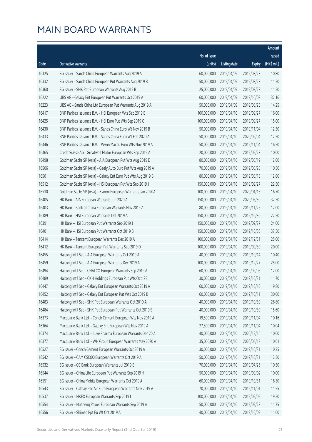|       |                                                              |              |                       |               | Amount      |
|-------|--------------------------------------------------------------|--------------|-----------------------|---------------|-------------|
|       |                                                              | No. of issue |                       |               | raised      |
| Code  | <b>Derivative warrants</b>                                   | (units)      | <b>Listing date</b>   | <b>Expiry</b> | (HK\$ mil.) |
| 16325 | SG Issuer - Sands China European Warrants Aug 2019 A         | 60,000,000   | 2019/04/09            | 2019/08/23    | 10.80       |
| 16332 | SG Issuer - Sands China European Put Warrants Aug 2019 B     | 50,000,000   | 2019/04/09            | 2019/08/23    | 11.50       |
| 16360 | SG Issuer - SHK Ppt European Warrants Aug 2019 B             | 25,000,000   | 2019/04/09            | 2019/08/23    | 11.50       |
| 16222 | UBS AG - Galaxy Ent European Put Warrants Oct 2019 A         | 60,000,000   | 2019/04/09            | 2019/10/08    | 32.16       |
| 16223 | UBS AG - Sands China Ltd European Put Warrants Aug 2019 A    | 50,000,000   | 2019/04/09            | 2019/08/23    | 14.25       |
| 16417 | BNP Paribas Issuance B.V. - HSI European Wts Sep 2019 B      | 100,000,000  | 2019/04/10            | 2019/09/27    | 16.00       |
| 16425 | BNP Paribas Issuance B.V. - HSI Euro Put Wts Sep 2019 C      | 100,000,000  | 2019/04/10            | 2019/09/27    | 15.00       |
| 16430 | BNP Paribas Issuance B.V. - Sands China Euro Wt Nov 2019 B   | 50,000,000   | 2019/04/10            | 2019/11/04    | 12.50       |
| 16433 | BNP Paribas Issuance B.V. - Sands China Euro Wt Feb 2020 A   | 50,000,000   | 2019/04/10            | 2020/02/04    | 12.50       |
| 16446 | BNP Paribas Issuance B.V. - Wynn Macau Euro Wts Nov 2019 A   | 50,000,000   | 2019/04/10            | 2019/11/04    | 16.50       |
| 16465 | Credit Suisse AG - Greatwall Motor European Wts Sep 2019 A   | 20,000,000   | 2019/04/10            | 2019/09/23    | 10.00       |
| 16498 | Goldman Sachs SP (Asia) - AIA European Put Wts Aug 2019 E    | 80,000,000   | 2019/04/10            | 2019/08/19    | 12.00       |
| 16506 | Goldman Sachs SP (Asia) - Geely Auto Euro Put Wts Aug 2019 A | 70,000,000   | 2019/04/10            | 2019/08/28    | 10.50       |
| 16501 | Goldman Sachs SP (Asia) - Galaxy Ent Euro Put Wts Aug 2019 B | 80,000,000   | 2019/04/10            | 2019/08/13    | 12.00       |
| 16512 | Goldman Sachs SP (Asia) - HSI European Put Wts Sep 2019 J    | 150,000,000  | 2019/04/10            | 2019/09/27    | 22.50       |
| 16510 | Goldman Sachs SP (Asia) - Xiaomi European Warrants Jan 2020A | 100,000,000  | 2019/04/10            | 2020/01/13    | 16.70       |
| 16405 | HK Bank - AIA European Warrants Jun 2020 A                   | 150,000,000  | 2019/04/10            | 2020/06/30    | 37.50       |
| 16403 | HK Bank - Bank of China European Warrants Nov 2019 A         | 80,000,000   | 2019/04/10            | 2019/11/25    | 12.00       |
| 16389 | HK Bank - HSI European Warrants Oct 2019 A                   | 150,000,000  | 2019/04/10            | 2019/10/30    | 22.50       |
| 16391 | HK Bank - HSI European Put Warrants Sep 2019 J               | 150,000,000  | 2019/04/10            | 2019/09/27    | 24.00       |
| 16401 | HK Bank - HSI European Put Warrants Oct 2019 B               | 150,000,000  | 2019/04/10            | 2019/10/30    | 37.50       |
| 16414 | HK Bank - Tencent European Warrants Dec 2019 A               | 100,000,000  | 2019/04/10            | 2019/12/31    | 25.00       |
| 16412 | HK Bank - Tencent European Put Warrants Sep 2019 D           | 100,000,000  | 2019/04/10            | 2019/09/30    | 20.00       |
| 16455 | Haitong Int'l Sec - AIA European Warrants Oct 2019 A         | 40,000,000   | 2019/04/10            | 2019/10/14    | 10.40       |
| 16459 | Haitong Int'l Sec - AIA European Warrants Dec 2019 A         | 100,000,000  | 2019/04/10            | 2019/12/27    | 25.00       |
| 16494 | Haitong Int'l Sec - CHALCO European Warrants Sep 2019 A      | 60,000,000   | 2019/04/10            | 2019/09/05    | 12.00       |
| 16489 | Haitong Int'l Sec - CKH Holdings European Put Wts Oct19B     |              | 30,000,000 2019/04/10 | 2019/10/31    | 11.70       |
| 16447 | Haitong Int'l Sec - Galaxy Ent European Warrants Oct 2019 A  | 60,000,000   | 2019/04/10            | 2019/10/10    | 19.80       |
| 16452 | Haitong Int'l Sec - Galaxy Ent European Put Wts Oct 2019 B   | 60,000,000   | 2019/04/10            | 2019/10/11    | 30.00       |
| 16483 | Haitong Int'l Sec - SHK Ppt European Warrants Oct 2019 A     | 40,000,000   | 2019/04/10            | 2019/10/30    | 26.80       |
| 16484 | Haitong Int'l Sec - SHK Ppt European Put Warrants Oct 2019 B | 40,000,000   | 2019/04/10            | 2019/10/30    | 15.60       |
| 16373 | Macquarie Bank Ltd. - Conch Cement European Wts Nov 2019 A   | 19,500,000   | 2019/04/10            | 2019/11/04    | 10.16       |
| 16364 | Macquarie Bank Ltd. - Galaxy Ent European Wts Nov 2019 A     | 27,500,000   | 2019/04/10            | 2019/11/04    | 10.04       |
| 16374 | Macquarie Bank Ltd. - Luye Pharma European Warrants Dec 20 A | 40,000,000   | 2019/04/10            | 2020/12/16    | 10.00       |
| 16377 | Macquarie Bank Ltd. - WH Group European Warrants May 2020 A  | 35,000,000   | 2019/04/10            | 2020/05/18    | 10.01       |
| 16527 | SG Issuer - Conch Cement European Warrants Oct 2019 A        | 30,000,000   | 2019/04/10            | 2019/10/31    | 10.35       |
| 16542 | SG Issuer - CAM CSI300 European Warrants Oct 2019 A          | 50,000,000   | 2019/04/10            | 2019/10/31    | 12.50       |
| 16532 | SG Issuer - CC Bank European Warrants Jul 2019 E             | 70,000,000   | 2019/04/10            | 2019/07/26    | 10.50       |
| 16544 | SG Issuer - China Life European Put Warrants Sep 2019 H      | 50,000,000   | 2019/04/10            | 2019/09/02    | 10.00       |
| 16551 | SG Issuer - China Mobile European Warrants Oct 2019 A        | 60,000,000   | 2019/04/10            | 2019/10/31    | 16.50       |
| 16543 | SG Issuer - Cathay Pac Air Euro European Warrants Nov 2019 A | 70,000,000   | 2019/04/10            | 2019/11/01    | 11.55       |
| 16537 | SG Issuer - HKEX European Warrants Sep 2019 I                | 100,000,000  | 2019/04/10            | 2019/09/09    | 19.50       |
| 16554 | SG Issuer - Huaneng Power European Warrants Sep 2019 A       | 50,000,000   | 2019/04/10            | 2019/09/23    | 11.75       |
| 16556 | SG Issuer - Shimao Ppt Eu Wt Oct 2019 A                      | 40,000,000   | 2019/04/10            | 2019/10/09    | 11.00       |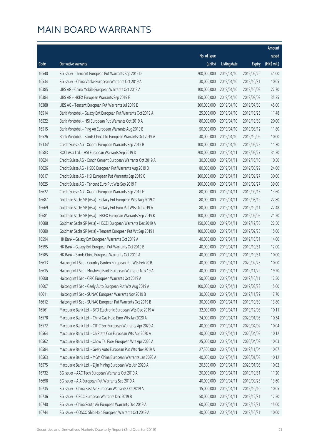|        |                                                              |              |                       |               | Amount      |
|--------|--------------------------------------------------------------|--------------|-----------------------|---------------|-------------|
|        |                                                              | No. of issue |                       |               | raised      |
| Code   | <b>Derivative warrants</b>                                   | (units)      | <b>Listing date</b>   | <b>Expiry</b> | (HK\$ mil.) |
| 16540  | SG Issuer - Tencent European Put Warrants Sep 2019 D         | 200,000,000  | 2019/04/10            | 2019/09/26    | 41.00       |
| 16534  | SG Issuer - China Vanke European Warrants Oct 2019 A         | 30,000,000   | 2019/04/10            | 2019/10/31    | 10.05       |
| 16385  | UBS AG - China Mobile European Warrants Oct 2019 A           | 100,000,000  | 2019/04/10            | 2019/10/09    | 27.70       |
| 16384  | UBS AG - HKEX European Warrants Sep 2019 E                   | 150,000,000  | 2019/04/10            | 2019/09/02    | 35.25       |
| 16388  | UBS AG - Tencent European Put Warrants Jul 2019 E            | 300,000,000  | 2019/04/10            | 2019/07/30    | 45.00       |
| 16514  | Bank Vontobel - Galaxy Ent European Put Warrants Oct 2019 A  | 25,000,000   | 2019/04/10            | 2019/10/25    | 11.48       |
| 16522  | Bank Vontobel - HSI European Put Warrants Oct 2019 A         | 80,000,000   | 2019/04/10            | 2019/10/30    | 20.00       |
| 16515  | Bank Vontobel - Ping An European Warrants Aug 2019 B         | 50,000,000   | 2019/04/10            | 2019/08/12    | 11.80       |
| 16526  | Bank Vontobel - Sands China Ltd European Warrants Oct 2019 A | 40,000,000   | 2019/04/10            | 2019/10/09    | 10.00       |
| 19134# | Credit Suisse AG - Xiaomi European Warrants Sep 2019 B       | 100,000,000  | 2019/04/10            | 2019/09/25    | 11.30       |
| 16583  | BOCI Asia Ltd. - HSI European Warrants Sep 2019 D            | 200,000,000  | 2019/04/11            | 2019/09/27    | 31.20       |
| 16624  | Credit Suisse AG - Conch Cement European Warrants Oct 2019 A | 30,000,000   | 2019/04/11            | 2019/10/10    | 10.50       |
| 16626  | Credit Suisse AG - HSBC European Put Warrants Aug 2019 D     | 80,000,000   | 2019/04/11            | 2019/08/29    | 24.00       |
| 16617  | Credit Suisse AG - HSI European Put Warrants Sep 2019 C      | 200,000,000  | 2019/04/11            | 2019/09/27    | 30.00       |
| 16625  | Credit Suisse AG - Tencent Euro Put Wts Sep 2019 F           | 200,000,000  | 2019/04/11            | 2019/09/27    | 39.00       |
| 16622  | Credit Suisse AG - Xiaomi European Warrants Sep 2019 E       | 80,000,000   | 2019/04/11            | 2019/09/16    | 13.60       |
| 16687  | Goldman Sachs SP (Asia) - Galaxy Ent European Wts Aug 2019 C | 80,000,000   | 2019/04/11            | 2019/08/19    | 22.80       |
| 16669  | Goldman Sachs SP (Asia) - Galaxy Ent Euro Put Wts Oct 2019 A | 80,000,000   | 2019/04/11            | 2019/10/11    | 22.48       |
| 16681  | Goldman Sachs SP (Asia) - HKEX European Warrants Sep 2019 K  | 100,000,000  | 2019/04/11            | 2019/09/05    | 21.20       |
| 16688  | Goldman Sachs SP (Asia) - HSCEI European Warrants Dec 2019 A | 150,000,000  | 2019/04/11            | 2019/12/30    | 22.50       |
| 16680  | Goldman Sachs SP (Asia) - Tencent European Put Wt Sep 2019 H | 100,000,000  | 2019/04/11            | 2019/09/25    | 15.00       |
| 16594  | HK Bank - Galaxy Ent European Warrants Oct 2019 A            | 40,000,000   | 2019/04/11            | 2019/10/31    | 14.00       |
| 16595  | HK Bank - Galaxy Ent European Put Warrants Oct 2019 B        | 40,000,000   | 2019/04/11            | 2019/10/31    | 12.00       |
| 16585  | HK Bank - Sands China European Warrants Oct 2019 A           | 40,000,000   | 2019/04/11            | 2019/10/31    | 10.00       |
| 16613  | Haitong Int'l Sec - Country Garden European Put Wts Feb 20 B | 40,000,000   | 2019/04/11            | 2020/02/28    | 10.00       |
| 16615  | Haitong Int'l Sec - Minsheng Bank European Warrants Nov 19 A | 40,000,000   | 2019/04/11            | 2019/11/29    | 19.20       |
| 16608  | Haitong Int'l Sec - CPIC European Warrants Oct 2019 A        |              | 50,000,000 2019/04/11 | 2019/10/11    | 12.50       |
| 16607  | Haitong Int'l Sec - Geely Auto European Put Wts Aug 2019 A   | 100,000,000  | 2019/04/11            | 2019/08/28    | 15.00       |
| 16611  | Haitong Int'l Sec - SUNAC European Warrants Nov 2019 B       | 30,000,000   | 2019/04/11            | 2019/11/29    | 17.70       |
| 16612  | Haitong Int'l Sec - SUNAC European Put Warrants Oct 2019 B   | 30,000,000   | 2019/04/11            | 2019/10/30    | 13.80       |
| 16561  | Macquarie Bank Ltd. - BYD Electronic European Wts Dec 2019 A | 32,000,000   | 2019/04/11            | 2019/12/03    | 10.11       |
| 16578  | Macquarie Bank Ltd. - China Gas Hold Euro Wts Jan 2020 A     | 24,000,000   | 2019/04/11            | 2020/01/03    | 10.34       |
| 16572  | Macquarie Bank Ltd. - CITIC Sec European Warrants Apr 2020 A | 40,000,000   | 2019/04/11            | 2020/04/02    | 10.04       |
| 16564  | Macquarie Bank Ltd. - Ch State Con European Wts Apr 2020 A   | 40,000,000   | 2019/04/11            | 2020/04/02    | 10.12       |
| 16562  | Macquarie Bank Ltd. - Chow Tai Fook European Wts Apr 2020 A  | 25,000,000   | 2019/04/11            | 2020/04/02    | 10.03       |
| 16584  | Macquarie Bank Ltd. - Geely Auto European Put Wts Nov 2019 A | 27,500,000   | 2019/04/11            | 2019/11/04    | 10.07       |
| 16563  | Macquarie Bank Ltd. - MGM China European Warrants Jan 2020 A | 40,000,000   | 2019/04/11            | 2020/01/03    | 10.12       |
| 16575  | Macquarie Bank Ltd. - Zijin Mining European Wts Jan 2020 A   | 20,500,000   | 2019/04/11            | 2020/01/03    | 10.02       |
| 16732  | SG Issuer - AAC Tech European Warrants Oct 2019 A            | 20,000,000   | 2019/04/11            | 2019/10/31    | 11.20       |
| 16698  | SG Issuer - AIA European Put Warrants Sep 2019 A             | 40,000,000   | 2019/04/11            | 2019/09/23    | 13.60       |
| 16735  | SG Issuer - China East Air European Warrants Oct 2019 A      | 15,000,000   | 2019/04/11            | 2019/10/10    | 10.05       |
| 16736  | SG Issuer - CRCC European Warrants Dec 2019 B                | 50,000,000   | 2019/04/11            | 2019/12/31    | 12.50       |
| 16740  | SG Issuer - China South Air European Warrants Dec 2019 A     | 60,000,000   | 2019/04/11            | 2019/12/31    | 15.00       |
| 16744  | SG Issuer - COSCO Ship Hold European Warrants Oct 2019 A     | 40,000,000   | 2019/04/11            | 2019/10/31    | 10.00       |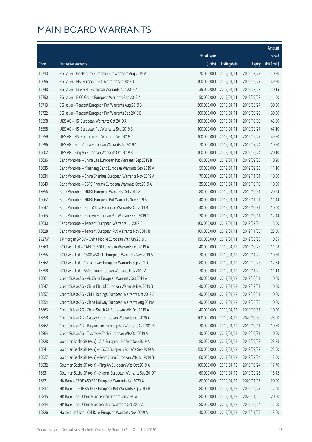|        |                                                              |              |                       |               | Amount      |
|--------|--------------------------------------------------------------|--------------|-----------------------|---------------|-------------|
|        |                                                              | No. of issue |                       |               | raised      |
| Code   | Derivative warrants                                          | (units)      | <b>Listing date</b>   | <b>Expiry</b> | (HK\$ mil.) |
| 16710  | SG Issuer - Geely Auto European Put Warrants Aug 2019 A      | 70,000,000   | 2019/04/11            | 2019/08/28    | 10.50       |
| 16696  | SG Issuer - HSI European Put Warrants Sep 2019 J             | 300,000,000  | 2019/04/11            | 2019/09/27    | 49.50       |
| 16748  | SG Issuer - Link REIT European Warrants Aug 2019 A           | 35,000,000   | 2019/04/11            | 2019/08/23    | 10.15       |
| 16750  | SG Issuer - PICC Group European Warrants Sep 2019 A          | 50,000,000   | 2019/04/11            | 2019/09/23    | 11.00       |
| 16713  | SG Issuer - Tencent European Put Warrants Aug 2019 B         | 200,000,000  | 2019/04/11            | 2019/08/27    | 30.00       |
| 16722  | SG Issuer - Tencent European Put Warrants Sep 2019 E         | 200,000,000  | 2019/04/11            | 2019/09/25    | 30.00       |
| 16598  | UBS AG - HSI European Warrants Oct 2019 A                    | 300,000,000  | 2019/04/11            | 2019/10/30    | 45.60       |
| 16558  | UBS AG - HSI European Put Warrants Sep 2019 B                | 300,000,000  | 2019/04/11            | 2019/09/27    | 47.10       |
| 16559  | UBS AG - HSI European Put Warrants Sep 2019 C                | 300,000,000  | 2019/04/11            | 2019/09/27    | 49.50       |
| 16596  | UBS AG - PetroChina European Warrants Jul 2019 A             | 70,000,000   | 2019/04/11            | 2019/07/24    | 10.50       |
| 16602  | UBS AG - Ping An European Warrants Oct 2019 B                | 100,000,000  | 2019/04/11            | 2019/10/24    | 20.10       |
| 16636  | Bank Vontobel - China Life European Put Warrants Sep 2019 B  | 60,000,000   | 2019/04/11            | 2019/09/23    | 10.20       |
| 16635  | Bank Vontobel - Minsheng Bank European Warrants Sep 2019 A   | 50,000,000   | 2019/04/11            | 2019/09/25    | 11.10       |
| 16634  | Bank Vontobel - China Shenhua European Warrants Nov 2019 A   | 70,000,000   | 2019/04/11            | 2019/11/01    | 10.50       |
| 16640  | Bank Vontobel - CSPC Pharma European Warrants Oct 2019 A     | 35,000,000   | 2019/04/11            | 2019/10/10    | 10.50       |
| 16656  | Bank Vontobel - HKEX European Warrants Oct 2019 A            | 80,000,000   | 2019/04/11            | 2019/10/31    | 20.24       |
| 16662  | Bank Vontobel - HKEX European Put Warrants Nov 2019 B        | 40,000,000   | 2019/04/11            | 2019/11/01    | 11.44       |
| 16647  | Bank Vontobel - PetroChina European Warrants Oct 2019 B      | 40,000,000   | 2019/04/11            | 2019/10/31    | 10.00       |
| 16665  | Bank Vontobel - Ping An European Put Warrants Oct 2019 C     | 20,000,000   | 2019/04/11            | 2019/10/11    | 12.44       |
| 16630  | Bank Vontobel - Tencent European Warrants Jul 2019 E         | 100,000,000  | 2019/04/11            | 2019/07/24    | 18.00       |
| 16628  | Bank Vontobel - Tencent European Put Warrants Nov 2019 B     | 100,000,000  | 2019/04/11            | 2019/11/05    | 28.00       |
| 29276# | J P Morgan SP BV - China Mobile European Wts Jun 2019 C      | 150,000,000  | 2019/04/11            | 2019/06/28    | 10.65       |
| 16760  | BOCI Asia Ltd. - CAM CSI300 European Warrants Oct 2019 A     | 40,000,000   | 2019/04/12            | 2019/10/23    | 11.08       |
| 16755  | BOCI Asia Ltd. - CSOP A50 ETF European Warrants Nov 2019 A   | 70,000,000   | 2019/04/12            | 2019/11/22    | 10.50       |
| 16762  | BOCI Asia Ltd. - China Tower European Warrants Sep 2019 C    | 80,000,000   | 2019/04/12            | 2019/09/23    | 12.64       |
| 16758  | BOCI Asia Ltd. - A50 China European Warrants Nov 2019 A      | 70,000,000   | 2019/04/12            | 2019/11/22    | 11.13       |
| 16861  | Credit Suisse AG - Air China European Warrants Oct 2019 A    |              | 40,000,000 2019/04/12 | 2019/10/11    | 10.80       |
| 16847  | Credit Suisse AG - China EB Ltd European Warrants Dec 2019 B | 40,000,000   | 2019/04/12            | 2019/12/31    | 10.00       |
| 16857  | Credit Suisse AG - CKH Holdings European Warrants Oct 2019 A | 40,000,000   | 2019/04/12            | 2019/10/11    | 10.80       |
| 16854  | Credit Suisse AG - China Railway European Warrants Aug 2019A | 40,000,000   | 2019/04/12            | 2019/08/23    | 10.80       |
| 16863  | Credit Suisse AG - China South Air European Wts Oct 2019 A   | 40,000,000   | 2019/04/12            | 2019/10/31    | 10.00       |
| 16858  | Credit Suisse AG - Galaxy Ent European Warrants Oct 2020 A   | 100,000,000  | 2019/04/12            | 2020/10/30    | 25.00       |
| 16862  | Credit Suisse AG - Baiyunshan Ph European Warrants Oct 2019A | 30,000,000   | 2019/04/12            | 2019/10/11    | 10.50       |
| 16864  | Credit Suisse AG - Travelsky Tech European Wts Oct 2019 A    | 40,000,000   | 2019/04/12            | 2019/10/31    | 10.00       |
| 16828  | Goldman Sachs SP (Asia) - AIA European Put Wts Sep 2019 A    | 80,000,000   | 2019/04/12            | 2019/09/23    | 23.28       |
| 16841  | Goldman Sachs SP (Asia) - HSCEI European Put Wts Sep 2019 A  | 150,000,000  | 2019/04/12            | 2019/09/27    | 22.50       |
| 16827  | Goldman Sachs SP (Asia) - PetroChina European Wts Jul 2019 B | 80,000,000   | 2019/04/12            | 2019/07/24    | 12.00       |
| 16832  | Goldman Sachs SP (Asia) - Ping An European Wts Oct 2019 A    | 100,000,000  | 2019/04/12            | 2019/10/24    | 17.70       |
| 16831  | Goldman Sachs SP (Asia) - Xiaomi European Warrants Sep 2019F | 60,000,000   | 2019/04/12            | 2019/09/25    | 15.42       |
| 16821  | HK Bank - CSOP A50 ETF European Warrants Jan 2020 A          | 80,000,000   | 2019/04/12            | 2020/01/06    | 20.00       |
| 16817  | HK Bank - CSOP A50 ETF European Put Warrants Sep 2019 B      | 80,000,000   | 2019/04/12            | 2019/09/27    | 12.00       |
| 16815  | HK Bank - A50 China European Warrants Jan 2020 A             | 80,000,000   | 2019/04/12            | 2020/01/06    | 20.00       |
| 16814  | HK Bank - A50 China European Put Warrants Oct 2019 A         | 80,000,000   | 2019/04/12            | 2019/10/04    | 12.00       |
| 16826  | Haitong Int'l Sec - CM Bank European Warrants Nov 2019 A     | 40,000,000   | 2019/04/12            | 2019/11/29    | 13.60       |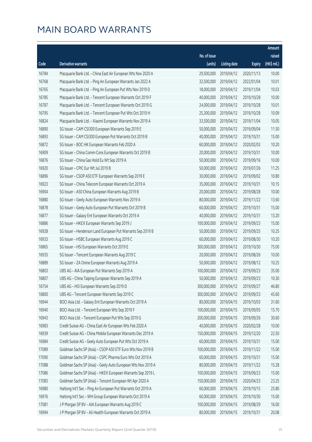|       |                                                              |              |                       |               | Amount      |
|-------|--------------------------------------------------------------|--------------|-----------------------|---------------|-------------|
|       |                                                              | No. of issue |                       |               | raised      |
| Code  | <b>Derivative warrants</b>                                   | (units)      | <b>Listing date</b>   | <b>Expiry</b> | (HK\$ mil.) |
| 16784 | Macquarie Bank Ltd. - China East Air European Wts Nov 2020 A | 29,500,000   | 2019/04/12            | 2020/11/13    | 10.00       |
| 16768 | Macquarie Bank Ltd. - Ping An European Warrants Jan 2022 A   | 32,500,000   | 2019/04/12            | 2022/01/04    | 10.01       |
| 16765 | Macquarie Bank Ltd. - Ping An European Put Wts Nov 2019 D    | 18,000,000   | 2019/04/12            | 2019/11/04    | 10.03       |
| 16785 | Macquarie Bank Ltd. - Tencent European Warrants Oct 2019 F   | 40,000,000   | 2019/04/12            | 2019/10/28    | 10.00       |
| 16787 | Macquarie Bank Ltd. - Tencent European Warrants Oct 2019 G   | 24,000,000   | 2019/04/12            | 2019/10/28    | 10.01       |
| 16795 | Macquarie Bank Ltd. - Tencent European Put Wts Oct 2019 H    | 25,300,000   | 2019/04/12            | 2019/10/28    | 10.09       |
| 16824 | Macquarie Bank Ltd. - Xiaomi European Warrants Nov 2019 A    | 33,500,000   | 2019/04/12            | 2019/11/04    | 10.05       |
| 16890 | SG Issuer - CAM CSI300 European Warrants Sep 2019 E          | 50,000,000   | 2019/04/12            | 2019/09/04    | 11.50       |
| 16893 | SG Issuer - CAM CSI300 European Put Warrants Oct 2019 B      | 40,000,000   | 2019/04/12            | 2019/10/31    | 15.00       |
| 16872 | SG Issuer - BOC HK European Warrants Feb 2020 A              | 60,000,000   | 2019/04/12            | 2020/02/03    | 10.20       |
| 16909 | SG Issuer - China Comm Cons European Warrants Oct 2019 B     | 20,000,000   | 2019/04/12            | 2019/10/31    | 10.00       |
| 16876 | SG Issuer - China Gas Hold Eu Wt Sep 2019 A                  | 50,000,000   | 2019/04/12            | 2019/09/16    | 10.00       |
| 16920 | SG Issuer - CPIC Eur Wt Jul 2019 B                           | 50,000,000   | 2019/04/12            | 2019/07/26    | 11.25       |
| 16896 | SG Issuer - CSOP A50 ETF European Warrants Sep 2019 E        | 30,000,000   | 2019/04/12            | 2019/09/02    | 10.80       |
| 16923 | SG Issuer - China Telecom European Warrants Oct 2019 A       | 35,000,000   | 2019/04/12            | 2019/10/31    | 10.15       |
| 16904 | SG Issuer - A50 China European Warrants Aug 2019 B           | 20,000,000   | 2019/04/12            | 2019/08/28    | 10.00       |
| 16880 | SG Issuer - Geely Auto European Warrants Nov 2019 A          | 80,000,000   | 2019/04/12            | 2019/11/22    | 13.60       |
| 16878 | SG Issuer - Geely Auto European Put Warrants Oct 2019 B      | 60,000,000   | 2019/04/12            | 2019/10/31    | 15.00       |
| 16877 | SG Issuer - Galaxy Ent European Warrants Oct 2019 A          | 40,000,000   | 2019/04/12            | 2019/10/31    | 13.20       |
| 16886 | SG Issuer - HKEX European Warrants Sep 2019 J                | 100,000,000  | 2019/04/12            | 2019/09/23    | 15.00       |
| 16928 | SG Issuer - Henderson Land European Put Warrants Sep 2019 B  | 50,000,000   | 2019/04/12            | 2019/09/25    | 10.25       |
| 16933 | SG Issuer - HSBC European Warrants Aug 2019 C                | 60,000,000   | 2019/04/12            | 2019/08/30    | 10.20       |
| 16865 | SG Issuer - HSI European Warrants Oct 2019 E                 | 300,000,000  | 2019/04/12            | 2019/10/30    | 75.00       |
| 16935 | SG Issuer - Tencent European Warrants Aug 2019 C             | 20,000,000   | 2019/04/12            | 2019/08/26    | 10.00       |
| 16889 | SG Issuer - ZA Onine European Warrants Aug 2019 A            | 50,000,000   | 2019/04/12            | 2019/08/12    | 10.25       |
| 16803 | UBS AG - AIA European Put Warrants Sep 2019 A                | 100,000,000  | 2019/04/12            | 2019/09/23    | 35.00       |
| 16807 | UBS AG - China Taiping European Warrants Sep 2019 A          |              | 50,000,000 2019/04/12 | 2019/09/23    | 10.30       |
| 16754 | UBS AG - HSI European Warrants Sep 2019 D                    | 300,000,000  | 2019/04/12            | 2019/09/27    | 46.80       |
| 16800 | UBS AG - Tencent European Warrants Sep 2019 C                | 300,000,000  | 2019/04/12            | 2019/09/23    | 45.60       |
| 16944 | BOCI Asia Ltd. - Galaxy Ent European Warrants Oct 2019 A     | 80,000,000   | 2019/04/15            | 2019/10/03    | 31.60       |
| 16940 | BOCI Asia Ltd. - Tencent European Wts Sep 2019 F             | 100,000,000  | 2019/04/15            | 2019/09/05    | 15.70       |
| 16943 | BOCI Asia Ltd. - Tencent European Put Wts Sep 2019 G         | 200,000,000  | 2019/04/15            | 2019/09/26    | 30.60       |
| 16983 | Credit Suisse AG - China East Air European Wts Feb 2020 A    | 40,000,000   | 2019/04/15            | 2020/02/28    | 10.00       |
| 16939 | Credit Suisse AG - China Mobile European Warrants Dec 2019 A | 150,000,000  | 2019/04/15            | 2019/12/20    | 22.50       |
| 16984 | Credit Suisse AG - Geely Auto European Put Wts Oct 2019 A    | 60,000,000   | 2019/04/15            | 2019/10/31    | 15.00       |
| 17089 | Goldman Sachs SP (Asia) - CSOP A50 ETF Euro Wts Nov 2019 B   | 100,000,000  | 2019/04/15            | 2019/11/22    | 15.00       |
| 17090 | Goldman Sachs SP (Asia) - CSPC Pharma Euro Wts Oct 2019 A    | 60,000,000   | 2019/04/15            | 2019/10/31    | 15.00       |
| 17088 | Goldman Sachs SP (Asia) - Geely Auto European Wts Nov 2019 A | 80,000,000   | 2019/04/15            | 2019/11/22    | 15.28       |
| 17086 | Goldman Sachs SP (Asia) - HKEX European Warrants Sep 2019 L  | 100,000,000  | 2019/04/15            | 2019/09/23    | 15.00       |
| 17083 | Goldman Sachs SP (Asia) - Tencent European Wt Apr 2020 A     | 150,000,000  | 2019/04/15            | 2020/04/23    | 23.25       |
| 16980 | Haitong Int'l Sec - Ping An European Put Warrants Oct 2019 A | 60,000,000   | 2019/04/15            | 2019/10/15    | 25.80       |
| 16976 | Haitong Int'l Sec - WH Group European Warrants Oct 2019 A    | 60,000,000   | 2019/04/15            | 2019/10/30    | 15.00       |
| 17081 | J P Morgan SP BV - AIA European Warrants Aug 2019 C          | 100,000,000  | 2019/04/15            | 2019/08/29    | 16.00       |
| 16994 | J P Morgan SP BV - Ali Health European Warrants Oct 2019 A   | 80,000,000   | 2019/04/15            | 2019/10/31    | 20.08       |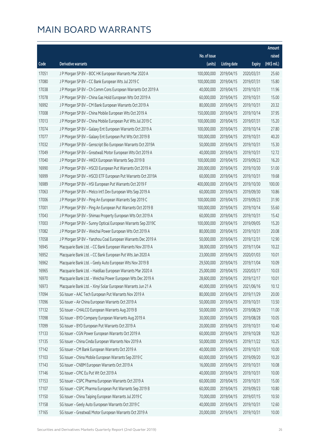|       |                                                              |              |                       |               | Amount      |
|-------|--------------------------------------------------------------|--------------|-----------------------|---------------|-------------|
|       |                                                              | No. of issue |                       |               | raised      |
| Code  | <b>Derivative warrants</b>                                   | (units)      | <b>Listing date</b>   | <b>Expiry</b> | (HK\$ mil.) |
| 17051 | J P Morgan SP BV - BOC HK European Warrants Mar 2020 A       | 100,000,000  | 2019/04/15            | 2020/03/31    | 25.60       |
| 17080 | J P Morgan SP BV - CC Bank European Wts Jul 2019 C           | 100,000,000  | 2019/04/15            | 2019/07/31    | 15.80       |
| 17038 | J P Morgan SP BV - Ch Comm Cons European Warrants Oct 2019 A | 40,000,000   | 2019/04/15            | 2019/10/31    | 11.96       |
| 17078 | J P Morgan SP BV - China Gas Hold European Wts Oct 2019 A    | 60,000,000   | 2019/04/15            | 2019/10/31    | 15.00       |
| 16992 | J P Morgan SP BV - CM Bank European Warrants Oct 2019 A      | 80,000,000   | 2019/04/15            | 2019/10/31    | 20.32       |
| 17008 | J P Morgan SP BV - China Mobile European Wts Oct 2019 A      | 150,000,000  | 2019/04/15            | 2019/10/14    | 37.95       |
| 17013 | J P Morgan SP BV - China Mobile European Put Wts Jul 2019 C  | 100,000,000  | 2019/04/15            | 2019/07/31    | 15.20       |
| 17074 | J P Morgan SP BV - Galaxy Ent European Warrants Oct 2019 A   | 100,000,000  | 2019/04/15            | 2019/10/14    | 27.80       |
| 17077 | J P Morgan SP BV - Galaxy Ent European Put Wts Oct 2019 B    | 100,000,000  | 2019/04/15            | 2019/10/31    | 40.20       |
| 17032 | J P Morgan SP BV - Genscript Bio European Warrants Oct 2019A | 50,000,000   | 2019/04/15            | 2019/10/31    | 15.30       |
| 17049 | J P Morgan SP BV - Greatwall Motor European Wts Oct 2019 A   | 40,000,000   | 2019/04/15            | 2019/10/31    | 12.72       |
| 17040 | J P Morgan SP BV - HKEX European Warrants Sep 2019 B         | 100,000,000  | 2019/04/15            | 2019/09/23    | 16.20       |
| 16990 | J P Morgan SP BV - HSCEI European Put Warrants Oct 2019 A    | 200,000,000  | 2019/04/15            | 2019/10/30    | 51.00       |
| 16999 | J P Morgan SP BV - HSCEI ETF European Put Warrants Oct 2019A | 60,000,000   | 2019/04/15            | 2019/10/31    | 19.68       |
| 16989 | J P Morgan SP BV - HSI European Put Warrants Oct 2019 F      | 400,000,000  | 2019/04/15            | 2019/10/30    | 100.00      |
| 17063 | J P Morgan SP BV - Melco Int'l Dev European Wts Sep 2019 A   | 60,000,000   | 2019/04/15            | 2019/09/30    | 10.86       |
| 17006 | J P Morgan SP BV - Ping An European Warrants Sep 2019 C      | 100,000,000  | 2019/04/15            | 2019/09/23    | 31.90       |
| 17001 | J P Morgan SP BV - Ping An European Put Warrants Oct 2019 B  | 100,000,000  | 2019/04/15            | 2019/10/14    | 55.60       |
| 17043 | J P Morgan SP BV - Shimao Property European Wts Oct 2019 A   | 60,000,000   | 2019/04/15            | 2019/10/31    | 15.42       |
| 17003 | J P Morgan SP BV - Sunny Optical European Warrants Sep 2019C | 100,000,000  | 2019/04/15            | 2019/09/05    | 15.20       |
| 17082 | J P Morgan SP BV - Weichai Power European Wts Oct 2019 A     | 80,000,000   | 2019/04/15            | 2019/10/31    | 20.08       |
| 17058 | J P Morgan SP BV - Yanzhou Coal European Warrants Dec 2019 A | 50,000,000   | 2019/04/15            | 2019/12/31    | 12.90       |
| 16945 | Macquarie Bank Ltd. - CC Bank European Warrants Nov 2019 A   | 38,000,000   | 2019/04/15            | 2019/11/04    | 10.22       |
| 16952 | Macquarie Bank Ltd. - CC Bank European Put Wts Jan 2020 A    | 23,000,000   | 2019/04/15            | 2020/01/03    | 10.01       |
| 16962 | Macquarie Bank Ltd. - Geely Auto European Wts Nov 2019 B     | 29,500,000   | 2019/04/15            | 2019/11/04    | 10.09       |
| 16965 | Macquarie Bank Ltd. - Haidilao European Warrants Mar 2020 A  | 25,000,000   | 2019/04/15            | 2020/03/17    | 10.03       |
| 16970 | Macquarie Bank Ltd. - Weichai Power European Wts Dec 2019 A  |              | 28,600,000 2019/04/15 | 2019/12/17    | 10.01       |
| 16973 | Macquarie Bank Ltd. - Xinyi Solar European Warrants Jun 21 A | 40,000,000   | 2019/04/15            | 2021/06/16    | 10.12       |
| 17094 | SG Issuer - AAC Tech European Put Warrants Nov 2019 A        | 80,000,000   | 2019/04/15            | 2019/11/29    | 20.00       |
| 17096 | SG Issuer - Air China European Warrants Oct 2019 A           | 50,000,000   | 2019/04/15            | 2019/10/31    | 13.50       |
| 17132 | SG Issuer - CHALCO European Warrants Aug 2019 B              | 50,000,000   | 2019/04/15            | 2019/08/29    | 11.00       |
| 17098 | SG Issuer - BYD Company European Warrants Aug 2019 A         | 30,000,000   | 2019/04/15            | 2019/08/28    | 10.05       |
| 17099 | SG Issuer - BYD European Put Warrants Oct 2019 A             | 20,000,000   | 2019/04/15            | 2019/10/31    | 10.40       |
| 17133 | SG Issuer - CGN Power European Warrants Oct 2019 A           | 60,000,000   | 2019/04/15            | 2019/10/28    | 10.20       |
| 17135 | SG Issuer - China Cinda European Warrants Nov 2019 A         | 50,000,000   | 2019/04/15            | 2019/11/22    | 10.25       |
| 17142 | SG Issuer - CM Bank European Warrants Oct 2019 A             | 40,000,000   | 2019/04/15            | 2019/10/31    | 10.00       |
| 17103 | SG Issuer - China Mobile European Warrants Sep 2019 C        | 60,000,000   | 2019/04/15            | 2019/09/20    | 10.20       |
| 17143 | SG Issuer - CNBM European Warrants Oct 2019 A                | 16,000,000   | 2019/04/15            | 2019/10/31    | 10.08       |
| 17146 | SG Issuer - CPIC Eu Put Wt Oct 2019 A                        | 40,000,000   | 2019/04/15            | 2019/10/31    | 10.00       |
| 17153 | SG Issuer - CSPC Pharma European Warrants Oct 2019 A         | 60,000,000   | 2019/04/15            | 2019/10/31    | 15.00       |
| 17107 | SG Issuer - CSPC Pharma European Put Warrants Sep 2019 B     | 60,000,000   | 2019/04/15            | 2019/09/23    | 10.80       |
| 17150 | SG Issuer - China Taiping European Warrants Jul 2019 C       | 70,000,000   | 2019/04/15            | 2019/07/15    | 10.50       |
| 17158 | SG Issuer - Geely Auto European Warrants Oct 2019 C          | 40,000,000   | 2019/04/15            | 2019/10/31    | 12.60       |
| 17165 | SG Issuer - Greatwall Motor European Warrants Oct 2019 A     | 20,000,000   | 2019/04/15            | 2019/10/31    | 10.00       |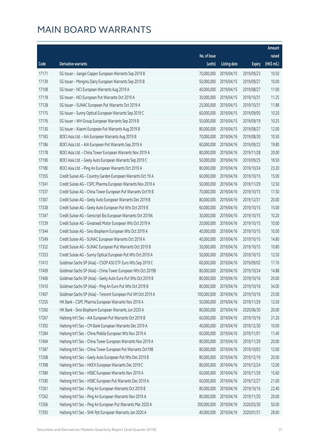|       |                                                              |              |                       |               | Amount      |
|-------|--------------------------------------------------------------|--------------|-----------------------|---------------|-------------|
|       |                                                              | No. of issue |                       |               | raised      |
| Code  | <b>Derivative warrants</b>                                   | (units)      | <b>Listing date</b>   | <b>Expiry</b> | (HK\$ mil.) |
| 17171 | SG Issuer - Jiangxi Copper European Warrants Sep 2019 B      | 70,000,000   | 2019/04/15            | 2019/09/23    | 10.50       |
| 17139 | SG Issuer - Mengniu Dairy European Warrants Sep 2019 B       | 50,000,000   | 2019/04/15            | 2019/09/27    | 10.00       |
| 17108 | SG Issuer - NCI European Warrants Aug 2019 A                 | 40,000,000   | 2019/04/15            | 2019/08/27    | 11.00       |
| 17118 | SG Issuer - NCI European Put Warrants Oct 2019 A             | 30,000,000   | 2019/04/15            | 2019/10/31    | 11.25       |
| 17128 | SG Issuer - SUNAC European Put Warrants Oct 2019 A           | 25,000,000   | 2019/04/15            | 2019/10/31    | 11.88       |
| 17175 | SG Issuer - Sunny Optical European Warrants Sep 2019 C       | 60,000,000   | 2019/04/15            | 2019/09/05    | 10.20       |
| 17176 | SG Issuer - WH Group European Warrants Sep 2019 B            | 50,000,000   | 2019/04/15            | 2019/09/19    | 10.25       |
| 17130 | SG Issuer - Xiaomi European Put Warrants Aug 2019 B          | 80,000,000   | 2019/04/15            | 2019/08/27    | 12.00       |
| 17183 | BOCI Asia Ltd. - AIA European Warrants Aug 2019 B            | 70,000,000   | 2019/04/16            | 2019/08/30    | 10.50       |
| 17186 | BOCI Asia Ltd. - AIA European Put Warrants Sep 2019 A        | 60,000,000   | 2019/04/16            | 2019/09/23    | 19.80       |
| 17178 | BOCI Asia Ltd. - China Tower European Warrants Nov 2019 A    | 80,000,000   | 2019/04/16            | 2019/11/28    | 20.00       |
| 17190 | BOCI Asia Ltd. - Geely Auto European Warrants Sep 2019 C     | 50,000,000   | 2019/04/16            | 2019/09/25    | 18.50       |
| 17180 | BOCI Asia Ltd. - Ping An European Warrants Oct 2019 A        | 80,000,000   | 2019/04/16            | 2019/10/24    | 23.20       |
| 17355 | Credit Suisse AG - Country Garden European Warrants Oct 19 A | 60,000,000   | 2019/04/16            | 2019/10/15    | 15.00       |
| 17341 | Credit Suisse AG - CSPC Pharma European Warrants Nov 2019 A  | 50,000,000   | 2019/04/16            | 2019/11/29    | 12.50       |
| 17337 | Credit Suisse AG - China Tower European Put Warrants Oct19 B | 70,000,000   | 2019/04/16            | 2019/10/15    | 17.50       |
| 17367 | Credit Suisse AG - Geely Auto European Warrants Dec 2019 B   | 80,000,000   | 2019/04/16            | 2019/12/31    | 20.00       |
| 17338 | Credit Suisse AG - Geely Auto European Put Wts Oct 2019 B    | 60,000,000   | 2019/04/16            | 2019/10/15    | 15.00       |
| 17347 | Credit Suisse AG - Genscript Bio European Warrants Oct 2019A | 30,000,000   | 2019/04/16            | 2019/10/15    | 10.20       |
| 17339 | Credit Suisse AG - Greatwall Motor European Wts Oct 2019 A   | 20,000,000   | 2019/04/16            | 2019/10/15    | 10.00       |
| 17344 | Credit Suisse AG - Sino Biopharm European Wts Oct 2019 A     | 40,000,000   | 2019/04/16            | 2019/10/15    | 10.00       |
| 17349 | Credit Suisse AG - SUNAC European Warrants Oct 2019 A        | 40,000,000   | 2019/04/16            | 2019/10/15    | 14.80       |
| 17352 | Credit Suisse AG - SUNAC European Put Warrants Oct 2019 B    | 30,000,000   | 2019/04/16            | 2019/10/15    | 10.80       |
| 17353 | Credit Suisse AG - Sunny Optical European Put Wts Oct 2019 A | 50,000,000   | 2019/04/16            | 2019/10/15    | 12.50       |
| 17413 | Goldman Sachs SP (Asia) - CSOP A50 ETF Euro Wts Sep 2019 C   | 60,000,000   | 2019/04/16            | 2019/09/02    | 17.76       |
| 17409 | Goldman Sachs SP (Asia) - China Tower European Wts Oct 2019B | 80,000,000   | 2019/04/16            | 2019/10/24    | 14.88       |
| 17406 | Goldman Sachs SP (Asia) - Geely Auto Euro Put Wts Oct 2019 B |              | 80,000,000 2019/04/16 | 2019/10/16    | 20.00       |
| 17410 | Goldman Sachs SP (Asia) - Ping An Euro Put Wts Oct 2019 B    | 80,000,000   | 2019/04/16            | 2019/10/16    | 34.00       |
| 17407 | Goldman Sachs SP (Asia) - Tencent European Put Wt Oct 2019 A | 100,000,000  | 2019/04/16            | 2019/10/16    | 25.00       |
| 17255 | HK Bank - CSPC Pharma European Warrants Nov 2019 A           | 50,000,000   | 2019/04/16            | 2019/11/29    | 12.50       |
| 17260 | HK Bank - Sino Biopharm European Warrants Jun 2020 A         | 80,000,000   | 2019/04/16            | 2020/06/30    | 20.00       |
| 17267 | Haitong Int'l Sec - AIA European Put Warrants Oct 2019 B     | 60,000,000   | 2019/04/16            | 2019/10/16    | 31.20       |
| 17392 | Haitong Int'l Sec - CM Bank European Warrants Dec 2019 A     | 40,000,000   | 2019/04/16            | 2019/12/30    | 10.00       |
| 17284 | Haitong Int'l Sec - China Mobile European Wts Nov 2019 A     | 60,000,000   | 2019/04/16            | 2019/11/01    | 11.40       |
| 17404 | Haitong Int'l Sec - China Tower European Warrants Nov 2019 A | 80,000,000   | 2019/04/16            | 2019/11/29    | 20.00       |
| 17387 | Haitong Int'l Sec - China Tower European Put Warrants Oct19B | 80,000,000   | 2019/04/16            | 2019/10/03    | 12.00       |
| 17268 | Haitong Int'l Sec - Geely Auto European Put Wts Dec 2019 B   | 80,000,000   | 2019/04/16            | 2019/12/19    | 20.00       |
| 17398 | Haitong Int'l Sec - HKEX European Warrants Dec 2019 C        | 80,000,000   | 2019/04/16            | 2019/12/24    | 12.00       |
| 17389 | Haitong Int'l Sec - HSBC European Warrants Nov 2019 A        | 60,000,000   | 2019/04/16            | 2019/11/29    | 15.60       |
| 17390 | Haitong Int'l Sec - HSBC European Put Warrants Dec 2019 A    | 60,000,000   | 2019/04/16            | 2019/12/27    | 21.00       |
| 17261 | Haitong Int'l Sec - Ping An European Warrants Oct 2019 B     | 80,000,000   | 2019/04/16            | 2019/10/16    | 22.40       |
| 17262 | Haitong Int'l Sec - Ping An European Warrants Nov 2019 A     | 80,000,000   | 2019/04/16            | 2019/11/20    | 20.00       |
| 17266 | Haitong Int'l Sec - Ping An European Put Warrants Mar 2020 A | 200,000,000  | 2019/04/16            | 2020/03/30    | 50.00       |
| 17393 | Haitong Int'l Sec - SHK Ppt European Warrants Jan 2020 A     | 40,000,000   | 2019/04/16            | 2020/01/31    | 28.00       |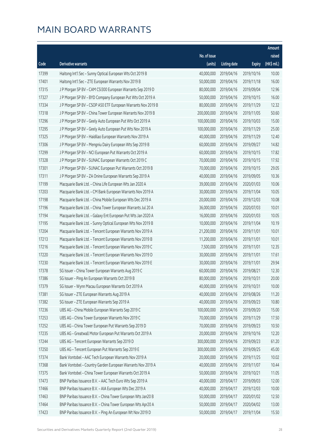|       |                                                              |              |                       |               | Amount      |
|-------|--------------------------------------------------------------|--------------|-----------------------|---------------|-------------|
|       |                                                              | No. of issue |                       |               | raised      |
| Code  | <b>Derivative warrants</b>                                   | (units)      | <b>Listing date</b>   | <b>Expiry</b> | (HK\$ mil.) |
| 17399 | Haitong Int'l Sec - Sunny Optical European Wts Oct 2019 B    | 40,000,000   | 2019/04/16            | 2019/10/16    | 10.00       |
| 17401 | Haitong Int'l Sec - ZTE European Warrants Nov 2019 B         | 50,000,000   | 2019/04/16            | 2019/11/18    | 16.00       |
| 17315 | J P Morgan SP BV - CAM CSI300 European Warrants Sep 2019 D   | 80,000,000   | 2019/04/16            | 2019/09/04    | 12.96       |
| 17327 | J P Morgan SP BV - BYD Company European Put Wts Oct 2019 A   | 50,000,000   | 2019/04/16            | 2019/10/15    | 16.00       |
| 17334 | J P Morgan SP BV - CSOP A50 ETF European Warrants Nov 2019 B | 80,000,000   | 2019/04/16            | 2019/11/29    | 12.32       |
| 17318 | J P Morgan SP BV - China Tower European Warrants Nov 2019 B  | 200,000,000  | 2019/04/16            | 2019/11/05    | 50.60       |
| 17296 | J P Morgan SP BV - Geely Auto European Put Wts Oct 2019 A    | 100,000,000  | 2019/04/16            | 2019/10/03    | 15.00       |
| 17295 | J P Morgan SP BV - Geely Auto European Put Wts Nov 2019 A    | 100,000,000  | 2019/04/16            | 2019/11/29    | 25.00       |
| 17325 | J P Morgan SP BV - Haidilao European Warrants Nov 2019 A     | 40,000,000   | 2019/04/16            | 2019/11/29    | 12.40       |
| 17306 | J P Morgan SP BV - Mengniu Dairy European Wts Sep 2019 B     | 60,000,000   | 2019/04/16            | 2019/09/27    | 14.82       |
| 17299 | J P Morgan SP BV - NCI European Put Warrants Oct 2019 A      | 60,000,000   | 2019/04/16            | 2019/10/15    | 17.82       |
| 17328 | J P Morgan SP BV - SUNAC European Warrants Oct 2019 C        | 70,000,000   | 2019/04/16            | 2019/10/15    | 17.92       |
| 17301 | J P Morgan SP BV - SUNAC European Put Warrants Oct 2019 B    | 70,000,000   | 2019/04/16            | 2019/10/15    | 29.05       |
| 17311 | J P Morgan SP BV - ZA Onine European Warrants Sep 2019 A     | 40,000,000   | 2019/04/16            | 2019/09/05    | 10.36       |
| 17199 | Macquarie Bank Ltd. - China Life European Wts Jan 2020 A     | 39,000,000   | 2019/04/16            | 2020/01/03    | 10.06       |
| 17203 | Macquarie Bank Ltd. - CM Bank European Warrants Nov 2019 A   | 30,000,000   | 2019/04/16            | 2019/11/04    | 10.05       |
| 17198 | Macquarie Bank Ltd. - China Mobile European Wts Dec 2019 A   | 20,000,000   | 2019/04/16            | 2019/12/03    | 10.08       |
| 17196 | Macquarie Bank Ltd. - China Tower European Warrants Jul 20 A | 36,000,000   | 2019/04/16            | 2020/07/03    | 10.01       |
| 17194 | Macquarie Bank Ltd. - Galaxy Ent European Put Wts Jan 2020 A | 16,000,000   | 2019/04/16            | 2020/01/03    | 10.05       |
| 17195 | Macquarie Bank Ltd. - Sunny Optical European Wts Nov 2019 B  | 10,000,000   | 2019/04/16            | 2019/11/04    | 10.19       |
| 17204 | Macquarie Bank Ltd. - Tencent European Warrants Nov 2019 A   | 21,200,000   | 2019/04/16            | 2019/11/01    | 10.01       |
| 17213 | Macquarie Bank Ltd. - Tencent European Warrants Nov 2019 B   | 11,200,000   | 2019/04/16            | 2019/11/01    | 10.01       |
| 17216 | Macquarie Bank Ltd. - Tencent European Warrants Nov 2019 C   | 7,500,000    | 2019/04/16            | 2019/11/01    | 12.35       |
| 17220 | Macquarie Bank Ltd. - Tencent European Warrants Nov 2019 D   | 30,000,000   | 2019/04/16            | 2019/11/01    | 17.61       |
| 17230 | Macquarie Bank Ltd. - Tencent European Warrants Nov 2019 E   | 30,000,000   | 2019/04/16            | 2019/11/01    | 29.94       |
| 17378 | SG Issuer - China Tower European Warrants Aug 2019 C         | 60,000,000   | 2019/04/16            | 2019/08/21    | 12.30       |
| 17386 | SG Issuer - Ping An European Warrants Oct 2019 B             |              | 80,000,000 2019/04/16 | 2019/10/31    | 20.00       |
| 17379 | SG Issuer - Wynn Macau European Warrants Oct 2019 A          | 40,000,000   | 2019/04/16            | 2019/10/31    | 10.00       |
| 17381 | SG Issuer - ZTE European Warrants Aug 2019 A                 | 40,000,000   | 2019/04/16            | 2019/08/26    | 11.20       |
| 17382 | SG Issuer - ZTE European Warrants Sep 2019 A                 | 40,000,000   | 2019/04/16            | 2019/09/23    | 10.80       |
| 17236 | UBS AG - China Mobile European Warrants Sep 2019 C           | 100,000,000  | 2019/04/16            | 2019/09/20    | 15.00       |
| 17253 | UBS AG - China Tower European Warrants Nov 2019 C            | 70,000,000   | 2019/04/16            | 2019/11/29    | 17.50       |
| 17252 | UBS AG - China Tower European Put Warrants Sep 2019 D        | 70,000,000   | 2019/04/16            | 2019/09/23    | 10.50       |
| 17235 | UBS AG - Greatwall Motor European Put Warrants Oct 2019 A    | 20,000,000   | 2019/04/16            | 2019/10/16    | 12.20       |
| 17244 | UBS AG - Tencent European Warrants Sep 2019 D                | 300,000,000  | 2019/04/16            | 2019/09/23    | 61.20       |
| 17250 | UBS AG - Tencent European Put Warrants Sep 2019 E            | 300,000,000  | 2019/04/16            | 2019/09/25    | 45.00       |
| 17374 | Bank Vontobel - AAC Tech European Warrants Nov 2019 A        | 20,000,000   | 2019/04/16            | 2019/11/25    | 10.02       |
| 17368 | Bank Vontobel - Country Garden European Warrants Nov 2019 A  | 40,000,000   | 2019/04/16            | 2019/11/07    | 10.44       |
| 17375 | Bank Vontobel - China Tower European Warrants Oct 2019 A     | 50,000,000   | 2019/04/16            | 2019/10/21    | 11.05       |
| 17473 | BNP Paribas Issuance B.V. - AAC Tech Euro Wts Sep 2019 A     | 40,000,000   | 2019/04/17            | 2019/09/03    | 12.00       |
| 17466 | BNP Paribas Issuance B.V. - AIA European Wts Dec 2019 A      | 40,000,000   | 2019/04/17            | 2019/12/03    | 10.00       |
| 17463 | BNP Paribas Issuance B.V. - China Tower European Wts Jan20 B | 50,000,000   | 2019/04/17            | 2020/01/02    | 12.50       |
| 17464 | BNP Paribas Issuance B.V. - China Tower European Wts Apr20 A | 50,000,000   | 2019/04/17            | 2020/04/02    | 13.00       |
| 17423 | BNP Paribas Issuance B.V. - Ping An European Wt Nov 2019 D   | 50,000,000   | 2019/04/17            | 2019/11/04    | 15.50       |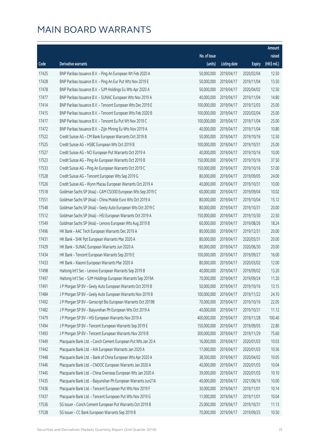|       |                                                              |              |                       |               | Amount      |
|-------|--------------------------------------------------------------|--------------|-----------------------|---------------|-------------|
|       |                                                              | No. of issue |                       |               | raised      |
| Code  | Derivative warrants                                          | (units)      | <b>Listing date</b>   | <b>Expiry</b> | (HK\$ mil.) |
| 17425 | BNP Paribas Issuance B.V. - Ping An European Wt Feb 2020 A   | 50,000,000   | 2019/04/17            | 2020/02/04    | 12.50       |
| 17428 | BNP Paribas Issuance B.V. - Ping An Eur Put Wts Nov 2019 E   | 50,000,000   | 2019/04/17            | 2019/11/04    | 13.50       |
| 17478 | BNP Paribas Issuance B.V. - SJM Holdings Eu Wts Apr 2020 A   | 50,000,000   | 2019/04/17            | 2020/04/02    | 12.50       |
| 17477 | BNP Paribas Issuance B.V. - SUNAC European Wts Nov 2019 A    | 40,000,000   | 2019/04/17            | 2019/11/04    | 14.80       |
| 17414 | BNP Paribas Issuance B.V. - Tencent European Wts Dec 2019 E  | 100,000,000  | 2019/04/17            | 2019/12/03    | 25.00       |
| 17415 | BNP Paribas Issuance B.V. - Tencent European Wts Feb 2020 B  | 100,000,000  | 2019/04/17            | 2020/02/04    | 25.00       |
| 17417 | BNP Paribas Issuance B.V. - Tencent Eu Put Wt Nov 2019 C     | 100,000,000  | 2019/04/17            | 2019/11/04    | 25.00       |
| 17472 | BNP Paribas Issuance B.V. - Zijin Mining Eu Wts Nov 2019 A   | 40,000,000   | 2019/04/17            | 2019/11/04    | 10.80       |
| 17522 | Credit Suisse AG - CM Bank European Warrants Oct 2019 B      | 50,000,000   | 2019/04/17            | 2019/10/16    | 12.50       |
| 17525 | Credit Suisse AG - HSBC European Wts Oct 2019 B              | 100,000,000  | 2019/04/17            | 2019/10/31    | 25.00       |
| 17527 | Credit Suisse AG - NCI European Put Warrants Oct 2019 A      | 40,000,000   | 2019/04/17            | 2019/10/16    | 10.00       |
| 17523 | Credit Suisse AG - Ping An European Warrants Oct 2019 B      | 150,000,000  | 2019/04/17            | 2019/10/16    | 37.50       |
| 17533 | Credit Suisse AG - Ping An European Warrants Oct 2019 C      | 150,000,000  | 2019/04/17            | 2019/10/16    | 57.00       |
| 17528 | Credit Suisse AG - Tencent European Wts Sep 2019 G           | 80,000,000   | 2019/04/17            | 2019/09/05    | 24.00       |
| 17526 | Credit Suisse AG - Wynn Macau European Warrants Oct 2019 A   | 40,000,000   | 2019/04/17            | 2019/10/31    | 10.00       |
| 17518 | Goldman Sachs SP (Asia) - CAM CSI300 European Wts Sep 2019 C | 60,000,000   | 2019/04/17            | 2019/09/04    | 10.02       |
| 17551 | Goldman Sachs SP (Asia) - China Mobile Euro Wts Oct 2019 A   | 80,000,000   | 2019/04/17            | 2019/10/04    | 15.12       |
| 17548 | Goldman Sachs SP (Asia) - Geely Auto European Wts Oct 2019 C | 80,000,000   | 2019/04/17            | 2019/10/31    | 20.00       |
| 17512 | Goldman Sachs SP (Asia) - HSI European Warrants Oct 2019 A   | 150,000,000  | 2019/04/17            | 2019/10/30    | 22.50       |
| 17549 | Goldman Sachs SP (Asia) - Lenovo European Wts Aug 2019 B     | 60,000,000   | 2019/04/17            | 2019/08/26    | 18.24       |
| 17496 | HK Bank - AAC Tech European Warrants Dec 2019 A              | 80,000,000   | 2019/04/17            | 2019/12/31    | 20.00       |
| 17431 | HK Bank - SHK Ppt European Warrants Mar 2020 A               | 80,000,000   | 2019/04/17            | 2020/03/31    | 20.00       |
| 17429 | HK Bank - SUNAC European Warrants Jun 2020 A                 | 80,000,000   | 2019/04/17            | 2020/06/30    | 20.00       |
| 17434 | HK Bank - Tencent European Warrants Sep 2019 E               | 100,000,000  | 2019/04/17            | 2019/09/27    | 16.00       |
| 17433 | HK Bank - Xiaomi European Warrants Mar 2020 A                | 80,000,000   | 2019/04/17            | 2020/03/02    | 12.00       |
| 17498 | Haitong Int'l Sec - Lenovo European Warrants Sep 2019 B      | 40,000,000   | 2019/04/17            | 2019/09/02    | 13.20       |
| 17497 | Haitong Int'l Sec - SJM Holdings European Warrants Sep 2019A |              | 70,000,000 2019/04/17 | 2019/09/24    | 11.20       |
| 17491 | J P Morgan SP BV - Geely Auto European Warrants Oct 2019 B   | 50,000,000   | 2019/04/17            | 2019/10/16    | 13.15       |
| 17484 | J P Morgan SP BV - Geely Auto European Warrants Nov 2019 B   | 100,000,000  | 2019/04/17            | 2019/11/22    | 24.10       |
| 17492 | J P Morgan SP BV - Genscript Bio European Warrants Oct 2019B | 70,000,000   | 2019/04/17            | 2019/10/16    | 22.05       |
| 17482 | J P Morgan SP BV - Baiyunshan Ph European Wts Oct 2019 A     | 40,000,000   | 2019/04/17            | 2019/10/31    | 11.12       |
| 17479 | J P Morgan SP BV - HSI European Warrants Nov 2019 A          | 400,000,000  | 2019/04/17            | 2019/11/28    | 100.40      |
| 17494 | J P Morgan SP BV - Tencent European Warrants Sep 2019 E      | 150,000,000  | 2019/04/17            | 2019/09/05    | 22.80       |
| 17493 | J P Morgan SP BV - Tencent European Warrants Nov 2019 B      | 300,000,000  | 2019/04/17            | 2019/11/29    | 75.60       |
| 17449 | Macquarie Bank Ltd. - Conch Cement European Put Wts Jan 20 A | 16,000,000   | 2019/04/17            | 2020/01/03    | 10.03       |
| 17442 | Macquarie Bank Ltd. - AIA European Warrants Jan 2020 A       | 17,000,000   | 2019/04/17            | 2020/01/03    | 10.56       |
| 17448 | Macquarie Bank Ltd. - Bank of China European Wts Apr 2020 A  | 38,500,000   | 2019/04/17            | 2020/04/02    | 10.05       |
| 17446 | Macquarie Bank Ltd. - CNOOC European Warrants Jan 2020 A     | 40,000,000   | 2019/04/17            | 2020/01/03    | 10.04       |
| 17445 | Macquarie Bank Ltd. - China Overseas European Wts Jan 2020 A | 39,000,000   | 2019/04/17            | 2020/01/03    | 10.10       |
| 17435 | Macquarie Bank Ltd. - Baiyunshan Ph European Warrants Jun21A | 40,000,000   | 2019/04/17            | 2021/06/16    | 10.00       |
| 17436 | Macquarie Bank Ltd. - Tencent European Put Wts Nov 2019 F    | 30,000,000   | 2019/04/17            | 2019/11/01    | 10.14       |
| 17437 | Macquarie Bank Ltd. - Tencent European Put Wts Nov 2019 G    | 11,000,000   | 2019/04/17            | 2019/11/01    | 10.04       |
| 17536 | SG Issuer - Conch Cement European Put Warrants Oct 2019 B    | 25,000,000   | 2019/04/17            | 2019/10/31    | 11.13       |
| 17538 | SG Issuer - CC Bank European Warrants Sep 2019 B             | 70,000,000   | 2019/04/17            | 2019/09/25    | 10.50       |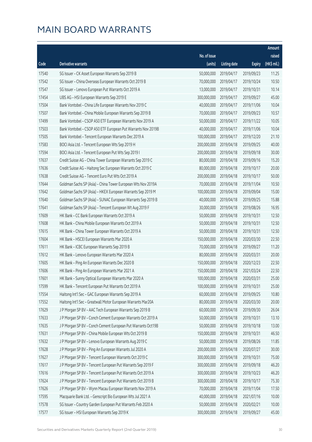|       |                                                              |                        |                     |               | Amount      |
|-------|--------------------------------------------------------------|------------------------|---------------------|---------------|-------------|
|       |                                                              | No. of issue           |                     |               | raised      |
| Code  | <b>Derivative warrants</b>                                   | (units)                | <b>Listing date</b> | <b>Expiry</b> | (HK\$ mil.) |
| 17540 | SG Issuer - CK Asset European Warrants Sep 2019 B            | 50,000,000             | 2019/04/17          | 2019/09/23    | 11.25       |
| 17542 | SG Issuer - China Overseas European Warrants Oct 2019 B      | 70,000,000             | 2019/04/17          | 2019/10/24    | 10.50       |
| 17547 | SG Issuer - Lenovo European Put Warrants Oct 2019 A          | 13,000,000             | 2019/04/17          | 2019/10/31    | 10.14       |
| 17454 | UBS AG - HSI European Warrants Sep 2019 E                    | 300,000,000            | 2019/04/17          | 2019/09/27    | 45.00       |
| 17504 | Bank Vontobel - China Life European Warrants Nov 2019 C      | 40,000,000             | 2019/04/17          | 2019/11/06    | 10.04       |
| 17507 | Bank Vontobel - China Mobile European Warrants Sep 2019 B    | 70,000,000             | 2019/04/17          | 2019/09/23    | 10.57       |
| 17499 | Bank Vontobel - CSOP A50 ETF European Warrants Nov 2019 A    | 50,000,000             | 2019/04/17          | 2019/11/22    | 10.05       |
| 17503 | Bank Vontobel - CSOP A50 ETF European Put Warrants Nov 2019B | 40,000,000             | 2019/04/17          | 2019/11/06    | 10.04       |
| 17505 | Bank Vontobel - Tencent European Warrants Dec 2019 A         | 100,000,000            | 2019/04/17          | 2019/12/20    | 21.10       |
| 17583 | BOCI Asia Ltd. - Tencent European Wts Sep 2019 H             | 200,000,000            | 2019/04/18          | 2019/09/25    | 40.00       |
| 17594 | BOCI Asia Ltd. - Tencent European Put Wts Sep 2019 I         | 200,000,000            | 2019/04/18          | 2019/09/18    | 30.00       |
| 17637 | Credit Suisse AG - China Tower European Warrants Sep 2019 C  | 80,000,000             | 2019/04/18          | 2019/09/16    | 15.20       |
| 17636 | Credit Suisse AG - Haitong Sec European Warrants Oct 2019 C  | 80,000,000             | 2019/04/18          | 2019/10/17    | 20.00       |
| 17638 | Credit Suisse AG - Tencent Euro Put Wts Oct 2019 A           | 200,000,000            | 2019/04/18          | 2019/10/17    | 50.00       |
| 17644 | Goldman Sachs SP (Asia) - China Tower European Wts Nov 2019A | 70,000,000             | 2019/04/18          | 2019/11/04    | 10.50       |
| 17642 | Goldman Sachs SP (Asia) - HKEX European Warrants Sep 2019 M  | 100,000,000            | 2019/04/18          | 2019/09/04    | 15.00       |
| 17640 | Goldman Sachs SP (Asia) - SUNAC European Warrants Sep 2019 B | 40,000,000             | 2019/04/18          | 2019/09/25    | 15.88       |
| 17641 | Goldman Sachs SP (Asia) - Tencent European Wt Aug 2019 F     | 30,000,000             | 2019/04/18          | 2019/08/26    | 16.95       |
| 17609 | HK Bank - CC Bank European Warrants Oct 2019 A               | 50,000,000             | 2019/04/18          | 2019/10/31    | 12.50       |
| 17608 | HK Bank - China Mobile European Warrants Oct 2019 A          | 50,000,000             | 2019/04/18          | 2019/10/31    | 12.50       |
| 17615 | HK Bank - China Tower European Warrants Oct 2019 A           | 50,000,000             | 2019/04/18          | 2019/10/31    | 12.50       |
| 17604 | HK Bank - HSCEI European Warrants Mar 2020 A                 | 150,000,000            | 2019/04/18          | 2020/03/30    | 22.50       |
| 17611 | HK Bank - ICBC European Warrants Sep 2019 B                  | 70,000,000             | 2019/04/18          | 2019/09/27    | 11.20       |
| 17612 | HK Bank - Lenovo European Warrants Mar 2020 A                | 80,000,000             | 2019/04/18          | 2020/03/31    | 20.00       |
| 17605 | HK Bank - Ping An European Warrants Dec 2020 B               | 150,000,000            | 2019/04/18          | 2020/12/23    | 22.50       |
| 17606 | HK Bank - Ping An European Warrants Mar 2021 A               | 150,000,000            | 2019/04/18          | 2021/03/24    | 22.50       |
| 17601 | HK Bank - Sunny Optical European Warrants Mar 2020 A         | 100,000,000 2019/04/18 |                     | 2020/03/31    | 25.00       |
| 17599 | HK Bank - Tencent European Put Warrants Oct 2019 A           | 100,000,000            | 2019/04/18          | 2019/10/31    | 25.00       |
| 17554 | Haitong Int'l Sec - GAC European Warrants Sep 2019 A         | 60,000,000             | 2019/04/18          | 2019/09/25    | 10.80       |
| 17552 | Haitong Int'l Sec - Greatwall Motor European Warrants Mar20A | 80,000,000             | 2019/04/18          | 2020/03/30    | 20.00       |
| 17629 | J P Morgan SP BV - AAC Tech European Warrants Sep 2019 B     | 60,000,000             | 2019/04/18          | 2019/09/30    | 26.04       |
| 17633 | J P Morgan SP BV - Conch Cement European Warrants Oct 2019 A | 50,000,000             | 2019/04/18          | 2019/10/31    | 13.10       |
| 17635 | J P Morgan SP BV - Conch Cement European Put Warrants Oct19B | 50,000,000             | 2019/04/18          | 2019/10/18    | 13.00       |
| 17631 | J P Morgan SP BV - China Mobile European Wts Oct 2019 B      | 150,000,000            | 2019/04/18          | 2019/10/31    | 46.50       |
| 17632 | J P Morgan SP BV - Lenovo European Warrants Aug 2019 C       | 50,000,000             | 2019/04/18          | 2019/08/26    | 11.85       |
| 17628 | J P Morgan SP BV - Ping An European Warrants Jul 2020 A      | 200,000,000            | 2019/04/18          | 2020/07/27    | 30.00       |
| 17627 | J P Morgan SP BV - Tencent European Warrants Oct 2019 C      | 300,000,000            | 2019/04/18          | 2019/10/31    | 75.00       |
| 17617 | J P Morgan SP BV - Tencent European Put Warrants Sep 2019 F  | 300,000,000            | 2019/04/18          | 2019/09/18    | 46.20       |
| 17616 | J P Morgan SP BV - Tencent European Put Warrants Oct 2019 A  | 300,000,000            | 2019/04/18          | 2019/10/23    | 46.20       |
| 17624 | J P Morgan SP BV - Tencent European Put Warrants Oct 2019 B  | 300,000,000            | 2019/04/18          | 2019/10/17    | 75.30       |
| 17626 | J P Morgan SP BV - Wynn Macau European Warrants Nov 2019 A   | 70,000,000             | 2019/04/18          | 2019/11/04    | 17.50       |
| 17595 | Macquarie Bank Ltd. - Genscript Bio European Wts Jul 2021 A  | 40,000,000             | 2019/04/18          | 2021/07/16    | 10.00       |
| 17578 | SG Issuer - Country Garden European Put Warrants Feb 2020 A  | 50,000,000             | 2019/04/18          | 2020/02/21    | 10.00       |
| 17577 | SG Issuer - HSI European Warrants Sep 2019 K                 | 300,000,000            | 2019/04/18          | 2019/09/27    | 45.00       |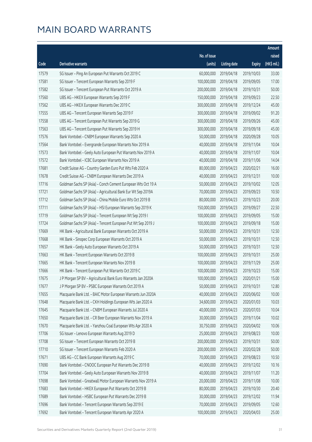|       |                                                              |                        |                     |               | Amount      |
|-------|--------------------------------------------------------------|------------------------|---------------------|---------------|-------------|
|       |                                                              | No. of issue           |                     |               | raised      |
| Code  | Derivative warrants                                          | (units)                | <b>Listing date</b> | <b>Expiry</b> | (HK\$ mil.) |
| 17579 | SG Issuer - Ping An European Put Warrants Oct 2019 C         | 60,000,000             | 2019/04/18          | 2019/10/03    | 33.00       |
| 17581 | SG Issuer - Tencent European Warrants Sep 2019 F             | 100,000,000            | 2019/04/18          | 2019/09/05    | 17.00       |
| 17582 | SG Issuer - Tencent European Put Warrants Oct 2019 A         | 200,000,000            | 2019/04/18          | 2019/10/31    | 50.00       |
| 17560 | UBS AG - HKEX European Warrants Sep 2019 F                   | 150,000,000            | 2019/04/18          | 2019/09/23    | 22.50       |
| 17562 | UBS AG - HKEX European Warrants Dec 2019 C                   | 300,000,000            | 2019/04/18          | 2019/12/24    | 45.00       |
| 17555 | UBS AG - Tencent European Warrants Sep 2019 F                | 300,000,000            | 2019/04/18          | 2019/09/02    | 91.20       |
| 17558 | UBS AG - Tencent European Put Warrants Sep 2019 G            | 300,000,000            | 2019/04/18          | 2019/09/26    | 45.00       |
| 17563 | UBS AG - Tencent European Put Warrants Sep 2019 H            | 300,000,000            | 2019/04/18          | 2019/09/18    | 45.00       |
| 17576 | Bank Vontobel - CNBM European Warrants Sep 2020 A            | 50,000,000             | 2019/04/18          | 2020/09/28    | 10.05       |
| 17564 | Bank Vontobel - Evergrande European Warrants Nov 2019 A      | 40,000,000             | 2019/04/18          | 2019/11/04    | 10.04       |
| 17573 | Bank Vontobel - Geely Auto European Put Warrants Nov 2019 A  | 40,000,000             | 2019/04/18          | 2019/11/07    | 10.04       |
| 17572 | Bank Vontobel - ICBC European Warrants Nov 2019 A            | 40,000,000             | 2019/04/18          | 2019/11/06    | 14.04       |
| 17681 | Credit Suisse AG - Country Garden Euro Put Wts Feb 2020 A    | 80,000,000             | 2019/04/23          | 2020/02/21    | 16.00       |
| 17678 | Credit Suisse AG - CNBM European Warrants Dec 2019 A         | 40,000,000             | 2019/04/23          | 2019/12/31    | 10.00       |
| 17716 | Goldman Sachs SP (Asia) - Conch Cement European Wts Oct 19 A | 50,000,000             | 2019/04/23          | 2019/10/02    | 12.05       |
| 17721 | Goldman Sachs SP (Asia) - Agricultural Bank Eur Wt Sep 2019A | 70,000,000             | 2019/04/23          | 2019/09/23    | 10.50       |
| 17712 | Goldman Sachs SP (Asia) - China Mobile Euro Wts Oct 2019 B   | 80,000,000             | 2019/04/23          | 2019/10/23    | 20.00       |
| 17711 | Goldman Sachs SP (Asia) - HSI European Warrants Sep 2019 K   | 150,000,000            | 2019/04/23          | 2019/09/27    | 22.50       |
| 17719 | Goldman Sachs SP (Asia) - Tencent European Wt Sep 2019 I     | 100,000,000            | 2019/04/23          | 2019/09/05    | 15.00       |
| 17724 | Goldman Sachs SP (Asia) - Tencent European Put Wt Sep 2019 J | 100,000,000            | 2019/04/23          | 2019/09/18    | 15.00       |
| 17669 | HK Bank - Agricultural Bank European Warrants Oct 2019 A     | 50,000,000             | 2019/04/23          | 2019/10/31    | 12.50       |
| 17668 | HK Bank - Sinopec Corp European Warrants Oct 2019 A          | 50,000,000             | 2019/04/23          | 2019/10/31    | 12.50       |
| 17657 | HK Bank - Geely Auto European Warrants Oct 2019 A            | 50,000,000             | 2019/04/23          | 2019/10/31    | 12.50       |
| 17663 | HK Bank - Tencent European Warrants Oct 2019 B               | 100,000,000            | 2019/04/23          | 2019/10/31    | 25.00       |
| 17665 | HK Bank - Tencent European Warrants Nov 2019 B               | 100,000,000            | 2019/04/23          | 2019/11/29    | 25.00       |
| 17666 | HK Bank - Tencent European Put Warrants Oct 2019 C           | 100,000,000            | 2019/04/23          | 2019/10/23    | 15.00       |
| 17675 | J P Morgan SP BV - Agricultural Bank Euro Warrants Jan 2020A | 100,000,000 2019/04/23 |                     | 2020/01/21    | 15.00       |
| 17677 | J P Morgan SP BV - PSBC European Warrants Oct 2019 A         | 50,000,000             | 2019/04/23          | 2019/10/31    | 12.80       |
| 17655 | Macquarie Bank Ltd. - BAIC Motor European Warrants Jun 2020A | 40,000,000             | 2019/04/23          | 2020/06/02    | 10.00       |
| 17648 | Macquarie Bank Ltd. - CKH Holdings European Wts Jan 2020 A   | 34,600,000             | 2019/04/23          | 2020/01/03    | 10.03       |
| 17645 | Macquarie Bank Ltd. - CNBM European Warrants Jul 2020 A      | 40,000,000             | 2019/04/23          | 2020/07/03    | 10.04       |
| 17650 | Macquarie Bank Ltd. - CR Beer European Warrants Nov 2019 A   | 30,000,000             | 2019/04/23          | 2019/11/04    | 10.02       |
| 17670 | Macquarie Bank Ltd. - Yanzhou Coal European Wts Apr 2020 A   | 30,750,000             | 2019/04/23          | 2020/04/02    | 10.06       |
| 17706 | SG Issuer - Lenovo European Warrants Aug 2019 D              | 25,000,000             | 2019/04/23          | 2019/08/23    | 10.00       |
| 17708 | SG Issuer - Tencent European Warrants Oct 2019 B             | 200,000,000            | 2019/04/23          | 2019/10/31    | 50.00       |
| 17710 | SG Issuer - Tencent European Warrants Feb 2020 A             | 200,000,000            | 2019/04/23          | 2020/02/28    | 50.00       |
| 17671 | UBS AG - CC Bank European Warrants Aug 2019 C                | 70,000,000             | 2019/04/23          | 2019/08/23    | 10.50       |
| 17690 | Bank Vontobel - CNOOC European Put Warrants Dec 2019 B       | 40,000,000             | 2019/04/23          | 2019/12/02    | 10.16       |
| 17704 | Bank Vontobel - Geely Auto European Warrants Nov 2019 B      | 40,000,000             | 2019/04/23          | 2019/11/07    | 11.20       |
| 17698 | Bank Vontobel - Greatwall Motor European Warrants Nov 2019 A | 20,000,000             | 2019/04/23          | 2019/11/08    | 10.00       |
| 17683 | Bank Vontobel - HKEX European Put Warrants Oct 2019 B        | 80,000,000             | 2019/04/23          | 2019/10/30    | 20.40       |
| 17689 | Bank Vontobel - HSBC European Put Warrants Dec 2019 B        | 30,000,000             | 2019/04/23          | 2019/12/02    | 11.94       |
| 17696 | Bank Vontobel - Tencent European Warrants Sep 2019 E         | 70,000,000             | 2019/04/23          | 2019/09/05    | 12.60       |
| 17692 | Bank Vontobel - Tencent European Warrants Apr 2020 A         | 100,000,000            | 2019/04/23          | 2020/04/03    | 25.00       |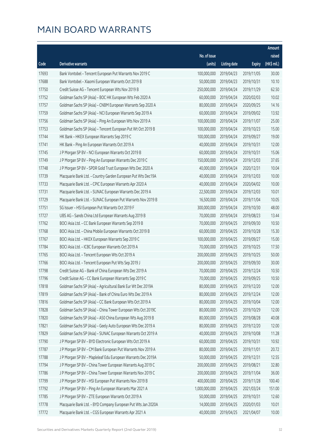|       |                                                              |               |                       |               | Amount      |
|-------|--------------------------------------------------------------|---------------|-----------------------|---------------|-------------|
|       |                                                              | No. of issue  |                       |               | raised      |
| Code  | <b>Derivative warrants</b>                                   | (units)       | <b>Listing date</b>   | <b>Expiry</b> | (HK\$ mil.) |
| 17693 | Bank Vontobel - Tencent European Put Warrants Nov 2019 C     | 100,000,000   | 2019/04/23            | 2019/11/05    | 30.00       |
| 17688 | Bank Vontobel - Xiaomi European Warrants Oct 2019 B          | 50,000,000    | 2019/04/23            | 2019/10/31    | 10.10       |
| 17750 | Credit Suisse AG - Tencent European Wts Nov 2019 B           | 250,000,000   | 2019/04/24            | 2019/11/29    | 62.50       |
| 17752 | Goldman Sachs SP (Asia) - BOC HK European Wts Feb 2020 A     | 60,000,000    | 2019/04/24            | 2020/02/03    | 10.02       |
| 17757 | Goldman Sachs SP (Asia) - CNBM European Warrants Sep 2020 A  | 80,000,000    | 2019/04/24            | 2020/09/25    | 14.16       |
| 17759 | Goldman Sachs SP (Asia) - NCI European Warrants Sep 2019 A   | 60,000,000    | 2019/04/24            | 2019/09/02    | 13.92       |
| 17756 | Goldman Sachs SP (Asia) - Ping An European Wts Nov 2019 A    | 100,000,000   | 2019/04/24            | 2019/11/07    | 25.00       |
| 17753 | Goldman Sachs SP (Asia) - Tencent European Put Wt Oct 2019 B | 100,000,000   | 2019/04/24            | 2019/10/23    | 15.00       |
| 17744 | HK Bank - HKEX European Warrants Sep 2019 C                  | 100,000,000   | 2019/04/24            | 2019/09/27    | 19.00       |
| 17741 | HK Bank - Ping An European Warrants Oct 2019 A               | 40,000,000    | 2019/04/24            | 2019/10/31    | 12.00       |
| 17745 | J P Morgan SP BV - NCI European Warrants Oct 2019 B          | 60,000,000    | 2019/04/24            | 2019/10/31    | 15.06       |
| 17749 | J P Morgan SP BV - Ping An European Warrants Dec 2019 C      | 150,000,000   | 2019/04/24            | 2019/12/03    | 37.65       |
| 17748 | J P Morgan SP BV - SPDR Gold Trust European Wts Dec 2020 A   | 40,000,000    | 2019/04/24            | 2020/12/31    | 10.04       |
| 17739 | Macquarie Bank Ltd. - Country Garden European Put Wts Dec19A | 40,000,000    | 2019/04/24            | 2019/12/03    | 10.00       |
| 17733 | Macquarie Bank Ltd. - CPIC European Warrants Apr 2020 A      | 40,000,000    | 2019/04/24            | 2020/04/02    | 10.00       |
| 17731 | Macquarie Bank Ltd. - SUNAC European Warrants Dec 2019 A     | 22,500,000    | 2019/04/24            | 2019/12/03    | 10.01       |
| 17729 | Macquarie Bank Ltd. - SUNAC European Put Warrants Nov 2019 B | 16,500,000    | 2019/04/24            | 2019/11/04    | 10.05       |
| 17751 | SG Issuer - HSI European Put Warrants Oct 2019 F             | 300,000,000   | 2019/04/24            | 2019/10/30    | 48.00       |
| 17727 | UBS AG - Sands China Ltd European Warrants Aug 2019 B        | 70,000,000    | 2019/04/24            | 2019/08/23    | 13.44       |
| 17762 | BOCI Asia Ltd. - CC Bank European Warrants Sep 2019 B        | 70,000,000    | 2019/04/25            | 2019/09/30    | 10.50       |
| 17768 | BOCI Asia Ltd. - China Mobile European Warrants Oct 2019 B   | 60,000,000    | 2019/04/25            | 2019/10/28    | 15.30       |
| 17767 | BOCI Asia Ltd. - HKEX European Warrants Sep 2019 C           | 100,000,000   | 2019/04/25            | 2019/09/27    | 15.00       |
| 17784 | BOCI Asia Ltd. - ICBC European Warrants Oct 2019 A           | 70,000,000    | 2019/04/25            | 2019/10/25    | 17.50       |
| 17765 | BOCI Asia Ltd. - Tencent European Wts Oct 2019 A             | 200,000,000   | 2019/04/25            | 2019/10/25    | 50.00       |
| 17766 | BOCI Asia Ltd. - Tencent European Put Wts Sep 2019 J         | 200,000,000   | 2019/04/25            | 2019/09/30    | 30.00       |
| 17798 | Credit Suisse AG - Bank of China European Wts Dec 2019 A     | 70,000,000    | 2019/04/25            | 2019/12/24    | 10.50       |
| 17796 | Credit Suisse AG - CC Bank European Warrants Sep 2019 C      |               | 70,000,000 2019/04/25 | 2019/09/25    | 10.50       |
| 17818 | Goldman Sachs SP (Asia) - Agricultural Bank Eur Wt Dec 2019A | 80,000,000    | 2019/04/25            | 2019/12/20    | 12.00       |
| 17819 | Goldman Sachs SP (Asia) - Bank of China Euro Wts Dec 2019 A  | 80,000,000    | 2019/04/25            | 2019/12/24    | 12.00       |
| 17816 | Goldman Sachs SP (Asia) - CC Bank European Wts Oct 2019 A    | 80,000,000    | 2019/04/25            | 2019/10/04    | 12.00       |
| 17828 | Goldman Sachs SP (Asia) - China Tower European Wts Oct 2019C | 80,000,000    | 2019/04/25            | 2019/10/29    | 12.00       |
| 17820 | Goldman Sachs SP (Asia) - A50 China European Wts Aug 2019 B  | 80,000,000    | 2019/04/25            | 2019/08/28    | 40.08       |
| 17821 | Goldman Sachs SP (Asia) - Geely Auto European Wts Dec 2019 A | 80,000,000    | 2019/04/25            | 2019/12/20    | 12.00       |
| 17829 | Goldman Sachs SP (Asia) - SUNAC European Warrants Oct 2019 A | 40,000,000    | 2019/04/25            | 2019/10/08    | 11.28       |
| 17790 | J P Morgan SP BV - BYD Electronic European Wts Oct 2019 A    | 60,000,000    | 2019/04/25            | 2019/10/31    | 10.92       |
| 17787 | J P Morgan SP BV - CM Bank European Put Warrants Nov 2019 A  | 80,000,000    | 2019/04/25            | 2019/11/01    | 20.72       |
| 17788 | J P Morgan SP BV - Mapleleaf Edu European Warrants Dec 2019A | 50,000,000    | 2019/04/25            | 2019/12/31    | 12.55       |
| 17794 | J P Morgan SP BV - China Tower European Warrants Aug 2019 C  | 200,000,000   | 2019/04/25            | 2019/08/21    | 32.80       |
| 17786 | J P Morgan SP BV - China Tower European Warrants Nov 2019 C  | 200,000,000   | 2019/04/25            | 2019/11/04    | 36.00       |
| 17799 | J P Morgan SP BV - HSI European Put Warrants Nov 2019 B      | 400,000,000   | 2019/04/25            | 2019/11/28    | 100.40      |
| 17792 | J P Morgan SP BV - Ping An European Warrants Mar 2021 A      | 1,000,000,000 | 2019/04/25            | 2021/03/24    | 151.00      |
| 17785 | J P Morgan SP BV - ZTE European Warrants Oct 2019 A          | 50,000,000    | 2019/04/25            | 2019/10/31    | 12.60       |
| 17778 | Macquarie Bank Ltd. - BYD Company European Put Wts Jan 2020A | 14,000,000    | 2019/04/25            | 2020/01/03    | 10.01       |
| 17772 | Macquarie Bank Ltd. - CGS European Warrants Apr 2021 A       | 40,000,000    | 2019/04/25            | 2021/04/07    | 10.00       |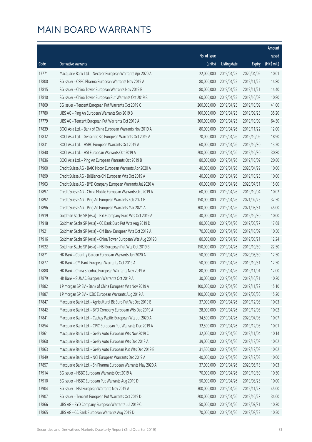|       |                                                              |              |                       |               | Amount      |
|-------|--------------------------------------------------------------|--------------|-----------------------|---------------|-------------|
|       |                                                              | No. of issue |                       |               | raised      |
| Code  | Derivative warrants                                          | (units)      | <b>Listing date</b>   | <b>Expiry</b> | (HK\$ mil.) |
| 17771 | Macquarie Bank Ltd. - Nexteer European Warrants Apr 2020 A   | 22,000,000   | 2019/04/25            | 2020/04/09    | 10.01       |
| 17800 | SG Issuer - CSPC Pharma European Warrants Nov 2019 A         | 80,000,000   | 2019/04/25            | 2019/11/22    | 14.80       |
| 17815 | SG Issuer - China Tower European Warrants Nov 2019 B         | 80,000,000   | 2019/04/25            | 2019/11/21    | 14.40       |
| 17810 | SG Issuer - China Tower European Put Warrants Oct 2019 B     | 60,000,000   | 2019/04/25            | 2019/10/08    | 10.80       |
| 17809 | SG Issuer - Tencent European Put Warrants Oct 2019 C         | 200,000,000  | 2019/04/25            | 2019/10/09    | 41.00       |
| 17780 | UBS AG - Ping An European Warrants Sep 2019 B                | 100,000,000  | 2019/04/25            | 2019/09/23    | 35.20       |
| 17779 | UBS AG - Tencent European Put Warrants Oct 2019 A            | 300,000,000  | 2019/04/25            | 2019/10/09    | 64.50       |
| 17839 | BOCI Asia Ltd. - Bank of China European Warrants Nov 2019 A  | 80,000,000   | 2019/04/26            | 2019/11/22    | 12.00       |
| 17832 | BOCI Asia Ltd. - Genscript Bio European Warrants Oct 2019 A  | 70,000,000   | 2019/04/26            | 2019/10/09    | 18.90       |
| 17831 | BOCI Asia Ltd. - HSBC European Warrants Oct 2019 A           | 60,000,000   | 2019/04/26            | 2019/10/30    | 13.20       |
| 17840 | BOCI Asia Ltd. - HSI European Warrants Oct 2019 A            | 200,000,000  | 2019/04/26            | 2019/10/30    | 30.80       |
| 17836 | BOCI Asia Ltd. - Ping An European Warrants Oct 2019 B        | 80,000,000   | 2019/04/26            | 2019/10/09    | 20.80       |
| 17900 | Credit Suisse AG - BAIC Motor European Warrants Apr 2020 A   | 40,000,000   | 2019/04/26            | 2020/04/29    | 10.00       |
| 17899 | Credit Suisse AG - Brilliance Chi European Wts Oct 2019 A    | 40,000,000   | 2019/04/26            | 2019/10/25    | 10.00       |
| 17903 | Credit Suisse AG - BYD Company European Warrants Jul 2020 A  | 60,000,000   | 2019/04/26            | 2020/07/31    | 15.00       |
| 17897 | Credit Suisse AG - China Mobile European Warrants Oct 2019 A | 60,000,000   | 2019/04/26            | 2019/10/04    | 10.02       |
| 17892 | Credit Suisse AG - Ping An European Warrants Feb 2021 B      | 150,000,000  | 2019/04/26            | 2021/02/26    | 37.50       |
| 17896 | Credit Suisse AG - Ping An European Warrants Mar 2021 A      | 300,000,000  | 2019/04/26            | 2021/03/31    | 45.00       |
| 17919 | Goldman Sachs SP (Asia) - BYD Company Euro Wts Oct 2019 A    | 40,000,000   | 2019/04/26            | 2019/10/30    | 10.00       |
| 17918 | Goldman Sachs SP (Asia) - CC Bank Euro Put Wts Aug 2019 D    | 80,000,000   | 2019/04/26            | 2019/08/27    | 17.68       |
| 17921 | Goldman Sachs SP (Asia) - CM Bank European Wts Oct 2019 A    | 70,000,000   | 2019/04/26            | 2019/10/09    | 10.50       |
| 17916 | Goldman Sachs SP (Asia) - China Tower European Wts Aug 2019B | 80,000,000   | 2019/04/26            | 2019/08/21    | 12.24       |
| 17922 | Goldman Sachs SP (Asia) - HSI European Put Wts Oct 2019 B    | 150,000,000  | 2019/04/26            | 2019/10/30    | 22.50       |
| 17871 | HK Bank - Country Garden European Warrants Jun 2020 A        | 50,000,000   | 2019/04/26            | 2020/06/30    | 12.50       |
| 17877 | HK Bank - CM Bank European Warrants Oct 2019 A               | 50,000,000   | 2019/04/26            | 2019/10/31    | 12.50       |
| 17880 | HK Bank - China Shenhua European Warrants Nov 2019 A         | 80,000,000   | 2019/04/26            | 2019/11/01    | 12.00       |
| 17879 | HK Bank - SUNAC European Warrants Oct 2019 A                 |              | 30,000,000 2019/04/26 | 2019/10/31    | 10.20       |
| 17882 | J P Morgan SP BV - Bank of China European Wts Nov 2019 A     | 100,000,000  | 2019/04/26            | 2019/11/22    | 15.10       |
| 17887 | J P Morgan SP BV - ICBC European Warrants Aug 2019 A         | 100,000,000  | 2019/04/26            | 2019/08/30    | 15.20       |
| 17847 | Macquarie Bank Ltd. - Agricultural Bk Euro Put Wt Dec 2019 B | 37,000,000   | 2019/04/26            | 2019/12/03    | 10.03       |
| 17842 | Macquarie Bank Ltd. - BYD Company European Wts Dec 2019 A    | 28,000,000   | 2019/04/26            | 2019/12/03    | 10.02       |
| 17841 | Macquarie Bank Ltd. - Cathay Pacific European Wts Jul 2020 A | 34,500,000   | 2019/04/26            | 2020/07/03    | 10.07       |
| 17854 | Macquarie Bank Ltd. - CPIC European Put Warrants Dec 2019 A  | 32,500,000   | 2019/04/26            | 2019/12/03    | 10.01       |
| 17861 | Macquarie Bank Ltd. - Geely Auto European Wts Nov 2019 C     | 32,000,000   | 2019/04/26            | 2019/11/04    | 10.14       |
| 17860 | Macquarie Bank Ltd. - Geely Auto European Wts Dec 2019 A     | 39,000,000   | 2019/04/26            | 2019/12/03    | 10.02       |
| 17863 | Macquarie Bank Ltd. - Geely Auto European Put Wts Dec 2019 B | 31,500,000   | 2019/04/26            | 2019/12/03    | 10.02       |
| 17849 | Macquarie Bank Ltd. - NCI European Warrants Dec 2019 A       | 40,000,000   | 2019/04/26            | 2019/12/03    | 10.00       |
| 17857 | Macquarie Bank Ltd. - Sh Pharma European Warrants May 2020 A | 37,000,000   | 2019/04/26            | 2020/05/18    | 10.03       |
| 17914 | SG Issuer - HSBC European Warrants Oct 2019 A                | 70,000,000   | 2019/04/26            | 2019/10/30    | 10.50       |
| 17910 | SG Issuer - HSBC European Put Warrants Aug 2019 D            | 50,000,000   | 2019/04/26            | 2019/08/23    | 10.00       |
| 17904 | SG Issuer - HSI European Warrants Nov 2019 A                 | 300,000,000  | 2019/04/26            | 2019/11/28    | 45.00       |
| 17907 | SG Issuer - Tencent European Put Warrants Oct 2019 D         | 200,000,000  | 2019/04/26            | 2019/10/28    | 34.00       |
| 17866 | UBS AG - BYD Company European Warrants Jul 2019 C            | 50,000,000   | 2019/04/26            | 2019/07/31    | 10.30       |
| 17865 | UBS AG - CC Bank European Warrants Aug 2019 D                | 70,000,000   | 2019/04/26            | 2019/08/22    | 10.50       |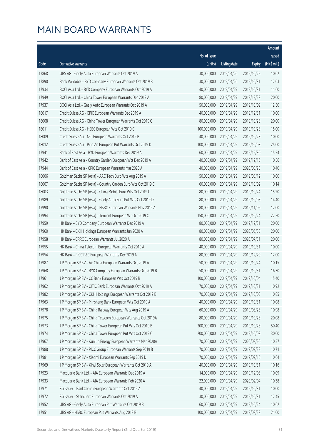| No. of issue<br>raised<br>(HK\$ mil.)<br>Derivative warrants<br>(units)<br>Code<br><b>Listing date</b><br><b>Expiry</b><br>17868<br>UBS AG - Geely Auto European Warrants Oct 2019 A<br>30,000,000<br>2019/04/26<br>2019/10/25<br>10.02<br>12.03<br>17890<br>Bank Vontobel - BYD Company European Warrants Oct 2019 B<br>30,000,000<br>2019/04/26<br>2019/10/31<br>17934<br>40,000,000<br>11.60<br>BOCI Asia Ltd. - BYD Company European Warrants Oct 2019 A<br>2019/04/29<br>2019/10/31<br>20.00<br>17949<br>BOCI Asia Ltd. - China Tower European Warrants Dec 2019 A<br>80,000,000<br>2019/04/29<br>2019/12/23<br>17937<br>50,000,000<br>12.50<br>BOCI Asia Ltd. - Geely Auto European Warrants Oct 2019 A<br>2019/04/29<br>2019/10/09<br>18017<br>Credit Suisse AG - CPIC European Warrants Dec 2019 A<br>40,000,000<br>2019/04/29<br>2019/12/31<br>10.00<br>18008<br>80,000,000<br>20.00<br>Credit Suisse AG - China Tower European Warrants Oct 2019 C<br>2019/04/29<br>2019/10/28<br>18011<br>Credit Suisse AG - HSBC European Wts Oct 2019 C<br>100,000,000<br>2019/04/29<br>2019/10/28<br>15.00<br>18009<br>40,000,000<br>10.00<br>Credit Suisse AG - NCI European Warrants Oct 2019 B<br>2019/04/29<br>2019/10/28<br>18012<br>Credit Suisse AG - Ping An European Put Warrants Oct 2019 D<br>100,000,000<br>2019/04/29<br>2019/10/08<br>25.00<br>17941<br>60,000,000<br>15.24<br>Bank of East Asia - BYD European Warrants Dec 2019 A<br>2019/04/29<br>2019/12/30<br>40,000,000<br>10.56<br>17942<br>Bank of East Asia - Country Garden European Wts Dec 2019 A<br>2019/04/29<br>2019/12/16<br>17944<br>40,000,000<br>10.40<br>Bank of East Asia - CPIC European Warrants Mar 2020 A<br>2019/04/29<br>2020/03/23<br>18006<br>Goldman Sachs SP (Asia) - AAC Tech Euro Wts Aug 2019 A<br>50,000,000<br>2019/04/29<br>2019/08/12<br>10.00<br>10.14<br>18007<br>Goldman Sachs SP (Asia) - Country Garden Euro Wts Oct 2019 C<br>60,000,000<br>2019/04/29<br>2019/10/02<br>18003<br>Goldman Sachs SP (Asia) - China Mobile Euro Wts Oct 2019 C<br>80,000,000<br>2019/04/29<br>15.20<br>2019/10/24<br>17989<br>80,000,000<br>14.40<br>Goldman Sachs SP (Asia) - Geely Auto Euro Put Wts Oct 2019 D<br>2019/04/29<br>2019/10/08<br>17990<br>80,000,000<br>Goldman Sachs SP (Asia) - HSBC European Warrants Nov 2019 A<br>2019/04/29<br>2019/11/06<br>12.00<br>17994<br>150,000,000<br>22.50<br>Goldman Sachs SP (Asia) - Tencent European Wt Oct 2019 C<br>2019/04/29<br>2019/10/24<br>80,000,000<br>20.00<br>17959<br>HK Bank - BYD Company European Warrants Dec 2019 A<br>2019/04/29<br>2019/12/31<br>17960<br>80,000,000<br>20.00<br>HK Bank - CKH Holdings European Warrants Jun 2020 A<br>2019/04/29<br>2020/06/30<br>80,000,000<br>17958<br>HK Bank - CRRC European Warrants Jul 2020 A<br>2019/04/29<br>2020/07/31<br>20.00<br>17955<br>40,000,000<br>10.00<br>HK Bank - China Telecom European Warrants Oct 2019 A<br>2019/04/29<br>2019/10/31<br>80,000,000<br>17954<br>HK Bank - PICC P&C European Warrants Dec 2019 A<br>2019/04/29<br>2019/12/20<br>12.00<br>17987<br>50,000,000<br>10.15<br>J P Morgan SP BV - Air China European Warrants Oct 2019 A<br>2019/04/29<br>2019/10/24<br>17968<br>50,000,000<br>16.30<br>J P Morgan SP BV - BYD Company European Warrants Oct 2019 B<br>2019/04/29<br>2019/10/31<br>17961<br>J P Morgan SP BV - CC Bank European Wts Oct 2019 B<br>100,000,000 2019/04/29<br>2019/10/04<br>15.40<br>17962<br>J P Morgan SP BV - CITIC Bank European Warrants Oct 2019 A<br>70,000,000<br>2019/04/29<br>2019/10/31<br>10.92<br>17982<br>70,000,000<br>2019/04/29<br>10.85<br>J P Morgan SP BV - CKH Holdings European Warrants Oct 2019 B<br>2019/10/03<br>17963<br>J P Morgan SP BV - Minsheng Bank European Wts Oct 2019 A<br>40,000,000<br>2019/04/29<br>10.08<br>2019/10/31<br>17978<br>J P Morgan SP BV - China Railway European Wts Aug 2019 A<br>60,000,000<br>10.98<br>2019/04/29<br>2019/08/23<br>17975<br>80,000,000<br>20.08<br>J P Morgan SP BV - China Telecom European Warrants Oct 2019A<br>2019/04/29<br>2019/10/28<br>17973<br>J P Morgan SP BV - China Tower European Put Wts Oct 2019 B<br>200,000,000<br>50.40<br>2019/04/29<br>2019/10/28<br>17974<br>J P Morgan SP BV - China Tower European Put Wts Oct 2019 C<br>200,000,000<br>2019/04/29<br>2019/10/08<br>30.00<br>17967<br>J P Morgan SP BV - Kunlun Energy European Warrants Mar 2020A<br>70,000,000<br>10.57<br>2019/04/29<br>2020/03/20<br>70,000,000<br>10.71<br>17988<br>J P Morgan SP BV - PICC Group European Warrants Sep 2019 B<br>2019/04/29<br>2019/09/23<br>17981<br>70,000,000<br>10.64<br>J P Morgan SP BV - Xiaomi European Warrants Sep 2019 D<br>2019/04/29<br>2019/09/16<br>J P Morgan SP BV - Xinyi Solar European Warrants Oct 2019 A<br>40,000,000<br>2019/04/29<br>10.16<br>17969<br>2019/10/31<br>17923<br>14,000,000<br>10.09<br>Macquarie Bank Ltd. - AIA European Warrants Dec 2019 A<br>2019/04/29<br>2019/12/03<br>10.38<br>17933<br>Macquarie Bank Ltd. - AIA European Warrants Feb 2020 A<br>22,000,000<br>2019/04/29<br>2020/02/04 |  |  | Amount |
|------------------------------------------------------------------------------------------------------------------------------------------------------------------------------------------------------------------------------------------------------------------------------------------------------------------------------------------------------------------------------------------------------------------------------------------------------------------------------------------------------------------------------------------------------------------------------------------------------------------------------------------------------------------------------------------------------------------------------------------------------------------------------------------------------------------------------------------------------------------------------------------------------------------------------------------------------------------------------------------------------------------------------------------------------------------------------------------------------------------------------------------------------------------------------------------------------------------------------------------------------------------------------------------------------------------------------------------------------------------------------------------------------------------------------------------------------------------------------------------------------------------------------------------------------------------------------------------------------------------------------------------------------------------------------------------------------------------------------------------------------------------------------------------------------------------------------------------------------------------------------------------------------------------------------------------------------------------------------------------------------------------------------------------------------------------------------------------------------------------------------------------------------------------------------------------------------------------------------------------------------------------------------------------------------------------------------------------------------------------------------------------------------------------------------------------------------------------------------------------------------------------------------------------------------------------------------------------------------------------------------------------------------------------------------------------------------------------------------------------------------------------------------------------------------------------------------------------------------------------------------------------------------------------------------------------------------------------------------------------------------------------------------------------------------------------------------------------------------------------------------------------------------------------------------------------------------------------------------------------------------------------------------------------------------------------------------------------------------------------------------------------------------------------------------------------------------------------------------------------------------------------------------------------------------------------------------------------------------------------------------------------------------------------------------------------------------------------------------------------------------------------------------------------------------------------------------------------------------------------------------------------------------------------------------------------------------------------------------------------------------------------------------------------------------------------------------------------------------------------------------------------------------------------------------------------------------------------------------------------------------------------------------------------------------------------------------------------------------------------------------------------------------------------------------------------------------------------------------------------------------------------------------------------------------------------------------------------------------------------------------------------------------------------------------------------------------------------------------------------------------------------------------------------------------------------------------------------------------------------------------------------------------------------------------------------------------------------------------------------------------------------------------------------------------------------------------------------|--|--|--------|
|                                                                                                                                                                                                                                                                                                                                                                                                                                                                                                                                                                                                                                                                                                                                                                                                                                                                                                                                                                                                                                                                                                                                                                                                                                                                                                                                                                                                                                                                                                                                                                                                                                                                                                                                                                                                                                                                                                                                                                                                                                                                                                                                                                                                                                                                                                                                                                                                                                                                                                                                                                                                                                                                                                                                                                                                                                                                                                                                                                                                                                                                                                                                                                                                                                                                                                                                                                                                                                                                                                                                                                                                                                                                                                                                                                                                                                                                                                                                                                                                                                                                                                                                                                                                                                                                                                                                                                                                                                                                                                                                                                                                                                                                                                                                                                                                                                                                                                                                                                                                                                                                                          |  |  |        |
|                                                                                                                                                                                                                                                                                                                                                                                                                                                                                                                                                                                                                                                                                                                                                                                                                                                                                                                                                                                                                                                                                                                                                                                                                                                                                                                                                                                                                                                                                                                                                                                                                                                                                                                                                                                                                                                                                                                                                                                                                                                                                                                                                                                                                                                                                                                                                                                                                                                                                                                                                                                                                                                                                                                                                                                                                                                                                                                                                                                                                                                                                                                                                                                                                                                                                                                                                                                                                                                                                                                                                                                                                                                                                                                                                                                                                                                                                                                                                                                                                                                                                                                                                                                                                                                                                                                                                                                                                                                                                                                                                                                                                                                                                                                                                                                                                                                                                                                                                                                                                                                                                          |  |  |        |
|                                                                                                                                                                                                                                                                                                                                                                                                                                                                                                                                                                                                                                                                                                                                                                                                                                                                                                                                                                                                                                                                                                                                                                                                                                                                                                                                                                                                                                                                                                                                                                                                                                                                                                                                                                                                                                                                                                                                                                                                                                                                                                                                                                                                                                                                                                                                                                                                                                                                                                                                                                                                                                                                                                                                                                                                                                                                                                                                                                                                                                                                                                                                                                                                                                                                                                                                                                                                                                                                                                                                                                                                                                                                                                                                                                                                                                                                                                                                                                                                                                                                                                                                                                                                                                                                                                                                                                                                                                                                                                                                                                                                                                                                                                                                                                                                                                                                                                                                                                                                                                                                                          |  |  |        |
|                                                                                                                                                                                                                                                                                                                                                                                                                                                                                                                                                                                                                                                                                                                                                                                                                                                                                                                                                                                                                                                                                                                                                                                                                                                                                                                                                                                                                                                                                                                                                                                                                                                                                                                                                                                                                                                                                                                                                                                                                                                                                                                                                                                                                                                                                                                                                                                                                                                                                                                                                                                                                                                                                                                                                                                                                                                                                                                                                                                                                                                                                                                                                                                                                                                                                                                                                                                                                                                                                                                                                                                                                                                                                                                                                                                                                                                                                                                                                                                                                                                                                                                                                                                                                                                                                                                                                                                                                                                                                                                                                                                                                                                                                                                                                                                                                                                                                                                                                                                                                                                                                          |  |  |        |
|                                                                                                                                                                                                                                                                                                                                                                                                                                                                                                                                                                                                                                                                                                                                                                                                                                                                                                                                                                                                                                                                                                                                                                                                                                                                                                                                                                                                                                                                                                                                                                                                                                                                                                                                                                                                                                                                                                                                                                                                                                                                                                                                                                                                                                                                                                                                                                                                                                                                                                                                                                                                                                                                                                                                                                                                                                                                                                                                                                                                                                                                                                                                                                                                                                                                                                                                                                                                                                                                                                                                                                                                                                                                                                                                                                                                                                                                                                                                                                                                                                                                                                                                                                                                                                                                                                                                                                                                                                                                                                                                                                                                                                                                                                                                                                                                                                                                                                                                                                                                                                                                                          |  |  |        |
|                                                                                                                                                                                                                                                                                                                                                                                                                                                                                                                                                                                                                                                                                                                                                                                                                                                                                                                                                                                                                                                                                                                                                                                                                                                                                                                                                                                                                                                                                                                                                                                                                                                                                                                                                                                                                                                                                                                                                                                                                                                                                                                                                                                                                                                                                                                                                                                                                                                                                                                                                                                                                                                                                                                                                                                                                                                                                                                                                                                                                                                                                                                                                                                                                                                                                                                                                                                                                                                                                                                                                                                                                                                                                                                                                                                                                                                                                                                                                                                                                                                                                                                                                                                                                                                                                                                                                                                                                                                                                                                                                                                                                                                                                                                                                                                                                                                                                                                                                                                                                                                                                          |  |  |        |
|                                                                                                                                                                                                                                                                                                                                                                                                                                                                                                                                                                                                                                                                                                                                                                                                                                                                                                                                                                                                                                                                                                                                                                                                                                                                                                                                                                                                                                                                                                                                                                                                                                                                                                                                                                                                                                                                                                                                                                                                                                                                                                                                                                                                                                                                                                                                                                                                                                                                                                                                                                                                                                                                                                                                                                                                                                                                                                                                                                                                                                                                                                                                                                                                                                                                                                                                                                                                                                                                                                                                                                                                                                                                                                                                                                                                                                                                                                                                                                                                                                                                                                                                                                                                                                                                                                                                                                                                                                                                                                                                                                                                                                                                                                                                                                                                                                                                                                                                                                                                                                                                                          |  |  |        |
|                                                                                                                                                                                                                                                                                                                                                                                                                                                                                                                                                                                                                                                                                                                                                                                                                                                                                                                                                                                                                                                                                                                                                                                                                                                                                                                                                                                                                                                                                                                                                                                                                                                                                                                                                                                                                                                                                                                                                                                                                                                                                                                                                                                                                                                                                                                                                                                                                                                                                                                                                                                                                                                                                                                                                                                                                                                                                                                                                                                                                                                                                                                                                                                                                                                                                                                                                                                                                                                                                                                                                                                                                                                                                                                                                                                                                                                                                                                                                                                                                                                                                                                                                                                                                                                                                                                                                                                                                                                                                                                                                                                                                                                                                                                                                                                                                                                                                                                                                                                                                                                                                          |  |  |        |
|                                                                                                                                                                                                                                                                                                                                                                                                                                                                                                                                                                                                                                                                                                                                                                                                                                                                                                                                                                                                                                                                                                                                                                                                                                                                                                                                                                                                                                                                                                                                                                                                                                                                                                                                                                                                                                                                                                                                                                                                                                                                                                                                                                                                                                                                                                                                                                                                                                                                                                                                                                                                                                                                                                                                                                                                                                                                                                                                                                                                                                                                                                                                                                                                                                                                                                                                                                                                                                                                                                                                                                                                                                                                                                                                                                                                                                                                                                                                                                                                                                                                                                                                                                                                                                                                                                                                                                                                                                                                                                                                                                                                                                                                                                                                                                                                                                                                                                                                                                                                                                                                                          |  |  |        |
|                                                                                                                                                                                                                                                                                                                                                                                                                                                                                                                                                                                                                                                                                                                                                                                                                                                                                                                                                                                                                                                                                                                                                                                                                                                                                                                                                                                                                                                                                                                                                                                                                                                                                                                                                                                                                                                                                                                                                                                                                                                                                                                                                                                                                                                                                                                                                                                                                                                                                                                                                                                                                                                                                                                                                                                                                                                                                                                                                                                                                                                                                                                                                                                                                                                                                                                                                                                                                                                                                                                                                                                                                                                                                                                                                                                                                                                                                                                                                                                                                                                                                                                                                                                                                                                                                                                                                                                                                                                                                                                                                                                                                                                                                                                                                                                                                                                                                                                                                                                                                                                                                          |  |  |        |
|                                                                                                                                                                                                                                                                                                                                                                                                                                                                                                                                                                                                                                                                                                                                                                                                                                                                                                                                                                                                                                                                                                                                                                                                                                                                                                                                                                                                                                                                                                                                                                                                                                                                                                                                                                                                                                                                                                                                                                                                                                                                                                                                                                                                                                                                                                                                                                                                                                                                                                                                                                                                                                                                                                                                                                                                                                                                                                                                                                                                                                                                                                                                                                                                                                                                                                                                                                                                                                                                                                                                                                                                                                                                                                                                                                                                                                                                                                                                                                                                                                                                                                                                                                                                                                                                                                                                                                                                                                                                                                                                                                                                                                                                                                                                                                                                                                                                                                                                                                                                                                                                                          |  |  |        |
|                                                                                                                                                                                                                                                                                                                                                                                                                                                                                                                                                                                                                                                                                                                                                                                                                                                                                                                                                                                                                                                                                                                                                                                                                                                                                                                                                                                                                                                                                                                                                                                                                                                                                                                                                                                                                                                                                                                                                                                                                                                                                                                                                                                                                                                                                                                                                                                                                                                                                                                                                                                                                                                                                                                                                                                                                                                                                                                                                                                                                                                                                                                                                                                                                                                                                                                                                                                                                                                                                                                                                                                                                                                                                                                                                                                                                                                                                                                                                                                                                                                                                                                                                                                                                                                                                                                                                                                                                                                                                                                                                                                                                                                                                                                                                                                                                                                                                                                                                                                                                                                                                          |  |  |        |
|                                                                                                                                                                                                                                                                                                                                                                                                                                                                                                                                                                                                                                                                                                                                                                                                                                                                                                                                                                                                                                                                                                                                                                                                                                                                                                                                                                                                                                                                                                                                                                                                                                                                                                                                                                                                                                                                                                                                                                                                                                                                                                                                                                                                                                                                                                                                                                                                                                                                                                                                                                                                                                                                                                                                                                                                                                                                                                                                                                                                                                                                                                                                                                                                                                                                                                                                                                                                                                                                                                                                                                                                                                                                                                                                                                                                                                                                                                                                                                                                                                                                                                                                                                                                                                                                                                                                                                                                                                                                                                                                                                                                                                                                                                                                                                                                                                                                                                                                                                                                                                                                                          |  |  |        |
|                                                                                                                                                                                                                                                                                                                                                                                                                                                                                                                                                                                                                                                                                                                                                                                                                                                                                                                                                                                                                                                                                                                                                                                                                                                                                                                                                                                                                                                                                                                                                                                                                                                                                                                                                                                                                                                                                                                                                                                                                                                                                                                                                                                                                                                                                                                                                                                                                                                                                                                                                                                                                                                                                                                                                                                                                                                                                                                                                                                                                                                                                                                                                                                                                                                                                                                                                                                                                                                                                                                                                                                                                                                                                                                                                                                                                                                                                                                                                                                                                                                                                                                                                                                                                                                                                                                                                                                                                                                                                                                                                                                                                                                                                                                                                                                                                                                                                                                                                                                                                                                                                          |  |  |        |
|                                                                                                                                                                                                                                                                                                                                                                                                                                                                                                                                                                                                                                                                                                                                                                                                                                                                                                                                                                                                                                                                                                                                                                                                                                                                                                                                                                                                                                                                                                                                                                                                                                                                                                                                                                                                                                                                                                                                                                                                                                                                                                                                                                                                                                                                                                                                                                                                                                                                                                                                                                                                                                                                                                                                                                                                                                                                                                                                                                                                                                                                                                                                                                                                                                                                                                                                                                                                                                                                                                                                                                                                                                                                                                                                                                                                                                                                                                                                                                                                                                                                                                                                                                                                                                                                                                                                                                                                                                                                                                                                                                                                                                                                                                                                                                                                                                                                                                                                                                                                                                                                                          |  |  |        |
|                                                                                                                                                                                                                                                                                                                                                                                                                                                                                                                                                                                                                                                                                                                                                                                                                                                                                                                                                                                                                                                                                                                                                                                                                                                                                                                                                                                                                                                                                                                                                                                                                                                                                                                                                                                                                                                                                                                                                                                                                                                                                                                                                                                                                                                                                                                                                                                                                                                                                                                                                                                                                                                                                                                                                                                                                                                                                                                                                                                                                                                                                                                                                                                                                                                                                                                                                                                                                                                                                                                                                                                                                                                                                                                                                                                                                                                                                                                                                                                                                                                                                                                                                                                                                                                                                                                                                                                                                                                                                                                                                                                                                                                                                                                                                                                                                                                                                                                                                                                                                                                                                          |  |  |        |
|                                                                                                                                                                                                                                                                                                                                                                                                                                                                                                                                                                                                                                                                                                                                                                                                                                                                                                                                                                                                                                                                                                                                                                                                                                                                                                                                                                                                                                                                                                                                                                                                                                                                                                                                                                                                                                                                                                                                                                                                                                                                                                                                                                                                                                                                                                                                                                                                                                                                                                                                                                                                                                                                                                                                                                                                                                                                                                                                                                                                                                                                                                                                                                                                                                                                                                                                                                                                                                                                                                                                                                                                                                                                                                                                                                                                                                                                                                                                                                                                                                                                                                                                                                                                                                                                                                                                                                                                                                                                                                                                                                                                                                                                                                                                                                                                                                                                                                                                                                                                                                                                                          |  |  |        |
|                                                                                                                                                                                                                                                                                                                                                                                                                                                                                                                                                                                                                                                                                                                                                                                                                                                                                                                                                                                                                                                                                                                                                                                                                                                                                                                                                                                                                                                                                                                                                                                                                                                                                                                                                                                                                                                                                                                                                                                                                                                                                                                                                                                                                                                                                                                                                                                                                                                                                                                                                                                                                                                                                                                                                                                                                                                                                                                                                                                                                                                                                                                                                                                                                                                                                                                                                                                                                                                                                                                                                                                                                                                                                                                                                                                                                                                                                                                                                                                                                                                                                                                                                                                                                                                                                                                                                                                                                                                                                                                                                                                                                                                                                                                                                                                                                                                                                                                                                                                                                                                                                          |  |  |        |
|                                                                                                                                                                                                                                                                                                                                                                                                                                                                                                                                                                                                                                                                                                                                                                                                                                                                                                                                                                                                                                                                                                                                                                                                                                                                                                                                                                                                                                                                                                                                                                                                                                                                                                                                                                                                                                                                                                                                                                                                                                                                                                                                                                                                                                                                                                                                                                                                                                                                                                                                                                                                                                                                                                                                                                                                                                                                                                                                                                                                                                                                                                                                                                                                                                                                                                                                                                                                                                                                                                                                                                                                                                                                                                                                                                                                                                                                                                                                                                                                                                                                                                                                                                                                                                                                                                                                                                                                                                                                                                                                                                                                                                                                                                                                                                                                                                                                                                                                                                                                                                                                                          |  |  |        |
|                                                                                                                                                                                                                                                                                                                                                                                                                                                                                                                                                                                                                                                                                                                                                                                                                                                                                                                                                                                                                                                                                                                                                                                                                                                                                                                                                                                                                                                                                                                                                                                                                                                                                                                                                                                                                                                                                                                                                                                                                                                                                                                                                                                                                                                                                                                                                                                                                                                                                                                                                                                                                                                                                                                                                                                                                                                                                                                                                                                                                                                                                                                                                                                                                                                                                                                                                                                                                                                                                                                                                                                                                                                                                                                                                                                                                                                                                                                                                                                                                                                                                                                                                                                                                                                                                                                                                                                                                                                                                                                                                                                                                                                                                                                                                                                                                                                                                                                                                                                                                                                                                          |  |  |        |
|                                                                                                                                                                                                                                                                                                                                                                                                                                                                                                                                                                                                                                                                                                                                                                                                                                                                                                                                                                                                                                                                                                                                                                                                                                                                                                                                                                                                                                                                                                                                                                                                                                                                                                                                                                                                                                                                                                                                                                                                                                                                                                                                                                                                                                                                                                                                                                                                                                                                                                                                                                                                                                                                                                                                                                                                                                                                                                                                                                                                                                                                                                                                                                                                                                                                                                                                                                                                                                                                                                                                                                                                                                                                                                                                                                                                                                                                                                                                                                                                                                                                                                                                                                                                                                                                                                                                                                                                                                                                                                                                                                                                                                                                                                                                                                                                                                                                                                                                                                                                                                                                                          |  |  |        |
|                                                                                                                                                                                                                                                                                                                                                                                                                                                                                                                                                                                                                                                                                                                                                                                                                                                                                                                                                                                                                                                                                                                                                                                                                                                                                                                                                                                                                                                                                                                                                                                                                                                                                                                                                                                                                                                                                                                                                                                                                                                                                                                                                                                                                                                                                                                                                                                                                                                                                                                                                                                                                                                                                                                                                                                                                                                                                                                                                                                                                                                                                                                                                                                                                                                                                                                                                                                                                                                                                                                                                                                                                                                                                                                                                                                                                                                                                                                                                                                                                                                                                                                                                                                                                                                                                                                                                                                                                                                                                                                                                                                                                                                                                                                                                                                                                                                                                                                                                                                                                                                                                          |  |  |        |
|                                                                                                                                                                                                                                                                                                                                                                                                                                                                                                                                                                                                                                                                                                                                                                                                                                                                                                                                                                                                                                                                                                                                                                                                                                                                                                                                                                                                                                                                                                                                                                                                                                                                                                                                                                                                                                                                                                                                                                                                                                                                                                                                                                                                                                                                                                                                                                                                                                                                                                                                                                                                                                                                                                                                                                                                                                                                                                                                                                                                                                                                                                                                                                                                                                                                                                                                                                                                                                                                                                                                                                                                                                                                                                                                                                                                                                                                                                                                                                                                                                                                                                                                                                                                                                                                                                                                                                                                                                                                                                                                                                                                                                                                                                                                                                                                                                                                                                                                                                                                                                                                                          |  |  |        |
|                                                                                                                                                                                                                                                                                                                                                                                                                                                                                                                                                                                                                                                                                                                                                                                                                                                                                                                                                                                                                                                                                                                                                                                                                                                                                                                                                                                                                                                                                                                                                                                                                                                                                                                                                                                                                                                                                                                                                                                                                                                                                                                                                                                                                                                                                                                                                                                                                                                                                                                                                                                                                                                                                                                                                                                                                                                                                                                                                                                                                                                                                                                                                                                                                                                                                                                                                                                                                                                                                                                                                                                                                                                                                                                                                                                                                                                                                                                                                                                                                                                                                                                                                                                                                                                                                                                                                                                                                                                                                                                                                                                                                                                                                                                                                                                                                                                                                                                                                                                                                                                                                          |  |  |        |
|                                                                                                                                                                                                                                                                                                                                                                                                                                                                                                                                                                                                                                                                                                                                                                                                                                                                                                                                                                                                                                                                                                                                                                                                                                                                                                                                                                                                                                                                                                                                                                                                                                                                                                                                                                                                                                                                                                                                                                                                                                                                                                                                                                                                                                                                                                                                                                                                                                                                                                                                                                                                                                                                                                                                                                                                                                                                                                                                                                                                                                                                                                                                                                                                                                                                                                                                                                                                                                                                                                                                                                                                                                                                                                                                                                                                                                                                                                                                                                                                                                                                                                                                                                                                                                                                                                                                                                                                                                                                                                                                                                                                                                                                                                                                                                                                                                                                                                                                                                                                                                                                                          |  |  |        |
|                                                                                                                                                                                                                                                                                                                                                                                                                                                                                                                                                                                                                                                                                                                                                                                                                                                                                                                                                                                                                                                                                                                                                                                                                                                                                                                                                                                                                                                                                                                                                                                                                                                                                                                                                                                                                                                                                                                                                                                                                                                                                                                                                                                                                                                                                                                                                                                                                                                                                                                                                                                                                                                                                                                                                                                                                                                                                                                                                                                                                                                                                                                                                                                                                                                                                                                                                                                                                                                                                                                                                                                                                                                                                                                                                                                                                                                                                                                                                                                                                                                                                                                                                                                                                                                                                                                                                                                                                                                                                                                                                                                                                                                                                                                                                                                                                                                                                                                                                                                                                                                                                          |  |  |        |
|                                                                                                                                                                                                                                                                                                                                                                                                                                                                                                                                                                                                                                                                                                                                                                                                                                                                                                                                                                                                                                                                                                                                                                                                                                                                                                                                                                                                                                                                                                                                                                                                                                                                                                                                                                                                                                                                                                                                                                                                                                                                                                                                                                                                                                                                                                                                                                                                                                                                                                                                                                                                                                                                                                                                                                                                                                                                                                                                                                                                                                                                                                                                                                                                                                                                                                                                                                                                                                                                                                                                                                                                                                                                                                                                                                                                                                                                                                                                                                                                                                                                                                                                                                                                                                                                                                                                                                                                                                                                                                                                                                                                                                                                                                                                                                                                                                                                                                                                                                                                                                                                                          |  |  |        |
|                                                                                                                                                                                                                                                                                                                                                                                                                                                                                                                                                                                                                                                                                                                                                                                                                                                                                                                                                                                                                                                                                                                                                                                                                                                                                                                                                                                                                                                                                                                                                                                                                                                                                                                                                                                                                                                                                                                                                                                                                                                                                                                                                                                                                                                                                                                                                                                                                                                                                                                                                                                                                                                                                                                                                                                                                                                                                                                                                                                                                                                                                                                                                                                                                                                                                                                                                                                                                                                                                                                                                                                                                                                                                                                                                                                                                                                                                                                                                                                                                                                                                                                                                                                                                                                                                                                                                                                                                                                                                                                                                                                                                                                                                                                                                                                                                                                                                                                                                                                                                                                                                          |  |  |        |
|                                                                                                                                                                                                                                                                                                                                                                                                                                                                                                                                                                                                                                                                                                                                                                                                                                                                                                                                                                                                                                                                                                                                                                                                                                                                                                                                                                                                                                                                                                                                                                                                                                                                                                                                                                                                                                                                                                                                                                                                                                                                                                                                                                                                                                                                                                                                                                                                                                                                                                                                                                                                                                                                                                                                                                                                                                                                                                                                                                                                                                                                                                                                                                                                                                                                                                                                                                                                                                                                                                                                                                                                                                                                                                                                                                                                                                                                                                                                                                                                                                                                                                                                                                                                                                                                                                                                                                                                                                                                                                                                                                                                                                                                                                                                                                                                                                                                                                                                                                                                                                                                                          |  |  |        |
|                                                                                                                                                                                                                                                                                                                                                                                                                                                                                                                                                                                                                                                                                                                                                                                                                                                                                                                                                                                                                                                                                                                                                                                                                                                                                                                                                                                                                                                                                                                                                                                                                                                                                                                                                                                                                                                                                                                                                                                                                                                                                                                                                                                                                                                                                                                                                                                                                                                                                                                                                                                                                                                                                                                                                                                                                                                                                                                                                                                                                                                                                                                                                                                                                                                                                                                                                                                                                                                                                                                                                                                                                                                                                                                                                                                                                                                                                                                                                                                                                                                                                                                                                                                                                                                                                                                                                                                                                                                                                                                                                                                                                                                                                                                                                                                                                                                                                                                                                                                                                                                                                          |  |  |        |
|                                                                                                                                                                                                                                                                                                                                                                                                                                                                                                                                                                                                                                                                                                                                                                                                                                                                                                                                                                                                                                                                                                                                                                                                                                                                                                                                                                                                                                                                                                                                                                                                                                                                                                                                                                                                                                                                                                                                                                                                                                                                                                                                                                                                                                                                                                                                                                                                                                                                                                                                                                                                                                                                                                                                                                                                                                                                                                                                                                                                                                                                                                                                                                                                                                                                                                                                                                                                                                                                                                                                                                                                                                                                                                                                                                                                                                                                                                                                                                                                                                                                                                                                                                                                                                                                                                                                                                                                                                                                                                                                                                                                                                                                                                                                                                                                                                                                                                                                                                                                                                                                                          |  |  |        |
|                                                                                                                                                                                                                                                                                                                                                                                                                                                                                                                                                                                                                                                                                                                                                                                                                                                                                                                                                                                                                                                                                                                                                                                                                                                                                                                                                                                                                                                                                                                                                                                                                                                                                                                                                                                                                                                                                                                                                                                                                                                                                                                                                                                                                                                                                                                                                                                                                                                                                                                                                                                                                                                                                                                                                                                                                                                                                                                                                                                                                                                                                                                                                                                                                                                                                                                                                                                                                                                                                                                                                                                                                                                                                                                                                                                                                                                                                                                                                                                                                                                                                                                                                                                                                                                                                                                                                                                                                                                                                                                                                                                                                                                                                                                                                                                                                                                                                                                                                                                                                                                                                          |  |  |        |
|                                                                                                                                                                                                                                                                                                                                                                                                                                                                                                                                                                                                                                                                                                                                                                                                                                                                                                                                                                                                                                                                                                                                                                                                                                                                                                                                                                                                                                                                                                                                                                                                                                                                                                                                                                                                                                                                                                                                                                                                                                                                                                                                                                                                                                                                                                                                                                                                                                                                                                                                                                                                                                                                                                                                                                                                                                                                                                                                                                                                                                                                                                                                                                                                                                                                                                                                                                                                                                                                                                                                                                                                                                                                                                                                                                                                                                                                                                                                                                                                                                                                                                                                                                                                                                                                                                                                                                                                                                                                                                                                                                                                                                                                                                                                                                                                                                                                                                                                                                                                                                                                                          |  |  |        |
|                                                                                                                                                                                                                                                                                                                                                                                                                                                                                                                                                                                                                                                                                                                                                                                                                                                                                                                                                                                                                                                                                                                                                                                                                                                                                                                                                                                                                                                                                                                                                                                                                                                                                                                                                                                                                                                                                                                                                                                                                                                                                                                                                                                                                                                                                                                                                                                                                                                                                                                                                                                                                                                                                                                                                                                                                                                                                                                                                                                                                                                                                                                                                                                                                                                                                                                                                                                                                                                                                                                                                                                                                                                                                                                                                                                                                                                                                                                                                                                                                                                                                                                                                                                                                                                                                                                                                                                                                                                                                                                                                                                                                                                                                                                                                                                                                                                                                                                                                                                                                                                                                          |  |  |        |
|                                                                                                                                                                                                                                                                                                                                                                                                                                                                                                                                                                                                                                                                                                                                                                                                                                                                                                                                                                                                                                                                                                                                                                                                                                                                                                                                                                                                                                                                                                                                                                                                                                                                                                                                                                                                                                                                                                                                                                                                                                                                                                                                                                                                                                                                                                                                                                                                                                                                                                                                                                                                                                                                                                                                                                                                                                                                                                                                                                                                                                                                                                                                                                                                                                                                                                                                                                                                                                                                                                                                                                                                                                                                                                                                                                                                                                                                                                                                                                                                                                                                                                                                                                                                                                                                                                                                                                                                                                                                                                                                                                                                                                                                                                                                                                                                                                                                                                                                                                                                                                                                                          |  |  |        |
|                                                                                                                                                                                                                                                                                                                                                                                                                                                                                                                                                                                                                                                                                                                                                                                                                                                                                                                                                                                                                                                                                                                                                                                                                                                                                                                                                                                                                                                                                                                                                                                                                                                                                                                                                                                                                                                                                                                                                                                                                                                                                                                                                                                                                                                                                                                                                                                                                                                                                                                                                                                                                                                                                                                                                                                                                                                                                                                                                                                                                                                                                                                                                                                                                                                                                                                                                                                                                                                                                                                                                                                                                                                                                                                                                                                                                                                                                                                                                                                                                                                                                                                                                                                                                                                                                                                                                                                                                                                                                                                                                                                                                                                                                                                                                                                                                                                                                                                                                                                                                                                                                          |  |  |        |
|                                                                                                                                                                                                                                                                                                                                                                                                                                                                                                                                                                                                                                                                                                                                                                                                                                                                                                                                                                                                                                                                                                                                                                                                                                                                                                                                                                                                                                                                                                                                                                                                                                                                                                                                                                                                                                                                                                                                                                                                                                                                                                                                                                                                                                                                                                                                                                                                                                                                                                                                                                                                                                                                                                                                                                                                                                                                                                                                                                                                                                                                                                                                                                                                                                                                                                                                                                                                                                                                                                                                                                                                                                                                                                                                                                                                                                                                                                                                                                                                                                                                                                                                                                                                                                                                                                                                                                                                                                                                                                                                                                                                                                                                                                                                                                                                                                                                                                                                                                                                                                                                                          |  |  |        |
|                                                                                                                                                                                                                                                                                                                                                                                                                                                                                                                                                                                                                                                                                                                                                                                                                                                                                                                                                                                                                                                                                                                                                                                                                                                                                                                                                                                                                                                                                                                                                                                                                                                                                                                                                                                                                                                                                                                                                                                                                                                                                                                                                                                                                                                                                                                                                                                                                                                                                                                                                                                                                                                                                                                                                                                                                                                                                                                                                                                                                                                                                                                                                                                                                                                                                                                                                                                                                                                                                                                                                                                                                                                                                                                                                                                                                                                                                                                                                                                                                                                                                                                                                                                                                                                                                                                                                                                                                                                                                                                                                                                                                                                                                                                                                                                                                                                                                                                                                                                                                                                                                          |  |  |        |
|                                                                                                                                                                                                                                                                                                                                                                                                                                                                                                                                                                                                                                                                                                                                                                                                                                                                                                                                                                                                                                                                                                                                                                                                                                                                                                                                                                                                                                                                                                                                                                                                                                                                                                                                                                                                                                                                                                                                                                                                                                                                                                                                                                                                                                                                                                                                                                                                                                                                                                                                                                                                                                                                                                                                                                                                                                                                                                                                                                                                                                                                                                                                                                                                                                                                                                                                                                                                                                                                                                                                                                                                                                                                                                                                                                                                                                                                                                                                                                                                                                                                                                                                                                                                                                                                                                                                                                                                                                                                                                                                                                                                                                                                                                                                                                                                                                                                                                                                                                                                                                                                                          |  |  |        |
|                                                                                                                                                                                                                                                                                                                                                                                                                                                                                                                                                                                                                                                                                                                                                                                                                                                                                                                                                                                                                                                                                                                                                                                                                                                                                                                                                                                                                                                                                                                                                                                                                                                                                                                                                                                                                                                                                                                                                                                                                                                                                                                                                                                                                                                                                                                                                                                                                                                                                                                                                                                                                                                                                                                                                                                                                                                                                                                                                                                                                                                                                                                                                                                                                                                                                                                                                                                                                                                                                                                                                                                                                                                                                                                                                                                                                                                                                                                                                                                                                                                                                                                                                                                                                                                                                                                                                                                                                                                                                                                                                                                                                                                                                                                                                                                                                                                                                                                                                                                                                                                                                          |  |  |        |
|                                                                                                                                                                                                                                                                                                                                                                                                                                                                                                                                                                                                                                                                                                                                                                                                                                                                                                                                                                                                                                                                                                                                                                                                                                                                                                                                                                                                                                                                                                                                                                                                                                                                                                                                                                                                                                                                                                                                                                                                                                                                                                                                                                                                                                                                                                                                                                                                                                                                                                                                                                                                                                                                                                                                                                                                                                                                                                                                                                                                                                                                                                                                                                                                                                                                                                                                                                                                                                                                                                                                                                                                                                                                                                                                                                                                                                                                                                                                                                                                                                                                                                                                                                                                                                                                                                                                                                                                                                                                                                                                                                                                                                                                                                                                                                                                                                                                                                                                                                                                                                                                                          |  |  |        |
| 17971<br>40,000,000<br>10.00<br>SG Issuer - BankComm European Warrants Oct 2019 A<br>2019/04/29<br>2019/10/31                                                                                                                                                                                                                                                                                                                                                                                                                                                                                                                                                                                                                                                                                                                                                                                                                                                                                                                                                                                                                                                                                                                                                                                                                                                                                                                                                                                                                                                                                                                                                                                                                                                                                                                                                                                                                                                                                                                                                                                                                                                                                                                                                                                                                                                                                                                                                                                                                                                                                                                                                                                                                                                                                                                                                                                                                                                                                                                                                                                                                                                                                                                                                                                                                                                                                                                                                                                                                                                                                                                                                                                                                                                                                                                                                                                                                                                                                                                                                                                                                                                                                                                                                                                                                                                                                                                                                                                                                                                                                                                                                                                                                                                                                                                                                                                                                                                                                                                                                                            |  |  |        |
| 17972<br>SG Issuer - Stanchart European Warrants Oct 2019 A<br>30,000,000<br>2019/04/29<br>2019/10/31<br>12.45                                                                                                                                                                                                                                                                                                                                                                                                                                                                                                                                                                                                                                                                                                                                                                                                                                                                                                                                                                                                                                                                                                                                                                                                                                                                                                                                                                                                                                                                                                                                                                                                                                                                                                                                                                                                                                                                                                                                                                                                                                                                                                                                                                                                                                                                                                                                                                                                                                                                                                                                                                                                                                                                                                                                                                                                                                                                                                                                                                                                                                                                                                                                                                                                                                                                                                                                                                                                                                                                                                                                                                                                                                                                                                                                                                                                                                                                                                                                                                                                                                                                                                                                                                                                                                                                                                                                                                                                                                                                                                                                                                                                                                                                                                                                                                                                                                                                                                                                                                           |  |  |        |
| 17952<br>UBS AG - Geely Auto European Put Warrants Oct 2019 B<br>60,000,000<br>10.62<br>2019/04/29<br>2019/10/24                                                                                                                                                                                                                                                                                                                                                                                                                                                                                                                                                                                                                                                                                                                                                                                                                                                                                                                                                                                                                                                                                                                                                                                                                                                                                                                                                                                                                                                                                                                                                                                                                                                                                                                                                                                                                                                                                                                                                                                                                                                                                                                                                                                                                                                                                                                                                                                                                                                                                                                                                                                                                                                                                                                                                                                                                                                                                                                                                                                                                                                                                                                                                                                                                                                                                                                                                                                                                                                                                                                                                                                                                                                                                                                                                                                                                                                                                                                                                                                                                                                                                                                                                                                                                                                                                                                                                                                                                                                                                                                                                                                                                                                                                                                                                                                                                                                                                                                                                                         |  |  |        |
| UBS AG - HSBC European Put Warrants Aug 2019 B<br>100,000,000<br>17951<br>2019/04/29<br>2019/08/23<br>21.00                                                                                                                                                                                                                                                                                                                                                                                                                                                                                                                                                                                                                                                                                                                                                                                                                                                                                                                                                                                                                                                                                                                                                                                                                                                                                                                                                                                                                                                                                                                                                                                                                                                                                                                                                                                                                                                                                                                                                                                                                                                                                                                                                                                                                                                                                                                                                                                                                                                                                                                                                                                                                                                                                                                                                                                                                                                                                                                                                                                                                                                                                                                                                                                                                                                                                                                                                                                                                                                                                                                                                                                                                                                                                                                                                                                                                                                                                                                                                                                                                                                                                                                                                                                                                                                                                                                                                                                                                                                                                                                                                                                                                                                                                                                                                                                                                                                                                                                                                                              |  |  |        |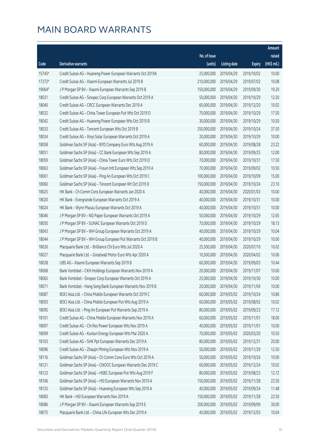|        |                                                              |              |                       |               | Amount      |
|--------|--------------------------------------------------------------|--------------|-----------------------|---------------|-------------|
|        |                                                              | No. of issue |                       |               | raised      |
| Code   | Derivative warrants                                          | (units)      | <b>Listing date</b>   | <b>Expiry</b> | (HK\$ mil.) |
| 15745# | Credit Suisse AG - Huaneng Power European Warrants Oct 2019A | 25,000,000   | 2019/04/29            | 2019/10/02    | 10.00       |
| 17372# | Credit Suisse AG - Xiaomi European Warrants Jul 2019 B       | 210,000,000  | 2019/04/29            | 2019/07/02    | 10.08       |
| 19064# | J P Morgan SP BV - Xiaomi European Warrants Sep 2019 B       | 150,000,000  | 2019/04/29            | 2019/09/30    | 19.20       |
| 18031  | Credit Suisse AG - Sinopec Corp European Warrants Oct 2019 A | 50,000,000   | 2019/04/30            | 2019/10/29    | 12.50       |
| 18040  | Credit Suisse AG - CRCC European Warrants Dec 2019 A         | 60,000,000   | 2019/04/30            | 2019/12/20    | 10.02       |
| 18032  | Credit Suisse AG - China Tower European Put Wts Oct 2019 D   | 70,000,000   | 2019/04/30            | 2019/10/29    | 17.50       |
| 18042  | Credit Suisse AG - Huaneng Power European Wts Oct 2019 B     | 30,000,000   | 2019/04/30            | 2019/10/29    | 10.50       |
| 18033  | Credit Suisse AG - Tencent European Wts Oct 2019 B           | 250,000,000  | 2019/04/30            | 2019/10/24    | 37.50       |
| 18034  | Credit Suisse AG - Xinyi Solar European Warrants Oct 2019 A  | 20,000,000   | 2019/04/30            | 2019/10/29    | 10.00       |
| 18058  | Goldman Sachs SP (Asia) - BYD Company Euro Wts Aug 2019 A    | 60,000,000   | 2019/04/30            | 2019/08/28    | 23.22       |
| 18051  | Goldman Sachs SP (Asia) - CC Bank European Wts Sep 2019 A    | 80,000,000   | 2019/04/30            | 2019/09/25    | 12.00       |
| 18059  | Goldman Sachs SP (Asia) - China Tower Euro Wts Oct 2019 D    | 70,000,000   | 2019/04/30            | 2019/10/31    | 17.50       |
| 18063  | Goldman Sachs SP (Asia) - Fosun Intl European Wts Sep 2019 A | 70,000,000   | 2019/04/30            | 2019/09/02    | 10.50       |
| 18061  | Goldman Sachs SP (Asia) - Ping An European Wts Oct 2019 C    | 100,000,000  | 2019/04/30            | 2019/10/09    | 15.00       |
| 18060  | Goldman Sachs SP (Asia) - Tencent European Wt Oct 2019 D     | 150,000,000  | 2019/04/30            | 2019/10/24    | 23.10       |
| 18025  | HK Bank - Ch Comm Cons European Warrants Jan 2020 A          | 40,000,000   | 2019/04/30            | 2020/01/03    | 10.00       |
| 18020  | HK Bank - Evergrande European Warrants Oct 2019 A            | 40,000,000   | 2019/04/30            | 2019/10/31    | 10.00       |
| 18024  | HK Bank - Wynn Macau European Warrants Oct 2019 A            | 40,000,000   | 2019/04/30            | 2019/10/31    | 10.00       |
| 18046  | J P Morgan SP BV - ND Paper European Warrants Oct 2019 A     | 50,000,000   | 2019/04/30            | 2019/10/29    | 12.65       |
| 18050  | J P Morgan SP BV - SUNAC European Warrants Oct 2019 D        | 70,000,000   | 2019/04/30            | 2019/10/29    | 18.13       |
| 18043  | J P Morgan SP BV - WH Group European Warrants Oct 2019 A     | 40,000,000   | 2019/04/30            | 2019/10/29    | 10.04       |
| 18044  | J P Morgan SP BV - WH Group European Put Warrants Oct 2019 B | 40,000,000   | 2019/04/30            | 2019/10/29    | 10.00       |
| 18026  | Macquarie Bank Ltd. - Brilliance Chi Euro Wts Jul 2020 A     | 25,500,000   | 2019/04/30            | 2020/07/10    | 10.02       |
| 18027  | Macquarie Bank Ltd. - Greatwall Motor Euro Wts Apr 2020 A    | 10,500,000   | 2019/04/30            | 2020/04/02    | 10.06       |
| 18028  | UBS AG - Xiaomi European Warrants Sep 2019 B                 | 60,000,000   | 2019/04/30            | 2019/09/03    | 10.44       |
| 18068  | Bank Vontobel - CKH Holdings European Warrants Nov 2019 A    | 20,000,000   | 2019/04/30            | 2019/11/07    | 10.00       |
| 18065  | Bank Vontobel - Sinopec Corp European Warrants Oct 2019 A    |              | 25,000,000 2019/04/30 | 2019/10/30    | 10.00       |
| 18071  | Bank Vontobel - Hang Seng Bank European Warrants Nov 2019 B  | 20,000,000   | 2019/04/30            | 2019/11/04    | 10.00       |
| 18087  | BOCI Asia Ltd. - China Mobile European Warrants Oct 2019 C   | 60,000,000   | 2019/05/02            | 2019/10/24    | 10.86       |
| 18093  | BOCI Asia Ltd. - China Mobile European Put Wts Aug 2019 A    | 60,000,000   | 2019/05/02            | 2019/08/02    | 10.02       |
| 18095  | BOCI Asia Ltd. - Ping An European Put Warrants Sep 2019 A    | 80,000,000   | 2019/05/02            | 2019/09/23    | 17.12       |
| 18101  | Credit Suisse AG - China Mobile European Warrants Nov 2019 A | 60,000,000   | 2019/05/02            | 2019/11/01    | 18.00       |
| 18097  | Credit Suisse AG - Chi Res Power European Wts Nov 2019 A     | 40,000,000   | 2019/05/02            | 2019/11/01    | 10.00       |
| 18099  | Credit Suisse AG - Kunlun Energy European Wts Mar 2020 A     | 70,000,000   | 2019/05/02            | 2020/03/20    | 10.50       |
| 18103  | Credit Suisse AG - SHK Ppt European Warrants Dec 2019 A      | 80,000,000   | 2019/05/02            | 2019/12/31    | 20.00       |
| 18096  | Credit Suisse AG - Zhaojin Mining European Wts Nov 2019 A    | 50,000,000   | 2019/05/02            | 2019/11/29    | 12.50       |
| 18116  | Goldman Sachs SP (Asia) - Ch Comm Cons Euro Wts Oct 2019 A   | 50,000,000   | 2019/05/02            | 2019/10/24    | 10.00       |
| 18121  | Goldman Sachs SP (Asia) - CNOOC European Warrants Dec 2019 C | 60,000,000   | 2019/05/02            | 2019/12/24    | 10.02       |
| 18123  | Goldman Sachs SP (Asia) - HSBC European Put Wts Aug 2019 F   | 80,000,000   | 2019/05/02            | 2019/08/23    | 12.72       |
| 18106  | Goldman Sachs SP (Asia) - HSI European Warrants Nov 2019 A   | 150,000,000  | 2019/05/02            | 2019/11/28    | 22.50       |
| 18125  | Goldman Sachs SP (Asia) - Huaneng European Wts Sep 2019 A    | 40,000,000   | 2019/05/02            | 2019/09/24    | 11.48       |
| 18083  | HK Bank - HSI European Warrants Nov 2019 A                   | 150,000,000  | 2019/05/02            | 2019/11/28    | 22.50       |
| 18086  | J P Morgan SP BV - Xiaomi European Warrants Sep 2019 E       | 200,000,000  | 2019/05/02            | 2019/09/09    | 30.00       |
| 18075  | Macquarie Bank Ltd. - China Life European Wts Dec 2019 A     | 40,000,000   | 2019/05/02            | 2019/12/03    | 10.04       |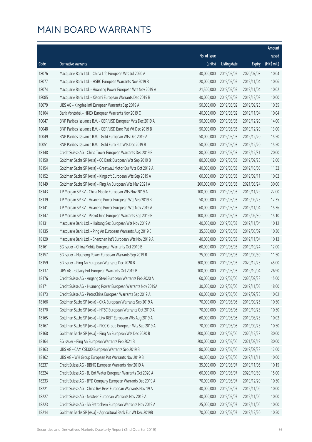| No. of issue<br>raised<br>$(HK\$ mil.)<br>(units)<br>Code<br>Derivative warrants<br><b>Listing date</b><br><b>Expiry</b><br>40,000,000<br>10.04<br>18076<br>Macquarie Bank Ltd. - China Life European Wts Jul 2020 A<br>2019/05/02<br>2020/07/03<br>18077<br>10.06<br>Macquarie Bank Ltd. - HSBC European Warrants Nov 2019 B<br>20,000,000<br>2019/05/02<br>2019/11/04<br>18074<br>21,500,000<br>10.02<br>Macquarie Bank Ltd. - Huaneng Power European Wts Nov 2019 A<br>2019/05/02<br>2019/11/04<br>40,000,000<br>10.00<br>18085<br>Macquarie Bank Ltd. - Xiaomi European Warrants Dec 2019 B<br>2019/05/02<br>2019/12/03<br>18079<br>50,000,000<br>10.35<br>UBS AG - Kingdee Intl European Warrants Sep 2019 A<br>2019/05/02<br>2019/09/23<br>18104<br>Bank Vontobel - HKEX European Warrants Nov 2019 C<br>40,000,000<br>2019/05/02<br>2019/11/04<br>10.04<br>10047<br>50,000,000<br>14.00<br>BNP Paribas Issuance B.V. - GBP/USD European Wts Dec 2019 A<br>2019/05/03<br>2019/12/20<br>50,000,000<br>13.00<br>10048<br>BNP Paribas Issuance B.V. - GBP/USD Euro Put Wt Dec 2019 B<br>2019/05/03<br>2019/12/20<br>10049<br>50,000,000<br>15.50<br>BNP Paribas Issuance B.V. - Gold European Wts Dec 2019 A<br>2019/05/03<br>2019/12/20<br>10051<br>BNP Paribas Issuance B.V. - Gold Euro Put Wts Dec 2019 B<br>50,000,000<br>2019/05/03<br>2019/12/20<br>15.50<br>18148<br>80,000,000<br>20.00<br>Credit Suisse AG - China Tower European Warrants Dec 2019 B<br>2019/05/03<br>2019/12/31<br>80,000,000<br>12.00<br>18150<br>Goldman Sachs SP (Asia) - CC Bank European Wts Sep 2019 B<br>2019/05/03<br>2019/09/23<br>18154<br>40,000,000<br>11.32<br>Goldman Sachs SP (Asia) - Greatwall Motor Eur Wts Oct 2019 A<br>2019/05/03<br>2019/10/08<br>18152<br>Goldman Sachs SP (Asia) - Kingsoft European Wts Sep 2019 A<br>60,000,000<br>2019/05/03<br>2019/09/11<br>10.02<br>18149<br>200,000,000<br>30.00<br>Goldman Sachs SP (Asia) - Ping An European Wts Mar 2021 A<br>2019/05/03<br>2021/03/24<br>J P Morgan SP BV - China Mobile European Wts Nov 2019 A<br>100,000,000<br>2019/05/03<br>2019/11/29<br>27.00<br>18143<br>18139<br>50,000,000<br>2019/09/25<br>17.35<br>J P Morgan SP BV - Huaneng Power European Wts Sep 2019 B<br>2019/05/03<br>60,000,000<br>15.36<br>18141<br>J P Morgan SP BV - Huaneng Power European Wts Nov 2019 A<br>2019/05/03<br>2019/11/04<br>18147<br>100,000,000<br>15.10<br>J P Morgan SP BV - PetroChina European Warrants Sep 2019 B<br>2019/05/03<br>2019/09/30<br>40,000,000<br>2019/05/03<br>10.12<br>18131<br>Macquarie Bank Ltd. - Haitong Sec European Wts Nov 2019 A<br>2019/11/04<br>18135<br>35,500,000<br>10.30<br>Macquarie Bank Ltd. - Ping An European Warrants Aug 2019 E<br>2019/05/03<br>2019/08/02<br>18129<br>40,000,000<br>10.12<br>Macquarie Bank Ltd. - Shenzhen Int'l European Wts Nov 2019 A<br>2019/05/03<br>2019/11/04<br>18161<br>60,000,000<br>12.00<br>SG Issuer - China Mobile European Warrants Oct 2019 B<br>2019/05/03<br>2019/10/24<br>25,000,000<br>2019/05/03<br>11.50<br>18157<br>SG Issuer - Huaneng Power European Warrants Sep 2019 B<br>2019/09/30<br>18159<br>300,000,000<br>45.00<br>SG Issuer - Ping An European Warrants Dec 2020 B<br>2019/05/03<br>2020/12/23<br>100,000,000<br>2019/10/04<br>26.90<br>18137<br>UBS AG - Galaxy Ent European Warrants Oct 2019 B<br>2019/05/03<br>15.00<br>18176<br>Credit Suisse AG - Angang Steel European Warrants Feb 2020 A<br>60,000,000 2019/05/06<br>2020/02/28<br>18171<br>Credit Suisse AG - Huaneng Power European Warrants Nov 2019A<br>30,000,000<br>2019/05/06<br>2019/11/05<br>18.00<br>18173<br>60,000,000<br>2019/05/06<br>10.02<br>Credit Suisse AG - PetroChina European Warrants Sep 2019 A<br>2019/09/25<br>18166<br>Goldman Sachs SP (Asia) - CKA European Warrants Sep 2019 A<br>70,000,000<br>2019/05/06<br>10.50<br>2019/09/25<br>18170<br>Goldman Sachs SP (Asia) - HTSC European Warrants Oct 2019 A<br>70,000,000<br>10.50<br>2019/05/06<br>2019/10/23<br>60,000,000<br>10.02<br>18165<br>Goldman Sachs SP (Asia) - Link REIT European Wts Aug 2019 A<br>2019/05/06<br>2019/08/23<br>18167<br>70,000,000<br>10.50<br>Goldman Sachs SP (Asia) - PICC Group European Wts Sep 2019 A<br>2019/05/06<br>2019/09/23<br>18168<br>Goldman Sachs SP (Asia) - Ping An European Wts Dec 2020 B<br>200,000,000<br>2019/05/06<br>2020/12/23<br>30.00<br>18164<br>SG Issuer - Ping An European Warrants Feb 2021 B<br>200,000,000<br>30.00<br>2019/05/06<br>2021/02/19<br>18163<br>UBS AG - CAM CSI300 European Warrants Sep 2019 B<br>80,000,000<br>12.00<br>2019/05/06<br>2019/09/23<br>18162<br>UBS AG - WH Group European Put Warrants Nov 2019 B<br>40,000,000<br>10.00<br>2019/05/06<br>2019/11/11<br>Credit Suisse AG - BBMG European Warrants Nov 2019 A<br>35,000,000<br>2019/05/07<br>10.15<br>18237<br>2019/11/06<br>18224<br>Credit Suisse AG - BJ Ent Water European Warrants Oct 2020 A<br>60,000,000<br>15.00<br>2019/05/07<br>2020/10/30 |  |            |  | Amount |
|------------------------------------------------------------------------------------------------------------------------------------------------------------------------------------------------------------------------------------------------------------------------------------------------------------------------------------------------------------------------------------------------------------------------------------------------------------------------------------------------------------------------------------------------------------------------------------------------------------------------------------------------------------------------------------------------------------------------------------------------------------------------------------------------------------------------------------------------------------------------------------------------------------------------------------------------------------------------------------------------------------------------------------------------------------------------------------------------------------------------------------------------------------------------------------------------------------------------------------------------------------------------------------------------------------------------------------------------------------------------------------------------------------------------------------------------------------------------------------------------------------------------------------------------------------------------------------------------------------------------------------------------------------------------------------------------------------------------------------------------------------------------------------------------------------------------------------------------------------------------------------------------------------------------------------------------------------------------------------------------------------------------------------------------------------------------------------------------------------------------------------------------------------------------------------------------------------------------------------------------------------------------------------------------------------------------------------------------------------------------------------------------------------------------------------------------------------------------------------------------------------------------------------------------------------------------------------------------------------------------------------------------------------------------------------------------------------------------------------------------------------------------------------------------------------------------------------------------------------------------------------------------------------------------------------------------------------------------------------------------------------------------------------------------------------------------------------------------------------------------------------------------------------------------------------------------------------------------------------------------------------------------------------------------------------------------------------------------------------------------------------------------------------------------------------------------------------------------------------------------------------------------------------------------------------------------------------------------------------------------------------------------------------------------------------------------------------------------------------------------------------------------------------------------------------------------------------------------------------------------------------------------------------------------------------------------------------------------------------------------------------------------------------------------------------------------------------------------------------------------------------------------------------------------------------------------------------------------------------------------------------------------------------------------------------------------------------------------------------------------------------------------------------------------------------------------------------------------------------------------------------------------------------------------------------------------------------------------------------------------------------------------------------------------------------------------------------------------------------------------------------------------------------------------------------------------------------------------------------------------------------------------------------------------------------------------------------------------------------------------|--|------------|--|--------|
|                                                                                                                                                                                                                                                                                                                                                                                                                                                                                                                                                                                                                                                                                                                                                                                                                                                                                                                                                                                                                                                                                                                                                                                                                                                                                                                                                                                                                                                                                                                                                                                                                                                                                                                                                                                                                                                                                                                                                                                                                                                                                                                                                                                                                                                                                                                                                                                                                                                                                                                                                                                                                                                                                                                                                                                                                                                                                                                                                                                                                                                                                                                                                                                                                                                                                                                                                                                                                                                                                                                                                                                                                                                                                                                                                                                                                                                                                                                                                                                                                                                                                                                                                                                                                                                                                                                                                                                                                                                                                                                                                                                                                                                                                                                                                                                                                                                                                                                                                                                                |  |            |  |        |
|                                                                                                                                                                                                                                                                                                                                                                                                                                                                                                                                                                                                                                                                                                                                                                                                                                                                                                                                                                                                                                                                                                                                                                                                                                                                                                                                                                                                                                                                                                                                                                                                                                                                                                                                                                                                                                                                                                                                                                                                                                                                                                                                                                                                                                                                                                                                                                                                                                                                                                                                                                                                                                                                                                                                                                                                                                                                                                                                                                                                                                                                                                                                                                                                                                                                                                                                                                                                                                                                                                                                                                                                                                                                                                                                                                                                                                                                                                                                                                                                                                                                                                                                                                                                                                                                                                                                                                                                                                                                                                                                                                                                                                                                                                                                                                                                                                                                                                                                                                                                |  |            |  |        |
|                                                                                                                                                                                                                                                                                                                                                                                                                                                                                                                                                                                                                                                                                                                                                                                                                                                                                                                                                                                                                                                                                                                                                                                                                                                                                                                                                                                                                                                                                                                                                                                                                                                                                                                                                                                                                                                                                                                                                                                                                                                                                                                                                                                                                                                                                                                                                                                                                                                                                                                                                                                                                                                                                                                                                                                                                                                                                                                                                                                                                                                                                                                                                                                                                                                                                                                                                                                                                                                                                                                                                                                                                                                                                                                                                                                                                                                                                                                                                                                                                                                                                                                                                                                                                                                                                                                                                                                                                                                                                                                                                                                                                                                                                                                                                                                                                                                                                                                                                                                                |  |            |  |        |
|                                                                                                                                                                                                                                                                                                                                                                                                                                                                                                                                                                                                                                                                                                                                                                                                                                                                                                                                                                                                                                                                                                                                                                                                                                                                                                                                                                                                                                                                                                                                                                                                                                                                                                                                                                                                                                                                                                                                                                                                                                                                                                                                                                                                                                                                                                                                                                                                                                                                                                                                                                                                                                                                                                                                                                                                                                                                                                                                                                                                                                                                                                                                                                                                                                                                                                                                                                                                                                                                                                                                                                                                                                                                                                                                                                                                                                                                                                                                                                                                                                                                                                                                                                                                                                                                                                                                                                                                                                                                                                                                                                                                                                                                                                                                                                                                                                                                                                                                                                                                |  |            |  |        |
|                                                                                                                                                                                                                                                                                                                                                                                                                                                                                                                                                                                                                                                                                                                                                                                                                                                                                                                                                                                                                                                                                                                                                                                                                                                                                                                                                                                                                                                                                                                                                                                                                                                                                                                                                                                                                                                                                                                                                                                                                                                                                                                                                                                                                                                                                                                                                                                                                                                                                                                                                                                                                                                                                                                                                                                                                                                                                                                                                                                                                                                                                                                                                                                                                                                                                                                                                                                                                                                                                                                                                                                                                                                                                                                                                                                                                                                                                                                                                                                                                                                                                                                                                                                                                                                                                                                                                                                                                                                                                                                                                                                                                                                                                                                                                                                                                                                                                                                                                                                                |  |            |  |        |
|                                                                                                                                                                                                                                                                                                                                                                                                                                                                                                                                                                                                                                                                                                                                                                                                                                                                                                                                                                                                                                                                                                                                                                                                                                                                                                                                                                                                                                                                                                                                                                                                                                                                                                                                                                                                                                                                                                                                                                                                                                                                                                                                                                                                                                                                                                                                                                                                                                                                                                                                                                                                                                                                                                                                                                                                                                                                                                                                                                                                                                                                                                                                                                                                                                                                                                                                                                                                                                                                                                                                                                                                                                                                                                                                                                                                                                                                                                                                                                                                                                                                                                                                                                                                                                                                                                                                                                                                                                                                                                                                                                                                                                                                                                                                                                                                                                                                                                                                                                                                |  |            |  |        |
|                                                                                                                                                                                                                                                                                                                                                                                                                                                                                                                                                                                                                                                                                                                                                                                                                                                                                                                                                                                                                                                                                                                                                                                                                                                                                                                                                                                                                                                                                                                                                                                                                                                                                                                                                                                                                                                                                                                                                                                                                                                                                                                                                                                                                                                                                                                                                                                                                                                                                                                                                                                                                                                                                                                                                                                                                                                                                                                                                                                                                                                                                                                                                                                                                                                                                                                                                                                                                                                                                                                                                                                                                                                                                                                                                                                                                                                                                                                                                                                                                                                                                                                                                                                                                                                                                                                                                                                                                                                                                                                                                                                                                                                                                                                                                                                                                                                                                                                                                                                                |  |            |  |        |
|                                                                                                                                                                                                                                                                                                                                                                                                                                                                                                                                                                                                                                                                                                                                                                                                                                                                                                                                                                                                                                                                                                                                                                                                                                                                                                                                                                                                                                                                                                                                                                                                                                                                                                                                                                                                                                                                                                                                                                                                                                                                                                                                                                                                                                                                                                                                                                                                                                                                                                                                                                                                                                                                                                                                                                                                                                                                                                                                                                                                                                                                                                                                                                                                                                                                                                                                                                                                                                                                                                                                                                                                                                                                                                                                                                                                                                                                                                                                                                                                                                                                                                                                                                                                                                                                                                                                                                                                                                                                                                                                                                                                                                                                                                                                                                                                                                                                                                                                                                                                |  |            |  |        |
|                                                                                                                                                                                                                                                                                                                                                                                                                                                                                                                                                                                                                                                                                                                                                                                                                                                                                                                                                                                                                                                                                                                                                                                                                                                                                                                                                                                                                                                                                                                                                                                                                                                                                                                                                                                                                                                                                                                                                                                                                                                                                                                                                                                                                                                                                                                                                                                                                                                                                                                                                                                                                                                                                                                                                                                                                                                                                                                                                                                                                                                                                                                                                                                                                                                                                                                                                                                                                                                                                                                                                                                                                                                                                                                                                                                                                                                                                                                                                                                                                                                                                                                                                                                                                                                                                                                                                                                                                                                                                                                                                                                                                                                                                                                                                                                                                                                                                                                                                                                                |  |            |  |        |
|                                                                                                                                                                                                                                                                                                                                                                                                                                                                                                                                                                                                                                                                                                                                                                                                                                                                                                                                                                                                                                                                                                                                                                                                                                                                                                                                                                                                                                                                                                                                                                                                                                                                                                                                                                                                                                                                                                                                                                                                                                                                                                                                                                                                                                                                                                                                                                                                                                                                                                                                                                                                                                                                                                                                                                                                                                                                                                                                                                                                                                                                                                                                                                                                                                                                                                                                                                                                                                                                                                                                                                                                                                                                                                                                                                                                                                                                                                                                                                                                                                                                                                                                                                                                                                                                                                                                                                                                                                                                                                                                                                                                                                                                                                                                                                                                                                                                                                                                                                                                |  |            |  |        |
|                                                                                                                                                                                                                                                                                                                                                                                                                                                                                                                                                                                                                                                                                                                                                                                                                                                                                                                                                                                                                                                                                                                                                                                                                                                                                                                                                                                                                                                                                                                                                                                                                                                                                                                                                                                                                                                                                                                                                                                                                                                                                                                                                                                                                                                                                                                                                                                                                                                                                                                                                                                                                                                                                                                                                                                                                                                                                                                                                                                                                                                                                                                                                                                                                                                                                                                                                                                                                                                                                                                                                                                                                                                                                                                                                                                                                                                                                                                                                                                                                                                                                                                                                                                                                                                                                                                                                                                                                                                                                                                                                                                                                                                                                                                                                                                                                                                                                                                                                                                                |  |            |  |        |
|                                                                                                                                                                                                                                                                                                                                                                                                                                                                                                                                                                                                                                                                                                                                                                                                                                                                                                                                                                                                                                                                                                                                                                                                                                                                                                                                                                                                                                                                                                                                                                                                                                                                                                                                                                                                                                                                                                                                                                                                                                                                                                                                                                                                                                                                                                                                                                                                                                                                                                                                                                                                                                                                                                                                                                                                                                                                                                                                                                                                                                                                                                                                                                                                                                                                                                                                                                                                                                                                                                                                                                                                                                                                                                                                                                                                                                                                                                                                                                                                                                                                                                                                                                                                                                                                                                                                                                                                                                                                                                                                                                                                                                                                                                                                                                                                                                                                                                                                                                                                |  |            |  |        |
|                                                                                                                                                                                                                                                                                                                                                                                                                                                                                                                                                                                                                                                                                                                                                                                                                                                                                                                                                                                                                                                                                                                                                                                                                                                                                                                                                                                                                                                                                                                                                                                                                                                                                                                                                                                                                                                                                                                                                                                                                                                                                                                                                                                                                                                                                                                                                                                                                                                                                                                                                                                                                                                                                                                                                                                                                                                                                                                                                                                                                                                                                                                                                                                                                                                                                                                                                                                                                                                                                                                                                                                                                                                                                                                                                                                                                                                                                                                                                                                                                                                                                                                                                                                                                                                                                                                                                                                                                                                                                                                                                                                                                                                                                                                                                                                                                                                                                                                                                                                                |  |            |  |        |
|                                                                                                                                                                                                                                                                                                                                                                                                                                                                                                                                                                                                                                                                                                                                                                                                                                                                                                                                                                                                                                                                                                                                                                                                                                                                                                                                                                                                                                                                                                                                                                                                                                                                                                                                                                                                                                                                                                                                                                                                                                                                                                                                                                                                                                                                                                                                                                                                                                                                                                                                                                                                                                                                                                                                                                                                                                                                                                                                                                                                                                                                                                                                                                                                                                                                                                                                                                                                                                                                                                                                                                                                                                                                                                                                                                                                                                                                                                                                                                                                                                                                                                                                                                                                                                                                                                                                                                                                                                                                                                                                                                                                                                                                                                                                                                                                                                                                                                                                                                                                |  |            |  |        |
|                                                                                                                                                                                                                                                                                                                                                                                                                                                                                                                                                                                                                                                                                                                                                                                                                                                                                                                                                                                                                                                                                                                                                                                                                                                                                                                                                                                                                                                                                                                                                                                                                                                                                                                                                                                                                                                                                                                                                                                                                                                                                                                                                                                                                                                                                                                                                                                                                                                                                                                                                                                                                                                                                                                                                                                                                                                                                                                                                                                                                                                                                                                                                                                                                                                                                                                                                                                                                                                                                                                                                                                                                                                                                                                                                                                                                                                                                                                                                                                                                                                                                                                                                                                                                                                                                                                                                                                                                                                                                                                                                                                                                                                                                                                                                                                                                                                                                                                                                                                                |  |            |  |        |
|                                                                                                                                                                                                                                                                                                                                                                                                                                                                                                                                                                                                                                                                                                                                                                                                                                                                                                                                                                                                                                                                                                                                                                                                                                                                                                                                                                                                                                                                                                                                                                                                                                                                                                                                                                                                                                                                                                                                                                                                                                                                                                                                                                                                                                                                                                                                                                                                                                                                                                                                                                                                                                                                                                                                                                                                                                                                                                                                                                                                                                                                                                                                                                                                                                                                                                                                                                                                                                                                                                                                                                                                                                                                                                                                                                                                                                                                                                                                                                                                                                                                                                                                                                                                                                                                                                                                                                                                                                                                                                                                                                                                                                                                                                                                                                                                                                                                                                                                                                                                |  |            |  |        |
|                                                                                                                                                                                                                                                                                                                                                                                                                                                                                                                                                                                                                                                                                                                                                                                                                                                                                                                                                                                                                                                                                                                                                                                                                                                                                                                                                                                                                                                                                                                                                                                                                                                                                                                                                                                                                                                                                                                                                                                                                                                                                                                                                                                                                                                                                                                                                                                                                                                                                                                                                                                                                                                                                                                                                                                                                                                                                                                                                                                                                                                                                                                                                                                                                                                                                                                                                                                                                                                                                                                                                                                                                                                                                                                                                                                                                                                                                                                                                                                                                                                                                                                                                                                                                                                                                                                                                                                                                                                                                                                                                                                                                                                                                                                                                                                                                                                                                                                                                                                                |  |            |  |        |
|                                                                                                                                                                                                                                                                                                                                                                                                                                                                                                                                                                                                                                                                                                                                                                                                                                                                                                                                                                                                                                                                                                                                                                                                                                                                                                                                                                                                                                                                                                                                                                                                                                                                                                                                                                                                                                                                                                                                                                                                                                                                                                                                                                                                                                                                                                                                                                                                                                                                                                                                                                                                                                                                                                                                                                                                                                                                                                                                                                                                                                                                                                                                                                                                                                                                                                                                                                                                                                                                                                                                                                                                                                                                                                                                                                                                                                                                                                                                                                                                                                                                                                                                                                                                                                                                                                                                                                                                                                                                                                                                                                                                                                                                                                                                                                                                                                                                                                                                                                                                |  |            |  |        |
|                                                                                                                                                                                                                                                                                                                                                                                                                                                                                                                                                                                                                                                                                                                                                                                                                                                                                                                                                                                                                                                                                                                                                                                                                                                                                                                                                                                                                                                                                                                                                                                                                                                                                                                                                                                                                                                                                                                                                                                                                                                                                                                                                                                                                                                                                                                                                                                                                                                                                                                                                                                                                                                                                                                                                                                                                                                                                                                                                                                                                                                                                                                                                                                                                                                                                                                                                                                                                                                                                                                                                                                                                                                                                                                                                                                                                                                                                                                                                                                                                                                                                                                                                                                                                                                                                                                                                                                                                                                                                                                                                                                                                                                                                                                                                                                                                                                                                                                                                                                                |  |            |  |        |
|                                                                                                                                                                                                                                                                                                                                                                                                                                                                                                                                                                                                                                                                                                                                                                                                                                                                                                                                                                                                                                                                                                                                                                                                                                                                                                                                                                                                                                                                                                                                                                                                                                                                                                                                                                                                                                                                                                                                                                                                                                                                                                                                                                                                                                                                                                                                                                                                                                                                                                                                                                                                                                                                                                                                                                                                                                                                                                                                                                                                                                                                                                                                                                                                                                                                                                                                                                                                                                                                                                                                                                                                                                                                                                                                                                                                                                                                                                                                                                                                                                                                                                                                                                                                                                                                                                                                                                                                                                                                                                                                                                                                                                                                                                                                                                                                                                                                                                                                                                                                |  |            |  |        |
|                                                                                                                                                                                                                                                                                                                                                                                                                                                                                                                                                                                                                                                                                                                                                                                                                                                                                                                                                                                                                                                                                                                                                                                                                                                                                                                                                                                                                                                                                                                                                                                                                                                                                                                                                                                                                                                                                                                                                                                                                                                                                                                                                                                                                                                                                                                                                                                                                                                                                                                                                                                                                                                                                                                                                                                                                                                                                                                                                                                                                                                                                                                                                                                                                                                                                                                                                                                                                                                                                                                                                                                                                                                                                                                                                                                                                                                                                                                                                                                                                                                                                                                                                                                                                                                                                                                                                                                                                                                                                                                                                                                                                                                                                                                                                                                                                                                                                                                                                                                                |  |            |  |        |
|                                                                                                                                                                                                                                                                                                                                                                                                                                                                                                                                                                                                                                                                                                                                                                                                                                                                                                                                                                                                                                                                                                                                                                                                                                                                                                                                                                                                                                                                                                                                                                                                                                                                                                                                                                                                                                                                                                                                                                                                                                                                                                                                                                                                                                                                                                                                                                                                                                                                                                                                                                                                                                                                                                                                                                                                                                                                                                                                                                                                                                                                                                                                                                                                                                                                                                                                                                                                                                                                                                                                                                                                                                                                                                                                                                                                                                                                                                                                                                                                                                                                                                                                                                                                                                                                                                                                                                                                                                                                                                                                                                                                                                                                                                                                                                                                                                                                                                                                                                                                |  |            |  |        |
|                                                                                                                                                                                                                                                                                                                                                                                                                                                                                                                                                                                                                                                                                                                                                                                                                                                                                                                                                                                                                                                                                                                                                                                                                                                                                                                                                                                                                                                                                                                                                                                                                                                                                                                                                                                                                                                                                                                                                                                                                                                                                                                                                                                                                                                                                                                                                                                                                                                                                                                                                                                                                                                                                                                                                                                                                                                                                                                                                                                                                                                                                                                                                                                                                                                                                                                                                                                                                                                                                                                                                                                                                                                                                                                                                                                                                                                                                                                                                                                                                                                                                                                                                                                                                                                                                                                                                                                                                                                                                                                                                                                                                                                                                                                                                                                                                                                                                                                                                                                                |  |            |  |        |
|                                                                                                                                                                                                                                                                                                                                                                                                                                                                                                                                                                                                                                                                                                                                                                                                                                                                                                                                                                                                                                                                                                                                                                                                                                                                                                                                                                                                                                                                                                                                                                                                                                                                                                                                                                                                                                                                                                                                                                                                                                                                                                                                                                                                                                                                                                                                                                                                                                                                                                                                                                                                                                                                                                                                                                                                                                                                                                                                                                                                                                                                                                                                                                                                                                                                                                                                                                                                                                                                                                                                                                                                                                                                                                                                                                                                                                                                                                                                                                                                                                                                                                                                                                                                                                                                                                                                                                                                                                                                                                                                                                                                                                                                                                                                                                                                                                                                                                                                                                                                |  |            |  |        |
|                                                                                                                                                                                                                                                                                                                                                                                                                                                                                                                                                                                                                                                                                                                                                                                                                                                                                                                                                                                                                                                                                                                                                                                                                                                                                                                                                                                                                                                                                                                                                                                                                                                                                                                                                                                                                                                                                                                                                                                                                                                                                                                                                                                                                                                                                                                                                                                                                                                                                                                                                                                                                                                                                                                                                                                                                                                                                                                                                                                                                                                                                                                                                                                                                                                                                                                                                                                                                                                                                                                                                                                                                                                                                                                                                                                                                                                                                                                                                                                                                                                                                                                                                                                                                                                                                                                                                                                                                                                                                                                                                                                                                                                                                                                                                                                                                                                                                                                                                                                                |  |            |  |        |
|                                                                                                                                                                                                                                                                                                                                                                                                                                                                                                                                                                                                                                                                                                                                                                                                                                                                                                                                                                                                                                                                                                                                                                                                                                                                                                                                                                                                                                                                                                                                                                                                                                                                                                                                                                                                                                                                                                                                                                                                                                                                                                                                                                                                                                                                                                                                                                                                                                                                                                                                                                                                                                                                                                                                                                                                                                                                                                                                                                                                                                                                                                                                                                                                                                                                                                                                                                                                                                                                                                                                                                                                                                                                                                                                                                                                                                                                                                                                                                                                                                                                                                                                                                                                                                                                                                                                                                                                                                                                                                                                                                                                                                                                                                                                                                                                                                                                                                                                                                                                |  |            |  |        |
|                                                                                                                                                                                                                                                                                                                                                                                                                                                                                                                                                                                                                                                                                                                                                                                                                                                                                                                                                                                                                                                                                                                                                                                                                                                                                                                                                                                                                                                                                                                                                                                                                                                                                                                                                                                                                                                                                                                                                                                                                                                                                                                                                                                                                                                                                                                                                                                                                                                                                                                                                                                                                                                                                                                                                                                                                                                                                                                                                                                                                                                                                                                                                                                                                                                                                                                                                                                                                                                                                                                                                                                                                                                                                                                                                                                                                                                                                                                                                                                                                                                                                                                                                                                                                                                                                                                                                                                                                                                                                                                                                                                                                                                                                                                                                                                                                                                                                                                                                                                                |  |            |  |        |
|                                                                                                                                                                                                                                                                                                                                                                                                                                                                                                                                                                                                                                                                                                                                                                                                                                                                                                                                                                                                                                                                                                                                                                                                                                                                                                                                                                                                                                                                                                                                                                                                                                                                                                                                                                                                                                                                                                                                                                                                                                                                                                                                                                                                                                                                                                                                                                                                                                                                                                                                                                                                                                                                                                                                                                                                                                                                                                                                                                                                                                                                                                                                                                                                                                                                                                                                                                                                                                                                                                                                                                                                                                                                                                                                                                                                                                                                                                                                                                                                                                                                                                                                                                                                                                                                                                                                                                                                                                                                                                                                                                                                                                                                                                                                                                                                                                                                                                                                                                                                |  |            |  |        |
|                                                                                                                                                                                                                                                                                                                                                                                                                                                                                                                                                                                                                                                                                                                                                                                                                                                                                                                                                                                                                                                                                                                                                                                                                                                                                                                                                                                                                                                                                                                                                                                                                                                                                                                                                                                                                                                                                                                                                                                                                                                                                                                                                                                                                                                                                                                                                                                                                                                                                                                                                                                                                                                                                                                                                                                                                                                                                                                                                                                                                                                                                                                                                                                                                                                                                                                                                                                                                                                                                                                                                                                                                                                                                                                                                                                                                                                                                                                                                                                                                                                                                                                                                                                                                                                                                                                                                                                                                                                                                                                                                                                                                                                                                                                                                                                                                                                                                                                                                                                                |  |            |  |        |
|                                                                                                                                                                                                                                                                                                                                                                                                                                                                                                                                                                                                                                                                                                                                                                                                                                                                                                                                                                                                                                                                                                                                                                                                                                                                                                                                                                                                                                                                                                                                                                                                                                                                                                                                                                                                                                                                                                                                                                                                                                                                                                                                                                                                                                                                                                                                                                                                                                                                                                                                                                                                                                                                                                                                                                                                                                                                                                                                                                                                                                                                                                                                                                                                                                                                                                                                                                                                                                                                                                                                                                                                                                                                                                                                                                                                                                                                                                                                                                                                                                                                                                                                                                                                                                                                                                                                                                                                                                                                                                                                                                                                                                                                                                                                                                                                                                                                                                                                                                                                |  |            |  |        |
|                                                                                                                                                                                                                                                                                                                                                                                                                                                                                                                                                                                                                                                                                                                                                                                                                                                                                                                                                                                                                                                                                                                                                                                                                                                                                                                                                                                                                                                                                                                                                                                                                                                                                                                                                                                                                                                                                                                                                                                                                                                                                                                                                                                                                                                                                                                                                                                                                                                                                                                                                                                                                                                                                                                                                                                                                                                                                                                                                                                                                                                                                                                                                                                                                                                                                                                                                                                                                                                                                                                                                                                                                                                                                                                                                                                                                                                                                                                                                                                                                                                                                                                                                                                                                                                                                                                                                                                                                                                                                                                                                                                                                                                                                                                                                                                                                                                                                                                                                                                                |  |            |  |        |
|                                                                                                                                                                                                                                                                                                                                                                                                                                                                                                                                                                                                                                                                                                                                                                                                                                                                                                                                                                                                                                                                                                                                                                                                                                                                                                                                                                                                                                                                                                                                                                                                                                                                                                                                                                                                                                                                                                                                                                                                                                                                                                                                                                                                                                                                                                                                                                                                                                                                                                                                                                                                                                                                                                                                                                                                                                                                                                                                                                                                                                                                                                                                                                                                                                                                                                                                                                                                                                                                                                                                                                                                                                                                                                                                                                                                                                                                                                                                                                                                                                                                                                                                                                                                                                                                                                                                                                                                                                                                                                                                                                                                                                                                                                                                                                                                                                                                                                                                                                                                |  |            |  |        |
|                                                                                                                                                                                                                                                                                                                                                                                                                                                                                                                                                                                                                                                                                                                                                                                                                                                                                                                                                                                                                                                                                                                                                                                                                                                                                                                                                                                                                                                                                                                                                                                                                                                                                                                                                                                                                                                                                                                                                                                                                                                                                                                                                                                                                                                                                                                                                                                                                                                                                                                                                                                                                                                                                                                                                                                                                                                                                                                                                                                                                                                                                                                                                                                                                                                                                                                                                                                                                                                                                                                                                                                                                                                                                                                                                                                                                                                                                                                                                                                                                                                                                                                                                                                                                                                                                                                                                                                                                                                                                                                                                                                                                                                                                                                                                                                                                                                                                                                                                                                                |  |            |  |        |
|                                                                                                                                                                                                                                                                                                                                                                                                                                                                                                                                                                                                                                                                                                                                                                                                                                                                                                                                                                                                                                                                                                                                                                                                                                                                                                                                                                                                                                                                                                                                                                                                                                                                                                                                                                                                                                                                                                                                                                                                                                                                                                                                                                                                                                                                                                                                                                                                                                                                                                                                                                                                                                                                                                                                                                                                                                                                                                                                                                                                                                                                                                                                                                                                                                                                                                                                                                                                                                                                                                                                                                                                                                                                                                                                                                                                                                                                                                                                                                                                                                                                                                                                                                                                                                                                                                                                                                                                                                                                                                                                                                                                                                                                                                                                                                                                                                                                                                                                                                                                |  |            |  |        |
|                                                                                                                                                                                                                                                                                                                                                                                                                                                                                                                                                                                                                                                                                                                                                                                                                                                                                                                                                                                                                                                                                                                                                                                                                                                                                                                                                                                                                                                                                                                                                                                                                                                                                                                                                                                                                                                                                                                                                                                                                                                                                                                                                                                                                                                                                                                                                                                                                                                                                                                                                                                                                                                                                                                                                                                                                                                                                                                                                                                                                                                                                                                                                                                                                                                                                                                                                                                                                                                                                                                                                                                                                                                                                                                                                                                                                                                                                                                                                                                                                                                                                                                                                                                                                                                                                                                                                                                                                                                                                                                                                                                                                                                                                                                                                                                                                                                                                                                                                                                                |  |            |  |        |
|                                                                                                                                                                                                                                                                                                                                                                                                                                                                                                                                                                                                                                                                                                                                                                                                                                                                                                                                                                                                                                                                                                                                                                                                                                                                                                                                                                                                                                                                                                                                                                                                                                                                                                                                                                                                                                                                                                                                                                                                                                                                                                                                                                                                                                                                                                                                                                                                                                                                                                                                                                                                                                                                                                                                                                                                                                                                                                                                                                                                                                                                                                                                                                                                                                                                                                                                                                                                                                                                                                                                                                                                                                                                                                                                                                                                                                                                                                                                                                                                                                                                                                                                                                                                                                                                                                                                                                                                                                                                                                                                                                                                                                                                                                                                                                                                                                                                                                                                                                                                |  |            |  |        |
|                                                                                                                                                                                                                                                                                                                                                                                                                                                                                                                                                                                                                                                                                                                                                                                                                                                                                                                                                                                                                                                                                                                                                                                                                                                                                                                                                                                                                                                                                                                                                                                                                                                                                                                                                                                                                                                                                                                                                                                                                                                                                                                                                                                                                                                                                                                                                                                                                                                                                                                                                                                                                                                                                                                                                                                                                                                                                                                                                                                                                                                                                                                                                                                                                                                                                                                                                                                                                                                                                                                                                                                                                                                                                                                                                                                                                                                                                                                                                                                                                                                                                                                                                                                                                                                                                                                                                                                                                                                                                                                                                                                                                                                                                                                                                                                                                                                                                                                                                                                                |  |            |  |        |
|                                                                                                                                                                                                                                                                                                                                                                                                                                                                                                                                                                                                                                                                                                                                                                                                                                                                                                                                                                                                                                                                                                                                                                                                                                                                                                                                                                                                                                                                                                                                                                                                                                                                                                                                                                                                                                                                                                                                                                                                                                                                                                                                                                                                                                                                                                                                                                                                                                                                                                                                                                                                                                                                                                                                                                                                                                                                                                                                                                                                                                                                                                                                                                                                                                                                                                                                                                                                                                                                                                                                                                                                                                                                                                                                                                                                                                                                                                                                                                                                                                                                                                                                                                                                                                                                                                                                                                                                                                                                                                                                                                                                                                                                                                                                                                                                                                                                                                                                                                                                |  |            |  |        |
|                                                                                                                                                                                                                                                                                                                                                                                                                                                                                                                                                                                                                                                                                                                                                                                                                                                                                                                                                                                                                                                                                                                                                                                                                                                                                                                                                                                                                                                                                                                                                                                                                                                                                                                                                                                                                                                                                                                                                                                                                                                                                                                                                                                                                                                                                                                                                                                                                                                                                                                                                                                                                                                                                                                                                                                                                                                                                                                                                                                                                                                                                                                                                                                                                                                                                                                                                                                                                                                                                                                                                                                                                                                                                                                                                                                                                                                                                                                                                                                                                                                                                                                                                                                                                                                                                                                                                                                                                                                                                                                                                                                                                                                                                                                                                                                                                                                                                                                                                                                                |  |            |  |        |
|                                                                                                                                                                                                                                                                                                                                                                                                                                                                                                                                                                                                                                                                                                                                                                                                                                                                                                                                                                                                                                                                                                                                                                                                                                                                                                                                                                                                                                                                                                                                                                                                                                                                                                                                                                                                                                                                                                                                                                                                                                                                                                                                                                                                                                                                                                                                                                                                                                                                                                                                                                                                                                                                                                                                                                                                                                                                                                                                                                                                                                                                                                                                                                                                                                                                                                                                                                                                                                                                                                                                                                                                                                                                                                                                                                                                                                                                                                                                                                                                                                                                                                                                                                                                                                                                                                                                                                                                                                                                                                                                                                                                                                                                                                                                                                                                                                                                                                                                                                                                |  |            |  |        |
|                                                                                                                                                                                                                                                                                                                                                                                                                                                                                                                                                                                                                                                                                                                                                                                                                                                                                                                                                                                                                                                                                                                                                                                                                                                                                                                                                                                                                                                                                                                                                                                                                                                                                                                                                                                                                                                                                                                                                                                                                                                                                                                                                                                                                                                                                                                                                                                                                                                                                                                                                                                                                                                                                                                                                                                                                                                                                                                                                                                                                                                                                                                                                                                                                                                                                                                                                                                                                                                                                                                                                                                                                                                                                                                                                                                                                                                                                                                                                                                                                                                                                                                                                                                                                                                                                                                                                                                                                                                                                                                                                                                                                                                                                                                                                                                                                                                                                                                                                                                                |  | 70,000,000 |  | 10.50  |
| 18233<br>Credit Suisse AG - BYD Company European Warrants Dec 2019 A<br>2019/05/07<br>2019/12/20<br>18221<br>40,000,000<br>10.00<br>Credit Suisse AG - China Res Beer European Warrants Nov 19 A<br>2019/05/07<br>2019/11/06                                                                                                                                                                                                                                                                                                                                                                                                                                                                                                                                                                                                                                                                                                                                                                                                                                                                                                                                                                                                                                                                                                                                                                                                                                                                                                                                                                                                                                                                                                                                                                                                                                                                                                                                                                                                                                                                                                                                                                                                                                                                                                                                                                                                                                                                                                                                                                                                                                                                                                                                                                                                                                                                                                                                                                                                                                                                                                                                                                                                                                                                                                                                                                                                                                                                                                                                                                                                                                                                                                                                                                                                                                                                                                                                                                                                                                                                                                                                                                                                                                                                                                                                                                                                                                                                                                                                                                                                                                                                                                                                                                                                                                                                                                                                                                   |  |            |  |        |
| Credit Suisse AG - Nexteer European Warrants Nov 2019 A<br>40,000,000<br>2019/05/07<br>10.00<br>18227<br>2019/11/06                                                                                                                                                                                                                                                                                                                                                                                                                                                                                                                                                                                                                                                                                                                                                                                                                                                                                                                                                                                                                                                                                                                                                                                                                                                                                                                                                                                                                                                                                                                                                                                                                                                                                                                                                                                                                                                                                                                                                                                                                                                                                                                                                                                                                                                                                                                                                                                                                                                                                                                                                                                                                                                                                                                                                                                                                                                                                                                                                                                                                                                                                                                                                                                                                                                                                                                                                                                                                                                                                                                                                                                                                                                                                                                                                                                                                                                                                                                                                                                                                                                                                                                                                                                                                                                                                                                                                                                                                                                                                                                                                                                                                                                                                                                                                                                                                                                                            |  |            |  |        |
| 18223<br>Credit Suisse AG - Sh Petrochem European Warrants Nov 2019 A<br>25,000,000<br>2019/05/07<br>10.00<br>2019/11/06                                                                                                                                                                                                                                                                                                                                                                                                                                                                                                                                                                                                                                                                                                                                                                                                                                                                                                                                                                                                                                                                                                                                                                                                                                                                                                                                                                                                                                                                                                                                                                                                                                                                                                                                                                                                                                                                                                                                                                                                                                                                                                                                                                                                                                                                                                                                                                                                                                                                                                                                                                                                                                                                                                                                                                                                                                                                                                                                                                                                                                                                                                                                                                                                                                                                                                                                                                                                                                                                                                                                                                                                                                                                                                                                                                                                                                                                                                                                                                                                                                                                                                                                                                                                                                                                                                                                                                                                                                                                                                                                                                                                                                                                                                                                                                                                                                                                       |  |            |  |        |
| Goldman Sachs SP (Asia) - Agricultural Bank Eur Wt Dec 2019B<br>70,000,000<br>18214<br>2019/05/07<br>2019/12/20<br>10.50                                                                                                                                                                                                                                                                                                                                                                                                                                                                                                                                                                                                                                                                                                                                                                                                                                                                                                                                                                                                                                                                                                                                                                                                                                                                                                                                                                                                                                                                                                                                                                                                                                                                                                                                                                                                                                                                                                                                                                                                                                                                                                                                                                                                                                                                                                                                                                                                                                                                                                                                                                                                                                                                                                                                                                                                                                                                                                                                                                                                                                                                                                                                                                                                                                                                                                                                                                                                                                                                                                                                                                                                                                                                                                                                                                                                                                                                                                                                                                                                                                                                                                                                                                                                                                                                                                                                                                                                                                                                                                                                                                                                                                                                                                                                                                                                                                                                       |  |            |  |        |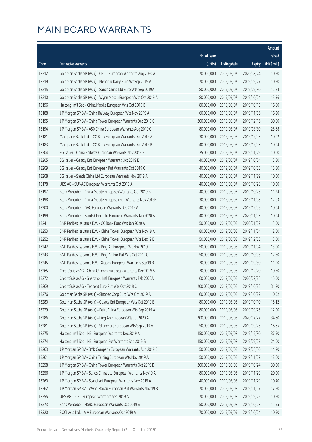|       |                                                              |              |                       |               | Amount      |
|-------|--------------------------------------------------------------|--------------|-----------------------|---------------|-------------|
|       |                                                              | No. of issue |                       |               | raised      |
| Code  | <b>Derivative warrants</b>                                   | (units)      | <b>Listing date</b>   | <b>Expiry</b> | (HK\$ mil.) |
| 18212 | Goldman Sachs SP (Asia) - CRCC European Warrants Aug 2020 A  | 70,000,000   | 2019/05/07            | 2020/08/24    | 10.50       |
| 18219 | Goldman Sachs SP (Asia) - Mengniu Dairy Euro Wt Sep 2019 A   | 70,000,000   | 2019/05/07            | 2019/09/27    | 10.50       |
| 18215 | Goldman Sachs SP (Asia) - Sands China Ltd Euro Wts Sep 2019A | 80,000,000   | 2019/05/07            | 2019/09/30    | 12.24       |
| 18210 | Goldman Sachs SP (Asia) - Wynn Macau European Wts Oct 2019 A | 80,000,000   | 2019/05/07            | 2019/10/24    | 15.36       |
| 18196 | Haitong Int'l Sec - China Mobile European Wts Oct 2019 B     | 80,000,000   | 2019/05/07            | 2019/10/15    | 16.80       |
| 18188 | J P Morgan SP BV - China Railway European Wts Nov 2019 A     | 60,000,000   | 2019/05/07            | 2019/11/06    | 16.20       |
| 18195 | J P Morgan SP BV - China Tower European Warrants Dec 2019 C  | 200,000,000  | 2019/05/07            | 2019/12/16    | 30.80       |
| 18194 | J P Morgan SP BV - A50 China European Warrants Aug 2019 C    | 80,000,000   | 2019/05/07            | 2019/08/30    | 25.68       |
| 18181 | Macquarie Bank Ltd. - CC Bank European Warrants Dec 2019 A   | 30,000,000   | 2019/05/07            | 2019/12/03    | 10.02       |
| 18183 | Macquarie Bank Ltd. - CC Bank European Warrants Dec 2019 B   | 40,000,000   | 2019/05/07            | 2019/12/03    | 10.04       |
| 18204 | SG Issuer - China Railway European Warrants Nov 2019 B       | 25,000,000   | 2019/05/07            | 2019/11/29    | 10.00       |
| 18205 | SG Issuer - Galaxy Ent European Warrants Oct 2019 B          | 40,000,000   | 2019/05/07            | 2019/10/04    | 13.80       |
| 18209 | SG Issuer - Galaxy Ent European Put Warrants Oct 2019 C      | 40,000,000   | 2019/05/07            | 2019/10/03    | 15.80       |
| 18208 | SG Issuer - Sands China Ltd European Warrants Nov 2019 A     | 40,000,000   | 2019/05/07            | 2019/11/29    | 10.00       |
| 18178 | UBS AG - SUNAC European Warrants Oct 2019 A                  | 40,000,000   | 2019/05/07            | 2019/10/28    | 10.00       |
| 18197 | Bank Vontobel - China Mobile European Warrants Oct 2019 B    | 40,000,000   | 2019/05/07            | 2019/10/25    | 11.24       |
| 18198 | Bank Vontobel - China Mobile European Put Warrants Nov 2019B | 30,000,000   | 2019/05/07            | 2019/11/08    | 12.63       |
| 18200 | Bank Vontobel - GAC European Warrants Dec 2019 A             | 40,000,000   | 2019/05/07            | 2019/12/05    | 10.04       |
| 18199 | Bank Vontobel - Sands China Ltd European Warrants Jan 2020 A | 40,000,000   | 2019/05/07            | 2020/01/03    | 10.04       |
| 18241 | BNP Paribas Issuance B.V. - CC Bank Euro Wts Jan 2020 A      | 50,000,000   | 2019/05/08            | 2020/01/02    | 13.50       |
| 18253 | BNP Paribas Issuance B.V. - China Tower European Wts Nov19 A | 80,000,000   | 2019/05/08            | 2019/11/04    | 12.00       |
| 18252 | BNP Paribas Issuance B.V. - China Tower European Wts Dec19 B | 50,000,000   | 2019/05/08            | 2019/12/03    | 13.00       |
| 18242 | BNP Paribas Issuance B.V. - Ping An European Wt Nov 2019 F   | 50,000,000   | 2019/05/08            | 2019/11/04    | 13.00       |
| 18243 | BNP Paribas Issuance B.V. - Ping An Eur Put Wts Oct 2019 G   | 50,000,000   | 2019/05/08            | 2019/10/03    | 12.50       |
| 18245 | BNP Paribas Issuance B.V. - Xiaomi European Warrants Sep19 B | 70,000,000   | 2019/05/08            | 2019/09/30    | 11.90       |
| 18265 | Credit Suisse AG - China Unicom European Warrants Dec 2019 A | 70,000,000   | 2019/05/08            | 2019/12/20    | 10.50       |
| 18272 | Credit Suisse AG - Shenzhou Intl European Warrants Feb 2020A |              | 60,000,000 2019/05/08 | 2020/02/28    | 15.00       |
| 18269 | Credit Suisse AG - Tencent Euro Put Wts Oct 2019 C           | 200,000,000  | 2019/05/08            | 2019/10/23    | 31.20       |
| 18276 | Goldman Sachs SP (Asia) - Sinopec Corp Euro Wts Oct 2019 A   | 60,000,000   | 2019/05/08            | 2019/10/22    | 10.02       |
| 18280 | Goldman Sachs SP (Asia) - Galaxy Ent European Wts Oct 2019 B | 80,000,000   | 2019/05/08            | 2019/10/10    | 15.12       |
| 18279 | Goldman Sachs SP (Asia) - PetroChina European Wts Sep 2019 A | 80,000,000   | 2019/05/08            | 2019/09/25    | 12.00       |
| 18286 | Goldman Sachs SP (Asia) - Ping An European Wts Jul 2020 A    | 200,000,000  | 2019/05/08            | 2020/07/27    | 34.60       |
| 18281 | Goldman Sachs SP (Asia) - Stanchart European Wts Sep 2019 A  | 50,000,000   | 2019/05/08            | 2019/09/25    | 16.65       |
| 18275 | Haitong Int'l Sec - HSI European Warrants Dec 2019 A         | 150,000,000  | 2019/05/08            | 2019/12/30    | 37.50       |
| 18274 | Haitong Int'l Sec - HSI European Put Warrants Sep 2019 G     | 150,000,000  | 2019/05/08            | 2019/09/27    | 24.00       |
| 18263 | J P Morgan SP BV - BYD Company European Warrants Aug 2019 B  | 50,000,000   | 2019/05/08            | 2019/08/30    | 14.20       |
| 18261 | J P Morgan SP BV - China Taiping European Wts Nov 2019 A     | 50,000,000   | 2019/05/08            | 2019/11/07    | 12.60       |
| 18258 | J P Morgan SP BV - China Tower European Warrants Oct 2019 D  | 200,000,000  | 2019/05/08            | 2019/10/24    | 30.00       |
| 18256 | J P Morgan SP BV - Sands China Ltd European Warrants Nov19 A | 80,000,000   | 2019/05/08            | 2019/11/29    | 20.00       |
| 18260 | J P Morgan SP BV - Stanchart European Warrants Nov 2019 A    | 40,000,000   | 2019/05/08            | 2019/11/29    | 10.40       |
| 18262 | J P Morgan SP BV - Wynn Macau European Put Warrants Nov 19 B | 70,000,000   | 2019/05/08            | 2019/11/07    | 17.50       |
| 18255 | UBS AG - ICBC European Warrants Sep 2019 A                   | 70,000,000   | 2019/05/08            | 2019/09/25    | 10.50       |
| 18273 | Bank Vontobel - HSBC European Warrants Oct 2019 A            | 50,000,000   | 2019/05/08            | 2019/10/28    | 11.55       |
| 18320 | BOCI Asia Ltd. - AIA European Warrants Oct 2019 A            | 70,000,000   | 2019/05/09            | 2019/10/04    | 10.50       |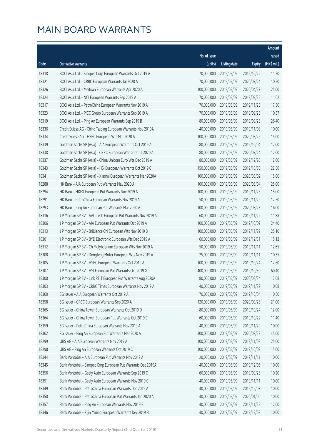|       |                                                              |              |                       |               | Amount      |
|-------|--------------------------------------------------------------|--------------|-----------------------|---------------|-------------|
|       |                                                              | No. of issue |                       |               | raised      |
| Code  | <b>Derivative warrants</b>                                   | (units)      | <b>Listing date</b>   | <b>Expiry</b> | (HK\$ mil.) |
| 18318 | BOCI Asia Ltd. - Sinopec Corp European Warrants Oct 2019 A   | 70,000,000   | 2019/05/09            | 2019/10/22    | 11.20       |
| 18321 | BOCI Asia Ltd. - CRRC European Warrants Jul 2020 A           | 70,000,000   | 2019/05/09            | 2020/07/24    | 10.50       |
| 18326 | BOCI Asia Ltd. - Meituan European Warrants Apr 2020 A        | 100,000,000  | 2019/05/09            | 2020/04/27    | 25.00       |
| 18324 | BOCI Asia Ltd. - NCI European Warrants Sep 2019 A            | 70,000,000   | 2019/05/09            | 2019/09/25    | 11.62       |
| 18317 | BOCI Asia Ltd. - PetroChina European Warrants Nov 2019 A     | 70,000,000   | 2019/05/09            | 2019/11/25    | 17.50       |
| 18323 | BOCI Asia Ltd. - PICC Group European Warrants Sep 2019 A     | 70,000,000   | 2019/05/09            | 2019/09/23    | 10.57       |
| 18319 | BOCI Asia Ltd. - Ping An European Warrants Sep 2019 B        | 80,000,000   | 2019/05/09            | 2019/09/23    | 26.40       |
| 18336 | Credit Suisse AG - China Taiping European Warrants Nov 2019A | 40,000,000   | 2019/05/09            | 2019/11/08    | 10.00       |
| 18334 | Credit Suisse AG - HSBC European Wts Mar 2020 A              | 100,000,000  | 2019/05/09            | 2020/03/26    | 15.00       |
| 18339 | Goldman Sachs SP (Asia) - AIA European Warrants Oct 2019 A   | 80,000,000   | 2019/05/09            | 2019/10/04    | 12.00       |
| 18338 | Goldman Sachs SP (Asia) - CRRC European Warrants Jul 2020 A  | 80,000,000   | 2019/05/09            | 2020/07/24    | 12.00       |
| 18337 | Goldman Sachs SP (Asia) - China Unicom Euro Wts Dec 2019 A   | 80,000,000   | 2019/05/09            | 2019/12/20    | 12.00       |
| 18343 | Goldman Sachs SP (Asia) - HSI European Warrants Oct 2019 C   | 150,000,000  | 2019/05/09            | 2019/10/30    | 22.50       |
| 18341 | Goldman Sachs SP (Asia) - Xiaomi European Warrants Mar 2020A | 100,000,000  | 2019/05/09            | 2020/03/02    | 15.00       |
| 18288 | HK Bank - AIA European Put Warrants May 2020 A               | 100,000,000  | 2019/05/09            | 2020/05/04    | 25.00       |
| 18294 | HK Bank - HKEX European Put Warrants Nov 2019 A              | 100,000,000  | 2019/05/09            | 2019/11/26    | 15.00       |
| 18291 | HK Bank - PetroChina European Warrants Nov 2019 A            | 50,000,000   | 2019/05/09            | 2019/11/29    | 12.50       |
| 18293 | HK Bank - Ping An European Put Warrants Mar 2020 A           | 100,000,000  | 2019/05/09            | 2020/03/23    | 16.00       |
| 18316 | J P Morgan SP BV - AAC Tech European Put Warrants Nov 2019 A | 60,000,000   | 2019/05/09            | 2019/11/22    | 11.88       |
| 18306 | J P Morgan SP BV - AIA European Put Warrants Oct 2019 A      | 100,000,000  | 2019/05/09            | 2019/10/09    | 24.40       |
| 18313 | J P Morgan SP BV - Brilliance Chi European Wts Nov 2019 B    | 100,000,000  | 2019/05/09            | 2019/11/29    | 25.10       |
| 18301 | J P Morgan SP BV - BYD Electronic European Wts Dec 2019 A    | 60,000,000   | 2019/05/09            | 2019/12/31    | 15.12       |
| 18312 | J P Morgan SP BV - Ch Molybdenum European Wts Nov 2019 A     | 50,000,000   | 2019/05/09            | 2019/11/11    | 12.65       |
| 18308 | J P Morgan SP BV - Dongfeng Motor European Wts Nov 2019 A    | 25,000,000   | 2019/05/09            | 2019/11/11    | 10.35       |
| 18305 | J P Morgan SP BV - HSBC European Warrants Oct 2019 A         | 100,000,000  | 2019/05/09            | 2019/10/24    | 17.60       |
| 18307 | J P Morgan SP BV - HSI European Put Warrants Oct 2019 G      | 400,000,000  | 2019/05/09            | 2019/10/30    | 60.40       |
| 18300 | J P Morgan SP BV - Link REIT European Put Warrants Aug 2020A |              | 80,000,000 2019/05/09 | 2020/08/24    | 12.08       |
| 18303 | J P Morgan SP BV - CRRC Times European Warrants Nov 2019 A   | 40,000,000   | 2019/05/09            | 2019/11/29    | 10.08       |
| 18360 | SG Issuer - AIA European Warrants Oct 2019 A                 | 70,000,000   | 2019/05/09            | 2019/10/04    | 10.50       |
| 18358 | SG Issuer - CRCC European Warrants Sep 2020 A                | 120,000,000  | 2019/05/09            | 2020/09/23    | 21.00       |
| 18365 | SG Issuer - China Tower European Warrants Oct 2019 D         | 80,000,000   | 2019/05/09            | 2019/10/24    | 12.00       |
| 18364 | SG Issuer - China Tower European Put Warrants Oct 2019 C     | 60,000,000   | 2019/05/09            | 2019/10/22    | 11.40       |
| 18359 | SG Issuer - PetroChina European Warrants Nov 2019 A          | 40,000,000   | 2019/05/09            | 2019/11/29    | 10.00       |
| 18362 | SG Issuer - Ping An European Put Warrants Mar 2020 A         | 300,000,000  | 2019/05/09            | 2020/03/23    | 45.00       |
| 18299 | UBS AG - AIA European Warrants Nov 2019 A                    | 100,000,000  | 2019/05/09            | 2019/11/08    | 25.00       |
| 18298 | UBS AG - Ping An European Warrants Oct 2019 C                | 100,000,000  | 2019/05/09            | 2019/10/09    | 15.00       |
| 18344 | Bank Vontobel - AIA European Put Warrants Nov 2019 A         | 20,000,000   | 2019/05/09            | 2019/11/11    | 10.00       |
| 18345 | Bank Vontobel - Sinopec Corp European Put Warrants Dec 2019A | 40,000,000   | 2019/05/09            | 2019/12/05    | 10.00       |
| 18356 | Bank Vontobel - Geely Auto European Warrants Sep 2019 C      | 60,000,000   | 2019/05/09            | 2019/09/23    | 10.20       |
| 18351 | Bank Vontobel - Geely Auto European Warrants Nov 2019 C      | 40,000,000   | 2019/05/09            | 2019/11/11    | 10.00       |
| 18349 | Bank Vontobel - PetroChina European Warrants Dec 2019 A      | 40,000,000   | 2019/05/09            | 2019/12/03    | 10.00       |
| 18350 | Bank Vontobel - PetroChina European Put Warrants Jan 2020 A  | 40,000,000   | 2019/05/09            | 2020/01/06    | 10.00       |
| 18357 | Bank Vontobel - Ping An European Warrants Nov 2019 B         | 40,000,000   | 2019/05/09            | 2019/11/29    | 12.00       |
| 18346 | Bank Vontobel - Zijin Mining European Warrants Dec 2019 B    | 40,000,000   | 2019/05/09            | 2019/12/03    | 10.00       |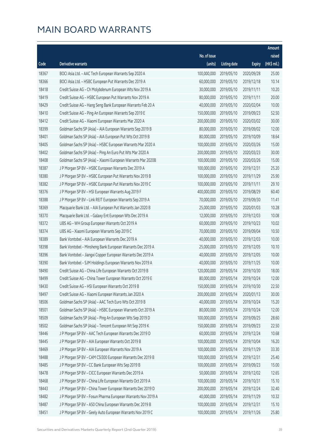|       |                                                              |              |                       |               | Amount      |
|-------|--------------------------------------------------------------|--------------|-----------------------|---------------|-------------|
|       |                                                              | No. of issue |                       |               | raised      |
| Code  | <b>Derivative warrants</b>                                   | (units)      | <b>Listing date</b>   | <b>Expiry</b> | (HK\$ mil.) |
| 18367 | BOCI Asia Ltd. - AAC Tech European Warrants Sep 2020 A       | 100,000,000  | 2019/05/10            | 2020/09/28    | 25.00       |
| 18366 | BOCI Asia Ltd. - HSBC European Put Warrants Dec 2019 A       | 60,000,000   | 2019/05/10            | 2019/12/18    | 10.14       |
| 18418 | Credit Suisse AG - Ch Molybdenum European Wts Nov 2019 A     | 30,000,000   | 2019/05/10            | 2019/11/11    | 10.20       |
| 18419 | Credit Suisse AG - HSBC European Put Warrants Nov 2019 A     | 80,000,000   | 2019/05/10            | 2019/11/11    | 20.00       |
| 18429 | Credit Suisse AG - Hang Seng Bank European Warrants Feb 20 A | 40,000,000   | 2019/05/10            | 2020/02/04    | 10.00       |
| 18410 | Credit Suisse AG - Ping An European Warrants Sep 2019 E      | 150,000,000  | 2019/05/10            | 2019/09/23    | 52.50       |
| 18412 | Credit Suisse AG - Xiaomi European Warrants Mar 2020 A       | 200,000,000  | 2019/05/10            | 2020/03/02    | 30.00       |
| 18399 | Goldman Sachs SP (Asia) - AIA European Warrants Sep 2019 B   | 80,000,000   | 2019/05/10            | 2019/09/02    | 12.00       |
| 18401 | Goldman Sachs SP (Asia) - AIA European Put Wts Oct 2019 B    | 80,000,000   | 2019/05/10            | 2019/10/09    | 18.64       |
| 18405 | Goldman Sachs SP (Asia) - HSBC European Warrants Mar 2020 A  | 100,000,000  | 2019/05/10            | 2020/03/26    | 15.00       |
| 18402 | Goldman Sachs SP (Asia) - Ping An Euro Put Wts Mar 2020 A    | 200,000,000  | 2019/05/10            | 2020/03/23    | 30.00       |
| 18408 | Goldman Sachs SP (Asia) - Xiaomi European Warrants Mar 2020B | 100,000,000  | 2019/05/10            | 2020/03/26    | 15.00       |
| 18387 | J P Morgan SP BV - HSBC European Warrants Dec 2019 A         | 100,000,000  | 2019/05/10            | 2019/12/31    | 25.20       |
| 18380 | J P Morgan SP BV - HSBC European Put Warrants Nov 2019 B     | 100,000,000  | 2019/05/10            | 2019/11/29    | 25.90       |
| 18382 | J P Morgan SP BV - HSBC European Put Warrants Nov 2019 C     | 100,000,000  | 2019/05/10            | 2019/11/11    | 29.10       |
| 18376 | J P Morgan SP BV - HSI European Warrants Aug 2019 F          | 400,000,000  | 2019/05/10            | 2019/08/29    | 60.40       |
| 18388 | J P Morgan SP BV - Link REIT European Warrants Sep 2019 A    | 70,000,000   | 2019/05/10            | 2019/09/30    | 11.41       |
| 18369 | Macquarie Bank Ltd. - AIA European Put Warrants Jan 2020 B   | 25,000,000   | 2019/05/10            | 2020/01/03    | 10.28       |
| 18370 | Macquarie Bank Ltd. - Galaxy Ent European Wts Dec 2019 A     | 12,000,000   | 2019/05/10            | 2019/12/03    | 10.08       |
| 18372 | UBS AG - WH Group European Warrants Oct 2019 A               | 60,000,000   | 2019/05/10            | 2019/10/23    | 10.02       |
| 18374 | UBS AG - Xiaomi European Warrants Sep 2019 C                 | 70,000,000   | 2019/05/10            | 2019/09/04    | 10.50       |
| 18389 | Bank Vontobel - AIA European Warrants Dec 2019 A             | 40,000,000   | 2019/05/10            | 2019/12/03    | 10.00       |
| 18398 | Bank Vontobel - Minsheng Bank European Warrants Dec 2019 A   | 25,000,000   | 2019/05/10            | 2019/12/05    | 10.10       |
| 18396 | Bank Vontobel - Jiangxi Copper European Warrants Dec 2019 A  | 40,000,000   | 2019/05/10            | 2019/12/05    | 10.00       |
| 18390 | Bank Vontobel - SJM Holdings European Warrants Nov 2019 A    | 40,000,000   | 2019/05/10            | 2019/11/25    | 10.00       |
| 18490 | Credit Suisse AG - China Life European Warrants Oct 2019 B   | 120,000,000  | 2019/05/14            | 2019/10/30    | 18.00       |
| 18499 | Credit Suisse AG - China Tower European Warrants Oct 2019 E  |              | 80,000,000 2019/05/14 | 2019/10/24    | 12.00       |
| 18430 | Credit Suisse AG - HSI European Warrants Oct 2019 B          | 150,000,000  | 2019/05/14            | 2019/10/30    | 22.50       |
| 18497 | Credit Suisse AG - Xiaomi European Warrants Jan 2020 A       | 200,000,000  | 2019/05/14            | 2020/01/13    | 30.00       |
| 18506 | Goldman Sachs SP (Asia) - AAC Tech Euro Wts Oct 2019 B       | 40,000,000   | 2019/05/14            | 2019/10/24    | 15.20       |
| 18501 | Goldman Sachs SP (Asia) - HSBC European Warrants Oct 2019 A  | 80,000,000   | 2019/05/14            | 2019/10/24    | 12.00       |
| 18509 | Goldman Sachs SP (Asia) - Ping An European Wts Sep 2019 D    | 100,000,000  | 2019/05/14            | 2019/09/25    | 28.60       |
| 18502 | Goldman Sachs SP (Asia) - Tencent European Wt Sep 2019 K     | 150,000,000  | 2019/05/14            | 2019/09/23    | 22.50       |
| 18446 | J P Morgan SP BV - AAC Tech European Warrants Dec 2019 D     | 60,000,000   | 2019/05/14            | 2019/12/24    | 10.68       |
| 18445 | J P Morgan SP BV - AIA European Warrants Oct 2019 B          | 100,000,000  | 2019/05/14            | 2019/10/04    | 16.20       |
| 18469 | J P Morgan SP BV - AIA European Warrants Nov 2019 A          | 100,000,000  | 2019/05/14            | 2019/11/29    | 33.30       |
| 18488 | J P Morgan SP BV - CAM CSI300 European Warrants Dec 2019 B   | 100,000,000  | 2019/05/14            | 2019/12/31    | 25.40       |
| 18485 | J P Morgan SP BV - CC Bank European Wts Sep 2019 B           | 100,000,000  | 2019/05/14            | 2019/09/23    | 15.00       |
| 18478 | J P Morgan SP BV - CICC European Warrants Dec 2019 A         | 50,000,000   | 2019/05/14            | 2019/12/02    | 12.65       |
| 18468 | J P Morgan SP BV - China Life European Warrants Oct 2019 A   | 100,000,000  | 2019/05/14            | 2019/10/31    | 15.10       |
| 18443 | J P Morgan SP BV - China Tower European Warrants Dec 2019 D  | 200,000,000  | 2019/05/14            | 2019/12/24    | 32.40       |
| 18482 | J P Morgan SP BV - Fosun Pharma European Warrants Nov 2019 A | 40,000,000   | 2019/05/14            | 2019/11/29    | 10.32       |
| 18487 | J P Morgan SP BV - A50 China European Warrants Dec 2019 B    | 100,000,000  | 2019/05/14            | 2019/12/31    | 15.10       |
| 18451 | J P Morgan SP BV - Geely Auto European Warrants Nov 2019 C   | 100,000,000  | 2019/05/14            | 2019/11/26    | 25.80       |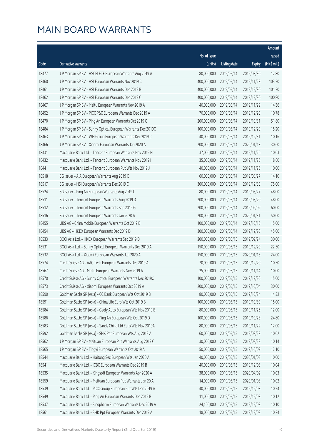|       |                                                              |              |                        |               | Amount      |
|-------|--------------------------------------------------------------|--------------|------------------------|---------------|-------------|
|       |                                                              | No. of issue |                        |               | raised      |
| Code  | Derivative warrants                                          | (units)      | <b>Listing date</b>    | <b>Expiry</b> | (HK\$ mil.) |
| 18477 | J P Morgan SP BV - HSCEI ETF European Warrants Aug 2019 A    | 80,000,000   | 2019/05/14             | 2019/08/30    | 12.80       |
| 18460 | J P Morgan SP BV - HSI European Warrants Nov 2019 C          | 400,000,000  | 2019/05/14             | 2019/11/28    | 103.20      |
| 18461 | J P Morgan SP BV - HSI European Warrants Dec 2019 B          | 400,000,000  | 2019/05/14             | 2019/12/30    | 101.20      |
| 18462 | J P Morgan SP BV - HSI European Warrants Dec 2019 C          | 400,000,000  | 2019/05/14             | 2019/12/30    | 100.80      |
| 18467 | J P Morgan SP BV - Meitu European Warrants Nov 2019 A        | 40,000,000   | 2019/05/14             | 2019/11/29    | 14.36       |
| 18452 | J P Morgan SP BV - PICC P&C European Warrants Dec 2019 A     | 70,000,000   | 2019/05/14             | 2019/12/20    | 10.78       |
| 18470 | J P Morgan SP BV - Ping An European Warrants Oct 2019 C      | 200,000,000  | 2019/05/14             | 2019/10/31    | 51.80       |
| 18484 | J P Morgan SP BV - Sunny Optical European Warrants Dec 2019C | 100,000,000  | 2019/05/14             | 2019/12/20    | 15.20       |
| 18463 | J P Morgan SP BV - WH Group European Warrants Dec 2019 C     | 40,000,000   | 2019/05/14             | 2019/12/31    | 10.16       |
| 18466 | J P Morgan SP BV - Xiaomi European Warrants Jan 2020 A       | 200,000,000  | 2019/05/14             | 2020/01/13    | 30.60       |
| 18431 | Macquarie Bank Ltd. - Tencent European Warrants Nov 2019 H   | 37,000,000   | 2019/05/14             | 2019/11/26    | 10.03       |
| 18432 | Macquarie Bank Ltd. - Tencent European Warrants Nov 2019 I   | 35,000,000   | 2019/05/14             | 2019/11/26    | 18.80       |
| 18441 | Macquarie Bank Ltd. - Tencent European Put Wts Nov 2019 J    | 40,000,000   | 2019/05/14             | 2019/11/26    | 10.00       |
| 18518 | SG Issuer - AIA European Warrants Aug 2019 C                 | 60,000,000   | 2019/05/14             | 2019/08/27    | 14.10       |
| 18517 | SG Issuer - HSI European Warrants Dec 2019 C                 | 300,000,000  | 2019/05/14             | 2019/12/30    | 75.00       |
| 18524 | SG Issuer - Ping An European Warrants Aug 2019 C             | 80,000,000   | 2019/05/14             | 2019/08/27    | 48.00       |
| 18511 | SG Issuer - Tencent European Warrants Aug 2019 D             | 200,000,000  | 2019/05/14             | 2019/08/20    | 48.00       |
| 18512 | SG Issuer - Tencent European Warrants Sep 2019 G             | 200,000,000  | 2019/05/14             | 2019/09/02    | 60.00       |
| 18516 | SG Issuer - Tencent European Warrants Jan 2020 A             | 200,000,000  | 2019/05/14             | 2020/01/31    | 50.00       |
| 18455 | UBS AG - China Mobile European Warrants Oct 2019 B           | 100,000,000  | 2019/05/14             | 2019/10/16    | 15.00       |
| 18454 | UBS AG - HKEX European Warrants Dec 2019 D                   | 300,000,000  | 2019/05/14             | 2019/12/20    | 45.00       |
| 18533 | BOCI Asia Ltd. - HKEX European Warrants Sep 2019 D           | 200,000,000  | 2019/05/15             | 2019/09/24    | 30.00       |
| 18531 | BOCI Asia Ltd. - Sunny Optical European Warrants Dec 2019 A  | 150,000,000  | 2019/05/15             | 2019/12/20    | 22.50       |
| 18532 | BOCI Asia Ltd. - Xiaomi European Warrants Jan 2020 A         | 150,000,000  | 2019/05/15             | 2020/01/13    | 24.00       |
| 18574 | Credit Suisse AG - AAC Tech European Warrants Dec 2019 A     | 70,000,000   | 2019/05/15             | 2019/12/20    | 10.50       |
| 18567 | Credit Suisse AG - Meitu European Warrants Nov 2019 A        | 25,000,000   | 2019/05/15             | 2019/11/14    | 10.00       |
| 18570 | Credit Suisse AG - Sunny Optical European Warrants Dec 2019C |              | 100,000,000 2019/05/15 | 2019/12/20    | 15.00       |
| 18573 | Credit Suisse AG - Xiaomi European Warrants Oct 2019 A       | 200,000,000  | 2019/05/15             | 2019/10/04    | 30.00       |
| 18590 | Goldman Sachs SP (Asia) - CC Bank European Wts Oct 2019 B    | 80,000,000   | 2019/05/15             | 2019/10/24    | 14.32       |
| 18591 | Goldman Sachs SP (Asia) - China Life Euro Wts Oct 2019 B     | 100,000,000  | 2019/05/15             | 2019/10/30    | 15.00       |
| 18584 | Goldman Sachs SP (Asia) - Geely Auto European Wts Nov 2019 B | 80,000,000   | 2019/05/15             | 2019/11/26    | 12.00       |
| 18586 | Goldman Sachs SP (Asia) - Ping An European Wts Oct 2019 D    | 100,000,000  | 2019/05/15             | 2019/10/28    | 24.80       |
| 18583 | Goldman Sachs SP (Asia) - Sands China Ltd Euro Wts Nov 2019A | 80,000,000   | 2019/05/15             | 2019/11/22    | 12.00       |
| 18592 | Goldman Sachs SP (Asia) - SHK Ppt European Wts Aug 2019 A    | 60,000,000   | 2019/05/15             | 2019/08/23    | 10.02       |
| 18562 | J P Morgan SP BV - Meituan European Put Warrants Aug 2019 C  | 30,000,000   | 2019/05/15             | 2019/08/23    | 10.14       |
| 18565 | J P Morgan SP BV - Tingyi European Warrants Oct 2019 A       | 50,000,000   | 2019/05/15             | 2019/10/09    | 12.10       |
| 18544 | Macquarie Bank Ltd. - Haitong Sec European Wts Jan 2020 A    | 40,000,000   | 2019/05/15             | 2020/01/03    | 10.00       |
| 18541 | Macquarie Bank Ltd. - ICBC European Warrants Dec 2019 B      | 40,000,000   | 2019/05/15             | 2019/12/03    | 10.04       |
| 18535 | Macquarie Bank Ltd. - Kingsoft European Warrants Apr 2020 A  | 38,000,000   | 2019/05/15             | 2020/04/02    | 10.03       |
| 18559 | Macquarie Bank Ltd. - Meituan European Put Warrants Jan 20 A | 14,000,000   | 2019/05/15             | 2020/01/03    | 10.02       |
| 18539 | Macquarie Bank Ltd. - PICC Group European Put Wts Dec 2019 A | 40,000,000   | 2019/05/15             | 2019/12/03    | 10.24       |
| 18549 | Macquarie Bank Ltd. - Ping An European Warrants Dec 2019 B   | 11,000,000   | 2019/05/15             | 2019/12/03    | 10.12       |
| 18537 | Macquarie Bank Ltd. - Sinopharm European Warrants Dec 2019 A | 24,400,000   | 2019/05/15             | 2019/12/03    | 10.10       |
| 18561 | Macquarie Bank Ltd. - SHK Ppt European Warrants Dec 2019 A   | 18,000,000   | 2019/05/15             | 2019/12/03    | 10.24       |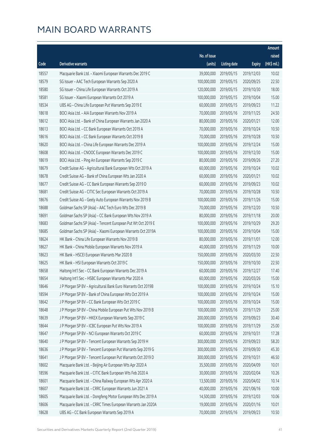|       |                                                              |              |                       |               | Amount      |
|-------|--------------------------------------------------------------|--------------|-----------------------|---------------|-------------|
|       |                                                              | No. of issue |                       |               | raised      |
| Code  | Derivative warrants                                          | (units)      | <b>Listing date</b>   | <b>Expiry</b> | (HK\$ mil.) |
| 18557 | Macquarie Bank Ltd. - Xiaomi European Warrants Dec 2019 C    | 39,000,000   | 2019/05/15            | 2019/12/03    | 10.02       |
| 18579 | SG Issuer - AAC Tech European Warrants Sep 2020 A            | 100,000,000  | 2019/05/15            | 2020/09/25    | 22.50       |
| 18580 | SG Issuer - China Life European Warrants Oct 2019 A          | 120,000,000  | 2019/05/15            | 2019/10/30    | 18.00       |
| 18581 | SG Issuer - Xiaomi European Warrants Oct 2019 A              | 100,000,000  | 2019/05/15            | 2019/10/04    | 15.00       |
| 18534 | UBS AG - China Life European Put Warrants Sep 2019 E         | 60,000,000   | 2019/05/15            | 2019/09/23    | 11.22       |
| 18618 | BOCI Asia Ltd. - AIA European Warrants Nov 2019 A            | 70,000,000   | 2019/05/16            | 2019/11/25    | 24.50       |
| 18612 | BOCI Asia Ltd. - Bank of China European Warrants Jan 2020 A  | 80,000,000   | 2019/05/16            | 2020/01/21    | 12.00       |
| 18613 | BOCI Asia Ltd. - CC Bank European Warrants Oct 2019 A        | 70,000,000   | 2019/05/16            | 2019/10/24    | 10.50       |
| 18616 | BOCI Asia Ltd. - CC Bank European Warrants Oct 2019 B        | 70,000,000   | 2019/05/16            | 2019/10/28    | 10.50       |
| 18620 | BOCI Asia Ltd. - China Life European Warrants Dec 2019 A     | 100,000,000  | 2019/05/16            | 2019/12/24    | 15.00       |
| 18608 | BOCI Asia Ltd. - CNOOC European Warrants Dec 2019 C          | 100,000,000  | 2019/05/16            | 2019/12/30    | 15.00       |
| 18619 | BOCI Asia Ltd. - Ping An European Warrants Sep 2019 C        | 80,000,000   | 2019/05/16            | 2019/09/26    | 27.20       |
| 18679 | Credit Suisse AG - Agricultural Bank European Wts Oct 2019 A | 60,000,000   | 2019/05/16            | 2019/10/24    | 10.02       |
| 18678 | Credit Suisse AG - Bank of China European Wts Jan 2020 A     | 60,000,000   | 2019/05/16            | 2020/01/21    | 10.02       |
| 18677 | Credit Suisse AG - CC Bank European Warrants Sep 2019 D      | 60,000,000   | 2019/05/16            | 2019/09/23    | 10.02       |
| 18681 | Credit Suisse AG - CITIC Sec European Warrants Oct 2019 A    | 70,000,000   | 2019/05/16            | 2019/10/28    | 10.50       |
| 18676 | Credit Suisse AG - Geely Auto European Warrants Nov 2019 B   | 100,000,000  | 2019/05/16            | 2019/11/26    | 15.00       |
| 18688 | Goldman Sachs SP (Asia) - AAC Tech Euro Wts Dec 2019 B       | 70,000,000   | 2019/05/16            | 2019/12/20    | 10.50       |
| 18691 | Goldman Sachs SP (Asia) - CC Bank European Wts Nov 2019 A    | 80,000,000   | 2019/05/16            | 2019/11/18    | 20.00       |
| 18683 | Goldman Sachs SP (Asia) - Tencent European Put Wt Oct 2019 E | 100,000,000  | 2019/05/16            | 2019/10/29    | 29.20       |
| 18685 | Goldman Sachs SP (Asia) - Xiaomi European Warrants Oct 2019A | 100,000,000  | 2019/05/16            | 2019/10/04    | 15.00       |
| 18624 | HK Bank - China Life European Warrants Nov 2019 B            | 80,000,000   | 2019/05/16            | 2019/11/01    | 12.00       |
| 18627 | HK Bank - China Mobile European Warrants Nov 2019 A          | 40,000,000   | 2019/05/16            | 2019/11/29    | 10.00       |
| 18623 | HK Bank - HSCEI European Warrants Mar 2020 B                 | 150,000,000  | 2019/05/16            | 2020/03/30    | 22.50       |
| 18625 | HK Bank - HSI European Warrants Oct 2019 C                   | 150,000,000  | 2019/05/16            | 2019/10/30    | 22.50       |
| 18658 | Haitong Int'l Sec - CC Bank European Warrants Dec 2019 A     | 60,000,000   | 2019/05/16            | 2019/12/27    | 17.40       |
| 18654 | Haitong Int'l Sec - HSBC European Warrants Mar 2020 A        |              | 60,000,000 2019/05/16 | 2020/03/26    | 15.00       |
| 18646 | J P Morgan SP BV - Agricultural Bank Euro Warrants Oct 2019B | 100,000,000  | 2019/05/16            | 2019/10/24    | 15.10       |
| 18594 | J P Morgan SP BV - Bank of China European Wts Oct 2019 A     | 100,000,000  | 2019/05/16            | 2019/10/24    | 15.00       |
| 18642 | J P Morgan SP BV - CC Bank European Wts Oct 2019 C           | 100,000,000  | 2019/05/16            | 2019/10/24    | 15.00       |
| 18648 | J P Morgan SP BV - China Mobile European Put Wts Nov 2019 B  | 100,000,000  | 2019/05/16            | 2019/11/29    | 25.00       |
| 18639 | J P Morgan SP BV - HKEX European Warrants Sep 2019 C         | 200,000,000  | 2019/05/16            | 2019/09/23    | 30.40       |
| 18644 | J P Morgan SP BV - ICBC European Put Wts Nov 2019 A          | 100,000,000  | 2019/05/16            | 2019/11/29    | 25.00       |
| 18647 | J P Morgan SP BV - NCI European Warrants Oct 2019 C          | 60,000,000   | 2019/05/16            | 2019/10/31    | 17.28       |
| 18640 | J P Morgan SP BV - Tencent European Warrants Sep 2019 H      | 300,000,000  | 2019/05/16            | 2019/09/23    | 58.20       |
| 18636 | J P Morgan SP BV - Tencent European Put Warrants Sep 2019 G  | 300,000,000  | 2019/05/16            | 2019/09/30    | 45.30       |
| 18641 | J P Morgan SP BV - Tencent European Put Warrants Oct 2019 D  | 300,000,000  | 2019/05/16            | 2019/10/31    | 46.50       |
| 18602 | Macquarie Bank Ltd. - Beijing Air European Wts Apr 2020 A    | 35,500,000   | 2019/05/16            | 2020/04/09    | 10.01       |
| 18596 | Macquarie Bank Ltd. - CITIC Bank European Wts Feb 2020 A     | 30,000,000   | 2019/05/16            | 2020/02/04    | 10.26       |
| 18601 | Macquarie Bank Ltd. - China Railway European Wts Apr 2020 A  | 13,500,000   | 2019/05/16            | 2020/04/02    | 10.14       |
| 18607 | Macquarie Bank Ltd. - CRRC European Warrants Jun 2021 A      | 40,000,000   | 2019/05/16            | 2021/06/16    | 10.00       |
| 18605 | Macquarie Bank Ltd. - Dongfeng Motor European Wts Dec 2019 A | 14,500,000   | 2019/05/16            | 2019/12/03    | 10.06       |
| 18606 | Macquarie Bank Ltd. - CRRC Times European Warrants Jan 2020A | 19,000,000   | 2019/05/16            | 2020/01/16    | 10.01       |
| 18628 | UBS AG - CC Bank European Warrants Sep 2019 A                | 70,000,000   | 2019/05/16            | 2019/09/23    | 10.50       |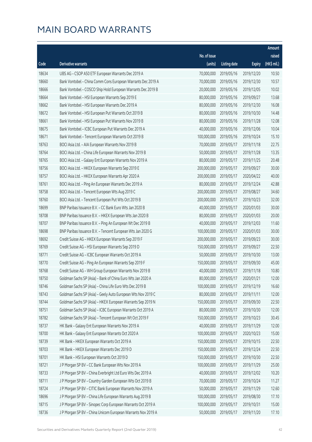|       |                                                              |              |                       |               | Amount      |
|-------|--------------------------------------------------------------|--------------|-----------------------|---------------|-------------|
|       |                                                              | No. of issue |                       |               | raised      |
| Code  | Derivative warrants                                          | (units)      | <b>Listing date</b>   | <b>Expiry</b> | (HK\$ mil.) |
| 18634 | UBS AG - CSOP A50 ETF European Warrants Dec 2019 A           | 70,000,000   | 2019/05/16            | 2019/12/20    | 10.50       |
| 18660 | Bank Vontobel - China Comm Cons European Warrants Dec 2019 A | 70,000,000   | 2019/05/16            | 2019/12/30    | 10.57       |
| 18666 | Bank Vontobel - COSCO Ship Hold European Warrants Dec 2019 B | 20,000,000   | 2019/05/16            | 2019/12/05    | 10.02       |
| 18664 | Bank Vontobel - HSI European Warrants Sep 2019 E             | 80,000,000   | 2019/05/16            | 2019/09/27    | 13.68       |
| 18662 | Bank Vontobel - HSI European Warrants Dec 2019 A             | 80,000,000   | 2019/05/16            | 2019/12/30    | 16.08       |
| 18672 | Bank Vontobel - HSI European Put Warrants Oct 2019 B         | 80,000,000   | 2019/05/16            | 2019/10/30    | 14.48       |
| 18661 | Bank Vontobel - HSI European Put Warrants Nov 2019 B         | 80,000,000   | 2019/05/16            | 2019/11/28    | 12.08       |
| 18675 | Bank Vontobel - ICBC European Put Warrants Dec 2019 A        | 40,000,000   | 2019/05/16            | 2019/12/06    | 10.04       |
| 18671 | Bank Vontobel - Tencent European Warrants Oct 2019 B         | 100,000,000  | 2019/05/16            | 2019/10/24    | 15.10       |
| 18763 | BOCI Asia Ltd. - AIA European Warrants Nov 2019 B            | 70,000,000   | 2019/05/17            | 2019/11/18    | 22.75       |
| 18764 | BOCI Asia Ltd. - China Life European Warrants Nov 2019 B     | 50,000,000   | 2019/05/17            | 2019/11/28    | 13.35       |
| 18765 | BOCI Asia Ltd. - Galaxy Ent European Warrants Nov 2019 A     | 80,000,000   | 2019/05/17            | 2019/11/25    | 20.48       |
| 18756 | BOCI Asia Ltd. - HKEX European Warrants Sep 2019 E           | 200,000,000  | 2019/05/17            | 2019/09/27    | 30.00       |
| 18757 | BOCI Asia Ltd. - HKEX European Warrants Apr 2020 A           | 200,000,000  | 2019/05/17            | 2020/04/22    | 40.00       |
| 18761 | BOCI Asia Ltd. - Ping An European Warrants Dec 2019 A        | 80,000,000   | 2019/05/17            | 2019/12/24    | 42.88       |
| 18758 | BOCI Asia Ltd. - Tencent European Wts Aug 2019 C             | 200,000,000  | 2019/05/17            | 2019/08/27    | 34.60       |
| 18760 | BOCI Asia Ltd. - Tencent European Put Wts Oct 2019 B         | 200,000,000  | 2019/05/17            | 2019/10/23    | 32.00       |
| 18699 | BNP Paribas Issuance B.V. - CC Bank Euro Wts Jan 2020 B      | 40,000,000   | 2019/05/17            | 2020/01/03    | 30.00       |
| 18708 | BNP Paribas Issuance B.V. - HKEX European Wts Jan 2020 B     | 80,000,000   | 2019/05/17            | 2020/01/03    | 20.00       |
| 18707 | BNP Paribas Issuance B.V. - Ping An European Wt Dec 2019 B   | 40,000,000   | 2019/05/17            | 2019/12/03    | 11.60       |
| 18698 | BNP Paribas Issuance B.V. - Tencent European Wts Jan 2020 G  | 100,000,000  | 2019/05/17            | 2020/01/03    | 30.00       |
| 18692 | Credit Suisse AG - HKEX European Warrants Sep 2019 F         | 200,000,000  | 2019/05/17            | 2019/09/23    | 30.00       |
| 18769 | Credit Suisse AG - HSI European Warrants Sep 2019 D          | 150,000,000  | 2019/05/17            | 2019/09/27    | 22.50       |
| 18771 | Credit Suisse AG - ICBC European Warrants Oct 2019 A         | 50,000,000   | 2019/05/17            | 2019/10/30    | 13.00       |
| 18770 | Credit Suisse AG - Ping An European Warrants Sep 2019 F      | 150,000,000  | 2019/05/17            | 2019/09/30    | 45.00       |
| 18768 | Credit Suisse AG - WH Group European Warrants Nov 2019 B     | 40,000,000   | 2019/05/17            | 2019/11/18    | 10.80       |
| 18750 | Goldman Sachs SP (Asia) - Bank of China Euro Wts Jan 2020 A  |              | 80,000,000 2019/05/17 | 2020/01/21    | 12.00       |
| 18746 | Goldman Sachs SP (Asia) - China Life Euro Wts Dec 2019 B     | 100,000,000  | 2019/05/17            | 2019/12/19    | 16.60       |
| 18743 | Goldman Sachs SP (Asia) - Geely Auto European Wts Nov 2019 C | 80,000,000   | 2019/05/17            | 2019/11/11    | 12.00       |
| 18744 | Goldman Sachs SP (Asia) - HKEX European Warrants Sep 2019 N  | 150,000,000  | 2019/05/17            | 2019/09/30    | 22.50       |
| 18751 | Goldman Sachs SP (Asia) - ICBC European Warrants Oct 2019 A  | 80,000,000   | 2019/05/17            | 2019/10/30    | 12.00       |
| 18782 | Goldman Sachs SP (Asia) - Tencent European Wt Oct 2019 F     | 150,000,000  | 2019/05/17            | 2019/10/23    | 30.45       |
| 18737 | HK Bank - Galaxy Ent European Warrants Nov 2019 A            | 40,000,000   | 2019/05/17            | 2019/11/29    | 12.00       |
| 18700 | HK Bank - Galaxy Ent European Warrants Oct 2020 A            | 100,000,000  | 2019/05/17            | 2020/10/23    | 15.00       |
| 18739 | HK Bank - HKEX European Warrants Oct 2019 A                  | 150,000,000  | 2019/05/17            | 2019/10/15    | 22.50       |
| 18703 | HK Bank - HKEX European Warrants Dec 2019 D                  | 150,000,000  | 2019/05/17            | 2019/12/24    | 22.50       |
| 18701 | HK Bank - HSI European Warrants Oct 2019 D                   | 150,000,000  | 2019/05/17            | 2019/10/30    | 22.50       |
| 18721 | J P Morgan SP BV - CC Bank European Wts Nov 2019 A           | 100,000,000  | 2019/05/17            | 2019/11/29    | 25.00       |
| 18733 | J P Morgan SP BV - China Everbright Ltd Euro Wts Dec 2019 A  | 40,000,000   | 2019/05/17            | 2019/12/02    | 10.20       |
| 18711 | J P Morgan SP BV - Country Garden European Wts Oct 2019 B    | 70,000,000   | 2019/05/17            | 2019/10/24    | 11.27       |
| 18724 | J P Morgan SP BV - CITIC Bank European Warrants Nov 2019 A   | 50,000,000   | 2019/05/17            | 2019/11/29    | 12.60       |
| 18696 | J P Morgan SP BV - China Life European Warrants Aug 2019 B   | 100,000,000  | 2019/05/17            | 2019/08/30    | 17.10       |
| 18715 | J P Morgan SP BV - Sinopec Corp European Warrants Oct 2019 A | 100,000,000  | 2019/05/17            | 2019/10/31    | 15.00       |
| 18736 | J P Morgan SP BV - China Unicom European Warrants Nov 2019 A | 50,000,000   | 2019/05/17            | 2019/11/20    | 17.10       |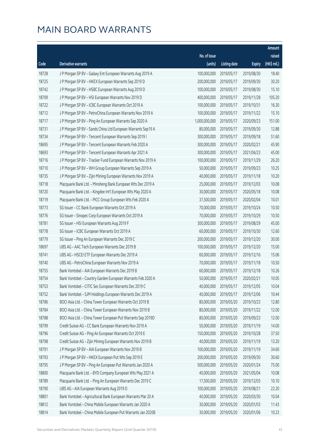|       |                                                              |               |                       |               | Amount                |
|-------|--------------------------------------------------------------|---------------|-----------------------|---------------|-----------------------|
|       |                                                              | No. of issue  |                       |               | raised                |
| Code  | <b>Derivative warrants</b>                                   | (units)       | <b>Listing date</b>   | <b>Expiry</b> | $(HK\frac{1}{2}mil.)$ |
| 18728 | J P Morgan SP BV - Galaxy Ent European Warrants Aug 2019 A   | 100,000,000   | 2019/05/17            | 2019/08/30    | 18.40                 |
| 18725 | J P Morgan SP BV - HKEX European Warrants Sep 2019 D         | 200,000,000   | 2019/05/17            | 2019/09/30    | 30.20                 |
| 18742 | J P Morgan SP BV - HSBC European Warrants Aug 2019 D         | 100,000,000   | 2019/05/17            | 2019/08/30    | 15.10                 |
| 18709 | J P Morgan SP BV - HSI European Warrants Nov 2019 D          | 400,000,000   | 2019/05/17            | 2019/11/28    | 105.20                |
| 18722 | J P Morgan SP BV - ICBC European Warrants Oct 2019 A         | 100,000,000   | 2019/05/17            | 2019/10/31    | 16.30                 |
| 18712 | J P Morgan SP BV - PetroChina European Warrants Nov 2019 A   | 100,000,000   | 2019/05/17            | 2019/11/22    | 15.10                 |
| 18717 | J P Morgan SP BV - Ping An European Warrants Sep 2020 A      | 1,000,000,000 | 2019/05/17            | 2020/09/23    | 151.00                |
| 18731 | J P Morgan SP BV - Sands China Ltd European Warrants Sep19 A | 80,000,000    | 2019/05/17            | 2019/09/30    | 12.88                 |
| 18734 | J P Morgan SP BV - Tencent European Warrants Sep 2019 I      | 300,000,000   | 2019/05/17            | 2019/09/18    | 51.60                 |
| 18695 | J P Morgan SP BV - Tencent European Warrants Feb 2020 A      | 300,000,000   | 2019/05/17            | 2020/02/21    | 45.90                 |
| 18693 | J P Morgan SP BV - Tencent European Warrants Apr 2021 A      | 300,000,000   | 2019/05/17            | 2021/04/23    | 45.00                 |
| 18716 | J P Morgan SP BV - Tracker Fund European Warrants Nov 2019 A | 100,000,000   | 2019/05/17            | 2019/11/29    | 26.20                 |
| 18710 | J P Morgan SP BV - WH Group European Warrants Sep 2019 A     | 50,000,000    | 2019/05/17            | 2019/09/23    | 10.25                 |
| 18735 | J P Morgan SP BV - Zijin Mining European Warrants Nov 2019 A | 40,000,000    | 2019/05/17            | 2019/11/18    | 10.20                 |
| 18718 | Macquarie Bank Ltd. - Minsheng Bank European Wts Dec 2019 A  | 25,000,000    | 2019/05/17            | 2019/12/03    | 10.08                 |
| 18720 | Macquarie Bank Ltd. - Kingdee Int'l European Wts May 2020 A  | 30,000,000    | 2019/05/17            | 2020/05/18    | 10.08                 |
| 18719 | Macquarie Bank Ltd. - PICC Group European Wts Feb 2020 A     | 37,500,000    | 2019/05/17            | 2020/02/04    | 10.01                 |
| 18773 | SG Issuer - CC Bank European Warrants Oct 2019 A             | 70,000,000    | 2019/05/17            | 2019/10/24    | 10.50                 |
| 18776 | SG Issuer - Sinopec Corp European Warrants Oct 2019 A        | 70,000,000    | 2019/05/17            | 2019/10/29    | 10.50                 |
| 18781 | SG Issuer - HSI European Warrants Aug 2019 F                 | 300,000,000   | 2019/05/17            | 2019/08/29    | 45.00                 |
| 18778 | SG Issuer - ICBC European Warrants Oct 2019 A                | 60,000,000    | 2019/05/17            | 2019/10/30    | 12.60                 |
| 18779 | SG Issuer - Ping An European Warrants Dec 2019 C             | 200,000,000   | 2019/05/17            | 2019/12/20    | 30.00                 |
| 18697 | UBS AG - AAC Tech European Warrants Dec 2019 B               | 100,000,000   | 2019/05/17            | 2019/12/20    | 15.00                 |
| 18741 | UBS AG - HSCEI ETF European Warrants Dec 2019 A              | 60,000,000    | 2019/05/17            | 2019/12/16    | 15.06                 |
| 18740 | UBS AG - PetroChina European Warrants Nov 2019 A             | 70,000,000    | 2019/05/17            | 2019/11/18    | 10.50                 |
| 18755 | Bank Vontobel - AIA European Warrants Dec 2019 B             | 60,000,000    | 2019/05/17            | 2019/12/18    | 10.26                 |
| 18754 | Bank Vontobel - Country Garden European Warrants Feb 2020 A  |               | 50,000,000 2019/05/17 | 2020/02/21    | 10.05                 |
| 18753 | Bank Vontobel - CITIC Sec European Warrants Dec 2019 C       | 40,000,000    | 2019/05/17            | 2019/12/05    | 10.04                 |
| 18752 | Bank Vontobel - SJM Holdings European Warrants Dec 2019 A    | 40,000,000    | 2019/05/17            | 2019/12/06    | 10.44                 |
| 18786 | BOCI Asia Ltd. - China Tower European Warrants Oct 2019 B    | 80,000,000    | 2019/05/20            | 2019/10/23    | 12.80                 |
| 18784 | BOCI Asia Ltd. - China Tower European Warrants Nov 2019 B    | 80,000,000    | 2019/05/20            | 2019/11/22    | 12.00                 |
| 18788 | BOCI Asia Ltd. - China Tower European Put Warrants Sep 2019D | 80,000,000    | 2019/05/20            | 2019/09/23    | 12.00                 |
| 18799 | Credit Suisse AG - CC Bank European Warrants Nov 2019 A      | 50,000,000    | 2019/05/20            | 2019/11/19    | 14.00                 |
| 18796 | Credit Suisse AG - Ping An European Warrants Oct 2019 E      | 150,000,000   | 2019/05/20            | 2019/10/28    | 37.50                 |
| 18798 | Credit Suisse AG - Zijin Mining European Warrants Nov 2019 B | 40,000,000    | 2019/05/20            | 2019/11/19    | 13.20                 |
| 18791 | J P Morgan SP BV - AIA European Warrants Nov 2019 B          | 100,000,000   | 2019/05/20            | 2019/11/19    | 34.60                 |
| 18793 | J P Morgan SP BV - HKEX European Put Wts Sep 2019 E          | 200,000,000   | 2019/05/20            | 2019/09/30    | 30.60                 |
| 18795 | J P Morgan SP BV - Ping An European Put Warrants Jan 2020 A  | 500,000,000   | 2019/05/20            | 2020/01/24    | 75.00                 |
| 18800 | Macquarie Bank Ltd. - BYD Company European Wts May 2021 A    | 40,000,000    | 2019/05/20            | 2021/05/04    | 10.08                 |
| 18789 | Macquarie Bank Ltd. - Ping An European Warrants Dec 2019 C   | 17,500,000    | 2019/05/20            | 2019/12/03    | 10.10                 |
| 18790 | UBS AG - AIA European Warrants Aug 2019 D                    | 100,000,000   | 2019/05/20            | 2019/08/21    | 22.20                 |
| 18801 | Bank Vontobel - Agricultural Bank European Warrants Mar 20 A | 40,000,000    | 2019/05/20            | 2020/03/30    | 10.04                 |
| 18812 | Bank Vontobel - China Mobile European Warrants Jan 2020 A    | 30,000,000    | 2019/05/20            | 2020/01/03    | 11.43                 |
| 18814 | Bank Vontobel - China Mobile European Put Warrants Jan 2020B | 30,000,000    | 2019/05/20            | 2020/01/06    | 10.23                 |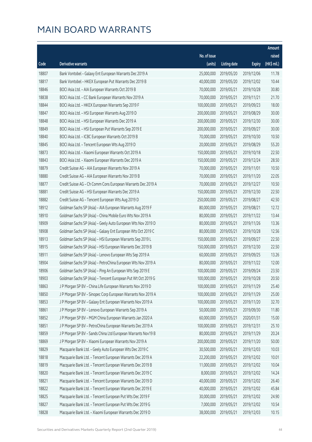|       |                                                              |                        |                     |               | Amount      |
|-------|--------------------------------------------------------------|------------------------|---------------------|---------------|-------------|
|       |                                                              | No. of issue           |                     |               | raised      |
| Code  | Derivative warrants                                          | (units)                | <b>Listing date</b> | <b>Expiry</b> | (HK\$ mil.) |
| 18807 | Bank Vontobel - Galaxy Ent European Warrants Dec 2019 A      | 25,000,000             | 2019/05/20          | 2019/12/06    | 11.78       |
| 18817 | Bank Vontobel - HKEX European Put Warrants Dec 2019 B        | 40,000,000             | 2019/05/20          | 2019/12/02    | 10.44       |
| 18846 | BOCI Asia Ltd. - AIA European Warrants Oct 2019 B            | 70,000,000             | 2019/05/21          | 2019/10/28    | 30.80       |
| 18838 | BOCI Asia Ltd. - CC Bank European Warrants Nov 2019 A        | 70,000,000             | 2019/05/21          | 2019/11/21    | 21.70       |
| 18844 | BOCI Asia Ltd. - HKEX European Warrants Sep 2019 F           | 100,000,000            | 2019/05/21          | 2019/09/23    | 18.00       |
| 18847 | BOCI Asia Ltd. - HSI European Warrants Aug 2019 D            | 200,000,000            | 2019/05/21          | 2019/08/29    | 30.00       |
| 18848 | BOCI Asia Ltd. - HSI European Warrants Dec 2019 A            | 200,000,000            | 2019/05/21          | 2019/12/30    | 30.00       |
| 18849 | BOCI Asia Ltd. - HSI European Put Warrants Sep 2019 E        | 200,000,000            | 2019/05/21          | 2019/09/27    | 30.00       |
| 18840 | BOCI Asia Ltd. - ICBC European Warrants Oct 2019 B           | 70,000,000             | 2019/05/21          | 2019/10/30    | 10.50       |
| 18845 | BOCI Asia Ltd. - Tencent European Wts Aug 2019 D             | 20,000,000             | 2019/05/21          | 2019/08/29    | 55.20       |
| 18873 | BOCI Asia Ltd. - Xiaomi European Warrants Oct 2019 A         | 150,000,000            | 2019/05/21          | 2019/10/18    | 22.50       |
| 18843 | BOCI Asia Ltd. - Xiaomi European Warrants Dec 2019 A         | 150,000,000            | 2019/05/21          | 2019/12/24    | 28.50       |
| 18879 | Credit Suisse AG - AIA European Warrants Nov 2019 A          | 70,000,000             | 2019/05/21          | 2019/11/01    | 10.50       |
| 18880 | Credit Suisse AG - AIA European Warrants Nov 2019 B          | 70,000,000             | 2019/05/21          | 2019/11/20    | 22.05       |
| 18877 | Credit Suisse AG - Ch Comm Cons European Warrants Dec 2019 A | 70,000,000             | 2019/05/21          | 2019/12/27    | 10.50       |
| 18881 | Credit Suisse AG - HSI European Warrants Dec 2019 A          | 150,000,000            | 2019/05/21          | 2019/12/30    | 22.50       |
| 18882 | Credit Suisse AG - Tencent European Wts Aug 2019 D           | 250,000,000            | 2019/05/21          | 2019/08/27    | 42.50       |
| 18912 | Goldman Sachs SP (Asia) - AIA European Warrants Aug 2019 F   | 80,000,000             | 2019/05/21          | 2019/08/21    | 12.72       |
| 18910 | Goldman Sachs SP (Asia) - China Mobile Euro Wts Nov 2019 A   | 80,000,000             | 2019/05/21          | 2019/11/22    | 13.44       |
| 18909 | Goldman Sachs SP (Asia) - Geely Auto European Wts Nov 2019 D | 80,000,000             | 2019/05/21          | 2019/11/26    | 13.36       |
| 18908 | Goldman Sachs SP (Asia) - Galaxy Ent European Wts Oct 2019 C | 80,000,000             | 2019/05/21          | 2019/10/28    | 12.56       |
| 18913 | Goldman Sachs SP (Asia) - HSI European Warrants Sep 2019 L   | 150,000,000            | 2019/05/21          | 2019/09/27    | 22.50       |
| 18915 | Goldman Sachs SP (Asia) - HSI European Warrants Dec 2019 B   | 150,000,000            | 2019/05/21          | 2019/12/30    | 22.50       |
| 18911 | Goldman Sachs SP (Asia) - Lenovo European Wts Sep 2019 A     | 60,000,000             | 2019/05/21          | 2019/09/25    | 13.26       |
| 18904 | Goldman Sachs SP (Asia) - PetroChina European Wts Nov 2019 A | 80,000,000             | 2019/05/21          | 2019/11/22    | 12.00       |
| 18906 | Goldman Sachs SP (Asia) - Ping An European Wts Sep 2019 E    | 100,000,000            | 2019/05/21          | 2019/09/24    | 23.50       |
| 18903 | Goldman Sachs SP (Asia) - Tencent European Put Wt Oct 2019 G | 100,000,000 2019/05/21 |                     | 2019/10/28    | 20.50       |
| 18863 | J P Morgan SP BV - China Life European Warrants Nov 2019 D   | 100,000,000            | 2019/05/21          | 2019/11/29    | 25.40       |
| 18850 | J P Morgan SP BV - Sinopec Corp European Warrants Nov 2019 A | 100,000,000            | 2019/05/21          | 2019/11/29    | 25.00       |
| 18853 | J P Morgan SP BV - Galaxy Ent European Warrants Nov 2019 A   | 100,000,000            | 2019/05/21          | 2019/11/20    | 32.70       |
| 18861 | J P Morgan SP BV - Lenovo European Warrants Sep 2019 A       | 50,000,000             | 2019/05/21          | 2019/09/30    | 11.80       |
| 18852 | J P Morgan SP BV - MGM China European Warrants Jan 2020 A    | 60,000,000             | 2019/05/21          | 2020/01/31    | 15.00       |
| 18851 | J P Morgan SP BV - PetroChina European Warrants Dec 2019 A   | 100,000,000            | 2019/05/21          | 2019/12/31    | 25.10       |
| 18859 | J P Morgan SP BV - Sands China Ltd European Warrants Nov19 B | 80,000,000             | 2019/05/21          | 2019/11/29    | 20.24       |
| 18869 | J P Morgan SP BV - Xiaomi European Warrants Nov 2019 A       | 200,000,000            | 2019/05/21          | 2019/11/20    | 50.00       |
| 18829 | Macquarie Bank Ltd. - Geely Auto European Wts Dec 2019 C     | 30,500,000             | 2019/05/21          | 2019/12/03    | 10.03       |
| 18818 | Macquarie Bank Ltd. - Tencent European Warrants Dec 2019 A   | 22,200,000             | 2019/05/21          | 2019/12/02    | 10.01       |
| 18819 | Macquarie Bank Ltd. - Tencent European Warrants Dec 2019 B   | 11,000,000             | 2019/05/21          | 2019/12/02    | 10.04       |
| 18820 | Macquarie Bank Ltd. - Tencent European Warrants Dec 2019 C   | 8,000,000              | 2019/05/21          | 2019/12/02    | 14.24       |
| 18821 | Macquarie Bank Ltd. - Tencent European Warrants Dec 2019 D   | 40,000,000             | 2019/05/21          | 2019/12/02    | 26.40       |
| 18822 | Macquarie Bank Ltd. - Tencent European Warrants Dec 2019 E   | 40,000,000             | 2019/05/21          | 2019/12/02    | 45.84       |
| 18825 | Macquarie Bank Ltd. - Tencent European Put Wts Dec 2019 F    | 30,000,000             | 2019/05/21          | 2019/12/02    | 24.90       |
| 18827 | Macquarie Bank Ltd. - Tencent European Put Wts Dec 2019 G    | 7,000,000              | 2019/05/21          | 2019/12/02    | 10.54       |
| 18828 | Macquarie Bank Ltd. - Xiaomi European Warrants Dec 2019 D    | 38,000,000             | 2019/05/21          | 2019/12/03    | 10.15       |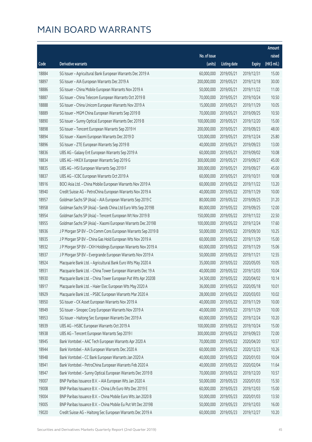|       |                                                              |              |                       |               | Amount      |
|-------|--------------------------------------------------------------|--------------|-----------------------|---------------|-------------|
|       |                                                              | No. of issue |                       |               | raised      |
| Code  | <b>Derivative warrants</b>                                   | (units)      | <b>Listing date</b>   | <b>Expiry</b> | (HK\$ mil.) |
| 18884 | SG Issuer - Agricultural Bank European Warrants Dec 2019 A   | 60,000,000   | 2019/05/21            | 2019/12/31    | 15.00       |
| 18897 | SG Issuer - AIA European Warrants Dec 2019 A                 | 200,000,000  | 2019/05/21            | 2019/12/18    | 30.00       |
| 18886 | SG Issuer - China Mobile European Warrants Nov 2019 A        | 50,000,000   | 2019/05/21            | 2019/11/22    | 11.00       |
| 18887 | SG Issuer - China Telecom European Warrants Oct 2019 B       | 70,000,000   | 2019/05/21            | 2019/10/24    | 10.50       |
| 18888 | SG Issuer - China Unicom European Warrants Nov 2019 A        | 15,000,000   | 2019/05/21            | 2019/11/29    | 10.05       |
| 18889 | SG Issuer - MGM China European Warrants Sep 2019 B           | 70,000,000   | 2019/05/21            | 2019/09/25    | 10.50       |
| 18890 | SG Issuer - Sunny Optical European Warrants Dec 2019 B       | 100,000,000  | 2019/05/21            | 2019/12/20    | 15.00       |
| 18898 | SG Issuer - Tencent European Warrants Sep 2019 H             | 200,000,000  | 2019/05/21            | 2019/09/23    | 48.00       |
| 18894 | SG Issuer - Xiaomi European Warrants Dec 2019 D              | 120,000,000  | 2019/05/21            | 2019/12/24    | 25.80       |
| 18896 | SG Issuer - ZTE European Warrants Sep 2019 B                 | 40,000,000   | 2019/05/21            | 2019/09/23    | 13.00       |
| 18836 | UBS AG - Galaxy Ent European Warrants Sep 2019 A             | 60,000,000   | 2019/05/21            | 2019/09/02    | 10.08       |
| 18834 | UBS AG - HKEX European Warrants Sep 2019 G                   | 300,000,000  | 2019/05/21            | 2019/09/27    | 45.00       |
| 18835 | UBS AG - HSI European Warrants Sep 2019 F                    | 300,000,000  | 2019/05/21            | 2019/09/27    | 45.00       |
| 18837 | UBS AG - ICBC European Warrants Oct 2019 A                   | 60,000,000   | 2019/05/21            | 2019/10/31    | 10.08       |
| 18916 | BOCI Asia Ltd. - China Mobile European Warrants Nov 2019 A   | 60,000,000   | 2019/05/22            | 2019/11/22    | 13.20       |
| 18940 | Credit Suisse AG - PetroChina European Warrants Nov 2019 A   | 40,000,000   | 2019/05/22            | 2019/11/29    | 10.00       |
| 18957 | Goldman Sachs SP (Asia) - AIA European Warrants Sep 2019 C   | 80,000,000   | 2019/05/22            | 2019/09/25    | 31.20       |
| 18958 | Goldman Sachs SP (Asia) - Sands China Ltd Euro Wts Sep 2019B | 80,000,000   | 2019/05/22            | 2019/09/25    | 12.00       |
| 18954 | Goldman Sachs SP (Asia) - Tencent European Wt Nov 2019 B     | 150,000,000  | 2019/05/22            | 2019/11/22    | 22.50       |
| 18955 | Goldman Sachs SP (Asia) - Xiaomi European Warrants Dec 2019B | 100,000,000  | 2019/05/22            | 2019/12/24    | 17.60       |
| 18936 | J P Morgan SP BV - Ch Comm Cons European Warrants Sep 2019 B | 50,000,000   | 2019/05/22            | 2019/09/30    | 10.25       |
| 18935 | J P Morgan SP BV - China Gas Hold European Wts Nov 2019 A    | 60,000,000   | 2019/05/22            | 2019/11/29    | 15.00       |
| 18932 | J P Morgan SP BV - CKH Holdings European Warrants Nov 2019 A | 60,000,000   | 2019/05/22            | 2019/11/29    | 15.06       |
| 18937 | J P Morgan SP BV - Evergrande European Warrants Nov 2019 A   | 50,000,000   | 2019/05/22            | 2019/11/21    | 12.55       |
| 18924 | Macquarie Bank Ltd. - Agricultural Bank Euro Wts May 2020 A  | 35,000,000   | 2019/05/22            | 2020/05/05    | 10.05       |
| 18931 | Macquarie Bank Ltd. - China Tower European Warrants Dec 19 A | 40,000,000   | 2019/05/22            | 2019/12/03    | 10.04       |
| 18930 | Macquarie Bank Ltd. - China Tower European Put Wts Apr 2020B |              | 34,500,000 2019/05/22 | 2020/04/02    | 10.14       |
| 18917 | Macquarie Bank Ltd. - Haier Elec European Wts May 2020 A     | 36,000,000   | 2019/05/22            | 2020/05/18    | 10.01       |
| 18929 | Macquarie Bank Ltd. - PSBC European Warrants Mar 2020 A      | 28,000,000   | 2019/05/22            | 2020/03/03    | 10.02       |
| 18950 | SG Issuer - CK Asset European Warrants Nov 2019 A            | 40,000,000   | 2019/05/22            | 2019/11/29    | 10.00       |
| 18949 | SG Issuer - Sinopec Corp European Warrants Nov 2019 A        | 40,000,000   | 2019/05/22            | 2019/11/29    | 10.00       |
| 18953 | SG Issuer - Haitong Sec European Warrants Dec 2019 A         | 60,000,000   | 2019/05/22            | 2019/12/24    | 10.20       |
| 18939 | UBS AG - HSBC European Warrants Oct 2019 A                   | 100,000,000  | 2019/05/22            | 2019/10/24    | 15.00       |
| 18938 | UBS AG - Tencent European Warrants Sep 2019 I                | 300,000,000  | 2019/05/22            | 2019/09/23    | 72.00       |
| 18945 | Bank Vontobel - AAC Tech European Warrants Apr 2020 A        | 70,000,000   | 2019/05/22            | 2020/04/20    | 10.57       |
| 18944 | Bank Vontobel - AIA European Warrants Dec 2020 A             | 60,000,000   | 2019/05/22            | 2020/12/23    | 10.26       |
| 18948 | Bank Vontobel - CC Bank European Warrants Jan 2020 A         | 40,000,000   | 2019/05/22            | 2020/01/03    | 10.04       |
| 18941 | Bank Vontobel - PetroChina European Warrants Feb 2020 A      | 40,000,000   | 2019/05/22            | 2020/02/04    | 11.64       |
| 18947 | Bank Vontobel - Sunny Optical European Warrants Dec 2019 B   | 70,000,000   | 2019/05/22            | 2019/12/20    | 10.57       |
| 19007 | BNP Paribas Issuance B.V. - AIA European Wts Jan 2020 A      | 50,000,000   | 2019/05/23            | 2020/01/03    | 15.50       |
| 19008 | BNP Paribas Issuance B.V. - China Life Euro Wts Dec 2019 E   | 60,000,000   | 2019/05/23            | 2019/12/03    | 15.00       |
| 19004 | BNP Paribas Issuance B.V. - China Mobile Euro Wts Jan 2020 B | 50,000,000   | 2019/05/23            | 2020/01/03    | 13.50       |
| 19005 | BNP Paribas Issuance B.V. - China Mobile Eu Put Wt Dec 2019B | 50,000,000   | 2019/05/23            | 2019/12/03    | 16.00       |
| 19020 | Credit Suisse AG - Haitong Sec European Warrants Dec 2019 A  | 60,000,000   | 2019/05/23            | 2019/12/27    | 10.20       |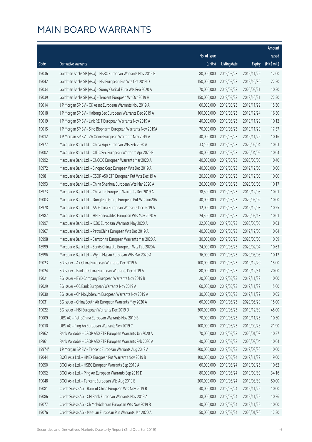|        |                                                              |              |                       |               | Amount      |
|--------|--------------------------------------------------------------|--------------|-----------------------|---------------|-------------|
|        |                                                              | No. of issue |                       |               | raised      |
| Code   | Derivative warrants                                          | (units)      | <b>Listing date</b>   | <b>Expiry</b> | (HK\$ mil.) |
| 19036  | Goldman Sachs SP (Asia) - HSBC European Warrants Nov 2019 B  | 80,000,000   | 2019/05/23            | 2019/11/22    | 12.00       |
| 19042  | Goldman Sachs SP (Asia) - HSI European Put Wts Oct 2019 D    | 150,000,000  | 2019/05/23            | 2019/10/30    | 22.50       |
| 19034  | Goldman Sachs SP (Asia) - Sunny Optical Euro Wts Feb 2020 A  | 70,000,000   | 2019/05/23            | 2020/02/21    | 10.50       |
| 19039  | Goldman Sachs SP (Asia) - Tencent European Wt Oct 2019 H     | 150,000,000  | 2019/05/23            | 2019/10/21    | 22.50       |
| 19014  | J P Morgan SP BV - CK Asset European Warrants Nov 2019 A     | 60,000,000   | 2019/05/23            | 2019/11/29    | 15.30       |
| 19018  | J P Morgan SP BV - Haitong Sec European Warrants Dec 2019 A  | 100,000,000  | 2019/05/23            | 2019/12/24    | 16.50       |
| 19019  | J P Morgan SP BV - Link REIT European Warrants Nov 2019 A    | 40,000,000   | 2019/05/23            | 2019/11/29    | 10.12       |
| 19015  | J P Morgan SP BV - Sino Biopharm European Warrants Nov 2019A | 70,000,000   | 2019/05/23            | 2019/11/29    | 17.57       |
| 19012  | J P Morgan SP BV - ZA Onine European Warrants Nov 2019 A     | 40,000,000   | 2019/05/23            | 2019/11/29    | 10.16       |
| 18977  | Macquarie Bank Ltd. - China Agri European Wts Feb 2020 A     | 33,100,000   | 2019/05/23            | 2020/02/04    | 10.03       |
| 19002  | Macquarie Bank Ltd. - CITIC Sec European Warrants Apr 2020 B | 40,000,000   | 2019/05/23            | 2020/04/02    | 10.04       |
| 18992  | Macquarie Bank Ltd. - CNOOC European Warrants Mar 2020 A     | 40,000,000   | 2019/05/23            | 2020/03/03    | 10.40       |
| 18972  | Macquarie Bank Ltd. - Sinopec Corp European Wts Dec 2019 A   | 40,000,000   | 2019/05/23            | 2019/12/03    | 10.00       |
| 18981  | Macquarie Bank Ltd. - CSOP A50 ETF European Put Wts Dec 19 A | 20,800,000   | 2019/05/23            | 2019/12/03    | 10.00       |
| 18993  | Macquarie Bank Ltd. - China Shenhua European Wts Mar 2020 A  | 26,000,000   | 2019/05/23            | 2020/03/03    | 10.17       |
| 18973  | Macquarie Bank Ltd. - China Tel European Warrants Dec 2019 A | 38,500,000   | 2019/05/23            | 2019/12/03    | 10.01       |
| 19003  | Macquarie Bank Ltd. - Dongfeng Group European Put Wts Jun20A | 40,000,000   | 2019/05/23            | 2020/06/02    | 10.00       |
| 18978  | Macquarie Bank Ltd. - A50 China European Warrants Dec 2019 A | 12,000,000   | 2019/05/23            | 2019/12/03    | 10.25       |
| 18987  | Macquarie Bank Ltd. - HN Renewables European Wts May 2020 A  | 24,300,000   | 2019/05/23            | 2020/05/18    | 10.01       |
| 18997  | Macquarie Bank Ltd. - ICBC European Warrants May 2020 A      | 22,000,000   | 2019/05/23            | 2020/05/05    | 10.03       |
| 18967  | Macquarie Bank Ltd. - PetroChina European Wts Dec 2019 A     | 40,000,000   | 2019/05/23            | 2019/12/03    | 10.04       |
| 18998  | Macquarie Bank Ltd. - Samsonite European Warrants Mar 2020 A | 30,000,000   | 2019/05/23            | 2020/03/03    | 10.59       |
| 18999  | Macquarie Bank Ltd. - Sands China Ltd European Wts Feb 2020A | 24,000,000   | 2019/05/23            | 2020/02/04    | 10.63       |
| 18996  | Macquarie Bank Ltd. - Wynn Macau European Wts Mar 2020 A     | 36,000,000   | 2019/05/23            | 2020/03/03    | 10.12       |
| 19023  | SG Issuer - Air China European Warrants Dec 2019 A           | 100,000,000  | 2019/05/23            | 2019/12/20    | 15.00       |
| 19024  | SG Issuer - Bank of China European Warrants Dec 2019 A       | 80,000,000   | 2019/05/23            | 2019/12/31    | 20.00       |
| 19021  | SG Issuer - BYD Company European Warrants Nov 2019 B         |              | 20,000,000 2019/05/23 | 2019/11/29    | 10.00       |
| 19029  | SG Issuer - CC Bank European Warrants Nov 2019 A             | 60,000,000   | 2019/05/23            | 2019/11/29    | 15.00       |
| 19030  | SG Issuer - Ch Molybdenum European Warrants Nov 2019 A       | 30,000,000   | 2019/05/23            | 2019/11/22    | 10.05       |
| 19031  | SG Issuer - China South Air European Warrants May 2020 A     | 60,000,000   | 2019/05/23            | 2020/05/29    | 15.00       |
| 19022  | SG Issuer - HSI European Warrants Dec 2019 D                 | 300,000,000  | 2019/05/23            | 2019/12/30    | 45.00       |
| 19009  | UBS AG - PetroChina European Warrants Nov 2019 B             | 70,000,000   | 2019/05/23            | 2019/11/25    | 10.50       |
| 19010  | UBS AG - Ping An European Warrants Sep 2019 C                | 100,000,000  | 2019/05/23            | 2019/09/23    | 21.90       |
| 18962  | Bank Vontobel - CSOP A50 ETF European Warrants Jan 2020 A    | 70,000,000   | 2019/05/23            | 2020/01/08    | 10.57       |
| 18961  | Bank Vontobel - CSOP A50 ETF European Warrants Feb 2020 A    | 40,000,000   | 2019/05/23            | 2020/02/04    | 10.04       |
| 19974# | J P Morgan SP BV - Tencent European Warrants Aug 2019 A      | 200,000,000  | 2019/05/23            | 2019/08/30    | 10.00       |
| 19044  | BOCI Asia Ltd. - HKEX European Put Warrants Nov 2019 B       | 100,000,000  | 2019/05/24            | 2019/11/29    | 19.00       |
| 19050  | BOCI Asia Ltd. - HSBC European Warrants Sep 2019 A           | 60,000,000   | 2019/05/24            | 2019/09/25    | 10.62       |
| 19052  | BOCI Asia Ltd. - Ping An European Warrants Sep 2019 D        | 80,000,000   | 2019/05/24            | 2019/09/30    | 34.16       |
| 19048  | BOCI Asia Ltd. - Tencent European Wts Aug 2019 E             | 200,000,000  | 2019/05/24            | 2019/08/30    | 50.00       |
| 19081  | Credit Suisse AG - Bank of China European Wts Nov 2019 B     | 40,000,000   | 2019/05/24            | 2019/11/29    | 10.00       |
| 19086  | Credit Suisse AG - CM Bank European Warrants Nov 2019 A      | 38,000,000   | 2019/05/24            | 2019/11/25    | 10.26       |
| 19077  | Credit Suisse AG - Ch Molybdenum European Wts Nov 2019 B     | 40,000,000   | 2019/05/24            | 2019/11/25    | 10.00       |
| 19076  | Credit Suisse AG - Meituan European Put Warrants Jan 2020 A  | 50,000,000   | 2019/05/24            | 2020/01/30    | 12.50       |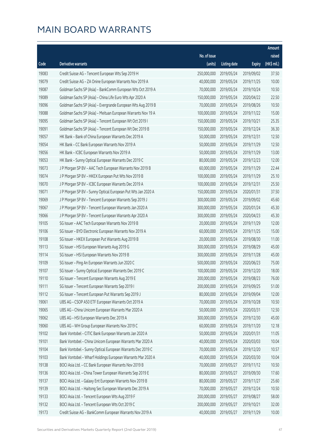|       |                                                              |                        |                     |               | Amount      |
|-------|--------------------------------------------------------------|------------------------|---------------------|---------------|-------------|
|       |                                                              | No. of issue           |                     |               | raised      |
| Code  | Derivative warrants                                          | (units)                | <b>Listing date</b> | <b>Expiry</b> | (HK\$ mil.) |
| 19083 | Credit Suisse AG - Tencent European Wts Sep 2019 H           | 250,000,000            | 2019/05/24          | 2019/09/02    | 37.50       |
| 19079 | Credit Suisse AG - ZA Onine European Warrants Nov 2019 A     | 40,000,000             | 2019/05/24          | 2019/11/25    | 10.00       |
| 19087 | Goldman Sachs SP (Asia) - BankComm European Wts Oct 2019 A   | 70,000,000             | 2019/05/24          | 2019/10/24    | 10.50       |
| 19089 | Goldman Sachs SP (Asia) - China Life Euro Wts Apr 2020 A     | 150,000,000            | 2019/05/24          | 2020/04/22    | 22.50       |
| 19096 | Goldman Sachs SP (Asia) - Evergrande European Wts Aug 2019 B | 70,000,000             | 2019/05/24          | 2019/08/26    | 10.50       |
| 19088 | Goldman Sachs SP (Asia) - Meituan European Warrants Nov 19 A | 100,000,000            | 2019/05/24          | 2019/11/22    | 15.00       |
| 19095 | Goldman Sachs SP (Asia) - Tencent European Wt Oct 2019 I     | 150,000,000            | 2019/05/24          | 2019/10/21    | 25.35       |
| 19091 | Goldman Sachs SP (Asia) - Tencent European Wt Dec 2019 B     | 150,000,000            | 2019/05/24          | 2019/12/24    | 36.30       |
| 19057 | HK Bank - Bank of China European Warrants Dec 2019 A         | 50,000,000             | 2019/05/24          | 2019/12/31    | 12.50       |
| 19054 | HK Bank - CC Bank European Warrants Nov 2019 A               | 50,000,000             | 2019/05/24          | 2019/11/29    | 12.50       |
| 19056 | HK Bank - ICBC European Warrants Nov 2019 A                  | 50,000,000             | 2019/05/24          | 2019/11/29    | 13.00       |
| 19053 | HK Bank - Sunny Optical European Warrants Dec 2019 C         | 80,000,000             | 2019/05/24          | 2019/12/23    | 12.00       |
| 19073 | J P Morgan SP BV - AAC Tech European Warrants Nov 2019 B     | 60,000,000             | 2019/05/24          | 2019/11/29    | 22.44       |
| 19074 | J P Morgan SP BV - HKEX European Put Wts Nov 2019 B          | 100,000,000            | 2019/05/24          | 2019/11/29    | 25.10       |
| 19070 | J P Morgan SP BV - ICBC European Warrants Dec 2019 A         | 100,000,000            | 2019/05/24          | 2019/12/31    | 25.50       |
| 19071 | J P Morgan SP BV - Sunny Optical European Put Wts Jan 2020 A | 150,000,000            | 2019/05/24          | 2020/01/31    | 37.50       |
| 19069 | J P Morgan SP BV - Tencent European Warrants Sep 2019 J      | 300,000,000            | 2019/05/24          | 2019/09/02    | 45.60       |
| 19067 | J P Morgan SP BV - Tencent European Warrants Jan 2020 A      | 300,000,000            | 2019/05/24          | 2020/01/24    | 45.30       |
| 19066 | J P Morgan SP BV - Tencent European Warrants Apr 2020 A      | 300,000,000            | 2019/05/24          | 2020/04/23    | 45.30       |
| 19105 | SG Issuer - AAC Tech European Warrants Nov 2019 B            | 20,000,000             | 2019/05/24          | 2019/11/29    | 12.00       |
| 19106 | SG Issuer - BYD Electronic European Warrants Nov 2019 A      | 60,000,000             | 2019/05/24          | 2019/11/25    | 15.00       |
| 19108 | SG Issuer - HKEX European Put Warrants Aug 2019 B            | 20,000,000             | 2019/05/24          | 2019/08/30    | 11.00       |
| 19113 | SG Issuer - HSI European Warrants Aug 2019 G                 | 300,000,000            | 2019/05/24          | 2019/08/29    | 45.00       |
| 19114 | SG Issuer - HSI European Warrants Nov 2019 B                 | 300,000,000            | 2019/05/24          | 2019/11/28    | 45.00       |
| 19109 | SG Issuer - Ping An European Warrants Jun 2020 C             | 500,000,000            | 2019/05/24          | 2020/06/23    | 75.00       |
| 19107 | SG Issuer - Sunny Optical European Warrants Dec 2019 C       | 100,000,000            | 2019/05/24          | 2019/12/20    | 18.00       |
| 19110 | SG Issuer - Tencent European Warrants Aug 2019 E             | 200,000,000 2019/05/24 |                     | 2019/08/23    | 76.00       |
| 19111 | SG Issuer - Tencent European Warrants Sep 2019 I             | 200,000,000            | 2019/05/24          | 2019/09/25    | 51.00       |
| 19112 | SG Issuer - Tencent European Put Warrants Sep 2019 J         | 80,000,000             | 2019/05/24          | 2019/09/04    | 12.00       |
| 19061 | UBS AG - CSOP A50 ETF European Warrants Oct 2019 A           | 70,000,000             | 2019/05/24          | 2019/10/28    | 10.50       |
| 19065 | UBS AG - China Unicom European Warrants Mar 2020 A           | 50,000,000             | 2019/05/24          | 2020/03/31    | 12.50       |
| 19062 | UBS AG - HSI European Warrants Dec 2019 A                    | 300,000,000            | 2019/05/24          | 2019/12/30    | 45.00       |
| 19060 | UBS AG - WH Group European Warrants Nov 2019 C               | 60,000,000             | 2019/05/24          | 2019/11/20    | 12.18       |
| 19102 | Bank Vontobel - CITIC Bank European Warrants Jan 2020 A      | 50,000,000             | 2019/05/24          | 2020/01/31    | 11.05       |
| 19101 | Bank Vontobel - China Unicom European Warrants Mar 2020 A    | 40,000,000             | 2019/05/24          | 2020/03/03    | 10.04       |
| 19104 | Bank Vontobel - Sunny Optical European Warrants Dec 2019 C   | 70,000,000             | 2019/05/24          | 2019/12/20    | 10.57       |
| 19103 | Bank Vontobel - Wharf Holdings European Warrants Mar 2020 A  | 40,000,000             | 2019/05/24          | 2020/03/30    | 10.04       |
| 19138 | BOCI Asia Ltd. - CC Bank European Warrants Nov 2019 B        | 70,000,000             | 2019/05/27          | 2019/11/12    | 10.50       |
| 19136 | BOCI Asia Ltd. - China Tower European Warrants Sep 2019 E    | 80,000,000             | 2019/05/27          | 2019/09/30    | 17.60       |
| 19137 | BOCI Asia Ltd. - Galaxy Ent European Warrants Nov 2019 B     | 80,000,000             | 2019/05/27          | 2019/11/27    | 25.60       |
| 19139 | BOCI Asia Ltd. - Haitong Sec European Warrants Dec 2019 A    | 70,000,000             | 2019/05/27          | 2019/12/24    | 10.50       |
| 19133 | BOCI Asia Ltd. - Tencent European Wts Aug 2019 F             | 200,000,000            | 2019/05/27          | 2019/08/27    | 58.00       |
| 19132 | BOCI Asia Ltd. - Tencent European Wts Oct 2019 C             | 200,000,000            | 2019/05/27          | 2019/10/21    | 32.00       |
| 19173 | Credit Suisse AG - BankComm European Warrants Nov 2019 A     | 40,000,000             | 2019/05/27          | 2019/11/29    | 10.00       |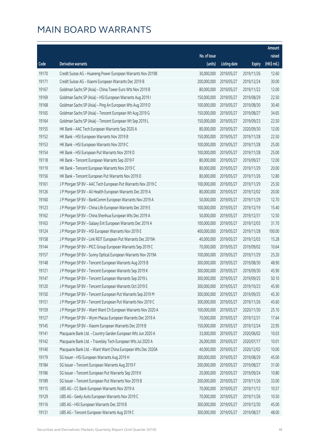|       |                                                              |                        |                     |               | Amount      |
|-------|--------------------------------------------------------------|------------------------|---------------------|---------------|-------------|
|       |                                                              | No. of issue           |                     |               | raised      |
| Code  | Derivative warrants                                          | (units)                | <b>Listing date</b> | <b>Expiry</b> | (HK\$ mil.) |
| 19170 | Credit Suisse AG - Huaneng Power European Warrants Nov 2019B | 30,000,000             | 2019/05/27          | 2019/11/26    | 12.60       |
| 19171 | Credit Suisse AG - Xiaomi European Warrants Dec 2019 B       | 200,000,000            | 2019/05/27          | 2019/12/24    | 30.00       |
| 19167 | Goldman Sachs SP (Asia) - China Tower Euro Wts Nov 2019 B    | 80,000,000             | 2019/05/27          | 2019/11/22    | 12.00       |
| 19169 | Goldman Sachs SP (Asia) - HSI European Warrants Aug 2019 I   | 150,000,000            | 2019/05/27          | 2019/08/29    | 22.50       |
| 19168 | Goldman Sachs SP (Asia) - Ping An European Wts Aug 2019 D    | 100,000,000            | 2019/05/27          | 2019/08/30    | 30.40       |
| 19165 | Goldman Sachs SP (Asia) - Tencent European Wt Aug 2019 G     | 150,000,000            | 2019/05/27          | 2019/08/27    | 34.65       |
| 19164 | Goldman Sachs SP (Asia) - Tencent European Wt Sep 2019 L     | 150,000,000            | 2019/05/27          | 2019/09/23    | 22.50       |
| 19155 | HK Bank - AAC Tech European Warrants Sep 2020 A              | 80,000,000             | 2019/05/27          | 2020/09/30    | 12.00       |
| 19152 | HK Bank - HSI European Warrants Nov 2019 B                   | 150,000,000            | 2019/05/27          | 2019/11/28    | 22.50       |
| 19153 | HK Bank - HSI European Warrants Nov 2019 C                   | 100,000,000            | 2019/05/27          | 2019/11/28    | 25.00       |
| 19154 | HK Bank - HSI European Put Warrants Nov 2019 D               | 100,000,000            | 2019/05/27          | 2019/11/28    | 25.00       |
| 19118 | HK Bank - Tencent European Warrants Sep 2019 F               | 80,000,000             | 2019/05/27          | 2019/09/27    | 12.00       |
| 19119 | HK Bank - Tencent European Warrants Nov 2019 C               | 80,000,000             | 2019/05/27          | 2019/11/29    | 20.00       |
| 19156 | HK Bank - Tencent European Put Warrants Nov 2019 D           | 80,000,000             | 2019/05/27          | 2019/11/26    | 12.80       |
| 19161 | J P Morgan SP BV - AAC Tech European Put Warrants Nov 2019 C | 100,000,000            | 2019/05/27          | 2019/11/29    | 25.50       |
| 19126 | J P Morgan SP BV - Ali Health European Warrants Dec 2019 A   | 80,000,000             | 2019/05/27          | 2019/12/02    | 20.00       |
| 19160 | J P Morgan SP BV - BankComm European Warrants Nov 2019 A     | 50,000,000             | 2019/05/27          | 2019/11/29    | 12.70       |
| 19123 | J P Morgan SP BV - China Life European Warrants Dec 2019 E   | 100,000,000            | 2019/05/27          | 2019/12/19    | 15.40       |
| 19162 | J P Morgan SP BV - China Shenhua European Wts Dec 2019 A     | 50,000,000             | 2019/05/27          | 2019/12/31    | 12.50       |
| 19163 | J P Morgan SP BV - Galaxy Ent European Warrants Dec 2019 A   | 100,000,000            | 2019/05/27          | 2019/12/03    | 31.70       |
| 19124 | J P Morgan SP BV - HSI European Warrants Nov 2019 E          | 400,000,000            | 2019/05/27          | 2019/11/28    | 100.00      |
| 19158 | J P Morgan SP BV - Link REIT European Put Warrants Dec 2019A | 40,000,000             | 2019/05/27          | 2019/12/03    | 15.28       |
| 19144 | J P Morgan SP BV - PICC Group European Warrants Sep 2019 C   | 70,000,000             | 2019/05/27          | 2019/09/02    | 10.64       |
| 19157 | J P Morgan SP BV - Sunny Optical European Warrants Nov 2019A | 100,000,000            | 2019/05/27          | 2019/11/29    | 25.20       |
| 19148 | J P Morgan SP BV - Tencent European Warrants Aug 2019 B      | 300,000,000            | 2019/05/27          | 2019/08/30    | 48.90       |
| 19121 | J P Morgan SP BV - Tencent European Warrants Sep 2019 K      | 300,000,000            | 2019/05/27          | 2019/09/30    | 45.90       |
| 19147 | J P Morgan SP BV - Tencent European Warrants Sep 2019 L      | 300,000,000 2019/05/27 |                     | 2019/09/25    | 50.10       |
| 19120 | J P Morgan SP BV - Tencent European Warrants Oct 2019 E      | 300,000,000            | 2019/05/27          | 2019/10/23    | 45.90       |
| 19150 | J P Morgan SP BV - Tencent European Put Warrants Sep 2019 M  | 300,000,000            | 2019/05/27          | 2019/09/25    | 45.30       |
| 19151 | J P Morgan SP BV - Tencent European Put Warrants Nov 2019 C  | 300,000,000            | 2019/05/27          | 2019/11/26    | 45.60       |
| 19159 | J P Morgan SP BV - Want Want Ch European Warrants Nov 2020 A | 100,000,000            | 2019/05/27          | 2020/11/30    | 25.10       |
| 19127 | J P Morgan SP BV - Wynn Macau European Warrants Dec 2019 A   | 70,000,000             | 2019/05/27          | 2019/12/31    | 17.64       |
| 19145 | J P Morgan SP BV - Xiaomi European Warrants Dec 2019 B       | 150,000,000            | 2019/05/27          | 2019/12/24    | 22.95       |
| 19141 | Macquarie Bank Ltd. - Country Garden European Wts Jun 2020 A | 33,000,000             | 2019/05/27          | 2020/06/02    | 10.03       |
| 19142 | Macquarie Bank Ltd. - Travelsky Tech European Wts Jul 2020 A | 26,000,000             | 2019/05/27          | 2020/07/17    | 10.01       |
| 19140 | Macquarie Bank Ltd. - Want Want China European Wts Dec 2020A | 40,000,000             | 2019/05/27          | 2020/12/02    | 10.00       |
| 19179 | SG Issuer - HSI European Warrants Aug 2019 H                 | 300,000,000            | 2019/05/27          | 2019/08/29    | 45.00       |
| 19184 | SG Issuer - Tencent European Warrants Aug 2019 F             | 200,000,000            | 2019/05/27          | 2019/08/27    | 31.00       |
| 19186 | SG Issuer - Tencent European Put Warrants Sep 2019 K         | 20,000,000             | 2019/05/27          | 2019/09/24    | 10.80       |
| 19189 | SG Issuer - Tencent European Put Warrants Nov 2019 B         | 200,000,000            | 2019/05/27          | 2019/11/26    | 33.00       |
| 19115 | UBS AG - CC Bank European Warrants Nov 2019 A                | 70,000,000             | 2019/05/27          | 2019/11/12    | 10.57       |
| 19129 | UBS AG - Geely Auto European Warrants Nov 2019 C             | 70,000,000             | 2019/05/27          | 2019/11/26    | 10.50       |
| 19116 | UBS AG - HSI European Warrants Dec 2019 B                    | 300,000,000            | 2019/05/27          | 2019/12/30    | 45.00       |
| 19131 | UBS AG - Tencent European Warrants Aug 2019 C                | 300,000,000            | 2019/05/27          | 2019/08/27    | 48.00       |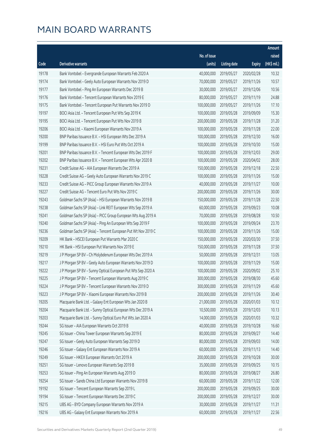|       |                                                              |                        |                     |               | Amount      |
|-------|--------------------------------------------------------------|------------------------|---------------------|---------------|-------------|
|       |                                                              | No. of issue           |                     |               | raised      |
| Code  | Derivative warrants                                          | (units)                | <b>Listing date</b> | <b>Expiry</b> | (HK\$ mil.) |
| 19178 | Bank Vontobel - Evergrande European Warrants Feb 2020 A      | 40,000,000             | 2019/05/27          | 2020/02/28    | 10.32       |
| 19174 | Bank Vontobel - Geely Auto European Warrants Nov 2019 D      | 70,000,000             | 2019/05/27          | 2019/11/26    | 10.57       |
| 19177 | Bank Vontobel - Ping An European Warrants Dec 2019 B         | 30,000,000             | 2019/05/27          | 2019/12/06    | 10.56       |
| 19176 | Bank Vontobel - Tencent European Warrants Nov 2019 E         | 80,000,000             | 2019/05/27          | 2019/11/19    | 24.88       |
| 19175 | Bank Vontobel - Tencent European Put Warrants Nov 2019 D     | 100,000,000            | 2019/05/27          | 2019/11/26    | 17.10       |
| 19197 | BOCI Asia Ltd. - Tencent European Put Wts Sep 2019 K         | 100,000,000            | 2019/05/28          | 2019/09/09    | 15.30       |
| 19195 | BOCI Asia Ltd. - Tencent European Put Wts Nov 2019 B         | 200,000,000            | 2019/05/28          | 2019/11/28    | 31.20       |
| 19206 | BOCI Asia Ltd. - Xiaomi European Warrants Nov 2019 A         | 100,000,000            | 2019/05/28          | 2019/11/28    | 22.00       |
| 19200 | BNP Paribas Issuance B.V. - HSI European Wts Dec 2019 A      | 100,000,000            | 2019/05/28          | 2019/12/30    | 16.00       |
| 19199 | BNP Paribas Issuance B.V. - HSI Euro Put Wts Oct 2019 A      | 100,000,000            | 2019/05/28          | 2019/10/30    | 15.00       |
| 19201 | BNP Paribas Issuance B.V. - Tencent European Wts Dec 2019 F  | 100,000,000            | 2019/05/28          | 2019/12/03    | 29.00       |
| 19202 | BNP Paribas Issuance B.V. - Tencent European Wts Apr 2020 B  | 100,000,000            | 2019/05/28          | 2020/04/02    | 28.00       |
| 19231 | Credit Suisse AG - AIA European Warrants Dec 2019 A          | 150,000,000            | 2019/05/28          | 2019/12/18    | 22.50       |
| 19228 | Credit Suisse AG - Geely Auto European Warrants Nov 2019 C   | 100,000,000            | 2019/05/28          | 2019/11/26    | 15.00       |
| 19233 | Credit Suisse AG - PICC Group European Warrants Nov 2019 A   | 40,000,000             | 2019/05/28          | 2019/11/27    | 10.00       |
| 19227 | Credit Suisse AG - Tencent Euro Put Wts Nov 2019 C           | 200,000,000            | 2019/05/28          | 2019/11/26    | 30.00       |
| 19243 | Goldman Sachs SP (Asia) - HSI European Warrants Nov 2019 B   | 150,000,000            | 2019/05/28          | 2019/11/28    | 22.50       |
| 19238 | Goldman Sachs SP (Asia) - Link REIT European Wts Sep 2019 A  | 60,000,000             | 2019/05/28          | 2019/09/23    | 10.08       |
| 19241 | Goldman Sachs SP (Asia) - PICC Group European Wts Aug 2019 A | 70,000,000             | 2019/05/28          | 2019/08/28    | 10.50       |
| 19240 | Goldman Sachs SP (Asia) - Ping An European Wts Sep 2019 F    | 100,000,000            | 2019/05/28          | 2019/09/24    | 23.70       |
| 19236 | Goldman Sachs SP (Asia) - Tencent European Put Wt Nov 2019 C | 100,000,000            | 2019/05/28          | 2019/11/26    | 15.00       |
| 19209 | HK Bank - HSCEI European Put Warrants Mar 2020 C             | 150,000,000            | 2019/05/28          | 2020/03/30    | 37.50       |
| 19210 | HK Bank - HSI European Put Warrants Nov 2019 E               | 150,000,000            | 2019/05/28          | 2019/11/28    | 37.50       |
| 19219 | J P Morgan SP BV - Ch Molybdenum European Wts Dec 2019 A     | 50,000,000             | 2019/05/28          | 2019/12/31    | 13.05       |
| 19217 | J P Morgan SP BV - Geely Auto European Warrants Nov 2019 D   | 100,000,000            | 2019/05/28          | 2019/11/29    | 15.00       |
| 19222 | J P Morgan SP BV - Sunny Optical European Put Wts Sep 2020 A | 100,000,000            | 2019/05/28          | 2020/09/02    | 25.10       |
| 19225 | J P Morgan SP BV - Tencent European Warrants Aug 2019 C      | 300,000,000 2019/05/28 |                     | 2019/08/30    | 45.60       |
| 19224 | J P Morgan SP BV - Tencent European Warrants Nov 2019 D      | 300,000,000            | 2019/05/28          | 2019/11/29    | 45.60       |
| 19223 | J P Morgan SP BV - Xiaomi European Warrants Nov 2019 B       | 200,000,000            | 2019/05/28          | 2019/11/26    | 30.40       |
| 19205 | Macquarie Bank Ltd. - Galaxy Ent European Wts Jan 2020 B     | 21,000,000             | 2019/05/28          | 2020/01/03    | 10.12       |
| 19204 | Macquarie Bank Ltd. - Sunny Optical European Wts Dec 2019 A  | 10,500,000             | 2019/05/28          | 2019/12/03    | 10.13       |
| 19203 | Macquarie Bank Ltd. - Sunny Optical Euro Put Wts Jan 2020 A  | 14,000,000             | 2019/05/28          | 2020/01/03    | 10.32       |
| 19244 | SG Issuer - AIA European Warrants Oct 2019 B                 | 40,000,000             | 2019/05/28          | 2019/10/28    | 16.60       |
| 19245 | SG Issuer - China Tower European Warrants Sep 2019 E         | 80,000,000             | 2019/05/28          | 2019/09/27    | 14.40       |
| 19247 | SG Issuer - Geely Auto European Warrants Sep 2019 D          | 80,000,000             | 2019/05/28          | 2019/09/03    | 14.00       |
| 19246 | SG Issuer - Galaxy Ent European Warrants Nov 2019 A          | 60,000,000             | 2019/05/28          | 2019/11/13    | 14.40       |
| 19249 | SG Issuer - HKEX European Warrants Oct 2019 A                | 200,000,000            | 2019/05/28          | 2019/10/28    | 30.00       |
| 19251 | SG Issuer - Lenovo European Warrants Sep 2019 B              | 35,000,000             | 2019/05/28          | 2019/09/25    | 10.15       |
| 19253 | SG Issuer - Ping An European Warrants Aug 2019 D             | 80,000,000             | 2019/05/28          | 2019/08/27    | 26.80       |
| 19254 | SG Issuer - Sands China Ltd European Warrants Nov 2019 B     | 60,000,000             | 2019/05/28          | 2019/11/22    | 12.00       |
| 19192 | SG Issuer - Tencent European Warrants Sep 2019 L             | 200,000,000            | 2019/05/28          | 2019/09/25    | 30.00       |
| 19194 | SG Issuer - Tencent European Warrants Dec 2019 C             | 200,000,000            | 2019/05/28          | 2019/12/27    | 30.00       |
| 19215 | UBS AG - BYD Company European Warrants Nov 2019 A            | 30,000,000             | 2019/05/28          | 2019/11/27    | 11.31       |
| 19216 | UBS AG - Galaxy Ent European Warrants Nov 2019 A             | 60,000,000             | 2019/05/28          | 2019/11/27    | 22.56       |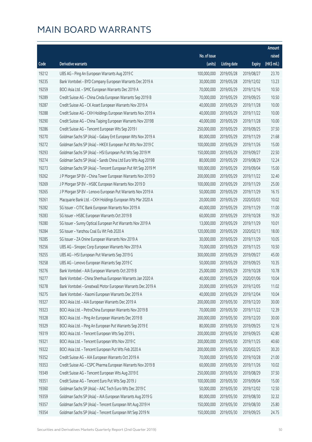|       |                                                              |              |                       |               | Amount      |
|-------|--------------------------------------------------------------|--------------|-----------------------|---------------|-------------|
|       |                                                              | No. of issue |                       |               | raised      |
| Code  | Derivative warrants                                          | (units)      | <b>Listing date</b>   | <b>Expiry</b> | (HK\$ mil.) |
| 19212 | UBS AG - Ping An European Warrants Aug 2019 C                | 100,000,000  | 2019/05/28            | 2019/08/27    | 23.70       |
| 19235 | Bank Vontobel - BYD Company European Warrants Dec 2019 A     | 30,000,000   | 2019/05/28            | 2019/12/02    | 13.23       |
| 19259 | BOCI Asia Ltd. - SMIC European Warrants Dec 2019 A           | 70,000,000   | 2019/05/29            | 2019/12/16    | 10.50       |
| 19289 | Credit Suisse AG - China Cinda European Warrants Sep 2019 B  | 70,000,000   | 2019/05/29            | 2019/09/25    | 10.50       |
| 19287 | Credit Suisse AG - CK Asset European Warrants Nov 2019 A     | 40,000,000   | 2019/05/29            | 2019/11/28    | 10.00       |
| 19288 | Credit Suisse AG - CKH Holdings European Warrants Nov 2019 A | 40,000,000   | 2019/05/29            | 2019/11/22    | 10.00       |
| 19290 | Credit Suisse AG - China Taiping European Warrants Nov 2019B | 40,000,000   | 2019/05/29            | 2019/11/28    | 10.00       |
| 19286 | Credit Suisse AG - Tencent European Wts Sep 2019 I           | 250,000,000  | 2019/05/29            | 2019/09/25    | 37.50       |
| 19270 | Goldman Sachs SP (Asia) - Galaxy Ent European Wts Nov 2019 A | 80,000,000   | 2019/05/29            | 2019/11/29    | 21.68       |
| 19272 | Goldman Sachs SP (Asia) - HKEX European Put Wts Nov 2019 C   | 100,000,000  | 2019/05/29            | 2019/11/26    | 15.00       |
| 19293 | Goldman Sachs SP (Asia) - HSI European Put Wts Sep 2019 M    | 150,000,000  | 2019/05/29            | 2019/09/27    | 22.50       |
| 19274 | Goldman Sachs SP (Asia) - Sands China Ltd Euro Wts Aug 2019B | 80,000,000   | 2019/05/29            | 2019/08/29    | 12.24       |
| 19273 | Goldman Sachs SP (Asia) - Tencent European Put Wt Sep 2019 M | 100,000,000  | 2019/05/29            | 2019/09/04    | 15.00       |
| 19262 | J P Morgan SP BV - China Tower European Warrants Nov 2019 D  | 200,000,000  | 2019/05/29            | 2019/11/22    | 32.40       |
| 19269 | J P Morgan SP BV - HSBC European Warrants Nov 2019 D         | 100,000,000  | 2019/05/29            | 2019/11/29    | 25.00       |
| 19265 | J P Morgan SP BV - Lenovo European Put Warrants Nov 2019 A   | 50,000,000   | 2019/05/29            | 2019/11/29    | 16.15       |
| 19261 | Macquarie Bank Ltd. - CKH Holdings European Wts Mar 2020 A   | 20,000,000   | 2019/05/29            | 2020/03/03    | 10.02       |
| 19282 | SG Issuer - CITIC Bank European Warrants Nov 2019 A          | 40,000,000   | 2019/05/29            | 2019/11/29    | 11.00       |
| 19283 | SG Issuer - HSBC European Warrants Oct 2019 B                | 60,000,000   | 2019/05/29            | 2019/10/28    | 19.20       |
| 19280 | SG Issuer - Sunny Optical European Put Warrants Nov 2019 A   | 13,000,000   | 2019/05/29            | 2019/11/29    | 10.01       |
| 19284 | SG Issuer - Yanzhou Coal Eu Wt Feb 2020 A                    | 120,000,000  | 2019/05/29            | 2020/02/13    | 18.00       |
| 19285 | SG Issuer - ZA Onine European Warrants Nov 2019 A            | 30,000,000   | 2019/05/29            | 2019/11/29    | 10.05       |
| 19256 | UBS AG - Sinopec Corp European Warrants Nov 2019 A           | 70,000,000   | 2019/05/29            | 2019/11/25    | 10.50       |
| 19255 | UBS AG - HSI European Put Warrants Sep 2019 G                | 300,000,000  | 2019/05/29            | 2019/09/27    | 45.00       |
| 19258 | UBS AG - Lenovo European Warrants Sep 2019 C                 | 50,000,000   | 2019/05/29            | 2019/09/25    | 10.35       |
| 19276 | Bank Vontobel - AIA European Warrants Oct 2019 B             | 25,000,000   | 2019/05/29            | 2019/10/28    | 10.78       |
| 19277 | Bank Vontobel - China Shenhua European Warrants Jan 2020 A   |              | 40,000,000 2019/05/29 | 2020/01/06    | 10.04       |
| 19278 | Bank Vontobel - Greatwall Motor European Warrants Dec 2019 A | 20,000,000   | 2019/05/29            | 2019/12/05    | 11.02       |
| 19275 | Bank Vontobel - Xiaomi European Warrants Dec 2019 A          | 40,000,000   | 2019/05/29            | 2019/12/04    | 10.04       |
| 19327 | BOCI Asia Ltd. - AIA European Warrants Dec 2019 A            | 200,000,000  | 2019/05/30            | 2019/12/20    | 30.00       |
| 19323 | BOCI Asia Ltd. - PetroChina European Warrants Nov 2019 B     | 70,000,000   | 2019/05/30            | 2019/11/22    | 12.39       |
| 19328 | BOCI Asia Ltd. - Ping An European Warrants Dec 2019 B        | 200,000,000  | 2019/05/30            | 2019/12/20    | 30.00       |
| 19329 | BOCI Asia Ltd. - Ping An European Put Warrants Sep 2019 E    | 80,000,000   | 2019/05/30            | 2019/09/25    | 12.16       |
| 19319 | BOCI Asia Ltd. - Tencent European Wts Sep 2019 L             | 200,000,000  | 2019/05/30            | 2019/09/25    | 42.80       |
| 19321 | BOCI Asia Ltd. - Tencent European Wts Nov 2019 C             | 200,000,000  | 2019/05/30            | 2019/11/25    | 40.60       |
| 19322 | BOCI Asia Ltd. - Tencent European Put Wts Feb 2020 A         | 200,000,000  | 2019/05/30            | 2020/02/25    | 30.20       |
| 19352 | Credit Suisse AG - AIA European Warrants Oct 2019 A          | 70,000,000   | 2019/05/30            | 2019/10/28    | 21.00       |
| 19353 | Credit Suisse AG - CSPC Pharma European Warrants Nov 2019 B  | 60,000,000   | 2019/05/30            | 2019/11/26    | 10.02       |
| 19349 | Credit Suisse AG - Tencent European Wts Aug 2019 E           | 250,000,000  | 2019/05/30            | 2019/08/29    | 37.50       |
| 19351 | Credit Suisse AG - Tencent Euro Put Wts Sep 2019 J           | 100,000,000  | 2019/05/30            | 2019/09/04    | 15.00       |
| 19360 | Goldman Sachs SP (Asia) - AAC Tech Euro Wts Dec 2019 C       | 50,000,000   | 2019/05/30            | 2019/12/02    | 12.50       |
| 19359 | Goldman Sachs SP (Asia) - AIA European Warrants Aug 2019 G   | 80,000,000   | 2019/05/30            | 2019/08/30    | 32.32       |
| 19357 | Goldman Sachs SP (Asia) - Tencent European Wt Aug 2019 H     | 150,000,000  | 2019/05/30            | 2019/08/30    | 25.80       |
| 19354 | Goldman Sachs SP (Asia) - Tencent European Wt Sep 2019 N     | 150,000,000  | 2019/05/30            | 2019/09/25    | 24.75       |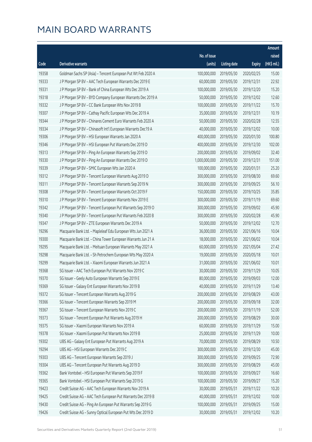|       |                                                              |               |                       |               | Amount      |
|-------|--------------------------------------------------------------|---------------|-----------------------|---------------|-------------|
|       |                                                              | No. of issue  |                       |               | raised      |
| Code  | <b>Derivative warrants</b>                                   | (units)       | <b>Listing date</b>   | <b>Expiry</b> | (HK\$ mil.) |
| 19358 | Goldman Sachs SP (Asia) - Tencent European Put Wt Feb 2020 A | 100,000,000   | 2019/05/30            | 2020/02/25    | 15.00       |
| 19333 | J P Morgan SP BV - AAC Tech European Warrants Dec 2019 E     | 60,000,000    | 2019/05/30            | 2019/12/31    | 22.92       |
| 19331 | J P Morgan SP BV - Bank of China European Wts Dec 2019 A     | 100,000,000   | 2019/05/30            | 2019/12/20    | 15.20       |
| 19318 | J P Morgan SP BV - BYD Company European Warrants Dec 2019 A  | 50,000,000    | 2019/05/30            | 2019/12/02    | 12.60       |
| 19332 | J P Morgan SP BV - CC Bank European Wts Nov 2019 B           | 100,000,000   | 2019/05/30            | 2019/11/22    | 15.70       |
| 19307 | J P Morgan SP BV - Cathay Pacific European Wts Dec 2019 A    | 35,000,000    | 2019/05/30            | 2019/12/31    | 10.19       |
| 19344 | J P Morgan SP BV - Chinares Cement Euro Warrants Feb 2020 A  | 50,000,000    | 2019/05/30            | 2020/02/28    | 12.55       |
| 19334 | J P Morgan SP BV - Chinasoft Int'l European Warrants Dec19 A | 40,000,000    | 2019/05/30            | 2019/12/02    | 10.00       |
| 19306 | J P Morgan SP BV - HSI European Warrants Jan 2020 A          | 400,000,000   | 2019/05/30            | 2020/01/30    | 100.80      |
| 19346 | J P Morgan SP BV - HSI European Put Warrants Dec 2019 D      | 400,000,000   | 2019/05/30            | 2019/12/30    | 102.00      |
| 19313 | J P Morgan SP BV - Ping An European Warrants Sep 2019 D      | 200,000,000   | 2019/05/30            | 2019/09/02    | 32.40       |
| 19330 | J P Morgan SP BV - Ping An European Warrants Dec 2019 D      | 1,000,000,000 | 2019/05/30            | 2019/12/31    | 151.00      |
| 19339 | J P Morgan SP BV - SMIC European Wts Jan 2020 A              | 100,000,000   | 2019/05/30            | 2020/01/31    | 25.20       |
| 19312 | J P Morgan SP BV - Tencent European Warrants Aug 2019 D      | 300,000,000   | 2019/05/30            | 2019/08/30    | 69.60       |
| 19311 | J P Morgan SP BV - Tencent European Warrants Sep 2019 N      | 300,000,000   | 2019/05/30            | 2019/09/25    | 56.10       |
| 19308 | J P Morgan SP BV - Tencent European Warrants Oct 2019 F      | 150,000,000   | 2019/05/30            | 2019/10/25    | 35.85       |
| 19310 | J P Morgan SP BV - Tencent European Warrants Nov 2019 E      | 300,000,000   | 2019/05/30            | 2019/11/19    | 69.60       |
| 19342 | J P Morgan SP BV - Tencent European Put Warrants Sep 2019 O  | 300,000,000   | 2019/05/30            | 2019/09/02    | 45.90       |
| 19340 | J P Morgan SP BV - Tencent European Put Warrants Feb 2020 B  | 300,000,000   | 2019/05/30            | 2020/02/28    | 45.90       |
| 19347 | J P Morgan SP BV - ZTE European Warrants Dec 2019 A          | 50,000,000    | 2019/05/30            | 2019/12/02    | 12.70       |
| 19296 | Macquarie Bank Ltd. - Mapleleaf Edu European Wts Jun 2021 A  | 36,000,000    | 2019/05/30            | 2021/06/16    | 10.04       |
| 19300 | Macquarie Bank Ltd. - China Tower European Warrants Jun 21 A | 18,000,000    | 2019/05/30            | 2021/06/02    | 10.04       |
| 19295 | Macquarie Bank Ltd. - Meituan European Warrants May 2021 A   | 60,000,000    | 2019/05/30            | 2021/05/04    | 27.42       |
| 19298 | Macquarie Bank Ltd. - Sh Petrochem European Wts May 2020 A   | 19,000,000    | 2019/05/30            | 2020/05/18    | 10.01       |
| 19299 | Macquarie Bank Ltd. - Xiaomi European Warrants Jun 2021 A    | 31,000,000    | 2019/05/30            | 2021/06/02    | 10.01       |
| 19368 | SG Issuer - AAC Tech European Put Warrants Nov 2019 C        | 30,000,000    | 2019/05/30            | 2019/11/29    | 10.05       |
| 19370 | SG Issuer - Geely Auto European Warrants Sep 2019 E          |               | 80,000,000 2019/05/30 | 2019/09/03    | 12.00       |
| 19369 | SG Issuer - Galaxy Ent European Warrants Nov 2019 B          | 40,000,000    | 2019/05/30            | 2019/11/29    | 13.40       |
| 19372 | SG Issuer - Tencent European Warrants Aug 2019 G             | 200,000,000   | 2019/05/30            | 2019/08/29    | 43.00       |
| 19366 | SG Issuer - Tencent European Warrants Sep 2019 M             | 200,000,000   | 2019/05/30            | 2019/09/18    | 32.00       |
| 19367 | SG Issuer - Tencent European Warrants Nov 2019 C             | 200,000,000   | 2019/05/30            | 2019/11/19    | 52.00       |
| 19373 | SG Issuer - Tencent European Put Warrants Aug 2019 H         | 200,000,000   | 2019/05/30            | 2019/08/29    | 30.00       |
| 19375 | SG Issuer - Xiaomi European Warrants Nov 2019 A              | 60,000,000    | 2019/05/30            | 2019/11/29    | 15.00       |
| 19378 | SG Issuer - Xiaomi European Put Warrants Nov 2019 B          | 25,000,000    | 2019/05/30            | 2019/11/29    | 10.00       |
| 19302 | UBS AG - Galaxy Ent European Put Warrants Aug 2019 A         | 70,000,000    | 2019/05/30            | 2019/08/29    | 10.50       |
| 19294 | UBS AG - HSI European Warrants Dec 2019 C                    | 300,000,000   | 2019/05/30            | 2019/12/30    | 45.00       |
| 19303 | UBS AG - Tencent European Warrants Sep 2019 J                | 300,000,000   | 2019/05/30            | 2019/09/25    | 72.90       |
| 19304 | UBS AG - Tencent European Put Warrants Aug 2019 D            | 300,000,000   | 2019/05/30            | 2019/08/29    | 45.00       |
| 19362 | Bank Vontobel - HSI European Put Warrants Sep 2019 F         | 100,000,000   | 2019/05/30            | 2019/09/27    | 16.60       |
| 19365 | Bank Vontobel - HSI European Put Warrants Sep 2019 G         | 100,000,000   | 2019/05/30            | 2019/09/27    | 15.20       |
| 19423 | Credit Suisse AG - AAC Tech European Warrants Nov 2019 A     | 30,000,000    | 2019/05/31            | 2019/11/22    | 10.20       |
| 19425 | Credit Suisse AG - AAC Tech European Put Warrants Dec 2019 B | 40,000,000    | 2019/05/31            | 2019/12/02    | 10.00       |
| 19430 | Credit Suisse AG - Ping An European Put Warrants Sep 2019 G  | 100,000,000   | 2019/05/31            | 2019/09/25    | 15.00       |
| 19426 | Credit Suisse AG - Sunny Optical European Put Wts Dec 2019 D | 30,000,000    | 2019/05/31            | 2019/12/02    | 10.20       |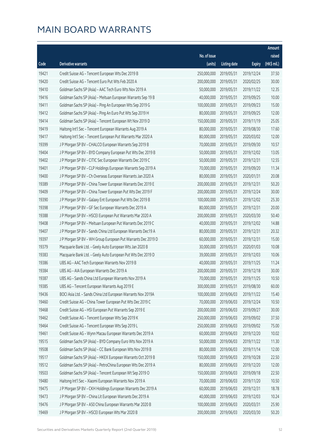|       |                                                              |              |                       |               | Amount      |
|-------|--------------------------------------------------------------|--------------|-----------------------|---------------|-------------|
|       |                                                              | No. of issue |                       |               | raised      |
| Code  | <b>Derivative warrants</b>                                   | (units)      | <b>Listing date</b>   | <b>Expiry</b> | (HK\$ mil.) |
| 19421 | Credit Suisse AG - Tencent European Wts Dec 2019 B           | 250,000,000  | 2019/05/31            | 2019/12/24    | 37.50       |
| 19420 | Credit Suisse AG - Tencent Euro Put Wts Feb 2020 A           | 200,000,000  | 2019/05/31            | 2020/02/25    | 30.00       |
| 19410 | Goldman Sachs SP (Asia) - AAC Tech Euro Wts Nov 2019 A       | 50,000,000   | 2019/05/31            | 2019/11/22    | 12.35       |
| 19416 | Goldman Sachs SP (Asia) - Meituan European Warrants Sep 19 B | 40,000,000   | 2019/05/31            | 2019/09/25    | 10.00       |
| 19411 | Goldman Sachs SP (Asia) - Ping An European Wts Sep 2019 G    | 100,000,000  | 2019/05/31            | 2019/09/23    | 15.00       |
| 19412 | Goldman Sachs SP (Asia) - Ping An Euro Put Wts Sep 2019 H    | 80,000,000   | 2019/05/31            | 2019/09/25    | 12.00       |
| 19414 | Goldman Sachs SP (Asia) - Tencent European Wt Nov 2019 D     | 150,000,000  | 2019/05/31            | 2019/11/19    | 25.05       |
| 19419 | Haitong Int'l Sec - Tencent European Warrants Aug 2019 A     | 80,000,000   | 2019/05/31            | 2019/08/30    | 17.60       |
| 19417 | Haitong Int'l Sec - Tencent European Put Warrants Mar 2020 A | 80,000,000   | 2019/05/31            | 2020/03/02    | 12.00       |
| 19399 | J P Morgan SP BV - CHALCO European Warrants Sep 2019 B       | 70,000,000   | 2019/05/31            | 2019/09/30    | 10.57       |
| 19404 | J P Morgan SP BV - BYD Company European Put Wts Dec 2019 B   | 50,000,000   | 2019/05/31            | 2019/12/02    | 13.05       |
| 19402 | J P Morgan SP BV - CITIC Sec European Warrants Dec 2019 C    | 50,000,000   | 2019/05/31            | 2019/12/31    | 12.55       |
| 19401 | J P Morgan SP BV - CLP Holdings European Warrants Sep 2019 A | 70,000,000   | 2019/05/31            | 2019/09/20    | 11.34       |
| 19400 | J P Morgan SP BV - Ch Overseas European Warrants Jan 2020 A  | 80,000,000   | 2019/05/31            | 2020/01/31    | 20.08       |
| 19389 | J P Morgan SP BV - China Tower European Warrants Dec 2019 E  | 200,000,000  | 2019/05/31            | 2019/12/31    | 50.20       |
| 19409 | J P Morgan SP BV - China Tower European Put Wts Dec 2019 F   | 200,000,000  | 2019/05/31            | 2019/12/24    | 30.00       |
| 19390 | J P Morgan SP BV - Galaxy Ent European Put Wts Dec 2019 B    | 100,000,000  | 2019/05/31            | 2019/12/02    | 25.30       |
| 19398 | J P Morgan SP BV - GF Sec European Warrants Dec 2019 A       | 80,000,000   | 2019/05/31            | 2019/12/31    | 20.00       |
| 19388 | J P Morgan SP BV - HSCEI European Put Warrants Mar 2020 A    | 200,000,000  | 2019/05/31            | 2020/03/30    | 50.40       |
| 19408 | J P Morgan SP BV - Meituan European Put Warrants Dec 2019 C  | 40,000,000   | 2019/05/31            | 2019/12/02    | 14.88       |
| 19407 | J P Morgan SP BV - Sands China Ltd European Warrants Dec19 A | 80,000,000   | 2019/05/31            | 2019/12/31    | 20.32       |
| 19397 | J P Morgan SP BV - WH Group European Put Warrants Dec 2019 D | 60,000,000   | 2019/05/31            | 2019/12/31    | 15.00       |
| 19379 | Macquarie Bank Ltd. - Geely Auto European Wts Jan 2020 B     | 30,000,000   | 2019/05/31            | 2020/01/03    | 10.08       |
| 19383 | Macquarie Bank Ltd. - Geely Auto European Put Wts Dec 2019 D | 39,000,000   | 2019/05/31            | 2019/12/03    | 10.06       |
| 19386 | UBS AG - AAC Tech European Warrants Nov 2019 B               | 40,000,000   | 2019/05/31            | 2019/11/25    | 11.24       |
| 19384 | UBS AG - AIA European Warrants Dec 2019 A                    | 200,000,000  | 2019/05/31            | 2019/12/18    | 30.00       |
| 19387 | UBS AG - Sands China Ltd European Warrants Nov 2019 A        |              | 70,000,000 2019/05/31 | 2019/11/25    | 10.50       |
| 19385 | UBS AG - Tencent European Warrants Aug 2019 E                | 300,000,000  | 2019/05/31            | 2019/08/30    | 60.00       |
| 19436 | BOCI Asia Ltd. - Sands China Ltd European Warrants Nov 2019A | 100,000,000  | 2019/06/03            | 2019/11/22    | 15.40       |
| 19460 | Credit Suisse AG - China Tower European Put Wts Dec 2019 C   | 70,000,000   | 2019/06/03            | 2019/12/24    | 10.50       |
| 19468 | Credit Suisse AG - HSI European Put Warrants Sep 2019 E      | 200,000,000  | 2019/06/03            | 2019/09/27    | 30.00       |
| 19462 | Credit Suisse AG - Tencent European Wts Sep 2019 K           | 250,000,000  | 2019/06/03            | 2019/09/02    | 37.50       |
| 19464 | Credit Suisse AG - Tencent European Wts Sep 2019 L           | 250,000,000  | 2019/06/03            | 2019/09/02    | 75.00       |
| 19461 | Credit Suisse AG - Wynn Macau European Warrants Dec 2019 A   | 60,000,000   | 2019/06/03            | 2019/12/20    | 10.02       |
| 19515 | Goldman Sachs SP (Asia) - BYD Company Euro Wts Nov 2019 A    | 50,000,000   | 2019/06/03            | 2019/11/22    | 11.30       |
| 19508 | Goldman Sachs SP (Asia) - CC Bank European Wts Nov 2019 B    | 80,000,000   | 2019/06/03            | 2019/11/14    | 12.00       |
| 19517 | Goldman Sachs SP (Asia) - HKEX European Warrants Oct 2019 B  | 150,000,000  | 2019/06/03            | 2019/10/28    | 22.50       |
| 19512 | Goldman Sachs SP (Asia) - PetroChina European Wts Dec 2019 A | 80,000,000   | 2019/06/03            | 2019/12/20    | 12.00       |
| 19503 | Goldman Sachs SP (Asia) - Tencent European Wt Sep 2019 O     | 150,000,000  | 2019/06/03            | 2019/09/18    | 22.50       |
| 19480 | Haitong Int'l Sec - Xiaomi European Warrants Nov 2019 A      | 70,000,000   | 2019/06/03            | 2019/11/20    | 10.50       |
| 19475 | J P Morgan SP BV - CKH Holdings European Warrants Dec 2019 A | 60,000,000   | 2019/06/03            | 2019/12/31    | 18.78       |
| 19473 | J P Morgan SP BV - China Lit European Warrants Dec 2019 A    | 40,000,000   | 2019/06/03            | 2019/12/03    | 10.24       |
| 19476 | J P Morgan SP BV - A50 China European Warrants Mar 2020 B    | 100,000,000  | 2019/06/03            | 2020/03/31    | 25.90       |
| 19469 | J P Morgan SP BV - HSCEI European Wts Mar 2020 B             | 200,000,000  | 2019/06/03            | 2020/03/30    | 50.20       |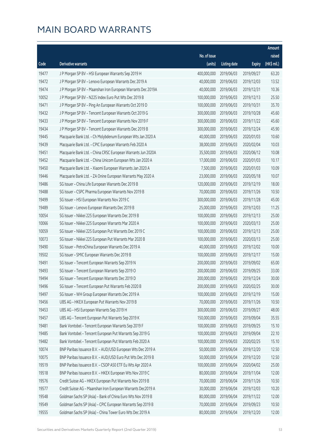|       |                                                              |                        |                     |               | Amount      |
|-------|--------------------------------------------------------------|------------------------|---------------------|---------------|-------------|
|       |                                                              | No. of issue           |                     |               | raised      |
| Code  | Derivative warrants                                          | (units)                | <b>Listing date</b> | <b>Expiry</b> | (HK\$ mil.) |
| 19477 | J P Morgan SP BV - HSI European Warrants Sep 2019 H          | 400,000,000            | 2019/06/03          | 2019/09/27    | 63.20       |
| 19472 | J P Morgan SP BV - Lenovo European Warrants Dec 2019 A       | 40,000,000             | 2019/06/03          | 2019/12/03    | 13.52       |
| 19474 | J P Morgan SP BV - Maanshan Iron European Warrants Dec 2019A | 40,000,000             | 2019/06/03          | 2019/12/31    | 10.36       |
| 10052 | J P Morgan SP BV - N225 Index Euro Put Wts Dec 2019 B        | 100,000,000            | 2019/06/03          | 2019/12/13    | 25.50       |
| 19471 | J P Morgan SP BV - Ping An European Warrants Oct 2019 D      | 100,000,000            | 2019/06/03          | 2019/10/31    | 35.70       |
| 19432 | J P Morgan SP BV - Tencent European Warrants Oct 2019 G      | 300,000,000            | 2019/06/03          | 2019/10/28    | 45.60       |
| 19433 | J P Morgan SP BV - Tencent European Warrants Nov 2019 F      | 300,000,000            | 2019/06/03          | 2019/11/22    | 45.60       |
| 19434 | J P Morgan SP BV - Tencent European Warrants Dec 2019 B      | 300,000,000            | 2019/06/03          | 2019/12/24    | 45.90       |
| 19445 | Macquarie Bank Ltd. - Ch Molybdenum European Wts Jan 2020 A  | 40,000,000             | 2019/06/03          | 2020/01/03    | 10.60       |
| 19439 | Macquarie Bank Ltd. - CPIC European Warrants Feb 2020 A      | 38,000,000             | 2019/06/03          | 2020/02/04    | 10.03       |
| 19451 | Macquarie Bank Ltd. - China CRSC European Warrants Jun 2020A | 35,500,000             | 2019/06/03          | 2020/06/12    | 10.08       |
| 19452 | Macquarie Bank Ltd. - China Unicom European Wts Jan 2020 A   | 17,000,000             | 2019/06/03          | 2020/01/03    | 10.17       |
| 19450 | Macquarie Bank Ltd. - Xiaomi European Warrants Jan 2020 A    | 7,500,000              | 2019/06/03          | 2020/01/03    | 10.09       |
| 19446 | Macquarie Bank Ltd. - ZA Onine European Warrants May 2020 A  | 23,000,000             | 2019/06/03          | 2020/05/18    | 10.07       |
| 19486 | SG Issuer - China Life European Warrants Dec 2019 B          | 120,000,000            | 2019/06/03          | 2019/12/19    | 18.00       |
| 19488 | SG Issuer - CSPC Pharma European Warrants Nov 2019 B         | 70,000,000             | 2019/06/03          | 2019/11/26    | 10.50       |
| 19499 | SG Issuer - HSI European Warrants Nov 2019 C                 | 300,000,000            | 2019/06/03          | 2019/11/28    | 45.00       |
| 19489 | SG Issuer - Lenovo European Warrants Dec 2019 B              | 25,000,000             | 2019/06/03          | 2019/12/03    | 11.25       |
| 10054 | SG Issuer - Nikkei 225 European Warrants Dec 2019 B          | 100,000,000            | 2019/06/03          | 2019/12/13    | 25.00       |
| 10066 | SG Issuer - Nikkei 225 European Warrants Mar 2020 A          | 100,000,000            | 2019/06/03          | 2020/03/13    | 25.00       |
| 10059 | SG Issuer - Nikkei 225 European Put Warrants Dec 2019 C      | 100,000,000            | 2019/06/03          | 2019/12/13    | 25.00       |
| 10073 | SG Issuer - Nikkei 225 European Put Warrants Mar 2020 B      | 100,000,000            | 2019/06/03          | 2020/03/13    | 25.00       |
| 19490 | SG Issuer - PetroChina European Warrants Dec 2019 A          | 40,000,000             | 2019/06/03          | 2019/12/02    | 10.00       |
| 19502 | SG Issuer - SMIC European Warrants Dec 2019 B                | 100,000,000            | 2019/06/03          | 2019/12/17    | 15.00       |
| 19491 | SG Issuer - Tencent European Warrants Sep 2019 N             | 200,000,000            | 2019/06/03          | 2019/09/02    | 65.00       |
| 19493 | SG Issuer - Tencent European Warrants Sep 2019 O             | 200,000,000            | 2019/06/03          | 2019/09/25    | 33.00       |
| 19494 | SG Issuer - Tencent European Warrants Dec 2019 D             | 200,000,000 2019/06/03 |                     | 2019/12/24    | 30.00       |
| 19496 | SG Issuer - Tencent European Put Warrants Feb 2020 B         | 200,000,000            | 2019/06/03          | 2020/02/25    | 30.00       |
| 19497 | SG Issuer - WH Group European Warrants Dec 2019 A            | 100,000,000            | 2019/06/03          | 2019/12/19    | 15.00       |
| 19456 | UBS AG - HKEX European Put Warrants Nov 2019 B               | 70,000,000             | 2019/06/03          | 2019/11/26    | 10.50       |
| 19453 | UBS AG - HSI European Warrants Sep 2019 H                    | 300,000,000            | 2019/06/03          | 2019/09/27    | 48.00       |
| 19457 | UBS AG - Tencent European Put Warrants Sep 2019 K            | 150,000,000            | 2019/06/03          | 2019/09/04    | 35.55       |
| 19481 | Bank Vontobel - Tencent European Warrants Sep 2019 F         | 100,000,000            | 2019/06/03          | 2019/09/25    | 15.10       |
| 19485 | Bank Vontobel - Tencent European Put Warrants Sep 2019 G     | 100,000,000            | 2019/06/03          | 2019/09/04    | 22.10       |
| 19482 | Bank Vontobel - Tencent European Put Warrants Feb 2020 A     | 100,000,000            | 2019/06/03          | 2020/02/25    | 15.10       |
| 10074 | BNP Paribas Issuance B.V. - AUD/USD European Wts Dec 2019 A  | 50,000,000             | 2019/06/04          | 2019/12/20    | 12.50       |
| 10075 | BNP Paribas Issuance B.V. - AUD/USD Euro Put Wts Dec 2019 B  | 50,000,000             | 2019/06/04          | 2019/12/20    | 12.50       |
| 19519 | BNP Paribas Issuance B.V. - CSOP A50 ETF Eu Wts Apr 2020 A   | 100,000,000            | 2019/06/04          | 2020/04/02    | 25.00       |
| 19518 | BNP Paribas Issuance B.V. - HKEX European Wts Nov 2019 C     | 80,000,000             | 2019/06/04          | 2019/11/04    | 12.00       |
| 19576 | Credit Suisse AG - HKEX European Put Warrants Nov 2019 B     | 70,000,000             | 2019/06/04          | 2019/11/26    | 10.50       |
| 19577 | Credit Suisse AG - Maanshan Iron European Warrants Dec2019 A | 30,000,000             | 2019/06/04          | 2019/12/03    | 10.20       |
| 19548 | Goldman Sachs SP (Asia) - Bank of China Euro Wts Nov 2019 B  | 80,000,000             | 2019/06/04          | 2019/11/22    | 12.00       |
| 19549 | Goldman Sachs SP (Asia) - CPIC European Warrants Sep 2019 B  | 70,000,000             | 2019/06/04          | 2019/09/23    | 10.50       |
| 19555 | Goldman Sachs SP (Asia) - China Tower Euro Wts Dec 2019 A    | 80,000,000             | 2019/06/04          | 2019/12/20    | 12.00       |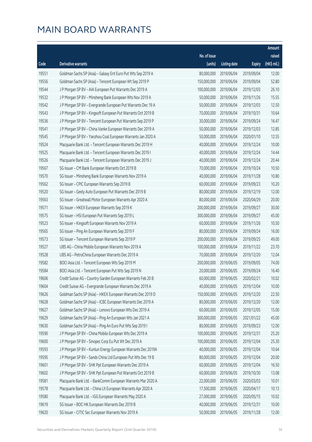|       |                                                              |              |                       |               | Amount      |
|-------|--------------------------------------------------------------|--------------|-----------------------|---------------|-------------|
|       |                                                              | No. of issue |                       |               | raised      |
| Code  | <b>Derivative warrants</b>                                   | (units)      | <b>Listing date</b>   | <b>Expiry</b> | (HK\$ mil.) |
| 19551 | Goldman Sachs SP (Asia) - Galaxy Ent Euro Put Wts Sep 2019 A | 80,000,000   | 2019/06/04            | 2019/09/04    | 12.00       |
| 19556 | Goldman Sachs SP (Asia) - Tencent European Wt Sep 2019 P     | 150,000,000  | 2019/06/04            | 2019/09/04    | 52.80       |
| 19544 | J P Morgan SP BV - AIA European Put Warrants Dec 2019 A      | 100,000,000  | 2019/06/04            | 2019/12/03    | 26.10       |
| 19532 | J P Morgan SP BV - Minsheng Bank European Wts Nov 2019 A     | 50,000,000   | 2019/06/04            | 2019/11/26    | 15.55       |
| 19542 | J P Morgan SP BV - Evergrande European Put Warrants Dec 19 A | 50,000,000   | 2019/06/04            | 2019/12/03    | 12.50       |
| 19543 | J P Morgan SP BV - Kingsoft European Put Warrants Oct 2019 B | 70,000,000   | 2019/06/04            | 2019/10/31    | 10.64       |
| 19536 | J P Morgan SP BV - Tencent European Put Warrants Sep 2019 P  | 30,000,000   | 2019/06/04            | 2019/09/24    | 16.47       |
| 19541 | J P Morgan SP BV - China Vanke European Warrants Dec 2019 A  | 50,000,000   | 2019/06/04            | 2019/12/03    | 12.85       |
| 19545 | J P Morgan SP BV - Yanzhou Coal European Warrants Jan 2020 A | 50,000,000   | 2019/06/04            | 2020/01/10    | 12.55       |
| 19524 | Macquarie Bank Ltd. - Tencent European Warrants Dec 2019 H   | 40,000,000   | 2019/06/04            | 2019/12/24    | 10.00       |
| 19525 | Macquarie Bank Ltd. - Tencent European Warrants Dec 2019 I   | 40,000,000   | 2019/06/04            | 2019/12/24    | 14.44       |
| 19526 | Macquarie Bank Ltd. - Tencent European Warrants Dec 2019 J   | 40,000,000   | 2019/06/04            | 2019/12/24    | 20.44       |
| 19567 | SG Issuer - CM Bank European Warrants Oct 2019 B             | 70,000,000   | 2019/06/04            | 2019/10/24    | 10.50       |
| 19570 | SG Issuer - Minsheng Bank European Warrants Nov 2019 A       | 40,000,000   | 2019/06/04            | 2019/11/28    | 10.80       |
| 19562 | SG Issuer - CPIC European Warrants Sep 2019 B                | 60,000,000   | 2019/06/04            | 2019/09/23    | 10.20       |
| 19520 | SG Issuer - Geely Auto European Put Warrants Dec 2019 B      | 80,000,000   | 2019/06/04            | 2019/12/19    | 12.00       |
| 19563 | SG Issuer - Greatwall Motor European Warrants Apr 2020 A     | 80,000,000   | 2019/06/04            | 2020/04/29    | 20.00       |
| 19571 | SG Issuer - HKEX European Warrants Sep 2019 K                | 200,000,000  | 2019/06/04            | 2019/09/27    | 30.00       |
| 19575 | SG Issuer - HSI European Put Warrants Sep 2019 L             | 300,000,000  | 2019/06/04            | 2019/09/27    | 45.00       |
| 19523 | SG Issuer - Kingsoft European Warrants Nov 2019 A            | 60,000,000   | 2019/06/04            | 2019/11/26    | 10.50       |
| 19565 | SG Issuer - Ping An European Warrants Sep 2019 F             | 80,000,000   | 2019/06/04            | 2019/09/24    | 16.00       |
| 19573 | SG Issuer - Tencent European Warrants Sep 2019 P             | 200,000,000  | 2019/06/04            | 2019/09/25    | 49.00       |
| 19527 | UBS AG - China Mobile European Warrants Nov 2019 A           | 100,000,000  | 2019/06/04            | 2019/11/22    | 23.70       |
| 19528 | UBS AG - PetroChina European Warrants Dec 2019 A             | 70,000,000   | 2019/06/04            | 2019/12/20    | 12.04       |
| 19582 | BOCI Asia Ltd. - Tencent European Wts Sep 2019 M             | 200,000,000  | 2019/06/05            | 2019/09/05    | 74.00       |
| 19584 | BOCI Asia Ltd. - Tencent European Put Wts Sep 2019 N         | 20,000,000   | 2019/06/05            | 2019/09/24    | 16.40       |
| 19606 | Credit Suisse AG - Country Garden European Warrants Feb 20 B |              | 60,000,000 2019/06/05 | 2020/02/21    | 10.02       |
| 19604 | Credit Suisse AG - Evergrande European Warrants Dec 2019 A   | 40,000,000   | 2019/06/05            | 2019/12/04    | 10.00       |
| 19626 | Goldman Sachs SP (Asia) - HKEX European Warrants Dec 2019 D  | 150,000,000  | 2019/06/05            | 2019/12/20    | 22.50       |
| 19628 | Goldman Sachs SP (Asia) - ICBC European Warrants Dec 2019 A  | 80,000,000   | 2019/06/05            | 2019/12/20    | 12.00       |
| 19627 | Goldman Sachs SP (Asia) - Lenovo European Wts Dec 2019 A     | 60,000,000   | 2019/06/05            | 2019/12/05    | 15.00       |
| 19629 | Goldman Sachs SP (Asia) - Ping An European Wts Jan 2021 A    | 300,000,000  | 2019/06/05            | 2021/01/22    | 45.00       |
| 19630 | Goldman Sachs SP (Asia) - Ping An Euro Put Wts Sep 2019 I    | 80,000,000   | 2019/06/05            | 2019/09/23    | 12.00       |
| 19590 | J P Morgan SP BV - China Mobile European Wts Dec 2019 A      | 100,000,000  | 2019/06/05            | 2019/12/31    | 25.20       |
| 19600 | J P Morgan SP BV - Sinopec Corp Eu Put Wt Dec 2019 A         | 100,000,000  | 2019/06/05            | 2019/12/04    | 25.30       |
| 19593 | J P Morgan SP BV - Kunlun Energy European Warrants Dec 2019A | 40,000,000   | 2019/06/05            | 2019/12/04    | 10.64       |
| 19595 | J P Morgan SP BV - Sands China Ltd European Put Wts Dec 19 B | 80,000,000   | 2019/06/05            | 2019/12/04    | 20.00       |
| 19601 | J P Morgan SP BV - SHK Ppt European Warrants Dec 2019 A      | 60,000,000   | 2019/06/05            | 2019/12/04    | 16.50       |
| 19602 | J P Morgan SP BV - SHK Ppt European Put Warrants Oct 2019 B  | 60,000,000   | 2019/06/05            | 2019/10/30    | 13.08       |
| 19581 | Macquarie Bank Ltd. - BankComm European Warrants Mar 2020 A  | 22,000,000   | 2019/06/05            | 2020/03/03    | 10.01       |
| 19578 | Macquarie Bank Ltd. - China Lit European Warrants Apr 2020 A | 17,500,000   | 2019/06/05            | 2020/04/17    | 10.13       |
| 19580 | Macquarie Bank Ltd. - IGG European Warrants May 2020 A       | 27,000,000   | 2019/06/05            | 2020/05/15    | 10.02       |
| 19619 | SG Issuer - BOC HK European Warrants Dec 2019 B              | 40,000,000   | 2019/06/05            | 2019/12/31    | 10.00       |
| 19620 | SG Issuer - CITIC Sec European Warrants Nov 2019 A           | 50,000,000   | 2019/06/05            | 2019/11/28    | 12.00       |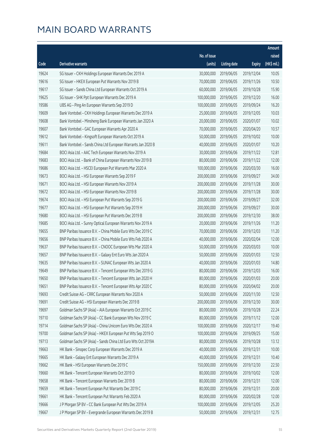|       |                                                              |              |                       |               | Amount      |
|-------|--------------------------------------------------------------|--------------|-----------------------|---------------|-------------|
|       |                                                              | No. of issue |                       |               | raised      |
| Code  | Derivative warrants                                          | (units)      | <b>Listing date</b>   | <b>Expiry</b> | (HK\$ mil.) |
| 19624 | SG Issuer - CKH Holdings European Warrants Dec 2019 A        | 30,000,000   | 2019/06/05            | 2019/12/04    | 10.05       |
| 19616 | SG Issuer - HKEX European Put Warrants Nov 2019 B            | 70,000,000   | 2019/06/05            | 2019/11/26    | 10.50       |
| 19617 | SG Issuer - Sands China Ltd European Warrants Oct 2019 A     | 60,000,000   | 2019/06/05            | 2019/10/28    | 15.90       |
| 19625 | SG Issuer - SHK Ppt European Warrants Dec 2019 A             | 100,000,000  | 2019/06/05            | 2019/12/20    | 16.00       |
| 19586 | UBS AG - Ping An European Warrants Sep 2019 D                | 100,000,000  | 2019/06/05            | 2019/09/24    | 16.20       |
| 19609 | Bank Vontobel - CKH Holdings European Warrants Dec 2019 A    | 25,000,000   | 2019/06/05            | 2019/12/05    | 10.03       |
| 19608 | Bank Vontobel - Minsheng Bank European Warrants Jan 2020 A   | 20,000,000   | 2019/06/05            | 2020/01/07    | 10.02       |
| 19607 | Bank Vontobel - GAC European Warrants Apr 2020 A             | 70,000,000   | 2019/06/05            | 2020/04/20    | 10.57       |
| 19612 | Bank Vontobel - Kingsoft European Warrants Oct 2019 A        | 50,000,000   | 2019/06/05            | 2019/10/02    | 10.00       |
| 19611 | Bank Vontobel - Sands China Ltd European Warrants Jan 2020 B | 40,000,000   | 2019/06/05            | 2020/01/07    | 10.20       |
| 19684 | BOCI Asia Ltd. - AAC Tech European Warrants Nov 2019 A       | 30,000,000   | 2019/06/06            | 2019/11/22    | 12.81       |
| 19683 | BOCI Asia Ltd. - Bank of China European Warrants Nov 2019 B  | 80,000,000   | 2019/06/06            | 2019/11/22    | 12.00       |
| 19686 | BOCI Asia Ltd. - HSCEI European Put Warrants Mar 2020 A      | 100,000,000  | 2019/06/06            | 2020/03/30    | 16.00       |
| 19673 | BOCI Asia Ltd. - HSI European Warrants Sep 2019 F            | 200,000,000  | 2019/06/06            | 2019/09/27    | 34.00       |
| 19671 | BOCI Asia Ltd. - HSI European Warrants Nov 2019 A            | 200,000,000  | 2019/06/06            | 2019/11/28    | 30.00       |
| 19672 | BOCI Asia Ltd. - HSI European Warrants Nov 2019 B            | 200,000,000  | 2019/06/06            | 2019/11/28    | 30.00       |
| 19674 | BOCI Asia Ltd. - HSI European Put Warrants Sep 2019 G        | 200,000,000  | 2019/06/06            | 2019/09/27    | 32.00       |
| 19677 | BOCI Asia Ltd. - HSI European Put Warrants Sep 2019 H        | 200,000,000  | 2019/06/06            | 2019/09/27    | 30.00       |
| 19680 | BOCI Asia Ltd. - HSI European Put Warrants Dec 2019 B        | 200,000,000  | 2019/06/06            | 2019/12/30    | 38.00       |
| 19685 | BOCI Asia Ltd. - Sunny Optical European Warrants Nov 2019 A  | 20,000,000   | 2019/06/06            | 2019/11/26    | 11.20       |
| 19655 | BNP Paribas Issuance B.V. - China Mobile Euro Wts Dec 2019 C | 70,000,000   | 2019/06/06            | 2019/12/03    | 11.20       |
| 19656 | BNP Paribas Issuance B.V. - China Mobile Euro Wts Feb 2020 A | 40,000,000   | 2019/06/06            | 2020/02/04    | 12.00       |
| 19637 | BNP Paribas Issuance B.V. - CNOOC European Wts Mar 2020 A    | 50,000,000   | 2019/06/06            | 2020/03/03    | 10.00       |
| 19657 | BNP Paribas Issuance B.V. - Galaxy Ent Euro Wts Jan 2020 A   | 50,000,000   | 2019/06/06            | 2020/01/03    | 12.50       |
| 19635 | BNP Paribas Issuance B.V. - SUNAC European Wts Jan 2020 A    | 40,000,000   | 2019/06/06            | 2020/01/03    | 14.80       |
| 19649 | BNP Paribas Issuance B.V. - Tencent European Wts Dec 2019 G  | 80,000,000   | 2019/06/06            | 2019/12/03    | 16.00       |
| 19650 | BNP Paribas Issuance B.V. - Tencent European Wts Jan 2020 H  |              | 80,000,000 2019/06/06 | 2020/01/03    | 20.00       |
| 19651 | BNP Paribas Issuance B.V. - Tencent European Wts Apr 2020 C  | 80,000,000   | 2019/06/06            | 2020/04/02    | 20.00       |
| 19693 | Credit Suisse AG - CRRC European Warrants Nov 2020 A         | 50,000,000   | 2019/06/06            | 2020/11/30    | 12.50       |
| 19691 | Credit Suisse AG - HSI European Warrants Dec 2019 B          | 200,000,000  | 2019/06/06            | 2019/12/30    | 30.00       |
| 19697 | Goldman Sachs SP (Asia) - AIA European Warrants Oct 2019 C   | 80,000,000   | 2019/06/06            | 2019/10/28    | 22.24       |
| 19710 | Goldman Sachs SP (Asia) - CC Bank European Wts Nov 2019 C    | 80,000,000   | 2019/06/06            | 2019/11/12    | 12.00       |
| 19714 | Goldman Sachs SP (Asia) - China Unicom Euro Wts Dec 2020 A   | 100,000,000  | 2019/06/06            | 2020/12/17    | 19.40       |
| 19700 | Goldman Sachs SP (Asia) - HKEX European Put Wts Sep 2019 O   | 100,000,000  | 2019/06/06            | 2019/09/25    | 15.00       |
| 19713 | Goldman Sachs SP (Asia) - Sands China Ltd Euro Wts Oct 2019A | 80,000,000   | 2019/06/06            | 2019/10/28    | 13.12       |
| 19663 | HK Bank - Sinopec Corp European Warrants Dec 2019 A          | 40,000,000   | 2019/06/06            | 2019/12/31    | 10.00       |
| 19665 | HK Bank - Galaxy Ent European Warrants Dec 2019 A            | 40,000,000   | 2019/06/06            | 2019/12/31    | 10.40       |
| 19662 | HK Bank - HSI European Warrants Dec 2019 C                   | 150,000,000  | 2019/06/06            | 2019/12/30    | 22.50       |
| 19660 | HK Bank - Tencent European Warrants Oct 2019 D               | 80,000,000   | 2019/06/06            | 2019/10/02    | 12.00       |
| 19658 | HK Bank - Tencent European Warrants Dec 2019 B               | 80,000,000   | 2019/06/06            | 2019/12/31    | 12.00       |
| 19659 | HK Bank - Tencent European Put Warrants Dec 2019 C           | 80,000,000   | 2019/06/06            | 2019/12/31    | 20.00       |
| 19661 | HK Bank - Tencent European Put Warrants Feb 2020 A           | 80,000,000   | 2019/06/06            | 2020/02/28    | 12.00       |
| 19666 | J P Morgan SP BV - CC Bank European Put Wts Dec 2019 A       | 100,000,000  | 2019/06/06            | 2019/12/05    | 25.20       |
| 19667 | J P Morgan SP BV - Evergrande European Warrants Dec 2019 B   | 50,000,000   | 2019/06/06            | 2019/12/31    | 12.75       |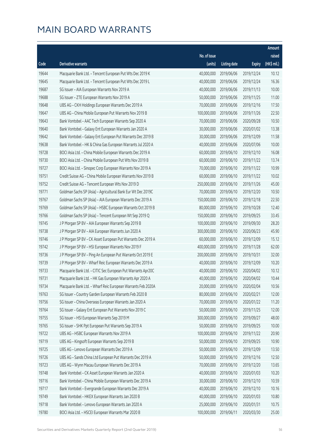|       |                                                              |              |                       |               | Amount      |
|-------|--------------------------------------------------------------|--------------|-----------------------|---------------|-------------|
|       |                                                              | No. of issue |                       |               | raised      |
| Code  | <b>Derivative warrants</b>                                   | (units)      | <b>Listing date</b>   | <b>Expiry</b> | (HK\$ mil.) |
| 19644 | Macquarie Bank Ltd. - Tencent European Put Wts Dec 2019 K    | 40,000,000   | 2019/06/06            | 2019/12/24    | 10.12       |
| 19645 | Macquarie Bank Ltd. - Tencent European Put Wts Dec 2019 L    | 40,000,000   | 2019/06/06            | 2019/12/24    | 16.36       |
| 19687 | SG Issuer - AIA European Warrants Nov 2019 A                 | 40,000,000   | 2019/06/06            | 2019/11/13    | 10.00       |
| 19688 | SG Issuer - ZTE European Warrants Nov 2019 A                 | 50,000,000   | 2019/06/06            | 2019/11/25    | 11.00       |
| 19648 | UBS AG - CKH Holdings European Warrants Dec 2019 A           | 70,000,000   | 2019/06/06            | 2019/12/16    | 17.50       |
| 19647 | UBS AG - China Mobile European Put Warrants Nov 2019 B       | 100,000,000  | 2019/06/06            | 2019/11/26    | 22.50       |
| 19643 | Bank Vontobel - AAC Tech European Warrants Sep 2020 A        | 70,000,000   | 2019/06/06            | 2020/09/28    | 10.50       |
| 19640 | Bank Vontobel - Galaxy Ent European Warrants Jan 2020 A      | 30,000,000   | 2019/06/06            | 2020/01/02    | 13.38       |
| 19642 | Bank Vontobel - Galaxy Ent European Put Warrants Dec 2019 B  | 30,000,000   | 2019/06/06            | 2019/12/09    | 11.58       |
| 19638 | Bank Vontobel - HK & China Gas European Warrants Jul 2020 A  | 40,000,000   | 2019/06/06            | 2020/07/06    | 10.00       |
| 19728 | BOCI Asia Ltd. - China Mobile European Warrants Dec 2019 A   | 60,000,000   | 2019/06/10            | 2019/12/10    | 16.08       |
| 19730 | BOCI Asia Ltd. - China Mobile European Put Wts Nov 2019 B    | 60,000,000   | 2019/06/10            | 2019/11/22    | 13.74       |
| 19727 | BOCI Asia Ltd. - Sinopec Corp European Warrants Nov 2019 A   | 70,000,000   | 2019/06/10            | 2019/11/22    | 10.99       |
| 19751 | Credit Suisse AG - China Mobile European Warrants Nov 2019 B | 60,000,000   | 2019/06/10            | 2019/11/22    | 10.02       |
| 19752 | Credit Suisse AG - Tencent European Wts Nov 2019 D           | 250,000,000  | 2019/06/10            | 2019/11/26    | 45.00       |
| 19771 | Goldman Sachs SP (Asia) - Agricultural Bank Eur Wt Dec 2019C | 70,000,000   | 2019/06/10            | 2019/12/20    | 10.50       |
| 19767 | Goldman Sachs SP (Asia) - AIA European Warrants Dec 2019 A   | 150,000,000  | 2019/06/10            | 2019/12/18    | 22.50       |
| 19769 | Goldman Sachs SP (Asia) - HSBC European Warrants Oct 2019 B  | 80,000,000   | 2019/06/10            | 2019/10/28    | 12.40       |
| 19766 | Goldman Sachs SP (Asia) - Tencent European Wt Sep 2019 Q     | 150,000,000  | 2019/06/10            | 2019/09/25    | 33.45       |
| 19745 | J P Morgan SP BV - AIA European Warrants Sep 2019 B          | 100,000,000  | 2019/06/10            | 2019/09/30    | 28.20       |
| 19738 | J P Morgan SP BV - AIA European Warrants Jun 2020 A          | 300,000,000  | 2019/06/10            | 2020/06/23    | 45.90       |
| 19746 | J P Morgan SP BV - CK Asset European Put Warrants Dec 2019 A | 60,000,000   | 2019/06/10            | 2019/12/09    | 15.12       |
| 19742 | J P Morgan SP BV - HSI European Warrants Nov 2019 F          | 400,000,000  | 2019/06/10            | 2019/11/28    | 62.00       |
| 19736 | J P Morgan SP BV - Ping An European Put Warrants Oct 2019 E  | 200,000,000  | 2019/06/10            | 2019/10/31    | 32.00       |
| 19739 | J P Morgan SP BV - Wharf Reic European Warrants Dec 2019 A   | 40,000,000   | 2019/06/10            | 2019/12/09    | 10.20       |
| 19733 | Macquarie Bank Ltd. - CITIC Sec European Put Warrants Apr20C | 40,000,000   | 2019/06/10            | 2020/04/02    | 10.12       |
| 19731 | Macquarie Bank Ltd. - HK Gas European Warrants Apr 2020 A    |              | 40,000,000 2019/06/10 | 2020/04/02    | 10.44       |
| 19734 | Macquarie Bank Ltd. - Wharf Reic European Warrants Feb 2020A | 20,000,000   | 2019/06/10            | 2020/02/04    | 10.56       |
| 19763 | SG Issuer - Country Garden European Warrants Feb 2020 B      | 80,000,000   | 2019/06/10            | 2020/02/21    | 12.00       |
| 19756 | SG Issuer - China Overseas European Warrants Jan 2020 A      | 70,000,000   | 2019/06/10            | 2020/01/22    | 11.20       |
| 19764 | SG Issuer - Galaxy Ent European Put Warrants Nov 2019 C      | 50,000,000   | 2019/06/10            | 2019/11/25    | 12.00       |
| 19755 | SG Issuer - HSI European Warrants Sep 2019 M                 | 300,000,000  | 2019/06/10            | 2019/09/27    | 48.00       |
| 19765 | SG Issuer - SHK Ppt European Put Warrants Sep 2019 A         | 50,000,000   | 2019/06/10            | 2019/09/25    | 10.00       |
| 19722 | UBS AG - HSBC European Warrants Nov 2019 A                   | 100,000,000  | 2019/06/10            | 2019/11/22    | 20.90       |
| 19719 | UBS AG - Kingsoft European Warrants Sep 2019 B               | 50,000,000   | 2019/06/10            | 2019/09/25    | 10.90       |
| 19725 | UBS AG - Lenovo European Warrants Dec 2019 A                 | 50,000,000   | 2019/06/10            | 2019/12/09    | 13.50       |
| 19726 | UBS AG - Sands China Ltd European Put Warrants Dec 2019 A    | 50,000,000   | 2019/06/10            | 2019/12/16    | 12.50       |
| 19723 | UBS AG - Wynn Macau European Warrants Dec 2019 A             | 70,000,000   | 2019/06/10            | 2019/12/20    | 13.65       |
| 19748 | Bank Vontobel - CK Asset European Warrants Jan 2020 A        | 40,000,000   | 2019/06/10            | 2020/01/03    | 10.20       |
| 19716 | Bank Vontobel - China Mobile European Warrants Dec 2019 A    | 30,000,000   | 2019/06/10            | 2019/12/10    | 10.59       |
| 19717 | Bank Vontobel - Evergrande European Warrants Dec 2019 A      | 40,000,000   | 2019/06/10            | 2019/12/10    | 10.16       |
| 19749 | Bank Vontobel - HKEX European Warrants Jan 2020 B            | 40,000,000   | 2019/06/10            | 2020/01/03    | 10.80       |
| 19718 | Bank Vontobel - Lenovo European Warrants Jan 2020 A          | 25,000,000   | 2019/06/10            | 2020/01/31    | 10.75       |
| 19780 | BOCI Asia Ltd. - HSCEI European Warrants Mar 2020 B          | 100,000,000  | 2019/06/11            | 2020/03/30    | 25.00       |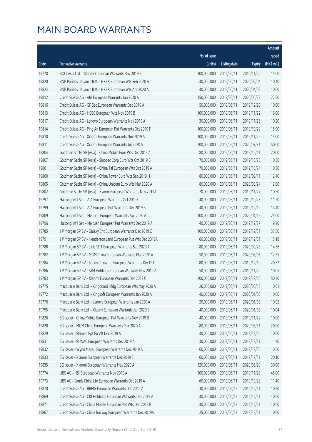|       |                                                              |                        |                     |               | Amount       |
|-------|--------------------------------------------------------------|------------------------|---------------------|---------------|--------------|
|       |                                                              | No. of issue           |                     |               | raised       |
| Code  | <b>Derivative warrants</b>                                   | (units)                | <b>Listing date</b> | <b>Expiry</b> | $(HK\$ mil.) |
| 19778 | BOCI Asia Ltd. - Xiaomi European Warrants Nov 2019 B         | 100,000,000            | 2019/06/11          | 2019/11/22    | 15.00        |
| 19820 | BNP Paribas Issuance B.V. - HKEX European Wts Feb 2020 A     | 40,000,000             | 2019/06/11          | 2020/02/04    | 10.40        |
| 19824 | BNP Paribas Issuance B.V. - HKEX European Wts Apr 2020 A     | 40,000,000             | 2019/06/11          | 2020/04/02    | 10.00        |
| 19812 | Credit Suisse AG - AIA European Warrants Jun 2020 A          | 150,000,000            | 2019/06/11          | 2020/06/22    | 22.50        |
| 19816 | Credit Suisse AG - GF Sec European Warrants Dec 2019 A       | 50,000,000             | 2019/06/11          | 2019/12/20    | 10.00        |
| 19813 | Credit Suisse AG - HSBC European Wts Nov 2019 B              | 100,000,000            | 2019/06/11          | 2019/11/22    | 16.00        |
| 19817 | Credit Suisse AG - Lenovo European Warrants Nov 2019 A       | 30,000,000             | 2019/06/11          | 2019/11/26    | 10.20        |
| 19814 | Credit Suisse AG - Ping An European Put Warrants Oct 2019 F  | 100,000,000            | 2019/06/11          | 2019/10/28    | 15.00        |
| 19810 | Credit Suisse AG - Xiaomi European Warrants Nov 2019 A       | 100,000,000            | 2019/06/11          | 2019/11/26    | 15.00        |
| 19811 | Credit Suisse AG - Xiaomi European Warrants Jul 2020 A       | 200,000,000            | 2019/06/11          | 2020/07/31    | 50.00        |
| 19804 | Goldman Sachs SP (Asia) - China Mobile Euro Wts Dec 2019 A   | 80,000,000             | 2019/06/11          | 2019/12/11    | 20.00        |
| 19807 | Goldman Sachs SP (Asia) - Sinopec Corp Euro Wts Oct 2019 B   | 70,000,000             | 2019/06/11          | 2019/10/23    | 10.50        |
| 19801 | Goldman Sachs SP (Asia) - China Tel European Wts Oct 2019 A  | 70,000,000             | 2019/06/11          | 2019/10/24    | 10.50        |
| 19800 | Goldman Sachs SP (Asia) - China Tower Euro Wts Sep 2019 H    | 80,000,000             | 2019/06/11          | 2019/09/11    | 12.40        |
| 19805 | Goldman Sachs SP (Asia) - China Unicom Euro Wts Mar 2020 A   | 80,000,000             | 2019/06/11          | 2020/03/24    | 12.00        |
| 19802 | Goldman Sachs SP (Asia) - Xiaomi European Warrants Nov 2019A | 70,000,000             | 2019/06/11          | 2019/11/27    | 10.50        |
| 19797 | Haitong Int'l Sec - AIA European Warrants Oct 2019 C         | 40,000,000             | 2019/06/11          | 2019/10/28    | 11.20        |
| 19799 | Haitong Int'l Sec - AIA European Put Warrants Dec 2019 B     | 40,000,000             | 2019/06/11          | 2019/12/19    | 14.40        |
| 19809 | Haitong Int'l Sec - Meituan European Warrants Apr 2020 A     | 100,000,000            | 2019/06/11          | 2020/04/15    | 25.00        |
| 19796 | Haitong Int'l Sec - Meituan European Put Warrants Dec 2019 A | 40,000,000             | 2019/06/11          | 2019/12/27    | 19.20        |
| 19785 | J P Morgan SP BV - Galaxy Ent European Warrants Dec 2019 C   | 100,000,000            | 2019/06/11          | 2019/12/31    | 37.80        |
| 19791 | J P Morgan SP BV - Henderson Land European Put Wts Dec 2019A | 60,000,000             | 2019/06/11          | 2019/12/31    | 15.18        |
| 19788 | J P Morgan SP BV - Link REIT European Warrants Sep 2020 A    | 80,000,000             | 2019/06/11          | 2020/09/23    | 14.56        |
| 19782 | J P Morgan SP BV - MGM China European Warrants Mar 2020 A    | 50,000,000             | 2019/06/11          | 2020/03/05    | 12.55        |
| 19784 | J P Morgan SP BV - Sands China Ltd European Warrants Dec19 C | 80,000,000             | 2019/06/11          | 2019/12/10    | 20.32        |
| 19786 | J P Morgan SP BV - SJM Holdings European Warrants Nov 2019 A | 50,000,000             | 2019/06/11          | 2019/11/29    | 10.05        |
| 19783 | J P Morgan SP BV – Xiaomi European Warrants Dec 2019 C       | 200,000,000 2019/06/11 |                     | 2019/12/10    | 50.20        |
| 19775 | Macquarie Bank Ltd. - Kingboard Hldg European Wts May 2020 A | 26,000,000             | 2019/06/11          | 2020/05/18    | 10.01        |
| 19772 | Macquarie Bank Ltd. - Kingsoft European Warrants Jan 2020 A  | 40,000,000             | 2019/06/11          | 2020/01/03    | 10.00        |
| 19776 | Macquarie Bank Ltd. - Lenovo European Warrants Jan 2020 A    | 20,000,000             | 2019/06/11          | 2020/01/03    | 10.02        |
| 19795 | Macquarie Bank Ltd. - Xiaomi European Warrants Jan 2020 B    | 40,000,000             | 2019/06/11          | 2020/01/03    | 10.04        |
| 19826 | SG Issuer - China Mobile European Put Warrants Nov 2019 B    | 40,000,000             | 2019/06/11          | 2019/11/22    | 10.00        |
| 19828 | SG Issuer - MGM China European Warrants Mar 2020 A           | 80,000,000             | 2019/06/11          | 2020/03/31    | 20.00        |
| 19829 | SG Issuer - Shimao Ppt Eu Wt Dec 2019 A                      | 40,000,000             | 2019/06/11          | 2019/12/10    | 10.00        |
| 19831 | SG Issuer - SUNAC European Warrants Dec 2019 A               | 30,000,000             | 2019/06/11          | 2019/12/31    | 11.40        |
| 19832 | SG Issuer - Wynn Macau European Warrants Dec 2019 A          | 60,000,000             | 2019/06/11          | 2019/12/20    | 10.50        |
| 19833 | SG Issuer - Xiaomi European Warrants Dec 2019 E              | 60,000,000             | 2019/06/11          | 2019/12/31    | 20.10        |
| 19835 | SG Issuer - Xiaomi European Warrants May 2020 A              | 120,000,000            | 2019/06/11          | 2020/05/29    | 30.00        |
| 19774 | UBS AG - HSI European Warrants Nov 2019 A                    | 300,000,000            | 2019/06/11          | 2019/11/28    | 45.00        |
| 19773 | UBS AG - Sands China Ltd European Warrants Oct 2019 A        | 60,000,000             | 2019/06/11          | 2019/10/28    | 11.40        |
| 19870 | Credit Suisse AG - BBMG European Warrants Dec 2019 A         | 30,000,000             | 2019/06/12          | 2019/12/11    | 10.20        |
| 19869 | Credit Suisse AG - CKI Holdings European Warrants Dec 2019 A | 40,000,000             | 2019/06/12          | 2019/12/11    | 10.00        |
| 19871 | Credit Suisse AG - China Mobile European Put Wts Dec 2019 B  | 40,000,000             | 2019/06/12          | 2019/12/11    | 10.00        |
| 19867 | Credit Suisse AG - China Railway European Warrants Dec 2019A | 25,000,000             | 2019/06/12          | 2019/12/11    | 10.00        |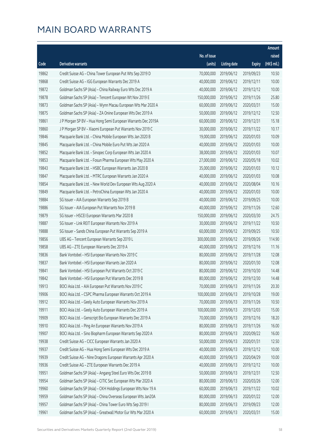|       |                                                              |              |                       |               | Amount      |
|-------|--------------------------------------------------------------|--------------|-----------------------|---------------|-------------|
|       |                                                              | No. of issue |                       |               | raised      |
| Code  | Derivative warrants                                          | (units)      | <b>Listing date</b>   | <b>Expiry</b> | (HK\$ mil.) |
| 19862 | Credit Suisse AG - China Tower European Put Wts Sep 2019 D   | 70,000,000   | 2019/06/12            | 2019/09/23    | 10.50       |
| 19868 | Credit Suisse AG - IGG European Warrants Dec 2019 A          | 40,000,000   | 2019/06/12            | 2019/12/11    | 10.00       |
| 19872 | Goldman Sachs SP (Asia) - China Railway Euro Wts Dec 2019 A  | 40,000,000   | 2019/06/12            | 2019/12/12    | 10.00       |
| 19878 | Goldman Sachs SP (Asia) - Tencent European Wt Nov 2019 E     | 150,000,000  | 2019/06/12            | 2019/11/26    | 25.80       |
| 19873 | Goldman Sachs SP (Asia) - Wynn Macau European Wts Mar 2020 A | 60,000,000   | 2019/06/12            | 2020/03/31    | 15.00       |
| 19875 | Goldman Sachs SP (Asia) - ZA Onine European Wts Dec 2019 A   | 50,000,000   | 2019/06/12            | 2019/12/12    | 12.50       |
| 19861 | J P Morgan SP BV - Hua Hong Semi European Warrants Dec 2019A | 60,000,000   | 2019/06/12            | 2019/12/31    | 15.18       |
| 19860 | J P Morgan SP BV - Xiaomi European Put Warrants Nov 2019 C   | 30,000,000   | 2019/06/12            | 2019/11/22    | 10.17       |
| 19846 | Macquarie Bank Ltd. - China Mobile European Wts Jan 2020 B   | 19,000,000   | 2019/06/12            | 2020/01/03    | 10.09       |
| 19845 | Macquarie Bank Ltd. - China Mobile Euro Put Wts Jan 2020 A   | 40,000,000   | 2019/06/12            | 2020/01/03    | 10.00       |
| 19852 | Macquarie Bank Ltd. - Sinopec Corp European Wts Jan 2020 A   | 38,000,000   | 2019/06/12            | 2020/01/03    | 10.07       |
| 19853 | Macquarie Bank Ltd. - Fosun Pharma European Wts May 2020 A   | 27,000,000   | 2019/06/12            | 2020/05/18    | 10.02       |
| 19843 | Macquarie Bank Ltd. - HSBC European Warrants Jan 2020 B      | 35,000,000   | 2019/06/12            | 2020/01/03    | 10.12       |
| 19847 | Macquarie Bank Ltd. - MTRC European Warrants Jan 2020 A      | 40,000,000   | 2019/06/12            | 2020/01/03    | 10.08       |
| 19854 | Macquarie Bank Ltd. - New World Dev European Wts Aug 2020 A  | 40,000,000   | 2019/06/12            | 2020/08/04    | 10.16       |
| 19849 | Macquarie Bank Ltd. - PetroChina European Wts Jan 2020 A     | 40,000,000   | 2019/06/12            | 2020/01/03    | 10.00       |
| 19884 | SG Issuer - AIA European Warrants Sep 2019 B                 | 40,000,000   | 2019/06/12            | 2019/09/25    | 10.00       |
| 19886 | SG Issuer - AIA European Put Warrants Nov 2019 B             | 40,000,000   | 2019/06/12            | 2019/11/26    | 12.60       |
| 19879 | SG Issuer - HSCEI European Warrants Mar 2020 B               | 150,000,000  | 2019/06/12            | 2020/03/30    | 24.75       |
| 19887 | SG Issuer - Link REIT European Warrants Nov 2019 A           | 30,000,000   | 2019/06/12            | 2019/11/22    | 10.50       |
| 19888 | SG Issuer - Sands China European Put Warrants Sep 2019 A     | 60,000,000   | 2019/06/12            | 2019/09/25    | 10.50       |
| 19856 | UBS AG - Tencent European Warrants Sep 2019 L                | 300,000,000  | 2019/06/12            | 2019/09/26    | 114.90      |
| 19858 | UBS AG - ZTE European Warrants Dec 2019 A                    | 40,000,000   | 2019/06/12            | 2019/12/16    | 11.16       |
| 19836 | Bank Vontobel - HSI European Warrants Nov 2019 C             | 80,000,000   | 2019/06/12            | 2019/11/28    | 12.08       |
| 19837 | Bank Vontobel - HSI European Warrants Jan 2020 A             | 80,000,000   | 2019/06/12            | 2020/01/30    | 12.08       |
| 19841 | Bank Vontobel - HSI European Put Warrants Oct 2019 C         | 80,000,000   | 2019/06/12            | 2019/10/30    | 14.48       |
| 19842 | Bank Vontobel - HSI European Put Warrants Dec 2019 B         |              | 80,000,000 2019/06/12 | 2019/12/30    | 14.48       |
| 19913 | BOCI Asia Ltd. - AIA European Put Warrants Nov 2019 C        | 70,000,000   | 2019/06/13            | 2019/11/26    | 20.30       |
| 19906 | BOCI Asia Ltd. - CSPC Pharma European Warrants Oct 2019 A    | 100,000,000  | 2019/06/13            | 2019/10/28    | 19.00       |
| 19912 | BOCI Asia Ltd. - Geely Auto European Warrants Nov 2019 A     | 70,000,000   | 2019/06/13            | 2019/11/26    | 10.50       |
| 19911 | BOCI Asia Ltd. - Geely Auto European Warrants Dec 2019 A     | 100,000,000  | 2019/06/13            | 2019/12/03    | 15.00       |
| 19909 | BOCI Asia Ltd. - Genscript Bio European Warrants Dec 2019 A  | 70,000,000   | 2019/06/13            | 2019/12/16    | 18.20       |
| 19910 | BOCI Asia Ltd. - Ping An European Warrants Nov 2019 A        | 80,000,000   | 2019/06/13            | 2019/11/26    | 16.00       |
| 19907 | BOCI Asia Ltd. - Sino Biopharm European Warrants Sep 2020 A  | 80,000,000   | 2019/06/13            | 2020/09/22    | 16.00       |
| 19938 | Credit Suisse AG - CICC European Warrants Jan 2020 A         | 50,000,000   | 2019/06/13            | 2020/01/31    | 12.50       |
| 19937 | Credit Suisse AG - Hua Hong Semi European Wts Dec 2019 A     | 40,000,000   | 2019/06/13            | 2019/12/12    | 10.00       |
| 19939 | Credit Suisse AG - Nine Dragons European Warrants Apr 2020 A | 40,000,000   | 2019/06/13            | 2020/04/29    | 10.00       |
| 19936 | Credit Suisse AG - ZTE European Warrants Dec 2019 A          | 40,000,000   | 2019/06/13            | 2019/12/12    | 10.00       |
| 19951 | Goldman Sachs SP (Asia) - Angang Steel Euro Wts Dec 2019 B   | 50,000,000   | 2019/06/13            | 2019/12/31    | 12.50       |
| 19954 | Goldman Sachs SP (Asia) - CITIC Sec European Wts Mar 2020 A  | 80,000,000   | 2019/06/13            | 2020/03/26    | 12.00       |
| 19960 | Goldman Sachs SP (Asia) - CKH Holdings European Wts Nov 19 A | 60,000,000   | 2019/06/13            | 2019/11/22    | 10.02       |
| 19959 | Goldman Sachs SP (Asia) - China Overseas European Wts Jan20A | 80,000,000   | 2019/06/13            | 2020/01/22    | 12.00       |
| 19957 | Goldman Sachs SP (Asia) - China Tower Euro Wts Sep 2019 I    | 80,000,000   | 2019/06/13            | 2019/09/23    | 12.00       |
| 19961 | Goldman Sachs SP (Asia) - Greatwall Motor Eur Wts Mar 2020 A | 60,000,000   | 2019/06/13            | 2020/03/31    | 15.00       |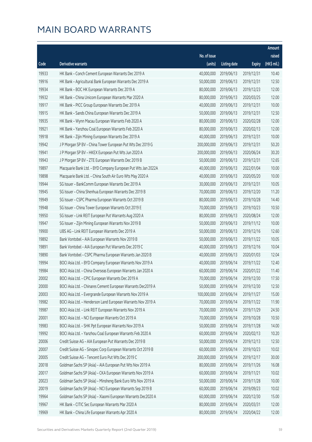|       |                                                              |              |                       |               | Amount      |
|-------|--------------------------------------------------------------|--------------|-----------------------|---------------|-------------|
|       |                                                              | No. of issue |                       |               | raised      |
| Code  | Derivative warrants                                          | (units)      | <b>Listing date</b>   | <b>Expiry</b> | (HK\$ mil.) |
| 19933 | HK Bank - Conch Cement European Warrants Dec 2019 A          | 40,000,000   | 2019/06/13            | 2019/12/31    | 10.40       |
| 19916 | HK Bank - Agricultural Bank European Warrants Dec 2019 A     | 50,000,000   | 2019/06/13            | 2019/12/31    | 12.50       |
| 19934 | HK Bank - BOC HK European Warrants Dec 2019 A                | 80,000,000   | 2019/06/13            | 2019/12/23    | 12.00       |
| 19932 | HK Bank - China Unicom European Warrants Mar 2020 A          | 80,000,000   | 2019/06/13            | 2020/03/25    | 12.00       |
| 19917 | HK Bank - PICC Group European Warrants Dec 2019 A            | 40,000,000   | 2019/06/13            | 2019/12/31    | 10.00       |
| 19915 | HK Bank - Sands China European Warrants Dec 2019 A           | 50,000,000   | 2019/06/13            | 2019/12/31    | 12.50       |
| 19935 | HK Bank - Wynn Macau European Warrants Feb 2020 A            | 80,000,000   | 2019/06/13            | 2020/02/28    | 12.00       |
| 19921 | HK Bank - Yanzhou Coal European Warrants Feb 2020 A          | 80,000,000   | 2019/06/13            | 2020/02/13    | 12.00       |
| 19918 | HK Bank - Zijin Mining European Warrants Dec 2019 A          | 40,000,000   | 2019/06/13            | 2019/12/31    | 10.00       |
| 19942 | J P Morgan SP BV - China Tower European Put Wts Dec 2019 G   | 200,000,000  | 2019/06/13            | 2019/12/31    | 50.20       |
| 19941 | J P Morgan SP BV - HKEX European Put Wts Jun 2020 A          | 200,000,000  | 2019/06/13            | 2020/06/24    | 30.20       |
| 19943 | J P Morgan SP BV - ZTE European Warrants Dec 2019 B          | 50,000,000   | 2019/06/13            | 2019/12/31    | 12.65       |
| 19897 | Macquarie Bank Ltd. - BYD Company European Put Wts Jan 2022A | 40,000,000   | 2019/06/13            | 2022/01/04    | 10.00       |
| 19898 | Macquarie Bank Ltd. - China South Air Euro Wts May 2020 A    | 40,000,000   | 2019/06/13            | 2020/05/20    | 10.00       |
| 19944 | SG Issuer - BankComm European Warrants Dec 2019 A            | 30,000,000   | 2019/06/13            | 2019/12/31    | 10.05       |
| 19945 | SG Issuer - China Shenhua European Warrants Dec 2019 B       | 70,000,000   | 2019/06/13            | 2019/12/20    | 11.20       |
| 19949 | SG Issuer - CSPC Pharma European Warrants Oct 2019 B         | 80,000,000   | 2019/06/13            | 2019/10/28    | 14.40       |
| 19948 | SG Issuer - China Tower European Warrants Oct 2019 E         | 70,000,000   | 2019/06/13            | 2019/10/23    | 10.50       |
| 19950 | SG Issuer - Link REIT European Put Warrants Aug 2020 A       | 80,000,000   | 2019/06/13            | 2020/08/24    | 12.00       |
| 19947 | SG Issuer - Zijin Mining European Warrants Nov 2019 B        | 50,000,000   | 2019/06/13            | 2019/11/12    | 10.00       |
| 19900 | UBS AG - Link REIT European Warrants Dec 2019 A              | 50,000,000   | 2019/06/13            | 2019/12/16    | 12.60       |
| 19892 | Bank Vontobel - AIA European Warrants Nov 2019 B             | 50,000,000   | 2019/06/13            | 2019/11/22    | 10.05       |
| 19891 | Bank Vontobel - AIA European Put Warrants Dec 2019 C         | 40,000,000   | 2019/06/13            | 2019/12/16    | 10.04       |
| 19890 | Bank Vontobel - CSPC Pharma European Warrants Jan 2020 B     | 40,000,000   | 2019/06/13            | 2020/01/03    | 12.04       |
| 19994 | BOCI Asia Ltd. - BYD Company European Warrants Nov 2019 A    | 40,000,000   | 2019/06/14            | 2019/11/22    | 12.40       |
| 19984 | BOCI Asia Ltd. - China Overseas European Warrants Jan 2020 A | 60,000,000   | 2019/06/14            | 2020/01/22    | 11.40       |
| 20002 | BOCI Asia Ltd. - CPIC European Warrants Dec 2019 A           |              | 70,000,000 2019/06/14 | 2019/12/30    | 17.50       |
| 20000 | BOCI Asia Ltd. - Chinares Cement European Warrants Dec2019 A | 50,000,000   | 2019/06/14            | 2019/12/30    | 12.50       |
| 20003 | BOCI Asia Ltd. - Evergrande European Warrants Nov 2019 A     | 100,000,000  | 2019/06/14            | 2019/11/27    | 15.00       |
| 19982 | BOCI Asia Ltd. - Henderson Land European Warrants Nov 2019 A | 70,000,000   | 2019/06/14            | 2019/11/22    | 11.90       |
| 19987 | BOCI Asia Ltd. - Link REIT European Warrants Nov 2019 A      | 70,000,000   | 2019/06/14            | 2019/11/29    | 24.50       |
| 20001 | BOCI Asia Ltd. - NCI European Warrants Oct 2019 A            | 70,000,000   | 2019/06/14            | 2019/10/28    | 10.50       |
| 19983 | BOCI Asia Ltd. - SHK Ppt European Warrants Nov 2019 A        | 50,000,000   | 2019/06/14            | 2019/11/28    | 14.00       |
| 19992 | BOCI Asia Ltd. - Yanzhou Coal European Warrants Feb 2020 A   | 60,000,000   | 2019/06/14            | 2020/02/13    | 10.20       |
| 20006 | Credit Suisse AG - AIA European Put Warrants Dec 2019 B      | 50,000,000   | 2019/06/14            | 2019/12/13    | 12.50       |
| 20007 | Credit Suisse AG - Sinopec Corp European Warrants Oct 2019 B | 60,000,000   | 2019/06/14            | 2019/10/23    | 10.02       |
| 20005 | Credit Suisse AG - Tencent Euro Put Wts Dec 2019 C           | 200,000,000  | 2019/06/14            | 2019/12/17    | 30.00       |
| 20018 | Goldman Sachs SP (Asia) - AIA European Put Wts Nov 2019 A    | 80,000,000   | 2019/06/14            | 2019/11/26    | 16.08       |
| 20017 | Goldman Sachs SP (Asia) - CKA European Warrants Nov 2019 A   | 60,000,000   | 2019/06/14            | 2019/11/21    | 10.02       |
| 20023 | Goldman Sachs SP (Asia) - Minsheng Bank Euro Wts Nov 2019 A  | 50,000,000   | 2019/06/14            | 2019/11/28    | 10.00       |
| 20019 | Goldman Sachs SP (Asia) - NCI European Warrants Sep 2019 B   | 60,000,000   | 2019/06/14            | 2019/09/23    | 10.02       |
| 19964 | Goldman Sachs SP (Asia) - Xiaomi European Warrants Dec2020 A | 60,000,000   | 2019/06/14            | 2020/12/30    | 15.00       |
| 19967 | HK Bank - CITIC Sec European Warrants Mar 2020 A             | 80,000,000   | 2019/06/14            | 2020/03/31    | 12.00       |
| 19969 | HK Bank - China Life European Warrants Apr 2020 A            | 80,000,000   | 2019/06/14            | 2020/04/22    | 12.00       |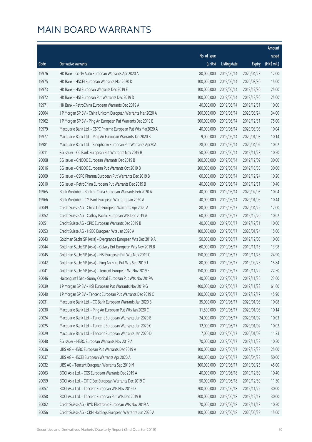|       |                                                              |              |                       |               | Amount      |
|-------|--------------------------------------------------------------|--------------|-----------------------|---------------|-------------|
|       |                                                              | No. of issue |                       |               | raised      |
| Code  | Derivative warrants                                          | (units)      | <b>Listing date</b>   | <b>Expiry</b> | (HK\$ mil.) |
| 19976 | HK Bank - Geely Auto European Warrants Apr 2020 A            | 80,000,000   | 2019/06/14            | 2020/04/23    | 12.00       |
| 19975 | HK Bank - HSCEI European Warrants Mar 2020 D                 | 100,000,000  | 2019/06/14            | 2020/03/30    | 15.00       |
| 19973 | HK Bank - HSI European Warrants Dec 2019 E                   | 100,000,000  | 2019/06/14            | 2019/12/30    | 25.00       |
| 19972 | HK Bank - HSI European Put Warrants Dec 2019 D               | 100,000,000  | 2019/06/14            | 2019/12/30    | 25.00       |
| 19971 | HK Bank - PetroChina European Warrants Dec 2019 A            | 40,000,000   | 2019/06/14            | 2019/12/31    | 10.00       |
| 20004 | J P Morgan SP BV - China Unicom European Warrants Mar 2020 A | 200,000,000  | 2019/06/14            | 2020/03/24    | 34.00       |
| 19962 | J P Morgan SP BV - Ping An European Put Warrants Dec 2019 E  | 500,000,000  | 2019/06/14            | 2019/12/31    | 75.00       |
| 19979 | Macquarie Bank Ltd. - CSPC Pharma European Put Wts Mar2020 A | 40,000,000   | 2019/06/14            | 2020/03/03    | 10.04       |
| 19977 | Macquarie Bank Ltd. - Ping An European Warrants Jan 2020 B   | 9,000,000    | 2019/06/14            | 2020/01/03    | 10.14       |
| 19981 | Macquarie Bank Ltd. - Sinopharm European Put Warrants Apr20A | 28,000,000   | 2019/06/14            | 2020/04/02    | 10.02       |
| 20011 | SG Issuer - CC Bank European Put Warrants Nov 2019 B         | 50,000,000   | 2019/06/14            | 2019/11/28    | 10.50       |
| 20008 | SG Issuer - CNOOC European Warrants Dec 2019 B               | 200,000,000  | 2019/06/14            | 2019/12/09    | 30.00       |
| 20016 | SG Issuer - CNOOC European Put Warrants Oct 2019 B           | 200,000,000  | 2019/06/14            | 2019/10/30    | 30.00       |
| 20009 | SG Issuer - CSPC Pharma European Put Warrants Dec 2019 B     | 60,000,000   | 2019/06/14            | 2019/12/24    | 10.20       |
| 20010 | SG Issuer - PetroChina European Put Warrants Dec 2019 B      | 40,000,000   | 2019/06/14            | 2019/12/31    | 10.40       |
| 19965 | Bank Vontobel - Bank of China European Warrants Feb 2020 A   | 40,000,000   | 2019/06/14            | 2020/02/03    | 10.04       |
| 19966 | Bank Vontobel - CM Bank European Warrants Jan 2020 A         | 40,000,000   | 2019/06/14            | 2020/01/06    | 10.44       |
| 20049 | Credit Suisse AG - China Life European Warrants Apr 2020 A   | 80,000,000   | 2019/06/17            | 2020/04/22    | 12.00       |
| 20052 | Credit Suisse AG - Cathay Pacific European Wts Dec 2019 A    | 60,000,000   | 2019/06/17            | 2019/12/20    | 10.02       |
| 20051 | Credit Suisse AG - CPIC European Warrants Dec 2019 B         | 40,000,000   | 2019/06/17            | 2019/12/31    | 10.00       |
| 20053 | Credit Suisse AG - HSBC European Wts Jan 2020 A              | 100,000,000  | 2019/06/17            | 2020/01/24    | 15.00       |
| 20043 | Goldman Sachs SP (Asia) - Evergrande European Wts Dec 2019 A | 50,000,000   | 2019/06/17            | 2019/12/03    | 10.00       |
| 20044 | Goldman Sachs SP (Asia) - Galaxy Ent European Wts Nov 2019 B | 60,000,000   | 2019/06/17            | 2019/11/13    | 13.98       |
| 20045 | Goldman Sachs SP (Asia) - HSI European Put Wts Nov 2019 C    | 150,000,000  | 2019/06/17            | 2019/11/28    | 24.90       |
| 20042 | Goldman Sachs SP (Asia) - Ping An Euro Put Wts Sep 2019 J    | 80,000,000   | 2019/06/17            | 2019/09/23    | 15.84       |
| 20041 | Goldman Sachs SP (Asia) - Tencent European Wt Nov 2019 F     | 150,000,000  | 2019/06/17            | 2019/11/22    | 22.50       |
| 20046 | Haitong Int'l Sec - Sunny Optical European Put Wts Nov 2019A |              | 40,000,000 2019/06/17 | 2019/11/26    | 23.60       |
| 20039 | J P Morgan SP BV - HSI European Put Warrants Nov 2019 G      | 400,000,000  | 2019/06/17            | 2019/11/28    | 61.60       |
| 20040 | J P Morgan SP BV - Tencent European Put Warrants Dec 2019 C  | 300,000,000  | 2019/06/17            | 2019/12/17    | 45.90       |
| 20031 | Macquarie Bank Ltd. - CC Bank European Warrants Jan 2020 B   | 35,000,000   | 2019/06/17            | 2020/01/03    | 10.08       |
| 20030 | Macquarie Bank Ltd. - Ping An European Put Wts Jan 2020 C    | 11,500,000   | 2019/06/17            | 2020/01/03    | 10.14       |
| 20024 | Macquarie Bank Ltd. - Tencent European Warrants Jan 2020 B   | 24,000,000   | 2019/06/17            | 2020/01/02    | 10.03       |
| 20025 | Macquarie Bank Ltd. - Tencent European Warrants Jan 2020 C   | 12,000,000   | 2019/06/17            | 2020/01/02    | 10.02       |
| 20029 | Macquarie Bank Ltd. - Tencent European Warrants Jan 2020 D   | 7,000,000    | 2019/06/17            | 2020/01/02    | 11.33       |
| 20048 | SG Issuer - HSBC European Warrants Nov 2019 A                | 70,000,000   | 2019/06/17            | 2019/11/22    | 10.50       |
| 20036 | UBS AG - HSBC European Put Warrants Dec 2019 A               | 100,000,000  | 2019/06/17            | 2019/12/23    | 25.00       |
| 20037 | UBS AG - HSCEI European Warrants Apr 2020 A                  | 200,000,000  | 2019/06/17            | 2020/04/28    | 50.00       |
| 20032 | UBS AG - Tencent European Warrants Sep 2019 M                | 300,000,000  | 2019/06/17            | 2019/09/25    | 45.00       |
| 20063 | BOCI Asia Ltd. - CGS European Warrants Dec 2019 A            | 40,000,000   | 2019/06/18            | 2019/12/30    | 10.40       |
| 20059 | BOCI Asia Ltd. - CITIC Sec European Warrants Dec 2019 C      | 50,000,000   | 2019/06/18            | 2019/12/30    | 11.50       |
| 20057 | BOCI Asia Ltd. - Tencent European Wts Nov 2019 D             | 200,000,000  | 2019/06/18            | 2019/11/29    | 30.00       |
| 20058 | BOCI Asia Ltd. - Tencent European Put Wts Dec 2019 B         | 200,000,000  | 2019/06/18            | 2019/12/17    | 30.00       |
| 20082 | Credit Suisse AG - BYD Electronic European Wts Nov 2019 A    | 70,000,000   | 2019/06/18            | 2019/11/18    | 10.50       |
| 20056 | Credit Suisse AG - CKH Holdings European Warrants Jun 2020 A | 100,000,000  | 2019/06/18            | 2020/06/22    | 15.00       |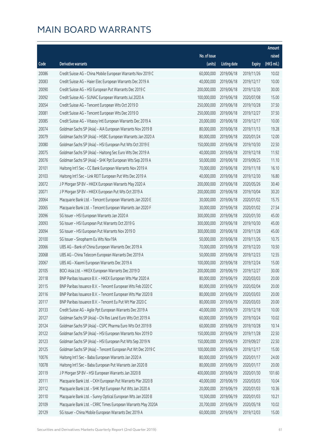|       |                                                              |              |                       |               | Amount      |
|-------|--------------------------------------------------------------|--------------|-----------------------|---------------|-------------|
|       |                                                              | No. of issue |                       |               | raised      |
| Code  | Derivative warrants                                          | (units)      | <b>Listing date</b>   | <b>Expiry</b> | (HK\$ mil.) |
| 20086 | Credit Suisse AG - China Mobile European Warrants Nov 2019 C | 60,000,000   | 2019/06/18            | 2019/11/26    | 10.02       |
| 20083 | Credit Suisse AG - Haier Elec European Warrants Dec 2019 A   | 40,000,000   | 2019/06/18            | 2019/12/17    | 10.00       |
| 20090 | Credit Suisse AG - HSI European Put Warrants Dec 2019 C      | 200,000,000  | 2019/06/18            | 2019/12/30    | 30.00       |
| 20092 | Credit Suisse AG - SUNAC European Warrants Jul 2020 A        | 100,000,000  | 2019/06/18            | 2020/07/08    | 15.00       |
| 20054 | Credit Suisse AG - Tencent European Wts Oct 2019 D           | 250,000,000  | 2019/06/18            | 2019/10/28    | 37.50       |
| 20081 | Credit Suisse AG - Tencent European Wts Dec 2019 D           | 250,000,000  | 2019/06/18            | 2019/12/27    | 37.50       |
| 20085 | Credit Suisse AG - Vitasoy Intl European Warrants Dec 2019 A | 20,000,000   | 2019/06/18            | 2019/12/17    | 10.00       |
| 20074 | Goldman Sachs SP (Asia) - AIA European Warrants Nov 2019 B   | 80,000,000   | 2019/06/18            | 2019/11/13    | 19.28       |
| 20079 | Goldman Sachs SP (Asia) - HSBC European Warrants Jan 2020 A  | 80,000,000   | 2019/06/18            | 2020/01/24    | 12.00       |
| 20080 | Goldman Sachs SP (Asia) - HSI European Put Wts Oct 2019 E    | 150,000,000  | 2019/06/18            | 2019/10/30    | 22.50       |
| 20075 | Goldman Sachs SP (Asia) - Haitong Sec Euro Wts Dec 2019 A    | 40,000,000   | 2019/06/18            | 2019/12/18    | 11.92       |
| 20076 | Goldman Sachs SP (Asia) - SHK Ppt European Wts Sep 2019 A    | 50,000,000   | 2019/06/18            | 2019/09/25    | 11.10       |
| 20101 | Haitong Int'l Sec - CC Bank European Warrants Nov 2019 A     | 70,000,000   | 2019/06/18            | 2019/11/18    | 16.10       |
| 20103 | Haitong Int'l Sec - Link REIT European Put Wts Dec 2019 A    | 40,000,000   | 2019/06/18            | 2019/12/30    | 16.80       |
| 20072 | J P Morgan SP BV - HKEX European Warrants May 2020 A         | 200,000,000  | 2019/06/18            | 2020/05/26    | 30.40       |
| 20071 | J P Morgan SP BV - HKEX European Put Wts Oct 2019 A          | 200,000,000  | 2019/06/18            | 2019/10/04    | 30.20       |
| 20064 | Macquarie Bank Ltd. - Tencent European Warrants Jan 2020 E   | 30,000,000   | 2019/06/18            | 2020/01/02    | 15.75       |
| 20065 | Macquarie Bank Ltd. - Tencent European Warrants Jan 2020 F   | 30,000,000   | 2019/06/18            | 2020/01/02    | 27.54       |
| 20096 | SG Issuer - HSI European Warrants Jan 2020 A                 | 300,000,000  | 2019/06/18            | 2020/01/30    | 45.00       |
| 20093 | SG Issuer - HSI European Put Warrants Oct 2019 G             | 300,000,000  | 2019/06/18            | 2019/10/30    | 45.00       |
| 20094 | SG Issuer - HSI European Put Warrants Nov 2019 D             | 300,000,000  | 2019/06/18            | 2019/11/28    | 45.00       |
| 20100 | SG Issuer - Sinopharm Eu Wts Nov19A                          | 50,000,000   | 2019/06/18            | 2019/11/26    | 10.75       |
| 20066 | UBS AG - Bank of China European Warrants Dec 2019 A          | 70,000,000   | 2019/06/18            | 2019/12/20    | 10.50       |
| 20068 | UBS AG - China Telecom European Warrants Dec 2019 A          | 50,000,000   | 2019/06/18            | 2019/12/23    | 12.55       |
| 20067 | UBS AG - Xiaomi European Warrants Dec 2019 A                 | 100,000,000  | 2019/06/18            | 2019/12/24    | 15.00       |
| 20105 | BOCI Asia Ltd. - HKEX European Warrants Dec 2019 D           | 200,000,000  | 2019/06/19            | 2019/12/27    | 30.00       |
| 20118 | BNP Paribas Issuance B.V. - HKEX European Wts Mar 2020 A     |              | 80,000,000 2019/06/19 | 2020/03/03    | 20.00       |
| 20115 | BNP Paribas Issuance B.V. - Tencent European Wts Feb 2020 C  | 80,000,000   | 2019/06/19            | 2020/02/04    | 20.00       |
| 20116 | BNP Paribas Issuance B.V. - Tencent European Wts Mar 2020 B  | 80,000,000   | 2019/06/19            | 2020/03/03    | 20.00       |
| 20117 | BNP Paribas Issuance B.V. - Tencent Eu Put Wt Mar 2020 C     | 80,000,000   | 2019/06/19            | 2020/03/03    | 20.00       |
| 20133 | Credit Suisse AG - Agile Ppt European Warrants Dec 2019 A    | 40,000,000   | 2019/06/19            | 2019/12/18    | 10.00       |
| 20127 | Goldman Sachs SP (Asia) - Chi Res Land Euro Wts Oct 2019 A   | 60,000,000   | 2019/06/19            | 2019/10/24    | 10.02       |
| 20124 | Goldman Sachs SP (Asia) - CSPC Pharma Euro Wts Oct 2019 B    | 60,000,000   | 2019/06/19            | 2019/10/28    | 10.14       |
| 20122 | Goldman Sachs SP (Asia) - HSI European Warrants Nov 2019 D   | 150,000,000  | 2019/06/19            | 2019/11/28    | 22.50       |
| 20123 | Goldman Sachs SP (Asia) - HSI European Put Wts Sep 2019 N    | 150,000,000  | 2019/06/19            | 2019/09/27    | 22.50       |
| 20125 | Goldman Sachs SP (Asia) - Tencent European Put Wt Dec 2019 C | 100,000,000  | 2019/06/19            | 2019/12/17    | 15.00       |
| 10076 | Haitong Int'l Sec - Baba European Warrants Jan 2020 A        | 80,000,000   | 2019/06/19            | 2020/01/17    | 24.00       |
| 10078 | Haitong Int'l Sec - Baba European Put Warrants Jan 2020 B    | 80,000,000   | 2019/06/19            | 2020/01/17    | 20.00       |
| 20119 | J P Morgan SP BV - HSI European Warrants Jan 2020 B          | 400,000,000  | 2019/06/19            | 2020/01/30    | 101.60      |
| 20111 | Macquarie Bank Ltd. - CKH European Put Warrants Mar 2020 B   | 40,000,000   | 2019/06/19            | 2020/03/03    | 10.04       |
| 20112 | Macquarie Bank Ltd. - SHK Ppt European Put Wts Jan 2020 A    | 20,000,000   | 2019/06/19            | 2020/01/03    | 10.36       |
| 20110 | Macquarie Bank Ltd. - Sunny Optical European Wts Jan 2020 B  | 10,500,000   | 2019/06/19            | 2020/01/03    | 10.21       |
| 20109 | Macquarie Bank Ltd. - CRRC Times European Warrants May 2020A | 20,700,000   | 2019/06/19            | 2020/05/18    | 10.02       |
| 20129 | SG Issuer - China Mobile European Warrants Dec 2019 A        | 60,000,000   | 2019/06/19            | 2019/12/03    | 15.00       |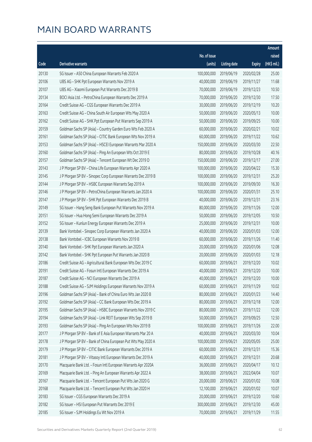|       |                                                              |              |                       |               | Amount      |
|-------|--------------------------------------------------------------|--------------|-----------------------|---------------|-------------|
|       |                                                              | No. of issue |                       |               | raised      |
| Code  | <b>Derivative warrants</b>                                   | (units)      | <b>Listing date</b>   | <b>Expiry</b> | (HK\$ mil.) |
| 20130 | SG Issuer - A50 China European Warrants Feb 2020 A           | 100,000,000  | 2019/06/19            | 2020/02/28    | 25.00       |
| 20106 | UBS AG - SHK Ppt European Warrants Nov 2019 A                | 40,000,000   | 2019/06/19            | 2019/11/27    | 11.68       |
| 20107 | UBS AG - Xiaomi European Put Warrants Dec 2019 B             | 70,000,000   | 2019/06/19            | 2019/12/23    | 10.50       |
| 20134 | BOCI Asia Ltd. - PetroChina European Warrants Dec 2019 A     | 70,000,000   | 2019/06/20            | 2019/12/30    | 17.50       |
| 20164 | Credit Suisse AG - CGS European Warrants Dec 2019 A          | 30,000,000   | 2019/06/20            | 2019/12/19    | 10.20       |
| 20163 | Credit Suisse AG - China South Air European Wts May 2020 A   | 50,000,000   | 2019/06/20            | 2020/05/13    | 10.00       |
| 20162 | Credit Suisse AG - SHK Ppt European Put Warrants Sep 2019 A  | 50,000,000   | 2019/06/20            | 2019/09/25    | 10.00       |
| 20159 | Goldman Sachs SP (Asia) - Country Garden Euro Wts Feb 2020 A | 60,000,000   | 2019/06/20            | 2020/02/21    | 10.02       |
| 20161 | Goldman Sachs SP (Asia) - CITIC Bank European Wts Nov 2019 A | 60,000,000   | 2019/06/20            | 2019/11/22    | 10.62       |
| 20153 | Goldman Sachs SP (Asia) - HSCEI European Warrants Mar 2020 A | 150,000,000  | 2019/06/20            | 2020/03/30    | 22.50       |
| 20160 | Goldman Sachs SP (Asia) - Ping An European Wts Oct 2019 E    | 80,000,000   | 2019/06/20            | 2019/10/28    | 40.16       |
| 20157 | Goldman Sachs SP (Asia) - Tencent European Wt Dec 2019 D     | 150,000,000  | 2019/06/20            | 2019/12/17    | 27.00       |
| 20143 | J P Morgan SP BV - China Life European Warrants Apr 2020 A   | 100,000,000  | 2019/06/20            | 2020/04/22    | 15.30       |
| 20145 | J P Morgan SP BV - Sinopec Corp European Warrants Dec 2019 B | 100,000,000  | 2019/06/20            | 2019/12/31    | 25.20       |
| 20144 | J P Morgan SP BV - HSBC European Warrants Sep 2019 A         | 100,000,000  | 2019/06/20            | 2019/09/30    | 16.30       |
| 20146 | J P Morgan SP BV - PetroChina European Warrants Jan 2020 A   | 100,000,000  | 2019/06/20            | 2020/01/31    | 25.10       |
| 20147 | J P Morgan SP BV - SHK Ppt European Warrants Dec 2019 B      | 40,000,000   | 2019/06/20            | 2019/12/31    | 23.16       |
| 20149 | SG Issuer - Hang Seng Bank European Put Warrants Nov 2019 A  | 80,000,000   | 2019/06/20            | 2019/11/26    | 12.00       |
| 20151 | SG Issuer - Hua Hong Semi European Warrants Dec 2019 A       | 50,000,000   | 2019/06/20            | 2019/12/05    | 10.50       |
| 20152 | SG Issuer - Kunlun Energy European Warrants Dec 2019 A       | 25,000,000   | 2019/06/20            | 2019/12/31    | 10.00       |
| 20139 | Bank Vontobel - Sinopec Corp European Warrants Jan 2020 A    | 40,000,000   | 2019/06/20            | 2020/01/03    | 12.00       |
| 20138 | Bank Vontobel - ICBC European Warrants Nov 2019 B            | 60,000,000   | 2019/06/20            | 2019/11/26    | 11.40       |
| 20140 | Bank Vontobel - SHK Ppt European Warrants Jan 2020 A         | 20,000,000   | 2019/06/20            | 2020/01/06    | 12.08       |
| 20142 | Bank Vontobel - SHK Ppt European Put Warrants Jan 2020 B     | 20,000,000   | 2019/06/20            | 2020/01/03    | 12.18       |
| 20186 | Credit Suisse AG - Agricultural Bank European Wts Dec 2019 C | 60,000,000   | 2019/06/21            | 2019/12/20    | 10.02       |
| 20191 | Credit Suisse AG - Fosun Intl European Warrants Dec 2019 A   | 40,000,000   | 2019/06/21            | 2019/12/20    | 10.00       |
| 20187 | Credit Suisse AG - NCI European Warrants Dec 2019 A          |              | 40,000,000 2019/06/21 | 2019/12/20    | 10.00       |
| 20188 | Credit Suisse AG - SJM Holdings European Warrants Nov 2019 A | 60,000,000   | 2019/06/21            | 2019/11/29    | 10.02       |
| 20196 | Goldman Sachs SP (Asia) - Bank of China Euro Wts Jan 2020 B  | 80,000,000   | 2019/06/21            | 2020/01/23    | 14.40       |
| 20192 | Goldman Sachs SP (Asia) - CC Bank European Wts Dec 2019 A    | 80,000,000   | 2019/06/21            | 2019/12/18    | 12.00       |
| 20195 | Goldman Sachs SP (Asia) - HSBC European Warrants Nov 2019 C  | 80,000,000   | 2019/06/21            | 2019/11/22    | 12.00       |
| 20194 | Goldman Sachs SP (Asia) - Link REIT European Wts Sep 2019 B  | 50,000,000   | 2019/06/21            | 2019/09/25    | 12.50       |
| 20193 | Goldman Sachs SP (Asia) - Ping An European Wts Nov 2019 B    | 100,000,000  | 2019/06/21            | 2019/11/26    | 22.00       |
| 20177 | J P Morgan SP BV - Bank of E Asia European Warrants Mar 20 A | 40,000,000   | 2019/06/21            | 2020/03/30    | 10.04       |
| 20178 | J P Morgan SP BV - Bank of China European Put Wts May 2020 A | 100,000,000  | 2019/06/21            | 2020/05/05    | 25.00       |
| 20179 | J P Morgan SP BV - CITIC Bank European Warrants Dec 2019 A   | 60,000,000   | 2019/06/21            | 2019/12/31    | 15.36       |
| 20181 | J P Morgan SP BV - Vitasoy Intl European Warrants Dec 2019 A | 40,000,000   | 2019/06/21            | 2019/12/31    | 20.68       |
| 20170 | Macquarie Bank Ltd. - Fosun Intl European Warrants Apr 2020A | 36,000,000   | 2019/06/21            | 2020/04/17    | 10.12       |
| 20169 | Macquarie Bank Ltd. - Ping An European Warrants Apr 2022 A   | 38,000,000   | 2019/06/21            | 2022/04/04    | 10.07       |
| 20167 | Macquarie Bank Ltd. - Tencent European Put Wts Jan 2020 G    | 20,000,000   | 2019/06/21            | 2020/01/02    | 10.08       |
| 20168 | Macquarie Bank Ltd. - Tencent European Put Wts Jan 2020 H    | 12,100,000   | 2019/06/21            | 2020/01/02    | 10.07       |
| 20183 | SG Issuer - CGS European Warrants Dec 2019 A                 | 20,000,000   | 2019/06/21            | 2019/12/20    | 10.60       |
| 20182 | SG Issuer - HSI European Put Warrants Dec 2019 E             | 300,000,000  | 2019/06/21            | 2019/12/30    | 45.00       |
| 20185 | SG Issuer - SJM Holdings Eu Wt Nov 2019 A                    | 70,000,000   | 2019/06/21            | 2019/11/29    | 11.55       |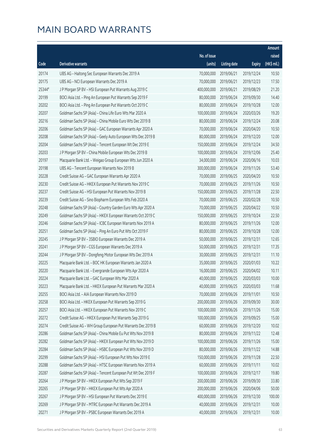|        |                                                              |              |                       |               | Amount      |
|--------|--------------------------------------------------------------|--------------|-----------------------|---------------|-------------|
|        |                                                              | No. of issue |                       |               | raised      |
| Code   | Derivative warrants                                          | (units)      | <b>Listing date</b>   | <b>Expiry</b> | (HK\$ mil.) |
| 20174  | UBS AG - Haitong Sec European Warrants Dec 2019 A            | 70,000,000   | 2019/06/21            | 2019/12/24    | 10.50       |
| 20175  | UBS AG - NCI European Warrants Dec 2019 A                    | 70,000,000   | 2019/06/21            | 2019/12/23    | 17.50       |
| 25344# | J P Morgan SP BV - HSI European Put Warrants Aug 2019 C      | 400,000,000  | 2019/06/21            | 2019/08/29    | 21.20       |
| 20199  | BOCI Asia Ltd. - Ping An European Put Warrants Sep 2019 F    | 80,000,000   | 2019/06/24            | 2019/09/30    | 14.40       |
| 20202  | BOCI Asia Ltd. - Ping An European Put Warrants Oct 2019 C    | 80,000,000   | 2019/06/24            | 2019/10/28    | 12.00       |
| 20207  | Goldman Sachs SP (Asia) - China Life Euro Wts Mar 2020 A     | 100,000,000  | 2019/06/24            | 2020/03/26    | 19.20       |
| 20216  | Goldman Sachs SP (Asia) - China Mobile Euro Wts Dec 2019 B   | 80,000,000   | 2019/06/24            | 2019/12/24    | 20.08       |
| 20206  | Goldman Sachs SP (Asia) - GAC European Warrants Apr 2020 A   | 70,000,000   | 2019/06/24            | 2020/04/20    | 10.50       |
| 20208  | Goldman Sachs SP (Asia) - Geely Auto European Wts Dec 2019 B | 80,000,000   | 2019/06/24            | 2019/12/20    | 12.00       |
| 20204  | Goldman Sachs SP (Asia) - Tencent European Wt Dec 2019 E     | 150,000,000  | 2019/06/24            | 2019/12/24    | 34.50       |
| 20203  | J P Morgan SP BV - China Mobile European Wts Dec 2019 B      | 100,000,000  | 2019/06/24            | 2019/12/06    | 25.40       |
| 20197  | Macquarie Bank Ltd. - Weigao Group European Wts Jun 2020 A   | 34,000,000   | 2019/06/24            | 2020/06/16    | 10.03       |
| 20198  | UBS AG - Tencent European Warrants Nov 2019 B                | 300,000,000  | 2019/06/24            | 2019/11/26    | 53.40       |
| 20228  | Credit Suisse AG - GAC European Warrants Apr 2020 A          | 70,000,000   | 2019/06/25            | 2020/04/20    | 10.50       |
| 20230  | Credit Suisse AG - HKEX European Put Warrants Nov 2019 C     | 70,000,000   | 2019/06/25            | 2019/11/26    | 10.50       |
| 20237  | Credit Suisse AG - HSI European Put Warrants Nov 2019 B      | 150,000,000  | 2019/06/25            | 2019/11/28    | 22.50       |
| 20239  | Credit Suisse AG - Sino Biopharm European Wts Feb 2020 A     | 70,000,000   | 2019/06/25            | 2020/02/28    | 10.50       |
| 20248  | Goldman Sachs SP (Asia) - Country Garden Euro Wts Apr 2020 A | 70,000,000   | 2019/06/25            | 2020/04/22    | 10.50       |
| 20249  | Goldman Sachs SP (Asia) - HKEX European Warrants Oct 2019 C  | 150,000,000  | 2019/06/25            | 2019/10/24    | 22.50       |
| 20246  | Goldman Sachs SP (Asia) - ICBC European Warrants Nov 2019 A  | 80,000,000   | 2019/06/25            | 2019/11/26    | 12.00       |
| 20251  | Goldman Sachs SP (Asia) - Ping An Euro Put Wts Oct 2019 F    | 80,000,000   | 2019/06/25            | 2019/10/28    | 12.00       |
| 20245  | J P Morgan SP BV - 3SBIO European Warrants Dec 2019 A        | 50,000,000   | 2019/06/25            | 2019/12/31    | 12.65       |
| 20241  | J P Morgan SP BV - CGS European Warrants Dec 2019 A          | 50,000,000   | 2019/06/25            | 2019/12/31    | 17.35       |
| 20244  | J P Morgan SP BV - Dongfeng Motor European Wts Dec 2019 A    | 30,000,000   | 2019/06/25            | 2019/12/31    | 11.10       |
| 20225  | Macquarie Bank Ltd. - BOC HK European Warrants Jan 2020 A    | 35,000,000   | 2019/06/25            | 2020/01/03    | 10.22       |
| 20220  | Macquarie Bank Ltd. - Evergrande European Wts Apr 2020 A     | 16,000,000   | 2019/06/25            | 2020/04/02    | 10.11       |
| 20224  | Macquarie Bank Ltd. - GAC European Wts Mar 2020 A            |              | 40,000,000 2019/06/25 | 2020/03/03    | 10.00       |
| 20223  | Macquarie Bank Ltd. - HKEX European Put Warrants Mar 2020 A  | 40,000,000   | 2019/06/25            | 2020/03/03    | 11.68       |
| 20255  | BOCI Asia Ltd. - AIA European Warrants Nov 2019 D            | 70,000,000   | 2019/06/26            | 2019/11/01    | 10.50       |
| 20258  | BOCI Asia Ltd. - HKEX European Put Warrants Sep 2019 G       | 200,000,000  | 2019/06/26            | 2019/09/30    | 30.00       |
| 20257  | BOCI Asia Ltd. - HKEX European Put Warrants Nov 2019 C       | 100,000,000  | 2019/06/26            | 2019/11/26    | 15.00       |
| 20272  | Credit Suisse AG - HKEX European Put Warrants Sep 2019 G     | 100,000,000  | 2019/06/26            | 2019/09/25    | 15.00       |
| 20274  | Credit Suisse AG - WH Group European Put Warrants Dec 2019 B | 60,000,000   | 2019/06/26            | 2019/12/20    | 10.02       |
| 20286  | Goldman Sachs SP (Asia) - China Mobile Eu Put Wts Nov 2019 B | 80,000,000   | 2019/06/26            | 2019/11/22    | 12.48       |
| 20282  | Goldman Sachs SP (Asia) - HKEX European Put Wts Nov 2019 D   | 100,000,000  | 2019/06/26            | 2019/11/26    | 15.00       |
| 20284  | Goldman Sachs SP (Asia) - HSBC European Put Wts Nov 2019 D   | 80,000,000   | 2019/06/26            | 2019/11/22    | 14.88       |
| 20299  | Goldman Sachs SP (Asia) - HSI European Put Wts Nov 2019 E    | 150,000,000  | 2019/06/26            | 2019/11/28    | 22.50       |
| 20288  | Goldman Sachs SP (Asia) - HTSC European Warrants Nov 2019 A  | 60,000,000   | 2019/06/26            | 2019/11/11    | 10.02       |
| 20287  | Goldman Sachs SP (Asia) - Tencent European Put Wt Dec 2019 F | 100,000,000  | 2019/06/26            | 2019/12/17    | 19.80       |
| 20264  | J P Morgan SP BV - HKEX European Put Wts Sep 2019 F          | 200,000,000  | 2019/06/26            | 2019/09/30    | 33.80       |
| 20265  | J P Morgan SP BV - HKEX European Put Wts Apr 2020 A          | 200,000,000  | 2019/06/26            | 2020/04/06    | 50.00       |
| 20267  | J P Morgan SP BV - HSI European Put Warrants Dec 2019 E      | 400,000,000  | 2019/06/26            | 2019/12/30    | 100.00      |
| 20269  | J P Morgan SP BV - MTRC European Put Warrants Dec 2019 A     | 40,000,000   | 2019/06/26            | 2019/12/31    | 10.00       |
| 20271  | J P Morgan SP BV - PSBC European Warrants Dec 2019 A         | 40,000,000   | 2019/06/26            | 2019/12/31    | 10.00       |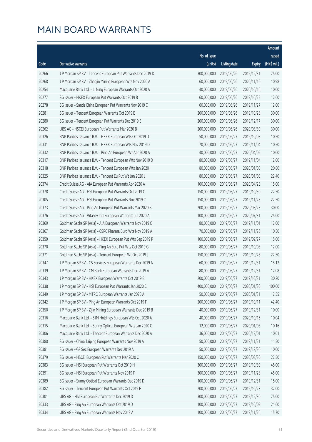|       |                                                              |                        |                     |               | Amount       |
|-------|--------------------------------------------------------------|------------------------|---------------------|---------------|--------------|
|       |                                                              | No. of issue           |                     |               | raised       |
| Code  | Derivative warrants                                          | (units)                | <b>Listing date</b> | <b>Expiry</b> | $(HK\$ mil.) |
| 20266 | J P Morgan SP BV - Tencent European Put Warrants Dec 2019 D  | 300,000,000            | 2019/06/26          | 2019/12/31    | 75.00        |
| 20268 | J P Morgan SP BV - Zhaojin Mining European Wts Nov 2020 A    | 60,000,000             | 2019/06/26          | 2020/11/16    | 10.98        |
| 20254 | Macquarie Bank Ltd. - Li Ning European Warrants Oct 2020 A   | 40,000,000             | 2019/06/26          | 2020/10/16    | 10.00        |
| 20277 | SG Issuer - HKEX European Put Warrants Oct 2019 B            | 60,000,000             | 2019/06/26          | 2019/10/25    | 12.60        |
| 20278 | SG Issuer - Sands China European Put Warrants Nov 2019 C     | 60,000,000             | 2019/06/26          | 2019/11/27    | 12.00        |
| 20281 | SG Issuer - Tencent European Warrants Oct 2019 E             | 200,000,000            | 2019/06/26          | 2019/10/28    | 30.00        |
| 20280 | SG Issuer - Tencent European Put Warrants Dec 2019 E         | 200,000,000            | 2019/06/26          | 2019/12/17    | 30.00        |
| 20262 | UBS AG - HSCEI European Put Warrants Mar 2020 B              | 200,000,000            | 2019/06/26          | 2020/03/30    | 30.00        |
| 20326 | BNP Paribas Issuance B.V. - HKEX European Wts Oct 2019 D     | 50,000,000             | 2019/06/27          | 2019/10/03    | 10.50        |
| 20331 | BNP Paribas Issuance B.V. - HKEX European Wts Nov 2019 D     | 70,000,000             | 2019/06/27          | 2019/11/04    | 10.50        |
| 20332 | BNP Paribas Issuance B.V. - Ping An European Wt Apr 2020 A   | 40,000,000             | 2019/06/27          | 2020/04/02    | 10.00        |
| 20317 | BNP Paribas Issuance B.V. - Tencent European Wts Nov 2019 D  | 80,000,000             | 2019/06/27          | 2019/11/04    | 12.00        |
| 20318 | BNP Paribas Issuance B.V. - Tencent European Wts Jan 2020 I  | 80,000,000             | 2019/06/27          | 2020/01/03    | 20.80        |
| 20325 | BNP Paribas Issuance B.V. - Tencent Eu Put Wt Jan 2020 J     | 80,000,000             | 2019/06/27          | 2020/01/03    | 22.40        |
| 20374 | Credit Suisse AG - AIA European Put Warrants Apr 2020 A      | 100,000,000            | 2019/06/27          | 2020/04/23    | 15.00        |
| 20378 | Credit Suisse AG - HSI European Put Warrants Oct 2019 C      | 150,000,000            | 2019/06/27          | 2019/10/30    | 22.50        |
| 20305 | Credit Suisse AG - HSI European Put Warrants Nov 2019 C      | 150,000,000            | 2019/06/27          | 2019/11/28    | 22.50        |
| 20373 | Credit Suisse AG - Ping An European Put Warrants Mar 2020 B  | 200,000,000            | 2019/06/27          | 2020/03/23    | 30.00        |
| 20376 | Credit Suisse AG - Vitasoy Intl European Warrants Jul 2020 A | 100,000,000            | 2019/06/27          | 2020/07/31    | 25.00        |
| 20369 | Goldman Sachs SP (Asia) - AIA European Warrants Nov 2019 C   | 80,000,000             | 2019/06/27          | 2019/11/01    | 12.00        |
| 20367 | Goldman Sachs SP (Asia) - CSPC Pharma Euro Wts Nov 2019 A    | 70,000,000             | 2019/06/27          | 2019/11/26    | 10.50        |
| 20359 | Goldman Sachs SP (Asia) - HKEX European Put Wts Sep 2019 P   | 100,000,000            | 2019/06/27          | 2019/09/27    | 15.00        |
| 20370 | Goldman Sachs SP (Asia) - Ping An Euro Put Wts Oct 2019 G    | 80,000,000             | 2019/06/27          | 2019/10/08    | 12.00        |
| 20371 | Goldman Sachs SP (Asia) - Tencent European Wt Oct 2019 J     | 150,000,000            | 2019/06/27          | 2019/10/28    | 22.50        |
| 20347 | J P Morgan SP BV - CS Services European Warrants Dec 2019 A  | 60,000,000             | 2019/06/27          | 2019/12/31    | 15.12        |
| 20339 | J P Morgan SP BV - CM Bank European Warrants Dec 2019 A      | 80,000,000             | 2019/06/27          | 2019/12/31    | 12.08        |
| 20343 | J P Morgan SP BV - HKEX European Warrants Oct 2019 B         | 200,000,000 2019/06/27 |                     | 2019/10/31    | 30.20        |
| 20338 | J P Morgan SP BV - HSI European Put Warrants Jan 2020 C      | 400,000,000            | 2019/06/27          | 2020/01/30    | 100.00       |
| 20349 | J P Morgan SP BV - MTRC European Warrants Jan 2020 A         | 50,000,000             | 2019/06/27          | 2020/01/31    | 12.55        |
| 20342 | J P Morgan SP BV - Ping An European Warrants Oct 2019 F      | 200,000,000            | 2019/06/27          | 2019/10/11    | 42.40        |
| 20350 | J P Morgan SP BV - Zijin Mining European Warrants Dec 2019 B | 40,000,000             | 2019/06/27          | 2019/12/31    | 10.00        |
| 20316 | Macquarie Bank Ltd. - SJM Holdings European Wts Oct 2020 A   | 40,000,000             | 2019/06/27          | 2020/10/16    | 10.04        |
| 20315 | Macquarie Bank Ltd. - Sunny Optical European Wts Jan 2020 C  | 12,000,000             | 2019/06/27          | 2020/01/03    | 10.16        |
| 20306 | Macquarie Bank Ltd. - Tencent European Warrants Dec 2020 A   | 36,000,000             | 2019/06/27          | 2020/12/01    | 10.01        |
| 20380 | SG Issuer - China Taiping European Warrants Nov 2019 A       | 50,000,000             | 2019/06/27          | 2019/11/21    | 11.50        |
| 20381 | SG Issuer - GF Sec European Warrants Dec 2019 A              | 50,000,000             | 2019/06/27          | 2019/12/20    | 10.00        |
| 20379 | SG Issuer - HSCEI European Put Warrants Mar 2020 C           | 150,000,000            | 2019/06/27          | 2020/03/30    | 22.50        |
| 20383 | SG Issuer - HSI European Put Warrants Oct 2019 H             | 300,000,000            | 2019/06/27          | 2019/10/30    | 45.00        |
| 20391 | SG Issuer - HSI European Put Warrants Nov 2019 F             | 300,000,000            | 2019/06/27          | 2019/11/28    | 45.00        |
| 20389 | SG Issuer - Sunny Optical European Warrants Dec 2019 D       | 100,000,000            | 2019/06/27          | 2019/12/31    | 15.00        |
| 20382 | SG Issuer - Tencent European Put Warrants Oct 2019 F         | 200,000,000            | 2019/06/27          | 2019/10/23    | 32.00        |
| 20301 | UBS AG - HSI European Put Warrants Dec 2019 D                | 300,000,000            | 2019/06/27          | 2019/12/30    | 75.00        |
| 20333 | UBS AG - Ping An European Warrants Oct 2019 D                | 100,000,000            | 2019/06/27          | 2019/10/09    | 21.60        |
| 20334 | UBS AG - Ping An European Warrants Nov 2019 A                | 100,000,000            | 2019/06/27          | 2019/11/26    | 15.70        |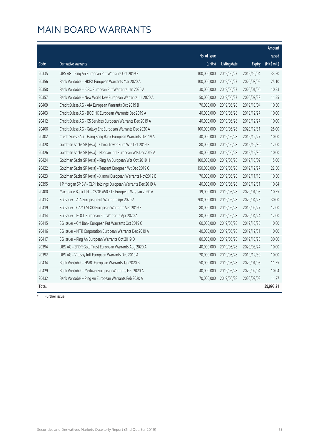|              |                                                              |              |                     |               | Amount      |
|--------------|--------------------------------------------------------------|--------------|---------------------|---------------|-------------|
|              |                                                              | No. of issue |                     |               | raised      |
| Code         | <b>Derivative warrants</b>                                   | (units)      | <b>Listing date</b> | <b>Expiry</b> | (HK\$ mil.) |
| 20335        | UBS AG - Ping An European Put Warrants Oct 2019 E            | 100,000,000  | 2019/06/27          | 2019/10/04    | 33.50       |
| 20356        | Bank Vontobel - HKEX European Warrants Mar 2020 A            | 100,000,000  | 2019/06/27          | 2020/03/02    | 25.10       |
| 20358        | Bank Vontobel - ICBC European Put Warrants Jan 2020 A        | 30,000,000   | 2019/06/27          | 2020/01/06    | 10.53       |
| 20357        | Bank Vontobel - New World Dev European Warrants Jul 2020 A   | 50,000,000   | 2019/06/27          | 2020/07/28    | 11.55       |
| 20409        | Credit Suisse AG - AIA European Warrants Oct 2019 B          | 70,000,000   | 2019/06/28          | 2019/10/04    | 10.50       |
| 20403        | Credit Suisse AG - BOC HK European Warrants Dec 2019 A       | 40,000,000   | 2019/06/28          | 2019/12/27    | 10.00       |
| 20412        | Credit Suisse AG - CS Services European Warrants Dec 2019 A  | 40,000,000   | 2019/06/28          | 2019/12/27    | 10.00       |
| 20406        | Credit Suisse AG - Galaxy Ent European Warrants Dec 2020 A   | 100,000,000  | 2019/06/28          | 2020/12/31    | 25.00       |
| 20402        | Credit Suisse AG - Hang Seng Bank European Warrants Dec 19 A | 40,000,000   | 2019/06/28          | 2019/12/27    | 10.00       |
| 20428        | Goldman Sachs SP (Asia) - China Tower Euro Wts Oct 2019 E    | 80,000,000   | 2019/06/28          | 2019/10/30    | 12.00       |
| 20426        | Goldman Sachs SP (Asia) - Hengan Intl European Wts Dec2019 A | 40,000,000   | 2019/06/28          | 2019/12/30    | 10.00       |
| 20424        | Goldman Sachs SP (Asia) - Ping An European Wts Oct 2019 H    | 100,000,000  | 2019/06/28          | 2019/10/09    | 15.00       |
| 20422        | Goldman Sachs SP (Asia) - Tencent European Wt Dec 2019 G     | 150,000,000  | 2019/06/28          | 2019/12/27    | 22.50       |
| 20423        | Goldman Sachs SP (Asia) - Xiaomi European Warrants Nov2019 B | 70,000,000   | 2019/06/28          | 2019/11/13    | 10.50       |
| 20395        | J P Morgan SP BV - CLP Holdings European Warrants Dec 2019 A | 40,000,000   | 2019/06/28          | 2019/12/31    | 10.84       |
| 20400        | Macquarie Bank Ltd. - CSOP A50 ETF European Wts Jan 2020 A   | 19,000,000   | 2019/06/28          | 2020/01/03    | 10.55       |
| 20413        | SG Issuer - AIA European Put Warrants Apr 2020 A             | 200,000,000  | 2019/06/28          | 2020/04/23    | 30.00       |
| 20419        | SG Issuer - CAM CSI300 European Warrants Sep 2019 F          | 80,000,000   | 2019/06/28          | 2019/09/27    | 12.00       |
| 20414        | SG Issuer - BOCL European Put Warrants Apr 2020 A            | 80,000,000   | 2019/06/28          | 2020/04/24    | 12.00       |
| 20415        | SG Issuer - CM Bank European Put Warrants Oct 2019 C         | 60,000,000   | 2019/06/28          | 2019/10/25    | 10.80       |
| 20416        | SG Issuer - MTR Corporation European Warrants Dec 2019 A     | 40,000,000   | 2019/06/28          | 2019/12/31    | 10.00       |
| 20417        | SG Issuer - Ping An European Warrants Oct 2019 D             | 80,000,000   | 2019/06/28          | 2019/10/28    | 30.80       |
| 20394        | UBS AG - SPDR Gold Trust European Warrants Aug 2020 A        | 40,000,000   | 2019/06/28          | 2020/08/24    | 10.00       |
| 20392        | UBS AG - Vitasoy Intl European Warrants Dec 2019 A           | 20,000,000   | 2019/06/28          | 2019/12/30    | 10.00       |
| 20434        | Bank Vontobel - HSBC European Warrants Jan 2020 B            | 50,000,000   | 2019/06/28          | 2020/01/06    | 11.55       |
| 20429        | Bank Vontobel - Meituan European Warrants Feb 2020 A         | 40,000,000   | 2019/06/28          | 2020/02/04    | 10.04       |
| 20432        | Bank Vontobel - Ping An European Warrants Feb 2020 A         | 70,000,000   | 2019/06/28          | 2020/02/03    | 11.27       |
| <b>Total</b> |                                                              |              |                     |               | 39,993.21   |

# Further issue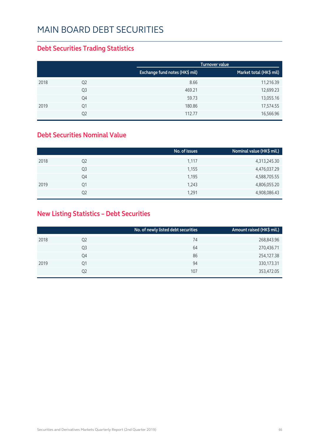#### **Debt Securities Trading Statistics**

|      |                |                                | Turnover value          |
|------|----------------|--------------------------------|-------------------------|
|      |                | Exchange fund notes (HK\$ mil) | Market total (HK\$ mil) |
| 2018 | Q <sub>2</sub> | 8.66                           | 11,216.39               |
|      | Q <sub>3</sub> | 469.21                         | 12,699.23               |
|      | Q4             | 59.73                          | 13,055.16               |
| 2019 | Q1             | 180.86                         | 17,574.55               |
|      | Q2             | 112.77                         | 16,566.96               |

#### **Debt Securities Nominal Value**

|      |                | No. of issues | Nominal value (HK\$ mil.) |
|------|----------------|---------------|---------------------------|
| 2018 | Q <sub>2</sub> | 1,117         | 4,313,245.30              |
|      | Q3             | 1,155         | 4,476,037.29              |
|      | Q4             | 1,195         | 4,588,705.55              |
| 2019 | Q1             | 1,243         | 4,806,055.20              |
|      | Q2             | 1,291         | 4,908,086.43              |

#### **New Listing Statistics – Debt Securities**

|      |    | No. of newly listed debt securities | Amount raised (HK\$ mil.) |
|------|----|-------------------------------------|---------------------------|
| 2018 | Q2 | 74                                  | 268,843.96                |
|      | Q3 | 64                                  | 270,436.71                |
|      | Q4 | 86                                  | 254,127.38                |
| 2019 | Ο1 | 94                                  | 330,173.31                |
|      | Q2 | 107                                 | 353,472.05                |
|      |    |                                     |                           |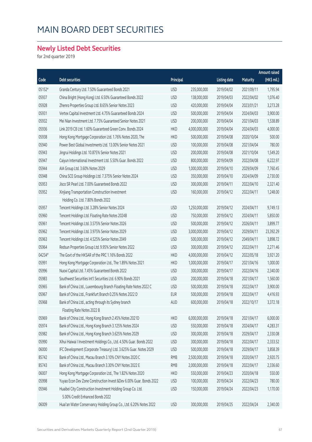#### **Newly Listed Debt Securities**

for 2nd quarter 2019

|        |                                                                     |            |               |                     |            | Amount raised |
|--------|---------------------------------------------------------------------|------------|---------------|---------------------|------------|---------------|
| Code   | Debt securities                                                     | Principal  |               | <b>Listing date</b> | Maturity   | (HK\$ mil.)   |
| 05152# | Granda Century Ltd. 7.50% Guaranteed Bonds 2021                     | <b>USD</b> | 235,000,000   | 2019/04/02          | 2021/09/11 | 1,795.94      |
| 05937  | China Bright (Hong Kong) Ltd. 6.50% Guaranteed Bonds 2022           | <b>USD</b> | 138,000,000   | 2019/04/03          | 2022/04/02 | 1,076.40      |
| 05928  | Zhenro Properties Group Ltd. 8.65% Senior Notes 2023                | <b>USD</b> | 420,000,000   | 2019/04/04          | 2023/01/21 | 3,273.28      |
| 05931  | Vertex Capital Investment Ltd. 4.75% Guaranteed Bonds 2024          | <b>USD</b> | 500,000,000   | 2019/04/04          | 2024/04/03 | 3,900.00      |
| 05932  | Mei Nian Investment Ltd. 7.75% Guaranteed Senior Notes 2021         | <b>USD</b> | 200,000,000   | 2019/04/04          | 2021/04/03 | 1,538.89      |
| 05936  | Link 2019 CB Ltd. 1.60% Guaranteed Green Conv. Bonds 2024           | <b>HKD</b> | 4,000,000,000 | 2019/04/04          | 2024/04/03 | 4,000.00      |
| 05938  | Hong Kong Mortgage Corporation Ltd. 1.76% Notes 2020, The           | <b>HKD</b> | 500,000,000   | 2019/04/08          | 2020/10/04 | 500.00        |
| 05940  | Power Best Global Investments Ltd. 13.00% Senior Notes 2021         | <b>USD</b> | 100,000,000   | 2019/04/08          | 2021/04/04 | 780.00        |
| 05943  | Jingrui Holdings Ltd. 10.875% Senior Notes 2021                     | <b>USD</b> | 200,000,000   | 2019/04/08          | 2021/10/04 | 1,549.20      |
| 05947  | Caiyun International Investment Ltd. 5.50% Guar. Bonds 2022         | <b>USD</b> | 800,000,000   | 2019/04/09          | 2022/04/08 | 6,222.97      |
| 05944  | AIA Group Ltd. 3.60% Notes 2029                                     | <b>USD</b> | 1,000,000,000 | 2019/04/10          | 2029/04/09 | 7,760.45      |
| 05948  | China SCE Group Holdings Ltd. 7.375% Senior Notes 2024              | <b>USD</b> | 350,000,000   | 2019/04/10          | 2024/04/09 | 2,730.00      |
| 05953  | Jisco SR Pearl Ltd. 7.00% Guaranteed Bonds 2022                     | <b>USD</b> | 300,000,000   | 2019/04/11          | 2022/04/10 | 2,321.40      |
| 05952  | Xinjiang Transportation Construction Investment                     | <b>USD</b> | 160,000,000   | 2019/04/12          | 2022/04/11 | 1,248.00      |
|        | Holding Co. Ltd. 7.80% Bonds 2022                                   |            |               |                     |            |               |
| 05957  | Tencent Holdings Ltd. 3.28% Senior Notes 2024                       | <b>USD</b> | 1,250,000,000 | 2019/04/12          | 2024/04/11 | 9,749.13      |
| 05960  | Tencent Holdings Ltd. Floating Rate Notes 2024B                     | <b>USD</b> | 750,000,000   | 2019/04/12          | 2024/04/11 | 5,850.00      |
| 05961  | Tencent Holdings Ltd. 3.575% Senior Notes 2026                      | <b>USD</b> | 500,000,000   | 2019/04/12          | 2026/04/11 | 3,899.77      |
| 05962  | Tencent Holdings Ltd. 3.975% Senior Notes 2029                      | <b>USD</b> | 3,000,000,000 | 2019/04/12          | 2029/04/11 | 23,392.29     |
| 05963  | Tencent Holdings Ltd. 4.525% Senior Notes 2049                      | <b>USD</b> | 500,000,000   | 2019/04/12          | 2049/04/11 | 3,898.72      |
| 05964  | Redsun Properties Group Ltd. 9.95% Senior Notes 2022                | <b>USD</b> | 300,000,000   | 2019/04/12          | 2022/04/11 | 2,271.46      |
| 04234# | The Govt of the HKSAR of the PRC 1.16% Bonds 2022                   | <b>HKD</b> | 4,000,000,000 | 2019/04/12          | 2022/05/18 | 3,921.20      |
| 05991  | Hong Kong Mortgage Corporation Ltd., The 1.89% Notes 2021           | <b>HKD</b> | 1,000,000,000 | 2019/04/17          | 2021/04/16 | 1,000.00      |
| 05996  | Nuoxi Capital Ltd. 7.45% Guaranteed Bonds 2022                      | <b>USD</b> | 300,000,000   | 2019/04/17          | 2022/04/16 | 2,340.00      |
| 05983  | Southwest Securities Int'l Securities Ltd. 6.90% Bonds 2021         | <b>USD</b> | 200,000,000   | 2019/04/18          | 2021/04/17 | 1,560.00      |
| 05965  | Bank of China Ltd., Luxembourg Branch Floating Rate Notes 2022 C    | <b>USD</b> | 500,000,000   | 2019/04/18          | 2022/04/17 | 3,900.00      |
| 05967  | Bank of China Ltd., Frankfurt Branch 0.25% Notes 2022 D             | <b>EUR</b> | 500,000,000   | 2019/04/18          | 2022/04/17 | 4,416.93      |
| 05968  | Bank of China Ltd., acting through its Sydney branch                | <b>AUD</b> | 600,000,000   | 2019/04/18          | 2022/10/17 | 3,372.18      |
|        | Floating Rate Notes 2022 B                                          |            |               |                     |            |               |
| 05969  | Bank of China Ltd., Hong Kong Branch 2.45% Notes 2021D              | <b>HKD</b> | 6,000,000,000 | 2019/04/18          | 2021/04/17 | 6,000.00      |
| 05974  | Bank of China Ltd., Hong Kong Branch 3.125% Notes 2024              | <b>USD</b> | 550,000,000   | 2019/04/18          | 2024/04/17 | 4,283.31      |
| 05982  | Bank of China Ltd., Hong Kong Branch 3.625% Notes 2029              | <b>USD</b> | 300,000,000   | 2019/04/18          | 2029/04/17 | 2,330.08      |
| 05990  | Xihui Haiwai I Investment Holdings Co., Ltd. 4.50% Guar. Bonds 2022 | <b>USD</b> | 300,000,000   | 2019/04/18          | 2022/04/17 | 2,333.52      |
| 06000  | IFC Development (Corporate Treasury) Ltd. 3.625% Guar. Notes 2029   | <b>USD</b> | 500,000,000   | 2019/04/18          | 2029/04/17 | 3,858.39      |
| 85742  | Bank of China Ltd., Macau Branch 3.10% CNY Notes 2020 C             | <b>RMB</b> | 2,500,000,000 | 2019/04/18          | 2020/04/17 | 2,920.75      |
| 85743  | Bank of China Ltd., Macau Branch 3.30% CNY Notes 2022 E             | <b>RMB</b> | 2,000,000,000 | 2019/04/18          | 2022/04/17 | 2,336.60      |
| 06007  | Hong Kong Mortgage Corporation Ltd., The 1.82% Notes 2020           | <b>HKD</b> | 550,000,000   | 2019/04/23          | 2020/04/18 | 550.00        |
| 05998  | Yuyao Econ Dev Zone Construction Invest &Dev 6.00% Guar. Bonds 2022 | <b>USD</b> | 100,000,000   | 2019/04/24          | 2022/04/23 | 780.00        |
| 05946  | Huaibei City Construction Investment Holding Group Co. Ltd.         | <b>USD</b> | 150,000,000   | 2019/04/24          | 2022/04/23 | 1,170.00      |
|        | 5.00% Credit Enhanced Bonds 2022                                    |            |               |                     |            |               |
| 06009  | Huai'an Water Conservancy Holding Group Co., Ltd. 6.20% Notes 2022  | <b>USD</b> | 300,000,000   | 2019/04/25          | 2022/04/24 | 2,340.00      |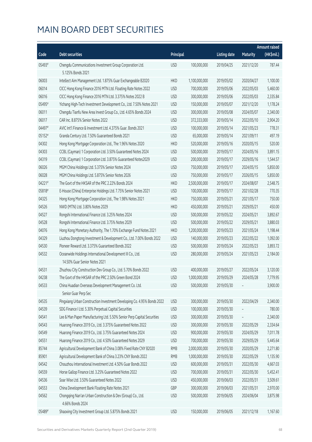|        |                                                                         |            |               |                     |                 | <b>Amount raised</b> |
|--------|-------------------------------------------------------------------------|------------|---------------|---------------------|-----------------|----------------------|
| Code   | <b>Debt securities</b>                                                  | Principal  |               | <b>Listing date</b> | <b>Maturity</b> | (HK\$mil.)           |
| 05493# | Chengdu Communications Investment Group Corporation Ltd.                | <b>USD</b> | 100,000,000   | 2019/04/25          | 2021/12/20      | 787.44               |
|        | 5.125% Bonds 2021                                                       |            |               |                     |                 |                      |
| 06003  | Intellect Aim Management Ltd. 1.875% Guar Exchangeable B2020            | <b>HKD</b> | 1,100,000,000 | 2019/05/02          | 2020/04/27      | 1,100.00             |
| 06014  | CICC Hong Kong Finance 2016 MTN Ltd. Floating Rate Notes 2022           | <b>USD</b> | 700,000,000   | 2019/05/06          | 2022/05/03      | 5,460.00             |
| 06016  | CICC Hong Kong Finance 2016 MTN Ltd. 3.375% Notes 2022 B                | <b>USD</b> | 300,000,000   | 2019/05/06          | 2022/05/03      | 2,335.84             |
| 05495# | Yichang High-Tech Investment Development Co., Ltd. 7.50% Notes 2021     | <b>USD</b> | 150,000,000   | 2019/05/07          | 2021/12/20      | 1,178.24             |
| 06011  | Chengdu Tianfu New Area Invest Group Co., Ltd. 4.65% Bonds 2024         | <b>USD</b> | 300,000,000   | 2019/05/08          | 2024/05/07      | 2,340.00             |
| 06017  | CAR Inc. 8.875% Senior Notes 2022                                       | <b>USD</b> | 372,333,000   | 2019/05/14          | 2022/05/10      | 2,904.20             |
| 04497# | AVIC Int'l Finance & Investment Ltd. 4.375% Guar. Bonds 2021            | <b>USD</b> | 100,000,000   | 2019/05/14          | 2021/05/23      | 778.31               |
| 05152# | Granda Century Ltd. 7.50% Guaranteed Bonds 2021                         | <b>USD</b> | 65,000,000    | 2019/05/14          | 2021/09/11      | 497.19               |
| 04302  | Hong Kong Mortgage Corporation Ltd., The 1.96% Notes 2020               | <b>HKD</b> | 520,000,000   | 2019/05/16          | 2020/05/15      | 520.00               |
| 04303  | CCBL (Cayman) 1 Corporation Ltd. 3.50% Guaranteed Notes 2024            | <b>USD</b> | 500,000,000   | 2019/05/17          | 2024/05/16      | 3,891.15             |
| 04319  | CCBL (Cayman) 1 Corporation Ltd. 3.875% Guaranteed Notes2029            | <b>USD</b> | 200,000,000   | 2019/05/17          | 2029/05/16      | 1,544.57             |
| 06026  | MGM China Holdings Ltd. 5.375% Senior Notes 2024                        | <b>USD</b> | 750,000,000   | 2019/05/17          | 2024/05/15      | 5,850.00             |
| 06028  | MGM China Holdings Ltd. 5.875% Senior Notes 2026                        | <b>USD</b> | 750,000,000   | 2019/05/17          | 2026/05/15      | 5,850.00             |
| 04221# | The Govt of the HKSAR of the PRC 2.22% Bonds 2024                       | <b>HKD</b> | 2,500,000,000 | 2019/05/17          | 2024/08/07      | 2,548.75             |
| 05818# | E-House (China) Enterprise Holdings Ltd. 7.75% Senior Notes 2021        | <b>USD</b> | 100,000,000   | 2019/05/17          | 2021/02/28      | 770.35               |
| 04325  | Hong Kong Mortgage Corporation Ltd., The 1.98% Notes 2021               | <b>HKD</b> | 750,000,000   | 2019/05/21          | 2021/05/17      | 750.00               |
| 04526  | NWD (MTN) Ltd. 3.80% Notes 2029                                         | <b>HKD</b> | 450,000,000   | 2019/05/21          | 2029/05/21      | 450.00               |
| 04527  | Rongshi International Finance Ltd. 3.25% Notes 2024                     | <b>USD</b> | 500,000,000   | 2019/05/22          | 2024/05/21      | 3,892.67             |
| 04528  | Rongshi International Finance Ltd. 3.75% Notes 2029                     | <b>USD</b> | 500,000,000   | 2019/05/22          | 2029/05/21      | 3,880.03             |
| 04076  | Hong Kong Monetary Authority, The 1.70% Exchange Fund Notes 2021        | <b>HKD</b> | 1,200,000,000 | 2019/05/23          | 2021/05/24      | 1,198.44             |
| 04329  | Liuzhou Dongtong Investment & Development Co., Ltd. 7.00% Bonds 2022    | <b>USD</b> | 140,000,000   | 2019/05/23          | 2022/05/22      | 1,092.00             |
| 04530  | Pioneer Reward Ltd. 3.375% Guaranteed Bonds 2022                        | <b>USD</b> | 500,000,000   | 2019/05/24          | 2022/05/23      | 3,893.72             |
| 04532  | Oceanwide Holdings International Development III Co., Ltd.              | <b>USD</b> | 280,000,000   | 2019/05/24          | 2021/05/23      | 2,184.00             |
|        | 14.50% Guar Senior Notes 2021                                           |            |               |                     |                 |                      |
| 04531  | Zhuzhou City Construction Dev Group Co., Ltd. 5.70% Bonds 2022          | <b>USD</b> | 400,000,000   | 2019/05/27          | 2022/05/24      | 3,120.00             |
| 04238  | The Govt of the HKSAR of the PRC 2.50% Green Bond 2024                  | <b>USD</b> | 1,000,000,000 | 2019/05/29          | 2024/05/28      | 7,779.95             |
| 04533  | China Huadian Overseas Development Management Co. Ltd.                  | <b>USD</b> | 500,000,000   | 2019/05/30          |                 | 3,900.00             |
|        | Senior Guar Perp Sec                                                    |            |               |                     |                 |                      |
| 04535  | Pingxiang Urban Construction Investment Developing Co. 4.95% Bonds 2022 | <b>USD</b> | 300,000,000   | 2019/05/30          | 2022/04/29      | 2,340.00             |
| 04539  | SDG Finance I Ltd. 5.30% Perpetual Capital Securities                   | <b>USD</b> | 100,000,000   | 2019/05/30          |                 | 780.00               |
| 04541  | Lee & Man Paper Manufacturing Ltd. 5.50% Senior Perp Capital Securities | <b>USD</b> | 300,000,000   | 2019/05/30          |                 | 2,340.00             |
| 04543  | Huarong Finance 2019 Co., Ltd. 3.375% Guaranteed Notes 2022             | <b>USD</b> | 300,000,000   | 2019/05/30          | 2022/05/29      | 2,334.64             |
| 04549  | Huarong Finance 2019 Co., Ltd. 3.75% Guaranteed Notes 2024              | <b>USD</b> | 900,000,000   | 2019/05/30          | 2024/05/29      | 7,011.78             |
| 04551  | Huarong Finance 2019 Co., Ltd. 4.50% Guaranteed Notes 2029              | <b>USD</b> | 700,000,000   | 2019/05/30          | 2029/05/29      | 5,445.64             |
| 85744  | Agricultural Development Bank of China 3.08% Fixed Rate CNY B2020       | <b>RMB</b> | 2,000,000,000 | 2019/05/30          | 2020/05/29      | 2,271.80             |
| 85901  | Agricultural Development Bank of China 3.23% CNY Bonds 2022             | <b>RMB</b> | 1,000,000,000 | 2019/05/30          | 2022/05/29      | 1,135.90             |
| 04542  | Chouzhou International Investment Ltd. 4.50% Guar Bonds 2022            | <b>USD</b> | 600,000,000   | 2019/05/31          | 2022/05/30      | 4,667.03             |
| 04559  | Horse Gallop Finance Ltd. 3.25% Guaranteed Notes 2022                   | <b>USD</b> | 700,000,000   | 2019/05/31          | 2022/05/30      | 5,452.41             |
| 04536  | Soar Wise Ltd. 3.50% Guaranteed Notes 2022                              | <b>USD</b> | 450,000,000   | 2019/06/03          | 2022/05/31      | 3,509.61             |
| 04553  | China Development Bank Floating Rate Notes 2021                         | GBP        | 300,000,000   | 2019/06/03          | 2021/05/31      | 2,970.00             |
| 04562  | Chongqing Nan'an Urban Construction & Dev (Group) Co., Ltd.             | <b>USD</b> | 500,000,000   | 2019/06/05          | 2024/06/04      | 3,875.98             |
|        | 4.66% Bonds 2024                                                        |            |               |                     |                 |                      |
| 05489# | Shaoxing City Investment Group Ltd. 5.875% Bonds 2021                   | <b>USD</b> | 150,000,000   | 2019/06/05          | 2021/12/18      | 1,167.60             |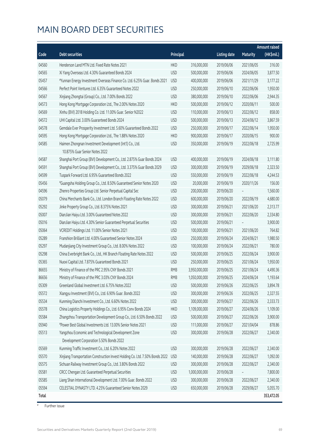|              |                                                                               |            |               |                     |                 | Amount raised |
|--------------|-------------------------------------------------------------------------------|------------|---------------|---------------------|-----------------|---------------|
| Code         | <b>Debt securities</b>                                                        | Principal  |               | <b>Listing date</b> | <b>Maturity</b> | (HK\$mil.)    |
| 04560        | Henderson Land MTN Ltd. Fixed Rate Notes 2021                                 | <b>HKD</b> | 316,000,000   | 2019/06/06          | 2021/06/05      | 316.00        |
| 04565        | Xi Yang Overseas Ltd. 4.30% Guaranteed Bonds 2024                             | <b>USD</b> | 500,000,000   | 2019/06/06          | 2024/06/05      | 3,877.50      |
| 05457        | #Yunnan Energy Investment Overseas Finance Co. Ltd. 6.25% Guar. Bonds 2021    | <b>USD</b> | 400,000,000   | 2019/06/06          | 2021/11/29      | 3,177.22      |
| 04566        | Perfect Point Ventures Ltd. 6.35% Guaranteed Notes 2022                       | <b>USD</b> | 250,000,000   | 2019/06/10          | 2022/06/06      | 1,950.00      |
| 04567        | Xinjiang Zhongtai (Group) Co., Ltd. 7.00% Bonds 2022                          | <b>USD</b> | 380,000,000   | 2019/06/10          | 2022/06/06      | 2,944.35      |
| 04573        | Hong Kong Mortgage Corporation Ltd., The 2.00% Notes 2020                     | <b>HKD</b> | 500,000,000   | 2019/06/12          | 2020/06/11      | 500.00        |
| 04569        | Xinhu (BVI) 2018 Holding Co. Ltd. 11.00% Guar. Senior N2022                   | <b>USD</b> | 110,000,000   | 2019/06/13          | 2022/06/12      | 858.00        |
| 04572        | UHI Capital Ltd. 3.00% Guaranteed Bonds 2024                                  | <b>USD</b> | 500,000,000   | 2019/06/13          | 2024/06/12      | 3,867.59      |
| 04578        | Gemdale Ever Prosperity Investment Ltd. 5.60% Guaranteed Bonds 2022           | <b>USD</b> | 250,000,000   | 2019/06/17          | 2022/06/14      | 1,950.00      |
| 04595        | Hong Kong Mortgage Corporation Ltd., The 1.88% Notes 2020                     | <b>HKD</b> | 900,000,000   | 2019/06/17          | 2020/06/15      | 900.00        |
| 04585        | Haimen Zhongnan Investment Development (Int'l) Co., Ltd.                      | <b>USD</b> | 350,000,000   | 2019/06/19          | 2022/06/18      | 2,725.99      |
|              | 10.875% Guar Senior Notes 2022                                                |            |               |                     |                 |               |
| 04587        | Shanghai Port Group (BVI) Development Co., Ltd. 2.875% Guar Bonds 2024        | <b>USD</b> | 400,000,000   | 2019/06/19          | 2024/06/18      | 3,111.80      |
| 04591        | Shanghai Port Group (BVI) Development Co., Ltd. 3.375% Guar Bonds 2029        | <b>USD</b> | 300,000,000   | 2019/06/19          | 2029/06/18      | 2,323.50      |
| 04599        | Tuspark Forward Ltd. 6.95% Guaranteed Bonds 2022                              | <b>USD</b> | 550,000,000   | 2019/06/19          | 2022/06/18      | 4,244.53      |
| 05456        | #Guangsha Holding Group Co., Ltd. 8.50% Guaranteed Senior Notes 2020          | <b>USD</b> | 20,000,000    | 2019/06/19          | 2020/11/26      | 156.00        |
| 04596        | Zhenro Properties Group Ltd. Senior Perpetual Capital Sec                     | <b>USD</b> | 200,000,000   | 2019/06/20          |                 | 1,560.00      |
| 05079        | China Merchants Bank Co., Ltd. London Branch Floating Rate Notes 2022         | <b>USD</b> | 600,000,000   | 2019/06/20          | 2022/06/19      | 4,680.00      |
| 05292        | Jinke Property Group Co., Ltd. 8.375% Notes 2021                              | <b>USD</b> | 300,000,000   | 2019/06/21          | 2021/06/20      | 2,313.77      |
| 05007        | DianJian Haiyu Ltd. 3.00% Guaranteed Notes 2022                               | <b>USD</b> | 300,000,000   | 2019/06/21          | 2022/06/20      | 2,334.80      |
| 05016        | DianJian Haiyu Ltd. 4.30% Senior Guaranteed Perpetual Securities              | <b>USD</b> | 500,000,000   | 2019/06/21          |                 | 3,900.00      |
| 05064        | VCREDIT Holdings Ltd. 11.00% Senior Notes 2021                                | <b>USD</b> | 100,000,000   | 2019/06/21          | 2021/06/20      | 764.82        |
| 05289        | Franshion Brilliant Ltd. 4.00% Guaranteed Senior Notes 2024                   | <b>USD</b> | 250,000,000   | 2019/06/24          | 2024/06/21      | 1,980.50      |
| 05297        | Mudanjiang City Investment Group Co., Ltd. 8.00% Notes 2022                   | <b>USD</b> | 100,000,000   | 2019/06/24          | 2022/06/21      | 780.00        |
| 05298        | China Everbright Bank Co., Ltd., HK Branch Floating Rate Notes 2022           | <b>USD</b> | 500,000,000   | 2019/06/25          | 2022/06/24      | 3,900.00      |
| 05365        | Nuoxi Capital Ltd. 7.875% Guaranteed Bonds 2021                               | <b>USD</b> | 250,000,000   | 2019/06/25          | 2021/06/24      | 1,950.00      |
| 86655        | Ministry of Finance of the PRC 2.95% CNY Bonds 2021                           | <b>RMB</b> | 3,950,000,000 | 2019/06/25          | 2021/06/24      | 4,490.36      |
| 86656        | Ministry of Finance of the PRC 3.03% CNY Bonds 2024                           | <b>RMB</b> | 1,050,000,000 | 2019/06/25          | 2024/06/24      | 1,193.64      |
| 05309        | Greenland Global Investment Ltd. 6.75% Notes 2022                             | <b>USD</b> | 500,000,000   | 2019/06/26          | 2022/06/25      | 3,894.78      |
| 05572        | Xiangyu Investment (BVI) Co., Ltd. 6.90% Guar. Bonds 2022                     | <b>USD</b> | 300,000,000   | 2019/06/26          | 2022/06/25      | 2,327.55      |
| 05534        | Kunming Dianchi Investment Co., Ltd. 6.60% Notes 2022                         | <b>USD</b> | 300,000,000   | 2019/06/27          | 2022/06/26      | 2,333.73      |
| 05578        | China Logistics Property Holdings Co., Ltd. 6.95% Conv Bonds 2024             | <b>HKD</b> | 1,109,000,000 | 2019/06/27          | 2024/06/26      | 1,109.00      |
| 05584        | Zhangzhou Transportation Development Group Co., Ltd. 6.50% Bonds 2022         | <b>USD</b> | 500,000,000   | 2019/06/27          | 2022/06/26      | 3,900.00      |
| 05940        | #Power Best Global Investments Ltd. 13.00% Senior Notes 2021                  | <b>USD</b> | 111,000,000   | 2019/06/27          | 2021/04/04      | 878.86        |
| 05513        | Yangzhou Economic and Technological Development Zone                          | <b>USD</b> | 300,000,000   | 2019/06/28          | 2022/06/27      | 2,340.00      |
|              | Development Corporation 5.50% Bonds 2022                                      |            |               |                     |                 |               |
| 05569        | Kunming Traffic Investment Co., Ltd. 6.20% Notes 2022                         | <b>USD</b> | 300,000,000   | 2019/06/28          | 2022/06/27      | 2,340.00      |
| 05570        | Xinjiang Transportation Construction Invest Holding Co. Ltd. 7.50% Bonds 2022 | <b>USD</b> | 140,000,000   | 2019/06/28          | 2022/06/27      | 1,092.00      |
| 05575        | Sichuan Railway Investment Group Co., Ltd. 3.80% Bonds 2022                   | <b>USD</b> | 300,000,000   | 2019/06/28          | 2022/06/27      | 2,340.00      |
| 05581        | CRCC Chengan Ltd. Guaranteed Perpetual Securities                             | <b>USD</b> | 1,000,000,000 | 2019/06/28          |                 | 7,800.00      |
| 05585        | Liang Shan International Development Ltd. 7.00% Guar. Bonds 2022              | <b>USD</b> | 300,000,000   | 2019/06/28          | 2022/06/27      | 2,340.00      |
| 05594        | CELESTIAL DYNASTY LTD. 4.25% Guaranteed Senior Notes 2029                     | <b>USD</b> | 650,000,000   | 2019/06/28          | 2029/06/27      | 5,055.70      |
| <b>Total</b> |                                                                               |            |               |                     |                 | 353,472.05    |

# Further issue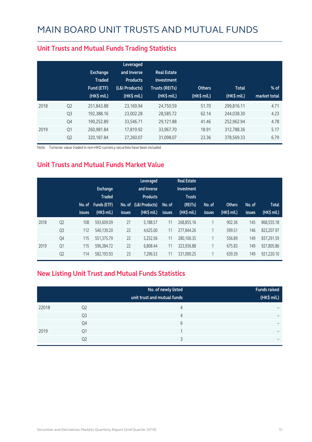|      |                | <b>Exchange</b><br><b>Traded</b><br>Fund (ETF)<br>$(HK\$ mil.) | Leveraged<br>and Inverse<br><b>Products</b><br>(L&I Products)<br>(HK\$ mil.) | <b>Real Estate</b><br>Investment<br><b>Trusts (REITs)</b><br>(HK\$ mil.) | <b>Others</b><br>(HK\$ mil.) | <b>Total</b><br>(HK\$ mil.) | $%$ of<br>market total |
|------|----------------|----------------------------------------------------------------|------------------------------------------------------------------------------|--------------------------------------------------------------------------|------------------------------|-----------------------------|------------------------|
| 2018 | Q <sub>2</sub> | 251,843.88                                                     | 23.169.94                                                                    | 24,750.59                                                                | 51.70                        | 299,816.11                  | 4.71                   |
|      | Q <sub>3</sub> | 192.388.16                                                     | 23,002.28                                                                    | 28,585.72                                                                | 62.14                        | 244,038.30                  | 4.23                   |
|      | Q4             | 190,252.89                                                     | 33,546.71                                                                    | 29,121.88                                                                | 41.46                        | 252,962.94                  | 4.78                   |
| 2019 | Q <sub>1</sub> | 260,981.84                                                     | 17,819.92                                                                    | 33,967.70                                                                | 18.91                        | 312,788.36                  | 5.17                   |
|      | Q <sub>2</sub> | 320,187.84                                                     | 27,260.07                                                                    | 31,098.07                                                                | 23.36                        | 378,569.33                  | 6.79                   |

#### **Unit Trusts and Mutual Funds Trading Statistics**

Note: Turnover value traded in non-HKD currency securities have been included

#### **Unit Trusts and Mutual Funds Market Value**

|      |                | No. of<br><b>issues</b> | Exchange<br><b>Traded</b><br>Funds (ETF)<br>(HK\$ mil.) | No. of<br><b>issues</b> | Leveraged<br>and Inverse<br><b>Products</b><br>(L&I Products)<br>$(HK\$ mil.) | No. of<br>issues | <b>Real Estate</b><br>Investment<br><b>Trusts</b><br>(REITs)<br>(HK\$ mil.) | No. of<br><b>issues</b> | <b>Others</b><br>(HK\$ mil.) | No. of<br><b>issues</b> | <b>Total</b><br>(HK\$ mil.) |
|------|----------------|-------------------------|---------------------------------------------------------|-------------------------|-------------------------------------------------------------------------------|------------------|-----------------------------------------------------------------------------|-------------------------|------------------------------|-------------------------|-----------------------------|
| 2018 | Q <sub>2</sub> | 108                     | 593,609.09                                              | 27                      | 5,188.57                                                                      | 11               | 268,855.16                                                                  |                         | 902.36                       | 145                     | 868,555.18                  |
|      | Q <sub>3</sub> | 112                     | 540,139.20                                              | 22                      | 4,625.00                                                                      | 11               | 277,844.26                                                                  |                         | 599.51                       | 146                     | 823,207.97                  |
|      | Q4             | 115                     | 551,375.79                                              | 22                      | 5,252.56                                                                      | 11               | 280,106.35                                                                  |                         | 556.89                       | 149                     | 837,291.59                  |
| 2019 | Q1             | 115                     | 596,384.72                                              | 22                      | 6,808.44                                                                      | 11               | 323,936.88                                                                  |                         | 675.83                       | 149                     | 927,805.86                  |
|      | Q <sub>2</sub> | 114                     | 582.193.93                                              | 23                      | 7,296.53                                                                      | 11               | 331,090.25                                                                  | 1                       | 639.39                       | 149                     | 921,220.10                  |

#### **New Listing Unit Trust and Mutual Funds Statistics**

|       |                | No. of newly listed<br>unit trust and mutual funds | <b>Funds raised</b><br>(HK\$ mil.) |
|-------|----------------|----------------------------------------------------|------------------------------------|
| 22018 | Q <sub>2</sub> | 4                                                  | $\overline{\phantom{0}}$           |
|       | Q3             | 4                                                  | $\overline{\phantom{0}}$           |
|       | Q4             | 6                                                  | $\overline{\phantom{0}}$           |
| 2019  | Q1             | ◢                                                  | $\overline{\phantom{0}}$           |
|       | Q <sub>2</sub> |                                                    | $\overline{\phantom{0}}$           |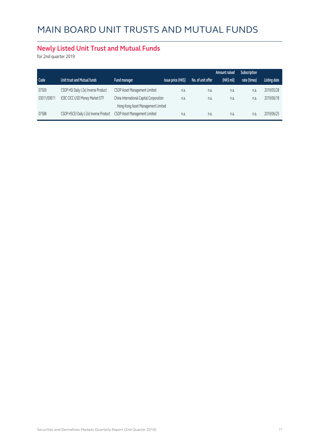#### **Newly Listed Unit Trust and Mutual Funds**

for 2nd quarter 2019

|                                        |                               |      |                                                                                                     | <b>Amount raised</b> | Subscription |                     |
|----------------------------------------|-------------------------------|------|-----------------------------------------------------------------------------------------------------|----------------------|--------------|---------------------|
| Unit trust and Mutual funds            | Fund manager                  |      | No. of unit offer                                                                                   | (HK\$ mil)           | rate (times) | <b>Listing date</b> |
| CSOP HSI Daily (-2x) Inverse Product   | CSOP Asset Management Limited | n.a. | n.a.                                                                                                | n.a.                 | n.a.         | 2019/05/28          |
| <b>ICBC CICC USD Money Market ETF</b>  |                               | n.a. | n.a.                                                                                                | n.a.                 | n.a.         | 2019/06/18          |
|                                        |                               |      |                                                                                                     |                      |              |                     |
| CSOP HSCEI Daily (-2x) Inverse Product | CSOP Asset Management Limited | n.a. | n.a.                                                                                                | n.a.                 | n.a.         | 2019/06/25          |
|                                        |                               |      | Issue price (HK\$)<br>China International Capital Corporation<br>Hong Kong Asset Management Limited |                      |              |                     |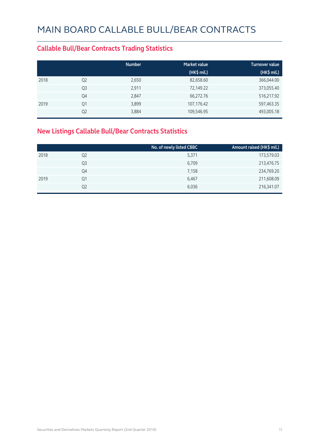#### **Callable Bull/Bear Contracts Trading Statistics**

|      |                | <b>Number</b> | <b>Market value</b> | <b>Turnover value</b> |
|------|----------------|---------------|---------------------|-----------------------|
|      |                |               | (HK\$ mil.)         | (HK\$ mil.)           |
| 2018 | Q <sub>2</sub> | 2,650         | 82,658.60           | 366,044.00            |
|      | Q <sub>3</sub> | 2,911         | 72,149.22           | 373,055.40            |
|      | Q4             | 2,847         | 66,272.76           | 516,217.92            |
| 2019 | Q1             | 3,899         | 107,176.42          | 597,463.35            |
|      | Q <sub>2</sub> | 3,884         | 109,546.95          | 493,005.18            |

#### **New Listings Callable Bull/Bear Contracts Statistics**

|      |    | No. of newly listed CBBC | Amount raised (HK\$ mil.) |
|------|----|--------------------------|---------------------------|
| 2018 | Q2 | 5,371                    | 173,579.03                |
|      | Q3 | 6,709                    | 213,476.75                |
|      | Q4 | 7,158                    | 234,769.20                |
| 2019 | Q1 | 6,467                    | 211,608.09                |
|      | Q2 | 6,036                    | 216,341.07                |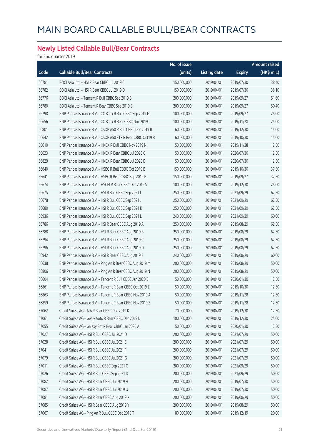#### **Newly Listed Callable Bull/Bear Contracts**

for 2nd quarter 2019

|       |                                                              | No. of issue |                     |               | Amount raised         |
|-------|--------------------------------------------------------------|--------------|---------------------|---------------|-----------------------|
| Code  | <b>Callable Bull/Bear Contracts</b>                          | (units)      | <b>Listing date</b> | <b>Expiry</b> | $(HK\frac{1}{2}mil.)$ |
| 66781 | BOCI Asia Ltd. - HSI R Bear CBBC Jul 2019 C                  | 150,000,000  | 2019/04/01          | 2019/07/30    | 38.40                 |
| 66782 | BOCI Asia Ltd. - HSI R Bear CBBC Jul 2019 D                  | 150,000,000  | 2019/04/01          | 2019/07/30    | 38.10                 |
| 66776 | BOCI Asia Ltd. - Tencent R Bull CBBC Sep 2019 B              | 200,000,000  | 2019/04/01          | 2019/09/27    | 51.60                 |
| 66780 | BOCI Asia Ltd. - Tencent R Bear CBBC Sep 2019 B              | 200,000,000  | 2019/04/01          | 2019/09/27    | 50.40                 |
| 66798 | BNP Paribas Issuance B.V. - CC Bank R Bull CBBC Sep 2019 E   | 100,000,000  | 2019/04/01          | 2019/09/27    | 25.00                 |
| 66656 | BNP Paribas Issuance B.V. - CC Bank R Bear CBBC Nov 2019 L   | 100,000,000  | 2019/04/01          | 2019/11/28    | 25.00                 |
| 66801 | BNP Paribas Issuance B.V. - CSOP A50 R Bull CBBC Dec 2019 B  | 60,000,000   | 2019/04/01          | 2019/12/30    | 15.00                 |
| 66642 | BNP Paribas Issuance B.V. - CSOP A50 ETF R Bear CBBC Oct19 B | 60,000,000   | 2019/04/01          | 2019/10/30    | 15.00                 |
| 66610 | BNP Paribas Issuance B.V. - HKEX R Bull CBBC Nov 2019 N      | 50,000,000   | 2019/04/01          | 2019/11/28    | 12.50                 |
| 66623 | BNP Paribas Issuance B.V. - HKEX R Bear CBBC Jul 2020 C      | 50,000,000   | 2019/04/01          | 2020/07/30    | 12.50                 |
| 66829 | BNP Paribas Issuance B.V. - HKEX R Bear CBBC Jul 2020 D      | 50,000,000   | 2019/04/01          | 2020/07/30    | 12.50                 |
| 66640 | BNP Paribas Issuance B.V. - HSBC R Bull CBBC Oct 2019 B      | 150,000,000  | 2019/04/01          | 2019/10/30    | 37.50                 |
| 66641 | BNP Paribas Issuance B.V. - HSBC R Bear CBBC Sep 2019 B      | 150,000,000  | 2019/04/01          | 2019/09/27    | 37.50                 |
| 66674 | BNP Paribas Issuance B.V. - HSCEI R Bear CBBC Dec 2019 S     | 100,000,000  | 2019/04/01          | 2019/12/30    | 25.00                 |
| 66675 | BNP Paribas Issuance B.V. - HSI R Bull CBBC Sep 2021 I       | 250,000,000  | 2019/04/01          | 2021/09/29    | 62.50                 |
| 66678 | BNP Paribas Issuance B.V. - HSI R Bull CBBC Sep 2021 J       | 250,000,000  | 2019/04/01          | 2021/09/29    | 62.50                 |
| 66680 | BNP Paribas Issuance B.V. - HSI R Bull CBBC Sep 2021 K       | 250,000,000  | 2019/04/01          | 2021/09/29    | 62.50                 |
| 66936 | BNP Paribas Issuance B.V. - HSI R Bull CBBC Sep 2021 L       | 240,000,000  | 2019/04/01          | 2021/09/29    | 60.00                 |
| 66786 | BNP Paribas Issuance B.V. - HSI R Bear CBBC Aug 2019 A       | 250,000,000  | 2019/04/01          | 2019/08/29    | 62.50                 |
| 66788 | BNP Paribas Issuance B.V. - HSI R Bear CBBC Aug 2019 B       | 250,000,000  | 2019/04/01          | 2019/08/29    | 62.50                 |
| 66794 | BNP Paribas Issuance B.V. - HSI R Bear CBBC Aug 2019 C       | 250,000,000  | 2019/04/01          | 2019/08/29    | 62.50                 |
| 66796 | BNP Paribas Issuance B.V. - HSI R Bear CBBC Aug 2019 D       | 250,000,000  | 2019/04/01          | 2019/08/29    | 62.50                 |
| 66942 | BNP Paribas Issuance B.V. - HSI R Bear CBBC Aug 2019 E       | 240,000,000  | 2019/04/01          | 2019/08/29    | 60.00                 |
| 66638 | BNP Paribas Issuance B.V. - Ping An R Bear CBBC Aug 2019 M   | 200,000,000  | 2019/04/01          | 2019/08/29    | 50.00                 |
| 66806 | BNP Paribas Issuance B.V. - Ping An R Bear CBBC Aug 2019 N   | 200,000,000  | 2019/04/01          | 2019/08/29    | 50.00                 |
| 66604 | BNP Paribas Issuance B.V. - Tencent R Bull CBBC Jan 2020 B   | 50,000,000   | 2019/04/01          | 2020/01/30    | 12.50                 |
| 66861 | BNP Paribas Issuance B.V. - Tencent R Bear CBBC Oct 2019 Z   | 50,000,000   | 2019/04/01          | 2019/10/30    | 12.50                 |
| 66863 | BNP Paribas Issuance B.V. - Tencent R Bear CBBC Nov 2019 A   | 50,000,000   | 2019/04/01          | 2019/11/28    | 12.50                 |
| 66859 | BNP Paribas Issuance B.V. - Tencent R Bear CBBC Nov 2019 Z   | 50,000,000   | 2019/04/01          | 2019/11/28    | 12.50                 |
| 67062 | Credit Suisse AG - AIA R Bear CBBC Dec 2019 K                | 70,000,000   | 2019/04/01          | 2019/12/30    | 17.50                 |
| 67061 | Credit Suisse AG - Geely Auto R Bear CBBC Dec 2019 D         | 100,000,000  | 2019/04/01          | 2019/12/30    | 25.00                 |
| 67055 | Credit Suisse AG - Galaxy Ent R Bear CBBC Jan 2020 A         | 50,000,000   | 2019/04/01          | 2020/01/30    | 12.50                 |
| 67027 | Credit Suisse AG - HSI R Bull CBBC Jul 2021 D                | 200,000,000  | 2019/04/01          | 2021/07/29    | 50.00                 |
| 67028 | Credit Suisse AG - HSI R Bull CBBC Jul 2021 E                | 200,000,000  | 2019/04/01          | 2021/07/29    | 50.00                 |
| 67041 | Credit Suisse AG - HSI R Bull CBBC Jul 2021 F                | 200,000,000  | 2019/04/01          | 2021/07/29    | 50.00                 |
| 67079 | Credit Suisse AG - HSI R Bull CBBC Jul 2021 G                | 200,000,000  | 2019/04/01          | 2021/07/29    | 50.00                 |
| 67011 | Credit Suisse AG - HSI R Bull CBBC Sep 2021 C                | 200,000,000  | 2019/04/01          | 2021/09/29    | 50.00                 |
| 67026 | Credit Suisse AG - HSI R Bull CBBC Sep 2021 D                | 200,000,000  | 2019/04/01          | 2021/09/29    | 50.00                 |
| 67082 | Credit Suisse AG - HSI R Bear CBBC Jul 2019 H                | 200,000,000  | 2019/04/01          | 2019/07/30    | 50.00                 |
| 67087 | Credit Suisse AG - HSI R Bear CBBC Jul 2019 U                | 200,000,000  | 2019/04/01          | 2019/07/30    | 50.00                 |
| 67081 | Credit Suisse AG - HSI R Bear CBBC Aug 2019 X                | 200,000,000  | 2019/04/01          | 2019/08/29    | 50.00                 |
| 67085 | Credit Suisse AG - HSI R Bear CBBC Aug 2019 Y                | 200,000,000  | 2019/04/01          | 2019/08/29    | 50.00                 |
| 67067 | Credit Suisse AG - Ping An R Bull CBBC Dec 2019 T            | 80,000,000   | 2019/04/01          | 2019/12/19    | 20.00                 |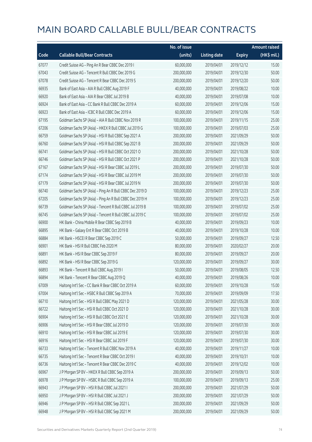|       |                                                          | No. of issue |                     |               | <b>Amount raised</b> |
|-------|----------------------------------------------------------|--------------|---------------------|---------------|----------------------|
| Code  | <b>Callable Bull/Bear Contracts</b>                      | (units)      | <b>Listing date</b> | <b>Expiry</b> | (HK\$ mil.)          |
| 67077 | Credit Suisse AG - Ping An R Bear CBBC Dec 2019 I        | 60,000,000   | 2019/04/01          | 2019/12/12    | 15.00                |
| 67043 | Credit Suisse AG - Tencent R Bull CBBC Dec 2019 G        | 200,000,000  | 2019/04/01          | 2019/12/30    | 50.00                |
| 67078 | Credit Suisse AG - Tencent R Bear CBBC Dec 2019 S        | 200,000,000  | 2019/04/01          | 2019/12/20    | 50.00                |
| 66935 | Bank of East Asia - AIA R Bull CBBC Aug 2019 F           | 40,000,000   | 2019/04/01          | 2019/08/22    | 10.00                |
| 66920 | Bank of East Asia - AIA R Bear CBBC Jul 2019 B           | 40,000,000   | 2019/04/01          | 2019/07/08    | 10.00                |
| 66924 | Bank of East Asia - CC Bank R Bull CBBC Dec 2019 A       | 60,000,000   | 2019/04/01          | 2019/12/06    | 15.00                |
| 66923 | Bank of East Asia - ICBC R Bull CBBC Dec 2019 A          | 60,000,000   | 2019/04/01          | 2019/12/06    | 15.00                |
| 67195 | Goldman Sachs SP (Asia) - AIA R Bull CBBC Nov 2019 R     | 100,000,000  | 2019/04/01          | 2019/11/15    | 25.00                |
| 67206 | Goldman Sachs SP (Asia) - HKEX R Bull CBBC Jul 2019 G    | 100,000,000  | 2019/04/01          | 2019/07/03    | 25.00                |
| 66759 | Goldman Sachs SP (Asia) - HSI R Bull CBBC Sep 2021 A     | 200,000,000  | 2019/04/01          | 2021/09/29    | 50.00                |
| 66760 | Goldman Sachs SP (Asia) - HSI R Bull CBBC Sep 2021 B     | 200,000,000  | 2019/04/01          | 2021/09/29    | 50.00                |
| 66741 | Goldman Sachs SP (Asia) - HSI R Bull CBBC Oct 2021 O     | 200,000,000  | 2019/04/01          | 2021/10/28    | 50.00                |
| 66746 | Goldman Sachs SP (Asia) - HSI R Bull CBBC Oct 2021 P     | 200,000,000  | 2019/04/01          | 2021/10/28    | 50.00                |
| 67167 | Goldman Sachs SP (Asia) - HSI R Bear CBBC Jul 2019 L     | 200,000,000  | 2019/04/01          | 2019/07/30    | 50.00                |
| 67174 | Goldman Sachs SP (Asia) - HSI R Bear CBBC Jul 2019 M     | 200,000,000  | 2019/04/01          | 2019/07/30    | 50.00                |
| 67179 | Goldman Sachs SP (Asia) - HSI R Bear CBBC Jul 2019 N     | 200,000,000  | 2019/04/01          | 2019/07/30    | 50.00                |
| 66740 | Goldman Sachs SP (Asia) - Ping An R Bull CBBC Dec 2019 D | 100,000,000  | 2019/04/01          | 2019/12/23    | 25.00                |
| 67205 | Goldman Sachs SP (Asia) - Ping An R Bull CBBC Dec 2019 H | 100,000,000  | 2019/04/01          | 2019/12/23    | 25.00                |
| 66739 | Goldman Sachs SP (Asia) - Tencent R Bull CBBC Jul 2019 B | 100,000,000  | 2019/04/01          | 2019/07/02    | 25.00                |
| 66745 | Goldman Sachs SP (Asia) - Tencent R Bull CBBC Jul 2019 C | 100,000,000  | 2019/04/01          | 2019/07/02    | 25.00                |
| 66900 | HK Bank - China Mobile R Bear CBBC Sep 2019 B            | 40,000,000   | 2019/04/01          | 2019/09/23    | 10.00                |
| 66895 | HK Bank - Galaxy Ent R Bear CBBC Oct 2019 B              | 40,000,000   | 2019/04/01          | 2019/10/28    | 10.00                |
| 66884 | HK Bank - HSCEI R Bear CBBC Sep 2019 C                   | 50,000,000   | 2019/04/01          | 2019/09/27    | 12.50                |
| 66901 | HK Bank - HSI R Bull CBBC Feb 2020 M                     | 80,000,000   | 2019/04/01          | 2020/02/27    | 20.00                |
| 66891 | HK Bank - HSI R Bear CBBC Sep 2019 F                     | 80,000,000   | 2019/04/01          | 2019/09/27    | 20.00                |
| 66892 | HK Bank - HSI R Bear CBBC Sep 2019 G                     | 120,000,000  | 2019/04/01          | 2019/09/27    | 30.00                |
| 66893 | HK Bank - Tencent R Bull CBBC Aug 2019 I                 | 50,000,000   | 2019/04/01          | 2019/08/05    | 12.50                |
| 66894 | HK Bank - Tencent R Bear CBBC Aug 2019 Q                 | 40,000,000   | 2019/04/01          | 2019/08/26    | 10.00                |
| 67009 | Haitong Int'l Sec - CC Bank R Bear CBBC Oct 2019 A       | 60,000,000   | 2019/04/01          | 2019/10/28    | 15.00                |
| 67004 | Haitong Int'l Sec - HSBC R Bull CBBC Sep 2019 A          | 70,000,000   | 2019/04/01          | 2019/09/09    | 17.50                |
| 66710 | Haitong Int'l Sec - HSI R Bull CBBC May 2021 D           | 120,000,000  | 2019/04/01          | 2021/05/28    | 30.00                |
| 66722 | Haitong Int'l Sec - HSI R Bull CBBC Oct 2021 D           | 120,000,000  | 2019/04/01          | 2021/10/28    | 30.00                |
| 66904 | Haitong Int'l Sec - HSI R Bull CBBC Oct 2021 E           | 120,000,000  | 2019/04/01          | 2021/10/28    | 30.00                |
| 66906 | Haitong Int'l Sec - HSI R Bear CBBC Jul 2019 D           | 120,000,000  | 2019/04/01          | 2019/07/30    | 30.00                |
| 66910 | Haitong Int'l Sec - HSI R Bear CBBC Jul 2019 E           | 120,000,000  | 2019/04/01          | 2019/07/30    | 30.00                |
| 66916 | Haitong Int'l Sec - HSI R Bear CBBC Jul 2019 F           | 120,000,000  | 2019/04/01          | 2019/07/30    | 30.00                |
| 66733 | Haitong Int'l Sec - Tencent R Bull CBBC Nov 2019 A       | 40,000,000   | 2019/04/01          | 2019/11/27    | 10.00                |
| 66735 | Haitong Int'l Sec - Tencent R Bear CBBC Oct 2019 I       | 40,000,000   | 2019/04/01          | 2019/10/31    | 10.00                |
| 66736 | Haitong Int'l Sec - Tencent R Bear CBBC Dec 2019 C       | 40,000,000   | 2019/04/01          | 2019/12/02    | 10.00                |
| 66967 | J P Morgan SP BV - HKEX R Bull CBBC Sep 2019 A           | 200,000,000  | 2019/04/01          | 2019/09/13    | 50.00                |
| 66978 | J P Morgan SP BV - HSBC R Bull CBBC Sep 2019 A           | 100,000,000  | 2019/04/01          | 2019/09/13    | 25.00                |
| 66943 | J P Morgan SP BV - HSI R Bull CBBC Jul 2021 I            | 200,000,000  | 2019/04/01          | 2021/07/29    | 50.00                |
| 66950 | J P Morgan SP BV - HSI R Bull CBBC Jul 2021 J            | 200,000,000  | 2019/04/01          | 2021/07/29    | 50.00                |
| 66946 | J P Morgan SP BV - HSI R Bull CBBC Sep 2021 L            | 200,000,000  | 2019/04/01          | 2021/09/29    | 50.00                |
| 66948 | J P Morgan SP BV - HSI R Bull CBBC Sep 2021 M            | 200,000,000  | 2019/04/01          | 2021/09/29    | 50.00                |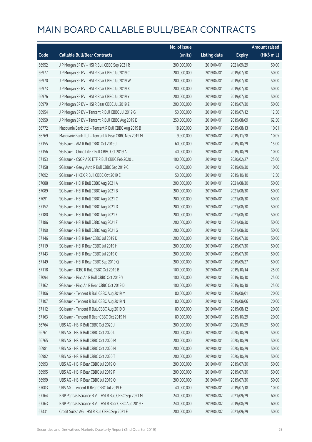|       |                                                        | No. of issue |                     |               | <b>Amount raised</b> |
|-------|--------------------------------------------------------|--------------|---------------------|---------------|----------------------|
| Code  | <b>Callable Bull/Bear Contracts</b>                    | (units)      | <b>Listing date</b> | <b>Expiry</b> | (HK\$ mil.)          |
| 66952 | J P Morgan SP BV - HSI R Bull CBBC Sep 2021 R          | 200,000,000  | 2019/04/01          | 2021/09/29    | 50.00                |
| 66977 | J P Morgan SP BV - HSI R Bear CBBC Jul 2019 C          | 200,000,000  | 2019/04/01          | 2019/07/30    | 50.00                |
| 66970 | J P Morgan SP BV - HSI R Bear CBBC Jul 2019 W          | 200,000,000  | 2019/04/01          | 2019/07/30    | 50.00                |
| 66973 | J P Morgan SP BV - HSI R Bear CBBC Jul 2019 X          | 200,000,000  | 2019/04/01          | 2019/07/30    | 50.00                |
| 66976 | J P Morgan SP BV - HSI R Bear CBBC Jul 2019 Y          | 200,000,000  | 2019/04/01          | 2019/07/30    | 50.00                |
| 66979 | J P Morgan SP BV - HSI R Bear CBBC Jul 2019 Z          | 200,000,000  | 2019/04/01          | 2019/07/30    | 50.00                |
| 66954 | J P Morgan SP BV - Tencent R Bull CBBC Jul 2019 G      | 50,000,000   | 2019/04/01          | 2019/07/12    | 12.50                |
| 66959 | J P Morgan SP BV - Tencent R Bull CBBC Aug 2019 E      | 250,000,000  | 2019/04/01          | 2019/08/09    | 62.50                |
| 66772 | Macquarie Bank Ltd. - Tencent R Bull CBBC Aug 2019 B   | 18,200,000   | 2019/04/01          | 2019/08/13    | 10.01                |
| 66769 | Macquarie Bank Ltd. - Tencent R Bear CBBC Nov 2019 M   | 9,900,000    | 2019/04/01          | 2019/11/28    | 10.05                |
| 67155 | SG Issuer - AIA R Bull CBBC Oct 2019 J                 | 60,000,000   | 2019/04/01          | 2019/10/29    | 15.00                |
| 67156 | SG Issuer - China Life R Bull CBBC Oct 2019 A          | 40,000,000   | 2019/04/01          | 2019/10/29    | 10.00                |
| 67153 | SG Issuer - CSOP A50 ETF R Bull CBBC Feb 2020 L        | 100,000,000  | 2019/04/01          | 2020/02/27    | 25.00                |
| 67158 | SG Issuer - Geely Auto R Bull CBBC Sep 2019 C          | 40,000,000   | 2019/04/01          | 2019/09/30    | 10.00                |
| 67092 | SG Issuer - HKEX R Bull CBBC Oct 2019 E                | 50,000,000   | 2019/04/01          | 2019/10/10    | 12.50                |
| 67088 | SG Issuer - HSI R Bull CBBC Aug 2021 A                 | 200,000,000  | 2019/04/01          | 2021/08/30    | 50.00                |
| 67089 | SG Issuer - HSI R Bull CBBC Aug 2021 B                 | 200,000,000  | 2019/04/01          | 2021/08/30    | 50.00                |
| 67091 | SG Issuer - HSI R Bull CBBC Aug 2021 C                 | 200,000,000  | 2019/04/01          | 2021/08/30    | 50.00                |
| 67152 | SG Issuer - HSI R Bull CBBC Aug 2021 D                 | 200,000,000  | 2019/04/01          | 2021/08/30    | 50.00                |
| 67180 | SG Issuer - HSI R Bull CBBC Aug 2021 E                 | 200,000,000  | 2019/04/01          | 2021/08/30    | 50.00                |
| 67186 | SG Issuer - HSI R Bull CBBC Aug 2021 F                 | 200,000,000  | 2019/04/01          | 2021/08/30    | 50.00                |
| 67190 | SG Issuer - HSI R Bull CBBC Aug 2021 G                 | 200,000,000  | 2019/04/01          | 2021/08/30    | 50.00                |
| 67146 | SG Issuer - HSI R Bear CBBC Jul 2019 D                 | 200,000,000  | 2019/04/01          | 2019/07/30    | 50.00                |
| 67119 | SG Issuer - HSI R Bear CBBC Jul 2019 H                 | 200,000,000  | 2019/04/01          | 2019/07/30    | 50.00                |
| 67143 | SG Issuer - HSI R Bear CBBC Jul 2019 Q                 | 200,000,000  | 2019/04/01          | 2019/07/30    | 50.00                |
| 67149 | SG Issuer - HSI R Bear CBBC Sep 2019 Q                 | 200,000,000  | 2019/04/01          | 2019/09/27    | 50.00                |
| 67118 | SG Issuer - ICBC R Bull CBBC Oct 2019 B                | 100,000,000  | 2019/04/01          | 2019/10/14    | 25.00                |
| 67094 | SG Issuer - Ping An R Bull CBBC Oct 2019 Y             | 100,000,000  | 2019/04/01          | 2019/10/10    | 25.00                |
| 67162 | SG Issuer - Ping An R Bear CBBC Oct 2019 D             | 100,000,000  | 2019/04/01          | 2019/10/18    | 25.00                |
| 67106 | SG Issuer - Tencent R Bull CBBC Aug 2019 M             | 80,000,000   | 2019/04/01          | 2019/08/01    | 20.00                |
| 67107 | SG Issuer - Tencent R Bull CBBC Aug 2019 N             | 80,000,000   | 2019/04/01          | 2019/08/06    | 20.00                |
| 67112 | SG Issuer - Tencent R Bull CBBC Aug 2019 O             | 80,000,000   | 2019/04/01          | 2019/08/12    | 20.00                |
| 67163 | SG Issuer - Tencent R Bear CBBC Oct 2019 M             | 80,000,000   | 2019/04/01          | 2019/10/29    | 20.00                |
| 66764 | UBS AG - HSI R Bull CBBC Oct 2020 J                    | 200,000,000  | 2019/04/01          | 2020/10/29    | 50.00                |
| 66761 | UBS AG - HSI R Bull CBBC Oct 2020 L                    | 200,000,000  | 2019/04/01          | 2020/10/29    | 50.00                |
| 66765 | UBS AG - HSI R Bull CBBC Oct 2020 M                    | 200,000,000  | 2019/04/01          | 2020/10/29    | 50.00                |
| 66981 | UBS AG - HSI R Bull CBBC Oct 2020 N                    | 200,000,000  | 2019/04/01          | 2020/10/29    | 50.00                |
| 66982 | UBS AG - HSI R Bull CBBC Oct 2020 T                    | 200,000,000  | 2019/04/01          | 2020/10/29    | 50.00                |
| 66993 | UBS AG - HSI R Bear CBBC Jul 2019 O                    | 200,000,000  | 2019/04/01          | 2019/07/30    | 50.00                |
| 66995 | UBS AG - HSI R Bear CBBC Jul 2019 P                    | 200,000,000  | 2019/04/01          | 2019/07/30    | 50.00                |
| 66999 | UBS AG - HSI R Bear CBBC Jul 2019 Q                    | 200,000,000  | 2019/04/01          | 2019/07/30    | 50.00                |
| 67003 | UBS AG - Tencent R Bear CBBC Jul 2019 F                | 40,000,000   | 2019/04/01          | 2019/07/18    | 10.00                |
| 67364 | BNP Paribas Issuance B.V. - HSI R Bull CBBC Sep 2021 M | 240,000,000  | 2019/04/02          | 2021/09/29    | 60.00                |
| 67363 | BNP Paribas Issuance B.V. - HSI R Bear CBBC Aug 2019 F | 240,000,000  | 2019/04/02          | 2019/08/29    | 60.00                |
| 67431 | Credit Suisse AG - HSI R Bull CBBC Sep 2021 E          | 200,000,000  | 2019/04/02          | 2021/09/29    | 50.00                |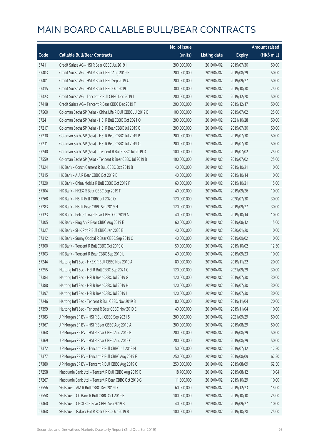|       |                                                             | No. of issue |                     |               | <b>Amount raised</b>  |
|-------|-------------------------------------------------------------|--------------|---------------------|---------------|-----------------------|
| Code  | <b>Callable Bull/Bear Contracts</b>                         | (units)      | <b>Listing date</b> | <b>Expiry</b> | $(HK\frac{1}{2}mil.)$ |
| 67411 | Credit Suisse AG - HSI R Bear CBBC Jul 2019 I               | 200,000,000  | 2019/04/02          | 2019/07/30    | 50.00                 |
| 67403 | Credit Suisse AG - HSI R Bear CBBC Aug 2019 F               | 200,000,000  | 2019/04/02          | 2019/08/29    | 50.00                 |
| 67401 | Credit Suisse AG - HSI R Bear CBBC Sep 2019 U               | 200,000,000  | 2019/04/02          | 2019/09/27    | 50.00                 |
| 67415 | Credit Suisse AG - HSI R Bear CBBC Oct 2019 I               | 300,000,000  | 2019/04/02          | 2019/10/30    | 75.00                 |
| 67423 | Credit Suisse AG - Tencent R Bull CBBC Dec 2019 I           | 200,000,000  | 2019/04/02          | 2019/12/20    | 50.00                 |
| 67418 | Credit Suisse AG - Tencent R Bear CBBC Dec 2019 T           | 200,000,000  | 2019/04/02          | 2019/12/17    | 50.00                 |
| 67560 | Goldman Sachs SP (Asia) - China Life R Bull CBBC Jul 2019 B | 100,000,000  | 2019/04/02          | 2019/07/02    | 25.00                 |
| 67241 | Goldman Sachs SP (Asia) - HSI R Bull CBBC Oct 2021 Q        | 200,000,000  | 2019/04/02          | 2021/10/28    | 50.00                 |
| 67217 | Goldman Sachs SP (Asia) - HSI R Bear CBBC Jul 2019 O        | 200,000,000  | 2019/04/02          | 2019/07/30    | 50.00                 |
| 67230 | Goldman Sachs SP (Asia) - HSI R Bear CBBC Jul 2019 P        | 200,000,000  | 2019/04/02          | 2019/07/30    | 50.00                 |
| 67231 | Goldman Sachs SP (Asia) - HSI R Bear CBBC Jul 2019 Q        | 200,000,000  | 2019/04/02          | 2019/07/30    | 50.00                 |
| 67240 | Goldman Sachs SP (Asia) - Tencent R Bull CBBC Jul 2019 D    | 100,000,000  | 2019/04/02          | 2019/07/02    | 25.00                 |
| 67559 | Goldman Sachs SP (Asia) - Tencent R Bear CBBC Jul 2019 B    | 100,000,000  | 2019/04/02          | 2019/07/02    | 25.00                 |
| 67324 | HK Bank - Conch Cement R Bull CBBC Oct 2019 B               | 40,000,000   | 2019/04/02          | 2019/10/21    | 10.00                 |
| 67315 | HK Bank - AIA R Bear CBBC Oct 2019 E                        | 40,000,000   | 2019/04/02          | 2019/10/14    | 10.00                 |
| 67320 | HK Bank - China Mobile R Bull CBBC Oct 2019 F               | 60,000,000   | 2019/04/02          | 2019/10/21    | 15.00                 |
| 67304 | HK Bank - HKEX R Bear CBBC Sep 2019 F                       | 40,000,000   | 2019/04/02          | 2019/09/26    | 10.00                 |
| 67268 | HK Bank - HSI R Bull CBBC Jul 2020 O                        | 120,000,000  | 2019/04/02          | 2020/07/30    | 30.00                 |
| 67283 | HK Bank - HSI R Bear CBBC Sep 2019 H                        | 120,000,000  | 2019/04/02          | 2019/09/27    | 30.00                 |
| 67323 | HK Bank - PetroChina R Bear CBBC Oct 2019 A                 | 40,000,000   | 2019/04/02          | 2019/10/14    | 10.00                 |
| 67305 | HK Bank - Ping An R Bear CBBC Aug 2019 E                    | 60,000,000   | 2019/04/02          | 2019/08/12    | 15.00                 |
| 67327 | HK Bank - SHK Ppt R Bull CBBC Jan 2020 B                    | 40,000,000   | 2019/04/02          | 2020/01/20    | 10.00                 |
| 67312 | HK Bank - Sunny Optical R Bear CBBC Sep 2019 C              | 40,000,000   | 2019/04/02          | 2019/09/02    | 10.00                 |
| 67300 | HK Bank - Tencent R Bull CBBC Oct 2019 G                    | 50,000,000   | 2019/04/02          | 2019/10/02    | 12.50                 |
| 67303 | HK Bank - Tencent R Bear CBBC Sep 2019 L                    | 40,000,000   | 2019/04/02          | 2019/09/23    | 10.00                 |
| 67244 | Haitong Int'l Sec - HKEX R Bull CBBC Nov 2019 A             | 80,000,000   | 2019/04/02          | 2019/11/22    | 20.00                 |
| 67255 | Haitong Int'l Sec - HSI R Bull CBBC Sep 2021 C              | 120,000,000  | 2019/04/02          | 2021/09/29    | 30.00                 |
| 67384 | Haitong Int'l Sec - HSI R Bear CBBC Jul 2019 G              | 120,000,000  | 2019/04/02          | 2019/07/30    | 30.00                 |
| 67388 | Haitong Int'l Sec - HSI R Bear CBBC Jul 2019 H              | 120,000,000  | 2019/04/02          | 2019/07/30    | 30.00                 |
| 67397 | Haitong Int'l Sec - HSI R Bear CBBC Jul 2019 I              | 120,000,000  | 2019/04/02          | 2019/07/30    | 30.00                 |
| 67246 | Haitong Int'l Sec - Tencent R Bull CBBC Nov 2019 B          | 80,000,000   | 2019/04/02          | 2019/11/04    | 20.00                 |
| 67399 | Haitong Int'l Sec - Tencent R Bear CBBC Nov 2019 E          | 40,000,000   | 2019/04/02          | 2019/11/04    | 10.00                 |
| 67383 | J P Morgan SP BV - HSI R Bull CBBC Sep 2021 S               | 200,000,000  | 2019/04/02          | 2021/09/29    | 50.00                 |
| 67367 | J P Morgan SP BV - HSI R Bear CBBC Aug 2019 A               | 200,000,000  | 2019/04/02          | 2019/08/29    | 50.00                 |
| 67368 | J P Morgan SP BV - HSI R Bear CBBC Aug 2019 B               | 200,000,000  | 2019/04/02          | 2019/08/29    | 50.00                 |
| 67369 | J P Morgan SP BV - HSI R Bear CBBC Aug 2019 C               | 200,000,000  | 2019/04/02          | 2019/08/29    | 50.00                 |
| 67372 | J P Morgan SP BV - Tencent R Bull CBBC Jul 2019 H           | 50,000,000   | 2019/04/02          | 2019/07/12    | 12.50                 |
| 67377 | J P Morgan SP BV - Tencent R Bull CBBC Aug 2019 F           | 250,000,000  | 2019/04/02          | 2019/08/09    | 62.50                 |
| 67380 | J P Morgan SP BV - Tencent R Bull CBBC Aug 2019 G           | 250,000,000  | 2019/04/02          | 2019/08/09    | 62.50                 |
| 67258 | Macquarie Bank Ltd. - Tencent R Bull CBBC Aug 2019 C        | 18,700,000   | 2019/04/02          | 2019/08/12    | 10.04                 |
| 67267 | Macquarie Bank Ltd. - Tencent R Bear CBBC Oct 2019 G        | 11,300,000   | 2019/04/02          | 2019/10/29    | 10.00                 |
| 67556 | SG Issuer - AIA R Bull CBBC Dec 2019 D                      | 60,000,000   | 2019/04/02          | 2019/12/23    | 15.00                 |
| 67558 | SG Issuer - CC Bank R Bull CBBC Oct 2019 B                  | 100,000,000  | 2019/04/02          | 2019/10/10    | 25.00                 |
| 67460 | SG Issuer - CNOOC R Bear CBBC Sep 2019 B                    | 40,000,000   | 2019/04/02          | 2019/09/27    | 10.00                 |
| 67468 | SG Issuer - Galaxy Ent R Bear CBBC Oct 2019 B               | 100,000,000  | 2019/04/02          | 2019/10/28    | 25.00                 |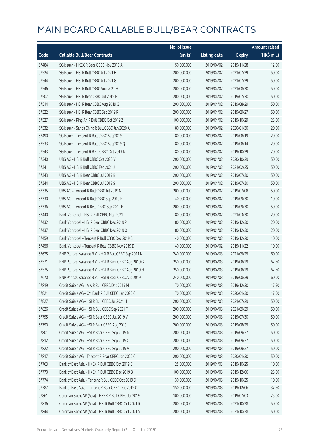|       |                                                        | No. of issue |                     |               | <b>Amount raised</b> |
|-------|--------------------------------------------------------|--------------|---------------------|---------------|----------------------|
| Code  | <b>Callable Bull/Bear Contracts</b>                    | (units)      | <b>Listing date</b> | <b>Expiry</b> | (HK\$ mil.)          |
| 67484 | SG Issuer - HKEX R Bear CBBC Nov 2019 A                | 50,000,000   | 2019/04/02          | 2019/11/28    | 12.50                |
| 67524 | SG Issuer - HSI R Bull CBBC Jul 2021 F                 | 200,000,000  | 2019/04/02          | 2021/07/29    | 50.00                |
| 67544 | SG Issuer - HSI R Bull CBBC Jul 2021 G                 | 200,000,000  | 2019/04/02          | 2021/07/29    | 50.00                |
| 67546 | SG Issuer - HSI R Bull CBBC Aug 2021 H                 | 200,000,000  | 2019/04/02          | 2021/08/30    | 50.00                |
| 67507 | SG Issuer - HSI R Bear CBBC Jul 2019 F                 | 200,000,000  | 2019/04/02          | 2019/07/30    | 50.00                |
| 67514 | SG Issuer - HSI R Bear CBBC Aug 2019 G                 | 200,000,000  | 2019/04/02          | 2019/08/29    | 50.00                |
| 67522 | SG Issuer - HSI R Bear CBBC Sep 2019 R                 | 200,000,000  | 2019/04/02          | 2019/09/27    | 50.00                |
| 67527 | SG Issuer - Ping An R Bull CBBC Oct 2019 Z             | 100,000,000  | 2019/04/02          | 2019/10/29    | 25.00                |
| 67532 | SG Issuer - Sands China R Bull CBBC Jan 2020 A         | 80,000,000   | 2019/04/02          | 2020/01/30    | 20.00                |
| 67490 | SG Issuer - Tencent R Bull CBBC Aug 2019 P             | 80,000,000   | 2019/04/02          | 2019/08/19    | 20.00                |
| 67533 | SG Issuer - Tencent R Bull CBBC Aug 2019 Q             | 80,000,000   | 2019/04/02          | 2019/08/14    | 20.00                |
| 67543 | SG Issuer - Tencent R Bear CBBC Oct 2019 N             | 80,000,000   | 2019/04/02          | 2019/10/29    | 20.00                |
| 67340 | UBS AG - HSI R Bull CBBC Oct 2020 V                    | 200,000,000  | 2019/04/02          | 2020/10/29    | 50.00                |
| 67341 | UBS AG - HSI R Bull CBBC Feb 2021 J                    | 200,000,000  | 2019/04/02          | 2021/02/25    | 50.00                |
| 67343 | UBS AG - HSI R Bear CBBC Jul 2019 R                    | 200,000,000  | 2019/04/02          | 2019/07/30    | 50.00                |
| 67344 | UBS AG - HSI R Bear CBBC Jul 2019 S                    | 200,000,000  | 2019/04/02          | 2019/07/30    | 50.00                |
| 67335 | UBS AG - Tencent R Bull CBBC Jul 2019 N                | 200,000,000  | 2019/04/02          | 2019/07/08    | 50.00                |
| 67330 | UBS AG - Tencent R Bull CBBC Sep 2019 E                | 40,000,000   | 2019/04/02          | 2019/09/30    | 10.00                |
| 67336 | UBS AG - Tencent R Bear CBBC Sep 2019 B                | 200,000,000  | 2019/04/02          | 2019/09/30    | 50.00                |
| 67440 | Bank Vontobel - HSI R Bull CBBC Mar 2021 L             | 80,000,000   | 2019/04/02          | 2021/03/30    | 20.00                |
| 67432 | Bank Vontobel - HSI R Bear CBBC Dec 2019 P             | 80,000,000   | 2019/04/02          | 2019/12/30    | 20.00                |
| 67437 | Bank Vontobel - HSI R Bear CBBC Dec 2019 Q             | 80,000,000   | 2019/04/02          | 2019/12/30    | 20.00                |
| 67459 | Bank Vontobel - Tencent R Bull CBBC Dec 2019 B         | 40,000,000   | 2019/04/02          | 2019/12/20    | 10.00                |
| 67456 | Bank Vontobel - Tencent R Bear CBBC Nov 2019 D         | 40,000,000   | 2019/04/02          | 2019/11/22    | 10.00                |
| 67675 | BNP Paribas Issuance B.V. - HSI R Bull CBBC Sep 2021 N | 240,000,000  | 2019/04/03          | 2021/09/29    | 60.00                |
| 67571 | BNP Paribas Issuance B.V. - HSI R Bear CBBC Aug 2019 G | 250,000,000  | 2019/04/03          | 2019/08/29    | 62.50                |
| 67575 | BNP Paribas Issuance B.V. - HSI R Bear CBBC Aug 2019 H | 250,000,000  | 2019/04/03          | 2019/08/29    | 62.50                |
| 67670 | BNP Paribas Issuance B.V. - HSI R Bear CBBC Aug 2019 I | 240,000,000  | 2019/04/03          | 2019/08/29    | 60.00                |
| 67819 | Credit Suisse AG - AIA R Bull CBBC Dec 2019 M          | 70,000,000   | 2019/04/03          | 2019/12/30    | 17.50                |
| 67821 | Credit Suisse AG - CM Bank R Bull CBBC Jan 2020 C      | 70,000,000   | 2019/04/03          | 2020/01/30    | 17.50                |
| 67827 | Credit Suisse AG - HSI R Bull CBBC Jul 2021 H          | 200,000,000  | 2019/04/03          | 2021/07/29    | 50.00                |
| 67826 | Credit Suisse AG - HSI R Bull CBBC Sep 2021 F          | 200,000,000  | 2019/04/03          | 2021/09/29    | 50.00                |
| 67795 | Credit Suisse AG - HSI R Bear CBBC Jul 2019 V          | 200,000,000  | 2019/04/03          | 2019/07/30    | 50.00                |
| 67790 | Credit Suisse AG - HSI R Bear CBBC Aug 2019 L          | 200,000,000  | 2019/04/03          | 2019/08/29    | 50.00                |
| 67801 | Credit Suisse AG - HSI R Bear CBBC Sep 2019 N          | 200,000,000  | 2019/04/03          | 2019/09/27    | 50.00                |
| 67812 | Credit Suisse AG - HSI R Bear CBBC Sep 2019 O          | 200,000,000  | 2019/04/03          | 2019/09/27    | 50.00                |
| 67822 | Credit Suisse AG - HSI R Bear CBBC Sep 2019 V          | 200,000,000  | 2019/04/03          | 2019/09/27    | 50.00                |
| 67817 | Credit Suisse AG - Tencent R Bear CBBC Jan 2020 C      | 200,000,000  | 2019/04/03          | 2020/01/30    | 50.00                |
| 67763 | Bank of East Asia - HKEX R Bull CBBC Oct 2019 C        | 25,000,000   | 2019/04/03          | 2019/10/25    | 10.00                |
| 67770 | Bank of East Asia - HKEX R Bull CBBC Dec 2019 B        | 100,000,000  | 2019/04/03          | 2019/12/06    | 25.00                |
| 67774 | Bank of East Asia - Tencent R Bull CBBC Oct 2019 D     | 30,000,000   | 2019/04/03          | 2019/10/25    | 10.50                |
| 67787 | Bank of East Asia - Tencent R Bear CBBC Dec 2019 C     | 150,000,000  | 2019/04/03          | 2019/12/06    | 37.50                |
| 67861 | Goldman Sachs SP (Asia) - HKEX R Bull CBBC Jul 2019 I  | 100,000,000  | 2019/04/03          | 2019/07/03    | 25.00                |
| 67836 | Goldman Sachs SP (Asia) - HSI R Bull CBBC Oct 2021 R   | 200,000,000  | 2019/04/03          | 2021/10/28    | 50.00                |
| 67844 | Goldman Sachs SP (Asia) - HSI R Bull CBBC Oct 2021 S   | 200,000,000  | 2019/04/03          | 2021/10/28    | 50.00                |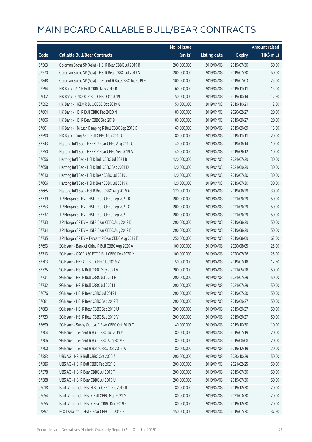|       |                                                          | No. of issue |                     |               | <b>Amount raised</b> |
|-------|----------------------------------------------------------|--------------|---------------------|---------------|----------------------|
| Code  | <b>Callable Bull/Bear Contracts</b>                      | (units)      | <b>Listing date</b> | <b>Expiry</b> | (HK\$ mil.)          |
| 67563 | Goldman Sachs SP (Asia) - HSI R Bear CBBC Jul 2019 R     | 200,000,000  | 2019/04/03          | 2019/07/30    | 50.00                |
| 67570 | Goldman Sachs SP (Asia) - HSI R Bear CBBC Jul 2019 S     | 200,000,000  | 2019/04/03          | 2019/07/30    | 50.00                |
| 67848 | Goldman Sachs SP (Asia) - Tencent R Bull CBBC Jul 2019 E | 100,000,000  | 2019/04/03          | 2019/07/03    | 25.00                |
| 67594 | HK Bank - AIA R Bull CBBC Nov 2019 B                     | 60,000,000   | 2019/04/03          | 2019/11/11    | 15.00                |
| 67602 | HK Bank - CNOOC R Bull CBBC Oct 2019 C                   | 50,000,000   | 2019/04/03          | 2019/10/14    | 12.50                |
| 67592 | HK Bank - HKEX R Bull CBBC Oct 2019 G                    | 50,000,000   | 2019/04/03          | 2019/10/21    | 12.50                |
| 67604 | HK Bank - HSI R Bull CBBC Feb 2020 N                     | 80,000,000   | 2019/04/03          | 2020/02/27    | 20.00                |
| 67606 | HK Bank - HSI R Bear CBBC Sep 2019 I                     | 80,000,000   | 2019/04/03          | 2019/09/27    | 20.00                |
| 67601 | HK Bank - Meituan Dianping R Bull CBBC Sep 2019 D        | 60,000,000   | 2019/04/03          | 2019/09/09    | 15.00                |
| 67590 | HK Bank - Ping An R Bull CBBC Nov 2019 C                 | 80,000,000   | 2019/04/03          | 2019/11/11    | 20.00                |
| 67743 | Haitong Int'l Sec - HKEX R Bear CBBC Aug 2019 C          | 40,000,000   | 2019/04/03          | 2019/08/14    | 10.00                |
| 67750 | Haitong Int'l Sec - HKEX R Bear CBBC Sep 2019 A          | 40,000,000   | 2019/04/03          | 2019/09/12    | 10.00                |
| 67656 | Haitong Int'l Sec - HSI R Bull CBBC Jul 2021 B           | 120,000,000  | 2019/04/03          | 2021/07/29    | 30.00                |
| 67658 | Haitong Int'l Sec - HSI R Bull CBBC Sep 2021 D           | 120,000,000  | 2019/04/03          | 2021/09/29    | 30.00                |
| 67610 | Haitong Int'l Sec - HSI R Bear CBBC Jul 2019 J           | 120,000,000  | 2019/04/03          | 2019/07/30    | 30.00                |
| 67666 | Haitong Int'l Sec - HSI R Bear CBBC Jul 2019 K           | 120,000,000  | 2019/04/03          | 2019/07/30    | 30.00                |
| 67665 | Haitong Int'l Sec - HSI R Bear CBBC Aug 2019 A           | 120,000,000  | 2019/04/03          | 2019/08/29    | 30.00                |
| 67739 | J P Morgan SP BV - HSI R Bull CBBC Sep 2021 B            | 200,000,000  | 2019/04/03          | 2021/09/29    | 50.00                |
| 67753 | J P Morgan SP BV - HSI R Bull CBBC Sep 2021 C            | 200,000,000  | 2019/04/03          | 2021/09/29    | 50.00                |
| 67737 | J P Morgan SP BV - HSI R Bull CBBC Sep 2021 T            | 200,000,000  | 2019/04/03          | 2021/09/29    | 50.00                |
| 67733 | J P Morgan SP BV - HSI R Bear CBBC Aug 2019 D            | 200,000,000  | 2019/04/03          | 2019/08/29    | 50.00                |
| 67734 | J P Morgan SP BV - HSI R Bear CBBC Aug 2019 E            | 200,000,000  | 2019/04/03          | 2019/08/29    | 50.00                |
| 67735 | J P Morgan SP BV - Tencent R Bear CBBC Aug 2019 E        | 250,000,000  | 2019/04/03          | 2019/08/09    | 62.50                |
| 67693 | SG Issuer - Bank of China R Bull CBBC Aug 2020 A         | 100,000,000  | 2019/04/03          | 2020/08/05    | 25.00                |
| 67713 | SG Issuer - CSOP A50 ETF R Bull CBBC Feb 2020 M          | 100,000,000  | 2019/04/03          | 2020/02/26    | 25.00                |
| 67703 | SG Issuer - HKEX R Bull CBBC Jul 2019 V                  | 50,000,000   | 2019/04/03          | 2019/07/18    | 12.50                |
| 67725 | SG Issuer - HSI R Bull CBBC May 2021 V                   | 200,000,000  | 2019/04/03          | 2021/05/28    | 50.00                |
| 67731 | SG Issuer - HSI R Bull CBBC Jul 2021 H                   | 200,000,000  | 2019/04/03          | 2021/07/29    | 50.00                |
| 67732 | SG Issuer - HSI R Bull CBBC Jul 2021 I                   | 200,000,000  | 2019/04/03          | 2021/07/29    | 50.00                |
| 67676 | SG Issuer - HSI R Bear CBBC Jul 2019 I                   | 200,000,000  | 2019/04/03          | 2019/07/30    | 50.00                |
| 67681 | SG Issuer - HSI R Bear CBBC Sep 2019 T                   | 200,000,000  | 2019/04/03          | 2019/09/27    | 50.00                |
| 67683 | SG Issuer - HSI R Bear CBBC Sep 2019 U                   | 200,000,000  | 2019/04/03          | 2019/09/27    | 50.00                |
| 67720 | SG Issuer - HSI R Bear CBBC Sep 2019 V                   | 200,000,000  | 2019/04/03          | 2019/09/27    | 50.00                |
| 67699 | SG Issuer - Sunny Optical R Bear CBBC Oct 2019 C         | 40,000,000   | 2019/04/03          | 2019/10/30    | 10.00                |
| 67704 | SG Issuer - Tencent R Bull CBBC Jul 2019 Y               | 80,000,000   | 2019/04/03          | 2019/07/19    | 20.00                |
| 67706 | SG Issuer - Tencent R Bull CBBC Aug 2019 R               | 80,000,000   | 2019/04/03          | 2019/08/08    | 20.00                |
| 67700 | SG Issuer - Tencent R Bear CBBC Dec 2019 W               | 80,000,000   | 2019/04/03          | 2019/12/19    | 20.00                |
| 67583 | UBS AG - HSI R Bull CBBC Oct 2020 Z                      | 200,000,000  | 2019/04/03          | 2020/10/29    | 50.00                |
| 67586 | UBS AG - HSI R Bull CBBC Feb 2021 E                      | 200,000,000  | 2019/04/03          | 2021/02/25    | 50.00                |
| 67578 | UBS AG - HSI R Bear CBBC Jul 2019 T                      | 200,000,000  | 2019/04/03          | 2019/07/30    | 50.00                |
| 67588 | UBS AG - HSI R Bear CBBC Jul 2019 U                      | 200,000,000  | 2019/04/03          | 2019/07/30    | 50.00                |
| 67618 | Bank Vontobel - HSI N Bear CBBC Dec 2019 R               | 80,000,000   | 2019/04/03          | 2019/12/30    | 20.00                |
| 67654 | Bank Vontobel - HSI R Bull CBBC Mar 2021 M               | 80,000,000   | 2019/04/03          | 2021/03/30    | 20.00                |
| 67655 | Bank Vontobel - HSI R Bear CBBC Dec 2019 S               | 80,000,000   | 2019/04/03          | 2019/12/30    | 20.00                |
| 67897 | BOCI Asia Ltd. - HSI R Bear CBBC Jul 2019 E              | 150,000,000  | 2019/04/04          | 2019/07/30    | 37.50                |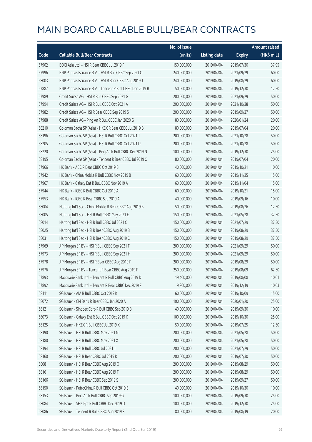|       |                                                            | No. of issue |                     |               | <b>Amount raised</b> |
|-------|------------------------------------------------------------|--------------|---------------------|---------------|----------------------|
| Code  | <b>Callable Bull/Bear Contracts</b>                        | (units)      | <b>Listing date</b> | <b>Expiry</b> | (HK\$ mil.)          |
| 67902 | BOCI Asia Ltd. - HSI R Bear CBBC Jul 2019 F                | 150,000,000  | 2019/04/04          | 2019/07/30    | 37.95                |
| 67996 | BNP Paribas Issuance B.V. - HSI R Bull CBBC Sep 2021 O     | 240,000,000  | 2019/04/04          | 2021/09/29    | 60.00                |
| 68003 | BNP Paribas Issuance B.V. - HSI R Bear CBBC Aug 2019 J     | 240,000,000  | 2019/04/04          | 2019/08/29    | 60.00                |
| 67887 | BNP Paribas Issuance B.V. - Tencent R Bull CBBC Dec 2019 B | 50,000,000   | 2019/04/04          | 2019/12/30    | 12.50                |
| 67989 | Credit Suisse AG - HSI R Bull CBBC Sep 2021 G              | 200,000,000  | 2019/04/04          | 2021/09/29    | 50.00                |
| 67994 | Credit Suisse AG - HSI R Bull CBBC Oct 2021 A              | 200,000,000  | 2019/04/04          | 2021/10/28    | 50.00                |
| 67982 | Credit Suisse AG - HSI R Bear CBBC Sep 2019 S              | 200,000,000  | 2019/04/04          | 2019/09/27    | 50.00                |
| 67988 | Credit Suisse AG - Ping An R Bull CBBC Jan 2020 G          | 80,000,000   | 2019/04/04          | 2020/01/24    | 20.00                |
| 68210 | Goldman Sachs SP (Asia) - HKEX R Bear CBBC Jul 2019 B      | 80,000,000   | 2019/04/04          | 2019/07/04    | 20.00                |
| 68196 | Goldman Sachs SP (Asia) - HSI R Bull CBBC Oct 2021 T       | 200,000,000  | 2019/04/04          | 2021/10/28    | 50.00                |
| 68205 | Goldman Sachs SP (Asia) - HSI R Bull CBBC Oct 2021 U       | 200,000,000  | 2019/04/04          | 2021/10/28    | 50.00                |
| 68220 | Goldman Sachs SP (Asia) - Ping An R Bull CBBC Dec 2019 N   | 100,000,000  | 2019/04/04          | 2019/12/30    | 25.00                |
| 68195 | Goldman Sachs SP (Asia) - Tencent R Bear CBBC Jul 2019 C   | 80,000,000   | 2019/04/04          | 2019/07/04    | 20.00                |
| 67966 | HK Bank - ABC R Bear CBBC Oct 2019 B                       | 40,000,000   | 2019/04/04          | 2019/10/21    | 10.00                |
| 67942 | HK Bank - China Mobile R Bull CBBC Nov 2019 B              | 60,000,000   | 2019/04/04          | 2019/11/25    | 15.00                |
| 67967 | HK Bank - Galaxy Ent R Bull CBBC Nov 2019 A                | 60,000,000   | 2019/04/04          | 2019/11/04    | 15.00                |
| 67944 | HK Bank - ICBC R Bull CBBC Oct 2019 A                      | 60,000,000   | 2019/04/04          | 2019/10/21    | 15.00                |
| 67953 | HK Bank - ICBC R Bear CBBC Sep 2019 A                      | 40,000,000   | 2019/04/04          | 2019/09/16    | 10.00                |
| 68004 | Haitong Int'l Sec - China Mobile R Bear CBBC Aug 2019 B    | 50,000,000   | 2019/04/04          | 2019/08/26    | 12.50                |
| 68005 | Haitong Int'l Sec - HSI R Bull CBBC May 2021 E             | 150,000,000  | 2019/04/04          | 2021/05/28    | 37.50                |
| 68014 | Haitong Int'l Sec - HSI R Bull CBBC Jul 2021 C             | 150,000,000  | 2019/04/04          | 2021/07/29    | 37.50                |
| 68025 | Haitong Int'l Sec - HSI R Bear CBBC Aug 2019 B             | 150,000,000  | 2019/04/04          | 2019/08/29    | 37.50                |
| 68031 | Haitong Int'l Sec - HSI R Bear CBBC Aug 2019 C             | 150,000,000  | 2019/04/04          | 2019/08/29    | 37.50                |
| 67969 | J P Morgan SP BV - HSI R Bull CBBC Sep 2021 F              | 200,000,000  | 2019/04/04          | 2021/09/29    | 50.00                |
| 67973 | J P Morgan SP BV - HSI R Bull CBBC Sep 2021 H              | 200,000,000  | 2019/04/04          | 2021/09/29    | 50.00                |
| 67978 | J P Morgan SP BV - HSI R Bear CBBC Aug 2019 F              | 200,000,000  | 2019/04/04          | 2019/08/29    | 50.00                |
| 67976 | J P Morgan SP BV - Tencent R Bear CBBC Aug 2019 F          | 250,000,000  | 2019/04/04          | 2019/08/09    | 62.50                |
| 67893 | Macquarie Bank Ltd. - Tencent R Bull CBBC Aug 2019 D       | 19,400,000   | 2019/04/04          | 2019/08/08    | 10.01                |
| 67892 | Macquarie Bank Ltd. - Tencent R Bear CBBC Dec 2019 F       | 9,300,000    | 2019/04/04          | 2019/12/19    | 10.03                |
| 68111 | SG Issuer - AIA R Bull CBBC Oct 2019 K                     | 60,000,000   | 2019/04/04          | 2019/10/09    | 15.00                |
| 68072 | SG Issuer - CM Bank R Bear CBBC Jan 2020 A                 | 100,000,000  | 2019/04/04          | 2020/01/20    | 25.00                |
| 68121 | SG Issuer - Sinopec Corp R Bull CBBC Sep 2019 B            | 40,000,000   | 2019/04/04          | 2019/09/30    | 10.00                |
| 68073 | SG Issuer - Galaxy Ent R Bull CBBC Oct 2019 K              | 100,000,000  | 2019/04/04          | 2019/10/30    | 25.00                |
| 68125 | SG Issuer - HKEX R Bull CBBC Jul 2019 X                    | 50,000,000   | 2019/04/04          | 2019/07/25    | 12.50                |
| 68190 | SG Issuer - HSI R Bull CBBC May 2021 N                     | 200,000,000  | 2019/04/04          | 2021/05/28    | 50.00                |
| 68180 | SG Issuer - HSI R Bull CBBC May 2021 X                     | 200,000,000  | 2019/04/04          | 2021/05/28    | 50.00                |
| 68194 | SG Issuer - HSI R Bull CBBC Jul 2021 J                     | 200,000,000  | 2019/04/04          | 2021/07/29    | 50.00                |
| 68160 | SG Issuer - HSI R Bear CBBC Jul 2019 K                     | 200,000,000  | 2019/04/04          | 2019/07/30    | 50.00                |
| 68081 | SG Issuer - HSI R Bear CBBC Aug 2019 O                     | 200,000,000  | 2019/04/04          | 2019/08/29    | 50.00                |
| 68161 | SG Issuer - HSI R Bear CBBC Aug 2019 T                     | 200,000,000  | 2019/04/04          | 2019/08/29    | 50.00                |
| 68166 | SG Issuer - HSI R Bear CBBC Sep 2019 S                     | 200,000,000  | 2019/04/04          | 2019/09/27    | 50.00                |
| 68150 | SG Issuer - PetroChina R Bull CBBC Oct 2019 E              | 40,000,000   | 2019/04/04          | 2019/10/30    | 10.00                |
| 68153 | SG Issuer - Ping An R Bull CBBC Sep 2019 G                 | 100,000,000  | 2019/04/04          | 2019/09/30    | 25.00                |
| 68084 | SG Issuer - SHK Ppt R Bull CBBC Dec 2019 D                 | 100,000,000  | 2019/04/04          | 2019/12/30    | 25.00                |
| 68086 | SG Issuer - Tencent R Bull CBBC Aug 2019 S                 | 80,000,000   | 2019/04/04          | 2019/08/19    | 20.00                |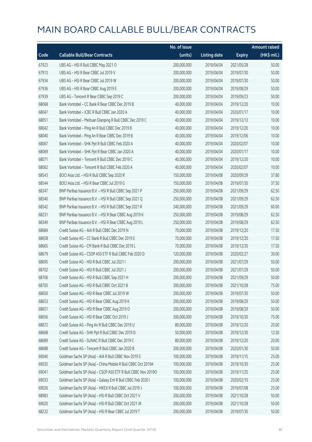|       |                                                              | No. of issue |                     |               | <b>Amount raised</b> |
|-------|--------------------------------------------------------------|--------------|---------------------|---------------|----------------------|
| Code  | <b>Callable Bull/Bear Contracts</b>                          | (units)      | <b>Listing date</b> | <b>Expiry</b> | (HK\$ mil.)          |
| 67923 | UBS AG - HSI R Bull CBBC May 2021 O                          | 200,000,000  | 2019/04/04          | 2021/05/28    | 50.00                |
| 67913 | UBS AG - HSI R Bear CBBC Jul 2019 V                          | 200,000,000  | 2019/04/04          | 2019/07/30    | 50.00                |
| 67934 | UBS AG - HSI R Bear CBBC Jul 2019 W                          | 200,000,000  | 2019/04/04          | 2019/07/30    | 50.00                |
| 67936 | UBS AG - HSI R Bear CBBC Aug 2019 E                          | 200,000,000  | 2019/04/04          | 2019/08/29    | 50.00                |
| 67939 | UBS AG - Tencent R Bear CBBC Sep 2019 C                      | 200,000,000  | 2019/04/04          | 2019/09/23    | 50.00                |
| 68068 | Bank Vontobel - CC Bank R Bear CBBC Dec 2019 B               | 40,000,000   | 2019/04/04          | 2019/12/20    | 10.00                |
| 68047 | Bank Vontobel - ICBC R Bull CBBC Jan 2020 A                  | 40,000,000   | 2019/04/04          | 2020/01/17    | 10.00                |
| 68051 | Bank Vontobel - Meituan Dianping R Bull CBBC Dec 2019 C      | 40,000,000   | 2019/04/04          | 2019/12/13    | 10.00                |
| 68042 | Bank Vontobel - Ping An R Bull CBBC Dec 2019 B               | 40,000,000   | 2019/04/04          | 2019/12/20    | 10.00                |
| 68040 | Bank Vontobel - Ping An R Bear CBBC Dec 2019 B               | 40,000,000   | 2019/04/04          | 2019/12/06    | 10.00                |
| 68067 | Bank Vontobel - SHK Ppt R Bull CBBC Feb 2020 A               | 40,000,000   | 2019/04/04          | 2020/02/07    | 10.00                |
| 68069 | Bank Vontobel - SHK Ppt R Bear CBBC Jan 2020 A               | 40,000,000   | 2019/04/04          | 2020/01/17    | 10.00                |
| 68071 | Bank Vontobel - Tencent R Bull CBBC Dec 2019 C               | 40,000,000   | 2019/04/04          | 2019/12/20    | 10.00                |
| 68062 | Bank Vontobel - Tencent R Bull CBBC Feb 2020 A               | 40,000,000   | 2019/04/04          | 2020/02/07    | 10.00                |
| 68543 | BOCI Asia Ltd. - HSI R Bull CBBC Sep 2020 R                  | 150,000,000  | 2019/04/08          | 2020/09/29    | 37.80                |
| 68544 | BOCI Asia Ltd. - HSI R Bear CBBC Jul 2019 G                  | 150,000,000  | 2019/04/08          | 2019/07/30    | 37.50                |
| 68347 | BNP Paribas Issuance B.V. - HSI R Bull CBBC Sep 2021 P       | 250,000,000  | 2019/04/08          | 2021/09/29    | 62.50                |
| 68540 | BNP Paribas Issuance B.V. - HSI R Bull CBBC Sep 2021 Q       | 250,000,000  | 2019/04/08          | 2021/09/29    | 62.50                |
| 68542 | BNP Paribas Issuance B.V. - HSI R Bull CBBC Sep 2021 R       | 240,000,000  | 2019/04/08          | 2021/09/29    | 60.00                |
| 68231 | BNP Paribas Issuance B.V. - HSI R Bear CBBC Aug 2019 K       | 250,000,000  | 2019/04/08          | 2019/08/29    | 62.50                |
| 68349 | BNP Paribas Issuance B.V. - HSI R Bear CBBC Aug 2019 L       | 250,000,000  | 2019/04/08          | 2019/08/29    | 62.50                |
| 68684 | Credit Suisse AG - AIA R Bull CBBC Dec 2019 N                | 70,000,000   | 2019/04/08          | 2019/12/20    | 17.50                |
| 68658 | Credit Suisse AG - CC Bank R Bull CBBC Dec 2019 E            | 70,000,000   | 2019/04/08          | 2019/12/20    | 17.50                |
| 68665 | Credit Suisse AG - CM Bank R Bull CBBC Dec 2019 L            | 70,000,000   | 2019/04/08          | 2019/12/30    | 17.50                |
| 68679 | Credit Suisse AG - CSOP A50 ETF R Bull CBBC Feb 2020 D       | 120,000,000  | 2019/04/08          | 2020/02/27    | 30.00                |
| 68695 | Credit Suisse AG - HSI R Bull CBBC Jul 2021 I                | 200,000,000  | 2019/04/08          | 2021/07/29    | 50.00                |
| 68702 | Credit Suisse AG - HSI R Bull CBBC Jul 2021 J                | 200,000,000  | 2019/04/08          | 2021/07/29    | 50.00                |
| 68706 | Credit Suisse AG - HSI R Bull CBBC Sep 2021 H                | 200,000,000  | 2019/04/08          | 2021/09/29    | 50.00                |
| 68705 | Credit Suisse AG - HSI R Bull CBBC Oct 2021 B                | 300,000,000  | 2019/04/08          | 2021/10/28    | 75.00                |
| 68650 | Credit Suisse AG - HSI R Bear CBBC Jul 2019 W                | 200,000,000  | 2019/04/08          | 2019/07/30    | 50.00                |
| 68653 | Credit Suisse AG - HSI R Bear CBBC Aug 2019 K                | 200,000,000  | 2019/04/08          | 2019/08/29    | 50.00                |
| 68651 | Credit Suisse AG - HSI R Bear CBBC Aug 2019 O                | 200,000,000  | 2019/04/08          | 2019/08/29    | 50.00                |
| 68656 | Credit Suisse AG - HSI R Bear CBBC Oct 2019 J                | 300,000,000  | 2019/04/08          | 2019/10/30    | 75.00                |
| 68672 | Credit Suisse AG - Ping An R Bull CBBC Dec 2019 U            | 80,000,000   | 2019/04/08          | 2019/12/20    | 20.00                |
| 68668 | Credit Suisse AG - SHK Ppt R Bull CBBC Dec 2019 D            | 50,000,000   | 2019/04/08          | 2019/12/30    | 12.50                |
| 68689 | Credit Suisse AG - SUNAC R Bull CBBC Dec 2019 C              | 80,000,000   | 2019/04/08          | 2019/12/20    | 20.00                |
| 68688 | Credit Suisse AG - Tencent R Bull CBBC Jan 2020 B            | 200,000,000  | 2019/04/08          | 2020/01/30    | 50.00                |
| 69040 | Goldman Sachs SP (Asia) - AIA R Bull CBBC Nov 2019 S         | 100,000,000  | 2019/04/08          | 2019/11/15    | 25.00                |
| 69035 | Goldman Sachs SP (Asia) - China Mobile R Bull CBBC Oct 2019A | 100,000,000  | 2019/04/08          | 2019/10/30    | 25.00                |
| 69041 | Goldman Sachs SP (Asia) - CSOP A50 ETF R Bull CBBC Nov 2019O | 100,000,000  | 2019/04/08          | 2019/11/25    | 25.00                |
| 69033 | Goldman Sachs SP (Asia) - Galaxy Ent R Bull CBBC Feb 2020 I  | 100,000,000  | 2019/04/08          | 2020/02/10    | 25.00                |
| 69026 | Goldman Sachs SP (Asia) - HKEX R Bull CBBC Jul 2019 J        | 100,000,000  | 2019/04/08          | 2019/07/08    | 25.00                |
| 68983 | Goldman Sachs SP (Asia) - HSI R Bull CBBC Oct 2021 V         | 200,000,000  | 2019/04/08          | 2021/10/28    | 50.00                |
| 69020 | Goldman Sachs SP (Asia) - HSI R Bull CBBC Oct 2021 W         | 200,000,000  | 2019/04/08          | 2021/10/28    | 50.00                |
| 68232 | Goldman Sachs SP (Asia) - HSI R Bear CBBC Jul 2019 T         | 200,000,000  | 2019/04/08          | 2019/07/30    | 50.00                |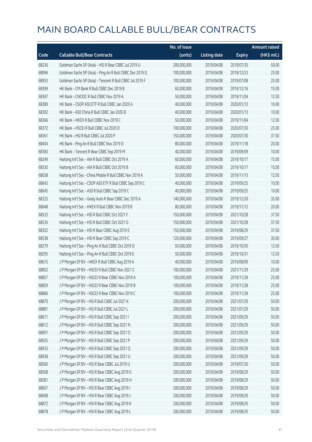|       |                                                          | No. of issue |                     |               | <b>Amount raised</b> |
|-------|----------------------------------------------------------|--------------|---------------------|---------------|----------------------|
| Code  | <b>Callable Bull/Bear Contracts</b>                      | (units)      | <b>Listing date</b> | <b>Expiry</b> | (HK\$ mil.)          |
| 68236 | Goldman Sachs SP (Asia) - HSI R Bear CBBC Jul 2019 U     | 200,000,000  | 2019/04/08          | 2019/07/30    | 50.00                |
| 68996 | Goldman Sachs SP (Asia) - Ping An R Bull CBBC Dec 2019 Q | 100,000,000  | 2019/04/08          | 2019/12/23    | 25.00                |
| 68953 | Goldman Sachs SP (Asia) - Tencent R Bull CBBC Jul 2019 F | 100,000,000  | 2019/04/08          | 2019/07/08    | 25.00                |
| 68399 | HK Bank - CM Bank R Bull CBBC Dec 2019 B                 | 60,000,000   | 2019/04/08          | 2019/12/16    | 15.00                |
| 68367 | HK Bank - CNOOC R Bull CBBC Nov 2019 A                   | 50,000,000   | 2019/04/08          | 2019/11/04    | 12.50                |
| 68389 | HK Bank - CSOP A50 ETF R Bull CBBC Jan 2020 A            | 40,000,000   | 2019/04/08          | 2020/01/13    | 10.00                |
| 68392 | HK Bank - A50 China R Bull CBBC Jan 2020 B               | 40,000,000   | 2019/04/08          | 2020/01/13    | 10.00                |
| 68366 | HK Bank - HKEX R Bull CBBC Nov 2019 C                    | 50,000,000   | 2019/04/08          | 2019/11/04    | 12.50                |
| 68372 | HK Bank - HSCEI R Bull CBBC Jul 2020 D                   | 100,000,000  | 2019/04/08          | 2020/07/30    | 25.00                |
| 68361 | HK Bank - HSI R Bull CBBC Jul 2020 P                     | 150,000,000  | 2019/04/08          | 2020/07/30    | 37.50                |
| 68404 | HK Bank - Ping An R Bull CBBC Nov 2019 D                 | 80,000,000   | 2019/04/08          | 2019/11/18    | 20.00                |
| 68383 | HK Bank - Tencent R Bear CBBC Sep 2019 M                 | 40,000,000   | 2019/04/08          | 2019/09/09    | 10.00                |
| 68249 | Haitong Int'l Sec - AIA R Bull CBBC Oct 2019 A           | 60,000,000   | 2019/04/08          | 2019/10/17    | 15.00                |
| 68530 | Haitong Int'l Sec - AIA R Bull CBBC Oct 2019 B           | 60,000,000   | 2019/04/08          | 2019/10/17    | 15.00                |
| 68638 | Haitong Int'l Sec - China Mobile R Bull CBBC Nov 2019 A  | 50,000,000   | 2019/04/08          | 2019/11/13    | 12.50                |
| 68643 | Haitong Int'l Sec - CSOP A50 ETF R Bull CBBC Sep 2019 C  | 40,000,000   | 2019/04/08          | 2019/09/25    | 10.00                |
| 68645 | Haitong Int'l Sec - A50 R Bull CBBC Sep 2019 C           | 40,000,000   | 2019/04/08          | 2019/09/25    | 10.00                |
| 68325 | Haitong Int'l Sec - Geely Auto R Bear CBBC Dec 2019 A    | 140,000,000  | 2019/04/08          | 2019/12/20    | 35.00                |
| 68648 | Haitong Int'l Sec - HKEX R Bull CBBC Nov 2019 B          | 80,000,000   | 2019/04/08          | 2019/11/12    | 20.00                |
| 68533 | Haitong Int'l Sec - HSI R Bull CBBC Oct 2021 F           | 150,000,000  | 2019/04/08          | 2021/10/28    | 37.50                |
| 68534 | Haitong Int'l Sec - HSI R Bull CBBC Oct 2021 G           | 150,000,000  | 2019/04/08          | 2021/10/28    | 37.50                |
| 68352 | Haitong Int'l Sec - HSI R Bear CBBC Aug 2019 E           | 150,000,000  | 2019/04/08          | 2019/08/29    | 37.50                |
| 68538 | Haitong Int'l Sec - HSI R Bear CBBC Sep 2019 C           | 120,000,000  | 2019/04/08          | 2019/09/27    | 30.00                |
| 68279 | Haitong Int'l Sec - Ping An R Bull CBBC Oct 2019 D       | 50,000,000   | 2019/04/08          | 2019/10/30    | 12.50                |
| 68295 | Haitong Int'l Sec - Ping An R Bull CBBC Oct 2019 E       | 50,000,000   | 2019/04/08          | 2019/10/31    | 12.50                |
| 68615 | J P Morgan SP BV - HKEX R Bull CBBC Aug 2019 A           | 40,000,000   | 2019/04/08          | 2019/08/09    | 10.00                |
| 68852 | J P Morgan SP BV - HSCEI R Bull CBBC Nov 2021 C          | 100,000,000  | 2019/04/08          | 2021/11/29    | 25.00                |
| 68857 | J P Morgan SP BV - HSCEI R Bear CBBC Nov 2019 A          | 100,000,000  | 2019/04/08          | 2019/11/28    | 25.00                |
| 68859 | J P Morgan SP BV - HSCEI R Bear CBBC Nov 2019 B          | 100,000,000  | 2019/04/08          | 2019/11/28    | 25.00                |
| 68866 | J P Morgan SP BV - HSCEI R Bear CBBC Nov 2019 C          | 100,000,000  | 2019/04/08          | 2019/11/28    | 25.00                |
| 68870 | J P Morgan SP BV - HSI R Bull CBBC Jul 2021 K            | 200,000,000  | 2019/04/08          | 2021/07/29    | 50.00                |
| 68881 | J P Morgan SP BV - HSI R Bull CBBC Jul 2021 L            | 200,000,000  | 2019/04/08          | 2021/07/29    | 50.00                |
| 68611 | J P Morgan SP BV - HSI R Bull CBBC Sep 2021 I            | 200,000,000  | 2019/04/08          | 2021/09/29    | 50.00                |
| 68612 | J P Morgan SP BV - HSI R Bull CBBC Sep 2021 N            | 200,000,000  | 2019/04/08          | 2021/09/29    | 50.00                |
| 68901 | J P Morgan SP BV - HSI R Bull CBBC Sep 2021 O            | 200,000,000  | 2019/04/08          | 2021/09/29    | 50.00                |
| 68925 | J P Morgan SP BV - HSI R Bull CBBC Sep 2021 P            | 200,000,000  | 2019/04/08          | 2021/09/29    | 50.00                |
| 68933 | J P Morgan SP BV - HSI R Bull CBBC Sep 2021 Q            | 200,000,000  | 2019/04/08          | 2021/09/29    | 50.00                |
| 68938 | J P Morgan SP BV - HSI R Bull CBBC Sep 2021 U            | 200,000,000  | 2019/04/08          | 2021/09/29    | 50.00                |
| 68560 | J P Morgan SP BV - HSI R Bear CBBC Jul 2019 U            | 200,000,000  | 2019/04/08          | 2019/07/30    | 50.00                |
| 68568 | J P Morgan SP BV - HSI R Bear CBBC Aug 2019 G            | 200,000,000  | 2019/04/08          | 2019/08/29    | 50.00                |
| 68581 | J P Morgan SP BV - HSI R Bear CBBC Aug 2019 H            | 200,000,000  | 2019/04/08          | 2019/08/29    | 50.00                |
| 68607 | J P Morgan SP BV - HSI R Bear CBBC Aug 2019 I            | 200,000,000  | 2019/04/08          | 2019/08/29    | 50.00                |
| 68608 | J P Morgan SP BV - HSI R Bear CBBC Aug 2019 J            | 200,000,000  | 2019/04/08          | 2019/08/29    | 50.00                |
| 68872 | J P Morgan SP BV - HSI R Bear CBBC Aug 2019 K            | 200,000,000  | 2019/04/08          | 2019/08/29    | 50.00                |
| 68878 | J P Morgan SP BV - HSI R Bear CBBC Aug 2019 L            | 200,000,000  | 2019/04/08          | 2019/08/29    | 50.00                |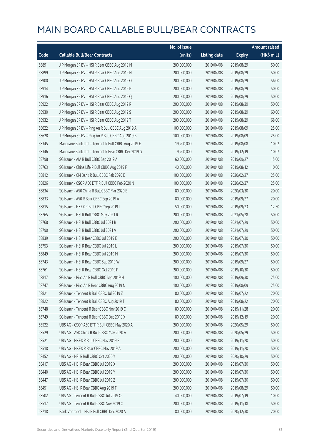|       |                                                      | No. of issue |                     |               | <b>Amount raised</b> |
|-------|------------------------------------------------------|--------------|---------------------|---------------|----------------------|
| Code  | <b>Callable Bull/Bear Contracts</b>                  | (units)      | <b>Listing date</b> | <b>Expiry</b> | (HK\$ mil.)          |
| 68891 | J P Morgan SP BV - HSI R Bear CBBC Aug 2019 M        | 200,000,000  | 2019/04/08          | 2019/08/29    | 50.00                |
| 68899 | J P Morgan SP BV - HSI R Bear CBBC Aug 2019 N        | 200,000,000  | 2019/04/08          | 2019/08/29    | 50.00                |
| 68900 | J P Morgan SP BV - HSI R Bear CBBC Aug 2019 O        | 200,000,000  | 2019/04/08          | 2019/08/29    | 56.00                |
| 68914 | J P Morgan SP BV - HSI R Bear CBBC Aug 2019 P        | 200,000,000  | 2019/04/08          | 2019/08/29    | 50.00                |
| 68916 | J P Morgan SP BV - HSI R Bear CBBC Aug 2019 Q        | 200,000,000  | 2019/04/08          | 2019/08/29    | 50.00                |
| 68922 | J P Morgan SP BV - HSI R Bear CBBC Aug 2019 R        | 200,000,000  | 2019/04/08          | 2019/08/29    | 50.00                |
| 68930 | J P Morgan SP BV - HSI R Bear CBBC Aug 2019 S        | 200,000,000  | 2019/04/08          | 2019/08/29    | 60.00                |
| 68932 | J P Morgan SP BV - HSI R Bear CBBC Aug 2019 T        | 200,000,000  | 2019/04/08          | 2019/08/29    | 68.00                |
| 68622 | J P Morgan SP BV - Ping An R Bull CBBC Aug 2019 A    | 100,000,000  | 2019/04/08          | 2019/08/09    | 25.00                |
| 68628 | J P Morgan SP BV - Ping An R Bull CBBC Aug 2019 B    | 100,000,000  | 2019/04/08          | 2019/08/09    | 25.00                |
| 68345 | Macquarie Bank Ltd. - Tencent R Bull CBBC Aug 2019 E | 19,200,000   | 2019/04/08          | 2019/08/08    | 10.02                |
| 68346 | Macquarie Bank Ltd. - Tencent R Bear CBBC Dec 2019 G | 9,200,000    | 2019/04/08          | 2019/12/19    | 10.07                |
| 68798 | SG Issuer - AIA R Bull CBBC Sep 2019 A               | 60,000,000   | 2019/04/08          | 2019/09/27    | 15.00                |
| 68763 | SG Issuer - China Life R Bull CBBC Aug 2019 F        | 40,000,000   | 2019/04/08          | 2019/08/12    | 10.00                |
| 68812 | SG Issuer - CM Bank R Bull CBBC Feb 2020 E           | 100,000,000  | 2019/04/08          | 2020/02/27    | 25.00                |
| 68826 | SG Issuer - CSOP A50 ETF R Bull CBBC Feb 2020 N      | 100,000,000  | 2019/04/08          | 2020/02/27    | 25.00                |
| 68834 | SG Issuer - A50 China R Bull CBBC Mar 2020 B         | 80,000,000   | 2019/04/08          | 2020/03/30    | 20.00                |
| 68833 | SG Issuer - A50 R Bear CBBC Sep 2019 A               | 80,000,000   | 2019/04/08          | 2019/09/27    | 20.00                |
| 68815 | SG Issuer - HKEX R Bull CBBC Sep 2019 I              | 50,000,000   | 2019/04/08          | 2019/09/23    | 12.50                |
| 68765 | SG Issuer - HSI R Bull CBBC May 2021 R               | 200,000,000  | 2019/04/08          | 2021/05/28    | 50.00                |
| 68768 | SG Issuer - HSI R Bull CBBC Jul 2021 R               | 200,000,000  | 2019/04/08          | 2021/07/29    | 50.00                |
| 68790 | SG Issuer - HSI R Bull CBBC Jul 2021 V               | 200,000,000  | 2019/04/08          | 2021/07/29    | 50.00                |
| 68839 | SG Issuer - HSI R Bear CBBC Jul 2019 E               | 200,000,000  | 2019/04/08          | 2019/07/30    | 50.00                |
| 68753 | SG Issuer - HSI R Bear CBBC Jul 2019 L               | 200,000,000  | 2019/04/08          | 2019/07/30    | 50.00                |
| 68849 | SG Issuer - HSI R Bear CBBC Jul 2019 M               | 200,000,000  | 2019/04/08          | 2019/07/30    | 50.00                |
| 68743 | SG Issuer - HSI R Bear CBBC Sep 2019 W               | 200,000,000  | 2019/04/08          | 2019/09/27    | 50.00                |
| 68761 | SG Issuer - HSI R Bear CBBC Oct 2019 P               | 200,000,000  | 2019/04/08          | 2019/10/30    | 50.00                |
| 68817 | SG Issuer - Ping An R Bull CBBC Sep 2019 H           | 100,000,000  | 2019/04/08          | 2019/09/30    | 25.00                |
| 68747 | SG Issuer - Ping An R Bear CBBC Aug 2019 N           | 100,000,000  | 2019/04/08          | 2019/08/09    | 25.00                |
| 68821 | SG Issuer - Tencent R Bull CBBC Jul 2019 Z           | 80,000,000   | 2019/04/08          | 2019/07/22    | 20.00                |
| 68822 | SG Issuer - Tencent R Bull CBBC Aug 2019 T           | 80,000,000   | 2019/04/08          | 2019/08/22    | 20.00                |
| 68748 | SG Issuer - Tencent R Bear CBBC Nov 2019 C           | 80,000,000   | 2019/04/08          | 2019/11/28    | 20.00                |
| 68749 | SG Issuer - Tencent R Bear CBBC Dec 2019 X           | 80,000,000   | 2019/04/08          | 2019/12/19    | 20.00                |
| 68522 | UBS AG - CSOP A50 ETF R Bull CBBC May 2020 A         | 200,000,000  | 2019/04/08          | 2020/05/29    | 50.00                |
| 68529 | UBS AG - A50 China R Bull CBBC May 2020 A            | 200,000,000  | 2019/04/08          | 2020/05/29    | 50.00                |
| 68521 | UBS AG - HKEX R Bull CBBC Nov 2019 E                 | 200,000,000  | 2019/04/08          | 2019/11/20    | 50.00                |
| 68518 | UBS AG - HKEX R Bear CBBC Nov 2019 A                 | 200,000,000  | 2019/04/08          | 2019/11/20    | 50.00                |
| 68452 | UBS AG - HSI R Bull CBBC Oct 2020 Y                  | 200,000,000  | 2019/04/08          | 2020/10/29    | 50.00                |
| 68417 | UBS AG - HSI R Bear CBBC Jul 2019 X                  | 200,000,000  | 2019/04/08          | 2019/07/30    | 50.00                |
| 68440 | UBS AG - HSI R Bear CBBC Jul 2019 Y                  | 200,000,000  | 2019/04/08          | 2019/07/30    | 50.00                |
| 68447 | UBS AG - HSI R Bear CBBC Jul 2019 Z                  | 200,000,000  | 2019/04/08          | 2019/07/30    | 50.00                |
| 68451 | UBS AG - HSI R Bear CBBC Aug 2019 F                  | 200,000,000  | 2019/04/08          | 2019/08/29    | 50.00                |
| 68502 | UBS AG - Tencent R Bull CBBC Jul 2019 O              | 40,000,000   | 2019/04/08          | 2019/07/19    | 10.00                |
| 68517 | UBS AG - Tencent R Bull CBBC Nov 2019 C              | 200,000,000  | 2019/04/08          | 2019/11/18    | 50.00                |
| 68718 | Bank Vontobel - HSI R Bull CBBC Dec 2020 A           | 80,000,000   | 2019/04/08          | 2020/12/30    | 20.00                |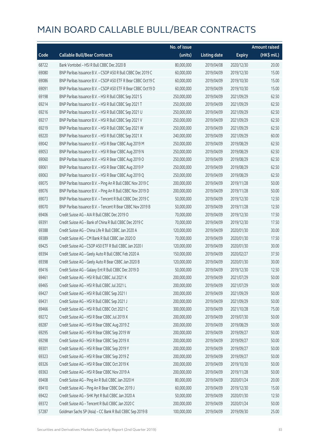|       |                                                              | No. of issue |                     |               | <b>Amount raised</b> |
|-------|--------------------------------------------------------------|--------------|---------------------|---------------|----------------------|
| Code  | <b>Callable Bull/Bear Contracts</b>                          | (units)      | <b>Listing date</b> | <b>Expiry</b> | (HK\$ mil.)          |
| 68722 | Bank Vontobel - HSI R Bull CBBC Dec 2020 B                   | 80,000,000   | 2019/04/08          | 2020/12/30    | 20.00                |
| 69080 | BNP Paribas Issuance B.V. - CSOP A50 R Bull CBBC Dec 2019 C  | 60,000,000   | 2019/04/09          | 2019/12/30    | 15.00                |
| 69086 | BNP Paribas Issuance B.V. - CSOP A50 ETF R Bear CBBC Oct19 C | 60,000,000   | 2019/04/09          | 2019/10/30    | 15.00                |
| 69091 | BNP Paribas Issuance B.V. - CSOP A50 ETF R Bear CBBC Oct19 D | 60,000,000   | 2019/04/09          | 2019/10/30    | 15.00                |
| 69198 | BNP Paribas Issuance B.V. - HSI R Bull CBBC Sep 2021 S       | 250,000,000  | 2019/04/09          | 2021/09/29    | 62.50                |
| 69214 | BNP Paribas Issuance B.V. - HSI R Bull CBBC Sep 2021 T       | 250,000,000  | 2019/04/09          | 2021/09/29    | 62.50                |
| 69216 | BNP Paribas Issuance B.V. - HSI R Bull CBBC Sep 2021 U       | 250,000,000  | 2019/04/09          | 2021/09/29    | 62.50                |
| 69217 | BNP Paribas Issuance B.V. - HSI R Bull CBBC Sep 2021 V       | 250,000,000  | 2019/04/09          | 2021/09/29    | 62.50                |
| 69219 | BNP Paribas Issuance B.V. - HSI R Bull CBBC Sep 2021 W       | 250,000,000  | 2019/04/09          | 2021/09/29    | 62.50                |
| 69220 | BNP Paribas Issuance B.V. - HSI R Bull CBBC Sep 2021 X       | 240,000,000  | 2019/04/09          | 2021/09/29    | 60.00                |
| 69042 | BNP Paribas Issuance B.V. - HSI R Bear CBBC Aug 2019 M       | 250,000,000  | 2019/04/09          | 2019/08/29    | 62.50                |
| 69053 | BNP Paribas Issuance B.V. - HSI R Bear CBBC Aug 2019 N       | 250,000,000  | 2019/04/09          | 2019/08/29    | 62.50                |
| 69060 | BNP Paribas Issuance B.V. - HSI R Bear CBBC Aug 2019 O       | 250,000,000  | 2019/04/09          | 2019/08/29    | 62.50                |
| 69061 | BNP Paribas Issuance B.V. - HSI R Bear CBBC Aug 2019 P       | 250,000,000  | 2019/04/09          | 2019/08/29    | 62.50                |
| 69063 | BNP Paribas Issuance B.V. - HSI R Bear CBBC Aug 2019 Q       | 250,000,000  | 2019/04/09          | 2019/08/29    | 62.50                |
| 69075 | BNP Paribas Issuance B.V. - Ping An R Bull CBBC Nov 2019 C   | 200,000,000  | 2019/04/09          | 2019/11/28    | 50.00                |
| 69076 | BNP Paribas Issuance B.V. - Ping An R Bull CBBC Nov 2019 D   | 200,000,000  | 2019/04/09          | 2019/11/28    | 50.00                |
| 69073 | BNP Paribas Issuance B.V. - Tencent R Bull CBBC Dec 2019 C   | 50,000,000   | 2019/04/09          | 2019/12/30    | 12.50                |
| 69070 | BNP Paribas Issuance B.V. - Tencent R Bear CBBC Nov 2019 B   | 50,000,000   | 2019/04/09          | 2019/11/28    | 12.50                |
| 69406 | Credit Suisse AG - AIA R Bull CBBC Dec 2019 O                | 70,000,000   | 2019/04/09          | 2019/12/30    | 17.50                |
| 69391 | Credit Suisse AG - Bank of China R Bull CBBC Dec 2019 C      | 70,000,000   | 2019/04/09          | 2019/12/30    | 17.50                |
| 69388 | Credit Suisse AG - China Life R Bull CBBC Jan 2020 A         | 120,000,000  | 2019/04/09          | 2020/01/30    | 30.00                |
| 69389 | Credit Suisse AG - CM Bank R Bull CBBC Jan 2020 D            | 70,000,000   | 2019/04/09          | 2020/01/30    | 17.50                |
| 69425 | Credit Suisse AG - CSOP A50 ETF R Bull CBBC Jan 2020 I       | 120,000,000  | 2019/04/09          | 2020/01/30    | 30.00                |
| 69394 | Credit Suisse AG - Geely Auto R Bull CBBC Feb 2020 A         | 150,000,000  | 2019/04/09          | 2020/02/27    | 37.50                |
| 69398 | Credit Suisse AG - Geely Auto R Bear CBBC Jan 2020 B         | 120,000,000  | 2019/04/09          | 2020/01/30    | 30.00                |
| 69416 | Credit Suisse AG - Galaxy Ent R Bull CBBC Dec 2019 D         | 50,000,000   | 2019/04/09          | 2019/12/30    | 12.50                |
| 69461 | Credit Suisse AG - HSI R Bull CBBC Jul 2021 K                | 200,000,000  | 2019/04/09          | 2021/07/29    | 50.00                |
| 69465 | Credit Suisse AG - HSI R Bull CBBC Jul 2021 L                | 200,000,000  | 2019/04/09          | 2021/07/29    | 50.00                |
| 69427 | Credit Suisse AG - HSI R Bull CBBC Sep 2021 I                | 200,000,000  | 2019/04/09          | 2021/09/29    | 50.00                |
| 69431 | Credit Suisse AG - HSI R Bull CBBC Sep 2021 J                | 200,000,000  | 2019/04/09          | 2021/09/29    | 50.00                |
| 69466 | Credit Suisse AG - HSI R Bull CBBC Oct 2021 C                | 300,000,000  | 2019/04/09          | 2021/10/28    | 75.00                |
| 69272 | Credit Suisse AG - HSI R Bear CBBC Jul 2019 X                | 200,000,000  | 2019/04/09          | 2019/07/30    | 50.00                |
| 69287 | Credit Suisse AG - HSI R Bear CBBC Aug 2019 Z                | 200,000,000  | 2019/04/09          | 2019/08/29    | 50.00                |
| 69295 | Credit Suisse AG - HSI R Bear CBBC Sep 2019 W                | 200,000,000  | 2019/04/09          | 2019/09/27    | 50.00                |
| 69298 | Credit Suisse AG - HSI R Bear CBBC Sep 2019 X                | 200,000,000  | 2019/04/09          | 2019/09/27    | 50.00                |
| 69301 | Credit Suisse AG - HSI R Bear CBBC Sep 2019 Y                | 200,000,000  | 2019/04/09          | 2019/09/27    | 50.00                |
| 69323 | Credit Suisse AG - HSI R Bear CBBC Sep 2019 Z                | 200,000,000  | 2019/04/09          | 2019/09/27    | 50.00                |
| 69326 | Credit Suisse AG - HSI R Bear CBBC Oct 2019 K                | 200,000,000  | 2019/04/09          | 2019/10/30    | 50.00                |
| 69363 | Credit Suisse AG - HSI R Bear CBBC Nov 2019 A                | 200,000,000  | 2019/04/09          | 2019/11/28    | 50.00                |
| 69408 | Credit Suisse AG - Ping An R Bull CBBC Jan 2020 H            | 80,000,000   | 2019/04/09          | 2020/01/24    | 20.00                |
| 69410 | Credit Suisse AG - Ping An R Bear CBBC Dec 2019 J            | 60,000,000   | 2019/04/09          | 2019/12/30    | 15.00                |
| 69422 | Credit Suisse AG - SHK Ppt R Bull CBBC Jan 2020 A            | 50,000,000   | 2019/04/09          | 2020/01/30    | 12.50                |
| 69372 | Credit Suisse AG - Tencent R Bull CBBC Jan 2020 C            | 200,000,000  | 2019/04/09          | 2020/01/24    | 50.00                |
| 57287 | Goldman Sachs SP (Asia) - CC Bank R Bull CBBC Sep 2019 B     | 100,000,000  | 2019/04/09          | 2019/09/30    | 25.00                |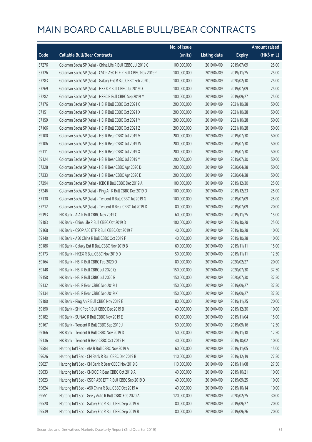|       |                                                              | No. of issue |                     |               | <b>Amount raised</b> |
|-------|--------------------------------------------------------------|--------------|---------------------|---------------|----------------------|
| Code  | <b>Callable Bull/Bear Contracts</b>                          | (units)      | <b>Listing date</b> | <b>Expiry</b> | (HK\$ mil.)          |
| 57276 | Goldman Sachs SP (Asia) – China Life R Bull CBBC Jul 2019 C  | 100,000,000  | 2019/04/09          | 2019/07/09    | 25.00                |
| 57326 | Goldman Sachs SP (Asia) - CSOP A50 ETF R Bull CBBC Nov 2019P | 100,000,000  | 2019/04/09          | 2019/11/25    | 25.00                |
| 57283 | Goldman Sachs SP (Asia) - Galaxy Ent R Bull CBBC Feb 2020 J  | 100,000,000  | 2019/04/09          | 2020/02/10    | 25.00                |
| 57269 | Goldman Sachs SP (Asia) - HKEX R Bull CBBC Jul 2019 D        | 100,000,000  | 2019/04/09          | 2019/07/09    | 25.00                |
| 57282 | Goldman Sachs SP (Asia) - HSBC R Bull CBBC Sep 2019 M        | 100,000,000  | 2019/04/09          | 2019/09/27    | 25.00                |
| 57176 | Goldman Sachs SP (Asia) - HSI R Bull CBBC Oct 2021 C         | 200,000,000  | 2019/04/09          | 2021/10/28    | 50.00                |
| 57151 | Goldman Sachs SP (Asia) - HSI R Bull CBBC Oct 2021 X         | 200,000,000  | 2019/04/09          | 2021/10/28    | 50.00                |
| 57159 | Goldman Sachs SP (Asia) - HSI R Bull CBBC Oct 2021 Y         | 200,000,000  | 2019/04/09          | 2021/10/28    | 50.00                |
| 57166 | Goldman Sachs SP (Asia) - HSI R Bull CBBC Oct 2021 Z         | 200,000,000  | 2019/04/09          | 2021/10/28    | 50.00                |
| 69100 | Goldman Sachs SP (Asia) - HSI R Bear CBBC Jul 2019 V         | 200,000,000  | 2019/04/09          | 2019/07/30    | 50.00                |
| 69106 | Goldman Sachs SP (Asia) - HSI R Bear CBBC Jul 2019 W         | 200,000,000  | 2019/04/09          | 2019/07/30    | 50.00                |
| 69111 | Goldman Sachs SP (Asia) - HSI R Bear CBBC Jul 2019 X         | 200,000,000  | 2019/04/09          | 2019/07/30    | 50.00                |
| 69124 | Goldman Sachs SP (Asia) - HSI R Bear CBBC Jul 2019 Y         | 200,000,000  | 2019/04/09          | 2019/07/30    | 50.00                |
| 57228 | Goldman Sachs SP (Asia) - HSI R Bear CBBC Apr 2020 D         | 200,000,000  | 2019/04/09          | 2020/04/28    | 50.00                |
| 57233 | Goldman Sachs SP (Asia) - HSI R Bear CBBC Apr 2020 E         | 200,000,000  | 2019/04/09          | 2020/04/28    | 50.00                |
| 57294 | Goldman Sachs SP (Asia) - ICBC R Bull CBBC Dec 2019 A        | 100,000,000  | 2019/04/09          | 2019/12/30    | 25.00                |
| 57246 | Goldman Sachs SP (Asia) - Ping An R Bull CBBC Dec 2019 O     | 100,000,000  | 2019/04/09          | 2019/12/23    | 25.00                |
| 57130 | Goldman Sachs SP (Asia) - Tencent R Bull CBBC Jul 2019 G     | 100,000,000  | 2019/04/09          | 2019/07/09    | 25.00                |
| 57212 | Goldman Sachs SP (Asia) - Tencent R Bear CBBC Jul 2019 D     | 80,000,000   | 2019/04/09          | 2019/07/09    | 20.00                |
| 69193 | HK Bank - AIA R Bull CBBC Nov 2019 C                         | 60,000,000   | 2019/04/09          | 2019/11/25    | 15.00                |
| 69183 | HK Bank - China Life R Bull CBBC Oct 2019 D                  | 100,000,000  | 2019/04/09          | 2019/10/28    | 25.00                |
| 69168 | HK Bank - CSOP A50 ETF R Bull CBBC Oct 2019 F                | 40,000,000   | 2019/04/09          | 2019/10/28    | 10.00                |
| 69140 | HK Bank - A50 China R Bull CBBC Oct 2019 F                   | 40,000,000   | 2019/04/09          | 2019/10/28    | 10.00                |
| 69186 | HK Bank - Galaxy Ent R Bull CBBC Nov 2019 B                  | 60,000,000   | 2019/04/09          | 2019/11/11    | 15.00                |
| 69173 | HK Bank - HKEX R Bull CBBC Nov 2019 D                        | 50,000,000   | 2019/04/09          | 2019/11/11    | 12.50                |
| 69164 | HK Bank - HSI R Bull CBBC Feb 2020 O                         | 80,000,000   | 2019/04/09          | 2020/02/27    | 20.00                |
| 69148 | HK Bank - HSI R Bull CBBC Jul 2020 Q                         | 150,000,000  | 2019/04/09          | 2020/07/30    | 37.50                |
| 69158 | HK Bank - HSI R Bull CBBC Jul 2020 R                         | 150,000,000  | 2019/04/09          | 2020/07/30    | 37.50                |
| 69132 | HK Bank - HSI R Bear CBBC Sep 2019 J                         | 150,000,000  | 2019/04/09          | 2019/09/27    | 37.50                |
| 69134 | HK Bank - HSI R Bear CBBC Sep 2019 K                         | 150,000,000  | 2019/04/09          | 2019/09/27    | 37.50                |
| 69180 | HK Bank - Ping An R Bull CBBC Nov 2019 E                     | 80,000,000   | 2019/04/09          | 2019/11/25    | 20.00                |
| 69190 | HK Bank - SHK Ppt R Bull CBBC Dec 2019 B                     | 40,000,000   | 2019/04/09          | 2019/12/30    | 10.00                |
| 69182 | HK Bank - SUNAC R Bull CBBC Nov 2019 E                       | 60,000,000   | 2019/04/09          | 2019/11/04    | 15.00                |
| 69167 | HK Bank - Tencent R Bull CBBC Sep 2019 J                     | 50,000,000   | 2019/04/09          | 2019/09/16    | 12.50                |
| 69166 | HK Bank - Tencent R Bull CBBC Nov 2019 D                     | 50,000,000   | 2019/04/09          | 2019/11/18    | 12.50                |
| 69136 | HK Bank - Tencent R Bear CBBC Oct 2019 H                     | 40,000,000   | 2019/04/09          | 2019/10/02    | 10.00                |
| 69584 | Haitong Int'l Sec - AIA R Bull CBBC Nov 2019 A               | 60,000,000   | 2019/04/09          | 2019/11/05    | 15.00                |
| 69626 | Haitong Int'l Sec - CM Bank R Bull CBBC Dec 2019 B           | 110,000,000  | 2019/04/09          | 2019/12/19    | 27.50                |
| 69627 | Haitong Int'l Sec - CM Bank R Bear CBBC Nov 2019 B           | 110,000,000  | 2019/04/09          | 2019/11/08    | 27.50                |
| 69633 | Haitong Int'l Sec - CNOOC R Bear CBBC Oct 2019 A             | 40,000,000   | 2019/04/09          | 2019/10/21    | 10.00                |
| 69623 | Haitong Int'l Sec - CSOP A50 ETF R Bull CBBC Sep 2019 D      | 40,000,000   | 2019/04/09          | 2019/09/25    | 10.00                |
| 69624 | Haitong Int'l Sec - A50 China R Bull CBBC Oct 2019 A         | 40,000,000   | 2019/04/09          | 2019/10/14    | 10.00                |
| 69551 | Haitong Int'l Sec - Geely Auto R Bull CBBC Feb 2020 A        | 120,000,000  | 2019/04/09          | 2020/02/25    | 30.00                |
| 69520 | Haitong Int'l Sec - Galaxy Ent R Bull CBBC Sep 2019 A        | 80,000,000   | 2019/04/09          | 2019/09/27    | 20.00                |
| 69539 | Haitong Int'l Sec - Galaxy Ent R Bull CBBC Sep 2019 B        | 80,000,000   | 2019/04/09          | 2019/09/26    | 20.00                |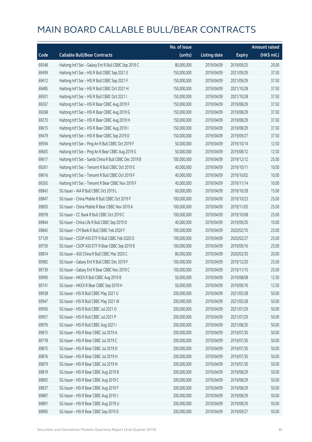|       |                                                        | No. of issue |                     |               | <b>Amount raised</b> |
|-------|--------------------------------------------------------|--------------|---------------------|---------------|----------------------|
| Code  | <b>Callable Bull/Bear Contracts</b>                    | (units)      | <b>Listing date</b> | <b>Expiry</b> | (HK\$ mil.)          |
| 69548 | Haitong Int'l Sec - Galaxy Ent R Bull CBBC Sep 2019 C  | 80,000,000   | 2019/04/09          | 2019/09/25    | 20.00                |
| 69499 | Haitong Int'l Sec - HSI R Bull CBBC Sep 2021 E         | 150,000,000  | 2019/04/09          | 2021/09/29    | 37.50                |
| 69612 | Haitong Int'l Sec - HSI R Bull CBBC Sep 2021 F         | 150,000,000  | 2019/04/09          | 2021/09/29    | 37.50                |
| 69485 | Haitong Int'l Sec - HSI R Bull CBBC Oct 2021 H         | 150,000,000  | 2019/04/09          | 2021/10/28    | 37.50                |
| 69501 | Haitong Int'l Sec - HSI R Bull CBBC Oct 2021 I         | 150,000,000  | 2019/04/09          | 2021/10/28    | 37.50                |
| 69267 | Haitong Int'l Sec - HSI R Bear CBBC Aug 2019 F         | 150,000,000  | 2019/04/09          | 2019/08/29    | 37.50                |
| 69268 | Haitong Int'l Sec - HSI R Bear CBBC Aug 2019 G         | 150,000,000  | 2019/04/09          | 2019/08/29    | 37.50                |
| 69270 | Haitong Int'l Sec - HSI R Bear CBBC Aug 2019 H         | 150,000,000  | 2019/04/09          | 2019/08/29    | 37.50                |
| 69615 | Haitong Int'l Sec - HSI R Bear CBBC Aug 2019 I         | 150,000,000  | 2019/04/09          | 2019/08/29    | 37.50                |
| 69479 | Haitong Int'l Sec - HSI R Bear CBBC Sep 2019 D         | 150,000,000  | 2019/04/09          | 2019/09/27    | 37.50                |
| 69594 | Haitong Int'l Sec - Ping An R Bull CBBC Oct 2019 F     | 50,000,000   | 2019/04/09          | 2019/10/14    | 12.50                |
| 69605 | Haitong Int'l Sec - Ping An R Bear CBBC Aug 2019 G     | 50,000,000   | 2019/04/09          | 2019/08/12    | 12.50                |
| 69617 | Haitong Int'l Sec - Sands China R Bull CBBC Dec 2019 B | 100,000,000  | 2019/04/09          | 2019/12/12    | 25.00                |
| 69261 | Haitong Int'l Sec - Tencent R Bull CBBC Oct 2019 E     | 40,000,000   | 2019/04/09          | 2019/10/11    | 10.00                |
| 69616 | Haitong Int'l Sec - Tencent R Bull CBBC Oct 2019 F     | 40,000,000   | 2019/04/09          | 2019/10/02    | 10.00                |
| 69265 | Haitong Int'l Sec - Tencent R Bear CBBC Nov 2019 F     | 40,000,000   | 2019/04/09          | 2019/11/14    | 10.00                |
| 69843 | SG Issuer - AIA R Bull CBBC Oct 2019 L                 | 60,000,000   | 2019/04/09          | 2019/10/28    | 15.00                |
| 69847 | SG Issuer - China Mobile R Bull CBBC Oct 2019 F        | 100,000,000  | 2019/04/09          | 2019/10/23    | 25.00                |
| 69850 | SG Issuer - China Mobile R Bear CBBC Nov 2019 A        | 100,000,000  | 2019/04/09          | 2019/11/05    | 25.00                |
| 69978 | SG Issuer - CC Bank R Bull CBBC Oct 2019 C             | 100,000,000  | 2019/04/09          | 2019/10/08    | 25.00                |
| 69844 | SG Issuer - China Life R Bull CBBC Sep 2019 D          | 40,000,000   | 2019/04/09          | 2019/09/20    | 10.00                |
| 69845 | SG Issuer - CM Bank R Bull CBBC Feb 2020 F             | 100,000,000  | 2019/04/09          | 2020/02/10    | 25.00                |
| 57129 | SG Issuer - CSOP A50 ETF R Bull CBBC Feb 2020 O        | 100,000,000  | 2019/04/09          | 2020/02/27    | 25.00                |
| 69759 | SG Issuer - CSOP A50 ETF R Bear CBBC Sep 2019 B        | 100,000,000  | 2019/04/09          | 2019/09/16    | 25.00                |
| 69874 | SG Issuer - A50 China R Bull CBBC Mar 2020 C           | 80,000,000   | 2019/04/09          | 2020/03/30    | 20.00                |
| 69982 | SG Issuer - Galaxy Ent R Bull CBBC Dec 2019 F          | 100,000,000  | 2019/04/09          | 2019/12/20    | 25.00                |
| 69739 | SG Issuer - Galaxy Ent R Bear CBBC Nov 2019 C          | 100,000,000  | 2019/04/09          | 2019/11/15    | 25.00                |
| 69990 | SG Issuer - HKEX R Bull CBBC Aug 2019 B                | 50,000,000   | 2019/04/09          | 2019/08/08    | 12.50                |
| 69741 | SG Issuer - HKEX R Bear CBBC Sep 2019 H                | 50,000,000   | 2019/04/09          | 2019/09/16    | 12.50                |
| 69938 | SG Issuer - HSI R Bull CBBC May 2021 U                 | 200,000,000  | 2019/04/09          | 2021/05/28    | 50.00                |
| 69947 | SG Issuer - HSI R Bull CBBC May 2021 W                 | 200,000,000  | 2019/04/09          | 2021/05/28    | 50.00                |
| 69956 | SG Issuer - HSI R Bull CBBC Jul 2021 O                 | 200,000,000  | 2019/04/09          | 2021/07/29    | 50.00                |
| 69957 | SG Issuer - HSI R Bull CBBC Jul 2021 P                 | 200,000,000  | 2019/04/09          | 2021/07/29    | 50.00                |
| 69976 | SG Issuer - HSI R Bull CBBC Aug 2021 I                 | 200,000,000  | 2019/04/09          | 2021/08/30    | 50.00                |
| 69815 | SG Issuer - HSI R Bear CBBC Jul 2019 A                 | 200,000,000  | 2019/04/09          | 2019/07/30    | 50.00                |
| 69778 | SG Issuer - HSI R Bear CBBC Jul 2019 C                 | 200,000,000  | 2019/04/09          | 2019/07/30    | 50.00                |
| 69875 | SG Issuer - HSI R Bear CBBC Jul 2019 D                 | 200,000,000  | 2019/04/09          | 2019/07/30    | 50.00                |
| 69876 | SG Issuer - HSI R Bear CBBC Jul 2019 H                 | 200,000,000  | 2019/04/09          | 2019/07/30    | 50.00                |
| 69879 | SG Issuer - HSI R Bear CBBC Jul 2019 N                 | 200,000,000  | 2019/04/09          | 2019/07/30    | 50.00                |
| 69819 | SG Issuer - HSI R Bear CBBC Aug 2019 B                 | 200,000,000  | 2019/04/09          | 2019/08/29    | 50.00                |
| 69892 | SG Issuer - HSI R Bear CBBC Aug 2019 C                 | 200,000,000  | 2019/04/09          | 2019/08/29    | 50.00                |
| 69837 | SG Issuer - HSI R Bear CBBC Aug 2019 F                 | 200,000,000  | 2019/04/09          | 2019/08/29    | 50.00                |
| 69887 | SG Issuer - HSI R Bear CBBC Aug 2019 J                 | 200,000,000  | 2019/04/09          | 2019/08/29    | 50.00                |
| 69891 | SG Issuer - HSI R Bear CBBC Aug 2019 U                 | 200,000,000  | 2019/04/09          | 2019/08/29    | 50.00                |
| 69895 | SG Issuer - HSI R Bear CBBC Sep 2019 D                 | 200,000,000  | 2019/04/09          | 2019/09/27    | 50.00                |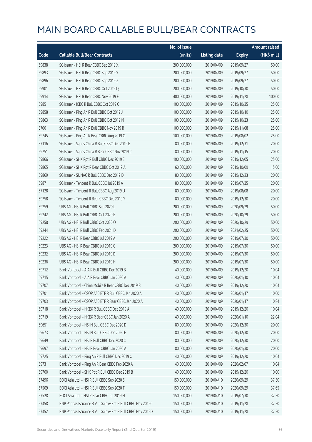|       |                                                              | No. of issue |                     |               | <b>Amount raised</b> |
|-------|--------------------------------------------------------------|--------------|---------------------|---------------|----------------------|
| Code  | <b>Callable Bull/Bear Contracts</b>                          | (units)      | <b>Listing date</b> | <b>Expiry</b> | (HK\$ mil.)          |
| 69838 | SG Issuer - HSI R Bear CBBC Sep 2019 X                       | 200,000,000  | 2019/04/09          | 2019/09/27    | 50.00                |
| 69893 | SG Issuer - HSI R Bear CBBC Sep 2019 Y                       | 200,000,000  | 2019/04/09          | 2019/09/27    | 50.00                |
| 69896 | SG Issuer - HSI R Bear CBBC Sep 2019 Z                       | 200,000,000  | 2019/04/09          | 2019/09/27    | 50.00                |
| 69901 | SG Issuer - HSI R Bear CBBC Oct 2019 Q                       | 200,000,000  | 2019/04/09          | 2019/10/30    | 50.00                |
| 69914 | SG Issuer - HSI R Bear CBBC Nov 2019 E                       | 400,000,000  | 2019/04/09          | 2019/11/28    | 100.00               |
| 69851 | SG Issuer - ICBC R Bull CBBC Oct 2019 C                      | 100,000,000  | 2019/04/09          | 2019/10/25    | 25.00                |
| 69858 | SG Issuer - Ping An R Bull CBBC Oct 2019 J                   | 100,000,000  | 2019/04/09          | 2019/10/10    | 25.00                |
| 69863 | SG Issuer - Ping An R Bull CBBC Oct 2019 M                   | 100,000,000  | 2019/04/09          | 2019/10/23    | 25.00                |
| 57001 | SG Issuer - Ping An R Bull CBBC Nov 2019 R                   | 100,000,000  | 2019/04/09          | 2019/11/08    | 25.00                |
| 69745 | SG Issuer - Ping An R Bear CBBC Aug 2019 O                   | 100,000,000  | 2019/04/09          | 2019/08/02    | 25.00                |
| 57116 | SG Issuer - Sands China R Bull CBBC Dec 2019 E               | 80,000,000   | 2019/04/09          | 2019/12/31    | 20.00                |
| 69751 | SG Issuer - Sands China R Bear CBBC Nov 2019 C               | 80,000,000   | 2019/04/09          | 2019/11/15    | 20.00                |
| 69866 | SG Issuer - SHK Ppt R Bull CBBC Dec 2019 E                   | 100,000,000  | 2019/04/09          | 2019/12/05    | 25.00                |
| 69865 | SG Issuer - SHK Ppt R Bear CBBC Oct 2019 A                   | 60,000,000   | 2019/04/09          | 2019/10/09    | 15.00                |
| 69869 | SG Issuer - SUNAC R Bull CBBC Dec 2019 D                     | 80,000,000   | 2019/04/09          | 2019/12/23    | 20.00                |
| 69871 | SG Issuer - Tencent R Bull CBBC Jul 2019 A                   | 80,000,000   | 2019/04/09          | 2019/07/25    | 20.00                |
| 57128 | SG Issuer - Tencent R Bull CBBC Aug 2019 U                   | 80,000,000   | 2019/04/09          | 2019/08/08    | 20.00                |
| 69758 | SG Issuer - Tencent R Bear CBBC Dec 2019 Y                   | 80,000,000   | 2019/04/09          | 2019/12/30    | 20.00                |
| 69259 | UBS AG - HSI R Bull CBBC Sep 2020 L                          | 200,000,000  | 2019/04/09          | 2020/09/29    | 50.00                |
| 69242 | UBS AG - HSI R Bull CBBC Oct 2020 E                          | 200,000,000  | 2019/04/09          | 2020/10/29    | 50.00                |
| 69258 | UBS AG - HSI R Bull CBBC Oct 2020 O                          | 200,000,000  | 2019/04/09          | 2020/10/29    | 50.00                |
| 69244 | UBS AG - HSI R Bull CBBC Feb 2021 D                          | 200,000,000  | 2019/04/09          | 2021/02/25    | 50.00                |
| 69222 | UBS AG - HSI R Bear CBBC Jul 2019 A                          | 200,000,000  | 2019/04/09          | 2019/07/30    | 50.00                |
| 69223 | UBS AG - HSI R Bear CBBC Jul 2019 C                          | 200,000,000  | 2019/04/09          | 2019/07/30    | 50.00                |
| 69232 | UBS AG - HSI R Bear CBBC Jul 2019 D                          | 200,000,000  | 2019/04/09          | 2019/07/30    | 50.00                |
| 69236 | UBS AG - HSI R Bear CBBC Jul 2019 H                          | 200,000,000  | 2019/04/09          | 2019/07/30    | 50.00                |
| 69712 | Bank Vontobel - AIA R Bull CBBC Dec 2019 B                   | 40,000,000   | 2019/04/09          | 2019/12/20    | 10.04                |
| 69715 | Bank Vontobel - AIA R Bear CBBC Jan 2020 A                   | 40,000,000   | 2019/04/09          | 2020/01/10    | 10.04                |
| 69707 | Bank Vontobel - China Mobile R Bear CBBC Dec 2019 B          | 40,000,000   | 2019/04/09          | 2019/12/20    | 10.04                |
| 69701 | Bank Vontobel - CSOP A50 ETF R Bull CBBC Jan 2020 A          | 40,000,000   | 2019/04/09          | 2020/01/17    | 10.00                |
| 69703 | Bank Vontobel - CSOP A50 ETF R Bear CBBC Jan 2020 A          | 40,000,000   | 2019/04/09          | 2020/01/17    | 10.84                |
| 69718 | Bank Vontobel - HKEX R Bull CBBC Dec 2019 A                  | 40,000,000   | 2019/04/09          | 2019/12/20    | 10.04                |
| 69719 | Bank Vontobel - HKEX R Bear CBBC Jan 2020 A                  | 40,000,000   | 2019/04/09          | 2020/01/10    | 22.04                |
| 69651 | Bank Vontobel - HSI N Bull CBBC Dec 2020 D                   | 80,000,000   | 2019/04/09          | 2020/12/30    | 20.00                |
| 69673 | Bank Vontobel - HSI N Bull CBBC Dec 2020 E                   | 80,000,000   | 2019/04/09          | 2020/12/30    | 20.00                |
| 69649 | Bank Vontobel - HSI R Bull CBBC Dec 2020 C                   | 80,000,000   | 2019/04/09          | 2020/12/30    | 20.00                |
| 69697 | Bank Vontobel - HSI R Bear CBBC Jan 2020 A                   | 80,000,000   | 2019/04/09          | 2020/01/30    | 20.00                |
| 69725 | Bank Vontobel - Ping An R Bull CBBC Dec 2019 C               | 40,000,000   | 2019/04/09          | 2019/12/20    | 10.04                |
| 69731 | Bank Vontobel - Ping An R Bear CBBC Feb 2020 A               | 40,000,000   | 2019/04/09          | 2020/02/07    | 10.04                |
| 69700 | Bank Vontobel - SHK Ppt R Bull CBBC Dec 2019 B               | 40,000,000   | 2019/04/09          | 2019/12/20    | 10.00                |
| 57496 | BOCI Asia Ltd. - HSI R Bull CBBC Sep 2020 S                  | 150,000,000  | 2019/04/10          | 2020/09/29    | 37.50                |
| 57509 | BOCI Asia Ltd. - HSI R Bull CBBC Sep 2020 T                  | 150,000,000  | 2019/04/10          | 2020/09/29    | 37.65                |
| 57528 | BOCI Asia Ltd. - HSI R Bear CBBC Jul 2019 H                  | 150,000,000  | 2019/04/10          | 2019/07/30    | 37.50                |
| 57458 | BNP Paribas Issuance B.V. - Galaxy Ent R Bull CBBC Nov 2019C | 150,000,000  | 2019/04/10          | 2019/11/28    | 37.50                |
| 57452 | BNP Paribas Issuance B.V. - Galaxy Ent R Bull CBBC Nov 2019D | 150,000,000  | 2019/04/10          | 2019/11/28    | 37.50                |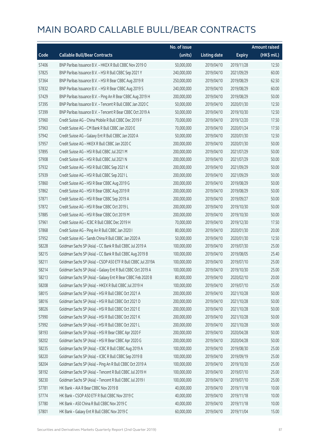|       |                                                              | No. of issue |                     |               | <b>Amount raised</b>  |
|-------|--------------------------------------------------------------|--------------|---------------------|---------------|-----------------------|
| Code  | <b>Callable Bull/Bear Contracts</b>                          | (units)      | <b>Listing date</b> | <b>Expiry</b> | $(HK\frac{1}{2}mil.)$ |
| 57406 | BNP Paribas Issuance B.V. - HKEX R Bull CBBC Nov 2019 O      | 50,000,000   | 2019/04/10          | 2019/11/28    | 12.50                 |
| 57825 | BNP Paribas Issuance B.V. - HSI R Bull CBBC Sep 2021 Y       | 240,000,000  | 2019/04/10          | 2021/09/29    | 60.00                 |
| 57364 | BNP Paribas Issuance B.V. - HSI R Bear CBBC Aug 2019 R       | 250,000,000  | 2019/04/10          | 2019/08/29    | 62.50                 |
| 57832 | BNP Paribas Issuance B.V. - HSI R Bear CBBC Aug 2019 S       | 240,000,000  | 2019/04/10          | 2019/08/29    | 60.00                 |
| 57429 | BNP Paribas Issuance B.V. - Ping An R Bear CBBC Aug 2019 H   | 200,000,000  | 2019/04/10          | 2019/08/29    | 50.00                 |
| 57395 | BNP Paribas Issuance B.V. - Tencent R Bull CBBC Jan 2020 C   | 50,000,000   | 2019/04/10          | 2020/01/30    | 12.50                 |
| 57399 | BNP Paribas Issuance B.V. - Tencent R Bear CBBC Oct 2019 A   | 50,000,000   | 2019/04/10          | 2019/10/30    | 12.50                 |
| 57960 | Credit Suisse AG - China Mobile R Bull CBBC Dec 2019 F       | 70,000,000   | 2019/04/10          | 2019/12/20    | 17.50                 |
| 57963 | Credit Suisse AG - CM Bank R Bull CBBC Jan 2020 E            | 70,000,000   | 2019/04/10          | 2020/01/24    | 17.50                 |
| 57942 | Credit Suisse AG - Galaxy Ent R Bull CBBC Jan 2020 A         | 50,000,000   | 2019/04/10          | 2020/01/30    | 12.50                 |
| 57957 | Credit Suisse AG - HKEX R Bull CBBC Jan 2020 C               | 200,000,000  | 2019/04/10          | 2020/01/30    | 50.00                 |
| 57895 | Credit Suisse AG - HSI R Bull CBBC Jul 2021 M                | 200,000,000  | 2019/04/10          | 2021/07/29    | 50.00                 |
| 57908 | Credit Suisse AG - HSI R Bull CBBC Jul 2021 N                | 200,000,000  | 2019/04/10          | 2021/07/29    | 50.00                 |
| 57932 | Credit Suisse AG - HSI R Bull CBBC Sep 2021 K                | 200,000,000  | 2019/04/10          | 2021/09/29    | 50.00                 |
| 57939 | Credit Suisse AG - HSI R Bull CBBC Sep 2021 L                | 200,000,000  | 2019/04/10          | 2021/09/29    | 50.00                 |
| 57860 | Credit Suisse AG - HSI R Bear CBBC Aug 2019 G                | 200,000,000  | 2019/04/10          | 2019/08/29    | 50.00                 |
| 57862 | Credit Suisse AG - HSI R Bear CBBC Aug 2019 R                | 200,000,000  | 2019/04/10          | 2019/08/29    | 50.00                 |
| 57871 | Credit Suisse AG - HSI R Bear CBBC Sep 2019 A                | 200,000,000  | 2019/04/10          | 2019/09/27    | 50.00                 |
| 57872 | Credit Suisse AG - HSI R Bear CBBC Oct 2019 L                | 200,000,000  | 2019/04/10          | 2019/10/30    | 50.00                 |
| 57885 | Credit Suisse AG - HSI R Bear CBBC Oct 2019 M                | 200,000,000  | 2019/04/10          | 2019/10/30    | 50.00                 |
| 57961 | Credit Suisse AG - ICBC R Bull CBBC Dec 2019 H               | 70,000,000   | 2019/04/10          | 2019/12/30    | 17.50                 |
| 57868 | Credit Suisse AG - Ping An R Bull CBBC Jan 2020 I            | 80,000,000   | 2019/04/10          | 2020/01/30    | 20.00                 |
| 57952 | Credit Suisse AG - Sands China R Bull CBBC Jan 2020 A        | 50,000,000   | 2019/04/10          | 2020/01/30    | 12.50                 |
| 58228 | Goldman Sachs SP (Asia) - CC Bank R Bull CBBC Jul 2019 A     | 100,000,000  | 2019/04/10          | 2019/07/30    | 25.00                 |
| 58215 | Goldman Sachs SP (Asia) - CC Bank R Bull CBBC Aug 2019 B     | 100,000,000  | 2019/04/10          | 2019/08/05    | 25.40                 |
| 58211 | Goldman Sachs SP (Asia) - CSOP A50 ETF R Bull CBBC Jul 2019A | 100,000,000  | 2019/04/10          | 2019/07/10    | 25.00                 |
| 58214 | Goldman Sachs SP (Asia) - Galaxy Ent R Bull CBBC Oct 2019 A  | 100,000,000  | 2019/04/10          | 2019/10/30    | 25.00                 |
| 58213 | Goldman Sachs SP (Asia) - Galaxy Ent R Bear CBBC Feb 2020 B  | 80,000,000   | 2019/04/10          | 2020/02/10    | 20.00                 |
| 58208 | Goldman Sachs SP (Asia) - HKEX R Bull CBBC Jul 2019 H        | 100,000,000  | 2019/04/10          | 2019/07/10    | 25.00                 |
| 58015 | Goldman Sachs SP (Asia) - HSI R Bull CBBC Oct 2021 A         | 200,000,000  | 2019/04/10          | 2021/10/28    | 50.00                 |
| 58016 | Goldman Sachs SP (Asia) - HSI R Bull CBBC Oct 2021 D         | 200,000,000  | 2019/04/10          | 2021/10/28    | 50.00                 |
| 58026 | Goldman Sachs SP (Asia) - HSI R Bull CBBC Oct 2021 E         | 200,000,000  | 2019/04/10          | 2021/10/28    | 50.00                 |
| 57990 | Goldman Sachs SP (Asia) - HSI R Bull CBBC Oct 2021 K         | 200,000,000  | 2019/04/10          | 2021/10/28    | 50.00                 |
| 57992 | Goldman Sachs SP (Asia) - HSI R Bull CBBC Oct 2021 L         | 200,000,000  | 2019/04/10          | 2021/10/28    | 50.00                 |
| 58193 | Goldman Sachs SP (Asia) - HSI R Bear CBBC Apr 2020 F         | 200,000,000  | 2019/04/10          | 2020/04/28    | 50.00                 |
| 58202 | Goldman Sachs SP (Asia) - HSI R Bear CBBC Apr 2020 G         | 200,000,000  | 2019/04/10          | 2020/04/28    | 50.00                 |
| 58235 | Goldman Sachs SP (Asia) - ICBC R Bull CBBC Aug 2019 A        | 100,000,000  | 2019/04/10          | 2019/08/30    | 25.00                 |
| 58220 | Goldman Sachs SP (Asia) - ICBC R Bull CBBC Sep 2019 B        | 100,000,000  | 2019/04/10          | 2019/09/19    | 25.00                 |
| 58204 | Goldman Sachs SP (Asia) - Ping An R Bull CBBC Oct 2019 A     | 100,000,000  | 2019/04/10          | 2019/10/30    | 25.00                 |
| 58192 | Goldman Sachs SP (Asia) - Tencent R Bull CBBC Jul 2019 H     | 100,000,000  | 2019/04/10          | 2019/07/10    | 25.00                 |
| 58230 | Goldman Sachs SP (Asia) - Tencent R Bull CBBC Jul 2019 I     | 100,000,000  | 2019/04/10          | 2019/07/10    | 25.00                 |
| 57781 | HK Bank - AIA R Bear CBBC Nov 2019 B                         | 40,000,000   | 2019/04/10          | 2019/11/18    | 10.00                 |
| 57774 | HK Bank - CSOP A50 ETF R Bull CBBC Nov 2019 C                | 40,000,000   | 2019/04/10          | 2019/11/18    | 10.00                 |
| 57780 | HK Bank - A50 China R Bull CBBC Nov 2019 C                   | 40,000,000   | 2019/04/10          | 2019/11/18    | 10.00                 |
| 57801 | HK Bank - Galaxy Ent R Bull CBBC Nov 2019 C                  | 60,000,000   | 2019/04/10          | 2019/11/04    | 15.00                 |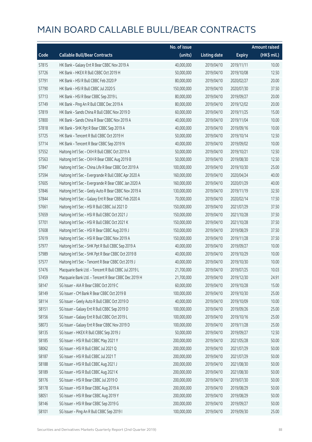|       |                                                       | No. of issue |                     |               | <b>Amount raised</b> |
|-------|-------------------------------------------------------|--------------|---------------------|---------------|----------------------|
| Code  | <b>Callable Bull/Bear Contracts</b>                   | (units)      | <b>Listing date</b> | <b>Expiry</b> | (HK\$ mil.)          |
| 57815 | HK Bank - Galaxy Ent R Bear CBBC Nov 2019 A           | 40,000,000   | 2019/04/10          | 2019/11/11    | 10.00                |
| 57726 | HK Bank - HKEX R Bull CBBC Oct 2019 H                 | 50,000,000   | 2019/04/10          | 2019/10/08    | 12.50                |
| 57791 | HK Bank - HSI R Bull CBBC Feb 2020 P                  | 80,000,000   | 2019/04/10          | 2020/02/27    | 20.00                |
| 57790 | HK Bank - HSI R Bull CBBC Jul 2020 S                  | 150,000,000  | 2019/04/10          | 2020/07/30    | 37.50                |
| 57713 | HK Bank - HSI R Bear CBBC Sep 2019 L                  | 80,000,000   | 2019/04/10          | 2019/09/27    | 20.00                |
| 57749 | HK Bank - Ping An R Bull CBBC Dec 2019 A              | 80,000,000   | 2019/04/10          | 2019/12/02    | 20.00                |
| 57819 | HK Bank - Sands China R Bull CBBC Nov 2019 D          | 60,000,000   | 2019/04/10          | 2019/11/25    | 15.00                |
| 57800 | HK Bank - Sands China R Bear CBBC Nov 2019 A          | 40,000,000   | 2019/04/10          | 2019/11/04    | 10.00                |
| 57818 | HK Bank - SHK Ppt R Bear CBBC Sep 2019 A              | 40,000,000   | 2019/04/10          | 2019/09/16    | 10.00                |
| 57725 | HK Bank - Tencent R Bull CBBC Oct 2019 H              | 50,000,000   | 2019/04/10          | 2019/10/14    | 12.50                |
| 57714 | HK Bank - Tencent R Bear CBBC Sep 2019 N              | 40,000,000   | 2019/04/10          | 2019/09/02    | 10.00                |
| 57552 | Haitong Int'l Sec - CKH R Bull CBBC Oct 2019 A        | 50,000,000   | 2019/04/10          | 2019/10/21    | 12.50                |
| 57563 | Haitong Int'l Sec - CKH R Bear CBBC Aug 2019 B        | 50,000,000   | 2019/04/10          | 2019/08/30    | 12.50                |
| 57847 | Haitong Int'l Sec - China Life R Bear CBBC Oct 2019 A | 100,000,000  | 2019/04/10          | 2019/10/30    | 25.00                |
| 57594 | Haitong Int'l Sec - Evergrande R Bull CBBC Apr 2020 A | 160,000,000  | 2019/04/10          | 2020/04/24    | 40.00                |
| 57605 | Haitong Int'l Sec - Evergrande R Bear CBBC Jan 2020 A | 160,000,000  | 2019/04/10          | 2020/01/29    | 40.00                |
| 57846 | Haitong Int'l Sec - Geely Auto R Bear CBBC Nov 2019 A | 130,000,000  | 2019/04/10          | 2019/11/19    | 32.50                |
| 57844 | Haitong Int'l Sec - Galaxy Ent R Bear CBBC Feb 2020 A | 70,000,000   | 2019/04/10          | 2020/02/14    | 17.50                |
| 57661 | Haitong Int'l Sec - HSI R Bull CBBC Jul 2021 D        | 150,000,000  | 2019/04/10          | 2021/07/29    | 37.50                |
| 57659 | Haitong Int'l Sec - HSI R Bull CBBC Oct 2021 J        | 150,000,000  | 2019/04/10          | 2021/10/28    | 37.50                |
| 57701 | Haitong Int'l Sec - HSI R Bull CBBC Oct 2021 K        | 150,000,000  | 2019/04/10          | 2021/10/28    | 37.50                |
| 57608 | Haitong Int'l Sec - HSI R Bear CBBC Aug 2019 J        | 150,000,000  | 2019/04/10          | 2019/08/29    | 37.50                |
| 57619 | Haitong Int'l Sec - HSI R Bear CBBC Nov 2019 A        | 150,000,000  | 2019/04/10          | 2019/11/28    | 37.50                |
| 57977 | Haitong Int'l Sec - SHK Ppt R Bull CBBC Sep 2019 A    | 40,000,000   | 2019/04/10          | 2019/09/27    | 10.00                |
| 57989 | Haitong Int'l Sec - SHK Ppt R Bear CBBC Oct 2019 B    | 40,000,000   | 2019/04/10          | 2019/10/29    | 10.00                |
| 57577 | Haitong Int'l Sec - Tencent R Bear CBBC Oct 2019 J    | 40,000,000   | 2019/04/10          | 2019/10/30    | 10.00                |
| 57476 | Macquarie Bank Ltd. - Tencent R Bull CBBC Jul 2019 L  | 21,700,000   | 2019/04/10          | 2019/07/25    | 10.03                |
| 57459 | Macquarie Bank Ltd. - Tencent R Bear CBBC Dec 2019 H  | 21,700,000   | 2019/04/10          | 2019/12/30    | 24.91                |
| 58147 | SG Issuer - AIA R Bear CBBC Oct 2019 C                | 60,000,000   | 2019/04/10          | 2019/10/28    | 15.00                |
| 58149 | SG Issuer - CM Bank R Bear CBBC Oct 2019 B            | 100,000,000  | 2019/04/10          | 2019/10/30    | 25.00                |
| 58114 | SG Issuer - Geely Auto R Bull CBBC Oct 2019 D         | 40,000,000   | 2019/04/10          | 2019/10/09    | 10.00                |
| 58151 | SG Issuer - Galaxy Ent R Bull CBBC Sep 2019 D         | 100,000,000  | 2019/04/10          | 2019/09/26    | 25.00                |
| 58156 | SG Issuer - Galaxy Ent R Bull CBBC Oct 2019 L         | 100,000,000  | 2019/04/10          | 2019/10/16    | 25.00                |
| 58073 | SG Issuer - Galaxy Ent R Bear CBBC Nov 2019 D         | 100,000,000  | 2019/04/10          | 2019/11/28    | 25.00                |
| 58135 | SG Issuer - HKEX R Bull CBBC Sep 2019 J               | 50,000,000   | 2019/04/10          | 2019/09/27    | 12.50                |
| 58185 | SG Issuer - HSI R Bull CBBC May 2021 Y                | 200,000,000  | 2019/04/10          | 2021/05/28    | 50.00                |
| 58062 | SG Issuer - HSI R Bull CBBC Jul 2021 Q                | 200,000,000  | 2019/04/10          | 2021/07/29    | 50.00                |
| 58187 | SG Issuer - HSI R Bull CBBC Jul 2021 T                | 200,000,000  | 2019/04/10          | 2021/07/29    | 50.00                |
| 58188 | SG Issuer - HSI R Bull CBBC Aug 2021 J                | 200,000,000  | 2019/04/10          | 2021/08/30    | 50.00                |
| 58189 | SG Issuer - HSI R Bull CBBC Aug 2021 K                | 200,000,000  | 2019/04/10          | 2021/08/30    | 50.00                |
| 58176 | SG Issuer - HSI R Bear CBBC Jul 2019 O                | 200,000,000  | 2019/04/10          | 2019/07/30    | 50.00                |
| 58178 | SG Issuer - HSI R Bear CBBC Aug 2019 A                | 200,000,000  | 2019/04/10          | 2019/08/29    | 50.00                |
| 58051 | SG Issuer - HSI R Bear CBBC Aug 2019 Y                | 200,000,000  | 2019/04/10          | 2019/08/29    | 50.00                |
| 58146 | SG Issuer - HSI R Bear CBBC Sep 2019 G                | 200,000,000  | 2019/04/10          | 2019/09/27    | 50.00                |
| 58101 | SG Issuer - Ping An R Bull CBBC Sep 2019 I            | 100,000,000  | 2019/04/10          | 2019/09/30    | 25.00                |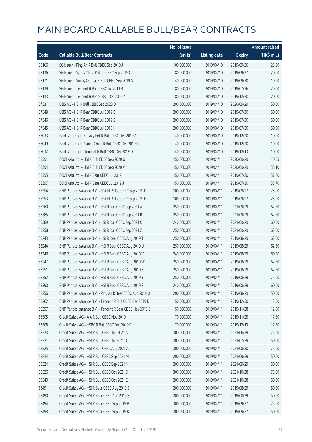|       |                                                            | No. of issue |                     |               | <b>Amount raised</b> |
|-------|------------------------------------------------------------|--------------|---------------------|---------------|----------------------|
| Code  | <b>Callable Bull/Bear Contracts</b>                        | (units)      | <b>Listing date</b> | <b>Expiry</b> | (HK\$ mil.)          |
| 58166 | SG Issuer - Ping An R Bull CBBC Sep 2019 J                 | 100,000,000  | 2019/04/10          | 2019/09/26    | 25.00                |
| 58136 | SG Issuer - Sands China R Bear CBBC Sep 2019 C             | 80,000,000   | 2019/04/10          | 2019/09/27    | 20.00                |
| 58171 | SG Issuer - Sunny Optical R Bull CBBC Sep 2019 A           | 40,000,000   | 2019/04/10          | 2019/09/30    | 10.00                |
| 58139 | SG Issuer - Tencent R Bull CBBC Jul 2019 B                 | 80,000,000   | 2019/04/10          | 2019/07/26    | 20.00                |
| 58113 | SG Issuer - Tencent R Bear CBBC Dec 2019 Z                 | 80,000,000   | 2019/04/10          | 2019/12/30    | 20.00                |
| 57531 | UBS AG - HSI R Bull CBBC Sep 2020 O                        | 200,000,000  | 2019/04/10          | 2020/09/29    | 50.00                |
| 57549 | UBS AG - HSI R Bear CBBC Jul 2019 B                        | 200,000,000  | 2019/04/10          | 2019/07/30    | 50.00                |
| 57546 | UBS AG - HSI R Bear CBBC Jul 2019 E                        | 200,000,000  | 2019/04/10          | 2019/07/30    | 50.00                |
| 57545 | UBS AG - HSI R Bear CBBC Jul 2019 I                        | 200,000,000  | 2019/04/10          | 2019/07/30    | 50.00                |
| 58033 | Bank Vontobel - Galaxy Ent R Bull CBBC Dec 2019 A          | 40,000,000   | 2019/04/10          | 2019/12/20    | 10.00                |
| 58049 | Bank Vontobel - Sands China R Bull CBBC Dec 2019 B         | 40,000,000   | 2019/04/10          | 2019/12/20    | 10.00                |
| 58032 | Bank Vontobel - Tencent R Bull CBBC Dec 2019 D             | 40,000,000   | 2019/04/10          | 2019/12/13    | 10.00                |
| 58391 | BOCI Asia Ltd. - HSI R Bull CBBC Sep 2020 U                | 150,000,000  | 2019/04/11          | 2020/09/29    | 40.05                |
| 58394 | BOCI Asia Ltd. - HSI R Bull CBBC Sep 2020 V                | 150,000,000  | 2019/04/11          | 2020/09/29    | 38.10                |
| 58395 | BOCI Asia Ltd. - HSI R Bear CBBC Jul 2019 I                | 150,000,000  | 2019/04/11          | 2019/07/30    | 37.80                |
| 58397 | BOCI Asia Ltd. - HSI R Bear CBBC Jul 2019 J                | 150,000,000  | 2019/04/11          | 2019/07/30    | 38.70                |
| 58254 | BNP Paribas Issuance B.V. - HSCEI R Bull CBBC Sep 2019 D   | 100,000,000  | 2019/04/11          | 2019/09/27    | 25.00                |
| 58253 | BNP Paribas Issuance B.V. - HSCEI R Bull CBBC Sep 2019 E   | 100,000,000  | 2019/04/11          | 2019/09/27    | 25.00                |
| 58260 | BNP Paribas Issuance B.V. - HSI R Bull CBBC Sep 2021 A     | 250,000,000  | 2019/04/11          | 2021/09/29    | 62.50                |
| 58385 | BNP Paribas Issuance B.V. - HSI R Bull CBBC Sep 2021 B     | 250,000,000  | 2019/04/11          | 2021/09/29    | 62.50                |
| 58389 | BNP Paribas Issuance B.V. - HSI R Bull CBBC Sep 2021 C     | 240,000,000  | 2019/04/11          | 2021/09/29    | 60.00                |
| 58258 | BNP Paribas Issuance B.V. - HSI R Bull CBBC Sep 2021 Z     | 250,000,000  | 2019/04/11          | 2021/09/29    | 62.50                |
| 58243 | BNP Paribas Issuance B.V. - HSI R Bear CBBC Aug 2019 T     | 250,000,000  | 2019/04/11          | 2019/08/29    | 62.50                |
| 58244 | BNP Paribas Issuance B.V. - HSI R Bear CBBC Aug 2019 U     | 250,000,000  | 2019/04/11          | 2019/08/29    | 62.50                |
| 58246 | BNP Paribas Issuance B.V. - HSI R Bear CBBC Aug 2019 V     | 240,000,000  | 2019/04/11          | 2019/08/29    | 60.00                |
| 58247 | BNP Paribas Issuance B.V. - HSI R Bear CBBC Aug 2019 W     | 250,000,000  | 2019/04/11          | 2019/08/29    | 62.50                |
| 58251 | BNP Paribas Issuance B.V. - HSI R Bear CBBC Aug 2019 X     | 250,000,000  | 2019/04/11          | 2019/08/29    | 62.50                |
| 58252 | BNP Paribas Issuance B.V. - HSI R Bear CBBC Aug 2019 Y     | 250,000,000  | 2019/04/11          | 2019/08/29    | 75.00                |
| 58390 | BNP Paribas Issuance B.V. - HSI R Bear CBBC Aug 2019 Z     | 240,000,000  | 2019/04/11          | 2019/08/29    | 60.00                |
| 58256 | BNP Paribas Issuance B.V. - Ping An R Bear CBBC Aug 2019 O | 200,000,000  | 2019/04/11          | 2019/08/29    | 50.00                |
| 58262 | BNP Paribas Issuance B.V. - Tencent R Bull CBBC Dec 2019 D | 50,000,000   | 2019/04/11          | 2019/12/30    | 12.50                |
| 58257 | BNP Paribas Issuance B.V. - Tencent R Bear CBBC Nov 2019 C | 50,000,000   | 2019/04/11          | 2019/11/28    | 12.50                |
| 58505 | Credit Suisse AG - AIA R Bull CBBC Nov 2019 I              | 70,000,000   | 2019/04/11          | 2019/11/25    | 17.50                |
| 58508 | Credit Suisse AG - HSBC R Bull CBBC Dec 2019 D             | 70,000,000   | 2019/04/11          | 2019/12/13    | 17.50                |
| 58523 | Credit Suisse AG - HSI R Bull CBBC Jun 2021 A              | 300,000,000  | 2019/04/11          | 2021/06/29    | 75.00                |
| 58521 | Credit Suisse AG - HSI R Bull CBBC Jul 2021 O              | 200,000,000  | 2019/04/11          | 2021/07/29    | 50.00                |
| 58525 | Credit Suisse AG - HSI R Bull CBBC Aug 2021 A              | 300,000,000  | 2019/04/11          | 2021/08/30    | 75.00                |
| 58514 | Credit Suisse AG - HSI R Bull CBBC Sep 2021 M              | 200,000,000  | 2019/04/11          | 2021/09/29    | 50.00                |
| 58524 | Credit Suisse AG - HSI R Bull CBBC Sep 2021 N              | 200,000,000  | 2019/04/11          | 2021/09/29    | 50.00                |
| 58526 | Credit Suisse AG - HSI R Bull CBBC Oct 2021 D              | 300,000,000  | 2019/04/11          | 2021/10/28    | 75.00                |
| 58540 | Credit Suisse AG - HSI R Bull CBBC Oct 2021 E              | 200,000,000  | 2019/04/11          | 2021/10/28    | 50.00                |
| 58491 | Credit Suisse AG - HSI R Bear CBBC Aug 2019 E              | 200,000,000  | 2019/04/11          | 2019/08/29    | 50.00                |
| 58490 | Credit Suisse AG - HSI R Bear CBBC Aug 2019 S              | 200,000,000  | 2019/04/11          | 2019/08/29    | 50.00                |
| 58494 | Credit Suisse AG - HSI R Bear CBBC Sep 2019 B              | 300,000,000  | 2019/04/11          | 2019/09/27    | 75.00                |
| 58498 | Credit Suisse AG - HSI R Bear CBBC Sep 2019 K              | 200,000,000  | 2019/04/11          | 2019/09/27    | 50.00                |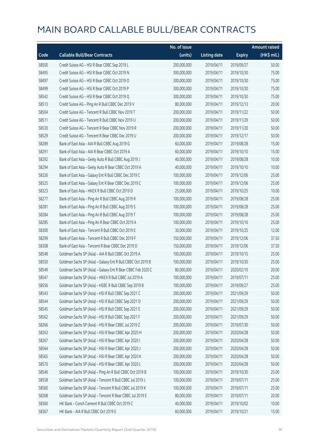|       |                                                             | No. of issue |                     |               | Amount raised |
|-------|-------------------------------------------------------------|--------------|---------------------|---------------|---------------|
| Code  | <b>Callable Bull/Bear Contracts</b>                         | (units)      | <b>Listing date</b> | <b>Expiry</b> | (HK\$ mil.)   |
| 58500 | Credit Suisse AG - HSI R Bear CBBC Sep 2019 L               | 200,000,000  | 2019/04/11          | 2019/09/27    | 50.00         |
| 58495 | Credit Suisse AG - HSI R Bear CBBC Oct 2019 N               | 300,000,000  | 2019/04/11          | 2019/10/30    | 75.00         |
| 58497 | Credit Suisse AG - HSI R Bear CBBC Oct 2019 O               | 300,000,000  | 2019/04/11          | 2019/10/30    | 75.00         |
| 58499 | Credit Suisse AG - HSI R Bear CBBC Oct 2019 P               | 300,000,000  | 2019/04/11          | 2019/10/30    | 75.00         |
| 58542 | Credit Suisse AG - HSI R Bear CBBC Oct 2019 Q               | 300,000,000  | 2019/04/11          | 2019/10/30    | 75.00         |
| 58513 | Credit Suisse AG - Ping An R Bull CBBC Dec 2019 V           | 80,000,000   | 2019/04/11          | 2019/12/13    | 20.00         |
| 58504 | Credit Suisse AG - Tencent R Bull CBBC Nov 2019 T           | 200,000,000  | 2019/04/11          | 2019/11/22    | 50.00         |
| 58511 | Credit Suisse AG - Tencent R Bull CBBC Nov 2019 U           | 200,000,000  | 2019/04/11          | 2019/11/29    | 50.00         |
| 58530 | Credit Suisse AG - Tencent R Bear CBBC Nov 2019 R           | 200,000,000  | 2019/04/11          | 2019/11/20    | 50.00         |
| 58529 | Credit Suisse AG - Tencent R Bear CBBC Dec 2019 U           | 200,000,000  | 2019/04/11          | 2019/12/17    | 50.00         |
| 58289 | Bank of East Asia - AIA R Bull CBBC Aug 2019 G              | 60,000,000   | 2019/04/11          | 2019/08/28    | 15.00         |
| 58291 | Bank of East Asia - AIA R Bear CBBC Oct 2019 A              | 60,000,000   | 2019/04/11          | 2019/10/10    | 15.00         |
| 58292 | Bank of East Asia - Geely Auto R Bull CBBC Aug 2019 J       | 40,000,000   | 2019/04/11          | 2019/08/28    | 10.00         |
| 58294 | Bank of East Asia - Geely Auto R Bear CBBC Oct 2019 A       | 40,000,000   | 2019/04/11          | 2019/10/10    | 10.00         |
| 58326 | Bank of East Asia - Galaxy Ent R Bull CBBC Dec 2019 C       | 100,000,000  | 2019/04/11          | 2019/12/06    | 25.00         |
| 58325 | Bank of East Asia - Galaxy Ent R Bear CBBC Dec 2019 C       | 100,000,000  | 2019/04/11          | 2019/12/06    | 25.00         |
| 58323 | Bank of East Asia - HKEX R Bull CBBC Oct 2019 D             | 25,000,000   | 2019/04/11          | 2019/10/25    | 10.00         |
| 58277 | Bank of East Asia - Ping An R Bull CBBC Aug 2019 R          | 100,000,000  | 2019/04/11          | 2019/08/28    | 25.00         |
| 58281 | Bank of East Asia - Ping An R Bull CBBC Aug 2019 S          | 100,000,000  | 2019/04/11          | 2019/08/28    | 25.00         |
| 58284 | Bank of East Asia - Ping An R Bull CBBC Aug 2019 T          | 100,000,000  | 2019/04/11          | 2019/08/28    | 25.00         |
| 58285 | Bank of East Asia - Ping An R Bear CBBC Oct 2019 A          | 100,000,000  | 2019/04/11          | 2019/10/10    | 25.00         |
| 58300 | Bank of East Asia - Tencent R Bull CBBC Oct 2019 E          | 30,000,000   | 2019/04/11          | 2019/10/25    | 12.00         |
| 58299 | Bank of East Asia - Tencent R Bull CBBC Dec 2019 F          | 150,000,000  | 2019/04/11          | 2019/12/06    | 37.50         |
| 58308 | Bank of East Asia - Tencent R Bear CBBC Dec 2019 D          | 150,000,000  | 2019/04/11          | 2019/12/06    | 37.50         |
| 58548 | Goldman Sachs SP (Asia) - AIA R Bull CBBC Oct 2019 A        | 100,000,000  | 2019/04/11          | 2019/10/15    | 25.00         |
| 58550 | Goldman Sachs SP (Asia) - Galaxy Ent R Bull CBBC Oct 2019 B | 100,000,000  | 2019/04/11          | 2019/10/30    | 25.00         |
| 58549 | Goldman Sachs SP (Asia) - Galaxy Ent R Bear CBBC Feb 2020 C | 80,000,000   | 2019/04/11          | 2020/02/10    | 20.00         |
| 58547 | Goldman Sachs SP (Asia) - HKEX R Bull CBBC Jul 2019 A       | 100,000,000  | 2019/04/11          | 2019/07/11    | 25.00         |
| 58556 | Goldman Sachs SP (Asia) - HSBC R Bull CBBC Sep 2019 B       | 100,000,000  | 2019/04/11          | 2019/09/27    | 25.00         |
| 58543 | Goldman Sachs SP (Asia) - HSI R Bull CBBC Sep 2021 C        | 200,000,000  | 2019/04/11          | 2021/09/29    | 50.00         |
| 58544 | Goldman Sachs SP (Asia) - HSI R Bull CBBC Sep 2021 D        | 200,000,000  | 2019/04/11          | 2021/09/29    | 50.00         |
| 58545 | Goldman Sachs SP (Asia) - HSI R Bull CBBC Sep 2021 E        | 200,000,000  | 2019/04/11          | 2021/09/29    | 50.00         |
| 58562 | Goldman Sachs SP (Asia) - HSI R Bull CBBC Sep 2021 F        | 200,000,000  | 2019/04/11          | 2021/09/29    | 50.00         |
| 58266 | Goldman Sachs SP (Asia) - HSI R Bear CBBC Jul 2019 Z        | 200,000,000  | 2019/04/11          | 2019/07/30    | 50.00         |
| 58263 | Goldman Sachs SP (Asia) - HSI R Bear CBBC Apr 2020 H        | 200,000,000  | 2019/04/11          | 2020/04/28    | 50.00         |
| 58267 | Goldman Sachs SP (Asia) - HSI R Bear CBBC Apr 2020 I        | 200,000,000  | 2019/04/11          | 2020/04/28    | 50.00         |
| 58564 | Goldman Sachs SP (Asia) - HSI R Bear CBBC Apr 2020 J        | 200,000,000  | 2019/04/11          | 2020/04/28    | 50.00         |
| 58565 | Goldman Sachs SP (Asia) - HSI R Bear CBBC Apr 2020 K        | 200,000,000  | 2019/04/11          | 2020/04/28    | 50.00         |
| 58570 | Goldman Sachs SP (Asia) - HSI R Bear CBBC Apr 2020 L        | 200,000,000  | 2019/04/11          | 2020/04/28    | 50.00         |
| 58546 | Goldman Sachs SP (Asia) - Ping An R Bull CBBC Oct 2019 B    | 100,000,000  | 2019/04/11          | 2019/10/30    | 25.00         |
| 58558 | Goldman Sachs SP (Asia) - Tencent R Bull CBBC Jul 2019 J    | 100,000,000  | 2019/04/11          | 2019/07/11    | 25.00         |
| 58560 | Goldman Sachs SP (Asia) - Tencent R Bull CBBC Jul 2019 K    | 100,000,000  | 2019/04/11          | 2019/07/11    | 25.00         |
| 58268 | Goldman Sachs SP (Asia) - Tencent R Bear CBBC Jul 2019 E    | 80,000,000   | 2019/04/11          | 2019/07/11    | 20.00         |
| 58360 | HK Bank - Conch Cement R Bull CBBC Oct 2019 C               | 40,000,000   | 2019/04/11          | 2019/10/02    | 10.00         |
| 58367 | HK Bank - AIA R Bull CBBC Oct 2019 E                        | 60,000,000   | 2019/04/11          | 2019/10/21    | 15.00         |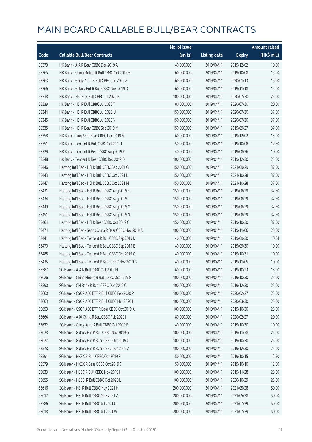|       |                                                        | No. of issue |                     |               | <b>Amount raised</b> |
|-------|--------------------------------------------------------|--------------|---------------------|---------------|----------------------|
| Code  | <b>Callable Bull/Bear Contracts</b>                    | (units)      | <b>Listing date</b> | <b>Expiry</b> | (HK\$ mil.)          |
| 58379 | HK Bank - AIA R Bear CBBC Dec 2019 A                   | 40,000,000   | 2019/04/11          | 2019/12/02    | 10.00                |
| 58365 | HK Bank - China Mobile R Bull CBBC Oct 2019 G          | 60,000,000   | 2019/04/11          | 2019/10/08    | 15.00                |
| 58363 | HK Bank - Geely Auto R Bull CBBC Jan 2020 A            | 60,000,000   | 2019/04/11          | 2020/01/13    | 15.00                |
| 58366 | HK Bank - Galaxy Ent R Bull CBBC Nov 2019 D            | 60,000,000   | 2019/04/11          | 2019/11/18    | 15.00                |
| 58338 | HK Bank - HSCEI R Bull CBBC Jul 2020 E                 | 100,000,000  | 2019/04/11          | 2020/07/30    | 25.00                |
| 58339 | HK Bank - HSI R Bull CBBC Jul 2020 T                   | 80,000,000   | 2019/04/11          | 2020/07/30    | 20.00                |
| 58344 | HK Bank - HSI R Bull CBBC Jul 2020 U                   | 150,000,000  | 2019/04/11          | 2020/07/30    | 37.50                |
| 58345 | HK Bank - HSI R Bull CBBC Jul 2020 V                   | 150,000,000  | 2019/04/11          | 2020/07/30    | 37.50                |
| 58335 | HK Bank - HSI R Bear CBBC Sep 2019 M                   | 150,000,000  | 2019/04/11          | 2019/09/27    | 37.50                |
| 58358 | HK Bank - Ping An R Bear CBBC Dec 2019 A               | 60,000,000   | 2019/04/11          | 2019/12/02    | 15.00                |
| 58351 | HK Bank - Tencent R Bull CBBC Oct 2019 I               | 50,000,000   | 2019/04/11          | 2019/10/08    | 12.50                |
| 58329 | HK Bank - Tencent R Bear CBBC Aug 2019 R               | 40,000,000   | 2019/04/11          | 2019/08/26    | 10.00                |
| 58348 | HK Bank - Tencent R Bear CBBC Dec 2019 D               | 100,000,000  | 2019/04/11          | 2019/12/30    | 25.00                |
| 58446 | Haitong Int'l Sec - HSI R Bull CBBC Sep 2021 G         | 150,000,000  | 2019/04/11          | 2021/09/29    | 37.50                |
| 58443 | Haitong Int'l Sec - HSI R Bull CBBC Oct 2021 L         | 150,000,000  | 2019/04/11          | 2021/10/28    | 37.50                |
| 58447 | Haitong Int'l Sec - HSI R Bull CBBC Oct 2021 M         | 150,000,000  | 2019/04/11          | 2021/10/28    | 37.50                |
| 58431 | Haitong Int'l Sec - HSI R Bear CBBC Aug 2019 K         | 150,000,000  | 2019/04/11          | 2019/08/29    | 37.50                |
| 58434 | Haitong Int'l Sec - HSI R Bear CBBC Aug 2019 L         | 150,000,000  | 2019/04/11          | 2019/08/29    | 37.50                |
| 58449 | Haitong Int'l Sec - HSI R Bear CBBC Aug 2019 M         | 150,000,000  | 2019/04/11          | 2019/08/29    | 37.50                |
| 58451 | Haitong Int'l Sec - HSI R Bear CBBC Aug 2019 N         | 150,000,000  | 2019/04/11          | 2019/08/29    | 37.50                |
| 58464 | Haitong Int'l Sec - HSI R Bear CBBC Oct 2019 C         | 150,000,000  | 2019/04/11          | 2019/10/30    | 37.50                |
| 58474 | Haitong Int'l Sec - Sands China R Bear CBBC Nov 2019 A | 100,000,000  | 2019/04/11          | 2019/11/06    | 25.00                |
| 58441 | Haitong Int'l Sec - Tencent R Bull CBBC Sep 2019 D     | 40,000,000   | 2019/04/11          | 2019/09/30    | 10.04                |
| 58470 | Haitong Int'l Sec - Tencent R Bull CBBC Sep 2019 E     | 40,000,000   | 2019/04/11          | 2019/09/30    | 10.00                |
| 58488 | Haitong Int'l Sec - Tencent R Bull CBBC Oct 2019 G     | 40,000,000   | 2019/04/11          | 2019/10/31    | 10.00                |
| 58435 | Haitong Int'l Sec - Tencent R Bear CBBC Nov 2019 G     | 40,000,000   | 2019/04/11          | 2019/11/05    | 10.00                |
| 58587 | SG Issuer - AIA R Bull CBBC Oct 2019 M                 | 60,000,000   | 2019/04/11          | 2019/10/23    | 15.00                |
| 58626 | SG Issuer – China Mobile R Bull CBBC Oct 2019 G        | 100,000,000  | 2019/04/11          | 2019/10/30    | 25.00                |
| 58590 | SG Issuer - CM Bank R Bear CBBC Dec 2019 C             | 100,000,000  | 2019/04/11          | 2019/12/30    | 25.00                |
| 58660 | SG Issuer - CSOP A50 ETF R Bull CBBC Feb 2020 P        | 100,000,000  | 2019/04/11          | 2020/02/27    | 25.00                |
| 58663 | SG Issuer - CSOP A50 ETF R Bull CBBC Mar 2020 H        | 100,000,000  | 2019/04/11          | 2020/03/30    | 25.00                |
| 58659 | SG Issuer - CSOP A50 ETF R Bear CBBC Oct 2019 A        | 100,000,000  | 2019/04/11          | 2019/10/30    | 25.00                |
| 58664 | SG Issuer - A50 China R Bull CBBC Feb 2020 I           | 80,000,000   | 2019/04/11          | 2020/02/27    | 20.00                |
| 58632 | SG Issuer - Geely Auto R Bull CBBC Oct 2019 E          | 40,000,000   | 2019/04/11          | 2019/10/30    | 10.00                |
| 58628 | SG Issuer - Galaxy Ent R Bull CBBC Nov 2019 G          | 100,000,000  | 2019/04/11          | 2019/11/28    | 25.00                |
| 58627 | SG Issuer - Galaxy Ent R Bear CBBC Oct 2019 C          | 100,000,000  | 2019/04/11          | 2019/10/30    | 25.00                |
| 58578 | SG Issuer - Galaxy Ent R Bear CBBC Dec 2019 A          | 100,000,000  | 2019/04/11          | 2019/12/30    | 25.00                |
| 58591 | SG Issuer - HKEX R Bull CBBC Oct 2019 F                | 50,000,000   | 2019/04/11          | 2019/10/15    | 12.50                |
| 58579 | SG Issuer - HKEX R Bear CBBC Oct 2019 C                | 50,000,000   | 2019/04/11          | 2019/10/10    | 12.50                |
| 58633 | SG Issuer - HSBC R Bull CBBC Nov 2019 H                | 100,000,000  | 2019/04/11          | 2019/11/28    | 25.00                |
| 58655 | SG Issuer - HSCEI R Bull CBBC Oct 2020 L               | 100,000,000  | 2019/04/11          | 2020/10/29    | 25.00                |
| 58616 | SG Issuer - HSI R Bull CBBC May 2021 H                 | 200,000,000  | 2019/04/11          | 2021/05/28    | 50.00                |
| 58617 | SG Issuer - HSI R Bull CBBC May 2021 Z                 | 200,000,000  | 2019/04/11          | 2021/05/28    | 50.00                |
| 58586 | SG Issuer - HSI R Bull CBBC Jul 2021 U                 | 200,000,000  | 2019/04/11          | 2021/07/29    | 50.00                |
| 58618 | SG Issuer - HSI R Bull CBBC Jul 2021 W                 | 200,000,000  | 2019/04/11          | 2021/07/29    | 50.00                |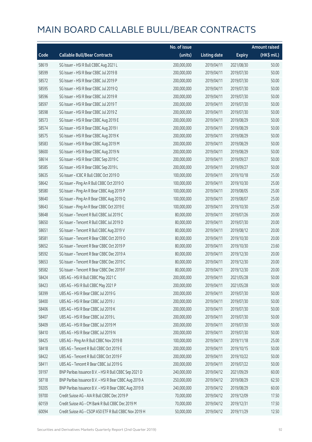|       |                                                        | No. of issue |                     |               | <b>Amount raised</b> |
|-------|--------------------------------------------------------|--------------|---------------------|---------------|----------------------|
| Code  | <b>Callable Bull/Bear Contracts</b>                    | (units)      | <b>Listing date</b> | <b>Expiry</b> | (HK\$ mil.)          |
| 58619 | SG Issuer - HSI R Bull CBBC Aug 2021 L                 | 200,000,000  | 2019/04/11          | 2021/08/30    | 50.00                |
| 58599 | SG Issuer - HSI R Bear CBBC Jul 2019 B                 | 200,000,000  | 2019/04/11          | 2019/07/30    | 50.00                |
| 58572 | SG Issuer - HSI R Bear CBBC Jul 2019 P                 | 200,000,000  | 2019/04/11          | 2019/07/30    | 50.00                |
| 58595 | SG Issuer - HSI R Bear CBBC Jul 2019 Q                 | 200,000,000  | 2019/04/11          | 2019/07/30    | 50.00                |
| 58596 | SG Issuer - HSI R Bear CBBC Jul 2019 R                 | 200,000,000  | 2019/04/11          | 2019/07/30    | 50.00                |
| 58597 | SG Issuer - HSI R Bear CBBC Jul 2019 T                 | 200,000,000  | 2019/04/11          | 2019/07/30    | 50.00                |
| 58598 | SG Issuer - HSI R Bear CBBC Jul 2019 Z                 | 200,000,000  | 2019/04/11          | 2019/07/30    | 50.00                |
| 58573 | SG Issuer - HSI R Bear CBBC Aug 2019 E                 | 200,000,000  | 2019/04/11          | 2019/08/29    | 50.00                |
| 58574 | SG Issuer - HSI R Bear CBBC Aug 2019 I                 | 200,000,000  | 2019/04/11          | 2019/08/29    | 50.00                |
| 58575 | SG Issuer - HSI R Bear CBBC Aug 2019 K                 | 200,000,000  | 2019/04/11          | 2019/08/29    | 50.00                |
| 58583 | SG Issuer - HSI R Bear CBBC Aug 2019 M                 | 200,000,000  | 2019/04/11          | 2019/08/29    | 50.00                |
| 58600 | SG Issuer - HSI R Bear CBBC Aug 2019 N                 | 200,000,000  | 2019/04/11          | 2019/08/29    | 50.00                |
| 58614 | SG Issuer - HSI R Bear CBBC Sep 2019 C                 | 200,000,000  | 2019/04/11          | 2019/09/27    | 50.00                |
| 58585 | SG Issuer - HSI R Bear CBBC Sep 2019 L                 | 200,000,000  | 2019/04/11          | 2019/09/27    | 50.00                |
| 58635 | SG Issuer - ICBC R Bull CBBC Oct 2019 D                | 100,000,000  | 2019/04/11          | 2019/10/18    | 25.00                |
| 58642 | SG Issuer - Ping An R Bull CBBC Oct 2019 O             | 100,000,000  | 2019/04/11          | 2019/10/30    | 25.00                |
| 58580 | SG Issuer - Ping An R Bear CBBC Aug 2019 P             | 100,000,000  | 2019/04/11          | 2019/08/05    | 25.00                |
| 58640 | SG Issuer - Ping An R Bear CBBC Aug 2019 Q             | 100,000,000  | 2019/04/11          | 2019/08/07    | 25.00                |
| 58643 | SG Issuer - Ping An R Bear CBBC Oct 2019 E             | 100,000,000  | 2019/04/11          | 2019/10/30    | 25.00                |
| 58648 | SG Issuer - Tencent R Bull CBBC Jul 2019 C             | 80,000,000   | 2019/04/11          | 2019/07/26    | 20.00                |
| 58650 | SG Issuer - Tencent R Bull CBBC Jul 2019 D             | 80,000,000   | 2019/04/11          | 2019/07/30    | 20.00                |
| 58651 | SG Issuer - Tencent R Bull CBBC Aug 2019 V             | 80,000,000   | 2019/04/11          | 2019/08/12    | 20.00                |
| 58581 | SG Issuer - Tencent R Bear CBBC Oct 2019 O             | 80,000,000   | 2019/04/11          | 2019/10/30    | 20.00                |
| 58652 | SG Issuer - Tencent R Bear CBBC Oct 2019 P             | 80,000,000   | 2019/04/11          | 2019/10/30    | 23.60                |
| 58592 | SG Issuer - Tencent R Bear CBBC Dec 2019 A             | 80,000,000   | 2019/04/11          | 2019/12/30    | 20.00                |
| 58653 | SG Issuer - Tencent R Bear CBBC Dec 2019 C             | 80,000,000   | 2019/04/11          | 2019/12/30    | 20.00                |
| 58582 | SG Issuer - Tencent R Bear CBBC Dec 2019 F             | 80,000,000   | 2019/04/11          | 2019/12/30    | 20.00                |
| 58424 | UBS AG - HSI R Bull CBBC May 2021 C                    | 200,000,000  | 2019/04/11          | 2021/05/28    | 50.00                |
| 58423 | UBS AG - HSI R Bull CBBC May 2021 P                    | 200,000,000  | 2019/04/11          | 2021/05/28    | 50.00                |
| 58399 | UBS AG - HSI R Bear CBBC Jul 2019 G                    | 200,000,000  | 2019/04/11          | 2019/07/30    | 50.00                |
| 58400 | UBS AG - HSI R Bear CBBC Jul 2019 J                    | 200,000,000  | 2019/04/11          | 2019/07/30    | 50.00                |
| 58406 | UBS AG - HSI R Bear CBBC Jul 2019 K                    | 200,000,000  | 2019/04/11          | 2019/07/30    | 50.00                |
| 58407 | UBS AG - HSI R Bear CBBC Jul 2019 L                    | 200,000,000  | 2019/04/11          | 2019/07/30    | 50.00                |
| 58409 | UBS AG - HSI R Bear CBBC Jul 2019 M                    | 200,000,000  | 2019/04/11          | 2019/07/30    | 50.00                |
| 58410 | UBS AG - HSI R Bear CBBC Jul 2019 N                    | 200,000,000  | 2019/04/11          | 2019/07/30    | 50.00                |
| 58425 | UBS AG - Ping An R Bull CBBC Nov 2019 B                | 100,000,000  | 2019/04/11          | 2019/11/18    | 25.00                |
| 58418 | UBS AG - Tencent R Bull CBBC Oct 2019 E                | 200,000,000  | 2019/04/11          | 2019/10/15    | 50.00                |
| 58422 | UBS AG - Tencent R Bull CBBC Oct 2019 F                | 200,000,000  | 2019/04/11          | 2019/10/22    | 50.00                |
| 58411 | UBS AG - Tencent R Bear CBBC Jul 2019 G                | 200,000,000  | 2019/04/11          | 2019/07/22    | 50.00                |
| 59197 | BNP Paribas Issuance B.V. - HSI R Bull CBBC Sep 2021 D | 240,000,000  | 2019/04/12          | 2021/09/29    | 60.00                |
| 58718 | BNP Paribas Issuance B.V. - HSI R Bear CBBC Aug 2019 A | 250,000,000  | 2019/04/12          | 2019/08/29    | 62.50                |
| 59205 | BNP Paribas Issuance B.V. - HSI R Bear CBBC Aug 2019 B | 240,000,000  | 2019/04/12          | 2019/08/29    | 60.00                |
| 59700 | Credit Suisse AG - AIA R Bull CBBC Dec 2019 P          | 70,000,000   | 2019/04/12          | 2019/12/09    | 17.50                |
| 60159 | Credit Suisse AG - CM Bank R Bull CBBC Dec 2019 M      | 70,000,000   | 2019/04/12          | 2019/12/31    | 17.50                |
| 60094 | Credit Suisse AG - CSOP A50 ETF R Bull CBBC Nov 2019 H | 50,000,000   | 2019/04/12          | 2019/11/29    | 12.50                |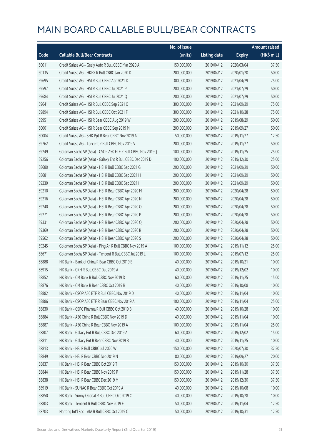|       |                                                              | No. of issue |                     |               | <b>Amount raised</b> |
|-------|--------------------------------------------------------------|--------------|---------------------|---------------|----------------------|
| Code  | <b>Callable Bull/Bear Contracts</b>                          | (units)      | <b>Listing date</b> | <b>Expiry</b> | (HK\$ mil.)          |
| 60011 | Credit Suisse AG - Geely Auto R Bull CBBC Mar 2020 A         | 150,000,000  | 2019/04/12          | 2020/03/04    | 37.50                |
| 60135 | Credit Suisse AG - HKEX R Bull CBBC Jan 2020 D               | 200,000,000  | 2019/04/12          | 2020/01/20    | 50.00                |
| 59695 | Credit Suisse AG - HSI R Bull CBBC Apr 2021 X                | 300,000,000  | 2019/04/12          | 2021/04/29    | 75.00                |
| 59597 | Credit Suisse AG - HSI R Bull CBBC Jul 2021 P                | 200,000,000  | 2019/04/12          | 2021/07/29    | 50.00                |
| 59684 | Credit Suisse AG - HSI R Bull CBBC Jul 2021 Q                | 200,000,000  | 2019/04/12          | 2021/07/29    | 50.00                |
| 59641 | Credit Suisse AG - HSI R Bull CBBC Sep 2021 O                | 300,000,000  | 2019/04/12          | 2021/09/29    | 75.00                |
| 59894 | Credit Suisse AG - HSI R Bull CBBC Oct 2021 F                | 300,000,000  | 2019/04/12          | 2021/10/28    | 75.00                |
| 59951 | Credit Suisse AG - HSI R Bear CBBC Aug 2019 W                | 200,000,000  | 2019/04/12          | 2019/08/29    | 50.00                |
| 60001 | Credit Suisse AG - HSI R Bear CBBC Sep 2019 M                | 200,000,000  | 2019/04/12          | 2019/09/27    | 50.00                |
| 60004 | Credit Suisse AG - SHK Ppt R Bear CBBC Nov 2019 A            | 50,000,000   | 2019/04/12          | 2019/11/27    | 12.50                |
| 59762 | Credit Suisse AG - Tencent R Bull CBBC Nov 2019 V            | 200,000,000  | 2019/04/12          | 2019/11/27    | 50.00                |
| 59249 | Goldman Sachs SP (Asia) - CSOP A50 ETF R Bull CBBC Nov 2019Q | 100,000,000  | 2019/04/12          | 2019/11/25    | 25.00                |
| 59256 | Goldman Sachs SP (Asia) - Galaxy Ent R Bull CBBC Dec 2019 D  | 100,000,000  | 2019/04/12          | 2019/12/30    | 25.00                |
| 58680 | Goldman Sachs SP (Asia) - HSI R Bull CBBC Sep 2021 G         | 200,000,000  | 2019/04/12          | 2021/09/29    | 50.00                |
| 58681 | Goldman Sachs SP (Asia) - HSI R Bull CBBC Sep 2021 H         | 200,000,000  | 2019/04/12          | 2021/09/29    | 50.00                |
| 59239 | Goldman Sachs SP (Asia) - HSI R Bull CBBC Sep 2021 I         | 200,000,000  | 2019/04/12          | 2021/09/29    | 50.00                |
| 59210 | Goldman Sachs SP (Asia) - HSI R Bear CBBC Apr 2020 M         | 200,000,000  | 2019/04/12          | 2020/04/28    | 50.00                |
| 59216 | Goldman Sachs SP (Asia) - HSI R Bear CBBC Apr 2020 N         | 200,000,000  | 2019/04/12          | 2020/04/28    | 50.00                |
| 59240 | Goldman Sachs SP (Asia) - HSI R Bear CBBC Apr 2020 O         | 200,000,000  | 2019/04/12          | 2020/04/28    | 50.00                |
| 59271 | Goldman Sachs SP (Asia) - HSI R Bear CBBC Apr 2020 P         | 200,000,000  | 2019/04/12          | 2020/04/28    | 50.00                |
| 59331 | Goldman Sachs SP (Asia) - HSI R Bear CBBC Apr 2020 Q         | 200,000,000  | 2019/04/12          | 2020/04/28    | 50.00                |
| 59369 | Goldman Sachs SP (Asia) - HSI R Bear CBBC Apr 2020 R         | 200,000,000  | 2019/04/12          | 2020/04/28    | 50.00                |
| 59562 | Goldman Sachs SP (Asia) - HSI R Bear CBBC Apr 2020 S         | 200,000,000  | 2019/04/12          | 2020/04/28    | 50.00                |
| 59245 | Goldman Sachs SP (Asia) - Ping An R Bull CBBC Nov 2019 A     | 100,000,000  | 2019/04/12          | 2019/11/12    | 25.00                |
| 58671 | Goldman Sachs SP (Asia) - Tencent R Bull CBBC Jul 2019 L     | 100,000,000  | 2019/04/12          | 2019/07/12    | 25.00                |
| 58888 | HK Bank - Bank of China R Bear CBBC Oct 2019 B               | 40,000,000   | 2019/04/12          | 2019/10/21    | 10.00                |
| 58915 | HK Bank - CKH R Bull CBBC Dec 2019 A                         | 40,000,000   | 2019/04/12          | 2019/12/02    | 10.00                |
| 58852 | HK Bank - CM Bank R Bull CBBC Nov 2019 D                     | 60,000,000   | 2019/04/12          | 2019/11/25    | 15.00                |
| 58876 | HK Bank - CM Bank R Bear CBBC Oct 2019 B                     | 40,000,000   | 2019/04/12          | 2019/10/08    | 10.00                |
| 58882 | HK Bank - CSOP A50 ETF R Bull CBBC Nov 2019 D                | 40,000,000   | 2019/04/12          | 2019/11/04    | 10.00                |
| 58886 | HK Bank - CSOP A50 ETF R Bear CBBC Nov 2019 A                | 100,000,000  | 2019/04/12          | 2019/11/04    | 25.00                |
| 58830 | HK Bank - CSPC Pharma R Bull CBBC Oct 2019 B                 | 40,000,000   | 2019/04/12          | 2019/10/28    | 10.00                |
| 58884 | HK Bank - A50 China R Bull CBBC Nov 2019 D                   | 40,000,000   | 2019/04/12          | 2019/11/04    | 10.00                |
| 58887 | HK Bank - A50 China R Bear CBBC Nov 2019 A                   | 100,000,000  | 2019/04/12          | 2019/11/04    | 25.00                |
| 58807 | HK Bank - Galaxy Ent R Bull CBBC Dec 2019 A                  | 60,000,000   | 2019/04/12          | 2019/12/02    | 15.00                |
| 58811 | HK Bank - Galaxy Ent R Bear CBBC Nov 2019 B                  | 40,000,000   | 2019/04/12          | 2019/11/25    | 10.00                |
| 58813 | HK Bank - HSI R Bull CBBC Jul 2020 W                         | 150,000,000  | 2019/04/12          | 2020/07/30    | 37.50                |
| 58849 | HK Bank - HSI R Bear CBBC Sep 2019 N                         | 80,000,000   | 2019/04/12          | 2019/09/27    | 20.00                |
| 58837 | HK Bank - HSI R Bear CBBC Oct 2019 T                         | 150,000,000  | 2019/04/12          | 2019/10/30    | 37.50                |
| 58844 | HK Bank - HSI R Bear CBBC Nov 2019 P                         | 150,000,000  | 2019/04/12          | 2019/11/28    | 37.50                |
| 58838 | HK Bank - HSI R Bear CBBC Dec 2019 M                         | 150,000,000  | 2019/04/12          | 2019/12/30    | 37.50                |
| 58919 | HK Bank - SUNAC R Bear CBBC Oct 2019 A                       | 40,000,000   | 2019/04/12          | 2019/10/08    | 10.00                |
| 58850 | HK Bank - Sunny Optical R Bull CBBC Oct 2019 C               | 40,000,000   | 2019/04/12          | 2019/10/28    | 10.00                |
| 58803 | HK Bank - Tencent R Bull CBBC Nov 2019 E                     | 50,000,000   | 2019/04/12          | 2019/11/04    | 12.50                |
| 58703 | Haitong Int'l Sec - AIA R Bull CBBC Oct 2019 C               | 50,000,000   | 2019/04/12          | 2019/10/31    | 12.50                |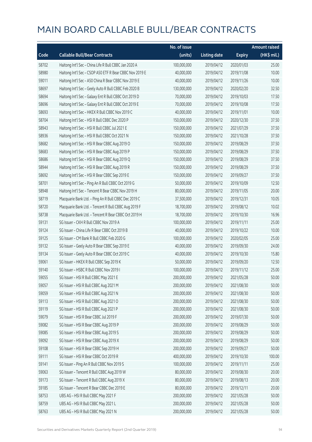|       |                                                         | No. of issue |                     |               | <b>Amount raised</b> |
|-------|---------------------------------------------------------|--------------|---------------------|---------------|----------------------|
| Code  | <b>Callable Bull/Bear Contracts</b>                     | (units)      | <b>Listing date</b> | <b>Expiry</b> | (HK\$ mil.)          |
| 58702 | Haitong Int'l Sec - China Life R Bull CBBC Jan 2020 A   | 100,000,000  | 2019/04/12          | 2020/01/03    | 25.00                |
| 58980 | Haitong Int'l Sec - CSOP A50 ETF R Bear CBBC Nov 2019 E | 40,000,000   | 2019/04/12          | 2019/11/08    | 10.00                |
| 59011 | Haitong Int'l Sec - A50 China R Bear CBBC Nov 2019 E    | 40,000,000   | 2019/04/12          | 2019/11/26    | 10.00                |
| 58697 | Haitong Int'l Sec - Geely Auto R Bull CBBC Feb 2020 B   | 130,000,000  | 2019/04/12          | 2020/02/20    | 32.50                |
| 58694 | Haitong Int'l Sec - Galaxy Ent R Bull CBBC Oct 2019 D   | 70,000,000   | 2019/04/12          | 2019/10/03    | 17.50                |
| 58696 | Haitong Int'l Sec - Galaxy Ent R Bull CBBC Oct 2019 E   | 70,000,000   | 2019/04/12          | 2019/10/08    | 17.50                |
| 58693 | Haitong Int'l Sec - HKEX R Bull CBBC Nov 2019 C         | 40,000,000   | 2019/04/12          | 2019/11/01    | 10.00                |
| 58704 | Haitong Int'l Sec - HSI R Bull CBBC Dec 2020 P          | 150,000,000  | 2019/04/12          | 2020/12/30    | 37.50                |
| 58943 | Haitong Int'l Sec - HSI R Bull CBBC Jul 2021 E          | 150,000,000  | 2019/04/12          | 2021/07/29    | 37.50                |
| 58936 | Haitong Int'l Sec - HSI R Bull CBBC Oct 2021 N          | 150,000,000  | 2019/04/12          | 2021/10/28    | 37.50                |
| 58682 | Haitong Int'l Sec - HSI R Bear CBBC Aug 2019 O          | 150,000,000  | 2019/04/12          | 2019/08/29    | 37.50                |
| 58683 | Haitong Int'l Sec - HSI R Bear CBBC Aug 2019 P          | 150,000,000  | 2019/04/12          | 2019/08/29    | 37.50                |
| 58686 | Haitong Int'l Sec - HSI R Bear CBBC Aug 2019 Q          | 150,000,000  | 2019/04/12          | 2019/08/29    | 37.50                |
| 58944 | Haitong Int'l Sec - HSI R Bear CBBC Aug 2019 R          | 150,000,000  | 2019/04/12          | 2019/08/29    | 37.50                |
| 58692 | Haitong Int'l Sec - HSI R Bear CBBC Sep 2019 E          | 150,000,000  | 2019/04/12          | 2019/09/27    | 37.50                |
| 58701 | Haitong Int'l Sec - Ping An R Bull CBBC Oct 2019 G      | 50,000,000   | 2019/04/12          | 2019/10/09    | 12.50                |
| 58948 | Haitong Int'l Sec - Tencent R Bear CBBC Nov 2019 H      | 80,000,000   | 2019/04/12          | 2019/11/05    | 20.00                |
| 58719 | Macquarie Bank Ltd. - Ping An R Bull CBBC Dec 2019 C    | 37,500,000   | 2019/04/12          | 2019/12/31    | 10.05                |
| 58720 | Macquarie Bank Ltd. - Tencent R Bull CBBC Aug 2019 F    | 18,700,000   | 2019/04/12          | 2019/08/12    | 10.02                |
| 58738 | Macquarie Bank Ltd. - Tencent R Bear CBBC Oct 2019 H    | 18,700,000   | 2019/04/12          | 2019/10/30    | 16.96                |
| 59131 | SG Issuer - CKH R Bull CBBC Nov 2019 A                  | 100,000,000  | 2019/04/12          | 2019/11/11    | 25.00                |
| 59124 | SG Issuer - China Life R Bear CBBC Oct 2019 B           | 40,000,000   | 2019/04/12          | 2019/10/22    | 10.00                |
| 59125 | SG Issuer - CM Bank R Bull CBBC Feb 2020 G              | 100,000,000  | 2019/04/12          | 2020/02/05    | 25.00                |
| 59132 | SG Issuer - Geely Auto R Bear CBBC Sep 2019 E           | 40,000,000   | 2019/04/12          | 2019/09/30    | 24.00                |
| 59134 | SG Issuer - Geely Auto R Bear CBBC Oct 2019 C           | 40,000,000   | 2019/04/12          | 2019/10/30    | 15.80                |
| 59061 | SG Issuer - HKEX R Bull CBBC Sep 2019 K                 | 50,000,000   | 2019/04/12          | 2019/09/20    | 12.50                |
| 59140 | SG Issuer - HSBC R Bull CBBC Nov 2019 I                 | 100,000,000  | 2019/04/12          | 2019/11/12    | 25.00                |
| 59055 | SG Issuer - HSI R Bull CBBC May 2021 E                  | 200,000,000  | 2019/04/12          | 2021/05/28    | 50.00                |
| 59057 | SG Issuer - HSI R Bull CBBC Aug 2021 M                  | 200,000,000  | 2019/04/12          | 2021/08/30    | 50.00                |
| 59059 | SG Issuer - HSI R Bull CBBC Aug 2021 N                  | 200,000,000  | 2019/04/12          | 2021/08/30    | 50.00                |
| 59113 | SG Issuer - HSI R Bull CBBC Aug 2021 O                  | 200,000,000  | 2019/04/12          | 2021/08/30    | 50.00                |
| 59119 | SG Issuer - HSI R Bull CBBC Aug 2021 P                  | 200,000,000  | 2019/04/12          | 2021/08/30    | 50.00                |
| 59079 | SG Issuer - HSI R Bear CBBC Jul 2019 F                  | 200,000,000  | 2019/04/12          | 2019/07/30    | 50.00                |
| 59082 | SG Issuer - HSI R Bear CBBC Aug 2019 P                  | 200,000,000  | 2019/04/12          | 2019/08/29    | 50.00                |
| 59085 | SG Issuer - HSI R Bear CBBC Aug 2019 S                  | 200,000,000  | 2019/04/12          | 2019/08/29    | 50.00                |
| 59092 | SG Issuer - HSI R Bear CBBC Aug 2019 X                  | 200,000,000  | 2019/04/12          | 2019/08/29    | 50.00                |
| 59108 | SG Issuer - HSI R Bear CBBC Sep 2019 H                  | 200,000,000  | 2019/04/12          | 2019/09/27    | 50.00                |
| 59111 | SG Issuer - HSI R Bear CBBC Oct 2019 R                  | 400,000,000  | 2019/04/12          | 2019/10/30    | 100.00               |
| 59141 | SG Issuer - Ping An R Bull CBBC Nov 2019 S              | 100,000,000  | 2019/04/12          | 2019/11/11    | 25.00                |
| 59063 | SG Issuer - Tencent R Bull CBBC Aug 2019 W              | 80,000,000   | 2019/04/12          | 2019/08/30    | 20.00                |
| 59173 | SG Issuer - Tencent R Bull CBBC Aug 2019 X              | 80,000,000   | 2019/04/12          | 2019/08/13    | 20.00                |
| 59185 | SG Issuer - Tencent R Bear CBBC Dec 2019 E              | 80,000,000   | 2019/04/12          | 2019/12/11    | 20.00                |
| 58753 | UBS AG - HSI R Bull CBBC May 2021 F                     | 200,000,000  | 2019/04/12          | 2021/05/28    | 50.00                |
| 58759 | UBS AG - HSI R Bull CBBC May 2021 L                     | 200,000,000  | 2019/04/12          | 2021/05/28    | 50.00                |
| 58763 | UBS AG - HSI R Bull CBBC May 2021 N                     | 200,000,000  | 2019/04/12          | 2021/05/28    | 50.00                |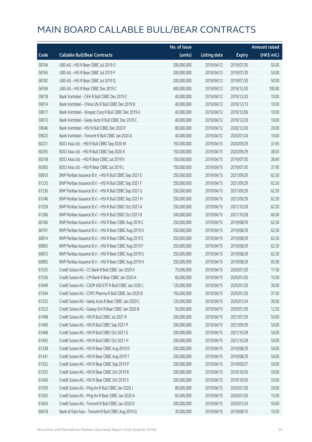|       |                                                        | No. of issue |                     |               | <b>Amount raised</b> |
|-------|--------------------------------------------------------|--------------|---------------------|---------------|----------------------|
| Code  | <b>Callable Bull/Bear Contracts</b>                    | (units)      | <b>Listing date</b> | <b>Expiry</b> | (HK\$ mil.)          |
| 58764 | UBS AG - HSI R Bear CBBC Jul 2019 O                    | 200,000,000  | 2019/04/12          | 2019/07/30    | 50.00                |
| 58765 | UBS AG - HSI R Bear CBBC Jul 2019 P                    | 200,000,000  | 2019/04/12          | 2019/07/30    | 50.00                |
| 58782 | UBS AG - HSI R Bear CBBC Jul 2019 Q                    | 200,000,000  | 2019/04/12          | 2019/07/30    | 50.00                |
| 58769 | UBS AG - HSI R Bear CBBC Dec 2019 C                    | 400,000,000  | 2019/04/12          | 2019/12/30    | 100.00               |
| 59018 | Bank Vontobel - CKH R Bull CBBC Dec 2019 C             | 40,000,000   | 2019/04/12          | 2019/12/20    | 10.00                |
| 59014 | Bank Vontobel - China Life R Bull CBBC Dec 2019 B      | 40,000,000   | 2019/04/12          | 2019/12/13    | 10.00                |
| 59017 | Bank Vontobel - Sinopec Corp R Bull CBBC Dec 2019 A    | 40,000,000   | 2019/04/12          | 2019/12/06    | 10.00                |
| 59013 | Bank Vontobel - Geely Auto R Bull CBBC Dec 2019 C      | 40,000,000   | 2019/04/12          | 2019/12/20    | 10.00                |
| 59046 | Bank Vontobel - HSI N Bull CBBC Dec 2020 F             | 80,000,000   | 2019/04/12          | 2020/12/30    | 20.00                |
| 59023 | Bank Vontobel - Tencent R Bull CBBC Jan 2020 A         | 40,000,000   | 2019/04/12          | 2020/01/24    | 10.00                |
| 60221 | BOCI Asia Ltd. - HSI R Bull CBBC Sep 2020 W            | 150,000,000  | 2019/04/15          | 2020/09/29    | 37.65                |
| 60293 | BOCI Asia Ltd. - HSI R Bull CBBC Sep 2020 X            | 150,000,000  | 2019/04/15          | 2020/09/29    | 38.55                |
| 60318 | BOCI Asia Ltd. - HSI R Bear CBBC Jul 2019 K            | 150,000,000  | 2019/04/15          | 2019/07/30    | 38.40                |
| 60383 | BOCI Asia Ltd. - HSI R Bear CBBC Jul 2019 L            | 150,000,000  | 2019/04/15          | 2019/07/30    | 37.95                |
| 60810 | BNP Paribas Issuance B.V. - HSI R Bull CBBC Sep 2021 E | 250,000,000  | 2019/04/15          | 2021/09/29    | 62.50                |
| 61235 | BNP Paribas Issuance B.V. - HSI R Bull CBBC Sep 2021 F | 250,000,000  | 2019/04/15          | 2021/09/29    | 62.50                |
| 61236 | BNP Paribas Issuance B.V. - HSI R Bull CBBC Sep 2021 G | 250,000,000  | 2019/04/15          | 2021/09/29    | 62.50                |
| 61246 | BNP Paribas Issuance B.V. - HSI R Bull CBBC Sep 2021 H | 250,000,000  | 2019/04/15          | 2021/09/29    | 62.50                |
| 61259 | BNP Paribas Issuance B.V. - HSI R Bull CBBC Oct 2021 A | 250,000,000  | 2019/04/15          | 2021/10/28    | 62.50                |
| 61266 | BNP Paribas Issuance B.V. - HSI R Bull CBBC Oct 2021 B | 240,000,000  | 2019/04/15          | 2021/10/28    | 60.00                |
| 60166 | BNP Paribas Issuance B.V. - HSI R Bear CBBC Aug 2019 C | 250,000,000  | 2019/04/15          | 2019/08/29    | 62.50                |
| 60191 | BNP Paribas Issuance B.V. - HSI R Bear CBBC Aug 2019 D | 250,000,000  | 2019/04/15          | 2019/08/29    | 62.50                |
| 60814 | BNP Paribas Issuance B.V. - HSI R Bear CBBC Aug 2019 E | 250,000,000  | 2019/04/15          | 2019/08/29    | 62.50                |
| 60863 | BNP Paribas Issuance B.V. - HSI R Bear CBBC Aug 2019 F | 250,000,000  | 2019/04/15          | 2019/08/29    | 62.50                |
| 60872 | BNP Paribas Issuance B.V. - HSI R Bear CBBC Aug 2019 G | 250,000,000  | 2019/04/15          | 2019/08/29    | 62.50                |
| 60892 | BNP Paribas Issuance B.V. - HSI R Bear CBBC Aug 2019 H | 250,000,000  | 2019/04/15          | 2019/08/29    | 65.00                |
| 61535 | Credit Suisse AG - CC Bank R Bull CBBC Jan 2020 A      | 70,000,000   | 2019/04/15          | 2020/01/30    | 17.50                |
| 61536 | Credit Suisse AG - CM Bank R Bear CBBC Jan 2020 A      | 60,000,000   | 2019/04/15          | 2020/01/30    | 15.00                |
| 61649 | Credit Suisse AG - CSOP A50 ETF R Bull CBBC Jan 2020 J | 120,000,000  | 2019/04/15          | 2020/01/30    | 30.00                |
| 61544 | Credit Suisse AG - CSPC Pharma R Bull CBBC Jan 2020 B  | 150,000,000  | 2019/04/15          | 2020/01/30    | 37.50                |
| 61533 | Credit Suisse AG - Geely Auto R Bear CBBC Jan 2020 C   | 120,000,000  | 2019/04/15          | 2020/01/24    | 30.00                |
| 61523 | Credit Suisse AG - Galaxy Ent R Bear CBBC Jan 2020 B   | 50,000,000   | 2019/04/15          | 2020/01/30    | 12.50                |
| 61498 | Credit Suisse AG - HSI R Bull CBBC Jul 2021 R          | 200,000,000  | 2019/04/15          | 2021/07/29    | 50.00                |
| 61469 | Credit Suisse AG - HSI R Bull CBBC Sep 2021 P          | 200,000,000  | 2019/04/15          | 2021/09/29    | 50.00                |
| 61468 | Credit Suisse AG - HSI R Bull CBBC Oct 2021 G          | 200,000,000  | 2019/04/15          | 2021/10/28    | 50.00                |
| 61492 | Credit Suisse AG - HSI R Bull CBBC Oct 2021 H          | 200,000,000  | 2019/04/15          | 2021/10/28    | 50.00                |
| 61338 | Credit Suisse AG - HSI R Bear CBBC Aug 2019 D          | 200,000,000  | 2019/04/15          | 2019/08/29    | 50.00                |
| 61341 | Credit Suisse AG - HSI R Bear CBBC Aug 2019 T          | 200,000,000  | 2019/04/15          | 2019/08/29    | 50.00                |
| 61352 | Credit Suisse AG - HSI R Bear CBBC Sep 2019 P          | 200,000,000  | 2019/04/15          | 2019/09/27    | 50.00                |
| 61353 | Credit Suisse AG - HSI R Bear CBBC Oct 2019 R          | 200,000,000  | 2019/04/15          | 2019/10/30    | 50.00                |
| 61426 | Credit Suisse AG - HSI R Bear CBBC Oct 2019 S          | 200,000,000  | 2019/04/15          | 2019/10/30    | 50.00                |
| 61550 | Credit Suisse AG - Ping An R Bull CBBC Jan 2020 J      | 80,000,000   | 2019/04/15          | 2020/01/30    | 20.00                |
| 61592 | Credit Suisse AG - Ping An R Bear CBBC Jan 2020 A      | 60,000,000   | 2019/04/15          | 2020/01/30    | 15.00                |
| 61603 | Credit Suisse AG - Tencent R Bull CBBC Jan 2020 D      | 200,000,000  | 2019/04/15          | 2020/01/24    | 50.00                |
| 60678 | Bank of East Asia - Tencent R Bull CBBC Aug 2019 Q     | 30,000,000   | 2019/04/15          | 2019/08/15    | 10.50                |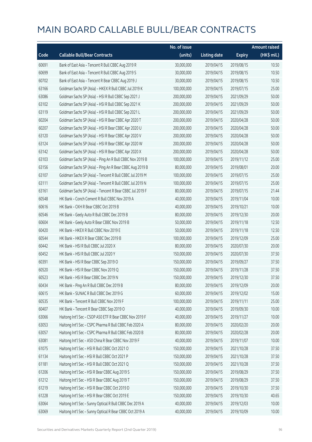|       |                                                          | No. of issue |                     |               | <b>Amount raised</b>  |
|-------|----------------------------------------------------------|--------------|---------------------|---------------|-----------------------|
| Code  | <b>Callable Bull/Bear Contracts</b>                      | (units)      | <b>Listing date</b> | <b>Expiry</b> | $(HK\frac{1}{2}mil.)$ |
| 60691 | Bank of East Asia - Tencent R Bull CBBC Aug 2019 R       | 30,000,000   | 2019/04/15          | 2019/08/15    | 10.50                 |
| 60699 | Bank of East Asia - Tencent R Bull CBBC Aug 2019 S       | 30,000,000   | 2019/04/15          | 2019/08/15    | 10.50                 |
| 60702 | Bank of East Asia - Tencent R Bear CBBC Aug 2019 J       | 30,000,000   | 2019/04/15          | 2019/08/15    | 10.50                 |
| 63166 | Goldman Sachs SP (Asia) - HKEX R Bull CBBC Jul 2019 K    | 100,000,000  | 2019/04/15          | 2019/07/15    | 25.00                 |
| 63086 | Goldman Sachs SP (Asia) - HSI R Bull CBBC Sep 2021 J     | 200,000,000  | 2019/04/15          | 2021/09/29    | 50.00                 |
| 63102 | Goldman Sachs SP (Asia) - HSI R Bull CBBC Sep 2021 K     | 200,000,000  | 2019/04/15          | 2021/09/29    | 50.00                 |
| 63119 | Goldman Sachs SP (Asia) - HSI R Bull CBBC Sep 2021 L     | 200,000,000  | 2019/04/15          | 2021/09/29    | 50.00                 |
| 60204 | Goldman Sachs SP (Asia) - HSI R Bear CBBC Apr 2020 T     | 200,000,000  | 2019/04/15          | 2020/04/28    | 50.00                 |
| 60207 | Goldman Sachs SP (Asia) - HSI R Bear CBBC Apr 2020 U     | 200,000,000  | 2019/04/15          | 2020/04/28    | 50.00                 |
| 63120 | Goldman Sachs SP (Asia) - HSI R Bear CBBC Apr 2020 V     | 200,000,000  | 2019/04/15          | 2020/04/28    | 50.00                 |
| 63124 | Goldman Sachs SP (Asia) - HSI R Bear CBBC Apr 2020 W     | 200,000,000  | 2019/04/15          | 2020/04/28    | 50.00                 |
| 63142 | Goldman Sachs SP (Asia) - HSI R Bear CBBC Apr 2020 X     | 200,000,000  | 2019/04/15          | 2020/04/28    | 50.00                 |
| 63103 | Goldman Sachs SP (Asia) - Ping An R Bull CBBC Nov 2019 B | 100,000,000  | 2019/04/15          | 2019/11/12    | 25.00                 |
| 63156 | Goldman Sachs SP (Asia) - Ping An R Bear CBBC Aug 2019 B | 80,000,000   | 2019/04/15          | 2019/08/01    | 20.00                 |
| 63107 | Goldman Sachs SP (Asia) - Tencent R Bull CBBC Jul 2019 M | 100,000,000  | 2019/04/15          | 2019/07/15    | 25.00                 |
| 63111 | Goldman Sachs SP (Asia) - Tencent R Bull CBBC Jul 2019 N | 100,000,000  | 2019/04/15          | 2019/07/15    | 25.00                 |
| 63161 | Goldman Sachs SP (Asia) - Tencent R Bear CBBC Jul 2019 F | 80,000,000   | 2019/04/15          | 2019/07/15    | 21.44                 |
| 60548 | HK Bank - Conch Cement R Bull CBBC Nov 2019 A            | 40,000,000   | 2019/04/15          | 2019/11/04    | 10.00                 |
| 60616 | HK Bank - CKH R Bear CBBC Oct 2019 B                     | 40,000,000   | 2019/04/15          | 2019/10/21    | 10.00                 |
| 60546 | HK Bank - Geely Auto R Bull CBBC Dec 2019 B              | 80,000,000   | 2019/04/15          | 2019/12/30    | 20.00                 |
| 60604 | HK Bank - Geely Auto R Bear CBBC Nov 2019 B              | 50,000,000   | 2019/04/15          | 2019/11/18    | 12.50                 |
| 60420 | HK Bank - HKEX R Bull CBBC Nov 2019 E                    | 50,000,000   | 2019/04/15          | 2019/11/18    | 12.50                 |
| 60544 | HK Bank - HKEX R Bear CBBC Dec 2019 B                    | 100,000,000  | 2019/04/15          | 2019/12/09    | 25.00                 |
| 60442 | HK Bank - HSI R Bull CBBC Jul 2020 X                     | 80,000,000   | 2019/04/15          | 2020/07/30    | 20.00                 |
| 60452 | HK Bank - HSI R Bull CBBC Jul 2020 Y                     | 150,000,000  | 2019/04/15          | 2020/07/30    | 37.50                 |
| 60391 | HK Bank - HSI R Bear CBBC Sep 2019 O                     | 150,000,000  | 2019/04/15          | 2019/09/27    | 37.50                 |
| 60520 | HK Bank - HSI R Bear CBBC Nov 2019 Q                     | 150,000,000  | 2019/04/15          | 2019/11/28    | 37.50                 |
| 60523 | HK Bank - HSI R Bear CBBC Dec 2019 N                     | 150,000,000  | 2019/04/15          | 2019/12/30    | 37.50                 |
| 60434 | HK Bank - Ping An R Bull CBBC Dec 2019 B                 | 80,000,000   | 2019/04/15          | 2019/12/09    | 20.00                 |
| 60615 | HK Bank - SUNAC R Bull CBBC Dec 2019 G                   | 60,000,000   | 2019/04/15          | 2019/12/02    | 15.00                 |
| 60535 | HK Bank - Tencent R Bull CBBC Nov 2019 F                 | 100,000,000  | 2019/04/15          | 2019/11/11    | 25.00                 |
| 60407 | HK Bank - Tencent R Bear CBBC Sep 2019 O                 | 40,000,000   | 2019/04/15          | 2019/09/30    | 10.00                 |
| 63066 | Haitong Int'l Sec - CSOP A50 ETF R Bear CBBC Nov 2019 F  | 40,000,000   | 2019/04/15          | 2019/11/27    | 10.00                 |
| 63053 | Haitong Int'l Sec - CSPC Pharma R Bull CBBC Feb 2020 A   | 80,000,000   | 2019/04/15          | 2020/02/20    | 20.00                 |
| 63057 | Haitong Int'l Sec - CSPC Pharma R Bull CBBC Feb 2020 B   | 80,000,000   | 2019/04/15          | 2020/02/28    | 20.00                 |
| 63081 | Haitong Int'l Sec - A50 China R Bear CBBC Nov 2019 F     | 40,000,000   | 2019/04/15          | 2019/11/07    | 10.00                 |
| 61075 | Haitong Int'l Sec - HSI R Bull CBBC Oct 2021 O           | 150,000,000  | 2019/04/15          | 2021/10/28    | 37.50                 |
| 61134 | Haitong Int'l Sec - HSI R Bull CBBC Oct 2021 P           | 150,000,000  | 2019/04/15          | 2021/10/28    | 37.50                 |
| 61181 | Haitong Int'l Sec - HSI R Bull CBBC Oct 2021 Q           | 150,000,000  | 2019/04/15          | 2021/10/28    | 37.50                 |
| 61206 | Haitong Int'l Sec - HSI R Bear CBBC Aug 2019 S           | 150,000,000  | 2019/04/15          | 2019/08/29    | 37.50                 |
| 61212 | Haitong Int'l Sec - HSI R Bear CBBC Aug 2019 T           | 150,000,000  | 2019/04/15          | 2019/08/29    | 37.50                 |
| 61219 | Haitong Int'l Sec - HSI R Bear CBBC Oct 2019 D           | 150,000,000  | 2019/04/15          | 2019/10/30    | 37.50                 |
| 61228 | Haitong Int'l Sec - HSI R Bear CBBC Oct 2019 E           | 150,000,000  | 2019/04/15          | 2019/10/30    | 40.65                 |
| 63064 | Haitong Int'l Sec - Sunny Optical R Bull CBBC Dec 2019 A | 40,000,000   | 2019/04/15          | 2019/12/03    | 10.00                 |
| 63069 | Haitong Int'l Sec - Sunny Optical R Bear CBBC Oct 2019 A | 40,000,000   | 2019/04/15          | 2019/10/09    | 10.00                 |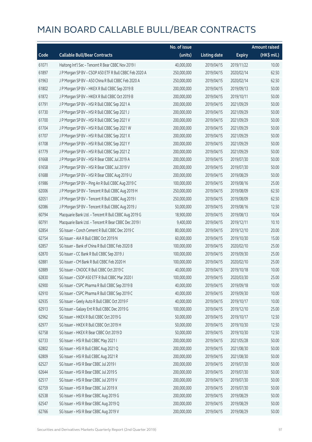|       |                                                        | No. of issue |                     |               | <b>Amount raised</b> |
|-------|--------------------------------------------------------|--------------|---------------------|---------------|----------------------|
| Code  | <b>Callable Bull/Bear Contracts</b>                    | (units)      | <b>Listing date</b> | <b>Expiry</b> | (HK\$ mil.)          |
| 61071 | Haitong Int'l Sec - Tencent R Bear CBBC Nov 2019 I     | 40,000,000   | 2019/04/15          | 2019/11/22    | 10.00                |
| 61897 | J P Morgan SP BV - CSOP A50 ETF R Bull CBBC Feb 2020 A | 250,000,000  | 2019/04/15          | 2020/02/14    | 62.50                |
| 61963 | J P Morgan SP BV - A50 China R Bull CBBC Feb 2020 A    | 250,000,000  | 2019/04/15          | 2020/02/14    | 62.50                |
| 61802 | J P Morgan SP BV - HKEX R Bull CBBC Sep 2019 B         | 200,000,000  | 2019/04/15          | 2019/09/13    | 50.00                |
| 61872 | J P Morgan SP BV - HKEX R Bull CBBC Oct 2019 B         | 200,000,000  | 2019/04/15          | 2019/10/11    | 50.00                |
| 61791 | J P Morgan SP BV - HSI R Bull CBBC Sep 2021 A          | 200,000,000  | 2019/04/15          | 2021/09/29    | 50.00                |
| 61730 | J P Morgan SP BV - HSI R Bull CBBC Sep 2021 J          | 200,000,000  | 2019/04/15          | 2021/09/29    | 50.00                |
| 61700 | J P Morgan SP BV - HSI R Bull CBBC Sep 2021 V          | 200,000,000  | 2019/04/15          | 2021/09/29    | 50.00                |
| 61704 | J P Morgan SP BV - HSI R Bull CBBC Sep 2021 W          | 200,000,000  | 2019/04/15          | 2021/09/29    | 50.00                |
| 61707 | J P Morgan SP BV - HSI R Bull CBBC Sep 2021 X          | 200,000,000  | 2019/04/15          | 2021/09/29    | 50.00                |
| 61708 | J P Morgan SP BV - HSI R Bull CBBC Sep 2021 Y          | 200,000,000  | 2019/04/15          | 2021/09/29    | 50.00                |
| 61779 | J P Morgan SP BV - HSI R Bull CBBC Sep 2021 Z          | 200,000,000  | 2019/04/15          | 2021/09/29    | 50.00                |
| 61668 | J P Morgan SP BV - HSI R Bear CBBC Jul 2019 A          | 200,000,000  | 2019/04/15          | 2019/07/30    | 50.00                |
| 61658 | J P Morgan SP BV - HSI R Bear CBBC Jul 2019 V          | 200,000,000  | 2019/04/15          | 2019/07/30    | 50.00                |
| 61688 | J P Morgan SP BV - HSI R Bear CBBC Aug 2019 U          | 200,000,000  | 2019/04/15          | 2019/08/29    | 50.00                |
| 61986 | J P Morgan SP BV - Ping An R Bull CBBC Aug 2019 C      | 100,000,000  | 2019/04/15          | 2019/08/16    | 25.00                |
| 62006 | J P Morgan SP BV - Tencent R Bull CBBC Aug 2019 H      | 250,000,000  | 2019/04/15          | 2019/08/09    | 62.50                |
| 62051 | J P Morgan SP BV - Tencent R Bull CBBC Aug 2019 I      | 250,000,000  | 2019/04/15          | 2019/08/09    | 62.50                |
| 62086 | J P Morgan SP BV - Tencent R Bull CBBC Aug 2019 J      | 50,000,000   | 2019/04/15          | 2019/08/16    | 12.50                |
| 60794 | Macquarie Bank Ltd. - Tencent R Bull CBBC Aug 2019 G   | 18,900,000   | 2019/04/15          | 2019/08/13    | 10.04                |
| 60791 | Macquarie Bank Ltd. - Tencent R Bear CBBC Dec 2019 I   | 9,400,000    | 2019/04/15          | 2019/12/11    | 10.10                |
| 62854 | SG Issuer - Conch Cement R Bull CBBC Dec 2019 C        | 80,000,000   | 2019/04/15          | 2019/12/10    | 20.00                |
| 62754 | SG Issuer - AIA R Bull CBBC Oct 2019 N                 | 60,000,000   | 2019/04/15          | 2019/10/30    | 15.00                |
| 62857 | SG Issuer - Bank of China R Bull CBBC Feb 2020 B       | 100,000,000  | 2019/04/15          | 2020/02/10    | 25.00                |
| 62870 | SG Issuer - CC Bank R Bull CBBC Sep 2019 J             | 100,000,000  | 2019/04/15          | 2019/09/30    | 25.00                |
| 62881 | SG Issuer - CM Bank R Bull CBBC Feb 2020 H             | 100,000,000  | 2019/04/15          | 2020/02/10    | 25.00                |
| 62889 | SG Issuer - CNOOC R Bull CBBC Oct 2019 C               | 40,000,000   | 2019/04/15          | 2019/10/18    | 10.00                |
| 62830 | SG Issuer - CSOP A50 ETF R Bull CBBC Mar 2020 I        | 100,000,000  | 2019/04/15          | 2020/03/30    | 25.00                |
| 62900 | SG Issuer - CSPC Pharma R Bull CBBC Sep 2019 B         | 40,000,000   | 2019/04/15          | 2019/09/18    | 10.00                |
| 62910 | SG Issuer - CSPC Pharma R Bull CBBC Sep 2019 C         | 40,000,000   | 2019/04/15          | 2019/09/30    | 10.00                |
| 62935 | SG Issuer - Geely Auto R Bull CBBC Oct 2019 F          | 40,000,000   | 2019/04/15          | 2019/10/17    | 10.00                |
| 62913 | SG Issuer - Galaxy Ent R Bull CBBC Dec 2019 G          | 100,000,000  | 2019/04/15          | 2019/12/10    | 25.00                |
| 62962 | SG Issuer - HKEX R Bull CBBC Oct 2019 G                | 50,000,000   | 2019/04/15          | 2019/10/17    | 12.50                |
| 62977 | SG Issuer - HKEX R Bull CBBC Oct 2019 H                | 50,000,000   | 2019/04/15          | 2019/10/30    | 12.50                |
| 62758 | SG Issuer - HKEX R Bear CBBC Oct 2019 D                | 50,000,000   | 2019/04/15          | 2019/10/30    | 12.50                |
| 62733 | SG Issuer - HSI R Bull CBBC May 2021 I                 | 200,000,000  | 2019/04/15          | 2021/05/28    | 50.00                |
| 62802 | SG Issuer - HSI R Bull CBBC Aug 2021 Q                 | 200,000,000  | 2019/04/15          | 2021/08/30    | 50.00                |
| 62809 | SG Issuer - HSI R Bull CBBC Aug 2021 R                 | 200,000,000  | 2019/04/15          | 2021/08/30    | 50.00                |
| 62527 | SG Issuer - HSI R Bear CBBC Jul 2019 I                 | 200,000,000  | 2019/04/15          | 2019/07/30    | 50.00                |
| 62644 | SG Issuer - HSI R Bear CBBC Jul 2019 S                 | 200,000,000  | 2019/04/15          | 2019/07/30    | 50.00                |
| 62517 | SG Issuer - HSI R Bear CBBC Jul 2019 V                 | 200,000,000  | 2019/04/15          | 2019/07/30    | 50.00                |
| 62759 | SG Issuer - HSI R Bear CBBC Jul 2019 X                 | 200,000,000  | 2019/04/15          | 2019/07/30    | 50.00                |
| 62538 | SG Issuer - HSI R Bear CBBC Aug 2019 G                 | 200,000,000  | 2019/04/15          | 2019/08/29    | 50.00                |
| 62547 | SG Issuer - HSI R Bear CBBC Aug 2019 Q                 | 200,000,000  | 2019/04/15          | 2019/08/29    | 50.00                |
| 62766 | SG Issuer - HSI R Bear CBBC Aug 2019 V                 | 200,000,000  | 2019/04/15          | 2019/08/29    | 50.00                |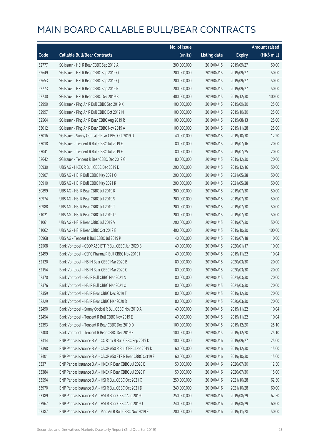|       |                                                              | No. of issue |                     |               | <b>Amount raised</b>  |
|-------|--------------------------------------------------------------|--------------|---------------------|---------------|-----------------------|
| Code  | <b>Callable Bull/Bear Contracts</b>                          | (units)      | <b>Listing date</b> | <b>Expiry</b> | $(HK\frac{1}{2}mil.)$ |
| 62777 | SG Issuer - HSI R Bear CBBC Sep 2019 A                       | 200,000,000  | 2019/04/15          | 2019/09/27    | 50.00                 |
| 62649 | SG Issuer - HSI R Bear CBBC Sep 2019 O                       | 200,000,000  | 2019/04/15          | 2019/09/27    | 50.00                 |
| 62653 | SG Issuer - HSI R Bear CBBC Sep 2019 Q                       | 200,000,000  | 2019/04/15          | 2019/09/27    | 50.00                 |
| 62773 | SG Issuer - HSI R Bear CBBC Sep 2019 R                       | 200,000,000  | 2019/04/15          | 2019/09/27    | 50.00                 |
| 62730 | SG Issuer - HSI R Bear CBBC Dec 2019 B                       | 400,000,000  | 2019/04/15          | 2019/12/30    | 100.00                |
| 62990 | SG Issuer - Ping An R Bull CBBC Sep 2019 K                   | 100,000,000  | 2019/04/15          | 2019/09/30    | 25.00                 |
| 62997 | SG Issuer - Ping An R Bull CBBC Oct 2019 N                   | 100,000,000  | 2019/04/15          | 2019/10/30    | 25.00                 |
| 62564 | SG Issuer - Ping An R Bear CBBC Aug 2019 R                   | 100,000,000  | 2019/04/15          | 2019/08/13    | 25.00                 |
| 63012 | SG Issuer - Ping An R Bear CBBC Nov 2019 A                   | 100,000,000  | 2019/04/15          | 2019/11/28    | 25.00                 |
| 63016 | SG Issuer - Sunny Optical R Bear CBBC Oct 2019 D             | 40,000,000   | 2019/04/15          | 2019/10/30    | 12.20                 |
| 63018 | SG Issuer - Tencent R Bull CBBC Jul 2019 E                   | 80,000,000   | 2019/04/15          | 2019/07/16    | 20.00                 |
| 63041 | SG Issuer - Tencent R Bull CBBC Jul 2019 F                   | 80,000,000   | 2019/04/15          | 2019/07/25    | 20.00                 |
| 62642 | SG Issuer - Tencent R Bear CBBC Dec 2019 G                   | 80,000,000   | 2019/04/15          | 2019/12/30    | 20.00                 |
| 60930 | UBS AG - HKEX R Bull CBBC Dec 2019 D                         | 200,000,000  | 2019/04/15          | 2019/12/16    | 50.00                 |
| 60907 | UBS AG - HSI R Bull CBBC May 2021 Q                          | 200,000,000  | 2019/04/15          | 2021/05/28    | 50.00                 |
| 60910 | UBS AG - HSI R Bull CBBC May 2021 R                          | 200,000,000  | 2019/04/15          | 2021/05/28    | 50.00                 |
| 60899 | UBS AG - HSI R Bear CBBC Jul 2019 R                          | 200,000,000  | 2019/04/15          | 2019/07/30    | 50.00                 |
| 60974 | UBS AG - HSI R Bear CBBC Jul 2019 S                          | 200,000,000  | 2019/04/15          | 2019/07/30    | 50.00                 |
| 60988 | UBS AG - HSI R Bear CBBC Jul 2019 T                          | 200,000,000  | 2019/04/15          | 2019/07/30    | 50.00                 |
| 61021 | UBS AG - HSI R Bear CBBC Jul 2019 U                          | 200,000,000  | 2019/04/15          | 2019/07/30    | 50.00                 |
| 61061 | UBS AG - HSI R Bear CBBC Jul 2019 V                          | 200,000,000  | 2019/04/15          | 2019/07/30    | 50.00                 |
| 61062 | UBS AG - HSI R Bear CBBC Oct 2019 E                          | 400,000,000  | 2019/04/15          | 2019/10/30    | 100.00                |
| 60968 | UBS AG - Tencent R Bull CBBC Jul 2019 P                      | 40,000,000   | 2019/04/15          | 2019/07/18    | 10.00                 |
| 62508 | Bank Vontobel - CSOP A50 ETF R Bull CBBC Jan 2020 B          | 40,000,000   | 2019/04/15          | 2020/01/17    | 10.00                 |
| 62499 | Bank Vontobel - CSPC Pharma R Bull CBBC Nov 2019 I           | 40,000,000   | 2019/04/15          | 2019/11/22    | 10.04                 |
| 62120 | Bank Vontobel - HSI N Bear CBBC Mar 2020 B                   | 80,000,000   | 2019/04/15          | 2020/03/30    | 20.00                 |
| 62154 | Bank Vontobel - HSI N Bear CBBC Mar 2020 C                   | 80,000,000   | 2019/04/15          | 2020/03/30    | 20.00                 |
| 62370 | Bank Vontobel - HSI R Bull CBBC Mar 2021 N                   | 80,000,000   | 2019/04/15          | 2021/03/30    | 20.00                 |
| 62376 | Bank Vontobel - HSI R Bull CBBC Mar 2021 O                   | 80,000,000   | 2019/04/15          | 2021/03/30    | 20.00                 |
| 62359 | Bank Vontobel - HSI R Bear CBBC Dec 2019 T                   | 80,000,000   | 2019/04/15          | 2019/12/30    | 20.00                 |
| 62229 | Bank Vontobel - HSI R Bear CBBC Mar 2020 D                   | 80,000,000   | 2019/04/15          | 2020/03/30    | 20.00                 |
| 62490 | Bank Vontobel - Sunny Optical R Bull CBBC Nov 2019 A         | 40,000,000   | 2019/04/15          | 2019/11/22    | 10.04                 |
| 62454 | Bank Vontobel - Tencent R Bull CBBC Nov 2019 E               | 40,000,000   | 2019/04/15          | 2019/11/22    | 10.04                 |
| 62393 | Bank Vontobel - Tencent R Bear CBBC Dec 2019 D               | 100,000,000  | 2019/04/15          | 2019/12/20    | 25.10                 |
| 62400 | Bank Vontobel - Tencent R Bear CBBC Dec 2019 E               | 100,000,000  | 2019/04/15          | 2019/12/20    | 25.10                 |
| 63414 | BNP Paribas Issuance B.V. - CC Bank R Bull CBBC Sep 2019 D   | 100,000,000  | 2019/04/16          | 2019/09/27    | 25.00                 |
| 63398 | BNP Paribas Issuance B.V. - CSOP A50 R Bull CBBC Dec 2019 D  | 60,000,000   | 2019/04/16          | 2019/12/30    | 15.00                 |
| 63401 | BNP Paribas Issuance B.V. - CSOP A50 ETF R Bear CBBC Oct19 E | 60,000,000   | 2019/04/16          | 2019/10/30    | 15.00                 |
| 63371 | BNP Paribas Issuance B.V. - HKEX R Bear CBBC Jul 2020 E      | 50,000,000   | 2019/04/16          | 2020/07/30    | 12.50                 |
| 63384 | BNP Paribas Issuance B.V. - HKEX R Bear CBBC Jul 2020 F      | 50,000,000   | 2019/04/16          | 2020/07/30    | 15.00                 |
| 63594 | BNP Paribas Issuance B.V. - HSI R Bull CBBC Oct 2021 C       | 250,000,000  | 2019/04/16          | 2021/10/28    | 62.50                 |
| 63970 | BNP Paribas Issuance B.V. - HSI R Bull CBBC Oct 2021 D       | 240,000,000  | 2019/04/16          | 2021/10/28    | 60.00                 |
| 63189 | BNP Paribas Issuance B.V. - HSI R Bear CBBC Aug 2019 I       | 250,000,000  | 2019/04/16          | 2019/08/29    | 62.50                 |
| 63967 | BNP Paribas Issuance B.V. - HSI R Bear CBBC Aug 2019 J       | 240,000,000  | 2019/04/16          | 2019/08/29    | 60.00                 |
| 63387 | BNP Paribas Issuance B.V. - Ping An R Bull CBBC Nov 2019 E   | 200,000,000  | 2019/04/16          | 2019/11/28    | 50.00                 |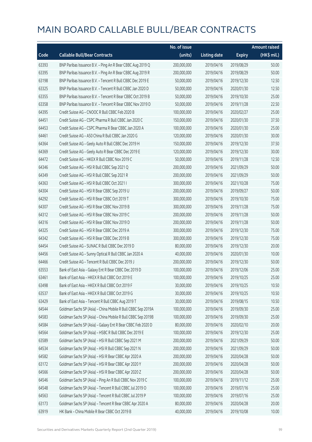|       |                                                              | No. of issue |                     |               | <b>Amount raised</b>  |
|-------|--------------------------------------------------------------|--------------|---------------------|---------------|-----------------------|
| Code  | <b>Callable Bull/Bear Contracts</b>                          | (units)      | <b>Listing date</b> | <b>Expiry</b> | $(HK\frac{1}{2}mil.)$ |
| 63393 | BNP Paribas Issuance B.V. - Ping An R Bear CBBC Aug 2019 Q   | 200,000,000  | 2019/04/16          | 2019/08/29    | 50.00                 |
| 63395 | BNP Paribas Issuance B.V. - Ping An R Bear CBBC Aug 2019 R   | 200,000,000  | 2019/04/16          | 2019/08/29    | 50.00                 |
| 63198 | BNP Paribas Issuance B.V. - Tencent R Bull CBBC Dec 2019 E   | 50,000,000   | 2019/04/16          | 2019/12/30    | 12.50                 |
| 63325 | BNP Paribas Issuance B.V. - Tencent R Bull CBBC Jan 2020 D   | 50,000,000   | 2019/04/16          | 2020/01/30    | 12.50                 |
| 63355 | BNP Paribas Issuance B.V. - Tencent R Bear CBBC Oct 2019 B   | 50,000,000   | 2019/04/16          | 2019/10/30    | 25.00                 |
| 63358 | BNP Paribas Issuance B.V. - Tencent R Bear CBBC Nov 2019 D   | 50,000,000   | 2019/04/16          | 2019/11/28    | 22.50                 |
| 64395 | Credit Suisse AG - CNOOC R Bull CBBC Feb 2020 B              | 100,000,000  | 2019/04/16          | 2020/02/27    | 25.00                 |
| 64451 | Credit Suisse AG - CSPC Pharma R Bull CBBC Jan 2020 C        | 150,000,000  | 2019/04/16          | 2020/01/30    | 37.50                 |
| 64453 | Credit Suisse AG - CSPC Pharma R Bear CBBC Jan 2020 A        | 100,000,000  | 2019/04/16          | 2020/01/30    | 25.00                 |
| 64461 | Credit Suisse AG - A50 China R Bull CBBC Jan 2020 G          | 120,000,000  | 2019/04/16          | 2020/01/30    | 30.00                 |
| 64364 | Credit Suisse AG - Geely Auto R Bull CBBC Dec 2019 H         | 150,000,000  | 2019/04/16          | 2019/12/30    | 37.50                 |
| 64369 | Credit Suisse AG - Geely Auto R Bear CBBC Dec 2019 E         | 120,000,000  | 2019/04/16          | 2019/12/30    | 30.00                 |
| 64472 | Credit Suisse AG - HKEX R Bull CBBC Nov 2019 C               | 50,000,000   | 2019/04/16          | 2019/11/28    | 12.50                 |
| 64346 | Credit Suisse AG - HSI R Bull CBBC Sep 2021 Q                | 200,000,000  | 2019/04/16          | 2021/09/29    | 50.00                 |
| 64349 | Credit Suisse AG - HSI R Bull CBBC Sep 2021 R                | 200,000,000  | 2019/04/16          | 2021/09/29    | 50.00                 |
| 64363 | Credit Suisse AG - HSI R Bull CBBC Oct 2021 I                | 300,000,000  | 2019/04/16          | 2021/10/28    | 75.00                 |
| 64304 | Credit Suisse AG - HSI R Bear CBBC Sep 2019 U                | 200,000,000  | 2019/04/16          | 2019/09/27    | 50.00                 |
| 64292 | Credit Suisse AG - HSI R Bear CBBC Oct 2019 T                | 300,000,000  | 2019/04/16          | 2019/10/30    | 75.00                 |
| 64307 | Credit Suisse AG - HSI R Bear CBBC Nov 2019 B                | 300,000,000  | 2019/04/16          | 2019/11/28    | 75.00                 |
| 64312 | Credit Suisse AG - HSI R Bear CBBC Nov 2019 C                | 200,000,000  | 2019/04/16          | 2019/11/28    | 50.00                 |
| 64316 | Credit Suisse AG - HSI R Bear CBBC Nov 2019 D                | 200,000,000  | 2019/04/16          | 2019/11/28    | 50.00                 |
| 64325 | Credit Suisse AG - HSI R Bear CBBC Dec 2019 A                | 300,000,000  | 2019/04/16          | 2019/12/30    | 75.00                 |
| 64342 | Credit Suisse AG - HSI R Bear CBBC Dec 2019 B                | 300,000,000  | 2019/04/16          | 2019/12/30    | 75.00                 |
| 64454 | Credit Suisse AG - SUNAC R Bull CBBC Dec 2019 D              | 80,000,000   | 2019/04/16          | 2019/12/30    | 20.00                 |
| 64456 | Credit Suisse AG - Sunny Optical R Bull CBBC Jan 2020 A      | 40,000,000   | 2019/04/16          | 2020/01/30    | 10.00                 |
| 64466 | Credit Suisse AG - Tencent R Bull CBBC Dec 2019 J            | 200,000,000  | 2019/04/16          | 2019/12/30    | 50.00                 |
| 63553 | Bank of East Asia - Galaxy Ent R Bear CBBC Dec 2019 D        | 100,000,000  | 2019/04/16          | 2019/12/06    | 25.00                 |
| 63461 | Bank of East Asia - HKEX R Bull CBBC Oct 2019 E              | 100,000,000  | 2019/04/16          | 2019/10/25    | 25.00                 |
| 63498 | Bank of East Asia - HKEX R Bull CBBC Oct 2019 F              | 30,000,000   | 2019/04/16          | 2019/10/25    | 10.50                 |
| 63537 | Bank of East Asia - HKEX R Bull CBBC Oct 2019 G              | 30,000,000   | 2019/04/16          | 2019/10/25    | 10.50                 |
| 63429 | Bank of East Asia - Tencent R Bull CBBC Aug 2019 T           | 30,000,000   | 2019/04/16          | 2019/08/15    | 10.50                 |
| 64544 | Goldman Sachs SP (Asia) - China Mobile R Bull CBBC Sep 2019A | 100,000,000  | 2019/04/16          | 2019/09/30    | 25.00                 |
| 64583 | Goldman Sachs SP (Asia) - China Mobile R Bull CBBC Sep 2019B | 100,000,000  | 2019/04/16          | 2019/09/30    | 25.00                 |
| 64584 | Goldman Sachs SP (Asia) - Galaxy Ent R Bear CBBC Feb 2020 D  | 80,000,000   | 2019/04/16          | 2020/02/10    | 20.00                 |
| 64564 | Goldman Sachs SP (Asia) - HSBC R Bull CBBC Dec 2019 E        | 100,000,000  | 2019/04/16          | 2019/12/30    | 25.00                 |
| 63589 | Goldman Sachs SP (Asia) - HSI R Bull CBBC Sep 2021 M         | 200,000,000  | 2019/04/16          | 2021/09/29    | 50.00                 |
| 64534 | Goldman Sachs SP (Asia) - HSI R Bull CBBC Sep 2021 N         | 200,000,000  | 2019/04/16          | 2021/09/29    | 50.00                 |
| 64582 | Goldman Sachs SP (Asia) - HSI R Bear CBBC Apr 2020 A         | 200,000,000  | 2019/04/16          | 2020/04/28    | 50.00                 |
| 63172 | Goldman Sachs SP (Asia) - HSI R Bear CBBC Apr 2020 Y         | 200,000,000  | 2019/04/16          | 2020/04/28    | 50.00                 |
| 64566 | Goldman Sachs SP (Asia) - HSI R Bear CBBC Apr 2020 Z         | 200,000,000  | 2019/04/16          | 2020/04/28    | 50.00                 |
| 64546 | Goldman Sachs SP (Asia) - Ping An R Bull CBBC Nov 2019 C     | 100,000,000  | 2019/04/16          | 2019/11/12    | 25.00                 |
| 64548 | Goldman Sachs SP (Asia) - Tencent R Bull CBBC Jul 2019 O     | 100,000,000  | 2019/04/16          | 2019/07/16    | 25.00                 |
| 64563 | Goldman Sachs SP (Asia) - Tencent R Bull CBBC Jul 2019 P     | 100,000,000  | 2019/04/16          | 2019/07/16    | 25.00                 |
| 63173 | Goldman Sachs SP (Asia) - Tencent R Bear CBBC Apr 2020 A     | 80,000,000   | 2019/04/16          | 2020/04/28    | 20.00                 |
| 63919 | HK Bank - China Mobile R Bear CBBC Oct 2019 B                | 40,000,000   | 2019/04/16          | 2019/10/08    | 10.00                 |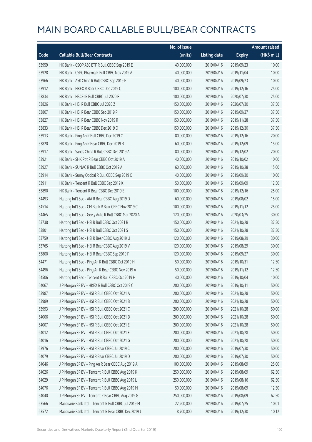|       |                                                       | No. of issue |                     |               | <b>Amount raised</b>  |
|-------|-------------------------------------------------------|--------------|---------------------|---------------|-----------------------|
| Code  | <b>Callable Bull/Bear Contracts</b>                   | (units)      | <b>Listing date</b> | <b>Expiry</b> | $(HK\frac{1}{2}mil.)$ |
| 63959 | HK Bank - CSOP A50 ETF R Bull CBBC Sep 2019 E         | 40,000,000   | 2019/04/16          | 2019/09/23    | 10.00                 |
| 63928 | HK Bank - CSPC Pharma R Bull CBBC Nov 2019 A          | 40,000,000   | 2019/04/16          | 2019/11/04    | 10.00                 |
| 63966 | HK Bank - A50 China R Bull CBBC Sep 2019 E            | 40,000,000   | 2019/04/16          | 2019/09/23    | 10.00                 |
| 63912 | HK Bank - HKEX R Bear CBBC Dec 2019 C                 | 100,000,000  | 2019/04/16          | 2019/12/16    | 25.00                 |
| 63834 | HK Bank - HSCEI R Bull CBBC Jul 2020 F                | 100,000,000  | 2019/04/16          | 2020/07/30    | 25.00                 |
| 63826 | HK Bank - HSI R Bull CBBC Jul 2020 Z                  | 150,000,000  | 2019/04/16          | 2020/07/30    | 37.50                 |
| 63807 | HK Bank - HSI R Bear CBBC Sep 2019 P                  | 150,000,000  | 2019/04/16          | 2019/09/27    | 37.50                 |
| 63827 | HK Bank - HSI R Bear CBBC Nov 2019 R                  | 150,000,000  | 2019/04/16          | 2019/11/28    | 37.50                 |
| 63833 | HK Bank - HSI R Bear CBBC Dec 2019 O                  | 150,000,000  | 2019/04/16          | 2019/12/30    | 37.50                 |
| 63913 | HK Bank - Ping An R Bull CBBC Dec 2019 C              | 80,000,000   | 2019/04/16          | 2019/12/16    | 20.00                 |
| 63820 | HK Bank - Ping An R Bear CBBC Dec 2019 B              | 60,000,000   | 2019/04/16          | 2019/12/09    | 15.00                 |
| 63917 | HK Bank - Sands China R Bull CBBC Dec 2019 A          | 80,000,000   | 2019/04/16          | 2019/12/02    | 20.00                 |
| 63921 | HK Bank - SHK Ppt R Bear CBBC Oct 2019 A              | 40,000,000   | 2019/04/16          | 2019/10/02    | 10.00                 |
| 63927 | HK Bank - SUNAC R Bull CBBC Oct 2019 A                | 60,000,000   | 2019/04/16          | 2019/10/28    | 15.00                 |
| 63914 | HK Bank - Sunny Optical R Bull CBBC Sep 2019 C        | 40,000,000   | 2019/04/16          | 2019/09/30    | 10.00                 |
| 63911 | HK Bank - Tencent R Bull CBBC Sep 2019 K              | 50,000,000   | 2019/04/16          | 2019/09/09    | 12.50                 |
| 63890 | HK Bank - Tencent R Bear CBBC Dec 2019 E              | 100,000,000  | 2019/04/16          | 2019/12/16    | 25.00                 |
| 64493 | Haitong Int'l Sec - AIA R Bear CBBC Aug 2019 D        | 60,000,000   | 2019/04/16          | 2019/08/02    | 15.00                 |
| 64514 | Haitong Int'l Sec - CM Bank R Bear CBBC Nov 2019 C    | 100,000,000  | 2019/04/16          | 2019/11/12    | 25.00                 |
| 64465 | Haitong Int'l Sec - Geely Auto R Bull CBBC Mar 2020 A | 120,000,000  | 2019/04/16          | 2020/03/25    | 30.00                 |
| 63738 | Haitong Int'l Sec - HSI R Bull CBBC Oct 2021 R        | 150,000,000  | 2019/04/16          | 2021/10/28    | 37.50                 |
| 63801 | Haitong Int'l Sec - HSI R Bull CBBC Oct 2021 S        | 150,000,000  | 2019/04/16          | 2021/10/28    | 37.50                 |
| 63759 | Haitong Int'l Sec - HSI R Bear CBBC Aug 2019 U        | 120,000,000  | 2019/04/16          | 2019/08/29    | 30.00                 |
| 63765 | Haitong Int'l Sec - HSI R Bear CBBC Aug 2019 V        | 120,000,000  | 2019/04/16          | 2019/08/29    | 30.00                 |
| 63800 | Haitong Int'l Sec - HSI R Bear CBBC Sep 2019 F        | 120,000,000  | 2019/04/16          | 2019/09/27    | 30.00                 |
| 64471 | Haitong Int'l Sec - Ping An R Bull CBBC Oct 2019 H    | 50,000,000   | 2019/04/16          | 2019/10/31    | 12.50                 |
| 64496 | Haitong Int'l Sec - Ping An R Bear CBBC Nov 2019 A    | 50,000,000   | 2019/04/16          | 2019/11/12    | 12.50                 |
| 64506 | Haitong Int'l Sec - Tencent R Bull CBBC Oct 2019 H    | 40,000,000   | 2019/04/16          | 2019/10/04    | 10.00                 |
| 64067 | J P Morgan SP BV - HKEX R Bull CBBC Oct 2019 C        | 200,000,000  | 2019/04/16          | 2019/10/11    | 50.00                 |
| 63987 | J P Morgan SP BV - HSI R Bull CBBC Oct 2021 A         | 200,000,000  | 2019/04/16          | 2021/10/28    | 50.00                 |
| 63989 | J P Morgan SP BV - HSI R Bull CBBC Oct 2021 B         | 200,000,000  | 2019/04/16          | 2021/10/28    | 50.00                 |
| 63993 | J P Morgan SP BV - HSI R Bull CBBC Oct 2021 C         | 200,000,000  | 2019/04/16          | 2021/10/28    | 50.00                 |
| 64006 | J P Morgan SP BV - HSI R Bull CBBC Oct 2021 D         | 200,000,000  | 2019/04/16          | 2021/10/28    | 50.00                 |
| 64007 | J P Morgan SP BV - HSI R Bull CBBC Oct 2021 E         | 200,000,000  | 2019/04/16          | 2021/10/28    | 50.00                 |
| 64012 | J P Morgan SP BV - HSI R Bull CBBC Oct 2021 F         | 200,000,000  | 2019/04/16          | 2021/10/28    | 50.00                 |
| 64016 | J P Morgan SP BV - HSI R Bull CBBC Oct 2021 G         | 200,000,000  | 2019/04/16          | 2021/10/28    | 50.00                 |
| 63976 | J P Morgan SP BV - HSI R Bear CBBC Jul 2019 C         | 200,000,000  | 2019/04/16          | 2019/07/30    | 50.00                 |
| 64079 | J P Morgan SP BV - HSI R Bear CBBC Jul 2019 D         | 200,000,000  | 2019/04/16          | 2019/07/30    | 50.00                 |
| 64046 | J P Morgan SP BV - Ping An R Bear CBBC Aug 2019 A     | 100,000,000  | 2019/04/16          | 2019/08/09    | 25.00                 |
| 64026 | J P Morgan SP BV - Tencent R Bull CBBC Aug 2019 K     | 250,000,000  | 2019/04/16          | 2019/08/09    | 62.50                 |
| 64029 | J P Morgan SP BV - Tencent R Bull CBBC Aug 2019 L     | 250,000,000  | 2019/04/16          | 2019/08/16    | 62.50                 |
| 64076 | J P Morgan SP BV - Tencent R Bull CBBC Aug 2019 M     | 50,000,000   | 2019/04/16          | 2019/08/09    | 12.50                 |
| 64040 | J P Morgan SP BV - Tencent R Bear CBBC Aug 2019 G     | 250,000,000  | 2019/04/16          | 2019/08/09    | 62.50                 |
| 63566 | Macquarie Bank Ltd. - Tencent R Bull CBBC Jul 2019 M  | 22,200,000   | 2019/04/16          | 2019/07/25    | 10.01                 |
| 63572 | Macquarie Bank Ltd. - Tencent R Bear CBBC Dec 2019 J  | 8,700,000    | 2019/04/16          | 2019/12/30    | 10.12                 |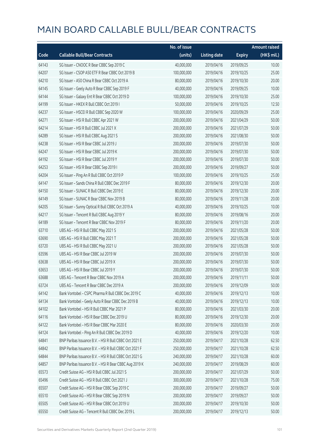|       |                                                        | No. of issue |                     |               | <b>Amount raised</b> |
|-------|--------------------------------------------------------|--------------|---------------------|---------------|----------------------|
| Code  | <b>Callable Bull/Bear Contracts</b>                    | (units)      | <b>Listing date</b> | <b>Expiry</b> | (HK\$ mil.)          |
| 64143 | SG Issuer - CNOOC R Bear CBBC Sep 2019 C               | 40,000,000   | 2019/04/16          | 2019/09/25    | 10.00                |
| 64207 | SG Issuer - CSOP A50 ETF R Bear CBBC Oct 2019 B        | 100,000,000  | 2019/04/16          | 2019/10/25    | 25.00                |
| 64210 | SG Issuer - A50 China R Bear CBBC Oct 2019 A           | 80,000,000   | 2019/04/16          | 2019/10/30    | 20.00                |
| 64145 | SG Issuer - Geely Auto R Bear CBBC Sep 2019 F          | 40,000,000   | 2019/04/16          | 2019/09/25    | 10.00                |
| 64144 | SG Issuer - Galaxy Ent R Bear CBBC Oct 2019 D          | 100,000,000  | 2019/04/16          | 2019/10/30    | 25.00                |
| 64199 | SG Issuer - HKEX R Bull CBBC Oct 2019 I                | 50,000,000   | 2019/04/16          | 2019/10/25    | 12.50                |
| 64237 | SG Issuer - HSCEI R Bull CBBC Sep 2020 W               | 100,000,000  | 2019/04/16          | 2020/09/29    | 25.00                |
| 64271 | SG Issuer - HSI R Bull CBBC Apr 2021 W                 | 200,000,000  | 2019/04/16          | 2021/04/29    | 50.00                |
| 64214 | SG Issuer - HSI R Bull CBBC Jul 2021 X                 | 200,000,000  | 2019/04/16          | 2021/07/29    | 50.00                |
| 64289 | SG Issuer - HSI R Bull CBBC Aug 2021 S                 | 200,000,000  | 2019/04/16          | 2021/08/30    | 50.00                |
| 64238 | SG Issuer - HSI R Bear CBBC Jul 2019 J                 | 200,000,000  | 2019/04/16          | 2019/07/30    | 50.00                |
| 64247 | SG Issuer - HSI R Bear CBBC Jul 2019 K                 | 200,000,000  | 2019/04/16          | 2019/07/30    | 50.00                |
| 64192 | SG Issuer - HSI R Bear CBBC Jul 2019 Y                 | 200,000,000  | 2019/04/16          | 2019/07/30    | 50.00                |
| 64253 | SG Issuer - HSI R Bear CBBC Sep 2019 I                 | 200,000,000  | 2019/04/16          | 2019/09/27    | 50.00                |
| 64204 | SG Issuer - Ping An R Bull CBBC Oct 2019 P             | 100,000,000  | 2019/04/16          | 2019/10/25    | 25.00                |
| 64147 | SG Issuer - Sands China R Bull CBBC Dec 2019 F         | 80,000,000   | 2019/04/16          | 2019/12/30    | 20.00                |
| 64150 | SG Issuer - SUNAC R Bull CBBC Dec 2019 E               | 80,000,000   | 2019/04/16          | 2019/12/30    | 20.00                |
| 64149 | SG Issuer - SUNAC R Bear CBBC Nov 2019 B               | 80,000,000   | 2019/04/16          | 2019/11/28    | 20.00                |
| 64205 | SG Issuer - Sunny Optical R Bull CBBC Oct 2019 A       | 40,000,000   | 2019/04/16          | 2019/10/25    | 10.00                |
| 64217 | SG Issuer - Tencent R Bull CBBC Aug 2019 Y             | 80,000,000   | 2019/04/16          | 2019/08/16    | 20.00                |
| 64189 | SG Issuer - Tencent R Bear CBBC Nov 2019 F             | 80,000,000   | 2019/04/16          | 2019/11/20    | 20.00                |
| 63710 | UBS AG - HSI R Bull CBBC May 2021 S                    | 200,000,000  | 2019/04/16          | 2021/05/28    | 50.00                |
| 63690 | UBS AG - HSI R Bull CBBC May 2021 T                    | 200,000,000  | 2019/04/16          | 2021/05/28    | 50.00                |
| 63720 | UBS AG - HSI R Bull CBBC May 2021 U                    | 200,000,000  | 2019/04/16          | 2021/05/28    | 50.00                |
| 63596 | UBS AG - HSI R Bear CBBC Jul 2019 W                    | 200,000,000  | 2019/04/16          | 2019/07/30    | 50.00                |
| 63638 | UBS AG - HSI R Bear CBBC Jul 2019 X                    | 200,000,000  | 2019/04/16          | 2019/07/30    | 50.00                |
| 63653 | UBS AG - HSI R Bear CBBC Jul 2019 Y                    | 200,000,000  | 2019/04/16          | 2019/07/30    | 50.00                |
| 63688 | UBS AG - Tencent R Bear CBBC Nov 2019 A                | 200,000,000  | 2019/04/16          | 2019/11/11    | 50.00                |
| 63724 | UBS AG - Tencent R Bear CBBC Dec 2019 A                | 200,000,000  | 2019/04/16          | 2019/12/09    | 50.00                |
| 64142 | Bank Vontobel - CSPC Pharma R Bull CBBC Dec 2019 C     | 40,000,000   | 2019/04/16          | 2019/12/13    | 10.00                |
| 64134 | Bank Vontobel - Geely Auto R Bear CBBC Dec 2019 B      | 40,000,000   | 2019/04/16          | 2019/12/13    | 10.00                |
| 64102 | Bank Vontobel - HSI R Bull CBBC Mar 2021 P             | 80,000,000   | 2019/04/16          | 2021/03/30    | 20.00                |
| 64116 | Bank Vontobel - HSI R Bear CBBC Dec 2019 U             | 80,000,000   | 2019/04/16          | 2019/12/30    | 20.00                |
| 64122 | Bank Vontobel - HSI R Bear CBBC Mar 2020 E             | 80,000,000   | 2019/04/16          | 2020/03/30    | 20.00                |
| 64124 | Bank Vontobel - Ping An R Bull CBBC Dec 2019 D         | 40,000,000   | 2019/04/16          | 2019/12/20    | 10.00                |
| 64841 | BNP Paribas Issuance B.V. - HSI R Bull CBBC Oct 2021 E | 250,000,000  | 2019/04/17          | 2021/10/28    | 62.50                |
| 64842 | BNP Paribas Issuance B.V. - HSI R Bull CBBC Oct 2021 F | 250,000,000  | 2019/04/17          | 2021/10/28    | 62.50                |
| 64844 | BNP Paribas Issuance B.V. - HSI R Bull CBBC Oct 2021 G | 240,000,000  | 2019/04/17          | 2021/10/28    | 60.00                |
| 64857 | BNP Paribas Issuance B.V. - HSI R Bear CBBC Aug 2019 K | 240,000,000  | 2019/04/17          | 2019/08/29    | 60.00                |
| 65573 | Credit Suisse AG - HSI R Bull CBBC Jul 2021 S          | 200,000,000  | 2019/04/17          | 2021/07/29    | 50.00                |
| 65496 | Credit Suisse AG - HSI R Bull CBBC Oct 2021 J          | 300,000,000  | 2019/04/17          | 2021/10/28    | 75.00                |
| 65507 | Credit Suisse AG - HSI R Bear CBBC Sep 2019 C          | 200,000,000  | 2019/04/17          | 2019/09/27    | 50.00                |
| 65510 | Credit Suisse AG - HSI R Bear CBBC Sep 2019 N          | 200,000,000  | 2019/04/17          | 2019/09/27    | 50.00                |
| 65505 | Credit Suisse AG - HSI R Bear CBBC Oct 2019 U          | 200,000,000  | 2019/04/17          | 2019/10/30    | 50.00                |
| 65550 | Credit Suisse AG - Tencent R Bull CBBC Dec 2019 L      | 200,000,000  | 2019/04/17          | 2019/12/13    | 50.00                |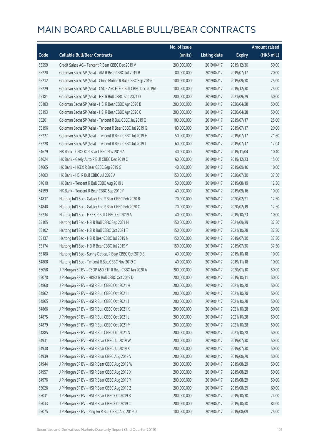|       |                                                              | No. of issue |                     |               | <b>Amount raised</b> |
|-------|--------------------------------------------------------------|--------------|---------------------|---------------|----------------------|
| Code  | <b>Callable Bull/Bear Contracts</b>                          | (units)      | <b>Listing date</b> | <b>Expiry</b> | (HK\$ mil.)          |
| 65559 | Credit Suisse AG - Tencent R Bear CBBC Dec 2019 V            | 200,000,000  | 2019/04/17          | 2019/12/30    | 50.00                |
| 65220 | Goldman Sachs SP (Asia) - AIA R Bear CBBC Jul 2019 B         | 80,000,000   | 2019/04/17          | 2019/07/17    | 20.00                |
| 65212 | Goldman Sachs SP (Asia) - China Mobile R Bull CBBC Sep 2019C | 100,000,000  | 2019/04/17          | 2019/09/30    | 25.00                |
| 65229 | Goldman Sachs SP (Asia) - CSOP A50 ETF R Bull CBBC Dec 2019A | 100,000,000  | 2019/04/17          | 2019/12/30    | 25.00                |
| 65181 | Goldman Sachs SP (Asia) - HSI R Bull CBBC Sep 2021 O         | 200,000,000  | 2019/04/17          | 2021/09/29    | 50.00                |
| 65183 | Goldman Sachs SP (Asia) - HSI R Bear CBBC Apr 2020 B         | 200,000,000  | 2019/04/17          | 2020/04/28    | 50.00                |
| 65193 | Goldman Sachs SP (Asia) - HSI R Bear CBBC Apr 2020 C         | 200,000,000  | 2019/04/17          | 2020/04/28    | 50.00                |
| 65201 | Goldman Sachs SP (Asia) - Tencent R Bull CBBC Jul 2019 Q     | 100,000,000  | 2019/04/17          | 2019/07/17    | 25.00                |
| 65196 | Goldman Sachs SP (Asia) - Tencent R Bear CBBC Jul 2019 G     | 80,000,000   | 2019/04/17          | 2019/07/17    | 20.00                |
| 65227 | Goldman Sachs SP (Asia) - Tencent R Bear CBBC Jul 2019 H     | 50,000,000   | 2019/04/17          | 2019/07/17    | 21.60                |
| 65228 | Goldman Sachs SP (Asia) - Tencent R Bear CBBC Jul 2019 I     | 60,000,000   | 2019/04/17          | 2019/07/17    | 17.04                |
| 64679 | HK Bank - CNOOC R Bear CBBC Nov 2019 A                       | 40,000,000   | 2019/04/17          | 2019/11/04    | 10.40                |
| 64624 | HK Bank - Geely Auto R Bull CBBC Dec 2019 C                  | 60,000,000   | 2019/04/17          | 2019/12/23    | 15.00                |
| 64665 | HK Bank - HKEX R Bear CBBC Sep 2019 G                        | 40,000,000   | 2019/04/17          | 2019/09/16    | 10.00                |
| 64603 | HK Bank - HSI R Bull CBBC Jul 2020 A                         | 150,000,000  | 2019/04/17          | 2020/07/30    | 37.50                |
| 64610 | HK Bank - Tencent R Bull CBBC Aug 2019 J                     | 50,000,000   | 2019/04/17          | 2019/08/19    | 12.50                |
| 64599 | HK Bank - Tencent R Bear CBBC Sep 2019 P                     | 40,000,000   | 2019/04/17          | 2019/09/16    | 10.00                |
| 64837 | Haitong Int'l Sec - Galaxy Ent R Bear CBBC Feb 2020 B        | 70,000,000   | 2019/04/17          | 2020/02/21    | 17.50                |
| 64840 | Haitong Int'l Sec - Galaxy Ent R Bear CBBC Feb 2020 C        | 70,000,000   | 2019/04/17          | 2020/02/19    | 17.50                |
| 65234 | Haitong Int'l Sec - HKEX R Bull CBBC Oct 2019 A              | 40,000,000   | 2019/04/17          | 2019/10/23    | 10.00                |
| 65105 | Haitong Int'l Sec - HSI R Bull CBBC Sep 2021 H               | 150,000,000  | 2019/04/17          | 2021/09/29    | 37.50                |
| 65102 | Haitong Int'l Sec - HSI R Bull CBBC Oct 2021 T               | 150,000,000  | 2019/04/17          | 2021/10/28    | 37.50                |
| 65137 | Haitong Int'l Sec - HSI R Bear CBBC Jul 2019 N               | 150,000,000  | 2019/04/17          | 2019/07/30    | 37.50                |
| 65174 | Haitong Int'l Sec - HSI R Bear CBBC Jul 2019 Y               | 150,000,000  | 2019/04/17          | 2019/07/30    | 37.50                |
| 65180 | Haitong Int'l Sec - Sunny Optical R Bear CBBC Oct 2019 B     | 40,000,000   | 2019/04/17          | 2019/10/18    | 10.00                |
| 64808 | Haitong Int'l Sec - Tencent R Bull CBBC Nov 2019 C           | 40,000,000   | 2019/04/17          | 2019/11/18    | 10.00                |
| 65058 | J P Morgan SP BV - CSOP A50 ETF R Bear CBBC Jan 2020 A       | 200,000,000  | 2019/04/17          | 2020/01/10    | 50.00                |
| 65070 | J P Morgan SP BV - HKEX R Bull CBBC Oct 2019 D               | 200,000,000  | 2019/04/17          | 2019/10/11    | 50.00                |
| 64860 | J P Morgan SP BV - HSI R Bull CBBC Oct 2021 H                | 200,000,000  | 2019/04/17          | 2021/10/28    | 50.00                |
| 64862 | JP Morgan SP BV - HSIR Bull CBBC Oct 2021 I                  | 200,000,000  | 2019/04/17          | 2021/10/28    | 50.00                |
| 64865 | J P Morgan SP BV - HSI R Bull CBBC Oct 2021 J                | 200,000,000  | 2019/04/17          | 2021/10/28    | 50.00                |
| 64866 | J P Morgan SP BV - HSI R Bull CBBC Oct 2021 K                | 200,000,000  | 2019/04/17          | 2021/10/28    | 50.00                |
| 64875 | J P Morgan SP BV - HSI R Bull CBBC Oct 2021 L                | 200,000,000  | 2019/04/17          | 2021/10/28    | 50.00                |
| 64879 | J P Morgan SP BV - HSI R Bull CBBC Oct 2021 M                | 200,000,000  | 2019/04/17          | 2021/10/28    | 50.00                |
| 64885 | J P Morgan SP BV - HSI R Bull CBBC Oct 2021 N                | 200,000,000  | 2019/04/17          | 2021/10/28    | 50.00                |
| 64931 | J P Morgan SP BV - HSI R Bear CBBC Jul 2019 W                | 200,000,000  | 2019/04/17          | 2019/07/30    | 50.00                |
| 64938 | J P Morgan SP BV - HSI R Bear CBBC Jul 2019 X                | 200,000,000  | 2019/04/17          | 2019/07/30    | 50.00                |
| 64939 | J P Morgan SP BV - HSI R Bear CBBC Aug 2019 V                | 200,000,000  | 2019/04/17          | 2019/08/29    | 50.00                |
| 64944 | J P Morgan SP BV - HSI R Bear CBBC Aug 2019 W                | 200,000,000  | 2019/04/17          | 2019/08/29    | 50.00                |
| 64957 | J P Morgan SP BV - HSI R Bear CBBC Aug 2019 X                | 200,000,000  | 2019/04/17          | 2019/08/29    | 50.00                |
| 64976 | J P Morgan SP BV - HSI R Bear CBBC Aug 2019 Y                | 200,000,000  | 2019/04/17          | 2019/08/29    | 50.00                |
| 65026 | J P Morgan SP BV - HSI R Bear CBBC Aug 2019 Z                | 200,000,000  | 2019/04/17          | 2019/08/29    | 60.00                |
| 65031 | J P Morgan SP BV - HSI R Bear CBBC Oct 2019 B                | 200,000,000  | 2019/04/17          | 2019/10/30    | 74.00                |
| 65033 | J P Morgan SP BV - HSI R Bear CBBC Oct 2019 C                | 200,000,000  | 2019/04/17          | 2019/10/30    | 84.00                |
| 65075 | J P Morgan SP BV - Ping An R Bull CBBC Aug 2019 D            | 100,000,000  | 2019/04/17          | 2019/08/09    | 25.00                |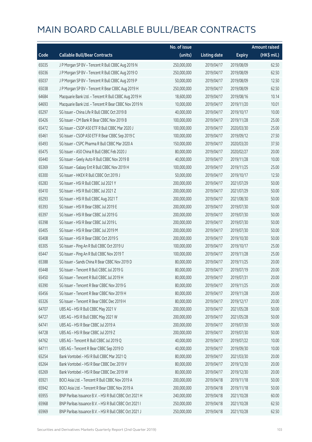|       |                                                        | No. of issue |                     |               | <b>Amount raised</b> |
|-------|--------------------------------------------------------|--------------|---------------------|---------------|----------------------|
| Code  | <b>Callable Bull/Bear Contracts</b>                    | (units)      | <b>Listing date</b> | <b>Expiry</b> | (HK\$ mil.)          |
| 65035 | J P Morgan SP BV - Tencent R Bull CBBC Aug 2019 N      | 250,000,000  | 2019/04/17          | 2019/08/09    | 62.50                |
| 65036 | J P Morgan SP BV - Tencent R Bull CBBC Aug 2019 O      | 250,000,000  | 2019/04/17          | 2019/08/09    | 62.50                |
| 65037 | J P Morgan SP BV - Tencent R Bull CBBC Aug 2019 P      | 50,000,000   | 2019/04/17          | 2019/08/09    | 12.50                |
| 65038 | J P Morgan SP BV - Tencent R Bear CBBC Aug 2019 H      | 250,000,000  | 2019/04/17          | 2019/08/09    | 62.50                |
| 64684 | Macquarie Bank Ltd. - Tencent R Bull CBBC Aug 2019 H   | 18,600,000   | 2019/04/17          | 2019/08/16    | 10.14                |
| 64693 | Macquarie Bank Ltd. - Tencent R Bear CBBC Nov 2019 N   | 10,000,000   | 2019/04/17          | 2019/11/20    | 10.01                |
| 65297 | SG Issuer - China Life R Bull CBBC Oct 2019 B          | 40,000,000   | 2019/04/17          | 2019/10/17    | 10.00                |
| 65426 | SG Issuer - CM Bank R Bear CBBC Nov 2019 B             | 100,000,000  | 2019/04/17          | 2019/11/28    | 25.00                |
| 65472 | SG Issuer - CSOP A50 ETF R Bull CBBC Mar 2020 J        | 100,000,000  | 2019/04/17          | 2020/03/30    | 25.00                |
| 65461 | SG Issuer - CSOP A50 ETF R Bear CBBC Sep 2019 C        | 100,000,000  | 2019/04/17          | 2019/09/12    | 27.50                |
| 65493 | SG Issuer - CSPC Pharma R Bull CBBC Mar 2020 A         | 150,000,000  | 2019/04/17          | 2020/03/20    | 37.50                |
| 65475 | SG Issuer - A50 China R Bull CBBC Feb 2020 J           | 80,000,000   | 2019/04/17          | 2020/02/27    | 20.00                |
| 65440 | SG Issuer - Geely Auto R Bull CBBC Nov 2019 B          | 40,000,000   | 2019/04/17          | 2019/11/28    | 10.00                |
| 65369 | SG Issuer - Galaxy Ent R Bull CBBC Nov 2019 H          | 100,000,000  | 2019/04/17          | 2019/11/25    | 25.00                |
| 65300 | SG Issuer - HKEX R Bull CBBC Oct 2019 J                | 50,000,000   | 2019/04/17          | 2019/10/17    | 12.50                |
| 65283 | SG Issuer - HSI R Bull CBBC Jul 2021 Y                 | 200,000,000  | 2019/04/17          | 2021/07/29    | 50.00                |
| 65410 | SG Issuer - HSI R Bull CBBC Jul 2021 Z                 | 200,000,000  | 2019/04/17          | 2021/07/29    | 50.00                |
| 65293 | SG Issuer - HSI R Bull CBBC Aug 2021 T                 | 200,000,000  | 2019/04/17          | 2021/08/30    | 50.00                |
| 65393 | SG Issuer - HSI R Bear CBBC Jul 2019 E                 | 200,000,000  | 2019/04/17          | 2019/07/30    | 50.00                |
| 65397 | SG Issuer - HSI R Bear CBBC Jul 2019 G                 | 200,000,000  | 2019/04/17          | 2019/07/30    | 50.00                |
| 65398 | SG Issuer - HSI R Bear CBBC Jul 2019 L                 | 200,000,000  | 2019/04/17          | 2019/07/30    | 50.00                |
| 65405 | SG Issuer - HSI R Bear CBBC Jul 2019 M                 | 200,000,000  | 2019/04/17          | 2019/07/30    | 50.00                |
| 65408 | SG Issuer - HSI R Bear CBBC Oct 2019 S                 | 200,000,000  | 2019/04/17          | 2019/10/30    | 50.00                |
| 65305 | SG Issuer - Ping An R Bull CBBC Oct 2019 U             | 100,000,000  | 2019/04/17          | 2019/10/17    | 25.00                |
| 65447 | SG Issuer - Ping An R Bull CBBC Nov 2019 T             | 100,000,000  | 2019/04/17          | 2019/11/28    | 25.00                |
| 65388 | SG Issuer - Sands China R Bear CBBC Nov 2019 D         | 80,000,000   | 2019/04/17          | 2019/11/25    | 20.00                |
| 65448 | SG Issuer - Tencent R Bull CBBC Jul 2019 G             | 80,000,000   | 2019/04/17          | 2019/07/19    | 20.00                |
| 65450 | SG Issuer - Tencent R Bull CBBC Jul 2019 H             | 80,000,000   | 2019/04/17          | 2019/07/31    | 20.00                |
| 65390 | SG Issuer - Tencent R Bear CBBC Nov 2019 G             | 80,000,000   | 2019/04/17          | 2019/11/25    | 20.00                |
| 65456 | SG Issuer - Tencent R Bear CBBC Nov 2019 H             | 80,000,000   | 2019/04/17          | 2019/11/28    | 20.00                |
| 65326 | SG Issuer - Tencent R Bear CBBC Dec 2019 H             | 80,000,000   | 2019/04/17          | 2019/12/17    | 20.00                |
| 64707 | UBS AG - HSI R Bull CBBC May 2021 V                    | 200,000,000  | 2019/04/17          | 2021/05/28    | 50.00                |
| 64727 | UBS AG - HSI R Bull CBBC May 2021 W                    | 200,000,000  | 2019/04/17          | 2021/05/28    | 50.00                |
| 64741 | UBS AG - HSI R Bear CBBC Jul 2019 A                    | 200,000,000  | 2019/04/17          | 2019/07/30    | 50.00                |
| 64728 | UBS AG - HSI R Bear CBBC Jul 2019 Z                    | 200,000,000  | 2019/04/17          | 2019/07/30    | 50.00                |
| 64762 | UBS AG - Tencent R Bull CBBC Jul 2019 Q                | 40,000,000   | 2019/04/17          | 2019/07/22    | 10.00                |
| 64711 | UBS AG - Tencent R Bear CBBC Sep 2019 D                | 40,000,000   | 2019/04/17          | 2019/09/30    | 10.00                |
| 65254 | Bank Vontobel - HSI R Bull CBBC Mar 2021 Q             | 80,000,000   | 2019/04/17          | 2021/03/30    | 20.00                |
| 65264 | Bank Vontobel - HSI R Bear CBBC Dec 2019 V             | 80,000,000   | 2019/04/17          | 2019/12/30    | 20.00                |
| 65269 | Bank Vontobel - HSI R Bear CBBC Dec 2019 W             | 80,000,000   | 2019/04/17          | 2019/12/30    | 20.00                |
| 65921 | BOCI Asia Ltd. - Tencent R Bull CBBC Nov 2019 A        | 200,000,000  | 2019/04/18          | 2019/11/18    | 50.00                |
| 65942 | BOCI Asia Ltd. - Tencent R Bear CBBC Nov 2019 A        | 200,000,000  | 2019/04/18          | 2019/11/18    | 50.00                |
| 65955 | BNP Paribas Issuance B.V. - HSI R Bull CBBC Oct 2021 H | 240,000,000  | 2019/04/18          | 2021/10/28    | 60.00                |
| 65968 | BNP Paribas Issuance B.V. - HSI R Bull CBBC Oct 2021 I | 250,000,000  | 2019/04/18          | 2021/10/28    | 62.50                |
| 65969 | BNP Paribas Issuance B.V. - HSI R Bull CBBC Oct 2021 J | 250,000,000  | 2019/04/18          | 2021/10/28    | 62.50                |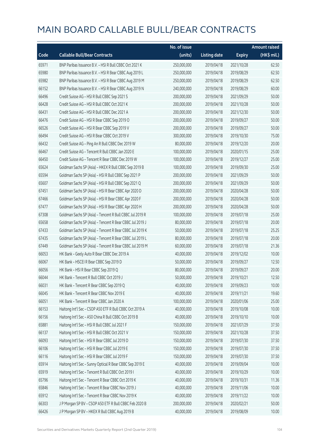|       |                                                          | No. of issue |                     |               | <b>Amount raised</b> |
|-------|----------------------------------------------------------|--------------|---------------------|---------------|----------------------|
| Code  | <b>Callable Bull/Bear Contracts</b>                      | (units)      | <b>Listing date</b> | <b>Expiry</b> | (HK\$ mil.)          |
| 65971 | BNP Paribas Issuance B.V. - HSI R Bull CBBC Oct 2021 K   | 250,000,000  | 2019/04/18          | 2021/10/28    | 62.50                |
| 65980 | BNP Paribas Issuance B.V. - HSI R Bear CBBC Aug 2019 L   | 250,000,000  | 2019/04/18          | 2019/08/29    | 62.50                |
| 65982 | BNP Paribas Issuance B.V. - HSI R Bear CBBC Aug 2019 M   | 250,000,000  | 2019/04/18          | 2019/08/29    | 62.50                |
| 66152 | BNP Paribas Issuance B.V. - HSI R Bear CBBC Aug 2019 N   | 240,000,000  | 2019/04/18          | 2019/08/29    | 60.00                |
| 66496 | Credit Suisse AG - HSI R Bull CBBC Sep 2021 S            | 200,000,000  | 2019/04/18          | 2021/09/29    | 50.00                |
| 66428 | Credit Suisse AG - HSI R Bull CBBC Oct 2021 K            | 200,000,000  | 2019/04/18          | 2021/10/28    | 50.00                |
| 66431 | Credit Suisse AG - HSI R Bull CBBC Dec 2021 A            | 200,000,000  | 2019/04/18          | 2021/12/30    | 50.00                |
| 66476 | Credit Suisse AG - HSI R Bear CBBC Sep 2019 O            | 200,000,000  | 2019/04/18          | 2019/09/27    | 50.00                |
| 66526 | Credit Suisse AG - HSI R Bear CBBC Sep 2019 V            | 200,000,000  | 2019/04/18          | 2019/09/27    | 50.00                |
| 66494 | Credit Suisse AG - HSI R Bear CBBC Oct 2019 V            | 300,000,000  | 2019/04/18          | 2019/10/30    | 75.00                |
| 66432 | Credit Suisse AG - Ping An R Bull CBBC Dec 2019 W        | 80,000,000   | 2019/04/18          | 2019/12/20    | 20.00                |
| 66467 | Credit Suisse AG - Tencent R Bull CBBC Jan 2020 E        | 100,000,000  | 2019/04/18          | 2020/01/15    | 25.00                |
| 66450 | Credit Suisse AG - Tencent R Bear CBBC Dec 2019 W        | 100,000,000  | 2019/04/18          | 2019/12/27    | 25.00                |
| 65624 | Goldman Sachs SP (Asia) - HKEX R Bull CBBC Sep 2019 B    | 100,000,000  | 2019/04/18          | 2019/09/30    | 25.00                |
| 65594 | Goldman Sachs SP (Asia) - HSI R Bull CBBC Sep 2021 P     | 200,000,000  | 2019/04/18          | 2021/09/29    | 50.00                |
| 65607 | Goldman Sachs SP (Asia) - HSI R Bull CBBC Sep 2021 Q     | 200,000,000  | 2019/04/18          | 2021/09/29    | 50.00                |
| 67451 | Goldman Sachs SP (Asia) - HSI R Bear CBBC Apr 2020 D     | 200,000,000  | 2019/04/18          | 2020/04/28    | 50.00                |
| 67466 | Goldman Sachs SP (Asia) - HSI R Bear CBBC Apr 2020 F     | 200,000,000  | 2019/04/18          | 2020/04/28    | 50.00                |
| 67477 | Goldman Sachs SP (Asia) - HSI R Bear CBBC Apr 2020 H     | 200,000,000  | 2019/04/18          | 2020/04/28    | 50.00                |
| 67308 | Goldman Sachs SP (Asia) - Tencent R Bull CBBC Jul 2019 R | 100,000,000  | 2019/04/18          | 2019/07/18    | 25.00                |
| 65658 | Goldman Sachs SP (Asia) - Tencent R Bear CBBC Jul 2019 J | 80,000,000   | 2019/04/18          | 2019/07/18    | 20.00                |
| 67433 | Goldman Sachs SP (Asia) - Tencent R Bear CBBC Jul 2019 K | 50,000,000   | 2019/04/18          | 2019/07/18    | 25.25                |
| 67435 | Goldman Sachs SP (Asia) - Tencent R Bear CBBC Jul 2019 L | 80,000,000   | 2019/04/18          | 2019/07/18    | 20.00                |
| 67449 | Goldman Sachs SP (Asia) - Tencent R Bear CBBC Jul 2019 M | 60,000,000   | 2019/04/18          | 2019/07/18    | 21.36                |
| 66053 | HK Bank - Geely Auto R Bear CBBC Dec 2019 A              | 40,000,000   | 2019/04/18          | 2019/12/02    | 10.00                |
| 66067 | HK Bank - HSCEI R Bear CBBC Sep 2019 D                   | 50,000,000   | 2019/04/18          | 2019/09/27    | 12.50                |
| 66056 | HK Bank - HSI R Bear CBBC Sep 2019 Q                     | 80,000,000   | 2019/04/18          | 2019/09/27    | 20.00                |
| 66044 | HK Bank - Tencent R Bull CBBC Oct 2019 J                 | 50,000,000   | 2019/04/18          | 2019/10/21    | 12.50                |
| 66031 | HK Bank - Tencent R Bear CBBC Sep 2019 Q                 | 40,000,000   | 2019/04/18          | 2019/09/23    | 10.00                |
| 66045 | HK Bank - Tencent R Bear CBBC Nov 2019 E                 | 40,000,000   | 2019/04/18          | 2019/11/21    | 19.60                |
| 66051 | HK Bank - Tencent R Bear CBBC Jan 2020 A                 | 100,000,000  | 2019/04/18          | 2020/01/06    | 25.00                |
| 66153 | Haitong Int'l Sec - CSOP A50 ETF R Bull CBBC Oct 2019 A  | 40,000,000   | 2019/04/18          | 2019/10/08    | 10.00                |
| 66156 | Haitong Int'l Sec - A50 China R Bull CBBC Oct 2019 B     | 40,000,000   | 2019/04/18          | 2019/10/10    | 10.00                |
| 65881 | Haitong Int'l Sec - HSI R Bull CBBC Jul 2021 F           | 150,000,000  | 2019/04/18          | 2021/07/29    | 37.50                |
| 66137 | Haitong Int'l Sec - HSI R Bull CBBC Oct 2021 V           | 150,000,000  | 2019/04/18          | 2021/10/28    | 37.50                |
| 66093 | Haitong Int'l Sec - HSI R Bear CBBC Jul 2019 D           | 150,000,000  | 2019/04/18          | 2019/07/30    | 37.50                |
| 66106 | Haitong Int'l Sec - HSI R Bear CBBC Jul 2019 E           | 150,000,000  | 2019/04/18          | 2019/07/30    | 37.50                |
| 66116 | Haitong Int'l Sec - HSI R Bear CBBC Jul 2019 F           | 150,000,000  | 2019/04/18          | 2019/07/30    | 37.50                |
| 65914 | Haitong Int'l Sec - Sunny Optical R Bear CBBC Sep 2019 E | 40,000,000   | 2019/04/18          | 2019/09/04    | 10.00                |
| 65919 | Haitong Int'l Sec - Tencent R Bull CBBC Oct 2019 I       | 40,000,000   | 2019/04/18          | 2019/10/29    | 10.00                |
| 65796 | Haitong Int'l Sec - Tencent R Bear CBBC Oct 2019 K       | 40,000,000   | 2019/04/18          | 2019/10/31    | 11.36                |
| 65846 | Haitong Int'l Sec - Tencent R Bear CBBC Nov 2019 J       | 40,000,000   | 2019/04/18          | 2019/11/06    | 10.00                |
| 65912 | Haitong Int'l Sec - Tencent R Bear CBBC Nov 2019 K       | 40,000,000   | 2019/04/18          | 2019/11/22    | 10.00                |
| 66303 | J P Morgan SP BV - CSOP A50 ETF R Bull CBBC Feb 2020 B   | 200,000,000  | 2019/04/18          | 2020/02/21    | 50.00                |
| 66426 | J P Morgan SP BV - HKEX R Bull CBBC Aug 2019 B           | 40,000,000   | 2019/04/18          | 2019/08/09    | 10.00                |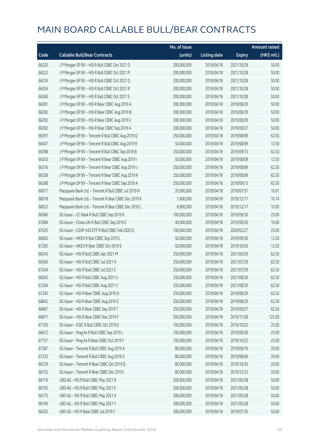|       |                                                      | No. of issue |                     |               | <b>Amount raised</b> |
|-------|------------------------------------------------------|--------------|---------------------|---------------|----------------------|
| Code  | <b>Callable Bull/Bear Contracts</b>                  | (units)      | <b>Listing date</b> | <b>Expiry</b> | (HK\$ mil.)          |
| 66220 | J P Morgan SP BV - HSI R Bull CBBC Oct 2021 O        | 200,000,000  | 2019/04/18          | 2021/10/28    | 50.00                |
| 66222 | J P Morgan SP BV - HSI R Bull CBBC Oct 2021 P        | 200,000,000  | 2019/04/18          | 2021/10/28    | 50.00                |
| 66234 | JP Morgan SP BV - HSIR Bull CBBC Oct 2021 Q          | 200,000,000  | 2019/04/18          | 2021/10/28    | 50.00                |
| 66254 | J P Morgan SP BV - HSI R Bull CBBC Oct 2021 R        | 200,000,000  | 2019/04/18          | 2021/10/28    | 50.00                |
| 66260 | JP Morgan SP BV - HSIR Bull CBBC Oct 2021 S          | 200,000,000  | 2019/04/18          | 2021/10/28    | 50.00                |
| 66281 | J P Morgan SP BV - HSI R Bear CBBC Aug 2019 A        | 200,000,000  | 2019/04/18          | 2019/08/29    | 50.00                |
| 66283 | J P Morgan SP BV - HSI R Bear CBBC Aug 2019 B        | 200,000,000  | 2019/04/18          | 2019/08/29    | 50.00                |
| 66292 | J P Morgan SP BV - HSI R Bear CBBC Aug 2019 C        | 200,000,000  | 2019/04/18          | 2019/08/29    | 50.00                |
| 66302 | J P Morgan SP BV - HSI R Bear CBBC Sep 2019 A        | 200,000,000  | 2019/04/18          | 2019/09/27    | 50.00                |
| 66397 | J P Morgan SP BV - Tencent R Bull CBBC Aug 2019 Q    | 250,000,000  | 2019/04/18          | 2019/08/09    | 62.50                |
| 66407 | J P Morgan SP BV - Tencent R Bull CBBC Aug 2019 R    | 50,000,000   | 2019/04/18          | 2019/08/09    | 12.50                |
| 66398 | J P Morgan SP BV - Tencent R Bull CBBC Sep 2019 B    | 250,000,000  | 2019/04/18          | 2019/09/13    | 62.50                |
| 66263 | J P Morgan SP BV - Tencent R Bear CBBC Aug 2019 I    | 50,000,000   | 2019/04/18          | 2019/08/09    | 12.50                |
| 66316 | J P Morgan SP BV - Tencent R Bear CBBC Aug 2019 J    | 250,000,000  | 2019/04/18          | 2019/08/09    | 62.50                |
| 66328 | J P Morgan SP BV - Tencent R Bear CBBC Aug 2019 K    | 250,000,000  | 2019/04/18          | 2019/08/09    | 62.50                |
| 66268 | J P Morgan SP BV - Tencent R Bear CBBC Sep 2019 A    | 250,000,000  | 2019/04/18          | 2019/09/13    | 62.50                |
| 66017 | Macquarie Bank Ltd. - Tencent R Bull CBBC Jul 2019 N | 20,900,000   | 2019/04/18          | 2019/07/31    | 10.01                |
| 66018 | Macquarie Bank Ltd. - Tencent R Bear CBBC Dec 2019 K | 7,400,000    | 2019/04/18          | 2019/12/17    | 10.14                |
| 66023 | Macquarie Bank Ltd. - Tencent R Bear CBBC Dec 2019 L | 8,900,000    | 2019/04/18          | 2019/12/17    | 10.00                |
| 66586 | SG Issuer - CC Bank R Bull CBBC Sep 2019 K           | 100,000,000  | 2019/04/18          | 2019/09/30    | 25.00                |
| 67084 | SG Issuer - China Life R Bull CBBC Sep 2019 E        | 40,000,000   | 2019/04/18          | 2019/09/26    | 10.00                |
| 67025 | SG Issuer - CSOP A50 ETF R Bull CBBC Feb 2020 Q      | 100,000,000  | 2019/04/18          | 2020/02/27    | 25.00                |
| 66603 | SG Issuer - HKEX R Bull CBBC Sep 2019 L              | 50,000,000   | 2019/04/18          | 2019/09/30    | 12.50                |
| 67265 | SG Issuer - HKEX R Bear CBBC Oct 2019 E              | 50,000,000   | 2019/04/18          | 2019/10/30    | 12.50                |
| 66543 | SG Issuer - HSI R Bull CBBC Apr 2021 M               | 250,000,000  | 2019/04/18          | 2021/04/29    | 62.50                |
| 66560 | SG Issuer - HSI R Bull CBBC Jul 2021 A               | 250,000,000  | 2019/04/18          | 2021/07/29    | 62.50                |
| 67024 | SG Issuer - HSI R Bull CBBC Jul 2021 C               | 250,000,000  | 2019/04/18          | 2021/07/29    | 62.50                |
| 66562 | SG Issuer - HSI R Bull CBBC Aug 2021 U               | 250,000,000  | 2019/04/18          | 2021/08/30    | 62.50                |
| 67264 | SG Issuer - HSI R Bull CBBC Aug 2021 V               | 250,000,000  | 2019/04/18          | 2021/08/30    | 62.50                |
| 67245 | SG Issuer - HSI R Bear CBBC Aug 2019 O               | 250,000,000  | 2019/04/18          | 2019/08/29    | 62.50                |
| 66842 | SG Issuer - HSI R Bear CBBC Aug 2019 Z               | 250,000,000  | 2019/04/18          | 2019/08/29    | 62.50                |
| 66867 | SG Issuer - HSI R Bear CBBC Sep 2019 T               | 250,000,000  | 2019/04/18          | 2019/09/27    | 62.50                |
| 66871 | SG Issuer - HSI R Bear CBBC Nov 2019 F               | 500,000,000  | 2019/04/18          | 2019/11/28    | 125.00               |
| 67105 | SG Issuer - ICBC R Bull CBBC Oct 2019 E              | 100,000,000  | 2019/04/18          | 2019/10/22    | 25.00                |
| 66612 | SG Issuer - Ping An R Bull CBBC Sep 2019 L           | 100,000,000  | 2019/04/18          | 2019/09/30    | 25.00                |
| 67157 | SG Issuer - Ping An R Bear CBBC Oct 2019 F           | 100,000,000  | 2019/04/18          | 2019/10/22    | 25.00                |
| 67287 | SG Issuer - Tencent R Bull CBBC Aug 2019 A           | 80,000,000   | 2019/04/18          | 2019/08/19    | 20.00                |
| 67233 | SG Issuer - Tencent R Bull CBBC Aug 2019 Z           | 80,000,000   | 2019/04/18          | 2019/08/06    | 20.00                |
| 66729 | SG Issuer - Tencent R Bear CBBC Oct 2019 Q           | 80,000,000   | 2019/04/18          | 2019/10/30    | 20.00                |
| 66753 | SG Issuer - Tencent R Bear CBBC Dec 2019 I           | 80,000,000   | 2019/04/18          | 2019/12/23    | 20.00                |
| 66176 | UBS AG - HSI R Bull CBBC May 2021 B                  | 200,000,000  | 2019/04/18          | 2021/05/28    | 50.00                |
| 66195 | UBS AG - HSI R Bull CBBC May 2021 E                  | 200,000,000  | 2019/04/18          | 2021/05/28    | 50.00                |
| 66175 | UBS AG - HSI R Bull CBBC May 2021 X                  | 200,000,000  | 2019/04/18          | 2021/05/28    | 50.00                |
| 66196 | UBS AG - HSI R Bull CBBC May 2021 Y                  | 200,000,000  | 2019/04/18          | 2021/05/28    | 50.00                |
| 66202 | UBS AG - HSI R Bear CBBC Jul 2019 C                  | 200,000,000  | 2019/04/18          | 2019/07/30    | 50.00                |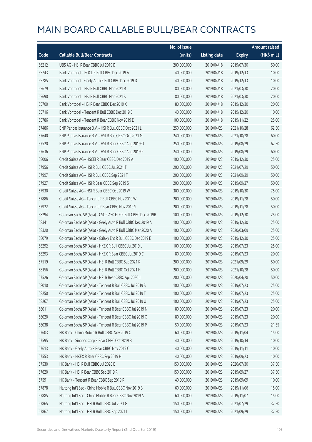|       |                                                              | No. of issue |                     |               | <b>Amount raised</b> |
|-------|--------------------------------------------------------------|--------------|---------------------|---------------|----------------------|
| Code  | <b>Callable Bull/Bear Contracts</b>                          | (units)      | <b>Listing date</b> | <b>Expiry</b> | (HK\$ mil.)          |
| 66212 | UBS AG - HSI R Bear CBBC Jul 2019 D                          | 200,000,000  | 2019/04/18          | 2019/07/30    | 50.00                |
| 65743 | Bank Vontobel - BOCL R Bull CBBC Dec 2019 A                  | 40,000,000   | 2019/04/18          | 2019/12/13    | 10.00                |
| 65785 | Bank Vontobel - Geely Auto R Bull CBBC Dec 2019 D            | 40,000,000   | 2019/04/18          | 2019/12/13    | 10.00                |
| 65679 | Bank Vontobel - HSI R Bull CBBC Mar 2021 R                   | 80,000,000   | 2019/04/18          | 2021/03/30    | 20.00                |
| 65690 | Bank Vontobel - HSI R Bull CBBC Mar 2021 S                   | 80,000,000   | 2019/04/18          | 2021/03/30    | 20.00                |
| 65700 | Bank Vontobel - HSI R Bear CBBC Dec 2019 X                   | 80,000,000   | 2019/04/18          | 2019/12/30    | 20.00                |
| 65716 | Bank Vontobel - Tencent R Bull CBBC Dec 2019 E               | 40,000,000   | 2019/04/18          | 2019/12/20    | 10.00                |
| 65786 | Bank Vontobel - Tencent R Bear CBBC Nov 2019 E               | 100,000,000  | 2019/04/18          | 2019/11/22    | 25.00                |
| 67486 | BNP Paribas Issuance B.V. - HSI R Bull CBBC Oct 2021 L       | 250,000,000  | 2019/04/23          | 2021/10/28    | 62.50                |
| 67640 | BNP Paribas Issuance B.V. - HSI R Bull CBBC Oct 2021 M       | 240,000,000  | 2019/04/23          | 2021/10/28    | 60.00                |
| 67520 | BNP Paribas Issuance B.V. - HSI R Bear CBBC Aug 2019 O       | 250,000,000  | 2019/04/23          | 2019/08/29    | 62.50                |
| 67636 | BNP Paribas Issuance B.V. - HSI R Bear CBBC Aug 2019 P       | 240,000,000  | 2019/04/23          | 2019/08/29    | 60.00                |
| 68006 | Credit Suisse AG - HSCEI R Bear CBBC Dec 2019 A              | 100,000,000  | 2019/04/23          | 2019/12/30    | 25.00                |
| 67956 | Credit Suisse AG - HSI R Bull CBBC Jul 2021 T                | 200,000,000  | 2019/04/23          | 2021/07/29    | 50.00                |
| 67997 | Credit Suisse AG - HSI R Bull CBBC Sep 2021 T                | 200,000,000  | 2019/04/23          | 2021/09/29    | 50.00                |
| 67927 | Credit Suisse AG - HSI R Bear CBBC Sep 2019 S                | 200,000,000  | 2019/04/23          | 2019/09/27    | 50.00                |
| 67930 | Credit Suisse AG - HSI R Bear CBBC Oct 2019 W                | 300,000,000  | 2019/04/23          | 2019/10/30    | 75.00                |
| 67886 | Credit Suisse AG - Tencent R Bull CBBC Nov 2019 W            | 200,000,000  | 2019/04/23          | 2019/11/28    | 50.00                |
| 67922 | Credit Suisse AG - Tencent R Bear CBBC Nov 2019 S            | 200,000,000  | 2019/04/23          | 2019/11/28    | 50.00                |
| 68294 | Goldman Sachs SP (Asia) - CSOP A50 ETF R Bull CBBC Dec 2019B | 100,000,000  | 2019/04/23          | 2019/12/30    | 25.00                |
| 68341 | Goldman Sachs SP (Asia) - Geely Auto R Bull CBBC Dec 2019 A  | 100,000,000  | 2019/04/23          | 2019/12/30    | 25.00                |
| 68320 | Goldman Sachs SP (Asia) - Geely Auto R Bull CBBC Mar 2020 A  | 100,000,000  | 2019/04/23          | 2020/03/09    | 25.00                |
| 68079 | Goldman Sachs SP (Asia) - Galaxy Ent R Bull CBBC Dec 2019 E  | 100,000,000  | 2019/04/23          | 2019/12/30    | 25.00                |
| 68292 | Goldman Sachs SP (Asia) - HKEX R Bull CBBC Jul 2019 L        | 100,000,000  | 2019/04/23          | 2019/07/23    | 25.00                |
| 68293 | Goldman Sachs SP (Asia) - HKEX R Bear CBBC Jul 2019 C        | 80,000,000   | 2019/04/23          | 2019/07/23    | 20.00                |
| 67519 | Goldman Sachs SP (Asia) - HSI R Bull CBBC Sep 2021 R         | 200,000,000  | 2019/04/23          | 2021/09/29    | 50.00                |
| 68156 | Goldman Sachs SP (Asia) - HSI R Bull CBBC Oct 2021 H         | 200,000,000  | 2019/04/23          | 2021/10/28    | 50.00                |
| 67526 | Goldman Sachs SP (Asia) - HSI R Bear CBBC Apr 2020 J         | 200,000,000  | 2019/04/23          | 2020/04/28    | 50.00                |
| 68010 | Goldman Sachs SP (Asia) - Tencent R Bull CBBC Jul 2019 S     | 100,000,000  | 2019/04/23          | 2019/07/23    | 25.00                |
| 68250 | Goldman Sachs SP (Asia) - Tencent R Bull CBBC Jul 2019 T     | 100,000,000  | 2019/04/23          | 2019/07/23    | 25.00                |
| 68267 | Goldman Sachs SP (Asia) - Tencent R Bull CBBC Jul 2019 U     | 100,000,000  | 2019/04/23          | 2019/07/23    | 25.00                |
| 68011 | Goldman Sachs SP (Asia) - Tencent R Bear CBBC Jul 2019 N     | 80,000,000   | 2019/04/23          | 2019/07/23    | 20.00                |
| 68020 | Goldman Sachs SP (Asia) - Tencent R Bear CBBC Jul 2019 O     | 80,000,000   | 2019/04/23          | 2019/07/23    | 20.00                |
| 68038 | Goldman Sachs SP (Asia) - Tencent R Bear CBBC Jul 2019 P     | 50,000,000   | 2019/04/23          | 2019/07/23    | 21.55                |
| 67603 | HK Bank - China Mobile R Bull CBBC Nov 2019 C                | 60,000,000   | 2019/04/23          | 2019/11/04    | 15.00                |
| 67595 | HK Bank - Sinopec Corp R Bear CBBC Oct 2019 B                | 40,000,000   | 2019/04/23          | 2019/10/14    | 10.00                |
| 67613 | HK Bank - Geely Auto R Bear CBBC Nov 2019 C                  | 40,000,000   | 2019/04/23          | 2019/11/11    | 10.00                |
| 67553 | HK Bank - HKEX R Bear CBBC Sep 2019 H                        | 40,000,000   | 2019/04/23          | 2019/09/23    | 10.00                |
| 67530 | HK Bank - HSI R Bull CBBC Jul 2020 B                         | 150,000,000  | 2019/04/23          | 2020/07/30    | 37.50                |
| 67620 | HK Bank - HSI R Bear CBBC Sep 2019 R                         | 150,000,000  | 2019/04/23          | 2019/09/27    | 37.50                |
| 67591 | HK Bank - Tencent R Bear CBBC Sep 2019 R                     | 40,000,000   | 2019/04/23          | 2019/09/09    | 10.00                |
| 67878 | Haitong Int'l Sec - China Mobile R Bull CBBC Nov 2019 B      | 60,000,000   | 2019/04/23          | 2019/11/06    | 15.00                |
| 67885 | Haitong Int'l Sec - China Mobile R Bear CBBC Nov 2019 A      | 60,000,000   | 2019/04/23          | 2019/11/07    | 15.00                |
| 67865 | Haitong Int'l Sec - HSI R Bull CBBC Jul 2021 G               | 150,000,000  | 2019/04/23          | 2021/07/29    | 37.50                |
| 67867 | Haitong Int'l Sec - HSI R Bull CBBC Sep 2021 I               | 150,000,000  | 2019/04/23          | 2021/09/29    | 37.50                |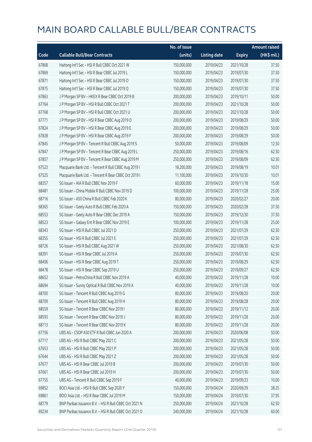|       |                                                        | No. of issue |                     |               | <b>Amount raised</b> |
|-------|--------------------------------------------------------|--------------|---------------------|---------------|----------------------|
| Code  | <b>Callable Bull/Bear Contracts</b>                    | (units)      | <b>Listing date</b> | <b>Expiry</b> | (HK\$ mil.)          |
| 67868 | Haitong Int'l Sec - HSI R Bull CBBC Oct 2021 W         | 150,000,000  | 2019/04/23          | 2021/10/28    | 37.50                |
| 67869 | Haitong Int'l Sec - HSI R Bear CBBC Jul 2019 L         | 150,000,000  | 2019/04/23          | 2019/07/30    | 37.50                |
| 67871 | Haitong Int'l Sec - HSI R Bear CBBC Jul 2019 O         | 150,000,000  | 2019/04/23          | 2019/07/30    | 37.50                |
| 67875 | Haitong Int'l Sec - HSI R Bear CBBC Jul 2019 Q         | 150,000,000  | 2019/04/23          | 2019/07/30    | 37.50                |
| 67863 | J P Morgan SP BV - HKEX R Bear CBBC Oct 2019 B         | 200,000,000  | 2019/04/23          | 2019/10/11    | 50.00                |
| 67764 | JP Morgan SP BV - HSIR Bull CBBC Oct 2021 T            | 200,000,000  | 2019/04/23          | 2021/10/28    | 50.00                |
| 67768 | J P Morgan SP BV - HSI R Bull CBBC Oct 2021 U          | 200,000,000  | 2019/04/23          | 2021/10/28    | 50.00                |
| 67771 | J P Morgan SP BV - HSI R Bear CBBC Aug 2019 D          | 200,000,000  | 2019/04/23          | 2019/08/29    | 50.00                |
| 67824 | J P Morgan SP BV - HSI R Bear CBBC Aug 2019 E          | 200,000,000  | 2019/04/23          | 2019/08/29    | 50.00                |
| 67828 | J P Morgan SP BV - HSI R Bear CBBC Aug 2019 F          | 200,000,000  | 2019/04/23          | 2019/08/29    | 50.00                |
| 67845 | J P Morgan SP BV - Tencent R Bull CBBC Aug 2019 S      | 50,000,000   | 2019/04/23          | 2019/08/09    | 12.50                |
| 67847 | J P Morgan SP BV - Tencent R Bear CBBC Aug 2019 L      | 250,000,000  | 2019/04/23          | 2019/08/16    | 62.50                |
| 67857 | J P Morgan SP BV - Tencent R Bear CBBC Aug 2019 M      | 250,000,000  | 2019/04/23          | 2019/08/09    | 62.50                |
| 67523 | Macquarie Bank Ltd. - Tencent R Bull CBBC Aug 2019 I   | 18,200,000   | 2019/04/23          | 2019/08/19    | 10.01                |
| 67525 | Macquarie Bank Ltd. - Tencent R Bear CBBC Oct 2019 I   | 11,100,000   | 2019/04/23          | 2019/10/30    | 10.01                |
| 68357 | SG Issuer - AIA R Bull CBBC Nov 2019 F                 | 60,000,000   | 2019/04/23          | 2019/11/18    | 15.00                |
| 68481 | SG Issuer - China Mobile R Bull CBBC Nov 2019 D        | 100,000,000  | 2019/04/23          | 2019/11/28    | 25.00                |
| 68716 | SG Issuer - A50 China R Bull CBBC Feb 2020 K           | 80,000,000   | 2019/04/23          | 2020/02/27    | 20.00                |
| 68365 | SG Issuer - Geely Auto R Bull CBBC Feb 2020 A          | 150,000,000  | 2019/04/23          | 2020/02/28    | 37.50                |
| 68553 | SG Issuer - Geely Auto R Bear CBBC Dec 2019 A          | 150,000,000  | 2019/04/23          | 2019/12/30    | 37.50                |
| 68523 | SG Issuer - Galaxy Ent R Bear CBBC Nov 2019 E          | 100,000,000  | 2019/04/23          | 2019/11/28    | 25.00                |
| 68343 | SG Issuer - HSI R Bull CBBC Jul 2021 D                 | 250,000,000  | 2019/04/23          | 2021/07/29    | 62.50                |
| 68355 | SG Issuer - HSI R Bull CBBC Jul 2021 E                 | 250,000,000  | 2019/04/23          | 2021/07/29    | 62.50                |
| 68726 | SG Issuer - HSI R Bull CBBC Aug 2021 W                 | 250,000,000  | 2019/04/23          | 2021/08/30    | 62.50                |
| 68391 | SG Issuer - HSI R Bear CBBC Jul 2019 A                 | 250,000,000  | 2019/04/23          | 2019/07/30    | 62.50                |
| 68406 | SG Issuer - HSI R Bear CBBC Aug 2019 T                 | 250,000,000  | 2019/04/23          | 2019/08/29    | 62.50                |
| 68478 | SG Issuer - HSI R Bear CBBC Sep 2019 U                 | 250,000,000  | 2019/04/23          | 2019/09/27    | 62.50                |
| 68652 | SG Issuer - PetroChina R Bull CBBC Nov 2019 A          | 40,000,000   | 2019/04/23          | 2019/11/28    | 10.00                |
| 68694 | SG Issuer - Sunny Optical R Bull CBBC Nov 2019 A       | 40,000,000   | 2019/04/23          | 2019/11/28    | 10.00                |
| 68700 | SG Issuer - Tencent R Bull CBBC Aug 2019 G             | 80,000,000   | 2019/04/23          | 2019/08/20    | 20.00                |
| 68709 | SG Issuer - Tencent R Bull CBBC Aug 2019 H             | 80,000,000   | 2019/04/23          | 2019/08/28    | 20.00                |
| 68559 | SG Issuer - Tencent R Bear CBBC Nov 2019 I             | 80,000,000   | 2019/04/23          | 2019/11/12    | 20.00                |
| 68593 | SG Issuer - Tencent R Bear CBBC Nov 2019 J             | 80,000,000   | 2019/04/23          | 2019/11/28    | 20.00                |
| 68713 | SG Issuer - Tencent R Bear CBBC Nov 2019 K             | 80,000,000   | 2019/04/23          | 2019/11/28    | 20.00                |
| 67756 | UBS AG - CSOP A50 ETF R Bull CBBC Jun 2020 A           | 200,000,000  | 2019/04/23          | 2020/06/08    | 50.00                |
| 67717 | UBS AG - HSI R Bull CBBC May 2021 C                    | 200,000,000  | 2019/04/23          | 2021/05/28    | 50.00                |
| 67653 | UBS AG - HSI R Bull CBBC May 2021 P                    | 200,000,000  | 2019/04/23          | 2021/05/28    | 50.00                |
| 67644 | UBS AG - HSI R Bull CBBC May 2021 Z                    | 200,000,000  | 2019/04/23          | 2021/05/28    | 50.00                |
| 67677 | UBS AG - HSI R Bear CBBC Jul 2019 B                    | 200,000,000  | 2019/04/23          | 2019/07/30    | 50.00                |
| 67661 | UBS AG - HSI R Bear CBBC Jul 2019 H                    | 200,000,000  | 2019/04/23          | 2019/07/30    | 50.00                |
| 67755 | UBS AG - Tencent R Bull CBBC Sep 2019 F                | 40,000,000   | 2019/04/23          | 2019/09/23    | 10.00                |
| 69852 | BOCI Asia Ltd. - HSI R Bull CBBC Sep 2020 Y            | 150,000,000  | 2019/04/24          | 2020/09/29    | 38.25                |
| 69861 | BOCI Asia Ltd. - HSI R Bear CBBC Jul 2019 M            | 150,000,000  | 2019/04/24          | 2019/07/30    | 37.95                |
| 68779 | BNP Paribas Issuance B.V. - HSI R Bull CBBC Oct 2021 N | 250,000,000  | 2019/04/24          | 2021/10/28    | 62.50                |
| 69234 | BNP Paribas Issuance B.V. - HSI R Bull CBBC Oct 2021 O | 240,000,000  | 2019/04/24          | 2021/10/28    | 60.00                |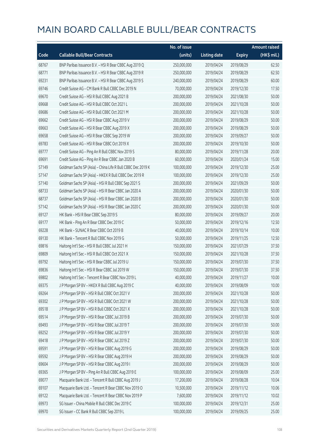|       |                                                             | No. of issue |                     |               | <b>Amount raised</b>  |
|-------|-------------------------------------------------------------|--------------|---------------------|---------------|-----------------------|
| Code  | <b>Callable Bull/Bear Contracts</b>                         | (units)      | <b>Listing date</b> | <b>Expiry</b> | $(HK\frac{1}{2}mil.)$ |
| 68767 | BNP Paribas Issuance B.V. - HSI R Bear CBBC Aug 2019 Q      | 250,000,000  | 2019/04/24          | 2019/08/29    | 62.50                 |
| 68771 | BNP Paribas Issuance B.V. - HSI R Bear CBBC Aug 2019 R      | 250,000,000  | 2019/04/24          | 2019/08/29    | 62.50                 |
| 69231 | BNP Paribas Issuance B.V. - HSI R Bear CBBC Aug 2019 S      | 240,000,000  | 2019/04/24          | 2019/08/29    | 60.00                 |
| 69746 | Credit Suisse AG - CM Bank R Bull CBBC Dec 2019 N           | 70,000,000   | 2019/04/24          | 2019/12/30    | 17.50                 |
| 69670 | Credit Suisse AG - HSI R Bull CBBC Aug 2021 B               | 200,000,000  | 2019/04/24          | 2021/08/30    | 50.00                 |
| 69668 | Credit Suisse AG - HSI R Bull CBBC Oct 2021 L               | 200,000,000  | 2019/04/24          | 2021/10/28    | 50.00                 |
| 69686 | Credit Suisse AG - HSI R Bull CBBC Oct 2021 M               | 200,000,000  | 2019/04/24          | 2021/10/28    | 50.00                 |
| 69662 | Credit Suisse AG - HSI R Bear CBBC Aug 2019 V               | 200,000,000  | 2019/04/24          | 2019/08/29    | 50.00                 |
| 69663 | Credit Suisse AG - HSI R Bear CBBC Aug 2019 X               | 200,000,000  | 2019/04/24          | 2019/08/29    | 50.00                 |
| 69658 | Credit Suisse AG - HSI R Bear CBBC Sep 2019 W               | 200,000,000  | 2019/04/24          | 2019/09/27    | 50.00                 |
| 69783 | Credit Suisse AG - HSI R Bear CBBC Oct 2019 X               | 200,000,000  | 2019/04/24          | 2019/10/30    | 50.00                 |
| 69777 | Credit Suisse AG - Ping An R Bull CBBC Nov 2019 S           | 80,000,000   | 2019/04/24          | 2019/11/28    | 20.00                 |
| 69691 | Credit Suisse AG - Ping An R Bear CBBC Jan 2020 B           | 60,000,000   | 2019/04/24          | 2020/01/24    | 15.00                 |
| 57149 | Goldman Sachs SP (Asia) - China Life R Bull CBBC Dec 2019 K | 100,000,000  | 2019/04/24          | 2019/12/30    | 25.00                 |
| 57147 | Goldman Sachs SP (Asia) - HKEX R Bull CBBC Dec 2019 R       | 100,000,000  | 2019/04/24          | 2019/12/30    | 25.00                 |
| 57140 | Goldman Sachs SP (Asia) - HSI R Bull CBBC Sep 2021 S        | 200,000,000  | 2019/04/24          | 2021/09/29    | 50.00                 |
| 68733 | Goldman Sachs SP (Asia) - HSI R Bear CBBC Jan 2020 A        | 200,000,000  | 2019/04/24          | 2020/01/30    | 50.00                 |
| 68737 | Goldman Sachs SP (Asia) - HSI R Bear CBBC Jan 2020 B        | 200,000,000  | 2019/04/24          | 2020/01/30    | 50.00                 |
| 57142 | Goldman Sachs SP (Asia) - HSI R Bear CBBC Jan 2020 C        | 200,000,000  | 2019/04/24          | 2020/01/30    | 50.00                 |
| 69127 | HK Bank - HSI R Bear CBBC Sep 2019 S                        | 80,000,000   | 2019/04/24          | 2019/09/27    | 20.00                 |
| 69177 | HK Bank - Ping An R Bear CBBC Dec 2019 C                    | 50,000,000   | 2019/04/24          | 2019/12/16    | 12.50                 |
| 69228 | HK Bank - SUNAC R Bear CBBC Oct 2019 B                      | 40,000,000   | 2019/04/24          | 2019/10/14    | 10.00                 |
| 69130 | HK Bank - Tencent R Bull CBBC Nov 2019 G                    | 50,000,000   | 2019/04/24          | 2019/11/25    | 12.50                 |
| 69816 | Haitong Int'l Sec - HSI R Bull CBBC Jul 2021 H              | 150,000,000  | 2019/04/24          | 2021/07/29    | 37.50                 |
| 69809 | Haitong Int'l Sec - HSI R Bull CBBC Oct 2021 X              | 150,000,000  | 2019/04/24          | 2021/10/28    | 37.50                 |
| 69792 | Haitong Int'l Sec - HSI R Bear CBBC Jul 2019 U              | 150,000,000  | 2019/04/24          | 2019/07/30    | 37.50                 |
| 69836 | Haitong Int'l Sec - HSI R Bear CBBC Jul 2019 W              | 150,000,000  | 2019/04/24          | 2019/07/30    | 37.50                 |
| 69802 | Haitong Int'l Sec - Tencent R Bear CBBC Nov 2019 L          | 40,000,000   | 2019/04/24          | 2019/11/27    | 10.00                 |
| 69375 | J P Morgan SP BV - HKEX R Bull CBBC Aug 2019 C              | 40,000,000   | 2019/04/24          | 2019/08/09    | 10.00                 |
| 69264 | J P Morgan SP BV - HSI R Bull CBBC Oct 2021 V               | 200,000,000  | 2019/04/24          | 2021/10/28    | 50.00                 |
| 69302 | J P Morgan SP BV - HSI R Bull CBBC Oct 2021 W               | 200,000,000  | 2019/04/24          | 2021/10/28    | 50.00                 |
| 69518 | J P Morgan SP BV - HSI R Bull CBBC Oct 2021 X               | 200,000,000  | 2019/04/24          | 2021/10/28    | 50.00                 |
| 69514 | J P Morgan SP BV - HSI R Bear CBBC Jul 2019 B               | 200,000,000  | 2019/04/24          | 2019/07/30    | 50.00                 |
| 69493 | J P Morgan SP BV - HSI R Bear CBBC Jul 2019 T               | 200,000,000  | 2019/04/24          | 2019/07/30    | 50.00                 |
| 69252 | J P Morgan SP BV - HSI R Bear CBBC Jul 2019 Y               | 200,000,000  | 2019/04/24          | 2019/07/30    | 50.00                 |
| 69418 | J P Morgan SP BV - HSI R Bear CBBC Jul 2019 Z               | 200,000,000  | 2019/04/24          | 2019/07/30    | 50.00                 |
| 69591 | J P Morgan SP BV - HSI R Bear CBBC Aug 2019 G               | 200,000,000  | 2019/04/24          | 2019/08/29    | 50.00                 |
| 69592 | J P Morgan SP BV - HSI R Bear CBBC Aug 2019 H               | 200,000,000  | 2019/04/24          | 2019/08/29    | 50.00                 |
| 69604 | JP Morgan SP BV - HSIR Bear CBBC Aug 2019 I                 | 200,000,000  | 2019/04/24          | 2019/08/29    | 50.00                 |
| 69365 | J P Morgan SP BV - Ping An R Bull CBBC Aug 2019 E           | 100,000,000  | 2019/04/24          | 2019/08/09    | 25.00                 |
| 69077 | Macquarie Bank Ltd. - Tencent R Bull CBBC Aug 2019 J        | 17,200,000   | 2019/04/24          | 2019/08/28    | 10.04                 |
| 69107 | Macquarie Bank Ltd. - Tencent R Bear CBBC Nov 2019 O        | 10,500,000   | 2019/04/24          | 2019/11/12    | 10.06                 |
| 69122 | Macquarie Bank Ltd. - Tencent R Bear CBBC Nov 2019 P        | 7,600,000    | 2019/04/24          | 2019/11/12    | 10.02                 |
| 69973 | SG Issuer - China Mobile R Bull CBBC Dec 2019 C             | 100,000,000  | 2019/04/24          | 2019/12/31    | 25.00                 |
| 69970 | SG Issuer - CC Bank R Bull CBBC Sep 2019 L                  | 100,000,000  | 2019/04/24          | 2019/09/25    | 25.00                 |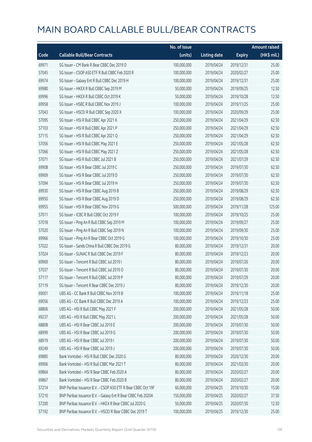|       |                                                              | No. of issue |                     |               | <b>Amount raised</b> |
|-------|--------------------------------------------------------------|--------------|---------------------|---------------|----------------------|
| Code  | <b>Callable Bull/Bear Contracts</b>                          | (units)      | <b>Listing date</b> | <b>Expiry</b> | (HK\$ mil.)          |
| 69971 | SG Issuer - CM Bank R Bear CBBC Dec 2019 D                   | 100,000,000  | 2019/04/24          | 2019/12/31    | 25.00                |
| 57045 | SG Issuer - CSOP A50 ETF R Bull CBBC Feb 2020 R              | 100,000,000  | 2019/04/24          | 2020/02/27    | 25.00                |
| 69974 | SG Issuer - Galaxy Ent R Bull CBBC Dec 2019 H                | 100,000,000  | 2019/04/24          | 2019/12/31    | 25.00                |
| 69980 | SG Issuer - HKEX R Bull CBBC Sep 2019 M                      | 50,000,000   | 2019/04/24          | 2019/09/25    | 12.50                |
| 69996 | SG Issuer - HKEX R Bull CBBC Oct 2019 K                      | 50,000,000   | 2019/04/24          | 2019/10/28    | 12.50                |
| 69958 | SG Issuer - HSBC R Bull CBBC Nov 2019 J                      | 100,000,000  | 2019/04/24          | 2019/11/25    | 25.00                |
| 57043 | SG Issuer - HSCEI R Bull CBBC Sep 2020 X                     | 100,000,000  | 2019/04/24          | 2020/09/29    | 25.00                |
| 57095 | SG Issuer - HSI R Bull CBBC Apr 2021 K                       | 250,000,000  | 2019/04/24          | 2021/04/29    | 62.50                |
| 57103 | SG Issuer - HSI R Bull CBBC Apr 2021 P                       | 250,000,000  | 2019/04/24          | 2021/04/29    | 62.50                |
| 57115 | SG Issuer - HSI R Bull CBBC Apr 2021 Q                       | 250,000,000  | 2019/04/24          | 2021/04/29    | 62.50                |
| 57056 | SG Issuer - HSI R Bull CBBC May 2021 E                       | 250,000,000  | 2019/04/24          | 2021/05/28    | 62.50                |
| 57066 | SG Issuer - HSI R Bull CBBC May 2021 Z                       | 250,000,000  | 2019/04/24          | 2021/05/28    | 62.50                |
| 57071 | SG Issuer - HSI R Bull CBBC Jul 2021 B                       | 250,000,000  | 2019/04/24          | 2021/07/29    | 62.50                |
| 69908 | SG Issuer - HSI R Bear CBBC Jul 2019 C                       | 250,000,000  | 2019/04/24          | 2019/07/30    | 62.50                |
| 69909 | SG Issuer - HSI R Bear CBBC Jul 2019 D                       | 250,000,000  | 2019/04/24          | 2019/07/30    | 62.50                |
| 57094 | SG Issuer - HSI R Bear CBBC Jul 2019 H                       | 250,000,000  | 2019/04/24          | 2019/07/30    | 62.50                |
| 69930 | SG Issuer - HSI R Bear CBBC Aug 2019 B                       | 250,000,000  | 2019/04/24          | 2019/08/29    | 62.50                |
| 69950 | SG Issuer - HSI R Bear CBBC Aug 2019 D                       | 250,000,000  | 2019/04/24          | 2019/08/29    | 62.50                |
| 69955 | SG Issuer - HSI R Bear CBBC Nov 2019 G                       | 500,000,000  | 2019/04/24          | 2019/11/28    | 125.00               |
| 57011 | SG Issuer - ICBC R Bull CBBC Oct 2019 F                      | 100,000,000  | 2019/04/24          | 2019/10/25    | 25.00                |
| 57018 | SG Issuer - Ping An R Bull CBBC Sep 2019 M                   | 100,000,000  | 2019/04/24          | 2019/09/27    | 25.00                |
| 57020 | SG Issuer - Ping An R Bull CBBC Sep 2019 N                   | 100,000,000  | 2019/04/24          | 2019/09/30    | 25.00                |
| 69966 | SG Issuer - Ping An R Bear CBBC Oct 2019 G                   | 100,000,000  | 2019/04/24          | 2019/10/30    | 25.00                |
| 57022 | SG Issuer - Sands China R Bull CBBC Dec 2019 G               | 80,000,000   | 2019/04/24          | 2019/12/31    | 20.00                |
| 57024 | SG Issuer - SUNAC R Bull CBBC Dec 2019 F                     | 80,000,000   | 2019/04/24          | 2019/12/23    | 20.00                |
| 69969 | SG Issuer - Tencent R Bull CBBC Jul 2019 I                   | 80,000,000   | 2019/04/24          | 2019/07/26    | 20.00                |
| 57037 | SG Issuer - Tencent R Bull CBBC Jul 2019 O                   | 80,000,000   | 2019/04/24          | 2019/07/30    | 20.00                |
| 57117 | SG Issuer - Tencent R Bull CBBC Jul 2019 P                   | 80,000,000   | 2019/04/24          | 2019/07/29    | 20.00                |
| 57119 | SG Issuer - Tencent R Bear CBBC Dec 2019 J                   | 80,000,000   | 2019/04/24          | 2019/12/30    | 20.00                |
| 69001 | UBS AG - CC Bank R Bull CBBC Nov 2019 B                      | 100,000,000  | 2019/04/24          | 2019/11/18    | 25.00                |
| 69056 | UBS AG - CC Bank R Bull CBBC Dec 2019 A                      | 100,000,000  | 2019/04/24          | 2019/12/23    | 25.00                |
| 68806 | UBS AG - HSI R Bull CBBC May 2021 F                          | 200,000,000  | 2019/04/24          | 2021/05/28    | 50.00                |
| 69237 | UBS AG - HSI R Bull CBBC May 2021 L                          | 200,000,000  | 2019/04/24          | 2021/05/28    | 50.00                |
| 68808 | UBS AG - HSI R Bear CBBC Jul 2019 E                          | 200,000,000  | 2019/04/24          | 2019/07/30    | 50.00                |
| 68999 | UBS AG - HSI R Bear CBBC Jul 2019 G                          | 200,000,000  | 2019/04/24          | 2019/07/30    | 50.00                |
| 68919 | UBS AG - HSI R Bear CBBC Jul 2019 I                          | 200,000,000  | 2019/04/24          | 2019/07/30    | 50.00                |
| 69249 | UBS AG - HSI R Bear CBBC Jul 2019 J                          | 200,000,000  | 2019/04/24          | 2019/07/30    | 50.00                |
| 69885 | Bank Vontobel - HSI R Bull CBBC Dec 2020 G                   | 80,000,000   | 2019/04/24          | 2020/12/30    | 20.00                |
| 69906 | Bank Vontobel - HSI R Bull CBBC Mar 2021 T                   | 80,000,000   | 2019/04/24          | 2021/03/30    | 20.00                |
| 69864 | Bank Vontobel - HSI R Bear CBBC Feb 2020 A                   | 80,000,000   | 2019/04/24          | 2020/02/27    | 20.00                |
| 69867 | Bank Vontobel - HSI R Bear CBBC Feb 2020 B                   | 80,000,000   | 2019/04/24          | 2020/02/27    | 20.00                |
| 57214 | BNP Paribas Issuance B.V. - CSOP A50 ETF R Bear CBBC Oct 19F | 60,000,000   | 2019/04/25          | 2019/10/30    | 15.00                |
| 57210 | BNP Paribas Issuance B.V. - Galaxy Ent R Bear CBBC Feb 2020A | 150,000,000  | 2019/04/25          | 2020/02/27    | 37.50                |
| 57200 | BNP Paribas Issuance B.V. - HKEX R Bear CBBC Jul 2020 G      | 50,000,000   | 2019/04/25          | 2020/07/30    | 12.50                |
| 57192 | BNP Paribas Issuance B.V. - HSCEI R Bear CBBC Dec 2019 T     | 100,000,000  | 2019/04/25          | 2019/12/30    | 25.00                |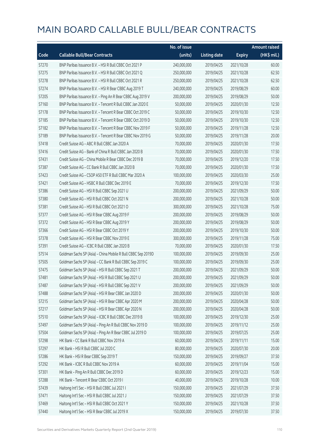|       |                                                              | No. of issue |                     |               | <b>Amount raised</b>  |
|-------|--------------------------------------------------------------|--------------|---------------------|---------------|-----------------------|
| Code  | <b>Callable Bull/Bear Contracts</b>                          | (units)      | <b>Listing date</b> | <b>Expiry</b> | $(HK\frac{1}{2}mil.)$ |
| 57270 | BNP Paribas Issuance B.V. - HSI R Bull CBBC Oct 2021 P       | 240,000,000  | 2019/04/25          | 2021/10/28    | 60.00                 |
| 57275 | BNP Paribas Issuance B.V. - HSI R Bull CBBC Oct 2021 Q       | 250,000,000  | 2019/04/25          | 2021/10/28    | 62.50                 |
| 57278 | BNP Paribas Issuance B.V. - HSI R Bull CBBC Oct 2021 R       | 250,000,000  | 2019/04/25          | 2021/10/28    | 62.50                 |
| 57274 | BNP Paribas Issuance B.V. - HSI R Bear CBBC Aug 2019 T       | 240,000,000  | 2019/04/25          | 2019/08/29    | 60.00                 |
| 57205 | BNP Paribas Issuance B.V. - Ping An R Bear CBBC Aug 2019 V   | 200,000,000  | 2019/04/25          | 2019/08/29    | 50.00                 |
| 57160 | BNP Paribas Issuance B.V. - Tencent R Bull CBBC Jan 2020 E   | 50,000,000   | 2019/04/25          | 2020/01/30    | 12.50                 |
| 57178 | BNP Paribas Issuance B.V. - Tencent R Bear CBBC Oct 2019 C   | 50,000,000   | 2019/04/25          | 2019/10/30    | 12.50                 |
| 57185 | BNP Paribas Issuance B.V. - Tencent R Bear CBBC Oct 2019 D   | 50,000,000   | 2019/04/25          | 2019/10/30    | 12.50                 |
| 57182 | BNP Paribas Issuance B.V. - Tencent R Bear CBBC Nov 2019 F   | 50,000,000   | 2019/04/25          | 2019/11/28    | 12.50                 |
| 57189 | BNP Paribas Issuance B.V. - Tencent R Bear CBBC Nov 2019 G   | 50,000,000   | 2019/04/25          | 2019/11/28    | 20.00                 |
| 57418 | Credit Suisse AG - ABC R Bull CBBC Jan 2020 A                | 70,000,000   | 2019/04/25          | 2020/01/30    | 17.50                 |
| 57416 | Credit Suisse AG - Bank of China R Bull CBBC Jan 2020 B      | 70,000,000   | 2019/04/25          | 2020/01/30    | 17.50                 |
| 57431 | Credit Suisse AG - China Mobile R Bear CBBC Dec 2019 B       | 70,000,000   | 2019/04/25          | 2019/12/20    | 17.50                 |
| 57387 | Credit Suisse AG - CC Bank R Bull CBBC Jan 2020 B            | 70,000,000   | 2019/04/25          | 2020/01/30    | 17.50                 |
| 57423 | Credit Suisse AG - CSOP A50 ETF R Bull CBBC Mar 2020 A       | 100,000,000  | 2019/04/25          | 2020/03/30    | 25.00                 |
| 57421 | Credit Suisse AG - HSBC R Bull CBBC Dec 2019 E               | 70,000,000   | 2019/04/25          | 2019/12/30    | 17.50                 |
| 57386 | Credit Suisse AG - HSI R Bull CBBC Sep 2021 U                | 200,000,000  | 2019/04/25          | 2021/09/29    | 50.00                 |
| 57380 | Credit Suisse AG - HSI R Bull CBBC Oct 2021 N                | 200,000,000  | 2019/04/25          | 2021/10/28    | 50.00                 |
| 57381 | Credit Suisse AG - HSI R Bull CBBC Oct 2021 O                | 300,000,000  | 2019/04/25          | 2021/10/28    | 75.00                 |
| 57377 | Credit Suisse AG - HSI R Bear CBBC Aug 2019 F                | 200,000,000  | 2019/04/25          | 2019/08/29    | 50.00                 |
| 57372 | Credit Suisse AG - HSI R Bear CBBC Aug 2019 Y                | 200,000,000  | 2019/04/25          | 2019/08/29    | 50.00                 |
| 57366 | Credit Suisse AG - HSI R Bear CBBC Oct 2019 Y                | 200,000,000  | 2019/04/25          | 2019/10/30    | 50.00                 |
| 57378 | Credit Suisse AG - HSI R Bear CBBC Nov 2019 E                | 300,000,000  | 2019/04/25          | 2019/11/28    | 75.00                 |
| 57391 | Credit Suisse AG - ICBC R Bull CBBC Jan 2020 B               | 70,000,000   | 2019/04/25          | 2020/01/30    | 17.50                 |
| 57514 | Goldman Sachs SP (Asia) - China Mobile R Bull CBBC Sep 2019D | 100,000,000  | 2019/04/25          | 2019/09/30    | 25.00                 |
| 57505 | Goldman Sachs SP (Asia) - CC Bank R Bull CBBC Sep 2019 C     | 100,000,000  | 2019/04/25          | 2019/09/30    | 25.00                 |
| 57475 | Goldman Sachs SP (Asia) - HSI R Bull CBBC Sep 2021 T         | 200,000,000  | 2019/04/25          | 2021/09/29    | 50.00                 |
| 57481 | Goldman Sachs SP (Asia) - HSI R Bull CBBC Sep 2021 U         | 200,000,000  | 2019/04/25          | 2021/09/29    | 50.00                 |
| 57487 | Goldman Sachs SP (Asia) - HSI R Bull CBBC Sep 2021 V         | 200,000,000  | 2019/04/25          | 2021/09/29    | 50.00                 |
| 57488 | Goldman Sachs SP (Asia) - HSI R Bear CBBC Jan 2020 D         | 200,000,000  | 2019/04/25          | 2020/01/30    | 50.00                 |
| 57215 | Goldman Sachs SP (Asia) - HSI R Bear CBBC Apr 2020 M         | 200,000,000  | 2019/04/25          | 2020/04/28    | 50.00                 |
| 57217 | Goldman Sachs SP (Asia) - HSI R Bear CBBC Apr 2020 N         | 200,000,000  | 2019/04/25          | 2020/04/28    | 50.00                 |
| 57510 | Goldman Sachs SP (Asia) - ICBC R Bull CBBC Dec 2019 B        | 100,000,000  | 2019/04/25          | 2019/12/30    | 25.00                 |
| 57497 | Goldman Sachs SP (Asia) - Ping An R Bull CBBC Nov 2019 D     | 100,000,000  | 2019/04/25          | 2019/11/12    | 25.00                 |
| 57504 | Goldman Sachs SP (Asia) - Ping An R Bear CBBC Jul 2019 D     | 100,000,000  | 2019/04/25          | 2019/07/25    | 25.00                 |
| 57298 | HK Bank - CC Bank R Bull CBBC Nov 2019 A                     | 60,000,000   | 2019/04/25          | 2019/11/11    | 15.00                 |
| 57297 | HK Bank - HSI R Bull CBBC Jul 2020 C                         | 80,000,000   | 2019/04/25          | 2020/07/30    | 20.00                 |
| 57286 | HK Bank - HSI R Bear CBBC Sep 2019 T                         | 150,000,000  | 2019/04/25          | 2019/09/27    | 37.50                 |
| 57292 | HK Bank - ICBC R Bull CBBC Nov 2019 A                        | 60,000,000   | 2019/04/25          | 2019/11/04    | 15.00                 |
| 57301 | HK Bank - Ping An R Bull CBBC Dec 2019 D                     | 60,000,000   | 2019/04/25          | 2019/12/23    | 15.00                 |
| 57288 | HK Bank - Tencent R Bear CBBC Oct 2019 I                     | 40,000,000   | 2019/04/25          | 2019/10/28    | 10.00                 |
| 57439 | Haitong Int'l Sec - HSI R Bull CBBC Jul 2021 I               | 150,000,000  | 2019/04/25          | 2021/07/29    | 37.50                 |
| 57471 | Haitong Int'l Sec - HSI R Bull CBBC Jul 2021 J               | 150,000,000  | 2019/04/25          | 2021/07/29    | 37.50                 |
| 57469 | Haitong Int'l Sec - HSI R Bull CBBC Oct 2021 Y               | 150,000,000  | 2019/04/25          | 2021/10/28    | 37.50                 |
| 57440 | Haitong Int'l Sec - HSI R Bear CBBC Jul 2019 X               | 150,000,000  | 2019/04/25          | 2019/07/30    | 37.50                 |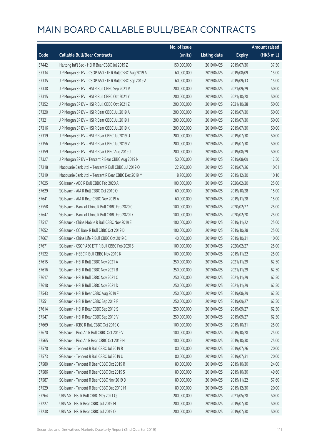|       |                                                        | No. of issue |                     |               | <b>Amount raised</b> |
|-------|--------------------------------------------------------|--------------|---------------------|---------------|----------------------|
| Code  | <b>Callable Bull/Bear Contracts</b>                    | (units)      | <b>Listing date</b> | <b>Expiry</b> | (HK\$ mil.)          |
| 57442 | Haitong Int'l Sec - HSI R Bear CBBC Jul 2019 Z         | 150,000,000  | 2019/04/25          | 2019/07/30    | 37.50                |
| 57334 | J P Morgan SP BV - CSOP A50 ETF R Bull CBBC Aug 2019 A | 60,000,000   | 2019/04/25          | 2019/08/09    | 15.00                |
| 57335 | J P Morgan SP BV - CSOP A50 ETF R Bull CBBC Sep 2019 A | 60,000,000   | 2019/04/25          | 2019/09/13    | 15.00                |
| 57338 | J P Morgan SP BV - HSI R Bull CBBC Sep 2021 V          | 200,000,000  | 2019/04/25          | 2021/09/29    | 50.00                |
| 57315 | J P Morgan SP BV - HSI R Bull CBBC Oct 2021 Y          | 200,000,000  | 2019/04/25          | 2021/10/28    | 50.00                |
| 57352 | JP Morgan SP BV - HSIR Bull CBBC Oct 2021 Z            | 200,000,000  | 2019/04/25          | 2021/10/28    | 50.00                |
| 57320 | J P Morgan SP BV - HSI R Bear CBBC Jul 2019 A          | 200,000,000  | 2019/04/25          | 2019/07/30    | 50.00                |
| 57321 | J P Morgan SP BV - HSI R Bear CBBC Jul 2019 J          | 200,000,000  | 2019/04/25          | 2019/07/30    | 50.00                |
| 57316 | J P Morgan SP BV - HSI R Bear CBBC Jul 2019 K          | 200,000,000  | 2019/04/25          | 2019/07/30    | 50.00                |
| 57319 | J P Morgan SP BV - HSI R Bear CBBC Jul 2019 U          | 200,000,000  | 2019/04/25          | 2019/07/30    | 50.00                |
| 57356 | J P Morgan SP BV - HSI R Bear CBBC Jul 2019 V          | 200,000,000  | 2019/04/25          | 2019/07/30    | 50.00                |
| 57359 | J P Morgan SP BV - HSI R Bear CBBC Aug 2019 J          | 200,000,000  | 2019/04/25          | 2019/08/29    | 50.00                |
| 57327 | J P Morgan SP BV - Tencent R Bear CBBC Aug 2019 N      | 50,000,000   | 2019/04/25          | 2019/08/09    | 12.50                |
| 57218 | Macquarie Bank Ltd. - Tencent R Bull CBBC Jul 2019 O   | 22,900,000   | 2019/04/25          | 2019/07/26    | 10.01                |
| 57219 | Macquarie Bank Ltd. - Tencent R Bear CBBC Dec 2019 M   | 8,700,000    | 2019/04/25          | 2019/12/30    | 10.10                |
| 57625 | SG Issuer - ABC R Bull CBBC Feb 2020 A                 | 100,000,000  | 2019/04/25          | 2020/02/20    | 25.00                |
| 57629 | SG Issuer - AIA R Bull CBBC Oct 2019 O                 | 60,000,000   | 2019/04/25          | 2019/10/28    | 15.00                |
| 57641 | SG Issuer - AIA R Bear CBBC Nov 2019 A                 | 60,000,000   | 2019/04/25          | 2019/11/28    | 15.00                |
| 57558 | SG Issuer - Bank of China R Bull CBBC Feb 2020 C       | 100,000,000  | 2019/04/25          | 2020/02/27    | 25.00                |
| 57647 | SG Issuer - Bank of China R Bull CBBC Feb 2020 D       | 100,000,000  | 2019/04/25          | 2020/02/20    | 25.00                |
| 57517 | SG Issuer - China Mobile R Bull CBBC Nov 2019 E        | 100,000,000  | 2019/04/25          | 2019/11/22    | 25.00                |
| 57652 | SG Issuer - CC Bank R Bull CBBC Oct 2019 D             | 100,000,000  | 2019/04/25          | 2019/10/28    | 25.00                |
| 57667 | SG Issuer - China Life R Bull CBBC Oct 2019 C          | 40,000,000   | 2019/04/25          | 2019/10/31    | 10.00                |
| 57671 | SG Issuer - CSOP A50 ETF R Bull CBBC Feb 2020 S        | 100,000,000  | 2019/04/25          | 2020/02/27    | 25.00                |
| 57522 | SG Issuer - HSBC R Bull CBBC Nov 2019 K                | 100,000,000  | 2019/04/25          | 2019/11/22    | 25.00                |
| 57615 | SG Issuer - HSI R Bull CBBC Nov 2021 A                 | 250,000,000  | 2019/04/25          | 2021/11/29    | 62.50                |
| 57616 | SG Issuer - HSI R Bull CBBC Nov 2021 B                 | 250,000,000  | 2019/04/25          | 2021/11/29    | 62.50                |
| 57617 | SG Issuer - HSI R Bull CBBC Nov 2021 C                 | 250,000,000  | 2019/04/25          | 2021/11/29    | 62.50                |
| 57618 | SG Issuer - HSI R Bull CBBC Nov 2021 D                 | 250,000,000  | 2019/04/25          | 2021/11/29    | 62.50                |
| 57543 | SG Issuer - HSI R Bear CBBC Aug 2019 F                 | 250,000,000  | 2019/04/25          | 2019/08/29    | 62.50                |
| 57551 | SG Issuer - HSI R Bear CBBC Sep 2019 F                 | 250,000,000  | 2019/04/25          | 2019/09/27    | 62.50                |
| 57614 | SG Issuer - HSI R Bear CBBC Sep 2019 S                 | 250,000,000  | 2019/04/25          | 2019/09/27    | 62.50                |
| 57547 | SG Issuer - HSI R Bear CBBC Sep 2019 V                 | 250,000,000  | 2019/04/25          | 2019/09/27    | 62.50                |
| 57669 | SG Issuer - ICBC R Bull CBBC Oct 2019 G                | 100,000,000  | 2019/04/25          | 2019/10/31    | 25.00                |
| 57670 | SG Issuer - Ping An R Bull CBBC Oct 2019 V             | 100,000,000  | 2019/04/25          | 2019/10/28    | 25.00                |
| 57565 | SG Issuer - Ping An R Bear CBBC Oct 2019 H             | 100,000,000  | 2019/04/25          | 2019/10/30    | 25.00                |
| 57570 | SG Issuer - Tencent R Bull CBBC Jul 2019 R             | 80,000,000   | 2019/04/25          | 2019/07/26    | 20.00                |
| 57573 | SG Issuer - Tencent R Bull CBBC Jul 2019 U             | 80,000,000   | 2019/04/25          | 2019/07/31    | 20.00                |
| 57580 | SG Issuer - Tencent R Bear CBBC Oct 2019 R             | 80,000,000   | 2019/04/25          | 2019/10/30    | 24.00                |
| 57586 | SG Issuer - Tencent R Bear CBBC Oct 2019 S             | 80,000,000   | 2019/04/25          | 2019/10/30    | 49.60                |
| 57587 | SG Issuer - Tencent R Bear CBBC Nov 2019 D             | 80,000,000   | 2019/04/25          | 2019/11/22    | 57.60                |
| 57529 | SG Issuer - Tencent R Bear CBBC Dec 2019 M             | 80,000,000   | 2019/04/25          | 2019/12/30    | 20.00                |
| 57264 | UBS AG - HSI R Bull CBBC May 2021 Q                    | 200,000,000  | 2019/04/25          | 2021/05/28    | 50.00                |
| 57227 | UBS AG - HSI R Bear CBBC Jul 2019 M                    | 200,000,000  | 2019/04/25          | 2019/07/30    | 50.00                |
| 57238 | UBS AG - HSI R Bear CBBC Jul 2019 O                    | 200,000,000  | 2019/04/25          | 2019/07/30    | 50.00                |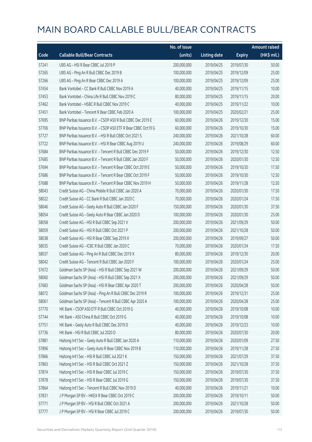|       |                                                              | No. of issue |                     |               | <b>Amount raised</b> |
|-------|--------------------------------------------------------------|--------------|---------------------|---------------|----------------------|
| Code  | <b>Callable Bull/Bear Contracts</b>                          | (units)      | <b>Listing date</b> | <b>Expiry</b> | (HK\$ mil.)          |
| 57241 | UBS AG - HSI R Bear CBBC Jul 2019 P                          | 200,000,000  | 2019/04/25          | 2019/07/30    | 50.00                |
| 57265 | UBS AG - Ping An R Bull CBBC Dec 2019 B                      | 100,000,000  | 2019/04/25          | 2019/12/09    | 25.00                |
| 57266 | UBS AG - Ping An R Bear CBBC Dec 2019 A                      | 100,000,000  | 2019/04/25          | 2019/12/09    | 25.00                |
| 57454 | Bank Vontobel - CC Bank R Bull CBBC Nov 2019 A               | 40,000,000   | 2019/04/25          | 2019/11/15    | 10.00                |
| 57453 | Bank Vontobel - China Life R Bull CBBC Nov 2019 C            | 80,000,000   | 2019/04/25          | 2019/11/15    | 20.00                |
| 57462 | Bank Vontobel - HSBC R Bull CBBC Nov 2019 C                  | 40,000,000   | 2019/04/25          | 2019/11/22    | 10.00                |
| 57451 | Bank Vontobel - Tencent R Bear CBBC Feb 2020 A               | 100,000,000  | 2019/04/25          | 2020/02/21    | 25.00                |
| 57695 | BNP Paribas Issuance B.V. - CSOP A50 R Bull CBBC Dec 2019 E  | 60,000,000   | 2019/04/26          | 2019/12/30    | 15.00                |
| 57706 | BNP Paribas Issuance B.V. - CSOP A50 ETF R Bear CBBC Oct19 G | 60,000,000   | 2019/04/26          | 2019/10/30    | 15.00                |
| 57727 | BNP Paribas Issuance B.V. - HSI R Bull CBBC Oct 2021 S       | 240,000,000  | 2019/04/26          | 2021/10/28    | 60.00                |
| 57722 | BNP Paribas Issuance B.V. - HSI R Bear CBBC Aug 2019 U       | 240,000,000  | 2019/04/26          | 2019/08/29    | 60.00                |
| 57684 | BNP Paribas Issuance B.V. - Tencent R Bull CBBC Dec 2019 F   | 50,000,000   | 2019/04/26          | 2019/12/30    | 12.50                |
| 57685 | BNP Paribas Issuance B.V. - Tencent R Bull CBBC Jan 2020 F   | 50,000,000   | 2019/04/26          | 2020/01/30    | 12.50                |
| 57694 | BNP Paribas Issuance B.V. - Tencent R Bear CBBC Oct 2019 E   | 50,000,000   | 2019/04/26          | 2019/10/30    | 17.50                |
| 57686 | BNP Paribas Issuance B.V. - Tencent R Bear CBBC Oct 2019 F   | 50,000,000   | 2019/04/26          | 2019/10/30    | 12.50                |
| 57688 | BNP Paribas Issuance B.V. - Tencent R Bear CBBC Nov 2019 H   | 50,000,000   | 2019/04/26          | 2019/11/28    | 12.50                |
| 58043 | Credit Suisse AG - China Mobile R Bull CBBC Jan 2020 A       | 70,000,000   | 2019/04/26          | 2020/01/30    | 17.50                |
| 58022 | Credit Suisse AG - CC Bank R Bull CBBC Jan 2020 C            | 70,000,000   | 2019/04/26          | 2020/01/24    | 17.50                |
| 58046 | Credit Suisse AG - Geely Auto R Bull CBBC Jan 2020 F         | 150,000,000  | 2019/04/26          | 2020/01/30    | 37.50                |
| 58054 | Credit Suisse AG - Geely Auto R Bear CBBC Jan 2020 D         | 100,000,000  | 2019/04/26          | 2020/01/30    | 25.00                |
| 58058 | Credit Suisse AG - HSI R Bull CBBC Sep 2021 V                | 200,000,000  | 2019/04/26          | 2021/09/29    | 50.00                |
| 58059 | Credit Suisse AG - HSI R Bull CBBC Oct 2021 P                | 200,000,000  | 2019/04/26          | 2021/10/28    | 50.00                |
| 58038 | Credit Suisse AG - HSI R Bear CBBC Sep 2019 X                | 200,000,000  | 2019/04/26          | 2019/09/27    | 50.00                |
| 58035 | Credit Suisse AG - ICBC R Bull CBBC Jan 2020 C               | 70,000,000   | 2019/04/26          | 2020/01/24    | 17.50                |
| 58037 | Credit Suisse AG - Ping An R Bull CBBC Dec 2019 X            | 80,000,000   | 2019/04/26          | 2019/12/30    | 20.00                |
| 58042 | Credit Suisse AG - Tencent R Bull CBBC Jan 2020 F            | 100,000,000  | 2019/04/26          | 2020/01/24    | 25.00                |
| 57672 | Goldman Sachs SP (Asia) - HSI R Bull CBBC Sep 2021 W         | 200,000,000  | 2019/04/26          | 2021/09/29    | 50.00                |
| 58060 | Goldman Sachs SP (Asia) - HSI R Bull CBBC Sep 2021 X         | 200,000,000  | 2019/04/26          | 2021/09/29    | 50.00                |
| 57683 | Goldman Sachs SP (Asia) - HSI R Bear CBBC Apr 2020 T         | 200,000,000  | 2019/04/26          | 2020/04/28    | 50.00                |
| 58072 | Goldman Sachs SP (Asia) - Ping An R Bull CBBC Dec 2019 R     | 100,000,000  | 2019/04/26          | 2019/12/31    | 25.00                |
| 58061 | Goldman Sachs SP (Asia) - Tencent R Bull CBBC Apr 2020 A     | 100,000,000  | 2019/04/26          | 2020/04/28    | 25.00                |
| 57770 | HK Bank - CSOP A50 ETF R Bull CBBC Oct 2019 G                | 40,000,000   | 2019/04/26          | 2019/10/08    | 10.00                |
| 57744 | HK Bank - A50 China R Bull CBBC Oct 2019 G                   | 40,000,000   | 2019/04/26          | 2019/10/08    | 10.00                |
| 57751 | HK Bank - Geely Auto R Bull CBBC Dec 2019 D                  | 40,000,000   | 2019/04/26          | 2019/12/23    | 10.00                |
| 57736 | HK Bank - HSI R Bull CBBC Jul 2020 D                         | 80,000,000   | 2019/04/26          | 2020/07/30    | 20.00                |
| 57881 | Haitong Int'l Sec - Geely Auto R Bull CBBC Jan 2020 A        | 110,000,000  | 2019/04/26          | 2020/01/09    | 27.50                |
| 57896 | Haitong Int'l Sec - Geely Auto R Bear CBBC Nov 2019 B        | 110,000,000  | 2019/04/26          | 2019/11/28    | 27.50                |
| 57866 | Haitong Int'l Sec - HSI R Bull CBBC Jul 2021 K               | 150,000,000  | 2019/04/26          | 2021/07/29    | 37.50                |
| 57863 | Haitong Int'l Sec - HSI R Bull CBBC Oct 2021 Z               | 150,000,000  | 2019/04/26          | 2021/10/28    | 37.50                |
| 57874 | Haitong Int'l Sec - HSI R Bear CBBC Jul 2019 C               | 150,000,000  | 2019/04/26          | 2019/07/30    | 37.50                |
| 57878 | Haitong Int'l Sec - HSI R Bear CBBC Jul 2019 G               | 150,000,000  | 2019/04/26          | 2019/07/30    | 37.50                |
| 57864 | Haitong Int'l Sec - Tencent R Bull CBBC Nov 2019 D           | 40,000,000   | 2019/04/26          | 2019/11/21    | 10.00                |
| 57831 | J P Morgan SP BV - HKEX R Bear CBBC Oct 2019 C               | 200,000,000  | 2019/04/26          | 2019/10/11    | 50.00                |
| 57771 | J P Morgan SP BV - HSI R Bull CBBC Oct 2021 A                | 200,000,000  | 2019/04/26          | 2021/10/28    | 50.00                |
| 57777 | J P Morgan SP BV - HSI R Bear CBBC Jul 2019 C                | 200,000,000  | 2019/04/26          | 2019/07/30    | 50.00                |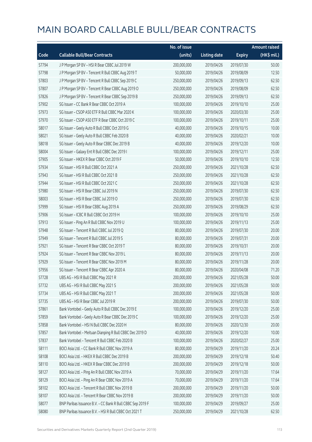|       |                                                            | No. of issue |                     |               | <b>Amount raised</b> |
|-------|------------------------------------------------------------|--------------|---------------------|---------------|----------------------|
| Code  | <b>Callable Bull/Bear Contracts</b>                        | (units)      | <b>Listing date</b> | <b>Expiry</b> | (HK\$ mil.)          |
| 57794 | J P Morgan SP BV - HSI R Bear CBBC Jul 2019 W              | 200,000,000  | 2019/04/26          | 2019/07/30    | 50.00                |
| 57798 | JP Morgan SP BV - Tencent R Bull CBBC Aug 2019 T           | 50,000,000   | 2019/04/26          | 2019/08/09    | 12.50                |
| 57803 | J P Morgan SP BV - Tencent R Bull CBBC Sep 2019 C          | 250,000,000  | 2019/04/26          | 2019/09/13    | 62.50                |
| 57807 | J P Morgan SP BV - Tencent R Bear CBBC Aug 2019 O          | 250,000,000  | 2019/04/26          | 2019/08/09    | 62.50                |
| 57826 | J P Morgan SP BV - Tencent R Bear CBBC Sep 2019 B          | 250,000,000  | 2019/04/26          | 2019/09/13    | 62.50                |
| 57902 | SG Issuer - CC Bank R Bear CBBC Oct 2019 A                 | 100,000,000  | 2019/04/26          | 2019/10/10    | 25.00                |
| 57973 | SG Issuer - CSOP A50 ETF R Bull CBBC Mar 2020 K            | 100,000,000  | 2019/04/26          | 2020/03/30    | 25.00                |
| 57970 | SG Issuer - CSOP A50 ETF R Bear CBBC Oct 2019 C            | 100,000,000  | 2019/04/26          | 2019/10/11    | 25.00                |
| 58017 | SG Issuer - Geely Auto R Bull CBBC Oct 2019 G              | 40,000,000   | 2019/04/26          | 2019/10/15    | 10.00                |
| 58021 | SG Issuer - Geely Auto R Bull CBBC Feb 2020 B              | 40,000,000   | 2019/04/26          | 2020/02/21    | 10.00                |
| 58018 | SG Issuer - Geely Auto R Bear CBBC Dec 2019 B              | 40,000,000   | 2019/04/26          | 2019/12/20    | 10.00                |
| 58004 | SG Issuer - Galaxy Ent R Bull CBBC Dec 2019 I              | 100,000,000  | 2019/04/26          | 2019/12/11    | 25.00                |
| 57905 | SG Issuer - HKEX R Bear CBBC Oct 2019 F                    | 50,000,000   | 2019/04/26          | 2019/10/10    | 12.50                |
| 57934 | SG Issuer - HSI R Bull CBBC Oct 2021 A                     | 250,000,000  | 2019/04/26          | 2021/10/28    | 62.50                |
| 57943 | SG Issuer - HSI R Bull CBBC Oct 2021 B                     | 250,000,000  | 2019/04/26          | 2021/10/28    | 62.50                |
| 57944 | SG Issuer - HSI R Bull CBBC Oct 2021 C                     | 250,000,000  | 2019/04/26          | 2021/10/28    | 62.50                |
| 57980 | SG Issuer - HSI R Bear CBBC Jul 2019 N                     | 250,000,000  | 2019/04/26          | 2019/07/30    | 62.50                |
| 58003 | SG Issuer - HSI R Bear CBBC Jul 2019 O                     | 250,000,000  | 2019/04/26          | 2019/07/30    | 62.50                |
| 57999 | SG Issuer - HSI R Bear CBBC Aug 2019 A                     | 250,000,000  | 2019/04/26          | 2019/08/29    | 62.50                |
| 57906 | SG Issuer - ICBC R Bull CBBC Oct 2019 H                    | 100,000,000  | 2019/04/26          | 2019/10/10    | 25.00                |
| 57913 | SG Issuer - Ping An R Bull CBBC Nov 2019 U                 | 100,000,000  | 2019/04/26          | 2019/11/13    | 25.00                |
| 57948 | SG Issuer - Tencent R Bull CBBC Jul 2019 Q                 | 80,000,000   | 2019/04/26          | 2019/07/30    | 20.00                |
| 57949 | SG Issuer - Tencent R Bull CBBC Jul 2019 S                 | 80,000,000   | 2019/04/26          | 2019/07/31    | 20.00                |
| 57921 | SG Issuer - Tencent R Bear CBBC Oct 2019 T                 | 80,000,000   | 2019/04/26          | 2019/10/31    | 20.00                |
| 57924 | SG Issuer - Tencent R Bear CBBC Nov 2019 L                 | 80,000,000   | 2019/04/26          | 2019/11/13    | 20.00                |
| 57929 | SG Issuer - Tencent R Bear CBBC Nov 2019 M                 | 80,000,000   | 2019/04/26          | 2019/11/28    | 20.00                |
| 57956 | SG Issuer - Tencent R Bear CBBC Apr 2020 A                 | 80,000,000   | 2019/04/26          | 2020/04/08    | 71.20                |
| 57728 | UBS AG - HSI R Bull CBBC May 2021 R                        | 200,000,000  | 2019/04/26          | 2021/05/28    | 50.00                |
| 57732 | UBS AG - HSI R Bull CBBC May 2021 S                        | 200,000,000  | 2019/04/26          | 2021/05/28    | 50.00                |
| 57734 | UBS AG - HSI R Bull CBBC May 2021 T                        | 200,000,000  | 2019/04/26          | 2021/05/28    | 50.00                |
| 57735 | UBS AG - HSI R Bear CBBC Jul 2019 R                        | 200,000,000  | 2019/04/26          | 2019/07/30    | 50.00                |
| 57861 | Bank Vontobel - Geely Auto R Bull CBBC Dec 2019 E          | 100,000,000  | 2019/04/26          | 2019/12/20    | 25.00                |
| 57859 | Bank Vontobel - Geely Auto R Bear CBBC Dec 2019 C          | 100,000,000  | 2019/04/26          | 2019/12/20    | 25.00                |
| 57858 | Bank Vontobel - HSI N Bull CBBC Dec 2020 H                 | 80,000,000   | 2019/04/26          | 2020/12/30    | 20.00                |
| 57857 | Bank Vontobel - Meituan Dianping R Bull CBBC Dec 2019 D    | 40,000,000   | 2019/04/26          | 2019/12/20    | 10.00                |
| 57837 | Bank Vontobel - Tencent R Bull CBBC Feb 2020 B             | 100,000,000  | 2019/04/26          | 2020/02/27    | 25.00                |
| 58111 | BOCI Asia Ltd. - CC Bank R Bull CBBC Nov 2019 A            | 80,000,000   | 2019/04/29          | 2019/11/20    | 20.24                |
| 58108 | BOCI Asia Ltd. - HKEX R Bull CBBC Dec 2019 B               | 200,000,000  | 2019/04/29          | 2019/12/18    | 50.40                |
| 58110 | BOCI Asia Ltd. - HKEX R Bear CBBC Dec 2019 B               | 200,000,000  | 2019/04/29          | 2019/12/18    | 50.00                |
| 58127 | BOCI Asia Ltd. - Ping An R Bull CBBC Nov 2019 A            | 70,000,000   | 2019/04/29          | 2019/11/20    | 17.64                |
| 58129 | BOCI Asia Ltd. - Ping An R Bear CBBC Nov 2019 A            | 70,000,000   | 2019/04/29          | 2019/11/20    | 17.64                |
| 58102 | BOCI Asia Ltd. - Tencent R Bull CBBC Nov 2019 B            | 200,000,000  | 2019/04/29          | 2019/11/20    | 50.00                |
| 58107 | BOCI Asia Ltd. - Tencent R Bear CBBC Nov 2019 B            | 200,000,000  | 2019/04/29          | 2019/11/20    | 50.00                |
| 58077 | BNP Paribas Issuance B.V. - CC Bank R Bull CBBC Sep 2019 F | 100,000,000  | 2019/04/29          | 2019/09/27    | 25.00                |
| 58080 | BNP Paribas Issuance B.V. - HSI R Bull CBBC Oct 2021 T     | 250,000,000  | 2019/04/29          | 2021/10/28    | 62.50                |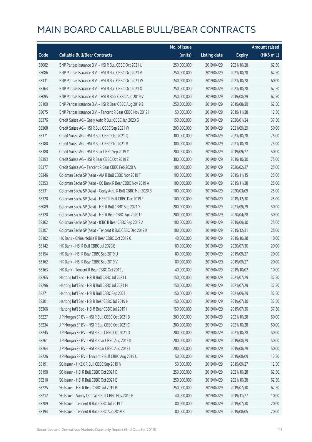|       |                                                             | No. of issue |                     |               | <b>Amount raised</b> |
|-------|-------------------------------------------------------------|--------------|---------------------|---------------|----------------------|
| Code  | <b>Callable Bull/Bear Contracts</b>                         | (units)      | <b>Listing date</b> | <b>Expiry</b> | (HK\$ mil.)          |
| 58082 | BNP Paribas Issuance B.V. - HSI R Bull CBBC Oct 2021 U      | 250,000,000  | 2019/04/29          | 2021/10/28    | 62.50                |
| 58086 | BNP Paribas Issuance B.V. - HSI R Bull CBBC Oct 2021 V      | 250,000,000  | 2019/04/29          | 2021/10/28    | 62.50                |
| 58131 | BNP Paribas Issuance B.V. - HSI R Bull CBBC Oct 2021 W      | 240,000,000  | 2019/04/29          | 2021/10/28    | 60.00                |
| 58364 | BNP Paribas Issuance B.V. - HSI R Bull CBBC Oct 2021 X      | 250,000,000  | 2019/04/29          | 2021/10/28    | 62.50                |
| 58095 | BNP Paribas Issuance B.V. - HSI R Bear CBBC Aug 2019 V      | 250,000,000  | 2019/04/29          | 2019/08/29    | 62.50                |
| 58100 | BNP Paribas Issuance B.V. - HSI R Bear CBBC Aug 2019 Z      | 250,000,000  | 2019/04/29          | 2019/08/29    | 62.50                |
| 58075 | BNP Paribas Issuance B.V. - Tencent R Bear CBBC Nov 2019 I  | 50,000,000   | 2019/04/29          | 2019/11/28    | 12.50                |
| 58376 | Credit Suisse AG - Geely Auto R Bull CBBC Jan 2020 G        | 150,000,000  | 2019/04/29          | 2020/01/24    | 37.50                |
| 58368 | Credit Suisse AG - HSI R Bull CBBC Sep 2021 W               | 200,000,000  | 2019/04/29          | 2021/09/29    | 50.00                |
| 58371 | Credit Suisse AG - HSI R Bull CBBC Oct 2021 Q               | 300,000,000  | 2019/04/29          | 2021/10/28    | 75.00                |
| 58380 | Credit Suisse AG - HSI R Bull CBBC Oct 2021 R               | 300,000,000  | 2019/04/29          | 2021/10/28    | 75.00                |
| 58388 | Credit Suisse AG - HSI R Bear CBBC Sep 2019 Y               | 200,000,000  | 2019/04/29          | 2019/09/27    | 50.00                |
| 58393 | Credit Suisse AG - HSI R Bear CBBC Oct 2019 Z               | 300,000,000  | 2019/04/29          | 2019/10/30    | 75.00                |
| 58377 | Credit Suisse AG - Tencent R Bear CBBC Feb 2020 A           | 100,000,000  | 2019/04/29          | 2020/02/27    | 25.00                |
| 58346 | Goldman Sachs SP (Asia) - AIA R Bull CBBC Nov 2019 T        | 100,000,000  | 2019/04/29          | 2019/11/15    | 25.00                |
| 58353 | Goldman Sachs SP (Asia) - CC Bank R Bear CBBC Nov 2019 A    | 100,000,000  | 2019/04/29          | 2019/11/28    | 25.00                |
| 58331 | Goldman Sachs SP (Asia) - Geely Auto R Bull CBBC Mar 2020 B | 100,000,000  | 2019/04/29          | 2020/03/09    | 25.00                |
| 58328 | Goldman Sachs SP (Asia) - HSBC R Bull CBBC Dec 2019 F       | 100,000,000  | 2019/04/29          | 2019/12/30    | 25.00                |
| 58089 | Goldman Sachs SP (Asia) - HSI R Bull CBBC Sep 2021 Y        | 200,000,000  | 2019/04/29          | 2021/09/29    | 50.00                |
| 58320 | Goldman Sachs SP (Asia) - HSI R Bear CBBC Apr 2020 U        | 200,000,000  | 2019/04/29          | 2020/04/28    | 50.00                |
| 58362 | Goldman Sachs SP (Asia) - ICBC R Bear CBBC Sep 2019 A       | 100,000,000  | 2019/04/29          | 2019/09/30    | 25.00                |
| 58307 | Goldman Sachs SP (Asia) - Tencent R Bull CBBC Dec 2019 K    | 100,000,000  | 2019/04/29          | 2019/12/31    | 25.00                |
| 58182 | HK Bank - China Mobile R Bear CBBC Oct 2019 C               | 40,000,000   | 2019/04/29          | 2019/10/28    | 10.00                |
| 58142 | HK Bank - HSI R Bull CBBC Jul 2020 E                        | 80,000,000   | 2019/04/29          | 2020/07/30    | 20.00                |
| 58154 | HK Bank - HSI R Bear CBBC Sep 2019 U                        | 80,000,000   | 2019/04/29          | 2019/09/27    | 20.00                |
| 58162 | HK Bank - HSI R Bear CBBC Sep 2019 V                        | 80,000,000   | 2019/04/29          | 2019/09/27    | 20.00                |
| 58163 | HK Bank - Tencent R Bear CBBC Oct 2019 J                    | 40,000,000   | 2019/04/29          | 2019/10/02    | 10.00                |
| 58265 | Haitong Int'l Sec - HSI R Bull CBBC Jul 2021 L              | 150,000,000  | 2019/04/29          | 2021/07/29    | 37.50                |
| 58296 | Haitong Int'l Sec - HSI R Bull CBBC Jul 2021 M              | 150,000,000  | 2019/04/29          | 2021/07/29    | 37.50                |
| 58271 | Haitong Int'l Sec - HSI R Bull CBBC Sep 2021 J              | 150,000,000  | 2019/04/29          | 2021/09/29    | 37.50                |
| 58301 | Haitong Int'l Sec - HSI R Bear CBBC Jul 2019 H              | 150,000,000  | 2019/04/29          | 2019/07/30    | 37.50                |
| 58306 | Haitong Int'l Sec - HSI R Bear CBBC Jul 2019 I              | 150,000,000  | 2019/04/29          | 2019/07/30    | 37.50                |
| 58227 | JP Morgan SP BV - HSIR Bull CBBC Oct 2021 B                 | 200,000,000  | 2019/04/29          | 2021/10/28    | 50.00                |
| 58234 | J P Morgan SP BV - HSI R Bull CBBC Oct 2021 C               | 200,000,000  | 2019/04/29          | 2021/10/28    | 50.00                |
| 58245 | J P Morgan SP BV - HSI R Bull CBBC Oct 2021 D               | 200,000,000  | 2019/04/29          | 2021/10/28    | 50.00                |
| 58261 | J P Morgan SP BV - HSI R Bear CBBC Aug 2019 K               | 200,000,000  | 2019/04/29          | 2019/08/29    | 50.00                |
| 58264 | J P Morgan SP BV - HSI R Bear CBBC Aug 2019 L               | 200,000,000  | 2019/04/29          | 2019/08/29    | 50.00                |
| 58226 | J P Morgan SP BV - Tencent R Bull CBBC Aug 2019 U           | 50,000,000   | 2019/04/29          | 2019/08/09    | 12.50                |
| 58191 | SG Issuer - HKEX R Bull CBBC Sep 2019 N                     | 50,000,000   | 2019/04/29          | 2019/09/27    | 12.50                |
| 58190 | SG Issuer - HSI R Bull CBBC Oct 2021 D                      | 250,000,000  | 2019/04/29          | 2021/10/28    | 62.50                |
| 58210 | SG Issuer - HSI R Bull CBBC Oct 2021 E                      | 250,000,000  | 2019/04/29          | 2021/10/28    | 62.50                |
| 58225 | SG Issuer - HSI R Bear CBBC Jul 2019 P                      | 250,000,000  | 2019/04/29          | 2019/07/30    | 62.50                |
| 58212 | SG Issuer - Sunny Optical R Bull CBBC Nov 2019 B            | 40,000,000   | 2019/04/29          | 2019/11/27    | 10.00                |
| 58209 | SG Issuer - Tencent R Bull CBBC Jul 2019 T                  | 80,000,000   | 2019/04/29          | 2019/07/30    | 20.00                |
| 58194 | SG Issuer - Tencent R Bull CBBC Aug 2019 B                  | 80,000,000   | 2019/04/29          | 2019/08/05    | 20.00                |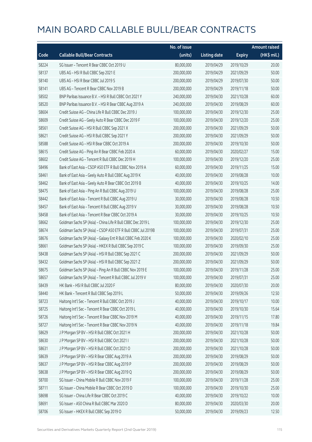|       |                                                              | No. of issue |                     |               | <b>Amount raised</b> |
|-------|--------------------------------------------------------------|--------------|---------------------|---------------|----------------------|
| Code  | <b>Callable Bull/Bear Contracts</b>                          | (units)      | <b>Listing date</b> | <b>Expiry</b> | (HK\$ mil.)          |
| 58224 | SG Issuer - Tencent R Bear CBBC Oct 2019 U                   | 80,000,000   | 2019/04/29          | 2019/10/29    | 20.00                |
| 58137 | UBS AG - HSI R Bull CBBC Sep 2021 E                          | 200,000,000  | 2019/04/29          | 2021/09/29    | 50.00                |
| 58140 | UBS AG - HSI R Bear CBBC Jul 2019 S                          | 200,000,000  | 2019/04/29          | 2019/07/30    | 50.00                |
| 58141 | UBS AG - Tencent R Bear CBBC Nov 2019 B                      | 200,000,000  | 2019/04/29          | 2019/11/18    | 50.00                |
| 58502 | BNP Paribas Issuance B.V. - HSI R Bull CBBC Oct 2021 Y       | 240,000,000  | 2019/04/30          | 2021/10/28    | 60.00                |
| 58520 | BNP Paribas Issuance B.V. - HSI R Bear CBBC Aug 2019 A       | 240,000,000  | 2019/04/30          | 2019/08/29    | 60.00                |
| 58604 | Credit Suisse AG - China Life R Bull CBBC Dec 2019 J         | 100,000,000  | 2019/04/30          | 2019/12/30    | 25.00                |
| 58609 | Credit Suisse AG - Geely Auto R Bear CBBC Dec 2019 F         | 100,000,000  | 2019/04/30          | 2019/12/20    | 25.00                |
| 58561 | Credit Suisse AG - HSI R Bull CBBC Sep 2021 X                | 200,000,000  | 2019/04/30          | 2021/09/29    | 50.00                |
| 58621 | Credit Suisse AG - HSI R Bull CBBC Sep 2021 Y                | 200,000,000  | 2019/04/30          | 2021/09/29    | 50.00                |
| 58588 | Credit Suisse AG - HSI R Bear CBBC Oct 2019 A                | 200,000,000  | 2019/04/30          | 2019/10/30    | 50.00                |
| 58615 | Credit Suisse AG - Ping An R Bear CBBC Feb 2020 A            | 60,000,000   | 2019/04/30          | 2020/02/27    | 15.00                |
| 58602 | Credit Suisse AG - Tencent R Bull CBBC Dec 2019 H            | 100,000,000  | 2019/04/30          | 2019/12/20    | 25.00                |
| 58496 | Bank of East Asia - CSOP A50 ETF R Bull CBBC Nov 2019 A      | 60,000,000   | 2019/04/30          | 2019/11/25    | 15.00                |
| 58461 | Bank of East Asia - Geely Auto R Bull CBBC Aug 2019 K        | 40,000,000   | 2019/04/30          | 2019/08/28    | 10.00                |
| 58462 | Bank of East Asia - Geely Auto R Bear CBBC Oct 2019 B        | 40,000,000   | 2019/04/30          | 2019/10/25    | 14.00                |
| 58475 | Bank of East Asia - Ping An R Bull CBBC Aug 2019 U           | 100,000,000  | 2019/04/30          | 2019/08/28    | 25.00                |
| 58442 | Bank of East Asia - Tencent R Bull CBBC Aug 2019 U           | 30,000,000   | 2019/04/30          | 2019/08/28    | 10.50                |
| 58457 | Bank of East Asia - Tencent R Bull CBBC Aug 2019 V           | 30,000,000   | 2019/04/30          | 2019/08/28    | 10.50                |
| 58458 | Bank of East Asia - Tencent R Bear CBBC Oct 2019 A           | 30,000,000   | 2019/04/30          | 2019/10/25    | 10.50                |
| 58662 | Goldman Sachs SP (Asia) - China Life R Bull CBBC Dec 2019 L  | 100,000,000  | 2019/04/30          | 2019/12/30    | 25.00                |
| 58674 | Goldman Sachs SP (Asia) - CSOP A50 ETF R Bull CBBC Jul 2019B | 100,000,000  | 2019/04/30          | 2019/07/31    | 25.00                |
| 58676 | Goldman Sachs SP (Asia) - Galaxy Ent R Bull CBBC Feb 2020 K  | 100,000,000  | 2019/04/30          | 2020/02/10    | 25.00                |
| 58661 | Goldman Sachs SP (Asia) - HKEX R Bull CBBC Sep 2019 C        | 100,000,000  | 2019/04/30          | 2019/09/30    | 25.00                |
| 58438 | Goldman Sachs SP (Asia) - HSI R Bull CBBC Sep 2021 C         | 200,000,000  | 2019/04/30          | 2021/09/29    | 50.00                |
| 58432 | Goldman Sachs SP (Asia) - HSI R Bull CBBC Sep 2021 Z         | 200,000,000  | 2019/04/30          | 2021/09/29    | 50.00                |
| 58675 | Goldman Sachs SP (Asia) - Ping An R Bull CBBC Nov 2019 E     | 100,000,000  | 2019/04/30          | 2019/11/28    | 25.00                |
| 58657 | Goldman Sachs SP (Asia) - Tencent R Bull CBBC Jul 2019 V     | 100,000,000  | 2019/04/30          | 2019/07/31    | 25.00                |
| 58439 | HK Bank - HSI R Bull CBBC Jul 2020 F                         | 80,000,000   | 2019/04/30          | 2020/07/30    | 20.00                |
| 58440 | HK Bank - Tencent R Bull CBBC Sep 2019 L                     | 50,000,000   | 2019/04/30          | 2019/09/26    | 12.50                |
| 58723 | Haitong Int'l Sec - Tencent R Bull CBBC Oct 2019 J           | 40,000,000   | 2019/04/30          | 2019/10/17    | 10.00                |
| 58725 | Haitong Int'l Sec - Tencent R Bear CBBC Oct 2019 L           | 40,000,000   | 2019/04/30          | 2019/10/30    | 15.64                |
| 58726 | Haitong Int'l Sec - Tencent R Bear CBBC Nov 2019 M           | 40,000,000   | 2019/04/30          | 2019/11/15    | 17.80                |
| 58727 | Haitong Int'l Sec - Tencent R Bear CBBC Nov 2019 N           | 40,000,000   | 2019/04/30          | 2019/11/18    | 19.84                |
| 58629 | J P Morgan SP BV - HSI R Bull CBBC Oct 2021 H                | 200,000,000  | 2019/04/30          | 2021/10/28    | 50.00                |
| 58630 | J P Morgan SP BV - HSI R Bull CBBC Oct 2021 I                | 200,000,000  | 2019/04/30          | 2021/10/28    | 50.00                |
| 58631 | J P Morgan SP BV - HSI R Bull CBBC Oct 2021 O                | 200,000,000  | 2019/04/30          | 2021/10/28    | 50.00                |
| 58639 | J P Morgan SP BV - HSI R Bear CBBC Aug 2019 A                | 200,000,000  | 2019/04/30          | 2019/08/29    | 50.00                |
| 58637 | J P Morgan SP BV - HSI R Bear CBBC Aug 2019 P                | 200,000,000  | 2019/04/30          | 2019/08/29    | 50.00                |
| 58638 | J P Morgan SP BV - HSI R Bear CBBC Aug 2019 Q                | 200,000,000  | 2019/04/30          | 2019/08/29    | 50.00                |
| 58700 | SG Issuer - China Mobile R Bull CBBC Nov 2019 F              | 100,000,000  | 2019/04/30          | 2019/11/28    | 25.00                |
| 58711 | SG Issuer - China Mobile R Bear CBBC Oct 2019 D              | 100,000,000  | 2019/04/30          | 2019/10/30    | 25.00                |
| 58698 | SG Issuer - China Life R Bear CBBC Oct 2019 C                | 40,000,000   | 2019/04/30          | 2019/10/22    | 10.00                |
| 58691 | SG Issuer - A50 China R Bull CBBC Mar 2020 D                 | 80,000,000   | 2019/04/30          | 2020/03/30    | 20.00                |
| 58706 | SG Issuer - HKEX R Bull CBBC Sep 2019 O                      | 50,000,000   | 2019/04/30          | 2019/09/23    | 12.50                |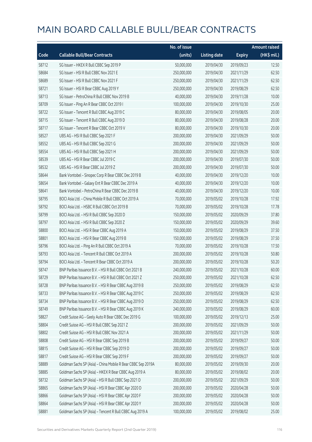|       |                                                              | No. of issue |                     |               | <b>Amount raised</b> |
|-------|--------------------------------------------------------------|--------------|---------------------|---------------|----------------------|
| Code  | <b>Callable Bull/Bear Contracts</b>                          | (units)      | <b>Listing date</b> | <b>Expiry</b> | (HK\$ mil.)          |
| 58712 | SG Issuer - HKEX R Bull CBBC Sep 2019 P                      | 50,000,000   | 2019/04/30          | 2019/09/23    | 12.50                |
| 58684 | SG Issuer - HSI R Bull CBBC Nov 2021 E                       | 250,000,000  | 2019/04/30          | 2021/11/29    | 62.50                |
| 58689 | SG Issuer - HSI R Bull CBBC Nov 2021 F                       | 250,000,000  | 2019/04/30          | 2021/11/29    | 62.50                |
| 58721 | SG Issuer - HSI R Bear CBBC Aug 2019 Y                       | 250,000,000  | 2019/04/30          | 2019/08/29    | 62.50                |
| 58713 | SG Issuer - PetroChina R Bull CBBC Nov 2019 B                | 40,000,000   | 2019/04/30          | 2019/11/28    | 10.00                |
| 58709 | SG Issuer - Ping An R Bear CBBC Oct 2019 I                   | 100,000,000  | 2019/04/30          | 2019/10/30    | 25.00                |
| 58722 | SG Issuer - Tencent R Bull CBBC Aug 2019 C                   | 80,000,000   | 2019/04/30          | 2019/08/05    | 20.00                |
| 58715 | SG Issuer - Tencent R Bull CBBC Aug 2019 D                   | 80,000,000   | 2019/04/30          | 2019/08/28    | 20.00                |
| 58717 | SG Issuer - Tencent R Bear CBBC Oct 2019 V                   | 80,000,000   | 2019/04/30          | 2019/10/30    | 20.00                |
| 58527 | UBS AG - HSI R Bull CBBC Sep 2021 F                          | 200,000,000  | 2019/04/30          | 2021/09/29    | 50.00                |
| 58552 | UBS AG - HSI R Bull CBBC Sep 2021 G                          | 200,000,000  | 2019/04/30          | 2021/09/29    | 50.00                |
| 58554 | UBS AG - HSI R Bull CBBC Sep 2021 H                          | 200,000,000  | 2019/04/30          | 2021/09/29    | 50.00                |
| 58539 | UBS AG - HSI R Bear CBBC Jul 2019 C                          | 200,000,000  | 2019/04/30          | 2019/07/30    | 50.00                |
| 58532 | UBS AG - HSI R Bear CBBC Jul 2019 Z                          | 200,000,000  | 2019/04/30          | 2019/07/30    | 50.00                |
| 58644 | Bank Vontobel - Sinopec Corp R Bear CBBC Dec 2019 B          | 40,000,000   | 2019/04/30          | 2019/12/20    | 10.00                |
| 58654 | Bank Vontobel - Galaxy Ent R Bear CBBC Dec 2019 A            | 40,000,000   | 2019/04/30          | 2019/12/20    | 10.00                |
| 58641 | Bank Vontobel - PetroChina R Bear CBBC Dec 2019 B            | 40,000,000   | 2019/04/30          | 2019/12/20    | 10.00                |
| 58795 | BOCI Asia Ltd. - China Mobile R Bull CBBC Oct 2019 A         | 70,000,000   | 2019/05/02          | 2019/10/28    | 17.92                |
| 58792 | BOCI Asia Ltd. - HSBC R Bull CBBC Oct 2019 B                 | 70,000,000   | 2019/05/02          | 2019/10/28    | 17.78                |
| 58799 | BOCI Asia Ltd. - HSI R Bull CBBC Sep 2020 D                  | 150,000,000  | 2019/05/02          | 2020/09/29    | 37.80                |
| 58797 | BOCI Asia Ltd. - HSI R Bull CBBC Sep 2020 Z                  | 150,000,000  | 2019/05/02          | 2020/09/29    | 39.60                |
| 58800 | BOCI Asia Ltd. - HSI R Bear CBBC Aug 2019 A                  | 150,000,000  | 2019/05/02          | 2019/08/29    | 37.50                |
| 58801 | BOCI Asia Ltd. - HSI R Bear CBBC Aug 2019 B                  | 150,000,000  | 2019/05/02          | 2019/08/29    | 37.50                |
| 58796 | BOCI Asia Ltd. - Ping An R Bull CBBC Oct 2019 A              | 70,000,000   | 2019/05/02          | 2019/10/28    | 17.50                |
| 58793 | BOCI Asia Ltd. - Tencent R Bull CBBC Oct 2019 A              | 200,000,000  | 2019/05/02          | 2019/10/28    | 50.80                |
| 58794 | BOCI Asia Ltd. - Tencent R Bear CBBC Oct 2019 A              | 200,000,000  | 2019/05/02          | 2019/10/28    | 50.20                |
| 58747 | BNP Paribas Issuance B.V. - HSI R Bull CBBC Oct 2021 B       | 240,000,000  | 2019/05/02          | 2021/10/28    | 60.00                |
| 58729 | BNP Paribas Issuance B.V. - HSI R Bull CBBC Oct 2021 Z       | 250,000,000  | 2019/05/02          | 2021/10/28    | 62.50                |
| 58728 | BNP Paribas Issuance B.V. - HSI R Bear CBBC Aug 2019 B       | 250,000,000  | 2019/05/02          | 2019/08/29    | 62.50                |
| 58733 | BNP Paribas Issuance B.V. - HSI R Bear CBBC Aug 2019 C       | 250,000,000  | 2019/05/02          | 2019/08/29    | 62.50                |
| 58734 | BNP Paribas Issuance B.V. - HSI R Bear CBBC Aug 2019 D       | 250,000,000  | 2019/05/02          | 2019/08/29    | 62.50                |
| 58749 | BNP Paribas Issuance B.V. - HSI R Bear CBBC Aug 2019 K       | 240,000,000  | 2019/05/02          | 2019/08/29    | 60.00                |
| 58827 | Credit Suisse AG - Geely Auto R Bear CBBC Dec 2019 G         | 100,000,000  | 2019/05/02          | 2019/12/13    | 25.00                |
| 58804 | Credit Suisse AG - HSI R Bull CBBC Sep 2021 Z                | 200,000,000  | 2019/05/02          | 2021/09/29    | 50.00                |
| 58802 | Credit Suisse AG - HSI R Bull CBBC Nov 2021 A                | 200,000,000  | 2019/05/02          | 2021/11/29    | 50.00                |
| 58808 | Credit Suisse AG - HSI R Bear CBBC Sep 2019 B                | 200,000,000  | 2019/05/02          | 2019/09/27    | 50.00                |
| 58815 | Credit Suisse AG - HSI R Bear CBBC Sep 2019 D                | 200,000,000  | 2019/05/02          | 2019/09/27    | 50.00                |
| 58817 | Credit Suisse AG - HSI R Bear CBBC Sep 2019 F                | 200,000,000  | 2019/05/02          | 2019/09/27    | 50.00                |
| 58889 | Goldman Sachs SP (Asia) - China Mobile R Bear CBBC Sep 2019A | 80,000,000   | 2019/05/02          | 2019/09/30    | 20.00                |
| 58885 | Goldman Sachs SP (Asia) - HKEX R Bear CBBC Aug 2019 A        | 80,000,000   | 2019/05/02          | 2019/08/02    | 20.00                |
| 58732 | Goldman Sachs SP (Asia) - HSI R Bull CBBC Sep 2021 D         | 200,000,000  | 2019/05/02          | 2021/09/29    | 50.00                |
| 58865 | Goldman Sachs SP (Asia) - HSI R Bear CBBC Apr 2020 D         | 200,000,000  | 2019/05/02          | 2020/04/28    | 50.00                |
| 58866 | Goldman Sachs SP (Asia) - HSI R Bear CBBC Apr 2020 F         | 200,000,000  | 2019/05/02          | 2020/04/28    | 50.00                |
| 58864 | Goldman Sachs SP (Asia) - HSI R Bear CBBC Apr 2020 Y         | 200,000,000  | 2019/05/02          | 2020/04/28    | 50.00                |
| 58881 | Goldman Sachs SP (Asia) - Tencent R Bull CBBC Aug 2019 A     | 100,000,000  | 2019/05/02          | 2019/08/02    | 25.00                |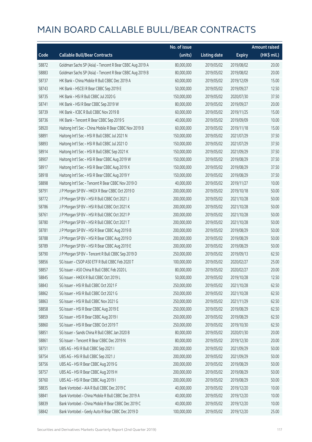|       |                                                          | No. of issue |                     |               | Amount raised |
|-------|----------------------------------------------------------|--------------|---------------------|---------------|---------------|
| Code  | <b>Callable Bull/Bear Contracts</b>                      | (units)      | <b>Listing date</b> | <b>Expiry</b> | $(HK\$ mil.)  |
| 58872 | Goldman Sachs SP (Asia) - Tencent R Bear CBBC Aug 2019 A | 80,000,000   | 2019/05/02          | 2019/08/02    | 20.00         |
| 58883 | Goldman Sachs SP (Asia) - Tencent R Bear CBBC Aug 2019 B | 80,000,000   | 2019/05/02          | 2019/08/02    | 20.00         |
| 58737 | HK Bank - China Mobile R Bull CBBC Dec 2019 A            | 60,000,000   | 2019/05/02          | 2019/12/09    | 15.00         |
| 58743 | HK Bank - HSCEI R Bear CBBC Sep 2019 E                   | 50,000,000   | 2019/05/02          | 2019/09/27    | 12.50         |
| 58735 | HK Bank - HSI R Bull CBBC Jul 2020 G                     | 150,000,000  | 2019/05/02          | 2020/07/30    | 37.50         |
| 58741 | HK Bank - HSI R Bear CBBC Sep 2019 W                     | 80,000,000   | 2019/05/02          | 2019/09/27    | 20.00         |
| 58739 | HK Bank - ICBC R Bull CBBC Nov 2019 B                    | 60,000,000   | 2019/05/02          | 2019/11/25    | 15.00         |
| 58736 | HK Bank - Tencent R Bear CBBC Sep 2019 S                 | 40,000,000   | 2019/05/02          | 2019/09/09    | 10.00         |
| 58920 | Haitong Int'l Sec - China Mobile R Bear CBBC Nov 2019 B  | 60,000,000   | 2019/05/02          | 2019/11/18    | 15.00         |
| 58891 | Haitong Int'l Sec - HSI R Bull CBBC Jul 2021 N           | 150,000,000  | 2019/05/02          | 2021/07/29    | 37.50         |
| 58893 | Haitong Int'l Sec - HSI R Bull CBBC Jul 2021 O           | 150,000,000  | 2019/05/02          | 2021/07/29    | 37.50         |
| 58914 | Haitong Int'l Sec - HSI R Bull CBBC Sep 2021 K           | 150,000,000  | 2019/05/02          | 2021/09/29    | 37.50         |
| 58907 | Haitong Int'l Sec - HSI R Bear CBBC Aug 2019 W           | 150,000,000  | 2019/05/02          | 2019/08/29    | 37.50         |
| 58917 | Haitong Int'l Sec - HSI R Bear CBBC Aug 2019 X           | 150,000,000  | 2019/05/02          | 2019/08/29    | 37.50         |
| 58918 | Haitong Int'l Sec - HSI R Bear CBBC Aug 2019 Y           | 150,000,000  | 2019/05/02          | 2019/08/29    | 37.50         |
| 58898 | Haitong Int'l Sec - Tencent R Bear CBBC Nov 2019 O       | 40,000,000   | 2019/05/02          | 2019/11/27    | 10.00         |
| 58791 | JP Morgan SP BV - HKEX R Bear CBBC Oct 2019 D            | 200,000,000  | 2019/05/02          | 2019/10/18    | 50.00         |
| 58772 | JP Morgan SP BV - HSIR Bull CBBC Oct 2021 J              | 200,000,000  | 2019/05/02          | 2021/10/28    | 50.00         |
| 58786 | J P Morgan SP BV - HSI R Bull CBBC Oct 2021 K            | 200,000,000  | 2019/05/02          | 2021/10/28    | 50.00         |
| 58761 | J P Morgan SP BV - HSI R Bull CBBC Oct 2021 P            | 200,000,000  | 2019/05/02          | 2021/10/28    | 50.00         |
| 58780 | JP Morgan SP BV - HSIR Bull CBBC Oct 2021 T              | 200,000,000  | 2019/05/02          | 2021/10/28    | 50.00         |
| 58781 | J P Morgan SP BV - HSI R Bear CBBC Aug 2019 B            | 200,000,000  | 2019/05/02          | 2019/08/29    | 50.00         |
| 58788 | J P Morgan SP BV - HSI R Bear CBBC Aug 2019 D            | 200,000,000  | 2019/05/02          | 2019/08/29    | 50.00         |
| 58789 | J P Morgan SP BV - HSI R Bear CBBC Aug 2019 E            | 200,000,000  | 2019/05/02          | 2019/08/29    | 50.00         |
| 58790 | J P Morgan SP BV - Tencent R Bull CBBC Sep 2019 D        | 250,000,000  | 2019/05/02          | 2019/09/13    | 62.50         |
| 58856 | SG Issuer - CSOP A50 ETF R Bull CBBC Feb 2020 T          | 100,000,000  | 2019/05/02          | 2020/02/27    | 25.00         |
| 58857 | SG Issuer - A50 China R Bull CBBC Feb 2020 L             | 80,000,000   | 2019/05/02          | 2020/02/27    | 20.00         |
| 58845 | SG Issuer - HKEX R Bull CBBC Oct 2019 L                  | 50,000,000   | 2019/05/02          | 2019/10/28    | 12.50         |
| 58843 | SG Issuer - HSI R Bull CBBC Oct 2021 F                   | 250,000,000  | 2019/05/02          | 2021/10/28    | 62.50         |
| 58862 | SG Issuer - HSI R Bull CBBC Oct 2021 G                   | 250,000,000  | 2019/05/02          | 2021/10/28    | 62.50         |
| 58863 | SG Issuer - HSI R Bull CBBC Nov 2021 G                   | 250,000,000  | 2019/05/02          | 2021/11/29    | 62.50         |
| 58858 | SG Issuer - HSI R Bear CBBC Aug 2019 E                   | 250,000,000  | 2019/05/02          | 2019/08/29    | 62.50         |
| 58859 | SG Issuer - HSI R Bear CBBC Aug 2019 I                   | 250,000,000  | 2019/05/02          | 2019/08/29    | 62.50         |
| 58860 | SG Issuer - HSI R Bear CBBC Oct 2019 T                   | 250,000,000  | 2019/05/02          | 2019/10/30    | 62.50         |
| 58851 | SG Issuer - Sands China R Bull CBBC Jan 2020 B           | 80,000,000   | 2019/05/02          | 2020/01/30    | 20.00         |
| 58861 | SG Issuer - Tencent R Bear CBBC Dec 2019 N               | 80,000,000   | 2019/05/02          | 2019/12/30    | 20.00         |
| 58751 | UBS AG - HSI R Bull CBBC Sep 2021 I                      | 200,000,000  | 2019/05/02          | 2021/09/29    | 50.00         |
| 58754 | UBS AG - HSI R Bull CBBC Sep 2021 J                      | 200,000,000  | 2019/05/02          | 2021/09/29    | 50.00         |
| 58756 | UBS AG - HSI R Bear CBBC Aug 2019 G                      | 200,000,000  | 2019/05/02          | 2019/08/29    | 50.00         |
| 58757 | UBS AG - HSI R Bear CBBC Aug 2019 H                      | 200,000,000  | 2019/05/02          | 2019/08/29    | 50.00         |
| 58760 | UBS AG - HSI R Bear CBBC Aug 2019 I                      | 200,000,000  | 2019/05/02          | 2019/08/29    | 50.00         |
| 58835 | Bank Vontobel - AIA R Bull CBBC Dec 2019 C               | 40,000,000   | 2019/05/02          | 2019/12/20    | 10.00         |
| 58841 | Bank Vontobel - China Mobile R Bull CBBC Dec 2019 A      | 40,000,000   | 2019/05/02          | 2019/12/20    | 10.00         |
| 58839 | Bank Vontobel - China Mobile R Bear CBBC Dec 2019 C      | 40,000,000   | 2019/05/02          | 2019/12/20    | 10.00         |
| 58842 | Bank Vontobel - Geely Auto R Bear CBBC Dec 2019 D        | 100,000,000  | 2019/05/02          | 2019/12/20    | 25.00         |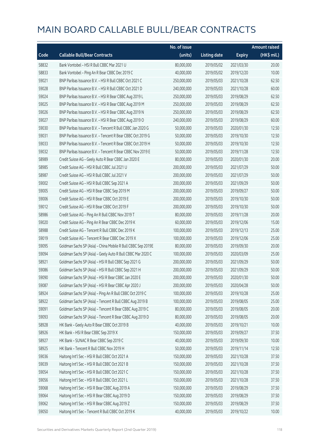|       |                                                              | No. of issue |                     |               | <b>Amount raised</b>  |
|-------|--------------------------------------------------------------|--------------|---------------------|---------------|-----------------------|
| Code  | <b>Callable Bull/Bear Contracts</b>                          | (units)      | <b>Listing date</b> | <b>Expiry</b> | $(HK\frac{1}{2}mil.)$ |
| 58832 | Bank Vontobel - HSI R Bull CBBC Mar 2021 U                   | 80,000,000   | 2019/05/02          | 2021/03/30    | 20.00                 |
| 58833 | Bank Vontobel - Ping An R Bear CBBC Dec 2019 C               | 40,000,000   | 2019/05/02          | 2019/12/20    | 10.00                 |
| 59021 | BNP Paribas Issuance B.V. - HSI R Bull CBBC Oct 2021 C       | 250,000,000  | 2019/05/03          | 2021/10/28    | 62.50                 |
| 59028 | BNP Paribas Issuance B.V. - HSI R Bull CBBC Oct 2021 D       | 240,000,000  | 2019/05/03          | 2021/10/28    | 60.00                 |
| 59024 | BNP Paribas Issuance B.V. - HSI R Bear CBBC Aug 2019 L       | 250,000,000  | 2019/05/03          | 2019/08/29    | 62.50                 |
| 59025 | BNP Paribas Issuance B.V. - HSI R Bear CBBC Aug 2019 M       | 250,000,000  | 2019/05/03          | 2019/08/29    | 62.50                 |
| 59026 | BNP Paribas Issuance B.V. - HSI R Bear CBBC Aug 2019 N       | 250,000,000  | 2019/05/03          | 2019/08/29    | 62.50                 |
| 59027 | BNP Paribas Issuance B.V. - HSI R Bear CBBC Aug 2019 O       | 240,000,000  | 2019/05/03          | 2019/08/29    | 60.00                 |
| 59030 | BNP Paribas Issuance B.V. - Tencent R Bull CBBC Jan 2020 G   | 50,000,000   | 2019/05/03          | 2020/01/30    | 12.50                 |
| 59031 | BNP Paribas Issuance B.V. - Tencent R Bear CBBC Oct 2019 G   | 50,000,000   | 2019/05/03          | 2019/10/30    | 12.50                 |
| 59033 | BNP Paribas Issuance B.V. - Tencent R Bear CBBC Oct 2019 H   | 50,000,000   | 2019/05/03          | 2019/10/30    | 12.50                 |
| 59032 | BNP Paribas Issuance B.V. - Tencent R Bear CBBC Nov 2019 E   | 50,000,000   | 2019/05/03          | 2019/11/28    | 12.50                 |
| 58989 | Credit Suisse AG - Geely Auto R Bear CBBC Jan 2020 E         | 80,000,000   | 2019/05/03          | 2020/01/30    | 20.00                 |
| 58985 | Credit Suisse AG - HSI R Bull CBBC Jul 2021 U                | 200,000,000  | 2019/05/03          | 2021/07/29    | 50.00                 |
| 58987 | Credit Suisse AG - HSI R Bull CBBC Jul 2021 V                | 200,000,000  | 2019/05/03          | 2021/07/29    | 50.00                 |
| 59002 | Credit Suisse AG - HSI R Bull CBBC Sep 2021 A                | 200,000,000  | 2019/05/03          | 2021/09/29    | 50.00                 |
| 59005 | Credit Suisse AG - HSI R Bear CBBC Sep 2019 M                | 200,000,000  | 2019/05/03          | 2019/09/27    | 50.00                 |
| 59006 | Credit Suisse AG - HSI R Bear CBBC Oct 2019 E                | 200,000,000  | 2019/05/03          | 2019/10/30    | 50.00                 |
| 59012 | Credit Suisse AG - HSI R Bear CBBC Oct 2019 F                | 200,000,000  | 2019/05/03          | 2019/10/30    | 50.00                 |
| 58986 | Credit Suisse AG - Ping An R Bull CBBC Nov 2019 T            | 80,000,000   | 2019/05/03          | 2019/11/28    | 20.00                 |
| 59020 | Credit Suisse AG - Ping An R Bear CBBC Dec 2019 K            | 60,000,000   | 2019/05/03          | 2019/12/06    | 15.00                 |
| 58988 | Credit Suisse AG - Tencent R Bull CBBC Dec 2019 K            | 100,000,000  | 2019/05/03          | 2019/12/13    | 25.00                 |
| 59019 | Credit Suisse AG - Tencent R Bear CBBC Dec 2019 X            | 100,000,000  | 2019/05/03          | 2019/12/06    | 25.00                 |
| 59095 | Goldman Sachs SP (Asia) - China Mobile R Bull CBBC Sep 2019E | 80,000,000   | 2019/05/03          | 2019/09/30    | 20.00                 |
| 59094 | Goldman Sachs SP (Asia) - Geely Auto R Bull CBBC Mar 2020 C  | 100,000,000  | 2019/05/03          | 2020/03/09    | 25.00                 |
| 58921 | Goldman Sachs SP (Asia) - HSI R Bull CBBC Sep 2021 G         | 200,000,000  | 2019/05/03          | 2021/09/29    | 50.00                 |
| 59086 | Goldman Sachs SP (Asia) - HSI R Bull CBBC Sep 2021 H         | 200,000,000  | 2019/05/03          | 2021/09/29    | 50.00                 |
| 59090 | Goldman Sachs SP (Asia) - HSI R Bear CBBC Jan 2020 E         | 200,000,000  | 2019/05/03          | 2020/01/30    | 50.00                 |
| 59087 | Goldman Sachs SP (Asia) - HSI R Bear CBBC Apr 2020 J         | 200,000,000  | 2019/05/03          | 2020/04/28    | 50.00                 |
| 58924 | Goldman Sachs SP (Asia) - Ping An R Bull CBBC Oct 2019 C     | 100,000,000  | 2019/05/03          | 2019/10/28    | 25.00                 |
| 58922 | Goldman Sachs SP (Asia) - Tencent R Bull CBBC Aug 2019 B     | 100,000,000  | 2019/05/03          | 2019/08/05    | 25.00                 |
| 59091 | Goldman Sachs SP (Asia) - Tencent R Bear CBBC Aug 2019 C     | 80,000,000   | 2019/05/03          | 2019/08/05    | 20.00                 |
| 59093 | Goldman Sachs SP (Asia) - Tencent R Bear CBBC Aug 2019 D     | 80,000,000   | 2019/05/03          | 2019/08/05    | 20.00                 |
| 58928 | HK Bank - Geely Auto R Bear CBBC Oct 2019 B                  | 40,000,000   | 2019/05/03          | 2019/10/21    | 10.00                 |
| 58926 | HK Bank - HSI R Bear CBBC Sep 2019 X                         | 150,000,000  | 2019/05/03          | 2019/09/27    | 37.50                 |
| 58927 | HK Bank - SUNAC R Bear CBBC Sep 2019 C                       | 40,000,000   | 2019/05/03          | 2019/09/30    | 10.00                 |
| 58925 | HK Bank - Tencent R Bull CBBC Nov 2019 H                     | 50,000,000   | 2019/05/03          | 2019/11/14    | 12.50                 |
| 59036 | Haitong Int'l Sec - HSI R Bull CBBC Oct 2021 A               | 150,000,000  | 2019/05/03          | 2021/10/28    | 37.50                 |
| 59039 | Haitong Int'l Sec - HSI R Bull CBBC Oct 2021 B               | 150,000,000  | 2019/05/03          | 2021/10/28    | 37.50                 |
| 59054 | Haitong Int'l Sec - HSI R Bull CBBC Oct 2021 C               | 150,000,000  | 2019/05/03          | 2021/10/28    | 37.50                 |
| 59056 | Haitong Int'l Sec - HSI R Bull CBBC Oct 2021 L               | 150,000,000  | 2019/05/03          | 2021/10/28    | 37.50                 |
| 59068 | Haitong Int'l Sec - HSI R Bear CBBC Aug 2019 A               | 150,000,000  | 2019/05/03          | 2019/08/29    | 37.50                 |
| 59064 | Haitong Int'l Sec - HSI R Bear CBBC Aug 2019 D               | 150,000,000  | 2019/05/03          | 2019/08/29    | 37.50                 |
| 59062 | Haitong Int'l Sec - HSI R Bear CBBC Aug 2019 Z               | 150,000,000  | 2019/05/03          | 2019/08/29    | 37.50                 |
| 59050 | Haitong Int'l Sec - Tencent R Bull CBBC Oct 2019 K           | 40,000,000   | 2019/05/03          | 2019/10/22    | 10.00                 |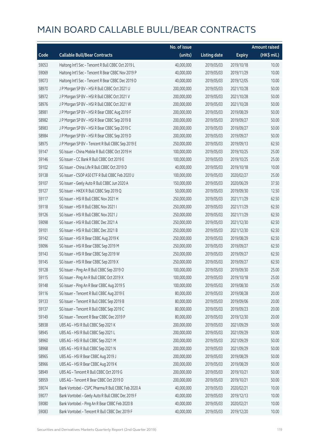|       |                                                    | No. of issue |                     |               | <b>Amount raised</b> |
|-------|----------------------------------------------------|--------------|---------------------|---------------|----------------------|
| Code  | <b>Callable Bull/Bear Contracts</b>                | (units)      | <b>Listing date</b> | <b>Expiry</b> | (HK\$ mil.)          |
| 59053 | Haitong Int'l Sec - Tencent R Bull CBBC Oct 2019 L | 40,000,000   | 2019/05/03          | 2019/10/18    | 10.00                |
| 59069 | Haitong Int'l Sec - Tencent R Bear CBBC Nov 2019 P | 40,000,000   | 2019/05/03          | 2019/11/29    | 10.00                |
| 59073 | Haitong Int'l Sec - Tencent R Bear CBBC Dec 2019 D | 40,000,000   | 2019/05/03          | 2019/12/05    | 10.00                |
| 58970 | J P Morgan SP BV - HSI R Bull CBBC Oct 2021 U      | 200,000,000  | 2019/05/03          | 2021/10/28    | 50.00                |
| 58972 | J P Morgan SP BV - HSI R Bull CBBC Oct 2021 V      | 200,000,000  | 2019/05/03          | 2021/10/28    | 50.00                |
| 58976 | J P Morgan SP BV - HSI R Bull CBBC Oct 2021 W      | 200,000,000  | 2019/05/03          | 2021/10/28    | 50.00                |
| 58981 | J P Morgan SP BV - HSI R Bear CBBC Aug 2019 F      | 200,000,000  | 2019/05/03          | 2019/08/29    | 50.00                |
| 58982 | J P Morgan SP BV - HSI R Bear CBBC Sep 2019 B      | 200,000,000  | 2019/05/03          | 2019/09/27    | 50.00                |
| 58983 | J P Morgan SP BV - HSI R Bear CBBC Sep 2019 C      | 200,000,000  | 2019/05/03          | 2019/09/27    | 50.00                |
| 58984 | J P Morgan SP BV - HSI R Bear CBBC Sep 2019 D      | 200,000,000  | 2019/05/03          | 2019/09/27    | 50.00                |
| 58975 | J P Morgan SP BV - Tencent R Bull CBBC Sep 2019 E  | 250,000,000  | 2019/05/03          | 2019/09/13    | 62.50                |
| 59147 | SG Issuer - China Mobile R Bull CBBC Oct 2019 H    | 100,000,000  | 2019/05/03          | 2019/10/25    | 25.00                |
| 59146 | SG Issuer - CC Bank R Bull CBBC Oct 2019 E         | 100,000,000  | 2019/05/03          | 2019/10/25    | 25.00                |
| 59102 | SG Issuer - China Life R Bull CBBC Oct 2019 D      | 40,000,000   | 2019/05/03          | 2019/10/18    | 10.00                |
| 59138 | SG Issuer - CSOP A50 ETF R Bull CBBC Feb 2020 U    | 100,000,000  | 2019/05/03          | 2020/02/27    | 25.00                |
| 59107 | SG Issuer - Geely Auto R Bull CBBC Jun 2020 A      | 150,000,000  | 2019/05/03          | 2020/06/29    | 37.50                |
| 59127 | SG Issuer - HKEX R Bull CBBC Sep 2019 Q            | 50,000,000   | 2019/05/03          | 2019/09/30    | 12.50                |
| 59117 | SG Issuer - HSI R Bull CBBC Nov 2021 H             | 250,000,000  | 2019/05/03          | 2021/11/29    | 62.50                |
| 59118 | SG Issuer - HSI R Bull CBBC Nov 2021 I             | 250,000,000  | 2019/05/03          | 2021/11/29    | 62.50                |
| 59126 | SG Issuer - HSI R Bull CBBC Nov 2021 J             | 250,000,000  | 2019/05/03          | 2021/11/29    | 62.50                |
| 59098 | SG Issuer - HSI R Bull CBBC Dec 2021 A             | 250,000,000  | 2019/05/03          | 2021/12/30    | 62.50                |
| 59101 | SG Issuer - HSI R Bull CBBC Dec 2021 B             | 250,000,000  | 2019/05/03          | 2021/12/30    | 62.50                |
| 59142 | SG Issuer - HSI R Bear CBBC Aug 2019 K             | 250,000,000  | 2019/05/03          | 2019/08/29    | 62.50                |
| 59096 | SG Issuer - HSI R Bear CBBC Sep 2019 M             | 250,000,000  | 2019/05/03          | 2019/09/27    | 62.50                |
| 59143 | SG Issuer - HSI R Bear CBBC Sep 2019 W             | 250,000,000  | 2019/05/03          | 2019/09/27    | 62.50                |
| 59145 | SG Issuer - HSI R Bear CBBC Sep 2019 X             | 250,000,000  | 2019/05/03          | 2019/09/27    | 62.50                |
| 59128 | SG Issuer - Ping An R Bull CBBC Sep 2019 O         | 100,000,000  | 2019/05/03          | 2019/09/30    | 25.00                |
| 59115 | SG Issuer - Ping An R Bull CBBC Oct 2019 X         | 100,000,000  | 2019/05/03          | 2019/10/18    | 25.00                |
| 59148 | SG Issuer - Ping An R Bear CBBC Aug 2019 S         | 100,000,000  | 2019/05/03          | 2019/08/30    | 25.00                |
| 59116 | SG Issuer - Tencent R Bull CBBC Aug 2019 E         | 80,000,000   | 2019/05/03          | 2019/08/28    | 20.00                |
| 59133 | SG Issuer - Tencent R Bull CBBC Sep 2019 B         | 80,000,000   | 2019/05/03          | 2019/09/06    | 20.00                |
| 59137 | SG Issuer - Tencent R Bull CBBC Sep 2019 C         | 80,000,000   | 2019/05/03          | 2019/09/23    | 20.00                |
| 59149 | SG Issuer - Tencent R Bear CBBC Dec 2019 P         | 80,000,000   | 2019/05/03          | 2019/12/30    | 20.00                |
| 58938 | UBS AG - HSI R Bull CBBC Sep 2021 K                | 200,000,000  | 2019/05/03          | 2021/09/29    | 50.00                |
| 58945 | UBS AG - HSI R Bull CBBC Sep 2021 L                | 200,000,000  | 2019/05/03          | 2021/09/29    | 50.00                |
| 58960 | UBS AG - HSI R Bull CBBC Sep 2021 M                | 200,000,000  | 2019/05/03          | 2021/09/29    | 50.00                |
| 58968 | UBS AG - HSI R Bull CBBC Sep 2021 N                | 200,000,000  | 2019/05/03          | 2021/09/29    | 50.00                |
| 58965 | UBS AG - HSI R Bear CBBC Aug 2019 J                | 200,000,000  | 2019/05/03          | 2019/08/29    | 50.00                |
| 58966 | UBS AG - HSI R Bear CBBC Aug 2019 K                | 200,000,000  | 2019/05/03          | 2019/08/29    | 50.00                |
| 58949 | UBS AG - Tencent R Bull CBBC Oct 2019 G            | 200,000,000  | 2019/05/03          | 2019/10/21    | 50.00                |
| 58959 | UBS AG - Tencent R Bear CBBC Oct 2019 D            | 200,000,000  | 2019/05/03          | 2019/10/21    | 50.00                |
| 59074 | Bank Vontobel - CSPC Pharma R Bull CBBC Feb 2020 A | 40,000,000   | 2019/05/03          | 2020/02/21    | 10.00                |
| 59077 | Bank Vontobel - Geely Auto R Bull CBBC Dec 2019 F  | 40,000,000   | 2019/05/03          | 2019/12/13    | 10.00                |
| 59080 | Bank Vontobel - Ping An R Bear CBBC Feb 2020 B     | 40,000,000   | 2019/05/03          | 2020/02/21    | 10.00                |
| 59083 | Bank Vontobel - Tencent R Bull CBBC Dec 2019 F     | 40,000,000   | 2019/05/03          | 2019/12/20    | 10.00                |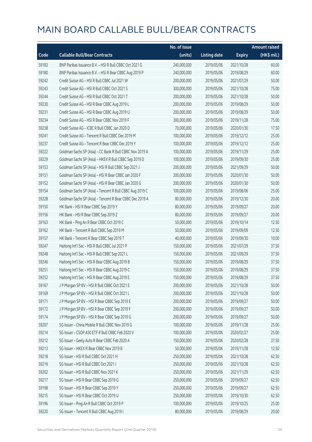|       |                                                          | No. of issue |                     |               | <b>Amount raised</b> |
|-------|----------------------------------------------------------|--------------|---------------------|---------------|----------------------|
| Code  | <b>Callable Bull/Bear Contracts</b>                      | (units)      | <b>Listing date</b> | <b>Expiry</b> | (HK\$ mil.)          |
| 59183 | BNP Paribas Issuance B.V. - HSI R Bull CBBC Oct 2021 G   | 240,000,000  | 2019/05/06          | 2021/10/28    | 60.00                |
| 59180 | BNP Paribas Issuance B.V. - HSI R Bear CBBC Aug 2019 P   | 240,000,000  | 2019/05/06          | 2019/08/29    | 60.00                |
| 59242 | Credit Suisse AG - HSI R Bull CBBC Jul 2021 W            | 200,000,000  | 2019/05/06          | 2021/07/29    | 50.00                |
| 59243 | Credit Suisse AG - HSI R Bull CBBC Oct 2021 S            | 300,000,000  | 2019/05/06          | 2021/10/28    | 75.00                |
| 59244 | Credit Suisse AG - HSI R Bull CBBC Oct 2021 T            | 200,000,000  | 2019/05/06          | 2021/10/28    | 50.00                |
| 59230 | Credit Suisse AG - HSI R Bear CBBC Aug 2019 L            | 200,000,000  | 2019/05/06          | 2019/08/29    | 50.00                |
| 59231 | Credit Suisse AG - HSI R Bear CBBC Aug 2019 U            | 200,000,000  | 2019/05/06          | 2019/08/29    | 50.00                |
| 59234 | Credit Suisse AG - HSI R Bear CBBC Nov 2019 F            | 300,000,000  | 2019/05/06          | 2019/11/28    | 75.00                |
| 59238 | Credit Suisse AG - ICBC R Bull CBBC Jan 2020 D           | 70,000,000   | 2019/05/06          | 2020/01/30    | 17.50                |
| 59241 | Credit Suisse AG - Tencent R Bull CBBC Dec 2019 M        | 100,000,000  | 2019/05/06          | 2019/12/12    | 25.00                |
| 59237 | Credit Suisse AG - Tencent R Bear CBBC Dec 2019 Y        | 100,000,000  | 2019/05/06          | 2019/12/12    | 25.00                |
| 59222 | Goldman Sachs SP (Asia) - CC Bank R Bull CBBC Nov 2019 A | 100,000,000  | 2019/05/06          | 2019/11/29    | 25.00                |
| 59229 | Goldman Sachs SP (Asia) - HKEX R Bull CBBC Sep 2019 D    | 100,000,000  | 2019/05/06          | 2019/09/30    | 25.00                |
| 59153 | Goldman Sachs SP (Asia) - HSI R Bull CBBC Sep 2021 J     | 200,000,000  | 2019/05/06          | 2021/09/29    | 50.00                |
| 59151 | Goldman Sachs SP (Asia) - HSI R Bear CBBC Jan 2020 F     | 200,000,000  | 2019/05/06          | 2020/01/30    | 50.00                |
| 59152 | Goldman Sachs SP (Asia) - HSI R Bear CBBC Jan 2020 G     | 200,000,000  | 2019/05/06          | 2020/01/30    | 50.00                |
| 59154 | Goldman Sachs SP (Asia) - Tencent R Bull CBBC Aug 2019 C | 100,000,000  | 2019/05/06          | 2019/08/06    | 25.00                |
| 59228 | Goldman Sachs SP (Asia) - Tencent R Bear CBBC Dec 2019 A | 80,000,000   | 2019/05/06          | 2019/12/30    | 20.00                |
| 59150 | HK Bank - HSI R Bear CBBC Sep 2019 Y                     | 80,000,000   | 2019/05/06          | 2019/09/27    | 20.00                |
| 59156 | HK Bank - HSI R Bear CBBC Sep 2019 Z                     | 80,000,000   | 2019/05/06          | 2019/09/27    | 20.00                |
| 59163 | HK Bank - Ping An R Bear CBBC Oct 2019 C                 | 50,000,000   | 2019/05/06          | 2019/10/14    | 12.50                |
| 59162 | HK Bank - Tencent R Bull CBBC Sep 2019 M                 | 50,000,000   | 2019/05/06          | 2019/09/09    | 12.50                |
| 59157 | HK Bank - Tencent R Bear CBBC Sep 2019 T                 | 40,000,000   | 2019/05/06          | 2019/09/30    | 10.00                |
| 59247 | Haitong Int'l Sec - HSI R Bull CBBC Jul 2021 P           | 150,000,000  | 2019/05/06          | 2021/07/29    | 37.50                |
| 59248 | Haitong Int'l Sec - HSI R Bull CBBC Sep 2021 L           | 150,000,000  | 2019/05/06          | 2021/09/29    | 37.50                |
| 59246 | Haitong Int'l Sec - HSI R Bear CBBC Aug 2019 B           | 150,000,000  | 2019/05/06          | 2019/08/29    | 37.50                |
| 59251 | Haitong Int'l Sec - HSI R Bear CBBC Aug 2019 C           | 150,000,000  | 2019/05/06          | 2019/08/29    | 37.50                |
| 59252 | Haitong Int'l Sec - HSI R Bear CBBC Aug 2019 E           | 150,000,000  | 2019/05/06          | 2019/08/29    | 37.50                |
| 59167 | J P Morgan SP BV - HSI R Bull CBBC Oct 2021 E            | 200,000,000  | 2019/05/06          | 2021/10/28    | 50.00                |
| 59169 | J P Morgan SP BV - HSI R Bull CBBC Oct 2021 L            | 200,000,000  | 2019/05/06          | 2021/10/28    | 50.00                |
| 59171 | J P Morgan SP BV - HSI R Bear CBBC Sep 2019 E            | 200,000,000  | 2019/05/06          | 2019/09/27    | 50.00                |
| 59172 | J P Morgan SP BV - HSI R Bear CBBC Sep 2019 F            | 200,000,000  | 2019/05/06          | 2019/09/27    | 50.00                |
| 59174 | J P Morgan SP BV - HSI R Bear CBBC Sep 2019 G            | 200,000,000  | 2019/05/06          | 2019/09/27    | 50.00                |
| 59207 | SG Issuer - China Mobile R Bull CBBC Nov 2019 G          | 100,000,000  | 2019/05/06          | 2019/11/28    | 25.00                |
| 59214 | SG Issuer - CSOP A50 ETF R Bull CBBC Feb 2020 V          | 100,000,000  | 2019/05/06          | 2020/02/27    | 25.00                |
| 59212 | SG Issuer - Geely Auto R Bear CBBC Feb 2020 A            | 150,000,000  | 2019/05/06          | 2020/02/28    | 37.50                |
| 59213 | SG Issuer - HKEX R Bear CBBC Nov 2019 B                  | 50,000,000   | 2019/05/06          | 2019/11/28    | 12.50                |
| 59218 | SG Issuer - HSI R Bull CBBC Oct 2021 H                   | 250,000,000  | 2019/05/06          | 2021/10/28    | 62.50                |
| 59219 | SG Issuer - HSI R Bull CBBC Oct 2021 I                   | 250,000,000  | 2019/05/06          | 2021/10/28    | 62.50                |
| 59202 | SG Issuer - HSI R Bull CBBC Nov 2021 K                   | 250,000,000  | 2019/05/06          | 2021/11/29    | 62.50                |
| 59217 | SG Issuer - HSI R Bear CBBC Sep 2019 G                   | 250,000,000  | 2019/05/06          | 2019/09/27    | 62.50                |
| 59198 | SG Issuer - HSI R Bear CBBC Sep 2019 Y                   | 250,000,000  | 2019/05/06          | 2019/09/27    | 62.50                |
| 59215 | SG Issuer - HSI R Bear CBBC Oct 2019 U                   | 250,000,000  | 2019/05/06          | 2019/10/30    | 62.50                |
| 59196 | SG Issuer - Ping An R Bull CBBC Oct 2019 P               | 100,000,000  | 2019/05/06          | 2019/10/25    | 25.00                |
| 59220 | SG Issuer - Tencent R Bull CBBC Aug 2019 I               | 80,000,000   | 2019/05/06          | 2019/08/29    | 20.00                |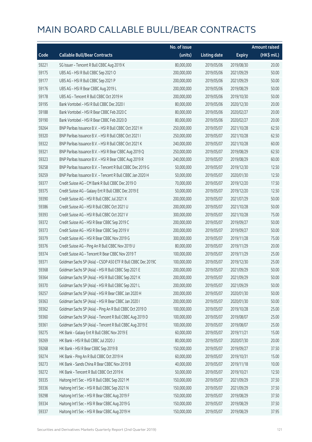|       |                                                              | No. of issue |                     |               | <b>Amount raised</b> |
|-------|--------------------------------------------------------------|--------------|---------------------|---------------|----------------------|
| Code  | <b>Callable Bull/Bear Contracts</b>                          | (units)      | <b>Listing date</b> | <b>Expiry</b> | (HK\$ mil.)          |
| 59221 | SG Issuer - Tencent R Bull CBBC Aug 2019 K                   | 80,000,000   | 2019/05/06          | 2019/08/30    | 20.00                |
| 59175 | UBS AG - HSI R Bull CBBC Sep 2021 O                          | 200,000,000  | 2019/05/06          | 2021/09/29    | 50.00                |
| 59177 | UBS AG - HSI R Bull CBBC Sep 2021 P                          | 200,000,000  | 2019/05/06          | 2021/09/29    | 50.00                |
| 59176 | UBS AG - HSI R Bear CBBC Aug 2019 L                          | 200,000,000  | 2019/05/06          | 2019/08/29    | 50.00                |
| 59178 | UBS AG - Tencent R Bull CBBC Oct 2019 H                      | 200,000,000  | 2019/05/06          | 2019/10/30    | 50.00                |
| 59195 | Bank Vontobel - HSI R Bull CBBC Dec 2020 I                   | 80,000,000   | 2019/05/06          | 2020/12/30    | 20.00                |
| 59188 | Bank Vontobel - HSI R Bear CBBC Feb 2020 C                   | 80,000,000   | 2019/05/06          | 2020/02/27    | 20.00                |
| 59190 | Bank Vontobel - HSI R Bear CBBC Feb 2020 D                   | 80,000,000   | 2019/05/06          | 2020/02/27    | 20.00                |
| 59264 | BNP Paribas Issuance B.V. - HSI R Bull CBBC Oct 2021 H       | 250,000,000  | 2019/05/07          | 2021/10/28    | 62.50                |
| 59320 | BNP Paribas Issuance B.V. - HSI R Bull CBBC Oct 2021 I       | 250,000,000  | 2019/05/07          | 2021/10/28    | 62.50                |
| 59322 | BNP Paribas Issuance B.V. - HSI R Bull CBBC Oct 2021 K       | 240,000,000  | 2019/05/07          | 2021/10/28    | 60.00                |
| 59321 | BNP Paribas Issuance B.V. - HSI R Bear CBBC Aug 2019 Q       | 250,000,000  | 2019/05/07          | 2019/08/29    | 62.50                |
| 59323 | BNP Paribas Issuance B.V. - HSI R Bear CBBC Aug 2019 R       | 240,000,000  | 2019/05/07          | 2019/08/29    | 60.00                |
| 59258 | BNP Paribas Issuance B.V. - Tencent R Bull CBBC Dec 2019 G   | 50,000,000   | 2019/05/07          | 2019/12/30    | 12.50                |
| 59259 | BNP Paribas Issuance B.V. - Tencent R Bull CBBC Jan 2020 H   | 50,000,000   | 2019/05/07          | 2020/01/30    | 12.50                |
| 59377 | Credit Suisse AG - CM Bank R Bull CBBC Dec 2019 O            | 70,000,000   | 2019/05/07          | 2019/12/20    | 17.50                |
| 59375 | Credit Suisse AG - Galaxy Ent R Bull CBBC Dec 2019 E         | 50,000,000   | 2019/05/07          | 2019/12/20    | 12.50                |
| 59390 | Credit Suisse AG - HSI R Bull CBBC Jul 2021 X                | 200,000,000  | 2019/05/07          | 2021/07/29    | 50.00                |
| 59386 | Credit Suisse AG - HSI R Bull CBBC Oct 2021 U                | 200,000,000  | 2019/05/07          | 2021/10/28    | 50.00                |
| 59393 | Credit Suisse AG - HSI R Bull CBBC Oct 2021 V                | 300,000,000  | 2019/05/07          | 2021/10/28    | 75.00                |
| 59372 | Credit Suisse AG - HSI R Bear CBBC Sep 2019 C                | 200,000,000  | 2019/05/07          | 2019/09/27    | 50.00                |
| 59373 | Credit Suisse AG - HSI R Bear CBBC Sep 2019 V                | 200,000,000  | 2019/05/07          | 2019/09/27    | 50.00                |
| 59379 | Credit Suisse AG - HSI R Bear CBBC Nov 2019 G                | 300,000,000  | 2019/05/07          | 2019/11/28    | 75.00                |
| 59376 | Credit Suisse AG - Ping An R Bull CBBC Nov 2019 U            | 80,000,000   | 2019/05/07          | 2019/11/29    | 20.00                |
| 59374 | Credit Suisse AG - Tencent R Bear CBBC Nov 2019 T            | 100,000,000  | 2019/05/07          | 2019/11/29    | 25.00                |
| 59371 | Goldman Sachs SP (Asia) - CSOP A50 ETF R Bull CBBC Dec 2019C | 100,000,000  | 2019/05/07          | 2019/12/30    | 25.00                |
| 59368 | Goldman Sachs SP (Asia) - HSI R Bull CBBC Sep 2021 E         | 200,000,000  | 2019/05/07          | 2021/09/29    | 50.00                |
| 59364 | Goldman Sachs SP (Asia) - HSI R Bull CBBC Sep 2021 K         | 200,000,000  | 2019/05/07          | 2021/09/29    | 50.00                |
| 59370 | Goldman Sachs SP (Asia) - HSI R Bull CBBC Sep 2021 L         | 200,000,000  | 2019/05/07          | 2021/09/29    | 50.00                |
| 59257 | Goldman Sachs SP (Asia) - HSI R Bear CBBC Jan 2020 H         | 200,000,000  | 2019/05/07          | 2020/01/30    | 50.00                |
| 59363 | Goldman Sachs SP (Asia) - HSI R Bear CBBC Jan 2020 I         | 200,000,000  | 2019/05/07          | 2020/01/30    | 50.00                |
| 59362 | Goldman Sachs SP (Asia) - Ping An R Bull CBBC Oct 2019 D     | 100,000,000  | 2019/05/07          | 2019/10/28    | 25.00                |
| 59360 | Goldman Sachs SP (Asia) - Tencent R Bull CBBC Aug 2019 D     | 100,000,000  | 2019/05/07          | 2019/08/07    | 25.00                |
| 59361 | Goldman Sachs SP (Asia) - Tencent R Bull CBBC Aug 2019 E     | 100,000,000  | 2019/05/07          | 2019/08/07    | 25.00                |
| 59275 | HK Bank - Galaxy Ent R Bull CBBC Nov 2019 E                  | 60,000,000   | 2019/05/07          | 2019/11/21    | 15.00                |
| 59269 | HK Bank - HSI R Bull CBBC Jul 2020 J                         | 80,000,000   | 2019/05/07          | 2020/07/30    | 20.00                |
| 59268 | HK Bank - HSI R Bear CBBC Sep 2019 B                         | 150,000,000  | 2019/05/07          | 2019/09/27    | 37.50                |
| 59274 | HK Bank - Ping An R Bull CBBC Oct 2019 H                     | 60,000,000   | 2019/05/07          | 2019/10/31    | 15.00                |
| 59273 | HK Bank - Sands China R Bear CBBC Nov 2019 B                 | 40,000,000   | 2019/05/07          | 2019/11/18    | 10.00                |
| 59272 | HK Bank - Tencent R Bull CBBC Oct 2019 K                     | 50,000,000   | 2019/05/07          | 2019/10/21    | 12.50                |
| 59335 | Haitong Int'l Sec - HSI R Bull CBBC Sep 2021 M               | 150,000,000  | 2019/05/07          | 2021/09/29    | 37.50                |
| 59336 | Haitong Int'l Sec - HSI R Bull CBBC Sep 2021 N               | 150,000,000  | 2019/05/07          | 2021/09/29    | 37.50                |
| 59298 | Haitong Int'l Sec - HSI R Bear CBBC Aug 2019 F               | 150,000,000  | 2019/05/07          | 2019/08/29    | 37.50                |
| 59334 | Haitong Int'l Sec - HSI R Bear CBBC Aug 2019 G               | 150,000,000  | 2019/05/07          | 2019/08/29    | 37.50                |
| 59337 | Haitong Int'l Sec - HSI R Bear CBBC Aug 2019 H               | 150,000,000  | 2019/05/07          | 2019/08/29    | 37.95                |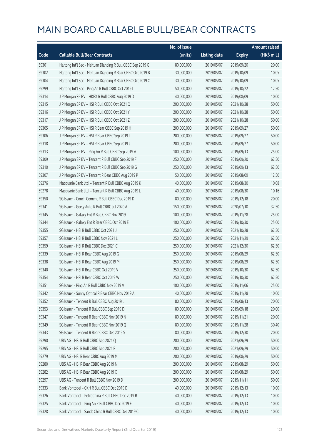|       |                                                             | No. of issue |                     |               | <b>Amount raised</b> |
|-------|-------------------------------------------------------------|--------------|---------------------|---------------|----------------------|
| Code  | <b>Callable Bull/Bear Contracts</b>                         | (units)      | <b>Listing date</b> | <b>Expiry</b> | (HK\$ mil.)          |
| 59301 | Haitong Int'l Sec - Meituan Dianping R Bull CBBC Sep 2019 G | 80,000,000   | 2019/05/07          | 2019/09/20    | 20.00                |
| 59302 | Haitong Int'l Sec - Meituan Dianping R Bear CBBC Oct 2019 B | 30,000,000   | 2019/05/07          | 2019/10/09    | 10.05                |
| 59304 | Haitong Int'l Sec - Meituan Dianping R Bear CBBC Oct 2019 C | 30,000,000   | 2019/05/07          | 2019/10/09    | 10.05                |
| 59299 | Haitong Int'l Sec - Ping An R Bull CBBC Oct 2019 I          | 50,000,000   | 2019/05/07          | 2019/10/22    | 12.50                |
| 59314 | J P Morgan SP BV - HKEX R Bull CBBC Aug 2019 D              | 40,000,000   | 2019/05/07          | 2019/08/09    | 10.00                |
| 59315 | J P Morgan SP BV - HSI R Bull CBBC Oct 2021 Q               | 200,000,000  | 2019/05/07          | 2021/10/28    | 50.00                |
| 59316 | J P Morgan SP BV - HSI R Bull CBBC Oct 2021 Y               | 200,000,000  | 2019/05/07          | 2021/10/28    | 50.00                |
| 59317 | J P Morgan SP BV - HSI R Bull CBBC Oct 2021 Z               | 200,000,000  | 2019/05/07          | 2021/10/28    | 50.00                |
| 59305 | J P Morgan SP BV - HSI R Bear CBBC Sep 2019 H               | 200,000,000  | 2019/05/07          | 2019/09/27    | 50.00                |
| 59306 | J P Morgan SP BV - HSI R Bear CBBC Sep 2019 I               | 200,000,000  | 2019/05/07          | 2019/09/27    | 50.00                |
| 59318 | J P Morgan SP BV - HSI R Bear CBBC Sep 2019 J               | 200,000,000  | 2019/05/07          | 2019/09/27    | 50.00                |
| 59313 | J P Morgan SP BV - Ping An R Bull CBBC Sep 2019 A           | 100,000,000  | 2019/05/07          | 2019/09/13    | 25.00                |
| 59309 | JP Morgan SP BV - Tencent R Bull CBBC Sep 2019 F            | 250,000,000  | 2019/05/07          | 2019/09/20    | 62.50                |
| 59310 | J P Morgan SP BV - Tencent R Bull CBBC Sep 2019 G           | 250,000,000  | 2019/05/07          | 2019/09/13    | 62.50                |
| 59307 | J P Morgan SP BV - Tencent R Bear CBBC Aug 2019 P           | 50,000,000   | 2019/05/07          | 2019/08/09    | 12.50                |
| 59276 | Macquarie Bank Ltd. - Tencent R Bull CBBC Aug 2019 K        | 40,000,000   | 2019/05/07          | 2019/08/30    | 10.08                |
| 59278 | Macquarie Bank Ltd. - Tencent R Bull CBBC Aug 2019 L        | 40,000,000   | 2019/05/07          | 2019/08/30    | 10.16                |
| 59350 | SG Issuer - Conch Cement R Bull CBBC Dec 2019 D             | 80,000,000   | 2019/05/07          | 2019/12/18    | 20.00                |
| 59341 | SG Issuer - Geely Auto R Bull CBBC Jul 2020 A               | 150,000,000  | 2019/05/07          | 2020/07/10    | 37.50                |
| 59345 | SG Issuer - Galaxy Ent R Bull CBBC Nov 2019 I               | 100,000,000  | 2019/05/07          | 2019/11/28    | 25.00                |
| 59344 | SG Issuer - Galaxy Ent R Bear CBBC Oct 2019 E               | 100,000,000  | 2019/05/07          | 2019/10/30    | 25.00                |
| 59355 | SG Issuer - HSI R Bull CBBC Oct 2021 J                      | 250,000,000  | 2019/05/07          | 2021/10/28    | 62.50                |
| 59357 | SG Issuer - HSI R Bull CBBC Nov 2021 L                      | 250,000,000  | 2019/05/07          | 2021/11/29    | 62.50                |
| 59359 | SG Issuer - HSI R Bull CBBC Dec 2021 C                      | 250,000,000  | 2019/05/07          | 2021/12/30    | 62.50                |
| 59339 | SG Issuer - HSI R Bear CBBC Aug 2019 G                      | 250,000,000  | 2019/05/07          | 2019/08/29    | 62.50                |
| 59338 | SG Issuer - HSI R Bear CBBC Aug 2019 M                      | 250,000,000  | 2019/05/07          | 2019/08/29    | 62.50                |
| 59340 | SG Issuer - HSI R Bear CBBC Oct 2019 V                      | 250,000,000  | 2019/05/07          | 2019/10/30    | 62.50                |
| 59354 | SG Issuer - HSI R Bear CBBC Oct 2019 W                      | 250,000,000  | 2019/05/07          | 2019/10/30    | 62.50                |
| 59351 | SG Issuer - Ping An R Bull CBBC Nov 2019 V                  | 100,000,000  | 2019/05/07          | 2019/11/06    | 25.00                |
| 59342 | SG Issuer - Sunny Optical R Bear CBBC Nov 2019 A            | 40,000,000   | 2019/05/07          | 2019/11/28    | 10.00                |
| 59352 | SG Issuer - Tencent R Bull CBBC Aug 2019 L                  | 80,000,000   | 2019/05/07          | 2019/08/13    | 20.00                |
| 59353 | SG Issuer - Tencent R Bull CBBC Sep 2019 D                  | 80,000,000   | 2019/05/07          | 2019/09/18    | 20.00                |
| 59347 | SG Issuer - Tencent R Bear CBBC Nov 2019 N                  | 80,000,000   | 2019/05/07          | 2019/11/21    | 20.00                |
| 59349 | SG Issuer - Tencent R Bear CBBC Nov 2019 Q                  | 80,000,000   | 2019/05/07          | 2019/11/28    | 30.40                |
| 59343 | SG Issuer - Tencent R Bear CBBC Dec 2019 S                  | 80,000,000   | 2019/05/07          | 2019/12/30    | 20.00                |
| 59290 | UBS AG - HSI R Bull CBBC Sep 2021 Q                         | 200,000,000  | 2019/05/07          | 2021/09/29    | 50.00                |
| 59295 | UBS AG - HSI R Bull CBBC Sep 2021 R                         | 200,000,000  | 2019/05/07          | 2021/09/29    | 50.00                |
| 59279 | UBS AG - HSI R Bear CBBC Aug 2019 M                         | 200,000,000  | 2019/05/07          | 2019/08/29    | 50.00                |
| 59280 | UBS AG - HSI R Bear CBBC Aug 2019 N                         | 200,000,000  | 2019/05/07          | 2019/08/29    | 50.00                |
| 59282 | UBS AG - HSI R Bear CBBC Aug 2019 O                         | 200,000,000  | 2019/05/07          | 2019/08/29    | 50.00                |
| 59297 | UBS AG - Tencent R Bull CBBC Nov 2019 D                     | 200,000,000  | 2019/05/07          | 2019/11/11    | 50.00                |
| 59333 | Bank Vontobel - CKH R Bull CBBC Dec 2019 D                  | 40,000,000   | 2019/05/07          | 2019/12/13    | 10.00                |
| 59326 | Bank Vontobel - PetroChina R Bull CBBC Dec 2019 B           | 40,000,000   | 2019/05/07          | 2019/12/13    | 10.00                |
| 59325 | Bank Vontobel - Ping An R Bull CBBC Dec 2019 E              | 40,000,000   | 2019/05/07          | 2019/12/13    | 10.00                |
| 59328 | Bank Vontobel - Sands China R Bull CBBC Dec 2019 C          | 40,000,000   | 2019/05/07          | 2019/12/13    | 10.00                |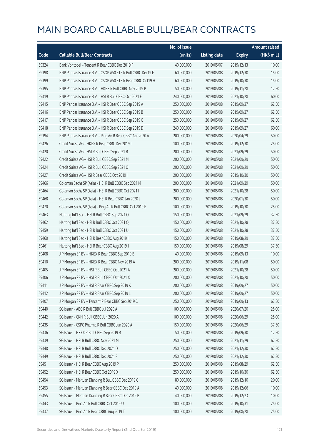|       |                                                              | No. of issue |                     |               | <b>Amount raised</b> |
|-------|--------------------------------------------------------------|--------------|---------------------|---------------|----------------------|
| Code  | <b>Callable Bull/Bear Contracts</b>                          | (units)      | <b>Listing date</b> | <b>Expiry</b> | (HK\$ mil.)          |
| 59324 | Bank Vontobel - Tencent R Bear CBBC Dec 2019 F               | 40,000,000   | 2019/05/07          | 2019/12/13    | 10.00                |
| 59398 | BNP Paribas Issuance B.V. - CSOP A50 ETF R Bull CBBC Dec19 F | 60,000,000   | 2019/05/08          | 2019/12/30    | 15.00                |
| 59399 | BNP Paribas Issuance B.V. - CSOP A50 ETF R Bear CBBC Oct19 H | 60,000,000   | 2019/05/08          | 2019/10/30    | 15.00                |
| 59395 | BNP Paribas Issuance B.V. - HKEX R Bull CBBC Nov 2019 P      | 50,000,000   | 2019/05/08          | 2019/11/28    | 12.50                |
| 59419 | BNP Paribas Issuance B.V. - HSI R Bull CBBC Oct 2021 E       | 240,000,000  | 2019/05/08          | 2021/10/28    | 60.00                |
| 59415 | BNP Paribas Issuance B.V. - HSI R Bear CBBC Sep 2019 A       | 250,000,000  | 2019/05/08          | 2019/09/27    | 62.50                |
| 59416 | BNP Paribas Issuance B.V. - HSI R Bear CBBC Sep 2019 B       | 250,000,000  | 2019/05/08          | 2019/09/27    | 62.50                |
| 59417 | BNP Paribas Issuance B.V. - HSI R Bear CBBC Sep 2019 C       | 250,000,000  | 2019/05/08          | 2019/09/27    | 62.50                |
| 59418 | BNP Paribas Issuance B.V. - HSI R Bear CBBC Sep 2019 D       | 240,000,000  | 2019/05/08          | 2019/09/27    | 60.00                |
| 59394 | BNP Paribas Issuance B.V. - Ping An R Bear CBBC Apr 2020 A   | 200,000,000  | 2019/05/08          | 2020/04/29    | 50.00                |
| 59426 | Credit Suisse AG - HKEX R Bear CBBC Dec 2019 I               | 100,000,000  | 2019/05/08          | 2019/12/30    | 25.00                |
| 59420 | Credit Suisse AG - HSI R Bull CBBC Sep 2021 B                | 200,000,000  | 2019/05/08          | 2021/09/29    | 50.00                |
| 59422 | Credit Suisse AG - HSI R Bull CBBC Sep 2021 M                | 200,000,000  | 2019/05/08          | 2021/09/29    | 50.00                |
| 59424 | Credit Suisse AG - HSI R Bull CBBC Sep 2021 O                | 200,000,000  | 2019/05/08          | 2021/09/29    | 50.00                |
| 59427 | Credit Suisse AG - HSI R Bear CBBC Oct 2019 I                | 200,000,000  | 2019/05/08          | 2019/10/30    | 50.00                |
| 59466 | Goldman Sachs SP (Asia) - HSI R Bull CBBC Sep 2021 M         | 200,000,000  | 2019/05/08          | 2021/09/29    | 50.00                |
| 59464 | Goldman Sachs SP (Asia) - HSI R Bull CBBC Oct 2021 I         | 200,000,000  | 2019/05/08          | 2021/10/28    | 50.00                |
| 59468 | Goldman Sachs SP (Asia) - HSI R Bear CBBC Jan 2020 J         | 200,000,000  | 2019/05/08          | 2020/01/30    | 50.00                |
| 59470 | Goldman Sachs SP (Asia) - Ping An R Bull CBBC Oct 2019 E     | 100,000,000  | 2019/05/08          | 2019/10/30    | 25.00                |
| 59463 | Haitong Int'l Sec - HSI R Bull CBBC Sep 2021 O               | 150,000,000  | 2019/05/08          | 2021/09/29    | 37.50                |
| 59462 | Haitong Int'l Sec - HSI R Bull CBBC Oct 2021 Q               | 150,000,000  | 2019/05/08          | 2021/10/28    | 37.50                |
| 59459 | Haitong Int'l Sec - HSI R Bull CBBC Oct 2021 U               | 150,000,000  | 2019/05/08          | 2021/10/28    | 37.50                |
| 59460 | Haitong Int'l Sec - HSI R Bear CBBC Aug 2019 I               | 150,000,000  | 2019/05/08          | 2019/08/29    | 37.50                |
| 59461 | Haitong Int'l Sec - HSI R Bear CBBC Aug 2019 J               | 150,000,000  | 2019/05/08          | 2019/08/29    | 37.50                |
| 59408 | J P Morgan SP BV - HKEX R Bear CBBC Sep 2019 B               | 40,000,000   | 2019/05/08          | 2019/09/13    | 10.00                |
| 59410 | J P Morgan SP BV - HKEX R Bear CBBC Nov 2019 A               | 200,000,000  | 2019/05/08          | 2019/11/08    | 50.00                |
| 59405 | J P Morgan SP BV - HSI R Bull CBBC Oct 2021 A                | 200,000,000  | 2019/05/08          | 2021/10/28    | 50.00                |
| 59406 | J P Morgan SP BV - HSI R Bull CBBC Oct 2021 X                | 200,000,000  | 2019/05/08          | 2021/10/28    | 50.00                |
| 59411 | J P Morgan SP BV - HSI R Bear CBBC Sep 2019 K                | 200,000,000  | 2019/05/08          | 2019/09/27    | 50.00                |
| 59412 | J P Morgan SP BV - HSI R Bear CBBC Sep 2019 L                | 200,000,000  | 2019/05/08          | 2019/09/27    | 50.00                |
| 59407 | J P Morgan SP BV - Tencent R Bear CBBC Sep 2019 C            | 250,000,000  | 2019/05/08          | 2019/09/13    | 62.50                |
| 59440 | SG Issuer - ABC R Bull CBBC Jul 2020 A                       | 100,000,000  | 2019/05/08          | 2020/07/20    | 25.00                |
| 59442 | SG Issuer - CKH R Bull CBBC Jun 2020 A                       | 100,000,000  | 2019/05/08          | 2020/06/29    | 25.00                |
| 59435 | SG Issuer - CSPC Pharma R Bull CBBC Jun 2020 A               | 150,000,000  | 2019/05/08          | 2020/06/29    | 37.50                |
| 59436 | SG Issuer - HKEX R Bull CBBC Sep 2019 R                      | 50,000,000   | 2019/05/08          | 2019/09/30    | 12.50                |
| 59439 | SG Issuer - HSI R Bull CBBC Nov 2021 M                       | 250,000,000  | 2019/05/08          | 2021/11/29    | 62.50                |
| 59448 | SG Issuer - HSI R Bull CBBC Dec 2021 D                       | 250,000,000  | 2019/05/08          | 2021/12/30    | 62.50                |
| 59449 | SG Issuer - HSI R Bull CBBC Dec 2021 E                       | 250,000,000  | 2019/05/08          | 2021/12/30    | 62.50                |
| 59451 | SG Issuer - HSI R Bear CBBC Aug 2019 P                       | 250,000,000  | 2019/05/08          | 2019/08/29    | 62.50                |
| 59452 | SG Issuer - HSI R Bear CBBC Oct 2019 X                       | 250,000,000  | 2019/05/08          | 2019/10/30    | 62.50                |
| 59454 | SG Issuer - Meituan Dianping R Bull CBBC Dec 2019 C          | 80,000,000   | 2019/05/08          | 2019/12/10    | 20.00                |
| 59453 | SG Issuer - Meituan Dianping R Bear CBBC Dec 2019 A          | 40,000,000   | 2019/05/08          | 2019/12/06    | 10.00                |
| 59455 | SG Issuer - Meituan Dianping R Bear CBBC Dec 2019 B          | 40,000,000   | 2019/05/08          | 2019/12/23    | 10.00                |
| 59443 | SG Issuer - Ping An R Bull CBBC Oct 2019 U                   | 100,000,000  | 2019/05/08          | 2019/10/31    | 25.00                |
| 59437 | SG Issuer - Ping An R Bear CBBC Aug 2019 T                   | 100,000,000  | 2019/05/08          | 2019/08/28    | 25.00                |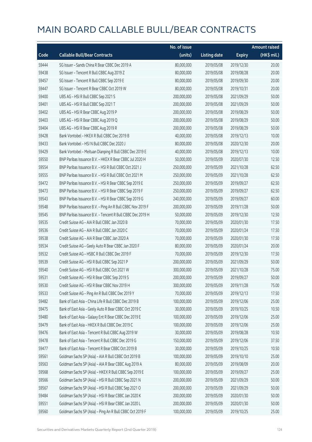|       |                                                            | No. of issue |                     |               | <b>Amount raised</b> |
|-------|------------------------------------------------------------|--------------|---------------------|---------------|----------------------|
| Code  | <b>Callable Bull/Bear Contracts</b>                        | (units)      | <b>Listing date</b> | <b>Expiry</b> | (HK\$ mil.)          |
| 59444 | SG Issuer - Sands China R Bear CBBC Dec 2019 A             | 80,000,000   | 2019/05/08          | 2019/12/30    | 20.00                |
| 59438 | SG Issuer - Tencent R Bull CBBC Aug 2019 Z                 | 80,000,000   | 2019/05/08          | 2019/08/28    | 20.00                |
| 59457 | SG Issuer - Tencent R Bull CBBC Sep 2019 E                 | 80,000,000   | 2019/05/08          | 2019/09/30    | 20.00                |
| 59447 | SG Issuer - Tencent R Bear CBBC Oct 2019 W                 | 80,000,000   | 2019/05/08          | 2019/10/31    | 20.00                |
| 59400 | UBS AG - HSI R Bull CBBC Sep 2021 S                        | 200,000,000  | 2019/05/08          | 2021/09/29    | 50.00                |
| 59401 | UBS AG - HSI R Bull CBBC Sep 2021 T                        | 200,000,000  | 2019/05/08          | 2021/09/29    | 50.00                |
| 59402 | UBS AG - HSI R Bear CBBC Aug 2019 P                        | 200,000,000  | 2019/05/08          | 2019/08/29    | 50.00                |
| 59403 | UBS AG - HSI R Bear CBBC Aug 2019 Q                        | 200,000,000  | 2019/05/08          | 2019/08/29    | 50.00                |
| 59404 | UBS AG - HSI R Bear CBBC Aug 2019 R                        | 200,000,000  | 2019/05/08          | 2019/08/29    | 50.00                |
| 59428 | Bank Vontobel - HKEX R Bull CBBC Dec 2019 B                | 40,000,000   | 2019/05/08          | 2019/12/13    | 10.00                |
| 59433 | Bank Vontobel - HSI N Bull CBBC Dec 2020 J                 | 80,000,000   | 2019/05/08          | 2020/12/30    | 20.00                |
| 59429 | Bank Vontobel - Meituan Dianping R Bull CBBC Dec 2019 E    | 40,000,000   | 2019/05/08          | 2019/12/13    | 10.00                |
| 59550 | BNP Paribas Issuance B.V. - HKEX R Bear CBBC Jul 2020 H    | 50,000,000   | 2019/05/09          | 2020/07/30    | 12.50                |
| 59554 | BNP Paribas Issuance B.V. - HSI R Bull CBBC Oct 2021 J     | 250,000,000  | 2019/05/09          | 2021/10/28    | 62.50                |
| 59555 | BNP Paribas Issuance B.V. - HSI R Bull CBBC Oct 2021 M     | 250,000,000  | 2019/05/09          | 2021/10/28    | 62.50                |
| 59472 | BNP Paribas Issuance B.V. - HSI R Bear CBBC Sep 2019 E     | 250,000,000  | 2019/05/09          | 2019/09/27    | 62.50                |
| 59473 | BNP Paribas Issuance B.V. - HSI R Bear CBBC Sep 2019 F     | 250,000,000  | 2019/05/09          | 2019/09/27    | 62.50                |
| 59543 | BNP Paribas Issuance B.V. - HSI R Bear CBBC Sep 2019 G     | 240,000,000  | 2019/05/09          | 2019/09/27    | 60.00                |
| 59548 | BNP Paribas Issuance B.V. - Ping An R Bull CBBC Nov 2019 F | 200,000,000  | 2019/05/09          | 2019/11/28    | 50.00                |
| 59545 | BNP Paribas Issuance B.V. - Tencent R Bull CBBC Dec 2019 H | 50,000,000   | 2019/05/09          | 2019/12/30    | 12.50                |
| 59535 | Credit Suisse AG - AIA R Bull CBBC Jan 2020 B              | 70,000,000   | 2019/05/09          | 2020/01/30    | 17.50                |
| 59536 | Credit Suisse AG - AIA R Bull CBBC Jan 2020 C              | 70,000,000   | 2019/05/09          | 2020/01/24    | 17.50                |
| 59538 | Credit Suisse AG - AIA R Bear CBBC Jan 2020 A              | 70,000,000   | 2019/05/09          | 2020/01/30    | 17.50                |
| 59534 | Credit Suisse AG - Geely Auto R Bear CBBC Jan 2020 F       | 80,000,000   | 2019/05/09          | 2020/01/24    | 20.00                |
| 59532 | Credit Suisse AG - HSBC R Bull CBBC Dec 2019 F             | 70,000,000   | 2019/05/09          | 2019/12/30    | 17.50                |
| 59539 | Credit Suisse AG - HSI R Bull CBBC Sep 2021 P              | 200,000,000  | 2019/05/09          | 2021/09/29    | 50.00                |
| 59540 | Credit Suisse AG - HSI R Bull CBBC Oct 2021 W              | 300,000,000  | 2019/05/09          | 2021/10/28    | 75.00                |
| 59531 | Credit Suisse AG - HSI R Bear CBBC Sep 2019 S              | 200,000,000  | 2019/05/09          | 2019/09/27    | 50.00                |
| 59530 | Credit Suisse AG - HSI R Bear CBBC Nov 2019 H              | 300,000,000  | 2019/05/09          | 2019/11/28    | 75.00                |
| 59533 | Credit Suisse AG - Ping An R Bull CBBC Dec 2019 Y          | 70,000,000   | 2019/05/09          | 2019/12/13    | 17.50                |
| 59482 | Bank of East Asia - China Life R Bull CBBC Dec 2019 B      | 100,000,000  | 2019/05/09          | 2019/12/06    | 25.00                |
| 59475 | Bank of East Asia - Geely Auto R Bear CBBC Oct 2019 C      | 30,000,000   | 2019/05/09          | 2019/10/25    | 10.50                |
| 59480 | Bank of East Asia - Galaxy Ent R Bear CBBC Dec 2019 E      | 100,000,000  | 2019/05/09          | 2019/12/06    | 25.00                |
| 59479 | Bank of East Asia - HKEX R Bull CBBC Dec 2019 C            | 100,000,000  | 2019/05/09          | 2019/12/06    | 25.00                |
| 59476 | Bank of East Asia - Tencent R Bull CBBC Aug 2019 W         | 30,000,000   | 2019/05/09          | 2019/08/28    | 10.50                |
| 59478 | Bank of East Asia - Tencent R Bull CBBC Dec 2019 G         | 150,000,000  | 2019/05/09          | 2019/12/06    | 37.50                |
| 59477 | Bank of East Asia - Tencent R Bear CBBC Oct 2019 B         | 30,000,000   | 2019/05/09          | 2019/10/25    | 10.50                |
| 59561 | Goldman Sachs SP (Asia) - AIA R Bull CBBC Oct 2019 B       | 100,000,000  | 2019/05/09          | 2019/10/10    | 25.00                |
| 59563 | Goldman Sachs SP (Asia) - AIA R Bear CBBC Aug 2019 A       | 80,000,000   | 2019/05/09          | 2019/08/09    | 20.00                |
| 59568 | Goldman Sachs SP (Asia) - HKEX R Bull CBBC Sep 2019 E      | 100,000,000  | 2019/05/09          | 2019/09/27    | 25.00                |
| 59566 | Goldman Sachs SP (Asia) - HSI R Bull CBBC Sep 2021 N       | 200,000,000  | 2019/05/09          | 2021/09/29    | 50.00                |
| 59567 | Goldman Sachs SP (Asia) - HSI R Bull CBBC Sep 2021 O       | 200,000,000  | 2019/05/09          | 2021/09/29    | 50.00                |
| 59484 | Goldman Sachs SP (Asia) - HSI R Bear CBBC Jan 2020 K       | 200,000,000  | 2019/05/09          | 2020/01/30    | 50.00                |
| 59551 | Goldman Sachs SP (Asia) - HSI R Bear CBBC Jan 2020 L       | 200,000,000  | 2019/05/09          | 2020/01/30    | 50.00                |
| 59560 | Goldman Sachs SP (Asia) - Ping An R Bull CBBC Oct 2019 F   | 100,000,000  | 2019/05/09          | 2019/10/25    | 25.00                |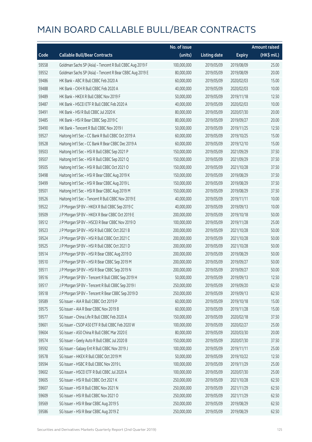|       |                                                          | No. of issue |                     |               | <b>Amount raised</b> |
|-------|----------------------------------------------------------|--------------|---------------------|---------------|----------------------|
| Code  | <b>Callable Bull/Bear Contracts</b>                      | (units)      | <b>Listing date</b> | <b>Expiry</b> | $(HK$$ mil.)         |
| 59558 | Goldman Sachs SP (Asia) - Tencent R Bull CBBC Aug 2019 F | 100,000,000  | 2019/05/09          | 2019/08/09    | 25.00                |
| 59552 | Goldman Sachs SP (Asia) - Tencent R Bear CBBC Aug 2019 E | 80,000,000   | 2019/05/09          | 2019/08/09    | 20.00                |
| 59486 | HK Bank - ABC R Bull CBBC Feb 2020 A                     | 60,000,000   | 2019/05/09          | 2020/02/03    | 15.00                |
| 59488 | HK Bank - CKH R Bull CBBC Feb 2020 A                     | 40,000,000   | 2019/05/09          | 2020/02/03    | 10.00                |
| 59489 | HK Bank - HKEX R Bull CBBC Nov 2019 F                    | 50,000,000   | 2019/05/09          | 2019/11/18    | 12.50                |
| 59487 | HK Bank - HSCEI ETF R Bull CBBC Feb 2020 A               | 40,000,000   | 2019/05/09          | 2020/02/03    | 10.00                |
| 59491 | HK Bank - HSI R Bull CBBC Jul 2020 K                     | 80,000,000   | 2019/05/09          | 2020/07/30    | 20.00                |
| 59485 | HK Bank - HSI R Bear CBBC Sep 2019 C                     | 80,000,000   | 2019/05/09          | 2019/09/27    | 20.00                |
| 59490 | HK Bank - Tencent R Bull CBBC Nov 2019 I                 | 50,000,000   | 2019/05/09          | 2019/11/25    | 12.50                |
| 59527 | Haitong Int'l Sec - CC Bank R Bull CBBC Oct 2019 A       | 60,000,000   | 2019/05/09          | 2019/10/25    | 15.00                |
| 59528 | Haitong Int'l Sec - CC Bank R Bear CBBC Dec 2019 A       | 60,000,000   | 2019/05/09          | 2019/12/10    | 15.00                |
| 59503 | Haitong Int'l Sec - HSI R Bull CBBC Sep 2021 P           | 150,000,000  | 2019/05/09          | 2021/09/29    | 37.50                |
| 59507 | Haitong Int'l Sec - HSI R Bull CBBC Sep 2021 Q           | 150,000,000  | 2019/05/09          | 2021/09/29    | 37.50                |
| 59505 | Haitong Int'l Sec - HSI R Bull CBBC Oct 2021 O           | 150,000,000  | 2019/05/09          | 2021/10/28    | 37.50                |
| 59498 | Haitong Int'l Sec - HSI R Bear CBBC Aug 2019 K           | 150,000,000  | 2019/05/09          | 2019/08/29    | 37.50                |
| 59499 | Haitong Int'l Sec - HSI R Bear CBBC Aug 2019 L           | 150,000,000  | 2019/05/09          | 2019/08/29    | 37.50                |
| 59501 | Haitong Int'l Sec - HSI R Bear CBBC Aug 2019 M           | 150,000,000  | 2019/05/09          | 2019/08/29    | 37.50                |
| 59526 | Haitong Int'l Sec - Tencent R Bull CBBC Nov 2019 E       | 40,000,000   | 2019/05/09          | 2019/11/11    | 10.00                |
| 59522 | J P Morgan SP BV - HKEX R Bull CBBC Sep 2019 C           | 40,000,000   | 2019/05/09          | 2019/09/13    | 10.00                |
| 59509 | J P Morgan SP BV - HKEX R Bear CBBC Oct 2019 E           | 200,000,000  | 2019/05/09          | 2019/10/18    | 50.00                |
| 59512 | J P Morgan SP BV - HSCEI R Bear CBBC Nov 2019 D          | 100,000,000  | 2019/05/09          | 2019/11/28    | 25.00                |
| 59523 | J P Morgan SP BV - HSI R Bull CBBC Oct 2021 B            | 200,000,000  | 2019/05/09          | 2021/10/28    | 50.00                |
| 59524 | J P Morgan SP BV - HSI R Bull CBBC Oct 2021 C            | 200,000,000  | 2019/05/09          | 2021/10/28    | 50.00                |
| 59525 | J P Morgan SP BV - HSI R Bull CBBC Oct 2021 D            | 200,000,000  | 2019/05/09          | 2021/10/28    | 50.00                |
| 59514 | J P Morgan SP BV - HSI R Bear CBBC Aug 2019 D            | 200,000,000  | 2019/05/09          | 2019/08/29    | 50.00                |
| 59510 | J P Morgan SP BV - HSI R Bear CBBC Sep 2019 M            | 200,000,000  | 2019/05/09          | 2019/09/27    | 50.00                |
| 59511 | J P Morgan SP BV - HSI R Bear CBBC Sep 2019 N            | 200,000,000  | 2019/05/09          | 2019/09/27    | 50.00                |
| 59516 | J P Morgan SP BV - Tencent R Bull CBBC Sep 2019 H        | 50,000,000   | 2019/05/09          | 2019/09/13    | 12.50                |
| 59517 | J P Morgan SP BV - Tencent R Bull CBBC Sep 2019 I        | 250,000,000  | 2019/05/09          | 2019/09/20    | 62.50                |
| 59518 | J P Morgan SP BV - Tencent R Bear CBBC Sep 2019 D        | 250,000,000  | 2019/05/09          | 2019/09/13    | 62.50                |
| 59589 | SG Issuer - AIA R Bull CBBC Oct 2019 P                   | 60,000,000   | 2019/05/09          | 2019/10/18    | 15.00                |
| 59575 | SG Issuer - AIA R Bear CBBC Nov 2019 B                   | 60,000,000   | 2019/05/09          | 2019/11/28    | 15.00                |
| 59577 | SG Issuer - China Life R Bull CBBC Feb 2020 A            | 150,000,000  | 2019/05/09          | 2020/02/18    | 37.50                |
| 59601 | SG Issuer - CSOP A50 ETF R Bull CBBC Feb 2020 W          | 100,000,000  | 2019/05/09          | 2020/02/27    | 25.00                |
| 59604 | SG Issuer - A50 China R Bull CBBC Mar 2020 E             | 80,000,000   | 2019/05/09          | 2020/03/30    | 20.00                |
| 59574 | SG Issuer - Geely Auto R Bull CBBC Jul 2020 B            | 150,000,000  | 2019/05/09          | 2020/07/30    | 37.50                |
| 59592 | SG Issuer - Galaxy Ent R Bull CBBC Nov 2019 J            | 100,000,000  | 2019/05/09          | 2019/11/11    | 25.00                |
| 59578 | SG Issuer - HKEX R Bull CBBC Oct 2019 M                  | 50,000,000   | 2019/05/09          | 2019/10/22    | 12.50                |
| 59594 | SG Issuer - HSBC R Bull CBBC Nov 2019 L                  | 100,000,000  | 2019/05/09          | 2019/11/29    | 25.00                |
| 59602 | SG Issuer - HSCEI ETF R Bull CBBC Jul 2020 A             | 100,000,000  | 2019/05/09          | 2020/07/30    | 25.00                |
| 59605 | SG Issuer - HSI R Bull CBBC Oct 2021 K                   | 250,000,000  | 2019/05/09          | 2021/10/28    | 62.50                |
| 59607 | SG Issuer - HSI R Bull CBBC Nov 2021 N                   | 250,000,000  | 2019/05/09          | 2021/11/29    | 62.50                |
| 59609 | SG Issuer - HSI R Bull CBBC Nov 2021 O                   | 250,000,000  | 2019/05/09          | 2021/11/29    | 62.50                |
| 59569 | SG Issuer - HSI R Bear CBBC Aug 2019 S                   | 250,000,000  | 2019/05/09          | 2019/08/29    | 62.50                |
| 59586 | SG Issuer - HSI R Bear CBBC Aug 2019 Z                   | 250,000,000  | 2019/05/09          | 2019/08/29    | 62.50                |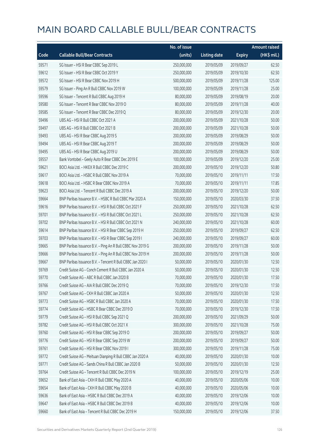|       |                                                            | No. of issue |                     |               | <b>Amount raised</b> |
|-------|------------------------------------------------------------|--------------|---------------------|---------------|----------------------|
| Code  | <b>Callable Bull/Bear Contracts</b>                        | (units)      | <b>Listing date</b> | <b>Expiry</b> | (HK\$ mil.)          |
| 59571 | SG Issuer - HSI R Bear CBBC Sep 2019 L                     | 250,000,000  | 2019/05/09          | 2019/09/27    | 62.50                |
| 59612 | SG Issuer - HSI R Bear CBBC Oct 2019 Y                     | 250,000,000  | 2019/05/09          | 2019/10/30    | 62.50                |
| 59572 | SG Issuer - HSI R Bear CBBC Nov 2019 H                     | 500,000,000  | 2019/05/09          | 2019/11/28    | 125.00               |
| 59579 | SG Issuer - Ping An R Bull CBBC Nov 2019 W                 | 100,000,000  | 2019/05/09          | 2019/11/28    | 25.00                |
| 59596 | SG Issuer - Tencent R Bull CBBC Aug 2019 H                 | 80,000,000   | 2019/05/09          | 2019/08/19    | 20.00                |
| 59580 | SG Issuer - Tencent R Bear CBBC Nov 2019 O                 | 80,000,000   | 2019/05/09          | 2019/11/28    | 40.00                |
| 59585 | SG Issuer - Tencent R Bear CBBC Dec 2019 Q                 | 80,000,000   | 2019/05/09          | 2019/12/30    | 20.00                |
| 59496 | UBS AG - HSI R Bull CBBC Oct 2021 A                        | 200,000,000  | 2019/05/09          | 2021/10/28    | 50.00                |
| 59497 | UBS AG - HSI R Bull CBBC Oct 2021 B                        | 200,000,000  | 2019/05/09          | 2021/10/28    | 50.00                |
| 59493 | UBS AG - HSI R Bear CBBC Aug 2019 S                        | 200,000,000  | 2019/05/09          | 2019/08/29    | 50.00                |
| 59494 | UBS AG - HSI R Bear CBBC Aug 2019 T                        | 200,000,000  | 2019/05/09          | 2019/08/29    | 50.00                |
| 59495 | UBS AG - HSI R Bear CBBC Aug 2019 U                        | 200,000,000  | 2019/05/09          | 2019/08/29    | 50.00                |
| 59557 | Bank Vontobel - Geely Auto R Bear CBBC Dec 2019 E          | 100,000,000  | 2019/05/09          | 2019/12/20    | 25.00                |
| 59621 | BOCI Asia Ltd. - HKEX R Bull CBBC Dec 2019 C               | 200,000,000  | 2019/05/10          | 2019/12/20    | 50.80                |
| 59617 | BOCI Asia Ltd. - HSBC R Bull CBBC Nov 2019 A               | 70,000,000   | 2019/05/10          | 2019/11/11    | 17.50                |
| 59618 | BOCI Asia Ltd. - HSBC R Bear CBBC Nov 2019 A               | 70,000,000   | 2019/05/10          | 2019/11/11    | 17.85                |
| 59623 | BOCI Asia Ltd. - Tencent R Bull CBBC Dec 2019 A            | 200,000,000  | 2019/05/10          | 2019/12/20    | 50.00                |
| 59664 | BNP Paribas Issuance B.V. - HSBC R Bull CBBC Mar 2020 A    | 150,000,000  | 2019/05/10          | 2020/03/30    | 37.50                |
| 59616 | BNP Paribas Issuance B.V. - HSI R Bull CBBC Oct 2021 F     | 250,000,000  | 2019/05/10          | 2021/10/28    | 62.50                |
| 59701 | BNP Paribas Issuance B.V. - HSI R Bull CBBC Oct 2021 L     | 250,000,000  | 2019/05/10          | 2021/10/28    | 62.50                |
| 59702 | BNP Paribas Issuance B.V. - HSI R Bull CBBC Oct 2021 N     | 240,000,000  | 2019/05/10          | 2021/10/28    | 60.00                |
| 59614 | BNP Paribas Issuance B.V. - HSI R Bear CBBC Sep 2019 H     | 250,000,000  | 2019/05/10          | 2019/09/27    | 62.50                |
| 59703 | BNP Paribas Issuance B.V. - HSI R Bear CBBC Sep 2019 I     | 240,000,000  | 2019/05/10          | 2019/09/27    | 60.00                |
| 59665 | BNP Paribas Issuance B.V. - Ping An R Bull CBBC Nov 2019 G | 200,000,000  | 2019/05/10          | 2019/11/28    | 50.00                |
| 59666 | BNP Paribas Issuance B.V. - Ping An R Bull CBBC Nov 2019 H | 200,000,000  | 2019/05/10          | 2019/11/28    | 50.00                |
| 59667 | BNP Paribas Issuance B.V. - Tencent R Bull CBBC Jan 2020 I | 50,000,000   | 2019/05/10          | 2020/01/30    | 12.50                |
| 59769 | Credit Suisse AG - Conch Cement R Bull CBBC Jan 2020 A     | 50,000,000   | 2019/05/10          | 2020/01/30    | 12.50                |
| 59770 | Credit Suisse AG - ABC R Bull CBBC Jan 2020 B              | 70,000,000   | 2019/05/10          | 2020/01/30    | 17.50                |
| 59766 | Credit Suisse AG - AIA R Bull CBBC Dec 2019 Q              | 70,000,000   | 2019/05/10          | 2019/12/30    | 17.50                |
| 59767 | Credit Suisse AG - CKH R Bull CBBC Jan 2020 A              | 50,000,000   | 2019/05/10          | 2020/01/30    | 12.50                |
| 59773 | Credit Suisse AG - HSBC R Bull CBBC Jan 2020 A             | 70,000,000   | 2019/05/10          | 2020/01/30    | 17.50                |
| 59774 | Credit Suisse AG - HSBC R Bear CBBC Dec 2019 D             | 70,000,000   | 2019/05/10          | 2019/12/30    | 17.50                |
| 59779 | Credit Suisse AG - HSI R Bull CBBC Sep 2021 Q              | 200,000,000  | 2019/05/10          | 2021/09/29    | 50.00                |
| 59782 | Credit Suisse AG - HSI R Bull CBBC Oct 2021 X              | 300,000,000  | 2019/05/10          | 2021/10/28    | 75.00                |
| 59760 | Credit Suisse AG - HSI R Bear CBBC Sep 2019 O              | 200,000,000  | 2019/05/10          | 2019/09/27    | 50.00                |
| 59776 | Credit Suisse AG - HSI R Bear CBBC Sep 2019 W              | 200,000,000  | 2019/05/10          | 2019/09/27    | 50.00                |
| 59761 | Credit Suisse AG - HSI R Bear CBBC Nov 2019 I              | 300,000,000  | 2019/05/10          | 2019/11/28    | 75.00                |
| 59772 | Credit Suisse AG - Meituan Dianping R Bull CBBC Jan 2020 A | 40,000,000   | 2019/05/10          | 2020/01/30    | 10.00                |
| 59771 | Credit Suisse AG - Sands China R Bull CBBC Jan 2020 B      | 50,000,000   | 2019/05/10          | 2020/01/30    | 12.50                |
| 59764 | Credit Suisse AG - Tencent R Bull CBBC Dec 2019 N          | 100,000,000  | 2019/05/10          | 2019/12/19    | 25.00                |
| 59652 | Bank of East Asia - CKH R Bull CBBC May 2020 A             | 40,000,000   | 2019/05/10          | 2020/05/06    | 10.00                |
| 59654 | Bank of East Asia - CKH R Bull CBBC May 2020 B             | 40,000,000   | 2019/05/10          | 2020/05/06    | 10.00                |
| 59636 | Bank of East Asia - HSBC R Bull CBBC Dec 2019 A            | 40,000,000   | 2019/05/10          | 2019/12/06    | 10.00                |
| 59647 | Bank of East Asia - HSBC R Bull CBBC Dec 2019 B            | 40,000,000   | 2019/05/10          | 2019/12/06    | 10.00                |
| 59660 | Bank of East Asia - Tencent R Bull CBBC Dec 2019 H         | 150,000,000  | 2019/05/10          | 2019/12/06    | 37.50                |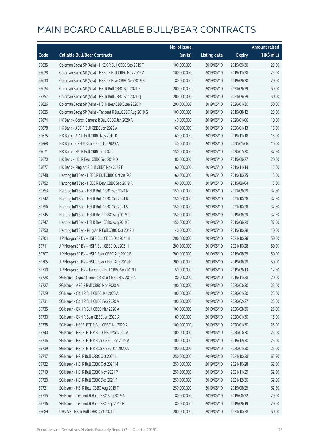|       |                                                          | No. of issue |                     |               | <b>Amount raised</b> |
|-------|----------------------------------------------------------|--------------|---------------------|---------------|----------------------|
| Code  | <b>Callable Bull/Bear Contracts</b>                      | (units)      | <b>Listing date</b> | <b>Expiry</b> | (HK\$ mil.)          |
| 59635 | Goldman Sachs SP (Asia) - HKEX R Bull CBBC Sep 2019 F    | 100,000,000  | 2019/05/10          | 2019/09/30    | 25.00                |
| 59628 | Goldman Sachs SP (Asia) - HSBC R Bull CBBC Nov 2019 A    | 100,000,000  | 2019/05/10          | 2019/11/28    | 25.00                |
| 59630 | Goldman Sachs SP (Asia) - HSBC R Bear CBBC Sep 2019 B    | 80,000,000   | 2019/05/10          | 2019/09/30    | 20.00                |
| 59624 | Goldman Sachs SP (Asia) - HSI R Bull CBBC Sep 2021 P     | 200,000,000  | 2019/05/10          | 2021/09/29    | 50.00                |
| 59757 | Goldman Sachs SP (Asia) - HSI R Bull CBBC Sep 2021 Q     | 200,000,000  | 2019/05/10          | 2021/09/29    | 50.00                |
| 59626 | Goldman Sachs SP (Asia) - HSI R Bear CBBC Jan 2020 M     | 200,000,000  | 2019/05/10          | 2020/01/30    | 50.00                |
| 59625 | Goldman Sachs SP (Asia) - Tencent R Bull CBBC Aug 2019 G | 100,000,000  | 2019/05/10          | 2019/08/12    | 25.00                |
| 59674 | HK Bank - Conch Cement R Bull CBBC Jan 2020 A            | 40,000,000   | 2019/05/10          | 2020/01/06    | 10.00                |
| 59678 | HK Bank - ABC R Bull CBBC Jan 2020 A                     | 60,000,000   | 2019/05/10          | 2020/01/13    | 15.00                |
| 59675 | HK Bank - AIA R Bull CBBC Nov 2019 D                     | 60,000,000   | 2019/05/10          | 2019/11/18    | 15.00                |
| 59668 | HK Bank - CKH R Bear CBBC Jan 2020 A                     | 40,000,000   | 2019/05/10          | 2020/01/06    | 10.00                |
| 59671 | HK Bank - HSI R Bull CBBC Jul 2020 L                     | 150,000,000  | 2019/05/10          | 2020/07/30    | 37.50                |
| 59670 | HK Bank - HSI R Bear CBBC Sep 2019 D                     | 80,000,000   | 2019/05/10          | 2019/09/27    | 20.00                |
| 59677 | HK Bank - Ping An R Bull CBBC Nov 2019 F                 | 60,000,000   | 2019/05/10          | 2019/11/14    | 15.00                |
| 59748 | Haitong Int'l Sec - HSBC R Bull CBBC Oct 2019 A          | 60,000,000   | 2019/05/10          | 2019/10/25    | 15.00                |
| 59752 | Haitong Int'l Sec - HSBC R Bear CBBC Sep 2019 A          | 60,000,000   | 2019/05/10          | 2019/09/04    | 15.00                |
| 59753 | Haitong Int'l Sec - HSI R Bull CBBC Sep 2021 R           | 150,000,000  | 2019/05/10          | 2021/09/29    | 37.50                |
| 59742 | Haitong Int'l Sec - HSI R Bull CBBC Oct 2021 R           | 150,000,000  | 2019/05/10          | 2021/10/28    | 37.50                |
| 59756 | Haitong Int'l Sec - HSI R Bull CBBC Oct 2021 S           | 150,000,000  | 2019/05/10          | 2021/10/28    | 37.50                |
| 59745 | Haitong Int'l Sec - HSI R Bear CBBC Aug 2019 R           | 150,000,000  | 2019/05/10          | 2019/08/29    | 37.50                |
| 59747 | Haitong Int'l Sec - HSI R Bear CBBC Aug 2019 S           | 150,000,000  | 2019/05/10          | 2019/08/29    | 37.50                |
| 59750 | Haitong Int'l Sec - Ping An R Bull CBBC Oct 2019 J       | 40,000,000   | 2019/05/10          | 2019/10/28    | 10.00                |
| 59704 | J P Morgan SP BV - HSI R Bull CBBC Oct 2021 H            | 200,000,000  | 2019/05/10          | 2021/10/28    | 50.00                |
| 59711 | J P Morgan SP BV - HSI R Bull CBBC Oct 2021 I            | 200,000,000  | 2019/05/10          | 2021/10/28    | 50.00                |
| 59707 | J P Morgan SP BV - HSI R Bear CBBC Aug 2019 B            | 200,000,000  | 2019/05/10          | 2019/08/29    | 50.00                |
| 59705 | J P Morgan SP BV - HSI R Bear CBBC Aug 2019 E            | 200,000,000  | 2019/05/10          | 2019/08/29    | 50.00                |
| 59710 | J P Morgan SP BV - Tencent R Bull CBBC Sep 2019 J        | 50,000,000   | 2019/05/10          | 2019/09/13    | 12.50                |
| 59728 | SG Issuer - Conch Cement R Bear CBBC Nov 2019 A          | 80,000,000   | 2019/05/10          | 2019/11/28    | 20.00                |
| 59727 | SG Issuer - ABC R Bull CBBC Mar 2020 A                   | 100,000,000  | 2019/05/10          | 2020/03/30    | 25.00                |
| 59729 | SG Issuer - CKH R Bull CBBC Jan 2020 A                   | 100,000,000  | 2019/05/10          | 2020/01/30    | 25.00                |
| 59731 | SG Issuer - CKH R Bull CBBC Feb 2020 A                   | 100,000,000  | 2019/05/10          | 2020/02/27    | 25.00                |
| 59735 | SG Issuer - CKH R Bull CBBC Mar 2020 A                   | 100,000,000  | 2019/05/10          | 2020/03/30    | 25.00                |
| 59730 | SG Issuer - CKH R Bear CBBC Jan 2020 A                   | 60,000,000   | 2019/05/10          | 2020/01/30    | 15.00                |
| 59738 | SG Issuer - HSCEI ETF R Bull CBBC Jan 2020 A             | 100,000,000  | 2019/05/10          | 2020/01/30    | 25.00                |
| 59740 | SG Issuer - HSCEI ETF R Bull CBBC Mar 2020 A             | 100,000,000  | 2019/05/10          | 2020/03/30    | 25.00                |
| 59736 | SG Issuer - HSCEI ETF R Bear CBBC Dec 2019 A             | 100,000,000  | 2019/05/10          | 2019/12/30    | 25.00                |
| 59739 | SG Issuer - HSCEI ETF R Bear CBBC Jan 2020 A             | 100,000,000  | 2019/05/10          | 2020/01/30    | 25.00                |
| 59717 | SG Issuer - HSI R Bull CBBC Oct 2021 L                   | 250,000,000  | 2019/05/10          | 2021/10/28    | 62.50                |
| 59722 | SG Issuer - HSI R Bull CBBC Oct 2021 M                   | 250,000,000  | 2019/05/10          | 2021/10/28    | 62.50                |
| 59719 | SG Issuer - HSI R Bull CBBC Nov 2021 P                   | 250,000,000  | 2019/05/10          | 2021/11/29    | 62.50                |
| 59720 | SG Issuer - HSI R Bull CBBC Dec 2021 F                   | 250,000,000  | 2019/05/10          | 2021/12/30    | 62.50                |
| 59721 | SG Issuer - HSI R Bear CBBC Aug 2019 T                   | 250,000,000  | 2019/05/10          | 2019/08/29    | 62.50                |
| 59715 | SG Issuer - Tencent R Bull CBBC Aug 2019 A               | 80,000,000   | 2019/05/10          | 2019/08/22    | 20.00                |
| 59716 | SG Issuer - Tencent R Bull CBBC Sep 2019 F               | 80,000,000   | 2019/05/10          | 2019/09/19    | 20.00                |
| 59689 | UBS AG - HSI R Bull CBBC Oct 2021 C                      | 200,000,000  | 2019/05/10          | 2021/10/28    | 50.00                |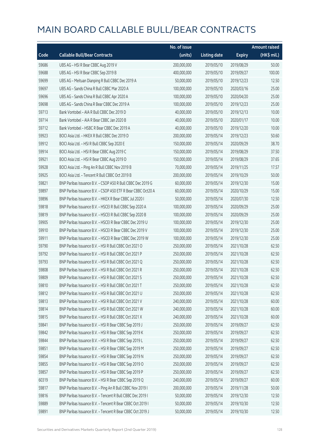|       |                                                              | No. of issue |                     |               | <b>Amount raised</b> |
|-------|--------------------------------------------------------------|--------------|---------------------|---------------|----------------------|
| Code  | <b>Callable Bull/Bear Contracts</b>                          | (units)      | <b>Listing date</b> | <b>Expiry</b> | (HK\$ mil.)          |
| 59686 | UBS AG - HSI R Bear CBBC Aug 2019 V                          | 200,000,000  | 2019/05/10          | 2019/08/29    | 50.00                |
| 59688 | UBS AG - HSI R Bear CBBC Sep 2019 B                          | 400,000,000  | 2019/05/10          | 2019/09/27    | 100.00               |
| 59699 | UBS AG - Meituan Dianping R Bull CBBC Dec 2019 A             | 50,000,000   | 2019/05/10          | 2019/12/23    | 12.50                |
| 59697 | UBS AG - Sands China R Bull CBBC Mar 2020 A                  | 100,000,000  | 2019/05/10          | 2020/03/16    | 25.00                |
| 59696 | UBS AG - Sands China R Bull CBBC Apr 2020 A                  | 100,000,000  | 2019/05/10          | 2020/04/20    | 25.00                |
| 59698 | UBS AG - Sands China R Bear CBBC Dec 2019 A                  | 100,000,000  | 2019/05/10          | 2019/12/23    | 25.00                |
| 59713 | Bank Vontobel - AIA R Bull CBBC Dec 2019 D                   | 40,000,000   | 2019/05/10          | 2019/12/13    | 10.00                |
| 59714 | Bank Vontobel - AIA R Bear CBBC Jan 2020 B                   | 40,000,000   | 2019/05/10          | 2020/01/17    | 10.00                |
| 59712 | Bank Vontobel - HSBC R Bear CBBC Dec 2019 A                  | 40,000,000   | 2019/05/10          | 2019/12/20    | 10.00                |
| 59923 | BOCI Asia Ltd. - HKEX R Bull CBBC Dec 2019 D                 | 200,000,000  | 2019/05/14          | 2019/12/23    | 50.60                |
| 59912 | BOCI Asia Ltd. - HSI R Bull CBBC Sep 2020 E                  | 150,000,000  | 2019/05/14          | 2020/09/29    | 38.70                |
| 59914 | BOCI Asia Ltd. - HSI R Bear CBBC Aug 2019 C                  | 150,000,000  | 2019/05/14          | 2019/08/29    | 37.50                |
| 59921 | BOCI Asia Ltd. - HSI R Bear CBBC Aug 2019 D                  | 150,000,000  | 2019/05/14          | 2019/08/29    | 37.65                |
| 59928 | BOCI Asia Ltd. - Ping An R Bull CBBC Nov 2019 B              | 70,000,000   | 2019/05/14          | 2019/11/25    | 17.57                |
| 59925 | BOCI Asia Ltd. - Tencent R Bull CBBC Oct 2019 B              | 200,000,000  | 2019/05/14          | 2019/10/29    | 50.00                |
| 59821 | BNP Paribas Issuance B.V. - CSOP A50 R Bull CBBC Dec 2019 G  | 60,000,000   | 2019/05/14          | 2019/12/30    | 15.00                |
| 59897 | BNP Paribas Issuance B.V. - CSOP A50 ETF R Bear CBBC Oct20 A | 60,000,000   | 2019/05/14          | 2020/10/29    | 15.00                |
| 59896 | BNP Paribas Issuance B.V. - HKEX R Bear CBBC Jul 2020 I      | 50,000,000   | 2019/05/14          | 2020/07/30    | 12.50                |
| 59818 | BNP Paribas Issuance B.V. - HSCEI R Bull CBBC Sep 2020 A     | 100,000,000  | 2019/05/14          | 2020/09/29    | 25.00                |
| 59819 | BNP Paribas Issuance B.V. - HSCEI R Bull CBBC Sep 2020 B     | 100,000,000  | 2019/05/14          | 2020/09/29    | 25.00                |
| 59905 | BNP Paribas Issuance B.V. - HSCEI R Bear CBBC Dec 2019 U     | 100,000,000  | 2019/05/14          | 2019/12/30    | 25.00                |
| 59910 | BNP Paribas Issuance B.V. - HSCEI R Bear CBBC Dec 2019 V     | 100,000,000  | 2019/05/14          | 2019/12/30    | 25.00                |
| 59911 | BNP Paribas Issuance B.V. - HSCEI R Bear CBBC Dec 2019 W     | 100,000,000  | 2019/05/14          | 2019/12/30    | 25.00                |
| 59790 | BNP Paribas Issuance B.V. - HSI R Bull CBBC Oct 2021 O       | 250,000,000  | 2019/05/14          | 2021/10/28    | 62.50                |
| 59792 | BNP Paribas Issuance B.V. - HSI R Bull CBBC Oct 2021 P       | 250,000,000  | 2019/05/14          | 2021/10/28    | 62.50                |
| 59793 | BNP Paribas Issuance B.V. - HSI R Bull CBBC Oct 2021 Q       | 250,000,000  | 2019/05/14          | 2021/10/28    | 62.50                |
| 59808 | BNP Paribas Issuance B.V. - HSI R Bull CBBC Oct 2021 R       | 250,000,000  | 2019/05/14          | 2021/10/28    | 62.50                |
| 59809 | BNP Paribas Issuance B.V. - HSI R Bull CBBC Oct 2021 S       | 250,000,000  | 2019/05/14          | 2021/10/28    | 62.50                |
| 59810 | BNP Paribas Issuance B.V. - HSI R Bull CBBC Oct 2021 T       | 250,000,000  | 2019/05/14          | 2021/10/28    | 62.50                |
| 59812 | BNP Paribas Issuance B.V. - HSI R Bull CBBC Oct 2021 U       | 250,000,000  | 2019/05/14          | 2021/10/28    | 62.50                |
| 59813 | BNP Paribas Issuance B.V. - HSI R Bull CBBC Oct 2021 V       | 240,000,000  | 2019/05/14          | 2021/10/28    | 60.00                |
| 59814 | BNP Paribas Issuance B.V. - HSI R Bull CBBC Oct 2021 W       | 240,000,000  | 2019/05/14          | 2021/10/28    | 60.00                |
| 59815 | BNP Paribas Issuance B.V. - HSI R Bull CBBC Oct 2021 X       | 240,000,000  | 2019/05/14          | 2021/10/28    | 60.00                |
| 59841 | BNP Paribas Issuance B.V. - HSI R Bear CBBC Sep 2019 J       | 250,000,000  | 2019/05/14          | 2019/09/27    | 62.50                |
| 59842 | BNP Paribas Issuance B.V. - HSI R Bear CBBC Sep 2019 K       | 250,000,000  | 2019/05/14          | 2019/09/27    | 62.50                |
| 59844 | BNP Paribas Issuance B.V. - HSI R Bear CBBC Sep 2019 L       | 250,000,000  | 2019/05/14          | 2019/09/27    | 62.50                |
| 59851 | BNP Paribas Issuance B.V. - HSI R Bear CBBC Sep 2019 M       | 250,000,000  | 2019/05/14          | 2019/09/27    | 62.50                |
| 59854 | BNP Paribas Issuance B.V. - HSI R Bear CBBC Sep 2019 N       | 250,000,000  | 2019/05/14          | 2019/09/27    | 62.50                |
| 59855 | BNP Paribas Issuance B.V. - HSI R Bear CBBC Sep 2019 O       | 250,000,000  | 2019/05/14          | 2019/09/27    | 62.50                |
| 59857 | BNP Paribas Issuance B.V. - HSI R Bear CBBC Sep 2019 P       | 250,000,000  | 2019/05/14          | 2019/09/27    | 62.50                |
| 60319 | BNP Paribas Issuance B.V. - HSI R Bear CBBC Sep 2019 Q       | 240,000,000  | 2019/05/14          | 2019/09/27    | 60.00                |
| 59817 | BNP Paribas Issuance B.V. - Ping An R Bull CBBC Nov 2019 I   | 200,000,000  | 2019/05/14          | 2019/11/28    | 50.00                |
| 59816 | BNP Paribas Issuance B.V. - Tencent R Bull CBBC Dec 2019 I   | 50,000,000   | 2019/05/14          | 2019/12/30    | 12.50                |
| 59889 | BNP Paribas Issuance B.V. - Tencent R Bear CBBC Oct 2019 I   | 50,000,000   | 2019/05/14          | 2019/10/30    | 12.50                |
| 59891 | BNP Paribas Issuance B.V. - Tencent R Bear CBBC Oct 2019 J   | 50,000,000   | 2019/05/14          | 2019/10/30    | 12.50                |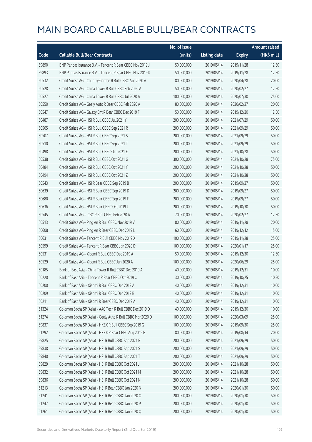|       |                                                             | No. of issue |                     |               | <b>Amount raised</b> |
|-------|-------------------------------------------------------------|--------------|---------------------|---------------|----------------------|
| Code  | <b>Callable Bull/Bear Contracts</b>                         | (units)      | <b>Listing date</b> | <b>Expiry</b> | (HK\$ mil.)          |
| 59890 | BNP Paribas Issuance B.V. - Tencent R Bear CBBC Nov 2019 J  | 50,000,000   | 2019/05/14          | 2019/11/28    | 12.50                |
| 59893 | BNP Paribas Issuance B.V. - Tencent R Bear CBBC Nov 2019 K  | 50,000,000   | 2019/05/14          | 2019/11/28    | 12.50                |
| 60532 | Credit Suisse AG - Country Garden R Bull CBBC Apr 2020 A    | 80,000,000   | 2019/05/14          | 2020/04/28    | 20.00                |
| 60528 | Credit Suisse AG - China Tower R Bull CBBC Feb 2020 A       | 50,000,000   | 2019/05/14          | 2020/02/27    | 12.50                |
| 60527 | Credit Suisse AG - China Tower R Bull CBBC Jul 2020 A       | 100,000,000  | 2019/05/14          | 2020/07/30    | 25.00                |
| 60550 | Credit Suisse AG - Geely Auto R Bear CBBC Feb 2020 A        | 80,000,000   | 2019/05/14          | 2020/02/27    | 20.00                |
| 60547 | Credit Suisse AG - Galaxy Ent R Bear CBBC Dec 2019 F        | 50,000,000   | 2019/05/14          | 2019/12/20    | 12.50                |
| 60487 | Credit Suisse AG - HSI R Bull CBBC Jul 2021 Y               | 200,000,000  | 2019/05/14          | 2021/07/29    | 50.00                |
| 60505 | Credit Suisse AG - HSI R Bull CBBC Sep 2021 R               | 200,000,000  | 2019/05/14          | 2021/09/29    | 50.00                |
| 60507 | Credit Suisse AG - HSI R Bull CBBC Sep 2021 S               | 200,000,000  | 2019/05/14          | 2021/09/29    | 50.00                |
| 60510 | Credit Suisse AG - HSI R Bull CBBC Sep 2021 T               | 200,000,000  | 2019/05/14          | 2021/09/29    | 50.00                |
| 60498 | Credit Suisse AG - HSI R Bull CBBC Oct 2021 E               | 200,000,000  | 2019/05/14          | 2021/10/28    | 50.00                |
| 60538 | Credit Suisse AG - HSI R Bull CBBC Oct 2021 G               | 300,000,000  | 2019/05/14          | 2021/10/28    | 75.00                |
| 60484 | Credit Suisse AG - HSI R Bull CBBC Oct 2021 Y               | 200,000,000  | 2019/05/14          | 2021/10/28    | 50.00                |
| 60494 | Credit Suisse AG - HSI R Bull CBBC Oct 2021 Z               | 200,000,000  | 2019/05/14          | 2021/10/28    | 50.00                |
| 60543 | Credit Suisse AG - HSI R Bear CBBC Sep 2019 B               | 200,000,000  | 2019/05/14          | 2019/09/27    | 50.00                |
| 60639 | Credit Suisse AG - HSI R Bear CBBC Sep 2019 D               | 200,000,000  | 2019/05/14          | 2019/09/27    | 50.00                |
| 60680 | Credit Suisse AG - HSI R Bear CBBC Sep 2019 F               | 200,000,000  | 2019/05/14          | 2019/09/27    | 50.00                |
| 60636 | Credit Suisse AG - HSI R Bear CBBC Oct 2019 J               | 200,000,000  | 2019/05/14          | 2019/10/30    | 50.00                |
| 60545 | Credit Suisse AG - ICBC R Bull CBBC Feb 2020 A              | 70,000,000   | 2019/05/14          | 2020/02/27    | 17.50                |
| 60513 | Credit Suisse AG - Ping An R Bull CBBC Nov 2019 V           | 80,000,000   | 2019/05/14          | 2019/11/28    | 20.00                |
| 60608 | Credit Suisse AG - Ping An R Bear CBBC Dec 2019 L           | 60,000,000   | 2019/05/14          | 2019/12/12    | 15.00                |
| 60631 | Credit Suisse AG - Tencent R Bull CBBC Nov 2019 X           | 100,000,000  | 2019/05/14          | 2019/11/28    | 25.00                |
| 60599 | Credit Suisse AG - Tencent R Bear CBBC Jan 2020 D           | 100,000,000  | 2019/05/14          | 2020/01/17    | 25.00                |
| 60531 | Credit Suisse AG - Xiaomi R Bull CBBC Dec 2019 A            | 50,000,000   | 2019/05/14          | 2019/12/30    | 12.50                |
| 60529 | Credit Suisse AG - Xiaomi R Bull CBBC Jun 2020 A            | 100,000,000  | 2019/05/14          | 2020/06/29    | 25.00                |
| 60185 | Bank of East Asia - China Tower R Bull CBBC Dec 2019 A      | 40,000,000   | 2019/05/14          | 2019/12/31    | 10.00                |
| 60220 | Bank of East Asia - Tencent R Bear CBBC Oct 2019 C          | 30,000,000   | 2019/05/14          | 2019/10/25    | 10.50                |
| 60200 | Bank of East Asia - Xiaomi R Bull CBBC Dec 2019 A           | 40,000,000   | 2019/05/14          | 2019/12/31    | 10.00                |
| 60209 | Bank of East Asia - Xiaomi R Bull CBBC Dec 2019 B           | 40,000,000   | 2019/05/14          | 2019/12/31    | 10.00                |
| 60211 | Bank of East Asia - Xiaomi R Bear CBBC Dec 2019 A           | 40,000,000   | 2019/05/14          | 2019/12/31    | 10.00                |
| 61324 | Goldman Sachs SP (Asia) - AAC Tech R Bull CBBC Dec 2019 D   | 40,000,000   | 2019/05/14          | 2019/12/30    | 10.00                |
| 61274 | Goldman Sachs SP (Asia) - Geely Auto R Bull CBBC Mar 2020 D | 100,000,000  | 2019/05/14          | 2020/03/09    | 25.00                |
| 59837 | Goldman Sachs SP (Asia) - HKEX R Bull CBBC Sep 2019 G       | 100,000,000  | 2019/05/14          | 2019/09/30    | 25.00                |
| 61292 | Goldman Sachs SP (Asia) - HKEX R Bear CBBC Aug 2019 B       | 80,000,000   | 2019/05/14          | 2019/08/14    | 20.00                |
| 59825 | Goldman Sachs SP (Asia) - HSI R Bull CBBC Sep 2021 R        | 200,000,000  | 2019/05/14          | 2021/09/29    | 50.00                |
| 59838 | Goldman Sachs SP (Asia) - HSI R Bull CBBC Sep 2021 S        | 200,000,000  | 2019/05/14          | 2021/09/29    | 50.00                |
| 59840 | Goldman Sachs SP (Asia) - HSI R Bull CBBC Sep 2021 T        | 200,000,000  | 2019/05/14          | 2021/09/29    | 50.00                |
| 59829 | Goldman Sachs SP (Asia) - HSI R Bull CBBC Oct 2021 J        | 200,000,000  | 2019/05/14          | 2021/10/28    | 50.00                |
| 59832 | Goldman Sachs SP (Asia) - HSI R Bull CBBC Oct 2021 M        | 200,000,000  | 2019/05/14          | 2021/10/28    | 50.00                |
| 59836 | Goldman Sachs SP (Asia) - HSI R Bull CBBC Oct 2021 N        | 200,000,000  | 2019/05/14          | 2021/10/28    | 50.00                |
| 61213 | Goldman Sachs SP (Asia) - HSI R Bear CBBC Jan 2020 N        | 200,000,000  | 2019/05/14          | 2020/01/30    | 50.00                |
| 61241 | Goldman Sachs SP (Asia) - HSI R Bear CBBC Jan 2020 O        | 200,000,000  | 2019/05/14          | 2020/01/30    | 50.00                |
| 61247 | Goldman Sachs SP (Asia) - HSI R Bear CBBC Jan 2020 P        | 200,000,000  | 2019/05/14          | 2020/01/30    | 50.00                |
| 61261 | Goldman Sachs SP (Asia) - HSI R Bear CBBC Jan 2020 Q        | 200,000,000  | 2019/05/14          | 2020/01/30    | 50.00                |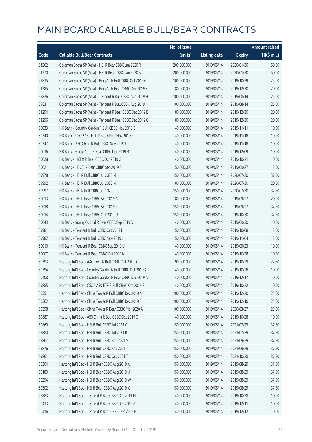|       |                                                           | No. of issue |                     |               | Amount raised |
|-------|-----------------------------------------------------------|--------------|---------------------|---------------|---------------|
| Code  | <b>Callable Bull/Bear Contracts</b>                       | (units)      | <b>Listing date</b> | <b>Expiry</b> | (HK\$ mil.)   |
| 61262 | Goldman Sachs SP (Asia) - HSI R Bear CBBC Jan 2020 R      | 200,000,000  | 2019/05/14          | 2020/01/30    | 50.00         |
| 61270 | Goldman Sachs SP (Asia) - HSI R Bear CBBC Jan 2020 S      | 200,000,000  | 2019/05/14          | 2020/01/30    | 50.00         |
| 59835 | Goldman Sachs SP (Asia) - Ping An R Bull CBBC Oct 2019 G  | 100,000,000  | 2019/05/14          | 2019/10/29    | 25.00         |
| 61285 | Goldman Sachs SP (Asia) - Ping An R Bear CBBC Dec 2019 F  | 80,000,000   | 2019/05/14          | 2019/12/30    | 20.00         |
| 59826 | Goldman Sachs SP (Asia) - Tencent R Bull CBBC Aug 2019 H  | 100,000,000  | 2019/05/14          | 2019/08/14    | 25.00         |
| 59831 | Goldman Sachs SP (Asia) - Tencent R Bull CBBC Aug 2019 I  | 100,000,000  | 2019/05/14          | 2019/08/14    | 25.00         |
| 61294 | Goldman Sachs SP (Asia) - Tencent R Bear CBBC Dec 2019 B  | 80,000,000   | 2019/05/14          | 2019/12/30    | 20.00         |
| 61296 | Goldman Sachs SP (Asia) - Tencent R Bear CBBC Dec 2019 C  | 80,000,000   | 2019/05/14          | 2019/12/30    | 20.00         |
| 60033 | HK Bank - Country Garden R Bull CBBC Nov 2019 B           | 40,000,000   | 2019/05/14          | 2019/11/11    | 10.00         |
| 60340 | HK Bank - CSOP A50 ETF R Bull CBBC Nov 2019 E             | 40,000,000   | 2019/05/14          | 2019/11/18    | 10.00         |
| 60347 | HK Bank - A50 China R Bull CBBC Nov 2019 E                | 40,000,000   | 2019/05/14          | 2019/11/18    | 10.00         |
| 60036 | HK Bank - Geely Auto R Bear CBBC Dec 2019 B               | 40,000,000   | 2019/05/14          | 2019/12/09    | 10.00         |
| 60028 | HK Bank - HKEX R Bear CBBC Oct 2019 G                     | 40,000,000   | 2019/05/14          | 2019/10/21    | 10.00         |
| 60021 | HK Bank - HSCEI R Bear CBBC Sep 2019 F                    | 50,000,000   | 2019/05/14          | 2019/09/27    | 12.50         |
| 59978 | HK Bank - HSI R Bull CBBC Jul 2020 M                      | 150,000,000  | 2019/05/14          | 2020/07/30    | 37.50         |
| 59992 | HK Bank - HSI R Bull CBBC Jul 2020 N                      | 80,000,000   | 2019/05/14          | 2020/07/30    | 20.00         |
| 59997 | HK Bank - HSI R Bull CBBC Jul 2020 T                      | 150,000,000  | 2019/05/14          | 2020/07/30    | 37.50         |
| 60013 | HK Bank - HSI R Bear CBBC Sep 2019 A                      | 80,000,000   | 2019/05/14          | 2019/09/27    | 20.00         |
| 60018 | HK Bank - HSI R Bear CBBC Sep 2019 E                      | 150,000,000  | 2019/05/14          | 2019/09/27    | 37.50         |
| 60014 | HK Bank - HSI R Bear CBBC Oct 2019 U                      | 150,000,000  | 2019/05/14          | 2019/10/30    | 37.50         |
| 60043 | HK Bank - Sunny Optical R Bear CBBC Sep 2019 D            | 40,000,000   | 2019/05/14          | 2019/09/30    | 10.00         |
| 59981 | HK Bank - Tencent R Bull CBBC Oct 2019 L                  | 50,000,000   | 2019/05/14          | 2019/10/08    | 12.50         |
| 59982 | HK Bank - Tencent R Bull CBBC Nov 2019 J                  | 50,000,000   | 2019/05/14          | 2019/11/04    | 12.50         |
| 60010 | HK Bank - Tencent R Bear CBBC Sep 2019 U                  | 40,000,000   | 2019/05/14          | 2019/09/23    | 10.00         |
| 60007 | HK Bank - Tencent R Bear CBBC Oct 2019 K                  | 40,000,000   | 2019/05/14          | 2019/10/28    | 10.00         |
| 60393 | Haitong Int'l Sec - AAC Tech R Bull CBBC Oct 2019 A       | 90,000,000   | 2019/05/14          | 2019/10/29    | 22.50         |
| 60394 | Haitong Int'l Sec - Country Garden R Bull CBBC Oct 2019 A | 40,000,000   | 2019/05/14          | 2019/10/28    | 10.00         |
| 60408 | Haitong Int'l Sec - Country Garden R Bear CBBC Dec 2019 A | 40,000,000   | 2019/05/14          | 2019/12/17    | 10.00         |
| 59885 | Haitong Int'l Sec - CSOP A50 ETF R Bull CBBC Oct 2019 B   | 40,000,000   | 2019/05/14          | 2019/10/22    | 10.00         |
| 60351 | Haitong Int'l Sec - China Tower R Bull CBBC Dec 2019 A    | 100,000,000  | 2019/05/14          | 2019/12/20    | 25.00         |
| 60362 | Haitong Int'l Sec - China Tower R Bull CBBC Dec 2019 B    | 100,000,000  | 2019/05/14          | 2019/12/10    | 25.00         |
| 60398 | Haitong Int'l Sec - China Tower R Bear CBBC Mar 2020 A    | 100,000,000  | 2019/05/14          | 2020/03/27    | 25.00         |
| 59887 | Haitong Int'l Sec - A50 China R Bull CBBC Oct 2019 C      | 40,000,000   | 2019/05/14          | 2019/10/28    | 10.00         |
| 59860 | Haitong Int'l Sec - HSI R Bull CBBC Jul 2021 Q            | 150,000,000  | 2019/05/14          | 2021/07/29    | 37.50         |
| 59880 | Haitong Int'l Sec - HSI R Bull CBBC Jul 2021 R            | 150,000,000  | 2019/05/14          | 2021/07/29    | 37.50         |
| 59867 | Haitong Int'l Sec - HSI R Bull CBBC Sep 2021 S            | 150,000,000  | 2019/05/14          | 2021/09/29    | 37.50         |
| 59876 | Haitong Int'l Sec - HSI R Bull CBBC Sep 2021 T            | 150,000,000  | 2019/05/14          | 2021/09/29    | 37.50         |
| 59861 | Haitong Int'l Sec - HSI R Bull CBBC Oct 2021 T            | 150,000,000  | 2019/05/14          | 2021/10/28    | 37.50         |
| 60304 | Haitong Int'l Sec - HSI R Bear CBBC Aug 2019 A            | 150,000,000  | 2019/05/14          | 2019/08/29    | 37.50         |
| 60180 | Haitong Int'l Sec - HSI R Bear CBBC Aug 2019 U            | 150,000,000  | 2019/05/14          | 2019/08/29    | 37.50         |
| 60294 | Haitong Int'l Sec - HSI R Bear CBBC Aug 2019 W            | 150,000,000  | 2019/05/14          | 2019/08/29    | 37.50         |
| 60302 | Haitong Int'l Sec - HSI R Bear CBBC Aug 2019 X            | 150,000,000  | 2019/05/14          | 2019/08/29    | 37.50         |
| 59883 | Haitong Int'l Sec - Tencent R Bull CBBC Oct 2019 M        | 40,000,000   | 2019/05/14          | 2019/10/28    | 10.00         |
| 60413 | Haitong Int'l Sec - Tencent R Bull CBBC Dec 2019 A        | 40,000,000   | 2019/05/14          | 2019/12/11    | 10.00         |
| 60416 | Haitong Int'l Sec - Tencent R Bear CBBC Dec 2019 E        | 40,000,000   | 2019/05/14          | 2019/12/12    | 10.00         |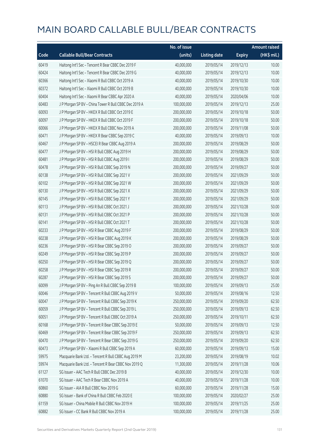|       |                                                       | No. of issue |                     |               | <b>Amount raised</b> |
|-------|-------------------------------------------------------|--------------|---------------------|---------------|----------------------|
| Code  | <b>Callable Bull/Bear Contracts</b>                   | (units)      | <b>Listing date</b> | <b>Expiry</b> | (HK\$ mil.)          |
| 60419 | Haitong Int'l Sec - Tencent R Bear CBBC Dec 2019 F    | 40,000,000   | 2019/05/14          | 2019/12/13    | 10.00                |
| 60424 | Haitong Int'l Sec - Tencent R Bear CBBC Dec 2019 G    | 40,000,000   | 2019/05/14          | 2019/12/13    | 10.00                |
| 60366 | Haitong Int'l Sec - Xiaomi R Bull CBBC Oct 2019 A     | 40,000,000   | 2019/05/14          | 2019/10/30    | 10.00                |
| 60372 | Haitong Int'l Sec - Xiaomi R Bull CBBC Oct 2019 B     | 40,000,000   | 2019/05/14          | 2019/10/30    | 10.00                |
| 60404 | Haitong Int'l Sec - Xiaomi R Bear CBBC Apr 2020 A     | 40,000,000   | 2019/05/14          | 2020/04/06    | 10.00                |
| 60483 | J P Morgan SP BV - China Tower R Bull CBBC Dec 2019 A | 100,000,000  | 2019/05/14          | 2019/12/13    | 25.00                |
| 60093 | J P Morgan SP BV - HKEX R Bull CBBC Oct 2019 E        | 200,000,000  | 2019/05/14          | 2019/10/18    | 50.00                |
| 60097 | J P Morgan SP BV - HKEX R Bull CBBC Oct 2019 F        | 200,000,000  | 2019/05/14          | 2019/10/18    | 50.00                |
| 60066 | J P Morgan SP BV - HKEX R Bull CBBC Nov 2019 A        | 200,000,000  | 2019/05/14          | 2019/11/08    | 50.00                |
| 60471 | J P Morgan SP BV - HKEX R Bear CBBC Sep 2019 C        | 40,000,000   | 2019/05/14          | 2019/09/13    | 10.00                |
| 60467 | J P Morgan SP BV - HSCEI R Bear CBBC Aug 2019 A       | 200,000,000  | 2019/05/14          | 2019/08/29    | 50.00                |
| 60477 | J P Morgan SP BV - HSI R Bull CBBC Aug 2019 H         | 200,000,000  | 2019/05/14          | 2019/08/29    | 50.00                |
| 60481 | J P Morgan SP BV - HSI R Bull CBBC Aug 2019 I         | 200,000,000  | 2019/05/14          | 2019/08/29    | 50.00                |
| 60478 | J P Morgan SP BV - HSI R Bull CBBC Sep 2019 N         | 200,000,000  | 2019/05/14          | 2019/09/27    | 50.00                |
| 60138 | J P Morgan SP BV - HSI R Bull CBBC Sep 2021 V         | 200,000,000  | 2019/05/14          | 2021/09/29    | 50.00                |
| 60102 | J P Morgan SP BV - HSI R Bull CBBC Sep 2021 W         | 200,000,000  | 2019/05/14          | 2021/09/29    | 50.00                |
| 60130 | J P Morgan SP BV - HSI R Bull CBBC Sep 2021 X         | 200,000,000  | 2019/05/14          | 2021/09/29    | 50.00                |
| 60145 | J P Morgan SP BV - HSI R Bull CBBC Sep 2021 Y         | 200,000,000  | 2019/05/14          | 2021/09/29    | 50.00                |
| 60113 | J P Morgan SP BV - HSI R Bull CBBC Oct 2021 J         | 200,000,000  | 2019/05/14          | 2021/10/28    | 50.00                |
| 60131 | J P Morgan SP BV - HSI R Bull CBBC Oct 2021 P         | 200,000,000  | 2019/05/14          | 2021/10/28    | 50.00                |
| 60141 | J P Morgan SP BV - HSI R Bull CBBC Oct 2021 T         | 200,000,000  | 2019/05/14          | 2021/10/28    | 50.00                |
| 60233 | J P Morgan SP BV - HSI R Bear CBBC Aug 2019 F         | 200,000,000  | 2019/05/14          | 2019/08/29    | 50.00                |
| 60238 | J P Morgan SP BV - HSI R Bear CBBC Aug 2019 K         | 200,000,000  | 2019/05/14          | 2019/08/29    | 50.00                |
| 60236 | J P Morgan SP BV - HSI R Bear CBBC Sep 2019 O         | 200,000,000  | 2019/05/14          | 2019/09/27    | 50.00                |
| 60249 | J P Morgan SP BV - HSI R Bear CBBC Sep 2019 P         | 200,000,000  | 2019/05/14          | 2019/09/27    | 50.00                |
| 60250 | J P Morgan SP BV - HSI R Bear CBBC Sep 2019 Q         | 200,000,000  | 2019/05/14          | 2019/09/27    | 50.00                |
| 60258 | J P Morgan SP BV - HSI R Bear CBBC Sep 2019 R         | 200,000,000  | 2019/05/14          | 2019/09/27    | 50.00                |
| 60287 | J P Morgan SP BV - HSI R Bear CBBC Sep 2019 S         | 200,000,000  | 2019/05/14          | 2019/09/27    | 50.00                |
| 60099 | J P Morgan SP BV - Ping An R Bull CBBC Sep 2019 B     | 100,000,000  | 2019/05/14          | 2019/09/13    | 25.00                |
| 60046 | J P Morgan SP BV - Tencent R Bull CBBC Aug 2019 V     | 50,000,000   | 2019/05/14          | 2019/08/16    | 12.50                |
| 60047 | J P Morgan SP BV - Tencent R Bull CBBC Sep 2019 K     | 250,000,000  | 2019/05/14          | 2019/09/20    | 62.50                |
| 60059 | JP Morgan SP BV - Tencent R Bull CBBC Sep 2019 L      | 250,000,000  | 2019/05/14          | 2019/09/13    | 62.50                |
| 60051 | J P Morgan SP BV - Tencent R Bull CBBC Oct 2019 A     | 250,000,000  | 2019/05/14          | 2019/10/11    | 62.50                |
| 60168 | J P Morgan SP BV - Tencent R Bear CBBC Sep 2019 E     | 50,000,000   | 2019/05/14          | 2019/09/13    | 12.50                |
| 60469 | J P Morgan SP BV - Tencent R Bear CBBC Sep 2019 F     | 250,000,000  | 2019/05/14          | 2019/09/13    | 62.50                |
| 60470 | J P Morgan SP BV - Tencent R Bear CBBC Sep 2019 G     | 250,000,000  | 2019/05/14          | 2019/09/20    | 62.50                |
| 60473 | J P Morgan SP BV - Xiaomi R Bull CBBC Sep 2019 A      | 60,000,000   | 2019/05/14          | 2019/09/13    | 15.00                |
| 59975 | Macquarie Bank Ltd. - Tencent R Bull CBBC Aug 2019 M  | 23,200,000   | 2019/05/14          | 2019/08/19    | 10.02                |
| 59974 | Macquarie Bank Ltd. - Tencent R Bear CBBC Nov 2019 Q  | 11,300,000   | 2019/05/14          | 2019/11/28    | 10.06                |
| 61127 | SG Issuer - AAC Tech R Bull CBBC Dec 2019 B           | 40,000,000   | 2019/05/14          | 2019/12/30    | 10.00                |
| 61070 | SG Issuer - AAC Tech R Bear CBBC Nov 2019 A           | 40,000,000   | 2019/05/14          | 2019/11/28    | 10.00                |
| 60860 | SG Issuer - AIA R Bull CBBC Nov 2019 G                | 60,000,000   | 2019/05/14          | 2019/11/28    | 15.00                |
| 60880 | SG Issuer - Bank of China R Bull CBBC Feb 2020 E      | 100,000,000  | 2019/05/14          | 2020/02/27    | 25.00                |
| 61159 | SG Issuer - China Mobile R Bull CBBC Nov 2019 H       | 100,000,000  | 2019/05/14          | 2019/11/25    | 25.00                |
| 60882 | SG Issuer - CC Bank R Bull CBBC Nov 2019 A            | 100,000,000  | 2019/05/14          | 2019/11/28    | 25.00                |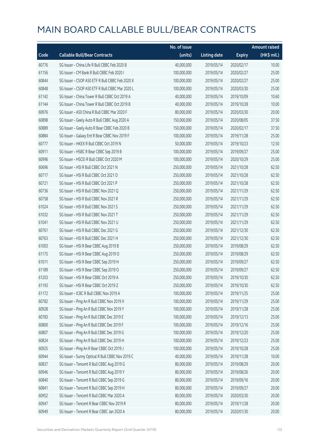|       |                                                  | No. of issue |                     |               | <b>Amount raised</b> |
|-------|--------------------------------------------------|--------------|---------------------|---------------|----------------------|
| Code  | <b>Callable Bull/Bear Contracts</b>              | (units)      | <b>Listing date</b> | <b>Expiry</b> | (HK\$ mil.)          |
| 60776 | SG Issuer - China Life R Bull CBBC Feb 2020 B    | 40,000,000   | 2019/05/14          | 2020/02/17    | 10.00                |
| 61156 | SG Issuer - CM Bank R Bull CBBC Feb 2020 I       | 100,000,000  | 2019/05/14          | 2020/02/27    | 25.00                |
| 60844 | SG Issuer - CSOP A50 ETF R Bull CBBC Feb 2020 X  | 100,000,000  | 2019/05/14          | 2020/02/27    | 25.00                |
| 60848 | SG Issuer - CSOP A50 ETF R Bull CBBC Mar 2020 L  | 100,000,000  | 2019/05/14          | 2020/03/30    | 25.00                |
| 61142 | SG Issuer - China Tower R Bull CBBC Oct 2019 A   | 40,000,000   | 2019/05/14          | 2019/10/09    | 10.60                |
| 61144 | SG Issuer - China Tower R Bull CBBC Oct 2019 B   | 40,000,000   | 2019/05/14          | 2019/10/28    | 10.00                |
| 60976 | SG Issuer - A50 China R Bull CBBC Mar 2020 F     | 80,000,000   | 2019/05/14          | 2020/03/30    | 20.00                |
| 60898 | SG Issuer - Geely Auto R Bull CBBC Aug 2020 A    | 150,000,000  | 2019/05/14          | 2020/08/05    | 37.50                |
| 60889 | SG Issuer - Geely Auto R Bear CBBC Feb 2020 B    | 150,000,000  | 2019/05/14          | 2020/02/17    | 37.50                |
| 60884 | SG Issuer - Galaxy Ent R Bear CBBC Nov 2019 F    | 100,000,000  | 2019/05/14          | 2019/11/28    | 25.00                |
| 60777 | SG Issuer - HKEX R Bull CBBC Oct 2019 N          | 50,000,000   | 2019/05/14          | 2019/10/23    | 12.50                |
| 60911 | SG Issuer - HSBC R Bear CBBC Sep 2019 B          | 100,000,000  | 2019/05/14          | 2019/09/27    | 25.00                |
| 60996 | SG Issuer - HSCEI R Bull CBBC Oct 2020 M         | 100,000,000  | 2019/05/14          | 2020/10/29    | 25.00                |
| 60696 | SG Issuer - HSI R Bull CBBC Oct 2021 N           | 250,000,000  | 2019/05/14          | 2021/10/28    | 62.50                |
| 60717 | SG Issuer - HSI R Bull CBBC Oct 2021 O           | 250,000,000  | 2019/05/14          | 2021/10/28    | 62.50                |
| 60721 | SG Issuer - HSI R Bull CBBC Oct 2021 P           | 250,000,000  | 2019/05/14          | 2021/10/28    | 62.50                |
| 60736 | SG Issuer - HSI R Bull CBBC Nov 2021 Q           | 250,000,000  | 2019/05/14          | 2021/11/29    | 62.50                |
| 60758 | SG Issuer - HSI R Bull CBBC Nov 2021 R           | 250,000,000  | 2019/05/14          | 2021/11/29    | 62.50                |
| 61024 | SG Issuer - HSI R Bull CBBC Nov 2021 S           | 250,000,000  | 2019/05/14          | 2021/11/29    | 62.50                |
| 61032 | SG Issuer - HSI R Bull CBBC Nov 2021 T           | 250,000,000  | 2019/05/14          | 2021/11/29    | 62.50                |
| 61041 | SG Issuer - HSI R Bull CBBC Nov 2021 U           | 250,000,000  | 2019/05/14          | 2021/11/29    | 62.50                |
| 60761 | SG Issuer - HSI R Bull CBBC Dec 2021 G           | 250,000,000  | 2019/05/14          | 2021/12/30    | 62.50                |
| 60763 | SG Issuer - HSI R Bull CBBC Dec 2021 H           | 250,000,000  | 2019/05/14          | 2021/12/30    | 62.50                |
| 61003 | SG Issuer - HSI R Bear CBBC Aug 2019 B           | 250,000,000  | 2019/05/14          | 2019/08/29    | 62.50                |
| 61175 | SG Issuer - HSI R Bear CBBC Aug 2019 O           | 250,000,000  | 2019/05/14          | 2019/08/29    | 62.50                |
| 61011 | SG Issuer - HSI R Bear CBBC Sep 2019 H           | 250,000,000  | 2019/05/14          | 2019/09/27    | 62.50                |
| 61189 | SG Issuer - HSI R Bear CBBC Sep 2019 O           | 250,000,000  | 2019/05/14          | 2019/09/27    | 62.50                |
| 61203 | SG Issuer - HSI R Bear CBBC Oct 2019 A           | 250,000,000  | 2019/05/14          | 2019/10/30    | 62.50                |
| 61193 | SG Issuer - HSI R Bear CBBC Oct 2019 Z           | 250,000,000  | 2019/05/14          | 2019/10/30    | 62.50                |
| 61172 | SG Issuer - ICBC R Bull CBBC Nov 2019 A          | 100,000,000  | 2019/05/14          | 2019/11/25    | 25.00                |
| 60782 | SG Issuer - Ping An R Bull CBBC Nov 2019 X       | 100,000,000  | 2019/05/14          | 2019/11/29    | 25.00                |
| 60928 | SG Issuer - Ping An R Bull CBBC Nov 2019 Y       | 100,000,000  | 2019/05/14          | 2019/11/28    | 25.00                |
| 60783 | SG Issuer - Ping An R Bull CBBC Dec 2019 E       | 100,000,000  | 2019/05/14          | 2019/12/13    | 25.00                |
| 60800 | SG Issuer - Ping An R Bull CBBC Dec 2019 F       | 100,000,000  | 2019/05/14          | 2019/12/16    | 25.00                |
| 60807 | SG Issuer - Ping An R Bull CBBC Dec 2019 G       | 100,000,000  | 2019/05/14          | 2019/12/20    | 25.00                |
| 60824 | SG Issuer - Ping An R Bull CBBC Dec 2019 H       | 100,000,000  | 2019/05/14          | 2019/12/23    | 25.00                |
| 60925 | SG Issuer - Ping An R Bear CBBC Oct 2019 J       | 100,000,000  | 2019/05/14          | 2019/10/28    | 25.00                |
| 60944 | SG Issuer - Sunny Optical R Bull CBBC Nov 2019 C | 40,000,000   | 2019/05/14          | 2019/11/28    | 10.00                |
| 60837 | SG Issuer - Tencent R Bull CBBC Aug 2019 G       | 80,000,000   | 2019/05/14          | 2019/08/29    | 20.00                |
| 60946 | SG Issuer - Tencent R Bull CBBC Aug 2019 Y       | 80,000,000   | 2019/05/14          | 2019/08/26    | 20.00                |
| 60840 | SG Issuer - Tencent R Bull CBBC Sep 2019 G       | 80,000,000   | 2019/05/14          | 2019/09/16    | 20.00                |
| 60841 | SG Issuer - Tencent R Bull CBBC Sep 2019 H       | 80,000,000   | 2019/05/14          | 2019/09/27    | 20.00                |
| 60952 | SG Issuer - Tencent R Bull CBBC Mar 2020 A       | 80,000,000   | 2019/05/14          | 2020/03/30    | 20.00                |
| 60947 | SG Issuer - Tencent R Bear CBBC Nov 2019 R       | 80,000,000   | 2019/05/14          | 2019/11/28    | 20.00                |
| 60949 | SG Issuer - Tencent R Bear CBBC Jan 2020 A       | 80,000,000   | 2019/05/14          | 2020/01/30    | 20.00                |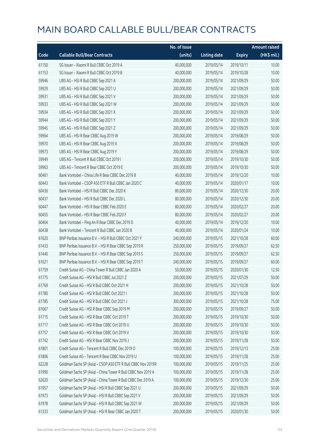|       |                                                              | No. of issue |                     |               | <b>Amount raised</b> |
|-------|--------------------------------------------------------------|--------------|---------------------|---------------|----------------------|
| Code  | <b>Callable Bull/Bear Contracts</b>                          | (units)      | <b>Listing date</b> | <b>Expiry</b> | $(HK\$ mil.)         |
| 61150 | SG Issuer - Xiaomi R Bull CBBC Oct 2019 A                    | 40,000,000   | 2019/05/14          | 2019/10/11    | 10.00                |
| 61153 | SG Issuer - Xiaomi R Bull CBBC Oct 2019 B                    | 40,000,000   | 2019/05/14          | 2019/10/28    | 10.00                |
| 59946 | UBS AG - HSI R Bull CBBC Sep 2021 A                          | 200,000,000  | 2019/05/14          | 2021/09/29    | 50.00                |
| 59929 | UBS AG - HSI R Bull CBBC Sep 2021 U                          | 200,000,000  | 2019/05/14          | 2021/09/29    | 50.00                |
| 59931 | UBS AG - HSI R Bull CBBC Sep 2021 V                          | 200,000,000  | 2019/05/14          | 2021/09/29    | 50.00                |
| 59933 | UBS AG - HSI R Bull CBBC Sep 2021 W                          | 200,000,000  | 2019/05/14          | 2021/09/29    | 50.00                |
| 59934 | UBS AG - HSI R Bull CBBC Sep 2021 X                          | 200,000,000  | 2019/05/14          | 2021/09/29    | 50.00                |
| 59944 | UBS AG - HSI R Bull CBBC Sep 2021 Y                          | 200,000,000  | 2019/05/14          | 2021/09/29    | 50.00                |
| 59945 | UBS AG - HSI R Bull CBBC Sep 2021 Z                          | 200,000,000  | 2019/05/14          | 2021/09/29    | 50.00                |
| 59964 | UBS AG - HSI R Bear CBBC Aug 2019 W                          | 200,000,000  | 2019/05/14          | 2019/08/29    | 50.00                |
| 59970 | UBS AG - HSI R Bear CBBC Aug 2019 X                          | 200,000,000  | 2019/05/14          | 2019/08/29    | 50.00                |
| 59973 | UBS AG - HSI R Bear CBBC Aug 2019 Y                          | 200,000,000  | 2019/05/14          | 2019/08/29    | 50.00                |
| 59949 | UBS AG - Tencent R Bull CBBC Oct 2019 I                      | 200,000,000  | 2019/05/14          | 2019/10/30    | 50.00                |
| 59963 | UBS AG - Tencent R Bear CBBC Oct 2019 E                      | 200,000,000  | 2019/05/14          | 2019/10/30    | 50.00                |
| 60461 | Bank Vontobel - China Life R Bear CBBC Dec 2019 B            | 40,000,000   | 2019/05/14          | 2019/12/20    | 10.00                |
| 60443 | Bank Vontobel - CSOP A50 ETF R Bull CBBC Jan 2020 C          | 40,000,000   | 2019/05/14          | 2020/01/17    | 10.00                |
| 60436 | Bank Vontobel - HSI R Bull CBBC Dec 2020 K                   | 80,000,000   | 2019/05/14          | 2020/12/30    | 20.00                |
| 60437 | Bank Vontobel - HSI R Bull CBBC Dec 2020 L                   | 80,000,000   | 2019/05/14          | 2020/12/30    | 20.00                |
| 60447 | Bank Vontobel - HSI R Bear CBBC Feb 2020 E                   | 80,000,000   | 2019/05/14          | 2020/02/27    | 20.00                |
| 60455 | Bank Vontobel - HSI R Bear CBBC Feb 2020 F                   | 80,000,000   | 2019/05/14          | 2020/02/27    | 20.00                |
| 60464 | Bank Vontobel - Ping An R Bear CBBC Dec 2019 D               | 40,000,000   | 2019/05/14          | 2019/12/20    | 10.00                |
| 60438 | Bank Vontobel - Tencent R Bull CBBC Jan 2020 B               | 40,000,000   | 2019/05/14          | 2020/01/24    | 10.00                |
| 61620 | BNP Paribas Issuance B.V. - HSI R Bull CBBC Oct 2021 Y       | 240,000,000  | 2019/05/15          | 2021/10/28    | 60.00                |
| 61433 | BNP Paribas Issuance B.V. - HSI R Bear CBBC Sep 2019 R       | 250,000,000  | 2019/05/15          | 2019/09/27    | 62.50                |
| 61440 | BNP Paribas Issuance B.V. - HSI R Bear CBBC Sep 2019 S       | 250,000,000  | 2019/05/15          | 2019/09/27    | 62.50                |
| 61621 | BNP Paribas Issuance B.V. - HSI R Bear CBBC Sep 2019 T       | 240,000,000  | 2019/05/15          | 2019/09/27    | 60.00                |
| 61759 | Credit Suisse AG - China Tower R Bull CBBC Jan 2020 A        | 50,000,000   | 2019/05/15          | 2020/01/30    | 12.50                |
| 61775 | Credit Suisse AG - HSI R Bull CBBC Jul 2021 Z                | 200,000,000  | 2019/05/15          | 2021/07/29    | 50.00                |
| 61769 | Credit Suisse AG - HSI R Bull CBBC Oct 2021 H                | 200,000,000  | 2019/05/15          | 2021/10/28    | 50.00                |
| 61780 | Credit Suisse AG - HSI R Bull CBBC Oct 2021 I                | 200,000,000  | 2019/05/15          | 2021/10/28    | 50.00                |
| 61785 | Credit Suisse AG - HSI R Bull CBBC Oct 2021 J                | 300,000,000  | 2019/05/15          | 2021/10/28    | 75.00                |
| 61667 | Credit Suisse AG - HSI R Bear CBBC Sep 2019 M                | 200,000,000  | 2019/05/15          | 2019/09/27    | 50.00                |
| 61715 | Credit Suisse AG - HSI R Bear CBBC Oct 2019 T                | 200,000,000  | 2019/05/15          | 2019/10/30    | 50.00                |
| 61717 | Credit Suisse AG - HSI R Bear CBBC Oct 2019 U                | 200,000,000  | 2019/05/15          | 2019/10/30    | 50.00                |
| 61757 | Credit Suisse AG - HSI R Bear CBBC Oct 2019 V                | 200,000,000  | 2019/05/15          | 2019/10/30    | 50.00                |
| 61742 | Credit Suisse AG - HSI R Bear CBBC Nov 2019 J                | 200,000,000  | 2019/05/15          | 2019/11/28    | 50.00                |
| 61801 | Credit Suisse AG - Tencent R Bull CBBC Dec 2019 O            | 100,000,000  | 2019/05/15          | 2019/12/13    | 25.00                |
| 61806 | Credit Suisse AG - Tencent R Bear CBBC Nov 2019 U            | 100,000,000  | 2019/05/15          | 2019/11/28    | 25.00                |
| 62228 | Goldman Sachs SP (Asia) - CSOP A50 ETF R Bull CBBC Nov 2019R | 100,000,000  | 2019/05/15          | 2019/11/25    | 25.00                |
| 61990 | Goldman Sachs SP (Asia) - China Tower R Bull CBBC Nov 2019 A | 100,000,000  | 2019/05/15          | 2019/11/28    | 25.00                |
| 62620 | Goldman Sachs SP (Asia) - China Tower R Bull CBBC Dec 2019 A | 100,000,000  | 2019/05/15          | 2019/12/30    | 25.00                |
| 61957 | Goldman Sachs SP (Asia) - HSI R Bull CBBC Sep 2021 U         | 200,000,000  | 2019/05/15          | 2021/09/29    | 50.00                |
| 61973 | Goldman Sachs SP (Asia) - HSI R Bull CBBC Sep 2021 V         | 200,000,000  | 2019/05/15          | 2021/09/29    | 50.00                |
| 61978 | Goldman Sachs SP (Asia) - HSI R Bull CBBC Sep 2021 W         | 200,000,000  | 2019/05/15          | 2021/09/29    | 50.00                |
| 61333 | Goldman Sachs SP (Asia) - HSI R Bear CBBC Jan 2020 T         | 200,000,000  | 2019/05/15          | 2020/01/30    | 50.00                |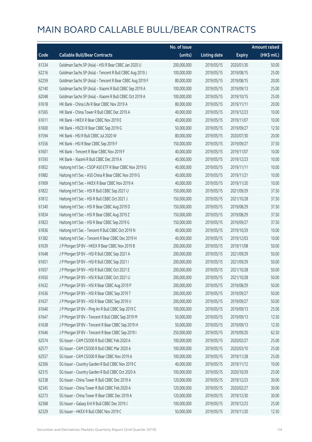|       |                                                          | No. of issue |                     |               | <b>Amount raised</b> |
|-------|----------------------------------------------------------|--------------|---------------------|---------------|----------------------|
| Code  | <b>Callable Bull/Bear Contracts</b>                      | (units)      | <b>Listing date</b> | <b>Expiry</b> | (HK\$ mil.)          |
| 61334 | Goldman Sachs SP (Asia) - HSI R Bear CBBC Jan 2020 U     | 200,000,000  | 2019/05/15          | 2020/01/30    | 50.00                |
| 62216 | Goldman Sachs SP (Asia) - Tencent R Bull CBBC Aug 2019 J | 100,000,000  | 2019/05/15          | 2019/08/15    | 25.00                |
| 62259 | Goldman Sachs SP (Asia) - Tencent R Bear CBBC Aug 2019 F | 80,000,000   | 2019/05/15          | 2019/08/15    | 20.00                |
| 62140 | Goldman Sachs SP (Asia) - Xiaomi R Bull CBBC Sep 2019 A  | 100,000,000  | 2019/05/15          | 2019/09/13    | 25.00                |
| 62048 | Goldman Sachs SP (Asia) - Xiaomi R Bull CBBC Oct 2019 A  | 100,000,000  | 2019/05/15          | 2019/10/15    | 25.00                |
| 61618 | HK Bank - China Life R Bear CBBC Nov 2019 A              | 80,000,000   | 2019/05/15          | 2019/11/11    | 20.00                |
| 61565 | HK Bank - China Tower R Bull CBBC Dec 2019 A             | 40,000,000   | 2019/05/15          | 2019/12/23    | 10.00                |
| 61611 | HK Bank - HKEX R Bear CBBC Nov 2019 E                    | 40,000,000   | 2019/05/15          | 2019/11/07    | 10.00                |
| 61600 | HK Bank - HSCEI R Bear CBBC Sep 2019 G                   | 50,000,000   | 2019/05/15          | 2019/09/27    | 12.50                |
| 61594 | HK Bank - HSI R Bull CBBC Jul 2020 W                     | 80,000,000   | 2019/05/15          | 2020/07/30    | 20.00                |
| 61556 | HK Bank - HSI R Bear CBBC Sep 2019 F                     | 150,000,000  | 2019/05/15          | 2019/09/27    | 37.50                |
| 61601 | HK Bank - Tencent R Bear CBBC Nov 2019 F                 | 40,000,000   | 2019/05/15          | 2019/11/07    | 10.00                |
| 61593 | HK Bank - Xiaomi R Bull CBBC Dec 2019 A                  | 40,000,000   | 2019/05/15          | 2019/12/23    | 10.00                |
| 61852 | Haitong Int'l Sec - CSOP A50 ETF R Bear CBBC Nov 2019 G  | 40,000,000   | 2019/05/15          | 2019/11/11    | 10.00                |
| 61882 | Haitong Int'l Sec - A50 China R Bear CBBC Nov 2019 G     | 40,000,000   | 2019/05/15          | 2019/11/21    | 10.00                |
| 61909 | Haitong Int'l Sec - HKEX R Bear CBBC Nov 2019 A          | 40,000,000   | 2019/05/15          | 2019/11/20    | 10.00                |
| 61822 | Haitong Int'l Sec - HSI R Bull CBBC Sep 2021 U           | 150,000,000  | 2019/05/15          | 2021/09/29    | 37.50                |
| 61812 | Haitong Int'l Sec - HSI R Bull CBBC Oct 2021 J           | 150,000,000  | 2019/05/15          | 2021/10/28    | 37.50                |
| 61340 | Haitong Int'l Sec - HSI R Bear CBBC Aug 2019 D           | 150,000,000  | 2019/05/15          | 2019/08/29    | 37.50                |
| 61834 | Haitong Int'l Sec - HSI R Bear CBBC Aug 2019 Z           | 150,000,000  | 2019/05/15          | 2019/08/29    | 37.50                |
| 61823 | Haitong Int'l Sec - HSI R Bear CBBC Sep 2019 G           | 150,000,000  | 2019/05/15          | 2019/09/27    | 37.50                |
| 61836 | Haitong Int'l Sec - Tencent R Bull CBBC Oct 2019 N       | 40,000,000   | 2019/05/15          | 2019/10/29    | 10.00                |
| 61382 | Haitong Int'l Sec - Tencent R Bear CBBC Dec 2019 H       | 40,000,000   | 2019/05/15          | 2019/12/03    | 10.00                |
| 61639 | J P Morgan SP BV - HKEX R Bear CBBC Nov 2019 B           | 200,000,000  | 2019/05/15          | 2019/11/08    | 50.00                |
| 61648 | J P Morgan SP BV - HSI R Bull CBBC Sep 2021 A            | 200,000,000  | 2019/05/15          | 2021/09/29    | 50.00                |
| 61651 | J P Morgan SP BV - HSI R Bull CBBC Sep 2021 I            | 200,000,000  | 2019/05/15          | 2021/09/29    | 50.00                |
| 61657 | J P Morgan SP BV - HSI R Bull CBBC Oct 2021 E            | 200,000,000  | 2019/05/15          | 2021/10/28    | 50.00                |
| 61650 | J P Morgan SP BV - HSI R Bull CBBC Oct 2021 U            | 200,000,000  | 2019/05/15          | 2021/10/28    | 50.00                |
| 61632 | J P Morgan SP BV - HSI R Bear CBBC Aug 2019 P            | 200,000,000  | 2019/05/15          | 2019/08/29    | 50.00                |
| 61636 | J P Morgan SP BV - HSI R Bear CBBC Sep 2019 T            | 200,000,000  | 2019/05/15          | 2019/09/27    | 50.00                |
| 61637 | J P Morgan SP BV - HSI R Bear CBBC Sep 2019 U            | 200,000,000  | 2019/05/15          | 2019/09/27    | 50.00                |
| 61640 | J P Morgan SP BV - Ping An R Bull CBBC Sep 2019 C        | 100,000,000  | 2019/05/15          | 2019/09/13    | 25.00                |
| 61647 | J P Morgan SP BV - Tencent R Bull CBBC Sep 2019 M        | 50,000,000   | 2019/05/15          | 2019/09/13    | 12.50                |
| 61638 | J P Morgan SP BV - Tencent R Bear CBBC Sep 2019 H        | 50,000,000   | 2019/05/15          | 2019/09/13    | 12.50                |
| 61646 | JP Morgan SP BV - Tencent R Bear CBBC Sep 2019 I         | 250,000,000  | 2019/05/15          | 2019/09/20    | 62.50                |
| 62574 | SG Issuer - CAM CSI300 R Bull CBBC Feb 2020 A            | 100,000,000  | 2019/05/15          | 2020/02/27    | 25.00                |
| 62577 | SG Issuer - CAM CSI300 R Bull CBBC Mar 2020 A            | 100,000,000  | 2019/05/15          | 2020/03/10    | 25.00                |
| 62557 | SG Issuer - CAM CSI300 R Bear CBBC Nov 2019 A            | 100,000,000  | 2019/05/15          | 2019/11/28    | 25.00                |
| 62306 | SG Issuer - Country Garden R Bull CBBC Nov 2019 C        | 40,000,000   | 2019/05/15          | 2019/11/12    | 10.00                |
| 62315 | SG Issuer - Country Garden R Bull CBBC Oct 2020 A        | 100,000,000  | 2019/05/15          | 2020/10/29    | 25.00                |
| 62338 | SG Issuer - China Tower R Bull CBBC Dec 2019 A           | 120,000,000  | 2019/05/15          | 2019/12/23    | 30.00                |
| 62345 | SG Issuer - China Tower R Bull CBBC Feb 2020 A           | 120,000,000  | 2019/05/15          | 2020/02/27    | 30.00                |
| 62273 | SG Issuer - China Tower R Bear CBBC Dec 2019 A           | 120,000,000  | 2019/05/15          | 2019/12/30    | 30.00                |
| 62368 | SG Issuer - Galaxy Ent R Bull CBBC Dec 2019 J            | 100,000,000  | 2019/05/15          | 2019/12/23    | 25.00                |
| 62329 | SG Issuer - HKEX R Bull CBBC Nov 2019 C                  | 50,000,000   | 2019/05/15          | 2019/11/20    | 12.50                |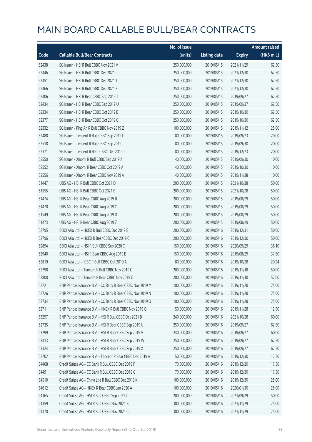|       |                                                            | No. of issue |                     |               | <b>Amount raised</b> |
|-------|------------------------------------------------------------|--------------|---------------------|---------------|----------------------|
| Code  | <b>Callable Bull/Bear Contracts</b>                        | (units)      | <b>Listing date</b> | <b>Expiry</b> | (HK\$ mil.)          |
| 62438 | SG Issuer - HSI R Bull CBBC Nov 2021 V                     | 250,000,000  | 2019/05/15          | 2021/11/29    | 62.50                |
| 62446 | SG Issuer - HSI R Bull CBBC Dec 2021 I                     | 250,000,000  | 2019/05/15          | 2021/12/30    | 62.50                |
| 62451 | SG Issuer - HSI R Bull CBBC Dec 2021 J                     | 250,000,000  | 2019/05/15          | 2021/12/30    | 62.50                |
| 62466 | SG Issuer - HSI R Bull CBBC Dec 2021 K                     | 250,000,000  | 2019/05/15          | 2021/12/30    | 62.50                |
| 62406 | SG Issuer - HSI R Bear CBBC Sep 2019 T                     | 250,000,000  | 2019/05/15          | 2019/09/27    | 62.50                |
| 62434 | SG Issuer - HSI R Bear CBBC Sep 2019 U                     | 250,000,000  | 2019/05/15          | 2019/09/27    | 62.50                |
| 62334 | SG Issuer - HSI R Bear CBBC Oct 2019 B                     | 250,000,000  | 2019/05/15          | 2019/10/30    | 62.50                |
| 62377 | SG Issuer - HSI R Bear CBBC Oct 2019 C                     | 250,000,000  | 2019/05/15          | 2019/10/30    | 62.50                |
| 62332 | SG Issuer - Ping An R Bull CBBC Nov 2019 Z                 | 100,000,000  | 2019/05/15          | 2019/11/12    | 25.00                |
| 62488 | SG Issuer - Tencent R Bull CBBC Sep 2019 I                 | 80,000,000   | 2019/05/15          | 2019/09/23    | 20.00                |
| 62518 | SG Issuer - Tencent R Bull CBBC Sep 2019 J                 | 80,000,000   | 2019/05/15          | 2019/09/30    | 20.00                |
| 62371 | SG Issuer - Tencent R Bear CBBC Dec 2019 T                 | 80,000,000   | 2019/05/15          | 2019/12/23    | 20.00                |
| 62550 | SG Issuer - Xiaomi R Bull CBBC Sep 2019 A                  | 40,000,000   | 2019/05/15          | 2019/09/30    | 10.00                |
| 62552 | SG Issuer - Xiaomi R Bear CBBC Oct 2019 A                  | 40,000,000   | 2019/05/15          | 2019/10/30    | 10.00                |
| 62556 | SG Issuer - Xiaomi R Bear CBBC Nov 2019 A                  | 40,000,000   | 2019/05/15          | 2019/11/28    | 10.00                |
| 61447 | UBS AG - HSI R Bull CBBC Oct 2021 D                        | 200,000,000  | 2019/05/15          | 2021/10/28    | 50.00                |
| 61555 | UBS AG - HSI R Bull CBBC Oct 2021 E                        | 200,000,000  | 2019/05/15          | 2021/10/28    | 50.00                |
| 61474 | UBS AG - HSI R Bear CBBC Aug 2019 B                        | 200,000,000  | 2019/05/15          | 2019/08/29    | 50.00                |
| 61478 | UBS AG - HSI R Bear CBBC Aug 2019 C                        | 200,000,000  | 2019/05/15          | 2019/08/29    | 50.00                |
| 61549 | UBS AG - HSI R Bear CBBC Aug 2019 D                        | 200,000,000  | 2019/05/15          | 2019/08/29    | 50.00                |
| 61473 | UBS AG - HSI R Bear CBBC Aug 2019 Z                        | 200,000,000  | 2019/05/15          | 2019/08/29    | 50.00                |
| 62795 | BOCI Asia Ltd. - HKEX R Bull CBBC Dec 2019 E               | 200,000,000  | 2019/05/16          | 2019/12/31    | 50.00                |
| 62796 | BOCI Asia Ltd. - HKEX R Bear CBBC Dec 2019 C               | 200,000,000  | 2019/05/16          | 2019/12/30    | 50.00                |
| 62894 | BOCI Asia Ltd. - HSI R Bull CBBC Sep 2020 C                | 150,000,000  | 2019/05/16          | 2020/09/29    | 38.10                |
| 62940 | BOCI Asia Ltd. - HSI R Bear CBBC Aug 2019 E                | 150,000,000  | 2019/05/16          | 2019/08/29    | 37.80                |
| 62819 | BOCI Asia Ltd. - ICBC R Bull CBBC Oct 2019 A               | 80,000,000   | 2019/05/16          | 2019/10/28    | 20.24                |
| 62798 | BOCI Asia Ltd. - Tencent R Bull CBBC Nov 2019 C            | 200,000,000  | 2019/05/16          | 2019/11/18    | 50.00                |
| 62808 | BOCI Asia Ltd. - Tencent R Bear CBBC Nov 2019 C            | 200,000,000  | 2019/05/16          | 2019/11/18    | 52.00                |
| 62721 | BNP Paribas Issuance B.V. - CC Bank R Bear CBBC Nov 2019 M | 100,000,000  | 2019/05/16          | 2019/11/28    | 25.00                |
| 62726 | BNP Paribas Issuance B.V. - CC Bank R Bear CBBC Nov 2019 N | 100,000,000  | 2019/05/16          | 2019/11/28    | 25.00                |
| 62734 | BNP Paribas Issuance B.V. - CC Bank R Bear CBBC Nov 2019 O | 100,000,000  | 2019/05/16          | 2019/11/28    | 25.00                |
| 62711 | BNP Paribas Issuance B.V. - HKEX R Bull CBBC Nov 2019 Q    | 50,000,000   | 2019/05/16          | 2019/11/28    | 12.50                |
| 63297 | BNP Paribas Issuance B.V. - HSI R Bull CBBC Oct 2021 B     | 240,000,000  | 2019/05/16          | 2021/10/28    | 60.00                |
| 62735 | BNP Paribas Issuance B.V. - HSI R Bear CBBC Sep 2019 U     | 250,000,000  | 2019/05/16          | 2019/09/27    | 62.50                |
| 63299 | BNP Paribas Issuance B.V. - HSI R Bear CBBC Sep 2019 V     | 240,000,000  | 2019/05/16          | 2019/09/27    | 60.00                |
| 63313 | BNP Paribas Issuance B.V. - HSI R Bear CBBC Sep 2019 W     | 250,000,000  | 2019/05/16          | 2019/09/27    | 62.50                |
| 63324 | BNP Paribas Issuance B.V. - HSI R Bear CBBC Sep 2019 X     | 250,000,000  | 2019/05/16          | 2019/09/27    | 62.50                |
| 62702 | BNP Paribas Issuance B.V. - Tencent R Bear CBBC Dec 2019 A | 50,000,000   | 2019/05/16          | 2019/12/30    | 12.50                |
| 64468 | Credit Suisse AG - CC Bank R Bull CBBC Dec 2019 F          | 70,000,000   | 2019/05/16          | 2019/12/20    | 17.50                |
| 64491 | Credit Suisse AG - CC Bank R Bull CBBC Dec 2019 G          | 70,000,000   | 2019/05/16          | 2019/12/30    | 17.50                |
| 64510 | Credit Suisse AG - China Life R Bull CBBC Dec 2019 K       | 100,000,000  | 2019/05/16          | 2019/12/30    | 25.00                |
| 64612 | Credit Suisse AG - HKEX R Bear CBBC Jan 2020 A             | 100,000,000  | 2019/05/16          | 2020/01/30    | 25.00                |
| 64365 | Credit Suisse AG - HSI R Bull CBBC Sep 2021 I              | 200,000,000  | 2019/05/16          | 2021/09/29    | 50.00                |
| 64359 | Credit Suisse AG - HSI R Bull CBBC Nov 2021 B              | 300,000,000  | 2019/05/16          | 2021/11/29    | 75.00                |
| 64370 | Credit Suisse AG - HSI R Bull CBBC Nov 2021 C              | 300,000,000  | 2019/05/16          | 2021/11/29    | 75.00                |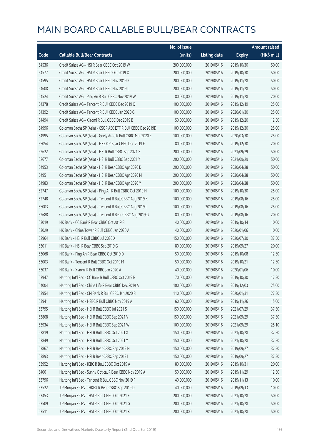|       |                                                              | No. of issue |                     |               | <b>Amount raised</b> |
|-------|--------------------------------------------------------------|--------------|---------------------|---------------|----------------------|
| Code  | <b>Callable Bull/Bear Contracts</b>                          | (units)      | <b>Listing date</b> | <b>Expiry</b> | (HK\$ mil.)          |
| 64536 | Credit Suisse AG - HSI R Bear CBBC Oct 2019 W                | 200,000,000  | 2019/05/16          | 2019/10/30    | 50.00                |
| 64577 | Credit Suisse AG - HSI R Bear CBBC Oct 2019 X                | 200,000,000  | 2019/05/16          | 2019/10/30    | 50.00                |
| 64595 | Credit Suisse AG - HSI R Bear CBBC Nov 2019 K                | 200,000,000  | 2019/05/16          | 2019/11/28    | 50.00                |
| 64608 | Credit Suisse AG - HSI R Bear CBBC Nov 2019 L                | 200,000,000  | 2019/05/16          | 2019/11/28    | 50.00                |
| 64524 | Credit Suisse AG - Ping An R Bull CBBC Nov 2019 W            | 80,000,000   | 2019/05/16          | 2019/11/28    | 20.00                |
| 64378 | Credit Suisse AG - Tencent R Bull CBBC Dec 2019 Q            | 100,000,000  | 2019/05/16          | 2019/12/19    | 25.00                |
| 64392 | Credit Suisse AG - Tencent R Bull CBBC Jan 2020 G            | 100,000,000  | 2019/05/16          | 2020/01/30    | 25.00                |
| 64494 | Credit Suisse AG - Xiaomi R Bull CBBC Dec 2019 B             | 50,000,000   | 2019/05/16          | 2019/12/20    | 12.50                |
| 64996 | Goldman Sachs SP (Asia) - CSOP A50 ETF R Bull CBBC Dec 2019D | 100,000,000  | 2019/05/16          | 2019/12/30    | 25.00                |
| 64995 | Goldman Sachs SP (Asia) - Geely Auto R Bull CBBC Mar 2020 E  | 100,000,000  | 2019/05/16          | 2020/03/30    | 25.00                |
| 65054 | Goldman Sachs SP (Asia) - HKEX R Bear CBBC Dec 2019 F        | 80,000,000   | 2019/05/16          | 2019/12/30    | 20.00                |
| 62622 | Goldman Sachs SP (Asia) - HSI R Bull CBBC Sep 2021 X         | 200,000,000  | 2019/05/16          | 2021/09/29    | 50.00                |
| 62677 | Goldman Sachs SP (Asia) - HSI R Bull CBBC Sep 2021 Y         | 200,000,000  | 2019/05/16          | 2021/09/29    | 50.00                |
| 64953 | Goldman Sachs SP (Asia) - HSI R Bear CBBC Apr 2020 D         | 200,000,000  | 2019/05/16          | 2020/04/28    | 50.00                |
| 64951 | Goldman Sachs SP (Asia) - HSI R Bear CBBC Apr 2020 M         | 200,000,000  | 2019/05/16          | 2020/04/28    | 50.00                |
| 64983 | Goldman Sachs SP (Asia) - HSI R Bear CBBC Apr 2020 Y         | 200,000,000  | 2019/05/16          | 2020/04/28    | 50.00                |
| 62747 | Goldman Sachs SP (Asia) - Ping An R Bull CBBC Oct 2019 H     | 100,000,000  | 2019/05/16          | 2019/10/30    | 25.00                |
| 62748 | Goldman Sachs SP (Asia) - Tencent R Bull CBBC Aug 2019 K     | 100,000,000  | 2019/05/16          | 2019/08/16    | 25.00                |
| 65003 | Goldman Sachs SP (Asia) - Tencent R Bull CBBC Aug 2019 L     | 100,000,000  | 2019/05/16          | 2019/08/16    | 25.00                |
| 62688 | Goldman Sachs SP (Asia) - Tencent R Bear CBBC Aug 2019 G     | 80,000,000   | 2019/05/16          | 2019/08/16    | 20.00                |
| 63019 | HK Bank - CC Bank R Bear CBBC Oct 2019 B                     | 40,000,000   | 2019/05/16          | 2019/10/14    | 10.00                |
| 63029 | HK Bank - China Tower R Bull CBBC Jan 2020 A                 | 40,000,000   | 2019/05/16          | 2020/01/06    | 10.00                |
| 62964 | HK Bank - HSI R Bull CBBC Jul 2020 X                         | 150,000,000  | 2019/05/16          | 2020/07/30    | 37.50                |
| 63011 | HK Bank - HSI R Bear CBBC Sep 2019 G                         | 80,000,000   | 2019/05/16          | 2019/09/27    | 20.00                |
| 63068 | HK Bank - Ping An R Bear CBBC Oct 2019 D                     | 50,000,000   | 2019/05/16          | 2019/10/08    | 12.50                |
| 63003 | HK Bank - Tencent R Bull CBBC Oct 2019 M                     | 50,000,000   | 2019/05/16          | 2019/10/21    | 12.50                |
| 63037 | HK Bank - Xiaomi R Bull CBBC Jan 2020 A                      | 40,000,000   | 2019/05/16          | 2020/01/06    | 10.00                |
| 63947 | Haitong Int'l Sec - CC Bank R Bull CBBC Oct 2019 B           | 70,000,000   | 2019/05/16          | 2019/10/30    | 17.50                |
| 64004 | Haitong Int'l Sec - China Life R Bear CBBC Dec 2019 A        | 100,000,000  | 2019/05/16          | 2019/12/03    | 25.00                |
| 63954 | Haitong Int'l Sec - CM Bank R Bull CBBC Jan 2020 B           | 110,000,000  | 2019/05/16          | 2020/01/31    | 27.50                |
| 63941 | Haitong Int'l Sec - HSBC R Bull CBBC Nov 2019 A              | 60,000,000   | 2019/05/16          | 2019/11/26    | 15.00                |
| 63795 | Haitong Int'l Sec - HSI R Bull CBBC Jul 2021 S               | 150,000,000  | 2019/05/16          | 2021/07/29    | 37.50                |
| 63808 | Haitong Int'l Sec - HSI R Bull CBBC Sep 2021 V               | 150,000,000  | 2019/05/16          | 2021/09/29    | 37.50                |
| 63934 | Haitong Int'l Sec - HSI R Bull CBBC Sep 2021 W               | 100,000,000  | 2019/05/16          | 2021/09/29    | 25.10                |
| 63819 | Haitong Int'l Sec - HSI R Bull CBBC Oct 2021 X               | 150,000,000  | 2019/05/16          | 2021/10/28    | 37.50                |
| 63849 | Haitong Int'l Sec - HSI R Bull CBBC Oct 2021 Y               | 150,000,000  | 2019/05/16          | 2021/10/28    | 37.50                |
| 63867 | Haitong Int'l Sec - HSI R Bear CBBC Sep 2019 H               | 150,000,000  | 2019/05/16          | 2019/09/27    | 37.50                |
| 63893 | Haitong Int'l Sec - HSI R Bear CBBC Sep 2019 I               | 150,000,000  | 2019/05/16          | 2019/09/27    | 37.50                |
| 63952 | Haitong Int'l Sec - ICBC R Bull CBBC Oct 2019 A              | 80,000,000   | 2019/05/16          | 2019/10/31    | 20.00                |
| 64001 | Haitong Int'l Sec - Sunny Optical R Bear CBBC Nov 2019 A     | 50,000,000   | 2019/05/16          | 2019/11/29    | 12.50                |
| 63796 | Haitong Int'l Sec - Tencent R Bull CBBC Nov 2019 F           | 40,000,000   | 2019/05/16          | 2019/11/13    | 10.00                |
| 63522 | J P Morgan SP BV - HKEX R Bear CBBC Sep 2019 D               | 40,000,000   | 2019/05/16          | 2019/09/13    | 10.00                |
| 63453 | J P Morgan SP BV - HSI R Bull CBBC Oct 2021 F                | 200,000,000  | 2019/05/16          | 2021/10/28    | 50.00                |
| 63509 | J P Morgan SP BV - HSI R Bull CBBC Oct 2021 G                | 200,000,000  | 2019/05/16          | 2021/10/28    | 50.00                |
| 63511 | J P Morgan SP BV - HSI R Bull CBBC Oct 2021 K                | 200,000,000  | 2019/05/16          | 2021/10/28    | 50.00                |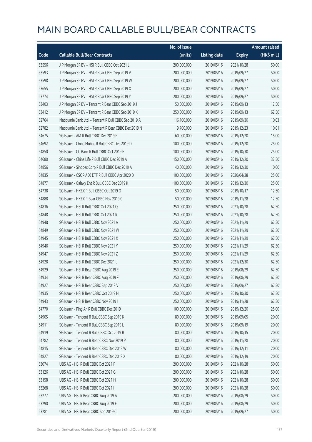|       |                                                      | No. of issue |                     |               | <b>Amount raised</b> |
|-------|------------------------------------------------------|--------------|---------------------|---------------|----------------------|
| Code  | <b>Callable Bull/Bear Contracts</b>                  | (units)      | <b>Listing date</b> | <b>Expiry</b> | (HK\$ mil.)          |
| 63556 | JP Morgan SP BV - HSIR Bull CBBC Oct 2021 L          | 200,000,000  | 2019/05/16          | 2021/10/28    | 50.00                |
| 63593 | J P Morgan SP BV - HSI R Bear CBBC Sep 2019 V        | 200,000,000  | 2019/05/16          | 2019/09/27    | 50.00                |
| 63598 | J P Morgan SP BV - HSI R Bear CBBC Sep 2019 W        | 200,000,000  | 2019/05/16          | 2019/09/27    | 50.00                |
| 63655 | J P Morgan SP BV - HSI R Bear CBBC Sep 2019 X        | 200,000,000  | 2019/05/16          | 2019/09/27    | 50.00                |
| 63774 | J P Morgan SP BV - HSI R Bear CBBC Sep 2019 Y        | 200,000,000  | 2019/05/16          | 2019/09/27    | 50.00                |
| 63403 | J P Morgan SP BV - Tencent R Bear CBBC Sep 2019 J    | 50,000,000   | 2019/05/16          | 2019/09/13    | 12.50                |
| 63412 | J P Morgan SP BV - Tencent R Bear CBBC Sep 2019 K    | 250,000,000  | 2019/05/16          | 2019/09/13    | 62.50                |
| 62764 | Macquarie Bank Ltd. - Tencent R Bull CBBC Sep 2019 A | 16,100,000   | 2019/05/16          | 2019/09/30    | 10.03                |
| 62782 | Macquarie Bank Ltd. - Tencent R Bear CBBC Dec 2019 N | 9,700,000    | 2019/05/16          | 2019/12/23    | 10.01                |
| 64675 | SG Issuer - AIA R Bull CBBC Dec 2019 E               | 60,000,000   | 2019/05/16          | 2019/12/20    | 15.00                |
| 64692 | SG Issuer - China Mobile R Bull CBBC Dec 2019 D      | 100,000,000  | 2019/05/16          | 2019/12/20    | 25.00                |
| 64850 | SG Issuer - CC Bank R Bull CBBC Oct 2019 F           | 100,000,000  | 2019/05/16          | 2019/10/30    | 25.00                |
| 64680 | SG Issuer - China Life R Bull CBBC Dec 2019 A        | 150,000,000  | 2019/05/16          | 2019/12/20    | 37.50                |
| 64856 | SG Issuer - Sinopec Corp R Bull CBBC Dec 2019 A      | 40,000,000   | 2019/05/16          | 2019/12/30    | 10.00                |
| 64835 | SG Issuer - CSOP A50 ETF R Bull CBBC Apr 2020 D      | 100,000,000  | 2019/05/16          | 2020/04/28    | 25.00                |
| 64877 | SG Issuer - Galaxy Ent R Bull CBBC Dec 2019 K        | 100,000,000  | 2019/05/16          | 2019/12/30    | 25.00                |
| 64738 | SG Issuer - HKEX R Bull CBBC Oct 2019 O              | 50,000,000   | 2019/05/16          | 2019/10/17    | 12.50                |
| 64888 | SG Issuer - HKEX R Bear CBBC Nov 2019 C              | 50,000,000   | 2019/05/16          | 2019/11/28    | 12.50                |
| 64836 | SG Issuer - HSI R Bull CBBC Oct 2021 Q               | 250,000,000  | 2019/05/16          | 2021/10/28    | 62.50                |
| 64848 | SG Issuer - HSI R Bull CBBC Oct 2021 R               | 250,000,000  | 2019/05/16          | 2021/10/28    | 62.50                |
| 64948 | SG Issuer - HSI R Bull CBBC Nov 2021 A               | 250,000,000  | 2019/05/16          | 2021/11/29    | 62.50                |
| 64849 | SG Issuer - HSI R Bull CBBC Nov 2021 W               | 250,000,000  | 2019/05/16          | 2021/11/29    | 62.50                |
| 64945 | SG Issuer - HSI R Bull CBBC Nov 2021 X               | 250,000,000  | 2019/05/16          | 2021/11/29    | 62.50                |
| 64946 | SG Issuer - HSI R Bull CBBC Nov 2021 Y               | 250,000,000  | 2019/05/16          | 2021/11/29    | 62.50                |
| 64947 | SG Issuer - HSI R Bull CBBC Nov 2021 Z               | 250,000,000  | 2019/05/16          | 2021/11/29    | 62.50                |
| 64928 | SG Issuer - HSI R Bull CBBC Dec 2021 L               | 250,000,000  | 2019/05/16          | 2021/12/30    | 62.50                |
| 64929 | SG Issuer - HSI R Bear CBBC Aug 2019 E               | 250,000,000  | 2019/05/16          | 2019/08/29    | 62.50                |
| 64934 | SG Issuer - HSI R Bear CBBC Aug 2019 F               | 250,000,000  | 2019/05/16          | 2019/08/29    | 62.50                |
| 64927 | SG Issuer - HSI R Bear CBBC Sep 2019 V               | 250,000,000  | 2019/05/16          | 2019/09/27    | 62.50                |
| 64935 | SG Issuer - HSI R Bear CBBC Oct 2019 H               | 250,000,000  | 2019/05/16          | 2019/10/30    | 62.50                |
| 64943 | SG Issuer - HSI R Bear CBBC Nov 2019 I               | 250,000,000  | 2019/05/16          | 2019/11/28    | 62.50                |
| 64770 | SG Issuer - Ping An R Bull CBBC Dec 2019 I           | 100,000,000  | 2019/05/16          | 2019/12/20    | 25.00                |
| 64905 | SG Issuer - Tencent R Bull CBBC Sep 2019 K           | 80,000,000   | 2019/05/16          | 2019/09/05    | 20.00                |
| 64911 | SG Issuer - Tencent R Bull CBBC Sep 2019 L           | 80,000,000   | 2019/05/16          | 2019/09/19    | 20.00                |
| 64919 | SG Issuer - Tencent R Bull CBBC Oct 2019 B           | 80,000,000   | 2019/05/16          | 2019/10/15    | 20.00                |
| 64782 | SG Issuer - Tencent R Bear CBBC Nov 2019 P           | 80,000,000   | 2019/05/16          | 2019/11/28    | 20.00                |
| 64815 | SG Issuer - Tencent R Bear CBBC Dec 2019 W           | 80,000,000   | 2019/05/16          | 2019/12/11    | 20.00                |
| 64827 | SG Issuer - Tencent R Bear CBBC Dec 2019 X           | 80,000,000   | 2019/05/16          | 2019/12/19    | 20.00                |
| 63074 | UBS AG - HSI R Bull CBBC Oct 2021 F                  | 200,000,000  | 2019/05/16          | 2021/10/28    | 50.00                |
| 63126 | UBS AG - HSI R Bull CBBC Oct 2021 G                  | 200,000,000  | 2019/05/16          | 2021/10/28    | 50.00                |
| 63158 | UBS AG - HSI R Bull CBBC Oct 2021 H                  | 200,000,000  | 2019/05/16          | 2021/10/28    | 50.00                |
| 63268 | UBS AG - HSI R Bull CBBC Oct 2021 I                  | 200,000,000  | 2019/05/16          | 2021/10/28    | 50.00                |
| 63277 | UBS AG - HSI R Bear CBBC Aug 2019 A                  | 200,000,000  | 2019/05/16          | 2019/08/29    | 50.00                |
| 63290 | UBS AG - HSI R Bear CBBC Aug 2019 E                  | 200,000,000  | 2019/05/16          | 2019/08/29    | 50.00                |
| 63281 | UBS AG - HSI R Bear CBBC Sep 2019 C                  | 200,000,000  | 2019/05/16          | 2019/09/27    | 50.00                |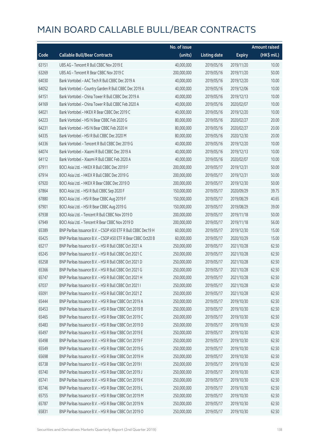|       |                                                              | No. of issue |                     |               | <b>Amount raised</b> |
|-------|--------------------------------------------------------------|--------------|---------------------|---------------|----------------------|
| Code  | <b>Callable Bull/Bear Contracts</b>                          | (units)      | <b>Listing date</b> | <b>Expiry</b> | (HK\$ mil.)          |
| 63151 | UBS AG - Tencent R Bull CBBC Nov 2019 E                      | 40,000,000   | 2019/05/16          | 2019/11/20    | 10.00                |
| 63269 | UBS AG - Tencent R Bear CBBC Nov 2019 C                      | 200,000,000  | 2019/05/16          | 2019/11/20    | 50.00                |
| 64030 | Bank Vontobel - AAC Tech R Bull CBBC Dec 2019 A              | 40,000,000   | 2019/05/16          | 2019/12/20    | 10.00                |
| 64052 | Bank Vontobel - Country Garden R Bull CBBC Dec 2019 A        | 40,000,000   | 2019/05/16          | 2019/12/06    | 10.00                |
| 64151 | Bank Vontobel - China Tower R Bull CBBC Dec 2019 A           | 40,000,000   | 2019/05/16          | 2019/12/13    | 10.00                |
| 64169 | Bank Vontobel - China Tower R Bull CBBC Feb 2020 A           | 40,000,000   | 2019/05/16          | 2020/02/07    | 10.00                |
| 64021 | Bank Vontobel - HKEX R Bear CBBC Dec 2019 C                  | 40,000,000   | 2019/05/16          | 2019/12/20    | 10.00                |
| 64223 | Bank Vontobel - HSI N Bear CBBC Feb 2020 G                   | 80,000,000   | 2019/05/16          | 2020/02/27    | 20.00                |
| 64231 | Bank Vontobel - HSI N Bear CBBC Feb 2020 H                   | 80,000,000   | 2019/05/16          | 2020/02/27    | 20.00                |
| 64335 | Bank Vontobel - HSI R Bull CBBC Dec 2020 M                   | 80,000,000   | 2019/05/16          | 2020/12/30    | 20.00                |
| 64336 | Bank Vontobel - Tencent R Bull CBBC Dec 2019 G               | 40,000,000   | 2019/05/16          | 2019/12/20    | 10.00                |
| 64074 | Bank Vontobel - Xiaomi R Bull CBBC Dec 2019 A                | 40,000,000   | 2019/05/16          | 2019/12/13    | 10.00                |
| 64112 | Bank Vontobel - Xiaomi R Bull CBBC Feb 2020 A                | 40,000,000   | 2019/05/16          | 2020/02/07    | 10.00                |
| 67911 | BOCI Asia Ltd. - HKEX R Bull CBBC Dec 2019 F                 | 200,000,000  | 2019/05/17          | 2019/12/31    | 50.00                |
| 67914 | BOCI Asia Ltd. - HKEX R Bull CBBC Dec 2019 G                 | 200,000,000  | 2019/05/17          | 2019/12/31    | 50.00                |
| 67920 | BOCI Asia Ltd. - HKEX R Bear CBBC Dec 2019 D                 | 200,000,000  | 2019/05/17          | 2019/12/30    | 50.00                |
| 67864 | BOCI Asia Ltd. - HSI R Bull CBBC Sep 2020 F                  | 150,000,000  | 2019/05/17          | 2020/09/29    | 39.75                |
| 67880 | BOCI Asia Ltd. - HSI R Bear CBBC Aug 2019 F                  | 150,000,000  | 2019/05/17          | 2019/08/29    | 40.65                |
| 67901 | BOCI Asia Ltd. - HSI R Bear CBBC Aug 2019 G                  | 150,000,000  | 2019/05/17          | 2019/08/29    | 39.00                |
| 67938 | BOCI Asia Ltd. - Tencent R Bull CBBC Nov 2019 D              | 200,000,000  | 2019/05/17          | 2019/11/18    | 50.00                |
| 67949 | BOCI Asia Ltd. - Tencent R Bear CBBC Nov 2019 D              | 200,000,000  | 2019/05/17          | 2019/11/18    | 56.00                |
| 65389 | BNP Paribas Issuance B.V. - CSOP A50 ETF R Bull CBBC Dec19 H | 60,000,000   | 2019/05/17          | 2019/12/30    | 15.00                |
| 65425 | BNP Paribas Issuance B.V. - CSOP A50 ETF R Bear CBBC Oct20 B | 60,000,000   | 2019/05/17          | 2020/10/29    | 15.00                |
| 65217 | BNP Paribas Issuance B.V. - HSI R Bull CBBC Oct 2021 A       | 250,000,000  | 2019/05/17          | 2021/10/28    | 62.50                |
| 65245 | BNP Paribas Issuance B.V. - HSI R Bull CBBC Oct 2021 C       | 250,000,000  | 2019/05/17          | 2021/10/28    | 62.50                |
| 65258 | BNP Paribas Issuance B.V. - HSI R Bull CBBC Oct 2021 D       | 250,000,000  | 2019/05/17          | 2021/10/28    | 62.50                |
| 65366 | BNP Paribas Issuance B.V. - HSI R Bull CBBC Oct 2021 G       | 250,000,000  | 2019/05/17          | 2021/10/28    | 62.50                |
| 65747 | BNP Paribas Issuance B.V. - HSI R Bull CBBC Oct 2021 H       | 250,000,000  | 2019/05/17          | 2021/10/28    | 62.50                |
| 67037 | BNP Paribas Issuance B.V. - HSI R Bull CBBC Oct 2021 I       | 250,000,000  | 2019/05/17          | 2021/10/28    | 62.50                |
| 65091 | BNP Paribas Issuance B.V. - HSI R Bull CBBC Oct 2021 Z       | 250,000,000  | 2019/05/17          | 2021/10/28    | 62.50                |
| 65444 | BNP Paribas Issuance B.V. - HSI R Bear CBBC Oct 2019 A       | 250,000,000  | 2019/05/17          | 2019/10/30    | 62.50                |
| 65453 | BNP Paribas Issuance B.V. - HSI R Bear CBBC Oct 2019 B       | 250,000,000  | 2019/05/17          | 2019/10/30    | 62.50                |
| 65465 | BNP Paribas Issuance B.V. - HSI R Bear CBBC Oct 2019 C       | 250,000,000  | 2019/05/17          | 2019/10/30    | 62.50                |
| 65483 | BNP Paribas Issuance B.V. - HSI R Bear CBBC Oct 2019 D       | 250,000,000  | 2019/05/17          | 2019/10/30    | 62.50                |
| 65497 | BNP Paribas Issuance B.V. - HSI R Bear CBBC Oct 2019 E       | 250,000,000  | 2019/05/17          | 2019/10/30    | 62.50                |
| 65498 | BNP Paribas Issuance B.V. - HSI R Bear CBBC Oct 2019 F       | 250,000,000  | 2019/05/17          | 2019/10/30    | 62.50                |
| 65549 | BNP Paribas Issuance B.V. - HSI R Bear CBBC Oct 2019 G       | 250,000,000  | 2019/05/17          | 2019/10/30    | 62.50                |
| 65698 | BNP Paribas Issuance B.V. - HSI R Bear CBBC Oct 2019 H       | 250,000,000  | 2019/05/17          | 2019/10/30    | 62.50                |
| 65738 | BNP Paribas Issuance B.V. - HSI R Bear CBBC Oct 2019 I       | 250,000,000  | 2019/05/17          | 2019/10/30    | 62.50                |
| 65740 | BNP Paribas Issuance B.V. - HSI R Bear CBBC Oct 2019 J       | 250,000,000  | 2019/05/17          | 2019/10/30    | 62.50                |
| 65741 | BNP Paribas Issuance B.V. - HSI R Bear CBBC Oct 2019 K       | 250,000,000  | 2019/05/17          | 2019/10/30    | 62.50                |
| 65746 | BNP Paribas Issuance B.V. - HSI R Bear CBBC Oct 2019 L       | 250,000,000  | 2019/05/17          | 2019/10/30    | 62.50                |
| 65755 | BNP Paribas Issuance B.V. - HSI R Bear CBBC Oct 2019 M       | 250,000,000  | 2019/05/17          | 2019/10/30    | 62.50                |
| 65787 | BNP Paribas Issuance B.V. - HSI R Bear CBBC Oct 2019 N       | 250,000,000  | 2019/05/17          | 2019/10/30    | 62.50                |
| 65831 | BNP Paribas Issuance B.V. - HSI R Bear CBBC Oct 2019 O       | 250,000,000  | 2019/05/17          | 2019/10/30    | 62.50                |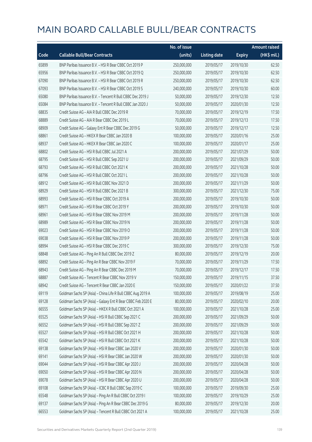|       |                                                             | No. of issue |                     |               | <b>Amount raised</b>  |
|-------|-------------------------------------------------------------|--------------|---------------------|---------------|-----------------------|
| Code  | <b>Callable Bull/Bear Contracts</b>                         | (units)      | <b>Listing date</b> | <b>Expiry</b> | $(HK\frac{1}{2}mil.)$ |
| 65899 | BNP Paribas Issuance B.V. - HSI R Bear CBBC Oct 2019 P      | 250,000,000  | 2019/05/17          | 2019/10/30    | 62.50                 |
| 65956 | BNP Paribas Issuance B.V. - HSI R Bear CBBC Oct 2019 Q      | 250,000,000  | 2019/05/17          | 2019/10/30    | 62.50                 |
| 67090 | BNP Paribas Issuance B.V. - HSI R Bear CBBC Oct 2019 R      | 250,000,000  | 2019/05/17          | 2019/10/30    | 62.50                 |
| 67093 | BNP Paribas Issuance B.V. - HSI R Bear CBBC Oct 2019 S      | 240,000,000  | 2019/05/17          | 2019/10/30    | 60.00                 |
| 65080 | BNP Paribas Issuance B.V. - Tencent R Bull CBBC Dec 2019 J  | 50,000,000   | 2019/05/17          | 2019/12/30    | 12.50                 |
| 65084 | BNP Paribas Issuance B.V. - Tencent R Bull CBBC Jan 2020 J  | 50,000,000   | 2019/05/17          | 2020/01/30    | 12.50                 |
| 68835 | Credit Suisse AG - AIA R Bull CBBC Dec 2019 R               | 70,000,000   | 2019/05/17          | 2019/12/19    | 17.50                 |
| 68889 | Credit Suisse AG - AIA R Bear CBBC Dec 2019 L               | 70,000,000   | 2019/05/17          | 2019/12/13    | 17.50                 |
| 68909 | Credit Suisse AG - Galaxy Ent R Bear CBBC Dec 2019 G        | 50,000,000   | 2019/05/17          | 2019/12/17    | 12.50                 |
| 68861 | Credit Suisse AG - HKEX R Bear CBBC Jan 2020 B              | 100,000,000  | 2019/05/17          | 2020/01/16    | 25.00                 |
| 68937 | Credit Suisse AG - HKEX R Bear CBBC Jan 2020 C              | 100,000,000  | 2019/05/17          | 2020/01/17    | 25.00                 |
| 68802 | Credit Suisse AG - HSI R Bull CBBC Jul 2021 A               | 200,000,000  | 2019/05/17          | 2021/07/29    | 50.00                 |
| 68795 | Credit Suisse AG - HSI R Bull CBBC Sep 2021 U               | 200,000,000  | 2019/05/17          | 2021/09/29    | 50.00                 |
| 68793 | Credit Suisse AG - HSI R Bull CBBC Oct 2021 K               | 200,000,000  | 2019/05/17          | 2021/10/28    | 50.00                 |
| 68796 | Credit Suisse AG - HSI R Bull CBBC Oct 2021 L               | 200,000,000  | 2019/05/17          | 2021/10/28    | 50.00                 |
| 68912 | Credit Suisse AG - HSI R Bull CBBC Nov 2021 D               | 200,000,000  | 2019/05/17          | 2021/11/29    | 50.00                 |
| 68929 | Credit Suisse AG - HSI R Bull CBBC Dec 2021 B               | 300,000,000  | 2019/05/17          | 2021/12/30    | 75.00                 |
| 68993 | Credit Suisse AG - HSI R Bear CBBC Oct 2019 A               | 200,000,000  | 2019/05/17          | 2019/10/30    | 50.00                 |
| 68971 | Credit Suisse AG - HSI R Bear CBBC Oct 2019 Y               | 200,000,000  | 2019/05/17          | 2019/10/30    | 50.00                 |
| 68961 | Credit Suisse AG - HSI R Bear CBBC Nov 2019 M               | 200,000,000  | 2019/05/17          | 2019/11/28    | 50.00                 |
| 68989 | Credit Suisse AG - HSI R Bear CBBC Nov 2019 N               | 200,000,000  | 2019/05/17          | 2019/11/28    | 50.00                 |
| 69023 | Credit Suisse AG - HSI R Bear CBBC Nov 2019 O               | 200,000,000  | 2019/05/17          | 2019/11/28    | 50.00                 |
| 69038 | Credit Suisse AG - HSI R Bear CBBC Nov 2019 P               | 200,000,000  | 2019/05/17          | 2019/11/28    | 50.00                 |
| 68994 | Credit Suisse AG - HSI R Bear CBBC Dec 2019 C               | 300,000,000  | 2019/05/17          | 2019/12/30    | 75.00                 |
| 68848 | Credit Suisse AG - Ping An R Bull CBBC Dec 2019 Z           | 80,000,000   | 2019/05/17          | 2019/12/19    | 20.00                 |
| 68892 | Credit Suisse AG - Ping An R Bear CBBC Nov 2019 F           | 70,000,000   | 2019/05/17          | 2019/11/29    | 17.50                 |
| 68943 | Credit Suisse AG - Ping An R Bear CBBC Dec 2019 M           | 70,000,000   | 2019/05/17          | 2019/12/17    | 17.50                 |
| 68887 | Credit Suisse AG - Tencent R Bear CBBC Nov 2019 V           | 150,000,000  | 2019/05/17          | 2019/11/15    | 37.50                 |
| 68942 | Credit Suisse AG - Tencent R Bear CBBC Jan 2020 E           | 150,000,000  | 2019/05/17          | 2020/01/22    | 37.50                 |
| 69119 | Goldman Sachs SP (Asia) - China Life R Bull CBBC Aug 2019 A | 100,000,000  | 2019/05/17          | 2019/08/19    | 25.00                 |
| 69128 | Goldman Sachs SP (Asia) - Galaxy Ent R Bear CBBC Feb 2020 E | 80,000,000   | 2019/05/17          | 2020/02/10    | 20.00                 |
| 66555 | Goldman Sachs SP (Asia) - HKEX R Bull CBBC Oct 2021 A       | 100,000,000  | 2019/05/17          | 2021/10/28    | 25.00                 |
| 65525 | Goldman Sachs SP (Asia) - HSI R Bull CBBC Sep 2021 C        | 200,000,000  | 2019/05/17          | 2021/09/29    | 50.00                 |
| 66552 | Goldman Sachs SP (Asia) - HSI R Bull CBBC Sep 2021 Z        | 200,000,000  | 2019/05/17          | 2021/09/29    | 50.00                 |
| 65527 | Goldman Sachs SP (Asia) - HSI R Bull CBBC Oct 2021 H        | 200,000,000  | 2019/05/17          | 2021/10/28    | 50.00                 |
| 65542 | Goldman Sachs SP (Asia) - HSI R Bull CBBC Oct 2021 K        | 200,000,000  | 2019/05/17          | 2021/10/28    | 50.00                 |
| 69138 | Goldman Sachs SP (Asia) - HSI R Bear CBBC Jan 2020 V        | 200,000,000  | 2019/05/17          | 2020/01/30    | 50.00                 |
| 69141 | Goldman Sachs SP (Asia) - HSI R Bear CBBC Jan 2020 W        | 200,000,000  | 2019/05/17          | 2020/01/30    | 50.00                 |
| 69044 | Goldman Sachs SP (Asia) - HSI R Bear CBBC Apr 2020 J        | 200,000,000  | 2019/05/17          | 2020/04/28    | 50.00                 |
| 69050 | Goldman Sachs SP (Asia) - HSI R Bear CBBC Apr 2020 N        | 200,000,000  | 2019/05/17          | 2020/04/28    | 50.00                 |
| 69078 | Goldman Sachs SP (Asia) - HSI R Bear CBBC Apr 2020 U        | 200,000,000  | 2019/05/17          | 2020/04/28    | 50.00                 |
| 69108 | Goldman Sachs SP (Asia) - ICBC R Bull CBBC Sep 2019 C       | 100,000,000  | 2019/05/17          | 2019/09/30    | 25.00                 |
| 65548 | Goldman Sachs SP (Asia) - Ping An R Bull CBBC Oct 2019 I    | 100,000,000  | 2019/05/17          | 2019/10/29    | 25.00                 |
| 69137 | Goldman Sachs SP (Asia) - Ping An R Bear CBBC Dec 2019 G    | 80,000,000   | 2019/05/17          | 2019/12/30    | 20.00                 |
| 66553 | Goldman Sachs SP (Asia) - Tencent R Bull CBBC Oct 2021 A    | 100,000,000  | 2019/05/17          | 2021/10/28    | 25.00                 |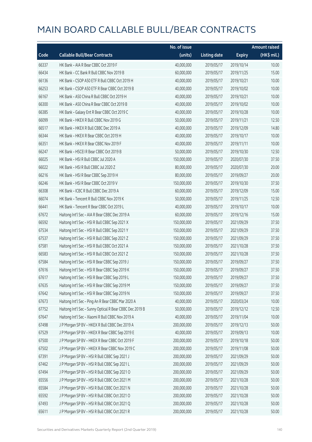|       |                                                          | No. of issue |                     |               | <b>Amount raised</b> |
|-------|----------------------------------------------------------|--------------|---------------------|---------------|----------------------|
| Code  | <b>Callable Bull/Bear Contracts</b>                      | (units)      | <b>Listing date</b> | <b>Expiry</b> | (HK\$ mil.)          |
| 66337 | HK Bank - AIA R Bear CBBC Oct 2019 F                     | 40,000,000   | 2019/05/17          | 2019/10/14    | 10.00                |
| 66434 | HK Bank - CC Bank R Bull CBBC Nov 2019 B                 | 60,000,000   | 2019/05/17          | 2019/11/25    | 15.00                |
| 66136 | HK Bank - CSOP A50 ETF R Bull CBBC Oct 2019 H            | 40,000,000   | 2019/05/17          | 2019/10/21    | 10.00                |
| 66253 | HK Bank - CSOP A50 ETF R Bear CBBC Oct 2019 B            | 40,000,000   | 2019/05/17          | 2019/10/02    | 10.00                |
| 66167 | HK Bank - A50 China R Bull CBBC Oct 2019 H               | 40,000,000   | 2019/05/17          | 2019/10/21    | 10.00                |
| 66300 | HK Bank - A50 China R Bear CBBC Oct 2019 B               | 40,000,000   | 2019/05/17          | 2019/10/02    | 10.00                |
| 66385 | HK Bank - Galaxy Ent R Bear CBBC Oct 2019 C              | 40,000,000   | 2019/05/17          | 2019/10/28    | 10.00                |
| 66099 | HK Bank - HKEX R Bull CBBC Nov 2019 G                    | 50,000,000   | 2019/05/17          | 2019/11/21    | 12.50                |
| 66517 | HK Bank - HKEX R Bull CBBC Dec 2019 A                    | 40,000,000   | 2019/05/17          | 2019/12/09    | 14.80                |
| 66344 | HK Bank - HKEX R Bear CBBC Oct 2019 H                    | 40,000,000   | 2019/05/17          | 2019/10/17    | 10.00                |
| 66351 | HK Bank - HKEX R Bear CBBC Nov 2019 F                    | 40,000,000   | 2019/05/17          | 2019/11/11    | 10.00                |
| 66247 | HK Bank - HSCEI R Bear CBBC Oct 2019 B                   | 50,000,000   | 2019/05/17          | 2019/10/30    | 12.50                |
| 66025 | HK Bank - HSI R Bull CBBC Jul 2020 A                     | 150,000,000  | 2019/05/17          | 2020/07/30    | 37.50                |
| 66022 | HK Bank - HSI R Bull CBBC Jul 2020 Z                     | 80,000,000   | 2019/05/17          | 2020/07/30    | 20.00                |
| 66216 | HK Bank - HSI R Bear CBBC Sep 2019 H                     | 80,000,000   | 2019/05/17          | 2019/09/27    | 20.00                |
| 66246 | HK Bank - HSI R Bear CBBC Oct 2019 V                     | 150,000,000  | 2019/05/17          | 2019/10/30    | 37.50                |
| 66308 | HK Bank - ICBC R Bull CBBC Dec 2019 A                    | 60,000,000   | 2019/05/17          | 2019/12/09    | 15.00                |
| 66074 | HK Bank - Tencent R Bull CBBC Nov 2019 K                 | 50,000,000   | 2019/05/17          | 2019/11/25    | 12.50                |
| 66441 | HK Bank - Tencent R Bear CBBC Oct 2019 L                 | 40,000,000   | 2019/05/17          | 2019/10/17    | 10.00                |
| 67672 | Haitong Int'l Sec - AIA R Bear CBBC Dec 2019 A           | 60,000,000   | 2019/05/17          | 2019/12/16    | 15.00                |
| 66592 | Haitong Int'l Sec - HSI R Bull CBBC Sep 2021 X           | 150,000,000  | 2019/05/17          | 2021/09/29    | 37.50                |
| 67534 | Haitong Int'l Sec - HSI R Bull CBBC Sep 2021 Y           | 150,000,000  | 2019/05/17          | 2021/09/29    | 37.50                |
| 67537 | Haitong Int'l Sec - HSI R Bull CBBC Sep 2021 Z           | 150,000,000  | 2019/05/17          | 2021/09/29    | 37.50                |
| 67581 | Haitong Int'l Sec - HSI R Bull CBBC Oct 2021 A           | 150,000,000  | 2019/05/17          | 2021/10/28    | 37.50                |
| 66583 | Haitong Int'l Sec - HSI R Bull CBBC Oct 2021 Z           | 150,000,000  | 2019/05/17          | 2021/10/28    | 37.50                |
| 67584 | Haitong Int'l Sec - HSI R Bear CBBC Sep 2019 J           | 150,000,000  | 2019/05/17          | 2019/09/27    | 37.50                |
| 67616 | Haitong Int'l Sec - HSI R Bear CBBC Sep 2019 K           | 150,000,000  | 2019/05/17          | 2019/09/27    | 37.50                |
| 67617 | Haitong Int'l Sec - HSI R Bear CBBC Sep 2019 L           | 150,000,000  | 2019/05/17          | 2019/09/27    | 37.50                |
| 67635 | Haitong Int'l Sec - HSI R Bear CBBC Sep 2019 M           | 150,000,000  | 2019/05/17          | 2019/09/27    | 37.50                |
| 67642 | Haitong Int'l Sec - HSI R Bear CBBC Sep 2019 N           | 150,000,000  | 2019/05/17          | 2019/09/27    | 37.50                |
| 67673 | Haitong Int'l Sec - Ping An R Bear CBBC Mar 2020 A       | 40,000,000   | 2019/05/17          | 2020/03/24    | 10.00                |
| 67752 | Haitong Int'l Sec - Sunny Optical R Bear CBBC Dec 2019 B | 50,000,000   | 2019/05/17          | 2019/12/12    | 12.50                |
| 67647 | Haitong Int'l Sec - Xiaomi R Bull CBBC Nov 2019 A        | 40,000,000   | 2019/05/17          | 2019/11/04    | 10.00                |
| 67498 | J P Morgan SP BV - HKEX R Bull CBBC Dec 2019 A           | 200,000,000  | 2019/05/17          | 2019/12/13    | 50.00                |
| 67529 | J P Morgan SP BV - HKEX R Bear CBBC Sep 2019 E           | 40,000,000   | 2019/05/17          | 2019/09/13    | 10.00                |
| 67500 | J P Morgan SP BV - HKEX R Bear CBBC Oct 2019 F           | 200,000,000  | 2019/05/17          | 2019/10/18    | 50.00                |
| 67502 | J P Morgan SP BV - HKEX R Bear CBBC Nov 2019 C           | 200,000,000  | 2019/05/17          | 2019/11/08    | 50.00                |
| 67391 | J P Morgan SP BV - HSI R Bull CBBC Sep 2021 J            | 200,000,000  | 2019/05/17          | 2021/09/29    | 50.00                |
| 67462 | J P Morgan SP BV - HSI R Bull CBBC Sep 2021 L            | 200,000,000  | 2019/05/17          | 2021/09/29    | 50.00                |
| 67494 | J P Morgan SP BV - HSI R Bull CBBC Sep 2021 O            | 200,000,000  | 2019/05/17          | 2021/09/29    | 50.00                |
| 65556 | J P Morgan SP BV - HSI R Bull CBBC Oct 2021 M            | 200,000,000  | 2019/05/17          | 2021/10/28    | 50.00                |
| 65584 | J P Morgan SP BV - HSI R Bull CBBC Oct 2021 N            | 200,000,000  | 2019/05/17          | 2021/10/28    | 50.00                |
| 65592 | J P Morgan SP BV - HSI R Bull CBBC Oct 2021 O            | 200,000,000  | 2019/05/17          | 2021/10/28    | 50.00                |
| 67493 | J P Morgan SP BV - HSI R Bull CBBC Oct 2021 Q            | 200,000,000  | 2019/05/17          | 2021/10/28    | 50.00                |
| 65611 | J P Morgan SP BV - HSI R Bull CBBC Oct 2021 R            | 200,000,000  | 2019/05/17          | 2021/10/28    | 50.00                |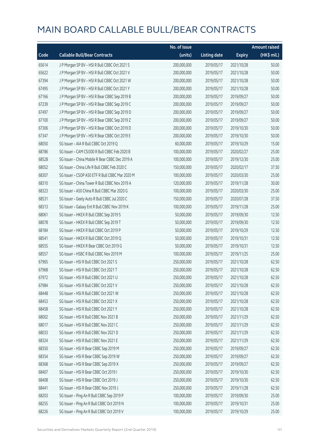|       |                                                 | No. of issue |                     |               | <b>Amount raised</b> |
|-------|-------------------------------------------------|--------------|---------------------|---------------|----------------------|
| Code  | <b>Callable Bull/Bear Contracts</b>             | (units)      | <b>Listing date</b> | <b>Expiry</b> | (HK\$ mil.)          |
| 65614 | J P Morgan SP BV - HSI R Bull CBBC Oct 2021 S   | 200,000,000  | 2019/05/17          | 2021/10/28    | 50.00                |
| 65622 | J P Morgan SP BV - HSI R Bull CBBC Oct 2021 V   | 200,000,000  | 2019/05/17          | 2021/10/28    | 50.00                |
| 67394 | JP Morgan SP BV - HSIR Bull CBBC Oct 2021 W     | 200,000,000  | 2019/05/17          | 2021/10/28    | 50.00                |
| 67495 | J P Morgan SP BV - HSI R Bull CBBC Oct 2021 Y   | 200,000,000  | 2019/05/17          | 2021/10/28    | 50.00                |
| 67166 | J P Morgan SP BV - HSI R Bear CBBC Sep 2019 B   | 200,000,000  | 2019/05/17          | 2019/09/27    | 50.00                |
| 67239 | J P Morgan SP BV - HSI R Bear CBBC Sep 2019 C   | 200,000,000  | 2019/05/17          | 2019/09/27    | 50.00                |
| 67497 | J P Morgan SP BV - HSI R Bear CBBC Sep 2019 D   | 200,000,000  | 2019/05/17          | 2019/09/27    | 50.00                |
| 67100 | J P Morgan SP BV - HSI R Bear CBBC Sep 2019 Z   | 200,000,000  | 2019/05/17          | 2019/09/27    | 50.00                |
| 67306 | J P Morgan SP BV - HSI R Bear CBBC Oct 2019 D   | 200,000,000  | 2019/05/17          | 2019/10/30    | 50.00                |
| 67347 | J P Morgan SP BV - HSI R Bear CBBC Oct 2019 E   | 200,000,000  | 2019/05/17          | 2019/10/30    | 50.00                |
| 68050 | SG Issuer - AIA R Bull CBBC Oct 2019 Q          | 60,000,000   | 2019/05/17          | 2019/10/29    | 15.00                |
| 68786 | SG Issuer - CAM CSI300 R Bull CBBC Feb 2020 B   | 100,000,000  | 2019/05/17          | 2020/02/27    | 25.00                |
| 68528 | SG Issuer - China Mobile R Bear CBBC Dec 2019 A | 100,000,000  | 2019/05/17          | 2019/12/30    | 25.00                |
| 68052 | SG Issuer - China Life R Bull CBBC Feb 2020 C   | 150,000,000  | 2019/05/17          | 2020/02/17    | 37.50                |
| 68307 | SG Issuer - CSOP A50 ETF R Bull CBBC Mar 2020 M | 100,000,000  | 2019/05/17          | 2020/03/30    | 25.00                |
| 68310 | SG Issuer - China Tower R Bull CBBC Nov 2019 A  | 120,000,000  | 2019/05/17          | 2019/11/28    | 30.00                |
| 68323 | SG Issuer - A50 China R Bull CBBC Mar 2020 G    | 100,000,000  | 2019/05/17          | 2020/03/30    | 25.00                |
| 68531 | SG Issuer - Geely Auto R Bull CBBC Jul 2020 C   | 150,000,000  | 2019/05/17          | 2020/07/28    | 37.50                |
| 68313 | SG Issuer - Galaxy Ent R Bull CBBC Nov 2019 K   | 100,000,000  | 2019/05/17          | 2019/11/28    | 25.00                |
| 68061 | SG Issuer - HKEX R Bull CBBC Sep 2019 S         | 50,000,000   | 2019/05/17          | 2019/09/30    | 12.50                |
| 68078 | SG Issuer - HKEX R Bull CBBC Sep 2019 T         | 50,000,000   | 2019/05/17          | 2019/09/30    | 12.50                |
| 68184 | SG Issuer - HKEX R Bull CBBC Oct 2019 P         | 50,000,000   | 2019/05/17          | 2019/10/29    | 12.50                |
| 68541 | SG Issuer - HKEX R Bull CBBC Oct 2019 Q         | 50,000,000   | 2019/05/17          | 2019/10/31    | 12.50                |
| 68555 | SG Issuer - HKEX R Bear CBBC Oct 2019 G         | 50,000,000   | 2019/05/17          | 2019/10/31    | 12.50                |
| 68557 | SG Issuer - HSBC R Bull CBBC Nov 2019 M         | 100,000,000  | 2019/05/17          | 2019/11/25    | 25.00                |
| 67965 | SG Issuer - HSI R Bull CBBC Oct 2021 S          | 250,000,000  | 2019/05/17          | 2021/10/28    | 62.50                |
| 67968 | SG Issuer - HSI R Bull CBBC Oct 2021 T          | 250,000,000  | 2019/05/17          | 2021/10/28    | 62.50                |
| 67972 | SG Issuer - HSI R Bull CBBC Oct 2021 U          | 250,000,000  | 2019/05/17          | 2021/10/28    | 62.50                |
| 67984 | SG Issuer - HSI R Bull CBBC Oct 2021 V          | 250,000,000  | 2019/05/17          | 2021/10/28    | 62.50                |
| 68448 | SG Issuer - HSI R Bull CBBC Oct 2021 W          | 250,000,000  | 2019/05/17          | 2021/10/28    | 62.50                |
| 68453 | SG Issuer - HSI R Bull CBBC Oct 2021 X          | 250,000,000  | 2019/05/17          | 2021/10/28    | 62.50                |
| 68458 | SG Issuer - HSI R Bull CBBC Oct 2021 Y          | 250,000,000  | 2019/05/17          | 2021/10/28    | 62.50                |
| 68002 | SG Issuer - HSI R Bull CBBC Nov 2021 B          | 250,000,000  | 2019/05/17          | 2021/11/29    | 62.50                |
| 68017 | SG Issuer - HSI R Bull CBBC Nov 2021 C          | 250,000,000  | 2019/05/17          | 2021/11/29    | 62.50                |
| 68033 | SG Issuer - HSI R Bull CBBC Nov 2021 D          | 250,000,000  | 2019/05/17          | 2021/11/29    | 62.50                |
| 68324 | SG Issuer - HSI R Bull CBBC Nov 2021 E          | 250,000,000  | 2019/05/17          | 2021/11/29    | 62.50                |
| 68350 | SG Issuer - HSI R Bear CBBC Sep 2019 M          | 250,000,000  | 2019/05/17          | 2019/09/27    | 62.50                |
| 68354 | SG Issuer - HSI R Bear CBBC Sep 2019 W          | 250,000,000  | 2019/05/17          | 2019/09/27    | 62.50                |
| 68368 | SG Issuer - HSI R Bear CBBC Sep 2019 X          | 250,000,000  | 2019/05/17          | 2019/09/27    | 62.50                |
| 68407 | SG Issuer - HSI R Bear CBBC Oct 2019 I          | 250,000,000  | 2019/05/17          | 2019/10/30    | 62.50                |
| 68408 | SG Issuer - HSI R Bear CBBC Oct 2019 J          | 250,000,000  | 2019/05/17          | 2019/10/30    | 62.50                |
| 68441 | SG Issuer - HSI R Bear CBBC Nov 2019 J          | 250,000,000  | 2019/05/17          | 2019/11/28    | 62.50                |
| 68203 | SG Issuer - Ping An R Bull CBBC Sep 2019 P      | 100,000,000  | 2019/05/17          | 2019/09/30    | 25.00                |
| 68255 | SG Issuer - Ping An R Bull CBBC Oct 2019 N      | 100,000,000  | 2019/05/17          | 2019/10/31    | 25.00                |
| 68226 | SG Issuer - Ping An R Bull CBBC Oct 2019 V      | 100,000,000  | 2019/05/17          | 2019/10/29    | 25.00                |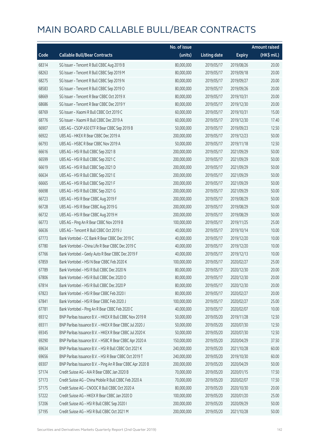|       |                                                            | No. of issue |                     |               | <b>Amount raised</b>  |
|-------|------------------------------------------------------------|--------------|---------------------|---------------|-----------------------|
| Code  | <b>Callable Bull/Bear Contracts</b>                        | (units)      | <b>Listing date</b> | <b>Expiry</b> | $(HK\frac{1}{2}mil.)$ |
| 68314 | SG Issuer - Tencent R Bull CBBC Aug 2019 B                 | 80,000,000   | 2019/05/17          | 2019/08/26    | 20.00                 |
| 68263 | SG Issuer - Tencent R Bull CBBC Sep 2019 M                 | 80,000,000   | 2019/05/17          | 2019/09/18    | 20.00                 |
| 68275 | SG Issuer - Tencent R Bull CBBC Sep 2019 N                 | 80,000,000   | 2019/05/17          | 2019/09/27    | 20.00                 |
| 68583 | SG Issuer - Tencent R Bull CBBC Sep 2019 O                 | 80,000,000   | 2019/05/17          | 2019/09/26    | 20.00                 |
| 68669 | SG Issuer - Tencent R Bear CBBC Oct 2019 X                 | 80,000,000   | 2019/05/17          | 2019/10/31    | 20.00                 |
| 68686 | SG Issuer - Tencent R Bear CBBC Dec 2019 Y                 | 80,000,000   | 2019/05/17          | 2019/12/30    | 20.00                 |
| 68769 | SG Issuer - Xiaomi R Bull CBBC Oct 2019 C                  | 60,000,000   | 2019/05/17          | 2019/10/31    | 15.00                 |
| 68776 | SG Issuer - Xiaomi R Bull CBBC Dec 2019 A                  | 60,000,000   | 2019/05/17          | 2019/12/30    | 17.40                 |
| 66907 | UBS AG - CSOP A50 ETF R Bear CBBC Sep 2019 B               | 50,000,000   | 2019/05/17          | 2019/09/23    | 12.50                 |
| 66922 | UBS AG - HKEX R Bear CBBC Dec 2019 A                       | 200,000,000  | 2019/05/17          | 2019/12/23    | 50.00                 |
| 66793 | UBS AG - HSBC R Bear CBBC Nov 2019 A                       | 50,000,000   | 2019/05/17          | 2019/11/18    | 12.50                 |
| 66616 | UBS AG - HSI R Bull CBBC Sep 2021 B                        | 200,000,000  | 2019/05/17          | 2021/09/29    | 50.00                 |
| 66599 | UBS AG - HSI R Bull CBBC Sep 2021 C                        | 200,000,000  | 2019/05/17          | 2021/09/29    | 50.00                 |
| 66619 | UBS AG - HSI R Bull CBBC Sep 2021 D                        | 200,000,000  | 2019/05/17          | 2021/09/29    | 50.00                 |
| 66634 | UBS AG - HSI R Bull CBBC Sep 2021 E                        | 200,000,000  | 2019/05/17          | 2021/09/29    | 50.00                 |
| 66665 | UBS AG - HSI R Bull CBBC Sep 2021 F                        | 200,000,000  | 2019/05/17          | 2021/09/29    | 50.00                 |
| 66698 | UBS AG - HSI R Bull CBBC Sep 2021 G                        | 200,000,000  | 2019/05/17          | 2021/09/29    | 50.00                 |
| 66723 | UBS AG - HSI R Bear CBBC Aug 2019 F                        | 200,000,000  | 2019/05/17          | 2019/08/29    | 50.00                 |
| 66728 | UBS AG - HSI R Bear CBBC Aug 2019 G                        | 200,000,000  | 2019/05/17          | 2019/08/29    | 50.00                 |
| 66732 | UBS AG - HSI R Bear CBBC Aug 2019 H                        | 200,000,000  | 2019/05/17          | 2019/08/29    | 50.00                 |
| 66773 | UBS AG - Ping An R Bear CBBC Nov 2019 B                    | 100,000,000  | 2019/05/17          | 2019/11/25    | 25.00                 |
| 66636 | UBS AG - Tencent R Bull CBBC Oct 2019 J                    | 40,000,000   | 2019/05/17          | 2019/10/14    | 10.00                 |
| 67773 | Bank Vontobel - CC Bank R Bear CBBC Dec 2019 C             | 40,000,000   | 2019/05/17          | 2019/12/20    | 10.00                 |
| 67780 | Bank Vontobel - China Life R Bear CBBC Dec 2019 C          | 40,000,000   | 2019/05/17          | 2019/12/20    | 10.00                 |
| 67766 | Bank Vontobel - Geely Auto R Bear CBBC Dec 2019 F          | 40,000,000   | 2019/05/17          | 2019/12/13    | 10.00                 |
| 67859 | Bank Vontobel - HSI N Bear CBBC Feb 2020 K                 | 100,000,000  | 2019/05/17          | 2020/02/27    | 25.00                 |
| 67789 | Bank Vontobel - HSI R Bull CBBC Dec 2020 N                 | 80,000,000   | 2019/05/17          | 2020/12/30    | 20.00                 |
| 67806 | Bank Vontobel - HSI R Bull CBBC Dec 2020 O                 | 80,000,000   | 2019/05/17          | 2020/12/30    | 20.00                 |
| 67814 | Bank Vontobel - HSI R Bull CBBC Dec 2020 P                 | 80,000,000   | 2019/05/17          | 2020/12/30    | 20.00                 |
| 67823 | Bank Vontobel - HSI R Bear CBBC Feb 2020 I                 | 80,000,000   | 2019/05/17          | 2020/02/27    | 20.00                 |
| 67841 | Bank Vontobel - HSI R Bear CBBC Feb 2020 J                 | 100,000,000  | 2019/05/17          | 2020/02/27    | 25.00                 |
| 67781 | Bank Vontobel - Ping An R Bear CBBC Feb 2020 C             | 40,000,000   | 2019/05/17          | 2020/02/07    | 10.00                 |
| 69312 | BNP Paribas Issuance B.V. - HKEX R Bull CBBC Nov 2019 R    | 50,000,000   | 2019/05/20          | 2019/11/28    | 12.50                 |
| 69311 | BNP Paribas Issuance B.V. - HKEX R Bear CBBC Jul 2020 J    | 50,000,000   | 2019/05/20          | 2020/07/30    | 12.50                 |
| 69345 | BNP Paribas Issuance B.V. - HKEX R Bear CBBC Jul 2020 K    | 50,000,000   | 2019/05/20          | 2020/07/30    | 12.50                 |
| 69290 | BNP Paribas Issuance B.V. - HSBC R Bear CBBC Apr 2020 A    | 150,000,000  | 2019/05/20          | 2020/04/29    | 37.50                 |
| 69634 | BNP Paribas Issuance B.V. - HSI R Bull CBBC Oct 2021 K     | 240,000,000  | 2019/05/20          | 2021/10/28    | 60.00                 |
| 69656 | BNP Paribas Issuance B.V. - HSI R Bear CBBC Oct 2019 T     | 240,000,000  | 2019/05/20          | 2019/10/30    | 60.00                 |
| 69307 | BNP Paribas Issuance B.V. - Ping An R Bear CBBC Apr 2020 B | 200,000,000  | 2019/05/20          | 2020/04/29    | 50.00                 |
| 57174 | Credit Suisse AG - AIA R Bear CBBC Jan 2020 B              | 70,000,000   | 2019/05/20          | 2020/01/15    | 17.50                 |
| 57173 | Credit Suisse AG - China Mobile R Bull CBBC Feb 2020 A     | 70,000,000   | 2019/05/20          | 2020/02/07    | 17.50                 |
| 57175 | Credit Suisse AG - CNOOC R Bull CBBC Oct 2020 A            | 80,000,000   | 2019/05/20          | 2020/10/30    | 20.00                 |
| 57222 | Credit Suisse AG - HKEX R Bear CBBC Jan 2020 D             | 100,000,000  | 2019/05/20          | 2020/01/20    | 25.00                 |
| 57206 | Credit Suisse AG - HSI R Bull CBBC Sep 2020 I              | 200,000,000  | 2019/05/20          | 2020/09/29    | 50.00                 |
| 57195 | Credit Suisse AG - HSI R Bull CBBC Oct 2021 M              | 200,000,000  | 2019/05/20          | 2021/10/28    | 50.00                 |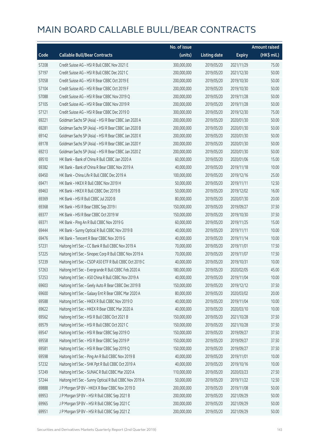|       |                                                          | No. of issue |                     |               | <b>Amount raised</b> |
|-------|----------------------------------------------------------|--------------|---------------------|---------------|----------------------|
| Code  | <b>Callable Bull/Bear Contracts</b>                      | (units)      | <b>Listing date</b> | <b>Expiry</b> | (HK\$ mil.)          |
| 57208 | Credit Suisse AG - HSI R Bull CBBC Nov 2021 E            | 300,000,000  | 2019/05/20          | 2021/11/29    | 75.00                |
| 57197 | Credit Suisse AG - HSI R Bull CBBC Dec 2021 C            | 200,000,000  | 2019/05/20          | 2021/12/30    | 50.00                |
| 57058 | Credit Suisse AG - HSI R Bear CBBC Oct 2019 E            | 200,000,000  | 2019/05/20          | 2019/10/30    | 50.00                |
| 57104 | Credit Suisse AG - HSI R Bear CBBC Oct 2019 F            | 200,000,000  | 2019/05/20          | 2019/10/30    | 50.00                |
| 57088 | Credit Suisse AG - HSI R Bear CBBC Nov 2019 Q            | 200,000,000  | 2019/05/20          | 2019/11/28    | 50.00                |
| 57105 | Credit Suisse AG - HSI R Bear CBBC Nov 2019 R            | 200,000,000  | 2019/05/20          | 2019/11/28    | 50.00                |
| 57121 | Credit Suisse AG - HSI R Bear CBBC Dec 2019 D            | 300,000,000  | 2019/05/20          | 2019/12/30    | 75.00                |
| 69221 | Goldman Sachs SP (Asia) - HSI R Bear CBBC Jan 2020 A     | 200,000,000  | 2019/05/20          | 2020/01/30    | 50.00                |
| 69281 | Goldman Sachs SP (Asia) - HSI R Bear CBBC Jan 2020 B     | 200,000,000  | 2019/05/20          | 2020/01/30    | 50.00                |
| 69142 | Goldman Sachs SP (Asia) - HSI R Bear CBBC Jan 2020 X     | 200,000,000  | 2019/05/20          | 2020/01/30    | 50.00                |
| 69178 | Goldman Sachs SP (Asia) - HSI R Bear CBBC Jan 2020 Y     | 200,000,000  | 2019/05/20          | 2020/01/30    | 50.00                |
| 69213 | Goldman Sachs SP (Asia) - HSI R Bear CBBC Jan 2020 Z     | 200,000,000  | 2019/05/20          | 2020/01/30    | 50.00                |
| 69510 | HK Bank - Bank of China R Bull CBBC Jan 2020 A           | 60,000,000   | 2019/05/20          | 2020/01/06    | 15.00                |
| 69382 | HK Bank - Bank of China R Bear CBBC Nov 2019 A           | 40,000,000   | 2019/05/20          | 2019/11/18    | 10.00                |
| 69450 | HK Bank - China Life R Bull CBBC Dec 2019 A              | 100,000,000  | 2019/05/20          | 2019/12/16    | 25.00                |
| 69471 | HK Bank - HKEX R Bull CBBC Nov 2019 H                    | 50,000,000   | 2019/05/20          | 2019/11/11    | 12.50                |
| 69463 | HK Bank - HKEX R Bull CBBC Dec 2019 B                    | 50,000,000   | 2019/05/20          | 2019/12/02    | 16.00                |
| 69369 | HK Bank - HSI R Bull CBBC Jul 2020 B                     | 80,000,000   | 2019/05/20          | 2020/07/30    | 20.00                |
| 69368 | HK Bank - HSI R Bear CBBC Sep 2019 I                     | 150,000,000  | 2019/05/20          | 2019/09/27    | 37.50                |
| 69377 | HK Bank - HSI R Bear CBBC Oct 2019 W                     | 150,000,000  | 2019/05/20          | 2019/10/30    | 37.50                |
| 69371 | HK Bank - Ping An R Bull CBBC Nov 2019 G                 | 60,000,000   | 2019/05/20          | 2019/11/25    | 15.00                |
| 69444 | HK Bank - Sunny Optical R Bull CBBC Nov 2019 B           | 40,000,000   | 2019/05/20          | 2019/11/11    | 10.00                |
| 69476 | HK Bank - Tencent R Bear CBBC Nov 2019 G                 | 40,000,000   | 2019/05/20          | 2019/11/14    | 10.00                |
| 57231 | Haitong Int'l Sec - CC Bank R Bull CBBC Nov 2019 A       | 70,000,000   | 2019/05/20          | 2019/11/01    | 17.50                |
| 57225 | Haitong Int'l Sec - Sinopec Corp R Bull CBBC Nov 2019 A  | 70,000,000   | 2019/05/20          | 2019/11/07    | 17.50                |
| 57239 | Haitong Int'l Sec - CSOP A50 ETF R Bull CBBC Oct 2019 C  | 40,000,000   | 2019/05/20          | 2019/10/31    | 10.00                |
| 57263 | Haitong Int'l Sec - Evergrande R Bull CBBC Feb 2020 A    | 180,000,000  | 2019/05/20          | 2020/02/05    | 45.00                |
| 57253 | Haitong Int'l Sec - A50 China R Bull CBBC Nov 2019 A     | 40,000,000   | 2019/05/20          | 2019/11/04    | 10.00                |
| 69603 | Haitong Int'l Sec - Geely Auto R Bear CBBC Dec 2019 B    | 150,000,000  | 2019/05/20          | 2019/12/12    | 37.50                |
| 69600 | Haitong Int'l Sec - Galaxy Ent R Bear CBBC Mar 2020 A    | 80,000,000   | 2019/05/20          | 2020/03/02    | 20.00                |
| 69588 | Haitong Int'l Sec - HKEX R Bull CBBC Nov 2019 D          | 40,000,000   | 2019/05/20          | 2019/11/04    | 10.00                |
| 69622 | Haitong Int'l Sec - HKEX R Bear CBBC Mar 2020 A          | 40,000,000   | 2019/05/20          | 2020/03/10    | 10.00                |
| 69562 | Haitong Int'l Sec - HSI R Bull CBBC Oct 2021 B           | 150,000,000  | 2019/05/20          | 2021/10/28    | 37.50                |
| 69579 | Haitong Int'l Sec - HSI R Bull CBBC Oct 2021 C           | 150,000,000  | 2019/05/20          | 2021/10/28    | 37.50                |
| 69547 | Haitong Int'l Sec - HSI R Bear CBBC Sep 2019 O           | 150,000,000  | 2019/05/20          | 2019/09/27    | 37.50                |
| 69558 | Haitong Int'l Sec - HSI R Bear CBBC Sep 2019 P           | 150,000,000  | 2019/05/20          | 2019/09/27    | 37.50                |
| 69581 | Haitong Int'l Sec - HSI R Bear CBBC Sep 2019 Q           | 150,000,000  | 2019/05/20          | 2019/09/27    | 37.50                |
| 69598 | Haitong Int'l Sec - Ping An R Bull CBBC Nov 2019 B       | 40,000,000   | 2019/05/20          | 2019/11/01    | 10.00                |
| 57232 | Haitong Int'l Sec - SHK Ppt R Bull CBBC Oct 2019 A       | 40,000,000   | 2019/05/20          | 2019/10/16    | 10.00                |
| 57249 | Haitong Int'l Sec - SUNAC R Bull CBBC Mar 2020 A         | 110,000,000  | 2019/05/20          | 2020/03/23    | 27.50                |
| 57244 | Haitong Int'l Sec - Sunny Optical R Bull CBBC Nov 2019 A | 50,000,000   | 2019/05/20          | 2019/11/22    | 12.50                |
| 69888 | J P Morgan SP BV - HKEX R Bear CBBC Nov 2019 D           | 200,000,000  | 2019/05/20          | 2019/11/08    | 50.00                |
| 69953 | J P Morgan SP BV - HSI R Bull CBBC Sep 2021 B            | 200,000,000  | 2019/05/20          | 2021/09/29    | 50.00                |
| 69965 | J P Morgan SP BV - HSI R Bull CBBC Sep 2021 C            | 200,000,000  | 2019/05/20          | 2021/09/29    | 50.00                |
| 69951 | J P Morgan SP BV - HSI R Bull CBBC Sep 2021 Z            | 200,000,000  | 2019/05/20          | 2021/09/29    | 50.00                |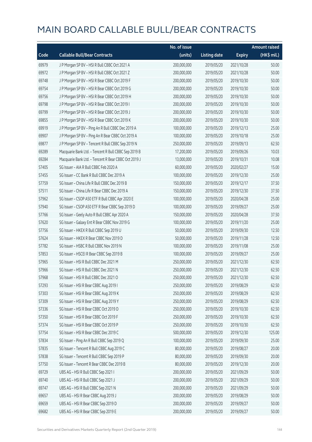|       |                                                      | No. of issue |                     |               | <b>Amount raised</b> |
|-------|------------------------------------------------------|--------------|---------------------|---------------|----------------------|
| Code  | <b>Callable Bull/Bear Contracts</b>                  | (units)      | <b>Listing date</b> | <b>Expiry</b> | (HK\$ mil.)          |
| 69979 | J P Morgan SP BV - HSI R Bull CBBC Oct 2021 A        | 200,000,000  | 2019/05/20          | 2021/10/28    | 50.00                |
| 69972 | J P Morgan SP BV - HSI R Bull CBBC Oct 2021 Z        | 200,000,000  | 2019/05/20          | 2021/10/28    | 50.00                |
| 69748 | JP Morgan SP BV - HSIR Bear CBBC Oct 2019 F          | 200,000,000  | 2019/05/20          | 2019/10/30    | 50.00                |
| 69754 | J P Morgan SP BV - HSI R Bear CBBC Oct 2019 G        | 200,000,000  | 2019/05/20          | 2019/10/30    | 50.00                |
| 69756 | JP Morgan SP BV - HSIR Bear CBBC Oct 2019 H          | 200,000,000  | 2019/05/20          | 2019/10/30    | 50.00                |
| 69798 | JP Morgan SP BV - HSIR Bear CBBC Oct 2019 I          | 200,000,000  | 2019/05/20          | 2019/10/30    | 50.00                |
| 69799 | J P Morgan SP BV - HSI R Bear CBBC Oct 2019 J        | 200,000,000  | 2019/05/20          | 2019/10/30    | 50.00                |
| 69855 | J P Morgan SP BV - HSI R Bear CBBC Oct 2019 K        | 200,000,000  | 2019/05/20          | 2019/10/30    | 50.00                |
| 69919 | J P Morgan SP BV - Ping An R Bull CBBC Dec 2019 A    | 100,000,000  | 2019/05/20          | 2019/12/13    | 25.00                |
| 69907 | J P Morgan SP BV - Ping An R Bear CBBC Oct 2019 A    | 100,000,000  | 2019/05/20          | 2019/10/18    | 25.00                |
| 69877 | J P Morgan SP BV - Tencent R Bull CBBC Sep 2019 N    | 250,000,000  | 2019/05/20          | 2019/09/13    | 62.50                |
| 69289 | Macquarie Bank Ltd. - Tencent R Bull CBBC Sep 2019 B | 17,200,000   | 2019/05/20          | 2019/09/26    | 10.03                |
| 69284 | Macquarie Bank Ltd. - Tencent R Bear CBBC Oct 2019 J | 13,000,000   | 2019/05/20          | 2019/10/31    | 10.08                |
| 57405 | SG Issuer - AIA R Bull CBBC Feb 2020 A               | 60,000,000   | 2019/05/20          | 2020/02/27    | 15.00                |
| 57455 | SG Issuer - CC Bank R Bull CBBC Dec 2019 A           | 100,000,000  | 2019/05/20          | 2019/12/30    | 25.00                |
| 57759 | SG Issuer - China Life R Bull CBBC Dec 2019 B        | 150,000,000  | 2019/05/20          | 2019/12/17    | 37.50                |
| 57511 | SG Issuer - China Life R Bear CBBC Dec 2019 A        | 150,000,000  | 2019/05/20          | 2019/12/30    | 37.50                |
| 57962 | SG Issuer - CSOP A50 ETF R Bull CBBC Apr 2020 E      | 100,000,000  | 2019/05/20          | 2020/04/28    | 25.00                |
| 57940 | SG Issuer - CSOP A50 ETF R Bear CBBC Sep 2019 D      | 100,000,000  | 2019/05/20          | 2019/09/27    | 25.00                |
| 57766 | SG Issuer - Geely Auto R Bull CBBC Apr 2020 A        | 150,000,000  | 2019/05/20          | 2020/04/28    | 37.50                |
| 57620 | SG Issuer - Galaxy Ent R Bear CBBC Nov 2019 G        | 100,000,000  | 2019/05/20          | 2019/11/20    | 25.00                |
| 57756 | SG Issuer - HKEX R Bull CBBC Sep 2019 U              | 50,000,000   | 2019/05/20          | 2019/09/30    | 12.50                |
| 57624 | SG Issuer - HKEX R Bear CBBC Nov 2019 D              | 50,000,000   | 2019/05/20          | 2019/11/28    | 12.50                |
| 57782 | SG Issuer - HSBC R Bull CBBC Nov 2019 N              | 100,000,000  | 2019/05/20          | 2019/11/08    | 25.00                |
| 57853 | SG Issuer - HSCEI R Bear CBBC Sep 2019 B             | 100,000,000  | 2019/05/20          | 2019/09/27    | 25.00                |
| 57965 | SG Issuer - HSI R Bull CBBC Dec 2021 M               | 250,000,000  | 2019/05/20          | 2021/12/30    | 62.50                |
| 57966 | SG Issuer - HSI R Bull CBBC Dec 2021 N               | 250,000,000  | 2019/05/20          | 2021/12/30    | 62.50                |
| 57968 | SG Issuer - HSI R Bull CBBC Dec 2021 O               | 250,000,000  | 2019/05/20          | 2021/12/30    | 62.50                |
| 57293 | SG Issuer - HSI R Bear CBBC Aug 2019 I               | 250,000,000  | 2019/05/20          | 2019/08/29    | 62.50                |
| 57303 | SG Issuer - HSI R Bear CBBC Aug 2019 K               | 250,000,000  | 2019/05/20          | 2019/08/29    | 62.50                |
| 57309 | SG Issuer - HSI R Bear CBBC Aug 2019 Y               | 250,000,000  | 2019/05/20          | 2019/08/29    | 62.50                |
| 57336 | SG Issuer - HSI R Bear CBBC Oct 2019 D               | 250,000,000  | 2019/05/20          | 2019/10/30    | 62.50                |
| 57350 | SG Issuer - HSI R Bear CBBC Oct 2019 F               | 250,000,000  | 2019/05/20          | 2019/10/30    | 62.50                |
| 57374 | SG Issuer - HSI R Bear CBBC Oct 2019 P               | 250,000,000  | 2019/05/20          | 2019/10/30    | 62.50                |
| 57754 | SG Issuer - HSI R Bear CBBC Dec 2019 C               | 500,000,000  | 2019/05/20          | 2019/12/30    | 125.00               |
| 57834 | SG Issuer - Ping An R Bull CBBC Sep 2019 Q           | 100,000,000  | 2019/05/20          | 2019/09/30    | 25.00                |
| 57835 | SG Issuer - Tencent R Bull CBBC Aug 2019 C           | 80,000,000   | 2019/05/20          | 2019/08/27    | 20.00                |
| 57838 | SG Issuer - Tencent R Bull CBBC Sep 2019 P           | 80,000,000   | 2019/05/20          | 2019/09/30    | 20.00                |
| 57750 | SG Issuer - Tencent R Bear CBBC Dec 2019 B           | 80,000,000   | 2019/05/20          | 2019/12/30    | 20.00                |
| 69729 | UBS AG - HSI R Bull CBBC Sep 2021 I                  | 200,000,000  | 2019/05/20          | 2021/09/29    | 50.00                |
| 69740 | UBS AG - HSI R Bull CBBC Sep 2021 J                  | 200,000,000  | 2019/05/20          | 2021/09/29    | 50.00                |
| 69747 | UBS AG - HSI R Bull CBBC Sep 2021 N                  | 200,000,000  | 2019/05/20          | 2021/09/29    | 50.00                |
| 69657 | UBS AG - HSI R Bear CBBC Aug 2019 J                  | 200,000,000  | 2019/05/20          | 2019/08/29    | 50.00                |
| 69659 | UBS AG - HSI R Bear CBBC Sep 2019 D                  | 200,000,000  | 2019/05/20          | 2019/09/27    | 50.00                |
| 69682 | UBS AG - HSI R Bear CBBC Sep 2019 E                  | 200,000,000  | 2019/05/20          | 2019/09/27    | 50.00                |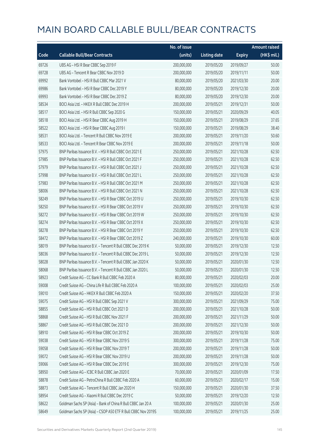|       |                                                              | No. of issue |                     |               | <b>Amount raised</b> |
|-------|--------------------------------------------------------------|--------------|---------------------|---------------|----------------------|
| Code  | <b>Callable Bull/Bear Contracts</b>                          | (units)      | <b>Listing date</b> | <b>Expiry</b> | (HK\$ mil.)          |
| 69726 | UBS AG - HSI R Bear CBBC Sep 2019 F                          | 200,000,000  | 2019/05/20          | 2019/09/27    | 50.00                |
| 69728 | UBS AG - Tencent R Bear CBBC Nov 2019 D                      | 200,000,000  | 2019/05/20          | 2019/11/11    | 50.00                |
| 69992 | Bank Vontobel - HSI R Bull CBBC Mar 2021 V                   | 80,000,000   | 2019/05/20          | 2021/03/30    | 20.00                |
| 69986 | Bank Vontobel - HSI R Bear CBBC Dec 2019 Y                   | 80,000,000   | 2019/05/20          | 2019/12/30    | 20.00                |
| 69993 | Bank Vontobel - HSI R Bear CBBC Dec 2019 Z                   | 80,000,000   | 2019/05/20          | 2019/12/30    | 20.00                |
| 58534 | BOCI Asia Ltd. - HKEX R Bull CBBC Dec 2019 H                 | 200,000,000  | 2019/05/21          | 2019/12/31    | 50.00                |
| 58517 | BOCI Asia Ltd. - HSI R Bull CBBC Sep 2020 G                  | 150,000,000  | 2019/05/21          | 2020/09/29    | 40.05                |
| 58518 | BOCI Asia Ltd. - HSI R Bear CBBC Aug 2019 H                  | 150,000,000  | 2019/05/21          | 2019/08/29    | 37.65                |
| 58522 | BOCI Asia Ltd. - HSI R Bear CBBC Aug 2019 I                  | 150,000,000  | 2019/05/21          | 2019/08/29    | 38.40                |
| 58531 | BOCI Asia Ltd. - Tencent R Bull CBBC Nov 2019 E              | 200,000,000  | 2019/05/21          | 2019/11/20    | 50.60                |
| 58533 | BOCI Asia Ltd. - Tencent R Bear CBBC Nov 2019 E              | 200,000,000  | 2019/05/21          | 2019/11/18    | 50.00                |
| 57975 | BNP Paribas Issuance B.V. - HSI R Bull CBBC Oct 2021 E       | 250,000,000  | 2019/05/21          | 2021/10/28    | 62.50                |
| 57985 | BNP Paribas Issuance B.V. - HSI R Bull CBBC Oct 2021 F       | 250,000,000  | 2019/05/21          | 2021/10/28    | 62.50                |
| 57979 | BNP Paribas Issuance B.V. - HSI R Bull CBBC Oct 2021 J       | 250,000,000  | 2019/05/21          | 2021/10/28    | 62.50                |
| 57998 | BNP Paribas Issuance B.V. - HSI R Bull CBBC Oct 2021 L       | 250,000,000  | 2019/05/21          | 2021/10/28    | 62.50                |
| 57983 | BNP Paribas Issuance B.V. - HSI R Bull CBBC Oct 2021 M       | 250,000,000  | 2019/05/21          | 2021/10/28    | 62.50                |
| 58006 | BNP Paribas Issuance B.V. - HSI R Bull CBBC Oct 2021 N       | 250,000,000  | 2019/05/21          | 2021/10/28    | 62.50                |
| 58249 | BNP Paribas Issuance B.V. - HSI R Bear CBBC Oct 2019 U       | 250,000,000  | 2019/05/21          | 2019/10/30    | 62.50                |
| 58250 | BNP Paribas Issuance B.V. - HSI R Bear CBBC Oct 2019 V       | 250,000,000  | 2019/05/21          | 2019/10/30    | 62.50                |
| 58272 | BNP Paribas Issuance B.V. - HSI R Bear CBBC Oct 2019 W       | 250,000,000  | 2019/05/21          | 2019/10/30    | 62.50                |
| 58274 | BNP Paribas Issuance B.V. - HSI R Bear CBBC Oct 2019 X       | 250,000,000  | 2019/05/21          | 2019/10/30    | 62.50                |
| 58278 | BNP Paribas Issuance B.V. - HSI R Bear CBBC Oct 2019 Y       | 250,000,000  | 2019/05/21          | 2019/10/30    | 62.50                |
| 58472 | BNP Paribas Issuance B.V. - HSI R Bear CBBC Oct 2019 Z       | 240,000,000  | 2019/05/21          | 2019/10/30    | 60.00                |
| 58019 | BNP Paribas Issuance B.V. - Tencent R Bull CBBC Dec 2019 K   | 50,000,000   | 2019/05/21          | 2019/12/30    | 12.50                |
| 58036 | BNP Paribas Issuance B.V. - Tencent R Bull CBBC Dec 2019 L   | 50,000,000   | 2019/05/21          | 2019/12/30    | 12.50                |
| 58028 | BNP Paribas Issuance B.V. - Tencent R Bull CBBC Jan 2020 K   | 50,000,000   | 2019/05/21          | 2020/01/30    | 12.50                |
| 58068 | BNP Paribas Issuance B.V. - Tencent R Bull CBBC Jan 2020 L   | 50,000,000   | 2019/05/21          | 2020/01/30    | 12.50                |
| 58923 | Credit Suisse AG – CC Bank R Bull CBBC Feb 2020 A            | 80,000,000   | 2019/05/21          | 2020/02/03    | 20.00                |
| 59008 | Credit Suisse AG - China Life R Bull CBBC Feb 2020 A         | 100,000,000  | 2019/05/21          | 2020/02/03    | 25.00                |
| 59010 | Credit Suisse AG - HKEX R Bull CBBC Feb 2020 A               | 150,000,000  | 2019/05/21          | 2020/02/20    | 37.50                |
| 59075 | Credit Suisse AG - HSI R Bull CBBC Sep 2021 V                | 300,000,000  | 2019/05/21          | 2021/09/29    | 75.00                |
| 58855 | Credit Suisse AG - HSI R Bull CBBC Oct 2021 D                | 200,000,000  | 2019/05/21          | 2021/10/28    | 50.00                |
| 58868 | Credit Suisse AG - HSI R Bull CBBC Nov 2021 F                | 200,000,000  | 2019/05/21          | 2021/11/29    | 50.00                |
| 58867 | Credit Suisse AG - HSI R Bull CBBC Dec 2021 D                | 200,000,000  | 2019/05/21          | 2021/12/30    | 50.00                |
| 58910 | Credit Suisse AG - HSI R Bear CBBC Oct 2019 Z                | 200,000,000  | 2019/05/21          | 2019/10/30    | 50.00                |
| 59038 | Credit Suisse AG - HSI R Bear CBBC Nov 2019 S                | 300,000,000  | 2019/05/21          | 2019/11/28    | 75.00                |
| 59058 | Credit Suisse AG - HSI R Bear CBBC Nov 2019 T                | 200,000,000  | 2019/05/21          | 2019/11/28    | 50.00                |
| 59072 | Credit Suisse AG - HSI R Bear CBBC Nov 2019 U                | 200,000,000  | 2019/05/21          | 2019/11/28    | 50.00                |
| 59066 | Credit Suisse AG - HSI R Bear CBBC Dec 2019 E                | 300,000,000  | 2019/05/21          | 2019/12/30    | 75.00                |
| 58950 | Credit Suisse AG - ICBC R Bull CBBC Jan 2020 E               | 70,000,000   | 2019/05/21          | 2020/01/09    | 17.50                |
| 58878 | Credit Suisse AG - PetroChina R Bull CBBC Feb 2020 A         | 60,000,000   | 2019/05/21          | 2020/02/17    | 15.00                |
| 58873 | Credit Suisse AG - Tencent R Bull CBBC Jan 2020 H            | 150,000,000  | 2019/05/21          | 2020/01/30    | 37.50                |
| 58954 | Credit Suisse AG - Xiaomi R Bull CBBC Dec 2019 C             | 50,000,000   | 2019/05/21          | 2019/12/20    | 12.50                |
| 58622 | Goldman Sachs SP (Asia) - Bank of China R Bull CBBC Jan 20 A | 100,000,000  | 2019/05/21          | 2020/01/30    | 25.00                |
| 58649 | Goldman Sachs SP (Asia) - CSOP A50 ETF R Bull CBBC Nov 2019S | 100,000,000  | 2019/05/21          | 2019/11/25    | 25.00                |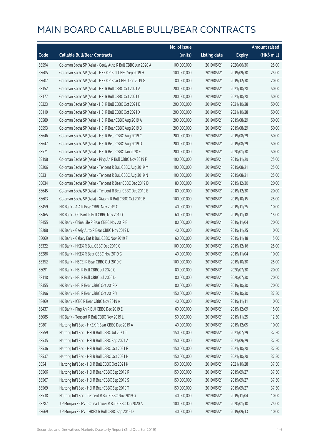|       |                                                             | No. of issue |                     |               | <b>Amount raised</b> |
|-------|-------------------------------------------------------------|--------------|---------------------|---------------|----------------------|
| Code  | <b>Callable Bull/Bear Contracts</b>                         | (units)      | <b>Listing date</b> | <b>Expiry</b> | (HK\$ mil.)          |
| 58594 | Goldman Sachs SP (Asia) - Geely Auto R Bull CBBC Jun 2020 A | 100,000,000  | 2019/05/21          | 2020/06/30    | 25.00                |
| 58605 | Goldman Sachs SP (Asia) - HKEX R Bull CBBC Sep 2019 H       | 100,000,000  | 2019/05/21          | 2019/09/30    | 25.00                |
| 58607 | Goldman Sachs SP (Asia) - HKEX R Bear CBBC Dec 2019 G       | 80,000,000   | 2019/05/21          | 2019/12/30    | 20.00                |
| 58152 | Goldman Sachs SP (Asia) - HSI R Bull CBBC Oct 2021 A        | 200,000,000  | 2019/05/21          | 2021/10/28    | 50.00                |
| 58177 | Goldman Sachs SP (Asia) - HSI R Bull CBBC Oct 2021 C        | 200,000,000  | 2019/05/21          | 2021/10/28    | 50.00                |
| 58223 | Goldman Sachs SP (Asia) - HSI R Bull CBBC Oct 2021 D        | 200,000,000  | 2019/05/21          | 2021/10/28    | 50.00                |
| 58119 | Goldman Sachs SP (Asia) - HSI R Bull CBBC Oct 2021 X        | 200,000,000  | 2019/05/21          | 2021/10/28    | 50.00                |
| 58589 | Goldman Sachs SP (Asia) - HSI R Bear CBBC Aug 2019 A        | 200,000,000  | 2019/05/21          | 2019/08/29    | 50.00                |
| 58593 | Goldman Sachs SP (Asia) - HSI R Bear CBBC Aug 2019 B        | 200,000,000  | 2019/05/21          | 2019/08/29    | 50.00                |
| 58646 | Goldman Sachs SP (Asia) - HSI R Bear CBBC Aug 2019 C        | 200,000,000  | 2019/05/21          | 2019/08/29    | 50.00                |
| 58647 | Goldman Sachs SP (Asia) - HSI R Bear CBBC Aug 2019 D        | 200,000,000  | 2019/05/21          | 2019/08/29    | 50.00                |
| 58571 | Goldman Sachs SP (Asia) - HSI R Bear CBBC Jan 2020 E        | 200,000,000  | 2019/05/21          | 2020/01/30    | 50.00                |
| 58198 | Goldman Sachs SP (Asia) - Ping An R Bull CBBC Nov 2019 F    | 100,000,000  | 2019/05/21          | 2019/11/29    | 25.00                |
| 58206 | Goldman Sachs SP (Asia) - Tencent R Bull CBBC Aug 2019 M    | 100,000,000  | 2019/05/21          | 2019/08/21    | 25.00                |
| 58231 | Goldman Sachs SP (Asia) - Tencent R Bull CBBC Aug 2019 N    | 100,000,000  | 2019/05/21          | 2019/08/21    | 25.00                |
| 58634 | Goldman Sachs SP (Asia) - Tencent R Bear CBBC Dec 2019 D    | 80,000,000   | 2019/05/21          | 2019/12/30    | 20.00                |
| 58645 | Goldman Sachs SP (Asia) - Tencent R Bear CBBC Dec 2019 E    | 80,000,000   | 2019/05/21          | 2019/12/30    | 20.00                |
| 58603 | Goldman Sachs SP (Asia) - Xiaomi R Bull CBBC Oct 2019 B     | 100,000,000  | 2019/05/21          | 2019/10/15    | 25.00                |
| 58459 | HK Bank - AIA R Bear CBBC Nov 2019 C                        | 40,000,000   | 2019/05/21          | 2019/11/25    | 10.00                |
| 58465 | HK Bank - CC Bank R Bull CBBC Nov 2019 C                    | 60,000,000   | 2019/05/21          | 2019/11/18    | 15.00                |
| 58455 | HK Bank - China Life R Bear CBBC Nov 2019 B                 | 80,000,000   | 2019/05/21          | 2019/11/04    | 20.00                |
| 58288 | HK Bank - Geely Auto R Bear CBBC Nov 2019 D                 | 40,000,000   | 2019/05/21          | 2019/11/25    | 10.00                |
| 58069 | HK Bank - Galaxy Ent R Bull CBBC Nov 2019 F                 | 60,000,000   | 2019/05/21          | 2019/11/18    | 15.00                |
| 58322 | HK Bank - HKEX R Bull CBBC Dec 2019 C                       | 100,000,000  | 2019/05/21          | 2019/12/16    | 25.00                |
| 58286 | HK Bank - HKEX R Bear CBBC Nov 2019 G                       | 40,000,000   | 2019/05/21          | 2019/11/04    | 10.00                |
| 58352 | HK Bank - HSCEI R Bear CBBC Oct 2019 C                      | 100,000,000  | 2019/05/21          | 2019/10/30    | 25.00                |
| 58091 | HK Bank - HSI R Bull CBBC Jul 2020 C                        | 80,000,000   | 2019/05/21          | 2020/07/30    | 20.00                |
| 58118 | HK Bank - HSI R Bull CBBC Jul 2020 D                        | 80,000,000   | 2019/05/21          | 2020/07/30    | 20.00                |
| 58355 | HK Bank - HSI R Bear CBBC Oct 2019 X                        | 80,000,000   | 2019/05/21          | 2019/10/30    | 20.00                |
| 58396 | HK Bank - HSI R Bear CBBC Oct 2019 Y                        | 150,000,000  | 2019/05/21          | 2019/10/30    | 37.50                |
| 58469 | HK Bank - ICBC R Bear CBBC Nov 2019 A                       | 40,000,000   | 2019/05/21          | 2019/11/11    | 10.00                |
| 58437 | HK Bank - Ping An R Bull CBBC Dec 2019 E                    | 60,000,000   | 2019/05/21          | 2019/12/09    | 15.00                |
| 58085 | HK Bank - Tencent R Bull CBBC Nov 2019 L                    | 50,000,000   | 2019/05/21          | 2019/11/25    | 12.50                |
| 59801 | Haitong Int'l Sec - HKEX R Bear CBBC Dec 2019 A             | 40,000,000   | 2019/05/21          | 2019/12/05    | 10.00                |
| 58559 | Haitong Int'l Sec - HSI R Bull CBBC Jul 2021 T              | 150,000,000  | 2019/05/21          | 2021/07/29    | 37.50                |
| 58535 | Haitong Int'l Sec - HSI R Bull CBBC Sep 2021 A              | 150,000,000  | 2019/05/21          | 2021/09/29    | 37.50                |
| 58536 | Haitong Int'l Sec - HSI R Bull CBBC Oct 2021 F              | 150,000,000  | 2019/05/21          | 2021/10/28    | 37.50                |
| 58537 | Haitong Int'l Sec - HSI R Bull CBBC Oct 2021 H              | 150,000,000  | 2019/05/21          | 2021/10/28    | 37.50                |
| 58541 | Haitong Int'l Sec - HSI R Bull CBBC Oct 2021 K              | 150,000,000  | 2019/05/21          | 2021/10/28    | 37.50                |
| 58566 | Haitong Int'l Sec - HSI R Bear CBBC Sep 2019 R              | 150,000,000  | 2019/05/21          | 2019/09/27    | 37.50                |
| 58567 | Haitong Int'l Sec - HSI R Bear CBBC Sep 2019 S              | 150,000,000  | 2019/05/21          | 2019/09/27    | 37.50                |
| 58569 | Haitong Int'l Sec - HSI R Bear CBBC Sep 2019 T              | 150,000,000  | 2019/05/21          | 2019/09/27    | 37.50                |
| 58538 | Haitong Int'l Sec - Tencent R Bull CBBC Nov 2019 G          | 40,000,000   | 2019/05/21          | 2019/11/04    | 10.00                |
| 58787 | J P Morgan SP BV - China Tower R Bull CBBC Jan 2020 A       | 100,000,000  | 2019/05/21          | 2020/01/10    | 25.00                |
| 58669 | J P Morgan SP BV - HKEX R Bull CBBC Sep 2019 D              | 40,000,000   | 2019/05/21          | 2019/09/13    | 10.00                |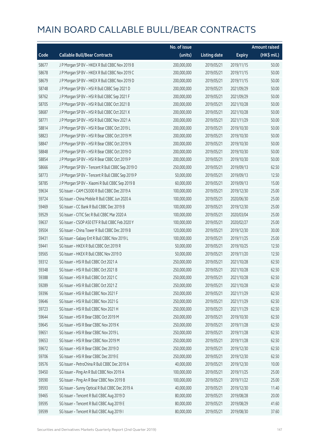|       |                                                   | No. of issue |                     |               | <b>Amount raised</b> |
|-------|---------------------------------------------------|--------------|---------------------|---------------|----------------------|
| Code  | <b>Callable Bull/Bear Contracts</b>               | (units)      | <b>Listing date</b> | <b>Expiry</b> | (HK\$ mil.)          |
| 58677 | J P Morgan SP BV - HKEX R Bull CBBC Nov 2019 B    | 200,000,000  | 2019/05/21          | 2019/11/15    | 50.00                |
| 58678 | J P Morgan SP BV - HKEX R Bull CBBC Nov 2019 C    | 200,000,000  | 2019/05/21          | 2019/11/15    | 50.00                |
| 58679 | J P Morgan SP BV - HKEX R Bull CBBC Nov 2019 D    | 200,000,000  | 2019/05/21          | 2019/11/15    | 50.00                |
| 58748 | J P Morgan SP BV - HSI R Bull CBBC Sep 2021 D     | 200,000,000  | 2019/05/21          | 2021/09/29    | 50.00                |
| 58762 | J P Morgan SP BV - HSI R Bull CBBC Sep 2021 F     | 200,000,000  | 2019/05/21          | 2021/09/29    | 50.00                |
| 58705 | J P Morgan SP BV - HSI R Bull CBBC Oct 2021 B     | 200,000,000  | 2019/05/21          | 2021/10/28    | 50.00                |
| 58687 | J P Morgan SP BV - HSI R Bull CBBC Oct 2021 X     | 200,000,000  | 2019/05/21          | 2021/10/28    | 50.00                |
| 58771 | J P Morgan SP BV - HSI R Bull CBBC Nov 2021 A     | 200,000,000  | 2019/05/21          | 2021/11/29    | 50.00                |
| 58814 | J P Morgan SP BV - HSI R Bear CBBC Oct 2019 L     | 200,000,000  | 2019/05/21          | 2019/10/30    | 50.00                |
| 58823 | J P Morgan SP BV - HSI R Bear CBBC Oct 2019 M     | 200,000,000  | 2019/05/21          | 2019/10/30    | 50.00                |
| 58847 | J P Morgan SP BV - HSI R Bear CBBC Oct 2019 N     | 200,000,000  | 2019/05/21          | 2019/10/30    | 50.00                |
| 58848 | J P Morgan SP BV - HSI R Bear CBBC Oct 2019 O     | 200,000,000  | 2019/05/21          | 2019/10/30    | 50.00                |
| 58854 | J P Morgan SP BV - HSI R Bear CBBC Oct 2019 P     | 200,000,000  | 2019/05/21          | 2019/10/30    | 50.00                |
| 58666 | J P Morgan SP BV - Tencent R Bull CBBC Sep 2019 O | 250,000,000  | 2019/05/21          | 2019/09/13    | 62.50                |
| 58773 | J P Morgan SP BV - Tencent R Bull CBBC Sep 2019 P | 50,000,000   | 2019/05/21          | 2019/09/13    | 12.50                |
| 58785 | J P Morgan SP BV - Xiaomi R Bull CBBC Sep 2019 B  | 60,000,000   | 2019/05/21          | 2019/09/13    | 15.00                |
| 59634 | SG Issuer - CAM CSI300 R Bull CBBC Dec 2019 A     | 100,000,000  | 2019/05/21          | 2019/12/30    | 25.00                |
| 59724 | SG Issuer - China Mobile R Bull CBBC Jun 2020 A   | 100,000,000  | 2019/05/21          | 2020/06/30    | 25.00                |
| 59469 | SG Issuer - CC Bank R Bull CBBC Dec 2019 B        | 100,000,000  | 2019/05/21          | 2019/12/30    | 25.00                |
| 59529 | SG Issuer - CITIC Sec R Bull CBBC Mar 2020 A      | 100,000,000  | 2019/05/21          | 2020/03/04    | 25.00                |
| 59637 | SG Issuer - CSOP A50 ETF R Bull CBBC Feb 2020 Y   | 100,000,000  | 2019/05/21          | 2020/02/27    | 25.00                |
| 59504 | SG Issuer - China Tower R Bull CBBC Dec 2019 B    | 120,000,000  | 2019/05/21          | 2019/12/30    | 30.00                |
| 59431 | SG Issuer - Galaxy Ent R Bull CBBC Nov 2019 L     | 100,000,000  | 2019/05/21          | 2019/11/25    | 25.00                |
| 59441 | SG Issuer - HKEX R Bull CBBC Oct 2019 R           | 50,000,000   | 2019/05/21          | 2019/10/25    | 12.50                |
| 59565 | SG Issuer - HKEX R Bull CBBC Nov 2019 D           | 50,000,000   | 2019/05/21          | 2019/11/20    | 12.50                |
| 59312 | SG Issuer - HSI R Bull CBBC Oct 2021 A            | 250,000,000  | 2019/05/21          | 2021/10/28    | 62.50                |
| 59348 | SG Issuer - HSI R Bull CBBC Oct 2021 B            | 250,000,000  | 2019/05/21          | 2021/10/28    | 62.50                |
| 59388 | SG Issuer – HSI R Bull CBBC Oct 2021 C            | 250,000,000  | 2019/05/21          | 2021/10/28    | 62.50                |
| 59289 | SG Issuer - HSI R Bull CBBC Oct 2021 Z            | 250,000,000  | 2019/05/21          | 2021/10/28    | 62.50                |
| 59396 | SG Issuer - HSI R Bull CBBC Nov 2021 F            | 250,000,000  | 2019/05/21          | 2021/11/29    | 62.50                |
| 59646 | SG Issuer - HSI R Bull CBBC Nov 2021 G            | 250,000,000  | 2019/05/21          | 2021/11/29    | 62.50                |
| 59723 | SG Issuer - HSI R Bull CBBC Nov 2021 H            | 250,000,000  | 2019/05/21          | 2021/11/29    | 62.50                |
| 59644 | SG Issuer - HSI R Bear CBBC Oct 2019 M            | 250,000,000  | 2019/05/21          | 2019/10/30    | 62.50                |
| 59645 | SG Issuer - HSI R Bear CBBC Nov 2019 K            | 250,000,000  | 2019/05/21          | 2019/11/28    | 62.50                |
| 59651 | SG Issuer - HSI R Bear CBBC Nov 2019 L            | 250,000,000  | 2019/05/21          | 2019/11/28    | 62.50                |
| 59653 | SG Issuer - HSI R Bear CBBC Nov 2019 M            | 250,000,000  | 2019/05/21          | 2019/11/28    | 62.50                |
| 59672 | SG Issuer - HSI R Bear CBBC Dec 2019 D            | 250,000,000  | 2019/05/21          | 2019/12/30    | 62.50                |
| 59706 | SG Issuer - HSI R Bear CBBC Dec 2019 E            | 250,000,000  | 2019/05/21          | 2019/12/30    | 62.50                |
| 59576 | SG Issuer - PetroChina R Bull CBBC Dec 2019 A     | 40,000,000   | 2019/05/21          | 2019/12/30    | 10.00                |
| 59450 | SG Issuer - Ping An R Bull CBBC Nov 2019 A        | 100,000,000  | 2019/05/21          | 2019/11/25    | 25.00                |
| 59590 | SG Issuer - Ping An R Bear CBBC Nov 2019 B        | 100,000,000  | 2019/05/21          | 2019/11/22    | 25.00                |
| 59593 | SG Issuer - Sunny Optical R Bull CBBC Dec 2019 A  | 40,000,000   | 2019/05/21          | 2019/12/30    | 11.40                |
| 59465 | SG Issuer - Tencent R Bull CBBC Aug 2019 D        | 80,000,000   | 2019/05/21          | 2019/08/28    | 20.00                |
| 59595 | SG Issuer - Tencent R Bull CBBC Aug 2019 E        | 80,000,000   | 2019/05/21          | 2019/08/29    | 41.60                |
| 59599 | SG Issuer - Tencent R Bull CBBC Aug 2019 I        | 80,000,000   | 2019/05/21          | 2019/08/30    | 37.60                |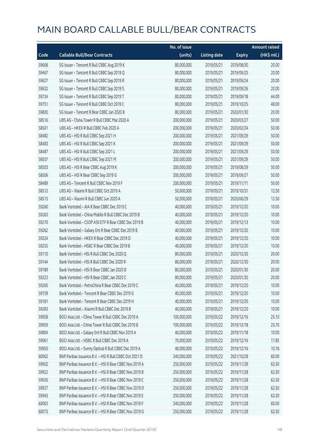|       |                                                        | No. of issue |                     |               | Amount raised |
|-------|--------------------------------------------------------|--------------|---------------------|---------------|---------------|
| Code  | <b>Callable Bull/Bear Contracts</b>                    | (units)      | <b>Listing date</b> | <b>Expiry</b> | $(HK\$ mil.)  |
| 59608 | SG Issuer - Tencent R Bull CBBC Aug 2019 K             | 80,000,000   | 2019/05/21          | 2019/08/30    | 20.00         |
| 59467 | SG Issuer - Tencent R Bull CBBC Sep 2019 Q             | 80,000,000   | 2019/05/21          | 2019/09/25    | 20.00         |
| 59627 | SG Issuer - Tencent R Bull CBBC Sep 2019 R             | 80,000,000   | 2019/05/21          | 2019/09/24    | 20.00         |
| 59632 | SG Issuer - Tencent R Bull CBBC Sep 2019 S             | 80,000,000   | 2019/05/21          | 2019/09/26    | 20.00         |
| 59734 | SG Issuer - Tencent R Bull CBBC Sep 2019 T             | 80,000,000   | 2019/05/21          | 2019/09/18    | 44.00         |
| 59751 | SG Issuer - Tencent R Bull CBBC Oct 2019 C             | 80,000,000   | 2019/05/21          | 2019/10/25    | 48.00         |
| 59800 | SG Issuer - Tencent R Bear CBBC Jan 2020 B             | 80,000,000   | 2019/05/21          | 2020/01/30    | 20.00         |
| 58516 | UBS AG - China Tower R Bull CBBC Mar 2020 A            | 200,000,000  | 2019/05/21          | 2020/03/27    | 50.00         |
| 58501 | UBS AG - HKEX R Bull CBBC Feb 2020 A                   | 200,000,000  | 2019/05/21          | 2020/02/24    | 50.00         |
| 58482 | UBS AG - HSI R Bull CBBC Sep 2021 H                    | 200,000,000  | 2019/05/21          | 2021/09/29    | 50.00         |
| 58483 | UBS AG - HSI R Bull CBBC Sep 2021 K                    | 200,000,000  | 2019/05/21          | 2021/09/29    | 50.00         |
| 58487 | UBS AG - HSI R Bull CBBC Sep 2021 L                    | 200,000,000  | 2019/05/21          | 2021/09/29    | 50.00         |
| 58507 | UBS AG - HSI R Bull CBBC Sep 2021 M                    | 200,000,000  | 2019/05/21          | 2021/09/29    | 50.00         |
| 58503 | UBS AG - HSI R Bear CBBC Aug 2019 K                    | 200,000,000  | 2019/05/21          | 2019/08/29    | 50.00         |
| 58506 | UBS AG - HSI R Bear CBBC Sep 2019 G                    | 200,000,000  | 2019/05/21          | 2019/09/27    | 50.00         |
| 58489 | UBS AG - Tencent R Bull CBBC Nov 2019 F                | 200,000,000  | 2019/05/21          | 2019/11/11    | 50.00         |
| 58512 | UBS AG - Xiaomi R Bull CBBC Oct 2019 A                 | 50,000,000   | 2019/05/21          | 2019/10/31    | 12.50         |
| 58515 | UBS AG - Xiaomi R Bull CBBC Jun 2020 A                 | 50,000,000   | 2019/05/21          | 2020/06/29    | 12.50         |
| 59260 | Bank Vontobel - AIA R Bear CBBC Dec 2019 C             | 40,000,000   | 2019/05/21          | 2019/12/20    | 10.00         |
| 59263 | Bank Vontobel - China Mobile R Bull CBBC Dec 2019 B    | 40,000,000   | 2019/05/21          | 2019/12/20    | 10.00         |
| 59270 | Bank Vontobel - CSOP A50 ETF R Bear CBBC Dec 2019 B    | 40,000,000   | 2019/05/21          | 2019/12/13    | 10.00         |
| 59262 | Bank Vontobel - Galaxy Ent R Bear CBBC Dec 2019 B      | 40,000,000   | 2019/05/21          | 2019/12/20    | 10.00         |
| 59224 | Bank Vontobel - HKEX R Bear CBBC Dec 2019 D            | 40,000,000   | 2019/05/21          | 2019/12/20    | 10.00         |
| 59255 | Bank Vontobel - HSBC R Bear CBBC Dec 2019 B            | 40,000,000   | 2019/05/21          | 2019/12/20    | 10.00         |
| 59110 | Bank Vontobel - HSI R Bull CBBC Dec 2020 Q             | 80,000,000   | 2019/05/21          | 2020/12/30    | 20.00         |
| 59144 | Bank Vontobel - HSI R Bull CBBC Dec 2020 R             | 80,000,000   | 2019/05/21          | 2020/12/30    | 20.00         |
| 59189 | Bank Vontobel - HSI R Bear CBBC Jan 2020 B             | 80,000,000   | 2019/05/21          | 2020/01/30    | 20.00         |
| 59223 | Bank Vontobel - HSI R Bear CBBC Jan 2020 C             | 80,000,000   | 2019/05/21          | 2020/01/30    | 20.00         |
| 59265 | Bank Vontobel - PetroChina R Bear CBBC Dec 2019 C      | 40,000,000   | 2019/05/21          | 2019/12/20    | 10.00         |
| 59159 | Bank Vontobel - Tencent R Bear CBBC Dec 2019 G         | 40,000,000   | 2019/05/21          | 2019/12/20    | 10.00         |
| 59181 | Bank Vontobel - Tencent R Bear CBBC Dec 2019 H         | 40,000,000   | 2019/05/21          | 2019/12/20    | 10.00         |
| 59283 | Bank Vontobel - Xiaomi R Bull CBBC Dec 2019 B          | 40,000,000   | 2019/05/21          | 2019/12/20    | 10.00         |
| 59958 | BOCI Asia Ltd. - China Tower R Bull CBBC Dec 2019 A    | 100,000,000  | 2019/05/22          | 2019/12/16    | 25.10         |
| 59959 | BOCI Asia Ltd. - China Tower R Bull CBBC Dec 2019 B    | 100,000,000  | 2019/05/22          | 2019/12/18    | 25.70         |
| 59804 | BOCI Asia Ltd. - Galaxy Ent R Bull CBBC Nov 2019 A     | 40,000,000   | 2019/05/22          | 2019/11/18    | 10.00         |
| 59961 | BOCI Asia Ltd. - HSBC R Bull CBBC Dec 2019 A           | 70,000,000   | 2019/05/22          | 2019/12/16    | 17.85         |
| 59950 | BOCI Asia Ltd. - Sunny Optical R Bull CBBC Dec 2019 A  | 40,000,000   | 2019/05/22          | 2019/12/16    | 10.16         |
| 60062 | BNP Paribas Issuance B.V. - HSI R Bull CBBC Oct 2021 O | 240,000,000  | 2019/05/22          | 2021/10/28    | 60.00         |
| 59902 | BNP Paribas Issuance B.V. - HSI R Bear CBBC Nov 2019 A | 250,000,000  | 2019/05/22          | 2019/11/28    | 62.50         |
| 59922 | BNP Paribas Issuance B.V. - HSI R Bear CBBC Nov 2019 B | 250,000,000  | 2019/05/22          | 2019/11/28    | 62.50         |
| 59926 | BNP Paribas Issuance B.V. - HSI R Bear CBBC Nov 2019 C | 250,000,000  | 2019/05/22          | 2019/11/28    | 62.50         |
| 59927 | BNP Paribas Issuance B.V. - HSI R Bear CBBC Nov 2019 D | 250,000,000  | 2019/05/22          | 2019/11/28    | 62.50         |
| 59943 | BNP Paribas Issuance B.V. - HSI R Bear CBBC Nov 2019 E | 250,000,000  | 2019/05/22          | 2019/11/28    | 62.50         |
| 60063 | BNP Paribas Issuance B.V. - HSI R Bear CBBC Nov 2019 F | 240,000,000  | 2019/05/22          | 2019/11/28    | 60.00         |
| 60073 | BNP Paribas Issuance B.V. - HSI R Bear CBBC Nov 2019 G | 250,000,000  | 2019/05/22          | 2019/11/28    | 62.50         |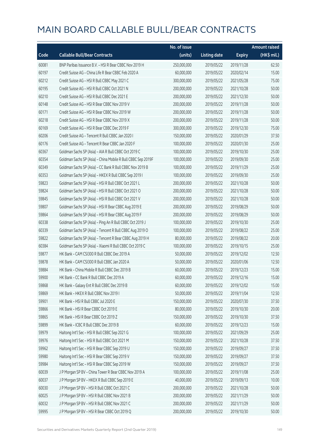|       |                                                              | No. of issue |                     |               | <b>Amount raised</b> |
|-------|--------------------------------------------------------------|--------------|---------------------|---------------|----------------------|
| Code  | <b>Callable Bull/Bear Contracts</b>                          | (units)      | <b>Listing date</b> | <b>Expiry</b> | (HK\$ mil.)          |
| 60081 | BNP Paribas Issuance B.V. - HSI R Bear CBBC Nov 2019 H       | 250,000,000  | 2019/05/22          | 2019/11/28    | 62.50                |
| 60197 | Credit Suisse AG - China Life R Bear CBBC Feb 2020 A         | 60,000,000   | 2019/05/22          | 2020/02/14    | 15.00                |
| 60212 | Credit Suisse AG - HSI R Bull CBBC May 2021 C                | 300,000,000  | 2019/05/22          | 2021/05/28    | 75.00                |
| 60195 | Credit Suisse AG - HSI R Bull CBBC Oct 2021 N                | 200,000,000  | 2019/05/22          | 2021/10/28    | 50.00                |
| 60210 | Credit Suisse AG - HSI R Bull CBBC Dec 2021 E                | 200,000,000  | 2019/05/22          | 2021/12/30    | 50.00                |
| 60148 | Credit Suisse AG - HSI R Bear CBBC Nov 2019 V                | 200,000,000  | 2019/05/22          | 2019/11/28    | 50.00                |
| 60171 | Credit Suisse AG - HSI R Bear CBBC Nov 2019 W                | 200,000,000  | 2019/05/22          | 2019/11/28    | 50.00                |
| 60218 | Credit Suisse AG - HSI R Bear CBBC Nov 2019 X                | 200,000,000  | 2019/05/22          | 2019/11/28    | 50.00                |
| 60169 | Credit Suisse AG - HSI R Bear CBBC Dec 2019 F                | 300,000,000  | 2019/05/22          | 2019/12/30    | 75.00                |
| 60206 | Credit Suisse AG - Tencent R Bull CBBC Jan 2020 I            | 150,000,000  | 2019/05/22          | 2020/01/29    | 37.50                |
| 60176 | Credit Suisse AG - Tencent R Bear CBBC Jan 2020 F            | 100,000,000  | 2019/05/22          | 2020/01/30    | 25.00                |
| 60367 | Goldman Sachs SP (Asia) - AIA R Bull CBBC Oct 2019 C         | 100,000,000  | 2019/05/22          | 2019/10/30    | 25.00                |
| 60354 | Goldman Sachs SP (Asia) - China Mobile R Bull CBBC Sep 2019F | 100,000,000  | 2019/05/22          | 2019/09/30    | 25.00                |
| 60349 | Goldman Sachs SP (Asia) - CC Bank R Bull CBBC Nov 2019 B     | 100,000,000  | 2019/05/22          | 2019/11/29    | 25.00                |
| 60353 | Goldman Sachs SP (Asia) - HKEX R Bull CBBC Sep 2019 I        | 100,000,000  | 2019/05/22          | 2019/09/30    | 25.00                |
| 59823 | Goldman Sachs SP (Asia) - HSI R Bull CBBC Oct 2021 L         | 200,000,000  | 2019/05/22          | 2021/10/28    | 50.00                |
| 59824 | Goldman Sachs SP (Asia) - HSI R Bull CBBC Oct 2021 O         | 200,000,000  | 2019/05/22          | 2021/10/28    | 50.00                |
| 59845 | Goldman Sachs SP (Asia) - HSI R Bull CBBC Oct 2021 V         | 200,000,000  | 2019/05/22          | 2021/10/28    | 50.00                |
| 59807 | Goldman Sachs SP (Asia) - HSI R Bear CBBC Aug 2019 E         | 200,000,000  | 2019/05/22          | 2019/08/29    | 50.00                |
| 59864 | Goldman Sachs SP (Asia) - HSI R Bear CBBC Aug 2019 F         | 200,000,000  | 2019/05/22          | 2019/08/29    | 50.00                |
| 60338 | Goldman Sachs SP (Asia) - Ping An R Bull CBBC Oct 2019 J     | 100,000,000  | 2019/05/22          | 2019/10/30    | 25.00                |
| 60339 | Goldman Sachs SP (Asia) - Tencent R Bull CBBC Aug 2019 O     | 100,000,000  | 2019/05/22          | 2019/08/22    | 25.00                |
| 59822 | Goldman Sachs SP (Asia) - Tencent R Bear CBBC Aug 2019 H     | 80,000,000   | 2019/05/22          | 2019/08/22    | 20.00                |
| 60384 | Goldman Sachs SP (Asia) - Xiaomi R Bull CBBC Oct 2019 C      | 100,000,000  | 2019/05/22          | 2019/10/15    | 25.00                |
| 59877 | HK Bank - CAM CSI300 R Bull CBBC Dec 2019 A                  | 50,000,000   | 2019/05/22          | 2019/12/02    | 12.50                |
| 59878 | HK Bank - CAM CSI300 R Bull CBBC Jan 2020 A                  | 50,000,000   | 2019/05/22          | 2020/01/06    | 12.50                |
| 59884 | HK Bank - China Mobile R Bull CBBC Dec 2019 B                | 60,000,000   | 2019/05/22          | 2019/12/23    | 15.00                |
| 59900 | HK Bank - CC Bank R Bull CBBC Dec 2019 A                     | 60,000,000   | 2019/05/22          | 2019/12/16    | 15.00                |
| 59868 | HK Bank - Galaxy Ent R Bull CBBC Dec 2019 B                  | 60,000,000   | 2019/05/22          | 2019/12/02    | 15.00                |
| 59869 | HK Bank - HKEX R Bull CBBC Nov 2019 I                        | 50,000,000   | 2019/05/22          | 2019/11/04    | 12.50                |
| 59901 | HK Bank - HSI R Bull CBBC Jul 2020 E                         | 150,000,000  | 2019/05/22          | 2020/07/30    | 37.50                |
| 59866 | HK Bank - HSI R Bear CBBC Oct 2019 E                         | 80,000,000   | 2019/05/22          | 2019/10/30    | 20.00                |
| 59865 | HK Bank - HSI R Bear CBBC Oct 2019 Z                         | 150,000,000  | 2019/05/22          | 2019/10/30    | 37.50                |
| 59899 | HK Bank - ICBC R Bull CBBC Dec 2019 B                        | 60,000,000   | 2019/05/22          | 2019/12/23    | 15.00                |
| 59979 | Haitong Int'l Sec - HSI R Bull CBBC Sep 2021 G               | 100,000,000  | 2019/05/22          | 2021/09/29    | 25.00                |
| 59976 | Haitong Int'l Sec - HSI R Bull CBBC Oct 2021 M               | 150,000,000  | 2019/05/22          | 2021/10/28    | 37.50                |
| 59962 | Haitong Int'l Sec - HSI R Bear CBBC Sep 2019 U               | 150,000,000  | 2019/05/22          | 2019/09/27    | 37.50                |
| 59980 | Haitong Int'l Sec - HSI R Bear CBBC Sep 2019 V               | 150,000,000  | 2019/05/22          | 2019/09/27    | 37.50                |
| 59984 | Haitong Int'l Sec - HSI R Bear CBBC Sep 2019 W               | 150,000,000  | 2019/05/22          | 2019/09/27    | 37.50                |
| 60039 | J P Morgan SP BV - China Tower R Bear CBBC Nov 2019 A        | 100,000,000  | 2019/05/22          | 2019/11/08    | 25.00                |
| 60037 | J P Morgan SP BV - HKEX R Bull CBBC Sep 2019 E               | 40,000,000   | 2019/05/22          | 2019/09/13    | 10.00                |
| 60030 | J P Morgan SP BV - HSI R Bull CBBC Oct 2021 C                | 200,000,000  | 2019/05/22          | 2021/10/28    | 50.00                |
| 60025 | J P Morgan SP BV - HSI R Bull CBBC Nov 2021 B                | 200,000,000  | 2019/05/22          | 2021/11/29    | 50.00                |
| 60032 | J P Morgan SP BV - HSI R Bull CBBC Nov 2021 C                | 200,000,000  | 2019/05/22          | 2021/11/29    | 50.00                |
| 59995 | J P Morgan SP BV - HSI R Bear CBBC Oct 2019 Q                | 200,000,000  | 2019/05/22          | 2019/10/30    | 50.00                |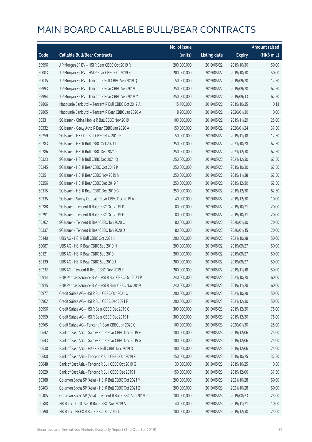|       |                                                          | No. of issue |                     |               | <b>Amount raised</b> |
|-------|----------------------------------------------------------|--------------|---------------------|---------------|----------------------|
| Code  | <b>Callable Bull/Bear Contracts</b>                      | (units)      | <b>Listing date</b> | <b>Expiry</b> | (HK\$ mil.)          |
| 59996 | J P Morgan SP BV - HSI R Bear CBBC Oct 2019 R            | 200,000,000  | 2019/05/22          | 2019/10/30    | 50.00                |
| 60003 | JP Morgan SP BV - HSIR Bear CBBC Oct 2019 S              | 200,000,000  | 2019/05/22          | 2019/10/30    | 50.00                |
| 60035 | J P Morgan SP BV - Tencent R Bull CBBC Sep 2019 Q        | 50,000,000   | 2019/05/22          | 2019/09/20    | 12.50                |
| 59993 | J P Morgan SP BV - Tencent R Bear CBBC Sep 2019 L        | 250,000,000  | 2019/05/22          | 2019/09/20    | 62.50                |
| 59994 | J P Morgan SP BV - Tencent R Bear CBBC Sep 2019 M        | 250,000,000  | 2019/05/22          | 2019/09/13    | 62.50                |
| 59806 | Macquarie Bank Ltd. - Tencent R Bull CBBC Oct 2019 A     | 15,100,000   | 2019/05/22          | 2019/10/25    | 10.13                |
| 59805 | Macquarie Bank Ltd. - Tencent R Bear CBBC Jan 2020 A     | 8,900,000    | 2019/05/22          | 2020/01/30    | 10.00                |
| 60331 | SG Issuer - China Mobile R Bull CBBC Nov 2019 I          | 100,000,000  | 2019/05/22          | 2019/11/29    | 25.00                |
| 60332 | SG Issuer - Geely Auto R Bear CBBC Jan 2020 A            | 150,000,000  | 2019/05/22          | 2020/01/24    | 37.50                |
| 60259 | SG Issuer - HKEX R Bull CBBC Nov 2019 E                  | 50,000,000   | 2019/05/22          | 2019/11/18    | 12.50                |
| 60283 | SG Issuer - HSI R Bull CBBC Oct 2021 D                   | 250,000,000  | 2019/05/22          | 2021/10/28    | 62.50                |
| 60286 | SG Issuer - HSI R Bull CBBC Dec 2021 P                   | 250,000,000  | 2019/05/22          | 2021/12/30    | 62.50                |
| 60323 | SG Issuer - HSI R Bull CBBC Dec 2021 Q                   | 250,000,000  | 2019/05/22          | 2021/12/30    | 62.50                |
| 60245 | SG Issuer - HSI R Bear CBBC Oct 2019 K                   | 250,000,000  | 2019/05/22          | 2019/10/30    | 62.50                |
| 60251 | SG Issuer - HSI R Bear CBBC Nov 2019 N                   | 250,000,000  | 2019/05/22          | 2019/11/28    | 62.50                |
| 60256 | SG Issuer - HSI R Bear CBBC Dec 2019 F                   | 250,000,000  | 2019/05/22          | 2019/12/30    | 62.50                |
| 60315 | SG Issuer - HSI R Bear CBBC Dec 2019 G                   | 250,000,000  | 2019/05/22          | 2019/12/30    | 62.50                |
| 60335 | SG Issuer - Sunny Optical R Bear CBBC Dec 2019 A         | 40,000,000   | 2019/05/22          | 2019/12/30    | 10.00                |
| 60288 | SG Issuer - Tencent R Bull CBBC Oct 2019 D               | 80,000,000   | 2019/05/22          | 2019/10/21    | 20.00                |
| 60291 | SG Issuer - Tencent R Bull CBBC Oct 2019 E               | 80,000,000   | 2019/05/22          | 2019/10/31    | 20.00                |
| 60262 | SG Issuer - Tencent R Bear CBBC Jan 2020 C               | 80,000,000   | 2019/05/22          | 2020/01/30    | 20.00                |
| 60337 | SG Issuer - Tencent R Bear CBBC Jan 2020 D               | 80,000,000   | 2019/05/22          | 2020/01/15    | 20.00                |
| 60140 | UBS AG - HSI R Bull CBBC Oct 2021 J                      | 200,000,000  | 2019/05/22          | 2021/10/28    | 50.00                |
| 60087 | UBS AG - HSI R Bear CBBC Sep 2019 H                      | 200,000,000  | 2019/05/22          | 2019/09/27    | 50.00                |
| 60121 | UBS AG - HSI R Bear CBBC Sep 2019 I                      | 200,000,000  | 2019/05/22          | 2019/09/27    | 50.00                |
| 60139 | UBS AG - HSI R Bear CBBC Sep 2019 J                      | 200,000,000  | 2019/05/22          | 2019/09/27    | 50.00                |
| 60232 | UBS AG - Tencent R Bear CBBC Nov 2019 E                  | 200,000,000  | 2019/05/22          | 2019/11/18    | 50.00                |
| 60914 | BNP Paribas Issuance B.V. - HSI R Bull CBBC Oct 2021 P   | 240,000,000  | 2019/05/23          | 2021/10/28    | 60.00                |
| 60915 | BNP Paribas Issuance B.V. - HSI R Bear CBBC Nov 2019 I   | 240,000,000  | 2019/05/23          | 2019/11/28    | 60.00                |
| 60977 | Credit Suisse AG - HSI R Bull CBBC Oct 2021 O            | 200,000,000  | 2019/05/23          | 2021/10/28    | 50.00                |
| 60962 | Credit Suisse AG - HSI R Bull CBBC Dec 2021 F            | 200,000,000  | 2019/05/23          | 2021/12/30    | 50.00                |
| 60956 | Credit Suisse AG - HSI R Bear CBBC Dec 2019 G            | 300,000,000  | 2019/05/23          | 2019/12/30    | 75.00                |
| 60959 | Credit Suisse AG - HSI R Bear CBBC Dec 2019 H            | 300,000,000  | 2019/05/23          | 2019/12/30    | 75.00                |
| 60965 | Credit Suisse AG - Tencent R Bear CBBC Jan 2020 G        | 100,000,000  | 2019/05/23          | 2020/01/30    | 25.00                |
| 60642 | Bank of East Asia - Galaxy Ent R Bear CBBC Dec 2019 F    | 100,000,000  | 2019/05/23          | 2019/12/06    | 25.00                |
| 60643 | Bank of East Asia - Galaxy Ent R Bear CBBC Dec 2019 G    | 100,000,000  | 2019/05/23          | 2019/12/06    | 25.00                |
| 60638 | Bank of East Asia - HKEX R Bull CBBC Dec 2019 D          | 100,000,000  | 2019/05/23          | 2019/12/06    | 25.00                |
| 60600 | Bank of East Asia - Tencent R Bull CBBC Oct 2019 F       | 150,000,000  | 2019/05/23          | 2019/10/25    | 37.50                |
| 60648 | Bank of East Asia - Tencent R Bull CBBC Oct 2019 G       | 30,000,000   | 2019/05/23          | 2019/10/25    | 10.50                |
| 60629 | Bank of East Asia - Tencent R Bull CBBC Dec 2019 I       | 150,000,000  | 2019/05/23          | 2019/12/06    | 37.50                |
| 60388 | Goldman Sachs SP (Asia) - HSI R Bull CBBC Oct 2021 Y     | 200,000,000  | 2019/05/23          | 2021/10/28    | 50.00                |
| 60403 | Goldman Sachs SP (Asia) - HSI R Bull CBBC Oct 2021 Z     | 200,000,000  | 2019/05/23          | 2021/10/28    | 50.00                |
| 60405 | Goldman Sachs SP (Asia) - Tencent R Bull CBBC Aug 2019 P | 100,000,000  | 2019/05/23          | 2019/08/23    | 25.00                |
| 60588 | HK Bank - CITIC Sec R Bull CBBC Nov 2019 A               | 40,000,000   | 2019/05/23          | 2019/11/21    | 10.00                |
| 60590 | HK Bank - HKEX R Bull CBBC Dec 2019 D                    | 100,000,000  | 2019/05/23          | 2019/12/30    | 25.00                |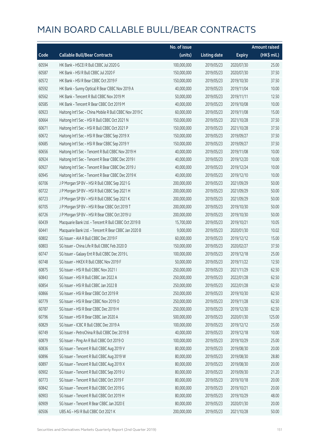|       |                                                         | No. of issue |                     |               | <b>Amount raised</b> |
|-------|---------------------------------------------------------|--------------|---------------------|---------------|----------------------|
| Code  | <b>Callable Bull/Bear Contracts</b>                     | (units)      | <b>Listing date</b> | <b>Expiry</b> | (HK\$ mil.)          |
| 60594 | HK Bank - HSCEI R Bull CBBC Jul 2020 G                  | 100,000,000  | 2019/05/23          | 2020/07/30    | 25.00                |
| 60587 | HK Bank - HSI R Bull CBBC Jul 2020 F                    | 150,000,000  | 2019/05/23          | 2020/07/30    | 37.50                |
| 60572 | HK Bank - HSI R Bear CBBC Oct 2019 F                    | 150,000,000  | 2019/05/23          | 2019/10/30    | 37.50                |
| 60592 | HK Bank - Sunny Optical R Bear CBBC Nov 2019 A          | 40,000,000   | 2019/05/23          | 2019/11/04    | 10.00                |
| 60562 | HK Bank - Tencent R Bull CBBC Nov 2019 M                | 50,000,000   | 2019/05/23          | 2019/11/11    | 12.50                |
| 60585 | HK Bank - Tencent R Bear CBBC Oct 2019 M                | 40,000,000   | 2019/05/23          | 2019/10/08    | 10.00                |
| 60923 | Haitong Int'l Sec - China Mobile R Bull CBBC Nov 2019 C | 60,000,000   | 2019/05/23          | 2019/11/08    | 15.00                |
| 60664 | Haitong Int'l Sec - HSI R Bull CBBC Oct 2021 N          | 150,000,000  | 2019/05/23          | 2021/10/28    | 37.50                |
| 60671 | Haitong Int'l Sec - HSI R Bull CBBC Oct 2021 P          | 150,000,000  | 2019/05/23          | 2021/10/28    | 37.50                |
| 60672 | Haitong Int'l Sec - HSI R Bear CBBC Sep 2019 X          | 150,000,000  | 2019/05/23          | 2019/09/27    | 37.50                |
| 60685 | Haitong Int'l Sec - HSI R Bear CBBC Sep 2019 Y          | 150,000,000  | 2019/05/23          | 2019/09/27    | 37.50                |
| 60656 | Haitong Int'l Sec - Tencent R Bull CBBC Nov 2019 H      | 40,000,000   | 2019/05/23          | 2019/11/08    | 10.00                |
| 60924 | Haitong Int'l Sec - Tencent R Bear CBBC Dec 2019 I      | 40,000,000   | 2019/05/23          | 2019/12/20    | 10.00                |
| 60927 | Haitong Int'l Sec - Tencent R Bear CBBC Dec 2019 J      | 40,000,000   | 2019/05/23          | 2019/12/24    | 10.00                |
| 60945 | Haitong Int'l Sec - Tencent R Bear CBBC Dec 2019 K      | 40,000,000   | 2019/05/23          | 2019/12/10    | 10.00                |
| 60706 | J P Morgan SP BV - HSI R Bull CBBC Sep 2021 G           | 200,000,000  | 2019/05/23          | 2021/09/29    | 50.00                |
| 60722 | J P Morgan SP BV - HSI R Bull CBBC Sep 2021 H           | 200,000,000  | 2019/05/23          | 2021/09/29    | 50.00                |
| 60723 | J P Morgan SP BV - HSI R Bull CBBC Sep 2021 K           | 200,000,000  | 2019/05/23          | 2021/09/29    | 50.00                |
| 60705 | J P Morgan SP BV - HSI R Bear CBBC Oct 2019 T           | 200,000,000  | 2019/05/23          | 2019/10/30    | 50.00                |
| 60726 | J P Morgan SP BV - HSI R Bear CBBC Oct 2019 U           | 200,000,000  | 2019/05/23          | 2019/10/30    | 50.00                |
| 60439 | Macquarie Bank Ltd. - Tencent R Bull CBBC Oct 2019 B    | 15,700,000   | 2019/05/23          | 2019/10/21    | 10.05                |
| 60441 | Macquarie Bank Ltd. - Tencent R Bear CBBC Jan 2020 B    | 9,000,000    | 2019/05/23          | 2020/01/30    | 10.02                |
| 60802 | SG Issuer - AIA R Bull CBBC Dec 2019 F                  | 60,000,000   | 2019/05/23          | 2019/12/12    | 15.00                |
| 60803 | SG Issuer - China Life R Bull CBBC Feb 2020 D           | 150,000,000  | 2019/05/23          | 2020/02/27    | 37.50                |
| 60747 | SG Issuer - Galaxy Ent R Bull CBBC Dec 2019 L           | 100,000,000  | 2019/05/23          | 2019/12/18    | 25.00                |
| 60748 | SG Issuer - HKEX R Bull CBBC Nov 2019 F                 | 50,000,000   | 2019/05/23          | 2019/11/22    | 12.50                |
| 60875 | SG Issuer - HSI R Bull CBBC Nov 2021 I                  | 250,000,000  | 2019/05/23          | 2021/11/29    | 62.50                |
| 60843 | SG Issuer - HSLR Bull CBBC Jan 2022 A                   | 250,000,000  | 2019/05/23          | 2022/01/28    | 62.50                |
| 60854 | SG Issuer - HSI R Bull CBBC Jan 2022 B                  | 250,000,000  | 2019/05/23          | 2022/01/28    | 62.50                |
| 60866 | SG Issuer - HSI R Bear CBBC Oct 2019 R                  | 250,000,000  | 2019/05/23          | 2019/10/30    | 62.50                |
| 60779 | SG Issuer - HSI R Bear CBBC Nov 2019 O                  | 250,000,000  | 2019/05/23          | 2019/11/28    | 62.50                |
| 60787 | SG Issuer - HSI R Bear CBBC Dec 2019 H                  | 250,000,000  | 2019/05/23          | 2019/12/30    | 62.50                |
| 60796 | SG Issuer - HSI R Bear CBBC Jan 2020 A                  | 500,000,000  | 2019/05/23          | 2020/01/30    | 125.00               |
| 60829 | SG Issuer - ICBC R Bull CBBC Dec 2019 A                 | 100,000,000  | 2019/05/23          | 2019/12/12    | 25.00                |
| 60749 | SG Issuer - PetroChina R Bull CBBC Dec 2019 B           | 40,000,000   | 2019/05/23          | 2019/12/18    | 10.00                |
| 60879 | SG Issuer - Ping An R Bull CBBC Oct 2019 O              | 100,000,000  | 2019/05/23          | 2019/10/29    | 25.00                |
| 60836 | SG Issuer - Tencent R Bull CBBC Aug 2019 V              | 80,000,000   | 2019/05/23          | 2019/08/30    | 20.00                |
| 60896 | SG Issuer - Tencent R Bull CBBC Aug 2019 W              | 80,000,000   | 2019/05/23          | 2019/08/30    | 28.80                |
| 60897 | SG Issuer - Tencent R Bull CBBC Aug 2019 X              | 80,000,000   | 2019/05/23          | 2019/08/30    | 20.00                |
| 60902 | SG Issuer - Tencent R Bull CBBC Sep 2019 U              | 80,000,000   | 2019/05/23          | 2019/09/30    | 21.20                |
| 60773 | SG Issuer - Tencent R Bull CBBC Oct 2019 F              | 80,000,000   | 2019/05/23          | 2019/10/18    | 20.00                |
| 60842 | SG Issuer - Tencent R Bull CBBC Oct 2019 G              | 80,000,000   | 2019/05/23          | 2019/10/21    | 20.00                |
| 60903 | SG Issuer - Tencent R Bull CBBC Oct 2019 H              | 80,000,000   | 2019/05/23          | 2019/10/29    | 48.00                |
| 60909 | SG Issuer - Tencent R Bear CBBC Jan 2020 E              | 80,000,000   | 2019/05/23          | 2020/01/30    | 20.00                |
| 60506 | UBS AG - HSI R Bull CBBC Oct 2021 K                     | 200,000,000  | 2019/05/23          | 2021/10/28    | 50.00                |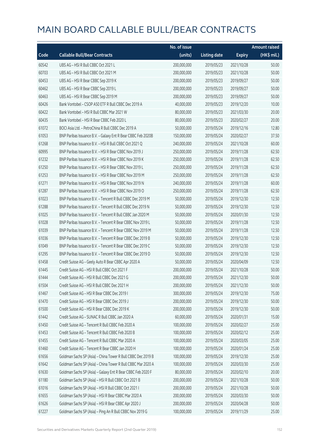|       |                                                              | No. of issue |                     |               | <b>Amount raised</b> |
|-------|--------------------------------------------------------------|--------------|---------------------|---------------|----------------------|
| Code  | <b>Callable Bull/Bear Contracts</b>                          | (units)      | <b>Listing date</b> | <b>Expiry</b> | (HK\$ mil.)          |
| 60542 | UBS AG - HSI R Bull CBBC Oct 2021 L                          | 200,000,000  | 2019/05/23          | 2021/10/28    | 50.00                |
| 60703 | UBS AG - HSI R Bull CBBC Oct 2021 M                          | 200,000,000  | 2019/05/23          | 2021/10/28    | 50.00                |
| 60453 | UBS AG - HSI R Bear CBBC Sep 2019 K                          | 200,000,000  | 2019/05/23          | 2019/09/27    | 50.00                |
| 60462 | UBS AG - HSI R Bear CBBC Sep 2019 L                          | 200,000,000  | 2019/05/23          | 2019/09/27    | 50.00                |
| 60463 | UBS AG - HSI R Bear CBBC Sep 2019 M                          | 200,000,000  | 2019/05/23          | 2019/09/27    | 50.00                |
| 60426 | Bank Vontobel - CSOP A50 ETF R Bull CBBC Dec 2019 A          | 40,000,000   | 2019/05/23          | 2019/12/20    | 10.00                |
| 60422 | Bank Vontobel - HSI R Bull CBBC Mar 2021 W                   | 80,000,000   | 2019/05/23          | 2021/03/30    | 20.00                |
| 60435 | Bank Vontobel - HSI R Bear CBBC Feb 2020 L                   | 80,000,000   | 2019/05/23          | 2020/02/27    | 20.00                |
| 61072 | BOCI Asia Ltd. - PetroChina R Bull CBBC Dec 2019 A           | 50,000,000   | 2019/05/24          | 2019/12/16    | 12.80                |
| 61053 | BNP Paribas Issuance B.V. - Galaxy Ent R Bear CBBC Feb 2020B | 150,000,000  | 2019/05/24          | 2020/02/27    | 37.50                |
| 61268 | BNP Paribas Issuance B.V. - HSI R Bull CBBC Oct 2021 Q       | 240,000,000  | 2019/05/24          | 2021/10/28    | 60.00                |
| 60995 | BNP Paribas Issuance B.V. - HSI R Bear CBBC Nov 2019 J       | 250,000,000  | 2019/05/24          | 2019/11/28    | 62.50                |
| 61232 | BNP Paribas Issuance B.V. - HSI R Bear CBBC Nov 2019 K       | 250,000,000  | 2019/05/24          | 2019/11/28    | 62.50                |
| 61250 | BNP Paribas Issuance B.V. - HSI R Bear CBBC Nov 2019 L       | 250,000,000  | 2019/05/24          | 2019/11/28    | 62.50                |
| 61253 | BNP Paribas Issuance B.V. - HSI R Bear CBBC Nov 2019 M       | 250,000,000  | 2019/05/24          | 2019/11/28    | 62.50                |
| 61271 | BNP Paribas Issuance B.V. - HSI R Bear CBBC Nov 2019 N       | 240,000,000  | 2019/05/24          | 2019/11/28    | 60.00                |
| 61287 | BNP Paribas Issuance B.V. - HSI R Bear CBBC Nov 2019 O       | 250,000,000  | 2019/05/24          | 2019/11/28    | 62.50                |
| 61023 | BNP Paribas Issuance B.V. - Tencent R Bull CBBC Dec 2019 M   | 50,000,000   | 2019/05/24          | 2019/12/30    | 12.50                |
| 61288 | BNP Paribas Issuance B.V. - Tencent R Bull CBBC Dec 2019 N   | 50,000,000   | 2019/05/24          | 2019/12/30    | 12.50                |
| 61025 | BNP Paribas Issuance B.V. - Tencent R Bull CBBC Jan 2020 M   | 50,000,000   | 2019/05/24          | 2020/01/30    | 12.50                |
| 61028 | BNP Paribas Issuance B.V. - Tencent R Bear CBBC Nov 2019 L   | 50,000,000   | 2019/05/24          | 2019/11/28    | 12.50                |
| 61039 | BNP Paribas Issuance B.V. - Tencent R Bear CBBC Nov 2019 M   | 50,000,000   | 2019/05/24          | 2019/11/28    | 12.50                |
| 61036 | BNP Paribas Issuance B.V. - Tencent R Bear CBBC Dec 2019 B   | 50,000,000   | 2019/05/24          | 2019/12/30    | 12.50                |
| 61049 | BNP Paribas Issuance B.V. - Tencent R Bear CBBC Dec 2019 C   | 50,000,000   | 2019/05/24          | 2019/12/30    | 12.50                |
| 61295 | BNP Paribas Issuance B.V. - Tencent R Bear CBBC Dec 2019 D   | 50,000,000   | 2019/05/24          | 2019/12/30    | 12.50                |
| 61458 | Credit Suisse AG - Geely Auto R Bear CBBC Apr 2020 A         | 50,000,000   | 2019/05/24          | 2020/04/09    | 12.50                |
| 61445 | Credit Suisse AG - HSI R Bull CBBC Oct 2021 F                | 200,000,000  | 2019/05/24          | 2021/10/28    | 50.00                |
| 61444 | Credit Suisse AG - HSI R Bull CBBC Dec 2021 G                | 200,000,000  | 2019/05/24          | 2021/12/30    | 50.00                |
| 61504 | Credit Suisse AG - HSI R Bull CBBC Dec 2021 H                | 200,000,000  | 2019/05/24          | 2021/12/30    | 50.00                |
| 61467 | Credit Suisse AG - HSI R Bear CBBC Dec 2019 I                | 300,000,000  | 2019/05/24          | 2019/12/30    | 75.00                |
| 61470 | Credit Suisse AG - HSI R Bear CBBC Dec 2019 J                | 200,000,000  | 2019/05/24          | 2019/12/30    | 50.00                |
| 61500 | Credit Suisse AG - HSI R Bear CBBC Dec 2019 K                | 200,000,000  | 2019/05/24          | 2019/12/30    | 50.00                |
| 61442 | Credit Suisse AG - SUNAC R Bull CBBC Jan 2020 A              | 60,000,000   | 2019/05/24          | 2020/01/31    | 15.00                |
| 61450 | Credit Suisse AG - Tencent R Bull CBBC Feb 2020 A            | 100,000,000  | 2019/05/24          | 2020/02/27    | 25.00                |
| 61453 | Credit Suisse AG - Tencent R Bull CBBC Feb 2020 B            | 100,000,000  | 2019/05/24          | 2020/02/12    | 25.00                |
| 61455 | Credit Suisse AG - Tencent R Bull CBBC Mar 2020 A            | 100,000,000  | 2019/05/24          | 2020/03/05    | 25.00                |
| 61460 | Credit Suisse AG - Tencent R Bear CBBC Jan 2020 H            | 100,000,000  | 2019/05/24          | 2020/01/24    | 25.00                |
| 61656 | Goldman Sachs SP (Asia) - China Tower R Bull CBBC Dec 2019 B | 100,000,000  | 2019/05/24          | 2019/12/30    | 25.00                |
| 61642 | Goldman Sachs SP (Asia) - China Tower R Bull CBBC Mar 2020 A | 100,000,000  | 2019/05/24          | 2020/03/30    | 25.00                |
| 61630 | Goldman Sachs SP (Asia) - Galaxy Ent R Bear CBBC Feb 2020 F  | 80,000,000   | 2019/05/24          | 2020/02/10    | 20.00                |
| 61180 | Goldman Sachs SP (Asia) - HSI R Bull CBBC Oct 2021 B         | 200,000,000  | 2019/05/24          | 2021/10/28    | 50.00                |
| 61016 | Goldman Sachs SP (Asia) - HSI R Bull CBBC Oct 2021 I         | 200,000,000  | 2019/05/24          | 2021/10/28    | 50.00                |
| 61655 | Goldman Sachs SP (Asia) - HSI R Bear CBBC Mar 2020 A         | 200,000,000  | 2019/05/24          | 2020/03/30    | 50.00                |
| 61626 | Goldman Sachs SP (Asia) - HSI R Bear CBBC Apr 2020 J         | 200,000,000  | 2019/05/24          | 2020/04/28    | 50.00                |
| 61227 | Goldman Sachs SP (Asia) - Ping An R Bull CBBC Nov 2019 G     | 100,000,000  | 2019/05/24          | 2019/11/29    | 25.00                |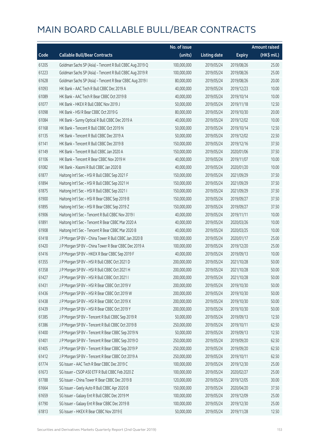|       |                                                          | No. of issue |                     |               | <b>Amount raised</b> |
|-------|----------------------------------------------------------|--------------|---------------------|---------------|----------------------|
| Code  | <b>Callable Bull/Bear Contracts</b>                      | (units)      | <b>Listing date</b> | <b>Expiry</b> | (HK\$ mil.)          |
| 61205 | Goldman Sachs SP (Asia) - Tencent R Bull CBBC Aug 2019 Q | 100,000,000  | 2019/05/24          | 2019/08/26    | 25.00                |
| 61223 | Goldman Sachs SP (Asia) - Tencent R Bull CBBC Aug 2019 R | 100,000,000  | 2019/05/24          | 2019/08/26    | 25.00                |
| 61628 | Goldman Sachs SP (Asia) - Tencent R Bear CBBC Aug 2019 I | 80,000,000   | 2019/05/24          | 2019/08/26    | 20.00                |
| 61093 | HK Bank - AAC Tech R Bull CBBC Dec 2019 A                | 40,000,000   | 2019/05/24          | 2019/12/23    | 10.00                |
| 61089 | HK Bank - AAC Tech R Bear CBBC Oct 2019 B                | 40,000,000   | 2019/05/24          | 2019/10/14    | 10.00                |
| 61077 | HK Bank - HKEX R Bull CBBC Nov 2019 J                    | 50,000,000   | 2019/05/24          | 2019/11/18    | 12.50                |
| 61098 | HK Bank - HSI R Bear CBBC Oct 2019 G                     | 80,000,000   | 2019/05/24          | 2019/10/30    | 20.00                |
| 61084 | HK Bank - Sunny Optical R Bull CBBC Dec 2019 A           | 40,000,000   | 2019/05/24          | 2019/12/02    | 10.00                |
| 61168 | HK Bank - Tencent R Bull CBBC Oct 2019 N                 | 50,000,000   | 2019/05/24          | 2019/10/14    | 12.50                |
| 61135 | HK Bank - Tencent R Bull CBBC Dec 2019 A                 | 50,000,000   | 2019/05/24          | 2019/12/02    | 22.50                |
| 61141 | HK Bank - Tencent R Bull CBBC Dec 2019 B                 | 150,000,000  | 2019/05/24          | 2019/12/16    | 37.50                |
| 61149 | HK Bank - Tencent R Bull CBBC Jan 2020 A                 | 150,000,000  | 2019/05/24          | 2020/01/06    | 37.50                |
| 61106 | HK Bank - Tencent R Bear CBBC Nov 2019 H                 | 40,000,000   | 2019/05/24          | 2019/11/07    | 10.00                |
| 61082 | HK Bank - Xiaomi R Bull CBBC Jan 2020 B                  | 40,000,000   | 2019/05/24          | 2020/01/20    | 10.00                |
| 61877 | Haitong Int'l Sec - HSI R Bull CBBC Sep 2021 F           | 150,000,000  | 2019/05/24          | 2021/09/29    | 37.50                |
| 61894 | Haitong Int'l Sec - HSI R Bull CBBC Sep 2021 H           | 150,000,000  | 2019/05/24          | 2021/09/29    | 37.50                |
| 61875 | Haitong Int'l Sec - HSI R Bull CBBC Sep 2021 I           | 150,000,000  | 2019/05/24          | 2021/09/29    | 37.50                |
| 61900 | Haitong Int'l Sec - HSI R Bear CBBC Sep 2019 B           | 150,000,000  | 2019/05/24          | 2019/09/27    | 37.50                |
| 61895 | Haitong Int'l Sec - HSI R Bear CBBC Sep 2019 Z           | 150,000,000  | 2019/05/24          | 2019/09/27    | 37.50                |
| 61906 | Haitong Int'l Sec - Tencent R Bull CBBC Nov 2019 I       | 40,000,000   | 2019/05/24          | 2019/11/11    | 10.00                |
| 61891 | Haitong Int'l Sec - Tencent R Bear CBBC Mar 2020 A       | 40,000,000   | 2019/05/24          | 2020/03/26    | 10.00                |
| 61908 | Haitong Int'l Sec - Tencent R Bear CBBC Mar 2020 B       | 40,000,000   | 2019/05/24          | 2020/03/25    | 10.00                |
| 61418 | J P Morgan SP BV - China Tower R Bull CBBC Jan 2020 B    | 100,000,000  | 2019/05/24          | 2020/01/17    | 25.00                |
| 61420 | J P Morgan SP BV - China Tower R Bear CBBC Dec 2019 A    | 100,000,000  | 2019/05/24          | 2019/12/20    | 25.00                |
| 61416 | JP Morgan SP BV - HKEX R Bear CBBC Sep 2019 F            | 40,000,000   | 2019/05/24          | 2019/09/13    | 10.00                |
| 61355 | J P Morgan SP BV - HSI R Bull CBBC Oct 2021 D            | 200,000,000  | 2019/05/24          | 2021/10/28    | 50.00                |
| 61358 | J P Morgan SP BV - HSI R Bull CBBC Oct 2021 H            | 200,000,000  | 2019/05/24          | 2021/10/28    | 50.00                |
| 61427 | J P Morgan SP BV - HSI R Bull CBBC Oct 2021 I            | 200,000,000  | 2019/05/24          | 2021/10/28    | 50.00                |
| 61431 | J P Morgan SP BV - HSI R Bear CBBC Oct 2019 V            | 200,000,000  | 2019/05/24          | 2019/10/30    | 50.00                |
| 61436 | J P Morgan SP BV - HSI R Bear CBBC Oct 2019 W            | 200,000,000  | 2019/05/24          | 2019/10/30    | 50.00                |
| 61438 | JP Morgan SP BV - HSIR Bear CBBC Oct 2019 X              | 200,000,000  | 2019/05/24          | 2019/10/30    | 50.00                |
| 61439 | J P Morgan SP BV - HSI R Bear CBBC Oct 2019 Y            | 200,000,000  | 2019/05/24          | 2019/10/30    | 50.00                |
| 61385 | J P Morgan SP BV - Tencent R Bull CBBC Sep 2019 R        | 50,000,000   | 2019/05/24          | 2019/09/13    | 12.50                |
| 61386 | J P Morgan SP BV - Tencent R Bull CBBC Oct 2019 B        | 250,000,000  | 2019/05/24          | 2019/10/11    | 62.50                |
| 61400 | J P Morgan SP BV - Tencent R Bear CBBC Sep 2019 N        | 50,000,000   | 2019/05/24          | 2019/09/13    | 12.50                |
| 61401 | J P Morgan SP BV - Tencent R Bear CBBC Sep 2019 O        | 250,000,000  | 2019/05/24          | 2019/09/20    | 62.50                |
| 61405 | J P Morgan SP BV - Tencent R Bear CBBC Sep 2019 P        | 250,000,000  | 2019/05/24          | 2019/09/20    | 62.50                |
| 61412 | J P Morgan SP BV - Tencent R Bear CBBC Oct 2019 A        | 250,000,000  | 2019/05/24          | 2019/10/11    | 62.50                |
| 61774 | SG Issuer - AAC Tech R Bear CBBC Dec 2019 C              | 100,000,000  | 2019/05/24          | 2019/12/30    | 25.00                |
| 61673 | SG Issuer - CSOP A50 ETF R Bull CBBC Feb 2020 Z          | 100,000,000  | 2019/05/24          | 2020/02/27    | 25.00                |
| 61788 | SG Issuer - China Tower R Bear CBBC Dec 2019 B           | 120,000,000  | 2019/05/24          | 2019/12/05    | 30.00                |
| 61664 | SG Issuer - Geely Auto R Bull CBBC Apr 2020 B            | 150,000,000  | 2019/05/24          | 2020/04/20    | 37.50                |
| 61659 | SG Issuer - Galaxy Ent R Bull CBBC Dec 2019 M            | 100,000,000  | 2019/05/24          | 2019/12/09    | 25.00                |
| 61790 | SG Issuer - Galaxy Ent R Bear CBBC Dec 2019 B            | 100,000,000  | 2019/05/24          | 2019/12/30    | 25.00                |
| 61813 | SG Issuer - HKEX R Bear CBBC Nov 2019 E                  | 50,000,000   | 2019/05/24          | 2019/11/28    | 12.50                |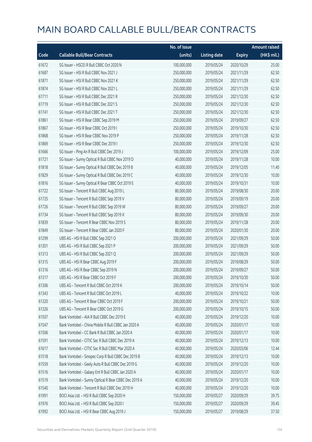|       |                                                      | No. of issue |                     |               | <b>Amount raised</b> |
|-------|------------------------------------------------------|--------------|---------------------|---------------|----------------------|
| Code  | <b>Callable Bull/Bear Contracts</b>                  | (units)      | <b>Listing date</b> | <b>Expiry</b> | (HK\$ mil.)          |
| 61672 | SG Issuer - HSCEI R Bull CBBC Oct 2020 N             | 100,000,000  | 2019/05/24          | 2020/10/29    | 25.00                |
| 61687 | SG Issuer - HSI R Bull CBBC Nov 2021 J               | 250,000,000  | 2019/05/24          | 2021/11/29    | 62.50                |
| 61871 | SG Issuer - HSI R Bull CBBC Nov 2021 K               | 250,000,000  | 2019/05/24          | 2021/11/29    | 62.50                |
| 61874 | SG Issuer - HSI R Bull CBBC Nov 2021 L               | 250,000,000  | 2019/05/24          | 2021/11/29    | 62.50                |
| 61711 | SG Issuer - HSI R Bull CBBC Dec 2021 R               | 250,000,000  | 2019/05/24          | 2021/12/30    | 62.50                |
| 61719 | SG Issuer - HSI R Bull CBBC Dec 2021 S               | 250,000,000  | 2019/05/24          | 2021/12/30    | 62.50                |
| 61741 | SG Issuer - HSI R Bull CBBC Dec 2021 T               | 250,000,000  | 2019/05/24          | 2021/12/30    | 62.50                |
| 61861 | SG Issuer - HSI R Bear CBBC Sep 2019 M               | 250,000,000  | 2019/05/24          | 2019/09/27    | 62.50                |
| 61867 | SG Issuer - HSI R Bear CBBC Oct 2019 I               | 250,000,000  | 2019/05/24          | 2019/10/30    | 62.50                |
| 61868 | SG Issuer - HSI R Bear CBBC Nov 2019 P               | 250,000,000  | 2019/05/24          | 2019/11/28    | 62.50                |
| 61869 | SG Issuer - HSI R Bear CBBC Dec 2019 I               | 250,000,000  | 2019/05/24          | 2019/12/30    | 62.50                |
| 61666 | SG Issuer - Ping An R Bull CBBC Dec 2019 J           | 100,000,000  | 2019/05/24          | 2019/12/09    | 25.00                |
| 61721 | SG Issuer - Sunny Optical R Bull CBBC Nov 2019 D     | 40,000,000   | 2019/05/24          | 2019/11/28    | 10.00                |
| 61818 | SG Issuer - Sunny Optical R Bull CBBC Dec 2019 B     | 40,000,000   | 2019/05/24          | 2019/12/05    | 11.40                |
| 61829 | SG Issuer - Sunny Optical R Bull CBBC Dec 2019 C     | 40,000,000   | 2019/05/24          | 2019/12/30    | 10.00                |
| 61816 | SG Issuer - Sunny Optical R Bear CBBC Oct 2019 E     | 40,000,000   | 2019/05/24          | 2019/10/31    | 10.00                |
| 61722 | SG Issuer - Tencent R Bull CBBC Aug 2019 L           | 80,000,000   | 2019/05/24          | 2019/08/30    | 20.00                |
| 61725 | SG Issuer - Tencent R Bull CBBC Sep 2019 V           | 80,000,000   | 2019/05/24          | 2019/09/19    | 20.00                |
| 61726 | SG Issuer - Tencent R Bull CBBC Sep 2019 W           | 80,000,000   | 2019/05/24          | 2019/09/27    | 20.00                |
| 61734 | SG Issuer - Tencent R Bull CBBC Sep 2019 X           | 80,000,000   | 2019/05/24          | 2019/09/30    | 20.00                |
| 61839 | SG Issuer - Tencent R Bear CBBC Nov 2019 S           | 80,000,000   | 2019/05/24          | 2019/11/28    | 20.00                |
| 61849 | SG Issuer - Tencent R Bear CBBC Jan 2020 F           | 80,000,000   | 2019/05/24          | 2020/01/30    | 20.00                |
| 61299 | UBS AG - HSI R Bull CBBC Sep 2021 O                  | 200,000,000  | 2019/05/24          | 2021/09/29    | 50.00                |
| 61301 | UBS AG - HSI R Bull CBBC Sep 2021 P                  | 200,000,000  | 2019/05/24          | 2021/09/29    | 50.00                |
| 61313 | UBS AG - HSI R Bull CBBC Sep 2021 Q                  | 200,000,000  | 2019/05/24          | 2021/09/29    | 50.00                |
| 61315 | UBS AG - HSI R Bear CBBC Aug 2019 F                  | 200,000,000  | 2019/05/24          | 2019/08/29    | 50.00                |
| 61316 | UBS AG - HSI R Bear CBBC Sep 2019 N                  | 200,000,000  | 2019/05/24          | 2019/09/27    | 50.00                |
| 61317 | UBS AG - HSI R Bear CBBC Oct 2019 F                  | 200,000,000  | 2019/05/24          | 2019/10/30    | 50.00                |
| 61306 | UBS AG - Tencent R Bull CBBC Oct 2019 K              | 200,000,000  | 2019/05/24          | 2019/10/14    | 50.00                |
| 61343 | UBS AG - Tencent R Bull CBBC Oct 2019 L              | 40,000,000   | 2019/05/24          | 2019/10/22    | 10.00                |
| 61320 | UBS AG - Tencent R Bear CBBC Oct 2019 F              | 200,000,000  | 2019/05/24          | 2019/10/21    | 50.00                |
| 61326 | UBS AG - Tencent R Bear CBBC Oct 2019 G              | 200,000,000  | 2019/05/24          | 2019/10/15    | 50.00                |
| 61507 | Bank Vontobel - AIA R Bull CBBC Dec 2019 E           | 40,000,000   | 2019/05/24          | 2019/12/20    | 10.00                |
| 61547 | Bank Vontobel - China Mobile R Bull CBBC Jan 2020 A  | 40,000,000   | 2019/05/24          | 2020/01/17    | 10.00                |
| 61506 | Bank Vontobel - CC Bank R Bull CBBC Jan 2020 A       | 40,000,000   | 2019/05/24          | 2020/01/17    | 10.00                |
| 61591 | Bank Vontobel - CITIC Sec R Bull CBBC Dec 2019 A     | 40,000,000   | 2019/05/24          | 2019/12/13    | 10.00                |
| 61617 | Bank Vontobel - CITIC Sec R Bull CBBC Mar 2020 A     | 40,000,000   | 2019/05/24          | 2020/03/06    | 12.44                |
| 61518 | Bank Vontobel - Sinopec Corp R Bull CBBC Dec 2019 B  | 40,000,000   | 2019/05/24          | 2019/12/13    | 10.00                |
| 61559 | Bank Vontobel - Geely Auto R Bull CBBC Dec 2019 G    | 40,000,000   | 2019/05/24          | 2019/12/20    | 10.00                |
| 61516 | Bank Vontobel - Galaxy Ent R Bull CBBC Jan 2020 A    | 40,000,000   | 2019/05/24          | 2020/01/17    | 10.00                |
| 61519 | Bank Vontobel - Sunny Optical R Bear CBBC Dec 2019 A | 40,000,000   | 2019/05/24          | 2019/12/20    | 10.00                |
| 61540 | Bank Vontobel - Tencent R Bull CBBC Dec 2019 H       | 40,000,000   | 2019/05/24          | 2019/12/20    | 10.00                |
| 61991 | BOCI Asia Ltd. - HSI R Bull CBBC Sep 2020 H          | 150,000,000  | 2019/05/27          | 2020/09/29    | 39.75                |
| 61976 | BOCI Asia Ltd. - HSI R Bull CBBC Sep 2020 I          | 150,000,000  | 2019/05/27          | 2020/09/29    | 39.45                |
| 61992 | BOCI Asia Ltd. - HSI R Bear CBBC Aug 2019 J          | 150,000,000  | 2019/05/27          | 2019/08/29    | 37.50                |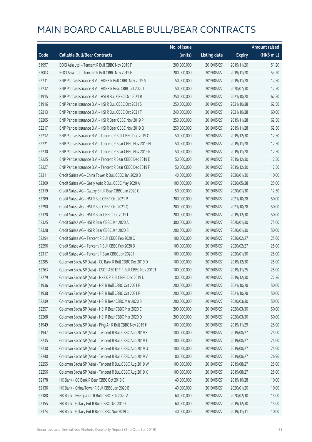|       |                                                              | No. of issue |                     |               | <b>Amount raised</b> |
|-------|--------------------------------------------------------------|--------------|---------------------|---------------|----------------------|
| Code  | <b>Callable Bull/Bear Contracts</b>                          | (units)      | <b>Listing date</b> | <b>Expiry</b> | (HK\$ mil.)          |
| 61997 | BOCI Asia Ltd. - Tencent R Bull CBBC Nov 2019 F              | 200,000,000  | 2019/05/27          | 2019/11/20    | 51.20                |
| 62003 | BOCI Asia Ltd. - Tencent R Bull CBBC Nov 2019 G              | 200,000,000  | 2019/05/27          | 2019/11/20    | 53.20                |
| 62231 | BNP Paribas Issuance B.V. - HKEX R Bull CBBC Nov 2019 S      | 50,000,000   | 2019/05/27          | 2019/11/28    | 12.50                |
| 62232 | BNP Paribas Issuance B.V. - HKEX R Bear CBBC Jul 2020 L      | 50,000,000   | 2019/05/27          | 2020/07/30    | 12.50                |
| 61915 | BNP Paribas Issuance B.V. - HSI R Bull CBBC Oct 2021 R       | 250,000,000  | 2019/05/27          | 2021/10/28    | 62.50                |
| 61916 | BNP Paribas Issuance B.V. - HSI R Bull CBBC Oct 2021 S       | 250,000,000  | 2019/05/27          | 2021/10/28    | 62.50                |
| 62213 | BNP Paribas Issuance B.V. - HSI R Bull CBBC Oct 2021 T       | 240,000,000  | 2019/05/27          | 2021/10/28    | 60.00                |
| 62205 | BNP Paribas Issuance B.V. - HSI R Bear CBBC Nov 2019 P       | 250,000,000  | 2019/05/27          | 2019/11/28    | 62.50                |
| 62217 | BNP Paribas Issuance B.V. - HSI R Bear CBBC Nov 2019 Q       | 250,000,000  | 2019/05/27          | 2019/11/28    | 62.50                |
| 62212 | BNP Paribas Issuance B.V. - Tencent R Bull CBBC Dec 2019 O   | 50,000,000   | 2019/05/27          | 2019/12/30    | 12.50                |
| 62221 | BNP Paribas Issuance B.V. - Tencent R Bear CBBC Nov 2019 N   | 50,000,000   | 2019/05/27          | 2019/11/28    | 12.50                |
| 62230 | BNP Paribas Issuance B.V. - Tencent R Bear CBBC Nov 2019 R   | 50,000,000   | 2019/05/27          | 2019/11/28    | 12.50                |
| 62225 | BNP Paribas Issuance B.V. - Tencent R Bear CBBC Dec 2019 E   | 50,000,000   | 2019/05/27          | 2019/12/30    | 12.50                |
| 62227 | BNP Paribas Issuance B.V. - Tencent R Bear CBBC Dec 2019 F   | 50,000,000   | 2019/05/27          | 2019/12/30    | 12.50                |
| 62311 | Credit Suisse AG - China Tower R Bull CBBC Jan 2020 B        | 40,000,000   | 2019/05/27          | 2020/01/30    | 10.00                |
| 62309 | Credit Suisse AG - Geely Auto R Bull CBBC May 2020 A         | 100,000,000  | 2019/05/27          | 2020/05/28    | 25.00                |
| 62319 | Credit Suisse AG - Galaxy Ent R Bear CBBC Jan 2020 C         | 50,000,000   | 2019/05/27          | 2020/01/30    | 12.50                |
| 62289 | Credit Suisse AG - HSI R Bull CBBC Oct 2021 P                | 200,000,000  | 2019/05/27          | 2021/10/28    | 50.00                |
| 62290 | Credit Suisse AG - HSI R Bull CBBC Oct 2021 Q                | 200,000,000  | 2019/05/27          | 2021/10/28    | 50.00                |
| 62320 | Credit Suisse AG - HSI R Bear CBBC Dec 2019 L                | 200,000,000  | 2019/05/27          | 2019/12/30    | 50.00                |
| 62325 | Credit Suisse AG - HSI R Bear CBBC Jan 2020 A                | 300,000,000  | 2019/05/27          | 2020/01/30    | 75.00                |
| 62328 | Credit Suisse AG - HSI R Bear CBBC Jan 2020 B                | 200,000,000  | 2019/05/27          | 2020/01/30    | 50.00                |
| 62294 | Credit Suisse AG - Tencent R Bull CBBC Feb 2020 C            | 100,000,000  | 2019/05/27          | 2020/02/27    | 25.00                |
| 62296 | Credit Suisse AG - Tencent R Bull CBBC Feb 2020 D            | 100,000,000  | 2019/05/27          | 2020/02/27    | 25.00                |
| 62317 | Credit Suisse AG - Tencent R Bear CBBC Jan 2020 I            | 100,000,000  | 2019/05/27          | 2020/01/30    | 25.00                |
| 62285 | Goldman Sachs SP (Asia) - CC Bank R Bull CBBC Dec 2019 D     | 100,000,000  | 2019/05/27          | 2019/12/30    | 25.00                |
| 62263 | Goldman Sachs SP (Asia) - CSOP A50 ETF R Bull CBBC Nov 2019T | 100,000,000  | 2019/05/27          | 2019/11/25    | 25.00                |
| 62279 | Goldman Sachs SP (Asia) - HKEX R Bull CBBC Dec 2019 U        | 80,000,000   | 2019/05/27          | 2019/12/30    | 27.36                |
| 61936 | Goldman Sachs SP (Asia) - HSI R Bull CBBC Oct 2021 E         | 200,000,000  | 2019/05/27          | 2021/10/28    | 50.00                |
| 61938 | Goldman Sachs SP (Asia) - HSI R Bull CBBC Oct 2021 F         | 200,000,000  | 2019/05/27          | 2021/10/28    | 50.00                |
| 62239 | Goldman Sachs SP (Asia) - HSI R Bear CBBC Mar 2020 B         | 200,000,000  | 2019/05/27          | 2020/03/30    | 50.00                |
| 62257 | Goldman Sachs SP (Asia) - HSI R Bear CBBC Mar 2020 C         | 200,000,000  | 2019/05/27          | 2020/03/30    | 50.00                |
| 62268 | Goldman Sachs SP (Asia) - HSI R Bear CBBC Mar 2020 D         | 200,000,000  | 2019/05/27          | 2020/03/30    | 50.00                |
| 61949 | Goldman Sachs SP (Asia) - Ping An R Bull CBBC Nov 2019 H     | 100,000,000  | 2019/05/27          | 2019/11/29    | 25.00                |
| 61947 | Goldman Sachs SP (Asia) - Tencent R Bull CBBC Aug 2019 S     | 100,000,000  | 2019/05/27          | 2019/08/27    | 25.00                |
| 62235 | Goldman Sachs SP (Asia) - Tencent R Bull CBBC Aug 2019 T     | 100,000,000  | 2019/05/27          | 2019/08/27    | 25.00                |
| 62238 | Goldman Sachs SP (Asia) - Tencent R Bull CBBC Aug 2019 U     | 100,000,000  | 2019/05/27          | 2019/08/27    | 25.00                |
| 62240 | Goldman Sachs SP (Asia) - Tencent R Bull CBBC Aug 2019 V     | 80,000,000   | 2019/05/27          | 2019/08/27    | 26.96                |
| 62255 | Goldman Sachs SP (Asia) - Tencent R Bull CBBC Aug 2019 W     | 100,000,000  | 2019/05/27          | 2019/08/27    | 25.00                |
| 62256 | Goldman Sachs SP (Asia) - Tencent R Bull CBBC Aug 2019 X     | 100,000,000  | 2019/05/27          | 2019/08/27    | 25.00                |
| 62178 | HK Bank - CC Bank R Bear CBBC Oct 2019 C                     | 40,000,000   | 2019/05/27          | 2019/10/28    | 10.00                |
| 62136 | HK Bank - China Tower R Bull CBBC Jan 2020 B                 | 40,000,000   | 2019/05/27          | 2020/01/20    | 10.00                |
| 62188 | HK Bank - Evergrande R Bull CBBC Feb 2020 A                  | 60,000,000   | 2019/05/27          | 2020/02/10    | 15.00                |
| 62155 | HK Bank - Galaxy Ent R Bull CBBC Dec 2019 C                  | 60,000,000   | 2019/05/27          | 2019/12/30    | 15.00                |
| 62174 | HK Bank - Galaxy Ent R Bear CBBC Nov 2019 C                  | 40,000,000   | 2019/05/27          | 2019/11/11    | 10.00                |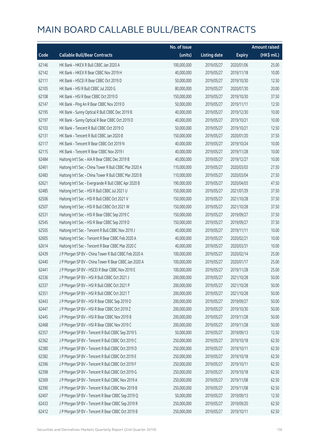|       |                                                        | No. of issue |                     |               | <b>Amount raised</b> |
|-------|--------------------------------------------------------|--------------|---------------------|---------------|----------------------|
| Code  | <b>Callable Bull/Bear Contracts</b>                    | (units)      | <b>Listing date</b> | <b>Expiry</b> | (HK\$ mil.)          |
| 62146 | HK Bank - HKEX R Bull CBBC Jan 2020 A                  | 100,000,000  | 2019/05/27          | 2020/01/06    | 25.00                |
| 62142 | HK Bank - HKEX R Bear CBBC Nov 2019 H                  | 40,000,000   | 2019/05/27          | 2019/11/18    | 10.00                |
| 62111 | HK Bank - HSCEI R Bear CBBC Oct 2019 D                 | 50,000,000   | 2019/05/27          | 2019/10/30    | 12.50                |
| 62105 | HK Bank - HSI R Bull CBBC Jul 2020 G                   | 80,000,000   | 2019/05/27          | 2020/07/30    | 20.00                |
| 62108 | HK Bank - HSI R Bear CBBC Oct 2019 D                   | 150,000,000  | 2019/05/27          | 2019/10/30    | 37.50                |
| 62147 | HK Bank - Ping An R Bear CBBC Nov 2019 D               | 50,000,000   | 2019/05/27          | 2019/11/11    | 12.50                |
| 62195 | HK Bank - Sunny Optical R Bull CBBC Dec 2019 B         | 40,000,000   | 2019/05/27          | 2019/12/30    | 10.00                |
| 62197 | HK Bank - Sunny Optical R Bear CBBC Oct 2019 D         | 40,000,000   | 2019/05/27          | 2019/10/21    | 10.00                |
| 62103 | HK Bank - Tencent R Bull CBBC Oct 2019 O               | 50,000,000   | 2019/05/27          | 2019/10/21    | 12.50                |
| 62131 | HK Bank - Tencent R Bull CBBC Jan 2020 B               | 150,000,000  | 2019/05/27          | 2020/01/20    | 37.50                |
| 62117 | HK Bank - Tencent R Bear CBBC Oct 2019 N               | 40,000,000   | 2019/05/27          | 2019/10/24    | 10.00                |
| 62115 | HK Bank - Tencent R Bear CBBC Nov 2019 I               | 40,000,000   | 2019/05/27          | 2019/11/28    | 10.00                |
| 62484 | Haitong Int'l Sec - AIA R Bear CBBC Dec 2019 B         | 40,000,000   | 2019/05/27          | 2019/12/27    | 10.00                |
| 62461 | Haitong Int'l Sec - China Tower R Bull CBBC Mar 2020 A | 110,000,000  | 2019/05/27          | 2020/03/03    | 27.50                |
| 62483 | Haitong Int'l Sec - China Tower R Bull CBBC Mar 2020 B | 110,000,000  | 2019/05/27          | 2020/03/04    | 27.50                |
| 62621 | Haitong Int'l Sec - Evergrande R Bull CBBC Apr 2020 B  | 190,000,000  | 2019/05/27          | 2020/04/03    | 47.50                |
| 62485 | Haitong Int'l Sec - HSI R Bull CBBC Jul 2021 U         | 150,000,000  | 2019/05/27          | 2021/07/29    | 37.50                |
| 62506 | Haitong Int'l Sec - HSI R Bull CBBC Oct 2021 V         | 150,000,000  | 2019/05/27          | 2021/10/28    | 37.50                |
| 62507 | Haitong Int'l Sec - HSI R Bull CBBC Oct 2021 W         | 150,000,000  | 2019/05/27          | 2021/10/28    | 37.50                |
| 62531 | Haitong Int'l Sec - HSI R Bear CBBC Sep 2019 C         | 150,000,000  | 2019/05/27          | 2019/09/27    | 37.50                |
| 62545 | Haitong Int'l Sec - HSI R Bear CBBC Sep 2019 D         | 150,000,000  | 2019/05/27          | 2019/09/27    | 37.50                |
| 62505 | Haitong Int'l Sec - Tencent R Bull CBBC Nov 2019 J     | 40,000,000   | 2019/05/27          | 2019/11/11    | 10.00                |
| 62605 | Haitong Int'l Sec - Tencent R Bear CBBC Feb 2020 A     | 40,000,000   | 2019/05/27          | 2020/02/21    | 10.00                |
| 62614 | Haitong Int'l Sec - Tencent R Bear CBBC Mar 2020 C     | 40,000,000   | 2019/05/27          | 2020/03/31    | 10.00                |
| 62439 | J P Morgan SP BV - China Tower R Bull CBBC Feb 2020 A  | 100,000,000  | 2019/05/27          | 2020/02/14    | 25.00                |
| 62440 | J P Morgan SP BV - China Tower R Bear CBBC Jan 2020 A  | 100,000,000  | 2019/05/27          | 2020/01/17    | 25.00                |
| 62441 | J P Morgan SP BV - HSCEI R Bear CBBC Nov 2019 E        | 100,000,000  | 2019/05/27          | 2019/11/28    | 25.00                |
| 62336 | J P Morgan SP BV - HSI R Bull CBBC Oct 2021 J          | 200,000,000  | 2019/05/27          | 2021/10/28    | 50.00                |
| 62337 | J P Morgan SP BV - HSI R Bull CBBC Oct 2021 P          | 200,000,000  | 2019/05/27          | 2021/10/28    | 50.00                |
| 62351 | J P Morgan SP BV - HSI R Bull CBBC Oct 2021 T          | 200,000,000  | 2019/05/27          | 2021/10/28    | 50.00                |
| 62443 | J P Morgan SP BV - HSI R Bear CBBC Sep 2019 D          | 200,000,000  | 2019/05/27          | 2019/09/27    | 50.00                |
| 62447 | J P Morgan SP BV - HSI R Bear CBBC Oct 2019 Z          | 200,000,000  | 2019/05/27          | 2019/10/30    | 50.00                |
| 62445 | J P Morgan SP BV - HSI R Bear CBBC Nov 2019 B          | 200,000,000  | 2019/05/27          | 2019/11/28    | 50.00                |
| 62468 | J P Morgan SP BV - HSI R Bear CBBC Nov 2019 C          | 200,000,000  | 2019/05/27          | 2019/11/28    | 50.00                |
| 62357 | J P Morgan SP BV - Tencent R Bull CBBC Sep 2019 S      | 50,000,000   | 2019/05/27          | 2019/09/13    | 12.50                |
| 62362 | J P Morgan SP BV - Tencent R Bull CBBC Oct 2019 C      | 250,000,000  | 2019/05/27          | 2019/10/18    | 62.50                |
| 62380 | J P Morgan SP BV - Tencent R Bull CBBC Oct 2019 D      | 250,000,000  | 2019/05/27          | 2019/10/11    | 62.50                |
| 62382 | J P Morgan SP BV - Tencent R Bull CBBC Oct 2019 E      | 250,000,000  | 2019/05/27          | 2019/10/18    | 62.50                |
| 62396 | J P Morgan SP BV - Tencent R Bull CBBC Oct 2019 F      | 250,000,000  | 2019/05/27          | 2019/10/11    | 62.50                |
| 62398 | J P Morgan SP BV - Tencent R Bull CBBC Oct 2019 G      | 250,000,000  | 2019/05/27          | 2019/10/18    | 62.50                |
| 62369 | J P Morgan SP BV - Tencent R Bull CBBC Nov 2019 A      | 250,000,000  | 2019/05/27          | 2019/11/08    | 62.50                |
| 62390 | J P Morgan SP BV - Tencent R Bull CBBC Nov 2019 B      | 250,000,000  | 2019/05/27          | 2019/11/08    | 62.50                |
| 62407 | J P Morgan SP BV - Tencent R Bear CBBC Sep 2019 Q      | 50,000,000   | 2019/05/27          | 2019/09/13    | 12.50                |
| 62433 | J P Morgan SP BV - Tencent R Bear CBBC Sep 2019 R      | 250,000,000  | 2019/05/27          | 2019/09/20    | 62.50                |
| 62412 | J P Morgan SP BV - Tencent R Bear CBBC Oct 2019 B      | 250,000,000  | 2019/05/27          | 2019/10/11    | 62.50                |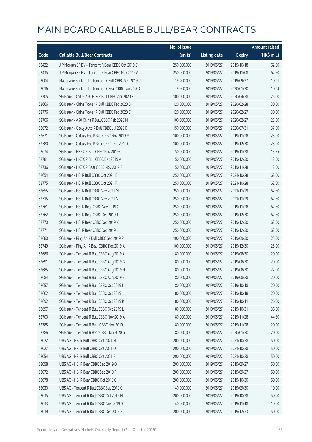|       |                                                      | No. of issue |                     |               | <b>Amount raised</b> |
|-------|------------------------------------------------------|--------------|---------------------|---------------|----------------------|
| Code  | <b>Callable Bull/Bear Contracts</b>                  | (units)      | <b>Listing date</b> | <b>Expiry</b> | (HK\$ mil.)          |
| 62422 | J P Morgan SP BV - Tencent R Bear CBBC Oct 2019 C    | 250,000,000  | 2019/05/27          | 2019/10/18    | 62.50                |
| 62435 | J P Morgan SP BV - Tencent R Bear CBBC Nov 2019 A    | 250,000,000  | 2019/05/27          | 2019/11/08    | 62.50                |
| 62004 | Macquarie Bank Ltd. - Tencent R Bull CBBC Sep 2019 C | 19,400,000   | 2019/05/27          | 2019/09/27    | 10.01                |
| 62016 | Macquarie Bank Ltd. - Tencent R Bear CBBC Jan 2020 C | 9,500,000    | 2019/05/27          | 2020/01/30    | 10.04                |
| 62705 | SG Issuer - CSOP A50 ETF R Bull CBBC Apr 2020 F      | 100,000,000  | 2019/05/27          | 2020/04/28    | 25.00                |
| 62666 | SG Issuer - China Tower R Bull CBBC Feb 2020 B       | 120,000,000  | 2019/05/27          | 2020/02/28    | 30.00                |
| 62776 | SG Issuer - China Tower R Bull CBBC Feb 2020 C       | 120,000,000  | 2019/05/27          | 2020/02/27    | 30.00                |
| 62706 | SG Issuer - A50 China R Bull CBBC Feb 2020 M         | 100,000,000  | 2019/05/27          | 2020/02/27    | 25.00                |
| 62672 | SG Issuer - Geely Auto R Bull CBBC Jul 2020 D        | 150,000,000  | 2019/05/27          | 2020/07/31    | 37.50                |
| 62671 | SG Issuer - Galaxy Ent R Bull CBBC Nov 2019 M        | 100,000,000  | 2019/05/27          | 2019/11/28    | 25.00                |
| 62780 | SG Issuer - Galaxy Ent R Bear CBBC Dec 2019 C        | 100,000,000  | 2019/05/27          | 2019/12/30    | 25.00                |
| 62674 | SG Issuer - HKEX R Bull CBBC Nov 2019 G              | 50,000,000   | 2019/05/27          | 2019/11/28    | 13.75                |
| 62781 | SG Issuer - HKEX R Bull CBBC Dec 2019 A              | 50,000,000   | 2019/05/27          | 2019/12/30    | 12.50                |
| 62736 | SG Issuer - HKEX R Bear CBBC Nov 2019 F              | 50,000,000   | 2019/05/27          | 2019/11/28    | 12.50                |
| 62654 | SG Issuer - HSI R Bull CBBC Oct 2021 E               | 250,000,000  | 2019/05/27          | 2021/10/28    | 62.50                |
| 62775 | SG Issuer - HSI R Bull CBBC Oct 2021 F               | 250,000,000  | 2019/05/27          | 2021/10/28    | 62.50                |
| 62655 | SG Issuer - HSI R Bull CBBC Nov 2021 M               | 250,000,000  | 2019/05/27          | 2021/11/29    | 62.50                |
| 62715 | SG Issuer - HSI R Bull CBBC Nov 2021 N               | 250,000,000  | 2019/05/27          | 2021/11/29    | 62.50                |
| 62761 | SG Issuer - HSI R Bear CBBC Nov 2019 Q               | 250,000,000  | 2019/05/27          | 2019/11/28    | 62.50                |
| 62762 | SG Issuer - HSI R Bear CBBC Dec 2019 J               | 250,000,000  | 2019/05/27          | 2019/12/30    | 62.50                |
| 62770 | SG Issuer - HSI R Bear CBBC Dec 2019 K               | 250,000,000  | 2019/05/27          | 2019/12/30    | 62.50                |
| 62771 | SG Issuer - HSI R Bear CBBC Dec 2019 L               | 250,000,000  | 2019/05/27          | 2019/12/30    | 62.50                |
| 62680 | SG Issuer - Ping An R Bull CBBC Sep 2019 R           | 100,000,000  | 2019/05/27          | 2019/09/30    | 25.00                |
| 62749 | SG Issuer - Ping An R Bear CBBC Dec 2019 A           | 100,000,000  | 2019/05/27          | 2019/12/30    | 25.00                |
| 62686 | SG Issuer - Tencent R Bull CBBC Aug 2019 A           | 80,000,000   | 2019/05/27          | 2019/08/30    | 20.00                |
| 62691 | SG Issuer - Tencent R Bull CBBC Aug 2019 G           | 80,000,000   | 2019/05/27          | 2019/08/30    | 20.00                |
| 62685 | SG Issuer - Tencent R Bull CBBC Aug 2019 H           | 80,000,000   | 2019/05/27          | 2019/08/30    | 22.00                |
| 62684 | SG Issuer - Tencent R Bull CBBC Aug 2019 Z           | 80,000,000   | 2019/05/27          | 2019/08/28    | 20.00                |
| 62657 | SG Issuer - Tencent R Bull CBBC Oct 2019 I           | 80,000,000   | 2019/05/27          | 2019/10/18    | 20.00                |
| 62662 | SG Issuer - Tencent R Bull CBBC Oct 2019 J           | 80,000,000   | 2019/05/27          | 2019/10/18    | 20.00                |
| 62692 | SG Issuer - Tencent R Bull CBBC Oct 2019 K           | 80,000,000   | 2019/05/27          | 2019/10/11    | 26.00                |
| 62697 | SG Issuer - Tencent R Bull CBBC Oct 2019 L           | 80,000,000   | 2019/05/27          | 2019/10/31    | 36.80                |
| 62700 | SG Issuer - Tencent R Bull CBBC Nov 2019 A           | 80,000,000   | 2019/05/27          | 2019/11/28    | 44.80                |
| 62785 | SG Issuer - Tencent R Bear CBBC Nov 2019 U           | 80,000,000   | 2019/05/27          | 2019/11/28    | 20.00                |
| 62786 | SG Issuer - Tencent R Bear CBBC Jan 2020 G           | 80,000,000   | 2019/05/27          | 2020/01/30    | 20.00                |
| 62022 | UBS AG - HSI R Bull CBBC Oct 2021 N                  | 200,000,000  | 2019/05/27          | 2021/10/28    | 50.00                |
| 62027 | UBS AG - HSI R Bull CBBC Oct 2021 O                  | 200,000,000  | 2019/05/27          | 2021/10/28    | 50.00                |
| 62054 | UBS AG - HSI R Bull CBBC Oct 2021 P                  | 200,000,000  | 2019/05/27          | 2021/10/28    | 50.00                |
| 62058 | UBS AG - HSI R Bear CBBC Sep 2019 O                  | 200,000,000  | 2019/05/27          | 2019/09/27    | 50.00                |
| 62072 | UBS AG - HSI R Bear CBBC Sep 2019 P                  | 200,000,000  | 2019/05/27          | 2019/09/27    | 50.00                |
| 62078 | UBS AG - HSI R Bear CBBC Oct 2019 G                  | 200,000,000  | 2019/05/27          | 2019/10/30    | 50.00                |
| 62030 | UBS AG - Tencent R Bull CBBC Sep 2019 G              | 40,000,000   | 2019/05/27          | 2019/09/30    | 10.00                |
| 62035 | UBS AG - Tencent R Bull CBBC Oct 2019 M              | 200,000,000  | 2019/05/27          | 2019/10/28    | 50.00                |
| 62033 | UBS AG - Tencent R Bull CBBC Nov 2019 G              | 40,000,000   | 2019/05/27          | 2019/11/18    | 10.00                |
| 62039 | UBS AG - Tencent R Bull CBBC Dec 2019 B              | 200,000,000  | 2019/05/27          | 2019/12/23    | 50.00                |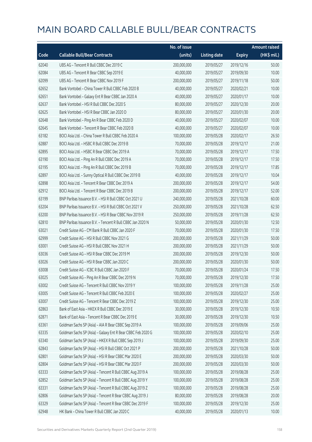|       |                                                             | No. of issue |                     |               | <b>Amount raised</b> |
|-------|-------------------------------------------------------------|--------------|---------------------|---------------|----------------------|
| Code  | <b>Callable Bull/Bear Contracts</b>                         | (units)      | <b>Listing date</b> | <b>Expiry</b> | (HK\$ mil.)          |
| 62040 | UBS AG - Tencent R Bull CBBC Dec 2019 C                     | 200,000,000  | 2019/05/27          | 2019/12/16    | 50.00                |
| 62084 | UBS AG - Tencent R Bear CBBC Sep 2019 E                     | 40,000,000   | 2019/05/27          | 2019/09/30    | 10.00                |
| 62099 | UBS AG - Tencent R Bear CBBC Nov 2019 F                     | 200,000,000  | 2019/05/27          | 2019/11/18    | 50.00                |
| 62652 | Bank Vontobel - China Tower R Bull CBBC Feb 2020 B          | 40,000,000   | 2019/05/27          | 2020/02/21    | 10.00                |
| 62651 | Bank Vontobel - Galaxy Ent R Bear CBBC Jan 2020 A           | 40,000,000   | 2019/05/27          | 2020/01/17    | 10.00                |
| 62637 | Bank Vontobel - HSI R Bull CBBC Dec 2020 S                  | 80,000,000   | 2019/05/27          | 2020/12/30    | 20.00                |
| 62625 | Bank Vontobel - HSI R Bear CBBC Jan 2020 D                  | 80,000,000   | 2019/05/27          | 2020/01/30    | 20.00                |
| 62648 | Bank Vontobel - Ping An R Bear CBBC Feb 2020 D              | 40,000,000   | 2019/05/27          | 2020/02/07    | 10.00                |
| 62645 | Bank Vontobel - Tencent R Bear CBBC Feb 2020 B              | 40,000,000   | 2019/05/27          | 2020/02/07    | 10.00                |
| 63182 | BOCI Asia Ltd. - China Tower R Bull CBBC Feb 2020 A         | 100,000,000  | 2019/05/28          | 2020/02/17    | 26.50                |
| 62887 | BOCI Asia Ltd. - HSBC R Bull CBBC Dec 2019 B                | 70,000,000   | 2019/05/28          | 2019/12/17    | 21.00                |
| 62895 | BOCI Asia Ltd. - HSBC R Bear CBBC Dec 2019 A                | 70,000,000   | 2019/05/28          | 2019/12/17    | 17.50                |
| 63190 | BOCI Asia Ltd. - Ping An R Bull CBBC Dec 2019 A             | 70,000,000   | 2019/05/28          | 2019/12/17    | 17.50                |
| 63195 | BOCI Asia Ltd. - Ping An R Bull CBBC Dec 2019 B             | 70,000,000   | 2019/05/28          | 2019/12/17    | 17.85                |
| 62897 | BOCI Asia Ltd. - Sunny Optical R Bull CBBC Dec 2019 B       | 40,000,000   | 2019/05/28          | 2019/12/17    | 10.04                |
| 62898 | BOCI Asia Ltd. - Tencent R Bear CBBC Dec 2019 A             | 200,000,000  | 2019/05/28          | 2019/12/17    | 54.00                |
| 62912 | BOCI Asia Ltd. - Tencent R Bear CBBC Dec 2019 B             | 200,000,000  | 2019/05/28          | 2019/12/17    | 52.00                |
| 63199 | BNP Paribas Issuance B.V. - HSI R Bull CBBC Oct 2021 U      | 240,000,000  | 2019/05/28          | 2021/10/28    | 60.00                |
| 63204 | BNP Paribas Issuance B.V. - HSI R Bull CBBC Oct 2021 V      | 250,000,000  | 2019/05/28          | 2021/10/28    | 62.50                |
| 63200 | BNP Paribas Issuance B.V. - HSI R Bear CBBC Nov 2019 R      | 250,000,000  | 2019/05/28          | 2019/11/28    | 62.50                |
| 62810 | BNP Paribas Issuance B.V. - Tencent R Bull CBBC Jan 2020 N  | 50,000,000   | 2019/05/28          | 2020/01/30    | 12.50                |
| 63021 | Credit Suisse AG - CM Bank R Bull CBBC Jan 2020 F           | 70,000,000   | 2019/05/28          | 2020/01/30    | 17.50                |
| 62999 | Credit Suisse AG - HSI R Bull CBBC Nov 2021 G               | 200,000,000  | 2019/05/28          | 2021/11/29    | 50.00                |
| 63001 | Credit Suisse AG - HSI R Bull CBBC Nov 2021 H               | 200,000,000  | 2019/05/28          | 2021/11/29    | 50.00                |
| 63036 | Credit Suisse AG - HSI R Bear CBBC Dec 2019 M               | 200,000,000  | 2019/05/28          | 2019/12/30    | 50.00                |
| 63026 | Credit Suisse AG - HSI R Bear CBBC Jan 2020 C               | 200,000,000  | 2019/05/28          | 2020/01/30    | 50.00                |
| 63008 | Credit Suisse AG - ICBC R Bull CBBC Jan 2020 F              | 70,000,000   | 2019/05/28          | 2020/01/24    | 17.50                |
| 63025 | Credit Suisse AG - Ping An R Bear CBBC Dec 2019 N           | 70,000,000   | 2019/05/28          | 2019/12/30    | 17.50                |
| 63002 | Credit Suisse AG - Tencent R Bull CBBC Nov 2019 Y           | 100,000,000  | 2019/05/28          | 2019/11/28    | 25.00                |
| 63005 | Credit Suisse AG - Tencent R Bull CBBC Feb 2020 E           | 100,000,000  | 2019/05/28          | 2020/02/27    | 25.00                |
| 63007 | Credit Suisse AG - Tencent R Bear CBBC Dec 2019 Z           | 100,000,000  | 2019/05/28          | 2019/12/30    | 25.00                |
| 62863 | Bank of East Asia - HKEX R Bull CBBC Dec 2019 E             | 30,000,000   | 2019/05/28          | 2019/12/30    | 10.50                |
| 62871 | Bank of East Asia - Tencent R Bear CBBC Dec 2019 E          | 30,000,000   | 2019/05/28          | 2019/12/30    | 10.50                |
| 63361 | Goldman Sachs SP (Asia) - AIA R Bear CBBC Sep 2019 A        | 100,000,000  | 2019/05/28          | 2019/09/06    | 25.00                |
| 63335 | Goldman Sachs SP (Asia) - Galaxy Ent R Bear CBBC Feb 2020 G | 100,000,000  | 2019/05/28          | 2020/02/10    | 25.00                |
| 63340 | Goldman Sachs SP (Asia) - HKEX R Bull CBBC Sep 2019 J       | 100,000,000  | 2019/05/28          | 2019/09/30    | 25.00                |
| 62843 | Goldman Sachs SP (Asia) - HSI R Bull CBBC Oct 2021 P        | 200,000,000  | 2019/05/28          | 2021/10/28    | 50.00                |
| 62801 | Goldman Sachs SP (Asia) - HSI R Bear CBBC Mar 2020 E        | 200,000,000  | 2019/05/28          | 2020/03/30    | 50.00                |
| 62804 | Goldman Sachs SP (Asia) - HSI R Bear CBBC Mar 2020 F        | 200,000,000  | 2019/05/28          | 2020/03/30    | 50.00                |
| 63333 | Goldman Sachs SP (Asia) - Tencent R Bull CBBC Aug 2019 A    | 100,000,000  | 2019/05/28          | 2019/08/28    | 25.00                |
| 62852 | Goldman Sachs SP (Asia) - Tencent R Bull CBBC Aug 2019 Y    | 100,000,000  | 2019/05/28          | 2019/08/28    | 25.00                |
| 63331 | Goldman Sachs SP (Asia) - Tencent R Bull CBBC Aug 2019 Z    | 100,000,000  | 2019/05/28          | 2019/08/28    | 25.00                |
| 62806 | Goldman Sachs SP (Asia) - Tencent R Bear CBBC Aug 2019 J    | 80,000,000   | 2019/05/28          | 2019/08/28    | 20.00                |
| 63329 | Goldman Sachs SP (Asia) - Tencent R Bear CBBC Dec 2019 F    | 100,000,000  | 2019/05/28          | 2019/12/30    | 25.00                |
| 62948 | HK Bank - China Tower R Bull CBBC Jan 2020 C                | 40,000,000   | 2019/05/28          | 2020/01/13    | 10.00                |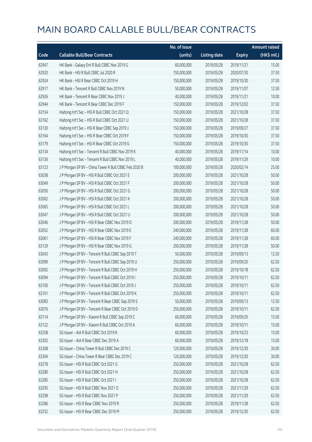|       |                                                       | No. of issue |                     |               | <b>Amount raised</b> |
|-------|-------------------------------------------------------|--------------|---------------------|---------------|----------------------|
| Code  | <b>Callable Bull/Bear Contracts</b>                   | (units)      | <b>Listing date</b> | <b>Expiry</b> | (HK\$ mil.)          |
| 62947 | HK Bank - Galaxy Ent R Bull CBBC Nov 2019 G           | 60,000,000   | 2019/05/28          | 2019/11/21    | 15.00                |
| 62920 | HK Bank - HSI R Bull CBBC Jul 2020 R                  | 150,000,000  | 2019/05/28          | 2020/07/30    | 37.50                |
| 62924 | HK Bank - HSI R Bear CBBC Oct 2019 H                  | 150,000,000  | 2019/05/28          | 2019/10/30    | 37.50                |
| 62917 | HK Bank - Tencent R Bull CBBC Nov 2019 N              | 50,000,000   | 2019/05/28          | 2019/11/07    | 12.50                |
| 62926 | HK Bank - Tencent R Bear CBBC Nov 2019 J              | 40,000,000   | 2019/05/28          | 2019/11/21    | 10.00                |
| 62944 | HK Bank - Tencent R Bear CBBC Dec 2019 F              | 150,000,000  | 2019/05/28          | 2019/12/02    | 37.50                |
| 63154 | Haitong Int'l Sec - HSI R Bull CBBC Oct 2021 Q        | 150,000,000  | 2019/05/28          | 2021/10/28    | 37.50                |
| 63162 | Haitong Int'l Sec - HSI R Bull CBBC Oct 2021 U        | 150,000,000  | 2019/05/28          | 2021/10/28    | 37.50                |
| 63130 | Haitong Int'l Sec - HSI R Bear CBBC Sep 2019 J        | 150,000,000  | 2019/05/28          | 2019/09/27    | 37.50                |
| 63164 | Haitong Int'l Sec - HSI R Bear CBBC Oct 2019 F        | 150,000,000  | 2019/05/28          | 2019/10/30    | 37.50                |
| 63179 | Haitong Int'l Sec - HSI R Bear CBBC Oct 2019 G        | 150,000,000  | 2019/05/28          | 2019/10/30    | 37.50                |
| 63134 | Haitong Int'l Sec - Tencent R Bull CBBC Nov 2019 K    | 40,000,000   | 2019/05/28          | 2019/11/14    | 10.00                |
| 63136 | Haitong Int'l Sec - Tencent R Bull CBBC Nov 2019 L    | 40,000,000   | 2019/05/28          | 2019/11/29    | 10.00                |
| 63123 | J P Morgan SP BV - China Tower R Bull CBBC Feb 2020 B | 100,000,000  | 2019/05/28          | 2020/02/14    | 25.00                |
| 63038 | J P Morgan SP BV - HSI R Bull CBBC Oct 2021 E         | 200,000,000  | 2019/05/28          | 2021/10/28    | 50.00                |
| 63049 | J P Morgan SP BV - HSI R Bull CBBC Oct 2021 F         | 200,000,000  | 2019/05/28          | 2021/10/28    | 50.00                |
| 63050 | J P Morgan SP BV - HSI R Bull CBBC Oct 2021 G         | 200,000,000  | 2019/05/28          | 2021/10/28    | 50.00                |
| 63062 | JP Morgan SP BV - HSIR Bull CBBC Oct 2021 K           | 200,000,000  | 2019/05/28          | 2021/10/28    | 50.00                |
| 63065 | J P Morgan SP BV - HSI R Bull CBBC Oct 2021 L         | 200,000,000  | 2019/05/28          | 2021/10/28    | 50.00                |
| 63047 | J P Morgan SP BV - HSI R Bull CBBC Oct 2021 U         | 200,000,000  | 2019/05/28          | 2021/10/28    | 50.00                |
| 63046 | J P Morgan SP BV - HSI R Bear CBBC Nov 2019 D         | 200,000,000  | 2019/05/28          | 2019/11/28    | 50.00                |
| 63052 | J P Morgan SP BV - HSI R Bear CBBC Nov 2019 E         | 240,000,000  | 2019/05/28          | 2019/11/28    | 60.00                |
| 63061 | J P Morgan SP BV - HSI R Bear CBBC Nov 2019 F         | 240,000,000  | 2019/05/28          | 2019/11/28    | 60.00                |
| 63129 | J P Morgan SP BV - HSI R Bear CBBC Nov 2019 G         | 200,000,000  | 2019/05/28          | 2019/11/28    | 50.00                |
| 63043 | J P Morgan SP BV - Tencent R Bull CBBC Sep 2019 T     | 50,000,000   | 2019/05/28          | 2019/09/13    | 12.50                |
| 63099 | J P Morgan SP BV - Tencent R Bull CBBC Sep 2019 U     | 250,000,000  | 2019/05/28          | 2019/09/20    | 62.50                |
| 63092 | J P Morgan SP BV - Tencent R Bull CBBC Oct 2019 H     | 250,000,000  | 2019/05/28          | 2019/10/18    | 62.50                |
| 63094 | JP Morgan SP BV - Tencent R Bull CBBC Oct 2019 I      | 250,000,000  | 2019/05/28          | 2019/10/11    | 62.50                |
| 63100 | J P Morgan SP BV - Tencent R Bull CBBC Oct 2019 J     | 250,000,000  | 2019/05/28          | 2019/10/11    | 62.50                |
| 63101 | J P Morgan SP BV - Tencent R Bull CBBC Oct 2019 K     | 250,000,000  | 2019/05/28          | 2019/10/11    | 62.50                |
| 63083 | J P Morgan SP BV - Tencent R Bear CBBC Sep 2019 S     | 50,000,000   | 2019/05/28          | 2019/09/13    | 12.50                |
| 63076 | J P Morgan SP BV - Tencent R Bear CBBC Oct 2019 D     | 250,000,000  | 2019/05/28          | 2019/10/11    | 62.50                |
| 63114 | J P Morgan SP BV - Xiaomi R Bull CBBC Sep 2019 C      | 60,000,000   | 2019/05/28          | 2019/09/20    | 15.00                |
| 63122 | J P Morgan SP BV - Xiaomi R Bull CBBC Oct 2019 A      | 60,000,000   | 2019/05/28          | 2019/10/11    | 15.00                |
| 63258 | SG Issuer - AIA R Bull CBBC Oct 2019 R                | 60,000,000   | 2019/05/28          | 2019/10/23    | 15.00                |
| 63302 | SG Issuer - AIA R Bear CBBC Dec 2019 A                | 60,000,000   | 2019/05/28          | 2019/12/18    | 15.00                |
| 63308 | SG Issuer - China Tower R Bull CBBC Dec 2019 C        | 120,000,000  | 2019/05/28          | 2019/12/30    | 30.00                |
| 63304 | SG Issuer - China Tower R Bear CBBC Dec 2019 C        | 120,000,000  | 2019/05/28          | 2019/12/20    | 30.00                |
| 63278 | SG Issuer - HSI R Bull CBBC Oct 2021 G                | 250,000,000  | 2019/05/28          | 2021/10/28    | 62.50                |
| 63280 | SG Issuer - HSI R Bull CBBC Oct 2021 H                | 250,000,000  | 2019/05/28          | 2021/10/28    | 62.50                |
| 63285 | SG Issuer - HSI R Bull CBBC Oct 2021 I                | 250,000,000  | 2019/05/28          | 2021/10/28    | 62.50                |
| 63295 | SG Issuer - HSI R Bull CBBC Nov 2021 O                | 250,000,000  | 2019/05/28          | 2021/11/29    | 62.50                |
| 63298 | SG Issuer - HSI R Bull CBBC Nov 2021 P                | 250,000,000  | 2019/05/28          | 2021/11/29    | 62.50                |
| 63286 | SG Issuer - HSI R Bear CBBC Nov 2019 R                | 250,000,000  | 2019/05/28          | 2019/11/28    | 62.50                |
| 63252 | SG Issuer - HSI R Bear CBBC Dec 2019 M                | 250,000,000  | 2019/05/28          | 2019/12/30    | 62.50                |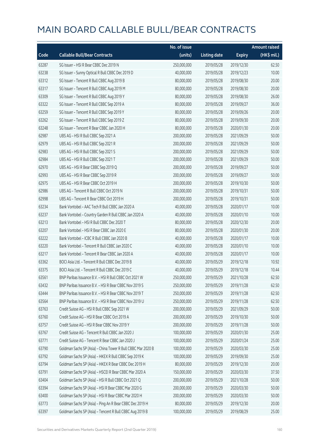|       |                                                              | No. of issue |                     |               | <b>Amount raised</b>  |
|-------|--------------------------------------------------------------|--------------|---------------------|---------------|-----------------------|
| Code  | <b>Callable Bull/Bear Contracts</b>                          | (units)      | <b>Listing date</b> | <b>Expiry</b> | $(HK\frac{1}{2}mil.)$ |
| 63287 | SG Issuer - HSI R Bear CBBC Dec 2019 N                       | 250,000,000  | 2019/05/28          | 2019/12/30    | 62.50                 |
| 63238 | SG Issuer - Sunny Optical R Bull CBBC Dec 2019 D             | 40,000,000   | 2019/05/28          | 2019/12/23    | 10.00                 |
| 63312 | SG Issuer - Tencent R Bull CBBC Aug 2019 B                   | 80,000,000   | 2019/05/28          | 2019/08/30    | 20.00                 |
| 63317 | SG Issuer - Tencent R Bull CBBC Aug 2019 M                   | 80,000,000   | 2019/05/28          | 2019/08/30    | 20.00                 |
| 63309 | SG Issuer - Tencent R Bull CBBC Aug 2019 Y                   | 80,000,000   | 2019/05/28          | 2019/08/30    | 26.00                 |
| 63322 | SG Issuer - Tencent R Bull CBBC Sep 2019 A                   | 80,000,000   | 2019/05/28          | 2019/09/27    | 36.00                 |
| 63259 | SG Issuer - Tencent R Bull CBBC Sep 2019 Y                   | 80,000,000   | 2019/05/28          | 2019/09/26    | 20.00                 |
| 63262 | SG Issuer - Tencent R Bull CBBC Sep 2019 Z                   | 80,000,000   | 2019/05/28          | 2019/09/30    | 20.00                 |
| 63248 | SG Issuer - Tencent R Bear CBBC Jan 2020 H                   | 80,000,000   | 2019/05/28          | 2020/01/30    | 20.00                 |
| 62987 | UBS AG - HSI R Bull CBBC Sep 2021 A                          | 200,000,000  | 2019/05/28          | 2021/09/29    | 50.00                 |
| 62979 | UBS AG - HSI R Bull CBBC Sep 2021 R                          | 200,000,000  | 2019/05/28          | 2021/09/29    | 50.00                 |
| 62983 | UBS AG - HSI R Bull CBBC Sep 2021 S                          | 200,000,000  | 2019/05/28          | 2021/09/29    | 50.00                 |
| 62984 | UBS AG - HSI R Bull CBBC Sep 2021 T                          | 200,000,000  | 2019/05/28          | 2021/09/29    | 50.00                 |
| 62970 | UBS AG - HSI R Bear CBBC Sep 2019 Q                          | 200,000,000  | 2019/05/28          | 2019/09/27    | 50.00                 |
| 62993 | UBS AG - HSI R Bear CBBC Sep 2019 R                          | 200,000,000  | 2019/05/28          | 2019/09/27    | 50.00                 |
| 62975 | UBS AG - HSI R Bear CBBC Oct 2019 H                          | 200,000,000  | 2019/05/28          | 2019/10/30    | 50.00                 |
| 62986 | UBS AG - Tencent R Bull CBBC Oct 2019 N                      | 200,000,000  | 2019/05/28          | 2019/10/31    | 50.00                 |
| 62998 | UBS AG - Tencent R Bear CBBC Oct 2019 H                      | 200,000,000  | 2019/05/28          | 2019/10/31    | 50.00                 |
| 63234 | Bank Vontobel - AAC Tech R Bull CBBC Jan 2020 A              | 40,000,000   | 2019/05/28          | 2020/01/17    | 10.00                 |
| 63237 | Bank Vontobel - Country Garden R Bull CBBC Jan 2020 A        | 40,000,000   | 2019/05/28          | 2020/01/10    | 10.00                 |
| 63213 | Bank Vontobel - HSI R Bull CBBC Dec 2020 T                   | 80,000,000   | 2019/05/28          | 2020/12/30    | 20.00                 |
| 63207 | Bank Vontobel - HSI R Bear CBBC Jan 2020 E                   | 80,000,000   | 2019/05/28          | 2020/01/30    | 20.00                 |
| 63222 | Bank Vontobel - ICBC R Bull CBBC Jan 2020 B                  | 40,000,000   | 2019/05/28          | 2020/01/17    | 10.00                 |
| 63220 | Bank Vontobel - Tencent R Bull CBBC Jan 2020 C               | 40,000,000   | 2019/05/28          | 2020/01/10    | 10.00                 |
| 63217 | Bank Vontobel - Tencent R Bear CBBC Jan 2020 A               | 40,000,000   | 2019/05/28          | 2020/01/17    | 10.00                 |
| 63362 | BOCI Asia Ltd. - Tencent R Bull CBBC Dec 2019 B              | 40,000,000   | 2019/05/29          | 2019/12/18    | 10.92                 |
| 63375 | BOCI Asia Ltd. - Tencent R Bull CBBC Dec 2019 C              | 40,000,000   | 2019/05/29          | 2019/12/18    | 10.44                 |
| 63561 | BNP Paribas Issuance B.V. - HSLR Bull CBBC Oct 2021 W        | 250,000,000  | 2019/05/29          | 2021/10/28    | 62.50                 |
| 63432 | BNP Paribas Issuance B.V. - HSI R Bear CBBC Nov 2019 S       | 250,000,000  | 2019/05/29          | 2019/11/28    | 62.50                 |
| 63444 | BNP Paribas Issuance B.V. - HSI R Bear CBBC Nov 2019 T       | 250,000,000  | 2019/05/29          | 2019/11/28    | 62.50                 |
| 63564 | BNP Paribas Issuance B.V. - HSI R Bear CBBC Nov 2019 U       | 250,000,000  | 2019/05/29          | 2019/11/28    | 62.50                 |
| 63763 | Credit Suisse AG - HSI R Bull CBBC Sep 2021 W                | 200,000,000  | 2019/05/29          | 2021/09/29    | 50.00                 |
| 63760 | Credit Suisse AG - HSI R Bear CBBC Oct 2019 A                | 200,000,000  | 2019/05/29          | 2019/10/30    | 50.00                 |
| 63757 | Credit Suisse AG - HSI R Bear CBBC Nov 2019 Y                | 200,000,000  | 2019/05/29          | 2019/11/28    | 50.00                 |
| 63767 | Credit Suisse AG - Tencent R Bull CBBC Jan 2020 J            | 100,000,000  | 2019/05/29          | 2020/01/30    | 25.00                 |
| 63771 | Credit Suisse AG - Tencent R Bear CBBC Jan 2020 J            | 100,000,000  | 2019/05/29          | 2020/01/24    | 25.00                 |
| 63790 | Goldman Sachs SP (Asia) - China Tower R Bull CBBC Mar 2020 B | 100,000,000  | 2019/05/29          | 2020/03/30    | 25.00                 |
| 63792 | Goldman Sachs SP (Asia) - HKEX R Bull CBBC Sep 2019 K        | 100,000,000  | 2019/05/29          | 2019/09/30    | 25.00                 |
| 63794 | Goldman Sachs SP (Asia) - HKEX R Bear CBBC Dec 2019 H        | 80,000,000   | 2019/05/29          | 2019/12/30    | 20.00                 |
| 63791 | Goldman Sachs SP (Asia) - HSCEI R Bear CBBC Mar 2020 A       | 150,000,000  | 2019/05/29          | 2020/03/30    | 37.50                 |
| 63404 | Goldman Sachs SP (Asia) - HSI R Bull CBBC Oct 2021 Q         | 200,000,000  | 2019/05/29          | 2021/10/28    | 50.00                 |
| 63394 | Goldman Sachs SP (Asia) - HSI R Bear CBBC Mar 2020 G         | 200,000,000  | 2019/05/29          | 2020/03/30    | 50.00                 |
| 63400 | Goldman Sachs SP (Asia) - HSI R Bear CBBC Mar 2020 H         | 200,000,000  | 2019/05/29          | 2020/03/30    | 50.00                 |
| 63773 | Goldman Sachs SP (Asia) - Ping An R Bear CBBC Dec 2019 H     | 80,000,000   | 2019/05/29          | 2019/12/30    | 20.00                 |
| 63397 | Goldman Sachs SP (Asia) - Tencent R Bull CBBC Aug 2019 B     | 100,000,000  | 2019/05/29          | 2019/08/29    | 25.00                 |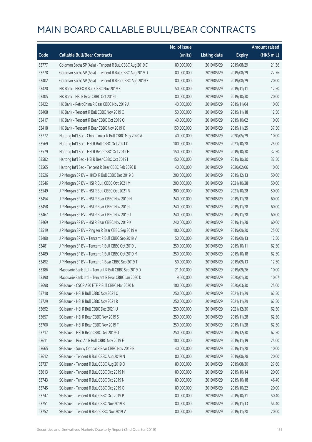|       |                                                          | No. of issue |                     |               | <b>Amount raised</b> |
|-------|----------------------------------------------------------|--------------|---------------------|---------------|----------------------|
| Code  | <b>Callable Bull/Bear Contracts</b>                      | (units)      | <b>Listing date</b> | <b>Expiry</b> | (HK\$ mil.)          |
| 63777 | Goldman Sachs SP (Asia) - Tencent R Bull CBBC Aug 2019 C | 80,000,000   | 2019/05/29          | 2019/08/29    | 21.36                |
| 63778 | Goldman Sachs SP (Asia) - Tencent R Bull CBBC Aug 2019 D | 80,000,000   | 2019/05/29          | 2019/08/29    | 27.76                |
| 63402 | Goldman Sachs SP (Asia) - Tencent R Bear CBBC Aug 2019 K | 80,000,000   | 2019/05/29          | 2019/08/29    | 20.00                |
| 63420 | HK Bank - HKEX R Bull CBBC Nov 2019 K                    | 50,000,000   | 2019/05/29          | 2019/11/11    | 12.50                |
| 63405 | HK Bank - HSI R Bear CBBC Oct 2019 I                     | 80,000,000   | 2019/05/29          | 2019/10/30    | 20.00                |
| 63422 | HK Bank - PetroChina R Bear CBBC Nov 2019 A              | 40,000,000   | 2019/05/29          | 2019/11/04    | 10.00                |
| 63408 | HK Bank - Tencent R Bull CBBC Nov 2019 O                 | 50,000,000   | 2019/05/29          | 2019/11/18    | 12.50                |
| 63417 | HK Bank - Tencent R Bear CBBC Oct 2019 O                 | 40,000,000   | 2019/05/29          | 2019/10/02    | 10.00                |
| 63418 | HK Bank - Tencent R Bear CBBC Nov 2019 K                 | 150,000,000  | 2019/05/29          | 2019/11/25    | 37.50                |
| 63772 | Haitong Int'l Sec - China Tower R Bull CBBC May 2020 A   | 40,000,000   | 2019/05/29          | 2020/05/29    | 10.00                |
| 63569 | Haitong Int'l Sec - HSI R Bull CBBC Oct 2021 D           | 100,000,000  | 2019/05/29          | 2021/10/28    | 25.00                |
| 63579 | Haitong Int'l Sec - HSI R Bear CBBC Oct 2019 H           | 150,000,000  | 2019/05/29          | 2019/10/30    | 37.50                |
| 63582 | Haitong Int'l Sec - HSI R Bear CBBC Oct 2019 I           | 150,000,000  | 2019/05/29          | 2019/10/30    | 37.50                |
| 63565 | Haitong Int'l Sec - Tencent R Bear CBBC Feb 2020 B       | 40,000,000   | 2019/05/29          | 2020/02/06    | 10.00                |
| 63526 | J P Morgan SP BV - HKEX R Bull CBBC Dec 2019 B           | 200,000,000  | 2019/05/29          | 2019/12/13    | 50.00                |
| 63546 | JP Morgan SP BV - HSIR Bull CBBC Oct 2021 M              | 200,000,000  | 2019/05/29          | 2021/10/28    | 50.00                |
| 63549 | J P Morgan SP BV - HSI R Bull CBBC Oct 2021 N            | 200,000,000  | 2019/05/29          | 2021/10/28    | 50.00                |
| 63454 | J P Morgan SP BV - HSI R Bear CBBC Nov 2019 H            | 240,000,000  | 2019/05/29          | 2019/11/28    | 60.00                |
| 63458 | J P Morgan SP BV - HSI R Bear CBBC Nov 2019 I            | 240,000,000  | 2019/05/29          | 2019/11/28    | 60.00                |
| 63467 | J P Morgan SP BV - HSI R Bear CBBC Nov 2019 J            | 240,000,000  | 2019/05/29          | 2019/11/28    | 60.00                |
| 63469 | J P Morgan SP BV - HSI R Bear CBBC Nov 2019 K            | 240,000,000  | 2019/05/29          | 2019/11/28    | 60.00                |
| 63519 | J P Morgan SP BV - Ping An R Bear CBBC Sep 2019 A        | 100,000,000  | 2019/05/29          | 2019/09/20    | 25.00                |
| 63480 | J P Morgan SP BV - Tencent R Bull CBBC Sep 2019 V        | 50,000,000   | 2019/05/29          | 2019/09/13    | 12.50                |
| 63481 | J P Morgan SP BV - Tencent R Bull CBBC Oct 2019 L        | 250,000,000  | 2019/05/29          | 2019/10/11    | 62.50                |
| 63489 | J P Morgan SP BV - Tencent R Bull CBBC Oct 2019 M        | 250,000,000  | 2019/05/29          | 2019/10/18    | 62.50                |
| 63492 | J P Morgan SP BV - Tencent R Bear CBBC Sep 2019 T        | 50,000,000   | 2019/05/29          | 2019/09/13    | 12.50                |
| 63386 | Macquarie Bank Ltd. - Tencent R Bull CBBC Sep 2019 D     | 21,100,000   | 2019/05/29          | 2019/09/26    | 10.00                |
| 63390 | Macquarie Bank Ltd. - Tencent R Bear CBBC Jan 2020 D     | 9,600,000    | 2019/05/29          | 2020/01/30    | 10.07                |
| 63698 | SG Issuer - CSOP A50 ETF R Bull CBBC Mar 2020 N          | 100,000,000  | 2019/05/29          | 2020/03/30    | 25.00                |
| 63718 | SG Issuer - HSI R Bull CBBC Nov 2021 Q                   | 250,000,000  | 2019/05/29          | 2021/11/29    | 62.50                |
| 63729 | SG Issuer - HSI R Bull CBBC Nov 2021 R                   | 250,000,000  | 2019/05/29          | 2021/11/29    | 62.50                |
| 63692 | SG Issuer - HSI R Bull CBBC Dec 2021 U                   | 250,000,000  | 2019/05/29          | 2021/12/30    | 62.50                |
| 63657 | SG Issuer - HSI R Bear CBBC Nov 2019 S                   | 250,000,000  | 2019/05/29          | 2019/11/28    | 62.50                |
| 63700 | SG Issuer - HSI R Bear CBBC Nov 2019 T                   | 250,000,000  | 2019/05/29          | 2019/11/28    | 62.50                |
| 63717 | SG Issuer - HSI R Bear CBBC Dec 2019 O                   | 250,000,000  | 2019/05/29          | 2019/12/30    | 62.50                |
| 63611 | SG Issuer - Ping An R Bull CBBC Nov 2019 E               | 100,000,000  | 2019/05/29          | 2019/11/19    | 25.00                |
| 63665 | SG Issuer - Sunny Optical R Bear CBBC Nov 2019 B         | 40,000,000   | 2019/05/29          | 2019/11/28    | 10.00                |
| 63612 | SG Issuer - Tencent R Bull CBBC Aug 2019 N               | 80,000,000   | 2019/05/29          | 2019/08/28    | 20.00                |
| 63737 | SG Issuer - Tencent R Bull CBBC Aug 2019 O               | 80,000,000   | 2019/05/29          | 2019/08/30    | 27.60                |
| 63613 | SG Issuer - Tencent R Bull CBBC Oct 2019 M               | 80,000,000   | 2019/05/29          | 2019/10/14    | 20.00                |
| 63743 | SG Issuer - Tencent R Bull CBBC Oct 2019 N               | 80,000,000   | 2019/05/29          | 2019/10/18    | 46.40                |
| 63745 | SG Issuer - Tencent R Bull CBBC Oct 2019 O               | 80,000,000   | 2019/05/29          | 2019/10/22    | 20.00                |
| 63747 | SG Issuer - Tencent R Bull CBBC Oct 2019 P               | 80,000,000   | 2019/05/29          | 2019/10/31    | 50.40                |
| 63751 | SG Issuer - Tencent R Bull CBBC Nov 2019 B               | 80,000,000   | 2019/05/29          | 2019/11/13    | 54.40                |
| 63752 | SG Issuer - Tencent R Bear CBBC Nov 2019 V               | 80,000,000   | 2019/05/29          | 2019/11/28    | 20.00                |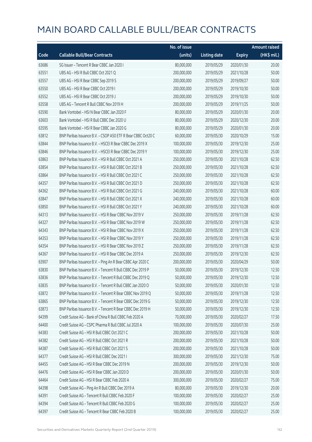|       |                                                              | No. of issue |                     |               | <b>Amount raised</b> |
|-------|--------------------------------------------------------------|--------------|---------------------|---------------|----------------------|
| Code  | <b>Callable Bull/Bear Contracts</b>                          | (units)      | <b>Listing date</b> | <b>Expiry</b> | (HK\$ mil.)          |
| 63686 | SG Issuer - Tencent R Bear CBBC Jan 2020 I                   | 80,000,000   | 2019/05/29          | 2020/01/30    | 20.00                |
| 63551 | UBS AG - HSI R Bull CBBC Oct 2021 Q                          | 200,000,000  | 2019/05/29          | 2021/10/28    | 50.00                |
| 63557 | UBS AG - HSI R Bear CBBC Sep 2019 S                          | 200,000,000  | 2019/05/29          | 2019/09/27    | 50.00                |
| 63550 | UBS AG - HSI R Bear CBBC Oct 2019 I                          | 200,000,000  | 2019/05/29          | 2019/10/30    | 50.00                |
| 63552 | UBS AG - HSI R Bear CBBC Oct 2019 J                          | 200,000,000  | 2019/05/29          | 2019/10/30    | 50.00                |
| 63558 | UBS AG - Tencent R Bull CBBC Nov 2019 H                      | 200,000,000  | 2019/05/29          | 2019/11/25    | 50.00                |
| 63590 | Bank Vontobel - HSI N Bear CBBC Jan 2020 F                   | 80,000,000   | 2019/05/29          | 2020/01/30    | 20.00                |
| 63603 | Bank Vontobel - HSI R Bull CBBC Dec 2020 U                   | 80,000,000   | 2019/05/29          | 2020/12/30    | 20.00                |
| 63595 | Bank Vontobel - HSI R Bear CBBC Jan 2020 G                   | 80,000,000   | 2019/05/29          | 2020/01/30    | 20.00                |
| 63812 | BNP Paribas Issuance B.V. - CSOP A50 ETF R Bear CBBC Oct20 C | 60,000,000   | 2019/05/30          | 2020/10/29    | 15.00                |
| 63844 | BNP Paribas Issuance B.V. - HSCEI R Bear CBBC Dec 2019 X     | 100,000,000  | 2019/05/30          | 2019/12/30    | 25.00                |
| 63846 | BNP Paribas Issuance B.V. - HSCEI R Bear CBBC Dec 2019 Y     | 100,000,000  | 2019/05/30          | 2019/12/30    | 25.00                |
| 63863 | BNP Paribas Issuance B.V. - HSI R Bull CBBC Oct 2021 A       | 250,000,000  | 2019/05/30          | 2021/10/28    | 62.50                |
| 63854 | BNP Paribas Issuance B.V. - HSI R Bull CBBC Oct 2021 B       | 250,000,000  | 2019/05/30          | 2021/10/28    | 62.50                |
| 63864 | BNP Paribas Issuance B.V. - HSI R Bull CBBC Oct 2021 C       | 250,000,000  | 2019/05/30          | 2021/10/28    | 62.50                |
| 64357 | BNP Paribas Issuance B.V. - HSI R Bull CBBC Oct 2021 D       | 250,000,000  | 2019/05/30          | 2021/10/28    | 62.50                |
| 64362 | BNP Paribas Issuance B.V. - HSI R Bull CBBC Oct 2021 G       | 240,000,000  | 2019/05/30          | 2021/10/28    | 60.00                |
| 63847 | BNP Paribas Issuance B.V. - HSI R Bull CBBC Oct 2021 X       | 240,000,000  | 2019/05/30          | 2021/10/28    | 60.00                |
| 63850 | BNP Paribas Issuance B.V. - HSI R Bull CBBC Oct 2021 Y       | 240,000,000  | 2019/05/30          | 2021/10/28    | 60.00                |
| 64313 | BNP Paribas Issuance B.V. - HSI R Bear CBBC Nov 2019 V       | 250,000,000  | 2019/05/30          | 2019/11/28    | 62.50                |
| 64327 | BNP Paribas Issuance B.V. - HSI R Bear CBBC Nov 2019 W       | 250,000,000  | 2019/05/30          | 2019/11/28    | 62.50                |
| 64343 | BNP Paribas Issuance B.V. - HSI R Bear CBBC Nov 2019 X       | 250,000,000  | 2019/05/30          | 2019/11/28    | 62.50                |
| 64353 | BNP Paribas Issuance B.V. - HSI R Bear CBBC Nov 2019 Y       | 250,000,000  | 2019/05/30          | 2019/11/28    | 62.50                |
| 64354 | BNP Paribas Issuance B.V. - HSI R Bear CBBC Nov 2019 Z       | 250,000,000  | 2019/05/30          | 2019/11/28    | 62.50                |
| 64367 | BNP Paribas Issuance B.V. - HSI R Bear CBBC Dec 2019 A       | 250,000,000  | 2019/05/30          | 2019/12/30    | 62.50                |
| 63907 | BNP Paribas Issuance B.V. - Ping An R Bear CBBC Apr 2020 C   | 200,000,000  | 2019/05/30          | 2020/04/29    | 50.00                |
| 63830 | BNP Paribas Issuance B.V. - Tencent R Bull CBBC Dec 2019 P   | 50,000,000   | 2019/05/30          | 2019/12/30    | 12.50                |
| 63836 | BNP Paribas Issuance B.V. - Tencent R Bull CBBC Dec 2019 Q   | 50,000,000   | 2019/05/30          | 2019/12/30    | 12.50                |
| 63835 | BNP Paribas Issuance B.V. - Tencent R Bull CBBC Jan 2020 O   | 50,000,000   | 2019/05/30          | 2020/01/30    | 12.50                |
| 63872 | BNP Paribas Issuance B.V. - Tencent R Bear CBBC Nov 2019 Q   | 50,000,000   | 2019/05/30          | 2019/11/28    | 12.50                |
| 63865 | BNP Paribas Issuance B.V. - Tencent R Bear CBBC Dec 2019 G   | 50,000,000   | 2019/05/30          | 2019/12/30    | 12.50                |
| 63873 | BNP Paribas Issuance B.V. - Tencent R Bear CBBC Dec 2019 H   | 50,000,000   | 2019/05/30          | 2019/12/30    | 12.50                |
| 64399 | Credit Suisse AG - Bank of China R Bull CBBC Feb 2020 A      | 70,000,000   | 2019/05/30          | 2020/02/27    | 17.50                |
| 64400 | Credit Suisse AG - CSPC Pharma R Bull CBBC Jul 2020 A        | 100,000,000  | 2019/05/30          | 2020/07/30    | 25.00                |
| 64383 | Credit Suisse AG - HSI R Bull CBBC Oct 2021 C                | 200,000,000  | 2019/05/30          | 2021/10/28    | 50.00                |
| 64382 | Credit Suisse AG - HSI R Bull CBBC Oct 2021 R                | 200,000,000  | 2019/05/30          | 2021/10/28    | 50.00                |
| 64387 | Credit Suisse AG - HSI R Bull CBBC Oct 2021 S                | 200,000,000  | 2019/05/30          | 2021/10/28    | 50.00                |
| 64377 | Credit Suisse AG - HSI R Bull CBBC Dec 2021 I                | 300,000,000  | 2019/05/30          | 2021/12/30    | 75.00                |
| 64455 | Credit Suisse AG - HSI R Bear CBBC Dec 2019 N                | 200,000,000  | 2019/05/30          | 2019/12/30    | 50.00                |
| 64476 | Credit Suisse AG - HSI R Bear CBBC Jan 2020 D                | 200,000,000  | 2019/05/30          | 2020/01/30    | 50.00                |
| 64464 | Credit Suisse AG - HSI R Bear CBBC Feb 2020 A                | 300,000,000  | 2019/05/30          | 2020/02/27    | 75.00                |
| 64398 | Credit Suisse AG - Ping An R Bull CBBC Dec 2019 A            | 80,000,000   | 2019/05/30          | 2019/12/30    | 20.00                |
| 64391 | Credit Suisse AG - Tencent R Bull CBBC Feb 2020 F            | 100,000,000  | 2019/05/30          | 2020/02/27    | 25.00                |
| 64394 | Credit Suisse AG - Tencent R Bull CBBC Feb 2020 G            | 100,000,000  | 2019/05/30          | 2020/02/27    | 25.00                |
| 64397 | Credit Suisse AG - Tencent R Bear CBBC Feb 2020 B            | 100,000,000  | 2019/05/30          | 2020/02/27    | 25.00                |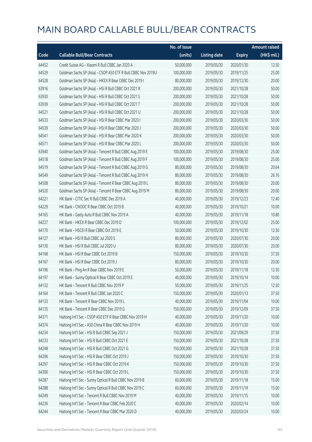|       |                                                              | No. of issue |                     |               | <b>Amount raised</b>  |
|-------|--------------------------------------------------------------|--------------|---------------------|---------------|-----------------------|
| Code  | <b>Callable Bull/Bear Contracts</b>                          | (units)      | <b>Listing date</b> | <b>Expiry</b> | $(HK\frac{1}{2}mil.)$ |
| 64452 | Credit Suisse AG - Xiaomi R Bull CBBC Jan 2020 A             | 50,000,000   | 2019/05/30          | 2020/01/30    | 12.50                 |
| 64529 | Goldman Sachs SP (Asia) - CSOP A50 ETF R Bull CBBC Nov 2019U | 100,000,000  | 2019/05/30          | 2019/11/25    | 25.00                 |
| 64528 | Goldman Sachs SP (Asia) - HKEX R Bear CBBC Dec 2019 I        | 80,000,000   | 2019/05/30          | 2019/12/30    | 20.00                 |
| 63916 | Goldman Sachs SP (Asia) - HSI R Bull CBBC Oct 2021 R         | 200,000,000  | 2019/05/30          | 2021/10/28    | 50.00                 |
| 63930 | Goldman Sachs SP (Asia) - HSI R Bull CBBC Oct 2021 S         | 200,000,000  | 2019/05/30          | 2021/10/28    | 50.00                 |
| 63939 | Goldman Sachs SP (Asia) - HSI R Bull CBBC Oct 2021 T         | 200,000,000  | 2019/05/30          | 2021/10/28    | 50.00                 |
| 64521 | Goldman Sachs SP (Asia) - HSI R Bull CBBC Oct 2021 U         | 200,000,000  | 2019/05/30          | 2021/10/28    | 50.00                 |
| 64533 | Goldman Sachs SP (Asia) - HSI R Bear CBBC Mar 2020 I         | 200,000,000  | 2019/05/30          | 2020/03/30    | 50.00                 |
| 64539 | Goldman Sachs SP (Asia) - HSI R Bear CBBC Mar 2020 J         | 200,000,000  | 2019/05/30          | 2020/03/30    | 50.00                 |
| 64541 | Goldman Sachs SP (Asia) - HSI R Bear CBBC Mar 2020 K         | 200,000,000  | 2019/05/30          | 2020/03/30    | 50.00                 |
| 64571 | Goldman Sachs SP (Asia) - HSI R Bear CBBC Mar 2020 L         | 200,000,000  | 2019/05/30          | 2020/03/30    | 50.00                 |
| 63940 | Goldman Sachs SP (Asia) - Tencent R Bull CBBC Aug 2019 E     | 100,000,000  | 2019/05/30          | 2019/08/30    | 25.00                 |
| 64518 | Goldman Sachs SP (Asia) - Tencent R Bull CBBC Aug 2019 F     | 100,000,000  | 2019/05/30          | 2019/08/30    | 25.00                 |
| 64519 | Goldman Sachs SP (Asia) - Tencent R Bull CBBC Aug 2019 G     | 80,000,000   | 2019/05/30          | 2019/08/30    | 20.64                 |
| 64549 | Goldman Sachs SP (Asia) - Tencent R Bull CBBC Aug 2019 H     | 80,000,000   | 2019/05/30          | 2019/08/30    | 26.16                 |
| 64508 | Goldman Sachs SP (Asia) - Tencent R Bear CBBC Aug 2019 L     | 80,000,000   | 2019/05/30          | 2019/08/30    | 20.00                 |
| 64520 | Goldman Sachs SP (Asia) - Tencent R Bear CBBC Aug 2019 M     | 80,000,000   | 2019/05/30          | 2019/08/30    | 20.00                 |
| 64221 | HK Bank - CITIC Sec R Bull CBBC Dec 2019 A                   | 40,000,000   | 2019/05/30          | 2019/12/23    | 12.40                 |
| 64229 | HK Bank - CNOOC R Bear CBBC Oct 2019 B                       | 40,000,000   | 2019/05/30          | 2019/10/21    | 10.00                 |
| 64165 | HK Bank - Geely Auto R Bull CBBC Nov 2019 A                  | 40,000,000   | 2019/05/30          | 2019/11/18    | 10.80                 |
| 64227 | HK Bank - HKEX R Bear CBBC Dec 2019 D                        | 100,000,000  | 2019/05/30          | 2019/12/02    | 25.00                 |
| 64170 | HK Bank - HSCEI R Bear CBBC Oct 2019 E                       | 50,000,000   | 2019/05/30          | 2019/10/30    | 12.50                 |
| 64127 | HK Bank - HSI R Bull CBBC Jul 2020 S                         | 80,000,000   | 2019/05/30          | 2020/07/30    | 20.00                 |
| 64130 | HK Bank - HSI R Bull CBBC Jul 2020 U                         | 80,000,000   | 2019/05/30          | 2020/07/30    | 20.00                 |
| 64168 | HK Bank - HSI R Bear CBBC Oct 2019 B                         | 150,000,000  | 2019/05/30          | 2019/10/30    | 37.50                 |
| 64167 | HK Bank - HSI R Bear CBBC Oct 2019 J                         | 80,000,000   | 2019/05/30          | 2019/10/30    | 20.00                 |
| 64196 | HK Bank - Ping An R Bear CBBC Nov 2019 E                     | 50,000,000   | 2019/05/30          | 2019/11/18    | 12.50                 |
| 64197 | HK Bank - Sunny Optical R Bear CBBC Oct 2019 E               | 40,000,000   | 2019/05/30          | 2019/10/14    | 10.00                 |
| 64132 | HK Bank - Tencent R Bull CBBC Nov 2019 P                     | 50,000,000   | 2019/05/30          | 2019/11/25    | 12.50                 |
| 64164 | HK Bank - Tencent R Bull CBBC Jan 2020 C                     | 150,000,000  | 2019/05/30          | 2020/01/13    | 37.50                 |
| 64133 | HK Bank - Tencent R Bear CBBC Nov 2019 L                     | 40,000,000   | 2019/05/30          | 2019/11/04    | 10.00                 |
| 64135 | HK Bank - Tencent R Bear CBBC Dec 2019 G                     | 150,000,000  | 2019/05/30          | 2019/12/09    | 37.50                 |
| 64371 | Haitong Int'l Sec - CSOP A50 ETF R Bear CBBC Nov 2019 H      | 40,000,000   | 2019/05/30          | 2019/11/20    | 10.00                 |
| 64374 | Haitong Int'l Sec - A50 China R Bear CBBC Nov 2019 H         | 40,000,000   | 2019/05/30          | 2019/11/20    | 10.00                 |
| 64234 | Haitong Int'l Sec - HSI R Bull CBBC Sep 2021 J               | 150,000,000  | 2019/05/30          | 2021/09/29    | 37.50                 |
| 64233 | Haitong Int'l Sec - HSI R Bull CBBC Oct 2021 E               | 150,000,000  | 2019/05/30          | 2021/10/28    | 37.50                 |
| 64248 | Haitong Int'l Sec - HSI R Bull CBBC Oct 2021 G               | 150,000,000  | 2019/05/30          | 2021/10/28    | 37.50                 |
| 64296 | Haitong Int'l Sec - HSI R Bear CBBC Oct 2019 J               | 150,000,000  | 2019/05/30          | 2019/10/30    | 37.50                 |
| 64297 | Haitong Int'l Sec - HSI R Bear CBBC Oct 2019 K               | 150,000,000  | 2019/05/30          | 2019/10/30    | 37.50                 |
| 64300 | Haitong Int'l Sec - HSI R Bear CBBC Oct 2019 L               | 150,000,000  | 2019/05/30          | 2019/10/30    | 37.50                 |
| 64287 | Haitong Int'l Sec - Sunny Optical R Bull CBBC Nov 2019 B     | 60,000,000   | 2019/05/30          | 2019/11/18    | 15.00                 |
| 64288 | Haitong Int'l Sec - Sunny Optical R Bull CBBC Nov 2019 C     | 60,000,000   | 2019/05/30          | 2019/11/19    | 15.00                 |
| 64249 | Haitong Int'l Sec - Tencent R Bull CBBC Nov 2019 M           | 40,000,000   | 2019/05/30          | 2019/11/15    | 10.00                 |
| 64236 | Haitong Int'l Sec - Tencent R Bear CBBC Feb 2020 C           | 40,000,000   | 2019/05/30          | 2020/02/14    | 10.00                 |
| 64244 | Haitong Int'l Sec - Tencent R Bear CBBC Mar 2020 D           | 40,000,000   | 2019/05/30          | 2020/03/24    | 10.00                 |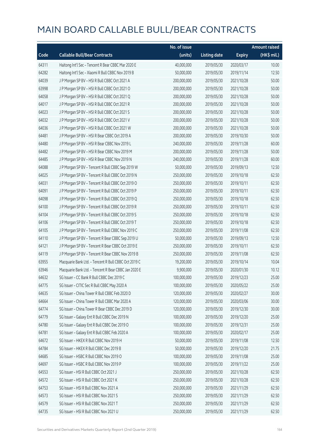|       |                                                      | No. of issue |                     |               | <b>Amount raised</b> |
|-------|------------------------------------------------------|--------------|---------------------|---------------|----------------------|
| Code  | <b>Callable Bull/Bear Contracts</b>                  | (units)      | <b>Listing date</b> | <b>Expiry</b> | (HK\$ mil.)          |
| 64311 | Haitong Int'l Sec - Tencent R Bear CBBC Mar 2020 E   | 40,000,000   | 2019/05/30          | 2020/03/17    | 10.00                |
| 64282 | Haitong Int'l Sec - Xiaomi R Bull CBBC Nov 2019 B    | 50,000,000   | 2019/05/30          | 2019/11/14    | 12.50                |
| 64039 | J P Morgan SP BV - HSI R Bull CBBC Oct 2021 A        | 200,000,000  | 2019/05/30          | 2021/10/28    | 50.00                |
| 63998 | J P Morgan SP BV - HSI R Bull CBBC Oct 2021 O        | 200,000,000  | 2019/05/30          | 2021/10/28    | 50.00                |
| 64058 | J P Morgan SP BV - HSI R Bull CBBC Oct 2021 Q        | 200,000,000  | 2019/05/30          | 2021/10/28    | 50.00                |
| 64017 | J P Morgan SP BV - HSI R Bull CBBC Oct 2021 R        | 200,000,000  | 2019/05/30          | 2021/10/28    | 50.00                |
| 64023 | J P Morgan SP BV - HSI R Bull CBBC Oct 2021 S        | 200,000,000  | 2019/05/30          | 2021/10/28    | 50.00                |
| 64032 | J P Morgan SP BV - HSI R Bull CBBC Oct 2021 V        | 200,000,000  | 2019/05/30          | 2021/10/28    | 50.00                |
| 64036 | J P Morgan SP BV - HSI R Bull CBBC Oct 2021 W        | 200,000,000  | 2019/05/30          | 2021/10/28    | 50.00                |
| 64481 | J P Morgan SP BV - HSI R Bear CBBC Oct 2019 A        | 200,000,000  | 2019/05/30          | 2019/10/30    | 50.00                |
| 64480 | J P Morgan SP BV - HSI R Bear CBBC Nov 2019 L        | 240,000,000  | 2019/05/30          | 2019/11/28    | 60.00                |
| 64482 | J P Morgan SP BV - HSI R Bear CBBC Nov 2019 M        | 200,000,000  | 2019/05/30          | 2019/11/28    | 50.00                |
| 64485 | J P Morgan SP BV - HSI R Bear CBBC Nov 2019 N        | 240,000,000  | 2019/05/30          | 2019/11/28    | 60.00                |
| 64088 | J P Morgan SP BV - Tencent R Bull CBBC Sep 2019 W    | 50,000,000   | 2019/05/30          | 2019/09/13    | 12.50                |
| 64025 | J P Morgan SP BV - Tencent R Bull CBBC Oct 2019 N    | 250,000,000  | 2019/05/30          | 2019/10/18    | 62.50                |
| 64031 | J P Morgan SP BV - Tencent R Bull CBBC Oct 2019 O    | 250,000,000  | 2019/05/30          | 2019/10/11    | 62.50                |
| 64091 | JP Morgan SP BV - Tencent R Bull CBBC Oct 2019 P     | 250,000,000  | 2019/05/30          | 2019/10/11    | 62.50                |
| 64098 | J P Morgan SP BV - Tencent R Bull CBBC Oct 2019 Q    | 250,000,000  | 2019/05/30          | 2019/10/18    | 62.50                |
| 64100 | J P Morgan SP BV - Tencent R Bull CBBC Oct 2019 R    | 250,000,000  | 2019/05/30          | 2019/10/11    | 62.50                |
| 64104 | J P Morgan SP BV - Tencent R Bull CBBC Oct 2019 S    | 250,000,000  | 2019/05/30          | 2019/10/18    | 62.50                |
| 64106 | J P Morgan SP BV - Tencent R Bull CBBC Oct 2019 T    | 250,000,000  | 2019/05/30          | 2019/10/18    | 62.50                |
| 64105 | J P Morgan SP BV - Tencent R Bull CBBC Nov 2019 C    | 250,000,000  | 2019/05/30          | 2019/11/08    | 62.50                |
| 64110 | J P Morgan SP BV - Tencent R Bear CBBC Sep 2019 U    | 50,000,000   | 2019/05/30          | 2019/09/13    | 12.50                |
| 64121 | J P Morgan SP BV - Tencent R Bear CBBC Oct 2019 E    | 250,000,000  | 2019/05/30          | 2019/10/11    | 62.50                |
| 64119 | J P Morgan SP BV - Tencent R Bear CBBC Nov 2019 B    | 250,000,000  | 2019/05/30          | 2019/11/08    | 62.50                |
| 63955 | Macquarie Bank Ltd. - Tencent R Bull CBBC Oct 2019 C | 19,200,000   | 2019/05/30          | 2019/10/14    | 10.04                |
| 63946 | Macquarie Bank Ltd. - Tencent R Bear CBBC Jan 2020 E | 9,900,000    | 2019/05/30          | 2020/01/30    | 10.12                |
| 64632 | SG Issuer - CC Bank R Bull CBBC Dec 2019 C           | 100,000,000  | 2019/05/30          | 2019/12/23    | 25.00                |
| 64775 | SG Issuer - CITIC Sec R Bull CBBC May 2020 A         | 100,000,000  | 2019/05/30          | 2020/05/22    | 25.00                |
| 64635 | SG Issuer - China Tower R Bull CBBC Feb 2020 D       | 120,000,000  | 2019/05/30          | 2020/02/27    | 30.00                |
| 64664 | SG Issuer - China Tower R Bull CBBC Mar 2020 A       | 120,000,000  | 2019/05/30          | 2020/03/06    | 30.00                |
| 64774 | SG Issuer - China Tower R Bear CBBC Dec 2019 D       | 120,000,000  | 2019/05/30          | 2019/12/30    | 30.00                |
| 64779 | SG Issuer - Galaxy Ent R Bull CBBC Dec 2019 N        | 100,000,000  | 2019/05/30          | 2019/12/20    | 25.00                |
| 64780 | SG Issuer - Galaxy Ent R Bull CBBC Dec 2019 O        | 100,000,000  | 2019/05/30          | 2019/12/31    | 25.00                |
| 64781 | SG Issuer - Galaxy Ent R Bull CBBC Feb 2020 A        | 100,000,000  | 2019/05/30          | 2020/02/17    | 25.00                |
| 64672 | SG Issuer - HKEX R Bull CBBC Nov 2019 H              | 50,000,000   | 2019/05/30          | 2019/11/08    | 12.50                |
| 64784 | SG Issuer - HKEX R Bull CBBC Dec 2019 B              | 50,000,000   | 2019/05/30          | 2019/12/20    | 21.75                |
| 64685 | SG Issuer - HSBC R Bull CBBC Nov 2019 O              | 100,000,000  | 2019/05/30          | 2019/11/08    | 25.00                |
| 64697 | SG Issuer - HSBC R Bull CBBC Nov 2019 P              | 100,000,000  | 2019/05/30          | 2019/11/22    | 25.00                |
| 64553 | SG Issuer - HSI R Bull CBBC Oct 2021 J               | 250,000,000  | 2019/05/30          | 2021/10/28    | 62.50                |
| 64572 | SG Issuer - HSI R Bull CBBC Oct 2021 K               | 250,000,000  | 2019/05/30          | 2021/10/28    | 62.50                |
| 64753 | SG Issuer - HSI R Bull CBBC Nov 2021 A               | 250,000,000  | 2019/05/30          | 2021/11/29    | 62.50                |
| 64573 | SG Issuer - HSI R Bull CBBC Nov 2021 S               | 250,000,000  | 2019/05/30          | 2021/11/29    | 62.50                |
| 64579 | SG Issuer - HSI R Bull CBBC Nov 2021 T               | 250,000,000  | 2019/05/30          | 2021/11/29    | 62.50                |
| 64735 | SG Issuer - HSI R Bull CBBC Nov 2021 U               | 250,000,000  | 2019/05/30          | 2021/11/29    | 62.50                |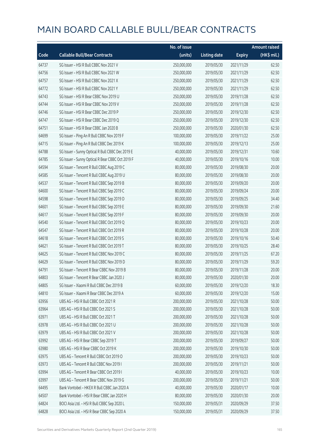|       |                                                  | No. of issue |                     |               | <b>Amount raised</b> |
|-------|--------------------------------------------------|--------------|---------------------|---------------|----------------------|
| Code  | <b>Callable Bull/Bear Contracts</b>              | (units)      | <b>Listing date</b> | <b>Expiry</b> | (HK\$ mil.)          |
| 64737 | SG Issuer - HSI R Bull CBBC Nov 2021 V           | 250,000,000  | 2019/05/30          | 2021/11/29    | 62.50                |
| 64756 | SG Issuer - HSI R Bull CBBC Nov 2021 W           | 250,000,000  | 2019/05/30          | 2021/11/29    | 62.50                |
| 64757 | SG Issuer - HSI R Bull CBBC Nov 2021 X           | 250,000,000  | 2019/05/30          | 2021/11/29    | 62.50                |
| 64772 | SG Issuer - HSI R Bull CBBC Nov 2021 Y           | 250,000,000  | 2019/05/30          | 2021/11/29    | 62.50                |
| 64743 | SG Issuer - HSI R Bear CBBC Nov 2019 U           | 250,000,000  | 2019/05/30          | 2019/11/28    | 62.50                |
| 64744 | SG Issuer - HSI R Bear CBBC Nov 2019 V           | 250,000,000  | 2019/05/30          | 2019/11/28    | 62.50                |
| 64746 | SG Issuer - HSI R Bear CBBC Dec 2019 P           | 250,000,000  | 2019/05/30          | 2019/12/30    | 62.50                |
| 64747 | SG Issuer - HSI R Bear CBBC Dec 2019 Q           | 250,000,000  | 2019/05/30          | 2019/12/30    | 62.50                |
| 64751 | SG Issuer - HSI R Bear CBBC Jan 2020 B           | 250,000,000  | 2019/05/30          | 2020/01/30    | 62.50                |
| 64699 | SG Issuer - Ping An R Bull CBBC Nov 2019 F       | 100,000,000  | 2019/05/30          | 2019/11/22    | 25.00                |
| 64715 | SG Issuer - Ping An R Bull CBBC Dec 2019 K       | 100,000,000  | 2019/05/30          | 2019/12/13    | 25.00                |
| 64788 | SG Issuer - Sunny Optical R Bull CBBC Dec 2019 E | 40,000,000   | 2019/05/30          | 2019/12/31    | 10.60                |
| 64785 | SG Issuer - Sunny Optical R Bear CBBC Oct 2019 F | 40,000,000   | 2019/05/30          | 2019/10/16    | 10.00                |
| 64594 | SG Issuer - Tencent R Bull CBBC Aug 2019 C       | 80,000,000   | 2019/05/30          | 2019/08/30    | 20.00                |
| 64585 | SG Issuer - Tencent R Bull CBBC Aug 2019 U       | 80,000,000   | 2019/05/30          | 2019/08/30    | 20.00                |
| 64537 | SG Issuer - Tencent R Bull CBBC Sep 2019 B       | 80,000,000   | 2019/05/30          | 2019/09/20    | 20.00                |
| 64600 | SG Issuer - Tencent R Bull CBBC Sep 2019 C       | 80,000,000   | 2019/05/30          | 2019/09/24    | 20.00                |
| 64598 | SG Issuer - Tencent R Bull CBBC Sep 2019 D       | 80,000,000   | 2019/05/30          | 2019/09/25    | 34.40                |
| 64601 | SG Issuer - Tencent R Bull CBBC Sep 2019 E       | 80,000,000   | 2019/05/30          | 2019/09/30    | 21.60                |
| 64617 | SG Issuer - Tencent R Bull CBBC Sep 2019 F       | 80,000,000   | 2019/05/30          | 2019/09/30    | 20.00                |
| 64540 | SG Issuer - Tencent R Bull CBBC Oct 2019 Q       | 80,000,000   | 2019/05/30          | 2019/10/23    | 20.00                |
| 64547 | SG Issuer - Tencent R Bull CBBC Oct 2019 R       | 80,000,000   | 2019/05/30          | 2019/10/28    | 20.00                |
| 64618 | SG Issuer - Tencent R Bull CBBC Oct 2019 S       | 80,000,000   | 2019/05/30          | 2019/10/16    | 50.40                |
| 64621 | SG Issuer - Tencent R Bull CBBC Oct 2019 T       | 80,000,000   | 2019/05/30          | 2019/10/25    | 28.40                |
| 64625 | SG Issuer - Tencent R Bull CBBC Nov 2019 C       | 80,000,000   | 2019/05/30          | 2019/11/25    | 67.20                |
| 64629 | SG Issuer - Tencent R Bull CBBC Nov 2019 D       | 80,000,000   | 2019/05/30          | 2019/11/29    | 59.20                |
| 64791 | SG Issuer - Tencent R Bear CBBC Nov 2019 B       | 80,000,000   | 2019/05/30          | 2019/11/28    | 20.00                |
| 64803 | SG Issuer - Tencent R Bear CBBC Jan 2020 J       | 80,000,000   | 2019/05/30          | 2020/01/30    | 20.00                |
| 64805 | SG Issuer - Xiaomi R Bull CBBC Dec 2019 B        | 60,000,000   | 2019/05/30          | 2019/12/20    | 18.30                |
| 64810 | SG Issuer - Xiaomi R Bear CBBC Dec 2019 A        | 60,000,000   | 2019/05/30          | 2019/12/20    | 15.00                |
| 63956 | UBS AG - HSI R Bull CBBC Oct 2021 R              | 200,000,000  | 2019/05/30          | 2021/10/28    | 50.00                |
| 63964 | UBS AG - HSI R Bull CBBC Oct 2021 S              | 200,000,000  | 2019/05/30          | 2021/10/28    | 50.00                |
| 63971 | UBS AG - HSI R Bull CBBC Oct 2021 T              | 200,000,000  | 2019/05/30          | 2021/10/28    | 50.00                |
| 63978 | UBS AG - HSI R Bull CBBC Oct 2021 U              | 200,000,000  | 2019/05/30          | 2021/10/28    | 50.00                |
| 63979 | UBS AG - HSI R Bull CBBC Oct 2021 V              | 200,000,000  | 2019/05/30          | 2021/10/28    | 50.00                |
| 63992 | UBS AG - HSI R Bear CBBC Sep 2019 T              | 200,000,000  | 2019/05/30          | 2019/09/27    | 50.00                |
| 63980 | UBS AG - HSI R Bear CBBC Oct 2019 K              | 200,000,000  | 2019/05/30          | 2019/10/30    | 50.00                |
| 63975 | UBS AG - Tencent R Bull CBBC Oct 2019 O          | 200,000,000  | 2019/05/30          | 2019/10/23    | 50.00                |
| 63973 | UBS AG - Tencent R Bull CBBC Nov 2019 I          | 200,000,000  | 2019/05/30          | 2019/11/21    | 50.00                |
| 63994 | UBS AG - Tencent R Bear CBBC Oct 2019 I          | 40,000,000   | 2019/05/30          | 2019/10/23    | 10.00                |
| 63997 | UBS AG - Tencent R Bear CBBC Nov 2019 G          | 200,000,000  | 2019/05/30          | 2019/11/21    | 50.00                |
| 64495 | Bank Vontobel - HKEX R Bull CBBC Jan 2020 A      | 40,000,000   | 2019/05/30          | 2020/01/17    | 10.00                |
| 64507 | Bank Vontobel - HSI R Bear CBBC Jan 2020 H       | 80,000,000   | 2019/05/30          | 2020/01/30    | 20.00                |
| 64824 | BOCI Asia Ltd. - HSI R Bull CBBC Sep 2020 L      | 150,000,000  | 2019/05/31          | 2020/09/29    | 37.50                |
| 64828 | BOCI Asia Ltd. - HSI R Bear CBBC Sep 2020 A      | 150,000,000  | 2019/05/31          | 2020/09/29    | 37.50                |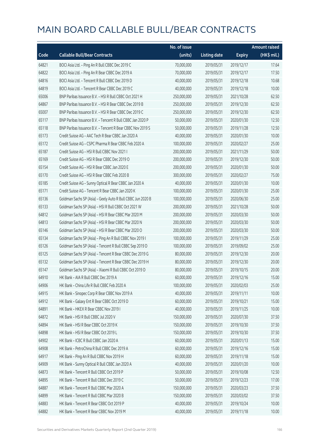|       |                                                             | No. of issue |                     |               | <b>Amount raised</b> |
|-------|-------------------------------------------------------------|--------------|---------------------|---------------|----------------------|
| Code  | <b>Callable Bull/Bear Contracts</b>                         | (units)      | <b>Listing date</b> | <b>Expiry</b> | (HK\$ mil.)          |
| 64821 | BOCI Asia Ltd. - Ping An R Bull CBBC Dec 2019 C             | 70,000,000   | 2019/05/31          | 2019/12/17    | 17.64                |
| 64822 | BOCI Asia Ltd. - Ping An R Bear CBBC Dec 2019 A             | 70,000,000   | 2019/05/31          | 2019/12/17    | 17.50                |
| 64816 | BOCI Asia Ltd. - Tencent R Bull CBBC Dec 2019 D             | 40,000,000   | 2019/05/31          | 2019/12/18    | 10.68                |
| 64819 | BOCI Asia Ltd. - Tencent R Bear CBBC Dec 2019 C             | 40,000,000   | 2019/05/31          | 2019/12/18    | 10.00                |
| 65006 | BNP Paribas Issuance B.V. - HSI R Bull CBBC Oct 2021 H      | 250,000,000  | 2019/05/31          | 2021/10/28    | 62.50                |
| 64867 | BNP Paribas Issuance B.V. - HSI R Bear CBBC Dec 2019 B      | 250,000,000  | 2019/05/31          | 2019/12/30    | 62.50                |
| 65007 | BNP Paribas Issuance B.V. - HSI R Bear CBBC Dec 2019 C      | 250,000,000  | 2019/05/31          | 2019/12/30    | 62.50                |
| 65117 | BNP Paribas Issuance B.V. - Tencent R Bull CBBC Jan 2020 P  | 50,000,000   | 2019/05/31          | 2020/01/30    | 12.50                |
| 65118 | BNP Paribas Issuance B.V. - Tencent R Bear CBBC Nov 2019 S  | 50,000,000   | 2019/05/31          | 2019/11/28    | 12.50                |
| 65173 | Credit Suisse AG - AAC Tech R Bear CBBC Jan 2020 A          | 40,000,000   | 2019/05/31          | 2020/01/30    | 10.00                |
| 65172 | Credit Suisse AG - CSPC Pharma R Bear CBBC Feb 2020 A       | 100,000,000  | 2019/05/31          | 2020/02/27    | 25.00                |
| 65187 | Credit Suisse AG - HSI R Bull CBBC Nov 2021 I               | 200,000,000  | 2019/05/31          | 2021/11/29    | 50.00                |
| 65169 | Credit Suisse AG - HSI R Bear CBBC Dec 2019 O               | 200,000,000  | 2019/05/31          | 2019/12/30    | 50.00                |
| 65154 | Credit Suisse AG - HSI R Bear CBBC Jan 2020 E               | 200,000,000  | 2019/05/31          | 2020/01/30    | 50.00                |
| 65170 | Credit Suisse AG - HSI R Bear CBBC Feb 2020 B               | 300,000,000  | 2019/05/31          | 2020/02/27    | 75.00                |
| 65185 | Credit Suisse AG - Sunny Optical R Bear CBBC Jan 2020 A     | 40,000,000   | 2019/05/31          | 2020/01/30    | 10.00                |
| 65171 | Credit Suisse AG - Tencent R Bear CBBC Jan 2020 K           | 100,000,000  | 2019/05/31          | 2020/01/30    | 25.00                |
| 65136 | Goldman Sachs SP (Asia) - Geely Auto R Bull CBBC Jun 2020 B | 100,000,000  | 2019/05/31          | 2020/06/30    | 25.00                |
| 65133 | Goldman Sachs SP (Asia) - HSI R Bull CBBC Oct 2021 W        | 200,000,000  | 2019/05/31          | 2021/10/28    | 50.00                |
| 64812 | Goldman Sachs SP (Asia) - HSI R Bear CBBC Mar 2020 M        | 200,000,000  | 2019/05/31          | 2020/03/30    | 50.00                |
| 64813 | Goldman Sachs SP (Asia) - HSI R Bear CBBC Mar 2020 N        | 200,000,000  | 2019/05/31          | 2020/03/30    | 50.00                |
| 65146 | Goldman Sachs SP (Asia) - HSI R Bear CBBC Mar 2020 O        | 200,000,000  | 2019/05/31          | 2020/03/30    | 50.00                |
| 65134 | Goldman Sachs SP (Asia) - Ping An R Bull CBBC Nov 2019 I    | 100,000,000  | 2019/05/31          | 2019/11/29    | 25.00                |
| 65126 | Goldman Sachs SP (Asia) - Tencent R Bull CBBC Sep 2019 D    | 100,000,000  | 2019/05/31          | 2019/09/02    | 25.00                |
| 65125 | Goldman Sachs SP (Asia) - Tencent R Bear CBBC Dec 2019 G    | 80,000,000   | 2019/05/31          | 2019/12/30    | 20.00                |
| 65132 | Goldman Sachs SP (Asia) - Tencent R Bear CBBC Dec 2019 H    | 80,000,000   | 2019/05/31          | 2019/12/30    | 20.00                |
| 65147 | Goldman Sachs SP (Asia) - Xiaomi R Bull CBBC Oct 2019 D     | 80,000,000   | 2019/05/31          | 2019/10/15    | 20.00                |
| 64910 | HK Bank - AIA R Bull CBBC Dec 2019 A                        | 60,000,000   | 2019/05/31          | 2019/12/16    | 15.00                |
| 64906 | HK Bank - China Life R Bull CBBC Feb 2020 A                 | 100,000,000  | 2019/05/31          | 2020/02/03    | 25.00                |
| 64915 | HK Bank - Sinopec Corp R Bear CBBC Nov 2019 A               | 40,000,000   | 2019/05/31          | 2019/11/11    | 10.00                |
| 64912 | HK Bank - Galaxy Ent R Bear CBBC Oct 2019 D                 | 60,000,000   | 2019/05/31          | 2019/10/21    | 15.00                |
| 64891 | HK Bank - HKEX R Bear CBBC Nov 2019 I                       | 40,000,000   | 2019/05/31          | 2019/11/25    | 10.00                |
| 64872 | HK Bank - HSI R Bull CBBC Jul 2020 V                        | 150,000,000  | 2019/05/31          | 2020/07/30    | 37.50                |
| 64894 | HK Bank - HSI R Bear CBBC Oct 2019 K                        | 150,000,000  | 2019/05/31          | 2019/10/30    | 37.50                |
| 64898 | HK Bank - HSI R Bear CBBC Oct 2019 L                        | 150,000,000  | 2019/05/31          | 2019/10/30    | 37.50                |
| 64902 | HK Bank - ICBC R Bull CBBC Jan 2020 A                       | 60,000,000   | 2019/05/31          | 2020/01/13    | 15.00                |
| 64908 | HK Bank - PetroChina R Bull CBBC Dec 2019 A                 | 60,000,000   | 2019/05/31          | 2019/12/16    | 15.00                |
| 64917 | HK Bank - Ping An R Bull CBBC Nov 2019 H                    | 60,000,000   | 2019/05/31          | 2019/11/18    | 15.00                |
| 64909 | HK Bank - Sunny Optical R Bull CBBC Jan 2020 A              | 40,000,000   | 2019/05/31          | 2020/01/20    | 10.00                |
| 64873 | HK Bank - Tencent R Bull CBBC Oct 2019 P                    | 50,000,000   | 2019/05/31          | 2019/10/08    | 12.50                |
| 64895 | HK Bank - Tencent R Bull CBBC Dec 2019 C                    | 50,000,000   | 2019/05/31          | 2019/12/23    | 17.00                |
| 64887 | HK Bank - Tencent R Bull CBBC Mar 2020 A                    | 150,000,000  | 2019/05/31          | 2020/03/23    | 37.50                |
| 64899 | HK Bank - Tencent R Bull CBBC Mar 2020 B                    | 150,000,000  | 2019/05/31          | 2020/03/02    | 37.50                |
| 64883 | HK Bank - Tencent R Bear CBBC Oct 2019 P                    | 40,000,000   | 2019/05/31          | 2019/10/24    | 10.00                |
| 64882 | HK Bank - Tencent R Bear CBBC Nov 2019 M                    | 40,000,000   | 2019/05/31          | 2019/11/18    | 10.00                |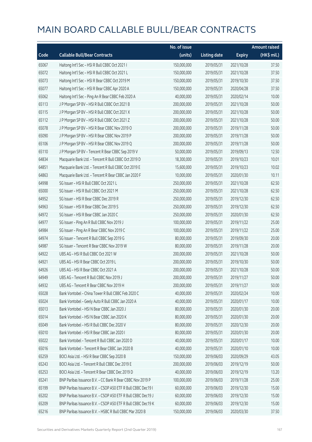|       |                                                              | No. of issue |                     |               | <b>Amount raised</b> |
|-------|--------------------------------------------------------------|--------------|---------------------|---------------|----------------------|
| Code  | <b>Callable Bull/Bear Contracts</b>                          | (units)      | <b>Listing date</b> | <b>Expiry</b> | (HK\$ mil.)          |
| 65067 | Haitong Int'l Sec - HSI R Bull CBBC Oct 2021 I               | 150,000,000  | 2019/05/31          | 2021/10/28    | 37.50                |
| 65072 | Haitong Int'l Sec - HSI R Bull CBBC Oct 2021 L               | 150,000,000  | 2019/05/31          | 2021/10/28    | 37.50                |
| 65073 | Haitong Int'l Sec - HSI R Bear CBBC Oct 2019 M               | 150,000,000  | 2019/05/31          | 2019/10/30    | 37.50                |
| 65077 | Haitong Int'l Sec - HSI R Bear CBBC Apr 2020 A               | 150,000,000  | 2019/05/31          | 2020/04/28    | 37.50                |
| 65062 | Haitong Int'l Sec - Ping An R Bear CBBC Feb 2020 A           | 40,000,000   | 2019/05/31          | 2020/02/14    | 10.00                |
| 65113 | J P Morgan SP BV - HSI R Bull CBBC Oct 2021 B                | 200,000,000  | 2019/05/31          | 2021/10/28    | 50.00                |
| 65115 | J P Morgan SP BV - HSI R Bull CBBC Oct 2021 X                | 200,000,000  | 2019/05/31          | 2021/10/28    | 50.00                |
| 65112 | J P Morgan SP BV - HSI R Bull CBBC Oct 2021 Z                | 200,000,000  | 2019/05/31          | 2021/10/28    | 50.00                |
| 65078 | J P Morgan SP BV - HSI R Bear CBBC Nov 2019 O                | 200,000,000  | 2019/05/31          | 2019/11/28    | 50.00                |
| 65090 | J P Morgan SP BV - HSI R Bear CBBC Nov 2019 P                | 200,000,000  | 2019/05/31          | 2019/11/28    | 50.00                |
| 65106 | J P Morgan SP BV - HSI R Bear CBBC Nov 2019 Q                | 200,000,000  | 2019/05/31          | 2019/11/28    | 50.00                |
| 65110 | J P Morgan SP BV - Tencent R Bear CBBC Sep 2019 V            | 50,000,000   | 2019/05/31          | 2019/09/13    | 12.50                |
| 64834 | Macquarie Bank Ltd. - Tencent R Bull CBBC Oct 2019 D         | 18,300,000   | 2019/05/31          | 2019/10/23    | 10.01                |
| 64851 | Macquarie Bank Ltd. - Tencent R Bull CBBC Oct 2019 E         | 15,600,000   | 2019/05/31          | 2019/10/23    | 10.02                |
| 64863 | Macquarie Bank Ltd. - Tencent R Bear CBBC Jan 2020 F         | 10,000,000   | 2019/05/31          | 2020/01/30    | 10.11                |
| 64998 | SG Issuer - HSI R Bull CBBC Oct 2021 L                       | 250,000,000  | 2019/05/31          | 2021/10/28    | 62.50                |
| 65000 | SG Issuer - HSI R Bull CBBC Oct 2021 M                       | 250,000,000  | 2019/05/31          | 2021/10/28    | 62.50                |
| 64952 | SG Issuer - HSI R Bear CBBC Dec 2019 R                       | 250,000,000  | 2019/05/31          | 2019/12/30    | 62.50                |
| 64963 | SG Issuer - HSI R Bear CBBC Dec 2019 S                       | 250,000,000  | 2019/05/31          | 2019/12/30    | 62.50                |
| 64972 | SG Issuer - HSI R Bear CBBC Jan 2020 C                       | 250,000,000  | 2019/05/31          | 2020/01/30    | 62.50                |
| 64977 | SG Issuer - Ping An R Bull CBBC Nov 2019 J                   | 100,000,000  | 2019/05/31          | 2019/11/22    | 25.00                |
| 64984 | SG Issuer - Ping An R Bear CBBC Nov 2019 C                   | 100,000,000  | 2019/05/31          | 2019/11/22    | 25.00                |
| 64974 | SG Issuer - Tencent R Bull CBBC Sep 2019 G                   | 80,000,000   | 2019/05/31          | 2019/09/30    | 20.00                |
| 64987 | SG Issuer - Tencent R Bear CBBC Nov 2019 W                   | 80,000,000   | 2019/05/31          | 2019/11/28    | 20.00                |
| 64922 | UBS AG - HSI R Bull CBBC Oct 2021 W                          | 200,000,000  | 2019/05/31          | 2021/10/28    | 50.00                |
| 64921 | UBS AG - HSI R Bear CBBC Oct 2019 L                          | 200,000,000  | 2019/05/31          | 2019/10/30    | 50.00                |
| 64926 | UBS AG - HSI R Bear CBBC Oct 2021 A                          | 200,000,000  | 2019/05/31          | 2021/10/28    | 50.00                |
| 64949 | UBS AG - Tencent R Bull CBBC Nov 2019 J                      | 200,000,000  | 2019/05/31          | 2019/11/27    | 50.00                |
| 64932 | UBS AG - Tencent R Bear CBBC Nov 2019 H                      | 200,000,000  | 2019/05/31          | 2019/11/27    | 50.00                |
| 65028 | Bank Vontobel - China Tower R Bull CBBC Feb 2020 C           | 40,000,000   | 2019/05/31          | 2020/02/24    | 10.00                |
| 65024 | Bank Vontobel - Geely Auto R Bull CBBC Jan 2020 A            | 40,000,000   | 2019/05/31          | 2020/01/17    | 10.00                |
| 65013 | Bank Vontobel - HSI N Bear CBBC Jan 2020 J                   | 80,000,000   | 2019/05/31          | 2020/01/30    | 20.00                |
| 65014 | Bank Vontobel - HSI N Bear CBBC Jan 2020 K                   | 80,000,000   | 2019/05/31          | 2020/01/30    | 20.00                |
| 65049 | Bank Vontobel - HSI R Bull CBBC Dec 2020 V                   | 80,000,000   | 2019/05/31          | 2020/12/30    | 20.00                |
| 65010 | Bank Vontobel - HSI R Bear CBBC Jan 2020 I                   | 80,000,000   | 2019/05/31          | 2020/01/30    | 20.00                |
| 65022 | Bank Vontobel - Tencent R Bull CBBC Jan 2020 D               | 40,000,000   | 2019/05/31          | 2020/01/17    | 10.00                |
| 65016 | Bank Vontobel - Tencent R Bear CBBC Jan 2020 B               | 40,000,000   | 2019/05/31          | 2020/01/10    | 10.00                |
| 65259 | BOCI Asia Ltd. - HSI R Bear CBBC Sep 2020 B                  | 150,000,000  | 2019/06/03          | 2020/09/29    | 43.05                |
| 65243 | BOCI Asia Ltd. - Tencent R Bull CBBC Dec 2019 E              | 200,000,000  | 2019/06/03          | 2019/12/19    | 50.00                |
| 65253 | BOCI Asia Ltd. - Tencent R Bear CBBC Dec 2019 D              | 40,000,000   | 2019/06/03          | 2019/12/19    | 13.20                |
| 65241 | BNP Paribas Issuance B.V. - CC Bank R Bear CBBC Nov 2019 P   | 100,000,000  | 2019/06/03          | 2019/11/28    | 25.00                |
| 65199 | BNP Paribas Issuance B.V. - CSOP A50 ETF R Bull CBBC Dec19 I | 60,000,000   | 2019/06/03          | 2019/12/30    | 15.00                |
| 65202 | BNP Paribas Issuance B.V. - CSOP A50 ETF R Bull CBBC Dec19 J | 60,000,000   | 2019/06/03          | 2019/12/30    | 15.00                |
| 65209 | BNP Paribas Issuance B.V. - CSOP A50 ETF R Bull CBBC Dec19 K | 60,000,000   | 2019/06/03          | 2019/12/30    | 15.00                |
| 65216 | BNP Paribas Issuance B.V. - HSBC R Bull CBBC Mar 2020 B      | 150,000,000  | 2019/06/03          | 2020/03/30    | 37.50                |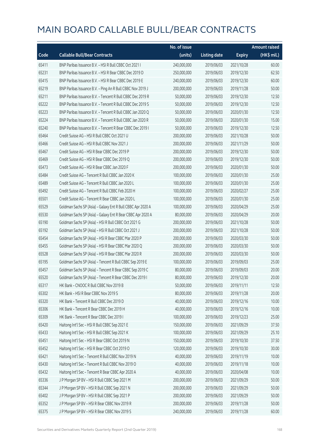|       |                                                             | No. of issue |                     |               | <b>Amount raised</b> |
|-------|-------------------------------------------------------------|--------------|---------------------|---------------|----------------------|
| Code  | <b>Callable Bull/Bear Contracts</b>                         | (units)      | <b>Listing date</b> | <b>Expiry</b> | $(HK\$ mil.)         |
| 65411 | BNP Paribas Issuance B.V. - HSI R Bull CBBC Oct 2021 I      | 240,000,000  | 2019/06/03          | 2021/10/28    | 60.00                |
| 65231 | BNP Paribas Issuance B.V. - HSI R Bear CBBC Dec 2019 D      | 250,000,000  | 2019/06/03          | 2019/12/30    | 62.50                |
| 65415 | BNP Paribas Issuance B.V. - HSI R Bear CBBC Dec 2019 E      | 240,000,000  | 2019/06/03          | 2019/12/30    | 60.00                |
| 65219 | BNP Paribas Issuance B.V. - Ping An R Bull CBBC Nov 2019 J  | 200,000,000  | 2019/06/03          | 2019/11/28    | 50.00                |
| 65211 | BNP Paribas Issuance B.V. - Tencent R Bull CBBC Dec 2019 R  | 50,000,000   | 2019/06/03          | 2019/12/30    | 12.50                |
| 65222 | BNP Paribas Issuance B.V. - Tencent R Bull CBBC Dec 2019 S  | 50,000,000   | 2019/06/03          | 2019/12/30    | 12.50                |
| 65223 | BNP Paribas Issuance B.V. - Tencent R Bull CBBC Jan 2020 Q  | 50,000,000   | 2019/06/03          | 2020/01/30    | 12.50                |
| 65224 | BNP Paribas Issuance B.V. - Tencent R Bull CBBC Jan 2020 R  | 50,000,000   | 2019/06/03          | 2020/01/30    | 15.00                |
| 65240 | BNP Paribas Issuance B.V. - Tencent R Bear CBBC Dec 2019 I  | 50,000,000   | 2019/06/03          | 2019/12/30    | 12.50                |
| 65464 | Credit Suisse AG - HSI R Bull CBBC Oct 2021 U               | 200,000,000  | 2019/06/03          | 2021/10/28    | 50.00                |
| 65466 | Credit Suisse AG - HSI R Bull CBBC Nov 2021 J               | 200,000,000  | 2019/06/03          | 2021/11/29    | 50.00                |
| 65467 | Credit Suisse AG - HSI R Bear CBBC Dec 2019 P               | 200,000,000  | 2019/06/03          | 2019/12/30    | 50.00                |
| 65469 | Credit Suisse AG - HSI R Bear CBBC Dec 2019 Q               | 200,000,000  | 2019/06/03          | 2019/12/30    | 50.00                |
| 65473 | Credit Suisse AG - HSI R Bear CBBC Jan 2020 F               | 200,000,000  | 2019/06/03          | 2020/01/30    | 50.00                |
| 65484 | Credit Suisse AG - Tencent R Bull CBBC Jan 2020 K           | 100,000,000  | 2019/06/03          | 2020/01/30    | 25.00                |
| 65489 | Credit Suisse AG - Tencent R Bull CBBC Jan 2020 L           | 100,000,000  | 2019/06/03          | 2020/01/30    | 25.00                |
| 65492 | Credit Suisse AG - Tencent R Bull CBBC Feb 2020 H           | 100,000,000  | 2019/06/03          | 2020/02/27    | 25.00                |
| 65501 | Credit Suisse AG - Tencent R Bear CBBC Jan 2020 L           | 100,000,000  | 2019/06/03          | 2020/01/30    | 25.00                |
| 65529 | Goldman Sachs SP (Asia) - Galaxy Ent R Bull CBBC Apr 2020 A | 100,000,000  | 2019/06/03          | 2020/04/29    | 25.00                |
| 65530 | Goldman Sachs SP (Asia) - Galaxy Ent R Bear CBBC Apr 2020 A | 80,000,000   | 2019/06/03          | 2020/04/29    | 20.00                |
| 65190 | Goldman Sachs SP (Asia) - HSI R Bull CBBC Oct 2021 G        | 200,000,000  | 2019/06/03          | 2021/10/28    | 50.00                |
| 65192 | Goldman Sachs SP (Asia) - HSI R Bull CBBC Oct 2021 J        | 200,000,000  | 2019/06/03          | 2021/10/28    | 50.00                |
| 65454 | Goldman Sachs SP (Asia) - HSI R Bear CBBC Mar 2020 P        | 200,000,000  | 2019/06/03          | 2020/03/30    | 50.00                |
| 65455 | Goldman Sachs SP (Asia) - HSI R Bear CBBC Mar 2020 Q        | 200,000,000  | 2019/06/03          | 2020/03/30    | 50.00                |
| 65528 | Goldman Sachs SP (Asia) - HSI R Bear CBBC Mar 2020 R        | 200,000,000  | 2019/06/03          | 2020/03/30    | 50.00                |
| 65195 | Goldman Sachs SP (Asia) - Tencent R Bull CBBC Sep 2019 E    | 100,000,000  | 2019/06/03          | 2019/09/03    | 25.00                |
| 65457 | Goldman Sachs SP (Asia) - Tencent R Bear CBBC Sep 2019 C    | 80,000,000   | 2019/06/03          | 2019/09/03    | 20.00                |
| 65520 | Goldman Sachs SP (Asia) - Tencent R Bear CBBC Dec 2019 I    | 80,000,000   | 2019/06/03          | 2019/12/30    | 20.00                |
| 65317 | HK Bank - CNOOC R Bull CBBC Nov 2019 B                      | 50,000,000   | 2019/06/03          | 2019/11/11    | 12.50                |
| 65302 | HK Bank - HSI R Bear CBBC Nov 2019 S                        | 80,000,000   | 2019/06/03          | 2019/11/28    | 20.00                |
| 65320 | HK Bank - Tencent R Bull CBBC Dec 2019 D                    | 40,000,000   | 2019/06/03          | 2019/12/16    | 10.00                |
| 65306 | HK Bank - Tencent R Bear CBBC Dec 2019 H                    | 40,000,000   | 2019/06/03          | 2019/12/16    | 10.00                |
| 65309 | HK Bank - Tencent R Bear CBBC Dec 2019 I                    | 100,000,000  | 2019/06/03          | 2019/12/23    | 25.00                |
| 65420 | Haitong Int'l Sec - HSI R Bull CBBC Sep 2021 E              | 150,000,000  | 2019/06/03          | 2021/09/29    | 37.50                |
| 65433 | Haitong Int'l Sec - HSI R Bull CBBC Sep 2021 K              | 100,000,000  | 2019/06/03          | 2021/09/29    | 25.10                |
| 65451 | Haitong Int'l Sec - HSI R Bear CBBC Oct 2019 N              | 150,000,000  | 2019/06/03          | 2019/10/30    | 37.50                |
| 65452 | Haitong Int'l Sec - HSI R Bear CBBC Oct 2019 O              | 120,000,000  | 2019/06/03          | 2019/10/30    | 30.00                |
| 65421 | Haitong Int'l Sec - Tencent R Bull CBBC Nov 2019 N          | 40,000,000   | 2019/06/03          | 2019/11/19    | 10.00                |
| 65430 | Haitong Int'l Sec - Tencent R Bull CBBC Nov 2019 O          | 40,000,000   | 2019/06/03          | 2019/11/18    | 10.00                |
| 65432 | Haitong Int'l Sec - Tencent R Bear CBBC Apr 2020 A          | 40,000,000   | 2019/06/03          | 2020/04/08    | 10.00                |
| 65336 | J P Morgan SP BV - HSI R Bull CBBC Sep 2021 M               | 200,000,000  | 2019/06/03          | 2021/09/29    | 50.00                |
| 65344 | J P Morgan SP BV - HSI R Bull CBBC Sep 2021 N               | 200,000,000  | 2019/06/03          | 2021/09/29    | 50.00                |
| 65402 | J P Morgan SP BV - HSI R Bull CBBC Sep 2021 P               | 200,000,000  | 2019/06/03          | 2021/09/29    | 50.00                |
| 65352 | J P Morgan SP BV - HSI R Bear CBBC Nov 2019 R               | 200,000,000  | 2019/06/03          | 2019/11/28    | 50.00                |
| 65375 | J P Morgan SP BV - HSI R Bear CBBC Nov 2019 S               | 240,000,000  | 2019/06/03          | 2019/11/28    | 60.00                |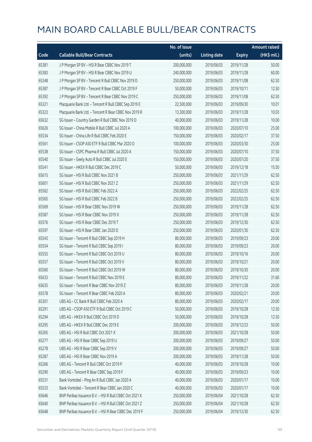|       |                                                        | No. of issue |                     |               | <b>Amount raised</b> |
|-------|--------------------------------------------------------|--------------|---------------------|---------------|----------------------|
| Code  | <b>Callable Bull/Bear Contracts</b>                    | (units)      | <b>Listing date</b> | <b>Expiry</b> | (HK\$ mil.)          |
| 65381 | J P Morgan SP BV - HSI R Bear CBBC Nov 2019 T          | 200,000,000  | 2019/06/03          | 2019/11/28    | 50.00                |
| 65383 | J P Morgan SP BV - HSI R Bear CBBC Nov 2019 U          | 240,000,000  | 2019/06/03          | 2019/11/28    | 60.00                |
| 65348 | J P Morgan SP BV - Tencent R Bull CBBC Nov 2019 D      | 250,000,000  | 2019/06/03          | 2019/11/08    | 62.50                |
| 65387 | J P Morgan SP BV - Tencent R Bear CBBC Oct 2019 F      | 50,000,000   | 2019/06/03          | 2019/10/11    | 12.50                |
| 65392 | J P Morgan SP BV - Tencent R Bear CBBC Nov 2019 C      | 250,000,000  | 2019/06/03          | 2019/11/08    | 62.50                |
| 65321 | Macquarie Bank Ltd. - Tencent R Bull CBBC Sep 2019 E   | 22,500,000   | 2019/06/03          | 2019/09/30    | 10.01                |
| 65323 | Macquarie Bank Ltd. - Tencent R Bear CBBC Nov 2019 R   | 13,300,000   | 2019/06/03          | 2019/11/28    | 10.03                |
| 65632 | SG Issuer - Country Garden R Bull CBBC Nov 2019 D      | 40,000,000   | 2019/06/03          | 2019/11/28    | 10.00                |
| 65626 | SG Issuer - China Mobile R Bull CBBC Jul 2020 A        | 100,000,000  | 2019/06/03          | 2020/07/10    | 25.00                |
| 65534 | SG Issuer - China Life R Bull CBBC Feb 2020 E          | 150,000,000  | 2019/06/03          | 2020/02/17    | 37.50                |
| 65561 | SG Issuer - CSOP A50 ETF R Bull CBBC Mar 2020 O        | 100,000,000  | 2019/06/03          | 2020/03/30    | 25.00                |
| 65538 | SG Issuer - CSPC Pharma R Bull CBBC Jul 2020 A         | 150,000,000  | 2019/06/03          | 2020/07/10    | 37.50                |
| 65540 | SG Issuer - Geely Auto R Bull CBBC Jul 2020 E          | 150,000,000  | 2019/06/03          | 2020/07/20    | 37.50                |
| 65541 | SG Issuer - HKEX R Bull CBBC Dec 2019 C                | 50,000,000   | 2019/06/03          | 2019/12/18    | 15.50                |
| 65615 | SG Issuer - HSI R Bull CBBC Nov 2021 B                 | 250,000,000  | 2019/06/03          | 2021/11/29    | 62.50                |
| 65601 | SG Issuer - HSI R Bull CBBC Nov 2021 Z                 | 250,000,000  | 2019/06/03          | 2021/11/29    | 62.50                |
| 65562 | SG Issuer - HSI R Bull CBBC Feb 2022 A                 | 250,000,000  | 2019/06/03          | 2022/02/25    | 62.50                |
| 65565 | SG Issuer - HSI R Bull CBBC Feb 2022 B                 | 250,000,000  | 2019/06/03          | 2022/02/25    | 62.50                |
| 65569 | SG Issuer - HSI R Bear CBBC Nov 2019 W                 | 250,000,000  | 2019/06/03          | 2019/11/28    | 62.50                |
| 65587 | SG Issuer - HSI R Bear CBBC Nov 2019 X                 | 250,000,000  | 2019/06/03          | 2019/11/28    | 62.50                |
| 65576 | SG Issuer - HSI R Bear CBBC Dec 2019 T                 | 250,000,000  | 2019/06/03          | 2019/12/30    | 62.50                |
| 65597 | SG Issuer - HSI R Bear CBBC Jan 2020 D                 | 250,000,000  | 2019/06/03          | 2020/01/30    | 62.50                |
| 65543 | SG Issuer - Tencent R Bull CBBC Sep 2019 H             | 80,000,000   | 2019/06/03          | 2019/09/23    | 20.00                |
| 65554 | SG Issuer - Tencent R Bull CBBC Sep 2019 I             | 80,000,000   | 2019/06/03          | 2019/09/23    | 20.00                |
| 65555 | SG Issuer - Tencent R Bull CBBC Oct 2019 U             | 80,000,000   | 2019/06/03          | 2019/10/16    | 20.00                |
| 65557 | SG Issuer - Tencent R Bull CBBC Oct 2019 V             | 80,000,000   | 2019/06/03          | 2019/10/21    | 20.00                |
| 65560 | SG Issuer - Tencent R Bull CBBC Oct 2019 W             | 80,000,000   | 2019/06/03          | 2019/10/30    | 20.00                |
| 65633 | SG Issuer - Tencent R Bull CBBC Nov 2019 E             | 80,000,000   | 2019/06/03          | 2019/11/22    | 31.60                |
| 65635 | SG Issuer - Tencent R Bear CBBC Nov 2019 Z             | 80,000,000   | 2019/06/03          | 2019/11/28    | 20.00                |
| 65578 | SG Issuer - Tencent R Bear CBBC Feb 2020 A             | 80,000,000   | 2019/06/03          | 2020/02/21    | 20.00                |
| 65301 | UBS AG - CC Bank R Bull CBBC Feb 2020 A                | 80,000,000   | 2019/06/03          | 2020/02/17    | 20.00                |
| 65291 | UBS AG - CSOP A50 ETF R Bull CBBC Oct 2019 C           | 50,000,000   | 2019/06/03          | 2019/10/28    | 12.50                |
| 65294 | UBS AG - HKEX R Bull CBBC Oct 2019 D                   | 50,000,000   | 2019/06/03          | 2019/10/28    | 12.50                |
| 65295 | UBS AG - HKEX R Bull CBBC Dec 2019 E                   | 200,000,000  | 2019/06/03          | 2019/12/23    | 50.00                |
| 65265 | UBS AG - HSI R Bull CBBC Oct 2021 X                    | 200,000,000  | 2019/06/03          | 2021/10/28    | 50.00                |
| 65277 | UBS AG - HSI R Bear CBBC Sep 2019 U                    | 200,000,000  | 2019/06/03          | 2019/09/27    | 50.00                |
| 65278 | UBS AG - HSI R Bear CBBC Sep 2019 V                    | 200,000,000  | 2019/06/03          | 2019/09/27    | 50.00                |
| 65287 | UBS AG - HSI R Bear CBBC Nov 2019 A                    | 200,000,000  | 2019/06/03          | 2019/11/28    | 50.00                |
| 65266 | UBS AG - Tencent R Bull CBBC Oct 2019 P                | 40,000,000   | 2019/06/03          | 2019/10/28    | 10.00                |
| 65290 | UBS AG - Tencent R Bear CBBC Sep 2019 F                | 40,000,000   | 2019/06/03          | 2019/09/23    | 10.00                |
| 65531 | Bank Vontobel - Ping An R Bull CBBC Jan 2020 A         | 40,000,000   | 2019/06/03          | 2020/01/17    | 10.00                |
| 65533 | Bank Vontobel - Tencent R Bear CBBC Jan 2020 C         | 40,000,000   | 2019/06/03          | 2020/01/17    | 10.00                |
| 65646 | BNP Paribas Issuance B.V. - HSI R Bull CBBC Oct 2021 K | 250,000,000  | 2019/06/04          | 2021/10/28    | 62.50                |
| 65640 | BNP Paribas Issuance B.V. - HSI R Bull CBBC Oct 2021 Z | 250,000,000  | 2019/06/04          | 2021/10/28    | 62.50                |
| 65648 | BNP Paribas Issuance B.V. - HSI R Bear CBBC Dec 2019 F | 250,000,000  | 2019/06/04          | 2019/12/30    | 62.50                |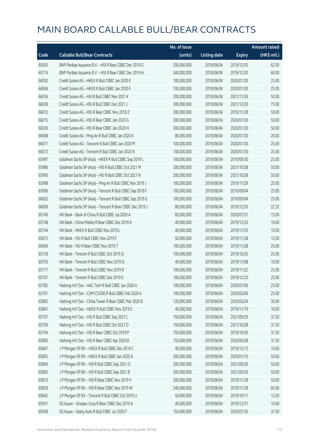|       |                                                          | No. of issue |                     |               | <b>Amount raised</b> |
|-------|----------------------------------------------------------|--------------|---------------------|---------------|----------------------|
| Code  | <b>Callable Bull/Bear Contracts</b>                      | (units)      | <b>Listing date</b> | <b>Expiry</b> | (HK\$ mil.)          |
| 65650 | BNP Paribas Issuance B.V. - HSI R Bear CBBC Dec 2019 G   | 250,000,000  | 2019/06/04          | 2019/12/30    | 62.50                |
| 65774 | BNP Paribas Issuance B.V. - HSI R Bear CBBC Dec 2019 H   | 240,000,000  | 2019/06/04          | 2019/12/30    | 60.00                |
| 66050 | Credit Suisse AG - HKEX R Bull CBBC Jan 2020 E           | 100,000,000  | 2019/06/04          | 2020/01/30    | 25.00                |
| 66066 | Credit Suisse AG - HKEX R Bull CBBC Jan 2020 F           | 100,000,000  | 2019/06/04          | 2020/01/30    | 25.00                |
| 66036 | Credit Suisse AG - HSI R Bull CBBC Nov 2021 K            | 200,000,000  | 2019/06/04          | 2021/11/29    | 50.00                |
| 66038 | Credit Suisse AG - HSI R Bull CBBC Dec 2021 J            | 300,000,000  | 2019/06/04          | 2021/12/30    | 75.00                |
| 66012 | Credit Suisse AG - HSI R Bear CBBC Nov 2019 Z            | 200,000,000  | 2019/06/04          | 2019/11/28    | 50.00                |
| 66015 | Credit Suisse AG - HSI R Bear CBBC Jan 2020 G            | 200,000,000  | 2019/06/04          | 2020/01/30    | 50.00                |
| 66026 | Credit Suisse AG - HSI R Bear CBBC Jan 2020 H            | 200,000,000  | 2019/06/04          | 2020/01/30    | 50.00                |
| 66068 | Credit Suisse AG - Ping An R Bull CBBC Jan 2020 K        | 80,000,000   | 2019/06/04          | 2020/01/30    | 20.00                |
| 66071 | Credit Suisse AG - Tencent R Bull CBBC Jan 2020 M        | 100,000,000  | 2019/06/04          | 2020/01/30    | 25.00                |
| 66073 | Credit Suisse AG - Tencent R Bull CBBC Jan 2020 N        | 100,000,000  | 2019/06/04          | 2020/01/30    | 25.00                |
| 65997 | Goldman Sachs SP (Asia) - HKEX R Bull CBBC Sep 2019 L    | 100,000,000  | 2019/06/04          | 2019/09/30    | 25.00                |
| 65986 | Goldman Sachs SP (Asia) - HSI R Bull CBBC Oct 2021 M     | 200,000,000  | 2019/06/04          | 2021/10/28    | 50.00                |
| 65995 | Goldman Sachs SP (Asia) - HSI R Bull CBBC Oct 2021 N     | 200,000,000  | 2019/06/04          | 2021/10/28    | 50.00                |
| 65998 | Goldman Sachs SP (Asia) - Ping An R Bull CBBC Nov 2019 J | 100,000,000  | 2019/06/04          | 2019/11/29    | 25.00                |
| 65996 | Goldman Sachs SP (Asia) - Tencent R Bull CBBC Sep 2019 F | 100,000,000  | 2019/06/04          | 2019/09/04    | 25.00                |
| 66002 | Goldman Sachs SP (Asia) - Tencent R Bull CBBC Sep 2019 G | 100,000,000  | 2019/06/04          | 2019/09/04    | 25.00                |
| 66009 | Goldman Sachs SP (Asia) - Tencent R Bear CBBC Dec 2019 J | 80,000,000   | 2019/06/04          | 2019/12/30    | 22.32                |
| 65749 | HK Bank - Bank of China R Bull CBBC Jul 2020 A           | 60,000,000   | 2019/06/04          | 2020/07/31    | 15.00                |
| 65748 | HK Bank - China Mobile R Bear CBBC Dec 2019 A            | 40,000,000   | 2019/06/04          | 2019/12/23    | 10.00                |
| 65744 | HK Bank - HKEX R Bull CBBC Nov 2019 L                    | 40,000,000   | 2019/06/04          | 2019/11/25    | 10.00                |
| 65675 | HK Bank - HSI R Bull CBBC Nov 2019 F                     | 50,000,000   | 2019/06/04          | 2019/11/28    | 12.50                |
| 65696 | HK Bank - HSI R Bear CBBC Nov 2019 T                     | 100,000,000  | 2019/06/04          | 2019/11/28    | 25.00                |
| 65739 | HK Bank - Tencent R Bull CBBC Oct 2019 Q                 | 100,000,000  | 2019/06/04          | 2019/10/25    | 25.00                |
| 65703 | HK Bank - Tencent R Bull CBBC Nov 2019 Q                 | 40,000,000   | 2019/06/04          | 2019/11/08    | 10.00                |
| 65717 | HK Bank - Tencent R Bull CBBC Nov 2019 R                 | 100,000,000  | 2019/06/04          | 2019/11/22    | 25.00                |
| 65707 | HK Bank - Tencent R Bull CBBC Dec 2019 E                 | 100,000,000  | 2019/06/04          | 2019/12/20    | 25.00                |
| 65782 | Haitong Int'l Sec - AAC Tech R Bull CBBC Jan 2020 A      | 100,000,000  | 2019/06/04          | 2020/01/06    | 25.00                |
| 65791 | Haitong Int'l Sec - CAM CSI300 R Bull CBBC Feb 2020 A    | 100,000,000  | 2019/06/04          | 2020/02/06    | 25.00                |
| 65802 | Haitong Int'l Sec - China Tower R Bear CBBC Mar 2020 B   | 120,000,000  | 2019/06/04          | 2020/03/24    | 30.00                |
| 65801 | Haitong Int'l Sec - HKEX R Bull CBBC Nov 2019 E          | 40,000,000   | 2019/06/04          | 2019/11/19    | 10.00                |
| 65797 | Haitong Int'l Sec - HSI R Bull CBBC Sep 2021 L           | 150,000,000  | 2019/06/04          | 2021/09/29    | 37.50                |
| 65799 | Haitong Int'l Sec - HSI R Bull CBBC Oct 2021 O           | 150,000,000  | 2019/06/04          | 2021/10/28    | 37.50                |
| 65794 | Haitong Int'l Sec - HSI R Bear CBBC Oct 2019 P           | 150,000,000  | 2019/06/04          | 2019/10/30    | 37.50                |
| 65800 | Haitong Int'l Sec - HSI R Bear CBBC Apr 2020 B           | 150,000,000  | 2019/06/04          | 2020/04/28    | 37.50                |
| 65847 | J P Morgan SP BV - HKEX R Bull CBBC Dec 2019 C           | 40,000,000   | 2019/06/04          | 2019/12/13    | 10.00                |
| 65855 | J P Morgan SP BV - HKEX R Bull CBBC Jan 2020 A           | 200,000,000  | 2019/06/04          | 2020/01/10    | 50.00                |
| 65804 | J P Morgan SP BV - HSI R Bull CBBC Sep 2021 Q            | 200,000,000  | 2019/06/04          | 2021/09/29    | 50.00                |
| 65805 | J P Morgan SP BV - HSI R Bull CBBC Sep 2021 R            | 200,000,000  | 2019/06/04          | 2021/09/29    | 50.00                |
| 65813 | J P Morgan SP BV - HSI R Bear CBBC Nov 2019 V            | 200,000,000  | 2019/06/04          | 2019/11/28    | 50.00                |
| 65839 | J P Morgan SP BV - HSI R Bear CBBC Nov 2019 W            | 240,000,000  | 2019/06/04          | 2019/11/28    | 60.00                |
| 65842 | J P Morgan SP BV - Tencent R Bull CBBC Oct 2019 U        | 50,000,000   | 2019/06/04          | 2019/10/11    | 12.50                |
| 65931 | SG Issuer - Sinopec Corp R Bear CBBC Dec 2019 A          | 40,000,000   | 2019/06/04          | 2019/12/31    | 10.00                |
| 65938 | SG Issuer - Geely Auto R Bull CBBC Jul 2020 F            | 150,000,000  | 2019/06/04          | 2020/07/30    | 37.50                |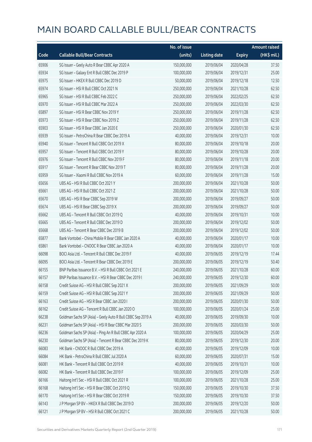|       |                                                             | No. of issue |                     |               | <b>Amount raised</b> |
|-------|-------------------------------------------------------------|--------------|---------------------|---------------|----------------------|
| Code  | <b>Callable Bull/Bear Contracts</b>                         | (units)      | <b>Listing date</b> | <b>Expiry</b> | (HK\$ mil.)          |
| 65906 | SG Issuer - Geely Auto R Bear CBBC Apr 2020 A               | 150,000,000  | 2019/06/04          | 2020/04/28    | 37.50                |
| 65934 | SG Issuer - Galaxy Ent R Bull CBBC Dec 2019 P               | 100,000,000  | 2019/06/04          | 2019/12/31    | 25.00                |
| 65975 | SG Issuer - HKEX R Bull CBBC Dec 2019 D                     | 50,000,000   | 2019/06/04          | 2019/12/18    | 12.50                |
| 65974 | SG Issuer - HSI R Bull CBBC Oct 2021 N                      | 250,000,000  | 2019/06/04          | 2021/10/28    | 62.50                |
| 65965 | SG Issuer - HSI R Bull CBBC Feb 2022 C                      | 250,000,000  | 2019/06/04          | 2022/02/25    | 62.50                |
| 65970 | SG Issuer - HSI R Bull CBBC Mar 2022 A                      | 250,000,000  | 2019/06/04          | 2022/03/30    | 62.50                |
| 65897 | SG Issuer - HSI R Bear CBBC Nov 2019 Y                      | 250,000,000  | 2019/06/04          | 2019/11/28    | 62.50                |
| 65973 | SG Issuer - HSI R Bear CBBC Nov 2019 Z                      | 250,000,000  | 2019/06/04          | 2019/11/28    | 62.50                |
| 65903 | SG Issuer - HSI R Bear CBBC Jan 2020 E                      | 250,000,000  | 2019/06/04          | 2020/01/30    | 62.50                |
| 65939 | SG Issuer - PetroChina R Bear CBBC Dec 2019 A               | 40,000,000   | 2019/06/04          | 2019/12/31    | 10.00                |
| 65940 | SG Issuer - Tencent R Bull CBBC Oct 2019 X                  | 80,000,000   | 2019/06/04          | 2019/10/18    | 20.00                |
| 65957 | SG Issuer - Tencent R Bull CBBC Oct 2019 Y                  | 80,000,000   | 2019/06/04          | 2019/10/28    | 20.00                |
| 65976 | SG Issuer - Tencent R Bull CBBC Nov 2019 F                  | 80,000,000   | 2019/06/04          | 2019/11/18    | 20.00                |
| 65917 | SG Issuer - Tencent R Bear CBBC Nov 2019 T                  | 80,000,000   | 2019/06/04          | 2019/11/28    | 20.00                |
| 65959 | SG Issuer - Xiaomi R Bull CBBC Nov 2019 A                   | 60,000,000   | 2019/06/04          | 2019/11/28    | 15.00                |
| 65656 | UBS AG - HSI R Bull CBBC Oct 2021 Y                         | 200,000,000  | 2019/06/04          | 2021/10/28    | 50.00                |
| 65661 | UBS AG - HSI R Bull CBBC Oct 2021 Z                         | 200,000,000  | 2019/06/04          | 2021/10/28    | 50.00                |
| 65670 | UBS AG - HSI R Bear CBBC Sep 2019 W                         | 200,000,000  | 2019/06/04          | 2019/09/27    | 50.00                |
| 65674 | UBS AG - HSI R Bear CBBC Sep 2019 X                         | 200,000,000  | 2019/06/04          | 2019/09/27    | 50.00                |
| 65662 | UBS AG - Tencent R Bull CBBC Oct 2019 Q                     | 40,000,000   | 2019/06/04          | 2019/10/31    | 10.00                |
| 65665 | UBS AG - Tencent R Bull CBBC Dec 2019 D                     | 200,000,000  | 2019/06/04          | 2019/12/02    | 50.00                |
| 65668 | UBS AG - Tencent R Bear CBBC Dec 2019 B                     | 200,000,000  | 2019/06/04          | 2019/12/02    | 50.00                |
| 65877 | Bank Vontobel - China Mobile R Bear CBBC Jan 2020 A         | 40,000,000   | 2019/06/04          | 2020/01/17    | 10.00                |
| 65861 | Bank Vontobel - CNOOC R Bear CBBC Jan 2020 A                | 40,000,000   | 2019/06/04          | 2020/01/17    | 10.00                |
| 66098 | BOCI Asia Ltd. - Tencent R Bull CBBC Dec 2019 F             | 40,000,000   | 2019/06/05          | 2019/12/19    | 17.44                |
| 66095 | BOCI Asia Ltd. - Tencent R Bear CBBC Dec 2019 E             | 200,000,000  | 2019/06/05          | 2019/12/19    | 50.40                |
| 66155 | BNP Paribas Issuance B.V. - HSI R Bull CBBC Oct 2021 E      | 240,000,000  | 2019/06/05          | 2021/10/28    | 60.00                |
| 66157 | BNP Paribas Issuance B.V. - HSI R Bear CBBC Dec 2019 I      | 240,000,000  | 2019/06/05          | 2019/12/30    | 60.00                |
| 66158 | Credit Suisse AG - HSI R Bull CBBC Sep 2021 X               | 200,000,000  | 2019/06/05          | 2021/09/29    | 50.00                |
| 66159 | Credit Suisse AG - HSI R Bull CBBC Sep 2021 Y               | 200,000,000  | 2019/06/05          | 2021/09/29    | 50.00                |
| 66163 | Credit Suisse AG - HSI R Bear CBBC Jan 2020 I               | 200,000,000  | 2019/06/05          | 2020/01/30    | 50.00                |
| 66162 | Credit Suisse AG - Tencent R Bull CBBC Jan 2020 O           | 100,000,000  | 2019/06/05          | 2020/01/24    | 25.00                |
| 66238 | Goldman Sachs SP (Asia) - Geely Auto R Bull CBBC Sep 2019 A | 40,000,000   | 2019/06/05          | 2019/09/30    | 10.00                |
| 66231 | Goldman Sachs SP (Asia) - HSI R Bear CBBC Mar 2020 S        | 200,000,000  | 2019/06/05          | 2020/03/30    | 50.00                |
| 66236 | Goldman Sachs SP (Asia) - Ping An R Bull CBBC Apr 2020 A    | 100,000,000  | 2019/06/05          | 2020/04/29    | 25.00                |
| 66230 | Goldman Sachs SP (Asia) - Tencent R Bear CBBC Dec 2019 K    | 80,000,000   | 2019/06/05          | 2019/12/30    | 20.00                |
| 66083 | HK Bank - CNOOC R Bull CBBC Dec 2019 A                      | 40,000,000   | 2019/06/05          | 2019/12/09    | 10.00                |
| 66084 | HK Bank - PetroChina R Bull CBBC Jul 2020 A                 | 60,000,000   | 2019/06/05          | 2020/07/31    | 15.00                |
| 66081 | HK Bank - Tencent R Bull CBBC Oct 2019 R                    | 40,000,000   | 2019/06/05          | 2019/10/31    | 10.00                |
| 66082 | HK Bank - Tencent R Bull CBBC Dec 2019 F                    | 100,000,000  | 2019/06/05          | 2019/12/09    | 25.00                |
| 66166 | Haitong Int'l Sec - HSI R Bull CBBC Oct 2021 R              | 100,000,000  | 2019/06/05          | 2021/10/28    | 25.00                |
| 66168 | Haitong Int'l Sec - HSI R Bear CBBC Oct 2019 Q              | 150,000,000  | 2019/06/05          | 2019/10/30    | 37.50                |
| 66170 | Haitong Int'l Sec - HSI R Bear CBBC Oct 2019 R              | 150,000,000  | 2019/06/05          | 2019/10/30    | 37.50                |
| 66143 | J P Morgan SP BV - HKEX R Bull CBBC Dec 2019 D              | 200,000,000  | 2019/06/05          | 2019/12/20    | 50.00                |
| 66121 | J P Morgan SP BV - HSI R Bull CBBC Oct 2021 C               | 200,000,000  | 2019/06/05          | 2021/10/28    | 50.00                |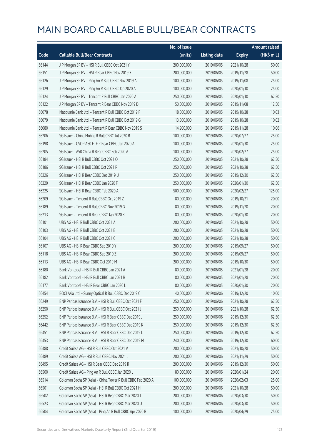|       |                                                              | No. of issue |                     |               | <b>Amount raised</b> |
|-------|--------------------------------------------------------------|--------------|---------------------|---------------|----------------------|
| Code  | <b>Callable Bull/Bear Contracts</b>                          | (units)      | <b>Listing date</b> | <b>Expiry</b> | (HK\$ mil.)          |
| 66144 | J P Morgan SP BV - HSI R Bull CBBC Oct 2021 Y                | 200,000,000  | 2019/06/05          | 2021/10/28    | 50.00                |
| 66151 | J P Morgan SP BV - HSI R Bear CBBC Nov 2019 X                | 200,000,000  | 2019/06/05          | 2019/11/28    | 50.00                |
| 66126 | J P Morgan SP BV - Ping An R Bull CBBC Nov 2019 A            | 100,000,000  | 2019/06/05          | 2019/11/08    | 25.00                |
| 66129 | J P Morgan SP BV - Ping An R Bull CBBC Jan 2020 A            | 100,000,000  | 2019/06/05          | 2020/01/10    | 25.00                |
| 66124 | J P Morgan SP BV - Tencent R Bull CBBC Jan 2020 A            | 250,000,000  | 2019/06/05          | 2020/01/10    | 62.50                |
| 66122 | J P Morgan SP BV - Tencent R Bear CBBC Nov 2019 D            | 50,000,000   | 2019/06/05          | 2019/11/08    | 12.50                |
| 66078 | Macquarie Bank Ltd. - Tencent R Bull CBBC Oct 2019 F         | 18,500,000   | 2019/06/05          | 2019/10/28    | 10.03                |
| 66079 | Macquarie Bank Ltd. - Tencent R Bull CBBC Oct 2019 G         | 13,800,000   | 2019/06/05          | 2019/10/28    | 10.02                |
| 66080 | Macquarie Bank Ltd. - Tencent R Bear CBBC Nov 2019 S         | 14,900,000   | 2019/06/05          | 2019/11/28    | 10.06                |
| 66206 | SG Issuer - China Mobile R Bull CBBC Jul 2020 B              | 100,000,000  | 2019/06/05          | 2020/07/27    | 25.00                |
| 66198 | SG Issuer - CSOP A50 ETF R Bear CBBC Jan 2020 A              | 100,000,000  | 2019/06/05          | 2020/01/30    | 25.00                |
| 66205 | SG Issuer - A50 China R Bear CBBC Feb 2020 A                 | 100,000,000  | 2019/06/05          | 2020/02/27    | 25.00                |
| 66184 | SG Issuer - HSI R Bull CBBC Oct 2021 O                       | 250,000,000  | 2019/06/05          | 2021/10/28    | 62.50                |
| 66186 | SG Issuer - HSI R Bull CBBC Oct 2021 P                       | 250,000,000  | 2019/06/05          | 2021/10/28    | 62.50                |
| 66226 | SG Issuer - HSI R Bear CBBC Dec 2019 U                       | 250,000,000  | 2019/06/05          | 2019/12/30    | 62.50                |
| 66229 | SG Issuer - HSI R Bear CBBC Jan 2020 F                       | 250,000,000  | 2019/06/05          | 2020/01/30    | 62.50                |
| 66225 | SG Issuer - HSI R Bear CBBC Feb 2020 A                       | 500,000,000  | 2019/06/05          | 2020/02/27    | 125.00               |
| 66209 | SG Issuer - Tencent R Bull CBBC Oct 2019 Z                   | 80,000,000   | 2019/06/05          | 2019/10/21    | 20.00                |
| 66189 | SG Issuer - Tencent R Bull CBBC Nov 2019 G                   | 80,000,000   | 2019/06/05          | 2019/11/20    | 20.00                |
| 66213 | SG Issuer - Tencent R Bear CBBC Jan 2020 K                   | 80,000,000   | 2019/06/05          | 2020/01/30    | 20.00                |
| 66101 | UBS AG - HSI R Bull CBBC Oct 2021 A                          | 200,000,000  | 2019/06/05          | 2021/10/28    | 50.00                |
| 66103 | UBS AG - HSI R Bull CBBC Oct 2021 B                          | 200,000,000  | 2019/06/05          | 2021/10/28    | 50.00                |
| 66104 | UBS AG - HSI R Bull CBBC Oct 2021 C                          | 200,000,000  | 2019/06/05          | 2021/10/28    | 50.00                |
| 66107 | UBS AG - HSI R Bear CBBC Sep 2019 Y                          | 200,000,000  | 2019/06/05          | 2019/09/27    | 50.00                |
| 66118 | UBS AG - HSI R Bear CBBC Sep 2019 Z                          | 200,000,000  | 2019/06/05          | 2019/09/27    | 50.00                |
| 66113 | UBS AG - HSI R Bear CBBC Oct 2019 M                          | 200,000,000  | 2019/06/05          | 2019/10/30    | 50.00                |
| 66180 | Bank Vontobel - HSI R Bull CBBC Jan 2021 A                   | 80,000,000   | 2019/06/05          | 2021/01/28    | 20.00                |
| 66182 | Bank Vontobel - HSI R Bull CBBC Jan 2021 B                   | 80,000,000   | 2019/06/05          | 2021/01/28    | 20.00                |
| 66177 | Bank Vontobel - HSI R Bear CBBC Jan 2020 L                   | 80,000,000   | 2019/06/05          | 2020/01/30    | 20.00                |
| 66454 | BOCI Asia Ltd. - Sunny Optical R Bull CBBC Dec 2019 C        | 40,000,000   | 2019/06/06          | 2019/12/20    | 10.00                |
| 66249 | BNP Paribas Issuance B.V. - HSI R Bull CBBC Oct 2021 F       | 250,000,000  | 2019/06/06          | 2021/10/28    | 62.50                |
| 66250 | BNP Paribas Issuance B.V. - HSI R Bull CBBC Oct 2021 J       | 250,000,000  | 2019/06/06          | 2021/10/28    | 62.50                |
| 66252 | BNP Paribas Issuance B.V. - HSI R Bear CBBC Dec 2019 J       | 250,000,000  | 2019/06/06          | 2019/12/30    | 62.50                |
| 66442 | BNP Paribas Issuance B.V. - HSI R Bear CBBC Dec 2019 K       | 250,000,000  | 2019/06/06          | 2019/12/30    | 62.50                |
| 66451 | BNP Paribas Issuance B.V. - HSI R Bear CBBC Dec 2019 L       | 250,000,000  | 2019/06/06          | 2019/12/30    | 62.50                |
| 66453 | BNP Paribas Issuance B.V. - HSI R Bear CBBC Dec 2019 M       | 240,000,000  | 2019/06/06          | 2019/12/30    | 60.00                |
| 66488 | Credit Suisse AG - HSI R Bull CBBC Oct 2021 V                | 200,000,000  | 2019/06/06          | 2021/10/28    | 50.00                |
| 66489 | Credit Suisse AG - HSI R Bull CBBC Nov 2021 L                | 200,000,000  | 2019/06/06          | 2021/11/29    | 50.00                |
| 66495 | Credit Suisse AG - HSI R Bear CBBC Dec 2019 R                | 200,000,000  | 2019/06/06          | 2019/12/30    | 50.00                |
| 66500 | Credit Suisse AG - Ping An R Bull CBBC Jan 2020 L            | 80,000,000   | 2019/06/06          | 2020/01/24    | 20.00                |
| 66514 | Goldman Sachs SP (Asia) - China Tower R Bull CBBC Feb 2020 A | 100,000,000  | 2019/06/06          | 2020/02/03    | 25.00                |
| 66501 | Goldman Sachs SP (Asia) - HSI R Bull CBBC Oct 2021 H         | 200,000,000  | 2019/06/06          | 2021/10/28    | 50.00                |
| 66502 | Goldman Sachs SP (Asia) - HSI R Bear CBBC Mar 2020 T         | 200,000,000  | 2019/06/06          | 2020/03/30    | 50.00                |
| 66523 | Goldman Sachs SP (Asia) - HSI R Bear CBBC Mar 2020 U         | 200,000,000  | 2019/06/06          | 2020/03/30    | 50.00                |
| 66504 | Goldman Sachs SP (Asia) - Ping An R Bull CBBC Apr 2020 B     | 100,000,000  | 2019/06/06          | 2020/04/29    | 25.00                |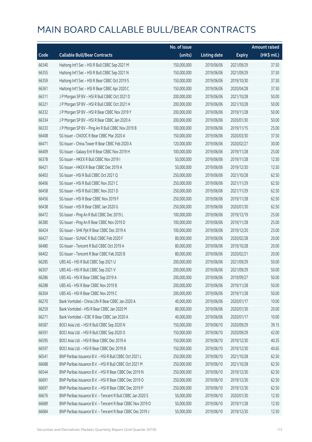|       |                                                            | No. of issue |                     |               | <b>Amount raised</b> |
|-------|------------------------------------------------------------|--------------|---------------------|---------------|----------------------|
| Code  | <b>Callable Bull/Bear Contracts</b>                        | (units)      | <b>Listing date</b> | <b>Expiry</b> | (HK\$ mil.)          |
| 66340 | Haitong Int'l Sec - HSI R Bull CBBC Sep 2021 M             | 150,000,000  | 2019/06/06          | 2021/09/29    | 37.50                |
| 66355 | Haitong Int'l Sec - HSI R Bull CBBC Sep 2021 N             | 150,000,000  | 2019/06/06          | 2021/09/29    | 37.50                |
| 66359 | Haitong Int'l Sec - HSI R Bear CBBC Oct 2019 S             | 150,000,000  | 2019/06/06          | 2019/10/30    | 37.50                |
| 66361 | Haitong Int'l Sec - HSI R Bear CBBC Apr 2020 C             | 150,000,000  | 2019/06/06          | 2020/04/28    | 37.50                |
| 66311 | J P Morgan SP BV - HSI R Bull CBBC Oct 2021 D              | 200,000,000  | 2019/06/06          | 2021/10/28    | 50.00                |
| 66321 | J P Morgan SP BV - HSI R Bull CBBC Oct 2021 H              | 200,000,000  | 2019/06/06          | 2021/10/28    | 50.00                |
| 66332 | J P Morgan SP BV - HSI R Bear CBBC Nov 2019 Y              | 200,000,000  | 2019/06/06          | 2019/11/28    | 50.00                |
| 66334 | J P Morgan SP BV - HSI R Bear CBBC Jan 2020 A              | 200,000,000  | 2019/06/06          | 2020/01/30    | 50.00                |
| 66333 | J P Morgan SP BV - Ping An R Bull CBBC Nov 2019 B          | 100,000,000  | 2019/06/06          | 2019/11/15    | 25.00                |
| 66408 | SG Issuer - CNOOC R Bear CBBC Mar 2020 A                   | 150,000,000  | 2019/06/06          | 2020/03/30    | 37.50                |
| 66471 | SG Issuer - China Tower R Bear CBBC Feb 2020 A             | 120,000,000  | 2019/06/06          | 2020/02/27    | 30.00                |
| 66409 | SG Issuer - Galaxy Ent R Bear CBBC Nov 2019 H              | 100,000,000  | 2019/06/06          | 2019/11/28    | 25.00                |
| 66378 | SG Issuer - HKEX R Bull CBBC Nov 2019 I                    | 50,000,000   | 2019/06/06          | 2019/11/28    | 12.50                |
| 66421 | SG Issuer - HKEX R Bear CBBC Dec 2019 A                    | 50,000,000   | 2019/06/06          | 2019/12/30    | 12.50                |
| 66403 | SG Issuer - HSI R Bull CBBC Oct 2021 Q                     | 250,000,000  | 2019/06/06          | 2021/10/28    | 62.50                |
| 66406 | SG Issuer - HSI R Bull CBBC Nov 2021 C                     | 250,000,000  | 2019/06/06          | 2021/11/29    | 62.50                |
| 66458 | SG Issuer - HSI R Bull CBBC Nov 2021 D                     | 250,000,000  | 2019/06/06          | 2021/11/29    | 62.50                |
| 66456 | SG Issuer - HSI R Bear CBBC Nov 2019 F                     | 250,000,000  | 2019/06/06          | 2019/11/28    | 62.50                |
| 66438 | SG Issuer - HSI R Bear CBBC Jan 2020 G                     | 250,000,000  | 2019/06/06          | 2020/01/30    | 62.50                |
| 66472 | SG Issuer - Ping An R Bull CBBC Dec 2019 L                 | 100,000,000  | 2019/06/06          | 2019/12/19    | 25.00                |
| 66380 | SG Issuer - Ping An R Bear CBBC Nov 2019 D                 | 100,000,000  | 2019/06/06          | 2019/11/28    | 25.00                |
| 66424 | SG Issuer - SHK Ppt R Bear CBBC Dec 2019 A                 | 100,000,000  | 2019/06/06          | 2019/12/20    | 25.00                |
| 66427 | SG Issuer - SUNAC R Bull CBBC Feb 2020 F                   | 80,000,000   | 2019/06/06          | 2020/02/28    | 20.00                |
| 66480 | SG Issuer - Tencent R Bull CBBC Oct 2019 A                 | 80,000,000   | 2019/06/06          | 2019/10/28    | 20.00                |
| 66402 | SG Issuer - Tencent R Bear CBBC Feb 2020 B                 | 80,000,000   | 2019/06/06          | 2020/02/21    | 20.00                |
| 66285 | UBS AG - HSI R Bull CBBC Sep 2021 U                        | 200,000,000  | 2019/06/06          | 2021/09/29    | 50.00                |
| 66307 | UBS AG - HSI R Bull CBBC Sep 2021 V                        | 200,000,000  | 2019/06/06          | 2021/09/29    | 50.00                |
| 66286 | UBS AG - HSI R Bear CBBC Sep 2019 A                        | 200,000,000  | 2019/06/06          | 2019/09/27    | 50.00                |
| 66288 | UBS AG - HSI R Bear CBBC Nov 2019 B                        | 200,000,000  | 2019/06/06          | 2019/11/28    | 50.00                |
| 66304 | UBS AG - HSI R Bear CBBC Nov 2019 C                        | 200,000,000  | 2019/06/06          | 2019/11/28    | 50.00                |
| 66270 | Bank Vontobel - China Life R Bear CBBC Jan 2020 A          | 40,000,000   | 2019/06/06          | 2020/01/17    | 10.00                |
| 66259 | Bank Vontobel - HSI R Bear CBBC Jan 2020 M                 | 80,000,000   | 2019/06/06          | 2020/01/30    | 20.00                |
| 66271 | Bank Vontobel - ICBC R Bear CBBC Jan 2020 A                | 40,000,000   | 2019/06/06          | 2020/01/17    | 10.00                |
| 66587 | BOCI Asia Ltd. - HSI R Bull CBBC Sep 2020 N                | 150,000,000  | 2019/06/10          | 2020/09/29    | 39.15                |
| 66591 | BOCI Asia Ltd. - HSI R Bull CBBC Sep 2020 O                | 150,000,000  | 2019/06/10          | 2020/09/29    | 42.00                |
| 66595 | BOCI Asia Ltd. - HSI R Bear CBBC Dec 2019 A                | 150,000,000  | 2019/06/10          | 2019/12/30    | 40.35                |
| 66597 | BOCI Asia Ltd. - HSI R Bear CBBC Dec 2019 B                | 150,000,000  | 2019/06/10          | 2019/12/30    | 40.65                |
| 66541 | BNP Paribas Issuance B.V. - HSI R Bull CBBC Oct 2021 L     | 250,000,000  | 2019/06/10          | 2021/10/28    | 62.50                |
| 66688 | BNP Paribas Issuance B.V. - HSI R Bull CBBC Oct 2021 M     | 250,000,000  | 2019/06/10          | 2021/10/28    | 62.50                |
| 66544 | BNP Paribas Issuance B.V. - HSI R Bear CBBC Dec 2019 N     | 250,000,000  | 2019/06/10          | 2019/12/30    | 62.50                |
| 66691 | BNP Paribas Issuance B.V. - HSI R Bear CBBC Dec 2019 O     | 250,000,000  | 2019/06/10          | 2019/12/30    | 62.50                |
| 66697 | BNP Paribas Issuance B.V. - HSI R Bear CBBC Dec 2019 P     | 250,000,000  | 2019/06/10          | 2019/12/30    | 62.50                |
| 66676 | BNP Paribas Issuance B.V. - Tencent R Bull CBBC Jan 2020 S | 50,000,000   | 2019/06/10          | 2020/01/30    | 12.50                |
| 66689 | BNP Paribas Issuance B.V. - Tencent R Bear CBBC Nov 2019 O | 50,000,000   | 2019/06/10          | 2019/11/28    | 12.50                |
| 66684 | BNP Paribas Issuance B.V. - Tencent R Bear CBBC Dec 2019 J | 50,000,000   | 2019/06/10          | 2019/12/30    | 12.50                |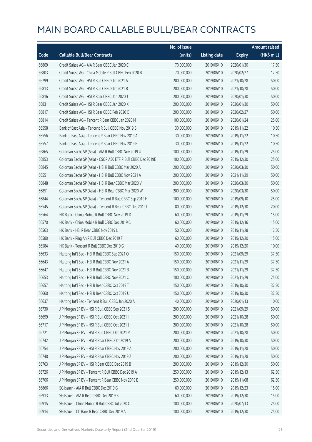|       |                                                              | No. of issue |                     |               | <b>Amount raised</b> |
|-------|--------------------------------------------------------------|--------------|---------------------|---------------|----------------------|
| Code  | <b>Callable Bull/Bear Contracts</b>                          | (units)      | <b>Listing date</b> | <b>Expiry</b> | (HK\$ mil.)          |
| 66809 | Credit Suisse AG - AIA R Bear CBBC Jan 2020 C                | 70,000,000   | 2019/06/10          | 2020/01/30    | 17.50                |
| 66803 | Credit Suisse AG - China Mobile R Bull CBBC Feb 2020 B       | 70,000,000   | 2019/06/10          | 2020/02/27    | 17.50                |
| 66799 | Credit Suisse AG - HSI R Bull CBBC Oct 2021 A                | 200,000,000  | 2019/06/10          | 2021/10/28    | 50.00                |
| 66813 | Credit Suisse AG - HSI R Bull CBBC Oct 2021 B                | 200,000,000  | 2019/06/10          | 2021/10/28    | 50.00                |
| 66816 | Credit Suisse AG - HSI R Bear CBBC Jan 2020 J                | 200,000,000  | 2019/06/10          | 2020/01/30    | 50.00                |
| 66831 | Credit Suisse AG - HSI R Bear CBBC Jan 2020 K                | 200,000,000  | 2019/06/10          | 2020/01/30    | 50.00                |
| 66817 | Credit Suisse AG - HSI R Bear CBBC Feb 2020 C                | 200,000,000  | 2019/06/10          | 2020/02/27    | 50.00                |
| 66814 | Credit Suisse AG - Tencent R Bear CBBC Jan 2020 M            | 100,000,000  | 2019/06/10          | 2020/01/24    | 25.00                |
| 66558 | Bank of East Asia - Tencent R Bull CBBC Nov 2019 B           | 30,000,000   | 2019/06/10          | 2019/11/22    | 10.50                |
| 66556 | Bank of East Asia - Tencent R Bear CBBC Nov 2019 A           | 30,000,000   | 2019/06/10          | 2019/11/22    | 10.50                |
| 66557 | Bank of East Asia - Tencent R Bear CBBC Nov 2019 B           | 30,000,000   | 2019/06/10          | 2019/11/22    | 10.50                |
| 66865 | Goldman Sachs SP (Asia) - AIA R Bull CBBC Nov 2019 U         | 100,000,000  | 2019/06/10          | 2019/11/29    | 25.00                |
| 66853 | Goldman Sachs SP (Asia) - CSOP A50 ETF R Bull CBBC Dec 2019E | 100,000,000  | 2019/06/10          | 2019/12/30    | 25.00                |
| 66845 | Goldman Sachs SP (Asia) - HSI R Bull CBBC Mar 2020 A         | 200,000,000  | 2019/06/10          | 2020/03/30    | 50.00                |
| 66551 | Goldman Sachs SP (Asia) - HSI R Bull CBBC Nov 2021 A         | 200,000,000  | 2019/06/10          | 2021/11/29    | 50.00                |
| 66848 | Goldman Sachs SP (Asia) - HSI R Bear CBBC Mar 2020 V         | 200,000,000  | 2019/06/10          | 2020/03/30    | 50.00                |
| 66851 | Goldman Sachs SP (Asia) - HSI R Bear CBBC Mar 2020 W         | 200,000,000  | 2019/06/10          | 2020/03/30    | 50.00                |
| 66844 | Goldman Sachs SP (Asia) - Tencent R Bull CBBC Sep 2019 H     | 100,000,000  | 2019/06/10          | 2019/09/10    | 25.00                |
| 66545 | Goldman Sachs SP (Asia) - Tencent R Bear CBBC Dec 2019 L     | 80,000,000   | 2019/06/10          | 2019/12/30    | 20.00                |
| 66564 | HK Bank - China Mobile R Bull CBBC Nov 2019 D                | 60,000,000   | 2019/06/10          | 2019/11/29    | 15.00                |
| 66570 | HK Bank - China Mobile R Bull CBBC Dec 2019 C                | 60,000,000   | 2019/06/10          | 2019/12/16    | 15.00                |
| 66563 | HK Bank - HSI R Bear CBBC Nov 2019 U                         | 50,000,000   | 2019/06/10          | 2019/11/28    | 12.50                |
| 66580 | HK Bank - Ping An R Bull CBBC Dec 2019 F                     | 60,000,000   | 2019/06/10          | 2019/12/20    | 15.00                |
| 66584 | HK Bank - Tencent R Bull CBBC Dec 2019 G                     | 40,000,000   | 2019/06/10          | 2019/12/20    | 10.00                |
| 66633 | Haitong Int'l Sec - HSI R Bull CBBC Sep 2021 O               | 150,000,000  | 2019/06/10          | 2021/09/29    | 37.50                |
| 66643 | Haitong Int'l Sec - HSI R Bull CBBC Nov 2021 A               | 150,000,000  | 2019/06/10          | 2021/11/29    | 37.50                |
| 66647 | Haitong Int'l Sec - HSI R Bull CBBC Nov 2021 B               | 150,000,000  | 2019/06/10          | 2021/11/29    | 37.50                |
| 66653 | Haitong Int'l Sec - HSI R Bull CBBC Nov 2021 C               | 100,000,000  | 2019/06/10          | 2021/11/29    | 25.00                |
| 66657 | Haitong Int'l Sec - HSI R Bear CBBC Oct 2019 T               | 150,000,000  | 2019/06/10          | 2019/10/30    | 37.50                |
| 66660 | Haitong Int'l Sec - HSI R Bear CBBC Oct 2019 U               | 150,000,000  | 2019/06/10          | 2019/10/30    | 37.50                |
| 66637 | Haitong Int'l Sec - Tencent R Bull CBBC Jan 2020 A           | 40,000,000   | 2019/06/10          | 2020/01/13    | 10.00                |
| 66730 | J P Morgan SP BV - HSI R Bull CBBC Sep 2021 S                | 200,000,000  | 2019/06/10          | 2021/09/29    | 50.00                |
| 66699 | J P Morgan SP BV - HSI R Bull CBBC Oct 2021 I                | 200,000,000  | 2019/06/10          | 2021/10/28    | 50.00                |
| 66717 | J P Morgan SP BV - HSI R Bull CBBC Oct 2021 J                | 200,000,000  | 2019/06/10          | 2021/10/28    | 50.00                |
| 66721 | J P Morgan SP BV - HSI R Bull CBBC Oct 2021 P                | 200,000,000  | 2019/06/10          | 2021/10/28    | 50.00                |
| 66742 | J P Morgan SP BV - HSI R Bear CBBC Oct 2019 A                | 200,000,000  | 2019/06/10          | 2019/10/30    | 50.00                |
| 66754 | J P Morgan SP BV - HSI R Bear CBBC Nov 2019 A                | 200,000,000  | 2019/06/10          | 2019/11/28    | 50.00                |
| 66748 | J P Morgan SP BV - HSI R Bear CBBC Nov 2019 Z                | 200,000,000  | 2019/06/10          | 2019/11/28    | 50.00                |
| 66763 | J P Morgan SP BV - HSI R Bear CBBC Dec 2019 B                | 200,000,000  | 2019/06/10          | 2019/12/30    | 50.00                |
| 66726 | J P Morgan SP BV - Tencent R Bull CBBC Dec 2019 A            | 250,000,000  | 2019/06/10          | 2019/12/13    | 62.50                |
| 66706 | J P Morgan SP BV - Tencent R Bear CBBC Nov 2019 E            | 250,000,000  | 2019/06/10          | 2019/11/08    | 62.50                |
| 66866 | SG Issuer - AIA R Bull CBBC Dec 2019 G                       | 60,000,000   | 2019/06/10          | 2019/12/23    | 15.00                |
| 66913 | SG Issuer - AIA R Bear CBBC Dec 2019 B                       | 60,000,000   | 2019/06/10          | 2019/12/30    | 15.00                |
| 66915 | SG Issuer - China Mobile R Bull CBBC Jul 2020 C              | 100,000,000  | 2019/06/10          | 2020/07/13    | 25.00                |
| 66914 | SG Issuer - CC Bank R Bear CBBC Dec 2019 A                   | 100,000,000  | 2019/06/10          | 2019/12/30    | 25.00                |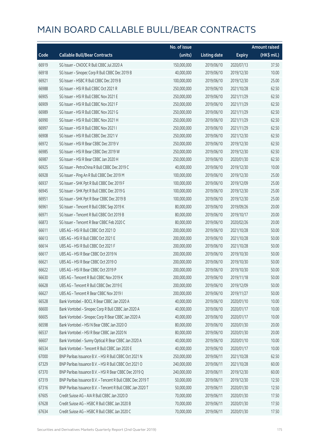|       |                                                            | No. of issue |                     |               | <b>Amount raised</b> |
|-------|------------------------------------------------------------|--------------|---------------------|---------------|----------------------|
| Code  | <b>Callable Bull/Bear Contracts</b>                        | (units)      | <b>Listing date</b> | <b>Expiry</b> | (HK\$ mil.)          |
| 66919 | SG Issuer - CNOOC R Bull CBBC Jul 2020 A                   | 150,000,000  | 2019/06/10          | 2020/07/13    | 37.50                |
| 66918 | SG Issuer - Sinopec Corp R Bull CBBC Dec 2019 B            | 40,000,000   | 2019/06/10          | 2019/12/30    | 10.00                |
| 66921 | SG Issuer - HSBC R Bull CBBC Dec 2019 B                    | 100,000,000  | 2019/06/10          | 2019/12/30    | 25.00                |
| 66988 | SG Issuer - HSI R Bull CBBC Oct 2021 R                     | 250,000,000  | 2019/06/10          | 2021/10/28    | 62.50                |
| 66905 | SG Issuer - HSI R Bull CBBC Nov 2021 E                     | 250,000,000  | 2019/06/10          | 2021/11/29    | 62.50                |
| 66909 | SG Issuer - HSI R Bull CBBC Nov 2021 F                     | 250,000,000  | 2019/06/10          | 2021/11/29    | 62.50                |
| 66989 | SG Issuer - HSI R Bull CBBC Nov 2021 G                     | 250,000,000  | 2019/06/10          | 2021/11/29    | 62.50                |
| 66990 | SG Issuer - HSI R Bull CBBC Nov 2021 H                     | 250,000,000  | 2019/06/10          | 2021/11/29    | 62.50                |
| 66997 | SG Issuer - HSI R Bull CBBC Nov 2021 I                     | 250,000,000  | 2019/06/10          | 2021/11/29    | 62.50                |
| 66908 | SG Issuer - HSI R Bull CBBC Dec 2021 V                     | 250,000,000  | 2019/06/10          | 2021/12/30    | 62.50                |
| 66972 | SG Issuer - HSI R Bear CBBC Dec 2019 V                     | 250,000,000  | 2019/06/10          | 2019/12/30    | 62.50                |
| 66985 | SG Issuer - HSI R Bear CBBC Dec 2019 W                     | 250,000,000  | 2019/06/10          | 2019/12/30    | 62.50                |
| 66987 | SG Issuer - HSI R Bear CBBC Jan 2020 H                     | 250,000,000  | 2019/06/10          | 2020/01/30    | 62.50                |
| 66925 | SG Issuer - PetroChina R Bull CBBC Dec 2019 C              | 40,000,000   | 2019/06/10          | 2019/12/30    | 10.00                |
| 66928 | SG Issuer - Ping An R Bull CBBC Dec 2019 M                 | 100,000,000  | 2019/06/10          | 2019/12/30    | 25.00                |
| 66937 | SG Issuer - SHK Ppt R Bull CBBC Dec 2019 F                 | 100,000,000  | 2019/06/10          | 2019/12/09    | 25.00                |
| 66945 | SG Issuer - SHK Ppt R Bull CBBC Dec 2019 G                 | 100,000,000  | 2019/06/10          | 2019/12/30    | 25.00                |
| 66951 | SG Issuer - SHK Ppt R Bear CBBC Dec 2019 B                 | 100,000,000  | 2019/06/10          | 2019/12/30    | 25.00                |
| 66961 | SG Issuer - Tencent R Bull CBBC Sep 2019 K                 | 80,000,000   | 2019/06/10          | 2019/09/26    | 20.00                |
| 66971 | SG Issuer - Tencent R Bull CBBC Oct 2019 B                 | 80,000,000   | 2019/06/10          | 2019/10/17    | 20.00                |
| 66873 | SG Issuer - Tencent R Bear CBBC Feb 2020 C                 | 80,000,000   | 2019/06/10          | 2020/02/26    | 20.00                |
| 66611 | UBS AG - HSI R Bull CBBC Oct 2021 D                        | 200,000,000  | 2019/06/10          | 2021/10/28    | 50.00                |
| 66613 | UBS AG - HSI R Bull CBBC Oct 2021 E                        | 200,000,000  | 2019/06/10          | 2021/10/28    | 50.00                |
| 66614 | UBS AG - HSI R Bull CBBC Oct 2021 F                        | 200,000,000  | 2019/06/10          | 2021/10/28    | 50.00                |
| 66617 | UBS AG - HSI R Bear CBBC Oct 2019 N                        | 200,000,000  | 2019/06/10          | 2019/10/30    | 50.00                |
| 66621 | UBS AG - HSI R Bear CBBC Oct 2019 O                        | 200,000,000  | 2019/06/10          | 2019/10/30    | 50.00                |
| 66622 | UBS AG - HSI R Bear CBBC Oct 2019 P                        | 200,000,000  | 2019/06/10          | 2019/10/30    | 50.00                |
| 66630 | UBS AG - Tencent R Bull CBBC Nov 2019 K                    | 200,000,000  | 2019/06/10          | 2019/11/18    | 50.00                |
| 66628 | UBS AG - Tencent R Bull CBBC Dec 2019 E                    | 200,000,000  | 2019/06/10          | 2019/12/09    | 50.00                |
| 66627 | UBS AG - Tencent R Bear CBBC Nov 2019 I                    | 200,000,000  | 2019/06/10          | 2019/11/27    | 50.00                |
| 66528 | Bank Vontobel - BOCL R Bear CBBC Jan 2020 A                | 40,000,000   | 2019/06/10          | 2020/01/10    | 10.00                |
| 66600 | Bank Vontobel - Sinopec Corp R Bull CBBC Jan 2020 A        | 40,000,000   | 2019/06/10          | 2020/01/17    | 10.00                |
| 66605 | Bank Vontobel - Sinopec Corp R Bear CBBC Jan 2020 A        | 40,000,000   | 2019/06/10          | 2020/01/17    | 10.00                |
| 66598 | Bank Vontobel - HSI N Bear CBBC Jan 2020 O                 | 80,000,000   | 2019/06/10          | 2020/01/30    | 20.00                |
| 66537 | Bank Vontobel - HSI R Bear CBBC Jan 2020 N                 | 80,000,000   | 2019/06/10          | 2020/01/30    | 20.00                |
| 66607 | Bank Vontobel - Sunny Optical R Bear CBBC Jan 2020 A       | 40,000,000   | 2019/06/10          | 2020/01/10    | 10.00                |
| 66534 | Bank Vontobel - Tencent R Bull CBBC Jan 2020 E             | 40,000,000   | 2019/06/10          | 2020/01/17    | 10.00                |
| 67000 | BNP Paribas Issuance B.V. - HSI R Bull CBBC Oct 2021 N     | 250,000,000  | 2019/06/11          | 2021/10/28    | 62.50                |
| 67329 | BNP Paribas Issuance B.V. - HSI R Bull CBBC Oct 2021 O     | 240,000,000  | 2019/06/11          | 2021/10/28    | 60.00                |
| 67370 | BNP Paribas Issuance B.V. - HSI R Bear CBBC Dec 2019 Q     | 240,000,000  | 2019/06/11          | 2019/12/30    | 60.00                |
| 67319 | BNP Paribas Issuance B.V. - Tencent R Bull CBBC Dec 2019 T | 50,000,000   | 2019/06/11          | 2019/12/30    | 12.50                |
| 67316 | BNP Paribas Issuance B.V. - Tencent R Bull CBBC Jan 2020 T | 50,000,000   | 2019/06/11          | 2020/01/30    | 12.50                |
| 67605 | Credit Suisse AG - AIA R Bull CBBC Jan 2020 D              | 70,000,000   | 2019/06/11          | 2020/01/30    | 17.50                |
| 67628 | Credit Suisse AG - HSBC R Bull CBBC Jan 2020 B             | 70,000,000   | 2019/06/11          | 2020/01/30    | 17.50                |
| 67634 | Credit Suisse AG - HSBC R Bull CBBC Jan 2020 C             | 70,000,000   | 2019/06/11          | 2020/01/30    | 17.50                |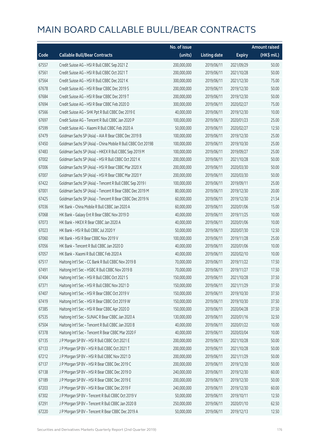|       |                                                              | No. of issue |                     |               | <b>Amount raised</b> |
|-------|--------------------------------------------------------------|--------------|---------------------|---------------|----------------------|
| Code  | <b>Callable Bull/Bear Contracts</b>                          | (units)      | <b>Listing date</b> | <b>Expiry</b> | (HK\$ mil.)          |
| 67557 | Credit Suisse AG - HSI R Bull CBBC Sep 2021 Z                | 200,000,000  | 2019/06/11          | 2021/09/29    | 50.00                |
| 67561 | Credit Suisse AG - HSI R Bull CBBC Oct 2021 T                | 200,000,000  | 2019/06/11          | 2021/10/28    | 50.00                |
| 67564 | Credit Suisse AG - HSI R Bull CBBC Dec 2021 K                | 300,000,000  | 2019/06/11          | 2021/12/30    | 75.00                |
| 67678 | Credit Suisse AG - HSI R Bear CBBC Dec 2019 S                | 200,000,000  | 2019/06/11          | 2019/12/30    | 50.00                |
| 67684 | Credit Suisse AG - HSI R Bear CBBC Dec 2019 T                | 200,000,000  | 2019/06/11          | 2019/12/30    | 50.00                |
| 67694 | Credit Suisse AG - HSI R Bear CBBC Feb 2020 D                | 300,000,000  | 2019/06/11          | 2020/02/27    | 75.00                |
| 67566 | Credit Suisse AG - SHK Ppt R Bull CBBC Dec 2019 E            | 40,000,000   | 2019/06/11          | 2019/12/30    | 10.00                |
| 67697 | Credit Suisse AG - Tencent R Bull CBBC Jan 2020 P            | 100,000,000  | 2019/06/11          | 2020/01/23    | 25.00                |
| 67599 | Credit Suisse AG - Xiaomi R Bull CBBC Feb 2020 A             | 50,000,000   | 2019/06/11          | 2020/02/27    | 12.50                |
| 67479 | Goldman Sachs SP (Asia) - AIA R Bear CBBC Dec 2019 B         | 100,000,000  | 2019/06/11          | 2019/12/30    | 25.00                |
| 67450 | Goldman Sachs SP (Asia) - China Mobile R Bull CBBC Oct 2019B | 100,000,000  | 2019/06/11          | 2019/10/30    | 25.00                |
| 67483 | Goldman Sachs SP (Asia) - HKEX R Bull CBBC Sep 2019 M        | 100,000,000  | 2019/06/11          | 2019/09/27    | 25.00                |
| 67002 | Goldman Sachs SP (Asia) - HSI R Bull CBBC Oct 2021 K         | 200,000,000  | 2019/06/11          | 2021/10/28    | 50.00                |
| 67006 | Goldman Sachs SP (Asia) - HSI R Bear CBBC Mar 2020 X         | 200,000,000  | 2019/06/11          | 2020/03/30    | 50.00                |
| 67007 | Goldman Sachs SP (Asia) - HSI R Bear CBBC Mar 2020 Y         | 200,000,000  | 2019/06/11          | 2020/03/30    | 50.00                |
| 67422 | Goldman Sachs SP (Asia) - Tencent R Bull CBBC Sep 2019 I     | 100,000,000  | 2019/06/11          | 2019/09/11    | 25.00                |
| 67001 | Goldman Sachs SP (Asia) - Tencent R Bear CBBC Dec 2019 M     | 80,000,000   | 2019/06/11          | 2019/12/30    | 20.00                |
| 67425 | Goldman Sachs SP (Asia) - Tencent R Bear CBBC Dec 2019 N     | 60,000,000   | 2019/06/11          | 2019/12/30    | 21.54                |
| 67036 | HK Bank - China Mobile R Bull CBBC Jan 2020 A                | 60,000,000   | 2019/06/11          | 2020/01/06    | 15.00                |
| 67068 | HK Bank - Galaxy Ent R Bear CBBC Nov 2019 D                  | 40,000,000   | 2019/06/11          | 2019/11/25    | 10.00                |
| 67073 | HK Bank - HKEX R Bear CBBC Jan 2020 A                        | 40,000,000   | 2019/06/11          | 2020/01/06    | 10.00                |
| 67023 | HK Bank - HSI R Bull CBBC Jul 2020 Y                         | 50,000,000   | 2019/06/11          | 2020/07/30    | 12.50                |
| 67060 | HK Bank - HSI R Bear CBBC Nov 2019 V                         | 100,000,000  | 2019/06/11          | 2019/11/28    | 25.00                |
| 67056 | HK Bank - Tencent R Bull CBBC Jan 2020 D                     | 40,000,000   | 2019/06/11          | 2020/01/06    | 10.00                |
| 67057 | HK Bank - Xiaomi R Bull CBBC Feb 2020 A                      | 40,000,000   | 2019/06/11          | 2020/02/10    | 10.00                |
| 67517 | Haitong Int'l Sec - CC Bank R Bull CBBC Nov 2019 B           | 70,000,000   | 2019/06/11          | 2019/11/22    | 17.50                |
| 67491 | Haitong Int'l Sec - HSBC R Bull CBBC Nov 2019 B              | 70,000,000   | 2019/06/11          | 2019/11/27    | 17.50                |
| 67404 | Haitong Int'l Sec - HSI R Bull CBBC Oct 2021 S               | 150,000,000  | 2019/06/11          | 2021/10/28    | 37.50                |
| 67371 | Haitong Int'l Sec - HSI R Bull CBBC Nov 2021 D               | 150,000,000  | 2019/06/11          | 2021/11/29    | 37.50                |
| 67407 | Haitong Int'l Sec - HSI R Bear CBBC Oct 2019 V               | 150,000,000  | 2019/06/11          | 2019/10/30    | 37.50                |
| 67419 | Haitong Int'l Sec - HSI R Bear CBBC Oct 2019 W               | 150,000,000  | 2019/06/11          | 2019/10/30    | 37.50                |
| 67385 | Haitong Int'l Sec - HSI R Bear CBBC Apr 2020 D               | 150,000,000  | 2019/06/11          | 2020/04/28    | 37.50                |
| 67535 | Haitong Int'l Sec - SUNAC R Bear CBBC Jan 2020 A             | 130,000,000  | 2019/06/11          | 2020/01/16    | 32.50                |
| 67504 | Haitong Int'l Sec - Tencent R Bull CBBC Jan 2020 B           | 40,000,000   | 2019/06/11          | 2020/01/22    | 10.00                |
| 67378 | Haitong Int'l Sec - Tencent R Bear CBBC Mar 2020 F           | 40,000,000   | 2019/06/11          | 2020/03/04    | 10.00                |
| 67135 | J P Morgan SP BV - HSI R Bull CBBC Oct 2021 E                | 200,000,000  | 2019/06/11          | 2021/10/28    | 50.00                |
| 67133 | J P Morgan SP BV - HSI R Bull CBBC Oct 2021 T                | 200,000,000  | 2019/06/11          | 2021/10/28    | 50.00                |
| 67212 | J P Morgan SP BV - HSI R Bull CBBC Nov 2021 D                | 200,000,000  | 2019/06/11          | 2021/11/29    | 50.00                |
| 67137 | J P Morgan SP BV - HSI R Bear CBBC Dec 2019 C                | 200,000,000  | 2019/06/11          | 2019/12/30    | 50.00                |
| 67138 | J P Morgan SP BV - HSI R Bear CBBC Dec 2019 D                | 240,000,000  | 2019/06/11          | 2019/12/30    | 60.00                |
| 67189 | J P Morgan SP BV - HSI R Bear CBBC Dec 2019 E                | 200,000,000  | 2019/06/11          | 2019/12/30    | 50.00                |
| 67203 | J P Morgan SP BV - HSI R Bear CBBC Dec 2019 F                | 240,000,000  | 2019/06/11          | 2019/12/30    | 60.00                |
| 67302 | J P Morgan SP BV - Tencent R Bull CBBC Oct 2019 V            | 50,000,000   | 2019/06/11          | 2019/10/11    | 12.50                |
| 67291 | J P Morgan SP BV - Tencent R Bull CBBC Jan 2020 B            | 250,000,000  | 2019/06/11          | 2020/01/10    | 62.50                |
| 67220 | J P Morgan SP BV - Tencent R Bear CBBC Dec 2019 A            | 50,000,000   | 2019/06/11          | 2019/12/13    | 12.50                |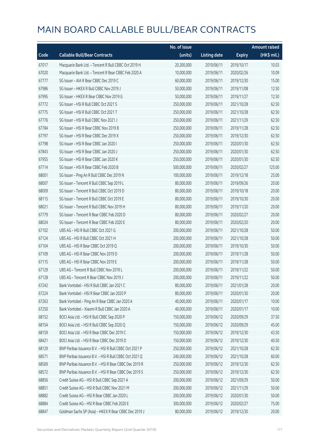|       |                                                        | No. of issue |                     |               | <b>Amount raised</b> |
|-------|--------------------------------------------------------|--------------|---------------------|---------------|----------------------|
| Code  | <b>Callable Bull/Bear Contracts</b>                    | (units)      | <b>Listing date</b> | <b>Expiry</b> | (HK\$ mil.)          |
| 67017 | Macquarie Bank Ltd. - Tencent R Bull CBBC Oct 2019 H   | 20,300,000   | 2019/06/11          | 2019/10/17    | 10.03                |
| 67020 | Macquarie Bank Ltd. - Tencent R Bear CBBC Feb 2020 A   | 10,000,000   | 2019/06/11          | 2020/02/26    | 10.09                |
| 67777 | SG Issuer - AIA R Bear CBBC Dec 2019 C                 | 60,000,000   | 2019/06/11          | 2019/12/30    | 15.00                |
| 67986 | SG Issuer - HKEX R Bull CBBC Nov 2019 J                | 50,000,000   | 2019/06/11          | 2019/11/08    | 12.50                |
| 67995 | SG Issuer - HKEX R Bear CBBC Nov 2019 G                | 50,000,000   | 2019/06/11          | 2019/11/27    | 12.50                |
| 67772 | SG Issuer - HSI R Bull CBBC Oct 2021 S                 | 250,000,000  | 2019/06/11          | 2021/10/28    | 62.50                |
| 67775 | SG Issuer - HSI R Bull CBBC Oct 2021 T                 | 250,000,000  | 2019/06/11          | 2021/10/28    | 62.50                |
| 67776 | SG Issuer - HSI R Bull CBBC Nov 2021 J                 | 250,000,000  | 2019/06/11          | 2021/11/29    | 62.50                |
| 67784 | SG Issuer - HSI R Bear CBBC Nov 2019 B                 | 250,000,000  | 2019/06/11          | 2019/11/28    | 62.50                |
| 67797 | SG Issuer - HSI R Bear CBBC Dec 2019 X                 | 250,000,000  | 2019/06/11          | 2019/12/30    | 62.50                |
| 67798 | SG Issuer - HSI R Bear CBBC Jan 2020 I                 | 250,000,000  | 2019/06/11          | 2020/01/30    | 62.50                |
| 67843 | SG Issuer - HSI R Bear CBBC Jan 2020 J                 | 250,000,000  | 2019/06/11          | 2020/01/30    | 62.50                |
| 67955 | SG Issuer - HSI R Bear CBBC Jan 2020 K                 | 250,000,000  | 2019/06/11          | 2020/01/30    | 62.50                |
| 67714 | SG Issuer - HSI R Bear CBBC Feb 2020 B                 | 500,000,000  | 2019/06/11          | 2020/02/27    | 125.00               |
| 68001 | SG Issuer - Ping An R Bull CBBC Dec 2019 N             | 100,000,000  | 2019/06/11          | 2019/12/18    | 25.00                |
| 68007 | SG Issuer - Tencent R Bull CBBC Sep 2019 L             | 80,000,000   | 2019/06/11          | 2019/09/26    | 20.00                |
| 68009 | SG Issuer - Tencent R Bull CBBC Oct 2019 D             | 80,000,000   | 2019/06/11          | 2019/10/18    | 20.00                |
| 68115 | SG Issuer - Tencent R Bull CBBC Oct 2019 E             | 80,000,000   | 2019/06/11          | 2019/10/30    | 20.00                |
| 68021 | SG Issuer - Tencent R Bull CBBC Nov 2019 H             | 80,000,000   | 2019/06/11          | 2019/11/20    | 20.00                |
| 67779 | SG Issuer - Tencent R Bear CBBC Feb 2020 D             | 80,000,000   | 2019/06/11          | 2020/02/27    | 20.00                |
| 68024 | SG Issuer - Tencent R Bear CBBC Feb 2020 E             | 80,000,000   | 2019/06/11          | 2020/02/20    | 20.00                |
| 67102 | UBS AG - HSI R Bull CBBC Oct 2021 G                    | 200,000,000  | 2019/06/11          | 2021/10/28    | 50.00                |
| 67124 | UBS AG - HSI R Bull CBBC Oct 2021 H                    | 200,000,000  | 2019/06/11          | 2021/10/28    | 50.00                |
| 67104 | UBS AG - HSI R Bear CBBC Oct 2019 Q                    | 200,000,000  | 2019/06/11          | 2019/10/30    | 50.00                |
| 67109 | UBS AG - HSI R Bear CBBC Nov 2019 D                    | 200,000,000  | 2019/06/11          | 2019/11/28    | 50.00                |
| 67115 | UBS AG - HSI R Bear CBBC Nov 2019 E                    | 200,000,000  | 2019/06/11          | 2019/11/28    | 50.00                |
| 67129 | UBS AG - Tencent R Bull CBBC Nov 2019 L                | 200,000,000  | 2019/06/11          | 2019/11/22    | 50.00                |
| 67128 | UBS AG - Tencent R Bear CBBC Nov 2019 J                | 200,000,000  | 2019/06/11          | 2019/11/22    | 50.00                |
| 67242 | Bank Vontobel - HSI R Bull CBBC Jan 2021 C             | 80,000,000   | 2019/06/11          | 2021/01/28    | 20.00                |
| 67224 | Bank Vontobel - HSI R Bear CBBC Jan 2020 P             | 80,000,000   | 2019/06/11          | 2020/01/30    | 20.00                |
| 67263 | Bank Vontobel - Ping An R Bear CBBC Jan 2020 A         | 40,000,000   | 2019/06/11          | 2020/01/17    | 10.00                |
| 67250 | Bank Vontobel - Xiaomi R Bull CBBC Jan 2020 A          | 40,000,000   | 2019/06/11          | 2020/01/17    | 10.00                |
| 68152 | BOCI Asia Ltd. - HSI R Bull CBBC Sep 2020 P            | 150,000,000  | 2019/06/12          | 2020/09/29    | 37.50                |
| 68154 | BOCI Asia Ltd. - HSI R Bull CBBC Sep 2020 Q            | 150,000,000  | 2019/06/12          | 2020/09/29    | 45.00                |
| 68159 | BOCI Asia Ltd. - HSI R Bear CBBC Dec 2019 C            | 150,000,000  | 2019/06/12          | 2019/12/30    | 43.50                |
| 68421 | BOCI Asia Ltd. - HSI R Bear CBBC Dec 2019 D            | 150,000,000  | 2019/06/12          | 2019/12/30    | 40.50                |
| 68129 | BNP Paribas Issuance B.V. - HSI R Bull CBBC Oct 2021 P | 250,000,000  | 2019/06/12          | 2021/10/28    | 62.50                |
| 68571 | BNP Paribas Issuance B.V. - HSI R Bull CBBC Oct 2021 Q | 240,000,000  | 2019/06/12          | 2021/10/28    | 60.00                |
| 68569 | BNP Paribas Issuance B.V. - HSI R Bear CBBC Dec 2019 R | 250,000,000  | 2019/06/12          | 2019/12/30    | 62.50                |
| 68572 | BNP Paribas Issuance B.V. - HSI R Bear CBBC Dec 2019 S | 250,000,000  | 2019/06/12          | 2019/12/30    | 62.50                |
| 68856 | Credit Suisse AG - HSI R Bull CBBC Sep 2021 A          | 200,000,000  | 2019/06/12          | 2021/09/29    | 50.00                |
| 68851 | Credit Suisse AG - HSI R Bull CBBC Nov 2021 M          | 200,000,000  | 2019/06/12          | 2021/11/29    | 50.00                |
| 68882 | Credit Suisse AG - HSI R Bear CBBC Jan 2020 L          | 200,000,000  | 2019/06/12          | 2020/01/30    | 50.00                |
| 68884 | Credit Suisse AG - HSI R Bear CBBC Feb 2020 E          | 300,000,000  | 2019/06/12          | 2020/02/27    | 75.00                |
| 68847 | Goldman Sachs SP (Asia) - HKEX R Bear CBBC Dec 2019 J  | 80,000,000   | 2019/06/12          | 2019/12/30    | 20.00                |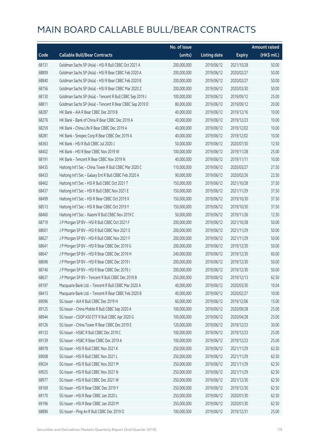|       |                                                          | No. of issue |                     |               | <b>Amount raised</b> |
|-------|----------------------------------------------------------|--------------|---------------------|---------------|----------------------|
| Code  | <b>Callable Bull/Bear Contracts</b>                      | (units)      | <b>Listing date</b> | <b>Expiry</b> | (HK\$ mil.)          |
| 68131 | Goldman Sachs SP (Asia) - HSI R Bull CBBC Oct 2021 A     | 200,000,000  | 2019/06/12          | 2021/10/28    | 50.00                |
| 68809 | Goldman Sachs SP (Asia) - HSI R Bear CBBC Feb 2020 A     | 200,000,000  | 2019/06/12          | 2020/02/27    | 50.00                |
| 68840 | Goldman Sachs SP (Asia) - HSI R Bear CBBC Feb 2020 B     | 200,000,000  | 2019/06/12          | 2020/02/27    | 50.00                |
| 68756 | Goldman Sachs SP (Asia) - HSI R Bear CBBC Mar 2020 Z     | 200,000,000  | 2019/06/12          | 2020/03/30    | 50.00                |
| 68130 | Goldman Sachs SP (Asia) - Tencent R Bull CBBC Sep 2019 J | 100,000,000  | 2019/06/12          | 2019/09/12    | 25.00                |
| 68811 | Goldman Sachs SP (Asia) - Tencent R Bear CBBC Sep 2019 D | 80,000,000   | 2019/06/12          | 2019/09/12    | 20.00                |
| 68287 | HK Bank - AIA R Bear CBBC Dec 2019 B                     | 40,000,000   | 2019/06/12          | 2019/12/16    | 10.00                |
| 68276 | HK Bank - Bank of China R Bear CBBC Dec 2019 A           | 40,000,000   | 2019/06/12          | 2019/12/23    | 10.00                |
| 68259 | HK Bank - China Life R Bear CBBC Dec 2019 A              | 40,000,000   | 2019/06/12          | 2019/12/02    | 10.00                |
| 68281 | HK Bank - Sinopec Corp R Bear CBBC Dec 2019 A            | 40,000,000   | 2019/06/12          | 2019/12/02    | 10.00                |
| 68363 | HK Bank - HSI R Bull CBBC Jul 2020 J                     | 50,000,000   | 2019/06/12          | 2020/07/30    | 12.50                |
| 68402 | HK Bank - HSI R Bear CBBC Nov 2019 W                     | 100,000,000  | 2019/06/12          | 2019/11/28    | 25.00                |
| 68191 | HK Bank - Tencent R Bear CBBC Nov 2019 N                 | 40,000,000   | 2019/06/12          | 2019/11/11    | 10.00                |
| 68435 | Haitong Int'l Sec - China Tower R Bull CBBC Mar 2020 C   | 110,000,000  | 2019/06/12          | 2020/03/27    | 27.50                |
| 68433 | Haitong Int'l Sec - Galaxy Ent R Bull CBBC Feb 2020 A    | 90,000,000   | 2019/06/12          | 2020/02/26    | 22.50                |
| 68462 | Haitong Int'l Sec - HSI R Bull CBBC Oct 2021 T           | 150,000,000  | 2019/06/12          | 2021/10/28    | 37.50                |
| 68437 | Haitong Int'l Sec - HSI R Bull CBBC Nov 2021 E           | 150,000,000  | 2019/06/12          | 2021/11/29    | 37.50                |
| 68499 | Haitong Int'l Sec - HSI R Bear CBBC Oct 2019 X           | 150,000,000  | 2019/06/12          | 2019/10/30    | 37.50                |
| 68513 | Haitong Int'l Sec - HSI R Bear CBBC Oct 2019 Y           | 150,000,000  | 2019/06/12          | 2019/10/30    | 37.50                |
| 68460 | Haitong Int'l Sec - Xiaomi R Bull CBBC Nov 2019 C        | 50,000,000   | 2019/06/12          | 2019/11/26    | 12.50                |
| 68719 | J P Morgan SP BV - HSI R Bull CBBC Oct 2021 F            | 200,000,000  | 2019/06/12          | 2021/10/28    | 50.00                |
| 68601 | J P Morgan SP BV - HSI R Bull CBBC Nov 2021 E            | 200,000,000  | 2019/06/12          | 2021/11/29    | 50.00                |
| 68627 | J P Morgan SP BV - HSI R Bull CBBC Nov 2021 F            | 200,000,000  | 2019/06/12          | 2021/11/29    | 50.00                |
| 68641 | J P Morgan SP BV - HSI R Bear CBBC Dec 2019 G            | 200,000,000  | 2019/06/12          | 2019/12/30    | 50.00                |
| 68647 | J P Morgan SP BV - HSI R Bear CBBC Dec 2019 H            | 240,000,000  | 2019/06/12          | 2019/12/30    | 60.00                |
| 68696 | J P Morgan SP BV - HSI R Bear CBBC Dec 2019 I            | 200,000,000  | 2019/06/12          | 2019/12/30    | 50.00                |
| 68746 | J P Morgan SP BV - HSI R Bear CBBC Dec 2019 J            | 200,000,000  | 2019/06/12          | 2019/12/30    | 50.00                |
| 68637 | J P Morgan SP BV - Tencent R Bull CBBC Dec 2019 B        | 250,000,000  | 2019/06/12          | 2019/12/13    | 62.50                |
| 69197 | Macquarie Bank Ltd. - Tencent R Bull CBBC Mar 2020 A     | 40,000,000   | 2019/06/12          | 2020/03/30    | 10.04                |
| 68413 | Macquarie Bank Ltd. - Tencent R Bear CBBC Feb 2020 B     | 40,000,000   | 2019/06/12          | 2020/02/27    | 10.00                |
| 69096 | SG Issuer - AIA R Bull CBBC Dec 2019 H                   | 60,000,000   | 2019/06/12          | 2019/12/06    | 15.00                |
| 69125 | SG Issuer - China Mobile R Bull CBBC Sep 2020 A          | 100,000,000  | 2019/06/12          | 2020/09/28    | 25.00                |
| 68944 | SG Issuer - CSOP A50 ETF R Bull CBBC Apr 2020 G          | 100,000,000  | 2019/06/12          | 2020/04/28    | 25.00                |
| 69126 | SG Issuer - China Tower R Bear CBBC Dec 2019 E           | 120,000,000  | 2019/06/12          | 2019/12/23    | 30.00                |
| 69133 | SG Issuer - HSBC R Bull CBBC Dec 2019 C                  | 100,000,000  | 2019/06/12          | 2019/12/23    | 25.00                |
| 69139 | SG Issuer - HSBC R Bear CBBC Dec 2019 A                  | 100,000,000  | 2019/06/12          | 2019/12/23    | 25.00                |
| 68978 | SG Issuer - HSI R Bull CBBC Nov 2021 K                   | 250,000,000  | 2019/06/12          | 2021/11/29    | 62.50                |
| 69008 | SG Issuer - HSI R Bull CBBC Nov 2021 L                   | 250,000,000  | 2019/06/12          | 2021/11/29    | 62.50                |
| 69024 | SG Issuer - HSI R Bull CBBC Nov 2021 M                   | 250,000,000  | 2019/06/12          | 2021/11/29    | 62.50                |
| 69025 | SG Issuer - HSI R Bull CBBC Nov 2021 N                   | 250,000,000  | 2019/06/12          | 2021/11/29    | 62.50                |
| 68977 | SG Issuer - HSI R Bull CBBC Dec 2021 W                   | 250,000,000  | 2019/06/12          | 2021/12/30    | 62.50                |
| 69169 | SG Issuer - HSI R Bear CBBC Dec 2019 Y                   | 250,000,000  | 2019/06/12          | 2019/12/30    | 62.50                |
| 69170 | SG Issuer - HSI R Bear CBBC Jan 2020 L                   | 250,000,000  | 2019/06/12          | 2020/01/30    | 62.50                |
| 69196 | SG Issuer - HSI R Bear CBBC Jan 2020 M                   | 250,000,000  | 2019/06/12          | 2020/01/30    | 62.50                |
| 68896 | SG Issuer - Ping An R Bull CBBC Dec 2019 O               | 100,000,000  | 2019/06/12          | 2019/12/31    | 25.00                |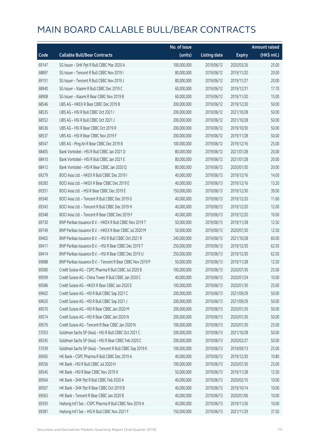|       |                                                            | No. of issue |                     |               | <b>Amount raised</b> |
|-------|------------------------------------------------------------|--------------|---------------------|---------------|----------------------|
| Code  | <b>Callable Bull/Bear Contracts</b>                        | (units)      | <b>Listing date</b> | <b>Expiry</b> | (HK\$ mil.)          |
| 69147 | SG Issuer - SHK Ppt R Bull CBBC Mar 2020 A                 | 100,000,000  | 2019/06/12          | 2020/03/26    | 25.00                |
| 68897 | SG Issuer - Tencent R Bull CBBC Nov 2019 I                 | 80,000,000   | 2019/06/12          | 2019/11/20    | 20.00                |
| 69151 | SG Issuer - Tencent R Bull CBBC Nov 2019 J                 | 80,000,000   | 2019/06/12          | 2019/11/27    | 20.00                |
| 68940 | SG Issuer - Xiaomi R Bull CBBC Dec 2019 C                  | 60,000,000   | 2019/06/12          | 2019/12/31    | 17.70                |
| 68908 | SG Issuer - Xiaomi R Bear CBBC Nov 2019 B                  | 60,000,000   | 2019/06/12          | 2019/11/20    | 15.00                |
| 68546 | UBS AG - HKEX R Bear CBBC Dec 2019 B                       | 200,000,000  | 2019/06/12          | 2019/12/30    | 50.00                |
| 68535 | UBS AG - HSI R Bull CBBC Oct 2021 I                        | 200,000,000  | 2019/06/12          | 2021/10/28    | 50.00                |
| 68552 | UBS AG - HSI R Bull CBBC Oct 2021 J                        | 200,000,000  | 2019/06/12          | 2021/10/28    | 50.00                |
| 68536 | UBS AG - HSI R Bear CBBC Oct 2019 R                        | 200,000,000  | 2019/06/12          | 2019/10/30    | 50.00                |
| 68537 | UBS AG - HSI R Bear CBBC Nov 2019 F                        | 200,000,000  | 2019/06/12          | 2019/11/28    | 50.00                |
| 68547 | UBS AG - Ping An R Bear CBBC Dec 2019 B                    | 100,000,000  | 2019/06/12          | 2019/12/16    | 25.00                |
| 68405 | Bank Vontobel - HSI R Bull CBBC Jan 2021 D                 | 80,000,000   | 2019/06/12          | 2021/01/28    | 20.00                |
| 68410 | Bank Vontobel - HSI R Bull CBBC Jan 2021 E                 | 80,000,000   | 2019/06/12          | 2021/01/28    | 20.00                |
| 68412 | Bank Vontobel - HSI R Bear CBBC Jan 2020 Q                 | 80,000,000   | 2019/06/12          | 2020/01/30    | 20.00                |
| 69279 | BOCI Asia Ltd. - HKEX R Bull CBBC Dec 2019 I               | 40,000,000   | 2019/06/13          | 2019/12/16    | 14.00                |
| 69283 | BOCI Asia Ltd. - HKEX R Bear CBBC Dec 2019 E               | 40,000,000   | 2019/06/13          | 2019/12/16    | 13.20                |
| 69351 | BOCI Asia Ltd. - HSI R Bear CBBC Dec 2019 E                | 150,000,000  | 2019/06/13          | 2019/12/30    | 39.00                |
| 69340 | BOCI Asia Ltd. - Tencent R Bull CBBC Dec 2019 G            | 40,000,000   | 2019/06/13          | 2019/12/20    | 11.60                |
| 69343 | BOCI Asia Ltd. - Tencent R Bull CBBC Dec 2019 H            | 40,000,000   | 2019/06/13          | 2019/12/20    | 12.00                |
| 69348 | BOCI Asia Ltd. - Tencent R Bear CBBC Dec 2019 F            | 40,000,000   | 2019/06/13          | 2019/12/20    | 10.00                |
| 69730 | BNP Paribas Issuance B.V. - HKEX R Bull CBBC Nov 2019 T    | 50,000,000   | 2019/06/13          | 2019/11/28    | 12.50                |
| 69749 | BNP Paribas Issuance B.V. - HKEX R Bear CBBC Jul 2020 M    | 50,000,000   | 2019/06/13          | 2020/07/30    | 12.50                |
| 69402 | BNP Paribas Issuance B.V. - HSI R Bull CBBC Oct 2021 R     | 240,000,000  | 2019/06/13          | 2021/10/28    | 60.00                |
| 69411 | BNP Paribas Issuance B.V. - HSI R Bear CBBC Dec 2019 T     | 250,000,000  | 2019/06/13          | 2019/12/30    | 62.50                |
| 69414 | BNP Paribas Issuance B.V. - HSI R Bear CBBC Dec 2019 U     | 250,000,000  | 2019/06/13          | 2019/12/30    | 62.50                |
| 69688 | BNP Paribas Issuance B.V. - Tencent R Bear CBBC Nov 2019 P | 50,000,000   | 2019/06/13          | 2019/11/28    | 12.50                |
| 69580 | Credit Suisse AG - CSPC Pharma R Bull CBBC Jul 2020 B      | 100,000,000  | 2019/06/13          | 2020/07/30    | 25.00                |
| 69599 | Credit Suisse AG - China Tower R Bull CBBC Jan 2020 C      | 40,000,000   | 2019/06/13          | 2020/01/24    | 10.00                |
| 69586 | Credit Suisse AG - HKEX R Bear CBBC Jan 2020 E             | 100,000,000  | 2019/06/13          | 2020/01/30    | 25.00                |
| 69602 | Credit Suisse AG - HSI R Bull CBBC Sep 2021 C              | 200,000,000  | 2019/06/13          | 2021/09/29    | 50.00                |
| 69620 | Credit Suisse AG - HSI R Bull CBBC Sep 2021 J              | 200,000,000  | 2019/06/13          | 2021/09/29    | 50.00                |
| 69570 | Credit Suisse AG - HSI R Bear CBBC Jan 2020 M              | 200,000,000  | 2019/06/13          | 2020/01/30    | 50.00                |
| 69574 | Credit Suisse AG - HSI R Bear CBBC Jan 2020 N              | 200,000,000  | 2019/06/13          | 2020/01/30    | 50.00                |
| 69576 | Credit Suisse AG - Tencent R Bear CBBC Jan 2020 N          | 100,000,000  | 2019/06/13          | 2020/01/30    | 25.00                |
| 57053 | Goldman Sachs SP (Asia) - HSI R Bull CBBC Oct 2021 C       | 200,000,000  | 2019/06/13          | 2021/10/28    | 50.00                |
| 69245 | Goldman Sachs SP (Asia) - HSI R Bear CBBC Feb 2020 C       | 200,000,000  | 2019/06/13          | 2020/02/27    | 50.00                |
| 57039 | Goldman Sachs SP (Asia) - Tencent R Bull CBBC Sep 2019 K   | 100,000,000  | 2019/06/13          | 2019/09/13    | 25.00                |
| 69565 | HK Bank - CSPC Pharma R Bull CBBC Dec 2019 A               | 40,000,000   | 2019/06/13          | 2019/12/30    | 10.80                |
| 69556 | HK Bank - HSI R Bull CBBC Jul 2020 H                       | 100,000,000  | 2019/06/13          | 2020/07/30    | 25.00                |
| 69545 | HK Bank - HSI R Bear CBBC Nov 2019 X                       | 50,000,000   | 2019/06/13          | 2019/11/28    | 12.50                |
| 69564 | HK Bank - SHK Ppt R Bull CBBC Feb 2020 A                   | 40,000,000   | 2019/06/13          | 2020/02/10    | 10.00                |
| 69567 | HK Bank - SHK Ppt R Bear CBBC Oct 2019 B                   | 40,000,000   | 2019/06/13          | 2019/10/14    | 10.00                |
| 69563 | HK Bank - Tencent R Bear CBBC Jan 2020 B                   | 40,000,000   | 2019/06/13          | 2020/01/06    | 10.00                |
| 69393 | Haitong Int'l Sec - CSPC Pharma R Bull CBBC Nov 2019 A     | 40,000,000   | 2019/06/13          | 2019/11/26    | 10.00                |
| 69381 | Haitong Int'l Sec - HSI R Bull CBBC Nov 2021 F             | 150,000,000  | 2019/06/13          | 2021/11/29    | 37.50                |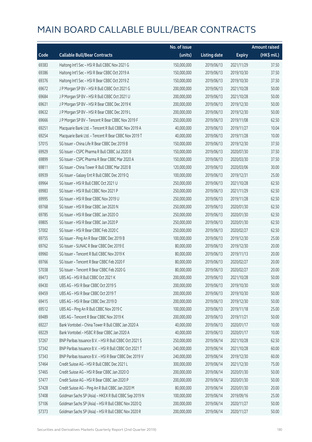|       |                                                        | No. of issue |                     |               | <b>Amount raised</b> |
|-------|--------------------------------------------------------|--------------|---------------------|---------------|----------------------|
| Code  | <b>Callable Bull/Bear Contracts</b>                    | (units)      | <b>Listing date</b> | <b>Expiry</b> | (HK\$ mil.)          |
| 69383 | Haitong Int'l Sec - HSI R Bull CBBC Nov 2021 G         | 150,000,000  | 2019/06/13          | 2021/11/29    | 37.50                |
| 69386 | Haitong Int'l Sec - HSI R Bear CBBC Oct 2019 A         | 150,000,000  | 2019/06/13          | 2019/10/30    | 37.50                |
| 69376 | Haitong Int'l Sec - HSI R Bear CBBC Oct 2019 Z         | 150,000,000  | 2019/06/13          | 2019/10/30    | 37.50                |
| 69672 | J P Morgan SP BV - HSI R Bull CBBC Oct 2021 G          | 200,000,000  | 2019/06/13          | 2021/10/28    | 50.00                |
| 69684 | J P Morgan SP BV - HSI R Bull CBBC Oct 2021 U          | 200,000,000  | 2019/06/13          | 2021/10/28    | 50.00                |
| 69631 | J P Morgan SP BV - HSI R Bear CBBC Dec 2019 K          | 200,000,000  | 2019/06/13          | 2019/12/30    | 50.00                |
| 69632 | J P Morgan SP BV - HSI R Bear CBBC Dec 2019 L          | 200,000,000  | 2019/06/13          | 2019/12/30    | 50.00                |
| 69666 | J P Morgan SP BV - Tencent R Bear CBBC Nov 2019 F      | 250,000,000  | 2019/06/13          | 2019/11/08    | 62.50                |
| 69251 | Macquarie Bank Ltd. - Tencent R Bull CBBC Nov 2019 A   | 40,000,000   | 2019/06/13          | 2019/11/27    | 10.04                |
| 69254 | Macquarie Bank Ltd. - Tencent R Bear CBBC Nov 2019 T   | 40,000,000   | 2019/06/13          | 2019/11/28    | 10.00                |
| 57015 | SG Issuer - China Life R Bear CBBC Dec 2019 B          | 150,000,000  | 2019/06/13          | 2019/12/30    | 37.50                |
| 69929 | SG Issuer - CSPC Pharma R Bull CBBC Jul 2020 B         | 150,000,000  | 2019/06/13          | 2020/07/30    | 37.50                |
| 69899 | SG Issuer - CSPC Pharma R Bear CBBC Mar 2020 A         | 150,000,000  | 2019/06/13          | 2020/03/30    | 37.50                |
| 69811 | SG Issuer - China Tower R Bull CBBC Mar 2020 B         | 120,000,000  | 2019/06/13          | 2020/03/06    | 30.00                |
| 69939 | SG Issuer - Galaxy Ent R Bull CBBC Dec 2019 Q          | 100,000,000  | 2019/06/13          | 2019/12/31    | 25.00                |
| 69964 | SG Issuer - HSI R Bull CBBC Oct 2021 U                 | 250,000,000  | 2019/06/13          | 2021/10/28    | 62.50                |
| 69983 | SG Issuer - HSI R Bull CBBC Nov 2021 P                 | 250,000,000  | 2019/06/13          | 2021/11/29    | 62.50                |
| 69995 | SG Issuer - HSI R Bear CBBC Nov 2019 U                 | 250,000,000  | 2019/06/13          | 2019/11/28    | 62.50                |
| 69768 | SG Issuer - HSI R Bear CBBC Jan 2020 N                 | 250,000,000  | 2019/06/13          | 2020/01/30    | 62.50                |
| 69785 | SG Issuer - HSI R Bear CBBC Jan 2020 O                 | 250,000,000  | 2019/06/13          | 2020/01/30    | 62.50                |
| 69805 | SG Issuer - HSI R Bear CBBC Jan 2020 P                 | 250,000,000  | 2019/06/13          | 2020/01/30    | 62.50                |
| 57002 | SG Issuer - HSI R Bear CBBC Feb 2020 C                 | 250,000,000  | 2019/06/13          | 2020/02/27    | 62.50                |
| 69755 | SG Issuer - Ping An R Bear CBBC Dec 2019 B             | 100,000,000  | 2019/06/13          | 2019/12/30    | 25.00                |
| 69762 | SG Issuer - SUNAC R Bear CBBC Dec 2019 E               | 80,000,000   | 2019/06/13          | 2019/12/30    | 20.00                |
| 69960 | SG Issuer - Tencent R Bull CBBC Nov 2019 K             | 80,000,000   | 2019/06/13          | 2019/11/13    | 20.00                |
| 69766 | SG Issuer - Tencent R Bear CBBC Feb 2020 F             | 80,000,000   | 2019/06/13          | 2020/02/27    | 20.00                |
| 57038 | SG Issuer - Tencent R Bear CBBC Feb 2020 G             | 80,000,000   | 2019/06/13          | 2020/02/27    | 20.00                |
| 69473 | UBS AG - HSI R Bull CBBC Oct 2021 K                    | 200,000,000  | 2019/06/13          | 2021/10/28    | 50.00                |
| 69430 | UBS AG - HSI R Bear CBBC Oct 2019 S                    | 200,000,000  | 2019/06/13          | 2019/10/30    | 50.00                |
| 69459 | UBS AG - HSI R Bear CBBC Oct 2019 T                    | 200,000,000  | 2019/06/13          | 2019/10/30    | 50.00                |
| 69415 | UBS AG - HSI R Bear CBBC Dec 2019 D                    | 200,000,000  | 2019/06/13          | 2019/12/30    | 50.00                |
| 69512 | UBS AG - Ping An R Bull CBBC Nov 2019 C                | 100,000,000  | 2019/06/13          | 2019/11/18    | 25.00                |
| 69489 | UBS AG - Tencent R Bear CBBC Nov 2019 K                | 200,000,000  | 2019/06/13          | 2019/11/21    | 50.00                |
| 69227 | Bank Vontobel - China Tower R Bull CBBC Jan 2020 A     | 40,000,000   | 2019/06/13          | 2020/01/17    | 10.00                |
| 69229 | Bank Vontobel - HSBC R Bear CBBC Jan 2020 A            | 40,000,000   | 2019/06/13          | 2020/01/17    | 10.00                |
| 57267 | BNP Paribas Issuance B.V. - HSI R Bull CBBC Oct 2021 S | 250,000,000  | 2019/06/14          | 2021/10/28    | 62.50                |
| 57342 | BNP Paribas Issuance B.V. - HSI R Bull CBBC Oct 2021 T | 240,000,000  | 2019/06/14          | 2021/10/28    | 60.00                |
| 57343 | BNP Paribas Issuance B.V. - HSI R Bear CBBC Dec 2019 V | 240,000,000  | 2019/06/14          | 2019/12/30    | 60.00                |
| 57464 | Credit Suisse AG - HSI R Bull CBBC Dec 2021 L          | 300,000,000  | 2019/06/14          | 2021/12/30    | 75.00                |
| 57465 | Credit Suisse AG - HSI R Bear CBBC Jan 2020 O          | 200,000,000  | 2019/06/14          | 2020/01/30    | 50.00                |
| 57477 | Credit Suisse AG - HSI R Bear CBBC Jan 2020 P          | 200,000,000  | 2019/06/14          | 2020/01/30    | 50.00                |
| 57428 | Credit Suisse AG - Ping An R Bull CBBC Jan 2020 M      | 80,000,000   | 2019/06/14          | 2020/01/30    | 20.00                |
| 57408 | Goldman Sachs SP (Asia) - HKEX R Bull CBBC Sep 2019 N  | 100,000,000  | 2019/06/14          | 2019/09/16    | 25.00                |
| 57106 | Goldman Sachs SP (Asia) - HSI R Bull CBBC Nov 2020 Q   | 200,000,000  | 2019/06/14          | 2020/11/27    | 50.00                |
| 57373 | Goldman Sachs SP (Asia) - HSI R Bull CBBC Nov 2020 R   | 200,000,000  | 2019/06/14          | 2020/11/27    | 50.00                |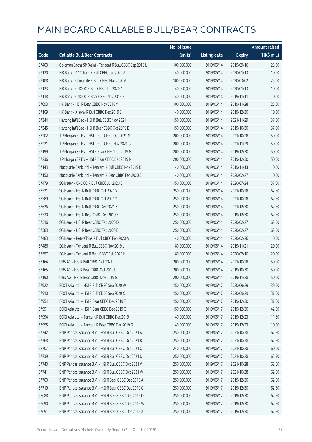|       |                                                          | No. of issue |                     |               | <b>Amount raised</b> |
|-------|----------------------------------------------------------|--------------|---------------------|---------------|----------------------|
| Code  | <b>Callable Bull/Bear Contracts</b>                      | (units)      | <b>Listing date</b> | <b>Expiry</b> | (HK\$ mil.)          |
| 57400 | Goldman Sachs SP (Asia) - Tencent R Bull CBBC Sep 2019 L | 100,000,000  | 2019/06/14          | 2019/09/16    | 25.00                |
| 57120 | HK Bank - AAC Tech R Bull CBBC Jan 2020 A                | 40,000,000   | 2019/06/14          | 2020/01/13    | 10.00                |
| 57108 | HK Bank - China Life R Bull CBBC Mar 2020 A              | 100,000,000  | 2019/06/14          | 2020/03/02    | 25.00                |
| 57123 | HK Bank - CNOOC R Bull CBBC Jan 2020 A                   | 40,000,000   | 2019/06/14          | 2020/01/13    | 10.00                |
| 57138 | HK Bank - CNOOC R Bear CBBC Nov 2019 B                   | 40,000,000   | 2019/06/14          | 2019/11/11    | 10.00                |
| 57093 | HK Bank - HSI R Bear CBBC Nov 2019 Y                     | 100,000,000  | 2019/06/14          | 2019/11/28    | 25.00                |
| 57109 | HK Bank - Xiaomi R Bull CBBC Dec 2019 B                  | 40,000,000   | 2019/06/14          | 2019/12/30    | 10.00                |
| 57344 | Haitong Int'l Sec - HSI R Bull CBBC Nov 2021 H           | 150,000,000  | 2019/06/14          | 2021/11/29    | 37.50                |
| 57345 | Haitong Int'l Sec - HSI R Bear CBBC Oct 2019 B           | 150,000,000  | 2019/06/14          | 2019/10/30    | 37.50                |
| 57202 | J P Morgan SP BV - HSI R Bull CBBC Oct 2021 M            | 200,000,000  | 2019/06/14          | 2021/10/28    | 50.00                |
| 57221 | J P Morgan SP BV - HSI R Bull CBBC Nov 2021 G            | 200,000,000  | 2019/06/14          | 2021/11/29    | 50.00                |
| 57199 | J P Morgan SP BV - HSI R Bear CBBC Dec 2019 M            | 200,000,000  | 2019/06/14          | 2019/12/30    | 50.00                |
| 57236 | J P Morgan SP BV - HSI R Bear CBBC Dec 2019 N            | 200,000,000  | 2019/06/14          | 2019/12/30    | 50.00                |
| 57143 | Macquarie Bank Ltd. - Tencent R Bull CBBC Nov 2019 B     | 40,000,000   | 2019/06/14          | 2019/11/13    | 10.00                |
| 57150 | Macquarie Bank Ltd. - Tencent R Bear CBBC Feb 2020 C     | 40,000,000   | 2019/06/14          | 2020/02/27    | 10.00                |
| 57479 | SG Issuer - CNOOC R Bull CBBC Jul 2020 B                 | 150,000,000  | 2019/06/14          | 2020/07/24    | 37.50                |
| 57521 | SG Issuer - HSI R Bull CBBC Oct 2021 V                   | 250,000,000  | 2019/06/14          | 2021/10/28    | 62.50                |
| 57589 | SG Issuer - HSI R Bull CBBC Oct 2021 Y                   | 250,000,000  | 2019/06/14          | 2021/10/28    | 62.50                |
| 57626 | SG Issuer - HSI R Bull CBBC Dec 2021 X                   | 250,000,000  | 2019/06/14          | 2021/12/30    | 62.50                |
| 57520 | SG Issuer - HSI R Bear CBBC Dec 2019 Z                   | 250,000,000  | 2019/06/14          | 2019/12/30    | 62.50                |
| 57516 | SG Issuer - HSI R Bear CBBC Feb 2020 D                   | 250,000,000  | 2019/06/14          | 2020/02/27    | 62.50                |
| 57583 | SG Issuer - HSI R Bear CBBC Feb 2020 E                   | 250,000,000  | 2019/06/14          | 2020/02/27    | 62.50                |
| 57483 | SG Issuer - PetroChina R Bull CBBC Feb 2020 A            | 40,000,000   | 2019/06/14          | 2020/02/26    | 10.00                |
| 57486 | SG Issuer - Tencent R Bull CBBC Nov 2019 L               | 80,000,000   | 2019/06/14          | 2019/11/21    | 20.00                |
| 57557 | SG Issuer - Tencent R Bear CBBC Feb 2020 H               | 80,000,000   | 2019/06/14          | 2020/02/10    | 20.00                |
| 57164 | UBS AG - HSI R Bull CBBC Oct 2021 L                      | 200,000,000  | 2019/06/14          | 2021/10/28    | 50.00                |
| 57165 | UBS AG - HSI R Bear CBBC Oct 2019 U                      | 200,000,000  | 2019/06/14          | 2019/10/30    | 50.00                |
| 57190 | UBS AG - HSI R Bear CBBC Nov 2019 G                      | 200,000,000  | 2019/06/14          | 2019/11/28    | 50.00                |
| 57922 | BOCI Asia Ltd. - HSI R Bull CBBC Sep 2020 W              | 150,000,000  | 2019/06/17          | 2020/09/29    | 39.00                |
| 57910 | BOCI Asia Ltd. - HSI R Bull CBBC Sep 2020 X              | 150,000,000  | 2019/06/17          | 2020/09/29    | 37.50                |
| 57954 | BOCI Asia Ltd. - HSI R Bear CBBC Dec 2019 F              | 150,000,000  | 2019/06/17          | 2019/12/30    | 37.50                |
| 57991 | BOCI Asia Ltd. - HSI R Bear CBBC Dec 2019 G              | 150,000,000  | 2019/06/17          | 2019/12/30    | 42.00                |
| 57994 | BOCI Asia Ltd. - Tencent R Bull CBBC Dec 2019 I          | 40,000,000   | 2019/06/17          | 2019/12/23    | 11.60                |
| 57995 | BOCI Asia Ltd. - Tencent R Bear CBBC Dec 2019 G          | 40,000,000   | 2019/06/17          | 2019/12/23    | 10.00                |
| 57742 | BNP Paribas Issuance B.V. - HSI R Bull CBBC Oct 2021 A   | 250,000,000  | 2019/06/17          | 2021/10/28    | 62.50                |
| 57768 | BNP Paribas Issuance B.V. - HSI R Bull CBBC Oct 2021 B   | 250,000,000  | 2019/06/17          | 2021/10/28    | 62.50                |
| 58707 | BNP Paribas Issuance B.V. - HSI R Bull CBBC Oct 2021 C   | 240,000,000  | 2019/06/17          | 2021/10/28    | 60.00                |
| 57739 | BNP Paribas Issuance B.V. - HSI R Bull CBBC Oct 2021 U   | 250,000,000  | 2019/06/17          | 2021/10/28    | 62.50                |
| 57740 | BNP Paribas Issuance B.V. - HSI R Bull CBBC Oct 2021 V   | 250,000,000  | 2019/06/17          | 2021/10/28    | 62.50                |
| 57741 | BNP Paribas Issuance B.V. - HSI R Bull CBBC Oct 2021 W   | 250,000,000  | 2019/06/17          | 2021/10/28    | 62.50                |
| 57700 | BNP Paribas Issuance B.V. - HSI R Bear CBBC Dec 2019 A   | 250,000,000  | 2019/06/17          | 2019/12/30    | 62.50                |
| 57719 | BNP Paribas Issuance B.V. - HSI R Bear CBBC Dec 2019 C   | 250,000,000  | 2019/06/17          | 2019/12/30    | 62.50                |
| 58688 | BNP Paribas Issuance B.V. - HSI R Bear CBBC Dec 2019 D   | 250,000,000  | 2019/06/17          | 2019/12/30    | 62.50                |
| 57690 | BNP Paribas Issuance B.V. - HSI R Bear CBBC Dec 2019 W   | 250,000,000  | 2019/06/17          | 2019/12/30    | 62.50                |
| 57691 | BNP Paribas Issuance B.V. - HSI R Bear CBBC Dec 2019 X   | 250,000,000  | 2019/06/17          | 2019/12/30    | 62.50                |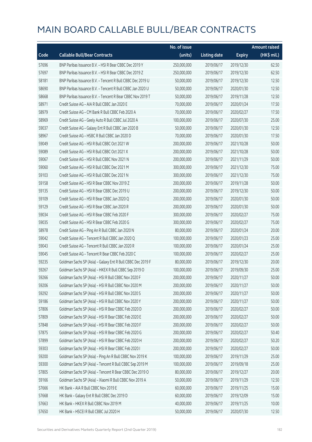|       |                                                             | No. of issue |                     |               | <b>Amount raised</b> |
|-------|-------------------------------------------------------------|--------------|---------------------|---------------|----------------------|
| Code  | <b>Callable Bull/Bear Contracts</b>                         | (units)      | <b>Listing date</b> | <b>Expiry</b> | $(HK$$ mil.)         |
| 57696 | BNP Paribas Issuance B.V. - HSI R Bear CBBC Dec 2019 Y      | 250,000,000  | 2019/06/17          | 2019/12/30    | 62.50                |
| 57697 | BNP Paribas Issuance B.V. - HSI R Bear CBBC Dec 2019 Z      | 250,000,000  | 2019/06/17          | 2019/12/30    | 62.50                |
| 58181 | BNP Paribas Issuance B.V. - Tencent R Bull CBBC Dec 2019 U  | 50,000,000   | 2019/06/17          | 2019/12/30    | 12.50                |
| 58690 | BNP Paribas Issuance B.V. - Tencent R Bull CBBC Jan 2020 U  | 50,000,000   | 2019/06/17          | 2020/01/30    | 12.50                |
| 58668 | BNP Paribas Issuance B.V. - Tencent R Bear CBBC Nov 2019 T  | 50,000,000   | 2019/06/17          | 2019/11/28    | 12.50                |
| 58971 | Credit Suisse AG - AIA R Bull CBBC Jan 2020 E               | 70,000,000   | 2019/06/17          | 2020/01/24    | 17.50                |
| 58979 | Credit Suisse AG - CM Bank R Bull CBBC Feb 2020 A           | 70,000,000   | 2019/06/17          | 2020/02/27    | 17.50                |
| 58969 | Credit Suisse AG - Geely Auto R Bull CBBC Jul 2020 A        | 100,000,000  | 2019/06/17          | 2020/07/30    | 25.00                |
| 59037 | Credit Suisse AG - Galaxy Ent R Bull CBBC Jan 2020 B        | 50,000,000   | 2019/06/17          | 2020/01/30    | 12.50                |
| 58967 | Credit Suisse AG - HSBC R Bull CBBC Jan 2020 D              | 70,000,000   | 2019/06/17          | 2020/01/30    | 17.50                |
| 59049 | Credit Suisse AG - HSI R Bull CBBC Oct 2021 W               | 200,000,000  | 2019/06/17          | 2021/10/28    | 50.00                |
| 59089 | Credit Suisse AG - HSI R Bull CBBC Oct 2021 X               | 200,000,000  | 2019/06/17          | 2021/10/28    | 50.00                |
| 59067 | Credit Suisse AG - HSI R Bull CBBC Nov 2021 N               | 200,000,000  | 2019/06/17          | 2021/11/29    | 50.00                |
| 59060 | Credit Suisse AG - HSI R Bull CBBC Dec 2021 M               | 300,000,000  | 2019/06/17          | 2021/12/30    | 75.00                |
| 59103 | Credit Suisse AG - HSI R Bull CBBC Dec 2021 N               | 300,000,000  | 2019/06/17          | 2021/12/30    | 75.00                |
| 59158 | Credit Suisse AG - HSI R Bear CBBC Nov 2019 Z               | 200,000,000  | 2019/06/17          | 2019/11/28    | 50.00                |
| 59135 | Credit Suisse AG - HSI R Bear CBBC Dec 2019 U               | 200,000,000  | 2019/06/17          | 2019/12/30    | 50.00                |
| 59109 | Credit Suisse AG - HSI R Bear CBBC Jan 2020 Q               | 200,000,000  | 2019/06/17          | 2020/01/30    | 50.00                |
| 59129 | Credit Suisse AG - HSI R Bear CBBC Jan 2020 R               | 200,000,000  | 2019/06/17          | 2020/01/30    | 50.00                |
| 59034 | Credit Suisse AG - HSI R Bear CBBC Feb 2020 F               | 300,000,000  | 2019/06/17          | 2020/02/27    | 75.00                |
| 59035 | Credit Suisse AG - HSI R Bear CBBC Feb 2020 G               | 300,000,000  | 2019/06/17          | 2020/02/27    | 75.00                |
| 58978 | Credit Suisse AG - Ping An R Bull CBBC Jan 2020 N           | 80,000,000   | 2019/06/17          | 2020/01/24    | 20.00                |
| 59042 | Credit Suisse AG - Tencent R Bull CBBC Jan 2020 Q           | 100,000,000  | 2019/06/17          | 2020/01/23    | 25.00                |
| 59043 | Credit Suisse AG - Tencent R Bull CBBC Jan 2020 R           | 100,000,000  | 2019/06/17          | 2020/01/24    | 25.00                |
| 59045 | Credit Suisse AG - Tencent R Bear CBBC Feb 2020 C           | 100,000,000  | 2019/06/17          | 2020/02/27    | 25.00                |
| 59235 | Goldman Sachs SP (Asia) - Galaxy Ent R Bull CBBC Dec 2019 F | 80,000,000   | 2019/06/17          | 2019/12/30    | 20.00                |
| 59267 | Goldman Sachs SP (Asia) - HKEX R Bull CBBC Sep 2019 O       | 100,000,000  | 2019/06/17          | 2019/09/30    | 25.00                |
| 59266 | Goldman Sachs SP (Asia) - HSI R Bull CBBC Nov 2020 F        | 200,000,000  | 2019/06/17          | 2020/11/27    | 50.00                |
| 59206 | Goldman Sachs SP (Asia) - HSI R Bull CBBC Nov 2020 M        | 200,000,000  | 2019/06/17          | 2020/11/27    | 50.00                |
| 59292 | Goldman Sachs SP (Asia) - HSI R Bull CBBC Nov 2020 S        | 200,000,000  | 2019/06/17          | 2020/11/27    | 50.00                |
| 59186 | Goldman Sachs SP (Asia) - HSI R Bull CBBC Nov 2020 Y        | 200,000,000  | 2019/06/17          | 2020/11/27    | 50.00                |
| 57806 | Goldman Sachs SP (Asia) - HSI R Bear CBBC Feb 2020 D        | 200,000,000  | 2019/06/17          | 2020/02/27    | 50.00                |
| 57809 | Goldman Sachs SP (Asia) - HSI R Bear CBBC Feb 2020 E        | 200,000,000  | 2019/06/17          | 2020/02/27    | 50.00                |
| 57848 | Goldman Sachs SP (Asia) - HSI R Bear CBBC Feb 2020 F        | 200,000,000  | 2019/06/17          | 2020/02/27    | 50.00                |
| 57875 | Goldman Sachs SP (Asia) - HSI R Bear CBBC Feb 2020 G        | 200,000,000  | 2019/06/17          | 2020/02/27    | 50.40                |
| 57899 | Goldman Sachs SP (Asia) - HSI R Bear CBBC Feb 2020 H        | 200,000,000  | 2019/06/17          | 2020/02/27    | 50.20                |
| 59303 | Goldman Sachs SP (Asia) - HSI R Bear CBBC Feb 2020 I        | 200,000,000  | 2019/06/17          | 2020/02/27    | 50.00                |
| 59200 | Goldman Sachs SP (Asia) - Ping An R Bull CBBC Nov 2019 K    | 100,000,000  | 2019/06/17          | 2019/11/29    | 25.00                |
| 59300 | Goldman Sachs SP (Asia) - Tencent R Bull CBBC Sep 2019 M    | 100,000,000  | 2019/06/17          | 2019/09/18    | 25.00                |
| 57805 | Goldman Sachs SP (Asia) - Tencent R Bear CBBC Dec 2019 O    | 80,000,000   | 2019/06/17          | 2019/12/27    | 20.00                |
| 59166 | Goldman Sachs SP (Asia) - Xiaomi R Bull CBBC Nov 2019 A     | 50,000,000   | 2019/06/17          | 2019/11/29    | 12.50                |
| 57666 | HK Bank - AIA R Bull CBBC Nov 2019 E                        | 60,000,000   | 2019/06/17          | 2019/11/25    | 15.00                |
| 57668 | HK Bank - Galaxy Ent R Bull CBBC Dec 2019 D                 | 60,000,000   | 2019/06/17          | 2019/12/09    | 15.00                |
| 57663 | HK Bank - HKEX R Bull CBBC Nov 2019 M                       | 40,000,000   | 2019/06/17          | 2019/11/25    | 10.00                |
| 57650 | HK Bank - HSCEI R Bull CBBC Jul 2020 H                      | 50,000,000   | 2019/06/17          | 2020/07/30    | 12.50                |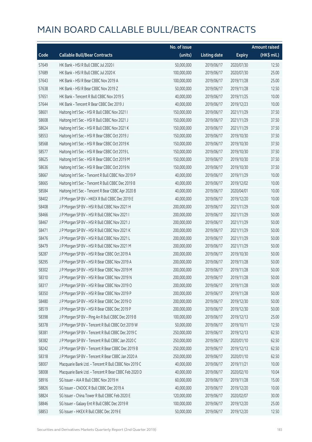|       |                                                      | No. of issue |                     |               | <b>Amount raised</b> |
|-------|------------------------------------------------------|--------------|---------------------|---------------|----------------------|
| Code  | <b>Callable Bull/Bear Contracts</b>                  | (units)      | <b>Listing date</b> | <b>Expiry</b> | (HK\$ mil.)          |
| 57649 | HK Bank - HSI R Bull CBBC Jul 2020 I                 | 50,000,000   | 2019/06/17          | 2020/07/30    | 12.50                |
| 57689 | HK Bank - HSI R Bull CBBC Jul 2020 K                 | 100,000,000  | 2019/06/17          | 2020/07/30    | 25.00                |
| 57643 | HK Bank - HSI R Bear CBBC Nov 2019 A                 | 100,000,000  | 2019/06/17          | 2019/11/28    | 25.00                |
| 57638 | HK Bank - HSI R Bear CBBC Nov 2019 Z                 | 50,000,000   | 2019/06/17          | 2019/11/28    | 12.50                |
| 57651 | HK Bank - Tencent R Bull CBBC Nov 2019 S             | 40,000,000   | 2019/06/17          | 2019/11/25    | 10.00                |
| 57644 | HK Bank - Tencent R Bear CBBC Dec 2019 J             | 40,000,000   | 2019/06/17          | 2019/12/23    | 10.00                |
| 58601 | Haitong Int'l Sec - HSI R Bull CBBC Nov 2021 I       | 150,000,000  | 2019/06/17          | 2021/11/29    | 37.50                |
| 58608 | Haitong Int'l Sec - HSI R Bull CBBC Nov 2021 J       | 150,000,000  | 2019/06/17          | 2021/11/29    | 37.50                |
| 58624 | Haitong Int'l Sec - HSI R Bull CBBC Nov 2021 K       | 150,000,000  | 2019/06/17          | 2021/11/29    | 37.50                |
| 58553 | Haitong Int'l Sec - HSI R Bear CBBC Oct 2019 J       | 150,000,000  | 2019/06/17          | 2019/10/30    | 37.50                |
| 58568 | Haitong Int'l Sec - HSI R Bear CBBC Oct 2019 K       | 150,000,000  | 2019/06/17          | 2019/10/30    | 37.50                |
| 58577 | Haitong Int'l Sec - HSI R Bear CBBC Oct 2019 L       | 150,000,000  | 2019/06/17          | 2019/10/30    | 37.50                |
| 58625 | Haitong Int'l Sec - HSI R Bear CBBC Oct 2019 M       | 150,000,000  | 2019/06/17          | 2019/10/30    | 37.50                |
| 58636 | Haitong Int'l Sec - HSI R Bear CBBC Oct 2019 N       | 150,000,000  | 2019/06/17          | 2019/10/30    | 37.50                |
| 58667 | Haitong Int'l Sec - Tencent R Bull CBBC Nov 2019 P   | 40,000,000   | 2019/06/17          | 2019/11/29    | 10.00                |
| 58665 | Haitong Int'l Sec - Tencent R Bull CBBC Dec 2019 B   | 40,000,000   | 2019/06/17          | 2019/12/02    | 10.00                |
| 58584 | Haitong Int'l Sec - Tencent R Bear CBBC Apr 2020 B   | 40,000,000   | 2019/06/17          | 2020/04/01    | 10.00                |
| 58402 | J P Morgan SP BV - HKEX R Bull CBBC Dec 2019 E       | 40,000,000   | 2019/06/17          | 2019/12/20    | 10.00                |
| 58408 | J P Morgan SP BV - HSI R Bull CBBC Nov 2021 H        | 200,000,000  | 2019/06/17          | 2021/11/29    | 50.00                |
| 58466 | J P Morgan SP BV - HSI R Bull CBBC Nov 2021 I        | 200,000,000  | 2019/06/17          | 2021/11/29    | 50.00                |
| 58467 | J P Morgan SP BV - HSI R Bull CBBC Nov 2021 J        | 200,000,000  | 2019/06/17          | 2021/11/29    | 50.00                |
| 58471 | J P Morgan SP BV - HSI R Bull CBBC Nov 2021 K        | 200,000,000  | 2019/06/17          | 2021/11/29    | 50.00                |
| 58476 | J P Morgan SP BV - HSI R Bull CBBC Nov 2021 L        | 200,000,000  | 2019/06/17          | 2021/11/29    | 50.00                |
| 58479 | J P Morgan SP BV - HSI R Bull CBBC Nov 2021 M        | 200,000,000  | 2019/06/17          | 2021/11/29    | 50.00                |
| 58287 | J P Morgan SP BV - HSI R Bear CBBC Oct 2019 A        | 200,000,000  | 2019/06/17          | 2019/10/30    | 50.00                |
| 58295 | J P Morgan SP BV - HSI R Bear CBBC Nov 2019 A        | 200,000,000  | 2019/06/17          | 2019/11/28    | 50.00                |
| 58302 | J P Morgan SP BV - HSI R Bear CBBC Nov 2019 M        | 200,000,000  | 2019/06/17          | 2019/11/28    | 50.00                |
| 58310 | J P Morgan SP BV - HSI R Bear CBBC Nov 2019 N        | 200,000,000  | 2019/06/17          | 2019/11/28    | 50.00                |
| 58317 | J P Morgan SP BV - HSI R Bear CBBC Nov 2019 O        | 200,000,000  | 2019/06/17          | 2019/11/28    | 50.00                |
| 58350 | J P Morgan SP BV - HSI R Bear CBBC Nov 2019 P        | 200,000,000  | 2019/06/17          | 2019/11/28    | 50.00                |
| 58480 | J P Morgan SP BV - HSI R Bear CBBC Dec 2019 O        | 200,000,000  | 2019/06/17          | 2019/12/30    | 50.00                |
| 58519 | J P Morgan SP BV - HSI R Bear CBBC Dec 2019 P        | 200,000,000  | 2019/06/17          | 2019/12/30    | 50.00                |
| 58398 | J P Morgan SP BV - Ping An R Bull CBBC Dec 2019 B    | 100,000,000  | 2019/06/17          | 2019/12/13    | 25.00                |
| 58378 | J P Morgan SP BV - Tencent R Bull CBBC Oct 2019 W    | 50,000,000   | 2019/06/17          | 2019/10/11    | 12.50                |
| 58381 | J P Morgan SP BV - Tencent R Bull CBBC Dec 2019 C    | 250,000,000  | 2019/06/17          | 2019/12/13    | 62.50                |
| 58382 | J P Morgan SP BV - Tencent R Bull CBBC Jan 2020 C    | 250,000,000  | 2019/06/17          | 2020/01/10    | 62.50                |
| 58242 | J P Morgan SP BV - Tencent R Bear CBBC Dec 2019 B    | 250,000,000  | 2019/06/17          | 2019/12/13    | 62.50                |
| 58318 | J P Morgan SP BV - Tencent R Bear CBBC Jan 2020 A    | 250,000,000  | 2019/06/17          | 2020/01/10    | 62.50                |
| 58007 | Macquarie Bank Ltd. - Tencent R Bull CBBC Nov 2019 C | 40,000,000   | 2019/06/17          | 2019/11/21    | 10.00                |
| 58008 | Macquarie Bank Ltd. - Tencent R Bear CBBC Feb 2020 D | 40,000,000   | 2019/06/17          | 2020/02/10    | 10.04                |
| 58916 | SG Issuer - AIA R Bull CBBC Nov 2019 H               | 60,000,000   | 2019/06/17          | 2019/11/28    | 15.00                |
| 58826 | SG Issuer - CNOOC R Bull CBBC Dec 2019 A             | 40,000,000   | 2019/06/17          | 2019/12/20    | 10.00                |
| 58824 | SG Issuer - China Tower R Bull CBBC Feb 2020 E       | 120,000,000  | 2019/06/17          | 2020/02/07    | 30.00                |
| 58846 | SG Issuer - Galaxy Ent R Bull CBBC Dec 2019 R        | 100,000,000  | 2019/06/17          | 2019/12/20    | 25.00                |
| 58853 | SG Issuer - HKEX R Bull CBBC Dec 2019 E              | 50,000,000   | 2019/06/17          | 2019/12/20    | 12.50                |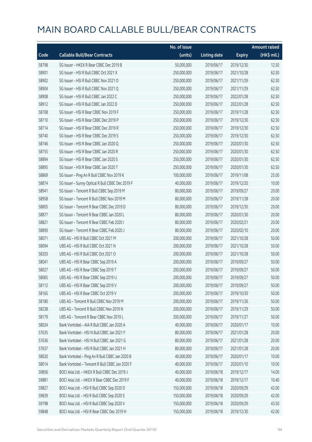|       |                                                  | No. of issue |                     |               | <b>Amount raised</b> |
|-------|--------------------------------------------------|--------------|---------------------|---------------|----------------------|
| Code  | <b>Callable Bull/Bear Contracts</b>              | (units)      | <b>Listing date</b> | <b>Expiry</b> | (HK\$ mil.)          |
| 58798 | SG Issuer - HKEX R Bear CBBC Dec 2019 B          | 50,000,000   | 2019/06/17          | 2019/12/30    | 12.50                |
| 58901 | SG Issuer - HSI R Bull CBBC Oct 2021 X           | 250,000,000  | 2019/06/17          | 2021/10/28    | 62.50                |
| 58902 | SG Issuer - HSI R Bull CBBC Nov 2021 O           | 250,000,000  | 2019/06/17          | 2021/11/29    | 62.50                |
| 58904 | SG Issuer - HSI R Bull CBBC Nov 2021 Q           | 250,000,000  | 2019/06/17          | 2021/11/29    | 62.50                |
| 58908 | SG Issuer - HSI R Bull CBBC Jan 2022 C           | 250,000,000  | 2019/06/17          | 2022/01/28    | 62.50                |
| 58912 | SG Issuer - HSI R Bull CBBC Jan 2022 D           | 250,000,000  | 2019/06/17          | 2022/01/28    | 62.50                |
| 58708 | SG Issuer - HSI R Bear CBBC Nov 2019 F           | 250,000,000  | 2019/06/17          | 2019/11/28    | 62.50                |
| 58710 | SG Issuer - HSI R Bear CBBC Dec 2019 P           | 250,000,000  | 2019/06/17          | 2019/12/30    | 62.50                |
| 58714 | SG Issuer - HSI R Bear CBBC Dec 2019 R           | 250,000,000  | 2019/06/17          | 2019/12/30    | 62.50                |
| 58740 | SG Issuer - HSI R Bear CBBC Dec 2019 S           | 250,000,000  | 2019/06/17          | 2019/12/30    | 62.50                |
| 58746 | SG Issuer - HSI R Bear CBBC Jan 2020 Q           | 250,000,000  | 2019/06/17          | 2020/01/30    | 62.50                |
| 58755 | SG Issuer - HSI R Bear CBBC Jan 2020 R           | 250,000,000  | 2019/06/17          | 2020/01/30    | 62.50                |
| 58894 | SG Issuer - HSI R Bear CBBC Jan 2020 S           | 250,000,000  | 2019/06/17          | 2020/01/30    | 62.50                |
| 58895 | SG Issuer - HSI R Bear CBBC Jan 2020 T           | 250,000,000  | 2019/06/17          | 2020/01/30    | 62.50                |
| 58869 | SG Issuer - Ping An R Bull CBBC Nov 2019 K       | 100,000,000  | 2019/06/17          | 2019/11/08    | 25.00                |
| 58874 | SG Issuer - Sunny Optical R Bull CBBC Dec 2019 F | 40,000,000   | 2019/06/17          | 2019/12/20    | 10.00                |
| 58941 | SG Issuer - Tencent R Bull CBBC Sep 2019 M       | 80,000,000   | 2019/06/17          | 2019/09/27    | 20.00                |
| 58958 | SG Issuer - Tencent R Bull CBBC Nov 2019 M       | 80,000,000   | 2019/06/17          | 2019/11/28    | 20.00                |
| 58805 | SG Issuer - Tencent R Bear CBBC Dec 2019 D       | 80,000,000   | 2019/06/17          | 2019/12/30    | 20.00                |
| 58877 | SG Issuer - Tencent R Bear CBBC Jan 2020 L       | 80,000,000   | 2019/06/17          | 2020/01/30    | 20.00                |
| 58821 | SG Issuer - Tencent R Bear CBBC Feb 2020 I       | 80,000,000   | 2019/06/17          | 2020/02/21    | 20.00                |
| 58890 | SG Issuer - Tencent R Bear CBBC Feb 2020 J       | 80,000,000   | 2019/06/17          | 2020/02/10    | 20.00                |
| 58071 | UBS AG - HSI R Bull CBBC Oct 2021 M              | 200,000,000  | 2019/06/17          | 2021/10/28    | 50.00                |
| 58094 | UBS AG - HSI R Bull CBBC Oct 2021 N              | 200,000,000  | 2019/06/17          | 2021/10/28    | 50.00                |
| 58203 | UBS AG - HSI R Bull CBBC Oct 2021 O              | 200,000,000  | 2019/06/17          | 2021/10/28    | 50.00                |
| 58041 | UBS AG - HSI R Bear CBBC Sep 2019 A              | 200,000,000  | 2019/06/17          | 2019/09/27    | 50.00                |
| 58027 | UBS AG - HSI R Bear CBBC Sep 2019 T              | 200,000,000  | 2019/06/17          | 2019/09/27    | 50.00                |
| 58065 | UBS AG - HSI R Bear CBBC Sep 2019 U              | 200,000,000  | 2019/06/17          | 2019/09/27    | 50.00                |
| 58112 | UBS AG - HSI R Bear CBBC Sep 2019 V              | 200,000,000  | 2019/06/17          | 2019/09/27    | 50.00                |
| 58165 | UBS AG - HSI R Bear CBBC Oct 2019 V              | 200,000,000  | 2019/06/17          | 2019/10/30    | 50.00                |
| 58180 | UBS AG - Tencent R Bull CBBC Nov 2019 M          | 200,000,000  | 2019/06/17          | 2019/11/26    | 50.00                |
| 58238 | UBS AG - Tencent R Bull CBBC Nov 2019 N          | 200,000,000  | 2019/06/17          | 2019/11/29    | 50.00                |
| 58179 | UBS AG - Tencent R Bear CBBC Nov 2019 L          | 200,000,000  | 2019/06/17          | 2019/11/27    | 50.00                |
| 58024 | Bank Vontobel - AIA R Bull CBBC Jan 2020 A       | 40,000,000   | 2019/06/17          | 2020/01/17    | 10.00                |
| 57635 | Bank Vontobel - HSI N Bull CBBC Jan 2021 F       | 80,000,000   | 2019/06/17          | 2021/01/28    | 20.00                |
| 57636 | Bank Vontobel - HSI N Bull CBBC Jan 2021 G       | 80,000,000   | 2019/06/17          | 2021/01/28    | 20.00                |
| 57637 | Bank Vontobel - HSI R Bull CBBC Jan 2021 H       | 80,000,000   | 2019/06/17          | 2021/01/28    | 20.00                |
| 58020 | Bank Vontobel - Ping An R Bull CBBC Jan 2020 B   | 40,000,000   | 2019/06/17          | 2020/01/17    | 10.00                |
| 58014 | Bank Vontobel - Tencent R Bull CBBC Jan 2020 F   | 40,000,000   | 2019/06/17          | 2020/01/10    | 10.00                |
| 59856 | BOCI Asia Ltd. - HKEX R Bull CBBC Dec 2019 J     | 40,000,000   | 2019/06/18          | 2019/12/17    | 14.00                |
| 59881 | BOCI Asia Ltd. - HKEX R Bear CBBC Dec 2019 F     | 40,000,000   | 2019/06/18          | 2019/12/17    | 10.40                |
| 59827 | BOCI Asia Ltd. - HSI R Bull CBBC Sep 2020 D      | 150,000,000  | 2019/06/18          | 2020/09/29    | 42.00                |
| 59839 | BOCI Asia Ltd. - HSI R Bull CBBC Sep 2020 S      | 150,000,000  | 2019/06/18          | 2020/09/29    | 42.00                |
| 59798 | BOCI Asia Ltd. - HSI R Bull CBBC Sep 2020 V      | 150,000,000  | 2019/06/18          | 2020/09/29    | 43.50                |
| 59848 | BOCI Asia Ltd. - HSI R Bear CBBC Dec 2019 H      | 150,000,000  | 2019/06/18          | 2019/12/30    | 42.00                |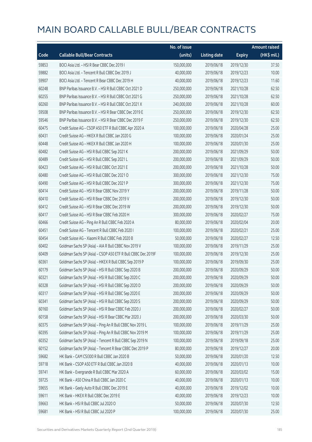|       |                                                              | No. of issue |                     |               | <b>Amount raised</b>  |
|-------|--------------------------------------------------------------|--------------|---------------------|---------------|-----------------------|
| Code  | <b>Callable Bull/Bear Contracts</b>                          | (units)      | <b>Listing date</b> | <b>Expiry</b> | $(HK\frac{1}{2}mil.)$ |
| 59853 | BOCI Asia Ltd. - HSI R Bear CBBC Dec 2019 I                  | 150,000,000  | 2019/06/18          | 2019/12/30    | 37.50                 |
| 59882 | BOCI Asia Ltd. - Tencent R Bull CBBC Dec 2019 J              | 40,000,000   | 2019/06/18          | 2019/12/23    | 10.00                 |
| 59907 | BOCI Asia Ltd. - Tencent R Bear CBBC Dec 2019 H              | 40,000,000   | 2019/06/18          | 2019/12/23    | 11.60                 |
| 60248 | BNP Paribas Issuance B.V. - HSI R Bull CBBC Oct 2021 D       | 250,000,000  | 2019/06/18          | 2021/10/28    | 62.50                 |
| 60255 | BNP Paribas Issuance B.V. - HSI R Bull CBBC Oct 2021 G       | 250,000,000  | 2019/06/18          | 2021/10/28    | 62.50                 |
| 60260 | BNP Paribas Issuance B.V. - HSI R Bull CBBC Oct 2021 X       | 240,000,000  | 2019/06/18          | 2021/10/28    | 60.00                 |
| 59508 | BNP Paribas Issuance B.V. - HSI R Bear CBBC Dec 2019 E       | 250,000,000  | 2019/06/18          | 2019/12/30    | 62.50                 |
| 59546 | BNP Paribas Issuance B.V. - HSI R Bear CBBC Dec 2019 F       | 250,000,000  | 2019/06/18          | 2019/12/30    | 62.50                 |
| 60475 | Credit Suisse AG - CSOP A50 ETF R Bull CBBC Apr 2020 A       | 100,000,000  | 2019/06/18          | 2020/04/28    | 25.00                 |
| 60431 | Credit Suisse AG - HKEX R Bull CBBC Jan 2020 G               | 100,000,000  | 2019/06/18          | 2020/01/24    | 25.00                 |
| 60448 | Credit Suisse AG - HKEX R Bull CBBC Jan 2020 H               | 100,000,000  | 2019/06/18          | 2020/01/30    | 25.00                 |
| 60482 | Credit Suisse AG - HSI R Bull CBBC Sep 2021 K                | 200,000,000  | 2019/06/18          | 2021/09/29    | 50.00                 |
| 60489 | Credit Suisse AG - HSI R Bull CBBC Sep 2021 L                | 200,000,000  | 2019/06/18          | 2021/09/29    | 50.00                 |
| 60423 | Credit Suisse AG - HSI R Bull CBBC Oct 2021 E                | 200,000,000  | 2019/06/18          | 2021/10/28    | 50.00                 |
| 60480 | Credit Suisse AG - HSI R Bull CBBC Dec 2021 O                | 300,000,000  | 2019/06/18          | 2021/12/30    | 75.00                 |
| 60490 | Credit Suisse AG - HSI R Bull CBBC Dec 2021 P                | 300,000,000  | 2019/06/18          | 2021/12/30    | 75.00                 |
| 60414 | Credit Suisse AG - HSI R Bear CBBC Nov 2019 Y                | 200,000,000  | 2019/06/18          | 2019/11/28    | 50.00                 |
| 60410 | Credit Suisse AG - HSI R Bear CBBC Dec 2019 V                | 200,000,000  | 2019/06/18          | 2019/12/30    | 50.00                 |
| 60412 | Credit Suisse AG - HSI R Bear CBBC Dec 2019 W                | 200,000,000  | 2019/06/18          | 2019/12/30    | 50.00                 |
| 60417 | Credit Suisse AG - HSI R Bear CBBC Feb 2020 H                | 300,000,000  | 2019/06/18          | 2020/02/27    | 75.00                 |
| 60466 | Credit Suisse AG - Ping An R Bull CBBC Feb 2020 A            | 80,000,000   | 2019/06/18          | 2020/02/04    | 20.00                 |
| 60451 | Credit Suisse AG - Tencent R Bull CBBC Feb 2020 I            | 100,000,000  | 2019/06/18          | 2020/02/21    | 25.00                 |
| 60454 | Credit Suisse AG - Xiaomi R Bull CBBC Feb 2020 B             | 50,000,000   | 2019/06/18          | 2020/02/27    | 12.50                 |
| 60402 | Goldman Sachs SP (Asia) - AIA R Bull CBBC Nov 2019 V         | 100,000,000  | 2019/06/18          | 2019/11/29    | 25.00                 |
| 60409 | Goldman Sachs SP (Asia) - CSOP A50 ETF R Bull CBBC Dec 2019F | 100,000,000  | 2019/06/18          | 2019/12/30    | 25.00                 |
| 60361 | Goldman Sachs SP (Asia) - HKEX R Bull CBBC Sep 2019 P        | 100,000,000  | 2019/06/18          | 2019/09/30    | 25.00                 |
| 60179 | Goldman Sachs SP (Asia) - HSI R Bull CBBC Sep 2020 B         | 200,000,000  | 2019/06/18          | 2020/09/29    | 50.00                 |
| 60321 | Goldman Sachs SP (Asia) - HSI R Bull CBBC Sep 2020 C         | 200,000,000  | 2019/06/18          | 2020/09/29    | 50.00                 |
| 60328 | Goldman Sachs SP (Asia) - HSI R Bull CBBC Sep 2020 D         | 200,000,000  | 2019/06/18          | 2020/09/29    | 50.00                 |
| 60317 | Goldman Sachs SP (Asia) - HSI R Bull CBBC Sep 2020 E         | 200,000,000  | 2019/06/18          | 2020/09/29    | 50.00                 |
| 60341 | Goldman Sachs SP (Asia) - HSI R Bull CBBC Sep 2020 S         | 200,000,000  | 2019/06/18          | 2020/09/29    | 50.00                 |
| 60160 | Goldman Sachs SP (Asia) - HSI R Bear CBBC Feb 2020 J         | 200,000,000  | 2019/06/18          | 2020/02/27    | 50.00                 |
| 60158 | Goldman Sachs SP (Asia) - HSI R Bear CBBC Mar 2020 J         | 200,000,000  | 2019/06/18          | 2020/03/30    | 50.00                 |
| 60375 | Goldman Sachs SP (Asia) - Ping An R Bull CBBC Nov 2019 L     | 100,000,000  | 2019/06/18          | 2019/11/29    | 25.00                 |
| 60395 | Goldman Sachs SP (Asia) - Ping An R Bull CBBC Nov 2019 M     | 100,000,000  | 2019/06/18          | 2019/11/29    | 25.00                 |
| 60352 | Goldman Sachs SP (Asia) - Tencent R Bull CBBC Sep 2019 N     | 100,000,000  | 2019/06/18          | 2019/09/18    | 25.00                 |
| 60152 | Goldman Sachs SP (Asia) - Tencent R Bear CBBC Dec 2019 P     | 80,000,000   | 2019/06/18          | 2019/12/27    | 20.00                 |
| 59682 | HK Bank - CAM CSI300 R Bull CBBC Jan 2020 B                  | 50,000,000   | 2019/06/18          | 2020/01/20    | 12.50                 |
| 59718 | HK Bank - CSOP A50 ETF R Bull CBBC Jan 2020 B                | 40,000,000   | 2019/06/18          | 2020/01/13    | 10.00                 |
| 59741 | HK Bank - Evergrande R Bull CBBC Mar 2020 A                  | 60,000,000   | 2019/06/18          | 2020/03/02    | 15.00                 |
| 59725 | HK Bank - A50 China R Bull CBBC Jan 2020 C                   | 40,000,000   | 2019/06/18          | 2020/01/13    | 10.00                 |
| 59655 | HK Bank - Geely Auto R Bull CBBC Dec 2019 E                  | 40,000,000   | 2019/06/18          | 2019/12/02    | 10.00                 |
| 59611 | HK Bank - HKEX R Bull CBBC Dec 2019 E                        | 40,000,000   | 2019/06/18          | 2019/12/23    | 10.00                 |
| 59663 | HK Bank - HSI R Bull CBBC Jul 2020 O                         | 50,000,000   | 2019/06/18          | 2020/07/30    | 12.50                 |
| 59681 | HK Bank - HSI R Bull CBBC Jul 2020 P                         | 100,000,000  | 2019/06/18          | 2020/07/30    | 25.00                 |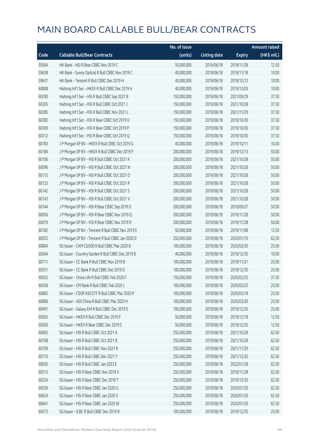|       |                                                   | No. of issue |                     |               | <b>Amount raised</b> |
|-------|---------------------------------------------------|--------------|---------------------|---------------|----------------------|
| Code  | <b>Callable Bull/Bear Contracts</b>               | (units)      | <b>Listing date</b> | <b>Expiry</b> | (HK\$ mil.)          |
| 59564 | HK Bank - HSI R Bear CBBC Nov 2019 C              | 50,000,000   | 2019/06/18          | 2019/11/28    | 12.50                |
| 59638 | HK Bank - Sunny Optical R Bull CBBC Nov 2019 C    | 40,000,000   | 2019/06/18          | 2019/11/18    | 10.00                |
| 59631 | HK Bank - Tencent R Bull CBBC Dec 2019 H          | 40,000,000   | 2019/06/18          | 2019/12/12    | 10.00                |
| 60808 | Haitong Int'l Sec - HKEX R Bull CBBC Dec 2019 A   | 40,000,000   | 2019/06/18          | 2019/12/03    | 10.00                |
| 60290 | Haitong Int'l Sec - HSI R Bull CBBC Sep 2021 B    | 150,000,000  | 2019/06/18          | 2021/09/29    | 37.50                |
| 60305 | Haitong Int'l Sec - HSI R Bull CBBC Oct 2021 J    | 150,000,000  | 2019/06/18          | 2021/10/28    | 37.50                |
| 60285 | Haitong Int'l Sec - HSI R Bull CBBC Nov 2021 L    | 150,000,000  | 2019/06/18          | 2021/11/29    | 37.50                |
| 60282 | Haitong Int'l Sec - HSI R Bear CBBC Oct 2019 O    | 150,000,000  | 2019/06/18          | 2019/10/30    | 37.50                |
| 60309 | Haitong Int'l Sec - HSI R Bear CBBC Oct 2019 P    | 150,000,000  | 2019/06/18          | 2019/10/30    | 37.50                |
| 60312 | Haitong Int'l Sec - HSI R Bear CBBC Oct 2019 Q    | 150,000,000  | 2019/06/18          | 2019/10/30    | 37.50                |
| 60183 | J P Morgan SP BV - HKEX R Bull CBBC Oct 2019 G    | 40,000,000   | 2019/06/18          | 2019/10/11    | 10.00                |
| 60184 | J P Morgan SP BV - HKEX R Bull CBBC Dec 2019 F    | 200,000,000  | 2019/06/18          | 2019/12/13    | 50.00                |
| 60106 | J P Morgan SP BV - HSI R Bull CBBC Oct 2021 K     | 200,000,000  | 2019/06/18          | 2021/10/28    | 50.00                |
| 60096 | J P Morgan SP BV - HSI R Bull CBBC Oct 2021 N     | 200,000,000  | 2019/06/18          | 2021/10/28    | 50.00                |
| 60115 | J P Morgan SP BV - HSI R Bull CBBC Oct 2021 O     | 200,000,000  | 2019/06/18          | 2021/10/28    | 50.00                |
| 60132 | J P Morgan SP BV - HSI R Bull CBBC Oct 2021 R     | 200,000,000  | 2019/06/18          | 2021/10/28    | 50.00                |
| 60142 | JP Morgan SP BV - HSIR Bull CBBC Oct 2021 S       | 200,000,000  | 2019/06/18          | 2021/10/28    | 50.00                |
| 60143 | J P Morgan SP BV - HSI R Bull CBBC Oct 2021 V     | 200,000,000  | 2019/06/18          | 2021/10/28    | 50.00                |
| 60144 | J P Morgan SP BV - HSI R Bear CBBC Sep 2019 D     | 200,000,000  | 2019/06/18          | 2019/09/27    | 50.00                |
| 60056 | J P Morgan SP BV - HSI R Bear CBBC Nov 2019 Q     | 200,000,000  | 2019/06/18          | 2019/11/28    | 50.00                |
| 60079 | J P Morgan SP BV - HSI R Bear CBBC Nov 2019 R     | 200,000,000  | 2019/06/18          | 2019/11/28    | 50.00                |
| 60182 | J P Morgan SP BV - Tencent R Bull CBBC Nov 2019 E | 50,000,000   | 2019/06/18          | 2019/11/08    | 12.50                |
| 60052 | J P Morgan SP BV - Tencent R Bull CBBC Jan 2020 D | 250,000,000  | 2019/06/18          | 2020/01/10    | 62.50                |
| 60804 | SG Issuer - CAM CSI300 R Bull CBBC Mar 2020 B     | 100,000,000  | 2019/06/18          | 2020/03/30    | 25.00                |
| 60564 | SG Issuer - Country Garden R Bull CBBC Dec 2019 B | 40,000,000   | 2019/06/18          | 2019/12/30    | 10.00                |
| 60711 | SG Issuer - CC Bank R Bull CBBC Nov 2019 B        | 100,000,000  | 2019/06/18          | 2019/11/21    | 25.00                |
| 60551 | SG Issuer - CC Bank R Bull CBBC Dec 2019 D        | 100,000,000  | 2019/06/18          | 2019/12/30    | 25.00                |
| 60553 | SG Issuer – China Life R Bull CBBC Feb 2020 F     | 150,000,000  | 2019/06/18          | 2020/02/25    | 37.50                |
| 60558 | SG Issuer - CM Bank R Bull CBBC Feb 2020 J        | 100,000,000  | 2019/06/18          | 2020/02/25    | 25.00                |
| 60805 | SG Issuer - CSOP A50 ETF R Bull CBBC Mar 2020 P   | 100,000,000  | 2019/06/18          | 2020/03/18    | 25.00                |
| 60806 | SG Issuer - A50 China R Bull CBBC Mar 2020 H      | 100,000,000  | 2019/06/18          | 2020/03/30    | 25.00                |
| 60491 | SG Issuer - Galaxy Ent R Bull CBBC Dec 2019 S     | 100,000,000  | 2019/06/18          | 2019/12/30    | 25.00                |
| 60565 | SG Issuer - HKEX R Bull CBBC Dec 2019 F           | 50,000,000   | 2019/06/18          | 2019/12/18    | 12.50                |
| 60500 | SG Issuer - HKEX R Bear CBBC Dec 2019 C           | 50,000,000   | 2019/06/18          | 2019/12/30    | 12.50                |
| 60692 | SG Issuer - HSI R Bull CBBC Oct 2021 A            | 250,000,000  | 2019/06/18          | 2021/10/28    | 62.50                |
| 60708 | SG Issuer - HSI R Bull CBBC Oct 2021 B            | 250,000,000  | 2019/06/18          | 2021/10/28    | 62.50                |
| 60709 | SG Issuer - HSI R Bull CBBC Nov 2021 R            | 250,000,000  | 2019/06/18          | 2021/11/29    | 62.50                |
| 60710 | SG Issuer - HSI R Bull CBBC Dec 2021 Y            | 250,000,000  | 2019/06/18          | 2021/12/30    | 62.50                |
| 60630 | SG Issuer - HSI R Bull CBBC Jan 2022 E            | 250,000,000  | 2019/06/18          | 2022/01/28    | 62.50                |
| 60515 | SG Issuer - HSI R Bear CBBC Nov 2019 V            | 250,000,000  | 2019/06/18          | 2019/11/28    | 62.50                |
| 60524 | SG Issuer - HSI R Bear CBBC Dec 2019 T            | 250,000,000  | 2019/06/18          | 2019/12/30    | 62.50                |
| 60539 | SG Issuer - HSI R Bear CBBC Jan 2020 U            | 250,000,000  | 2019/06/18          | 2020/01/30    | 62.50                |
| 60624 | SG Issuer - HSI R Bear CBBC Jan 2020 V            | 250,000,000  | 2019/06/18          | 2020/01/30    | 62.50                |
| 60641 | SG Issuer - HSI R Bear CBBC Jan 2020 W            | 250,000,000  | 2019/06/18          | 2020/01/30    | 62.50                |
| 60573 | SG Issuer - ICBC R Bull CBBC Dec 2019 B           | 100,000,000  | 2019/06/18          | 2019/12/30    | 25.00                |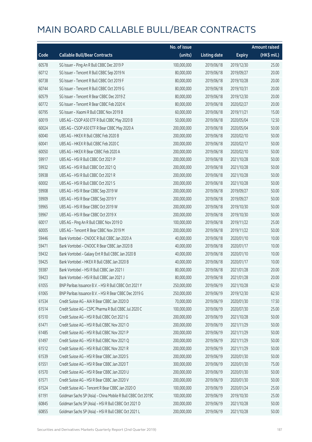|       |                                                              | No. of issue |                     |               | <b>Amount raised</b> |
|-------|--------------------------------------------------------------|--------------|---------------------|---------------|----------------------|
| Code  | <b>Callable Bull/Bear Contracts</b>                          | (units)      | <b>Listing date</b> | <b>Expiry</b> | (HK\$ mil.)          |
| 60578 | SG Issuer - Ping An R Bull CBBC Dec 2019 P                   | 100,000,000  | 2019/06/18          | 2019/12/30    | 25.00                |
| 60712 | SG Issuer - Tencent R Bull CBBC Sep 2019 N                   | 80,000,000   | 2019/06/18          | 2019/09/27    | 20.00                |
| 60738 | SG Issuer - Tencent R Bull CBBC Oct 2019 F                   | 80,000,000   | 2019/06/18          | 2019/10/28    | 20.00                |
| 60744 | SG Issuer - Tencent R Bull CBBC Oct 2019 G                   | 80,000,000   | 2019/06/18          | 2019/10/31    | 20.00                |
| 60579 | SG Issuer - Tencent R Bear CBBC Dec 2019 Z                   | 80,000,000   | 2019/06/18          | 2019/12/30    | 20.00                |
| 60772 | SG Issuer - Tencent R Bear CBBC Feb 2020 K                   | 80,000,000   | 2019/06/18          | 2020/02/27    | 20.00                |
| 60795 | SG Issuer - Xiaomi R Bull CBBC Nov 2019 B                    | 60,000,000   | 2019/06/18          | 2019/11/21    | 15.00                |
| 60019 | UBS AG - CSOP A50 ETF R Bull CBBC May 2020 B                 | 50,000,000   | 2019/06/18          | 2020/05/04    | 12.50                |
| 60024 | UBS AG - CSOP A50 ETF R Bear CBBC May 2020 A                 | 200,000,000  | 2019/06/18          | 2020/05/04    | 50.00                |
| 60040 | UBS AG - HKEX R Bull CBBC Feb 2020 B                         | 200,000,000  | 2019/06/18          | 2020/02/10    | 50.00                |
| 60041 | UBS AG - HKEX R Bull CBBC Feb 2020 C                         | 200,000,000  | 2019/06/18          | 2020/02/17    | 50.00                |
| 60050 | UBS AG - HKEX R Bear CBBC Feb 2020 A                         | 200,000,000  | 2019/06/18          | 2020/02/10    | 50.00                |
| 59917 | UBS AG - HSI R Bull CBBC Oct 2021 P                          | 200,000,000  | 2019/06/18          | 2021/10/28    | 50.00                |
| 59932 | UBS AG - HSI R Bull CBBC Oct 2021 Q                          | 200,000,000  | 2019/06/18          | 2021/10/28    | 50.00                |
| 59938 | UBS AG - HSI R Bull CBBC Oct 2021 R                          | 200,000,000  | 2019/06/18          | 2021/10/28    | 50.00                |
| 60002 | UBS AG - HSI R Bull CBBC Oct 2021 S                          | 200,000,000  | 2019/06/18          | 2021/10/28    | 50.00                |
| 59908 | UBS AG - HSI R Bear CBBC Sep 2019 W                          | 200,000,000  | 2019/06/18          | 2019/09/27    | 50.00                |
| 59909 | UBS AG - HSI R Bear CBBC Sep 2019 Y                          | 200,000,000  | 2019/06/18          | 2019/09/27    | 50.00                |
| 59965 | UBS AG - HSI R Bear CBBC Oct 2019 W                          | 200,000,000  | 2019/06/18          | 2019/10/30    | 50.00                |
| 59967 | UBS AG - HSI R Bear CBBC Oct 2019 X                          | 200,000,000  | 2019/06/18          | 2019/10/30    | 50.00                |
| 60017 | UBS AG - Ping An R Bull CBBC Nov 2019 D                      | 100,000,000  | 2019/06/18          | 2019/11/22    | 25.00                |
| 60005 | UBS AG - Tencent R Bear CBBC Nov 2019 M                      | 200,000,000  | 2019/06/18          | 2019/11/22    | 50.00                |
| 59446 | Bank Vontobel - CNOOC R Bull CBBC Jan 2020 A                 | 40,000,000   | 2019/06/18          | 2020/01/10    | 10.00                |
| 59471 | Bank Vontobel - CNOOC R Bear CBBC Jan 2020 B                 | 40,000,000   | 2019/06/18          | 2020/01/17    | 10.00                |
| 59432 | Bank Vontobel - Galaxy Ent R Bull CBBC Jan 2020 B            | 40,000,000   | 2019/06/18          | 2020/01/10    | 10.00                |
| 59425 | Bank Vontobel - HKEX R Bull CBBC Jan 2020 B                  | 40,000,000   | 2019/06/18          | 2020/01/17    | 10.00                |
| 59387 | Bank Vontobel - HSI R Bull CBBC Jan 2021 I                   | 80,000,000   | 2019/06/18          | 2021/01/28    | 20.00                |
| 59423 | Bank Vontobel - HSI R Bull CBBC Jan 2021 J                   | 80,000,000   | 2019/06/18          | 2021/01/28    | 20.00                |
| 61055 | BNP Paribas Issuance B.V. - HSI R Bull CBBC Oct 2021 Y       | 250,000,000  | 2019/06/19          | 2021/10/28    | 62.50                |
| 61065 | BNP Paribas Issuance B.V. - HSI R Bear CBBC Dec 2019 G       | 250,000,000  | 2019/06/19          | 2019/12/30    | 62.50                |
| 61534 | Credit Suisse AG - AIA R Bear CBBC Jan 2020 D                | 70,000,000   | 2019/06/19          | 2020/01/30    | 17.50                |
| 61514 | Credit Suisse AG - CSPC Pharma R Bull CBBC Jul 2020 C        | 100,000,000  | 2019/06/19          | 2020/07/30    | 25.00                |
| 61510 | Credit Suisse AG - HSI R Bull CBBC Oct 2021 G                | 200,000,000  | 2019/06/19          | 2021/10/28    | 50.00                |
| 61471 | Credit Suisse AG - HSI R Bull CBBC Nov 2021 O                | 200,000,000  | 2019/06/19          | 2021/11/29    | 50.00                |
| 61485 | Credit Suisse AG - HSI R Bull CBBC Nov 2021 P                | 200,000,000  | 2019/06/19          | 2021/11/29    | 50.00                |
| 61497 | Credit Suisse AG - HSI R Bull CBBC Nov 2021 Q                | 200,000,000  | 2019/06/19          | 2021/11/29    | 50.00                |
| 61512 | Credit Suisse AG - HSI R Bull CBBC Nov 2021 R                | 200,000,000  | 2019/06/19          | 2021/11/29    | 50.00                |
| 61539 | Credit Suisse AG - HSI R Bear CBBC Jan 2020 S                | 200,000,000  | 2019/06/19          | 2020/01/30    | 50.00                |
| 61551 | Credit Suisse AG - HSI R Bear CBBC Jan 2020 T                | 300,000,000  | 2019/06/19          | 2020/01/30    | 75.00                |
| 61570 | Credit Suisse AG - HSI R Bear CBBC Jan 2020 U                | 200,000,000  | 2019/06/19          | 2020/01/30    | 50.00                |
| 61571 | Credit Suisse AG - HSI R Bear CBBC Jan 2020 V                | 200,000,000  | 2019/06/19          | 2020/01/30    | 50.00                |
| 61524 | Credit Suisse AG - Tencent R Bear CBBC Jan 2020 O            | 100,000,000  | 2019/06/19          | 2020/01/24    | 25.00                |
| 61191 | Goldman Sachs SP (Asia) - China Mobile R Bull CBBC Oct 2019C | 100,000,000  | 2019/06/19          | 2019/10/30    | 25.00                |
| 60845 | Goldman Sachs SP (Asia) - HSI R Bull CBBC Oct 2021 D         | 200,000,000  | 2019/06/19          | 2021/10/28    | 50.00                |
| 60855 | Goldman Sachs SP (Asia) - HSI R Bull CBBC Oct 2021 L         | 200,000,000  | 2019/06/19          | 2021/10/28    | 50.00                |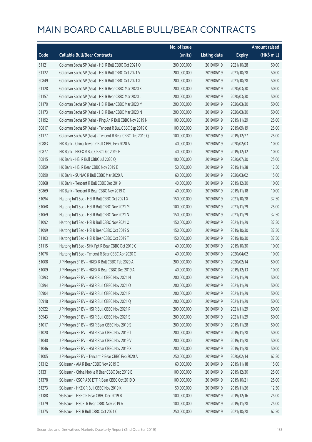|       |                                                          | No. of issue |                     |               | <b>Amount raised</b> |
|-------|----------------------------------------------------------|--------------|---------------------|---------------|----------------------|
| Code  | <b>Callable Bull/Bear Contracts</b>                      | (units)      | <b>Listing date</b> | <b>Expiry</b> | (HK\$ mil.)          |
| 61121 | Goldman Sachs SP (Asia) - HSI R Bull CBBC Oct 2021 O     | 200,000,000  | 2019/06/19          | 2021/10/28    | 50.00                |
| 61122 | Goldman Sachs SP (Asia) - HSI R Bull CBBC Oct 2021 V     | 200,000,000  | 2019/06/19          | 2021/10/28    | 50.00                |
| 60849 | Goldman Sachs SP (Asia) - HSI R Bull CBBC Oct 2021 X     | 200,000,000  | 2019/06/19          | 2021/10/28    | 50.00                |
| 61128 | Goldman Sachs SP (Asia) - HSI R Bear CBBC Mar 2020 K     | 200,000,000  | 2019/06/19          | 2020/03/30    | 50.00                |
| 61157 | Goldman Sachs SP (Asia) - HSI R Bear CBBC Mar 2020 L     | 200,000,000  | 2019/06/19          | 2020/03/30    | 50.00                |
| 61170 | Goldman Sachs SP (Asia) - HSI R Bear CBBC Mar 2020 M     | 200,000,000  | 2019/06/19          | 2020/03/30    | 50.00                |
| 61173 | Goldman Sachs SP (Asia) - HSI R Bear CBBC Mar 2020 N     | 200,000,000  | 2019/06/19          | 2020/03/30    | 50.00                |
| 61192 | Goldman Sachs SP (Asia) - Ping An R Bull CBBC Nov 2019 N | 100,000,000  | 2019/06/19          | 2019/11/29    | 25.00                |
| 60817 | Goldman Sachs SP (Asia) - Tencent R Bull CBBC Sep 2019 O | 100,000,000  | 2019/06/19          | 2019/09/19    | 25.00                |
| 61177 | Goldman Sachs SP (Asia) - Tencent R Bear CBBC Dec 2019 Q | 100,000,000  | 2019/06/19          | 2019/12/27    | 25.00                |
| 60883 | HK Bank - China Tower R Bull CBBC Feb 2020 A             | 40,000,000   | 2019/06/19          | 2020/02/03    | 10.00                |
| 60877 | HK Bank - HKEX R Bull CBBC Dec 2019 F                    | 40,000,000   | 2019/06/19          | 2019/12/12    | 10.00                |
| 60815 | HK Bank - HSI R Bull CBBC Jul 2020 Q                     | 100,000,000  | 2019/06/19          | 2020/07/30    | 25.00                |
| 60859 | HK Bank - HSI R Bear CBBC Nov 2019 E                     | 50,000,000   | 2019/06/19          | 2019/11/28    | 12.50                |
| 60890 | HK Bank - SUNAC R Bull CBBC Mar 2020 A                   | 60,000,000   | 2019/06/19          | 2020/03/02    | 15.00                |
| 60868 | HK Bank - Tencent R Bull CBBC Dec 2019 I                 | 40,000,000   | 2019/06/19          | 2019/12/30    | 10.00                |
| 60869 | HK Bank - Tencent R Bear CBBC Nov 2019 O                 | 40,000,000   | 2019/06/19          | 2019/11/18    | 10.00                |
| 61094 | Haitong Int'l Sec - HSI R Bull CBBC Oct 2021 X           | 150,000,000  | 2019/06/19          | 2021/10/28    | 37.50                |
| 61068 | Haitong Int'l Sec - HSI R Bull CBBC Nov 2021 M           | 100,000,000  | 2019/06/19          | 2021/11/29    | 25.00                |
| 61069 | Haitong Int'l Sec - HSI R Bull CBBC Nov 2021 N           | 150,000,000  | 2019/06/19          | 2021/11/29    | 37.50                |
| 61092 | Haitong Int'l Sec - HSI R Bull CBBC Nov 2021 O           | 150,000,000  | 2019/06/19          | 2021/11/29    | 37.50                |
| 61099 | Haitong Int'l Sec - HSI R Bear CBBC Oct 2019 S           | 150,000,000  | 2019/06/19          | 2019/10/30    | 37.50                |
| 61103 | Haitong Int'l Sec - HSI R Bear CBBC Oct 2019 T           | 150,000,000  | 2019/06/19          | 2019/10/30    | 37.50                |
| 61115 | Haitong Int'l Sec - SHK Ppt R Bear CBBC Oct 2019 C       | 40,000,000   | 2019/06/19          | 2019/10/30    | 10.00                |
| 61076 | Haitong Int'l Sec - Tencent R Bear CBBC Apr 2020 C       | 40,000,000   | 2019/06/19          | 2020/04/02    | 10.00                |
| 61008 | J P Morgan SP BV - HKEX R Bull CBBC Feb 2020 A           | 200,000,000  | 2019/06/19          | 2020/02/14    | 50.00                |
| 61009 | J P Morgan SP BV - HKEX R Bear CBBC Dec 2019 A           | 40,000,000   | 2019/06/19          | 2019/12/13    | 10.00                |
| 60893 | J P Morgan SP BV - HSI R Bull CBBC Nov 2021 N            | 200,000,000  | 2019/06/19          | 2021/11/29    | 50.00                |
| 60894 | J P Morgan SP BV - HSI R Bull CBBC Nov 2021 O            | 200,000,000  | 2019/06/19          | 2021/11/29    | 50.00                |
| 60904 | J P Morgan SP BV - HSI R Bull CBBC Nov 2021 P            | 200,000,000  | 2019/06/19          | 2021/11/29    | 50.00                |
| 60918 | J P Morgan SP BV - HSI R Bull CBBC Nov 2021 Q            | 200,000,000  | 2019/06/19          | 2021/11/29    | 50.00                |
| 60922 | J P Morgan SP BV - HSI R Bull CBBC Nov 2021 R            | 200,000,000  | 2019/06/19          | 2021/11/29    | 50.00                |
| 60943 | J P Morgan SP BV - HSI R Bull CBBC Nov 2021 S            | 200,000,000  | 2019/06/19          | 2021/11/29    | 50.00                |
| 61017 | J P Morgan SP BV - HSI R Bear CBBC Nov 2019 S            | 200,000,000  | 2019/06/19          | 2019/11/28    | 50.00                |
| 61020 | J P Morgan SP BV - HSI R Bear CBBC Nov 2019 T            | 200,000,000  | 2019/06/19          | 2019/11/28    | 50.00                |
| 61040 | J P Morgan SP BV - HSI R Bear CBBC Nov 2019 V            | 200,000,000  | 2019/06/19          | 2019/11/28    | 50.00                |
| 61046 | J P Morgan SP BV - HSI R Bear CBBC Nov 2019 X            | 200,000,000  | 2019/06/19          | 2019/11/28    | 50.00                |
| 61005 | J P Morgan SP BV - Tencent R Bear CBBC Feb 2020 A        | 250,000,000  | 2019/06/19          | 2020/02/14    | 62.50                |
| 61312 | SG Issuer - AIA R Bear CBBC Nov 2019 C                   | 60,000,000   | 2019/06/19          | 2019/11/18    | 15.00                |
| 61331 | SG Issuer - China Mobile R Bear CBBC Dec 2019 B          | 100,000,000  | 2019/06/19          | 2019/12/30    | 25.00                |
| 61378 | SG Issuer - CSOP A50 ETF R Bear CBBC Oct 2019 D          | 100,000,000  | 2019/06/19          | 2019/10/21    | 25.00                |
| 61273 | SG Issuer - HKEX R Bull CBBC Nov 2019 K                  | 50,000,000   | 2019/06/19          | 2019/11/26    | 12.50                |
| 61388 | SG Issuer - HSBC R Bear CBBC Dec 2019 B                  | 100,000,000  | 2019/06/19          | 2019/12/16    | 25.00                |
| 61379 | SG Issuer - HSCEI R Bear CBBC Nov 2019 A                 | 100,000,000  | 2019/06/19          | 2019/11/28    | 25.00                |
| 61375 | SG Issuer - HSI R Bull CBBC Oct 2021 C                   | 250,000,000  | 2019/06/19          | 2021/10/28    | 62.50                |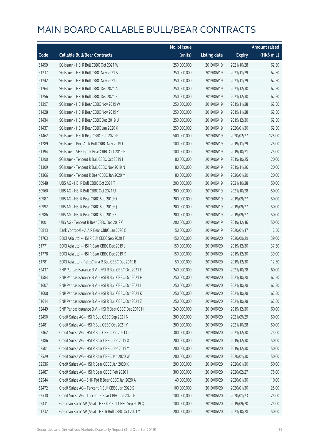|       |                                                        | No. of issue |                     |               | <b>Amount raised</b> |
|-------|--------------------------------------------------------|--------------|---------------------|---------------|----------------------|
| Code  | <b>Callable Bull/Bear Contracts</b>                    | (units)      | <b>Listing date</b> | <b>Expiry</b> | (HK\$ mil.)          |
| 61459 | SG Issuer - HSI R Bull CBBC Oct 2021 W                 | 250,000,000  | 2019/06/19          | 2021/10/28    | 62.50                |
| 61237 | SG Issuer - HSI R Bull CBBC Nov 2021 S                 | 250,000,000  | 2019/06/19          | 2021/11/29    | 62.50                |
| 61242 | SG Issuer - HSI R Bull CBBC Nov 2021 T                 | 250,000,000  | 2019/06/19          | 2021/11/29    | 62.50                |
| 61264 | SG Issuer - HSI R Bull CBBC Dec 2021 A                 | 250,000,000  | 2019/06/19          | 2021/12/30    | 62.50                |
| 61256 | SG Issuer - HSI R Bull CBBC Dec 2021 Z                 | 250,000,000  | 2019/06/19          | 2021/12/30    | 62.50                |
| 61397 | SG Issuer - HSI R Bear CBBC Nov 2019 W                 | 250,000,000  | 2019/06/19          | 2019/11/28    | 62.50                |
| 61428 | SG Issuer - HSI R Bear CBBC Nov 2019 Y                 | 250,000,000  | 2019/06/19          | 2019/11/28    | 62.50                |
| 61434 | SG Issuer - HSI R Bear CBBC Dec 2019 U                 | 250,000,000  | 2019/06/19          | 2019/12/30    | 62.50                |
| 61437 | SG Issuer - HSI R Bear CBBC Jan 2020 X                 | 250,000,000  | 2019/06/19          | 2020/01/30    | 62.50                |
| 61462 | SG Issuer - HSI R Bear CBBC Feb 2020 F                 | 500,000,000  | 2019/06/19          | 2020/02/27    | 125.00               |
| 61289 | SG Issuer - Ping An R Bull CBBC Nov 2019 L             | 100,000,000  | 2019/06/19          | 2019/11/29    | 25.00                |
| 61394 | SG Issuer - SHK Ppt R Bear CBBC Oct 2019 B             | 100,000,000  | 2019/06/19          | 2019/10/21    | 25.00                |
| 61290 | SG Issuer - Tencent R Bull CBBC Oct 2019 I             | 80,000,000   | 2019/06/19          | 2019/10/25    | 20.00                |
| 61309 | SG Issuer - Tencent R Bull CBBC Nov 2019 N             | 80,000,000   | 2019/06/19          | 2019/11/26    | 20.00                |
| 61366 | SG Issuer - Tencent R Bear CBBC Jan 2020 M             | 80,000,000   | 2019/06/19          | 2020/01/20    | 20.00                |
| 60948 | UBS AG - HSI R Bull CBBC Oct 2021 T                    | 200,000,000  | 2019/06/19          | 2021/10/28    | 50.00                |
| 60960 | UBS AG - HSI R Bull CBBC Oct 2021 U                    | 200,000,000  | 2019/06/19          | 2021/10/28    | 50.00                |
| 60987 | UBS AG - HSI R Bear CBBC Sep 2019 O                    | 200,000,000  | 2019/06/19          | 2019/09/27    | 50.00                |
| 60992 | UBS AG - HSI R Bear CBBC Sep 2019 Q                    | 200,000,000  | 2019/06/19          | 2019/09/27    | 50.00                |
| 60986 | UBS AG - HSI R Bear CBBC Sep 2019 Z                    | 200,000,000  | 2019/06/19          | 2019/09/27    | 50.00                |
| 61001 | UBS AG - Tencent R Bear CBBC Dec 2019 C                | 200,000,000  | 2019/06/19          | 2019/12/16    | 50.00                |
| 60813 | Bank Vontobel - AIA R Bear CBBC Jan 2020 C             | 50,000,000   | 2019/06/19          | 2020/01/17    | 12.50                |
| 61763 | BOCI Asia Ltd. - HSI R Bull CBBC Sep 2020 T            | 150,000,000  | 2019/06/20          | 2020/09/29    | 39.00                |
| 61771 | BOCI Asia Ltd. - HSI R Bear CBBC Dec 2019 J            | 150,000,000  | 2019/06/20          | 2019/12/30    | 37.50                |
| 61778 | BOCI Asia Ltd. - HSI R Bear CBBC Dec 2019 K            | 150,000,000  | 2019/06/20          | 2019/12/30    | 39.00                |
| 61781 | BOCI Asia Ltd. - PetroChina R Bull CBBC Dec 2019 B     | 50,000,000   | 2019/06/20          | 2019/12/30    | 12.50                |
| 62437 | BNP Paribas Issuance B.V. - HSI R Bull CBBC Oct 2021 E | 240,000,000  | 2019/06/20          | 2021/10/28    | 60.00                |
| 61584 | BNP Paribas Issuance B.V. - HSI R Bull CBBC Oct 2021 H | 250,000,000  | 2019/06/20          | 2021/10/28    | 62.50                |
| 61607 | BNP Paribas Issuance B.V. - HSI R Bull CBBC Oct 2021 I | 250,000,000  | 2019/06/20          | 2021/10/28    | 62.50                |
| 61608 | BNP Paribas Issuance B.V. - HSI R Bull CBBC Oct 2021 K | 250,000,000  | 2019/06/20          | 2021/10/28    | 62.50                |
| 61614 | BNP Paribas Issuance B.V. - HSI R Bull CBBC Oct 2021 Z | 250,000,000  | 2019/06/20          | 2021/10/28    | 62.50                |
| 62449 | BNP Paribas Issuance B.V. - HSI R Bear CBBC Dec 2019 H | 240,000,000  | 2019/06/20          | 2019/12/30    | 60.00                |
| 62450 | Credit Suisse AG - HSI R Bull CBBC Sep 2021 N          | 200,000,000  | 2019/06/20          | 2021/09/29    | 50.00                |
| 62481 | Credit Suisse AG - HSI R Bull CBBC Oct 2021 Y          | 200,000,000  | 2019/06/20          | 2021/10/28    | 50.00                |
| 62462 | Credit Suisse AG - HSI R Bull CBBC Dec 2021 Q          | 300,000,000  | 2019/06/20          | 2021/12/30    | 75.00                |
| 62486 | Credit Suisse AG - HSI R Bear CBBC Dec 2019 X          | 200,000,000  | 2019/06/20          | 2019/12/30    | 50.00                |
| 62501 | Credit Suisse AG - HSI R Bear CBBC Dec 2019 Y          | 200,000,000  | 2019/06/20          | 2019/12/30    | 50.00                |
| 62529 | Credit Suisse AG - HSI R Bear CBBC Jan 2020 W          | 200,000,000  | 2019/06/20          | 2020/01/30    | 50.00                |
| 62536 | Credit Suisse AG - HSI R Bear CBBC Jan 2020 X          | 200,000,000  | 2019/06/20          | 2020/01/30    | 50.00                |
| 62487 | Credit Suisse AG - HSI R Bear CBBC Feb 2020 I          | 300,000,000  | 2019/06/20          | 2020/02/27    | 75.00                |
| 62544 | Credit Suisse AG - SHK Ppt R Bear CBBC Jan 2020 A      | 40,000,000   | 2019/06/20          | 2020/01/30    | 10.00                |
| 62472 | Credit Suisse AG - Tencent R Bull CBBC Jan 2020 S      | 100,000,000  | 2019/06/20          | 2020/01/30    | 25.00                |
| 62530 | Credit Suisse AG - Tencent R Bear CBBC Jan 2020 P      | 100,000,000  | 2019/06/20          | 2020/01/23    | 25.00                |
| 62431 | Goldman Sachs SP (Asia) - HKEX R Bull CBBC Sep 2019 Q  | 100,000,000  | 2019/06/20          | 2019/09/20    | 25.00                |
| 61732 | Goldman Sachs SP (Asia) - HSI R Bull CBBC Oct 2021 Y   | 200,000,000  | 2019/06/20          | 2021/10/28    | 50.00                |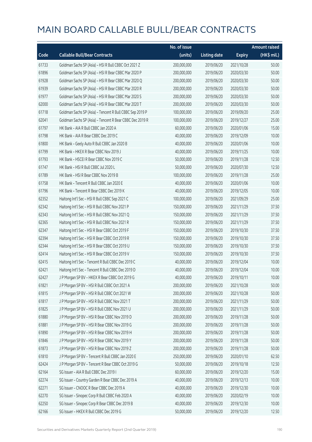|       |                                                          | No. of issue |                     |               | <b>Amount raised</b> |
|-------|----------------------------------------------------------|--------------|---------------------|---------------|----------------------|
| Code  | <b>Callable Bull/Bear Contracts</b>                      | (units)      | <b>Listing date</b> | <b>Expiry</b> | (HK\$ mil.)          |
| 61733 | Goldman Sachs SP (Asia) - HSI R Bull CBBC Oct 2021 Z     | 200,000,000  | 2019/06/20          | 2021/10/28    | 50.00                |
| 61896 | Goldman Sachs SP (Asia) - HSI R Bear CBBC Mar 2020 P     | 200,000,000  | 2019/06/20          | 2020/03/30    | 50.00                |
| 61928 | Goldman Sachs SP (Asia) - HSI R Bear CBBC Mar 2020 Q     | 200,000,000  | 2019/06/20          | 2020/03/30    | 50.00                |
| 61939 | Goldman Sachs SP (Asia) - HSI R Bear CBBC Mar 2020 R     | 200,000,000  | 2019/06/20          | 2020/03/30    | 50.00                |
| 61977 | Goldman Sachs SP (Asia) - HSI R Bear CBBC Mar 2020 S     | 200,000,000  | 2019/06/20          | 2020/03/30    | 50.00                |
| 62000 | Goldman Sachs SP (Asia) - HSI R Bear CBBC Mar 2020 T     | 200,000,000  | 2019/06/20          | 2020/03/30    | 50.00                |
| 61718 | Goldman Sachs SP (Asia) - Tencent R Bull CBBC Sep 2019 P | 100,000,000  | 2019/06/20          | 2019/09/20    | 25.00                |
| 62041 | Goldman Sachs SP (Asia) - Tencent R Bear CBBC Dec 2019 R | 100,000,000  | 2019/06/20          | 2019/12/27    | 25.00                |
| 61797 | HK Bank - AIA R Bull CBBC Jan 2020 A                     | 60,000,000   | 2019/06/20          | 2020/01/06    | 15.00                |
| 61798 | HK Bank - AIA R Bear CBBC Dec 2019 C                     | 40,000,000   | 2019/06/20          | 2019/12/09    | 10.00                |
| 61800 | HK Bank - Geely Auto R Bull CBBC Jan 2020 B              | 40,000,000   | 2019/06/20          | 2020/01/06    | 10.00                |
| 61799 | HK Bank - HKEX R Bear CBBC Nov 2019 J                    | 40,000,000   | 2019/06/20          | 2019/11/25    | 10.00                |
| 61793 | HK Bank - HSCEI R Bear CBBC Nov 2019 C                   | 50,000,000   | 2019/06/20          | 2019/11/28    | 12.50                |
| 61747 | HK Bank - HSI R Bull CBBC Jul 2020 L                     | 50,000,000   | 2019/06/20          | 2020/07/30    | 12.50                |
| 61789 | HK Bank - HSI R Bear CBBC Nov 2019 B                     | 100,000,000  | 2019/06/20          | 2019/11/28    | 25.00                |
| 61758 | HK Bank - Tencent R Bull CBBC Jan 2020 E                 | 40,000,000   | 2019/06/20          | 2020/01/06    | 10.00                |
| 61796 | HK Bank - Tencent R Bear CBBC Dec 2019 K                 | 40,000,000   | 2019/06/20          | 2019/12/05    | 10.00                |
| 62352 | Haitong Int'l Sec - HSI R Bull CBBC Sep 2021 C           | 100,000,000  | 2019/06/20          | 2021/09/29    | 25.00                |
| 62342 | Haitong Int'l Sec - HSI R Bull CBBC Nov 2021 P           | 150,000,000  | 2019/06/20          | 2021/11/29    | 37.50                |
| 62343 | Haitong Int'l Sec - HSI R Bull CBBC Nov 2021 Q           | 150,000,000  | 2019/06/20          | 2021/11/29    | 37.50                |
| 62365 | Haitong Int'l Sec - HSI R Bull CBBC Nov 2021 R           | 150,000,000  | 2019/06/20          | 2021/11/29    | 37.50                |
| 62347 | Haitong Int'l Sec - HSI R Bear CBBC Oct 2019 F           | 150,000,000  | 2019/06/20          | 2019/10/30    | 37.50                |
| 62394 | Haitong Int'l Sec - HSI R Bear CBBC Oct 2019 R           | 150,000,000  | 2019/06/20          | 2019/10/30    | 37.50                |
| 62344 | Haitong Int'l Sec - HSI R Bear CBBC Oct 2019 U           | 150,000,000  | 2019/06/20          | 2019/10/30    | 37.50                |
| 62414 | Haitong Int'l Sec - HSI R Bear CBBC Oct 2019 V           | 150,000,000  | 2019/06/20          | 2019/10/30    | 37.50                |
| 62415 | Haitong Int'l Sec - Tencent R Bull CBBC Dec 2019 C       | 40,000,000   | 2019/06/20          | 2019/12/04    | 10.00                |
| 62421 | Haitong Int'l Sec - Tencent R Bull CBBC Dec 2019 D       | 40,000,000   | 2019/06/20          | 2019/12/04    | 10.00                |
| 62427 | J P Morgan SP BV - HKEX R Bear CBBC Oct 2019 G           | 40,000,000   | 2019/06/20          | 2019/10/11    | 10.00                |
| 61821 | J P Morgan SP BV - HSI R Bull CBBC Oct 2021 A            | 200,000,000  | 2019/06/20          | 2021/10/28    | 50.00                |
| 61815 | J P Morgan SP BV - HSI R Bull CBBC Oct 2021 W            | 200,000,000  | 2019/06/20          | 2021/10/28    | 50.00                |
| 61817 | J P Morgan SP BV - HSI R Bull CBBC Nov 2021 T            | 200,000,000  | 2019/06/20          | 2021/11/29    | 50.00                |
| 61825 | J P Morgan SP BV - HSI R Bull CBBC Nov 2021 U            | 200,000,000  | 2019/06/20          | 2021/11/29    | 50.00                |
| 61880 | J P Morgan SP BV - HSI R Bear CBBC Nov 2019 D            | 200,000,000  | 2019/06/20          | 2019/11/28    | 50.00                |
| 61881 | J P Morgan SP BV - HSI R Bear CBBC Nov 2019 G            | 200,000,000  | 2019/06/20          | 2019/11/28    | 50.00                |
| 61890 | J P Morgan SP BV - HSI R Bear CBBC Nov 2019 H            | 200,000,000  | 2019/06/20          | 2019/11/28    | 50.00                |
| 61846 | J P Morgan SP BV - HSI R Bear CBBC Nov 2019 Y            | 200,000,000  | 2019/06/20          | 2019/11/28    | 50.00                |
| 61873 | J P Morgan SP BV - HSI R Bear CBBC Nov 2019 Z            | 200,000,000  | 2019/06/20          | 2019/11/28    | 50.00                |
| 61810 | J P Morgan SP BV - Tencent R Bull CBBC Jan 2020 E        | 250,000,000  | 2019/06/20          | 2020/01/10    | 62.50                |
| 62424 | J P Morgan SP BV - Tencent R Bear CBBC Oct 2019 G        | 50,000,000   | 2019/06/20          | 2019/10/18    | 12.50                |
| 62164 | SG Issuer - AIA R Bull CBBC Dec 2019 I                   | 60,000,000   | 2019/06/20          | 2019/12/20    | 15.00                |
| 62274 | SG Issuer - Country Garden R Bear CBBC Dec 2019 A        | 40,000,000   | 2019/06/20          | 2019/12/13    | 10.00                |
| 62271 | SG Issuer - CNOOC R Bear CBBC Dec 2019 A                 | 40,000,000   | 2019/06/20          | 2019/12/30    | 10.00                |
| 62270 | SG Issuer - Sinopec Corp R Bull CBBC Feb 2020 A          | 40,000,000   | 2019/06/20          | 2020/02/19    | 10.00                |
| 62250 | SG Issuer - Sinopec Corp R Bear CBBC Dec 2019 B          | 40,000,000   | 2019/06/20          | 2019/12/30    | 10.00                |
| 62166 | SG Issuer - HKEX R Bull CBBC Dec 2019 G                  | 50,000,000   | 2019/06/20          | 2019/12/20    | 12.50                |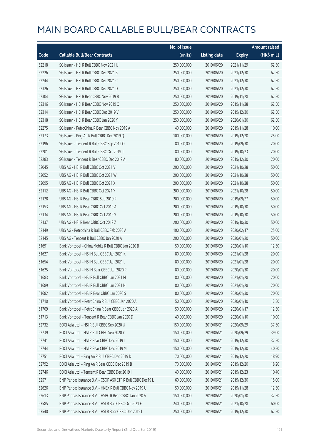|       |                                                              | No. of issue |                     |               | <b>Amount raised</b> |
|-------|--------------------------------------------------------------|--------------|---------------------|---------------|----------------------|
| Code  | <b>Callable Bull/Bear Contracts</b>                          | (units)      | <b>Listing date</b> | <b>Expiry</b> | (HK\$ mil.)          |
| 62218 | SG Issuer - HSI R Bull CBBC Nov 2021 U                       | 250,000,000  | 2019/06/20          | 2021/11/29    | 62.50                |
| 62226 | SG Issuer - HSI R Bull CBBC Dec 2021 B                       | 250,000,000  | 2019/06/20          | 2021/12/30    | 62.50                |
| 62244 | SG Issuer - HSI R Bull CBBC Dec 2021 C                       | 250,000,000  | 2019/06/20          | 2021/12/30    | 62.50                |
| 62326 | SG Issuer - HSI R Bull CBBC Dec 2021 D                       | 250,000,000  | 2019/06/20          | 2021/12/30    | 62.50                |
| 62304 | SG Issuer - HSI R Bear CBBC Nov 2019 B                       | 250,000,000  | 2019/06/20          | 2019/11/28    | 62.50                |
| 62316 | SG Issuer - HSI R Bear CBBC Nov 2019 Q                       | 250,000,000  | 2019/06/20          | 2019/11/28    | 62.50                |
| 62314 | SG Issuer - HSI R Bear CBBC Dec 2019 V                       | 250,000,000  | 2019/06/20          | 2019/12/30    | 62.50                |
| 62318 | SG Issuer - HSI R Bear CBBC Jan 2020 Y                       | 250,000,000  | 2019/06/20          | 2020/01/30    | 62.50                |
| 62275 | SG Issuer - PetroChina R Bear CBBC Nov 2019 A                | 40,000,000   | 2019/06/20          | 2019/11/28    | 10.00                |
| 62173 | SG Issuer - Ping An R Bull CBBC Dec 2019 Q                   | 100,000,000  | 2019/06/20          | 2019/12/20    | 25.00                |
| 62196 | SG Issuer - Tencent R Bull CBBC Sep 2019 O                   | 80,000,000   | 2019/06/20          | 2019/09/30    | 20.00                |
| 62201 | SG Issuer - Tencent R Bull CBBC Oct 2019 J                   | 80,000,000   | 2019/06/20          | 2019/10/23    | 20.00                |
| 62283 | SG Issuer - Tencent R Bear CBBC Dec 2019 A                   | 80,000,000   | 2019/06/20          | 2019/12/30    | 20.00                |
| 62045 | UBS AG - HSI R Bull CBBC Oct 2021 V                          | 200,000,000  | 2019/06/20          | 2021/10/28    | 50.00                |
| 62052 | UBS AG - HSI R Bull CBBC Oct 2021 W                          | 200,000,000  | 2019/06/20          | 2021/10/28    | 50.00                |
| 62095 | UBS AG - HSI R Bull CBBC Oct 2021 X                          | 200,000,000  | 2019/06/20          | 2021/10/28    | 50.00                |
| 62112 | UBS AG - HSI R Bull CBBC Oct 2021 Y                          | 200,000,000  | 2019/06/20          | 2021/10/28    | 50.00                |
| 62128 | UBS AG - HSI R Bear CBBC Sep 2019 R                          | 200,000,000  | 2019/06/20          | 2019/09/27    | 50.00                |
| 62153 | UBS AG - HSI R Bear CBBC Oct 2019 A                          | 200,000,000  | 2019/06/20          | 2019/10/30    | 50.00                |
| 62134 | UBS AG - HSI R Bear CBBC Oct 2019 Y                          | 200,000,000  | 2019/06/20          | 2019/10/30    | 50.00                |
| 62137 | UBS AG - HSI R Bear CBBC Oct 2019 Z                          | 200,000,000  | 2019/06/20          | 2019/10/30    | 50.00                |
| 62149 | UBS AG - Petrochina R Bull CBBC Feb 2020 A                   | 100,000,000  | 2019/06/20          | 2020/02/17    | 25.00                |
| 62145 | UBS AG - Tencent R Bull CBBC Jan 2020 A                      | 200,000,000  | 2019/06/20          | 2020/01/20    | 50.00                |
| 61691 | Bank Vontobel - China Mobile R Bull CBBC Jan 2020 B          | 50,000,000   | 2019/06/20          | 2020/01/10    | 12.50                |
| 61627 | Bank Vontobel - HSI N Bull CBBC Jan 2021 K                   | 80,000,000   | 2019/06/20          | 2021/01/28    | 20.00                |
| 61654 | Bank Vontobel - HSI N Bull CBBC Jan 2021 L                   | 80,000,000   | 2019/06/20          | 2021/01/28    | 20.00                |
| 61625 | Bank Vontobel - HSI N Bear CBBC Jan 2020 R                   | 80,000,000   | 2019/06/20          | 2020/01/30    | 20.00                |
| 61683 | Bank Vontobel - HSI R Bull CBBC Jan 2021 M                   | 80,000,000   | 2019/06/20          | 2021/01/28    | 20.00                |
| 61689 | Bank Vontobel - HSI R Bull CBBC Jan 2021 N                   | 80,000,000   | 2019/06/20          | 2021/01/28    | 20.00                |
| 61682 | Bank Vontobel - HSI R Bear CBBC Jan 2020 S                   | 80,000,000   | 2019/06/20          | 2020/01/30    | 20.00                |
| 61710 | Bank Vontobel - PetroChina R Bull CBBC Jan 2020 A            | 50,000,000   | 2019/06/20          | 2020/01/10    | 12.50                |
| 61709 | Bank Vontobel - PetroChina R Bear CBBC Jan 2020 A            | 50,000,000   | 2019/06/20          | 2020/01/17    | 12.50                |
| 61713 | Bank Vontobel - Tencent R Bear CBBC Jan 2020 D               | 40,000,000   | 2019/06/20          | 2020/01/10    | 10.00                |
| 62732 | BOCI Asia Ltd. - HSI R Bull CBBC Sep 2020 U                  | 150,000,000  | 2019/06/21          | 2020/09/29    | 37.50                |
| 62739 | BOCI Asia Ltd. - HSI R Bull CBBC Sep 2020 Y                  | 150,000,000  | 2019/06/21          | 2020/09/29    | 39.00                |
| 62741 | BOCI Asia Ltd. - HSI R Bear CBBC Dec 2019 L                  | 150,000,000  | 2019/06/21          | 2019/12/30    | 37.50                |
| 62744 | BOCI Asia Ltd. - HSI R Bear CBBC Dec 2019 M                  | 150,000,000  | 2019/06/21          | 2019/12/30    | 40.50                |
| 62751 | BOCI Asia Ltd. - Ping An R Bull CBBC Dec 2019 D              | 70,000,000   | 2019/06/21          | 2019/12/20    | 18.90                |
| 62792 | BOCI Asia Ltd. - Ping An R Bear CBBC Dec 2019 B              | 70,000,000   | 2019/06/21          | 2019/12/20    | 18.20                |
| 62746 | BOCI Asia Ltd. - Tencent R Bear CBBC Dec 2019 I              | 40,000,000   | 2019/06/21          | 2019/12/23    | 10.40                |
| 62571 | BNP Paribas Issuance B.V. - CSOP A50 ETF R Bull CBBC Dec19 L | 60,000,000   | 2019/06/21          | 2019/12/30    | 15.00                |
| 62626 | BNP Paribas Issuance B.V. - HKEX R Bull CBBC Nov 2019 U      | 50,000,000   | 2019/06/21          | 2019/11/28    | 12.50                |
| 62613 | BNP Paribas Issuance B.V. - HSBC R Bear CBBC Jan 2020 A      | 150,000,000  | 2019/06/21          | 2020/01/30    | 37.50                |
| 63585 | BNP Paribas Issuance B.V. - HSI R Bull CBBC Oct 2021 F       | 240,000,000  | 2019/06/21          | 2021/10/28    | 60.00                |
| 63540 | BNP Paribas Issuance B.V. - HSI R Bear CBBC Dec 2019 I       | 250,000,000  | 2019/06/21          | 2019/12/30    | 62.50                |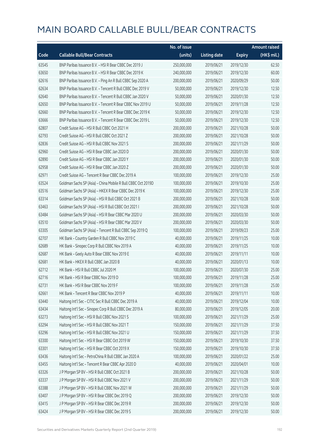|       |                                                              | No. of issue |                     |               | <b>Amount raised</b>  |
|-------|--------------------------------------------------------------|--------------|---------------------|---------------|-----------------------|
| Code  | <b>Callable Bull/Bear Contracts</b>                          | (units)      | <b>Listing date</b> | <b>Expiry</b> | $(HK\frac{1}{2}mil.)$ |
| 63545 | BNP Paribas Issuance B.V. - HSI R Bear CBBC Dec 2019 J       | 250,000,000  | 2019/06/21          | 2019/12/30    | 62.50                 |
| 63650 | BNP Paribas Issuance B.V. - HSI R Bear CBBC Dec 2019 K       | 240,000,000  | 2019/06/21          | 2019/12/30    | 60.00                 |
| 62616 | BNP Paribas Issuance B.V. - Ping An R Bull CBBC Sep 2020 A   | 200,000,000  | 2019/06/21          | 2020/09/29    | 50.00                 |
| 62634 | BNP Paribas Issuance B.V. - Tencent R Bull CBBC Dec 2019 V   | 50,000,000   | 2019/06/21          | 2019/12/30    | 12.50                 |
| 62640 | BNP Paribas Issuance B.V. - Tencent R Bull CBBC Jan 2020 V   | 50,000,000   | 2019/06/21          | 2020/01/30    | 12.50                 |
| 62650 | BNP Paribas Issuance B.V. - Tencent R Bear CBBC Nov 2019 U   | 50,000,000   | 2019/06/21          | 2019/11/28    | 12.50                 |
| 62660 | BNP Paribas Issuance B.V. - Tencent R Bear CBBC Dec 2019 K   | 50,000,000   | 2019/06/21          | 2019/12/30    | 12.50                 |
| 63666 | BNP Paribas Issuance B.V. - Tencent R Bear CBBC Dec 2019 L   | 50,000,000   | 2019/06/21          | 2019/12/30    | 12.50                 |
| 62807 | Credit Suisse AG - HSI R Bull CBBC Oct 2021 H                | 200,000,000  | 2019/06/21          | 2021/10/28    | 50.00                 |
| 62793 | Credit Suisse AG - HSI R Bull CBBC Oct 2021 Z                | 200,000,000  | 2019/06/21          | 2021/10/28    | 50.00                 |
| 62836 | Credit Suisse AG - HSI R Bull CBBC Nov 2021 S                | 200,000,000  | 2019/06/21          | 2021/11/29    | 50.00                 |
| 62960 | Credit Suisse AG - HSI R Bear CBBC Jan 2020 D                | 200,000,000  | 2019/06/21          | 2020/01/30    | 50.00                 |
| 62890 | Credit Suisse AG - HSI R Bear CBBC Jan 2020 Y                | 200,000,000  | 2019/06/21          | 2020/01/30    | 50.00                 |
| 62958 | Credit Suisse AG - HSI R Bear CBBC Jan 2020 Z                | 200,000,000  | 2019/06/21          | 2020/01/30    | 50.00                 |
| 62971 | Credit Suisse AG - Tencent R Bear CBBC Dec 2019 A            | 100,000,000  | 2019/06/21          | 2019/12/30    | 25.00                 |
| 63524 | Goldman Sachs SP (Asia) - China Mobile R Bull CBBC Oct 2019D | 100,000,000  | 2019/06/21          | 2019/10/30    | 25.00                 |
| 63516 | Goldman Sachs SP (Asia) - HKEX R Bear CBBC Dec 2019 K        | 100,000,000  | 2019/06/21          | 2019/12/30    | 25.00                 |
| 63314 | Goldman Sachs SP (Asia) - HSI R Bull CBBC Oct 2021 B         | 200,000,000  | 2019/06/21          | 2021/10/28    | 50.00                 |
| 63463 | Goldman Sachs SP (Asia) - HSI R Bull CBBC Oct 2021 I         | 200,000,000  | 2019/06/21          | 2021/10/28    | 50.00                 |
| 63484 | Goldman Sachs SP (Asia) - HSI R Bear CBBC Mar 2020 U         | 200,000,000  | 2019/06/21          | 2020/03/30    | 50.00                 |
| 63510 | Goldman Sachs SP (Asia) - HSI R Bear CBBC Mar 2020 V         | 200,000,000  | 2019/06/21          | 2020/03/30    | 50.00                 |
| 63305 | Goldman Sachs SP (Asia) - Tencent R Bull CBBC Sep 2019 Q     | 100,000,000  | 2019/06/21          | 2019/09/23    | 25.00                 |
| 62707 | HK Bank - Country Garden R Bull CBBC Nov 2019 C              | 40,000,000   | 2019/06/21          | 2019/11/25    | 10.00                 |
| 62689 | HK Bank - Sinopec Corp R Bull CBBC Nov 2019 A                | 40,000,000   | 2019/06/21          | 2019/11/25    | 10.00                 |
| 62687 | HK Bank - Geely Auto R Bear CBBC Nov 2019 E                  | 40,000,000   | 2019/06/21          | 2019/11/11    | 10.00                 |
| 62681 | HK Bank - HKEX R Bull CBBC Jan 2020 B                        | 40,000,000   | 2019/06/21          | 2020/01/13    | 10.00                 |
| 62712 | HK Bank - HSI R Bull CBBC Jul 2020 M                         | 100,000,000  | 2019/06/21          | 2020/07/30    | 25.00                 |
| 62716 | HK Bank - HSI R Bear CBBC Nov 2019 D                         | 100,000,000  | 2019/06/21          | 2019/11/28    | 25.00                 |
| 62731 | HK Bank - HSI R Bear CBBC Nov 2019 F                         | 100,000,000  | 2019/06/21          | 2019/11/28    | 25.00                 |
| 62661 | HK Bank - Tencent R Bear CBBC Nov 2019 P                     | 40,000,000   | 2019/06/21          | 2019/11/11    | 10.00                 |
| 63440 | Haitong Int'l Sec - CITIC Sec R Bull CBBC Dec 2019 A         | 40,000,000   | 2019/06/21          | 2019/12/04    | 10.00                 |
| 63434 | Haitong Int'l Sec - Sinopec Corp R Bull CBBC Dec 2019 A      | 80,000,000   | 2019/06/21          | 2019/12/05    | 20.00                 |
| 63273 | Haitong Int'l Sec - HSI R Bull CBBC Nov 2021 S               | 100,000,000  | 2019/06/21          | 2021/11/29    | 25.00                 |
| 63294 | Haitong Int'l Sec - HSI R Bull CBBC Nov 2021 T               | 150,000,000  | 2019/06/21          | 2021/11/29    | 37.50                 |
| 63296 | Haitong Int'l Sec - HSI R Bull CBBC Nov 2021 U               | 150,000,000  | 2019/06/21          | 2021/11/29    | 37.50                 |
| 63300 | Haitong Int'l Sec - HSI R Bear CBBC Oct 2019 W               | 150,000,000  | 2019/06/21          | 2019/10/30    | 37.50                 |
| 63301 | Haitong Int'l Sec - HSI R Bear CBBC Oct 2019 X               | 150,000,000  | 2019/06/21          | 2019/10/30    | 37.50                 |
| 63436 | Haitong Int'l Sec - PetroChina R Bull CBBC Jan 2020 A        | 100,000,000  | 2019/06/21          | 2020/01/22    | 25.00                 |
| 63455 | Haitong Int'l Sec - Tencent R Bear CBBC Apr 2020 D           | 40,000,000   | 2019/06/21          | 2020/04/01    | 10.00                 |
| 63326 | J P Morgan SP BV - HSI R Bull CBBC Oct 2021 B                | 200,000,000  | 2019/06/21          | 2021/10/28    | 50.00                 |
| 63337 | J P Morgan SP BV - HSI R Bull CBBC Nov 2021 V                | 200,000,000  | 2019/06/21          | 2021/11/29    | 50.00                 |
| 63388 | J P Morgan SP BV - HSI R Bull CBBC Nov 2021 W                | 200,000,000  | 2019/06/21          | 2021/11/29    | 50.00                 |
| 63407 | J P Morgan SP BV - HSI R Bear CBBC Dec 2019 Q                | 200,000,000  | 2019/06/21          | 2019/12/30    | 50.00                 |
| 63415 | J P Morgan SP BV - HSI R Bear CBBC Dec 2019 R                | 200,000,000  | 2019/06/21          | 2019/12/30    | 50.00                 |
| 63424 | J P Morgan SP BV - HSI R Bear CBBC Dec 2019 S                | 200,000,000  | 2019/06/21          | 2019/12/30    | 50.00                 |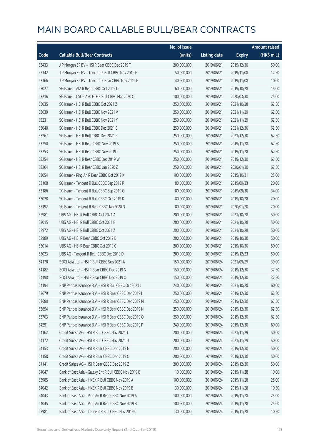|       |                                                        | No. of issue |                     |               | Amount raised |
|-------|--------------------------------------------------------|--------------|---------------------|---------------|---------------|
| Code  | <b>Callable Bull/Bear Contracts</b>                    | (units)      | <b>Listing date</b> | <b>Expiry</b> | $(HK\$ mil.)  |
| 63433 | J P Morgan SP BV - HSI R Bear CBBC Dec 2019 T          | 200,000,000  | 2019/06/21          | 2019/12/30    | 50.00         |
| 63342 | J P Morgan SP BV - Tencent R Bull CBBC Nov 2019 F      | 50,000,000   | 2019/06/21          | 2019/11/08    | 12.50         |
| 63366 | J P Morgan SP BV - Tencent R Bear CBBC Nov 2019 G      | 40,000,000   | 2019/06/21          | 2019/11/08    | 10.00         |
| 63027 | SG Issuer - AIA R Bear CBBC Oct 2019 D                 | 60,000,000   | 2019/06/21          | 2019/10/28    | 15.00         |
| 63216 | SG Issuer - CSOP A50 ETF R Bull CBBC Mar 2020 Q        | 100,000,000  | 2019/06/21          | 2020/03/30    | 25.00         |
| 63035 | SG Issuer - HSI R Bull CBBC Oct 2021 Z                 | 250,000,000  | 2019/06/21          | 2021/10/28    | 62.50         |
| 63039 | SG Issuer - HSI R Bull CBBC Nov 2021 V                 | 250,000,000  | 2019/06/21          | 2021/11/29    | 62.50         |
| 63231 | SG Issuer - HSI R Bull CBBC Nov 2021 Y                 | 250,000,000  | 2019/06/21          | 2021/11/29    | 62.50         |
| 63040 | SG Issuer - HSI R Bull CBBC Dec 2021 E                 | 250,000,000  | 2019/06/21          | 2021/12/30    | 62.50         |
| 63267 | SG Issuer - HSI R Bull CBBC Dec 2021 F                 | 250,000,000  | 2019/06/21          | 2021/12/30    | 62.50         |
| 63250 | SG Issuer - HSI R Bear CBBC Nov 2019 S                 | 250,000,000  | 2019/06/21          | 2019/11/28    | 62.50         |
| 63253 | SG Issuer - HSI R Bear CBBC Nov 2019 T                 | 250,000,000  | 2019/06/21          | 2019/11/28    | 62.50         |
| 63254 | SG Issuer - HSI R Bear CBBC Dec 2019 W                 | 250,000,000  | 2019/06/21          | 2019/12/30    | 62.50         |
| 63264 | SG Issuer - HSI R Bear CBBC Jan 2020 Z                 | 250,000,000  | 2019/06/21          | 2020/01/30    | 62.50         |
| 63054 | SG Issuer - Ping An R Bear CBBC Oct 2019 K             | 100,000,000  | 2019/06/21          | 2019/10/31    | 25.00         |
| 63108 | SG Issuer - Tencent R Bull CBBC Sep 2019 P             | 80,000,000   | 2019/06/21          | 2019/09/23    | 20.00         |
| 63186 | SG Issuer - Tencent R Bull CBBC Sep 2019 Q             | 80,000,000   | 2019/06/21          | 2019/09/30    | 34.00         |
| 63028 | SG Issuer - Tencent R Bull CBBC Oct 2019 K             | 80,000,000   | 2019/06/21          | 2019/10/28    | 20.00         |
| 63192 | SG Issuer - Tencent R Bear CBBC Jan 2020 N             | 80,000,000   | 2019/06/21          | 2020/01/20    | 20.00         |
| 62981 | UBS AG - HSI R Bull CBBC Oct 2021 A                    | 200,000,000  | 2019/06/21          | 2021/10/28    | 50.00         |
| 63015 | UBS AG - HSI R Bull CBBC Oct 2021 B                    | 200,000,000  | 2019/06/21          | 2021/10/28    | 50.00         |
| 62972 | UBS AG - HSI R Bull CBBC Oct 2021 Z                    | 200,000,000  | 2019/06/21          | 2021/10/28    | 50.00         |
| 62989 | UBS AG - HSI R Bear CBBC Oct 2019 B                    | 200,000,000  | 2019/06/21          | 2019/10/30    | 50.00         |
| 63014 | UBS AG - HSI R Bear CBBC Oct 2019 C                    | 200,000,000  | 2019/06/21          | 2019/10/30    | 50.00         |
| 63023 | UBS AG - Tencent R Bear CBBC Dec 2019 D                | 200,000,000  | 2019/06/21          | 2019/12/23    | 50.00         |
| 64178 | BOCI Asia Ltd. - HSI R Bull CBBC Sep 2021 A            | 150,000,000  | 2019/06/24          | 2021/09/29    | 39.00         |
| 64182 | BOCI Asia Ltd. - HSI R Bear CBBC Dec 2019 N            | 150,000,000  | 2019/06/24          | 2019/12/30    | 37.50         |
| 64190 | BOCI Asia Ltd. - HSI R Bear CBBC Dec 2019 O            | 150,000,000  | 2019/06/24          | 2019/12/30    | 37.50         |
| 64194 | BNP Paribas Issuance B.V. - HSI R Bull CBBC Oct 2021 J | 240,000,000  | 2019/06/24          | 2021/10/28    | 60.00         |
| 63679 | BNP Paribas Issuance B.V. - HSI R Bear CBBC Dec 2019 L | 250,000,000  | 2019/06/24          | 2019/12/30    | 62.50         |
| 63680 | BNP Paribas Issuance B.V. - HSI R Bear CBBC Dec 2019 M | 250,000,000  | 2019/06/24          | 2019/12/30    | 62.50         |
| 63694 | BNP Paribas Issuance B.V. - HSI R Bear CBBC Dec 2019 N | 250,000,000  | 2019/06/24          | 2019/12/30    | 62.50         |
| 63703 | BNP Paribas Issuance B.V. - HSI R Bear CBBC Dec 2019 O | 250,000,000  | 2019/06/24          | 2019/12/30    | 62.50         |
| 64291 | BNP Paribas Issuance B.V. - HSI R Bear CBBC Dec 2019 P | 240,000,000  | 2019/06/24          | 2019/12/30    | 60.00         |
| 64162 | Credit Suisse AG - HSI R Bull CBBC Nov 2021 T          | 200,000,000  | 2019/06/24          | 2021/11/29    | 50.00         |
| 64172 | Credit Suisse AG - HSI R Bull CBBC Nov 2021 U          | 200,000,000  | 2019/06/24          | 2021/11/29    | 50.00         |
| 64153 | Credit Suisse AG - HSI R Bear CBBC Dec 2019 N          | 200,000,000  | 2019/06/24          | 2019/12/30    | 50.00         |
| 64158 | Credit Suisse AG - HSI R Bear CBBC Dec 2019 O          | 200,000,000  | 2019/06/24          | 2019/12/30    | 50.00         |
| 64141 | Credit Suisse AG - HSI R Bear CBBC Dec 2019 Z          | 200,000,000  | 2019/06/24          | 2019/12/30    | 50.00         |
| 64047 | Bank of East Asia - Galaxy Ent R Bull CBBC Nov 2019 B  | 10,000,000   | 2019/06/24          | 2019/11/28    | 10.00         |
| 63985 | Bank of East Asia - HKEX R Bull CBBC Nov 2019 A        | 100,000,000  | 2019/06/24          | 2019/11/28    | 25.00         |
| 64042 | Bank of East Asia - HKEX R Bull CBBC Nov 2019 B        | 30,000,000   | 2019/06/24          | 2019/11/28    | 10.50         |
| 64043 | Bank of East Asia - Ping An R Bear CBBC Nov 2019 A     | 100,000,000  | 2019/06/24          | 2019/11/28    | 25.00         |
| 64045 | Bank of East Asia - Ping An R Bear CBBC Nov 2019 B     | 100,000,000  | 2019/06/24          | 2019/11/28    | 25.00         |
| 63981 | Bank of East Asia - Tencent R Bull CBBC Nov 2019 C     | 30,000,000   | 2019/06/24          | 2019/11/28    | 10.50         |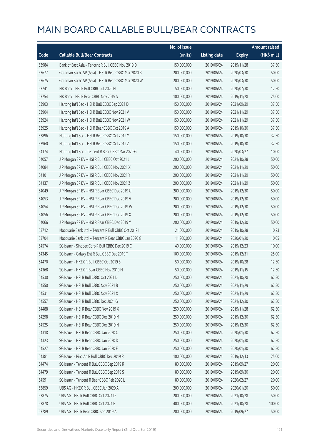|       |                                                      | No. of issue |                     |               | <b>Amount raised</b> |
|-------|------------------------------------------------------|--------------|---------------------|---------------|----------------------|
| Code  | <b>Callable Bull/Bear Contracts</b>                  | (units)      | <b>Listing date</b> | <b>Expiry</b> | (HK\$ mil.)          |
| 63984 | Bank of East Asia - Tencent R Bull CBBC Nov 2019 D   | 150,000,000  | 2019/06/24          | 2019/11/28    | 37.50                |
| 63677 | Goldman Sachs SP (Asia) - HSI R Bear CBBC Mar 2020 B | 200,000,000  | 2019/06/24          | 2020/03/30    | 50.00                |
| 63675 | Goldman Sachs SP (Asia) - HSI R Bear CBBC Mar 2020 W | 200,000,000  | 2019/06/24          | 2020/03/30    | 50.00                |
| 63741 | HK Bank - HSI R Bull CBBC Jul 2020 N                 | 50,000,000   | 2019/06/24          | 2020/07/30    | 12.50                |
| 63754 | HK Bank - HSI R Bear CBBC Nov 2019 S                 | 100,000,000  | 2019/06/24          | 2019/11/28    | 25.00                |
| 63903 | Haitong Int'l Sec - HSI R Bull CBBC Sep 2021 D       | 150,000,000  | 2019/06/24          | 2021/09/29    | 37.50                |
| 63904 | Haitong Int'l Sec - HSI R Bull CBBC Nov 2021 V       | 150,000,000  | 2019/06/24          | 2021/11/29    | 37.50                |
| 63924 | Haitong Int'l Sec - HSI R Bull CBBC Nov 2021 W       | 150,000,000  | 2019/06/24          | 2021/11/29    | 37.50                |
| 63925 | Haitong Int'l Sec - HSI R Bear CBBC Oct 2019 A       | 150,000,000  | 2019/06/24          | 2019/10/30    | 37.50                |
| 63896 | Haitong Int'l Sec - HSI R Bear CBBC Oct 2019 Y       | 150,000,000  | 2019/06/24          | 2019/10/30    | 37.50                |
| 63960 | Haitong Int'l Sec - HSI R Bear CBBC Oct 2019 Z       | 150,000,000  | 2019/06/24          | 2019/10/30    | 37.50                |
| 64174 | Haitong Int'l Sec - Tencent R Bear CBBC Mar 2020 G   | 40,000,000   | 2019/06/24          | 2020/03/27    | 10.00                |
| 64057 | JP Morgan SP BV - HSIR Bull CBBC Oct 2021 L          | 200,000,000  | 2019/06/24          | 2021/10/28    | 50.00                |
| 64084 | J P Morgan SP BV - HSI R Bull CBBC Nov 2021 X        | 200,000,000  | 2019/06/24          | 2021/11/29    | 50.00                |
| 64101 | J P Morgan SP BV - HSI R Bull CBBC Nov 2021 Y        | 200,000,000  | 2019/06/24          | 2021/11/29    | 50.00                |
| 64137 | J P Morgan SP BV - HSI R Bull CBBC Nov 2021 Z        | 200,000,000  | 2019/06/24          | 2021/11/29    | 50.00                |
| 64049 | J P Morgan SP BV - HSI R Bear CBBC Dec 2019 U        | 200,000,000  | 2019/06/24          | 2019/12/30    | 50.00                |
| 64053 | J P Morgan SP BV - HSI R Bear CBBC Dec 2019 V        | 200,000,000  | 2019/06/24          | 2019/12/30    | 50.00                |
| 64054 | J P Morgan SP BV - HSI R Bear CBBC Dec 2019 W        | 200,000,000  | 2019/06/24          | 2019/12/30    | 50.00                |
| 64056 | J P Morgan SP BV - HSI R Bear CBBC Dec 2019 X        | 200,000,000  | 2019/06/24          | 2019/12/30    | 50.00                |
| 64066 | J P Morgan SP BV - HSI R Bear CBBC Dec 2019 Y        | 200,000,000  | 2019/06/24          | 2019/12/30    | 50.00                |
| 63712 | Macquarie Bank Ltd. - Tencent R Bull CBBC Oct 2019 I | 21,000,000   | 2019/06/24          | 2019/10/28    | 10.23                |
| 63704 | Macquarie Bank Ltd. - Tencent R Bear CBBC Jan 2020 G | 11,200,000   | 2019/06/24          | 2020/01/20    | 10.05                |
| 64574 | SG Issuer - Sinopec Corp R Bull CBBC Dec 2019 C      | 40,000,000   | 2019/06/24          | 2019/12/23    | 10.00                |
| 64345 | SG Issuer - Galaxy Ent R Bull CBBC Dec 2019 T        | 100,000,000  | 2019/06/24          | 2019/12/31    | 25.00                |
| 64470 | SG Issuer - HKEX R Bull CBBC Oct 2019 S              | 50,000,000   | 2019/06/24          | 2019/10/28    | 12.50                |
| 64368 | SG Issuer - HKEX R Bear CBBC Nov 2019 H              | 50,000,000   | 2019/06/24          | 2019/11/15    | 12.50                |
| 64530 | SG Issuer – HSI R Bull CBBC Oct 2021 D               | 250,000,000  | 2019/06/24          | 2021/10/28    | 62.50                |
| 64550 | SG Issuer - HSI R Bull CBBC Nov 2021 B               | 250,000,000  | 2019/06/24          | 2021/11/29    | 62.50                |
| 64531 | SG Issuer - HSI R Bull CBBC Nov 2021 X               | 250,000,000  | 2019/06/24          | 2021/11/29    | 62.50                |
| 64557 | SG Issuer - HSI R Bull CBBC Dec 2021 G               | 250,000,000  | 2019/06/24          | 2021/12/30    | 62.50                |
| 64488 | SG Issuer - HSI R Bear CBBC Nov 2019 X               | 250,000,000  | 2019/06/24          | 2019/11/28    | 62.50                |
| 64298 | SG Issuer - HSI R Bear CBBC Dec 2019 M               | 250,000,000  | 2019/06/24          | 2019/12/30    | 62.50                |
| 64525 | SG Issuer - HSI R Bear CBBC Dec 2019 N               | 250,000,000  | 2019/06/24          | 2019/12/30    | 62.50                |
| 64318 | SG Issuer - HSI R Bear CBBC Jan 2020 C               | 250,000,000  | 2019/06/24          | 2020/01/30    | 62.50                |
| 64323 | SG Issuer - HSI R Bear CBBC Jan 2020 D               | 250,000,000  | 2019/06/24          | 2020/01/30    | 62.50                |
| 64527 | SG Issuer - HSI R Bear CBBC Jan 2020 E               | 250,000,000  | 2019/06/24          | 2020/01/30    | 62.50                |
| 64381 | SG Issuer - Ping An R Bull CBBC Dec 2019 R           | 100,000,000  | 2019/06/24          | 2019/12/13    | 25.00                |
| 64474 | SG Issuer - Tencent R Bull CBBC Sep 2019 R           | 80,000,000   | 2019/06/24          | 2019/09/27    | 20.00                |
| 64479 | SG Issuer - Tencent R Bull CBBC Sep 2019 S           | 80,000,000   | 2019/06/24          | 2019/09/30    | 20.00                |
| 64591 | SG Issuer - Tencent R Bear CBBC Feb 2020 L           | 80,000,000   | 2019/06/24          | 2020/02/27    | 20.00                |
| 63859 | UBS AG - HKEX R Bull CBBC Jan 2020 A                 | 200,000,000  | 2019/06/24          | 2020/01/20    | 50.00                |
| 63875 | UBS AG - HSI R Bull CBBC Oct 2021 D                  | 200,000,000  | 2019/06/24          | 2021/10/28    | 50.00                |
| 63878 | UBS AG - HSI R Bull CBBC Oct 2021 E                  | 400,000,000  | 2019/06/24          | 2021/10/28    | 100.00               |
| 63789 | UBS AG - HSI R Bear CBBC Sep 2019 A                  | 200,000,000  | 2019/06/24          | 2019/09/27    | 50.00                |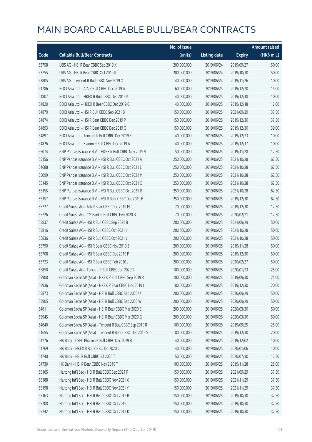|       |                                                          | No. of issue |                     |               | <b>Amount raised</b> |
|-------|----------------------------------------------------------|--------------|---------------------|---------------|----------------------|
| Code  | <b>Callable Bull/Bear Contracts</b>                      | (units)      | <b>Listing date</b> | <b>Expiry</b> | (HK\$ mil.)          |
| 63758 | UBS AG - HSI R Bear CBBC Sep 2019 X                      | 200,000,000  | 2019/06/24          | 2019/09/27    | 50.00                |
| 63755 | UBS AG - HSI R Bear CBBC Oct 2019 K                      | 200,000,000  | 2019/06/24          | 2019/10/30    | 50.00                |
| 63805 | UBS AG - Tencent R Bull CBBC Nov 2019 O                  | 40,000,000   | 2019/06/24          | 2019/11/26    | 10.00                |
| 64786 | BOCI Asia Ltd. - AIA R Bull CBBC Dec 2019 A              | 60,000,000   | 2019/06/25          | 2019/12/20    | 15.00                |
| 64807 | BOCI Asia Ltd. - HKEX R Bull CBBC Dec 2019 K             | 40,000,000   | 2019/06/25          | 2019/12/18    | 10.00                |
| 64820 | BOCI Asia Ltd. - HKEX R Bear CBBC Dec 2019 G             | 40,000,000   | 2019/06/25          | 2019/12/18    | 12.00                |
| 64870 | BOCI Asia Ltd. - HSI R Bull CBBC Sep 2021 B              | 150,000,000  | 2019/06/25          | 2021/09/29    | 37.50                |
| 64874 | BOCI Asia Ltd. - HSI R Bear CBBC Dec 2019 P              | 150,000,000  | 2019/06/25          | 2019/12/30    | 37.50                |
| 64893 | BOCI Asia Ltd. - HSI R Bear CBBC Dec 2019 Q              | 150,000,000  | 2019/06/25          | 2019/12/30    | 39.00                |
| 64897 | BOCI Asia Ltd. - Tencent R Bull CBBC Dec 2019 K          | 40,000,000   | 2019/06/25          | 2019/12/23    | 10.00                |
| 64826 | BOCI Asia Ltd. - Xiaomi R Bull CBBC Dec 2019 A           | 40,000,000   | 2019/06/25          | 2019/12/17    | 10.00                |
| 65074 | BNP Paribas Issuance B.V. - HKEX R Bull CBBC Nov 2019 V  | 50,000,000   | 2019/06/25          | 2019/11/28    | 12.50                |
| 65156 | BNP Paribas Issuance B.V. - HSI R Bull CBBC Oct 2021 A   | 250,000,000  | 2019/06/25          | 2021/10/28    | 62.50                |
| 64688 | BNP Paribas Issuance B.V. - HSI R Bull CBBC Oct 2021 L   | 250,000,000  | 2019/06/25          | 2021/10/28    | 62.50                |
| 65099 | BNP Paribas Issuance B.V. - HSI R Bull CBBC Oct 2021 M   | 250,000,000  | 2019/06/25          | 2021/10/28    | 62.50                |
| 65145 | BNP Paribas Issuance B.V. - HSI R Bull CBBC Oct 2021 O   | 250,000,000  | 2019/06/25          | 2021/10/28    | 62.50                |
| 65155 | BNP Paribas Issuance B.V. - HSI R Bull CBBC Oct 2021 R   | 250,000,000  | 2019/06/25          | 2021/10/28    | 62.50                |
| 65157 | BNP Paribas Issuance B.V. - HSI R Bear CBBC Dec 2019 B   | 250,000,000  | 2019/06/25          | 2019/12/30    | 62.50                |
| 65727 | Credit Suisse AG - AIA R Bear CBBC Dec 2019 M            | 70,000,000   | 2019/06/25          | 2019/12/30    | 17.50                |
| 65726 | Credit Suisse AG - CM Bank R Bull CBBC Feb 2020 B        | 70,000,000   | 2019/06/25          | 2020/02/21    | 17.50                |
| 65837 | Credit Suisse AG - HSI R Bull CBBC Sep 2021 B            | 200,000,000  | 2019/06/25          | 2021/09/29    | 50.00                |
| 65816 | Credit Suisse AG - HSI R Bull CBBC Oct 2021 I            | 200,000,000  | 2019/06/25          | 2021/10/28    | 50.00                |
| 65836 | Credit Suisse AG - HSI R Bull CBBC Oct 2021 J            | 200,000,000  | 2019/06/25          | 2021/10/28    | 50.00                |
| 65790 | Credit Suisse AG - HSI R Bear CBBC Nov 2019 Z            | 200,000,000  | 2019/06/25          | 2019/11/28    | 50.00                |
| 65708 | Credit Suisse AG - HSI R Bear CBBC Dec 2019 P            | 200,000,000  | 2019/06/25          | 2019/12/30    | 50.00                |
| 65723 | Credit Suisse AG - HSI R Bear CBBC Feb 2020 J            | 200,000,000  | 2019/06/25          | 2020/02/27    | 50.00                |
| 65850 | Credit Suisse AG - Tencent R Bull CBBC Jan 2020 T        | 100,000,000  | 2019/06/25          | 2020/01/23    | 25.00                |
| 65908 | Goldman Sachs SP (Asia) - HKEX R Bull CBBC Sep 2019 R    | 100,000,000  | 2019/06/25          | 2019/09/30    | 25.00                |
| 65936 | Goldman Sachs SP (Asia) - HKEX R Bear CBBC Dec 2019 L    | 80,000,000   | 2019/06/25          | 2019/12/30    | 20.00                |
| 65873 | Goldman Sachs SP (Asia) - HSI R Bull CBBC Sep 2020 U     | 200,000,000  | 2019/06/25          | 2020/09/29    | 50.00                |
| 65905 | Goldman Sachs SP (Asia) - HSI R Bull CBBC Sep 2020 W     | 200,000,000  | 2019/06/25          | 2020/09/29    | 50.00                |
| 64611 | Goldman Sachs SP (Asia) - HSI R Bear CBBC Mar 2020 E     | 200,000,000  | 2019/06/25          | 2020/03/30    | 50.00                |
| 65945 | Goldman Sachs SP (Asia) - HSI R Bear CBBC Mar 2020 G     | 200,000,000  | 2019/06/25          | 2020/03/30    | 50.00                |
| 64640 | Goldman Sachs SP (Asia) - Tencent R Bull CBBC Sep 2019 R | 100,000,000  | 2019/06/25          | 2019/09/25    | 25.00                |
| 64655 | Goldman Sachs SP (Asia) - Tencent R Bear CBBC Dec 2019 S | 80,000,000   | 2019/06/25          | 2019/12/30    | 20.00                |
| 64776 | HK Bank - CSPC Pharma R Bull CBBC Dec 2019 B             | 40,000,000   | 2019/06/25          | 2019/12/02    | 10.00                |
| 64769 | HK Bank - HKEX R Bull CBBC Jan 2020 C                    | 40,000,000   | 2019/06/25          | 2020/01/06    | 10.00                |
| 64740 | HK Bank - HSI R Bull CBBC Jul 2020 T                     | 50,000,000   | 2019/06/25          | 2020/07/30    | 12.50                |
| 64730 | HK Bank - HSI R Bear CBBC Nov 2019 T                     | 100,000,000  | 2019/06/25          | 2019/11/28    | 25.00                |
| 65165 | Haitong Int'l Sec - HSI R Bull CBBC Sep 2021 P           | 150,000,000  | 2019/06/25          | 2021/09/29    | 37.50                |
| 65188 | Haitong Int'l Sec - HSI R Bull CBBC Nov 2021 X           | 150,000,000  | 2019/06/25          | 2021/11/29    | 37.50                |
| 65198 | Haitong Int'l Sec - HSI R Bull CBBC Nov 2021 Y           | 150,000,000  | 2019/06/25          | 2021/11/29    | 37.50                |
| 65163 | Haitong Int'l Sec - HSI R Bear CBBC Oct 2019 B           | 150,000,000  | 2019/06/25          | 2019/10/30    | 37.50                |
| 65208 | Haitong Int'l Sec - HSI R Bear CBBC Oct 2019 J           | 150,000,000  | 2019/06/25          | 2019/10/30    | 37.50                |
| 65242 | Haitong Int'l Sec - HSI R Bear CBBC Oct 2019 K           | 150,000,000  | 2019/06/25          | 2019/10/30    | 37.50                |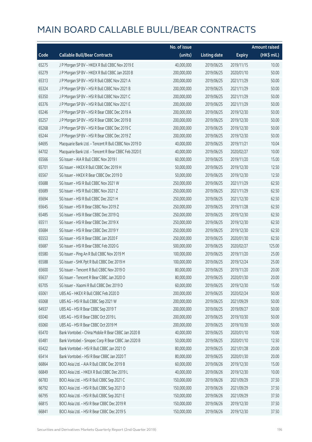|       |                                                      | No. of issue |                     |               | <b>Amount raised</b> |
|-------|------------------------------------------------------|--------------|---------------------|---------------|----------------------|
| Code  | <b>Callable Bull/Bear Contracts</b>                  | (units)      | <b>Listing date</b> | <b>Expiry</b> | (HK\$ mil.)          |
| 65275 | J P Morgan SP BV - HKEX R Bull CBBC Nov 2019 E       | 40,000,000   | 2019/06/25          | 2019/11/15    | 10.00                |
| 65279 | J P Morgan SP BV - HKEX R Bull CBBC Jan 2020 B       | 200,000,000  | 2019/06/25          | 2020/01/10    | 50.00                |
| 65313 | J P Morgan SP BV - HSI R Bull CBBC Nov 2021 A        | 200,000,000  | 2019/06/25          | 2021/11/29    | 50.00                |
| 65324 | J P Morgan SP BV - HSI R Bull CBBC Nov 2021 B        | 200,000,000  | 2019/06/25          | 2021/11/29    | 50.00                |
| 65350 | J P Morgan SP BV - HSI R Bull CBBC Nov 2021 C        | 200,000,000  | 2019/06/25          | 2021/11/29    | 50.00                |
| 65376 | J P Morgan SP BV - HSI R Bull CBBC Nov 2021 E        | 200,000,000  | 2019/06/25          | 2021/11/29    | 50.00                |
| 65246 | J P Morgan SP BV - HSI R Bear CBBC Dec 2019 A        | 200,000,000  | 2019/06/25          | 2019/12/30    | 50.00                |
| 65257 | J P Morgan SP BV - HSI R Bear CBBC Dec 2019 B        | 200,000,000  | 2019/06/25          | 2019/12/30    | 50.00                |
| 65268 | J P Morgan SP BV - HSI R Bear CBBC Dec 2019 C        | 200,000,000  | 2019/06/25          | 2019/12/30    | 50.00                |
| 65244 | J P Morgan SP BV - HSI R Bear CBBC Dec 2019 Z        | 200,000,000  | 2019/06/25          | 2019/12/30    | 50.00                |
| 64695 | Macquarie Bank Ltd. - Tencent R Bull CBBC Nov 2019 D | 40,000,000   | 2019/06/25          | 2019/11/21    | 10.04                |
| 64702 | Macquarie Bank Ltd. - Tencent R Bear CBBC Feb 2020 E | 40,000,000   | 2019/06/25          | 2020/02/27    | 10.00                |
| 65566 | SG Issuer - AIA R Bull CBBC Nov 2019 I               | 60,000,000   | 2019/06/25          | 2019/11/20    | 15.00                |
| 65701 | SG Issuer - HKEX R Bull CBBC Dec 2019 H              | 50,000,000   | 2019/06/25          | 2019/12/30    | 12.50                |
| 65567 | SG Issuer - HKEX R Bear CBBC Dec 2019 D              | 50,000,000   | 2019/06/25          | 2019/12/30    | 12.50                |
| 65688 | SG Issuer - HSI R Bull CBBC Nov 2021 W               | 250,000,000  | 2019/06/25          | 2021/11/29    | 62.50                |
| 65689 | SG Issuer - HSI R Bull CBBC Nov 2021 Z               | 250,000,000  | 2019/06/25          | 2021/11/29    | 62.50                |
| 65694 | SG Issuer - HSI R Bull CBBC Dec 2021 H               | 250,000,000  | 2019/06/25          | 2021/12/30    | 62.50                |
| 65645 | SG Issuer - HSI R Bear CBBC Nov 2019 Z               | 250,000,000  | 2019/06/25          | 2019/11/28    | 62.50                |
| 65485 | SG Issuer - HSI R Bear CBBC Dec 2019 Q               | 250,000,000  | 2019/06/25          | 2019/12/30    | 62.50                |
| 65511 | SG Issuer - HSI R Bear CBBC Dec 2019 X               | 250,000,000  | 2019/06/25          | 2019/12/30    | 62.50                |
| 65684 | SG Issuer - HSI R Bear CBBC Dec 2019 Y               | 250,000,000  | 2019/06/25          | 2019/12/30    | 62.50                |
| 65553 | SG Issuer - HSI R Bear CBBC Jan 2020 F               | 250,000,000  | 2019/06/25          | 2020/01/30    | 62.50                |
| 65687 | SG Issuer - HSI R Bear CBBC Feb 2020 G               | 500,000,000  | 2019/06/25          | 2020/02/27    | 125.00               |
| 65580 | SG Issuer - Ping An R Bull CBBC Nov 2019 M           | 100,000,000  | 2019/06/25          | 2019/11/20    | 25.00                |
| 65588 | SG Issuer - SHK Ppt R Bull CBBC Dec 2019 H           | 100,000,000  | 2019/06/25          | 2019/12/24    | 25.00                |
| 65600 | SG Issuer - Tencent R Bull CBBC Nov 2019 O           | 80,000,000   | 2019/06/25          | 2019/11/20    | 20.00                |
| 65637 | SG Issuer – Tencent R Bear CBBC Jan 2020 O           | 80,000,000   | 2019/06/25          | 2020/01/30    | 20.00                |
| 65705 | SG Issuer - Xiaomi R Bull CBBC Dec 2019 D            | 60,000,000   | 2019/06/25          | 2019/12/30    | 15.00                |
| 65061 | UBS AG - HKEX R Bull CBBC Feb 2020 D                 | 200,000,000  | 2019/06/25          | 2020/02/24    | 50.00                |
| 65068 | UBS AG - HSI R Bull CBBC Sep 2021 W                  | 200,000,000  | 2019/06/25          | 2021/09/29    | 50.00                |
| 64937 | UBS AG - HSI R Bear CBBC Sep 2019 T                  | 200,000,000  | 2019/06/25          | 2019/09/27    | 50.00                |
| 65040 | UBS AG - HSI R Bear CBBC Oct 2019 L                  | 200,000,000  | 2019/06/25          | 2019/10/30    | 50.00                |
| 65060 | UBS AG - HSI R Bear CBBC Oct 2019 M                  | 200,000,000  | 2019/06/25          | 2019/10/30    | 50.00                |
| 65470 | Bank Vontobel - China Mobile R Bear CBBC Jan 2020 B  | 40,000,000   | 2019/06/25          | 2020/01/10    | 10.00                |
| 65481 | Bank Vontobel - Sinopec Corp R Bear CBBC Jan 2020 B  | 50,000,000   | 2019/06/25          | 2020/01/10    | 12.50                |
| 65422 | Bank Vontobel - HSI R Bull CBBC Jan 2021 O           | 80,000,000   | 2019/06/25          | 2021/01/28    | 20.00                |
| 65414 | Bank Vontobel - HSI R Bear CBBC Jan 2020 T           | 80,000,000   | 2019/06/25          | 2020/01/30    | 20.00                |
| 66864 | BOCI Asia Ltd. - AIA R Bull CBBC Dec 2019 B          | 60,000,000   | 2019/06/26          | 2019/12/30    | 15.00                |
| 66849 | BOCI Asia Ltd. - HKEX R Bull CBBC Dec 2019 L         | 40,000,000   | 2019/06/26          | 2019/12/30    | 10.00                |
| 66783 | BOCI Asia Ltd. - HSI R Bull CBBC Sep 2021 C          | 150,000,000  | 2019/06/26          | 2021/09/29    | 37.50                |
| 66792 | BOCI Asia Ltd. - HSI R Bull CBBC Sep 2021 D          | 150,000,000  | 2019/06/26          | 2021/09/29    | 37.50                |
| 66795 | BOCI Asia Ltd. - HSI R Bull CBBC Sep 2021 E          | 150,000,000  | 2019/06/26          | 2021/09/29    | 37.50                |
| 66815 | BOCI Asia Ltd. - HSI R Bear CBBC Dec 2019 R          | 150,000,000  | 2019/06/26          | 2019/12/30    | 37.50                |
| 66841 | BOCI Asia Ltd. - HSI R Bear CBBC Dec 2019 S          | 150,000,000  | 2019/06/26          | 2019/12/30    | 37.50                |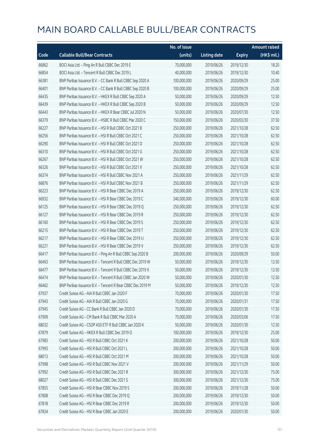|       |                                                            | No. of issue |                     |               | <b>Amount raised</b> |
|-------|------------------------------------------------------------|--------------|---------------------|---------------|----------------------|
| Code  | <b>Callable Bull/Bear Contracts</b>                        | (units)      | <b>Listing date</b> | <b>Expiry</b> | (HK\$ mil.)          |
| 66862 | BOCI Asia Ltd. - Ping An R Bull CBBC Dec 2019 E            | 70,000,000   | 2019/06/26          | 2019/12/30    | 18.20                |
| 66854 | BOCI Asia Ltd. - Tencent R Bull CBBC Dec 2019 L            | 40,000,000   | 2019/06/26          | 2019/12/30    | 10.40                |
| 66381 | BNP Paribas Issuance B.V. - CC Bank R Bull CBBC Sep 2020 A | 100,000,000  | 2019/06/26          | 2020/09/29    | 25.00                |
| 66401 | BNP Paribas Issuance B.V. - CC Bank R Bull CBBC Sep 2020 B | 100,000,000  | 2019/06/26          | 2020/09/29    | 25.00                |
| 66435 | BNP Paribas Issuance B.V. - HKEX R Bull CBBC Sep 2020 A    | 50,000,000   | 2019/06/26          | 2020/09/29    | 12.50                |
| 66439 | BNP Paribas Issuance B.V. - HKEX R Bull CBBC Sep 2020 B    | 50,000,000   | 2019/06/26          | 2020/09/29    | 12.50                |
| 66443 | BNP Paribas Issuance B.V. - HKEX R Bear CBBC Jul 2020 N    | 50,000,000   | 2019/06/26          | 2020/07/30    | 12.50                |
| 66379 | BNP Paribas Issuance B.V. - HSBC R Bull CBBC Mar 2020 C    | 150,000,000  | 2019/06/26          | 2020/03/30    | 37.50                |
| 66227 | BNP Paribas Issuance B.V. - HSI R Bull CBBC Oct 2021 B     | 250,000,000  | 2019/06/26          | 2021/10/28    | 62.50                |
| 66256 | BNP Paribas Issuance B.V. - HSI R Bull CBBC Oct 2021 C     | 250,000,000  | 2019/06/26          | 2021/10/28    | 62.50                |
| 66290 | BNP Paribas Issuance B.V. - HSI R Bull CBBC Oct 2021 D     | 250,000,000  | 2019/06/26          | 2021/10/28    | 62.50                |
| 66310 | BNP Paribas Issuance B.V. - HSI R Bull CBBC Oct 2021 G     | 250,000,000  | 2019/06/26          | 2021/10/28    | 62.50                |
| 66267 | BNP Paribas Issuance B.V. - HSI R Bull CBBC Oct 2021 W     | 250,000,000  | 2019/06/26          | 2021/10/28    | 62.50                |
| 66326 | BNP Paribas Issuance B.V. - HSI R Bull CBBC Oct 2021 X     | 250,000,000  | 2019/06/26          | 2021/10/28    | 62.50                |
| 66374 | BNP Paribas Issuance B.V. - HSI R Bull CBBC Nov 2021 A     | 250,000,000  | 2019/06/26          | 2021/11/29    | 62.50                |
| 66876 | BNP Paribas Issuance B.V. - HSI R Bull CBBC Nov 2021 B     | 250,000,000  | 2019/06/26          | 2021/11/29    | 62.50                |
| 66223 | BNP Paribas Issuance B.V. - HSI R Bear CBBC Dec 2019 A     | 250,000,000  | 2019/06/26          | 2019/12/30    | 62.50                |
| 66932 | BNP Paribas Issuance B.V. - HSI R Bear CBBC Dec 2019 C     | 240,000,000  | 2019/06/26          | 2019/12/30    | 60.00                |
| 66125 | BNP Paribas Issuance B.V. - HSI R Bear CBBC Dec 2019 Q     | 250,000,000  | 2019/06/26          | 2019/12/30    | 62.50                |
| 66127 | BNP Paribas Issuance B.V. - HSI R Bear CBBC Dec 2019 R     | 250,000,000  | 2019/06/26          | 2019/12/30    | 62.50                |
| 66160 | BNP Paribas Issuance B.V. - HSI R Bear CBBC Dec 2019 S     | 250,000,000  | 2019/06/26          | 2019/12/30    | 62.50                |
| 66215 | BNP Paribas Issuance B.V. - HSI R Bear CBBC Dec 2019 T     | 250,000,000  | 2019/06/26          | 2019/12/30    | 62.50                |
| 66217 | BNP Paribas Issuance B.V. - HSI R Bear CBBC Dec 2019 U     | 250,000,000  | 2019/06/26          | 2019/12/30    | 62.50                |
| 66221 | BNP Paribas Issuance B.V. - HSI R Bear CBBC Dec 2019 V     | 250,000,000  | 2019/06/26          | 2019/12/30    | 62.50                |
| 66417 | BNP Paribas Issuance B.V. - Ping An R Bull CBBC Sep 2020 B | 200,000,000  | 2019/06/26          | 2020/09/29    | 50.00                |
| 66463 | BNP Paribas Issuance B.V. - Tencent R Bull CBBC Dec 2019 W | 50,000,000   | 2019/06/26          | 2019/12/30    | 12.50                |
| 66477 | BNP Paribas Issuance B.V. - Tencent R Bull CBBC Dec 2019 X | 50,000,000   | 2019/06/26          | 2019/12/30    | 12.50                |
| 66474 | BNP Paribas Issuance B.V. - Tencent R Bull CBBC Jan 2020 W | 50,000,000   | 2019/06/26          | 2020/01/30    | 12.50                |
| 66462 | BNP Paribas Issuance B.V. - Tencent R Bear CBBC Dec 2019 M | 50,000,000   | 2019/06/26          | 2019/12/30    | 12.50                |
| 67937 | Credit Suisse AG - AIA R Bull CBBC Jan 2020 F              | 70,000,000   | 2019/06/26          | 2020/01/30    | 17.50                |
| 67943 | Credit Suisse AG - AIA R Bull CBBC Jan 2020 G              | 70,000,000   | 2019/06/26          | 2020/01/31    | 17.50                |
| 67945 | Credit Suisse AG - CC Bank R Bull CBBC Jan 2020 D          | 70,000,000   | 2019/06/26          | 2020/01/30    | 17.50                |
| 67909 | Credit Suisse AG - CM Bank R Bull CBBC Mar 2020 A          | 70,000,000   | 2019/06/26          | 2020/03/06    | 17.50                |
| 68032 | Credit Suisse AG - CSOP A50 ETF R Bull CBBC Jan 2020 K     | 50,000,000   | 2019/06/26          | 2020/01/30    | 12.50                |
| 67879 | Credit Suisse AG - HKEX R Bull CBBC Dec 2019 O             | 100,000,000  | 2019/06/26          | 2019/12/30    | 25.00                |
| 67983 | Credit Suisse AG - HSI R Bull CBBC Oct 2021 K              | 200,000,000  | 2019/06/26          | 2021/10/28    | 50.00                |
| 67993 | Credit Suisse AG - HSI R Bull CBBC Oct 2021 L              | 200,000,000  | 2019/06/26          | 2021/10/28    | 50.00                |
| 68013 | Credit Suisse AG - HSI R Bull CBBC Oct 2021 M              | 200,000,000  | 2019/06/26          | 2021/10/28    | 50.00                |
| 67998 | Credit Suisse AG - HSI R Bull CBBC Nov 2021 V              | 200,000,000  | 2019/06/26          | 2021/11/29    | 50.00                |
| 67992 | Credit Suisse AG - HSI R Bull CBBC Dec 2021 R              | 300,000,000  | 2019/06/26          | 2021/12/30    | 75.00                |
| 68027 | Credit Suisse AG - HSI R Bull CBBC Dec 2021 S              | 300,000,000  | 2019/06/26          | 2021/12/30    | 75.00                |
| 67855 | Credit Suisse AG - HSI R Bear CBBC Nov 2019 S              | 200,000,000  | 2019/06/26          | 2019/11/28    | 50.00                |
| 67808 | Credit Suisse AG - HSI R Bear CBBC Dec 2019 Q              | 200,000,000  | 2019/06/26          | 2019/12/30    | 50.00                |
| 67818 | Credit Suisse AG - HSI R Bear CBBC Dec 2019 R              | 200,000,000  | 2019/06/26          | 2019/12/30    | 50.00                |
| 67834 | Credit Suisse AG - HSI R Bear CBBC Jan 2020 E              | 200,000,000  | 2019/06/26          | 2020/01/30    | 50.00                |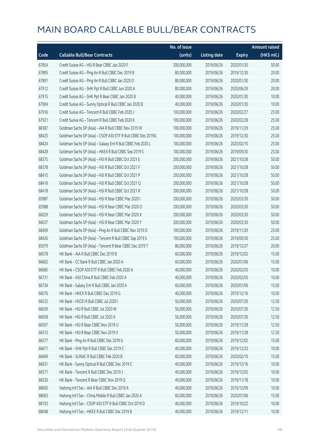|       |                                                              | No. of issue |                     |               | <b>Amount raised</b> |
|-------|--------------------------------------------------------------|--------------|---------------------|---------------|----------------------|
| Code  | <b>Callable Bull/Bear Contracts</b>                          | (units)      | <b>Listing date</b> | <b>Expiry</b> | (HK\$ mil.)          |
| 67854 | Credit Suisse AG - HSI R Bear CBBC Jan 2020 F                | 200,000,000  | 2019/06/26          | 2020/01/30    | 50.00                |
| 67895 | Credit Suisse AG - Ping An R Bull CBBC Dec 2019 B            | 80,000,000   | 2019/06/26          | 2019/12/30    | 20.00                |
| 67891 | Credit Suisse AG - Ping An R Bull CBBC Jan 2020 O            | 80,000,000   | 2019/06/26          | 2020/01/30    | 20.00                |
| 67912 | Credit Suisse AG - SHK Ppt R Bull CBBC Jun 2020 A            | 80,000,000   | 2019/06/26          | 2020/06/29    | 20.00                |
| 67915 | Credit Suisse AG - SHK Ppt R Bear CBBC Jan 2020 B            | 40,000,000   | 2019/06/26          | 2020/01/30    | 10.00                |
| 67904 | Credit Suisse AG - Sunny Optical R Bull CBBC Jan 2020 B      | 40,000,000   | 2019/06/26          | 2020/01/30    | 10.00                |
| 67916 | Credit Suisse AG - Tencent R Bull CBBC Feb 2020 J            | 100,000,000  | 2019/06/26          | 2020/02/27    | 25.00                |
| 67921 | Credit Suisse AG - Tencent R Bull CBBC Feb 2020 K            | 100,000,000  | 2019/06/26          | 2020/02/28    | 25.00                |
| 68387 | Goldman Sachs SP (Asia) - AIA R Bull CBBC Nov 2019 W         | 100,000,000  | 2019/06/26          | 2019/11/29    | 25.00                |
| 68425 | Goldman Sachs SP (Asia) - CSOP A50 ETF R Bull CBBC Dec 2019G | 100,000,000  | 2019/06/26          | 2019/12/30    | 25.00                |
| 68424 | Goldman Sachs SP (Asia) - Galaxy Ent R Bull CBBC Feb 2020 L  | 100,000,000  | 2019/06/26          | 2020/02/10    | 25.00                |
| 68428 | Goldman Sachs SP (Asia) - HKEX R Bull CBBC Sep 2019 S        | 100,000,000  | 2019/06/26          | 2019/09/30    | 25.00                |
| 68375 | Goldman Sachs SP (Asia) - HSI R Bull CBBC Oct 2021 E         | 200,000,000  | 2019/06/26          | 2021/10/28    | 50.00                |
| 68378 | Goldman Sachs SP (Asia) - HSI R Bull CBBC Oct 2021 F         | 200,000,000  | 2019/06/26          | 2021/10/28    | 50.00                |
| 68415 | Goldman Sachs SP (Asia) - HSI R Bull CBBC Oct 2021 P         | 200,000,000  | 2019/06/26          | 2021/10/28    | 50.00                |
| 68416 | Goldman Sachs SP (Asia) - HSI R Bull CBBC Oct 2021 Q         | 200,000,000  | 2019/06/26          | 2021/10/28    | 50.00                |
| 68418 | Goldman Sachs SP (Asia) - HSI R Bull CBBC Oct 2021 R         | 200,000,000  | 2019/06/26          | 2021/10/28    | 50.00                |
| 65987 | Goldman Sachs SP (Asia) - HSI R Bear CBBC Mar 2020 I         | 200,000,000  | 2019/06/26          | 2020/03/30    | 50.00                |
| 65988 | Goldman Sachs SP (Asia) - HSI R Bear CBBC Mar 2020 O         | 200,000,000  | 2019/06/26          | 2020/03/30    | 50.00                |
| 66029 | Goldman Sachs SP (Asia) - HSI R Bear CBBC Mar 2020 X         | 200,000,000  | 2019/06/26          | 2020/03/30    | 50.00                |
| 66037 | Goldman Sachs SP (Asia) - HSI R Bear CBBC Mar 2020 Y         | 200,000,000  | 2019/06/26          | 2020/03/30    | 50.00                |
| 68409 | Goldman Sachs SP (Asia) - Ping An R Bull CBBC Nov 2019 O     | 100,000,000  | 2019/06/26          | 2019/11/29    | 25.00                |
| 68426 | Goldman Sachs SP (Asia) - Tencent R Bull CBBC Sep 2019 S     | 100,000,000  | 2019/06/26          | 2019/09/30    | 25.00                |
| 65979 | Goldman Sachs SP (Asia) - Tencent R Bear CBBC Dec 2019 T     | 80,000,000   | 2019/06/26          | 2019/12/27    | 20.00                |
| 66578 | HK Bank - AIA R Bull CBBC Dec 2019 B                         | 60,000,000   | 2019/06/26          | 2019/12/02    | 15.00                |
| 66662 | HK Bank - CC Bank R Bull CBBC Jan 2020 A                     | 60,000,000   | 2019/06/26          | 2020/01/06    | 15.00                |
| 66685 | HK Bank - CSOP A50 ETF R Bull CBBC Feb 2020 A                | 40,000,000   | 2019/06/26          | 2020/02/03    | 10.00                |
| 66731 | HK Bank - A50 China R Bull CBBC Feb 2020 A                   | 40,000,000   | 2019/06/26          | 2020/02/03    | 10.00                |
| 66734 | HK Bank - Galaxy Ent R Bull CBBC Jan 2020 A                  | 60,000,000   | 2019/06/26          | 2020/01/06    | 15.00                |
| 66576 | HK Bank - HKEX R Bull CBBC Dec 2019 G                        | 40,000,000   | 2019/06/26          | 2019/12/16    | 10.00                |
| 66532 | HK Bank - HSCEI R Bull CBBC Jul 2020 I                       | 50,000,000   | 2019/06/26          | 2020/07/30    | 12.50                |
| 66639 | HK Bank - HSI R Bull CBBC Jul 2020 W                         | 50,000,000   | 2019/06/26          | 2020/07/30    | 12.50                |
| 66658 | HK Bank - HSI R Bull CBBC Jul 2020 X                         | 50,000,000   | 2019/06/26          | 2020/07/30    | 12.50                |
| 66507 | HK Bank - HSI R Bear CBBC Nov 2019 U                         | 50,000,000   | 2019/06/26          | 2019/11/28    | 12.50                |
| 66513 | HK Bank - HSI R Bear CBBC Nov 2019 V                         | 50,000,000   | 2019/06/26          | 2019/11/28    | 12.50                |
| 66577 | HK Bank - Ping An R Bull CBBC Dec 2019 G                     | 60,000,000   | 2019/06/26          | 2019/12/02    | 15.00                |
| 66671 | HK Bank - SHK Ppt R Bull CBBC Dec 2019 C                     | 40,000,000   | 2019/06/26          | 2019/12/23    | 10.00                |
| 66669 | HK Bank - SUNAC R Bull CBBC Feb 2020 B                       | 60,000,000   | 2019/06/26          | 2020/02/10    | 15.00                |
| 66631 | HK Bank - Sunny Optical R Bull CBBC Dec 2019 C               | 40,000,000   | 2019/06/26          | 2019/12/16    | 10.00                |
| 66571 | HK Bank - Tencent R Bull CBBC Dec 2019 J                     | 40,000,000   | 2019/06/26          | 2019/12/02    | 10.00                |
| 66530 | HK Bank - Tencent R Bear CBBC Nov 2019 Q                     | 40,000,000   | 2019/06/26          | 2019/11/18    | 10.00                |
| 68065 | Haitong Int'l Sec - AIA R Bull CBBC Dec 2019 A               | 40,000,000   | 2019/06/26          | 2019/12/09    | 10.00                |
| 68063 | Haitong Int'l Sec - China Mobile R Bull CBBC Jan 2020 A      | 60,000,000   | 2019/06/26          | 2020/01/06    | 15.00                |
| 68103 | Haitong Int'l Sec - CSOP A50 ETF R Bull CBBC Oct 2019 D      | 40,000,000   | 2019/06/26          | 2019/10/22    | 10.00                |
| 68048 | Haitong Int'l Sec - HKEX R Bull CBBC Dec 2019 B              | 40,000,000   | 2019/06/26          | 2019/12/11    | 10.00                |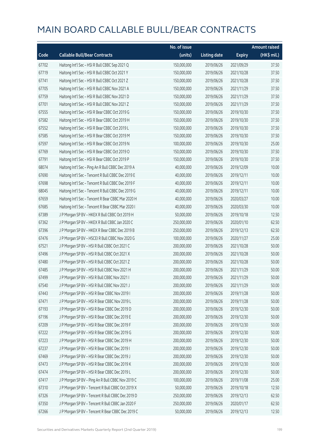|       |                                                    | No. of issue |                     |               | <b>Amount raised</b> |
|-------|----------------------------------------------------|--------------|---------------------|---------------|----------------------|
| Code  | <b>Callable Bull/Bear Contracts</b>                | (units)      | <b>Listing date</b> | <b>Expiry</b> | (HK\$ mil.)          |
| 67702 | Haitong Int'l Sec - HSI R Bull CBBC Sep 2021 Q     | 150,000,000  | 2019/06/26          | 2021/09/29    | 37.50                |
| 67719 | Haitong Int'l Sec - HSI R Bull CBBC Oct 2021 Y     | 150,000,000  | 2019/06/26          | 2021/10/28    | 37.50                |
| 67741 | Haitong Int'l Sec - HSI R Bull CBBC Oct 2021 Z     | 150,000,000  | 2019/06/26          | 2021/10/28    | 37.50                |
| 67705 | Haitong Int'l Sec - HSI R Bull CBBC Nov 2021 A     | 150,000,000  | 2019/06/26          | 2021/11/29    | 37.50                |
| 67759 | Haitong Int'l Sec - HSI R Bull CBBC Nov 2021 D     | 150,000,000  | 2019/06/26          | 2021/11/29    | 37.50                |
| 67701 | Haitong Int'l Sec - HSI R Bull CBBC Nov 2021 Z     | 150,000,000  | 2019/06/26          | 2021/11/29    | 37.50                |
| 67555 | Haitong Int'l Sec - HSI R Bear CBBC Oct 2019 G     | 150,000,000  | 2019/06/26          | 2019/10/30    | 37.50                |
| 67582 | Haitong Int'l Sec - HSI R Bear CBBC Oct 2019 H     | 150,000,000  | 2019/06/26          | 2019/10/30    | 37.50                |
| 67552 | Haitong Int'l Sec - HSI R Bear CBBC Oct 2019 L     | 150,000,000  | 2019/06/26          | 2019/10/30    | 37.50                |
| 67585 | Haitong Int'l Sec - HSI R Bear CBBC Oct 2019 M     | 150,000,000  | 2019/06/26          | 2019/10/30    | 37.50                |
| 67597 | Haitong Int'l Sec - HSI R Bear CBBC Oct 2019 N     | 100,000,000  | 2019/06/26          | 2019/10/30    | 25.00                |
| 67769 | Haitong Int'l Sec - HSI R Bear CBBC Oct 2019 O     | 150,000,000  | 2019/06/26          | 2019/10/30    | 37.50                |
| 67791 | Haitong Int'l Sec - HSI R Bear CBBC Oct 2019 P     | 150,000,000  | 2019/06/26          | 2019/10/30    | 37.50                |
| 68074 | Haitong Int'l Sec - Ping An R Bull CBBC Dec 2019 A | 40,000,000   | 2019/06/26          | 2019/12/09    | 10.00                |
| 67690 | Haitong Int'l Sec - Tencent R Bull CBBC Dec 2019 E | 40,000,000   | 2019/06/26          | 2019/12/11    | 10.00                |
| 67698 | Haitong Int'l Sec - Tencent R Bull CBBC Dec 2019 F | 40,000,000   | 2019/06/26          | 2019/12/11    | 10.00                |
| 68045 | Haitong Int'l Sec - Tencent R Bull CBBC Dec 2019 G | 40,000,000   | 2019/06/26          | 2019/12/11    | 10.00                |
| 67659 | Haitong Int'l Sec - Tencent R Bear CBBC Mar 2020 H | 40,000,000   | 2019/06/26          | 2020/03/27    | 10.00                |
| 67685 | Haitong Int'l Sec - Tencent R Bear CBBC Mar 2020 I | 40,000,000   | 2019/06/26          | 2020/03/30    | 10.00                |
| 67389 | J P Morgan SP BV - HKEX R Bull CBBC Oct 2019 H     | 50,000,000   | 2019/06/26          | 2019/10/18    | 12.50                |
| 67362 | J P Morgan SP BV - HKEX R Bull CBBC Jan 2020 C     | 250,000,000  | 2019/06/26          | 2020/01/10    | 62.50                |
| 67396 | J P Morgan SP BV - HKEX R Bear CBBC Dec 2019 B     | 250,000,000  | 2019/06/26          | 2019/12/13    | 62.50                |
| 67476 | J P Morgan SP BV - HSCEI R Bull CBBC Nov 2020 G    | 100,000,000  | 2019/06/26          | 2020/11/27    | 25.00                |
| 67521 | J P Morgan SP BV - HSI R Bull CBBC Oct 2021 C      | 200,000,000  | 2019/06/26          | 2021/10/28    | 50.00                |
| 67496 | J P Morgan SP BV - HSI R Bull CBBC Oct 2021 X      | 200,000,000  | 2019/06/26          | 2021/10/28    | 50.00                |
| 67480 | J P Morgan SP BV - HSI R Bull CBBC Oct 2021 Z      | 200,000,000  | 2019/06/26          | 2021/10/28    | 50.00                |
| 67485 | J P Morgan SP BV - HSI R Bull CBBC Nov 2021 H      | 200,000,000  | 2019/06/26          | 2021/11/29    | 50.00                |
| 67499 | J P Morgan SP BV - HSI R Bull CBBC Nov 2021 I      | 200,000,000  | 2019/06/26          | 2021/11/29    | 50.00                |
| 67540 | J P Morgan SP BV - HSI R Bull CBBC Nov 2021 J      | 200,000,000  | 2019/06/26          | 2021/11/29    | 50.00                |
| 67443 | J P Morgan SP BV - HSI R Bear CBBC Nov 2019 I      | 200,000,000  | 2019/06/26          | 2019/11/28    | 50.00                |
| 67471 | J P Morgan SP BV - HSI R Bear CBBC Nov 2019 L      | 200,000,000  | 2019/06/26          | 2019/11/28    | 50.00                |
| 67193 | J P Morgan SP BV - HSI R Bear CBBC Dec 2019 D      | 200,000,000  | 2019/06/26          | 2019/12/30    | 50.00                |
| 67196 | J P Morgan SP BV - HSI R Bear CBBC Dec 2019 E      | 200,000,000  | 2019/06/26          | 2019/12/30    | 50.00                |
| 67209 | J P Morgan SP BV - HSI R Bear CBBC Dec 2019 F      | 200,000,000  | 2019/06/26          | 2019/12/30    | 50.00                |
| 67222 | J P Morgan SP BV - HSI R Bear CBBC Dec 2019 G      | 200,000,000  | 2019/06/26          | 2019/12/30    | 50.00                |
| 67223 | J P Morgan SP BV - HSI R Bear CBBC Dec 2019 H      | 200,000,000  | 2019/06/26          | 2019/12/30    | 50.00                |
| 67237 | J P Morgan SP BV - HSI R Bear CBBC Dec 2019 I      | 200,000,000  | 2019/06/26          | 2019/12/30    | 50.00                |
| 67469 | J P Morgan SP BV - HSI R Bear CBBC Dec 2019 J      | 200,000,000  | 2019/06/26          | 2019/12/30    | 50.00                |
| 67473 | J P Morgan SP BV - HSI R Bear CBBC Dec 2019 K      | 200,000,000  | 2019/06/26          | 2019/12/30    | 50.00                |
| 67474 | J P Morgan SP BV - HSI R Bear CBBC Dec 2019 L      | 200,000,000  | 2019/06/26          | 2019/12/30    | 50.00                |
| 67417 | J P Morgan SP BV - Ping An R Bull CBBC Nov 2019 C  | 100,000,000  | 2019/06/26          | 2019/11/08    | 25.00                |
| 67310 | J P Morgan SP BV - Tencent R Bull CBBC Oct 2019 X  | 50,000,000   | 2019/06/26          | 2019/10/18    | 12.50                |
| 67326 | JP Morgan SP BV - Tencent R Bull CBBC Dec 2019 D   | 250,000,000  | 2019/06/26          | 2019/12/13    | 62.50                |
| 67350 | J P Morgan SP BV - Tencent R Bull CBBC Jan 2020 F  | 250,000,000  | 2019/06/26          | 2020/01/17    | 62.50                |
| 67266 | J P Morgan SP BV - Tencent R Bear CBBC Dec 2019 C  | 50,000,000   | 2019/06/26          | 2019/12/13    | 12.50                |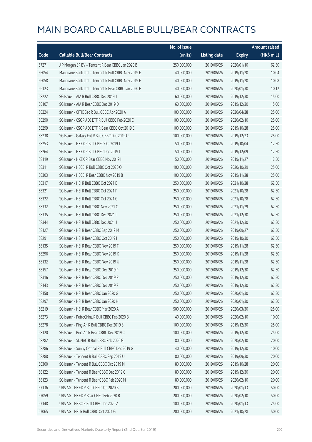|       |                                                      | No. of issue |                     |               | <b>Amount raised</b> |
|-------|------------------------------------------------------|--------------|---------------------|---------------|----------------------|
| Code  | <b>Callable Bull/Bear Contracts</b>                  | (units)      | <b>Listing date</b> | <b>Expiry</b> | (HK\$ mil.)          |
| 67271 | J P Morgan SP BV - Tencent R Bear CBBC Jan 2020 B    | 250,000,000  | 2019/06/26          | 2020/01/10    | 62.50                |
| 66054 | Macquarie Bank Ltd. - Tencent R Bull CBBC Nov 2019 E | 40,000,000   | 2019/06/26          | 2019/11/20    | 10.04                |
| 66058 | Macquarie Bank Ltd. - Tencent R Bull CBBC Nov 2019 F | 40,000,000   | 2019/06/26          | 2019/11/20    | 10.08                |
| 66123 | Macquarie Bank Ltd. - Tencent R Bear CBBC Jan 2020 H | 40,000,000   | 2019/06/26          | 2020/01/30    | 10.12                |
| 68222 | SG Issuer - AIA R Bull CBBC Dec 2019 J               | 60,000,000   | 2019/06/26          | 2019/12/30    | 15.00                |
| 68107 | SG Issuer - AIA R Bear CBBC Dec 2019 D               | 60,000,000   | 2019/06/26          | 2019/12/20    | 15.00                |
| 68224 | SG Issuer - CITIC Sec R Bull CBBC Apr 2020 A         | 100,000,000  | 2019/06/26          | 2020/04/28    | 25.00                |
| 68290 | SG Issuer - CSOP A50 ETF R Bull CBBC Feb 2020 C      | 100,000,000  | 2019/06/26          | 2020/02/10    | 25.00                |
| 68299 | SG Issuer - CSOP A50 ETF R Bear CBBC Oct 2019 E      | 100,000,000  | 2019/06/26          | 2019/10/28    | 25.00                |
| 68238 | SG Issuer - Galaxy Ent R Bull CBBC Dec 2019 U        | 100,000,000  | 2019/06/26          | 2019/12/23    | 25.00                |
| 68253 | SG Issuer - HKEX R Bull CBBC Oct 2019 T              | 50,000,000   | 2019/06/26          | 2019/10/04    | 12.50                |
| 68264 | SG Issuer - HKEX R Bull CBBC Dec 2019 I              | 50,000,000   | 2019/06/26          | 2019/12/09    | 12.50                |
| 68119 | SG Issuer - HKEX R Bear CBBC Nov 2019 I              | 50,000,000   | 2019/06/26          | 2019/11/27    | 12.50                |
| 68311 | SG Issuer - HSCEI R Bull CBBC Oct 2020 O             | 100,000,000  | 2019/06/26          | 2020/10/29    | 25.00                |
| 68303 | SG Issuer - HSCEI R Bear CBBC Nov 2019 B             | 100,000,000  | 2019/06/26          | 2019/11/28    | 25.00                |
| 68317 | SG Issuer - HSI R Bull CBBC Oct 2021 E               | 250,000,000  | 2019/06/26          | 2021/10/28    | 62.50                |
| 68321 | SG Issuer - HSI R Bull CBBC Oct 2021 F               | 250,000,000  | 2019/06/26          | 2021/10/28    | 62.50                |
| 68322 | SG Issuer - HSI R Bull CBBC Oct 2021 G               | 250,000,000  | 2019/06/26          | 2021/10/28    | 62.50                |
| 68332 | SG Issuer - HSI R Bull CBBC Nov 2021 C               | 250,000,000  | 2019/06/26          | 2021/11/29    | 62.50                |
| 68335 | SG Issuer - HSI R Bull CBBC Dec 2021 I               | 250,000,000  | 2019/06/26          | 2021/12/30    | 62.50                |
| 68344 | SG Issuer - HSI R Bull CBBC Dec 2021 J               | 250,000,000  | 2019/06/26          | 2021/12/30    | 62.50                |
| 68127 | SG Issuer - HSI R Bear CBBC Sep 2019 M               | 250,000,000  | 2019/06/26          | 2019/09/27    | 62.50                |
| 68291 | SG Issuer - HSI R Bear CBBC Oct 2019 I               | 250,000,000  | 2019/06/26          | 2019/10/30    | 62.50                |
| 68135 | SG Issuer - HSI R Bear CBBC Nov 2019 F               | 250,000,000  | 2019/06/26          | 2019/11/28    | 62.50                |
| 68296 | SG Issuer - HSI R Bear CBBC Nov 2019 K               | 250,000,000  | 2019/06/26          | 2019/11/28    | 62.50                |
| 68132 | SG Issuer - HSI R Bear CBBC Nov 2019 U               | 250,000,000  | 2019/06/26          | 2019/11/28    | 62.50                |
| 68157 | SG Issuer - HSI R Bear CBBC Dec 2019 P               | 250,000,000  | 2019/06/26          | 2019/12/30    | 62.50                |
| 68316 | SG Issuer – HSI R Bear CBBC Dec 2019 R               | 250,000,000  | 2019/06/26          | 2019/12/30    | 62.50                |
| 68143 | SG Issuer - HSI R Bear CBBC Dec 2019 Z               | 250,000,000  | 2019/06/26          | 2019/12/30    | 62.50                |
| 68158 | SG Issuer - HSI R Bear CBBC Jan 2020 G               | 250,000,000  | 2019/06/26          | 2020/01/30    | 62.50                |
| 68297 | SG Issuer - HSI R Bear CBBC Jan 2020 H               | 250,000,000  | 2019/06/26          | 2020/01/30    | 62.50                |
| 68219 | SG Issuer - HSI R Bear CBBC Mar 2020 A               | 500,000,000  | 2019/06/26          | 2020/03/30    | 125.00               |
| 68273 | SG Issuer - PetroChina R Bull CBBC Feb 2020 B        | 40,000,000   | 2019/06/26          | 2020/02/10    | 10.00                |
| 68278 | SG Issuer - Ping An R Bull CBBC Dec 2019 S           | 100,000,000  | 2019/06/26          | 2019/12/30    | 25.00                |
| 68120 | SG Issuer - Ping An R Bear CBBC Dec 2019 C           | 100,000,000  | 2019/06/26          | 2019/12/30    | 25.00                |
| 68282 | SG Issuer - SUNAC R Bull CBBC Feb 2020 G             | 80,000,000   | 2019/06/26          | 2020/02/10    | 20.00                |
| 68286 | SG Issuer - Sunny Optical R Bull CBBC Dec 2019 G     | 40,000,000   | 2019/06/26          | 2019/12/30    | 10.00                |
| 68288 | SG Issuer - Tencent R Bull CBBC Sep 2019 U           | 80,000,000   | 2019/06/26          | 2019/09/30    | 20.00                |
| 68300 | SG Issuer - Tencent R Bull CBBC Oct 2019 M           | 80,000,000   | 2019/06/26          | 2019/10/28    | 20.00                |
| 68122 | SG Issuer - Tencent R Bear CBBC Dec 2019 C           | 80,000,000   | 2019/06/26          | 2019/12/30    | 20.00                |
| 68123 | SG Issuer - Tencent R Bear CBBC Feb 2020 M           | 80,000,000   | 2019/06/26          | 2020/02/10    | 20.00                |
| 67136 | UBS AG - HKEX R Bull CBBC Jan 2020 B                 | 200,000,000  | 2019/06/26          | 2020/01/13    | 50.00                |
| 67059 | UBS AG - HKEX R Bear CBBC Feb 2020 B                 | 200,000,000  | 2019/06/26          | 2020/02/10    | 50.00                |
| 67148 | UBS AG - HSBC R Bull CBBC Jan 2020 A                 | 100,000,000  | 2019/06/26          | 2020/01/13    | 25.00                |
| 67065 | UBS AG - HSI R Bull CBBC Oct 2021 G                  | 200,000,000  | 2019/06/26          | 2021/10/28    | 50.00                |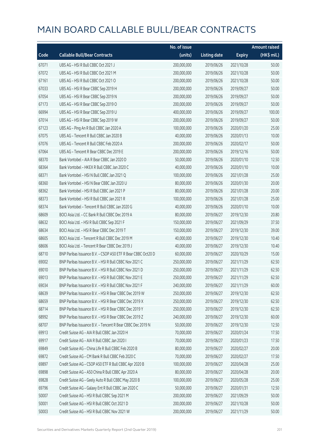|       |                                                              | No. of issue |                     |               | <b>Amount raised</b> |
|-------|--------------------------------------------------------------|--------------|---------------------|---------------|----------------------|
| Code  | <b>Callable Bull/Bear Contracts</b>                          | (units)      | <b>Listing date</b> | <b>Expiry</b> | (HK\$ mil.)          |
| 67071 | UBS AG - HSI R Bull CBBC Oct 2021 J                          | 200,000,000  | 2019/06/26          | 2021/10/28    | 50.00                |
| 67072 | UBS AG - HSI R Bull CBBC Oct 2021 M                          | 200,000,000  | 2019/06/26          | 2021/10/28    | 50.00                |
| 67161 | UBS AG - HSI R Bull CBBC Oct 2021 O                          | 200,000,000  | 2019/06/26          | 2021/10/28    | 50.00                |
| 67033 | UBS AG - HSI R Bear CBBC Sep 2019 H                          | 200,000,000  | 2019/06/26          | 2019/09/27    | 50.00                |
| 67054 | UBS AG - HSI R Bear CBBC Sep 2019 N                          | 200,000,000  | 2019/06/26          | 2019/09/27    | 50.00                |
| 67173 | UBS AG - HSI R Bear CBBC Sep 2019 O                          | 200,000,000  | 2019/06/26          | 2019/09/27    | 50.00                |
| 66994 | UBS AG - HSI R Bear CBBC Sep 2019 U                          | 400,000,000  | 2019/06/26          | 2019/09/27    | 100.00               |
| 67014 | UBS AG - HSI R Bear CBBC Sep 2019 W                          | 200,000,000  | 2019/06/26          | 2019/09/27    | 50.00                |
| 67123 | UBS AG - Ping An R Bull CBBC Jan 2020 A                      | 100,000,000  | 2019/06/26          | 2020/01/20    | 25.00                |
| 67075 | UBS AG - Tencent R Bull CBBC Jan 2020 B                      | 40,000,000   | 2019/06/26          | 2020/01/13    | 10.00                |
| 67076 | UBS AG - Tencent R Bull CBBC Feb 2020 A                      | 200,000,000  | 2019/06/26          | 2020/02/17    | 50.00                |
| 67064 | UBS AG - Tencent R Bear CBBC Dec 2019 E                      | 200,000,000  | 2019/06/26          | 2019/12/16    | 50.00                |
| 68370 | Bank Vontobel - AIA R Bear CBBC Jan 2020 D                   | 50,000,000   | 2019/06/26          | 2020/01/10    | 12.50                |
| 68364 | Bank Vontobel - HKEX R Bull CBBC Jan 2020 C                  | 40,000,000   | 2019/06/26          | 2020/01/10    | 10.00                |
| 68371 | Bank Vontobel - HSI N Bull CBBC Jan 2021 Q                   | 100,000,000  | 2019/06/26          | 2021/01/28    | 25.00                |
| 68360 | Bank Vontobel - HSI N Bear CBBC Jan 2020 U                   | 80,000,000   | 2019/06/26          | 2020/01/30    | 20.00                |
| 68362 | Bank Vontobel - HSI R Bull CBBC Jan 2021 P                   | 80,000,000   | 2019/06/26          | 2021/01/28    | 20.00                |
| 68373 | Bank Vontobel - HSI R Bull CBBC Jan 2021 R                   | 100,000,000  | 2019/06/26          | 2021/01/28    | 25.00                |
| 68374 | Bank Vontobel - Tencent R Bull CBBC Jan 2020 G               | 40,000,000   | 2019/06/26          | 2020/01/10    | 10.00                |
| 68609 | BOCI Asia Ltd. - CC Bank R Bull CBBC Dec 2019 A              | 80,000,000   | 2019/06/27          | 2019/12/30    | 20.80                |
| 68632 | BOCI Asia Ltd. - HSI R Bull CBBC Sep 2021 F                  | 150,000,000  | 2019/06/27          | 2021/09/29    | 37.50                |
| 68634 | BOCI Asia Ltd. - HSI R Bear CBBC Dec 2019 T                  | 150,000,000  | 2019/06/27          | 2019/12/30    | 39.00                |
| 68605 | BOCI Asia Ltd. - Tencent R Bull CBBC Dec 2019 M              | 40,000,000   | 2019/06/27          | 2019/12/30    | 10.40                |
| 68606 | BOCI Asia Ltd. - Tencent R Bear CBBC Dec 2019 J              | 40,000,000   | 2019/06/27          | 2019/12/30    | 10.40                |
| 68710 | BNP Paribas Issuance B.V. - CSOP A50 ETF R Bear CBBC Oct20 D | 60,000,000   | 2019/06/27          | 2020/10/29    | 15.00                |
| 69002 | BNP Paribas Issuance B.V. - HSI R Bull CBBC Nov 2021 C       | 250,000,000  | 2019/06/27          | 2021/11/29    | 62.50                |
| 69010 | BNP Paribas Issuance B.V. - HSI R Bull CBBC Nov 2021 D       | 250,000,000  | 2019/06/27          | 2021/11/29    | 62.50                |
| 69013 | BNP Paribas Issuance B.V. - HSI R Bull CBBC Nov 2021 E       | 250,000,000  | 2019/06/27          | 2021/11/29    | 62.50                |
| 69034 | BNP Paribas Issuance B.V. - HSI R Bull CBBC Nov 2021 F       | 240,000,000  | 2019/06/27          | 2021/11/29    | 60.00                |
| 68639 | BNP Paribas Issuance B.V. - HSI R Bear CBBC Dec 2019 W       | 250,000,000  | 2019/06/27          | 2019/12/30    | 62.50                |
| 68659 | BNP Paribas Issuance B.V. - HSI R Bear CBBC Dec 2019 X       | 250,000,000  | 2019/06/27          | 2019/12/30    | 62.50                |
| 68714 | BNP Paribas Issuance B.V. - HSI R Bear CBBC Dec 2019 Y       | 250,000,000  | 2019/06/27          | 2019/12/30    | 62.50                |
| 68992 | BNP Paribas Issuance B.V. - HSI R Bear CBBC Dec 2019 Z       | 240,000,000  | 2019/06/27          | 2019/12/30    | 60.00                |
| 68707 | BNP Paribas Issuance B.V. - Tencent R Bear CBBC Dec 2019 N   | 50,000,000   | 2019/06/27          | 2019/12/30    | 12.50                |
| 69913 | Credit Suisse AG - AIA R Bull CBBC Jan 2020 H                | 70,000,000   | 2019/06/27          | 2020/01/24    | 17.50                |
| 69917 | Credit Suisse AG - AIA R Bull CBBC Jan 2020 I                | 70,000,000   | 2019/06/27          | 2020/01/23    | 17.50                |
| 69849 | Credit Suisse AG - China Life R Bull CBBC Feb 2020 B         | 80,000,000   | 2019/06/27          | 2020/02/27    | 20.00                |
| 69872 | Credit Suisse AG - CM Bank R Bull CBBC Feb 2020 C            | 70,000,000   | 2019/06/27          | 2020/02/27    | 17.50                |
| 69897 | Credit Suisse AG - CSOP A50 ETF R Bull CBBC Apr 2020 B       | 100,000,000  | 2019/06/27          | 2020/04/28    | 25.00                |
| 69898 | Credit Suisse AG - A50 China R Bull CBBC Apr 2020 A          | 80,000,000   | 2019/06/27          | 2020/04/28    | 20.00                |
| 69828 | Credit Suisse AG - Geely Auto R Bull CBBC May 2020 B         | 100,000,000  | 2019/06/27          | 2020/05/28    | 25.00                |
| 69796 | Credit Suisse AG - Galaxy Ent R Bull CBBC Jan 2020 C         | 50,000,000   | 2019/06/27          | 2020/01/31    | 12.50                |
| 50007 | Credit Suisse AG - HSI R Bull CBBC Sep 2021 M                | 200,000,000  | 2019/06/27          | 2021/09/29    | 50.00                |
| 50001 | Credit Suisse AG - HSI R Bull CBBC Oct 2021 D                | 200,000,000  | 2019/06/27          | 2021/10/28    | 50.00                |
| 50003 | Credit Suisse AG - HSI R Bull CBBC Nov 2021 W                | 200,000,000  | 2019/06/27          | 2021/11/29    | 50.00                |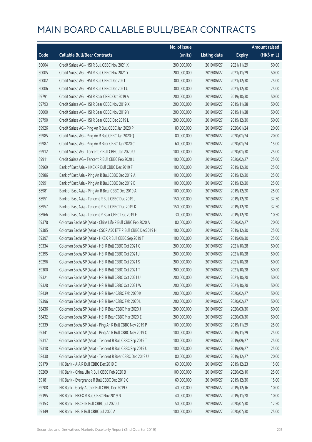|       |                                                              | No. of issue |                     |               | <b>Amount raised</b> |
|-------|--------------------------------------------------------------|--------------|---------------------|---------------|----------------------|
| Code  | <b>Callable Bull/Bear Contracts</b>                          | (units)      | <b>Listing date</b> | <b>Expiry</b> | (HK\$ mil.)          |
| 50004 | Credit Suisse AG - HSI R Bull CBBC Nov 2021 X                | 200,000,000  | 2019/06/27          | 2021/11/29    | 50.00                |
| 50005 | Credit Suisse AG - HSI R Bull CBBC Nov 2021 Y                | 200,000,000  | 2019/06/27          | 2021/11/29    | 50.00                |
| 50002 | Credit Suisse AG - HSI R Bull CBBC Dec 2021 T                | 300,000,000  | 2019/06/27          | 2021/12/30    | 75.00                |
| 50006 | Credit Suisse AG - HSI R Bull CBBC Dec 2021 U                | 300,000,000  | 2019/06/27          | 2021/12/30    | 75.00                |
| 69791 | Credit Suisse AG - HSI R Bear CBBC Oct 2019 A                | 200,000,000  | 2019/06/27          | 2019/10/30    | 50.00                |
| 69793 | Credit Suisse AG - HSI R Bear CBBC Nov 2019 X                | 200,000,000  | 2019/06/27          | 2019/11/28    | 50.00                |
| 50000 | Credit Suisse AG - HSI R Bear CBBC Nov 2019 Y                | 200,000,000  | 2019/06/27          | 2019/11/28    | 50.00                |
| 69790 | Credit Suisse AG - HSI R Bear CBBC Dec 2019 L                | 200,000,000  | 2019/06/27          | 2019/12/30    | 50.00                |
| 69926 | Credit Suisse AG - Ping An R Bull CBBC Jan 2020 P            | 80,000,000   | 2019/06/27          | 2020/01/24    | 20.00                |
| 69985 | Credit Suisse AG - Ping An R Bull CBBC Jan 2020 Q            | 80,000,000   | 2019/06/27          | 2020/01/24    | 20.00                |
| 69987 | Credit Suisse AG - Ping An R Bear CBBC Jan 2020 C            | 60,000,000   | 2019/06/27          | 2020/01/24    | 15.00                |
| 69912 | Credit Suisse AG - Tencent R Bull CBBC Jan 2020 U            | 100,000,000  | 2019/06/27          | 2020/01/30    | 25.00                |
| 69911 | Credit Suisse AG - Tencent R Bull CBBC Feb 2020 L            | 100,000,000  | 2019/06/27          | 2020/02/27    | 25.00                |
| 68969 | Bank of East Asia - HKEX R Bull CBBC Dec 2019 F              | 100,000,000  | 2019/06/27          | 2019/12/20    | 25.00                |
| 68986 | Bank of East Asia - Ping An R Bull CBBC Dec 2019 A           | 100,000,000  | 2019/06/27          | 2019/12/20    | 25.00                |
| 68991 | Bank of East Asia - Ping An R Bull CBBC Dec 2019 B           | 100,000,000  | 2019/06/27          | 2019/12/20    | 25.00                |
| 68981 | Bank of East Asia - Ping An R Bear CBBC Dec 2019 A           | 100,000,000  | 2019/06/27          | 2019/12/20    | 25.00                |
| 68951 | Bank of East Asia - Tencent R Bull CBBC Dec 2019 J           | 150,000,000  | 2019/06/27          | 2019/12/20    | 37.50                |
| 68957 | Bank of East Asia - Tencent R Bull CBBC Dec 2019 K           | 150,000,000  | 2019/06/27          | 2019/12/20    | 37.50                |
| 68966 | Bank of East Asia - Tencent R Bear CBBC Dec 2019 F           | 30,000,000   | 2019/06/27          | 2019/12/20    | 10.50                |
| 69378 | Goldman Sachs SP (Asia) - China Life R Bull CBBC Feb 2020 A  | 80,000,000   | 2019/06/27          | 2020/02/27    | 20.00                |
| 69385 | Goldman Sachs SP (Asia) - CSOP A50 ETF R Bull CBBC Dec2019 H | 100,000,000  | 2019/06/27          | 2019/12/30    | 25.00                |
| 69397 | Goldman Sachs SP (Asia) - HKEX R Bull CBBC Sep 2019 T        | 100,000,000  | 2019/06/27          | 2019/09/30    | 25.00                |
| 69334 | Goldman Sachs SP (Asia) - HSI R Bull CBBC Oct 2021 G         | 200,000,000  | 2019/06/27          | 2021/10/28    | 50.00                |
| 69395 | Goldman Sachs SP (Asia) - HSI R Bull CBBC Oct 2021 J         | 200,000,000  | 2019/06/27          | 2021/10/28    | 50.00                |
| 69296 | Goldman Sachs SP (Asia) - HSI R Bull CBBC Oct 2021 S         | 200,000,000  | 2019/06/27          | 2021/10/28    | 50.00                |
| 69300 | Goldman Sachs SP (Asia) - HSI R Bull CBBC Oct 2021 T         | 200,000,000  | 2019/06/27          | 2021/10/28    | 50.00                |
| 69321 | Goldman Sachs SP (Asia) - HSI R Bull CBBC Oct 2021 U         | 200,000,000  | 2019/06/27          | 2021/10/28    | 50.00                |
| 69328 | Goldman Sachs SP (Asia) - HSI R Bull CBBC Oct 2021 W         | 200,000,000  | 2019/06/27          | 2021/10/28    | 50.00                |
| 68439 | Goldman Sachs SP (Asia) - HSI R Bear CBBC Feb 2020 K         | 200,000,000  | 2019/06/27          | 2020/02/27    | 50.00                |
| 69396 | Goldman Sachs SP (Asia) - HSI R Bear CBBC Feb 2020 L         | 200,000,000  | 2019/06/27          | 2020/02/27    | 50.00                |
| 68436 | Goldman Sachs SP (Asia) - HSI R Bear CBBC Mar 2020 J         | 200,000,000  | 2019/06/27          | 2020/03/30    | 50.00                |
| 68432 | Goldman Sachs SP (Asia) - HSI R Bear CBBC Mar 2020 Z         | 200,000,000  | 2019/06/27          | 2020/03/30    | 50.00                |
| 69339 | Goldman Sachs SP (Asia) - Ping An R Bull CBBC Nov 2019 P     | 100,000,000  | 2019/06/27          | 2019/11/29    | 25.00                |
| 69341 | Goldman Sachs SP (Asia) - Ping An R Bull CBBC Nov 2019 Q     | 100,000,000  | 2019/06/27          | 2019/11/29    | 25.00                |
| 69317 | Goldman Sachs SP (Asia) - Tencent R Bull CBBC Sep 2019 T     | 100,000,000  | 2019/06/27          | 2019/09/27    | 25.00                |
| 69318 | Goldman Sachs SP (Asia) - Tencent R Bull CBBC Sep 2019 U     | 100,000,000  | 2019/06/27          | 2019/09/27    | 25.00                |
| 68430 | Goldman Sachs SP (Asia) - Tencent R Bear CBBC Dec 2019 U     | 80,000,000   | 2019/06/27          | 2019/12/27    | 20.00                |
| 69179 | HK Bank - AIA R Bull CBBC Dec 2019 C                         | 60,000,000   | 2019/06/27          | 2019/12/23    | 15.00                |
| 69209 | HK Bank - China Life R Bull CBBC Feb 2020 B                  | 100,000,000  | 2019/06/27          | 2020/02/10    | 25.00                |
| 69181 | HK Bank - Evergrande R Bull CBBC Dec 2019 C                  | 60,000,000   | 2019/06/27          | 2019/12/30    | 15.00                |
| 69208 | HK Bank - Geely Auto R Bull CBBC Dec 2019 F                  | 40,000,000   | 2019/06/27          | 2019/12/16    | 10.00                |
| 69195 | HK Bank - HKEX R Bull CBBC Nov 2019 N                        | 40,000,000   | 2019/06/27          | 2019/11/28    | 10.00                |
| 69153 | HK Bank - HSCEI R Bull CBBC Jul 2020 J                       | 50,000,000   | 2019/06/27          | 2020/07/30    | 12.50                |
| 69149 | HK Bank - HSI R Bull CBBC Jul 2020 A                         | 100,000,000  | 2019/06/27          | 2020/07/30    | 25.00                |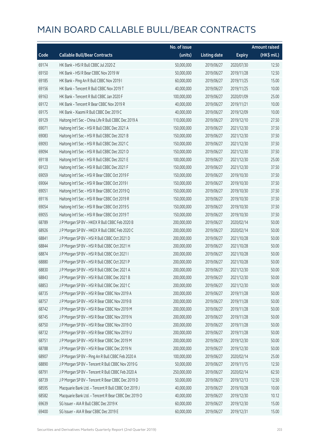|       |                                                       | No. of issue |                     |               | <b>Amount raised</b> |
|-------|-------------------------------------------------------|--------------|---------------------|---------------|----------------------|
| Code  | <b>Callable Bull/Bear Contracts</b>                   | (units)      | <b>Listing date</b> | <b>Expiry</b> | (HK\$ mil.)          |
| 69174 | HK Bank - HSI R Bull CBBC Jul 2020 Z                  | 50,000,000   | 2019/06/27          | 2020/07/30    | 12.50                |
| 69150 | HK Bank - HSI R Bear CBBC Nov 2019 W                  | 50,000,000   | 2019/06/27          | 2019/11/28    | 12.50                |
| 69185 | HK Bank - Ping An R Bull CBBC Nov 2019 I              | 60,000,000   | 2019/06/27          | 2019/11/25    | 15.00                |
| 69156 | HK Bank - Tencent R Bull CBBC Nov 2019 T              | 40,000,000   | 2019/06/27          | 2019/11/25    | 10.00                |
| 69163 | HK Bank - Tencent R Bull CBBC Jan 2020 F              | 100,000,000  | 2019/06/27          | 2020/01/09    | 25.00                |
| 69172 | HK Bank - Tencent R Bear CBBC Nov 2019 R              | 40,000,000   | 2019/06/27          | 2019/11/21    | 10.00                |
| 69175 | HK Bank - Xiaomi R Bull CBBC Dec 2019 C               | 40,000,000   | 2019/06/27          | 2019/12/09    | 10.00                |
| 69129 | Haitong Int'l Sec - China Life R Bull CBBC Dec 2019 A | 110,000,000  | 2019/06/27          | 2019/12/10    | 27.50                |
| 69071 | Haitong Int'l Sec - HSI R Bull CBBC Dec 2021 A        | 150,000,000  | 2019/06/27          | 2021/12/30    | 37.50                |
| 69083 | Haitong Int'l Sec - HSI R Bull CBBC Dec 2021 B        | 150,000,000  | 2019/06/27          | 2021/12/30    | 37.50                |
| 69093 | Haitong Int'l Sec - HSI R Bull CBBC Dec 2021 C        | 150,000,000  | 2019/06/27          | 2021/12/30    | 37.50                |
| 69094 | Haitong Int'l Sec - HSI R Bull CBBC Dec 2021 D        | 150,000,000  | 2019/06/27          | 2021/12/30    | 37.50                |
| 69118 | Haitong Int'l Sec - HSI R Bull CBBC Dec 2021 E        | 100,000,000  | 2019/06/27          | 2021/12/30    | 25.00                |
| 69123 | Haitong Int'l Sec - HSI R Bull CBBC Dec 2021 F        | 150,000,000  | 2019/06/27          | 2021/12/30    | 37.50                |
| 69059 | Haitong Int'l Sec - HSI R Bear CBBC Oct 2019 F        | 150,000,000  | 2019/06/27          | 2019/10/30    | 37.50                |
| 69064 | Haitong Int'l Sec - HSI R Bear CBBC Oct 2019 I        | 150,000,000  | 2019/06/27          | 2019/10/30    | 37.50                |
| 69051 | Haitong Int'l Sec - HSI R Bear CBBC Oct 2019 Q        | 150,000,000  | 2019/06/27          | 2019/10/30    | 37.50                |
| 69116 | Haitong Int'l Sec - HSI R Bear CBBC Oct 2019 R        | 150,000,000  | 2019/06/27          | 2019/10/30    | 37.50                |
| 69054 | Haitong Int'l Sec - HSI R Bear CBBC Oct 2019 S        | 150,000,000  | 2019/06/27          | 2019/10/30    | 37.50                |
| 69055 | Haitong Int'l Sec - HSI R Bear CBBC Oct 2019 T        | 150,000,000  | 2019/06/27          | 2019/10/30    | 37.50                |
| 68789 | J P Morgan SP BV - HKEX R Bull CBBC Feb 2020 B        | 200,000,000  | 2019/06/27          | 2020/02/14    | 50.00                |
| 68926 | J P Morgan SP BV - HKEX R Bull CBBC Feb 2020 C        | 200,000,000  | 2019/06/27          | 2020/02/14    | 50.00                |
| 68841 | J P Morgan SP BV - HSI R Bull CBBC Oct 2021 D         | 200,000,000  | 2019/06/27          | 2021/10/28    | 50.00                |
| 68844 | J P Morgan SP BV - HSI R Bull CBBC Oct 2021 H         | 200,000,000  | 2019/06/27          | 2021/10/28    | 50.00                |
| 68874 | J P Morgan SP BV - HSI R Bull CBBC Oct 2021 I         | 200,000,000  | 2019/06/27          | 2021/10/28    | 50.00                |
| 68880 | J P Morgan SP BV - HSI R Bull CBBC Oct 2021 P         | 200,000,000  | 2019/06/27          | 2021/10/28    | 50.00                |
| 68830 | J P Morgan SP BV - HSI R Bull CBBC Dec 2021 A         | 200,000,000  | 2019/06/27          | 2021/12/30    | 50.00                |
| 68843 | J P Morgan SP BV - HSI R Bull CBBC Dec 2021 B         | 200,000,000  | 2019/06/27          | 2021/12/30    | 50.00                |
| 68853 | J P Morgan SP BV - HSI R Bull CBBC Dec 2021 C         | 200,000,000  | 2019/06/27          | 2021/12/30    | 50.00                |
| 68735 | J P Morgan SP BV - HSI R Bear CBBC Nov 2019 A         | 200,000,000  | 2019/06/27          | 2019/11/28    | 50.00                |
| 68757 | J P Morgan SP BV - HSI R Bear CBBC Nov 2019 B         | 200,000,000  | 2019/06/27          | 2019/11/28    | 50.00                |
| 68742 | J P Morgan SP BV - HSI R Bear CBBC Nov 2019 M         | 200,000,000  | 2019/06/27          | 2019/11/28    | 50.00                |
| 68745 | J P Morgan SP BV - HSI R Bear CBBC Nov 2019 N         | 200,000,000  | 2019/06/27          | 2019/11/28    | 50.00                |
| 68750 | J P Morgan SP BV - HSI R Bear CBBC Nov 2019 O         | 200,000,000  | 2019/06/27          | 2019/11/28    | 50.00                |
| 68732 | J P Morgan SP BV - HSI R Bear CBBC Nov 2019 U         | 200,000,000  | 2019/06/27          | 2019/11/28    | 50.00                |
| 68751 | J P Morgan SP BV - HSI R Bear CBBC Dec 2019 M         | 200,000,000  | 2019/06/27          | 2019/12/30    | 50.00                |
| 68788 | J P Morgan SP BV - HSI R Bear CBBC Dec 2019 N         | 200,000,000  | 2019/06/27          | 2019/12/30    | 50.00                |
| 68907 | J P Morgan SP BV - Ping An R Bull CBBC Feb 2020 A     | 100,000,000  | 2019/06/27          | 2020/02/14    | 25.00                |
| 68890 | J P Morgan SP BV - Tencent R Bull CBBC Nov 2019 G     | 50,000,000   | 2019/06/27          | 2019/11/15    | 12.50                |
| 68791 | J P Morgan SP BV - Tencent R Bull CBBC Feb 2020 A     | 250,000,000  | 2019/06/27          | 2020/02/14    | 62.50                |
| 68739 | J P Morgan SP BV - Tencent R Bear CBBC Dec 2019 D     | 50,000,000   | 2019/06/27          | 2019/12/13    | 12.50                |
| 68595 | Macquarie Bank Ltd. - Tencent R Bull CBBC Oct 2019 J  | 40,000,000   | 2019/06/27          | 2019/10/28    | 10.00                |
| 68582 | Macquarie Bank Ltd. - Tencent R Bear CBBC Dec 2019 O  | 40,000,000   | 2019/06/27          | 2019/12/30    | 10.12                |
| 69639 | SG Issuer - AIA R Bull CBBC Dec 2019 K                | 60,000,000   | 2019/06/27          | 2019/12/30    | 15.00                |
| 69400 | SG Issuer - AIA R Bear CBBC Dec 2019 E                | 60,000,000   | 2019/06/27          | 2019/12/31    | 15.00                |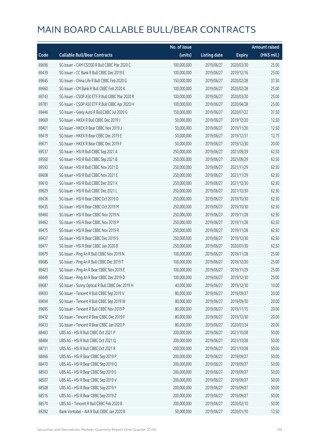|       |                                                  | No. of issue |                     |               | <b>Amount raised</b> |
|-------|--------------------------------------------------|--------------|---------------------|---------------|----------------------|
| Code  | <b>Callable Bull/Bear Contracts</b>              | (units)      | <b>Listing date</b> | <b>Expiry</b> | (HK\$ mil.)          |
| 69696 | SG Issuer - CAM CSI300 R Bull CBBC Mar 2020 C    | 100,000,000  | 2019/06/27          | 2020/03/30    | 25.00                |
| 69439 | SG Issuer - CC Bank R Bull CBBC Dec 2019 E       | 100,000,000  | 2019/06/27          | 2019/12/16    | 25.00                |
| 69645 | SG Issuer - China Life R Bull CBBC Feb 2020 G    | 150,000,000  | 2019/06/27          | 2020/02/28    | 37.50                |
| 69660 | SG Issuer - CM Bank R Bull CBBC Feb 2020 K       | 100,000,000  | 2019/06/27          | 2020/02/28    | 25.00                |
| 69743 | SG Issuer - CSOP A50 ETF R Bull CBBC Mar 2020 R  | 100,000,000  | 2019/06/27          | 2020/03/20    | 25.00                |
| 69781 | SG Issuer - CSOP A50 ETF R Bull CBBC Apr 2020 H  | 100,000,000  | 2019/06/27          | 2020/04/28    | 25.00                |
| 69446 | SG Issuer - Geely Auto R Bull CBBC Jul 2020 G    | 150,000,000  | 2019/06/27          | 2020/07/22    | 37.50                |
| 69669 | SG Issuer - HKEX R Bull CBBC Dec 2019 J          | 50,000,000   | 2019/06/27          | 2019/12/20    | 12.50                |
| 69401 | SG Issuer - HKEX R Bear CBBC Nov 2019 J          | 50,000,000   | 2019/06/27          | 2019/11/20    | 12.50                |
| 69419 | SG Issuer - HKEX R Bear CBBC Dec 2019 E          | 50,000,000   | 2019/06/27          | 2019/12/31    | 12.75                |
| 69671 | SG Issuer - HKEX R Bear CBBC Dec 2019 F          | 50,000,000   | 2019/06/27          | 2019/12/30    | 20.00                |
| 69537 | SG Issuer - HSI R Bull CBBC Sep 2021 A           | 250,000,000  | 2019/06/27          | 2021/09/29    | 62.50                |
| 69560 | SG Issuer - HSI R Bull CBBC Sep 2021 B           | 250,000,000  | 2019/06/27          | 2021/09/29    | 62.50                |
| 69593 | SG Issuer - HSI R Bull CBBC Nov 2021 D           | 250,000,000  | 2019/06/27          | 2021/11/29    | 62.50                |
| 69608 | SG Issuer - HSI R Bull CBBC Nov 2021 E           | 250,000,000  | 2019/06/27          | 2021/11/29    | 62.50                |
| 69610 | SG Issuer - HSI R Bull CBBC Dec 2021 K           | 250,000,000  | 2019/06/27          | 2021/12/30    | 62.50                |
| 69629 | SG Issuer - HSI R Bull CBBC Dec 2021 L           | 250,000,000  | 2019/06/27          | 2021/12/30    | 62.50                |
| 69436 | SG Issuer - HSI R Bear CBBC Oct 2019 D           | 250,000,000  | 2019/06/27          | 2019/10/30    | 62.50                |
| 69435 | SG Issuer - HSI R Bear CBBC Oct 2019 M           | 250,000,000  | 2019/06/27          | 2019/10/30    | 62.50                |
| 69460 | SG Issuer - HSI R Bear CBBC Nov 2019 N           | 250,000,000  | 2019/06/27          | 2019/11/28    | 62.50                |
| 69462 | SG Issuer - HSI R Bear CBBC Nov 2019 P           | 250,000,000  | 2019/06/27          | 2019/11/28    | 62.50                |
| 69475 | SG Issuer - HSI R Bear CBBC Nov 2019 R           | 250,000,000  | 2019/06/27          | 2019/11/28    | 62.50                |
| 69437 | SG Issuer - HSI R Bear CBBC Dec 2019 S           | 250,000,000  | 2019/06/27          | 2019/12/30    | 62.50                |
| 69477 | SG Issuer - HSI R Bear CBBC Jan 2020 B           | 250,000,000  | 2019/06/27          | 2020/01/30    | 62.50                |
| 69679 | SG Issuer - Ping An R Bull CBBC Nov 2019 N       | 100,000,000  | 2019/06/27          | 2019/11/28    | 25.00                |
| 69685 | SG Issuer - Ping An R Bull CBBC Dec 2019 T       | 100,000,000  | 2019/06/27          | 2019/12/20    | 25.00                |
| 69423 | SG Issuer - Ping An R Bear CBBC Nov 2019 E       | 100,000,000  | 2019/06/27          | 2019/11/29    | 25.00                |
| 69449 | SG Issuer - Ping An R Bear CBBC Dec 2019 D       | 100,000,000  | 2019/06/27          | 2019/12/30    | 25.00                |
| 69687 | SG Issuer - Sunny Optical R Bull CBBC Dec 2019 H | 40,000,000   | 2019/06/27          | 2019/12/30    | 10.00                |
| 69693 | SG Issuer - Tencent R Bull CBBC Sep 2019 V       | 80,000,000   | 2019/06/27          | 2019/09/27    | 20.00                |
| 69694 | SG Issuer - Tencent R Bull CBBC Sep 2019 W       | 80,000,000   | 2019/06/27          | 2019/09/30    | 20.00                |
| 69695 | SG Issuer - Tencent R Bull CBBC Nov 2019 P       | 80,000,000   | 2019/06/27          | 2019/11/15    | 20.00                |
| 69432 | SG Issuer - Tencent R Bear CBBC Dec 2019 F       | 80,000,000   | 2019/06/27          | 2019/12/30    | 20.00                |
| 69433 | SG Issuer - Tencent R Bear CBBC Jan 2020 P       | 80,000,000   | 2019/06/27          | 2020/01/24    | 20.00                |
| 68483 | UBS AG - HSI R Bull CBBC Oct 2021 P              | 200,000,000  | 2019/06/27          | 2021/10/28    | 50.00                |
| 68484 | UBS AG - HSI R Bull CBBC Oct 2021 Q              | 200,000,000  | 2019/06/27          | 2021/10/28    | 50.00                |
| 68731 | UBS AG - HSI R Bull CBBC Oct 2021 R              | 200,000,000  | 2019/06/27          | 2021/10/28    | 50.00                |
| 68466 | UBS AG - HSI R Bear CBBC Sep 2019 P              | 200,000,000  | 2019/06/27          | 2019/09/27    | 50.00                |
| 68470 | UBS AG - HSI R Bear CBBC Sep 2019 Q              | 200,000,000  | 2019/06/27          | 2019/09/27    | 50.00                |
| 68503 | UBS AG - HSI R Bear CBBC Sep 2019 S              | 200,000,000  | 2019/06/27          | 2019/09/27    | 50.00                |
| 68507 | UBS AG - HSI R Bear CBBC Sep 2019 V              | 200,000,000  | 2019/06/27          | 2019/09/27    | 50.00                |
| 68508 | UBS AG - HSI R Bear CBBC Sep 2019 Y              | 200,000,000  | 2019/06/27          | 2019/09/27    | 50.00                |
| 68516 | UBS AG - HSI R Bear CBBC Sep 2019 Z              | 200,000,000  | 2019/06/27          | 2019/09/27    | 50.00                |
| 68570 | UBS AG - Tencent R Bull CBBC Feb 2020 B          | 200,000,000  | 2019/06/27          | 2020/02/10    | 50.00                |
| 69282 | Bank Vontobel - AIA R Bull CBBC Jan 2020 B       | 50,000,000   | 2019/06/27          | 2020/01/10    | 12.50                |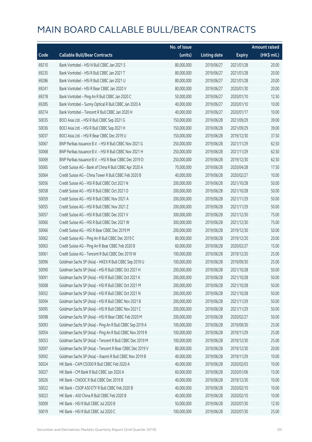|       |                                                          | No. of issue |                     |               | <b>Amount raised</b> |
|-------|----------------------------------------------------------|--------------|---------------------|---------------|----------------------|
| Code  | <b>Callable Bull/Bear Contracts</b>                      | (units)      | <b>Listing date</b> | <b>Expiry</b> | (HK\$ mil.)          |
| 69210 | Bank Vontobel - HSI N Bull CBBC Jan 2021 S               | 80,000,000   | 2019/06/27          | 2021/01/28    | 20.00                |
| 69235 | Bank Vontobel - HSI R Bull CBBC Jan 2021 T               | 80,000,000   | 2019/06/27          | 2021/01/28    | 20.00                |
| 69286 | Bank Vontobel - HSI R Bull CBBC Jan 2021 U               | 80,000,000   | 2019/06/27          | 2021/01/28    | 20.00                |
| 69241 | Bank Vontobel - HSI R Bear CBBC Jan 2020 V               | 80,000,000   | 2019/06/27          | 2020/01/30    | 20.00                |
| 69278 | Bank Vontobel - Ping An R Bull CBBC Jan 2020 C           | 50,000,000   | 2019/06/27          | 2020/01/10    | 12.50                |
| 69285 | Bank Vontobel - Sunny Optical R Bull CBBC Jan 2020 A     | 40,000,000   | 2019/06/27          | 2020/01/10    | 10.00                |
| 69274 | Bank Vontobel - Tencent R Bull CBBC Jan 2020 H           | 40,000,000   | 2019/06/27          | 2020/01/17    | 10.00                |
| 50035 | BOCI Asia Ltd. - HSI R Bull CBBC Sep 2021 G              | 150,000,000  | 2019/06/28          | 2021/09/29    | 39.00                |
| 50036 | BOCI Asia Ltd. - HSI R Bull CBBC Sep 2021 H              | 150,000,000  | 2019/06/28          | 2021/09/29    | 39.00                |
| 50037 | BOCI Asia Ltd. - HSI R Bear CBBC Dec 2019 U              | 150,000,000  | 2019/06/28          | 2019/12/30    | 37.50                |
| 50067 | BNP Paribas Issuance B.V. - HSI R Bull CBBC Nov 2021 G   | 250,000,000  | 2019/06/28          | 2021/11/29    | 62.50                |
| 50068 | BNP Paribas Issuance B.V. - HSI R Bull CBBC Nov 2021 H   | 250,000,000  | 2019/06/28          | 2021/11/29    | 62.50                |
| 50069 | BNP Paribas Issuance B.V. - HSI R Bear CBBC Dec 2019 D   | 250,000,000  | 2019/06/28          | 2019/12/30    | 62.50                |
| 50065 | Credit Suisse AG - Bank of China R Bull CBBC Apr 2020 A  | 70,000,000   | 2019/06/28          | 2020/04/28    | 17.50                |
| 50064 | Credit Suisse AG - China Tower R Bull CBBC Feb 2020 B    | 40,000,000   | 2019/06/28          | 2020/02/27    | 10.00                |
| 50056 | Credit Suisse AG - HSI R Bull CBBC Oct 2021 N            | 200,000,000  | 2019/06/28          | 2021/10/28    | 50.00                |
| 50058 | Credit Suisse AG - HSI R Bull CBBC Oct 2021 O            | 200,000,000  | 2019/06/28          | 2021/10/28    | 50.00                |
| 50059 | Credit Suisse AG - HSI R Bull CBBC Nov 2021 A            | 200,000,000  | 2019/06/28          | 2021/11/29    | 50.00                |
| 50055 | Credit Suisse AG - HSI R Bull CBBC Nov 2021 Z            | 200,000,000  | 2019/06/28          | 2021/11/29    | 50.00                |
| 50057 | Credit Suisse AG - HSI R Bull CBBC Dec 2021 V            | 300,000,000  | 2019/06/28          | 2021/12/30    | 75.00                |
| 50060 | Credit Suisse AG - HSI R Bull CBBC Dec 2021 W            | 300,000,000  | 2019/06/28          | 2021/12/30    | 75.00                |
| 50066 | Credit Suisse AG - HSI R Bear CBBC Dec 2019 M            | 200,000,000  | 2019/06/28          | 2019/12/30    | 50.00                |
| 50062 | Credit Suisse AG - Ping An R Bull CBBC Dec 2019 C        | 80,000,000   | 2019/06/28          | 2019/12/20    | 20.00                |
| 50063 | Credit Suisse AG - Ping An R Bear CBBC Feb 2020 B        | 60,000,000   | 2019/06/28          | 2020/02/27    | 15.00                |
| 50061 | Credit Suisse AG - Tencent R Bull CBBC Dec 2019 W        | 100,000,000  | 2019/06/28          | 2019/12/20    | 25.00                |
| 50096 | Goldman Sachs SP (Asia) - HKEX R Bull CBBC Sep 2019 U    | 100,000,000  | 2019/06/28          | 2019/09/30    | 25.00                |
| 50090 | Goldman Sachs SP (Asia) - HSI R Bull CBBC Oct 2021 H     | 200,000,000  | 2019/06/28          | 2021/10/28    | 50.00                |
| 50091 | Goldman Sachs SP (Asia) - HSI R Bull CBBC Oct 2021 K     | 200,000,000  | 2019/06/28          | 2021/10/28    | 50.00                |
| 50008 | Goldman Sachs SP (Asia) - HSI R Bull CBBC Oct 2021 M     | 200,000,000  | 2019/06/28          | 2021/10/28    | 50.00                |
| 50052 | Goldman Sachs SP (Asia) - HSI R Bull CBBC Oct 2021 N     | 200,000,000  | 2019/06/28          | 2021/10/28    | 50.00                |
| 50094 | Goldman Sachs SP (Asia) - HSI R Bull CBBC Nov 2021 B     | 200,000,000  | 2019/06/28          | 2021/11/29    | 50.00                |
| 50095 | Goldman Sachs SP (Asia) - HSI R Bull CBBC Nov 2021 C     | 200,000,000  | 2019/06/28          | 2021/11/29    | 50.00                |
| 50098 | Goldman Sachs SP (Asia) - HSI R Bear CBBC Feb 2020 M     | 200,000,000  | 2019/06/28          | 2020/02/27    | 50.00                |
| 50093 | Goldman Sachs SP (Asia) - Ping An R Bull CBBC Sep 2019 A | 100,000,000  | 2019/06/28          | 2019/09/30    | 25.00                |
| 50054 | Goldman Sachs SP (Asia) - Ping An R Bull CBBC Nov 2019 R | 100,000,000  | 2019/06/28          | 2019/11/29    | 25.00                |
| 50053 | Goldman Sachs SP (Asia) - Tencent R Bull CBBC Dec 2019 M | 100,000,000  | 2019/06/28          | 2019/12/30    | 25.00                |
| 50097 | Goldman Sachs SP (Asia) - Tencent R Bear CBBC Dec 2019 V | 80,000,000   | 2019/06/28          | 2019/12/30    | 20.00                |
| 50092 | Goldman Sachs SP (Asia) - Xiaomi R Bull CBBC Nov 2019 B  | 40,000,000   | 2019/06/28          | 2019/11/29    | 10.00                |
| 50024 | HK Bank - CAM CSI300 R Bull CBBC Feb 2020 A              | 40,000,000   | 2019/06/28          | 2020/02/03    | 10.00                |
| 50027 | HK Bank - CM Bank R Bull CBBC Jan 2020 A                 | 60,000,000   | 2019/06/28          | 2020/01/06    | 15.00                |
| 50026 | HK Bank - CNOOC R Bull CBBC Dec 2019 B                   | 40,000,000   | 2019/06/28          | 2019/12/30    | 10.00                |
| 50022 | HK Bank - CSOP A50 ETF R Bull CBBC Feb 2020 B            | 40,000,000   | 2019/06/28          | 2020/02/10    | 10.00                |
| 50023 | HK Bank - A50 China R Bull CBBC Feb 2020 B               | 40,000,000   | 2019/06/28          | 2020/02/10    | 10.00                |
| 50009 | HK Bank - HSI R Bull CBBC Jul 2020 B                     | 50,000,000   | 2019/06/28          | 2020/07/30    | 12.50                |
| 50019 | HK Bank - HSI R Bull CBBC Jul 2020 C                     | 100,000,000  | 2019/06/28          | 2020/07/30    | 25.00                |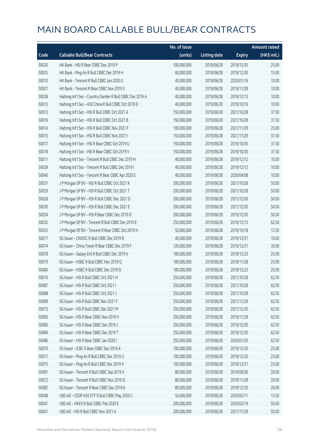|       |                                                           | No. of issue |                     |               | <b>Amount raised</b> |
|-------|-----------------------------------------------------------|--------------|---------------------|---------------|----------------------|
| Code  | <b>Callable Bull/Bear Contracts</b>                       | (units)      | <b>Listing date</b> | <b>Expiry</b> | (HK\$ mil.)          |
| 50020 | HK Bank - HSI R Bear CBBC Dec 2019 P                      | 100,000,000  | 2019/06/28          | 2019/12/30    | 25.00                |
| 50025 | HK Bank - Ping An R Bull CBBC Dec 2019 H                  | 60,000,000   | 2019/06/28          | 2019/12/30    | 15.00                |
| 50010 | HK Bank - Tencent R Bull CBBC Jan 2020 G                  | 40,000,000   | 2019/06/28          | 2020/01/16    | 10.00                |
| 50021 | HK Bank - Tencent R Bear CBBC Nov 2019 S                  | 40,000,000   | 2019/06/28          | 2019/11/28    | 10.00                |
| 50038 | Haitong Int'l Sec - Country Garden R Bull CBBC Dec 2019 A | 40,000,000   | 2019/06/28          | 2019/12/13    | 10.00                |
| 50012 | Haitong Int'l Sec - A50 China R Bull CBBC Oct 2019 D      | 40,000,000   | 2019/06/28          | 2019/10/16    | 10.00                |
| 50013 | Haitong Int'l Sec - HSI R Bull CBBC Oct 2021 A            | 150,000,000  | 2019/06/28          | 2021/10/28    | 37.50                |
| 50016 | Haitong Int'l Sec - HSI R Bull CBBC Oct 2021 B            | 150,000,000  | 2019/06/28          | 2021/10/28    | 37.50                |
| 50014 | Haitong Int'l Sec - HSI R Bull CBBC Nov 2021 F            | 100,000,000  | 2019/06/28          | 2021/11/29    | 25.00                |
| 50015 | Haitong Int'l Sec - HSI R Bull CBBC Nov 2021 I            | 150,000,000  | 2019/06/28          | 2021/11/29    | 37.50                |
| 50017 | Haitong Int'l Sec - HSI R Bear CBBC Oct 2019 U            | 150,000,000  | 2019/06/28          | 2019/10/30    | 37.50                |
| 50018 | Haitong Int'l Sec - HSI R Bear CBBC Oct 2019 V            | 150,000,000  | 2019/06/28          | 2019/10/30    | 37.50                |
| 50011 | Haitong Int'l Sec - Tencent R Bull CBBC Dec 2019 H        | 40,000,000   | 2019/06/28          | 2019/12/12    | 10.00                |
| 50039 | Haitong Int'l Sec - Tencent R Bull CBBC Dec 2019 I        | 40,000,000   | 2019/06/28          | 2019/12/12    | 10.00                |
| 50040 | Haitong Int'l Sec - Tencent R Bear CBBC Apr 2020 E        | 40,000,000   | 2019/06/28          | 2020/04/08    | 10.00                |
| 50031 | J P Morgan SP BV - HSI R Bull CBBC Oct 2021 K             | 200,000,000  | 2019/06/28          | 2021/10/28    | 50.00                |
| 50029 | JP Morgan SP BV - HSIR Bull CBBC Oct 2021 T               | 200,000,000  | 2019/06/28          | 2021/10/28    | 50.00                |
| 50028 | J P Morgan SP BV - HSI R Bull CBBC Dec 2021 D             | 200,000,000  | 2019/06/28          | 2021/12/30    | 50.00                |
| 50030 | J P Morgan SP BV - HSI R Bull CBBC Dec 2021 E             | 200,000,000  | 2019/06/28          | 2021/12/30    | 50.00                |
| 50034 | J P Morgan SP BV - HSI R Bear CBBC Dec 2019 O             | 200,000,000  | 2019/06/28          | 2019/12/30    | 50.00                |
| 50032 | J P Morgan SP BV - Tencent R Bull CBBC Dec 2019 E         | 250,000,000  | 2019/06/28          | 2019/12/13    | 62.50                |
| 50033 | J P Morgan SP BV - Tencent R Bear CBBC Oct 2019 H         | 50,000,000   | 2019/06/28          | 2019/10/18    | 12.50                |
| 50077 | SG Issuer - CNOOC R Bull CBBC Dec 2019 B                  | 40,000,000   | 2019/06/28          | 2019/12/31    | 10.00                |
| 50074 | SG Issuer - China Tower R Bear CBBC Dec 2019 F            | 120,000,000  | 2019/06/28          | 2019/12/31    | 30.00                |
| 50078 | SG Issuer - Galaxy Ent R Bull CBBC Dec 2019 V             | 100,000,000  | 2019/06/28          | 2019/12/23    | 25.00                |
| 50079 | SG Issuer - HSBC R Bull CBBC Nov 2019 Q                   | 100,000,000  | 2019/06/28          | 2019/11/28    | 25.00                |
| 50080 | SG Issuer - HSBC R Bull CBBC Dec 2019 D                   | 100,000,000  | 2019/06/28          | 2019/12/23    | 25.00                |
| 50076 | SG Issuer - HSI R Bull CBBC Oct 2021 H                    | 250,000,000  | 2019/06/28          | 2021/10/28    | 62.50                |
| 50087 | SG Issuer - HSI R Bull CBBC Oct 2021 I                    | 250,000,000  | 2019/06/28          | 2021/10/28    | 62.50                |
| 50088 | SG Issuer - HSI R Bull CBBC Oct 2021 J                    | 250,000,000  | 2019/06/28          | 2021/10/28    | 62.50                |
| 50089 | SG Issuer - HSI R Bull CBBC Nov 2021 F                    | 250,000,000  | 2019/06/28          | 2021/11/29    | 62.50                |
| 50073 | SG Issuer - HSI R Bull CBBC Dec 2021 M                    | 250,000,000  | 2019/06/28          | 2021/12/30    | 62.50                |
| 50083 | SG Issuer - HSI R Bear CBBC Nov 2019 V                    | 250,000,000  | 2019/06/28          | 2019/11/28    | 62.50                |
| 50085 | SG Issuer - HSI R Bear CBBC Dec 2019 J                    | 250,000,000  | 2019/06/28          | 2019/12/30    | 62.50                |
| 50084 | SG Issuer - HSI R Bear CBBC Dec 2019 T                    | 250,000,000  | 2019/06/28          | 2019/12/30    | 62.50                |
| 50086 | SG Issuer - HSI R Bear CBBC Jan 2020 I                    | 250,000,000  | 2019/06/28          | 2020/01/30    | 62.50                |
| 50070 | SG Issuer - ICBC R Bear CBBC Dec 2019 A                   | 100,000,000  | 2019/06/28          | 2019/12/30    | 25.00                |
| 50071 | SG Issuer - Ping An R Bull CBBC Dec 2019 U                | 100,000,000  | 2019/06/28          | 2019/12/30    | 25.00                |
| 50075 | SG Issuer - Ping An R Bull CBBC Dec 2019 V                | 100,000,000  | 2019/06/28          | 2019/12/31    | 25.00                |
| 50081 | SG Issuer - Tencent R Bull CBBC Sep 2019 X                | 80,000,000   | 2019/06/28          | 2019/09/30    | 20.00                |
| 50072 | SG Issuer - Tencent R Bull CBBC Nov 2019 Q                | 80,000,000   | 2019/06/28          | 2019/11/28    | 20.00                |
| 50082 | SG Issuer - Tencent R Bear CBBC Dec 2019 K                | 80,000,000   | 2019/06/28          | 2019/12/30    | 20.00                |
| 50048 | UBS AG - CSOP A50 ETF R Bull CBBC May 2020 C              | 50,000,000   | 2019/06/28          | 2020/05/11    | 12.50                |
| 50047 | UBS AG - HKEX R Bull CBBC Feb 2020 E                      | 200,000,000  | 2019/06/28          | 2020/02/19    | 50.00                |
| 50041 | UBS AG - HSI R Bull CBBC Nov 2021 A                       | 200,000,000  | 2019/06/28          | 2021/11/29    | 50.00                |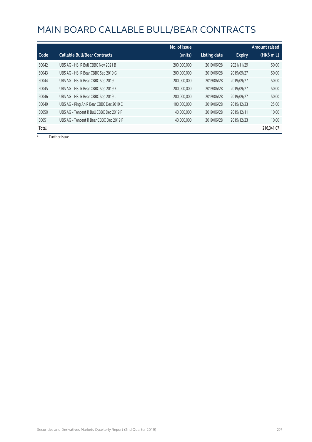|       |                                         | No. of issue |                     |               | <b>Amount raised</b> |
|-------|-----------------------------------------|--------------|---------------------|---------------|----------------------|
| Code  | <b>Callable Bull/Bear Contracts</b>     | (units)      | <b>Listing date</b> | <b>Expiry</b> | (HK\$ mil.)          |
| 50042 | UBS AG - HSI R Bull CBBC Nov 2021 B     | 200,000,000  | 2019/06/28          | 2021/11/29    | 50.00                |
| 50043 | UBS AG - HSI R Bear CBBC Sep 2019 G     | 200,000,000  | 2019/06/28          | 2019/09/27    | 50.00                |
| 50044 | UBS AG - HSI R Bear CBBC Sep 2019 I     | 200,000,000  | 2019/06/28          | 2019/09/27    | 50.00                |
| 50045 | UBS AG - HSI R Bear CBBC Sep 2019 K     | 200,000,000  | 2019/06/28          | 2019/09/27    | 50.00                |
| 50046 | UBS AG - HSI R Bear CBBC Sep 2019 L     | 200.000.000  | 2019/06/28          | 2019/09/27    | 50.00                |
| 50049 | UBS AG - Ping An R Bear CBBC Dec 2019 C | 100,000,000  | 2019/06/28          | 2019/12/23    | 25.00                |
| 50050 | UBS AG - Tencent R Bull CBBC Dec 2019 F | 40,000,000   | 2019/06/28          | 2019/12/11    | 10.00                |
| 50051 | UBS AG - Tencent R Bear CBBC Dec 2019 F | 40,000,000   | 2019/06/28          | 2019/12/23    | 10.00                |
| Total |                                         |              |                     |               | 216.341.07           |

# Further issue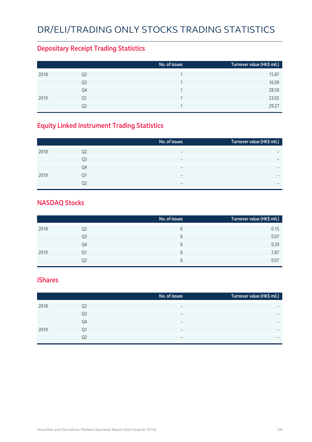#### DR/ELI/TRADING ONLY STOCKS TRADING STATISTICS

#### **Depositary Receipt Trading Statistics**

|      |                | No. of issues | Turnover value (HK\$ mil.) |
|------|----------------|---------------|----------------------------|
| 2018 | Q <sub>2</sub> |               | 15.87                      |
|      | Q <sub>3</sub> |               | 16.09                      |
|      | Q4             |               | 28.59                      |
| 2019 | Q1             |               | 23.02                      |
|      | Q2             |               | 29.27                      |

#### **Equity Linked Instrument Trading Statistics**

|      |                | No. of issues            | Turnover value (HK\$ mil.) |
|------|----------------|--------------------------|----------------------------|
| 2018 | Q <sub>2</sub> | $\overline{\phantom{0}}$ |                            |
|      | Q3             | $\overline{\phantom{0}}$ | $\overline{\phantom{0}}$   |
|      | Q4             | $\overline{\phantom{0}}$ | $\overline{\phantom{0}}$   |
| 2019 | Q1             | $\overline{\phantom{0}}$ |                            |
|      | O <sub>2</sub> | $\overline{\phantom{0}}$ | $\overline{\phantom{0}}$   |

#### **NASDAQ Stocks**

|      |                | No. of issues | Turnover value (HK\$ mil.) |
|------|----------------|---------------|----------------------------|
| 2018 | Q <sub>2</sub> | 6             | 0.15                       |
|      | Q3             | 6             | 0.07                       |
|      | Q4             | 6             | 0.29                       |
| 2019 | Q1             | 6             | 2.87                       |
|      | Q2             | 6             | 0.07                       |

#### **iShares**

|      |                | No. of issues            | Turnover value (HK\$ mil.) |
|------|----------------|--------------------------|----------------------------|
| 2018 | Q2             |                          | -                          |
|      | Q <sub>3</sub> | $\overline{\phantom{0}}$ | $\overline{\phantom{0}}$   |
|      | Q4             | -                        | $\overline{\phantom{0}}$   |
| 2019 | Q1             |                          | -                          |
|      | Q2             | $\overline{\phantom{0}}$ | $\overline{\phantom{0}}$   |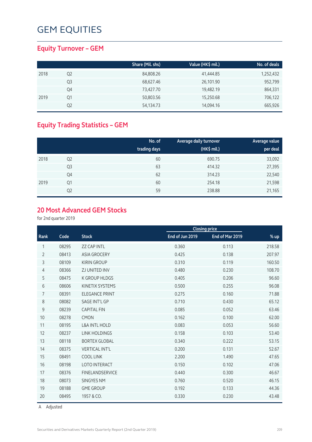#### **Equity Turnover – GEM**

|      |    | Share (Mil. shs) | Value (HK\$ mil.) | No. of deals |
|------|----|------------------|-------------------|--------------|
| 2018 | Q2 | 84,808.26        | 41,444.85         | 1,252,432    |
|      | Q3 | 68,627.46        | 26,101.90         | 952,799      |
|      | Q4 | 73,427.70        | 19.482.19         | 864,331      |
| 2019 | Q1 | 50,803.56        | 15,250.68         | 706,122      |
|      | Q2 | 54,134.73        | 14,094.16         | 665,926      |

#### **Equity Trading Statistics – GEM**

|      |                | No. of<br>trading days | Average daily turnover<br>(HK\$ mil.) | Average value<br>per deal |
|------|----------------|------------------------|---------------------------------------|---------------------------|
| 2018 | Q <sub>2</sub> | 60                     | 690.75                                | 33,092                    |
|      | Q <sub>3</sub> | 63                     | 414.32                                | 27,395                    |
|      | Q4             | 62                     | 314.23                                | 22,540                    |
| 2019 | Q1             | 60                     | 254.18                                | 21,598                    |
|      | Q <sub>2</sub> | 59                     | 238.88                                | 21,165                    |

#### **20 Most Advanced GEM Stocks**

for 2nd quarter 2019

|                |       |                          |                 | <b>Closing price</b> |        |
|----------------|-------|--------------------------|-----------------|----------------------|--------|
| Rank           | Code  | <b>Stock</b>             | End of Jun 2019 | End of Mar 2019      | % up   |
| 1              | 08295 | <b>ZZ CAP INTL</b>       | 0.360           | 0.113                | 218.58 |
| $\overline{2}$ | 08413 | <b>ASIA GROCERY</b>      | 0.425           | 0.138                | 207.97 |
| 3              | 08109 | <b>KIRIN GROUP</b>       | 0.310           | 0.119                | 160.50 |
| 4              | 08366 | <b>ZJ UNITED INV</b>     | 0.480           | 0.230                | 108.70 |
| 5              | 08475 | <b>K GROUP HLDGS</b>     | 0.405           | 0.206                | 96.60  |
| 6              | 08606 | KINETIX SYSTEMS          | 0.500           | 0.255                | 96.08  |
| 7              | 08391 | <b>ELEGANCE PRINT</b>    | 0.275           | 0.160                | 71.88  |
| 8              | 08082 | SAGE INT'L GP            | 0.710           | 0.430                | 65.12  |
| 9              | 08239 | <b>CAPITAL FIN</b>       | 0.085           | 0.052                | 63.46  |
| 10             | 08278 | <b>CMON</b>              | 0.162           | 0.100                | 62.00  |
| 11             | 08195 | <b>L&amp;A INTL HOLD</b> | 0.083           | 0.053                | 56.60  |
| 12             | 08237 | LINK HOLDINGS            | 0.158           | 0.103                | 53.40  |
| 13             | 08118 | <b>BORTEX GLOBAL</b>     | 0.340           | 0.222                | 53.15  |
| 14             | 08375 | <b>VERTICAL INT'L</b>    | 0.200           | 0.131                | 52.67  |
| 15             | 08491 | <b>COOL LINK</b>         | 2.200           | 1.490                | 47.65  |
| 16             | 08198 | <b>LOTO INTERACT</b>     | 0.150           | 0.102                | 47.06  |
| 17             | 08376 | <b>FINELANDSERVICE</b>   | 0.440           | 0.300                | 46.67  |
| 18             | 08073 | <b>SINGYES NM</b>        | 0.760           | 0.520                | 46.15  |
| 19             | 08188 | <b>GME GROUP</b>         | 0.192           | 0.133                | 44.36  |
| 20             | 08495 | 1957 & CO.               | 0.330           | 0.230                | 43.48  |

A Adjusted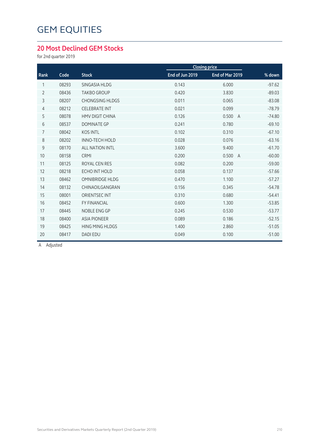#### **20 Most Declined GEM Stocks**

for 2nd quarter 2019

| Code  | <b>Stock</b>           | End of Jun 2019 | End of Mar 2019         | % down               |
|-------|------------------------|-----------------|-------------------------|----------------------|
| 08293 | SINGASIA HLDG          | 0.143           | 6.000                   | $-97.62$             |
| 08436 | <b>TAKBO GROUP</b>     | 0.420           | 3.830                   | $-89.03$             |
| 08207 | <b>CHONGSING HLDGS</b> | 0.011           | 0.065                   | $-83.08$             |
| 08212 | <b>CELEBRATE INT</b>   | 0.021           | 0.099                   | $-78.79$             |
| 08078 | <b>HMV DIGIT CHINA</b> | 0.126           | 0.500<br>$\overline{A}$ | $-74.80$             |
| 08537 | <b>DOMINATE GP</b>     | 0.241           | 0.780                   | $-69.10$             |
| 08042 | <b>KOS INTL</b>        | 0.102           | 0.310                   | $-67.10$             |
| 08202 | <b>INNO-TECH HOLD</b>  | 0.028           | 0.076                   | $-63.16$             |
| 08170 | <b>ALL NATION INTL</b> | 3.600           | 9.400                   | $-61.70$             |
| 08158 | <b>CRMI</b>            | 0.200           | 0.500<br>$\overline{A}$ | $-60.00$             |
| 08125 | ROYAL CEN RES          | 0.082           | 0.200                   | $-59.00$             |
| 08218 | ECHO INT HOLD          | 0.058           | 0.137                   | $-57.66$             |
| 08462 | OMNIBRIDGE HLDG        | 0.470           | 1.100                   | $-57.27$             |
| 08132 | CHINAOILGANGRAN        | 0.156           | 0.345                   | $-54.78$             |
| 08001 | <b>ORIENTSEC INT</b>   | 0.310           | 0.680                   | $-54.41$             |
| 08452 | <b>FY FINANCIAL</b>    | 0.600           | 1.300                   | $-53.85$             |
| 08445 | <b>NOBLE ENG GP</b>    | 0.245           | 0.530                   | $-53.77$             |
| 08400 | <b>ASIA PIONEER</b>    | 0.089           | 0.186                   | $-52.15$             |
| 08425 | <b>HING MING HLDGS</b> | 1.400           | 2.860                   | $-51.05$             |
| 08417 | <b>DADI EDU</b>        | 0.049           | 0.100                   | $-51.00$             |
|       |                        |                 |                         | <b>Closing price</b> |

A Adjusted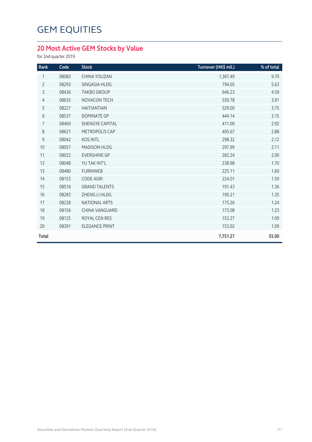#### **20 Most Active GEM Stocks by Value**

for 2nd quarter 2019

| 1,367.49 | 9.70  |
|----------|-------|
| 794.05   | 5.63  |
| 646.23   | 4.59  |
| 550.78   | 3.91  |
| 529.00   | 3.75  |
| 444.14   | 3.15  |
| 411.00   | 2.92  |
| 405.67   | 2.88  |
| 298.32   | 2.12  |
| 297.99   | 2.11  |
| 282.24   | 2.00  |
| 238.98   | 1.70  |
| 225.11   | 1.60  |
| 224.01   | 1.59  |
| 191.43   | 1.36  |
| 190.21   | 1.35  |
| 175.26   | 1.24  |
| 173.08   | 1.23  |
| 153.27   | 1.09  |
| 153.02   | 1.09  |
| 7,751.27 | 55.00 |
|          |       |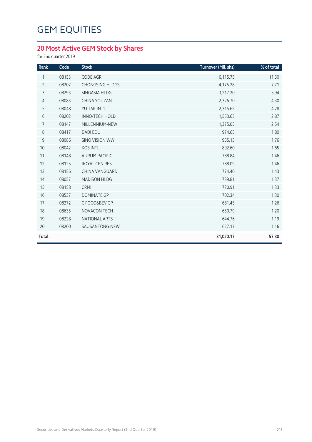#### **20 Most Active GEM Stock by Shares**

for 2nd quarter 2019

| Rank           | Code  | <b>Stock</b>           | Turnover (Mil. shs) | % of total |
|----------------|-------|------------------------|---------------------|------------|
| 1              | 08153 | <b>CODE AGRI</b>       | 6,115.75            | 11.30      |
| $\overline{2}$ | 08207 | <b>CHONGSING HLDGS</b> | 4,175.28            | 7.71       |
| 3              | 08293 | SINGASIA HLDG          | 3,217.20            | 5.94       |
| $\overline{4}$ | 08083 | CHINA YOUZAN           | 2,326.70            | 4.30       |
| 5              | 08048 | YU TAK INT'L           | 2,315.65            | 4.28       |
| 6              | 08202 | <b>INNO-TECH HOLD</b>  | 1,553.63            | 2.87       |
| 7              | 08147 | MILLENNIUM-NEW         | 1,375.03            | 2.54       |
| $\,8\,$        | 08417 | <b>DADI EDU</b>        | 974.65              | 1.80       |
| $\mathsf g$    | 08086 | <b>SINO VISION WW</b>  | 955.13              | 1.76       |
| 10             | 08042 | <b>KOS INTL</b>        | 892.60              | 1.65       |
| 11             | 08148 | <b>AURUM PACIFIC</b>   | 788.84              | 1.46       |
| 12             | 08125 | ROYAL CEN RES          | 788.09              | 1.46       |
| 13             | 08156 | CHINA VANGUARD         | 774.40              | 1.43       |
| 14             | 08057 | <b>MADISON HLDG</b>    | 739.81              | 1.37       |
| 15             | 08158 | CRMI                   | 720.91              | 1.33       |
| 16             | 08537 | <b>DOMINATE GP</b>     | 702.34              | 1.30       |
| 17             | 08272 | C FOOD&BEV GP          | 681.45              | 1.26       |
| 18             | 08635 | NOVACON TECH           | 650.79              | 1.20       |
| 19             | 08228 | <b>NATIONAL ARTS</b>   | 644.76              | 1.19       |
| 20             | 08200 | SAUSANTONG-NEW         | 627.17              | 1.16       |
| Total          |       |                        | 31,020.17           | 57.30      |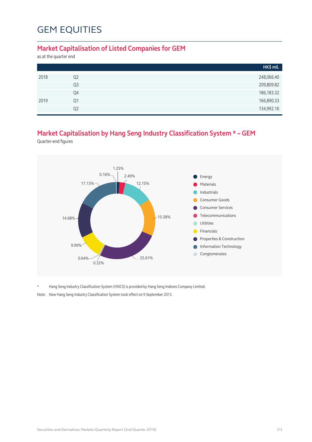#### **Market Capitalisation of Listed Companies for GEM**

as at the quarter end

|      |                | HK\$ mil.    |
|------|----------------|--------------|
| 2018 | Q <sub>2</sub> | 248,066.40   |
|      | Q <sub>3</sub> | 209,809.82   |
|      | Q4             | 186, 183. 32 |
| 2019 | Q1             | 166,890.33   |
|      | Q <sub>2</sub> | 134,992.16   |

#### **Market Capitalisation by Hang Seng Industry Classification System \* – GEM**

Quarter-end figures



\* Hang Seng Industry Classification System (HSICS) is provided by Hang Seng Indexes Company Limited.

Note: New Hang Seng Industry Classification System took effect on 9 September 2013.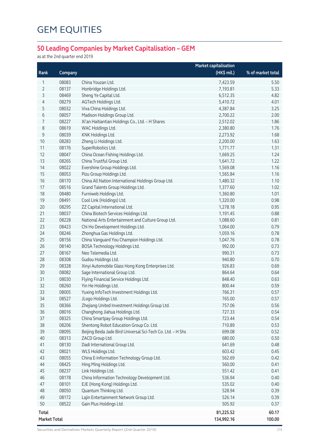#### **50 Leading Companies by Market Capitalisation – GEM**

as at the 2nd quarter end 2019

|                     |         |                                                             | <b>Market capitalisation</b> |                   |
|---------------------|---------|-------------------------------------------------------------|------------------------------|-------------------|
| Rank                | Company |                                                             | (HK\$ mil.)                  | % of market total |
| 1                   | 08083   | China Youzan Ltd.                                           | 7,423.59                     | 5.50              |
| 2                   | 08137   | Honbridge Holdings Ltd.                                     | 7,193.81                     | 5.33              |
| 3                   | 08469   | Sheng Ye Capital Ltd.                                       | 6,512.35                     | 4.82              |
| 4                   | 08279   | AGTech Holdings Ltd.                                        | 5,410.72                     | 4.01              |
| 5                   | 08032   | Viva China Holdings Ltd.                                    | 4,387.84                     | 3.25              |
| 6                   | 08057   | Madison Holdings Group Ltd.                                 | 2,700.22                     | 2.00              |
| $\overline{7}$      | 08227   | Xi'an Haitiantian Holdings Co., Ltd. - H Shares             | 2,512.02                     | 1.86              |
| 8                   | 08619   | WAC Holdings Ltd.                                           | 2,380.80                     | 1.76              |
| 9                   | 08039   | KNK Holdings Ltd.                                           | 2,273.92                     | 1.68              |
| $10$                | 08283   | Zheng Li Holdings Ltd.                                      | 2,200.00                     | 1.63              |
| 11                  | 08176   | SuperRobotics Ltd.                                          | 1,771.77                     | 1.31              |
| 12                  | 08047   | China Ocean Fishing Holdings Ltd.                           | 1,669.25                     | 1.24              |
| 13                  | 08265   | China Trustful Group Ltd.                                   | 1,641.72                     | 1.22              |
| 14                  | 08022   | Evershine Group Holdings Ltd.                               | 1,569.08                     | 1.16              |
| 15                  | 08053   | Pizu Group Holdings Ltd.                                    | 1,565.84                     | 1.16              |
| 16                  | 08170   | China All Nation International Holdings Group Ltd.          | 1,480.32                     | 1.10              |
| 17                  | 08516   | Grand Talents Group Holdings Ltd.                           | 1,377.60                     | 1.02              |
| 18                  | 08480   | Furniweb Holdings Ltd.                                      | 1,360.80                     | 1.01              |
| 19                  | 08491   | Cool Link (Holdings) Ltd.                                   | 1,320.00                     | 0.98              |
| 20                  | 08295   | ZZ Capital International Ltd.                               | 1,278.18                     | 0.95              |
| 21                  | 08037   | China Biotech Services Holdings Ltd.                        | 1,191.45                     | 0.88              |
| 22                  | 08228   | National Arts Entertainment and Culture Group Ltd.          | 1,088.60                     | 0.81              |
| 23                  | 08423   | Chi Ho Development Holdings Ltd.                            | 1,064.00                     | 0.79              |
| 24                  | 08246   | Zhonghua Gas Holdings Ltd.                                  | 1,059.16                     | 0.78              |
| 25                  | 08156   | China Vanguard You Champion Holdings Ltd.                   | 1,047.76                     | 0.78              |
| 26                  | 08140   | BOSA Technology Holdings Ltd.                               | 992.00                       | 0.73              |
| 27                  | 08167   | Neo Telemedia Ltd.                                          | 990.31                       | 0.73              |
| 28                  | 08308   | Gudou Holdings Ltd.                                         | 940.80                       | 0.70              |
| 29                  | 08328   | Xinyi Automobile Glass Hong Kong Enterprises Ltd.           | 926.83                       | 0.69              |
| 30                  | 08082   | Sage International Group Ltd.                               | 864.64                       | 0.64              |
| 31                  | 08030   | Flying Financial Service Holdings Ltd.                      | 848.40                       | 0.63              |
| 32                  | 08260   | Yin He Holdings Ltd.                                        | 800.44                       | 0.59              |
| 33                  | 08005   | Yuxing InfoTech Investment Holdings Ltd.                    | 766.31                       | 0.57              |
| 34                  | 08527   | JLogo Holdings Ltd.                                         | 765.00                       | 0.57              |
| 35                  | 08366   | Zhejiang United Investment Holdings Group Ltd.              | 757.06                       | 0.56              |
| 36                  | 08016   | Changhong Jiahua Holdings Ltd.                              | 727.33                       | 0.54              |
| 37                  | 08325   | China Smartpay Group Holdings Ltd.                          | 723.44                       | 0.54              |
| 38                  | 08206   | Shentong Robot Education Group Co. Ltd.                     | 710.89                       | 0.53              |
| 39                  | 08095   | Beijing Beida Jade Bird Universal Sci-Tech Co. Ltd. - H Shs | 699.08                       | 0.52              |
| 40                  | 08313   | ZACD Group Ltd.                                             | 680.00                       | 0.50              |
| 41                  | 08130   | Dadi International Group Ltd.                               | 641.69                       | 0.48              |
| 42                  | 08021   | WLS Holdings Ltd.                                           | 603.42                       | 0.45              |
| 43                  | 08055   | China E-Information Technology Group Ltd.                   | 562.69                       | 0.42              |
| 44                  | 08425   | Hing Ming Holdings Ltd.                                     | 560.00                       | 0.41              |
| 45                  | 08237   | Link Holdings Ltd.                                          | 551.42                       | 0.41              |
| 46                  | 08178   | China Information Technology Development Ltd.               | 536.94                       | 0.40              |
| 47                  | 08101   | EJE (Hong Kong) Holdings Ltd.                               | 535.02                       | 0.40              |
| 48                  | 08050   | Quantum Thinking Ltd.                                       | 528.94                       | 0.39              |
| 49                  | 08172   | Lajin Entertainment Network Group Ltd.                      | 526.14                       | 0.39              |
| 50                  | 08522   | Gain Plus Holdings Ltd.                                     | 505.92                       | 0.37              |
| <b>Total</b>        |         |                                                             | 81,225.52                    | 60.17             |
| <b>Market Total</b> |         |                                                             | 134,992.16                   | 100.00            |

Securities and Derivatives Markets Quarterly Report (2nd Quarter 2019) 214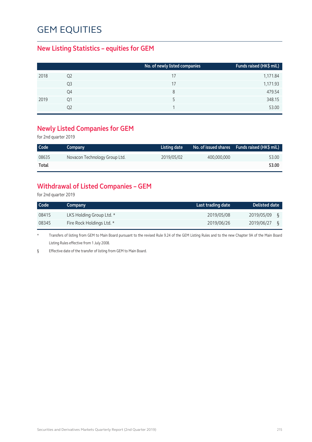#### **New Listing Statistics – equities for GEM**

|      |    | No. of newly listed companies | Funds raised (HK\$ mil.) |
|------|----|-------------------------------|--------------------------|
| 2018 | Q2 | 17                            | 1,171.84                 |
|      | Q3 |                               | 1,171.93                 |
|      | Q4 | 8                             | 479.54                   |
| 2019 | Q1 |                               | 348.15                   |
|      |    |                               | 53.00                    |

#### **Newly Listed Companies for GEM**

for 2nd quarter 2019

| Code  | Company                       | Listing date |             | No. of issued shares Funds raised (HK\$ mil.) |
|-------|-------------------------------|--------------|-------------|-----------------------------------------------|
| 08635 | Novacon Technology Group Ltd. | 2019/05/02   | 400.000.000 | 53.00                                         |
| Total |                               |              |             | 53.00                                         |

#### **Withdrawal of Listed Companies – GEM**

for 2nd quarter 2019

| Code  | Company                   | Last trading date | Delisted date   |
|-------|---------------------------|-------------------|-----------------|
| 08415 | LKS Holding Group Ltd. *  | 2019/05/08        | 2019/05/09      |
| 08345 | Fire Rock Holdings Ltd. * | 2019/06/26        | 2019/06/27<br>ξ |

\* Transfers of listing from GEM to Main Board pursuant to the revised Rule 9.24 of the GEM Listing Rules and to the new Chapter 9A of the Main Board Listing Rules effective from 1 July 2008.

§ Effective date of the transfer of listing from GEM to Main Board.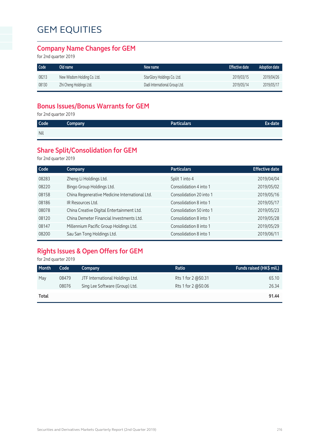## GEM EQUITIES

#### **Company Name Changes for GEM**

for 2nd quarter 2019

| Code  | Old name                    | New name                      | <b>Effective date</b> | <b>Adoption date</b> |
|-------|-----------------------------|-------------------------------|-----------------------|----------------------|
| 08213 | New Wisdom Holding Co. Ltd. | StarGlory Holdings Co. Ltd.   | 2019/03/15            | 2019/04/26           |
| 08130 | Zhi Cheng Holdings Ltd.     | Dadi International Group Ltd. | 2019/05/14            | 2019/05/17           |

### **Bonus Issues/Bonus Warrants for GEM**

for 2nd quarter 2019

| Code | Company | Particulars | Ex-date |
|------|---------|-------------|---------|
| Nil  |         |             |         |

## **Share Split/Consolidation for GEM**

for 2nd quarter 2019

| Company                                        | <b>Particulars</b>      | <b>Effective date</b> |
|------------------------------------------------|-------------------------|-----------------------|
| Zheng Li Holdings Ltd.                         | Split 1 into 4          | 2019/04/04            |
| Bingo Group Holdings Ltd.                      | Consolidation 4 into 1  | 2019/05/02            |
| China Regenerative Medicine International Ltd. | Consolidation 20 into 1 | 2019/05/16            |
| IR Resources Ltd.                              | Consolidation 8 into 1  | 2019/05/17            |
| China Creative Digital Entertainment Ltd.      | Consolidation 50 into 1 | 2019/05/23            |
| China Demeter Financial Investments Ltd.       | Consolidation 8 into 1  | 2019/05/28            |
| Millennium Pacific Group Holdings Ltd.         | Consolidation 8 into 1  | 2019/05/29            |
| Sau San Tong Holdings Ltd.                     | Consolidation 8 into 1  | 2019/06/11            |
|                                                |                         |                       |

## **Rights Issues & Open Offers for GEM**

for 2nd quarter 2019

| Month | Code  | Company                         | Ratio               | Funds raised (HK\$ mil.) |
|-------|-------|---------------------------------|---------------------|--------------------------|
| May   | 08479 | JTF International Holdings Ltd. | Rts 1 for 2 @\$0.31 | 65.10                    |
|       | 08076 | Sing Lee Software (Group) Ltd.  | Rts 1 for 2 @\$0.06 | 26.34                    |
| Total |       |                                 |                     | 91.44                    |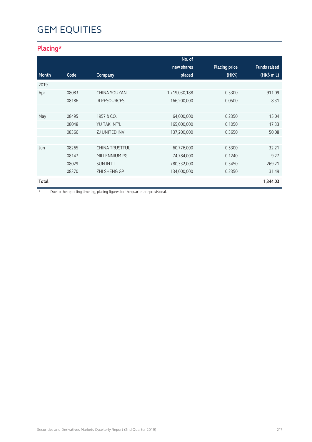## GEM EQUITIES

## **Placing\***

|       |       |                       | No. of        |                      |                     |
|-------|-------|-----------------------|---------------|----------------------|---------------------|
|       |       |                       | new shares    | <b>Placing price</b> | <b>Funds raised</b> |
| Month | Code  | Company               | placed        | (HK <sub>5</sub> )   | (HK\$ mil.)         |
| 2019  |       |                       |               |                      |                     |
| Apr   | 08083 | CHINA YOUZAN          | 1,719,030,188 | 0.5300               | 911.09              |
|       | 08186 | <b>IR RESOURCES</b>   | 166,200,000   | 0.0500               | 8.31                |
|       |       |                       |               |                      |                     |
| May   | 08495 | 1957 & CO.            | 64,000,000    | 0.2350               | 15.04               |
|       | 08048 | YU TAK INT'L          | 165,000,000   | 0.1050               | 17.33               |
|       | 08366 | ZJ UNITED INV         | 137,200,000   | 0.3650               | 50.08               |
|       |       |                       |               |                      |                     |
| Jun   | 08265 | <b>CHINA TRUSTFUL</b> | 60,776,000    | 0.5300               | 32.21               |
|       | 08147 | MILLENNIUM PG         | 74,784,000    | 0.1240               | 9.27                |
|       | 08029 | <b>SUN INT'L</b>      | 780,332,000   | 0.3450               | 269.21              |
|       | 08370 | <b>ZHI SHENG GP</b>   | 134,000,000   | 0.2350               | 31.49               |
| Total |       |                       |               |                      | 1,344.03            |

\* Due to the reporting time-lag, placing figures for the quarter are provisional.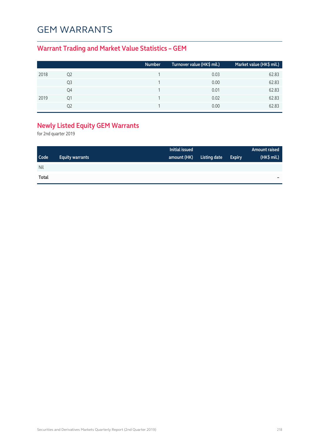## GEM WARRANTS

## **Warrant Trading and Market Value Statistics – GEM**

|      |    | Number | Turnover value (HK\$ mil.) | Market value (HK\$ mil.) |
|------|----|--------|----------------------------|--------------------------|
| 2018 | Q2 |        | 0.03                       | 62.83                    |
|      | Q3 |        | 0.00                       | 62.83                    |
|      | Q4 |        | 0.01                       | 62.83                    |
| 2019 | Q1 |        | 0.02                       | 62.83                    |
|      | 22 |        | 0.00                       | 62.83                    |

## **Newly Listed Equity GEM Warrants**

for 2nd quarter 2019

|             |                        | Initial issued |              |               | Amount raised |
|-------------|------------------------|----------------|--------------|---------------|---------------|
| <b>Code</b> | <b>Equity warrants</b> | amount (HK)    | Listing date | <b>Expiry</b> | (HK\$ mil.)   |
| Nil         |                        |                |              |               |               |
| Total       |                        |                |              |               | -             |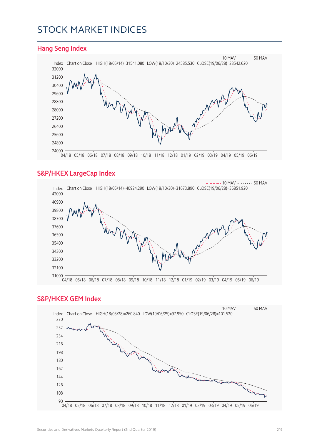## STOCK MARKET INDICES

#### **Hang Seng Index**



#### **S&P/HKEX LargeCap Index**



#### **S&P/HKEX GEM Index**

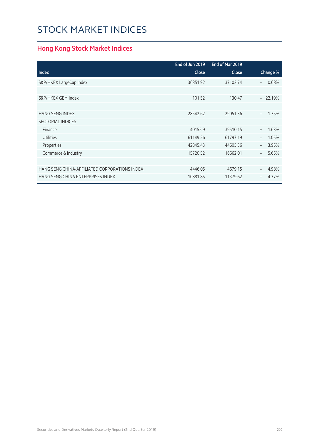## STOCK MARKET INDICES

## **Hong Kong Stock Market Indices**

|                                               | End of Jun 2019 | End of Mar 2019 |                                   |
|-----------------------------------------------|-----------------|-----------------|-----------------------------------|
| <b>Index</b>                                  | <b>Close</b>    | Close           | Change %                          |
| S&P/HKEX LargeCap Index                       | 36851.92        | 37102.74        | 0.68%<br>$\overline{\phantom{0}}$ |
|                                               |                 |                 |                                   |
| S&P/HKEX GEM Index                            | 101.52          | 130.47          | $-22.19%$                         |
|                                               |                 |                 |                                   |
| <b>HANG SENG INDEX</b>                        | 28542.62        | 29051.36        | 1.75%<br>$\overline{\phantom{0}}$ |
| <b>SECTORIAL INDICES</b>                      |                 |                 |                                   |
| Finance                                       | 40155.9         | 39510.15        | 1.63%<br>$+$                      |
| <b>Utilities</b>                              | 61149.26        | 61797.19        | 1.05%<br>$\overline{\phantom{0}}$ |
| Properties                                    | 42845.43        | 44605.36        | 3.95%<br>$\overline{\phantom{m}}$ |
| Commerce & Industry                           | 15720.52        | 16662.01        | 5.65%<br>$\overline{\phantom{a}}$ |
|                                               |                 |                 |                                   |
| HANG SENG CHINA-AFFILIATED CORPORATIONS INDEX | 4446.05         | 4679.15         | 4.98%<br>$\overline{\phantom{0}}$ |
| HANG SENG CHINA ENTERPRISES INDEX             | 10881.85        | 11379.62        | 4.37%                             |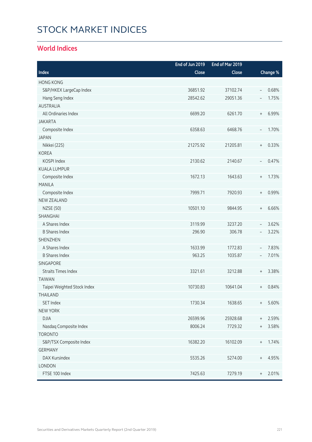# STOCK MARKET INDICES

### **World Indices**

|                             | End of Jun 2019 | End of Mar 2019 |                                  |          |
|-----------------------------|-----------------|-----------------|----------------------------------|----------|
| Index                       | Close           | Close           |                                  | Change % |
| <b>HONG KONG</b>            |                 |                 |                                  |          |
| S&P/HKEX LargeCap Index     | 36851.92        | 37102.74        | $\overline{\phantom{a}}$         | 0.68%    |
| Hang Seng Index             | 28542.62        | 29051.36        | $\overline{\phantom{0}}$         | 1.75%    |
| <b>AUSTRALIA</b>            |                 |                 |                                  |          |
| All Ordinaries Index        | 6699.20         | 6261.70         | $\, +$                           | 6.99%    |
| <b>JAKARTA</b>              |                 |                 |                                  |          |
| Composite Index             | 6358.63         | 6468.76         | $\overline{\phantom{a}}$         | 1.70%    |
| <b>JAPAN</b>                |                 |                 |                                  |          |
| Nikkei (225)                | 21275.92        | 21205.81        | $\, +$                           | 0.33%    |
| <b>KOREA</b>                |                 |                 |                                  |          |
| KOSPI Index                 | 2130.62         | 2140.67         | $\overline{\phantom{a}}$         | 0.47%    |
| <b>KUALA LUMPUR</b>         |                 |                 |                                  |          |
| Composite Index             | 1672.13         | 1643.63         | $\, +$                           | 1.73%    |
| <b>MANILA</b>               |                 |                 |                                  |          |
| Composite Index             | 7999.71         | 7920.93         | $\begin{array}{c} + \end{array}$ | 0.99%    |
| <b>NEW ZEALAND</b>          |                 |                 |                                  |          |
| <b>NZSE (50)</b>            | 10501.10        | 9844.95         | $\, +$                           | 6.66%    |
| SHANGHAI                    |                 |                 |                                  |          |
| A Shares Index              | 3119.99         | 3237.20         | $\overline{\phantom{a}}$         | 3.62%    |
| <b>B Shares Index</b>       | 296.90          | 306.78          | $\overline{\phantom{a}}$         | 3.22%    |
| <b>SHENZHEN</b>             |                 |                 |                                  |          |
| A Shares Index              | 1633.99         | 1772.83         | $\overline{\phantom{a}}$         | 7.83%    |
| <b>B Shares Index</b>       | 963.25          | 1035.87         | $\overline{a}$                   | 7.01%    |
| SINGAPORE                   |                 |                 |                                  |          |
| <b>Straits Times Index</b>  | 3321.61         | 3212.88         | $\, +$                           | 3.38%    |
| <b>TAIWAN</b>               |                 |                 |                                  |          |
| Taipei Weighted Stock Index | 10730.83        | 10641.04        | $\begin{array}{c} + \end{array}$ | 0.84%    |
| THAILAND                    |                 |                 |                                  |          |
| SET Index                   | 1730.34         | 1638.65         | $^{+}$                           | 5.60%    |
| <b>NEW YORK</b>             |                 |                 |                                  |          |
| <b>DJIA</b>                 | 26599.96        | 25928.68        | $^{+}$                           | 2.59%    |
| Nasdaq Composite Index      | 8006.24         | 7729.32         | $^{+}$                           | 3.58%    |
| <b>TORONTO</b>              |                 |                 |                                  |          |
| S&P/TSX Composite Index     | 16382.20        | 16102.09        | $^{+}$                           | 1.74%    |
| <b>GERMANY</b>              |                 |                 |                                  |          |
| DAX Kursindex               | 5535.26         | 5274.00         | $^{+}$                           | 4.95%    |
| LONDON                      |                 |                 |                                  |          |
| FTSE 100 Index              | 7425.63         | 7279.19         | $^{+}$                           | 2.01%    |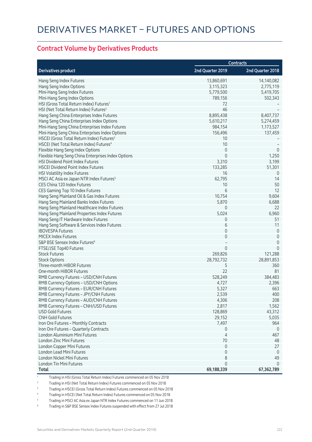#### **Contract Volume by Derivatives Products**

| 2nd Quarter 2019<br>2nd Quarter 2018<br><b>Derivatives product</b><br>Hang Seng Index Futures<br>13,860,691<br>14,140,082<br>3,115,323<br>2,775,119<br>Hang Seng Index Options<br>Mini-Hang Seng Index Futures<br>5,779,500<br>5,419,705<br>Mini-Hang Seng Index Options<br>502,343<br>789,156<br>HSI (Gross Total Return Index) Futures <sup>1</sup><br>72<br>46<br>HSI (Net Total Return Index) Futures <sup>2</sup><br>Hang Seng China Enterprises Index Futures<br>8,895,438<br>8,407,737<br>Hang Seng China Enterprises Index Options<br>5,610,217<br>5,274,459<br>Mini-Hang Seng China Enterprises Index Futures<br>1,173,527<br>984,154<br>Mini-Hang Seng China Enterprises Index Options<br>156,496<br>137,459<br>HSCEI (Gross Total Return Index) Futures <sup>3</sup><br>10<br>10<br>HSCEI (Net Total Return Index) Futures <sup>4</sup><br>$\overline{0}$<br>Flexible Hang Seng Index Options<br>0<br>$\mathbf 0$<br>Flexible Hang Seng China Enterprises Index Options<br>1,250<br>HSI Dividend Point Index Futures<br>3,310<br>3,199<br>133,285<br>51,301<br><b>HSCEI Dividend Point Index Futures</b><br>16<br>HSI Volatility Index Futures<br>0<br>MSCI AC Asia ex Japan NTR Index Futures <sup>5</sup><br>62,795<br>14<br>CES China 120 Index Futures<br>10<br>50<br>12<br>CES Gaming Top 10 Index Futures<br>6<br>Hang Seng Mainland Oil & Gas Index Futures<br>10,754<br>9,604<br>5,870<br>Hang Seng Mainland Banks Index Futures<br>6,688<br>Hang Seng Mainland Healthcare Index Futures<br>0<br>22<br>6,960<br>5,024<br>Hang Seng Mainland Properties Index Futures<br>Hang Seng IT Hardware Index Futures<br>0<br>51<br>6<br>11<br>Hang Seng Software & Services Index Futures<br><b>IBOVESPA Futures</b><br>0<br>0<br>0<br>$\mathbf 0$<br><b>MICEX Index Futures</b><br>S&P BSE Sensex Index Futures <sup>6</sup><br>0<br>$\mathbf{0}$<br>FTSE/JSE Top40 Futures<br>0<br><b>Stock Futures</b><br>269,826<br>121,288<br><b>Stock Options</b><br>28,792,732<br>28,891,853<br>Three-month HIBOR Futures<br>5<br>360<br>22<br>81<br>One-month HIBOR Futures<br>RMB Currency Futures - USD/CNH Futures<br>528,249<br>384,483<br>RMB Currency Options - USD/CNH Options<br>4,727<br>2,396<br>RMB Currency Futures - EUR/CNH Futures<br>5,327<br>663<br>RMB Currency Futures - JPY/CNH Futures<br>2,539<br>400<br>4,306<br>208<br>RMB Currency Futures - AUD/CNH Futures<br>2,817<br>1,562<br>RMB Currency Futures - CNH/USD Futures<br><b>USD Gold Futures</b><br>128,869<br>43,312<br><b>CNH Gold Futures</b><br>29,152<br>5,035<br>Iron Ore Futures - Monthly Contracts<br>7,497<br>964<br>Iron Ore Futures - Quarterly Contracts<br>$\overline{0}$<br>0<br>London Aluminium Mini Futures<br>$\overline{4}$<br>467<br>70<br><b>London Zinc Mini Futures</b><br>48<br>$\mathbf 0$<br>27<br>London Copper Mini Futures<br>London Lead Mini Futures<br>0<br>$\overline{0}$<br>London Nickel Mini Futures<br>8<br>49<br>London Tin Mini Futures<br>$\Omega$<br>$\Omega$<br>69,188,339<br>67,362,789<br>Total | <b>Contracts</b> |  |  |
|----------------------------------------------------------------------------------------------------------------------------------------------------------------------------------------------------------------------------------------------------------------------------------------------------------------------------------------------------------------------------------------------------------------------------------------------------------------------------------------------------------------------------------------------------------------------------------------------------------------------------------------------------------------------------------------------------------------------------------------------------------------------------------------------------------------------------------------------------------------------------------------------------------------------------------------------------------------------------------------------------------------------------------------------------------------------------------------------------------------------------------------------------------------------------------------------------------------------------------------------------------------------------------------------------------------------------------------------------------------------------------------------------------------------------------------------------------------------------------------------------------------------------------------------------------------------------------------------------------------------------------------------------------------------------------------------------------------------------------------------------------------------------------------------------------------------------------------------------------------------------------------------------------------------------------------------------------------------------------------------------------------------------------------------------------------------------------------------------------------------------------------------------------------------------------------------------------------------------------------------------------------------------------------------------------------------------------------------------------------------------------------------------------------------------------------------------------------------------------------------------------------------------------------------------------------------------------------------------------------------------------------------------------------------------------------------------------------------------------------------------------------------------------------------------------------------------------------------------------------------------------------------------------------------------------------------------------------------------------------------------------------------------|------------------|--|--|
|                                                                                                                                                                                                                                                                                                                                                                                                                                                                                                                                                                                                                                                                                                                                                                                                                                                                                                                                                                                                                                                                                                                                                                                                                                                                                                                                                                                                                                                                                                                                                                                                                                                                                                                                                                                                                                                                                                                                                                                                                                                                                                                                                                                                                                                                                                                                                                                                                                                                                                                                                                                                                                                                                                                                                                                                                                                                                                                                                                                                                            |                  |  |  |
|                                                                                                                                                                                                                                                                                                                                                                                                                                                                                                                                                                                                                                                                                                                                                                                                                                                                                                                                                                                                                                                                                                                                                                                                                                                                                                                                                                                                                                                                                                                                                                                                                                                                                                                                                                                                                                                                                                                                                                                                                                                                                                                                                                                                                                                                                                                                                                                                                                                                                                                                                                                                                                                                                                                                                                                                                                                                                                                                                                                                                            |                  |  |  |
|                                                                                                                                                                                                                                                                                                                                                                                                                                                                                                                                                                                                                                                                                                                                                                                                                                                                                                                                                                                                                                                                                                                                                                                                                                                                                                                                                                                                                                                                                                                                                                                                                                                                                                                                                                                                                                                                                                                                                                                                                                                                                                                                                                                                                                                                                                                                                                                                                                                                                                                                                                                                                                                                                                                                                                                                                                                                                                                                                                                                                            |                  |  |  |
|                                                                                                                                                                                                                                                                                                                                                                                                                                                                                                                                                                                                                                                                                                                                                                                                                                                                                                                                                                                                                                                                                                                                                                                                                                                                                                                                                                                                                                                                                                                                                                                                                                                                                                                                                                                                                                                                                                                                                                                                                                                                                                                                                                                                                                                                                                                                                                                                                                                                                                                                                                                                                                                                                                                                                                                                                                                                                                                                                                                                                            |                  |  |  |
|                                                                                                                                                                                                                                                                                                                                                                                                                                                                                                                                                                                                                                                                                                                                                                                                                                                                                                                                                                                                                                                                                                                                                                                                                                                                                                                                                                                                                                                                                                                                                                                                                                                                                                                                                                                                                                                                                                                                                                                                                                                                                                                                                                                                                                                                                                                                                                                                                                                                                                                                                                                                                                                                                                                                                                                                                                                                                                                                                                                                                            |                  |  |  |
|                                                                                                                                                                                                                                                                                                                                                                                                                                                                                                                                                                                                                                                                                                                                                                                                                                                                                                                                                                                                                                                                                                                                                                                                                                                                                                                                                                                                                                                                                                                                                                                                                                                                                                                                                                                                                                                                                                                                                                                                                                                                                                                                                                                                                                                                                                                                                                                                                                                                                                                                                                                                                                                                                                                                                                                                                                                                                                                                                                                                                            |                  |  |  |
|                                                                                                                                                                                                                                                                                                                                                                                                                                                                                                                                                                                                                                                                                                                                                                                                                                                                                                                                                                                                                                                                                                                                                                                                                                                                                                                                                                                                                                                                                                                                                                                                                                                                                                                                                                                                                                                                                                                                                                                                                                                                                                                                                                                                                                                                                                                                                                                                                                                                                                                                                                                                                                                                                                                                                                                                                                                                                                                                                                                                                            |                  |  |  |
|                                                                                                                                                                                                                                                                                                                                                                                                                                                                                                                                                                                                                                                                                                                                                                                                                                                                                                                                                                                                                                                                                                                                                                                                                                                                                                                                                                                                                                                                                                                                                                                                                                                                                                                                                                                                                                                                                                                                                                                                                                                                                                                                                                                                                                                                                                                                                                                                                                                                                                                                                                                                                                                                                                                                                                                                                                                                                                                                                                                                                            |                  |  |  |
|                                                                                                                                                                                                                                                                                                                                                                                                                                                                                                                                                                                                                                                                                                                                                                                                                                                                                                                                                                                                                                                                                                                                                                                                                                                                                                                                                                                                                                                                                                                                                                                                                                                                                                                                                                                                                                                                                                                                                                                                                                                                                                                                                                                                                                                                                                                                                                                                                                                                                                                                                                                                                                                                                                                                                                                                                                                                                                                                                                                                                            |                  |  |  |
|                                                                                                                                                                                                                                                                                                                                                                                                                                                                                                                                                                                                                                                                                                                                                                                                                                                                                                                                                                                                                                                                                                                                                                                                                                                                                                                                                                                                                                                                                                                                                                                                                                                                                                                                                                                                                                                                                                                                                                                                                                                                                                                                                                                                                                                                                                                                                                                                                                                                                                                                                                                                                                                                                                                                                                                                                                                                                                                                                                                                                            |                  |  |  |
|                                                                                                                                                                                                                                                                                                                                                                                                                                                                                                                                                                                                                                                                                                                                                                                                                                                                                                                                                                                                                                                                                                                                                                                                                                                                                                                                                                                                                                                                                                                                                                                                                                                                                                                                                                                                                                                                                                                                                                                                                                                                                                                                                                                                                                                                                                                                                                                                                                                                                                                                                                                                                                                                                                                                                                                                                                                                                                                                                                                                                            |                  |  |  |
|                                                                                                                                                                                                                                                                                                                                                                                                                                                                                                                                                                                                                                                                                                                                                                                                                                                                                                                                                                                                                                                                                                                                                                                                                                                                                                                                                                                                                                                                                                                                                                                                                                                                                                                                                                                                                                                                                                                                                                                                                                                                                                                                                                                                                                                                                                                                                                                                                                                                                                                                                                                                                                                                                                                                                                                                                                                                                                                                                                                                                            |                  |  |  |
|                                                                                                                                                                                                                                                                                                                                                                                                                                                                                                                                                                                                                                                                                                                                                                                                                                                                                                                                                                                                                                                                                                                                                                                                                                                                                                                                                                                                                                                                                                                                                                                                                                                                                                                                                                                                                                                                                                                                                                                                                                                                                                                                                                                                                                                                                                                                                                                                                                                                                                                                                                                                                                                                                                                                                                                                                                                                                                                                                                                                                            |                  |  |  |
|                                                                                                                                                                                                                                                                                                                                                                                                                                                                                                                                                                                                                                                                                                                                                                                                                                                                                                                                                                                                                                                                                                                                                                                                                                                                                                                                                                                                                                                                                                                                                                                                                                                                                                                                                                                                                                                                                                                                                                                                                                                                                                                                                                                                                                                                                                                                                                                                                                                                                                                                                                                                                                                                                                                                                                                                                                                                                                                                                                                                                            |                  |  |  |
|                                                                                                                                                                                                                                                                                                                                                                                                                                                                                                                                                                                                                                                                                                                                                                                                                                                                                                                                                                                                                                                                                                                                                                                                                                                                                                                                                                                                                                                                                                                                                                                                                                                                                                                                                                                                                                                                                                                                                                                                                                                                                                                                                                                                                                                                                                                                                                                                                                                                                                                                                                                                                                                                                                                                                                                                                                                                                                                                                                                                                            |                  |  |  |
|                                                                                                                                                                                                                                                                                                                                                                                                                                                                                                                                                                                                                                                                                                                                                                                                                                                                                                                                                                                                                                                                                                                                                                                                                                                                                                                                                                                                                                                                                                                                                                                                                                                                                                                                                                                                                                                                                                                                                                                                                                                                                                                                                                                                                                                                                                                                                                                                                                                                                                                                                                                                                                                                                                                                                                                                                                                                                                                                                                                                                            |                  |  |  |
|                                                                                                                                                                                                                                                                                                                                                                                                                                                                                                                                                                                                                                                                                                                                                                                                                                                                                                                                                                                                                                                                                                                                                                                                                                                                                                                                                                                                                                                                                                                                                                                                                                                                                                                                                                                                                                                                                                                                                                                                                                                                                                                                                                                                                                                                                                                                                                                                                                                                                                                                                                                                                                                                                                                                                                                                                                                                                                                                                                                                                            |                  |  |  |
|                                                                                                                                                                                                                                                                                                                                                                                                                                                                                                                                                                                                                                                                                                                                                                                                                                                                                                                                                                                                                                                                                                                                                                                                                                                                                                                                                                                                                                                                                                                                                                                                                                                                                                                                                                                                                                                                                                                                                                                                                                                                                                                                                                                                                                                                                                                                                                                                                                                                                                                                                                                                                                                                                                                                                                                                                                                                                                                                                                                                                            |                  |  |  |
|                                                                                                                                                                                                                                                                                                                                                                                                                                                                                                                                                                                                                                                                                                                                                                                                                                                                                                                                                                                                                                                                                                                                                                                                                                                                                                                                                                                                                                                                                                                                                                                                                                                                                                                                                                                                                                                                                                                                                                                                                                                                                                                                                                                                                                                                                                                                                                                                                                                                                                                                                                                                                                                                                                                                                                                                                                                                                                                                                                                                                            |                  |  |  |
|                                                                                                                                                                                                                                                                                                                                                                                                                                                                                                                                                                                                                                                                                                                                                                                                                                                                                                                                                                                                                                                                                                                                                                                                                                                                                                                                                                                                                                                                                                                                                                                                                                                                                                                                                                                                                                                                                                                                                                                                                                                                                                                                                                                                                                                                                                                                                                                                                                                                                                                                                                                                                                                                                                                                                                                                                                                                                                                                                                                                                            |                  |  |  |
|                                                                                                                                                                                                                                                                                                                                                                                                                                                                                                                                                                                                                                                                                                                                                                                                                                                                                                                                                                                                                                                                                                                                                                                                                                                                                                                                                                                                                                                                                                                                                                                                                                                                                                                                                                                                                                                                                                                                                                                                                                                                                                                                                                                                                                                                                                                                                                                                                                                                                                                                                                                                                                                                                                                                                                                                                                                                                                                                                                                                                            |                  |  |  |
|                                                                                                                                                                                                                                                                                                                                                                                                                                                                                                                                                                                                                                                                                                                                                                                                                                                                                                                                                                                                                                                                                                                                                                                                                                                                                                                                                                                                                                                                                                                                                                                                                                                                                                                                                                                                                                                                                                                                                                                                                                                                                                                                                                                                                                                                                                                                                                                                                                                                                                                                                                                                                                                                                                                                                                                                                                                                                                                                                                                                                            |                  |  |  |
|                                                                                                                                                                                                                                                                                                                                                                                                                                                                                                                                                                                                                                                                                                                                                                                                                                                                                                                                                                                                                                                                                                                                                                                                                                                                                                                                                                                                                                                                                                                                                                                                                                                                                                                                                                                                                                                                                                                                                                                                                                                                                                                                                                                                                                                                                                                                                                                                                                                                                                                                                                                                                                                                                                                                                                                                                                                                                                                                                                                                                            |                  |  |  |
|                                                                                                                                                                                                                                                                                                                                                                                                                                                                                                                                                                                                                                                                                                                                                                                                                                                                                                                                                                                                                                                                                                                                                                                                                                                                                                                                                                                                                                                                                                                                                                                                                                                                                                                                                                                                                                                                                                                                                                                                                                                                                                                                                                                                                                                                                                                                                                                                                                                                                                                                                                                                                                                                                                                                                                                                                                                                                                                                                                                                                            |                  |  |  |
|                                                                                                                                                                                                                                                                                                                                                                                                                                                                                                                                                                                                                                                                                                                                                                                                                                                                                                                                                                                                                                                                                                                                                                                                                                                                                                                                                                                                                                                                                                                                                                                                                                                                                                                                                                                                                                                                                                                                                                                                                                                                                                                                                                                                                                                                                                                                                                                                                                                                                                                                                                                                                                                                                                                                                                                                                                                                                                                                                                                                                            |                  |  |  |
|                                                                                                                                                                                                                                                                                                                                                                                                                                                                                                                                                                                                                                                                                                                                                                                                                                                                                                                                                                                                                                                                                                                                                                                                                                                                                                                                                                                                                                                                                                                                                                                                                                                                                                                                                                                                                                                                                                                                                                                                                                                                                                                                                                                                                                                                                                                                                                                                                                                                                                                                                                                                                                                                                                                                                                                                                                                                                                                                                                                                                            |                  |  |  |
|                                                                                                                                                                                                                                                                                                                                                                                                                                                                                                                                                                                                                                                                                                                                                                                                                                                                                                                                                                                                                                                                                                                                                                                                                                                                                                                                                                                                                                                                                                                                                                                                                                                                                                                                                                                                                                                                                                                                                                                                                                                                                                                                                                                                                                                                                                                                                                                                                                                                                                                                                                                                                                                                                                                                                                                                                                                                                                                                                                                                                            |                  |  |  |
|                                                                                                                                                                                                                                                                                                                                                                                                                                                                                                                                                                                                                                                                                                                                                                                                                                                                                                                                                                                                                                                                                                                                                                                                                                                                                                                                                                                                                                                                                                                                                                                                                                                                                                                                                                                                                                                                                                                                                                                                                                                                                                                                                                                                                                                                                                                                                                                                                                                                                                                                                                                                                                                                                                                                                                                                                                                                                                                                                                                                                            |                  |  |  |
|                                                                                                                                                                                                                                                                                                                                                                                                                                                                                                                                                                                                                                                                                                                                                                                                                                                                                                                                                                                                                                                                                                                                                                                                                                                                                                                                                                                                                                                                                                                                                                                                                                                                                                                                                                                                                                                                                                                                                                                                                                                                                                                                                                                                                                                                                                                                                                                                                                                                                                                                                                                                                                                                                                                                                                                                                                                                                                                                                                                                                            |                  |  |  |
|                                                                                                                                                                                                                                                                                                                                                                                                                                                                                                                                                                                                                                                                                                                                                                                                                                                                                                                                                                                                                                                                                                                                                                                                                                                                                                                                                                                                                                                                                                                                                                                                                                                                                                                                                                                                                                                                                                                                                                                                                                                                                                                                                                                                                                                                                                                                                                                                                                                                                                                                                                                                                                                                                                                                                                                                                                                                                                                                                                                                                            |                  |  |  |
|                                                                                                                                                                                                                                                                                                                                                                                                                                                                                                                                                                                                                                                                                                                                                                                                                                                                                                                                                                                                                                                                                                                                                                                                                                                                                                                                                                                                                                                                                                                                                                                                                                                                                                                                                                                                                                                                                                                                                                                                                                                                                                                                                                                                                                                                                                                                                                                                                                                                                                                                                                                                                                                                                                                                                                                                                                                                                                                                                                                                                            |                  |  |  |
|                                                                                                                                                                                                                                                                                                                                                                                                                                                                                                                                                                                                                                                                                                                                                                                                                                                                                                                                                                                                                                                                                                                                                                                                                                                                                                                                                                                                                                                                                                                                                                                                                                                                                                                                                                                                                                                                                                                                                                                                                                                                                                                                                                                                                                                                                                                                                                                                                                                                                                                                                                                                                                                                                                                                                                                                                                                                                                                                                                                                                            |                  |  |  |
|                                                                                                                                                                                                                                                                                                                                                                                                                                                                                                                                                                                                                                                                                                                                                                                                                                                                                                                                                                                                                                                                                                                                                                                                                                                                                                                                                                                                                                                                                                                                                                                                                                                                                                                                                                                                                                                                                                                                                                                                                                                                                                                                                                                                                                                                                                                                                                                                                                                                                                                                                                                                                                                                                                                                                                                                                                                                                                                                                                                                                            |                  |  |  |
|                                                                                                                                                                                                                                                                                                                                                                                                                                                                                                                                                                                                                                                                                                                                                                                                                                                                                                                                                                                                                                                                                                                                                                                                                                                                                                                                                                                                                                                                                                                                                                                                                                                                                                                                                                                                                                                                                                                                                                                                                                                                                                                                                                                                                                                                                                                                                                                                                                                                                                                                                                                                                                                                                                                                                                                                                                                                                                                                                                                                                            |                  |  |  |
|                                                                                                                                                                                                                                                                                                                                                                                                                                                                                                                                                                                                                                                                                                                                                                                                                                                                                                                                                                                                                                                                                                                                                                                                                                                                                                                                                                                                                                                                                                                                                                                                                                                                                                                                                                                                                                                                                                                                                                                                                                                                                                                                                                                                                                                                                                                                                                                                                                                                                                                                                                                                                                                                                                                                                                                                                                                                                                                                                                                                                            |                  |  |  |
|                                                                                                                                                                                                                                                                                                                                                                                                                                                                                                                                                                                                                                                                                                                                                                                                                                                                                                                                                                                                                                                                                                                                                                                                                                                                                                                                                                                                                                                                                                                                                                                                                                                                                                                                                                                                                                                                                                                                                                                                                                                                                                                                                                                                                                                                                                                                                                                                                                                                                                                                                                                                                                                                                                                                                                                                                                                                                                                                                                                                                            |                  |  |  |
|                                                                                                                                                                                                                                                                                                                                                                                                                                                                                                                                                                                                                                                                                                                                                                                                                                                                                                                                                                                                                                                                                                                                                                                                                                                                                                                                                                                                                                                                                                                                                                                                                                                                                                                                                                                                                                                                                                                                                                                                                                                                                                                                                                                                                                                                                                                                                                                                                                                                                                                                                                                                                                                                                                                                                                                                                                                                                                                                                                                                                            |                  |  |  |
|                                                                                                                                                                                                                                                                                                                                                                                                                                                                                                                                                                                                                                                                                                                                                                                                                                                                                                                                                                                                                                                                                                                                                                                                                                                                                                                                                                                                                                                                                                                                                                                                                                                                                                                                                                                                                                                                                                                                                                                                                                                                                                                                                                                                                                                                                                                                                                                                                                                                                                                                                                                                                                                                                                                                                                                                                                                                                                                                                                                                                            |                  |  |  |
|                                                                                                                                                                                                                                                                                                                                                                                                                                                                                                                                                                                                                                                                                                                                                                                                                                                                                                                                                                                                                                                                                                                                                                                                                                                                                                                                                                                                                                                                                                                                                                                                                                                                                                                                                                                                                                                                                                                                                                                                                                                                                                                                                                                                                                                                                                                                                                                                                                                                                                                                                                                                                                                                                                                                                                                                                                                                                                                                                                                                                            |                  |  |  |
|                                                                                                                                                                                                                                                                                                                                                                                                                                                                                                                                                                                                                                                                                                                                                                                                                                                                                                                                                                                                                                                                                                                                                                                                                                                                                                                                                                                                                                                                                                                                                                                                                                                                                                                                                                                                                                                                                                                                                                                                                                                                                                                                                                                                                                                                                                                                                                                                                                                                                                                                                                                                                                                                                                                                                                                                                                                                                                                                                                                                                            |                  |  |  |
|                                                                                                                                                                                                                                                                                                                                                                                                                                                                                                                                                                                                                                                                                                                                                                                                                                                                                                                                                                                                                                                                                                                                                                                                                                                                                                                                                                                                                                                                                                                                                                                                                                                                                                                                                                                                                                                                                                                                                                                                                                                                                                                                                                                                                                                                                                                                                                                                                                                                                                                                                                                                                                                                                                                                                                                                                                                                                                                                                                                                                            |                  |  |  |
|                                                                                                                                                                                                                                                                                                                                                                                                                                                                                                                                                                                                                                                                                                                                                                                                                                                                                                                                                                                                                                                                                                                                                                                                                                                                                                                                                                                                                                                                                                                                                                                                                                                                                                                                                                                                                                                                                                                                                                                                                                                                                                                                                                                                                                                                                                                                                                                                                                                                                                                                                                                                                                                                                                                                                                                                                                                                                                                                                                                                                            |                  |  |  |
|                                                                                                                                                                                                                                                                                                                                                                                                                                                                                                                                                                                                                                                                                                                                                                                                                                                                                                                                                                                                                                                                                                                                                                                                                                                                                                                                                                                                                                                                                                                                                                                                                                                                                                                                                                                                                                                                                                                                                                                                                                                                                                                                                                                                                                                                                                                                                                                                                                                                                                                                                                                                                                                                                                                                                                                                                                                                                                                                                                                                                            |                  |  |  |
|                                                                                                                                                                                                                                                                                                                                                                                                                                                                                                                                                                                                                                                                                                                                                                                                                                                                                                                                                                                                                                                                                                                                                                                                                                                                                                                                                                                                                                                                                                                                                                                                                                                                                                                                                                                                                                                                                                                                                                                                                                                                                                                                                                                                                                                                                                                                                                                                                                                                                                                                                                                                                                                                                                                                                                                                                                                                                                                                                                                                                            |                  |  |  |
|                                                                                                                                                                                                                                                                                                                                                                                                                                                                                                                                                                                                                                                                                                                                                                                                                                                                                                                                                                                                                                                                                                                                                                                                                                                                                                                                                                                                                                                                                                                                                                                                                                                                                                                                                                                                                                                                                                                                                                                                                                                                                                                                                                                                                                                                                                                                                                                                                                                                                                                                                                                                                                                                                                                                                                                                                                                                                                                                                                                                                            |                  |  |  |
|                                                                                                                                                                                                                                                                                                                                                                                                                                                                                                                                                                                                                                                                                                                                                                                                                                                                                                                                                                                                                                                                                                                                                                                                                                                                                                                                                                                                                                                                                                                                                                                                                                                                                                                                                                                                                                                                                                                                                                                                                                                                                                                                                                                                                                                                                                                                                                                                                                                                                                                                                                                                                                                                                                                                                                                                                                                                                                                                                                                                                            |                  |  |  |
|                                                                                                                                                                                                                                                                                                                                                                                                                                                                                                                                                                                                                                                                                                                                                                                                                                                                                                                                                                                                                                                                                                                                                                                                                                                                                                                                                                                                                                                                                                                                                                                                                                                                                                                                                                                                                                                                                                                                                                                                                                                                                                                                                                                                                                                                                                                                                                                                                                                                                                                                                                                                                                                                                                                                                                                                                                                                                                                                                                                                                            |                  |  |  |
|                                                                                                                                                                                                                                                                                                                                                                                                                                                                                                                                                                                                                                                                                                                                                                                                                                                                                                                                                                                                                                                                                                                                                                                                                                                                                                                                                                                                                                                                                                                                                                                                                                                                                                                                                                                                                                                                                                                                                                                                                                                                                                                                                                                                                                                                                                                                                                                                                                                                                                                                                                                                                                                                                                                                                                                                                                                                                                                                                                                                                            |                  |  |  |
|                                                                                                                                                                                                                                                                                                                                                                                                                                                                                                                                                                                                                                                                                                                                                                                                                                                                                                                                                                                                                                                                                                                                                                                                                                                                                                                                                                                                                                                                                                                                                                                                                                                                                                                                                                                                                                                                                                                                                                                                                                                                                                                                                                                                                                                                                                                                                                                                                                                                                                                                                                                                                                                                                                                                                                                                                                                                                                                                                                                                                            |                  |  |  |
|                                                                                                                                                                                                                                                                                                                                                                                                                                                                                                                                                                                                                                                                                                                                                                                                                                                                                                                                                                                                                                                                                                                                                                                                                                                                                                                                                                                                                                                                                                                                                                                                                                                                                                                                                                                                                                                                                                                                                                                                                                                                                                                                                                                                                                                                                                                                                                                                                                                                                                                                                                                                                                                                                                                                                                                                                                                                                                                                                                                                                            |                  |  |  |
|                                                                                                                                                                                                                                                                                                                                                                                                                                                                                                                                                                                                                                                                                                                                                                                                                                                                                                                                                                                                                                                                                                                                                                                                                                                                                                                                                                                                                                                                                                                                                                                                                                                                                                                                                                                                                                                                                                                                                                                                                                                                                                                                                                                                                                                                                                                                                                                                                                                                                                                                                                                                                                                                                                                                                                                                                                                                                                                                                                                                                            |                  |  |  |
|                                                                                                                                                                                                                                                                                                                                                                                                                                                                                                                                                                                                                                                                                                                                                                                                                                                                                                                                                                                                                                                                                                                                                                                                                                                                                                                                                                                                                                                                                                                                                                                                                                                                                                                                                                                                                                                                                                                                                                                                                                                                                                                                                                                                                                                                                                                                                                                                                                                                                                                                                                                                                                                                                                                                                                                                                                                                                                                                                                                                                            |                  |  |  |

1 Trading in HSI (Gross Total Return Index) Futures commenced on 05 Nov 2018

<sup>2</sup> Trading in HSI (Net Total Return Index) Futures commenced on 05 Nov 2018

3 Trading in HSCEI (Gross Total Return Index) Futures commenced on 05 Nov 2018

4 Trading in HSCEI (Net Total Return Index) Futures commenced on 05 Nov 2018

5 Trading in MSCI AC Asia ex Japan NTR Index Futures commenced on 11 Jun 2018

6 Trading in S&P BSE Sensex Index Futures suspended with effect from 27 Jul 2018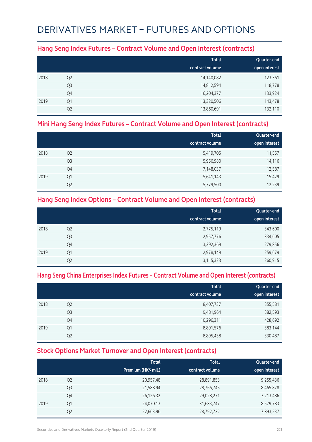## DERIVATIVES MARKET – FUTURES AND OPTIONS

#### **Hang Seng Index Futures – Contract Volume and Open Interest (contracts)**

|      |                | <b>Total</b><br>contract volume | Quarter-end<br>open interest |
|------|----------------|---------------------------------|------------------------------|
| 2018 | Q <sub>2</sub> | 14,140,082                      | 123,361                      |
|      | Q <sub>3</sub> | 14,812,594                      | 118,778                      |
|      | Q4             | 16,204,377                      | 133,924                      |
| 2019 | Q <sub>1</sub> | 13,320,506                      | 143,478                      |
|      | Q <sub>2</sub> | 13,860,691                      | 132,110                      |

#### **Mini Hang Seng Index Futures – Contract Volume and Open Interest (contracts)**

|      |                | <b>Total</b><br>contract volume | Quarter-end<br>open interest |
|------|----------------|---------------------------------|------------------------------|
| 2018 | Q <sub>2</sub> | 5,419,705                       | 11,557                       |
|      | Q <sub>3</sub> | 5,956,980                       | 14,116                       |
|      | Q4             | 7,148,037                       | 12,587                       |
| 2019 | Q <sub>1</sub> | 5,641,143                       | 15,429                       |
|      | Q <sub>2</sub> | 5,779,500                       | 12,239                       |

### **Hang Seng Index Options – Contract Volume and Open Interest (contracts)**

|      |                | <b>Total</b>    | Quarter-end   |
|------|----------------|-----------------|---------------|
|      |                | contract volume | open interest |
| 2018 | Q <sub>2</sub> | 2,775,119       | 343,600       |
|      | Q <sub>3</sub> | 2,957,776       | 334,605       |
|      | Q4             | 3,392,369       | 279,856       |
| 2019 | Q <sub>1</sub> | 2,978,149       | 259,679       |
|      | Q <sub>2</sub> | 3,115,323       | 260,915       |

#### **Hang Seng China Enterprises Index Futures – Contract Volume and Open Interest (contracts)**

|      |                | <b>Total</b><br>contract volume | Quarter-end<br>open interest |
|------|----------------|---------------------------------|------------------------------|
| 2018 | Q <sub>2</sub> | 8,407,737                       | 355,581                      |
|      | Q <sub>3</sub> | 9,481,964                       | 382,593                      |
|      | Q4             | 10,296,311                      | 428,692                      |
| 2019 | Q1             | 8,891,576                       | 383,144                      |
|      | Q <sub>2</sub> | 8,895,438                       | 330,487                      |

### **Stock Options Market Turnover and Open Interest (contracts)**

|      |                | <b>Total</b><br>Premium (HK\$ mil.) | <b>Total</b><br>contract volume | Quarter-end<br>open interest |
|------|----------------|-------------------------------------|---------------------------------|------------------------------|
| 2018 | Q <sub>2</sub> | 20,957.48                           | 28,891,853                      | 9,255,436                    |
|      | Q <sub>3</sub> | 21,588.94                           | 28,766,745                      | 8,465,878                    |
|      | Q4             | 26,126.32                           | 29,028,271                      | 7,213,486                    |
| 2019 | Q1             | 24,070.13                           | 31,683,747                      | 8,579,783                    |
|      | Q <sub>2</sub> | 22,663.96                           | 28,792,732                      | 7,893,237                    |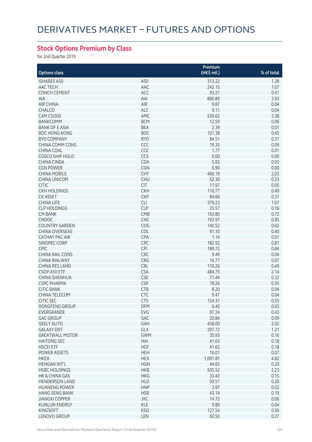## **Stock Options Premium by Class**

for 2nd Quarter 2019

|                        |            | Premium     |            |
|------------------------|------------|-------------|------------|
| <b>Options class</b>   |            | (HK\$ mil.) | % of total |
| <b>ISHARES A50</b>     | A50        | 313.22      | 1.38       |
|                        |            |             |            |
| AAC TECH               | AAC        | 242.15      | 1.07       |
| <b>CONCH CEMENT</b>    | ACC        | 93.21       | 0.41       |
| AIA                    | AIA        | 890.89      | 3.93       |
| <b>AIR CHINA</b>       | AIR        | 9.87        | 0.04       |
| <b>CHALCO</b>          | ALC        | 9.11        | 0.04       |
| CAM CSI300             | AMC        | 539.62      | 2.38       |
| <b>BANKCOMM</b>        | <b>BCM</b> | 12.59       | 0.06       |
| <b>BANK OF E ASIA</b>  | <b>BEA</b> | 2.39        | 0.01       |
| <b>BOC HONG KONG</b>   | <b>BOC</b> | 101.38      | 0.45       |
| <b>BYD COMPANY</b>     | <b>BYD</b> | 84.51       | 0.37       |
| CHINA COMM CONS        | CCC        | 19.35       | 0.09       |
| <b>CHINA COAL</b>      | CCE        | 1.77        | 0.01       |
| <b>COSCO SHIP HOLD</b> | CCS        | 0.00        | 0.00       |
| <b>CHINA CINDA</b>     | CDA        | 5.83        | 0.03       |
| <b>CGN POWER</b>       | <b>CGN</b> | 0.90        | 0.00       |
| <b>CHINA MOBILE</b>    | <b>CHT</b> | 460.19      | 2.03       |
| <b>CHINA UNICOM</b>    | <b>CHU</b> | 52.30       | 0.23       |
| <b>CITIC</b>           | <b>CIT</b> | 11.97       | 0.05       |
|                        |            |             |            |
| <b>CKH HOLDINGS</b>    | <b>CKH</b> | 110.77      | 0.49       |
| <b>CK ASSET</b>        | <b>CKP</b> | 84.66       | 0.37       |
| <b>CHINA LIFE</b>      | <b>CLI</b> | 379.23      | 1.67       |
| <b>CLP HOLDINGS</b>    | <b>CLP</b> | 35.57       | 0.16       |
| <b>CM BANK</b>         | CMB        | 163.80      | 0.72       |
| <b>CNOOC</b>           | <b>CNC</b> | 192.97      | 0.85       |
| <b>COUNTRY GARDEN</b>  | COG        | 140.52      | 0.62       |
| <b>CHINA OVERSEAS</b>  | COL        | 91.10       | 0.40       |
| <b>CATHAY PAC AIR</b>  | CPA        | 1.14        | 0.01       |
| SINOPEC CORP           | CPC        | 182.92      | 0.81       |
| <b>CPIC</b>            | <b>CPI</b> | 189.72      | 0.84       |
| <b>CHINA RAIL CONS</b> | CRC        | 9.49        | 0.04       |
| <b>CHINA RAILWAY</b>   | <b>CRG</b> | 16.77       | 0.07       |
| CHINA RES LAND         | <b>CRL</b> | 110.26      | 0.49       |
| CSOP A50 ETF           | <b>CSA</b> | 484.75      | 2.14       |
| CHINA SHENHUA          | <b>CSE</b> | 71.44       | 0.32       |
| <b>CSPC PHARMA</b>     | <b>CSP</b> | 78.26       | 0.35       |
| <b>CITIC BANK</b>      | <b>CTB</b> | 8.20        | 0.04       |
| <b>CHINA TELECOM</b>   | CTC        | 9.47        | 0.04       |
| <b>CITIC SEC</b>       |            |             | 0.55       |
|                        | <b>CTS</b> | 124.31      |            |
| <b>DONGFENG GROUP</b>  | <b>DFM</b> | 6.40        | 0.03       |
| EVERGRANDE             | EVG        | 97.24       | 0.43       |
| <b>GAC GROUP</b>       | GAC        | 20.84       | 0.09       |
| <b>GEELY AUTO</b>      | GAH        | 458.00      | 2.02       |
| <b>GALAXY ENT</b>      | GLX        | 297.72      | 1.31       |
| <b>GREATWALL MOTOR</b> | <b>GWM</b> | 35.93       | 0.16       |
| <b>HAITONG SEC</b>     | HAI        | 41.63       | 0.18       |
| <b>HSCEI ETF</b>       | <b>HCF</b> | 41.62       | 0.18       |
| POWER ASSETS           | <b>HEH</b> | 16.01       | 0.07       |
| <b>HKEX</b>            | <b>HEX</b> | 1,091.81    | 4.82       |
| <b>HENGAN INT'L</b>    | <b>HGN</b> | 44.65       | 0.20       |
| <b>HSBC HOLDINGS</b>   | <b>HKB</b> | 505.52      | 2.23       |
| HK & CHINA GAS         | <b>HKG</b> | 33.43       | 0.15       |
| <b>HENDERSON LAND</b>  | <b>HLD</b> | 59.51       | 0.26       |
| <b>HUANENG POWER</b>   | <b>HNP</b> | 3.97        | 0.02       |
| <b>HANG SENG BANK</b>  | <b>HSB</b> | 43.14       | 0.19       |
| <b>JIANGXI COPPER</b>  | JXC        | 14.72       | 0.06       |
| <b>KUNLUN ENERGY</b>   | KLE        | 9.80        | 0.04       |
| <b>KINGSOFT</b>        | <b>KSO</b> | 127.54      | 0.56       |
| LENOVO GROUP           | LEN        | 60.50       | 0.27       |
|                        |            |             |            |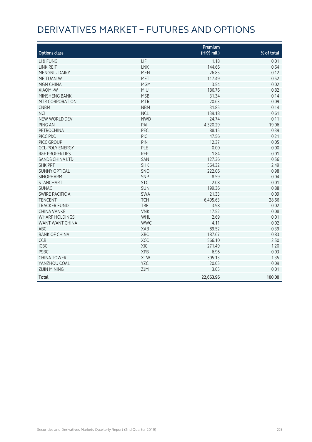## DERIVATIVES MARKET – FUTURES AND OPTIONS

|                           |            | Premium     |            |
|---------------------------|------------|-------------|------------|
| <b>Options class</b>      |            | (HK\$ mil.) | % of total |
| LI & FUNG                 | LIF        | 1.18        | 0.01       |
| <b>LINK REIT</b>          | <b>LNK</b> | 144.66      | 0.64       |
| <b>MENGNIU DAIRY</b>      | <b>MEN</b> | 26.85       | 0.12       |
| MEITUAN-W                 | <b>MET</b> | 117.49      | 0.52       |
| MGM CHINA                 | <b>MGM</b> | 3.54        | 0.02       |
| <b>XIAOMI-W</b>           | MIU        | 186.76      | 0.82       |
| MINSHENG BANK             | <b>MSB</b> | 31.34       | 0.14       |
| MTR CORPORATION           | <b>MTR</b> | 20.63       | 0.09       |
| <b>CNBM</b>               | <b>NBM</b> | 31.85       | 0.14       |
| <b>NCI</b>                | <b>NCL</b> | 139.18      | 0.61       |
| NEW WORLD DEV             | <b>NWD</b> | 24.74       | 0.11       |
| PING AN                   | PAI        | 4,320.29    | 19.06      |
| <b>PETROCHINA</b>         | PEC        | 88.15       | 0.39       |
| PICC P&C                  | PIC        | 47.56       | 0.21       |
| PICC GROUP                | PIN        | 12.37       | 0.05       |
| <b>GCL-POLY ENERGY</b>    | PLE        | 0.00        | 0.00       |
| <b>R&amp;F PROPERTIES</b> | <b>RFP</b> | 1.84        | 0.01       |
| <b>SANDS CHINA LTD</b>    | SAN        | 127.36      | 0.56       |
| <b>SHK PPT</b>            | <b>SHK</b> | 564.32      | 2.49       |
| <b>SUNNY OPTICAL</b>      | SNO        | 222.06      | 0.98       |
| <b>SINOPHARM</b>          | SNP        | 8.59        | 0.04       |
| <b>STANCHART</b>          | <b>STC</b> | 2.08        | 0.01       |
| <b>SUNAC</b>              | SUN        | 199.36      | 0.88       |
| <b>SWIRE PACIFIC A</b>    | <b>SWA</b> | 21.33       | 0.09       |
| <b>TENCENT</b>            | <b>TCH</b> | 6,495.63    | 28.66      |
| <b>TRACKER FUND</b>       | <b>TRF</b> | 3.98        | 0.02       |
| <b>CHINA VANKE</b>        | <b>VNK</b> | 17.52       | 0.08       |
| <b>WHARF HOLDINGS</b>     | WHL        | 2.69        | 0.01       |
| WANT WANT CHINA           | <b>WWC</b> | 4.11        | 0.02       |
| <b>ABC</b>                | <b>XAB</b> | 89.52       | 0.39       |
| <b>BANK OF CHINA</b>      | XBC        | 187.67      | 0.83       |
| CCB                       | XCC        | 566.10      | 2.50       |
| <b>ICBC</b>               | XIC        | 271.49      | 1.20       |
| <b>PSBC</b>               | <b>XPB</b> | 6.96        | 0.03       |
| <b>CHINA TOWER</b>        | <b>XTW</b> | 305.13      | 1.35       |
| YANZHOU COAL              | YZC        | 20.05       | 0.09       |
| <b>ZIJIN MINING</b>       | ZJM        | 3.05        | 0.01       |
| <b>Total</b>              |            | 22,663.96   | 100.00     |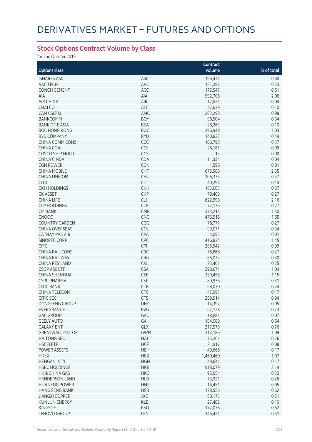## **Stock Options Contract Volume by Class**

for 2nd Quarter 2019

|                                               |                          | Contract  |              |
|-----------------------------------------------|--------------------------|-----------|--------------|
| <b>Options class</b>                          |                          | volume    | % of total   |
| <b>ISHARES A50</b>                            | A50                      | 196,474   | 0.68         |
| AAC TECH                                      | AAC                      | 151,287   | 0.53         |
| CONCH CEMENT                                  | ACC                      | 175,547   | 0.61         |
| AIA                                           | AIA                      | 592,706   | 2.06         |
| <b>AIR CHINA</b>                              | AIR                      | 12,821    | 0.04         |
|                                               | <b>ALC</b>               | 27,639    | 0.10         |
| CHALCO                                        | AMC                      | 283,298   | 0.98         |
| CAM CSI300                                    | <b>BCM</b>               |           |              |
| <b>BANKCOMM</b>                               |                          | 96,504    | 0.34         |
| <b>BANK OF E ASIA</b><br><b>BOC HONG KONG</b> | <b>BEA</b><br><b>BOC</b> | 28,263    | 0.10<br>1.03 |
|                                               |                          | 296,948   |              |
| <b>BYD COMPANY</b>                            | <b>BYD</b>               | 140,833   | 0.49         |
| CHINA COMM CONS                               | CCC                      | 106,798   | 0.37         |
| CHINA COAL                                    | CCE                      | 26,181    | 0.09         |
| COSCO SHIP HOLD                               | CCS                      | 13        | 0.00         |
| <b>CHINA CINDA</b>                            | CDA                      | 11,334    | 0.04         |
| <b>CGN POWER</b>                              | <b>CGN</b>               | 1,596     | 0.01         |
| <b>CHINA MOBILE</b>                           | <b>CHT</b>               | 675,508   | 2.35         |
| <b>CHINA UNICOM</b>                           | <b>CHU</b>               | 106,335   | 0.37         |
| <b>CITIC</b>                                  | <b>CIT</b>               | 40,294    | 0.14         |
| <b>CKH HOLDINGS</b>                           | <b>CKH</b>               | 163,003   | 0.57         |
| <b>CK ASSET</b>                               | <b>CKP</b>               | 78,408    | 0.27         |
| <b>CHINA LIFE</b>                             | <b>CLI</b>               | 622,998   | 2.16         |
| <b>CLP HOLDINGS</b>                           | <b>CLP</b>               | 77,136    | 0.27         |
| <b>CM BANK</b>                                | CMB                      | 373,213   | 1.30         |
| <b>CNOOC</b>                                  | <b>CNC</b>               | 475,916   | 1.65         |
| <b>COUNTRY GARDEN</b>                         | COG                      | 78,777    | 0.27         |
| <b>CHINA OVERSEAS</b>                         | COL                      | 99,071    | 0.34         |
| <b>CATHAY PAC AIR</b>                         | CPA                      | 4,095     | 0.01         |
| SINOPEC CORP                                  | CPC                      | 416,834   | 1.45         |
| <b>CPIC</b>                                   | <b>CPI</b>               | 285,542   | 0.99         |
| <b>CHINA RAIL CONS</b>                        | CRC                      | 76,868    | 0.27         |
| <b>CHINA RAILWAY</b>                          | CRG                      | 86,032    | 0.30         |
| CHINA RES LAND                                | <b>CRL</b>               | 73,401    | 0.25         |
| CSOP A50 ETF                                  | <b>CSA</b>               | 298,671   | 1.04         |
| CHINA SHENHUA                                 | <b>CSE</b>               | 330,458   | 1.15         |
| <b>CSPC PHARMA</b>                            | <b>CSP</b>               | 89,936    | 0.31         |
| <b>CITIC BANK</b>                             | <b>CTB</b>               | 68,030    | 0.24         |
| CHINA TELECOM                                 | <b>CTC</b>               | 47,991    | 0.17         |
| CITIC SEC                                     | <b>CTS</b>               | 269,914   | 0.94         |
| DONGFENG GROUP                                | DFM                      | 14,397    | 0.05         |
| EVERGRANDE                                    | EVG                      | 67,128    | 0.23         |
| <b>GAC GROUP</b>                              | GAC                      | 18,881    | 0.07         |
| <b>GEELY AUTO</b>                             | GAH                      | 184,089   | 0.64         |
| <b>GALAXY ENT</b>                             | GLX                      | 217,579   | 0.76         |
| <b>GREATWALL MOTOR</b>                        | <b>GWM</b>               | 313,186   | 1.09         |
| <b>HAITONG SEC</b>                            | HAI                      | 75,261    | 0.26         |
| <b>HSCEI ETF</b>                              | <b>HCF</b>               | 21,917    | 0.08         |
| POWER ASSETS                                  | <b>HEH</b>               | 49,666    | 0.17         |
| <b>HKEX</b>                                   | <b>HEX</b>               | 1,460,460 | 5.07         |
| <b>HENGAN INT'L</b>                           | <b>HGN</b>               | 49,641    | 0.17         |
| <b>HSBC HOLDINGS</b>                          | <b>HKB</b>               | 918,079   | 3.19         |
| HK & CHINA GAS                                | <b>HKG</b>               | 92,954    | 0.32         |
| <b>HENDERSON LAND</b>                         | <b>HLD</b>               | 73,921    | 0.26         |
| <b>HUANENG POWER</b>                          | <b>HNP</b>               | 14,451    | 0.05         |
| <b>HANG SENG BANK</b>                         | <b>HSB</b>               | 178,556   | 0.62         |
| <b>JIANGXI COPPER</b>                         | <b>JXC</b>               | 60,173    | 0.21         |
| <b>KUNLUN ENERGY</b>                          | <b>KLE</b>               | 27,482    | 0.10         |
| <b>KINGSOFT</b>                               | <b>KSO</b>               | 177,076   | 0.62         |
| LENOVO GROUP                                  | LEN                      | 146,421   | 0.51         |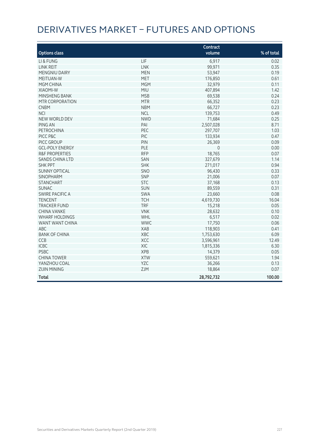## DERIVATIVES MARKET – FUTURES AND OPTIONS

|                           |            | Contract     |            |
|---------------------------|------------|--------------|------------|
| <b>Options class</b>      |            | volume       | % of total |
| LI & FUNG                 | LIF        | 6,917        | 0.02       |
| <b>LINK REIT</b>          | <b>LNK</b> | 99,971       | 0.35       |
| <b>MENGNIU DAIRY</b>      | <b>MEN</b> | 53,947       | 0.19       |
| MEITUAN-W                 | <b>MET</b> | 176,850      | 0.61       |
| MGM CHINA                 | <b>MGM</b> | 32,979       | 0.11       |
| <b>XIAOMI-W</b>           | MIU        | 407,894      | 1.42       |
| MINSHENG BANK             | <b>MSB</b> | 69,538       | 0.24       |
| <b>MTR CORPORATION</b>    | <b>MTR</b> | 66,352       | 0.23       |
| <b>CNBM</b>               | <b>NBM</b> | 66,727       | 0.23       |
| <b>NCI</b>                | <b>NCL</b> | 139,753      | 0.49       |
| NEW WORLD DEV             | <b>NWD</b> | 71,684       | 0.25       |
| PING AN                   | PAI        | 2,507,028    | 8.71       |
| <b>PETROCHINA</b>         | PEC        | 297,707      | 1.03       |
| PICC P&C                  | PIC        | 133,934      | 0.47       |
| PICC GROUP                | PIN        | 26,369       | 0.09       |
| <b>GCL-POLY ENERGY</b>    | PLE        | $\mathbf{0}$ | 0.00       |
| <b>R&amp;F PROPERTIES</b> | <b>RFP</b> | 18,765       | 0.07       |
| <b>SANDS CHINA LTD</b>    | SAN        | 327,679      | 1.14       |
| <b>SHK PPT</b>            | <b>SHK</b> | 271,017      | 0.94       |
| <b>SUNNY OPTICAL</b>      | SNO        | 96,430       | 0.33       |
| <b>SINOPHARM</b>          | SNP        | 21,006       | 0.07       |
| <b>STANCHART</b>          | <b>STC</b> | 37,168       | 0.13       |
| <b>SUNAC</b>              | <b>SUN</b> | 89,559       | 0.31       |
| <b>SWIRE PACIFIC A</b>    | SWA        | 23,660       | 0.08       |
| <b>TENCENT</b>            | <b>TCH</b> | 4,619,730    | 16.04      |
| <b>TRACKER FUND</b>       | <b>TRF</b> | 15,218       | 0.05       |
| <b>CHINA VANKE</b>        | <b>VNK</b> | 28,632       | 0.10       |
| <b>WHARF HOLDINGS</b>     | WHL        | 6,517        | 0.02       |
| WANT WANT CHINA           | <b>WWC</b> | 17,750       | 0.06       |
| <b>ABC</b>                | <b>XAB</b> | 118,903      | 0.41       |
| <b>BANK OF CHINA</b>      | XBC        | 1,753,630    | 6.09       |
| CCB                       | XCC        | 3,596,961    | 12.49      |
| <b>ICBC</b>               | XIC        | 1,815,336    | 6.30       |
| <b>PSBC</b>               | <b>XPB</b> | 14,379       | 0.05       |
| <b>CHINA TOWER</b>        | <b>XTW</b> | 559,621      | 1.94       |
| YANZHOU COAL              | YZC        | 36,266       | 0.13       |
| <b>ZIJIN MINING</b>       | ZJM        | 18,864       | 0.07       |
| <b>Total</b>              |            | 28,792,732   | 100.00     |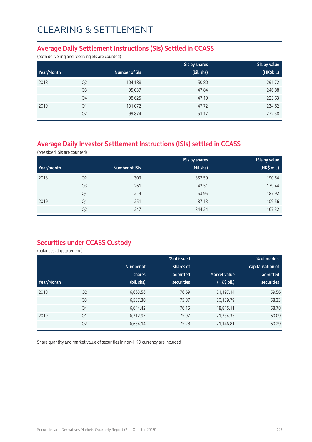#### **Average Daily Settlement Instructions (SIs) Settled in CCASS**

(both delivering and receiving SIs are counted)

|            |                |               | SIs by shares | SIs by value |
|------------|----------------|---------------|---------------|--------------|
| Year/Month |                | Number of SIs | (bil. shs)    | (HK\$bil.)   |
| 2018       | Q <sub>2</sub> | 104,188       | 50.80         | 291.72       |
|            | Q <sub>3</sub> | 95,037        | 47.84         | 246.88       |
|            | Q4             | 98,625        | 47.19         | 225.63       |
| 2019       | Q1             | 101,072       | 47.72         | 234.62       |
|            | Q <sub>2</sub> | 99,874        | 51.17         | 272.38       |

## **Average Daily Investor Settlement Instructions (ISIs) settled in CCASS**

(one sided ISIs are counted)

|            |                |                | <b>ISIs by shares</b> | <b>ISIs by value</b> |
|------------|----------------|----------------|-----------------------|----------------------|
| Year/month |                | Number of ISIs | (Mil shs)             | (HK\$ mil.)          |
| 2018       | Q <sub>2</sub> | 303            | 352.59                | 190.54               |
|            | Q <sub>3</sub> | 261            | 42.51                 | 179.44               |
|            | Q4             | 214            | 53.95                 | 187.92               |
| 2019       | Q1             | 251            | 87.13                 | 109.56               |
|            | Q <sub>2</sub> | 247            | 344.24                | 167.32               |

### **Securities under CCASS Custody**

(balances at quarter end)

|            |                |            | % of issued       |                     | % of market       |
|------------|----------------|------------|-------------------|---------------------|-------------------|
|            |                | Number of  | shares of         |                     | capitalisation of |
|            |                | shares     | admitted          | <b>Market value</b> | admitted          |
| Year/Month |                | (bil. shs) | <b>securities</b> | (HK\$ bil.)         | securities        |
| 2018       | Q <sub>2</sub> | 6,663.56   | 76.69             | 21,197.14           | 59.56             |
|            | Q <sub>3</sub> | 6,587.30   | 75.87             | 20,139.79           | 58.33             |
|            | Q4             | 6,644.42   | 76.15             | 18,815.11           | 58.78             |
| 2019       | Q1             | 6,712.97   | 75.97             | 21,734.35           | 60.09             |
|            | Q <sub>2</sub> | 6,634.14   | 75.28             | 21,146.81           | 60.29             |

Share quantity and market value of securities in non-HKD currency are included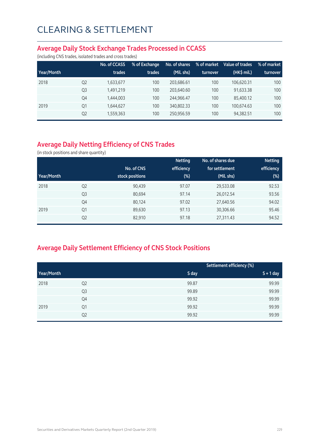#### **Average Daily Stock Exchange Trades Processed in CCASS**

(including CNS trades, isolated trades and cross trades)

|            |                | No. of CCASS | % of Exchange | No. of shares | % of market | Value of trades | % of market |
|------------|----------------|--------------|---------------|---------------|-------------|-----------------|-------------|
| Year/Month |                | trades       | trades        | (Mil. shs)    | turnover    | (HK\$ mil.)     | turnover    |
| 2018       | Q <sub>2</sub> | 1,633,677    | 100           | 203.686.61    | 100         | 106.620.31      | 100         |
|            | Q <sub>3</sub> | 1,491,219    | 100           | 203.640.60    | 100         | 91.633.38       | 100         |
|            | Q4             | 1,444,003    | 100           | 244.966.47    | 100         | 85,400.12       | 100         |
| 2019       | Q1             | 1,644,627    | 100           | 340,802.33    | 100         | 100.674.63      | 100         |
|            | Q <sub>2</sub> | 1,559,363    | 100           | 250,956.59    | 100         | 94,382.51       | 100         |

## **Average Daily Netting Efficiency of CNS Trades**

(in stock positions and share quantity)

|            |                |                 | <b>Netting</b> | No. of shares due | <b>Netting</b> |
|------------|----------------|-----------------|----------------|-------------------|----------------|
|            |                | No. of CNS      | efficiency     | for settlement    | efficiency     |
| Year/Month |                | stock positions | $(\%)$         | (Mil. shs)        | $(\%)$         |
| 2018       | Q <sub>2</sub> | 90,439          | 97.07          | 29,533.08         | 92.53          |
|            | Q <sub>3</sub> | 80,694          | 97.14          | 26,012.54         | 93.56          |
|            | Q4             | 80,124          | 97.02          | 27,640.56         | 94.02          |
| 2019       | Q1             | 89,630          | 97.13          | 30,306.66         | 95.46          |
|            | Q <sub>2</sub> | 82,910          | 97.18          | 27,311.43         | 94.52          |

## **Average Daily Settlement Efficiency of CNS Stock Positions**

|            |                |       | Settlement efficiency (%) |
|------------|----------------|-------|---------------------------|
| Year/Month |                | S day | $S + 1$ day               |
| 2018       | Q <sub>2</sub> | 99.87 | 99.99                     |
|            | Q <sub>3</sub> | 99.89 | 99.99                     |
|            | Q4             | 99.92 | 99.99                     |
| 2019       | Q1             | 99.92 | 99.99                     |
|            | Q <sub>2</sub> | 99.92 | 99.99                     |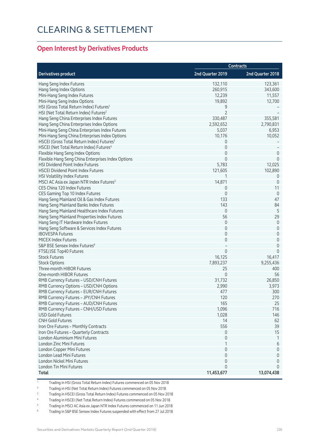#### **Open Interest by Derivatives Products**

|                                                       |                  | <b>Contracts</b> |
|-------------------------------------------------------|------------------|------------------|
| <b>Derivatives product</b>                            | 2nd Quarter 2019 | 2nd Quarter 2018 |
| Hang Seng Index Futures                               | 132,110          | 123,361          |
| Hang Seng Index Options                               | 260,915          | 343,600          |
| Mini-Hang Seng Index Futures                          | 12,239           | 11,557           |
| Mini-Hang Seng Index Options                          | 19,892           | 12,700           |
| HSI (Gross Total Return Index) Futures <sup>1</sup>   | 9                |                  |
| HSI (Net Total Return Index) Futures <sup>2</sup>     | 2                |                  |
| Hang Seng China Enterprises Index Futures             | 330,487          | 355,581          |
| Hang Seng China Enterprises Index Options             | 2,592,652        | 2,790,831        |
| Mini-Hang Seng China Enterprises Index Futures        | 5,037            | 6,953            |
| Mini-Hang Seng China Enterprises Index Options        | 10,176           | 10,052           |
| HSCEI (Gross Total Return Index) Futures <sup>3</sup> | 0                |                  |
| HSCEI (Net Total Return Index) Futures <sup>4</sup>   | 0                |                  |
| Flexible Hang Seng Index Options                      | $\mathbf 0$      | $\mathbf 0$      |
| Flexible Hang Seng China Enterprises Index Options    | $\Omega$         | $\Omega$         |
| HSI Dividend Point Index Futures                      | 5,783            | 12,025           |
| <b>HSCEI Dividend Point Index Futures</b>             | 121,605          | 102,890          |
| HSI Volatility Index Futures                          | 1                | $\overline{0}$   |
| MSCI AC Asia ex Japan NTR Index Futures <sup>5</sup>  | 14,871           | 0                |
| CES China 120 Index Futures                           | 0                | 11               |
| CES Gaming Top 10 Index Futures                       | $\mathbf 0$      | $\overline{0}$   |
| Hang Seng Mainland Oil & Gas Index Futures            | 133              | 47               |
| Hang Seng Mainland Banks Index Futures                | 143              | 84               |
| Hang Seng Mainland Healthcare Index Futures           | 0                | 5                |
| Hang Seng Mainland Properties Index Futures           | 56               | 29               |
| Hang Seng IT Hardware Index Futures                   | $\mathbf 0$      | $\theta$         |
| Hang Seng Software & Services Index Futures           | $\mathbf 0$      | $\mathbf 0$      |
| <b>IBOVESPA Futures</b>                               | $\mathbf 0$      | $\mathbf 0$      |
| <b>MICEX Index Futures</b>                            | $\mathbf 0$      | $\mathbf 0$      |
| S&P BSE Sensex Index Futures <sup>6</sup>             |                  | $\mathbf 0$      |
| FTSE/JSE Top40 Futures                                | 0                | $\mathbf 0$      |
| <b>Stock Futures</b>                                  | 16,125           | 16,417           |
| <b>Stock Options</b>                                  | 7,893,237        | 9,255,436        |
| Three-month HIBOR Futures                             | 25               | 400              |
| One-month HIBOR Futures                               | $\mathbf{0}$     | 56               |
| RMB Currency Futures - USD/CNH Futures                | 31,732           | 26,850           |
| RMB Currency Options - USD/CNH Options                | 2,990            | 3,973            |
| RMB Currency Futures - EUR/CNH Futures                | 477              | 300              |
| RMB Currency Futures - JPY/CNH Futures                | 120              | 270              |
| RMB Currency Futures - AUD/CNH Futures                | 165              | 25               |
| RMB Currency Futures - CNH/USD Futures                | 1,096            | 716              |
| <b>USD Gold Futures</b>                               | 1,028            | 146              |
| <b>CNH Gold Futures</b>                               | 14               | 62               |
| Iron Ore Futures - Monthly Contracts                  | 556              | 39               |
| Iron Ore Futures - Quarterly Contracts                | 0                | 15               |
| London Aluminium Mini Futures                         | $\Omega$         | 1                |
| London Zinc Mini Futures                              |                  | 6                |
| London Copper Mini Futures                            | 0                | $\overline{0}$   |
| London Lead Mini Futures                              | 0                | $\theta$         |
| London Nickel Mini Futures                            | 0                | 0                |
|                                                       |                  | $\Omega$         |
| London Tin Mini Futures                               |                  |                  |
| Total                                                 | 11,453,677       | 13,074,438       |

1 Trading in HSI (Gross Total Return Index) Futures commenced on 05 Nov 2018

<sup>2</sup> Trading in HSI (Net Total Return Index) Futures commenced on 05 Nov 2018

3 Trading in HSCEI (Gross Total Return Index) Futures commenced on 05 Nov 2018

4 Trading in HSCEI (Net Total Return Index) Futures commenced on 05 Nov 2018

5 Trading in MSCI AC Asia ex Japan NTR Index Futures commenced on 11 Jun 2018

6 Trading in S&P BSE Sensex Index Futures suspended with effect from 27 Jul 2018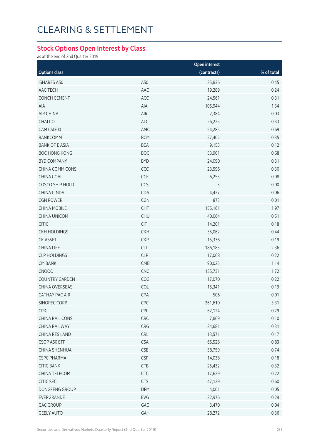#### **Stock Options Open Interest by Class**

as at the end of 2nd Quarter 2019

|                       |            | Open interest |            |
|-----------------------|------------|---------------|------------|
| <b>Options class</b>  |            | (contracts)   | % of total |
| <b>ISHARES A50</b>    | A50        | 35,836        | 0.45       |
| AAC TECH              | AAC        | 19,289        | 0.24       |
| CONCH CEMENT          | ACC        | 24,561        | 0.31       |
| AIA                   | AIA        | 105,944       | 1.34       |
| <b>AIR CHINA</b>      | AIR        | 2,384         | 0.03       |
| CHALCO                | ALC        | 26,225        | 0.33       |
| CAM CSI300            | AMC        | 54,285        | 0.69       |
| BANKCOMM              | <b>BCM</b> | 27,402        | 0.35       |
| <b>BANK OF E ASIA</b> | <b>BEA</b> | 9,155         | 0.12       |
| <b>BOC HONG KONG</b>  | <b>BOC</b> | 53,901        | 0.68       |
| <b>BYD COMPANY</b>    | <b>BYD</b> | 24,090        | 0.31       |
| CHINA COMM CONS       | CCC        | 23,596        | 0.30       |
| CHINA COAL            | CCE        | 6,253         | 0.08       |
| COSCO SHIP HOLD       | CCS        | 3             | 0.00       |
| CHINA CINDA           | CDA        | 4,427         | 0.06       |
| <b>CGN POWER</b>      | CGN        | 873           | 0.01       |
| <b>CHINA MOBILE</b>   | CHT        | 155,161       | 1.97       |
| CHINA UNICOM          | <b>CHU</b> | 40,064        | 0.51       |
| <b>CITIC</b>          | <b>CIT</b> | 14,201        | 0.18       |
| <b>CKH HOLDINGS</b>   | <b>CKH</b> | 35,062        | 0.44       |
| CK ASSET              | <b>CKP</b> | 15,336        | 0.19       |
| CHINA LIFE            | CLI        | 186,183       | 2.36       |
| <b>CLP HOLDINGS</b>   | <b>CLP</b> | 17,068        | 0.22       |
| <b>CM BANK</b>        | CMB        | 90,025        | 1.14       |
| CNOOC                 | CNC        | 135,731       | 1.72       |
| <b>COUNTRY GARDEN</b> | COG        | 17,070        | 0.22       |
| CHINA OVERSEAS        | COL        | 15,341        | 0.19       |
| <b>CATHAY PAC AIR</b> | CPA        | 506           | 0.01       |
| SINOPEC CORP          | CPC        | 261,610       | 3.31       |
| CPIC                  | <b>CPI</b> | 62,124        | 0.79       |
| CHINA RAIL CONS       | CRC        | 7,869         | 0.10       |
| CHINA RAILWAY         | CRG        | 24,681        | 0.31       |
| CHINA RES LAND        | <b>CRL</b> | 13,571        | 0.17       |
| CSOP A50 ETF          | <b>CSA</b> | 65,528        | 0.83       |
| CHINA SHENHUA         | <b>CSE</b> | 58,759        | 0.74       |
| <b>CSPC PHARMA</b>    | <b>CSP</b> | 14,038        | 0.18       |
| <b>CITIC BANK</b>     | CTB        | 25,432        | 0.32       |
| CHINA TELECOM         | <b>CTC</b> | 17,629        | 0.22       |
| CITIC SEC             | <b>CTS</b> | 47,129        | 0.60       |
| DONGFENG GROUP        | DFM        | 4,001         | 0.05       |
| EVERGRANDE            | EVG        | 22,976        | 0.29       |
| <b>GAC GROUP</b>      | GAC        | 3,470         | 0.04       |
| <b>GEELY AUTO</b>     | GAH        | 28,272        | 0.36       |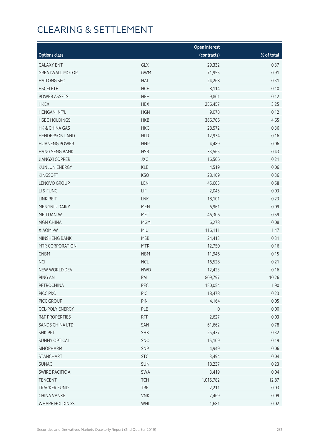|                           |            | <b>Open interest</b> |            |
|---------------------------|------------|----------------------|------------|
| <b>Options class</b>      |            | (contracts)          | % of total |
| <b>GALAXY ENT</b>         | GLX        | 29,332               | 0.37       |
| <b>GREATWALL MOTOR</b>    | <b>GWM</b> | 71,955               | 0.91       |
| <b>HAITONG SEC</b>        | HAI        | 24,268               | 0.31       |
| <b>HSCEI ETF</b>          | <b>HCF</b> | 8,114                | 0.10       |
| POWER ASSETS              | <b>HEH</b> | 9,861                | 0.12       |
| <b>HKEX</b>               | <b>HEX</b> | 256,457              | 3.25       |
| <b>HENGAN INT'L</b>       | <b>HGN</b> | 9,078                | 0.12       |
| <b>HSBC HOLDINGS</b>      | <b>HKB</b> | 366,706              | 4.65       |
| HK & CHINA GAS            | <b>HKG</b> | 28,572               | 0.36       |
| <b>HENDERSON LAND</b>     | <b>HLD</b> | 12,934               | 0.16       |
| <b>HUANENG POWER</b>      | <b>HNP</b> | 4,489                | 0.06       |
| <b>HANG SENG BANK</b>     | <b>HSB</b> | 33,565               | 0.43       |
| <b>JIANGXI COPPER</b>     | JXC        | 16,506               | 0.21       |
| <b>KUNLUN ENERGY</b>      | <b>KLE</b> | 4,519                | 0.06       |
| <b>KINGSOFT</b>           | <b>KSO</b> | 28,109               | 0.36       |
| LENOVO GROUP              | LEN        | 45,605               | 0.58       |
| LI & FUNG                 | LIF        | 2,045                | 0.03       |
| LINK REIT                 | <b>LNK</b> | 18,101               | 0.23       |
| MENGNIU DAIRY             | <b>MEN</b> | 6,961                | 0.09       |
| MEITUAN-W                 | <b>MET</b> | 46,306               | 0.59       |
| MGM CHINA                 | <b>MGM</b> | 6,278                | 0.08       |
| XIAOMI-W                  | <b>MIU</b> | 116,111              | 1.47       |
| MINSHENG BANK             | <b>MSB</b> | 24,413               | 0.31       |
| MTR CORPORATION           | <b>MTR</b> | 12,750               | 0.16       |
| <b>CNBM</b>               | <b>NBM</b> | 11,946               | 0.15       |
| <b>NCI</b>                | <b>NCL</b> | 16,528               | 0.21       |
| NEW WORLD DEV             | <b>NWD</b> | 12,423               | 0.16       |
| PING AN                   | PAI        | 809,797              | 10.26      |
| PETROCHINA                | PEC        | 150,054              | 1.90       |
| PICC P&C                  | PIC        | 18,478               | 0.23       |
| PICC GROUP                | PIN        | 4,164                | 0.05       |
| <b>GCL-POLY ENERGY</b>    | PLE        | $\mathsf{O}\xspace$  | 0.00       |
| <b>R&amp;F PROPERTIES</b> | <b>RFP</b> | 2,627                | 0.03       |
| SANDS CHINA LTD           | SAN        | 61,662               | 0.78       |
| <b>SHK PPT</b>            | <b>SHK</b> | 25,437               | 0.32       |
| <b>SUNNY OPTICAL</b>      | SNO        | 15,109               | 0.19       |
| SINOPHARM                 | SNP        | 4,949                | 0.06       |
| <b>STANCHART</b>          | <b>STC</b> | 3,494                | 0.04       |
| <b>SUNAC</b>              | SUN        | 18,237               | 0.23       |
| SWIRE PACIFIC A           | SWA        | 3,419                | 0.04       |
| <b>TENCENT</b>            | <b>TCH</b> | 1,015,782            | 12.87      |
| <b>TRACKER FUND</b>       | <b>TRF</b> | 2,211                | 0.03       |
| CHINA VANKE               | <b>VNK</b> | 7,469                | 0.09       |
| WHARF HOLDINGS            | WHL        | 1,681                | 0.02       |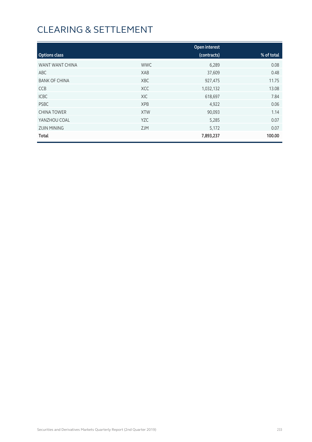|                      |            | <b>Open interest</b> |            |
|----------------------|------------|----------------------|------------|
| <b>Options class</b> |            | (contracts)          | % of total |
| WANT WANT CHINA      | <b>WWC</b> | 6,289                | 0.08       |
| ABC                  | XAB        | 37,609               | 0.48       |
| <b>BANK OF CHINA</b> | <b>XBC</b> | 927,475              | 11.75      |
| <b>CCB</b>           | <b>XCC</b> | 1,032,132            | 13.08      |
| <b>ICBC</b>          | XIC        | 618,697              | 7.84       |
| <b>PSBC</b>          | <b>XPB</b> | 4,922                | 0.06       |
| <b>CHINA TOWER</b>   | <b>XTW</b> | 90,093               | 1.14       |
| YANZHOU COAL         | <b>YZC</b> | 5,285                | 0.07       |
| <b>ZIJIN MINING</b>  | <b>ZJM</b> | 5,172                | 0.07       |
| <b>Total</b>         |            | 7,893,237            | 100.00     |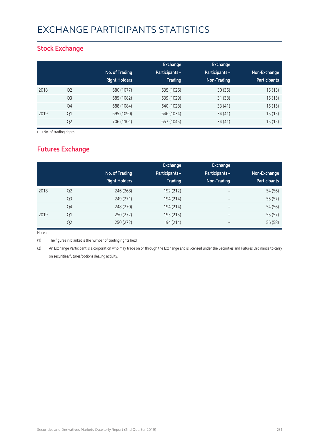## EXCHANGE PARTICIPANTS STATISTICS

### **Stock Exchange**

|      |                |                      | Exchange              | <b>Exchange</b> |                     |
|------|----------------|----------------------|-----------------------|-----------------|---------------------|
|      |                | No. of Trading       | <b>Participants -</b> | Participants -  | Non-Exchange        |
|      |                | <b>Right Holders</b> | <b>Trading</b>        | Non-Trading     | <b>Participants</b> |
| 2018 | Q <sub>2</sub> | 680 (1077)           | 635 (1026)            | 30(36)          | 15(15)              |
|      | Q <sub>3</sub> | 685 (1082)           | 639 (1029)            | 31(38)          | 15(15)              |
|      | Q4             | 688 (1084)           | 640 (1028)            | 33(41)          | 15(15)              |
| 2019 | Q1             | 695 (1090)           | 646 (1034)            | 34(41)          | 15(15)              |
|      | Q <sub>2</sub> | 706 (1101)           | 657 (1045)            | 34(41)          | 15(15)              |

( ) No. of trading rights

## **Futures Exchange**

|      |                | No. of Trading<br><b>Right Holders</b> | Exchange<br><b>Participants -</b><br><b>Trading</b> | Exchange<br>Participants -<br>Non-Trading | Non-Exchange<br><b>Participants</b> |
|------|----------------|----------------------------------------|-----------------------------------------------------|-------------------------------------------|-------------------------------------|
| 2018 | Q <sub>2</sub> | 246 (268)                              | 192 (212)                                           | $\overline{\phantom{a}}$                  | 54 (56)                             |
|      | Q <sub>3</sub> | 249 (271)                              | 194 (214)                                           | $\overline{\phantom{a}}$                  | 55 (57)                             |
|      | Q4             | 248 (270)                              | 194 (214)                                           | $\overline{\phantom{m}}$                  | 54 (56)                             |
| 2019 | Q1             | 250 (272)                              | 195 (215)                                           | $\overline{\phantom{m}}$                  | 55 (57)                             |
|      | Q <sub>2</sub> | 250 (272)                              | 194 (214)                                           | $\overline{\phantom{m}}$                  | 56 (58)                             |

Notes:

(1) The figures in blanket is the number of trading rights held.

(2) An Exchange Participant is a corporation who may trade on or through the Exchange and is licensed under the Securities and Futures Ordinance to carry on securities/futures/options dealing activity.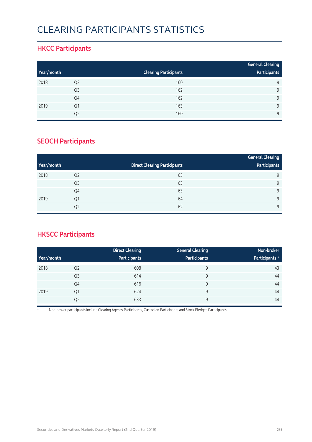## CLEARING PARTICIPANTS STATISTICS

### **HKCC Participants**

|            |                |                              | <b>General Clearing</b> |
|------------|----------------|------------------------------|-------------------------|
| Year/month |                | <b>Clearing Participants</b> | Participants            |
| 2018       | Q <sub>2</sub> | 160                          | 9                       |
|            | Q <sub>3</sub> | 162                          | 9                       |
|            | Q4             | 162                          | $\mathsf{Q}$            |
| 2019       | Q1             | 163                          | $\mathsf{Q}$            |
|            | Q2             | 160                          | $\mathsf{Q}$            |

### **SEOCH Participants**

|            |                |                                     | <b>General Clearing</b> |
|------------|----------------|-------------------------------------|-------------------------|
| Year/month |                | <b>Direct Clearing Participants</b> | Participants            |
| 2018       | Q <sub>2</sub> | 63                                  | 9                       |
|            | Q <sub>3</sub> | 63                                  | 9                       |
|            | Q4             | 63                                  | 9                       |
| 2019       | Q <sub>1</sub> | 64                                  | 9                       |
|            | Q <sub>2</sub> | 62                                  | 9                       |

## **HKSCC Participants**

|            |                | <b>Direct Clearing</b> | <b>General Clearing</b> | Non-broker     |
|------------|----------------|------------------------|-------------------------|----------------|
| Year/month |                | Participants           | Participants            | Participants * |
| 2018       | Q <sub>2</sub> | 608                    | 9                       | 43             |
|            | Q <sub>3</sub> | 614                    | 9                       | 44             |
|            | Q4             | 616                    | 9                       | 44             |
| 2019       | Q1             | 624                    | 9                       | 44             |
|            | Q <sub>2</sub> | 633                    | 9                       | 44             |

\* Non-broker participants include Clearing Agency Participants, Custodian Participants and Stock Pledgee Participants.